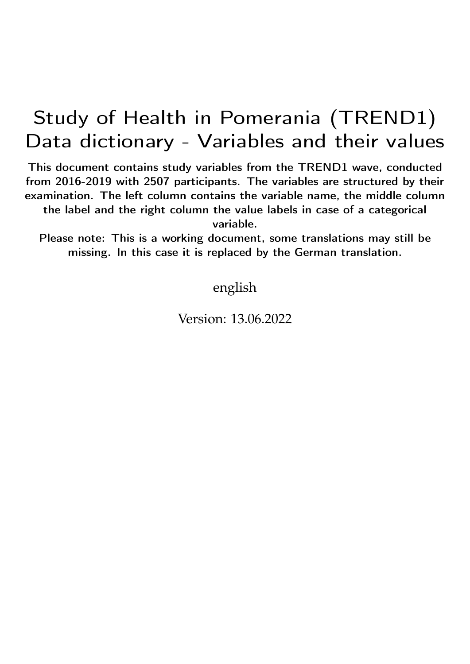## Study of Health in Pomerania (TREND1) Data dictionary - Variables and their values

This document contains study variables from the TREND1 wave, conducted from 2016-2019 with 2507 participants. The variables are structured by their examination. The left column contains the variable name, the middle column the label and the right column the value labels in case of a categorical variable.

Please note: This is a working document, some translations may still be missing. In this case it is replaced by the German translation.

english

Version: 13.06.2022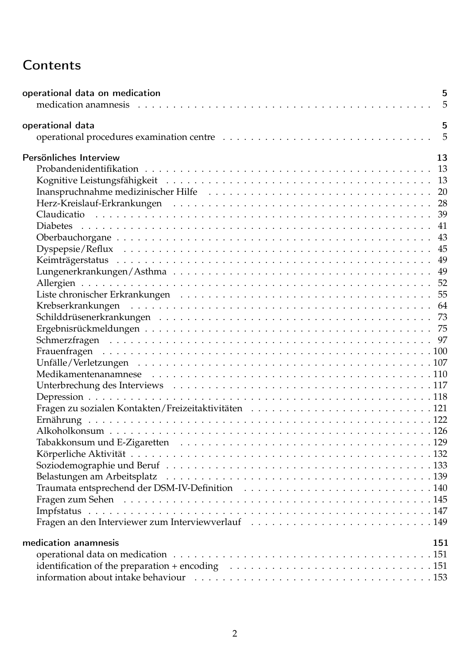## **Contents**

| operational data on medication | 5<br>5 |
|--------------------------------|--------|
| operational data               | 5      |
|                                | 5      |
| Persönliches Interview         | 13     |
|                                | 13     |
|                                |        |
|                                |        |
|                                |        |
|                                |        |
|                                | 41     |
|                                |        |
|                                |        |
|                                |        |
|                                |        |
|                                |        |
|                                |        |
|                                |        |
|                                |        |
|                                |        |
|                                |        |
|                                |        |
|                                |        |
|                                |        |
|                                |        |
|                                |        |
|                                |        |
|                                |        |
|                                |        |
|                                |        |
|                                |        |
|                                |        |
|                                |        |
|                                |        |
|                                |        |
|                                |        |
|                                |        |
|                                |        |
| medication anamnesis           | 151    |
|                                |        |
|                                |        |
|                                |        |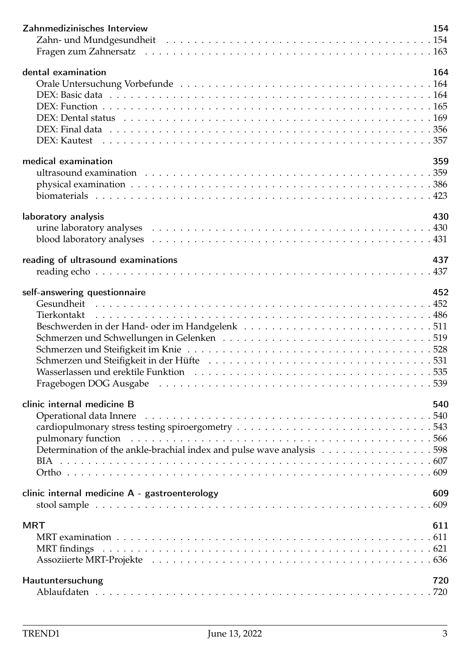| Zahnmedizinisches Interview                                                                                                                                                                                                                                    | 154        |
|----------------------------------------------------------------------------------------------------------------------------------------------------------------------------------------------------------------------------------------------------------------|------------|
| dental examination                                                                                                                                                                                                                                             | 164        |
| medical examination<br>laboratory analysis                                                                                                                                                                                                                     | 359<br>430 |
| reading of ultrasound examinations                                                                                                                                                                                                                             | 437        |
| self-answering questionnaire<br>Wasserlassen und erektile Funktion (a) and a control of the control of the control of the control of the control of the control of the control of the control of the control of the control of the control of the control of t | 452        |
| clinic internal medicine B                                                                                                                                                                                                                                     | 540        |
| clinic internal medicine A - gastroenterology                                                                                                                                                                                                                  | 609        |
| <b>MRT</b>                                                                                                                                                                                                                                                     | 611        |
| Hautuntersuchung                                                                                                                                                                                                                                               | 720        |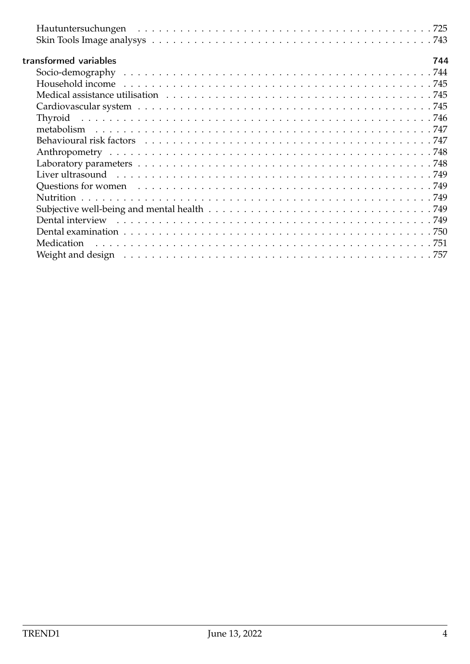| transformed variables<br>744                                                                                   |  |
|----------------------------------------------------------------------------------------------------------------|--|
|                                                                                                                |  |
|                                                                                                                |  |
|                                                                                                                |  |
|                                                                                                                |  |
|                                                                                                                |  |
|                                                                                                                |  |
| Behavioural risk factors response to the contract of the contract of the contract of the contract of the contr |  |
|                                                                                                                |  |
|                                                                                                                |  |
| Liver ultrasound recover and recover and recover and recover and recover and recover and recover and recover a |  |
|                                                                                                                |  |
|                                                                                                                |  |
|                                                                                                                |  |
|                                                                                                                |  |
|                                                                                                                |  |
| Medication                                                                                                     |  |
|                                                                                                                |  |
|                                                                                                                |  |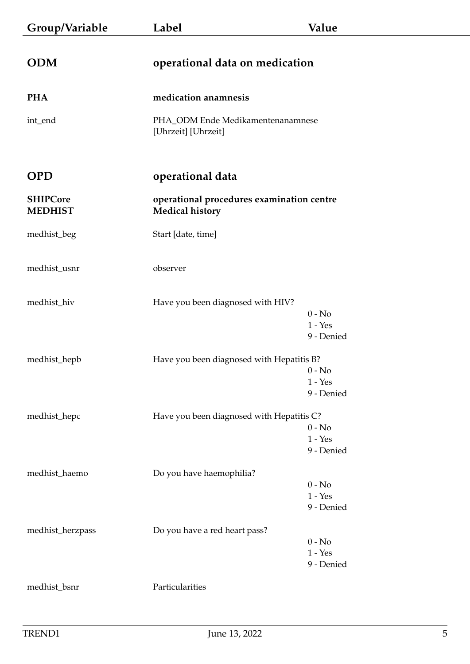<span id="page-4-3"></span><span id="page-4-2"></span><span id="page-4-1"></span><span id="page-4-0"></span>

| Group/Variable                    | Label                                                               | Value                               |
|-----------------------------------|---------------------------------------------------------------------|-------------------------------------|
| <b>ODM</b>                        | operational data on medication                                      |                                     |
| <b>PHA</b>                        | medication anamnesis                                                |                                     |
| int_end                           | PHA_ODM Ende Medikamentenanamnese<br>[Uhrzeit] [Uhrzeit]            |                                     |
| <b>OPD</b>                        | operational data                                                    |                                     |
| <b>SHIPCore</b><br><b>MEDHIST</b> | operational procedures examination centre<br><b>Medical history</b> |                                     |
| medhist_beg                       | Start [date, time]                                                  |                                     |
| medhist_usnr                      | observer                                                            |                                     |
| medhist_hiv                       | Have you been diagnosed with HIV?                                   | $0 - No$<br>$1 - Yes$<br>9 - Denied |
| medhist_hepb                      | Have you been diagnosed with Hepatitis B?                           |                                     |
|                                   |                                                                     | $0 - No$<br>$1 - Yes$<br>9 - Denied |
| medhist_hepc                      | Have you been diagnosed with Hepatitis C?                           | $0 - No$                            |
|                                   |                                                                     | $1 - Yes$<br>9 - Denied             |
| medhist_haemo                     | Do you have haemophilia?                                            | $0 - No$                            |
|                                   |                                                                     | $1 - Yes$<br>9 - Denied             |
| medhist_herzpass                  | Do you have a red heart pass?                                       | $0 - No$                            |
|                                   |                                                                     | $1 - Yes$<br>9 - Denied             |
| medhist_bsnr                      | Particularities                                                     |                                     |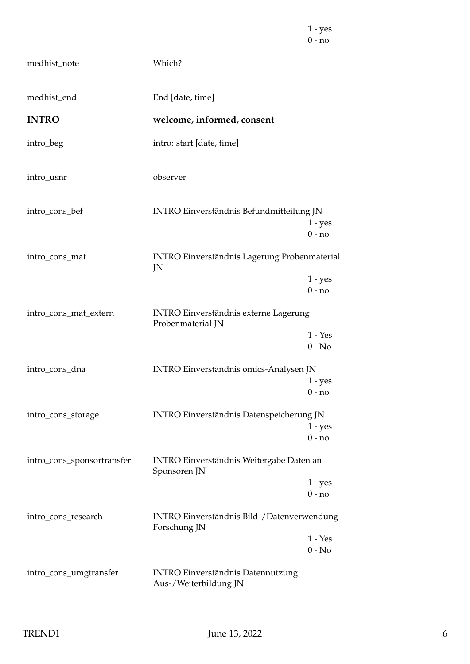|                            |                                                                   | $0 - no$              |
|----------------------------|-------------------------------------------------------------------|-----------------------|
| medhist_note               | Which?                                                            |                       |
| medhist_end                | End [date, time]                                                  |                       |
| <b>INTRO</b>               | welcome, informed, consent                                        |                       |
| intro_beg                  | intro: start [date, time]                                         |                       |
| intro_usnr                 | observer                                                          |                       |
| intro_cons_bef             | <b>INTRO Einverständnis Befundmitteilung JN</b>                   | $1 - yes$<br>$0 - no$ |
| intro_cons_mat             | <b>INTRO Einverständnis Lagerung Probenmaterial</b><br>JN         |                       |
|                            |                                                                   | $1 - yes$<br>$0 - no$ |
| intro_cons_mat_extern      | <b>INTRO Einverständnis externe Lagerung</b><br>Probenmaterial JN |                       |
|                            |                                                                   | $1 - Yes$<br>$0 - No$ |
| intro_cons_dna             | INTRO Einverständnis omics-Analysen JN                            |                       |
|                            |                                                                   | $1 - yes$<br>$0 - no$ |
| intro_cons_storage         | INTRO Einverständnis Datenspeicherung JN                          |                       |
|                            |                                                                   | $1 - yes$<br>$0 - no$ |
| intro_cons_sponsortransfer | INTRO Einverständnis Weitergabe Daten an<br>Sponsoren JN          |                       |
|                            |                                                                   | $1 - yes$<br>$0 - no$ |
| intro_cons_research        | INTRO Einverständnis Bild-/Datenverwendung                        |                       |
|                            | Forschung JN                                                      | $1 - Yes$<br>$0 - No$ |
| intro_cons_umgtransfer     | <b>INTRO Einverständnis Datennutzung</b>                          |                       |

1 - yes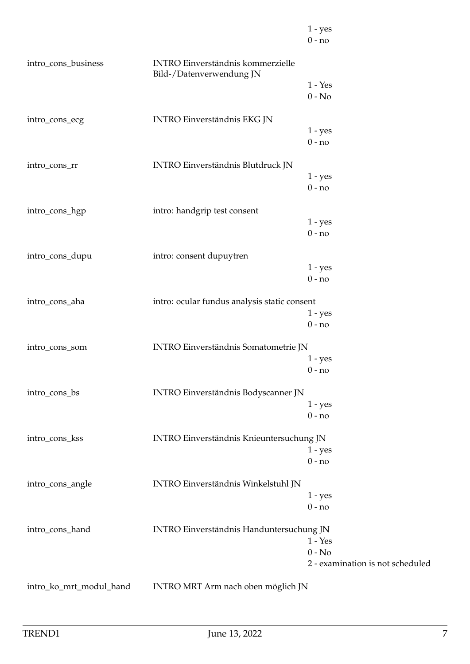|                         |                                                                      | $1 - yes$                        |
|-------------------------|----------------------------------------------------------------------|----------------------------------|
|                         |                                                                      | $0 - no$                         |
| intro_cons_business     | <b>INTRO Einverständnis kommerzielle</b><br>Bild-/Datenverwendung JN |                                  |
|                         |                                                                      | $1 - Yes$                        |
|                         |                                                                      | $0 - No$                         |
| intro_cons_ecg          | INTRO Einverständnis EKG JN                                          |                                  |
|                         |                                                                      | $1 - yes$                        |
|                         |                                                                      | $0 - no$                         |
| intro_cons_rr           | INTRO Einverständnis Blutdruck JN                                    |                                  |
|                         |                                                                      | $1 - yes$                        |
|                         |                                                                      | $0 - no$                         |
| intro_cons_hgp          | intro: handgrip test consent                                         |                                  |
|                         |                                                                      | $1 - yes$                        |
|                         |                                                                      | $0 - no$                         |
| intro_cons_dupu         | intro: consent dupuytren                                             |                                  |
|                         |                                                                      | $1 - yes$                        |
|                         |                                                                      | $0 - no$                         |
| intro_cons_aha          | intro: ocular fundus analysis static consent                         |                                  |
|                         |                                                                      | $1 - yes$                        |
|                         |                                                                      | $0 - no$                         |
| intro_cons_som          | INTRO Einverständnis Somatometrie JN                                 |                                  |
|                         |                                                                      | $1 - yes$                        |
|                         |                                                                      | $0 - no$                         |
| intro_cons_bs           | INTRO Einverständnis Bodyscanner JN                                  |                                  |
|                         |                                                                      | $1 - yes$                        |
|                         |                                                                      | $0 - no$                         |
|                         |                                                                      |                                  |
| intro_cons_kss          | INTRO Einverständnis Knieuntersuchung JN                             |                                  |
|                         |                                                                      | $1 - yes$<br>$0 - no$            |
|                         |                                                                      |                                  |
| intro_cons_angle        | INTRO Einverständnis Winkelstuhl JN                                  |                                  |
|                         |                                                                      | $1 - yes$                        |
|                         |                                                                      | $0 - no$                         |
| intro_cons_hand         | INTRO Einverständnis Handuntersuchung JN                             |                                  |
|                         |                                                                      | $1 - Yes$                        |
|                         |                                                                      | $0 - No$                         |
|                         |                                                                      | 2 - examination is not scheduled |
| intro_ko_mrt_modul_hand | INTRO MRT Arm nach oben möglich JN                                   |                                  |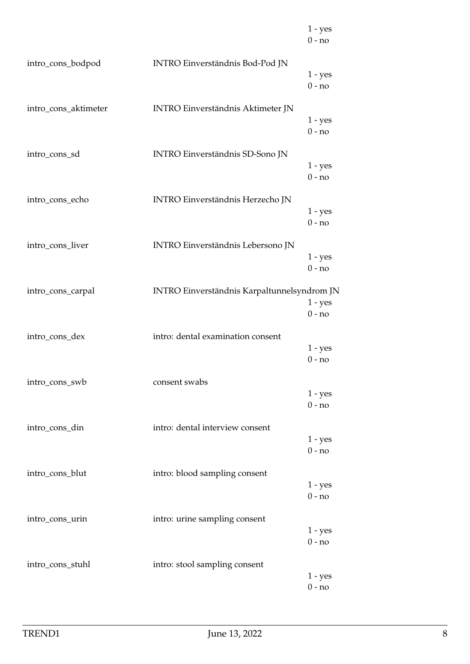|                      |                                             | $1 - yes$<br>$0 - no$ |
|----------------------|---------------------------------------------|-----------------------|
| intro_cons_bodpod    | <b>INTRO Einverständnis Bod-Pod JN</b>      | $1 - yes$<br>$0 - no$ |
| intro_cons_aktimeter | <b>INTRO Einverständnis Aktimeter JN</b>    | $1 - yes$<br>$0 - no$ |
| intro_cons_sd        | <b>INTRO Einverständnis SD-Sono JN</b>      | $1 - yes$<br>$0 - no$ |
| intro_cons_echo      | <b>INTRO Einverständnis Herzecho JN</b>     | $1 - yes$<br>$0 - no$ |
| intro_cons_liver     | <b>INTRO Einverständnis Lebersono JN</b>    | $1 - yes$<br>$0 - no$ |
| intro_cons_carpal    | INTRO Einverständnis Karpaltunnelsyndrom JN | $1 - yes$<br>$0 - no$ |
| intro_cons_dex       | intro: dental examination consent           | $1 - yes$<br>$0 - no$ |
| intro_cons_swb       | consent swabs                               | $1 - yes$<br>$0 - no$ |
| intro_cons_din       | intro: dental interview consent             | $1 - yes$<br>$0 - no$ |
| intro_cons_blut      | intro: blood sampling consent               | $1 - yes$<br>$0 - no$ |
| intro_cons_urin      | intro: urine sampling consent               | $1 - yes$<br>$0 - no$ |
| intro_cons_stuhl     | intro: stool sampling consent               | $1 - yes$<br>$0 - no$ |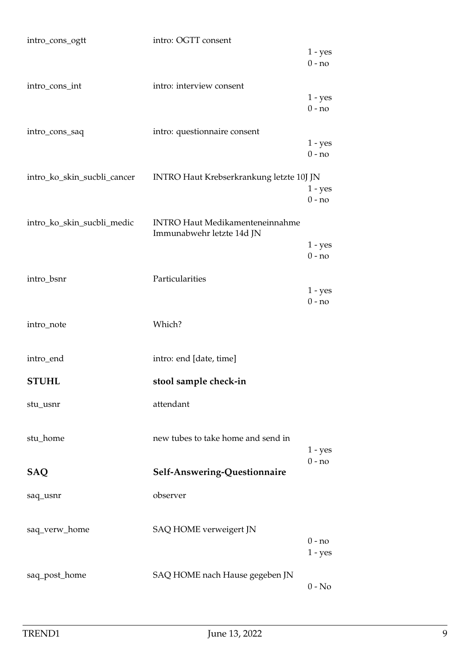| intro_cons_ogtt             | intro: OGTT consent                                                 |                       |
|-----------------------------|---------------------------------------------------------------------|-----------------------|
|                             |                                                                     | $1 - yes$<br>$0 - no$ |
| intro_cons_int              | intro: interview consent                                            |                       |
|                             |                                                                     | $1 - yes$<br>$0 - no$ |
| intro_cons_saq              | intro: questionnaire consent                                        |                       |
|                             |                                                                     | $1 - yes$<br>$0 - no$ |
| intro_ko_skin_sucbli_cancer | INTRO Haut Krebserkrankung letzte 10J JN                            |                       |
|                             |                                                                     | $1 - yes$<br>$0 - no$ |
| intro_ko_skin_sucbli_medic  | <b>INTRO Haut Medikamenteneinnahme</b><br>Immunabwehr letzte 14d JN |                       |
|                             |                                                                     | $1 - yes$<br>$0 - no$ |
|                             |                                                                     |                       |
| intro_bsnr                  | Particularities                                                     |                       |
|                             |                                                                     | $1 - yes$<br>$0 - no$ |
| intro_note                  | Which?                                                              |                       |
| intro_end                   | intro: end [date, time]                                             |                       |
| <b>STUHL</b>                | stool sample check-in                                               |                       |
| stu_usnr                    | attendant                                                           |                       |
| stu_home                    | new tubes to take home and send in                                  |                       |
|                             |                                                                     | $1 - yes$             |
| <b>SAQ</b>                  | Self-Answering-Questionnaire                                        | $0 - no$              |
| saq_usnr                    | observer                                                            |                       |
| saq_verw_home               | SAQ HOME verweigert JN                                              |                       |
|                             |                                                                     | $0 - no$<br>$1 - yes$ |
|                             |                                                                     |                       |
| saq_post_home               | SAQ HOME nach Hause gegeben JN                                      | $0 - No$              |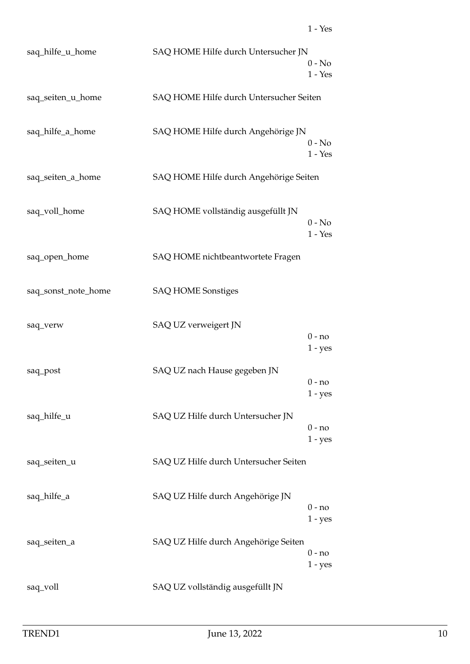| saq_hilfe_u_home    | SAQ HOME Hilfe durch Untersucher JN     | $0 - No$              |
|---------------------|-----------------------------------------|-----------------------|
|                     |                                         | $1 - Yes$             |
| saq_seiten_u_home   | SAQ HOME Hilfe durch Untersucher Seiten |                       |
| saq_hilfe_a_home    | SAQ HOME Hilfe durch Angehörige JN      | $0 - No$<br>$1 - Yes$ |
| saq_seiten_a_home   | SAQ HOME Hilfe durch Angehörige Seiten  |                       |
| saq_voll_home       | SAQ HOME vollständig ausgefüllt JN      | $0 - No$<br>$1 - Yes$ |
| saq_open_home       | SAQ HOME nichtbeantwortete Fragen       |                       |
| saq_sonst_note_home | <b>SAQ HOME Sonstiges</b>               |                       |
| saq_verw            | SAQ UZ verweigert JN                    | $0 - no$<br>$1 - yes$ |
| saq_post            | SAQ UZ nach Hause gegeben JN            | $0 - no$<br>$1 - yes$ |
| saq_hilfe_u         | SAQ UZ Hilfe durch Untersucher JN       | $0 - no$<br>$1 - yes$ |
| saq_seiten_u        | SAQ UZ Hilfe durch Untersucher Seiten   |                       |
| saq_hilfe_a         | SAQ UZ Hilfe durch Angehörige JN        | 0 - no<br>$1 - yes$   |
| saq_seiten_a        | SAQ UZ Hilfe durch Angehörige Seiten    | $0 - no$<br>$1 - yes$ |
| saq_voll            | SAQ UZ vollständig ausgefüllt JN        |                       |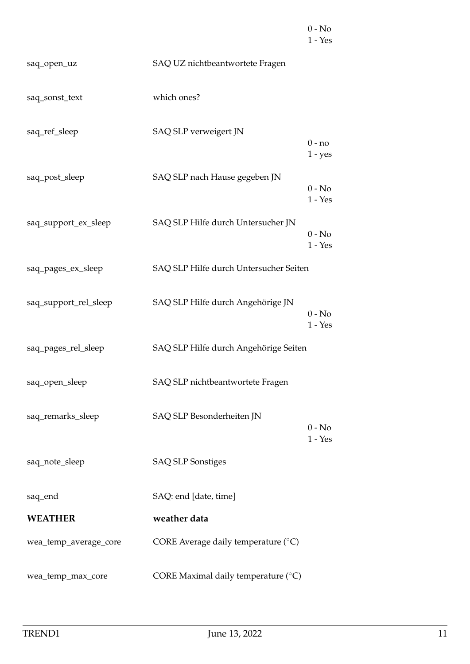|                       |                                              | $0 - No$<br>$1 - Yes$ |
|-----------------------|----------------------------------------------|-----------------------|
| saq_open_uz           | SAQ UZ nichtbeantwortete Fragen              |                       |
| saq_sonst_text        | which ones?                                  |                       |
| saq_ref_sleep         | SAQ SLP verweigert JN                        | $0 - no$<br>$1 - yes$ |
| saq_post_sleep        | SAQ SLP nach Hause gegeben JN                | $0 - No$<br>$1 - Yes$ |
| saq_support_ex_sleep  | SAQ SLP Hilfe durch Untersucher JN           | $0 - No$<br>$1 - Yes$ |
| saq_pages_ex_sleep    | SAQ SLP Hilfe durch Untersucher Seiten       |                       |
| saq_support_rel_sleep | SAQ SLP Hilfe durch Angehörige JN            | $0 - No$<br>$1 - Yes$ |
| saq_pages_rel_sleep   | SAQ SLP Hilfe durch Angehörige Seiten        |                       |
| saq_open_sleep        | SAQ SLP nichtbeantwortete Fragen             |                       |
| saq_remarks_sleep     | SAQ SLP Besonderheiten JN                    | $0 - No$<br>$1 - Yes$ |
| saq_note_sleep        | <b>SAQ SLP Sonstiges</b>                     |                       |
| saq_end               | SAQ: end [date, time]                        |                       |
| <b>WEATHER</b>        | weather data                                 |                       |
| wea_temp_average_core | CORE Average daily temperature $(^{\circ}C)$ |                       |
| wea_temp_max_core     | CORE Maximal daily temperature (°C)          |                       |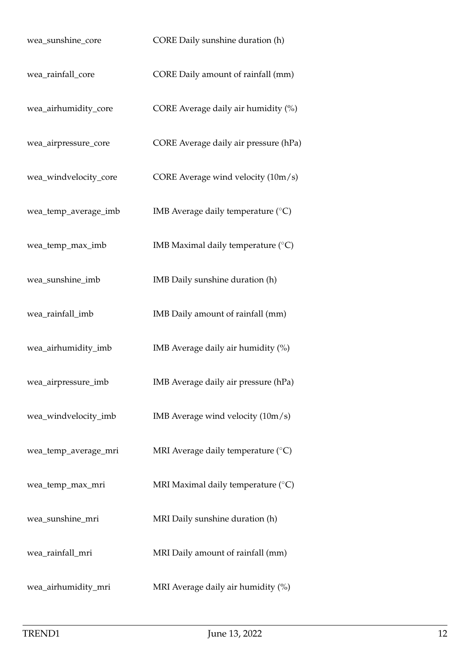| wea_sunshine_core     | CORE Daily sunshine duration (h)            |
|-----------------------|---------------------------------------------|
| wea_rainfall_core     | CORE Daily amount of rainfall (mm)          |
| wea_airhumidity_core  | CORE Average daily air humidity (%)         |
| wea_airpressure_core  | CORE Average daily air pressure (hPa)       |
| wea_windvelocity_core | CORE Average wind velocity (10m/s)          |
| wea_temp_average_imb  | IMB Average daily temperature $(^{\circ}C)$ |
| wea_temp_max_imb      | IMB Maximal daily temperature $(^{\circ}C)$ |
| wea_sunshine_imb      | IMB Daily sunshine duration (h)             |
| wea_rainfall_imb      | IMB Daily amount of rainfall (mm)           |
| wea_airhumidity_imb   | IMB Average daily air humidity (%)          |
| wea_airpressure_imb   | IMB Average daily air pressure (hPa)        |
| wea_windvelocity_imb  | IMB Average wind velocity $(10m/s)$         |
| wea_temp_average_mri  | MRI Average daily temperature $(^{\circ}C)$ |
| wea_temp_max_mri      | MRI Maximal daily temperature (°C)          |
| wea_sunshine_mri      | MRI Daily sunshine duration (h)             |
| wea_rainfall_mri      | MRI Daily amount of rainfall (mm)           |
| wea_airhumidity_mri   | MRI Average daily air humidity (%)          |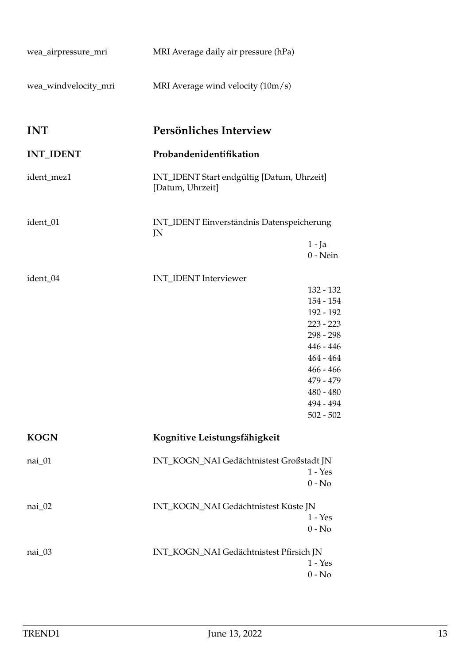<span id="page-12-2"></span><span id="page-12-1"></span><span id="page-12-0"></span>

| wea_airpressure_mri  | MRI Average daily air pressure (hPa)                           |                            |
|----------------------|----------------------------------------------------------------|----------------------------|
| wea_windvelocity_mri | MRI Average wind velocity $(10m/s)$                            |                            |
| <b>INT</b>           | Persönliches Interview                                         |                            |
| <b>INT_IDENT</b>     | Probandenidentifikation                                        |                            |
| ident_mez1           | INT_IDENT Start endgültig [Datum, Uhrzeit]<br>[Datum, Uhrzeit] |                            |
| ident_01             | INT_IDENT Einverständnis Datenspeicherung<br>JN                |                            |
|                      |                                                                | $1 - Ja$<br>$0$ - Nein     |
| ident_04             | INT_IDENT Interviewer                                          |                            |
|                      |                                                                | 132 - 132                  |
|                      |                                                                | 154 - 154<br>192 - 192     |
|                      |                                                                | $223 - 223$                |
|                      |                                                                | 298 - 298                  |
|                      |                                                                | $446 - 446$                |
|                      |                                                                | $464 - 464$<br>$466 - 466$ |
|                      |                                                                | 479 - 479                  |
|                      |                                                                | $480 - 480$                |
|                      |                                                                | 494 - 494                  |
|                      |                                                                | $502 - 502$                |
| <b>KOGN</b>          | Kognitive Leistungsfähigkeit                                   |                            |
| nai_01               | INT_KOGN_NAI Gedächtnistest Großstadt JN                       |                            |
|                      |                                                                | $1 - Yes$<br>$0 - No$      |
| nai_02               | INT_KOGN_NAI Gedächtnistest Küste JN                           |                            |
|                      |                                                                | $1 - Yes$                  |
|                      |                                                                | $0 - No$                   |
| nai_03               | INT_KOGN_NAI Gedächtnistest Pfirsich JN                        |                            |
|                      |                                                                | $1 - Yes$                  |
|                      |                                                                | $0 - No$                   |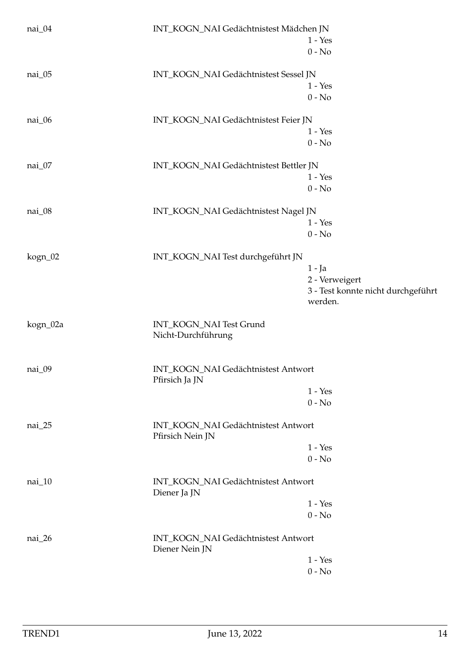| nai_04   | INT_KOGN_NAI Gedächtnistest Mädchen JN                  | $1 - Yes$                          |
|----------|---------------------------------------------------------|------------------------------------|
|          |                                                         | $0 - No$                           |
| nai_05   | INT_KOGN_NAI Gedächtnistest Sessel JN                   |                                    |
|          |                                                         | $1 - Yes$                          |
|          |                                                         | $0 - No$                           |
| nai_06   | INT_KOGN_NAI Gedächtnistest Feier JN                    |                                    |
|          |                                                         | $1 - Yes$                          |
|          |                                                         | $0 - No$                           |
| nai_07   | INT_KOGN_NAI Gedächtnistest Bettler JN                  |                                    |
|          |                                                         | $1 - Yes$                          |
|          |                                                         | $0 - No$                           |
| nai_08   | INT_KOGN_NAI Gedächtnistest Nagel JN                    |                                    |
|          |                                                         | $1 - Yes$                          |
|          |                                                         | $0 - No$                           |
| kogn_02  | INT_KOGN_NAI Test durchgeführt JN                       |                                    |
|          |                                                         | $1 - Ja$                           |
|          |                                                         | 2 - Verweigert                     |
|          |                                                         | 3 - Test konnte nicht durchgeführt |
|          |                                                         | werden.                            |
| kogn_02a | INT_KOGN_NAI Test Grund<br>Nicht-Durchführung           |                                    |
| nai_09   | INT_KOGN_NAI Gedächtnistest Antwort<br>Pfirsich Ja JN   |                                    |
|          |                                                         | $1 - Yes$                          |
|          |                                                         | $0 - No$                           |
| nai_25   | INT_KOGN_NAI Gedächtnistest Antwort<br>Pfirsich Nein JN |                                    |
|          |                                                         | $1 - Yes$                          |
|          |                                                         | $0 - No$                           |
| nai_10   | INT_KOGN_NAI Gedächtnistest Antwort<br>Diener Ja JN     |                                    |
|          |                                                         | $1 - Yes$                          |
|          |                                                         |                                    |
|          |                                                         | $0 - No$                           |
| nai_26   | INT_KOGN_NAI Gedächtnistest Antwort<br>Diener Nein JN   |                                    |
|          |                                                         | $1 - Yes$                          |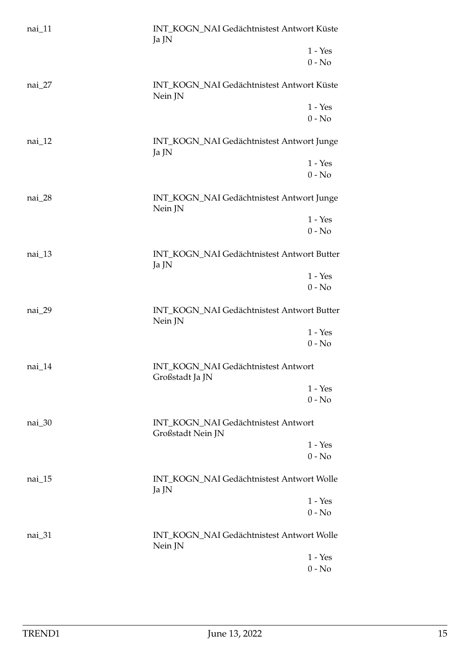| nai_11   | INT_KOGN_NAI Gedächtnistest Antwort Küste<br>Ja JN       |
|----------|----------------------------------------------------------|
|          | $1 - Yes$<br>$0 - No$                                    |
| $nai_27$ | INT_KOGN_NAI Gedächtnistest Antwort Küste<br>Nein JN     |
|          | $1 - Yes$                                                |
|          | $0$ - $\mathrm{No}$                                      |
| $nai_12$ | INT_KOGN_NAI Gedächtnistest Antwort Junge<br>Ja JN       |
|          | $1 - Yes$                                                |
|          | $0 - No$                                                 |
| nai_28   | INT_KOGN_NAI Gedächtnistest Antwort Junge<br>Nein JN     |
|          | $1 - Yes$                                                |
|          | $0 - No$                                                 |
| nai_13   | INT_KOGN_NAI Gedächtnistest Antwort Butter<br>Ja JN      |
|          | $1 - Yes$                                                |
|          | $0 - No$                                                 |
| nai_29   | INT_KOGN_NAI Gedächtnistest Antwort Butter<br>Nein JN    |
|          | $1 - Yes$                                                |
|          | $0 - No$                                                 |
| nai_14   | INT_KOGN_NAI Gedächtnistest Antwort<br>Großstadt Ja JN   |
|          | $1 - Yes$                                                |
|          | $0 - No$                                                 |
| nai_30   | INT_KOGN_NAI Gedächtnistest Antwort<br>Großstadt Nein JN |
|          | $1 - Yes$                                                |
|          | $0 - No$                                                 |
| $nai_15$ | INT_KOGN_NAI Gedächtnistest Antwort Wolle<br>Ja JN       |
|          | $1 - Yes$                                                |
|          | $0 - No$                                                 |
| nai_31   | INT_KOGN_NAI Gedächtnistest Antwort Wolle<br>Nein JN     |
|          | $1 - Yes$                                                |
|          | $0 - No$                                                 |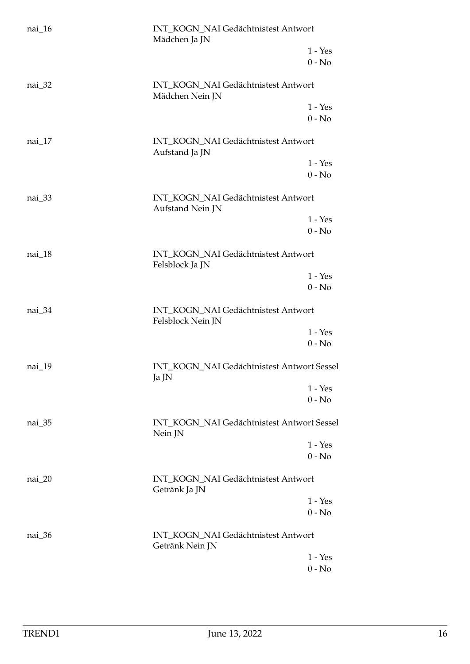| nai_16   | INT_KOGN_NAI Gedächtnistest Antwort<br>Mädchen Ja JN     |                       |
|----------|----------------------------------------------------------|-----------------------|
|          |                                                          | $1 - Yes$<br>$0 - No$ |
| nai_32   | INT_KOGN_NAI Gedächtnistest Antwort<br>Mädchen Nein JN   |                       |
|          |                                                          | $1 - Yes$             |
|          |                                                          | $0 - No$              |
| $nai_17$ | INT_KOGN_NAI Gedächtnistest Antwort<br>Aufstand Ja JN    |                       |
|          |                                                          | $1 - Yes$             |
|          |                                                          | $0 - No$              |
| nai_33   | INT_KOGN_NAI Gedächtnistest Antwort<br>Aufstand Nein JN  |                       |
|          |                                                          | $1 - Yes$             |
|          |                                                          | $0 - No$              |
| nai_18   | INT_KOGN_NAI Gedächtnistest Antwort<br>Felsblock Ja JN   |                       |
|          |                                                          | $1 - Yes$             |
|          |                                                          | $0 - No$              |
| nai_34   | INT_KOGN_NAI Gedächtnistest Antwort<br>Felsblock Nein JN |                       |
|          |                                                          | $1 - Yes$             |
|          |                                                          | $0 - No$              |
| nai_19   | INT_KOGN_NAI Gedächtnistest Antwort Sessel<br>Ja JN      |                       |
|          |                                                          | $1 - Yes$             |
|          |                                                          | $0 - No$              |
| $nai_35$ | INT_KOGN_NAI Gedächtnistest Antwort Sessel<br>Nein JN    |                       |
|          |                                                          | $1 - Yes$             |
|          |                                                          | $0 - No$              |
| $nai_20$ | INT_KOGN_NAI Gedächtnistest Antwort<br>Getränk Ja JN     |                       |
|          |                                                          | $1 - Yes$             |
|          |                                                          | $0 - No$              |
| nai_36   | INT_KOGN_NAI Gedächtnistest Antwort<br>Getränk Nein JN   |                       |
|          |                                                          | $1 - Yes$             |
|          |                                                          | $0 - No$              |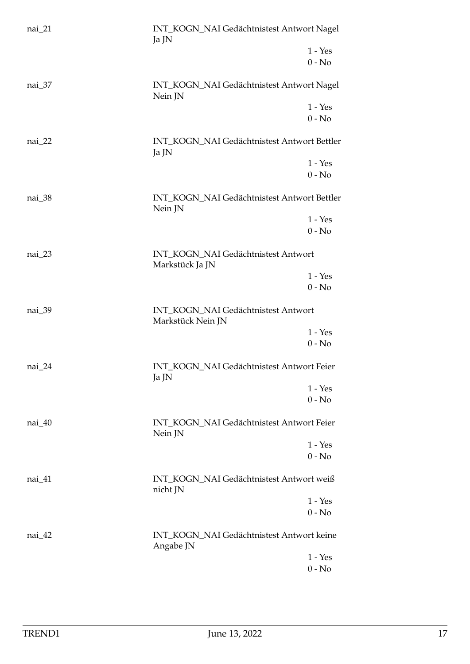| nai_21   | INT_KOGN_NAI Gedächtnistest Antwort Nagel<br>Ja JN       |                       |
|----------|----------------------------------------------------------|-----------------------|
|          |                                                          | $1 - Yes$<br>$0 - No$ |
|          |                                                          |                       |
| nai_37   | INT_KOGN_NAI Gedächtnistest Antwort Nagel<br>Nein JN     |                       |
|          |                                                          | $1 - Yes$             |
|          |                                                          | $0$ - $\mathrm{No}$   |
| $nai_22$ | INT_KOGN_NAI Gedächtnistest Antwort Bettler<br>Ja JN     |                       |
|          |                                                          | $1 - Yes$             |
|          |                                                          | $0 - No$              |
| nai_38   | INT_KOGN_NAI Gedächtnistest Antwort Bettler<br>Nein JN   |                       |
|          |                                                          | $1 - Yes$             |
|          |                                                          | $0 - No$              |
| $nai_23$ | INT_KOGN_NAI Gedächtnistest Antwort<br>Markstück Ja JN   |                       |
|          |                                                          | $1 - Yes$             |
|          |                                                          | $0 - No$              |
| nai_39   | INT_KOGN_NAI Gedächtnistest Antwort<br>Markstück Nein JN |                       |
|          |                                                          | $1 - Yes$             |
|          |                                                          | $0 - No$              |
| nai_24   | INT_KOGN_NAI Gedächtnistest Antwort Feier<br>Ja JN       |                       |
|          |                                                          | $1 - Yes$             |
|          |                                                          | $0 - No$              |
| nai_40   | INT_KOGN_NAI Gedächtnistest Antwort Feier<br>Nein JN     |                       |
|          |                                                          | $1 - Yes$             |
|          |                                                          | $0 - No$              |
| nai_41   | INT_KOGN_NAI Gedächtnistest Antwort weiß<br>nicht JN     |                       |
|          |                                                          | $1 - Yes$             |
|          |                                                          | $0 - No$              |
| nai_42   | INT_KOGN_NAI Gedächtnistest Antwort keine<br>Angabe JN   |                       |
|          |                                                          | $1 - Yes$             |
|          |                                                          | $0 - No$              |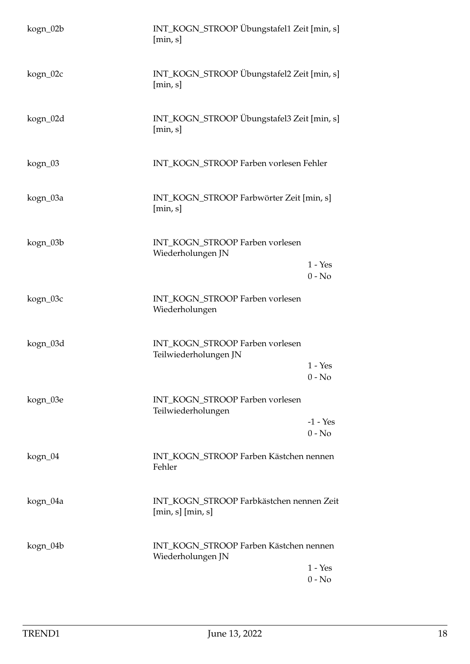| kogn_02b | INT_KOGN_STROOP Übungstafel1 Zeit [min, s]<br>[min, s]           |                        |
|----------|------------------------------------------------------------------|------------------------|
| kogn_02c | INT_KOGN_STROOP Übungstafel2 Zeit [min, s]<br>$[\min, s]$        |                        |
| kogn_02d | INT_KOGN_STROOP Übungstafel3 Zeit [min, s]<br>[min, s]           |                        |
| kogn_03  | INT_KOGN_STROOP Farben vorlesen Fehler                           |                        |
| kogn_03a | INT_KOGN_STROOP Farbwörter Zeit [min, s]<br>[min, s]             |                        |
| kogn_03b | INT_KOGN_STROOP Farben vorlesen<br>Wiederholungen JN             | $1 - Yes$<br>$0 - No$  |
| kogn_03c | INT_KOGN_STROOP Farben vorlesen<br>Wiederholungen                |                        |
| kogn_03d | INT_KOGN_STROOP Farben vorlesen<br>Teilwiederholungen JN         | $1 - Yes$<br>$0 - No$  |
| kogn_03e | INT_KOGN_STROOP Farben vorlesen<br>Teilwiederholungen            | $-1 - Yes$<br>$0 - No$ |
| kogn_04  | INT_KOGN_STROOP Farben Kästchen nennen<br>Fehler                 |                        |
| kogn_04a | INT_KOGN_STROOP Farbkästchen nennen Zeit<br>$[\min, s]$ [min, s] |                        |
| kogn_04b | INT_KOGN_STROOP Farben Kästchen nennen<br>Wiederholungen JN      | $1 - Yes$<br>$0 - No$  |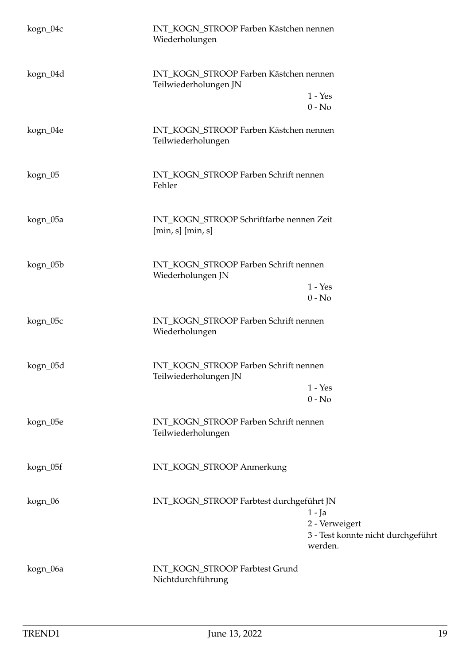| kogn_04c | INT_KOGN_STROOP Farben Kästchen nennen<br>Wiederholungen                                                                |
|----------|-------------------------------------------------------------------------------------------------------------------------|
| kogn_04d | INT_KOGN_STROOP Farben Kästchen nennen<br>Teilwiederholungen JN<br>$1 - Yes$<br>$0 - No$                                |
| kogn_04e | INT_KOGN_STROOP Farben Kästchen nennen<br>Teilwiederholungen                                                            |
| kogn_05  | INT_KOGN_STROOP Farben Schrift nennen<br>Fehler                                                                         |
| kogn_05a | INT_KOGN_STROOP Schriftfarbe nennen Zeit<br>$[\min, s]$ $[\min, s]$                                                     |
| kogn_05b | INT_KOGN_STROOP Farben Schrift nennen<br>Wiederholungen JN<br>$1 - Yes$<br>$0 - No$                                     |
| kogn_05c | INT_KOGN_STROOP Farben Schrift nennen<br>Wiederholungen                                                                 |
| kogn_05d | INT_KOGN_STROOP Farben Schrift nennen<br>Teilwiederholungen JN<br>$1 - Yes$<br>$0 - No$                                 |
| kogn_05e | INT_KOGN_STROOP Farben Schrift nennen<br>Teilwiederholungen                                                             |
| kogn_05f | INT_KOGN_STROOP Anmerkung                                                                                               |
| kogn_06  | INT_KOGN_STROOP Farbtest durchgeführt JN<br>$1 - Ja$<br>2 - Verweigert<br>3 - Test konnte nicht durchgeführt<br>werden. |
| kogn_06a | INT_KOGN_STROOP Farbtest Grund<br>Nichtdurchführung                                                                     |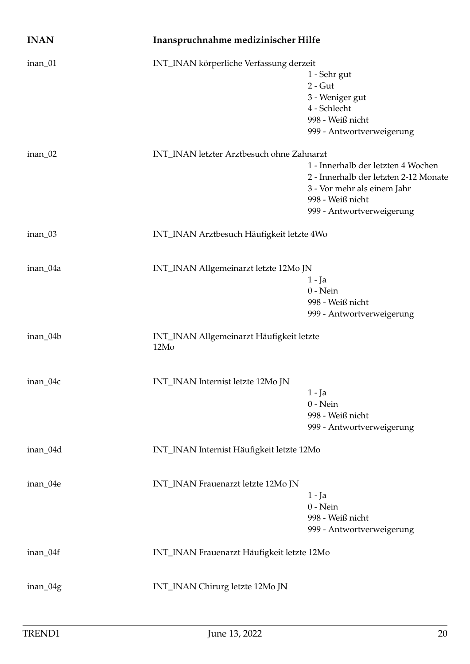<span id="page-19-0"></span>

| <b>INAN</b> | Inanspruchnahme medizinischer Hilfe              |                                                                                                                                                             |
|-------------|--------------------------------------------------|-------------------------------------------------------------------------------------------------------------------------------------------------------------|
| inan_01     | INT_INAN körperliche Verfassung derzeit          | 1 - Sehr gut<br>$2 - Gut$<br>3 - Weniger gut<br>4 - Schlecht<br>998 - Weiß nicht<br>999 - Antwortverweigerung                                               |
| $inan_02$   | INT_INAN letzter Arztbesuch ohne Zahnarzt        | 1 - Innerhalb der letzten 4 Wochen<br>2 - Innerhalb der letzten 2-12 Monate<br>3 - Vor mehr als einem Jahr<br>998 - Weiß nicht<br>999 - Antwortverweigerung |
| inan_03     | INT_INAN Arztbesuch Häufigkeit letzte 4Wo        |                                                                                                                                                             |
| inan_04a    | INT_INAN Allgemeinarzt letzte 12Mo JN            | 1 - Ja<br>$0$ - Nein<br>998 - Weiß nicht<br>999 - Antwortverweigerung                                                                                       |
| inan_04b    | INT_INAN Allgemeinarzt Häufigkeit letzte<br>12Mo |                                                                                                                                                             |
| inan_04c    | INT_INAN Internist letzte 12Mo JN                | $1 - Ja$<br>$0$ - Nein<br>998 - Weiß nicht<br>999 - Antwortverweigerung                                                                                     |
| inan_04d    | INT_INAN Internist Häufigkeit letzte 12Mo        |                                                                                                                                                             |
| inan_04e    | INT_INAN Frauenarzt letzte 12Mo JN               | $1 - Ja$<br>$0$ - Nein<br>998 - Weiß nicht<br>999 - Antwortverweigerung                                                                                     |
| inan_04f    | INT_INAN Frauenarzt Häufigkeit letzte 12Mo       |                                                                                                                                                             |
| inan_04g    | INT_INAN Chirurg letzte 12Mo JN                  |                                                                                                                                                             |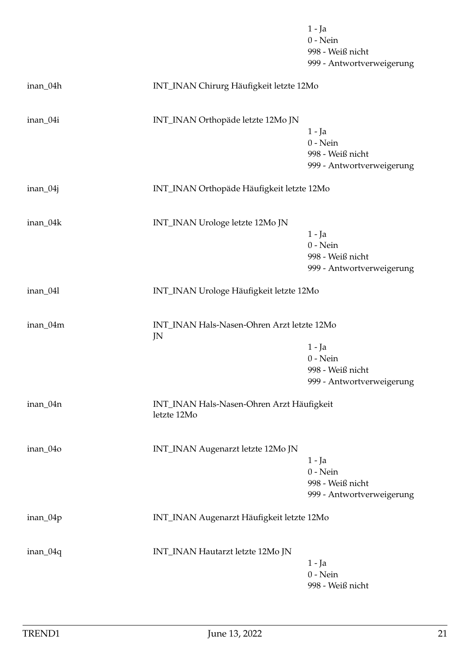|            |                                                          | $1 - Ja$<br>$0$ - Nein<br>998 - Weiß nicht<br>999 - Antwortverweigerung |
|------------|----------------------------------------------------------|-------------------------------------------------------------------------|
| inan_04h   | INT_INAN Chirurg Häufigkeit letzte 12Mo                  |                                                                         |
| inan_04i   | INT_INAN Orthopäde letzte 12Mo JN                        | $1 - Ja$<br>$0$ - Nein<br>998 - Weiß nicht<br>999 - Antwortverweigerung |
| $inan_04j$ | INT_INAN Orthopäde Häufigkeit letzte 12Mo                |                                                                         |
| inan_04k   | INT_INAN Urologe letzte 12Mo JN                          | $1 - Ja$<br>$0$ - Nein<br>998 - Weiß nicht<br>999 - Antwortverweigerung |
| inan_041   | INT_INAN Urologe Häufigkeit letzte 12Mo                  |                                                                         |
| inan_04m   | INT_INAN Hals-Nasen-Ohren Arzt letzte 12Mo<br>JN         | $1 - Ja$<br>$0$ - Nein<br>998 - Weiß nicht<br>999 - Antwortverweigerung |
| inan_04n   | INT_INAN Hals-Nasen-Ohren Arzt Häufigkeit<br>letzte 12Mo |                                                                         |
| inan_04o   | INT_INAN Augenarzt letzte 12Mo JN                        | $1 - Ja$<br>$0$ - Nein<br>998 - Weiß nicht<br>999 - Antwortverweigerung |
| inan_04p   | INT_INAN Augenarzt Häufigkeit letzte 12Mo                |                                                                         |
| $inan_04q$ | INT_INAN Hautarzt letzte 12Mo JN                         | $1 - Ja$<br>$0$ - Nein<br>998 - Weiß nicht                              |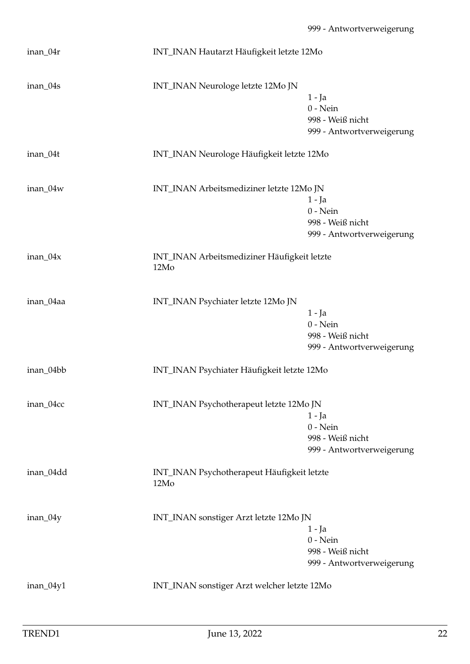| inan_04r   | INT_INAN Hautarzt Häufigkeit letzte 12Mo            |                                                                         |
|------------|-----------------------------------------------------|-------------------------------------------------------------------------|
| inan_04s   | INT_INAN Neurologe letzte 12Mo JN                   | $1 - Ja$<br>$0$ - Nein<br>998 - Weiß nicht<br>999 - Antwortverweigerung |
| inan_04t   | INT_INAN Neurologe Häufigkeit letzte 12Mo           |                                                                         |
| inan_04w   | INT_INAN Arbeitsmediziner letzte 12Mo JN            | 1 - Ja<br>$0$ - Nein<br>998 - Weiß nicht<br>999 - Antwortverweigerung   |
| $inan_04x$ | INT_INAN Arbeitsmediziner Häufigkeit letzte<br>12Mo |                                                                         |
| inan_04aa  | INT_INAN Psychiater letzte 12Mo JN                  | $1 - Ja$<br>$0$ - Nein<br>998 - Weiß nicht<br>999 - Antwortverweigerung |
| inan_04bb  | INT_INAN Psychiater Häufigkeit letzte 12Mo          |                                                                         |
| inan_04cc  | INT_INAN Psychotherapeut letzte 12Mo JN             | $1 - Ja$<br>$0$ - Nein<br>998 - Weiß nicht<br>999 - Antwortverweigerung |
| inan_04dd  | INT_INAN Psychotherapeut Häufigkeit letzte<br>12Mo  |                                                                         |
| inan_04y   | INT_INAN sonstiger Arzt letzte 12Mo JN              | 1 - Ja<br>$0$ - Nein<br>998 - Weiß nicht<br>999 - Antwortverweigerung   |
| inan_04y1  | INT_INAN sonstiger Arzt welcher letzte 12Mo         |                                                                         |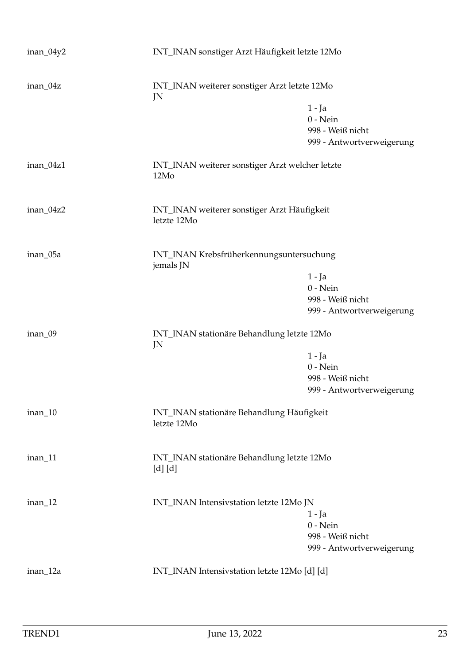| inan_04y2 |                                                            | INT_INAN sonstiger Arzt Häufigkeit letzte 12Mo                          |  |
|-----------|------------------------------------------------------------|-------------------------------------------------------------------------|--|
| inan_04z  | INT_INAN weiterer sonstiger Arzt letzte 12Mo<br>JN         |                                                                         |  |
|           |                                                            | $1 - Ja$<br>$0$ - Nein<br>998 - Weiß nicht<br>999 - Antwortverweigerung |  |
| inan_04z1 | INT_INAN weiterer sonstiger Arzt welcher letzte<br>12Mo    |                                                                         |  |
| inan_04z2 | INT_INAN weiterer sonstiger Arzt Häufigkeit<br>letzte 12Mo |                                                                         |  |
| inan_05a  | INT_INAN Krebsfrüherkennungsuntersuchung<br>jemals JN      |                                                                         |  |
|           |                                                            | $1 - Ja$<br>$0$ - Nein<br>998 - Weiß nicht<br>999 - Antwortverweigerung |  |
| inan_09   | INT_INAN stationäre Behandlung letzte 12Mo<br>JN           |                                                                         |  |
|           |                                                            | $1 - Ja$<br>$0$ - Nein<br>998 - Weiß nicht<br>999 - Antwortverweigerung |  |
| inan_10   | INT_INAN stationäre Behandlung Häufigkeit<br>letzte 12Mo   |                                                                         |  |
| inan_11   | INT_INAN stationäre Behandlung letzte 12Mo<br>$[d]$ $[d]$  |                                                                         |  |
| $inan_12$ | INT_INAN Intensivstation letzte 12Mo JN                    | 1 - Ja<br>$0$ - Nein<br>998 - Weiß nicht<br>999 - Antwortverweigerung   |  |
| inan_12a  |                                                            | INT_INAN Intensivstation letzte 12Mo [d] [d]                            |  |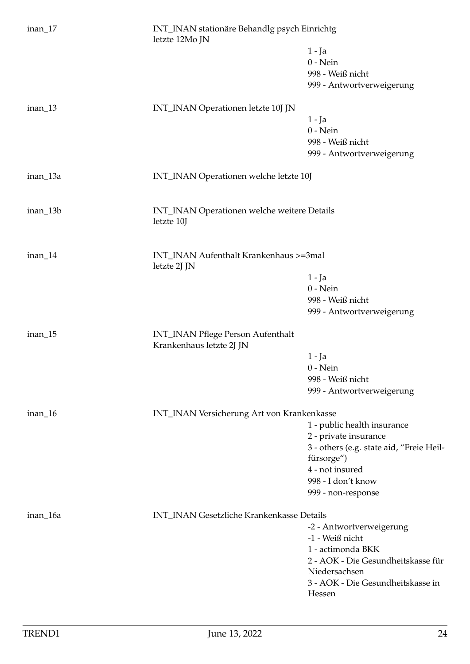| $inan_17$ | INT_INAN stationäre Behandlg psych Einrichtg<br>letzte 12Mo JN |                                                        |  |
|-----------|----------------------------------------------------------------|--------------------------------------------------------|--|
|           |                                                                | $1 - Ja$                                               |  |
|           |                                                                | $0$ - Nein                                             |  |
|           |                                                                | 998 - Weiß nicht                                       |  |
|           |                                                                | 999 - Antwortverweigerung                              |  |
| $inan_13$ | INT_INAN Operationen letzte 10J JN                             |                                                        |  |
|           |                                                                | $1 - Ja$                                               |  |
|           |                                                                | $0$ - Nein                                             |  |
|           |                                                                | 998 - Weiß nicht                                       |  |
|           |                                                                | 999 - Antwortverweigerung                              |  |
| inan_13a  | INT_INAN Operationen welche letzte 10J                         |                                                        |  |
| inan_13b  | INT_INAN Operationen welche weitere Details<br>letzte 10J      |                                                        |  |
| inan_14   | INT_INAN Aufenthalt Krankenhaus >=3mal                         |                                                        |  |
|           | letzte 2J JN                                                   |                                                        |  |
|           |                                                                | 1 - Ja<br>$0$ - Nein                                   |  |
|           |                                                                | 998 - Weiß nicht                                       |  |
|           |                                                                | 999 - Antwortverweigerung                              |  |
| inan_15   | INT_INAN Pflege Person Aufenthalt<br>Krankenhaus letzte 2J JN  |                                                        |  |
|           |                                                                | $1 - Ja$                                               |  |
|           |                                                                | $0$ - Nein                                             |  |
|           |                                                                | 998 - Weiß nicht                                       |  |
|           |                                                                | 999 - Antwortverweigerung                              |  |
| $inan_16$ | INT_INAN Versicherung Art von Krankenkasse                     |                                                        |  |
|           |                                                                | 1 - public health insurance                            |  |
|           |                                                                | 2 - private insurance                                  |  |
|           |                                                                | 3 - others (e.g. state aid, "Freie Heil-<br>fürsorge") |  |
|           |                                                                | 4 - not insured                                        |  |
|           |                                                                | 998 - I don't know                                     |  |
|           |                                                                | 999 - non-response                                     |  |
| inan_16a  | INT_INAN Gesetzliche Krankenkasse Details                      |                                                        |  |
|           |                                                                | -2 - Antwortverweigerung                               |  |
|           |                                                                | -1 - Weiß nicht                                        |  |
|           |                                                                | 1 - actimonda BKK                                      |  |
|           |                                                                | 2 - AOK - Die Gesundheitskasse für                     |  |
|           |                                                                | Niedersachsen                                          |  |
|           |                                                                | 3 - AOK - Die Gesundheitskasse in<br>Hessen            |  |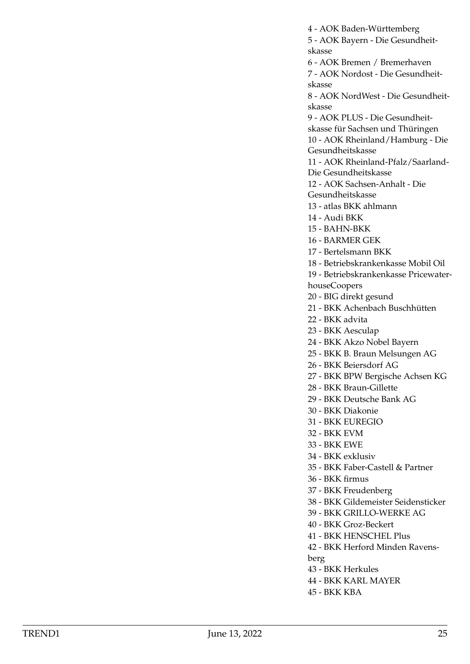4 - AOK Baden-Württemberg 5 - AOK Bayern - Die Gesundheitskasse 6 - AOK Bremen / Bremerhaven 7 - AOK Nordost - Die Gesundheitskasse 8 - AOK NordWest - Die Gesundheitskasse 9 - AOK PLUS - Die Gesundheitskasse für Sachsen und Thüringen 10 - AOK Rheinland/Hamburg - Die Gesundheitskasse 11 - AOK Rheinland-Pfalz/Saarland-Die Gesundheitskasse 12 - AOK Sachsen-Anhalt - Die Gesundheitskasse 13 - atlas BKK ahlmann 14 - Audi BKK 15 - BAHN-BKK 16 - BARMER GEK 17 - Bertelsmann BKK 18 - Betriebskrankenkasse Mobil Oil 19 - Betriebskrankenkasse PricewaterhouseCoopers 20 - BIG direkt gesund 21 - BKK Achenbach Buschhütten 22 - BKK advita 23 - BKK Aesculap 24 - BKK Akzo Nobel Bayern 25 - BKK B. Braun Melsungen AG 26 - BKK Beiersdorf AG 27 - BKK BPW Bergische Achsen KG 28 - BKK Braun-Gillette 29 - BKK Deutsche Bank AG 30 - BKK Diakonie 31 - BKK EUREGIO 32 - BKK EVM 33 - BKK EWE 34 - BKK exklusiv 35 - BKK Faber-Castell & Partner 36 - BKK firmus 37 - BKK Freudenberg 38 - BKK Gildemeister Seidensticker

- 39 BKK GRILLO-WERKE AG
- 40 BKK Groz-Beckert
- 41 BKK HENSCHEL Plus
- 42 BKK Herford Minden Ravens-
- berg
- 43 BKK Herkules
- 44 BKK KARL MAYER
- 45 BKK KBA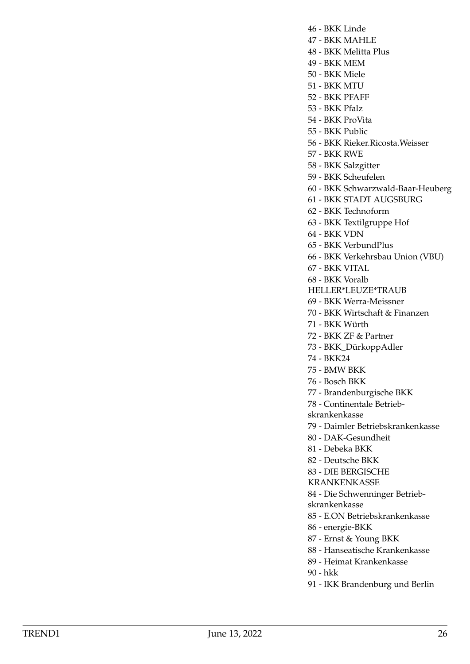- 46 BKK Linde
- 47 BKK MAHLE
- 48 BKK Melitta Plus
- 49 BKK MEM
- 50 BKK Miele
- 51 BKK MTU
- 52 BKK PFAFF
- 53 BKK Pfalz
- 54 BKK ProVita
- 55 BKK Public
- 56 BKK Rieker.Ricosta.Weisser
- 57 BKK RWE
- 58 BKK Salzgitter
- 59 BKK Scheufelen
- 60 BKK Schwarzwald-Baar-Heuberg
- 61 BKK STADT AUGSBURG
- 62 BKK Technoform
- 63 BKK Textilgruppe Hof
- 64 BKK VDN
- 65 BKK VerbundPlus
- 66 BKK Verkehrsbau Union (VBU)
- 67 BKK VITAL
- 68 BKK Voralb
- HELLER\*LEUZE\*TRAUB
- 69 BKK Werra-Meissner
- 70 BKK Wirtschaft & Finanzen
- 71 BKK Würth
- 72 BKK ZF & Partner
- 73 BKK\_DürkoppAdler
- 74 BKK24
- 75 BMW BKK
- 76 Bosch BKK
- 77 Brandenburgische BKK
- 78 Continentale Betrieb-
- skrankenkasse
- 79 Daimler Betriebskrankenkasse
- 80 DAK-Gesundheit
- 81 Debeka BKK
- 82 Deutsche BKK
- 83 DIE BERGISCHE
- KRANKENKASSE
- 84 Die Schwenninger Betrieb-
- skrankenkasse
- 85 E.ON Betriebskrankenkasse
- 86 energie-BKK
- 87 Ernst & Young BKK
- 88 Hanseatische Krankenkasse
- 89 Heimat Krankenkasse
- 90 hkk
- 91 IKK Brandenburg und Berlin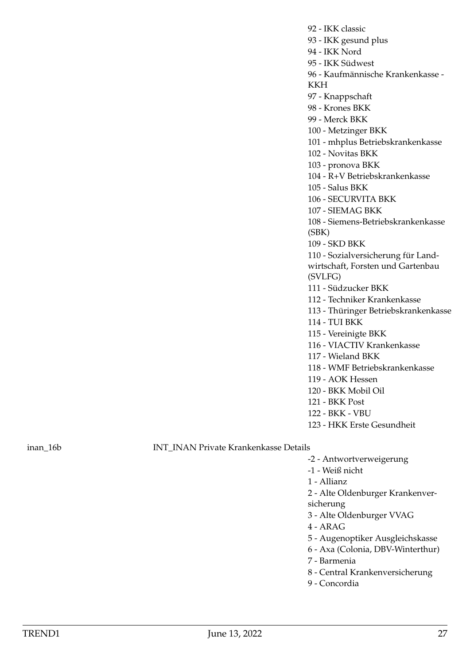92 - IKK classic 93 - IKK gesund plus 94 - IKK Nord 95 - IKK Südwest 96 - Kaufmännische Krankenkasse - KKH 97 - Knappschaft 98 - Krones BKK 99 - Merck BKK 100 - Metzinger BKK 101 - mhplus Betriebskrankenkasse 102 - Novitas BKK 103 - pronova BKK 104 - R+V Betriebskrankenkasse 105 - Salus BKK 106 - SECURVITA BKK 107 - SIEMAG BKK 108 - Siemens-Betriebskrankenkasse (SBK) 109 - SKD BKK 110 - Sozialversicherung für Landwirtschaft, Forsten und Gartenbau (SVLFG) 111 - Südzucker BKK 112 - Techniker Krankenkasse 113 - Thüringer Betriebskrankenkasse 114 - TUI BKK 115 - Vereinigte BKK 116 - VIACTIV Krankenkasse 117 - Wieland BKK 118 - WMF Betriebskrankenkasse 119 - AOK Hessen 120 - BKK Mobil Oil 121 - BKK Post 122 - BKK - VBU 123 - HKK Erste Gesundheit

inan\_16b INT\_INAN Private Krankenkasse Details

- -2 Antwortverweigerung
- -1 Weiß nicht
- 1 Allianz
- 2 Alte Oldenburger Krankenversicherung
- 3 Alte Oldenburger VVAG
- 4 ARAG
- 5 Augenoptiker Ausgleichskasse
- 6 Axa (Colonia, DBV-Winterthur)
- 7 Barmenia
- 8 Central Krankenversicherung
- 9 Concordia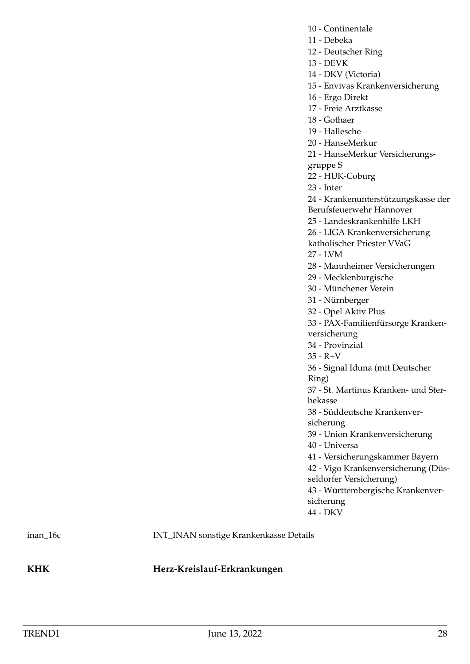- 10 Continentale
- 11 Debeka
- 12 Deutscher Ring
- 13 DEVK
- 14 DKV (Victoria)

15 - Envivas Krankenversicherung

16 - Ergo Direkt

17 - Freie Arztkasse

- 18 Gothaer
- 19 Hallesche
- 20 HanseMerkur
- 21 HanseMerkur Versicherungs-
- gruppe S
- 22 HUK-Coburg
- 23 Inter

24 - Krankenunterstützungskasse der

Berufsfeuerwehr Hannover

25 - Landeskrankenhilfe LKH

- 26 LIGA Krankenversicherung
- katholischer Priester VVaG
- 27 LVM
- 28 Mannheimer Versicherungen
- 29 Mecklenburgische
- 30 Münchener Verein
- 31 Nürnberger
- 32 Opel Aktiv Plus

33 - PAX-Familienfürsorge Krankenversicherung

- 34 Provinzial
- $35 R + V$

36 - Signal Iduna (mit Deutscher

Ring)

37 - St. Martinus Kranken- und Sterbekasse

38 - Süddeutsche Krankenversicherung

39 - Union Krankenversicherung

40 - Universa

41 - Versicherungskammer Bayern

42 - Vigo Krankenversicherung (Düsseldorfer Versicherung)

43 - Württembergische Krankenversicherung

44 - DKV

inan\_16c INT\_INAN sonstige Krankenkasse Details

<span id="page-27-0"></span>**KHK Herz-Kreislauf-Erkrankungen**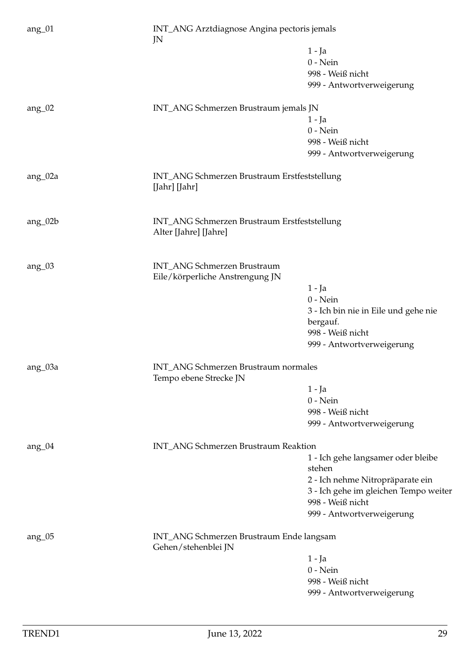| $ang_01$      | INT_ANG Arztdiagnose Angina pectoris jemals<br>JN                     |                                       |
|---------------|-----------------------------------------------------------------------|---------------------------------------|
|               |                                                                       | $1 - Ja$                              |
|               |                                                                       | $0$ - Nein                            |
|               |                                                                       | 998 - Weiß nicht                      |
|               |                                                                       | 999 - Antwortverweigerung             |
| ang $_{-02}$  | INT_ANG Schmerzen Brustraum jemals JN                                 |                                       |
|               |                                                                       | $1 - Ja$                              |
|               |                                                                       | $0$ - Nein                            |
|               |                                                                       | 998 - Weiß nicht                      |
|               |                                                                       | 999 - Antwortverweigerung             |
| $ang_02a$     | INT_ANG Schmerzen Brustraum Erstfeststellung<br>[Jahr] [Jahr]         |                                       |
| ang_02b       | INT_ANG Schmerzen Brustraum Erstfeststellung<br>Alter [Jahre] [Jahre] |                                       |
|               |                                                                       |                                       |
| ang $\alpha$  | <b>INT_ANG Schmerzen Brustraum</b><br>Eile/körperliche Anstrengung JN |                                       |
|               |                                                                       | $1 - Ja$                              |
|               |                                                                       | $0$ - Nein                            |
|               |                                                                       | 3 - Ich bin nie in Eile und gehe nie  |
|               |                                                                       | bergauf.                              |
|               |                                                                       | 998 - Weiß nicht                      |
|               |                                                                       | 999 - Antwortverweigerung             |
| ang_03a       | INT_ANG Schmerzen Brustraum normales<br>Tempo ebene Strecke JN        |                                       |
|               |                                                                       | $1 - Ja$                              |
|               |                                                                       | $0$ - Nein                            |
|               |                                                                       | 998 - Weiß nicht                      |
|               |                                                                       | 999 - Antwortverweigerung             |
| ang $_0$ $04$ | INT_ANG Schmerzen Brustraum Reaktion                                  |                                       |
|               |                                                                       | 1 - Ich gehe langsamer oder bleibe    |
|               |                                                                       | stehen                                |
|               |                                                                       | 2 - Ich nehme Nitropräparate ein      |
|               |                                                                       | 3 - Ich gehe im gleichen Tempo weiter |
|               |                                                                       | 998 - Weiß nicht                      |
|               |                                                                       | 999 - Antwortverweigerung             |
| ang $\mu$     | INT_ANG Schmerzen Brustraum Ende langsam<br>Gehen/stehenblei JN       |                                       |
|               |                                                                       | $1 - Ja$                              |
|               |                                                                       | $0$ - Nein                            |
|               |                                                                       | 998 - Weiß nicht                      |
|               |                                                                       | 999 - Antwortverweigerung             |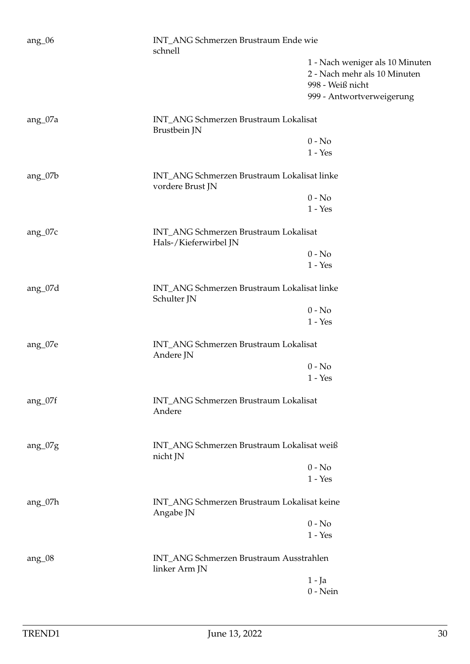| $ang_0$      | INT_ANG Schmerzen Brustraum Ende wie<br>schnell                 |                                             |  |
|--------------|-----------------------------------------------------------------|---------------------------------------------|--|
|              |                                                                 | 1 - Nach weniger als 10 Minuten             |  |
|              |                                                                 | 2 - Nach mehr als 10 Minuten                |  |
|              |                                                                 | 998 - Weiß nicht                            |  |
|              |                                                                 | 999 - Antwortverweigerung                   |  |
| ang_07a      | INT_ANG Schmerzen Brustraum Lokalisat<br>Brustbein JN           |                                             |  |
|              |                                                                 | $0 - No$                                    |  |
|              |                                                                 | $1 - Yes$                                   |  |
| $ang_07b$    | INT_ANG Schmerzen Brustraum Lokalisat linke<br>vordere Brust JN |                                             |  |
|              |                                                                 | $0 - No$                                    |  |
|              |                                                                 | $1 - Yes$                                   |  |
| $ang_07c$    | INT_ANG Schmerzen Brustraum Lokalisat<br>Hals-/Kieferwirbel JN  |                                             |  |
|              |                                                                 | $0 - No$                                    |  |
|              |                                                                 | $1 - Yes$                                   |  |
| $ang_07d$    | INT_ANG Schmerzen Brustraum Lokalisat linke<br>Schulter JN      |                                             |  |
|              |                                                                 | $0 - No$                                    |  |
|              |                                                                 | $1 - Yes$                                   |  |
| ang_07e      | INT_ANG Schmerzen Brustraum Lokalisat<br>Andere JN              |                                             |  |
|              |                                                                 | $0 - No$                                    |  |
|              |                                                                 | $1 - Yes$                                   |  |
| $ang_07f$    | INT_ANG Schmerzen Brustraum Lokalisat<br>Andere                 |                                             |  |
| $ang_07g$    | INT_ANG Schmerzen Brustraum Lokalisat weiß<br>nicht JN          |                                             |  |
|              |                                                                 | $0 - No$                                    |  |
|              |                                                                 | $1 - Yes$                                   |  |
| ang_07h      | Angabe JN                                                       | INT_ANG Schmerzen Brustraum Lokalisat keine |  |
|              |                                                                 | $0 - No$                                    |  |
|              |                                                                 | $1 - Yes$                                   |  |
| ang $_{.08}$ | INT_ANG Schmerzen Brustraum Ausstrahlen<br>linker Arm JN        |                                             |  |
|              |                                                                 | $1 - Ja$                                    |  |
|              |                                                                 | $0$ - Nein                                  |  |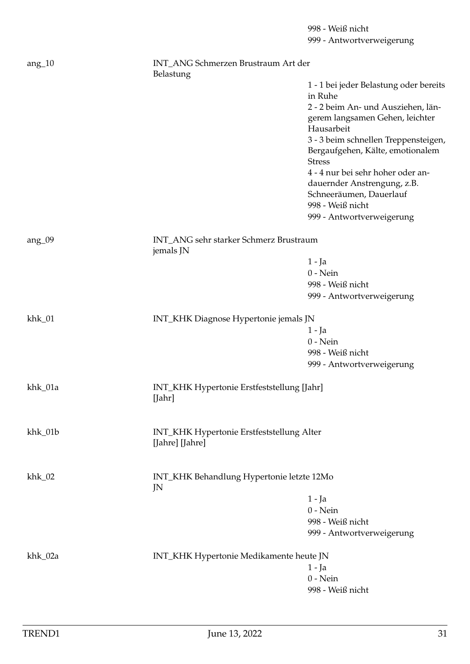998 - Weiß nicht 999 - Antwortverweigerung ang\_10 INT\_ANG Schmerzen Brustraum Art der Belastung 1 - 1 bei jeder Belastung oder bereits in Ruhe 2 - 2 beim An- und Ausziehen, längerem langsamen Gehen, leichter Hausarbeit 3 - 3 beim schnellen Treppensteigen, Bergaufgehen, Kälte, emotionalem Stress 4 - 4 nur bei sehr hoher oder andauernder Anstrengung, z.B. Schneeräumen, Dauerlauf 998 - Weiß nicht 999 - Antwortverweigerung ang\_09 INT\_ANG sehr starker Schmerz Brustraum jemals JN 1 - Ja 0 - Nein 998 - Weiß nicht 999 - Antwortverweigerung khk\_01 INT\_KHK Diagnose Hypertonie jemals JN 1 - Ja 0 - Nein 998 - Weiß nicht 999 - Antwortverweigerung khk\_01a INT\_KHK Hypertonie Erstfeststellung [Jahr] [Jahr] khk\_01b INT\_KHK Hypertonie Erstfeststellung Alter [Jahre] [Jahre] khk\_02 INT\_KHK Behandlung Hypertonie letzte 12Mo JN 1 - Ja 0 - Nein 998 - Weiß nicht 999 - Antwortverweigerung khk\_02a INT\_KHK Hypertonie Medikamente heute JN 1 - Ja 0 - Nein 998 - Weiß nicht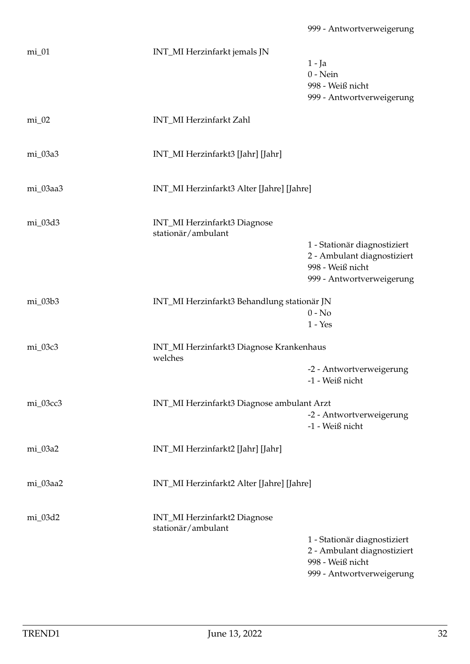| $mi_01$   | INT_MI Herzinfarkt jemals JN                              | 1 - Ja<br>$0$ - Nein<br>998 - Weiß nicht<br>999 - Antwortverweigerung                                        |  |
|-----------|-----------------------------------------------------------|--------------------------------------------------------------------------------------------------------------|--|
| $mi_02$   | INT_MI Herzinfarkt Zahl                                   |                                                                                                              |  |
| mi_03a3   | INT_MI Herzinfarkt3 [Jahr] [Jahr]                         |                                                                                                              |  |
| mi_03aa3  | INT_MI Herzinfarkt3 Alter [Jahre] [Jahre]                 |                                                                                                              |  |
| mi_03d3   | INT_MI Herzinfarkt3 Diagnose<br>stationär/ambulant        | 1 - Stationär diagnostiziert<br>2 - Ambulant diagnostiziert<br>998 - Weiß nicht<br>999 - Antwortverweigerung |  |
| $mi_03b3$ | INT_MI Herzinfarkt3 Behandlung stationär JN               | $0 - No$<br>$1 - Yes$                                                                                        |  |
| mi_03c3   | INT_MI Herzinfarkt3 Diagnose Krankenhaus<br>welches       | -2 - Antwortverweigerung<br>-1 - Weiß nicht                                                                  |  |
| mi_03cc3  | INT_MI Herzinfarkt3 Diagnose ambulant Arzt                |                                                                                                              |  |
|           |                                                           | -2 - Antwortverweigerung<br>-1 - Weiß nicht                                                                  |  |
| mi_03a2   | INT_MI Herzinfarkt2 [Jahr] [Jahr]                         |                                                                                                              |  |
| mi_03aa2  | INT_MI Herzinfarkt2 Alter [Jahre] [Jahre]                 |                                                                                                              |  |
| mi_03d2   | <b>INT_MI Herzinfarkt2 Diagnose</b><br>stationär/ambulant | 1 - Stationär diagnostiziert<br>2 - Ambulant diagnostiziert<br>998 - Weiß nicht<br>999 - Antwortverweigerung |  |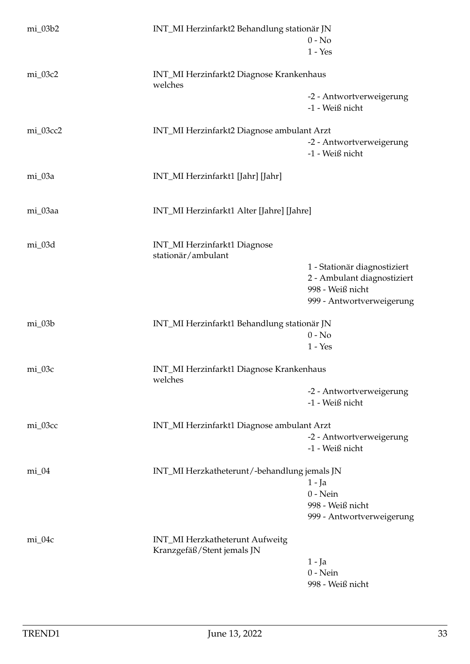| mi_03b2  | INT_MI Herzinfarkt2 Behandlung stationär JN                   | $0 - No$<br>$1 - Yes$                                                                                        |  |
|----------|---------------------------------------------------------------|--------------------------------------------------------------------------------------------------------------|--|
| mi_03c2  | INT_MI Herzinfarkt2 Diagnose Krankenhaus<br>welches           |                                                                                                              |  |
|          |                                                               | -2 - Antwortverweigerung<br>-1 - Weiß nicht                                                                  |  |
| mi_03cc2 | INT_MI Herzinfarkt2 Diagnose ambulant Arzt                    |                                                                                                              |  |
|          |                                                               | -2 - Antwortverweigerung<br>-1 - Weiß nicht                                                                  |  |
| mi_03a   | INT_MI Herzinfarkt1 [Jahr] [Jahr]                             |                                                                                                              |  |
| mi_03aa  | INT_MI Herzinfarkt1 Alter [Jahre] [Jahre]                     |                                                                                                              |  |
| mi_03d   | <b>INT_MI Herzinfarkt1 Diagnose</b><br>stationär/ambulant     |                                                                                                              |  |
|          |                                                               | 1 - Stationär diagnostiziert<br>2 - Ambulant diagnostiziert<br>998 - Weiß nicht<br>999 - Antwortverweigerung |  |
| mi_03b   |                                                               | INT_MI Herzinfarkt1 Behandlung stationär JN                                                                  |  |
|          |                                                               | $0 - No$<br>$1 - Yes$                                                                                        |  |
| $mi_03c$ | INT_MI Herzinfarkt1 Diagnose Krankenhaus<br>welches           |                                                                                                              |  |
|          |                                                               | -2 - Antwortverweigerung<br>-1 - Weiß nicht                                                                  |  |
| mi_03cc  | INT_MI Herzinfarkt1 Diagnose ambulant Arzt                    |                                                                                                              |  |
|          |                                                               | -2 - Antwortverweigerung<br>-1 - Weiß nicht                                                                  |  |
| $mi_04$  | INT_MI Herzkatheterunt/-behandlung jemals JN                  |                                                                                                              |  |
|          |                                                               | $1 - Ja$<br>$0$ - Nein                                                                                       |  |
|          |                                                               | 998 - Weiß nicht<br>999 - Antwortverweigerung                                                                |  |
| $mi_04c$ | INT_MI Herzkatheterunt Aufweitg<br>Kranzgefäß/Stent jemals JN |                                                                                                              |  |
|          |                                                               | 1 - Ja                                                                                                       |  |
|          |                                                               | $0$ - Nein                                                                                                   |  |
|          |                                                               | 998 - Weiß nicht                                                                                             |  |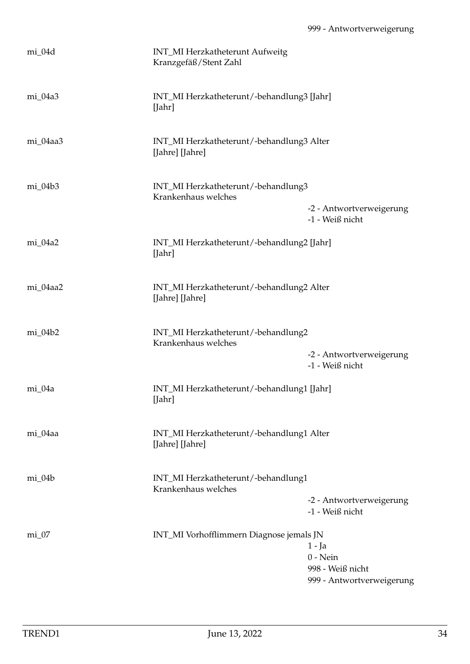| mi_04d    | INT_MI Herzkatheterunt Aufweitg<br>Kranzgefäß/Stent Zahl     |                                                                       |
|-----------|--------------------------------------------------------------|-----------------------------------------------------------------------|
| mi_04a3   | INT_MI Herzkatheterunt/-behandlung3 [Jahr]<br>[Jahr]         |                                                                       |
| mi_04aa3  | INT_MI Herzkatheterunt/-behandlung3 Alter<br>[Jahre] [Jahre] |                                                                       |
| $mi_04b3$ | INT_MI Herzkatheterunt/-behandlung3<br>Krankenhaus welches   | -2 - Antwortverweigerung<br>-1 - Weiß nicht                           |
| mi_04a2   | INT_MI Herzkatheterunt/-behandlung2 [Jahr]<br>[Jahr]         |                                                                       |
| mi_04aa2  | INT_MI Herzkatheterunt/-behandlung2 Alter<br>[Jahre] [Jahre] |                                                                       |
| $mi_04b2$ | INT_MI Herzkatheterunt/-behandlung2<br>Krankenhaus welches   | -2 - Antwortverweigerung<br>-1 - Weiß nicht                           |
| mi_04a    | INT_MI Herzkatheterunt/-behandlung1 [Jahr]<br>[Jahr]         |                                                                       |
| mi_04aa   | INT_MI Herzkatheterunt/-behandlung1 Alter<br>[Jahre] [Jahre] |                                                                       |
| $mi_04b$  | INT_MI Herzkatheterunt/-behandlung1<br>Krankenhaus welches   | -2 - Antwortverweigerung<br>-1 - Weiß nicht                           |
| $mi_0$    | INT_MI Vorhofflimmern Diagnose jemals JN                     | 1 - Ja<br>$0 - Nein$<br>998 - Weiß nicht<br>999 - Antwortverweigerung |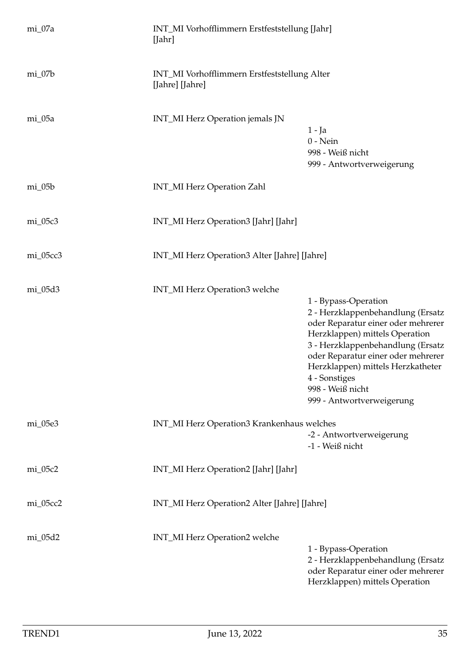| $mi_07a$ | INT_MI Vorhofflimmern Erstfeststellung [Jahr]<br>[Jahr]         |                                                                                                                                                                                                                                                                                                                     |
|----------|-----------------------------------------------------------------|---------------------------------------------------------------------------------------------------------------------------------------------------------------------------------------------------------------------------------------------------------------------------------------------------------------------|
| $mi_07b$ | INT_MI Vorhofflimmern Erstfeststellung Alter<br>[Jahre] [Jahre] |                                                                                                                                                                                                                                                                                                                     |
| mi_05a   | INT_MI Herz Operation jemals JN                                 | $1 - Ja$<br>$0$ - Nein<br>998 - Weiß nicht<br>999 - Antwortverweigerung                                                                                                                                                                                                                                             |
| $mi_05b$ | INT_MI Herz Operation Zahl                                      |                                                                                                                                                                                                                                                                                                                     |
| mi_05c3  | INT_MI Herz Operation3 [Jahr] [Jahr]                            |                                                                                                                                                                                                                                                                                                                     |
| mi_05cc3 | INT_MI Herz Operation3 Alter [Jahre] [Jahre]                    |                                                                                                                                                                                                                                                                                                                     |
| mi_05d3  | INT_MI Herz Operation3 welche                                   | 1 - Bypass-Operation<br>2 - Herzklappenbehandlung (Ersatz<br>oder Reparatur einer oder mehrerer<br>Herzklappen) mittels Operation<br>3 - Herzklappenbehandlung (Ersatz<br>oder Reparatur einer oder mehrerer<br>Herzklappen) mittels Herzkatheter<br>4 - Sonstiges<br>998 - Weiß nicht<br>999 - Antwortverweigerung |
| mi_05e3  | INT_MI Herz Operation3 Krankenhaus welches                      | -2 - Antwortverweigerung<br>-1 - Weiß nicht                                                                                                                                                                                                                                                                         |
| mi_05c2  | INT_MI Herz Operation2 [Jahr] [Jahr]                            |                                                                                                                                                                                                                                                                                                                     |
| mi_05cc2 | INT_MI Herz Operation2 Alter [Jahre] [Jahre]                    |                                                                                                                                                                                                                                                                                                                     |
| mi_05d2  | INT_MI Herz Operation2 welche                                   | 1 - Bypass-Operation<br>2 - Herzklappenbehandlung (Ersatz<br>oder Reparatur einer oder mehrerer<br>Herzklappen) mittels Operation                                                                                                                                                                                   |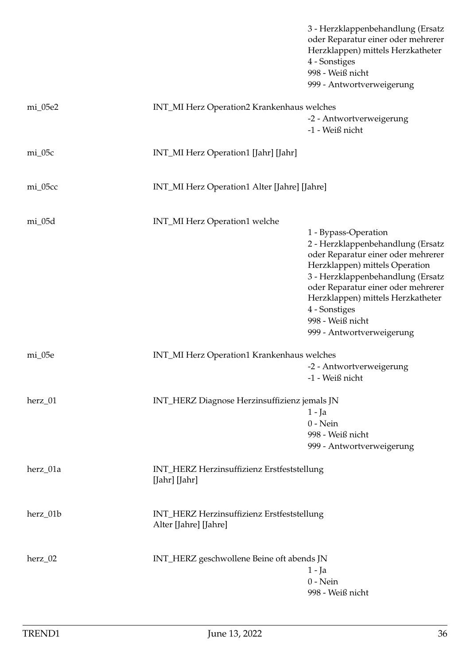|          |                                                                     | 3 - Herzklappenbehandlung (Ersatz<br>oder Reparatur einer oder mehrerer<br>Herzklappen) mittels Herzkatheter<br>4 - Sonstiges<br>998 - Weiß nicht<br>999 - Antwortverweigerung                               |  |
|----------|---------------------------------------------------------------------|--------------------------------------------------------------------------------------------------------------------------------------------------------------------------------------------------------------|--|
| mi_05e2  | INT_MI Herz Operation2 Krankenhaus welches                          |                                                                                                                                                                                                              |  |
|          |                                                                     | -2 - Antwortverweigerung<br>-1 - Weiß nicht                                                                                                                                                                  |  |
| $mi_05c$ | INT_MI Herz Operation1 [Jahr] [Jahr]                                |                                                                                                                                                                                                              |  |
| mi_05cc  | INT_MI Herz Operation1 Alter [Jahre] [Jahre]                        |                                                                                                                                                                                                              |  |
| mi_05d   | INT_MI Herz Operation1 welche                                       |                                                                                                                                                                                                              |  |
|          |                                                                     | 1 - Bypass-Operation<br>2 - Herzklappenbehandlung (Ersatz<br>oder Reparatur einer oder mehrerer<br>Herzklappen) mittels Operation<br>3 - Herzklappenbehandlung (Ersatz<br>oder Reparatur einer oder mehrerer |  |
|          |                                                                     | Herzklappen) mittels Herzkatheter<br>4 - Sonstiges                                                                                                                                                           |  |
|          |                                                                     | 998 - Weiß nicht<br>999 - Antwortverweigerung                                                                                                                                                                |  |
| mi_05e   |                                                                     | INT_MI Herz Operation1 Krankenhaus welches                                                                                                                                                                   |  |
|          |                                                                     | -2 - Antwortverweigerung<br>-1 - Weiß nicht                                                                                                                                                                  |  |
| herz_01  |                                                                     | INT_HERZ Diagnose Herzinsuffizienz jemals JN                                                                                                                                                                 |  |
|          |                                                                     | $1 - Ja$                                                                                                                                                                                                     |  |
|          |                                                                     | $0$ - Nein<br>998 - Weiß nicht                                                                                                                                                                               |  |
|          |                                                                     | 999 - Antwortverweigerung                                                                                                                                                                                    |  |
| herz_01a | INT_HERZ Herzinsuffizienz Erstfeststellung<br>[Jahr] [Jahr]         |                                                                                                                                                                                                              |  |
| herz_01b | INT_HERZ Herzinsuffizienz Erstfeststellung<br>Alter [Jahre] [Jahre] |                                                                                                                                                                                                              |  |
| herz_02  |                                                                     | INT_HERZ geschwollene Beine oft abends JN                                                                                                                                                                    |  |
|          |                                                                     | $1 - Ja$                                                                                                                                                                                                     |  |
|          |                                                                     | $0$ - Nein<br>998 - Weiß nicht                                                                                                                                                                               |  |
|          |                                                                     |                                                                                                                                                                                                              |  |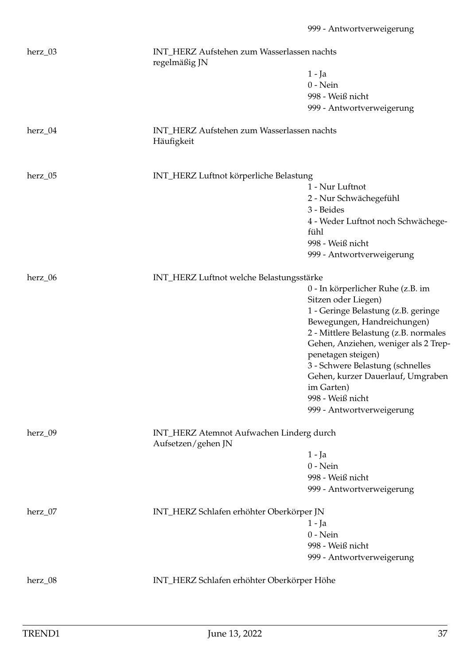| herz_03 | INT_HERZ Aufstehen zum Wasserlassen nachts<br>regelmäßig JN    |                                                 |
|---------|----------------------------------------------------------------|-------------------------------------------------|
|         |                                                                | 1 - Ja                                          |
|         |                                                                | $0$ - Nein                                      |
|         |                                                                | 998 - Weiß nicht                                |
|         |                                                                | 999 - Antwortverweigerung                       |
|         |                                                                |                                                 |
| herz_04 | INT_HERZ Aufstehen zum Wasserlassen nachts<br>Häufigkeit       |                                                 |
| herz_05 | INT_HERZ Luftnot körperliche Belastung                         |                                                 |
|         |                                                                | 1 - Nur Luftnot                                 |
|         |                                                                | 2 - Nur Schwächegefühl                          |
|         |                                                                | 3 - Beides                                      |
|         |                                                                | 4 - Weder Luftnot noch Schwächege-              |
|         |                                                                | fühl                                            |
|         |                                                                | 998 - Weiß nicht                                |
|         |                                                                | 999 - Antwortverweigerung                       |
|         |                                                                |                                                 |
| herz_06 | INT_HERZ Luftnot welche Belastungsstärke                       |                                                 |
|         |                                                                | 0 - In körperlicher Ruhe (z.B. im               |
|         |                                                                | Sitzen oder Liegen)                             |
|         |                                                                | 1 - Geringe Belastung (z.B. geringe             |
|         |                                                                | Bewegungen, Handreichungen)                     |
|         |                                                                | 2 - Mittlere Belastung (z.B. normales           |
|         |                                                                | Gehen, Anziehen, weniger als 2 Trep-            |
|         |                                                                | penetagen steigen)                              |
|         |                                                                | 3 - Schwere Belastung (schnelles                |
|         |                                                                | Gehen, kurzer Dauerlauf, Umgraben<br>im Garten) |
|         |                                                                | 998 - Weiß nicht                                |
|         |                                                                |                                                 |
|         |                                                                | 999 - Antwortverweigerung                       |
| herz_09 | INT_HERZ Atemnot Aufwachen Linderg durch<br>Aufsetzen/gehen JN |                                                 |
|         |                                                                | $1 - Ja$                                        |
|         |                                                                | $0$ - Nein                                      |
|         |                                                                | 998 - Weiß nicht                                |
|         |                                                                | 999 - Antwortverweigerung                       |
|         |                                                                |                                                 |
| herz_07 | INT_HERZ Schlafen erhöhter Oberkörper JN                       |                                                 |
|         |                                                                | 1 - Ja                                          |
|         |                                                                | $0$ - Nein                                      |
|         |                                                                | 998 - Weiß nicht                                |
|         |                                                                | 999 - Antwortverweigerung                       |
| herz_08 | INT_HERZ Schlafen erhöhter Oberkörper Höhe                     |                                                 |
|         |                                                                |                                                 |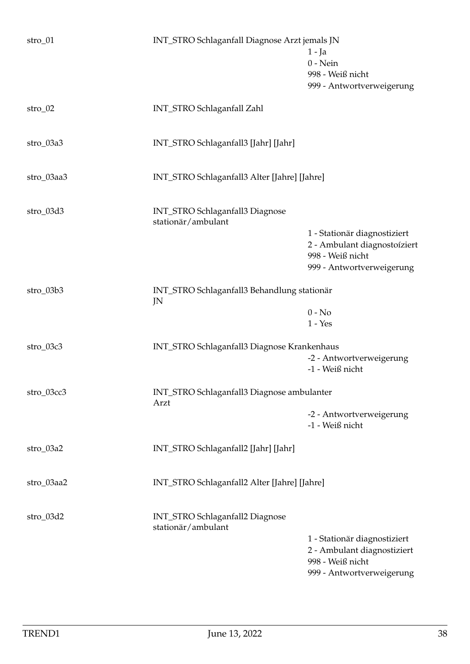| $stro_01$   | INT_STRO Schlaganfall Diagnose Arzt jemals JN         | $1 - Ja$<br>$0$ - Nein<br>998 - Weiß nicht<br>999 - Antwortverweigerung                                       |
|-------------|-------------------------------------------------------|---------------------------------------------------------------------------------------------------------------|
| $stro_02$   | INT_STRO Schlaganfall Zahl                            |                                                                                                               |
| $stro_03a3$ | INT_STRO Schlaganfall3 [Jahr] [Jahr]                  |                                                                                                               |
| stro_03aa3  | INT_STRO Schlaganfall3 Alter [Jahre] [Jahre]          |                                                                                                               |
| stro_03d3   | INT_STRO Schlaganfall3 Diagnose<br>stationär/ambulant |                                                                                                               |
|             |                                                       | 1 - Stationär diagnostiziert<br>2 - Ambulant diagnostoíziert<br>998 - Weiß nicht<br>999 - Antwortverweigerung |
| $stro_03b3$ | INT_STRO Schlaganfall3 Behandlung stationär<br>JN     |                                                                                                               |
|             |                                                       | $0 - No$<br>$1 - Yes$                                                                                         |
| stro_03c3   | INT_STRO Schlaganfall3 Diagnose Krankenhaus           | -2 - Antwortverweigerung<br>-1 - Weiß nicht                                                                   |
| stro_03cc3  | INT_STRO Schlaganfall3 Diagnose ambulanter<br>Arzt    |                                                                                                               |
|             |                                                       | -2 - Antwortverweigerung<br>-1 - Weiß nicht                                                                   |
| $stro_03a2$ | INT_STRO Schlaganfall2 [Jahr] [Jahr]                  |                                                                                                               |
| stro_03aa2  | INT_STRO Schlaganfall2 Alter [Jahre] [Jahre]          |                                                                                                               |
| stro_03d2   | INT_STRO Schlaganfall2 Diagnose<br>stationär/ambulant |                                                                                                               |
|             |                                                       | 1 - Stationär diagnostiziert<br>2 - Ambulant diagnostiziert<br>998 - Weiß nicht<br>999 - Antwortverweigerung  |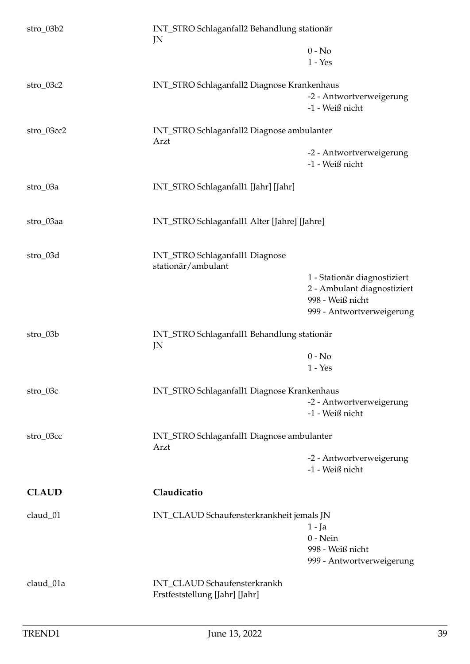| stro_03b2    | INT_STRO Schlaganfall2 Behandlung stationär<br>JN              |                                                                                                              |
|--------------|----------------------------------------------------------------|--------------------------------------------------------------------------------------------------------------|
|              |                                                                | $0 - No$<br>$1 - Yes$                                                                                        |
| $stro_03c2$  | INT_STRO Schlaganfall2 Diagnose Krankenhaus                    | -2 - Antwortverweigerung<br>-1 - Weiß nicht                                                                  |
| stro_03cc2   | INT_STRO Schlaganfall2 Diagnose ambulanter<br>Arzt             |                                                                                                              |
|              |                                                                | -2 - Antwortverweigerung<br>-1 - Weiß nicht                                                                  |
| $stro_03a$   | INT_STRO Schlaganfall1 [Jahr] [Jahr]                           |                                                                                                              |
| stro_03aa    | INT_STRO Schlaganfall1 Alter [Jahre] [Jahre]                   |                                                                                                              |
| stro_03d     | INT_STRO Schlaganfall1 Diagnose<br>stationär/ambulant          | 1 - Stationär diagnostiziert<br>2 - Ambulant diagnostiziert<br>998 - Weiß nicht<br>999 - Antwortverweigerung |
| $stro_03b$   | INT_STRO Schlaganfall1 Behandlung stationär<br>JN              |                                                                                                              |
|              |                                                                | $0 - No$<br>$1 - Yes$                                                                                        |
| $stro_03c$   | INT_STRO Schlaganfall1 Diagnose Krankenhaus                    | -2 - Antwortverweigerung<br>-1 - Weiß nicht                                                                  |
| stro_03cc    | INT_STRO Schlaganfall1 Diagnose ambulanter<br>Arzt             |                                                                                                              |
|              |                                                                | -2 - Antwortverweigerung<br>-1 - Weiß nicht                                                                  |
| <b>CLAUD</b> | Claudicatio                                                    |                                                                                                              |
| claud_01     | INT_CLAUD Schaufensterkrankheit jemals JN                      | $1 - Ja$<br>$0 - Nein$<br>998 - Weiß nicht<br>999 - Antwortverweigerung                                      |
| claud_01a    | INT_CLAUD Schaufensterkrankh<br>Erstfeststellung [Jahr] [Jahr] |                                                                                                              |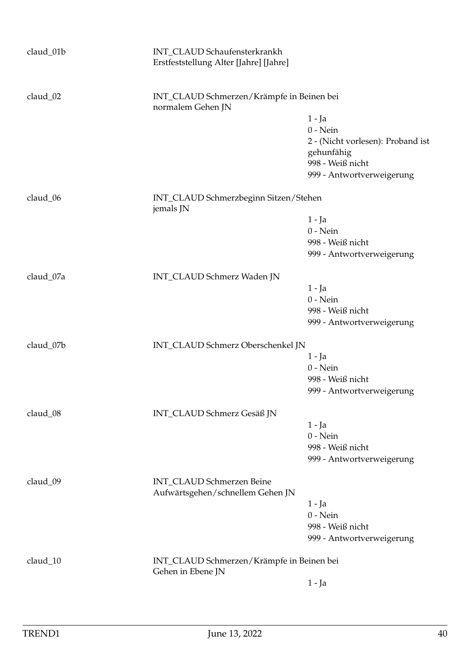| claud_01b | INT_CLAUD Schaufensterkrankh<br>Erstfeststellung Alter [Jahre] [Jahre] |                                           |  |
|-----------|------------------------------------------------------------------------|-------------------------------------------|--|
| claud_02  | normalem Gehen JN                                                      | INT_CLAUD Schmerzen/Krämpfe in Beinen bei |  |
|           |                                                                        | $1 - Ja$                                  |  |
|           |                                                                        | $0 - Nein$                                |  |
|           |                                                                        | 2 - (Nicht vorlesen): Proband ist         |  |
|           |                                                                        | gehunfähig                                |  |
|           |                                                                        | 998 - Weiß nicht                          |  |
|           |                                                                        | 999 - Antwortverweigerung                 |  |
| claud_06  | jemals JN                                                              | INT_CLAUD Schmerzbeginn Sitzen/Stehen     |  |
|           |                                                                        | $1 - Ja$                                  |  |
|           |                                                                        | $0$ - Nein                                |  |
|           |                                                                        | 998 - Weiß nicht                          |  |
|           |                                                                        | 999 - Antwortverweigerung                 |  |
|           |                                                                        |                                           |  |
| claud_07a | INT_CLAUD Schmerz Waden JN                                             |                                           |  |
|           |                                                                        | $1 - Ja$                                  |  |
|           |                                                                        | $0$ - Nein                                |  |
|           |                                                                        | 998 - Weiß nicht                          |  |
|           |                                                                        | 999 - Antwortverweigerung                 |  |
| claud_07b | INT_CLAUD Schmerz Oberschenkel JN                                      |                                           |  |
|           |                                                                        | $1 - Ja$                                  |  |
|           |                                                                        | $0$ - Nein                                |  |
|           |                                                                        | 998 - Weiß nicht                          |  |
|           |                                                                        | 999 - Antwortverweigerung                 |  |
| claud_08  | INT_CLAUD Schmerz Gesäß JN                                             |                                           |  |
|           |                                                                        | $1 - Ja$                                  |  |
|           |                                                                        | $0 - Nein$                                |  |
|           |                                                                        | 998 - Weiß nicht                          |  |
|           |                                                                        | 999 - Antwortverweigerung                 |  |
|           |                                                                        |                                           |  |
| claud_09  | INT_CLAUD Schmerzen Beine<br>Aufwärtsgehen/schnellem Gehen JN          |                                           |  |
|           |                                                                        | $1 - Ja$                                  |  |
|           |                                                                        | $0 - Nein$                                |  |
|           |                                                                        | 998 - Weiß nicht                          |  |
|           |                                                                        | 999 - Antwortverweigerung                 |  |
| claud_10  | Gehen in Ebene JN                                                      | INT_CLAUD Schmerzen/Krämpfe in Beinen bei |  |
|           |                                                                        | $1 - Ja$                                  |  |
|           |                                                                        |                                           |  |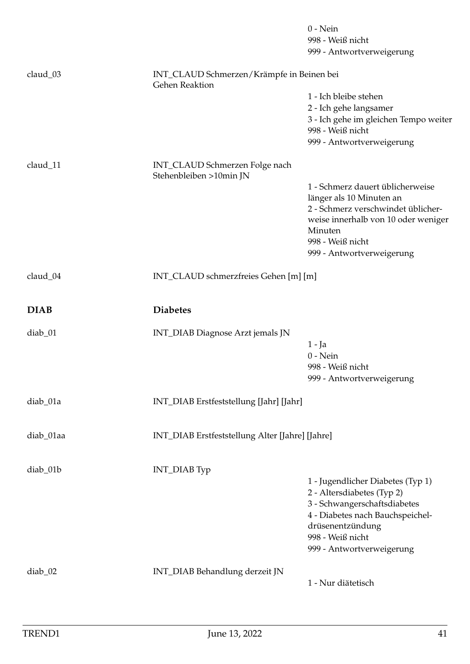|             |                                                                    | $0$ - Nein<br>998 - Weiß nicht                                                                                                                                                                           |
|-------------|--------------------------------------------------------------------|----------------------------------------------------------------------------------------------------------------------------------------------------------------------------------------------------------|
|             |                                                                    | 999 - Antwortverweigerung                                                                                                                                                                                |
|             |                                                                    |                                                                                                                                                                                                          |
| claud_03    | INT_CLAUD Schmerzen/Krämpfe in Beinen bei<br><b>Gehen Reaktion</b> |                                                                                                                                                                                                          |
|             |                                                                    | 1 - Ich bleibe stehen                                                                                                                                                                                    |
|             |                                                                    | 2 - Ich gehe langsamer<br>3 - Ich gehe im gleichen Tempo weiter<br>998 - Weiß nicht                                                                                                                      |
|             |                                                                    | 999 - Antwortverweigerung                                                                                                                                                                                |
| claud_11    | INT_CLAUD Schmerzen Folge nach<br>Stehenbleiben >10min JN          |                                                                                                                                                                                                          |
|             |                                                                    | 1 - Schmerz dauert üblicherweise<br>länger als 10 Minuten an<br>2 - Schmerz verschwindet üblicher-<br>weise innerhalb von 10 oder weniger<br>Minuten<br>998 - Weiß nicht<br>999 - Antwortverweigerung    |
| claud_04    | INT_CLAUD schmerzfreies Gehen [m] [m]                              |                                                                                                                                                                                                          |
|             |                                                                    |                                                                                                                                                                                                          |
| <b>DIAB</b> | <b>Diabetes</b>                                                    |                                                                                                                                                                                                          |
| diab_01     | INT_DIAB Diagnose Arzt jemals JN                                   | $1 - Ja$<br>$0$ - Nein<br>998 - Weiß nicht<br>999 - Antwortverweigerung                                                                                                                                  |
| diab_01a    | INT_DIAB Erstfeststellung [Jahr] [Jahr]                            |                                                                                                                                                                                                          |
| diab_01aa   | INT_DIAB Erstfeststellung Alter [Jahre] [Jahre]                    |                                                                                                                                                                                                          |
| diab_01b    | INT_DIAB Typ                                                       | 1 - Jugendlicher Diabetes (Typ 1)<br>2 - Altersdiabetes (Typ 2)<br>3 - Schwangerschaftsdiabetes<br>4 - Diabetes nach Bauchspeichel-<br>drüsenentzündung<br>998 - Weiß nicht<br>999 - Antwortverweigerung |
| $diab_02$   | INT_DIAB Behandlung derzeit JN                                     | 1 - Nur diätetisch                                                                                                                                                                                       |
|             |                                                                    |                                                                                                                                                                                                          |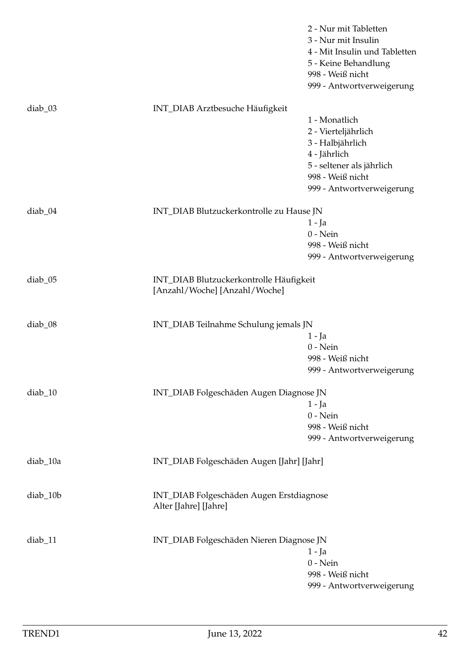|           |                                                                          | 2 - Nur mit Tabletten<br>3 - Nur mit Insulin<br>4 - Mit Insulin und Tabletten<br>5 - Keine Behandlung<br>998 - Weiß nicht<br>999 - Antwortverweigerung |
|-----------|--------------------------------------------------------------------------|--------------------------------------------------------------------------------------------------------------------------------------------------------|
| $diab_03$ | INT_DIAB Arztbesuche Häufigkeit                                          | 1 - Monatlich<br>2 - Vierteljährlich<br>3 - Halbjährlich<br>4 - Jährlich<br>5 - seltener als jährlich<br>998 - Weiß nicht<br>999 - Antwortverweigerung |
| diab_04   | INT_DIAB Blutzuckerkontrolle zu Hause JN                                 | 1 - Ja<br>$0$ - Nein<br>998 - Weiß nicht<br>999 - Antwortverweigerung                                                                                  |
| diab_05   | INT_DIAB Blutzuckerkontrolle Häufigkeit<br>[Anzahl/Woche] [Anzahl/Woche] |                                                                                                                                                        |
| $diab_08$ | INT_DIAB Teilnahme Schulung jemals JN                                    | 1 - Ja<br>$0$ - Nein<br>998 - Weiß nicht<br>999 - Antwortverweigerung                                                                                  |
| diab_10   | INT_DIAB Folgeschäden Augen Diagnose JN                                  | $1 - Ja$<br>$0$ - Nein<br>998 - Weiß nicht<br>999 - Antwortverweigerung                                                                                |
| diab_10a  | INT_DIAB Folgeschäden Augen [Jahr] [Jahr]                                |                                                                                                                                                        |
| diab_10b  | INT_DIAB Folgeschäden Augen Erstdiagnose<br>Alter [Jahre] [Jahre]        |                                                                                                                                                        |
| diab_11   | INT_DIAB Folgeschäden Nieren Diagnose JN                                 | $1 - Ja$<br>$0$ - Nein<br>998 - Weiß nicht<br>999 - Antwortverweigerung                                                                                |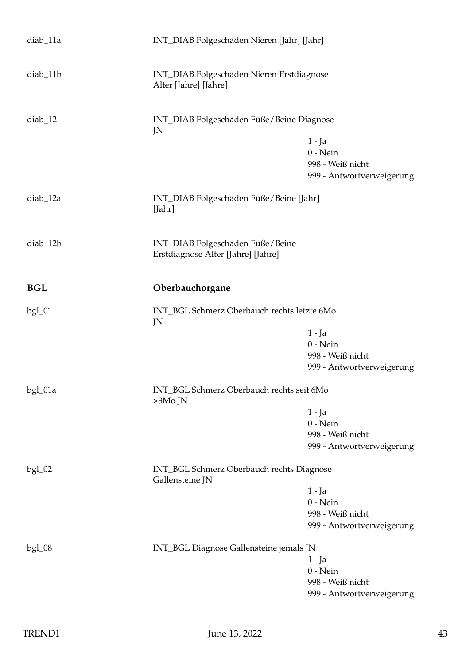| diab_11a                                                                 | INT_DIAB Folgeschäden Nieren [Jahr] [Jahr]                             |                                                                         |
|--------------------------------------------------------------------------|------------------------------------------------------------------------|-------------------------------------------------------------------------|
| diab_11b                                                                 | INT_DIAB Folgeschäden Nieren Erstdiagnose<br>Alter [Jahre] [Jahre]     |                                                                         |
| $diab_12$                                                                | INT_DIAB Folgeschäden Füße/Beine Diagnose<br>JN                        |                                                                         |
|                                                                          |                                                                        | $1 - Ja$<br>$0$ - Nein<br>998 - Weiß nicht<br>999 - Antwortverweigerung |
| diab_12a                                                                 | INT_DIAB Folgeschäden Füße/Beine [Jahr]<br>[Jahr]                      |                                                                         |
| diab_12b                                                                 | INT_DIAB Folgeschäden Füße/Beine<br>Erstdiagnose Alter [Jahre] [Jahre] |                                                                         |
| <b>BGL</b>                                                               | Oberbauchorgane                                                        |                                                                         |
| $bgl_01$                                                                 | INT_BGL Schmerz Oberbauch rechts letzte 6Mo<br>JN                      |                                                                         |
|                                                                          |                                                                        | $1 - Ja$                                                                |
|                                                                          |                                                                        | $0$ - Nein                                                              |
|                                                                          |                                                                        | 998 - Weiß nicht                                                        |
|                                                                          |                                                                        | 999 - Antwortverweigerung                                               |
| bgl_01a                                                                  | INT_BGL Schmerz Oberbauch rechts seit 6Mo<br>$>3Mo$ JN                 |                                                                         |
|                                                                          |                                                                        | $1 - Ja$                                                                |
|                                                                          |                                                                        | $0$ - Nein                                                              |
|                                                                          |                                                                        | 998 - Weiß nicht                                                        |
|                                                                          |                                                                        | 999 - Antwortverweigerung                                               |
| INT_BGL Schmerz Oberbauch rechts Diagnose<br>$bgl_02$<br>Gallensteine JN |                                                                        |                                                                         |
|                                                                          |                                                                        | $1 - Ja$                                                                |
|                                                                          |                                                                        | $0$ - Nein                                                              |
|                                                                          |                                                                        | 998 - Weiß nicht                                                        |
|                                                                          |                                                                        | 999 - Antwortverweigerung                                               |
| $bgl_08$                                                                 | INT_BGL Diagnose Gallensteine jemals JN                                |                                                                         |
|                                                                          |                                                                        | 1 - Ja                                                                  |
|                                                                          |                                                                        | $0$ - Nein                                                              |
|                                                                          |                                                                        | 998 - Weiß nicht                                                        |
|                                                                          |                                                                        | 999 - Antwortverweigerung                                               |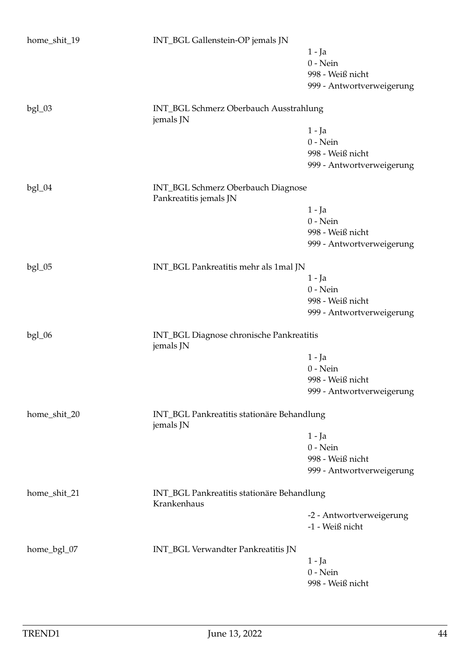| home_shit_19 | INT_BGL Gallenstein-OP jemals JN                             |                           |
|--------------|--------------------------------------------------------------|---------------------------|
|              |                                                              | $1 - Ja$                  |
|              |                                                              | $0$ - Nein                |
|              |                                                              | 998 - Weiß nicht          |
|              |                                                              | 999 - Antwortverweigerung |
| $bgl_03$     | INT_BGL Schmerz Oberbauch Ausstrahlung<br>jemals JN          |                           |
|              |                                                              | $1 - Ja$                  |
|              |                                                              | $0$ - Nein                |
|              |                                                              | 998 - Weiß nicht          |
|              |                                                              | 999 - Antwortverweigerung |
| $bgl_04$     | INT_BGL Schmerz Oberbauch Diagnose<br>Pankreatitis jemals JN |                           |
|              |                                                              | $1 - Ja$                  |
|              |                                                              | $0$ - Nein                |
|              |                                                              | 998 - Weiß nicht          |
|              |                                                              | 999 - Antwortverweigerung |
|              |                                                              |                           |
| $bgl_05$     | INT_BGL Pankreatitis mehr als 1mal JN                        |                           |
|              |                                                              | $1 - Ja$                  |
|              |                                                              | $0$ - Nein                |
|              |                                                              | 998 - Weiß nicht          |
|              |                                                              | 999 - Antwortverweigerung |
| $bgl_06$     | INT_BGL Diagnose chronische Pankreatitis<br>jemals JN        |                           |
|              |                                                              | 1 - Ja                    |
|              |                                                              | $0$ - Nein                |
|              |                                                              | 998 - Weiß nicht          |
|              |                                                              | 999 - Antwortverweigerung |
| home_shit_20 | INT_BGL Pankreatitis stationäre Behandlung                   |                           |
|              | jemals JN                                                    |                           |
|              |                                                              | 1 - Ja                    |
|              |                                                              | $0$ - Nein                |
|              |                                                              | 998 - Weiß nicht          |
|              |                                                              | 999 - Antwortverweigerung |
| home_shit_21 | INT_BGL Pankreatitis stationäre Behandlung<br>Krankenhaus    |                           |
|              |                                                              | -2 - Antwortverweigerung  |
|              |                                                              | -1 - Weiß nicht           |
| home_bgl_07  | INT_BGL Verwandter Pankreatitis JN                           |                           |
|              |                                                              | $1 - Ja$                  |
|              |                                                              | $0$ - Nein                |
|              |                                                              | 998 - Weiß nicht          |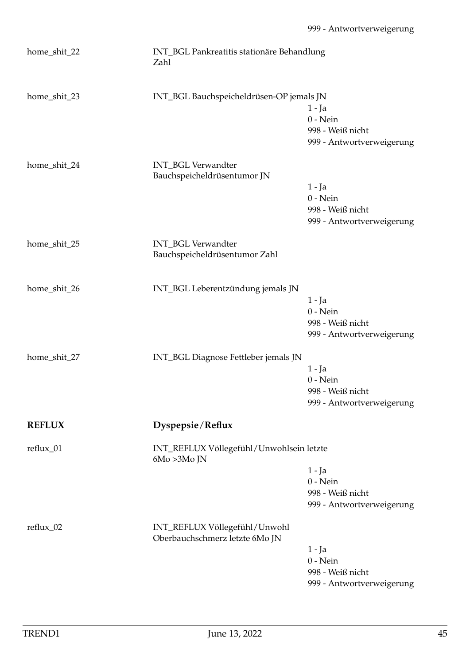| home_shit_22  | INT_BGL Pankreatitis stationäre Behandlung<br>Zahl              |                                                                         |
|---------------|-----------------------------------------------------------------|-------------------------------------------------------------------------|
| home_shit_23  | INT_BGL Bauchspeicheldrüsen-OP jemals JN                        | $1 - Ja$<br>$0$ - Nein<br>998 - Weiß nicht<br>999 - Antwortverweigerung |
| home_shit_24  | INT_BGL Verwandter<br>Bauchspeicheldrüsentumor JN               | 1 - Ja<br>$0$ - Nein<br>998 - Weiß nicht<br>999 - Antwortverweigerung   |
| home_shit_25  | INT_BGL Verwandter<br>Bauchspeicheldrüsentumor Zahl             |                                                                         |
| home_shit_26  | INT_BGL Leberentzündung jemals JN                               | $1 - Ja$<br>$0$ - Nein<br>998 - Weiß nicht<br>999 - Antwortverweigerung |
| home_shit_27  | INT_BGL Diagnose Fettleber jemals JN                            | 1 - Ja<br>$0$ - Nein<br>998 - Weiß nicht<br>999 - Antwortverweigerung   |
| <b>REFLUX</b> | Dyspepsie/Reflux                                                |                                                                         |
| reflux_01     | INT_REFLUX Völlegefühl/Unwohlsein letzte<br>$6Mo > 3Mo$ JN      | $1 - Ja$<br>$0$ - Nein<br>998 - Weiß nicht<br>999 - Antwortverweigerung |
| reflux_02     | INT_REFLUX Völlegefühl/Unwohl<br>Oberbauchschmerz letzte 6Mo JN | 1 - Ja<br>$0$ - Nein<br>998 - Weiß nicht<br>999 - Antwortverweigerung   |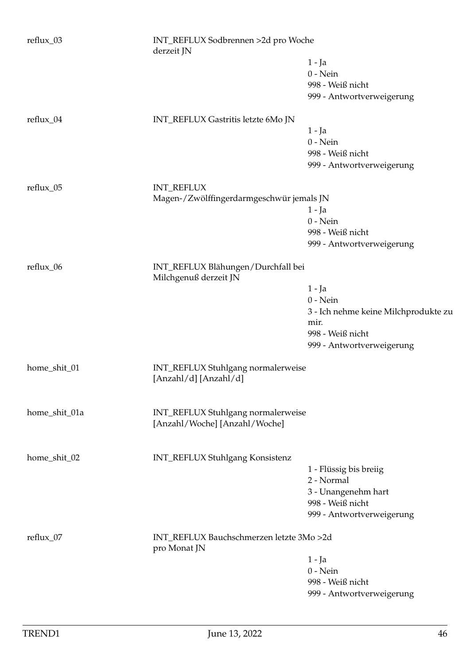| reflux_03     | INT_REFLUX Sodbrennen >2d pro Woche<br>derzeit JN                   |                                      |
|---------------|---------------------------------------------------------------------|--------------------------------------|
|               |                                                                     | 1 - Ja                               |
|               |                                                                     | $0$ - Nein                           |
|               |                                                                     | 998 - Weiß nicht                     |
|               |                                                                     | 999 - Antwortverweigerung            |
| reflux_04     | INT_REFLUX Gastritis letzte 6Mo JN                                  |                                      |
|               |                                                                     | $1 - Ja$                             |
|               |                                                                     | $0$ - Nein                           |
|               |                                                                     | 998 - Weiß nicht                     |
|               |                                                                     | 999 - Antwortverweigerung            |
| reflux_05     | <b>INT_REFLUX</b>                                                   |                                      |
|               | Magen-/Zwölffingerdarmgeschwür jemals JN                            |                                      |
|               |                                                                     | $1 - Ja$                             |
|               |                                                                     | $0$ - Nein                           |
|               |                                                                     | 998 - Weiß nicht                     |
|               |                                                                     | 999 - Antwortverweigerung            |
| reflux_06     | INT_REFLUX Blähungen/Durchfall bei<br>Milchgenuß derzeit JN         |                                      |
|               |                                                                     | $1 - Ja$                             |
|               |                                                                     | $0$ - Nein                           |
|               |                                                                     | 3 - Ich nehme keine Milchprodukte zu |
|               |                                                                     | mir.                                 |
|               |                                                                     | 998 - Weiß nicht                     |
|               |                                                                     | 999 - Antwortverweigerung            |
| home_shit_01  | INT_REFLUX Stuhlgang normalerweise<br>[Anzahl/d] [Anzahl/d]         |                                      |
| home_shit_01a | INT_REFLUX Stuhlgang normalerweise<br>[Anzahl/Woche] [Anzahl/Woche] |                                      |
|               |                                                                     |                                      |
| home_shit_02  | INT_REFLUX Stuhlgang Konsistenz                                     |                                      |
|               |                                                                     | 1 - Flüssig bis breiig               |
|               |                                                                     | 2 - Normal                           |
|               |                                                                     | 3 - Unangenehm hart                  |
|               |                                                                     | 998 - Weiß nicht                     |
|               |                                                                     | 999 - Antwortverweigerung            |
| reflux_07     | INT_REFLUX Bauchschmerzen letzte 3Mo >2d<br>pro Monat JN            |                                      |
|               |                                                                     | 1 - Ja                               |
|               |                                                                     | $0$ - Nein                           |
|               |                                                                     | 998 - Weiß nicht                     |
|               |                                                                     | 999 - Antwortverweigerung            |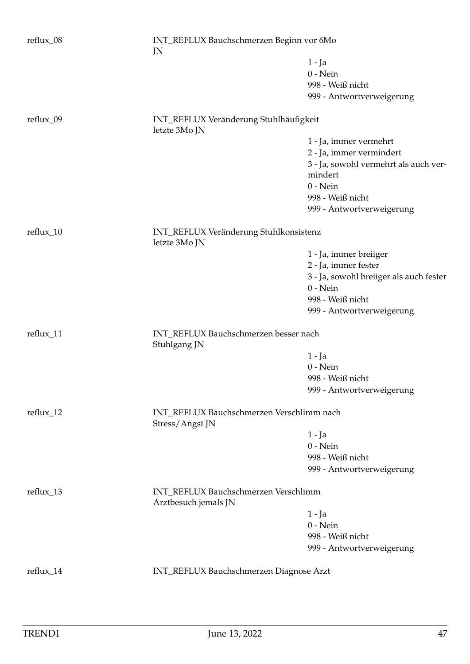| reflux_08   | INT_REFLUX Bauchschmerzen Beginn vor 6Mo<br>JN               |                                         |
|-------------|--------------------------------------------------------------|-----------------------------------------|
|             |                                                              | $1 - Ja$                                |
|             |                                                              | $0$ - Nein                              |
|             |                                                              | 998 - Weiß nicht                        |
|             |                                                              | 999 - Antwortverweigerung               |
|             |                                                              |                                         |
| reflux_09   | INT_REFLUX Veränderung Stuhlhäufigkeit<br>letzte 3Mo JN      |                                         |
|             |                                                              | 1 - Ja, immer vermehrt                  |
|             |                                                              | 2 - Ja, immer vermindert                |
|             |                                                              | 3 - Ja, sowohl vermehrt als auch ver-   |
|             |                                                              | mindert                                 |
|             |                                                              | $0$ - Nein                              |
|             |                                                              | 998 - Weiß nicht                        |
|             |                                                              | 999 - Antwortverweigerung               |
|             |                                                              |                                         |
| reflux_10   | INT_REFLUX Veränderung Stuhlkonsistenz<br>letzte 3Mo JN      |                                         |
|             |                                                              | 1 - Ja, immer breiiger                  |
|             |                                                              | 2 - Ja, immer fester                    |
|             |                                                              | 3 - Ja, sowohl breiiger als auch fester |
|             |                                                              | $0$ - Nein                              |
|             |                                                              | 998 - Weiß nicht                        |
|             |                                                              | 999 - Antwortverweigerung               |
|             |                                                              |                                         |
| reflux_11   | INT_REFLUX Bauchschmerzen besser nach<br>Stuhlgang JN        |                                         |
|             |                                                              | $1 - Ja$                                |
|             |                                                              | $0$ - Nein                              |
|             |                                                              | 998 - Weiß nicht                        |
|             |                                                              | 999 - Antwortverweigerung               |
|             |                                                              |                                         |
| reflux_12   | INT_REFLUX Bauchschmerzen Verschlimm nach<br>Stress/Angst JN |                                         |
|             |                                                              | 1 - Ja                                  |
|             |                                                              | $0$ - Nein                              |
|             |                                                              | 998 - Weiß nicht                        |
|             |                                                              | 999 - Antwortverweigerung               |
|             |                                                              |                                         |
| $reflux_13$ | INT_REFLUX Bauchschmerzen Verschlimm<br>Arztbesuch jemals JN |                                         |
|             |                                                              | 1 - Ja                                  |
|             |                                                              | $0$ - Nein                              |
|             |                                                              | 998 - Weiß nicht                        |
|             |                                                              | 999 - Antwortverweigerung               |
|             |                                                              |                                         |
| reflux_14   | INT_REFLUX Bauchschmerzen Diagnose Arzt                      |                                         |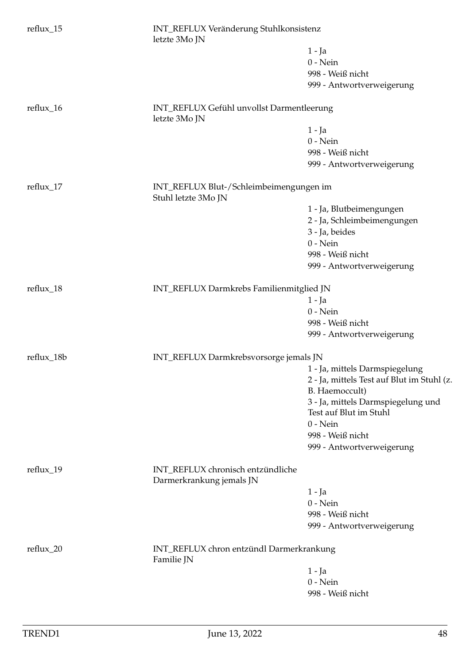| reflux_15  | letzte 3Mo JN                                                  | INT_REFLUX Veränderung Stuhlkonsistenz                       |  |
|------------|----------------------------------------------------------------|--------------------------------------------------------------|--|
|            |                                                                | 1 - Ja                                                       |  |
|            |                                                                | $0$ - Nein                                                   |  |
|            |                                                                | 998 - Weiß nicht                                             |  |
|            |                                                                | 999 - Antwortverweigerung                                    |  |
| reflux_16  | INT_REFLUX Gefühl unvollst Darmentleerung<br>letzte 3Mo JN     |                                                              |  |
|            |                                                                | $1 - Ja$                                                     |  |
|            |                                                                | $0$ - Nein                                                   |  |
|            |                                                                | 998 - Weiß nicht                                             |  |
|            |                                                                | 999 - Antwortverweigerung                                    |  |
| reflux_17  | INT_REFLUX Blut-/Schleimbeimengungen im<br>Stuhl letzte 3Mo JN |                                                              |  |
|            |                                                                | 1 - Ja, Blutbeimengungen                                     |  |
|            |                                                                | 2 - Ja, Schleimbeimengungen                                  |  |
|            |                                                                | 3 - Ja, beides                                               |  |
|            |                                                                | $0$ - Nein                                                   |  |
|            |                                                                | 998 - Weiß nicht                                             |  |
|            |                                                                | 999 - Antwortverweigerung                                    |  |
|            |                                                                |                                                              |  |
| reflux_18  | INT_REFLUX Darmkrebs Familienmitglied JN                       |                                                              |  |
|            |                                                                | 1 - Ja                                                       |  |
|            |                                                                | $0$ - Nein                                                   |  |
|            |                                                                | 998 - Weiß nicht                                             |  |
|            |                                                                | 999 - Antwortverweigerung                                    |  |
| reflux_18b | INT_REFLUX Darmkrebsvorsorge jemals JN                         |                                                              |  |
|            |                                                                | 1 - Ja, mittels Darmspiegelung                               |  |
|            |                                                                | 2 - Ja, mittels Test auf Blut im Stuhl (z.<br>B. Haemoccult) |  |
|            |                                                                | 3 - Ja, mittels Darmspiegelung und                           |  |
|            |                                                                | Test auf Blut im Stuhl                                       |  |
|            |                                                                | $0$ - Nein                                                   |  |
|            |                                                                | 998 - Weiß nicht                                             |  |
|            |                                                                | 999 - Antwortverweigerung                                    |  |
| reflux_19  | INT_REFLUX chronisch entzündliche<br>Darmerkrankung jemals JN  |                                                              |  |
|            |                                                                | 1 - Ja                                                       |  |
|            |                                                                | $0$ - Nein                                                   |  |
|            |                                                                | 998 - Weiß nicht                                             |  |
|            |                                                                | 999 - Antwortverweigerung                                    |  |
| reflux_20  | INT_REFLUX chron entzündl Darmerkrankung<br>Familie JN         |                                                              |  |
|            |                                                                | 1 - Ja                                                       |  |
|            |                                                                | $0$ - Nein                                                   |  |
|            |                                                                | 998 - Weiß nicht                                             |  |
|            |                                                                |                                                              |  |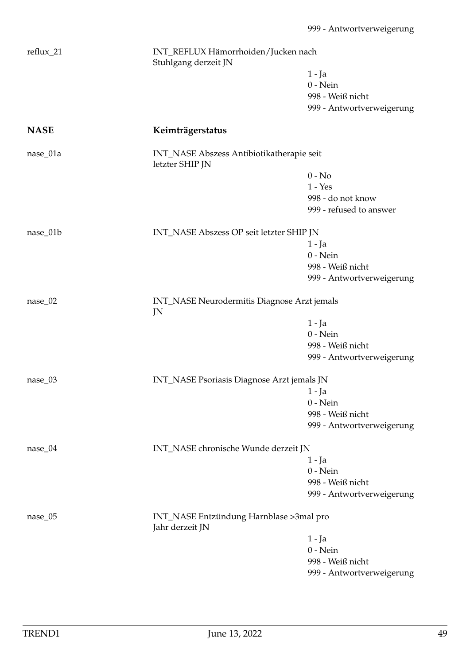| reflux_21   | INT_REFLUX Hämorrhoiden/Jucken nach<br>Stuhlgang derzeit JN  |                           |
|-------------|--------------------------------------------------------------|---------------------------|
|             |                                                              | 1 - Ja                    |
|             |                                                              | $0$ - Nein                |
|             |                                                              | 998 - Weiß nicht          |
|             |                                                              | 999 - Antwortverweigerung |
| <b>NASE</b> | Keimträgerstatus                                             |                           |
| nase_01a    | INT_NASE Abszess Antibiotikatherapie seit<br>letzter SHIP JN |                           |
|             |                                                              | $0 - No$                  |
|             |                                                              | $1 - Yes$                 |
|             |                                                              | 998 - do not know         |
|             |                                                              | 999 - refused to answer   |
| nase_01b    | INT_NASE Abszess OP seit letzter SHIP JN                     |                           |
|             |                                                              | $1 - Ja$                  |
|             |                                                              | $0$ - Nein                |
|             |                                                              | 998 - Weiß nicht          |
|             |                                                              | 999 - Antwortverweigerung |
| $nase_02$   | INT_NASE Neurodermitis Diagnose Arzt jemals<br>JN            |                           |
|             |                                                              | $1 - Ja$                  |
|             |                                                              | $0$ - Nein                |
|             |                                                              | 998 - Weiß nicht          |
|             |                                                              | 999 - Antwortverweigerung |
| $nase_03$   | INT_NASE Psoriasis Diagnose Arzt jemals JN                   |                           |
|             |                                                              | 1 - Ja                    |
|             |                                                              | $0$ - Nein                |
|             |                                                              | 998 - Weiß nicht          |
|             |                                                              | 999 - Antwortverweigerung |
| nase_04     | INT_NASE chronische Wunde derzeit JN                         |                           |
|             |                                                              | 1 - Ja                    |
|             |                                                              | $0$ - Nein                |
|             |                                                              | 998 - Weiß nicht          |
|             |                                                              | 999 - Antwortverweigerung |
| $nase_05$   | INT_NASE Entzündung Harnblase >3mal pro<br>Jahr derzeit JN   |                           |
|             |                                                              | 1 - Ja                    |
|             |                                                              | $0$ - Nein                |
|             |                                                              | 998 - Weiß nicht          |
|             |                                                              | 999 - Antwortverweigerung |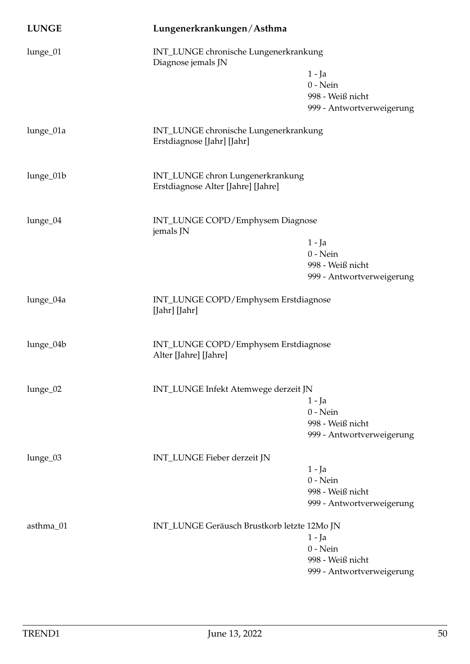| <b>LUNGE</b> | Lungenerkrankungen/Asthma                                           |                                               |
|--------------|---------------------------------------------------------------------|-----------------------------------------------|
| lunge_01     | INT_LUNGE chronische Lungenerkrankung<br>Diagnose jemals JN         |                                               |
|              |                                                                     | $1 - Ja$                                      |
|              |                                                                     | $0$ - Nein                                    |
|              |                                                                     | 998 - Weiß nicht<br>999 - Antwortverweigerung |
|              |                                                                     |                                               |
| lunge_01a    | INT_LUNGE chronische Lungenerkrankung<br>Erstdiagnose [Jahr] [Jahr] |                                               |
| lunge_01b    | INT_LUNGE chron Lungenerkrankung                                    |                                               |
|              | Erstdiagnose Alter [Jahre] [Jahre]                                  |                                               |
| lunge_04     | INT_LUNGE COPD/Emphysem Diagnose                                    |                                               |
|              | jemals JN                                                           |                                               |
|              |                                                                     | $1 - Ja$                                      |
|              |                                                                     | $0$ - Nein<br>998 - Weiß nicht                |
|              |                                                                     | 999 - Antwortverweigerung                     |
|              |                                                                     |                                               |
| lunge_04a    | INT_LUNGE COPD/Emphysem Erstdiagnose<br>[Jahr] [Jahr]               |                                               |
| lunge_04b    | INT_LUNGE COPD/Emphysem Erstdiagnose                                |                                               |
|              | Alter [Jahre] [Jahre]                                               |                                               |
| lunge_02     | INT_LUNGE Infekt Atemwege derzeit JN                                |                                               |
|              |                                                                     | 1 - Ja                                        |
|              |                                                                     | $0$ - Nein                                    |
|              |                                                                     | 998 - Weiß nicht<br>999 - Antwortverweigerung |
|              |                                                                     |                                               |
| lunge_03     | INT_LUNGE Fieber derzeit JN                                         |                                               |
|              |                                                                     | 1 - Ja                                        |
|              |                                                                     | $0$ - Nein                                    |
|              |                                                                     | 998 - Weiß nicht                              |
|              |                                                                     | 999 - Antwortverweigerung                     |
| asthma_01    | INT_LUNGE Geräusch Brustkorb letzte 12Mo JN                         |                                               |
|              |                                                                     | $1 - Ja$                                      |
|              |                                                                     | $0$ - Nein                                    |
|              |                                                                     | 998 - Weiß nicht                              |
|              |                                                                     | 999 - Antwortverweigerung                     |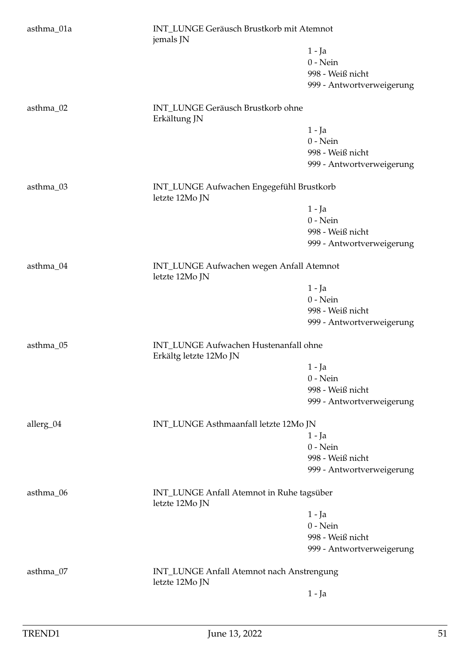| asthma_01a | INT_LUNGE Geräusch Brustkorb mit Atemnot<br>jemals JN           |                           |  |
|------------|-----------------------------------------------------------------|---------------------------|--|
|            |                                                                 | $1 - Ja$                  |  |
|            |                                                                 | $0$ - Nein                |  |
|            |                                                                 | 998 - Weiß nicht          |  |
|            |                                                                 | 999 - Antwortverweigerung |  |
| asthma_02  | INT_LUNGE Geräusch Brustkorb ohne<br>Erkältung JN               |                           |  |
|            |                                                                 | $1 - Ja$                  |  |
|            |                                                                 | $0$ - Nein                |  |
|            |                                                                 | 998 - Weiß nicht          |  |
|            |                                                                 | 999 - Antwortverweigerung |  |
| asthma_03  | INT_LUNGE Aufwachen Engegefühl Brustkorb<br>letzte 12Mo JN      |                           |  |
|            |                                                                 | 1 - Ja                    |  |
|            |                                                                 | $0$ - Nein                |  |
|            |                                                                 | 998 - Weiß nicht          |  |
|            |                                                                 | 999 - Antwortverweigerung |  |
| asthma_04  | INT_LUNGE Aufwachen wegen Anfall Atemnot<br>letzte 12Mo JN      |                           |  |
|            |                                                                 | $1 - Ja$                  |  |
|            |                                                                 | $0$ - Nein                |  |
|            |                                                                 | 998 - Weiß nicht          |  |
|            |                                                                 | 999 - Antwortverweigerung |  |
| asthma_05  | INT_LUNGE Aufwachen Hustenanfall ohne<br>Erkältg letzte 12Mo JN |                           |  |
|            |                                                                 | $1 - Ja$                  |  |
|            |                                                                 | $0$ - Nein                |  |
|            |                                                                 | 998 - Weiß nicht          |  |
|            |                                                                 | 999 - Antwortverweigerung |  |
| allerg_04  | INT_LUNGE Asthmaanfall letzte 12Mo JN                           |                           |  |
|            |                                                                 | 1 - Ja                    |  |
|            |                                                                 | $0$ - Nein                |  |
|            |                                                                 | 998 - Weiß nicht          |  |
|            |                                                                 | 999 - Antwortverweigerung |  |
| asthma_06  | INT_LUNGE Anfall Atemnot in Ruhe tagsüber<br>letzte 12Mo JN     |                           |  |
|            |                                                                 | $1 - Ja$                  |  |
|            |                                                                 | $0$ - Nein                |  |
|            |                                                                 | 998 - Weiß nicht          |  |
|            |                                                                 | 999 - Antwortverweigerung |  |
| asthma_07  | INT_LUNGE Anfall Atemnot nach Anstrengung<br>letzte 12Mo JN     |                           |  |
|            |                                                                 | $1 -$ Ja                  |  |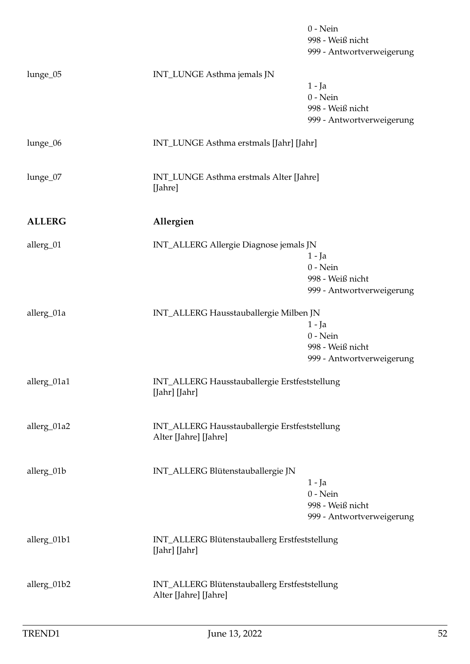|               |                                                                        | $0$ - Nein<br>998 - Weiß nicht<br>999 - Antwortverweigerung             |
|---------------|------------------------------------------------------------------------|-------------------------------------------------------------------------|
| lunge_05      | INT_LUNGE Asthma jemals JN                                             | $1 - Ja$<br>$0$ - Nein<br>998 - Weiß nicht<br>999 - Antwortverweigerung |
| lunge_06      | INT_LUNGE Asthma erstmals [Jahr] [Jahr]                                |                                                                         |
| lunge_07      | INT_LUNGE Asthma erstmals Alter [Jahre]<br>[Jahre]                     |                                                                         |
| <b>ALLERG</b> | Allergien                                                              |                                                                         |
| allerg_01     | INT_ALLERG Allergie Diagnose jemals JN                                 | 1 - Ja<br>$0$ - Nein<br>998 - Weiß nicht<br>999 - Antwortverweigerung   |
| allerg_01a    | INT_ALLERG Hausstauballergie Milben JN                                 | $1 - Ja$<br>$0$ - Nein<br>998 - Weiß nicht<br>999 - Antwortverweigerung |
| allerg_01a1   | INT_ALLERG Hausstauballergie Erstfeststellung<br>[Jahr] [Jahr]         |                                                                         |
| allerg_01a2   | INT_ALLERG Hausstauballergie Erstfeststellung<br>Alter [Jahre] [Jahre] |                                                                         |
| allerg_01b    | INT_ALLERG Blütenstauballergie JN                                      | $1 - Ja$<br>$0$ - Nein<br>998 - Weiß nicht<br>999 - Antwortverweigerung |
| allerg_01b1   | INT_ALLERG Blütenstauballerg Erstfeststellung<br>[Jahr] [Jahr]         |                                                                         |
| allerg_01b2   | INT_ALLERG Blütenstauballerg Erstfeststellung<br>Alter [Jahre] [Jahre] |                                                                         |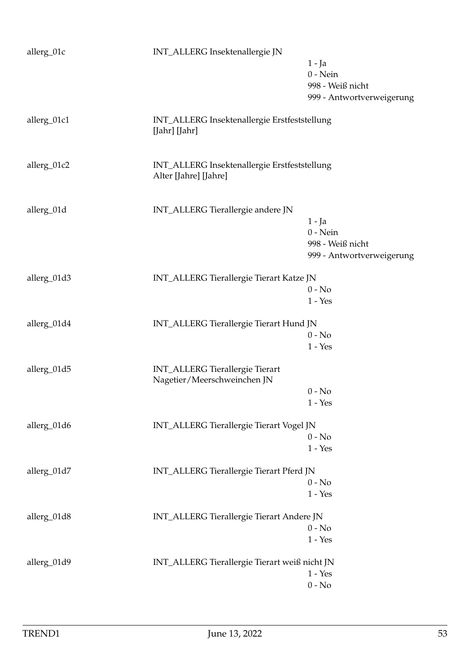| allerg_01c  | INT_ALLERG Insektenallergie JN                                        |                                            |
|-------------|-----------------------------------------------------------------------|--------------------------------------------|
|             |                                                                       | $1 - Ja$<br>$0$ - Nein<br>998 - Weiß nicht |
|             |                                                                       | 999 - Antwortverweigerung                  |
| allerg_01c1 | INT_ALLERG Insektenallergie Erstfeststellung<br>[Jahr] [Jahr]         |                                            |
| allerg_01c2 | INT_ALLERG Insektenallergie Erstfeststellung<br>Alter [Jahre] [Jahre] |                                            |
|             |                                                                       |                                            |
| allerg_01d  | INT_ALLERG Tierallergie andere JN                                     | $1 - Ja$                                   |
|             |                                                                       | $0$ - Nein                                 |
|             |                                                                       | 998 - Weiß nicht                           |
|             |                                                                       | 999 - Antwortverweigerung                  |
| allerg_01d3 | INT_ALLERG Tierallergie Tierart Katze JN                              |                                            |
|             |                                                                       | $0 - No$                                   |
|             |                                                                       | $1 - Yes$                                  |
| allerg_01d4 | INT_ALLERG Tierallergie Tierart Hund JN                               |                                            |
|             |                                                                       | $0 - No$                                   |
|             |                                                                       | $1 - Yes$                                  |
| allerg_01d5 | <b>INT_ALLERG</b> Tierallergie Tierart                                |                                            |
|             | Nagetier/Meerschweinchen JN                                           |                                            |
|             |                                                                       | $0 - No$                                   |
|             |                                                                       | $1 - Yes$                                  |
| allerg_01d6 | INT_ALLERG Tierallergie Tierart Vogel JN                              |                                            |
|             |                                                                       | $0 - No$                                   |
|             |                                                                       | $1 - Yes$                                  |
| allerg_01d7 | INT_ALLERG Tierallergie Tierart Pferd JN                              |                                            |
|             |                                                                       | $0 - No$                                   |
|             |                                                                       | $1 - Yes$                                  |
| allerg_01d8 | INT_ALLERG Tierallergie Tierart Andere JN                             |                                            |
|             |                                                                       | $0 - No$                                   |
|             |                                                                       | $1 - Yes$                                  |
| allerg_01d9 | INT_ALLERG Tierallergie Tierart weiß nicht JN                         |                                            |
|             |                                                                       | $1 - Yes$                                  |
|             |                                                                       | $0 - No$                                   |
|             |                                                                       |                                            |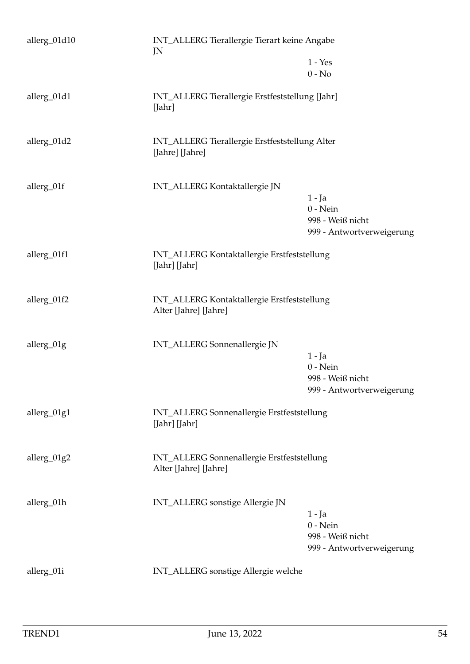| allerg_01d10 | INT_ALLERG Tierallergie Tierart keine Angabe<br>JN                   |                                                                         |
|--------------|----------------------------------------------------------------------|-------------------------------------------------------------------------|
|              |                                                                      | $1 - Yes$<br>$0 - No$                                                   |
| allerg_01d1  | INT_ALLERG Tierallergie Erstfeststellung [Jahr]<br>[Jahr]            |                                                                         |
| allerg_01d2  | INT_ALLERG Tierallergie Erstfeststellung Alter<br>[Jahre] [Jahre]    |                                                                         |
| allerg_01f   | INT_ALLERG Kontaktallergie JN                                        | $1 - Ja$<br>$0$ - Nein<br>998 - Weiß nicht<br>999 - Antwortverweigerung |
| allerg_01f1  | INT_ALLERG Kontaktallergie Erstfeststellung<br>[Jahr] [Jahr]         |                                                                         |
| allerg_01f2  | INT_ALLERG Kontaktallergie Erstfeststellung<br>Alter [Jahre] [Jahre] |                                                                         |
| allerg_01g   | INT_ALLERG Sonnenallergie JN                                         | $1 - Ja$<br>$0$ - Nein<br>998 - Weiß nicht<br>999 - Antwortverweigerung |
| allerg_01g1  | INT_ALLERG Sonnenallergie Erstfeststellung<br>[Jahr] [Jahr]          |                                                                         |
| allerg_01g2  | INT_ALLERG Sonnenallergie Erstfeststellung<br>Alter [Jahre] [Jahre]  |                                                                         |
| allerg_01h   | INT_ALLERG sonstige Allergie JN                                      | $1 - Ja$<br>$0$ - Nein<br>998 - Weiß nicht<br>999 - Antwortverweigerung |
| allerg_01i   | INT_ALLERG sonstige Allergie welche                                  |                                                                         |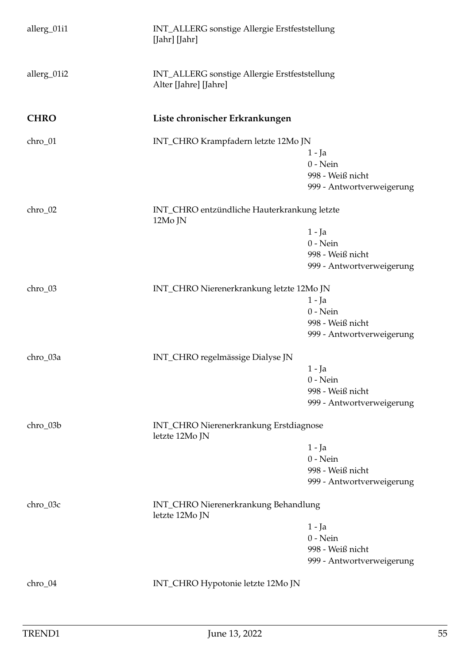| allerg_01i1 | INT_ALLERG sonstige Allergie Erstfeststellung<br>[Jahr] [Jahr]         |                                     |  |
|-------------|------------------------------------------------------------------------|-------------------------------------|--|
| allerg_01i2 | INT_ALLERG sonstige Allergie Erstfeststellung<br>Alter [Jahre] [Jahre] |                                     |  |
| <b>CHRO</b> | Liste chronischer Erkrankungen                                         |                                     |  |
| chro_01     |                                                                        | INT_CHRO Krampfadern letzte 12Mo JN |  |
|             |                                                                        | 1 - Ja                              |  |
|             |                                                                        | $0$ - Nein                          |  |
|             |                                                                        | 998 - Weiß nicht                    |  |
|             |                                                                        | 999 - Antwortverweigerung           |  |
| chro_02     | INT_CHRO entzündliche Hauterkrankung letzte<br>12Mo JN                 |                                     |  |
|             |                                                                        | $1 - Ja$                            |  |
|             |                                                                        | $0$ - Nein                          |  |
|             |                                                                        | 998 - Weiß nicht                    |  |
|             |                                                                        | 999 - Antwortverweigerung           |  |
| chro_03     | INT_CHRO Nierenerkrankung letzte 12Mo JN                               |                                     |  |
|             |                                                                        | $1 - Ja$                            |  |
|             |                                                                        | $0 - Nein$                          |  |
|             |                                                                        | 998 - Weiß nicht                    |  |
|             |                                                                        | 999 - Antwortverweigerung           |  |
| chro_03a    | INT_CHRO regelmässige Dialyse JN                                       |                                     |  |
|             |                                                                        | 1 - Ja                              |  |
|             |                                                                        | $0$ - Nein                          |  |
|             |                                                                        | 998 - Weiß nicht                    |  |
|             |                                                                        | 999 - Antwortverweigerung           |  |
| chro_03b    | INT_CHRO Nierenerkrankung Erstdiagnose<br>letzte 12Mo JN               |                                     |  |
|             |                                                                        | $1 - Ja$                            |  |
|             |                                                                        | $0$ - Nein                          |  |
|             |                                                                        | 998 - Weiß nicht                    |  |
|             |                                                                        | 999 - Antwortverweigerung           |  |
| chro_03c    | INT_CHRO Nierenerkrankung Behandlung<br>letzte 12Mo JN                 |                                     |  |
|             |                                                                        | $1 - Ja$                            |  |
|             |                                                                        | $0$ - Nein                          |  |
|             |                                                                        | 998 - Weiß nicht                    |  |
|             |                                                                        | 999 - Antwortverweigerung           |  |
| chro_04     | INT_CHRO Hypotonie letzte 12Mo JN                                      |                                     |  |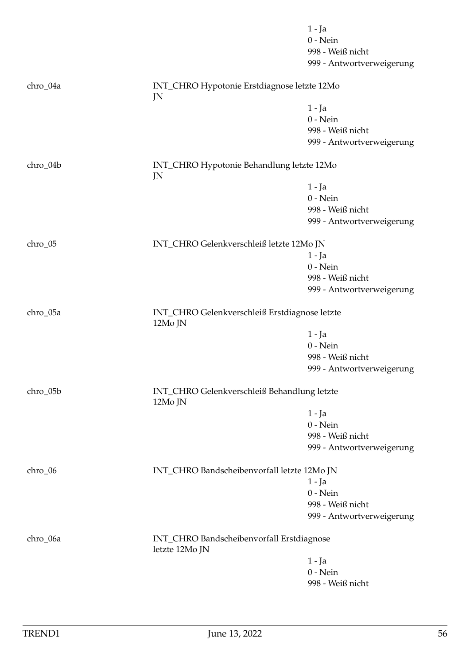|          |                                                             | $1 - Ja$<br>$0$ - Nein<br>998 - Weiß nicht |
|----------|-------------------------------------------------------------|--------------------------------------------|
|          |                                                             | 999 - Antwortverweigerung                  |
| chro_04a | INT_CHRO Hypotonie Erstdiagnose letzte 12Mo<br>JN           |                                            |
|          |                                                             | $1 - Ja$                                   |
|          |                                                             | $0$ - Nein                                 |
|          |                                                             | 998 - Weiß nicht                           |
|          |                                                             | 999 - Antwortverweigerung                  |
| chro_04b | INT_CHRO Hypotonie Behandlung letzte 12Mo<br>JN             |                                            |
|          |                                                             | 1 - Ja                                     |
|          |                                                             | $0$ - Nein                                 |
|          |                                                             | 998 - Weiß nicht                           |
|          |                                                             | 999 - Antwortverweigerung                  |
| chro_05  | INT_CHRO Gelenkverschleiß letzte 12Mo JN                    |                                            |
|          |                                                             | $1 - Ja$                                   |
|          |                                                             | $0$ - Nein                                 |
|          |                                                             | 998 - Weiß nicht                           |
|          |                                                             | 999 - Antwortverweigerung                  |
| chro_05a | INT_CHRO Gelenkverschleiß Erstdiagnose letzte<br>12Mo JN    |                                            |
|          |                                                             | $1 - Ja$                                   |
|          |                                                             | $0$ - Nein                                 |
|          |                                                             | 998 - Weiß nicht                           |
|          |                                                             | 999 - Antwortverweigerung                  |
| chro_05b | INT_CHRO Gelenkverschleiß Behandlung letzte<br>12Mo JN      |                                            |
|          |                                                             | $1 - Ja$                                   |
|          |                                                             | $0$ - Nein                                 |
|          |                                                             | 998 - Weiß nicht                           |
|          |                                                             | 999 - Antwortverweigerung                  |
| chro_06  | INT_CHRO Bandscheibenvorfall letzte 12Mo JN                 |                                            |
|          |                                                             | $1 - Ja$                                   |
|          |                                                             | $0 - Nein$                                 |
|          |                                                             | 998 - Weiß nicht                           |
|          |                                                             | 999 - Antwortverweigerung                  |
| chro_06a | INT_CHRO Bandscheibenvorfall Erstdiagnose<br>letzte 12Mo JN |                                            |
|          |                                                             | 1 - Ja                                     |
|          |                                                             | $0$ - Nein                                 |
|          |                                                             | 998 - Weiß nicht                           |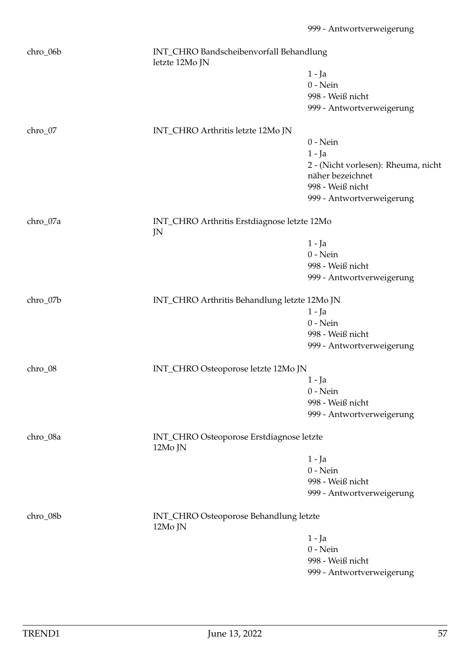| chro_06b | letzte 12Mo JN                                    | INT_CHRO Bandscheibenvorfall Behandlung  |  |
|----------|---------------------------------------------------|------------------------------------------|--|
|          |                                                   | 1 - Ja                                   |  |
|          |                                                   | $0$ - Nein                               |  |
|          |                                                   | 998 - Weiß nicht                         |  |
|          |                                                   | 999 - Antwortverweigerung                |  |
| chro_07  | INT_CHRO Arthritis letzte 12Mo JN                 |                                          |  |
|          |                                                   | $0$ - Nein                               |  |
|          |                                                   | $1 - Ja$                                 |  |
|          |                                                   | 2 - (Nicht vorlesen): Rheuma, nicht      |  |
|          |                                                   | näher bezeichnet                         |  |
|          |                                                   | 998 - Weiß nicht                         |  |
|          |                                                   | 999 - Antwortverweigerung                |  |
| chro_07a | INT_CHRO Arthritis Erstdiagnose letzte 12Mo<br>JN |                                          |  |
|          |                                                   | $1 - Ja$                                 |  |
|          |                                                   | $0$ - Nein                               |  |
|          |                                                   | 998 - Weiß nicht                         |  |
|          |                                                   | 999 - Antwortverweigerung                |  |
| chro_07b | INT_CHRO Arthritis Behandlung letzte 12Mo JN      |                                          |  |
|          |                                                   | $1 - Ja$                                 |  |
|          |                                                   | $0$ - Nein                               |  |
|          |                                                   | 998 - Weiß nicht                         |  |
|          |                                                   | 999 - Antwortverweigerung                |  |
| chro_08  | INT_CHRO Osteoporose letzte 12Mo JN               |                                          |  |
|          |                                                   | 1 - Ja                                   |  |
|          |                                                   | $0$ - Nein                               |  |
|          |                                                   | 998 - Weiß nicht                         |  |
|          |                                                   | 999 - Antwortverweigerung                |  |
| chro_08a | 12Mo JN                                           | INT_CHRO Osteoporose Erstdiagnose letzte |  |
|          |                                                   | $1 - Ja$                                 |  |
|          |                                                   | $0$ - Nein                               |  |
|          |                                                   | 998 - Weiß nicht                         |  |
|          |                                                   | 999 - Antwortverweigerung                |  |
| chro_08b | INT_CHRO Osteoporose Behandlung letzte<br>12Mo JN |                                          |  |
|          |                                                   | 1 - Ja                                   |  |
|          |                                                   | $0$ - Nein                               |  |
|          |                                                   | 998 - Weiß nicht                         |  |
|          |                                                   | 999 - Antwortverweigerung                |  |
|          |                                                   |                                          |  |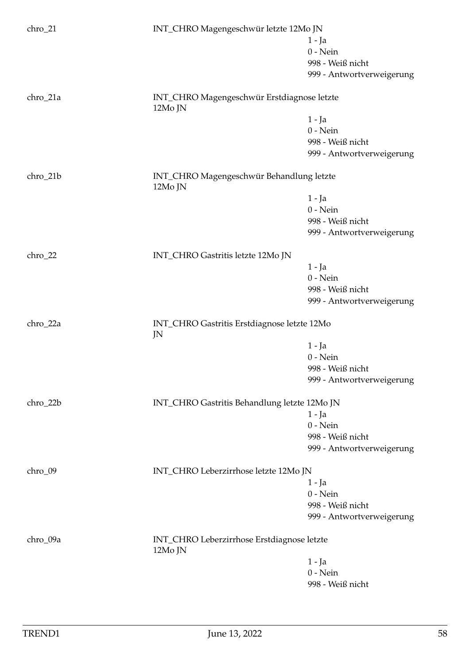| chro_21   | INT_CHRO Magengeschwür letzte 12Mo JN                 |                           |
|-----------|-------------------------------------------------------|---------------------------|
|           |                                                       | 1 - Ja                    |
|           |                                                       | $0$ - Nein                |
|           |                                                       | 998 - Weiß nicht          |
|           |                                                       | 999 - Antwortverweigerung |
|           |                                                       |                           |
| chro_21a  | INT_CHRO Magengeschwür Erstdiagnose letzte<br>12Mo JN |                           |
|           |                                                       | $1 - Ja$                  |
|           |                                                       | $0$ - Nein                |
|           |                                                       | 998 - Weiß nicht          |
|           |                                                       | 999 - Antwortverweigerung |
| chro_21b  | INT_CHRO Magengeschwür Behandlung letzte<br>12Mo JN   |                           |
|           |                                                       | $1 - Ja$                  |
|           |                                                       | $0$ - Nein                |
|           |                                                       | 998 - Weiß nicht          |
|           |                                                       |                           |
|           |                                                       | 999 - Antwortverweigerung |
| $chro_22$ | INT_CHRO Gastritis letzte 12Mo JN                     |                           |
|           |                                                       | $1 - Ja$                  |
|           |                                                       | $0$ - Nein                |
|           |                                                       | 998 - Weiß nicht          |
|           |                                                       | 999 - Antwortverweigerung |
| chro_22a  | INT_CHRO Gastritis Erstdiagnose letzte 12Mo<br>JN     |                           |
|           |                                                       | 1 - Ja                    |
|           |                                                       | $0$ - Nein                |
|           |                                                       | 998 - Weiß nicht          |
|           |                                                       | 999 - Antwortverweigerung |
|           |                                                       |                           |
| chro_22b  | INT_CHRO Gastritis Behandlung letzte 12Mo JN          |                           |
|           |                                                       | 1 - Ja<br>$0$ - Nein      |
|           |                                                       |                           |
|           |                                                       | 998 - Weiß nicht          |
|           |                                                       | 999 - Antwortverweigerung |
| chro_09   | INT_CHRO Leberzirrhose letzte 12Mo JN                 |                           |
|           |                                                       | $1 - Ja$                  |
|           |                                                       | $0$ - Nein                |
|           |                                                       | 998 - Weiß nicht          |
|           |                                                       | 999 - Antwortverweigerung |
| chro_09a  | INT_CHRO Leberzirrhose Erstdiagnose letzte<br>12Mo JN |                           |
|           |                                                       | 1 - Ja                    |
|           |                                                       | $0$ - Nein                |
|           |                                                       | 998 - Weiß nicht          |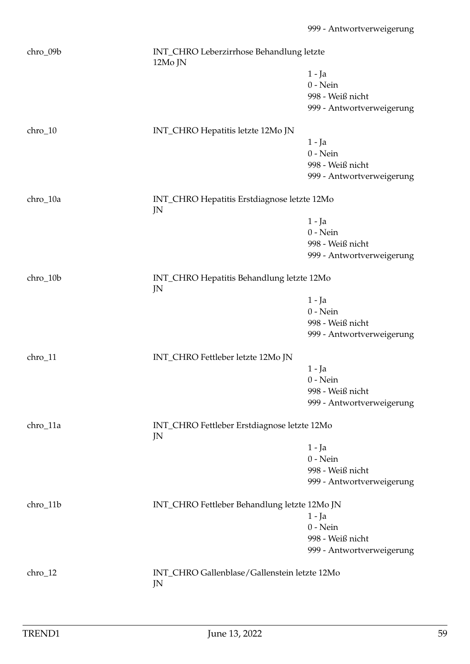| chro_09b | 12Mo JN                                            | INT_CHRO Leberzirrhose Behandlung letzte |  |
|----------|----------------------------------------------------|------------------------------------------|--|
|          |                                                    | 1 - Ja                                   |  |
|          |                                                    | $0$ - Nein                               |  |
|          |                                                    | 998 - Weiß nicht                         |  |
|          |                                                    | 999 - Antwortverweigerung                |  |
| chro_10  | INT_CHRO Hepatitis letzte 12Mo JN                  |                                          |  |
|          |                                                    | $1 - Ja$                                 |  |
|          |                                                    | $0$ - Nein                               |  |
|          |                                                    | 998 - Weiß nicht                         |  |
|          |                                                    | 999 - Antwortverweigerung                |  |
| chro_10a | INT_CHRO Hepatitis Erstdiagnose letzte 12Mo<br>JN  |                                          |  |
|          |                                                    | $1 - Ja$                                 |  |
|          |                                                    | $0$ - Nein                               |  |
|          |                                                    | 998 - Weiß nicht                         |  |
|          |                                                    | 999 - Antwortverweigerung                |  |
| chro_10b | INT_CHRO Hepatitis Behandlung letzte 12Mo<br>JN    |                                          |  |
|          |                                                    | $1 - Ja$                                 |  |
|          |                                                    | $0$ - Nein                               |  |
|          |                                                    | 998 - Weiß nicht                         |  |
|          |                                                    | 999 - Antwortverweigerung                |  |
| chro_11  | INT_CHRO Fettleber letzte 12Mo JN                  |                                          |  |
|          |                                                    | $1 - Ja$                                 |  |
|          |                                                    | $0$ - Nein                               |  |
|          |                                                    | 998 - Weiß nicht                         |  |
|          |                                                    | 999 - Antwortverweigerung                |  |
| chro_11a | INT_CHRO Fettleber Erstdiagnose letzte 12Mo<br>JN  |                                          |  |
|          |                                                    | 1 - Ja                                   |  |
|          |                                                    | $0$ - Nein                               |  |
|          |                                                    | 998 - Weiß nicht                         |  |
|          |                                                    | 999 - Antwortverweigerung                |  |
| chro_11b | INT_CHRO Fettleber Behandlung letzte 12Mo JN       |                                          |  |
|          |                                                    | $1 - Ja$                                 |  |
|          |                                                    | $0$ - Nein                               |  |
|          |                                                    | 998 - Weiß nicht                         |  |
|          |                                                    | 999 - Antwortverweigerung                |  |
| chro_12  | INT_CHRO Gallenblase/Gallenstein letzte 12Mo<br>JN |                                          |  |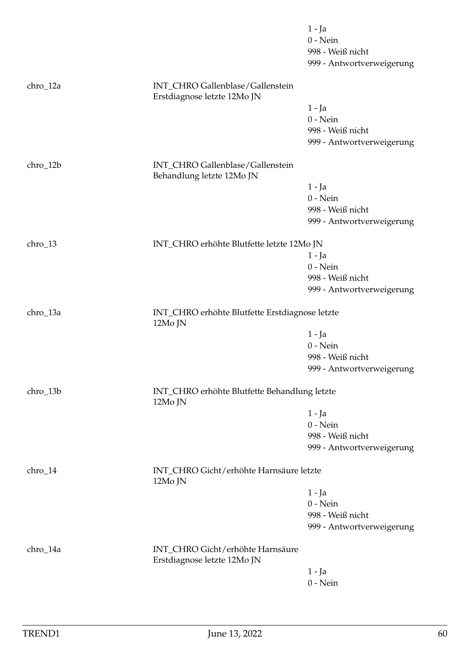|           |                                                                 | $1 - Ja$<br>$0$ - Nein<br>998 - Weiß nicht |
|-----------|-----------------------------------------------------------------|--------------------------------------------|
|           |                                                                 | 999 - Antwortverweigerung                  |
| chro_12a  | INT_CHRO Gallenblase/Gallenstein<br>Erstdiagnose letzte 12Mo JN |                                            |
|           |                                                                 | $1 - Ja$                                   |
|           |                                                                 | $0$ - Nein                                 |
|           |                                                                 | 998 - Weiß nicht                           |
|           |                                                                 | 999 - Antwortverweigerung                  |
| chro_12b  | INT_CHRO Gallenblase/Gallenstein<br>Behandlung letzte 12Mo JN   |                                            |
|           |                                                                 | 1 - Ja                                     |
|           |                                                                 | $0$ - Nein                                 |
|           |                                                                 | 998 - Weiß nicht                           |
|           |                                                                 | 999 - Antwortverweigerung                  |
| chro_13   | INT_CHRO erhöhte Blutfette letzte 12Mo JN                       |                                            |
|           |                                                                 | $1 - Ja$                                   |
|           |                                                                 | $0$ - Nein                                 |
|           |                                                                 | 998 - Weiß nicht                           |
|           |                                                                 | 999 - Antwortverweigerung                  |
| chro_13a  | INT_CHRO erhöhte Blutfette Erstdiagnose letzte<br>12Mo JN       |                                            |
|           |                                                                 | $1 - Ja$                                   |
|           |                                                                 | $0$ - Nein                                 |
|           |                                                                 | 998 - Weiß nicht                           |
|           |                                                                 | 999 - Antwortverweigerung                  |
| chro_13b  | INT_CHRO erhöhte Blutfette Behandlung letzte<br>12Mo JN         |                                            |
|           |                                                                 | $1 - Ja$                                   |
|           |                                                                 | $0$ - Nein                                 |
|           |                                                                 | 998 - Weiß nicht                           |
|           |                                                                 | 999 - Antwortverweigerung                  |
| $chro_14$ | INT_CHRO Gicht/erhöhte Harnsäure letzte<br>12Mo JN              |                                            |
|           |                                                                 | $1 - Ja$                                   |
|           |                                                                 | $0$ - Nein                                 |
|           |                                                                 | 998 - Weiß nicht                           |
|           |                                                                 | 999 - Antwortverweigerung                  |
| chro_14a  | INT_CHRO Gicht/erhöhte Harnsäure<br>Erstdiagnose letzte 12Mo JN |                                            |
|           |                                                                 | $1 - Ja$                                   |
|           |                                                                 | $0$ - Nein                                 |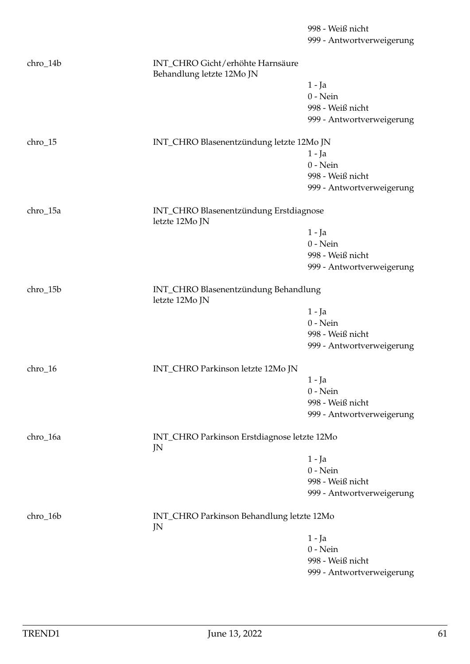999 - Antwortverweigerung chro\_14b INT\_CHRO Gicht/erhöhte Harnsäure Behandlung letzte 12Mo JN 1 - Ja 0 - Nein 998 - Weiß nicht 999 - Antwortverweigerung chro\_15 INT\_CHRO Blasenentzündung letzte 12Mo JN 1 - Ja 0 - Nein 998 - Weiß nicht 999 - Antwortverweigerung chro\_15a INT\_CHRO Blasenentzündung Erstdiagnose letzte 12Mo JN 1 - Ja 0 - Nein 998 - Weiß nicht 999 - Antwortverweigerung chro\_15b INT\_CHRO Blasenentzündung Behandlung letzte 12Mo JN 1 - Ja 0 - Nein 998 - Weiß nicht 999 - Antwortverweigerung chro\_16 INT\_CHRO Parkinson letzte 12Mo JN 1 - Ja 0 - Nein 998 - Weiß nicht 999 - Antwortverweigerung chro\_16a INT\_CHRO Parkinson Erstdiagnose letzte 12Mo JN 1 - Ja 0 - Nein 998 - Weiß nicht 999 - Antwortverweigerung chro\_16b INT\_CHRO Parkinson Behandlung letzte 12Mo JN 1 - Ja 0 - Nein 998 - Weiß nicht 999 - Antwortverweigerung

998 - Weiß nicht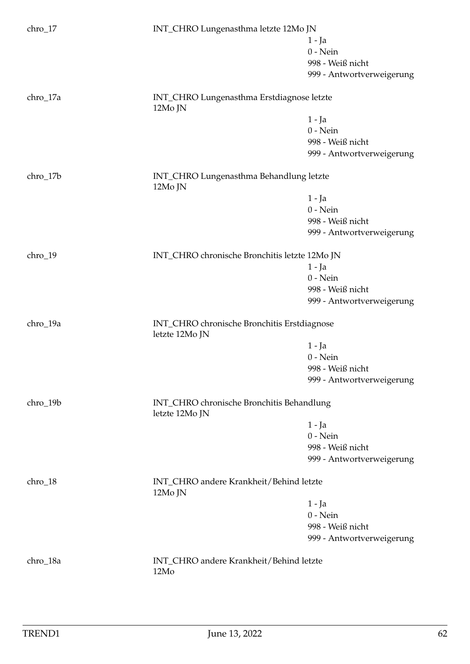| $chro_17$ | INT_CHRO Lungenasthma letzte 12Mo JN                          |                           |
|-----------|---------------------------------------------------------------|---------------------------|
|           |                                                               | $1 - Ja$                  |
|           |                                                               | $0$ - Nein                |
|           |                                                               | 998 - Weiß nicht          |
|           |                                                               | 999 - Antwortverweigerung |
|           |                                                               |                           |
| chro_17a  | INT_CHRO Lungenasthma Erstdiagnose letzte<br>12Mo JN          |                           |
|           |                                                               | $1 - Ja$                  |
|           |                                                               | $0$ - Nein                |
|           |                                                               | 998 - Weiß nicht          |
|           |                                                               | 999 - Antwortverweigerung |
|           |                                                               |                           |
| chro_17b  | INT_CHRO Lungenasthma Behandlung letzte<br>12Mo JN            |                           |
|           |                                                               | $1 - Ja$                  |
|           |                                                               | $0$ - Nein                |
|           |                                                               | 998 - Weiß nicht          |
|           |                                                               | 999 - Antwortverweigerung |
|           |                                                               |                           |
| chro_19   | INT_CHRO chronische Bronchitis letzte 12Mo JN                 |                           |
|           |                                                               | $1 - Ja$                  |
|           |                                                               | $0$ - Nein                |
|           |                                                               | 998 - Weiß nicht          |
|           |                                                               | 999 - Antwortverweigerung |
| chro_19a  | INT_CHRO chronische Bronchitis Erstdiagnose<br>letzte 12Mo JN |                           |
|           |                                                               |                           |
|           |                                                               | $1 - Ja$                  |
|           |                                                               | $0$ - Nein                |
|           |                                                               | 998 - Weiß nicht          |
|           |                                                               | 999 - Antwortverweigerung |
| chro_19b  | INT_CHRO chronische Bronchitis Behandlung<br>letzte 12Mo JN   |                           |
|           |                                                               | $1 - Ja$                  |
|           |                                                               | $0$ - Nein                |
|           |                                                               | 998 - Weiß nicht          |
|           |                                                               |                           |
|           |                                                               | 999 - Antwortverweigerung |
| chro_18   | INT_CHRO andere Krankheit/Behind letzte<br>12Mo JN            |                           |
|           |                                                               | $1 - Ja$                  |
|           |                                                               | $0$ - Nein                |
|           |                                                               | 998 - Weiß nicht          |
|           |                                                               | 999 - Antwortverweigerung |
|           |                                                               |                           |
| chro_18a  | INT_CHRO andere Krankheit/Behind letzte<br>12Mo               |                           |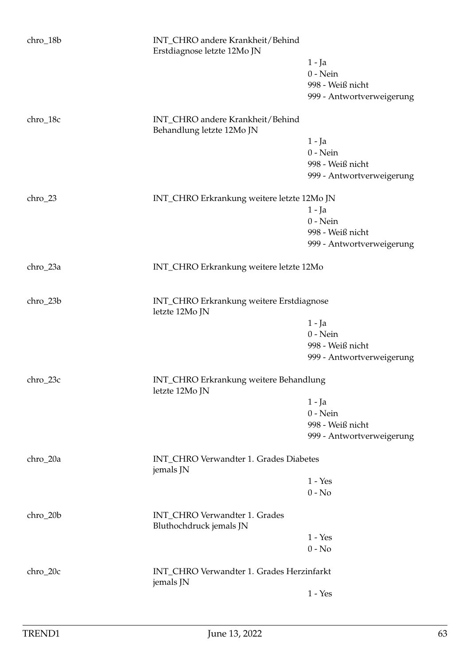| chro_18b   | INT_CHRO andere Krankheit/Behind<br>Erstdiagnose letzte 12Mo JN |                           |
|------------|-----------------------------------------------------------------|---------------------------|
|            |                                                                 | 1 - Ja                    |
|            |                                                                 | $0$ - Nein                |
|            |                                                                 | 998 - Weiß nicht          |
|            |                                                                 | 999 - Antwortverweigerung |
| chro_18c   | INT_CHRO andere Krankheit/Behind<br>Behandlung letzte 12Mo JN   |                           |
|            |                                                                 | $1 - Ja$                  |
|            |                                                                 | $0$ - Nein                |
|            |                                                                 | 998 - Weiß nicht          |
|            |                                                                 | 999 - Antwortverweigerung |
| $chro_23$  | INT_CHRO Erkrankung weitere letzte 12Mo JN                      |                           |
|            |                                                                 | $1 - Ja$                  |
|            |                                                                 | $0$ - Nein                |
|            |                                                                 | 998 - Weiß nicht          |
|            |                                                                 | 999 - Antwortverweigerung |
| chro_23a   | INT_CHRO Erkrankung weitere letzte 12Mo                         |                           |
| chro_23b   | INT_CHRO Erkrankung weitere Erstdiagnose<br>letzte 12Mo JN      |                           |
|            |                                                                 | $1 - Ja$                  |
|            |                                                                 | $0$ - Nein                |
|            |                                                                 | 998 - Weiß nicht          |
|            |                                                                 | 999 - Antwortverweigerung |
| $chro_23c$ | INT_CHRO Erkrankung weitere Behandlung<br>letzte 12Mo JN        |                           |
|            |                                                                 | $1 - Ja$                  |
|            |                                                                 | $0$ - Nein                |
|            |                                                                 | 998 - Weiß nicht          |
|            |                                                                 | 999 - Antwortverweigerung |
| chro_20a   | INT_CHRO Verwandter 1. Grades Diabetes<br>jemals JN             |                           |
|            |                                                                 | $1 - Yes$                 |
|            |                                                                 | $0 - No$                  |
| chro_20b   | INT_CHRO Verwandter 1. Grades<br>Bluthochdruck jemals JN        |                           |
|            |                                                                 | $1 - Yes$                 |
|            |                                                                 | $0 - No$                  |
| chro_20c   | INT_CHRO Verwandter 1. Grades Herzinfarkt<br>jemals JN          |                           |
|            |                                                                 | $1 - Yes$                 |
|            |                                                                 |                           |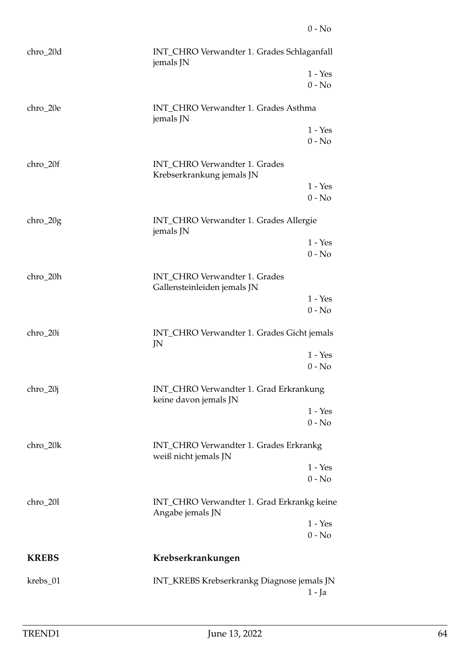| chro_20d     | INT_CHRO Verwandter 1. Grades Schlaganfall<br>jemals JN         |                       |
|--------------|-----------------------------------------------------------------|-----------------------|
|              |                                                                 | $1 - Yes$<br>$0 - No$ |
| chro_20e     | INT_CHRO Verwandter 1. Grades Asthma<br>jemals JN               |                       |
|              |                                                                 | $1 - Yes$<br>$0 - No$ |
| $chro_20f$   | INT_CHRO Verwandter 1. Grades<br>Krebserkrankung jemals JN      |                       |
|              |                                                                 | $1 - Yes$<br>$0 - No$ |
| $chro_20g$   | INT_CHRO Verwandter 1. Grades Allergie<br>jemals JN             |                       |
|              |                                                                 | $1 - Yes$<br>$0 - No$ |
| chro_20h     | INT_CHRO Verwandter 1. Grades<br>Gallensteinleiden jemals JN    |                       |
|              |                                                                 | $1 - Yes$<br>$0 - No$ |
| chro_20i     | INT_CHRO Verwandter 1. Grades Gicht jemals<br>JN                |                       |
|              |                                                                 | $1 - Yes$<br>$0 - No$ |
| $chro_20j$   | INT_CHRO Verwandter 1. Grad Erkrankung<br>keine davon jemals JN |                       |
|              |                                                                 | $1 - Yes$<br>$0 - No$ |
| chro_20k     | INT_CHRO Verwandter 1. Grades Erkrankg<br>weiß nicht jemals JN  |                       |
|              |                                                                 | $1 - Yes$<br>$0 - No$ |
| chro_201     | INT_CHRO Verwandter 1. Grad Erkrankg keine<br>Angabe jemals JN  |                       |
|              |                                                                 | $1 - Yes$<br>$0 - No$ |
| <b>KREBS</b> | Krebserkrankungen                                               |                       |
| krebs_01     | INT_KREBS Krebserkrankg Diagnose jemals JN                      | 1 - Ja                |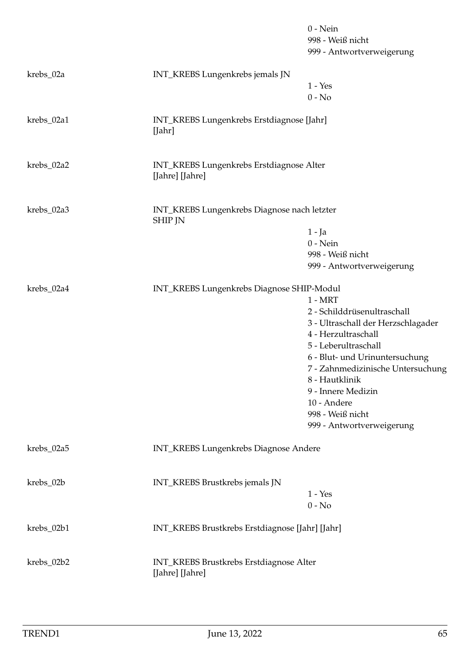|            |                                                               | $0$ - Nein<br>998 - Weiß nicht<br>999 - Antwortverweigerung |
|------------|---------------------------------------------------------------|-------------------------------------------------------------|
| krebs_02a  | INT_KREBS Lungenkrebs jemals JN                               |                                                             |
|            |                                                               | $1 - Yes$                                                   |
|            |                                                               | $0 - No$                                                    |
| krebs_02a1 | INT_KREBS Lungenkrebs Erstdiagnose [Jahr]<br>[Jahr]           |                                                             |
| krebs_02a2 | INT_KREBS Lungenkrebs Erstdiagnose Alter<br>[Jahre] [Jahre]   |                                                             |
| krebs_02a3 | INT_KREBS Lungenkrebs Diagnose nach letzter<br><b>SHIP JN</b> |                                                             |
|            |                                                               | 1 - Ja                                                      |
|            |                                                               | $0$ - Nein                                                  |
|            |                                                               | 998 - Weiß nicht                                            |
|            |                                                               | 999 - Antwortverweigerung                                   |
| krebs_02a4 | INT_KREBS Lungenkrebs Diagnose SHIP-Modul                     |                                                             |
|            |                                                               | $1 - MRT$                                                   |
|            |                                                               | 2 - Schilddrüsenultraschall                                 |
|            |                                                               | 3 - Ultraschall der Herzschlagader                          |
|            |                                                               | 4 - Herzultraschall                                         |
|            |                                                               | 5 - Leberultraschall                                        |
|            |                                                               | 6 - Blut- und Urinuntersuchung                              |
|            |                                                               | 7 - Zahnmedizinische Untersuchung                           |
|            |                                                               | 8 - Hautklinik                                              |
|            |                                                               | 9 - Innere Medizin                                          |
|            |                                                               | 10 - Andere                                                 |
|            |                                                               | 998 - Weiß nicht                                            |
|            |                                                               | 999 - Antwortverweigerung                                   |
| krebs_02a5 | INT_KREBS Lungenkrebs Diagnose Andere                         |                                                             |
| krebs_02b  | INT_KREBS Brustkrebs jemals JN                                |                                                             |
|            |                                                               | $1 - Yes$                                                   |
|            |                                                               | $0 - No$                                                    |
| krebs_02b1 | INT_KREBS Brustkrebs Erstdiagnose [Jahr] [Jahr]               |                                                             |
| krebs_02b2 | INT_KREBS Brustkrebs Erstdiagnose Alter<br>[Jahre] [Jahre]    |                                                             |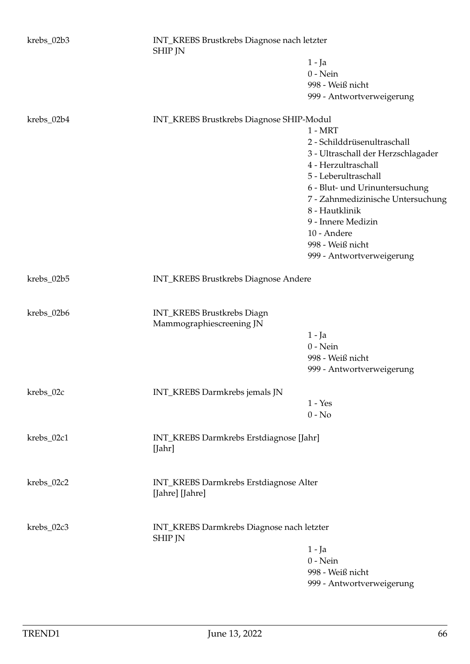| krebs_02b3 | INT_KREBS Brustkrebs Diagnose nach letzter<br><b>SHIP JN</b> |                                    |
|------------|--------------------------------------------------------------|------------------------------------|
|            |                                                              | $1 - Ja$                           |
|            |                                                              | $0$ - Nein                         |
|            |                                                              | 998 - Weiß nicht                   |
|            |                                                              | 999 - Antwortverweigerung          |
| krebs_02b4 | INT_KREBS Brustkrebs Diagnose SHIP-Modul                     |                                    |
|            |                                                              | $1 - MRT$                          |
|            |                                                              | 2 - Schilddrüsenultraschall        |
|            |                                                              | 3 - Ultraschall der Herzschlagader |
|            |                                                              | 4 - Herzultraschall                |
|            |                                                              | 5 - Leberultraschall               |
|            |                                                              | 6 - Blut- und Urinuntersuchung     |
|            |                                                              | 7 - Zahnmedizinische Untersuchung  |
|            |                                                              | 8 - Hautklinik                     |
|            |                                                              | 9 - Innere Medizin                 |
|            |                                                              | 10 - Andere                        |
|            |                                                              | 998 - Weiß nicht                   |
|            |                                                              | 999 - Antwortverweigerung          |
|            |                                                              |                                    |
| krebs_02b5 | INT_KREBS Brustkrebs Diagnose Andere                         |                                    |
| krebs_02b6 | INT_KREBS Brustkrebs Diagn                                   |                                    |
|            | Mammographiescreening JN                                     |                                    |
|            |                                                              | $1 - Ja$                           |
|            |                                                              | $0$ - Nein                         |
|            |                                                              | 998 - Weiß nicht                   |
|            |                                                              | 999 - Antwortverweigerung          |
| krebs_02c  | INT_KREBS Darmkrebs jemals JN                                |                                    |
|            |                                                              | $1 - Yes$                          |
|            |                                                              | $0 - No$                           |
| krebs_02c1 | INT_KREBS Darmkrebs Erstdiagnose [Jahr]<br>[Jahr]            |                                    |
| krebs_02c2 | INT_KREBS Darmkrebs Erstdiagnose Alter<br>[Jahre] [Jahre]    |                                    |
| krebs_02c3 | INT_KREBS Darmkrebs Diagnose nach letzter                    |                                    |
|            | <b>SHIP JN</b>                                               |                                    |
|            |                                                              | $1 - Ja$                           |
|            |                                                              | $0$ - Nein                         |
|            |                                                              | 998 - Weiß nicht                   |
|            |                                                              | 999 - Antwortverweigerung          |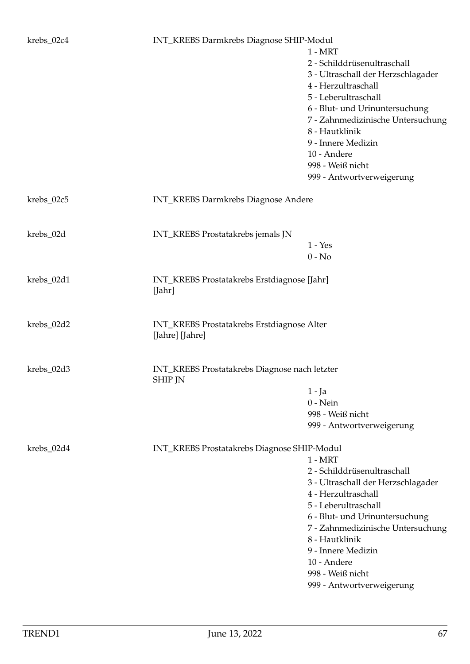## krebs\_02c4 INT\_KREBS Darmkrebs Diagnose SHIP-Modul

|            |                                                                 | $1 - MRT$<br>2 - Schilddrüsenultraschall<br>3 - Ultraschall der Herzschlagader<br>4 - Herzultraschall<br>5 - Leberultraschall<br>6 - Blut- und Urinuntersuchung<br>7 - Zahnmedizinische Untersuchung<br>8 - Hautklinik<br>9 - Innere Medizin<br>10 - Andere<br>998 - Weiß nicht<br>999 - Antwortverweigerung |
|------------|-----------------------------------------------------------------|--------------------------------------------------------------------------------------------------------------------------------------------------------------------------------------------------------------------------------------------------------------------------------------------------------------|
| krebs_02c5 | <b>INT_KREBS</b> Darmkrebs Diagnose Andere                      |                                                                                                                                                                                                                                                                                                              |
| krebs_02d  | INT_KREBS Prostatakrebs jemals JN                               | $1 - Yes$<br>$0 - No$                                                                                                                                                                                                                                                                                        |
| krebs_02d1 | INT_KREBS Prostatakrebs Erstdiagnose [Jahr]<br>[Jahr]           |                                                                                                                                                                                                                                                                                                              |
| krebs_02d2 | INT_KREBS Prostatakrebs Erstdiagnose Alter<br>[Jahre] [Jahre]   |                                                                                                                                                                                                                                                                                                              |
| krebs_02d3 | INT_KREBS Prostatakrebs Diagnose nach letzter<br><b>SHIP JN</b> |                                                                                                                                                                                                                                                                                                              |
|            |                                                                 | 1 - Ja                                                                                                                                                                                                                                                                                                       |
|            |                                                                 | $0$ - Nein                                                                                                                                                                                                                                                                                                   |
|            |                                                                 | 998 - Weiß nicht                                                                                                                                                                                                                                                                                             |
|            |                                                                 | 999 - Antwortverweigerung                                                                                                                                                                                                                                                                                    |
| krebs_02d4 | INT_KREBS Prostatakrebs Diagnose SHIP-Modul                     |                                                                                                                                                                                                                                                                                                              |
|            |                                                                 | $1 - MRT$                                                                                                                                                                                                                                                                                                    |
|            |                                                                 | 2 - Schilddrüsenultraschall                                                                                                                                                                                                                                                                                  |
|            |                                                                 | 3 - Ultraschall der Herzschlagader                                                                                                                                                                                                                                                                           |
|            |                                                                 | 4 - Herzultraschall                                                                                                                                                                                                                                                                                          |
|            |                                                                 | 5 - Leberultraschall                                                                                                                                                                                                                                                                                         |
|            |                                                                 | 6 - Blut- und Urinuntersuchung                                                                                                                                                                                                                                                                               |
|            |                                                                 | 7 - Zahnmedizinische Untersuchung                                                                                                                                                                                                                                                                            |
|            |                                                                 | 8 - Hautklinik                                                                                                                                                                                                                                                                                               |
|            |                                                                 | 9 - Innere Medizin                                                                                                                                                                                                                                                                                           |
|            |                                                                 | 10 - Andere                                                                                                                                                                                                                                                                                                  |
|            |                                                                 | 998 - Weiß nicht                                                                                                                                                                                                                                                                                             |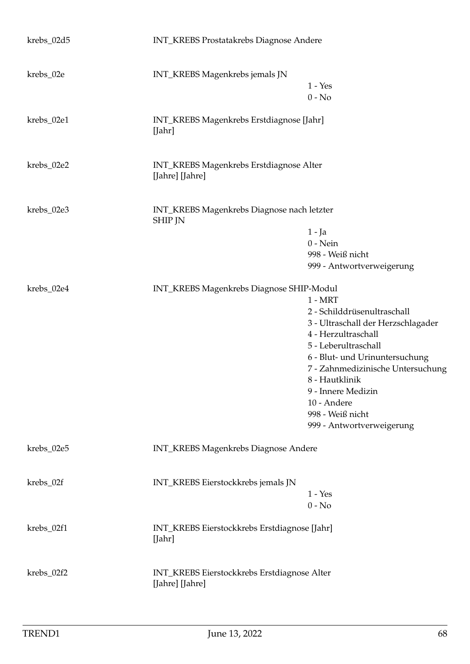| krebs_02d5 | INT_KREBS Prostatakrebs Diagnose Andere                        |                                                                                                                                                                                                                                                                                                              |
|------------|----------------------------------------------------------------|--------------------------------------------------------------------------------------------------------------------------------------------------------------------------------------------------------------------------------------------------------------------------------------------------------------|
| krebs_02e  | INT_KREBS Magenkrebs jemals JN                                 | $1 - Yes$<br>$0 - No$                                                                                                                                                                                                                                                                                        |
| krebs_02e1 | INT_KREBS Magenkrebs Erstdiagnose [Jahr]<br>[Jahr]             |                                                                                                                                                                                                                                                                                                              |
| krebs_02e2 | INT_KREBS Magenkrebs Erstdiagnose Alter<br>[Jahre] [Jahre]     |                                                                                                                                                                                                                                                                                                              |
| krebs_02e3 | INT_KREBS Magenkrebs Diagnose nach letzter<br><b>SHIP JN</b>   | 1 - Ja<br>$0$ - Nein<br>998 - Weiß nicht<br>999 - Antwortverweigerung                                                                                                                                                                                                                                        |
| krebs_02e4 | INT_KREBS Magenkrebs Diagnose SHIP-Modul                       | $1 - MRT$<br>2 - Schilddrüsenultraschall<br>3 - Ultraschall der Herzschlagader<br>4 - Herzultraschall<br>5 - Leberultraschall<br>6 - Blut- und Urinuntersuchung<br>7 - Zahnmedizinische Untersuchung<br>8 - Hautklinik<br>9 - Innere Medizin<br>10 - Andere<br>998 - Weiß nicht<br>999 - Antwortverweigerung |
| krebs_02e5 | INT_KREBS Magenkrebs Diagnose Andere                           |                                                                                                                                                                                                                                                                                                              |
| krebs_02f  | INT_KREBS Eierstockkrebs jemals JN                             | $1 - Yes$<br>$0 - No$                                                                                                                                                                                                                                                                                        |
| krebs_02f1 | INT_KREBS Eierstockkrebs Erstdiagnose [Jahr]<br>[Jahr]         |                                                                                                                                                                                                                                                                                                              |
| krebs_02f2 | INT_KREBS Eierstockkrebs Erstdiagnose Alter<br>[Jahre] [Jahre] |                                                                                                                                                                                                                                                                                                              |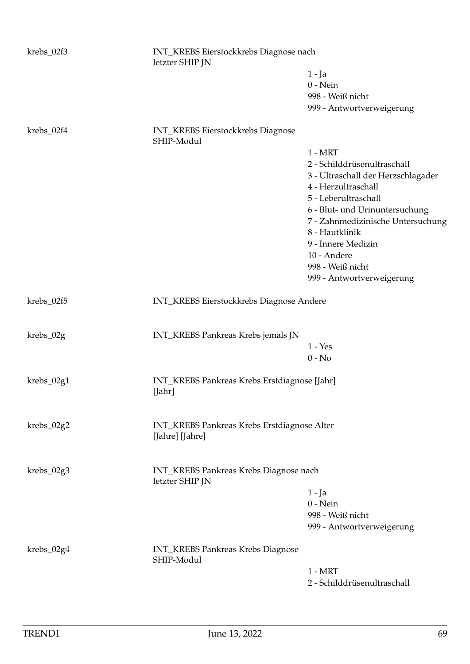| krebs_02f3 | letzter SHIP JN                                           | INT_KREBS Eierstockkrebs Diagnose nach |  |
|------------|-----------------------------------------------------------|----------------------------------------|--|
|            |                                                           | $1 - Ja$                               |  |
|            |                                                           | $0 - Nein$                             |  |
|            |                                                           | 998 - Weiß nicht                       |  |
|            |                                                           | 999 - Antwortverweigerung              |  |
| krebs_02f4 | <b>INT_KREBS</b> Eierstockkrebs Diagnose<br>SHIP-Modul    |                                        |  |
|            |                                                           | $1 - MRT$                              |  |
|            |                                                           | 2 - Schilddrüsenultraschall            |  |
|            |                                                           | 3 - Ultraschall der Herzschlagader     |  |
|            |                                                           | 4 - Herzultraschall                    |  |
|            |                                                           | 5 - Leberultraschall                   |  |
|            |                                                           | 6 - Blut- und Urinuntersuchung         |  |
|            |                                                           | 7 - Zahnmedizinische Untersuchung      |  |
|            |                                                           | 8 - Hautklinik                         |  |
|            |                                                           | 9 - Innere Medizin                     |  |
|            |                                                           | 10 - Andere                            |  |
|            |                                                           | 998 - Weiß nicht                       |  |
|            |                                                           | 999 - Antwortverweigerung              |  |
| krebs_02f5 | INT_KREBS Eierstockkrebs Diagnose Andere                  |                                        |  |
| krebs_02g  | INT_KREBS Pankreas Krebs jemals JN                        |                                        |  |
|            |                                                           | $1 - Yes$                              |  |
|            |                                                           | $0 - No$                               |  |
| krebs_02g1 | INT_KREBS Pankreas Krebs Erstdiagnose [Jahr]<br>[Jahr]    |                                        |  |
| krebs_02g2 | INT_KREBS Pankreas Krebs Erstdiagnose Alter               |                                        |  |
|            | [Jahre] [Jahre]                                           |                                        |  |
| krebs_02g3 | INT_KREBS Pankreas Krebs Diagnose nach<br>letzter SHIP JN |                                        |  |
|            |                                                           | $1 - Ja$                               |  |
|            |                                                           | $0$ - Nein                             |  |
|            |                                                           | 998 - Weiß nicht                       |  |
|            |                                                           | 999 - Antwortverweigerung              |  |
| krebs_02g4 | <b>INT_KREBS Pankreas Krebs Diagnose</b><br>SHIP-Modul    |                                        |  |
|            |                                                           | $1 - MRT$                              |  |
|            |                                                           | 2 - Schilddrüsenultraschall            |  |
|            |                                                           |                                        |  |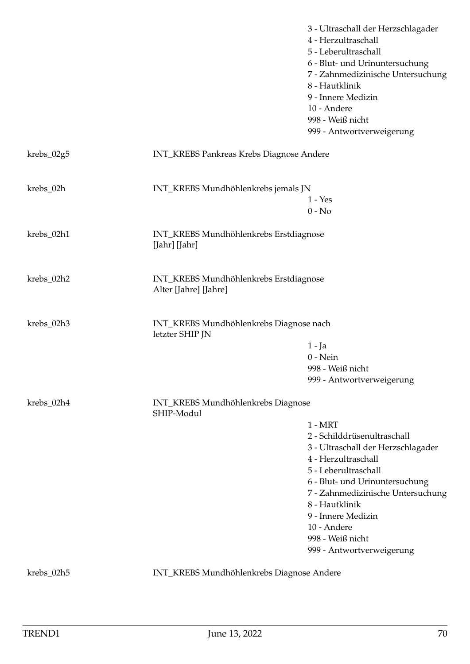|            |                                                                 | 3 - Ultraschall der Herzschlagader<br>4 - Herzultraschall<br>5 - Leberultraschall<br>6 - Blut- und Urinuntersuchung<br>7 - Zahnmedizinische Untersuchung<br>8 - Hautklinik<br>9 - Innere Medizin<br>10 - Andere<br>998 - Weiß nicht<br>999 - Antwortverweigerung                                             |
|------------|-----------------------------------------------------------------|--------------------------------------------------------------------------------------------------------------------------------------------------------------------------------------------------------------------------------------------------------------------------------------------------------------|
| krebs_02g5 | INT_KREBS Pankreas Krebs Diagnose Andere                        |                                                                                                                                                                                                                                                                                                              |
| krebs_02h  | INT_KREBS Mundhöhlenkrebs jemals JN                             | $1 - Yes$<br>$0 - No$                                                                                                                                                                                                                                                                                        |
| krebs_02h1 | INT_KREBS Mundhöhlenkrebs Erstdiagnose<br>[Jahr] [Jahr]         |                                                                                                                                                                                                                                                                                                              |
| krebs_02h2 | INT_KREBS Mundhöhlenkrebs Erstdiagnose<br>Alter [Jahre] [Jahre] |                                                                                                                                                                                                                                                                                                              |
| krebs_02h3 | INT_KREBS Mundhöhlenkrebs Diagnose nach<br>letzter SHIP JN      |                                                                                                                                                                                                                                                                                                              |
|            |                                                                 | $1 - Ja$<br>$0$ - Nein<br>998 - Weiß nicht<br>999 - Antwortverweigerung                                                                                                                                                                                                                                      |
| krebs_02h4 | INT_KREBS Mundhöhlenkrebs Diagnose<br>SHIP-Modul                | $1 - MRT$<br>2 - Schilddrüsenultraschall<br>3 - Ultraschall der Herzschlagader<br>4 - Herzultraschall<br>5 - Leberultraschall<br>6 - Blut- und Urinuntersuchung<br>7 - Zahnmedizinische Untersuchung<br>8 - Hautklinik<br>9 - Innere Medizin<br>10 - Andere<br>998 - Weiß nicht<br>999 - Antwortverweigerung |

krebs\_02h5 INT\_KREBS Mundhöhlenkrebs Diagnose Andere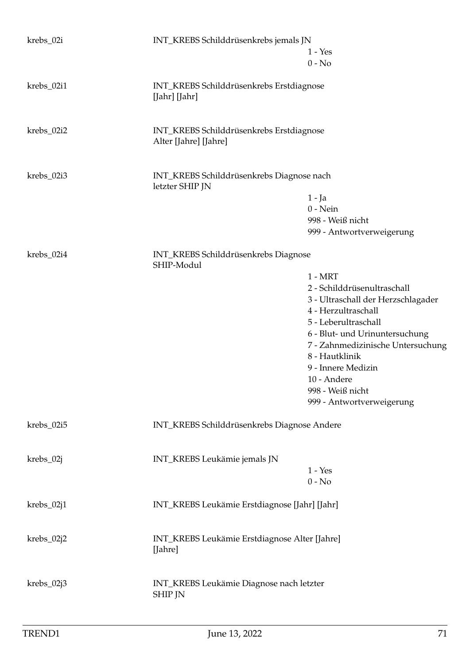| krebs_02i  | INT_KREBS Schilddrüsenkrebs jemals JN                             | $1 - Yes$                          |
|------------|-------------------------------------------------------------------|------------------------------------|
|            |                                                                   | $0 - No$                           |
| krebs_02i1 | INT_KREBS Schilddrüsenkrebs Erstdiagnose<br>[Jahr] [Jahr]         |                                    |
| krebs_02i2 | INT_KREBS Schilddrüsenkrebs Erstdiagnose<br>Alter [Jahre] [Jahre] |                                    |
| krebs_02i3 | INT_KREBS Schilddrüsenkrebs Diagnose nach<br>letzter SHIP JN      |                                    |
|            |                                                                   | $1 - Ja$                           |
|            |                                                                   | $0$ - Nein                         |
|            |                                                                   | 998 - Weiß nicht                   |
|            |                                                                   | 999 - Antwortverweigerung          |
| krebs_02i4 | INT_KREBS Schilddrüsenkrebs Diagnose<br>SHIP-Modul                |                                    |
|            |                                                                   | $1 - MRT$                          |
|            |                                                                   | 2 - Schilddrüsenultraschall        |
|            |                                                                   | 3 - Ultraschall der Herzschlagader |
|            |                                                                   | 4 - Herzultraschall                |
|            |                                                                   | 5 - Leberultraschall               |
|            |                                                                   | 6 - Blut- und Urinuntersuchung     |
|            |                                                                   | 7 - Zahnmedizinische Untersuchung  |
|            |                                                                   | 8 - Hautklinik                     |
|            |                                                                   | 9 - Innere Medizin<br>10 - Andere  |
|            |                                                                   | 998 - Weiß nicht                   |
|            |                                                                   | 999 - Antwortverweigerung          |
|            |                                                                   |                                    |
| krebs_02i5 | INT_KREBS Schilddrüsenkrebs Diagnose Andere                       |                                    |
|            |                                                                   |                                    |
| krebs_02j  | INT_KREBS Leukämie jemals JN                                      | $1 - Yes$                          |
|            |                                                                   | $0 - No$                           |
|            |                                                                   |                                    |
| krebs_02j1 | INT_KREBS Leukämie Erstdiagnose [Jahr] [Jahr]                     |                                    |
| krebs_02j2 | INT_KREBS Leukämie Erstdiagnose Alter [Jahre]<br>[Jahre]          |                                    |
| krebs_02j3 | INT_KREBS Leukämie Diagnose nach letzter<br><b>SHIP JN</b>        |                                    |
|            |                                                                   |                                    |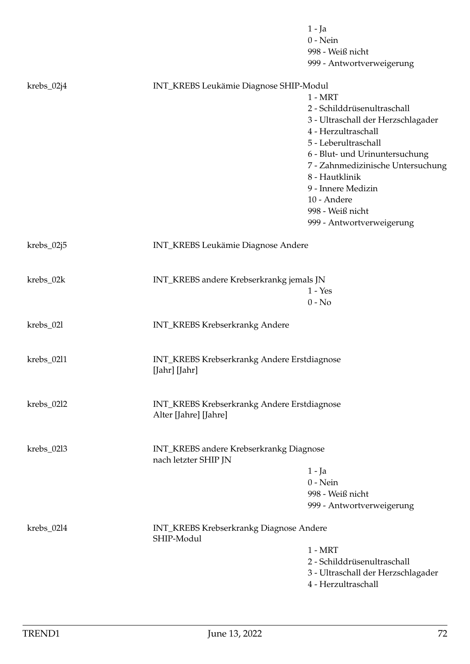|            |                                                              | $1 - Ja$<br>$0$ - Nein<br>998 - Weiß nicht |
|------------|--------------------------------------------------------------|--------------------------------------------|
|            |                                                              | 999 - Antwortverweigerung                  |
| krebs_02j4 | INT_KREBS Leukämie Diagnose SHIP-Modul                       |                                            |
|            |                                                              | $1 - MRT$                                  |
|            |                                                              | 2 - Schilddrüsenultraschall                |
|            |                                                              | 3 - Ultraschall der Herzschlagader         |
|            |                                                              | 4 - Herzultraschall                        |
|            |                                                              | 5 - Leberultraschall                       |
|            |                                                              | 6 - Blut- und Urinuntersuchung             |
|            |                                                              | 7 - Zahnmedizinische Untersuchung          |
|            |                                                              | 8 - Hautklinik                             |
|            |                                                              | 9 - Innere Medizin                         |
|            |                                                              | 10 - Andere                                |
|            |                                                              | 998 - Weiß nicht                           |
|            |                                                              | 999 - Antwortverweigerung                  |
| krebs_02j5 | INT_KREBS Leukämie Diagnose Andere                           |                                            |
|            |                                                              |                                            |
| krebs_02k  | INT_KREBS andere Krebserkrankg jemals JN                     | $1 - Yes$                                  |
|            |                                                              | $0 - No$                                   |
|            |                                                              |                                            |
| krebs_021  | <b>INT_KREBS Krebserkrankg Andere</b>                        |                                            |
| krebs_02l1 | INT_KREBS Krebserkrankg Andere Erstdiagnose                  |                                            |
|            | [Jahr] [Jahr]                                                |                                            |
| krebs_02l2 | INT_KREBS Krebserkrankg Andere Erstdiagnose                  |                                            |
|            | Alter [Jahre] [Jahre]                                        |                                            |
| krebs_02l3 | INT_KREBS andere Krebserkrankg Diagnose                      |                                            |
|            | nach letzter SHIP JN                                         |                                            |
|            |                                                              | $1 - Ja$                                   |
|            |                                                              | $0$ - Nein                                 |
|            |                                                              | 998 - Weiß nicht                           |
|            |                                                              | 999 - Antwortverweigerung                  |
| krebs_02l4 | <b>INT_KREBS Krebserkrankg Diagnose Andere</b><br>SHIP-Modul |                                            |
|            |                                                              | $1 - MRT$                                  |
|            |                                                              | 2 - Schilddrüsenultraschall                |
|            |                                                              | 3 - Ultraschall der Herzschlagader         |
|            |                                                              | 4 - Herzultraschall                        |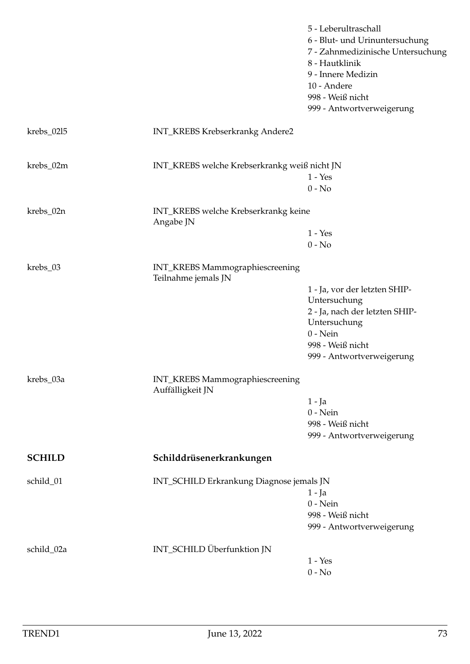|               |                                                        | 5 - Leberultraschall<br>6 - Blut- und Urinuntersuchung<br>7 - Zahnmedizinische Untersuchung<br>8 - Hautklinik<br>9 - Innere Medizin<br>10 - Andere<br>998 - Weiß nicht<br>999 - Antwortverweigerung |
|---------------|--------------------------------------------------------|-----------------------------------------------------------------------------------------------------------------------------------------------------------------------------------------------------|
| krebs_0215    | <b>INT_KREBS Krebserkrankg Andere2</b>                 |                                                                                                                                                                                                     |
| krebs_02m     | INT_KREBS welche Krebserkrankg weiß nicht JN           | $1 - Yes$<br>$0 - No$                                                                                                                                                                               |
| krebs_02n     | INT_KREBS welche Krebserkrankg keine<br>Angabe JN      |                                                                                                                                                                                                     |
|               |                                                        | $1 - Yes$<br>$0 - No$                                                                                                                                                                               |
| krebs_03      | INT_KREBS Mammographiescreening<br>Teilnahme jemals JN |                                                                                                                                                                                                     |
|               |                                                        | 1 - Ja, vor der letzten SHIP-                                                                                                                                                                       |
|               |                                                        | Untersuchung                                                                                                                                                                                        |
|               |                                                        | 2 - Ja, nach der letzten SHIP-<br>Untersuchung                                                                                                                                                      |
|               |                                                        | $0$ - Nein                                                                                                                                                                                          |
|               |                                                        | 998 - Weiß nicht                                                                                                                                                                                    |
|               |                                                        | 999 - Antwortverweigerung                                                                                                                                                                           |
| krebs_03a     | INT_KREBS Mammographiescreening<br>Auffälligkeit JN    |                                                                                                                                                                                                     |
|               |                                                        | $1 - Ja$                                                                                                                                                                                            |
|               |                                                        | $0$ - Nein                                                                                                                                                                                          |
|               |                                                        | 998 - Weiß nicht<br>999 - Antwortverweigerung                                                                                                                                                       |
|               |                                                        |                                                                                                                                                                                                     |
| <b>SCHILD</b> | Schilddrüsenerkrankungen                               |                                                                                                                                                                                                     |
| schild_01     | INT_SCHILD Erkrankung Diagnose jemals JN               | $1 - Ja$                                                                                                                                                                                            |
|               |                                                        | $0$ - Nein                                                                                                                                                                                          |
|               |                                                        | 998 - Weiß nicht<br>999 - Antwortverweigerung                                                                                                                                                       |
| schild_02a    | INT_SCHILD Überfunktion JN                             |                                                                                                                                                                                                     |
|               |                                                        | $1 - Yes$                                                                                                                                                                                           |
|               |                                                        | $0 - No$                                                                                                                                                                                            |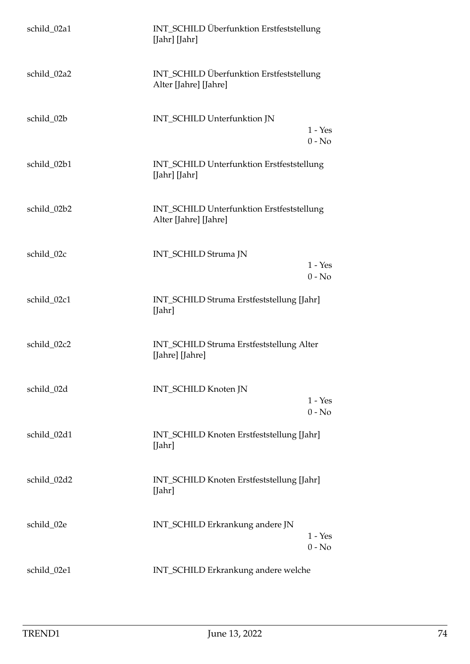| schild_02a1 | INT_SCHILD Überfunktion Erstfeststellung<br>[Jahr] [Jahr]          |
|-------------|--------------------------------------------------------------------|
| schild_02a2 | INT_SCHILD Überfunktion Erstfeststellung<br>Alter [Jahre] [Jahre]  |
| schild_02b  | INT_SCHILD Unterfunktion JN<br>$1 - Yes$<br>$0 - No$               |
| schild_02b1 | INT_SCHILD Unterfunktion Erstfeststellung<br>[Jahr] [Jahr]         |
| schild_02b2 | INT_SCHILD Unterfunktion Erstfeststellung<br>Alter [Jahre] [Jahre] |
| schild_02c  | INT_SCHILD Struma JN<br>$1 - Yes$<br>$0 - No$                      |
| schild_02c1 | INT_SCHILD Struma Erstfeststellung [Jahr]<br>[Jahr]                |
| schild_02c2 | INT_SCHILD Struma Erstfeststellung Alter<br>[Jahre] [Jahre]        |
| schild_02d  | <b>INT_SCHILD Knoten JN</b><br>$1 - Yes$<br>$0 - No$               |
| schild_02d1 | INT_SCHILD Knoten Erstfeststellung [Jahr]<br>[ <b>Jahr</b> ]       |
| schild_02d2 | INT_SCHILD Knoten Erstfeststellung [Jahr]<br>[Jahr]                |
| schild_02e  | INT_SCHILD Erkrankung andere JN<br>$1 - Yes$<br>$0 - No$           |
| schild_02e1 | INT_SCHILD Erkrankung andere welche                                |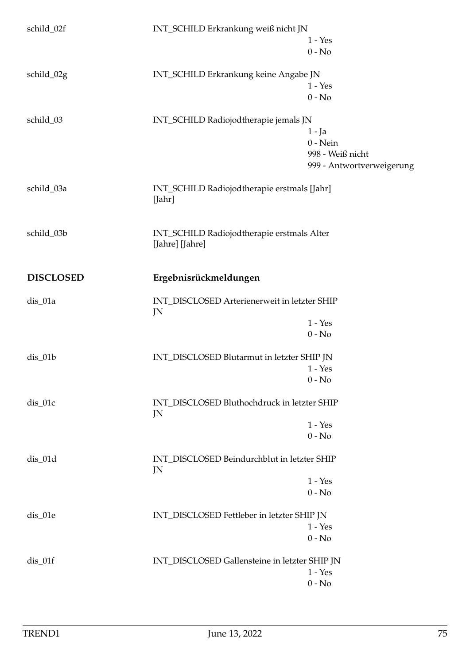| schild_02f       | INT_SCHILD Erkrankung weiß nicht JN                           |                           |
|------------------|---------------------------------------------------------------|---------------------------|
|                  |                                                               | $1 - Yes$                 |
|                  |                                                               | $0 - No$                  |
| schild_02g       | INT_SCHILD Erkrankung keine Angabe JN                         |                           |
|                  |                                                               | $1 - Yes$                 |
|                  |                                                               | $0 - No$                  |
| schild_03        | INT_SCHILD Radiojodtherapie jemals JN                         |                           |
|                  |                                                               | $1 - Ja$                  |
|                  |                                                               | $0$ - Nein                |
|                  |                                                               | 998 - Weiß nicht          |
|                  |                                                               | 999 - Antwortverweigerung |
| schild_03a       | INT_SCHILD Radiojodtherapie erstmals [Jahr]<br>[Jahr]         |                           |
|                  |                                                               |                           |
| schild_03b       | INT_SCHILD Radiojodtherapie erstmals Alter<br>[Jahre] [Jahre] |                           |
| <b>DISCLOSED</b> | Ergebnisrückmeldungen                                         |                           |
| dis_01a          | INT_DISCLOSED Arterienerweit in letzter SHIP<br>JN            |                           |
|                  |                                                               | $1 - Yes$                 |
|                  |                                                               | $0 - No$                  |
| dis_01b          | INT_DISCLOSED Blutarmut in letzter SHIP JN                    |                           |
|                  |                                                               | $1 - Yes$                 |
|                  |                                                               | $0 - No$                  |
| dis_01c          | INT_DISCLOSED Bluthochdruck in letzter SHIP<br>JN             |                           |
|                  |                                                               | $1 - Yes$                 |
|                  |                                                               | $0 - No$                  |
| $dis_01d$        | INT DISCLOSED Beindurchblut in letzter SHIP<br>JN             |                           |
|                  |                                                               | $1 - Yes$                 |
|                  |                                                               | $0 - No$                  |
| dis_01e          | INT_DISCLOSED Fettleber in letzter SHIP JN                    |                           |
|                  |                                                               | $1 - Yes$                 |
|                  |                                                               | $0 - No$                  |
| $dis_01f$        | INT_DISCLOSED Gallensteine in letzter SHIP JN                 |                           |
|                  |                                                               | $1 - Yes$                 |
|                  |                                                               | $0 - No$                  |
|                  |                                                               |                           |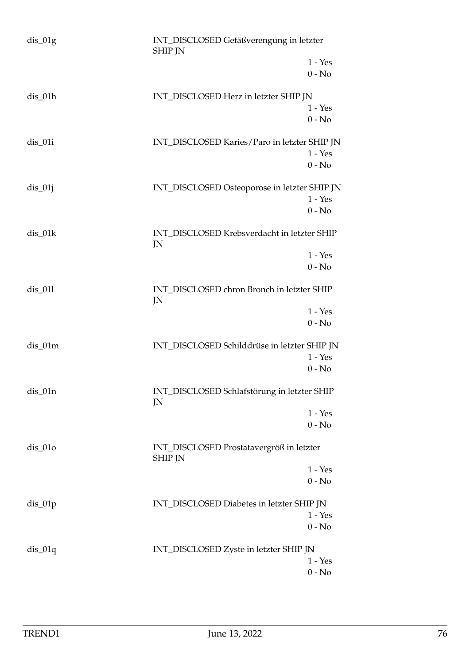| $dis_01g$ | INT_DISCLOSED Gefäßverengung in letzter<br><b>SHIP JN</b>  |                       |
|-----------|------------------------------------------------------------|-----------------------|
|           |                                                            | $1 - Yes$<br>$0 - No$ |
| $dis_01h$ | INT_DISCLOSED Herz in letzter SHIP JN                      | $1 - Yes$<br>$0 - No$ |
| $dis_01i$ | INT_DISCLOSED Karies/Paro in letzter SHIP JN               | $1 - Yes$<br>$0 - No$ |
| $dis_01j$ | INT_DISCLOSED Osteoporose in letzter SHIP JN               | $1 - Yes$<br>$0 - No$ |
| dis_01k   | INT_DISCLOSED Krebsverdacht in letzter SHIP<br>JN          |                       |
|           |                                                            | $1 - Yes$<br>$0 - No$ |
| $dis_011$ | INT_DISCLOSED chron Bronch in letzter SHIP<br>JN           |                       |
|           |                                                            | $1 - Yes$<br>$0 - No$ |
| $dis_01m$ | INT_DISCLOSED Schilddrüse in letzter SHIP JN               |                       |
|           |                                                            | $1 - Yes$<br>$0 - No$ |
| $dis_01n$ | INT_DISCLOSED Schlafstörung in letzter SHIP<br>JN          |                       |
|           |                                                            | $1 - Yes$<br>$0 - No$ |
| $dis_01o$ | INT_DISCLOSED Prostatavergröß in letzter<br><b>SHIP JN</b> |                       |
|           |                                                            | $1 - Yes$<br>$0 - No$ |
| $dis_01p$ | INT_DISCLOSED Diabetes in letzter SHIP JN                  |                       |
|           |                                                            | $1 - Yes$<br>$0 - No$ |
| $dis_01q$ | INT_DISCLOSED Zyste in letzter SHIP JN                     |                       |
|           |                                                            | $1 - Yes$<br>$0 - No$ |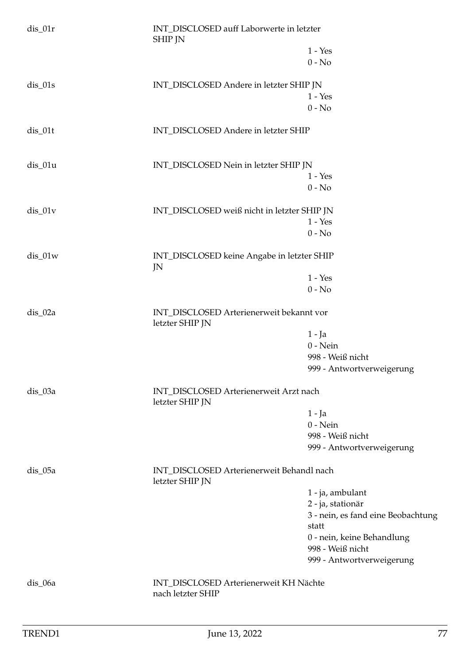| $dis_01r$ | INT_DISCLOSED auff Laborwerte in letzter<br><b>SHIP JN</b>   |                                             |
|-----------|--------------------------------------------------------------|---------------------------------------------|
|           |                                                              | $1 - Yes$                                   |
|           |                                                              | $0 - No$                                    |
| $dis_01s$ | INT_DISCLOSED Andere in letzter SHIP JN                      |                                             |
|           |                                                              | $1 - Yes$                                   |
|           |                                                              | $0 - No$                                    |
| $dis_01t$ | INT_DISCLOSED Andere in letzter SHIP                         |                                             |
| dis_01u   | INT_DISCLOSED Nein in letzter SHIP JN                        |                                             |
|           |                                                              | $1 - Yes$                                   |
|           |                                                              | $0 - No$                                    |
| $dis_01v$ | INT_DISCLOSED weiß nicht in letzter SHIP JN                  |                                             |
|           |                                                              | $1 - Yes$                                   |
|           |                                                              | $0 - No$                                    |
| $dis_01w$ | INT_DISCLOSED keine Angabe in letzter SHIP<br>JN             |                                             |
|           |                                                              | $1 - Yes$                                   |
|           |                                                              | $0 - No$                                    |
| dis_02a   | INT_DISCLOSED Arterienerweit bekannt vor<br>letzter SHIP JN  |                                             |
|           |                                                              | $1 - Ja$                                    |
|           |                                                              | $0$ - Nein                                  |
|           |                                                              | 998 - Weiß nicht                            |
|           |                                                              | 999 - Antwortverweigerung                   |
| dis_03a   | INT_DISCLOSED Arterienerweit Arzt nach<br>letzter SHIP JN    |                                             |
|           |                                                              | $1 - Ja$                                    |
|           |                                                              | $0$ - Nein                                  |
|           |                                                              | 998 - Weiß nicht                            |
|           |                                                              | 999 - Antwortverweigerung                   |
| $dis_05a$ | INT_DISCLOSED Arterienerweit Behandl nach<br>letzter SHIP JN |                                             |
|           |                                                              | 1 - ja, ambulant                            |
|           |                                                              | 2 - ja, stationär                           |
|           |                                                              | 3 - nein, es fand eine Beobachtung<br>statt |
|           |                                                              | 0 - nein, keine Behandlung                  |
|           |                                                              | 998 - Weiß nicht                            |
|           |                                                              | 999 - Antwortverweigerung                   |
| dis_06a   | INT_DISCLOSED Arterienerweit KH Nächte<br>nach letzter SHIP  |                                             |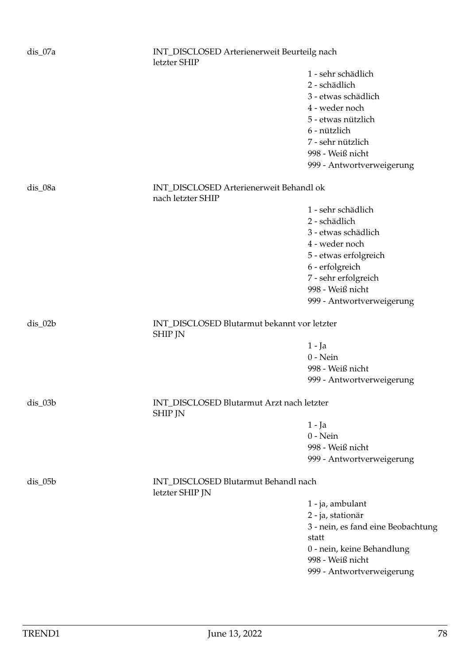| dis_07a   | INT_DISCLOSED Arterienerweit Beurteilg nach<br>letzter SHIP   |                                      |  |
|-----------|---------------------------------------------------------------|--------------------------------------|--|
|           |                                                               | 1 - sehr schädlich                   |  |
|           |                                                               | 2 - schädlich                        |  |
|           |                                                               | 3 - etwas schädlich                  |  |
|           |                                                               | 4 - weder noch                       |  |
|           |                                                               | 5 - etwas nützlich                   |  |
|           |                                                               | 6 - nützlich                         |  |
|           |                                                               | 7 - sehr nützlich                    |  |
|           |                                                               | 998 - Weiß nicht                     |  |
|           |                                                               | 999 - Antwortverweigerung            |  |
| dis_08a   | INT_DISCLOSED Arterienerweit Behandl ok<br>nach letzter SHIP  |                                      |  |
|           |                                                               | 1 - sehr schädlich                   |  |
|           |                                                               | 2 - schädlich                        |  |
|           |                                                               | 3 - etwas schädlich                  |  |
|           |                                                               | 4 - weder noch                       |  |
|           |                                                               | 5 - etwas erfolgreich                |  |
|           |                                                               | 6 - erfolgreich                      |  |
|           |                                                               | 7 - sehr erfolgreich                 |  |
|           |                                                               | 998 - Weiß nicht                     |  |
|           |                                                               | 999 - Antwortverweigerung            |  |
| $dis_02b$ | INT_DISCLOSED Blutarmut bekannt vor letzter<br><b>SHIP JN</b> |                                      |  |
|           |                                                               | $1 - Ja$                             |  |
|           |                                                               | $0$ - Nein                           |  |
|           |                                                               | 998 - Weiß nicht                     |  |
|           |                                                               | 999 - Antwortverweigerung            |  |
|           |                                                               |                                      |  |
| dis_03b   | INT_DISCLOSED Blutarmut Arzt nach letzter<br><b>SHIP JN</b>   |                                      |  |
|           |                                                               | $1 - Ja$                             |  |
|           |                                                               | $0$ - Nein                           |  |
|           |                                                               | 998 - Weiß nicht                     |  |
|           |                                                               | 999 - Antwortverweigerung            |  |
| $dis_05b$ | letzter SHIP JN                                               | INT_DISCLOSED Blutarmut Behandl nach |  |
|           |                                                               | 1 - ja, ambulant                     |  |
|           |                                                               | 2 - ja, stationär                    |  |
|           |                                                               | 3 - nein, es fand eine Beobachtung   |  |
|           |                                                               | statt                                |  |
|           |                                                               | 0 - nein, keine Behandlung           |  |
|           |                                                               | 998 - Weiß nicht                     |  |
|           |                                                               | 999 - Antwortverweigerung            |  |
|           |                                                               |                                      |  |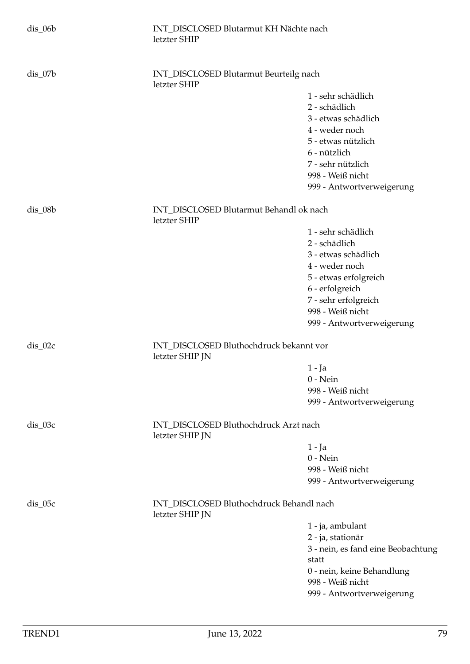| $dis_06b$ | INT_DISCLOSED Blutarmut KH Nächte nach<br>letzter SHIP      |                                    |
|-----------|-------------------------------------------------------------|------------------------------------|
| $dis_07b$ | INT_DISCLOSED Blutarmut Beurteilg nach<br>letzter SHIP      |                                    |
|           |                                                             | 1 - sehr schädlich                 |
|           |                                                             | 2 - schädlich                      |
|           |                                                             | 3 - etwas schädlich                |
|           |                                                             | 4 - weder noch                     |
|           |                                                             | 5 - etwas nützlich                 |
|           |                                                             | 6 - nützlich                       |
|           |                                                             | 7 - sehr nützlich                  |
|           |                                                             | 998 - Weiß nicht                   |
|           |                                                             | 999 - Antwortverweigerung          |
| $dis_08b$ | INT_DISCLOSED Blutarmut Behandl ok nach<br>letzter SHIP     |                                    |
|           |                                                             | 1 - sehr schädlich                 |
|           |                                                             | 2 - schädlich                      |
|           |                                                             | 3 - etwas schädlich                |
|           |                                                             | 4 - weder noch                     |
|           |                                                             | 5 - etwas erfolgreich              |
|           |                                                             | 6 - erfolgreich                    |
|           |                                                             | 7 - sehr erfolgreich               |
|           |                                                             | 998 - Weiß nicht                   |
|           |                                                             | 999 - Antwortverweigerung          |
| $dis_02c$ | INT_DISCLOSED Bluthochdruck bekannt vor<br>letzter SHIP JN  |                                    |
|           |                                                             | $1 - Ja$                           |
|           |                                                             | $0$ - Nein                         |
|           |                                                             | 998 - Weiß nicht                   |
|           |                                                             | 999 - Antwortverweigerung          |
| $dis_03c$ | INT_DISCLOSED Bluthochdruck Arzt nach<br>letzter SHIP JN    |                                    |
|           |                                                             | 1 - Ja                             |
|           |                                                             | $0$ - Nein                         |
|           |                                                             | 998 - Weiß nicht                   |
|           |                                                             | 999 - Antwortverweigerung          |
| $dis_05c$ | INT_DISCLOSED Bluthochdruck Behandl nach<br>letzter SHIP JN |                                    |
|           |                                                             | 1 - ja, ambulant                   |
|           |                                                             | 2 - ja, stationär                  |
|           |                                                             | 3 - nein, es fand eine Beobachtung |
|           |                                                             | statt                              |
|           |                                                             | 0 - nein, keine Behandlung         |
|           |                                                             | 998 - Weiß nicht                   |
|           |                                                             | 999 - Antwortverweigerung          |
|           |                                                             |                                    |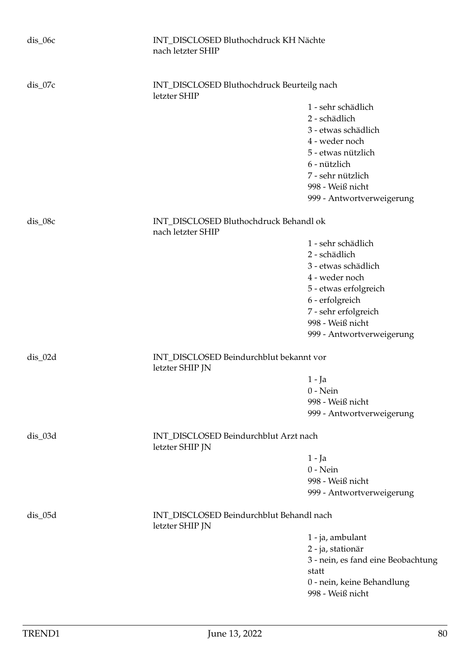| $dis_07c$<br>INT_DISCLOSED Bluthochdruck Beurteilg nach<br>letzter SHIP<br>1 - sehr schädlich<br>2 - schädlich<br>3 - etwas schädlich<br>4 - weder noch<br>5 - etwas nützlich<br>6 - nützlich<br>7 - sehr nützlich<br>998 - Weiß nicht<br>999 - Antwortverweigerung<br>dis_08c<br>INT_DISCLOSED Bluthochdruck Behandl ok<br>nach letzter SHIP<br>1 - sehr schädlich<br>2 - schädlich<br>3 - etwas schädlich<br>4 - weder noch<br>5 - etwas erfolgreich<br>6 - erfolgreich<br>7 - sehr erfolgreich<br>998 - Weiß nicht<br>999 - Antwortverweigerung<br>$dis_02d$<br>INT_DISCLOSED Beindurchblut bekannt vor<br>letzter SHIP JN<br>$1 - Ja$<br>$0$ - Nein<br>998 - Weiß nicht<br>999 - Antwortverweigerung<br>INT_DISCLOSED Beindurchblut Arzt nach<br>dis_03d<br>letzter SHIP JN<br>$1 - Ja$<br>$0$ - Nein<br>998 - Weiß nicht<br>999 - Antwortverweigerung<br>INT_DISCLOSED Beindurchblut Behandl nach<br>$dis$ <sub>05</sub> $d$<br>letzter SHIP JN<br>1 - ja, ambulant<br>2 - ja, stationär<br>statt<br>0 - nein, keine Behandlung<br>998 - Weiß nicht | $dis_0$ 06c | INT_DISCLOSED Bluthochdruck KH Nächte<br>nach letzter SHIP |                                    |
|----------------------------------------------------------------------------------------------------------------------------------------------------------------------------------------------------------------------------------------------------------------------------------------------------------------------------------------------------------------------------------------------------------------------------------------------------------------------------------------------------------------------------------------------------------------------------------------------------------------------------------------------------------------------------------------------------------------------------------------------------------------------------------------------------------------------------------------------------------------------------------------------------------------------------------------------------------------------------------------------------------------------------------------------------------|-------------|------------------------------------------------------------|------------------------------------|
|                                                                                                                                                                                                                                                                                                                                                                                                                                                                                                                                                                                                                                                                                                                                                                                                                                                                                                                                                                                                                                                          |             |                                                            |                                    |
|                                                                                                                                                                                                                                                                                                                                                                                                                                                                                                                                                                                                                                                                                                                                                                                                                                                                                                                                                                                                                                                          |             |                                                            |                                    |
|                                                                                                                                                                                                                                                                                                                                                                                                                                                                                                                                                                                                                                                                                                                                                                                                                                                                                                                                                                                                                                                          |             |                                                            |                                    |
|                                                                                                                                                                                                                                                                                                                                                                                                                                                                                                                                                                                                                                                                                                                                                                                                                                                                                                                                                                                                                                                          |             |                                                            |                                    |
|                                                                                                                                                                                                                                                                                                                                                                                                                                                                                                                                                                                                                                                                                                                                                                                                                                                                                                                                                                                                                                                          |             |                                                            |                                    |
|                                                                                                                                                                                                                                                                                                                                                                                                                                                                                                                                                                                                                                                                                                                                                                                                                                                                                                                                                                                                                                                          |             |                                                            |                                    |
|                                                                                                                                                                                                                                                                                                                                                                                                                                                                                                                                                                                                                                                                                                                                                                                                                                                                                                                                                                                                                                                          |             |                                                            |                                    |
|                                                                                                                                                                                                                                                                                                                                                                                                                                                                                                                                                                                                                                                                                                                                                                                                                                                                                                                                                                                                                                                          |             |                                                            |                                    |
|                                                                                                                                                                                                                                                                                                                                                                                                                                                                                                                                                                                                                                                                                                                                                                                                                                                                                                                                                                                                                                                          |             |                                                            |                                    |
|                                                                                                                                                                                                                                                                                                                                                                                                                                                                                                                                                                                                                                                                                                                                                                                                                                                                                                                                                                                                                                                          |             |                                                            |                                    |
|                                                                                                                                                                                                                                                                                                                                                                                                                                                                                                                                                                                                                                                                                                                                                                                                                                                                                                                                                                                                                                                          |             |                                                            |                                    |
|                                                                                                                                                                                                                                                                                                                                                                                                                                                                                                                                                                                                                                                                                                                                                                                                                                                                                                                                                                                                                                                          |             |                                                            |                                    |
|                                                                                                                                                                                                                                                                                                                                                                                                                                                                                                                                                                                                                                                                                                                                                                                                                                                                                                                                                                                                                                                          |             |                                                            |                                    |
|                                                                                                                                                                                                                                                                                                                                                                                                                                                                                                                                                                                                                                                                                                                                                                                                                                                                                                                                                                                                                                                          |             |                                                            |                                    |
|                                                                                                                                                                                                                                                                                                                                                                                                                                                                                                                                                                                                                                                                                                                                                                                                                                                                                                                                                                                                                                                          |             |                                                            |                                    |
|                                                                                                                                                                                                                                                                                                                                                                                                                                                                                                                                                                                                                                                                                                                                                                                                                                                                                                                                                                                                                                                          |             |                                                            |                                    |
|                                                                                                                                                                                                                                                                                                                                                                                                                                                                                                                                                                                                                                                                                                                                                                                                                                                                                                                                                                                                                                                          |             |                                                            |                                    |
|                                                                                                                                                                                                                                                                                                                                                                                                                                                                                                                                                                                                                                                                                                                                                                                                                                                                                                                                                                                                                                                          |             |                                                            |                                    |
|                                                                                                                                                                                                                                                                                                                                                                                                                                                                                                                                                                                                                                                                                                                                                                                                                                                                                                                                                                                                                                                          |             |                                                            |                                    |
|                                                                                                                                                                                                                                                                                                                                                                                                                                                                                                                                                                                                                                                                                                                                                                                                                                                                                                                                                                                                                                                          |             |                                                            |                                    |
|                                                                                                                                                                                                                                                                                                                                                                                                                                                                                                                                                                                                                                                                                                                                                                                                                                                                                                                                                                                                                                                          |             |                                                            |                                    |
|                                                                                                                                                                                                                                                                                                                                                                                                                                                                                                                                                                                                                                                                                                                                                                                                                                                                                                                                                                                                                                                          |             |                                                            |                                    |
|                                                                                                                                                                                                                                                                                                                                                                                                                                                                                                                                                                                                                                                                                                                                                                                                                                                                                                                                                                                                                                                          |             |                                                            |                                    |
|                                                                                                                                                                                                                                                                                                                                                                                                                                                                                                                                                                                                                                                                                                                                                                                                                                                                                                                                                                                                                                                          |             |                                                            |                                    |
|                                                                                                                                                                                                                                                                                                                                                                                                                                                                                                                                                                                                                                                                                                                                                                                                                                                                                                                                                                                                                                                          |             |                                                            |                                    |
|                                                                                                                                                                                                                                                                                                                                                                                                                                                                                                                                                                                                                                                                                                                                                                                                                                                                                                                                                                                                                                                          |             |                                                            |                                    |
|                                                                                                                                                                                                                                                                                                                                                                                                                                                                                                                                                                                                                                                                                                                                                                                                                                                                                                                                                                                                                                                          |             |                                                            |                                    |
|                                                                                                                                                                                                                                                                                                                                                                                                                                                                                                                                                                                                                                                                                                                                                                                                                                                                                                                                                                                                                                                          |             |                                                            |                                    |
|                                                                                                                                                                                                                                                                                                                                                                                                                                                                                                                                                                                                                                                                                                                                                                                                                                                                                                                                                                                                                                                          |             |                                                            |                                    |
|                                                                                                                                                                                                                                                                                                                                                                                                                                                                                                                                                                                                                                                                                                                                                                                                                                                                                                                                                                                                                                                          |             |                                                            |                                    |
|                                                                                                                                                                                                                                                                                                                                                                                                                                                                                                                                                                                                                                                                                                                                                                                                                                                                                                                                                                                                                                                          |             |                                                            |                                    |
|                                                                                                                                                                                                                                                                                                                                                                                                                                                                                                                                                                                                                                                                                                                                                                                                                                                                                                                                                                                                                                                          |             |                                                            |                                    |
|                                                                                                                                                                                                                                                                                                                                                                                                                                                                                                                                                                                                                                                                                                                                                                                                                                                                                                                                                                                                                                                          |             |                                                            |                                    |
|                                                                                                                                                                                                                                                                                                                                                                                                                                                                                                                                                                                                                                                                                                                                                                                                                                                                                                                                                                                                                                                          |             |                                                            | 3 - nein, es fand eine Beobachtung |
|                                                                                                                                                                                                                                                                                                                                                                                                                                                                                                                                                                                                                                                                                                                                                                                                                                                                                                                                                                                                                                                          |             |                                                            |                                    |
|                                                                                                                                                                                                                                                                                                                                                                                                                                                                                                                                                                                                                                                                                                                                                                                                                                                                                                                                                                                                                                                          |             |                                                            |                                    |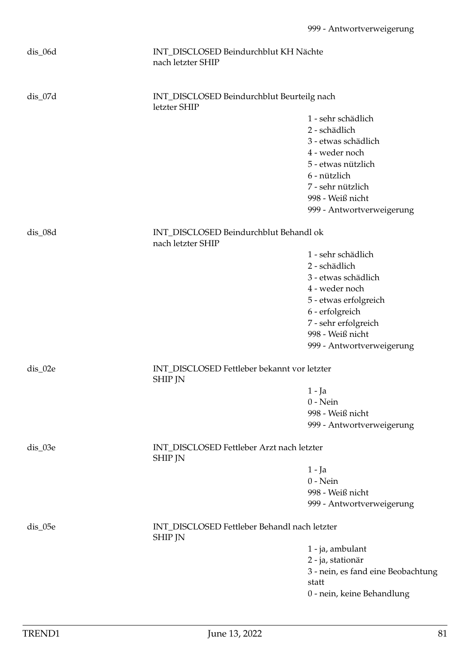| $dis\_06d$ | INT_DISCLOSED Beindurchblut KH Nächte<br>nach letzter SHIP     |                                             |
|------------|----------------------------------------------------------------|---------------------------------------------|
| $dis_07d$  | INT_DISCLOSED Beindurchblut Beurteilg nach<br>letzter SHIP     |                                             |
|            |                                                                | 1 - sehr schädlich                          |
|            |                                                                | 2 - schädlich                               |
|            |                                                                | 3 - etwas schädlich                         |
|            |                                                                | 4 - weder noch                              |
|            |                                                                | 5 - etwas nützlich                          |
|            |                                                                | 6 - nützlich                                |
|            |                                                                | 7 - sehr nützlich                           |
|            |                                                                | 998 - Weiß nicht                            |
|            |                                                                | 999 - Antwortverweigerung                   |
| dis_08d    | INT_DISCLOSED Beindurchblut Behandl ok<br>nach letzter SHIP    |                                             |
|            |                                                                | 1 - sehr schädlich                          |
|            |                                                                | 2 - schädlich                               |
|            |                                                                | 3 - etwas schädlich                         |
|            |                                                                | 4 - weder noch                              |
|            |                                                                | 5 - etwas erfolgreich                       |
|            |                                                                | 6 - erfolgreich                             |
|            |                                                                | 7 - sehr erfolgreich                        |
|            |                                                                | 998 - Weiß nicht                            |
|            |                                                                | 999 - Antwortverweigerung                   |
| dis_02e    | INT_DISCLOSED Fettleber bekannt vor letzter<br><b>SHIP JN</b>  |                                             |
|            |                                                                | $1 - Ja$                                    |
|            |                                                                | $0$ - Nein                                  |
|            |                                                                | 998 - Weiß nicht                            |
|            |                                                                | 999 - Antwortverweigerung                   |
| dis_03e    | INT_DISCLOSED Fettleber Arzt nach letzter<br><b>SHIP JN</b>    |                                             |
|            |                                                                | $1 - Ja$                                    |
|            |                                                                | $0 - Nein$                                  |
|            |                                                                | 998 - Weiß nicht                            |
|            |                                                                | 999 - Antwortverweigerung                   |
| dis_05e    | INT_DISCLOSED Fettleber Behandl nach letzter<br><b>SHIP JN</b> |                                             |
|            |                                                                | 1 - ja, ambulant                            |
|            |                                                                | 2 - ja, stationär                           |
|            |                                                                | 3 - nein, es fand eine Beobachtung<br>statt |
|            |                                                                | 0 - nein, keine Behandlung                  |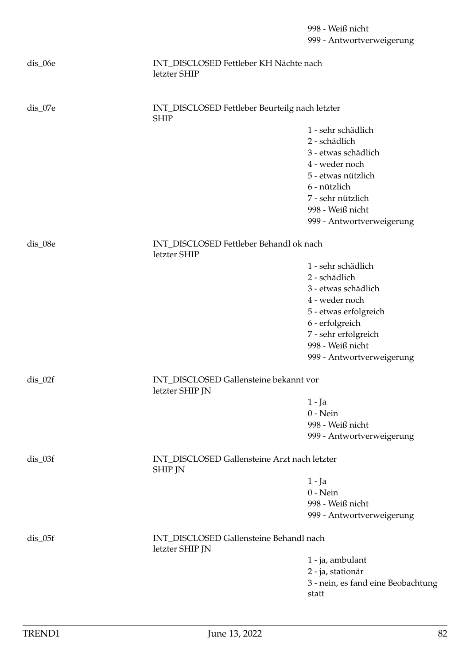|                       |                                                                | 998 - Weiß nicht<br>999 - Antwortverweigerung |
|-----------------------|----------------------------------------------------------------|-----------------------------------------------|
| dis_06e               | INT DISCLOSED Fettleber KH Nächte nach<br>letzter SHIP         |                                               |
| dis_07e               | INT_DISCLOSED Fettleber Beurteilg nach letzter<br><b>SHIP</b>  |                                               |
|                       |                                                                | 1 - sehr schädlich                            |
|                       |                                                                | 2 - schädlich                                 |
|                       |                                                                | 3 - etwas schädlich                           |
|                       |                                                                | 4 - weder noch                                |
|                       |                                                                | 5 - etwas nützlich                            |
|                       |                                                                | 6 - nützlich                                  |
|                       |                                                                | 7 - sehr nützlich                             |
|                       |                                                                | 998 - Weiß nicht                              |
|                       |                                                                | 999 - Antwortverweigerung                     |
| dis_08e               | INT_DISCLOSED Fettleber Behandl ok nach<br>letzter SHIP        |                                               |
|                       |                                                                | 1 - sehr schädlich                            |
|                       |                                                                | 2 - schädlich                                 |
|                       |                                                                | 3 - etwas schädlich                           |
|                       |                                                                | 4 - weder noch                                |
|                       |                                                                | 5 - etwas erfolgreich                         |
|                       |                                                                | 6 - erfolgreich                               |
|                       |                                                                | 7 - sehr erfolgreich                          |
|                       |                                                                | 998 - Weiß nicht                              |
|                       |                                                                | 999 - Antwortverweigerung                     |
| $dis_02f$             | INT_DISCLOSED Gallensteine bekannt vor<br>letzter SHIP JN      |                                               |
|                       |                                                                | $1 - Ja$                                      |
|                       |                                                                | $0$ - Nein                                    |
|                       |                                                                | 998 - Weiß nicht                              |
|                       |                                                                | 999 - Antwortverweigerung                     |
| $dis_03f$             | INT_DISCLOSED Gallensteine Arzt nach letzter<br><b>SHIP JN</b> |                                               |
|                       |                                                                | $1 - Ja$                                      |
|                       |                                                                | $0$ - Nein                                    |
|                       |                                                                | 998 - Weiß nicht                              |
|                       |                                                                | 999 - Antwortverweigerung                     |
| $dis$ <sub>-05f</sub> | INT_DISCLOSED Gallensteine Behandl nach<br>letzter SHIP JN     |                                               |
|                       |                                                                | 1 - ja, ambulant                              |
|                       |                                                                | 2 - ja, stationär                             |
|                       |                                                                | 3 - nein, es fand eine Beobachtung            |
|                       |                                                                | statt                                         |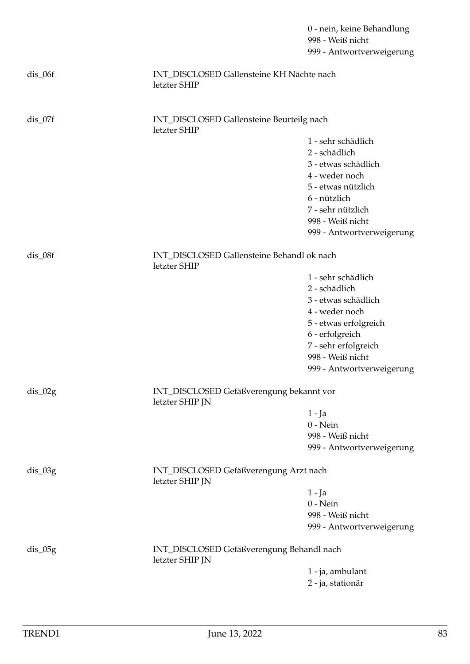|           |                                                              | 0 - nein, keine Behandlung<br>998 - Weiß nicht<br>999 - Antwortverweigerung |
|-----------|--------------------------------------------------------------|-----------------------------------------------------------------------------|
| dis_06f   | INT_DISCLOSED Gallensteine KH Nächte nach<br>letzter SHIP    |                                                                             |
| $dis_07f$ | INT_DISCLOSED Gallensteine Beurteilg nach<br>letzter SHIP    |                                                                             |
|           |                                                              | 1 - sehr schädlich                                                          |
|           |                                                              | 2 - schädlich                                                               |
|           |                                                              | 3 - etwas schädlich                                                         |
|           |                                                              | 4 - weder noch                                                              |
|           |                                                              | 5 - etwas nützlich                                                          |
|           |                                                              | 6 - nützlich                                                                |
|           |                                                              | 7 - sehr nützlich                                                           |
|           |                                                              | 998 - Weiß nicht                                                            |
|           |                                                              | 999 - Antwortverweigerung                                                   |
| dis_08f   | INT_DISCLOSED Gallensteine Behandl ok nach<br>letzter SHIP   |                                                                             |
|           |                                                              | 1 - sehr schädlich                                                          |
|           |                                                              | 2 - schädlich                                                               |
|           |                                                              | 3 - etwas schädlich                                                         |
|           |                                                              | 4 - weder noch                                                              |
|           |                                                              | 5 - etwas erfolgreich                                                       |
|           |                                                              | 6 - erfolgreich                                                             |
|           |                                                              | 7 - sehr erfolgreich                                                        |
|           |                                                              | 998 - Weiß nicht                                                            |
|           |                                                              | 999 - Antwortverweigerung                                                   |
| $dis_02g$ | INT_DISCLOSED Gefäßverengung bekannt vor<br>letzter SHIP JN  |                                                                             |
|           |                                                              | $1 - Ja$                                                                    |
|           |                                                              | $0$ - Nein                                                                  |
|           |                                                              | 998 - Weiß nicht                                                            |
|           |                                                              | 999 - Antwortverweigerung                                                   |
| dis_03g   | INT_DISCLOSED Gefäßverengung Arzt nach<br>letzter SHIP JN    |                                                                             |
|           |                                                              | $1 - Ja$                                                                    |
|           |                                                              | $0$ - Nein                                                                  |
|           |                                                              | 998 - Weiß nicht                                                            |
|           |                                                              | 999 - Antwortverweigerung                                                   |
| $dis_05g$ | INT_DISCLOSED Gefäßverengung Behandl nach<br>letzter SHIP JN |                                                                             |
|           |                                                              | 1 - ja, ambulant                                                            |
|           |                                                              | 2 - ja, stationär                                                           |
|           |                                                              |                                                                             |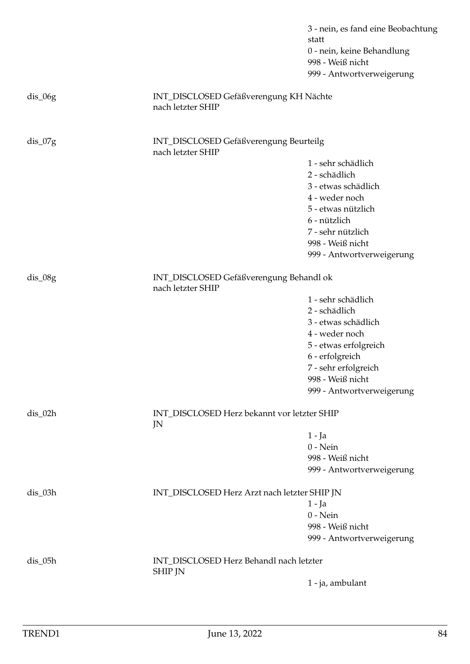3 - nein, es fand eine Beobachtung statt 0 - nein, keine Behandlung 998 - Weiß nicht 999 - Antwortverweigerung

| $dis_06g$ | INT_DISCLOSED Gefäßverengung KH Nächte<br>nach letzter SHIP  |                                      |
|-----------|--------------------------------------------------------------|--------------------------------------|
| $dis_07g$ | INT_DISCLOSED Gefäßverengung Beurteilg<br>nach letzter SHIP  |                                      |
|           |                                                              | 1 - sehr schädlich                   |
|           |                                                              | 2 - schädlich                        |
|           |                                                              | 3 - etwas schädlich                  |
|           |                                                              | 4 - weder noch<br>5 - etwas nützlich |
|           |                                                              | 6 - nützlich                         |
|           |                                                              | 7 - sehr nützlich                    |
|           |                                                              | 998 - Weiß nicht                     |
|           |                                                              | 999 - Antwortverweigerung            |
| $dis_08g$ | INT_DISCLOSED Gefäßverengung Behandl ok<br>nach letzter SHIP |                                      |
|           |                                                              | 1 - sehr schädlich                   |
|           |                                                              | 2 - schädlich                        |
|           |                                                              | 3 - etwas schädlich                  |
|           |                                                              | 4 - weder noch                       |
|           |                                                              | 5 - etwas erfolgreich                |
|           |                                                              | 6 - erfolgreich                      |
|           |                                                              | 7 - sehr erfolgreich                 |
|           |                                                              | 998 - Weiß nicht                     |
|           |                                                              | 999 - Antwortverweigerung            |
| $dis_02h$ | INT_DISCLOSED Herz bekannt vor letzter SHIP<br>JN            |                                      |
|           |                                                              | 1 - Ja                               |
|           |                                                              | $0$ - Nein                           |
|           |                                                              | 998 - Weiß nicht                     |
|           |                                                              | 999 - Antwortverweigerung            |
| dis_03h   | INT_DISCLOSED Herz Arzt nach letzter SHIP JN                 |                                      |
|           |                                                              | $1 - Ja$                             |
|           |                                                              | $0$ - Nein<br>998 - Weiß nicht       |
|           |                                                              | 999 - Antwortverweigerung            |
|           |                                                              |                                      |
| $dis_05h$ | INT_DISCLOSED Herz Behandl nach letzter<br><b>SHIP JN</b>    |                                      |
|           |                                                              | 1 - ja, ambulant                     |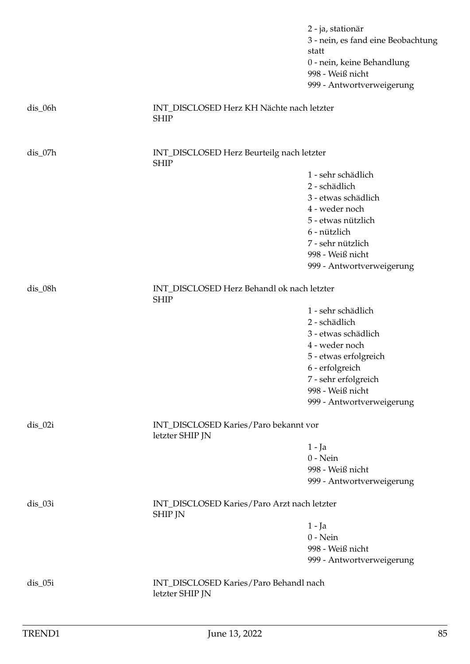|           |                                                               | 2 - ja, stationär                           |
|-----------|---------------------------------------------------------------|---------------------------------------------|
|           |                                                               | 3 - nein, es fand eine Beobachtung<br>statt |
|           |                                                               | 0 - nein, keine Behandlung                  |
|           |                                                               | 998 - Weiß nicht                            |
|           |                                                               | 999 - Antwortverweigerung                   |
| $dis_06h$ | INT_DISCLOSED Herz KH Nächte nach letzter<br><b>SHIP</b>      |                                             |
| $dis_07h$ | INT_DISCLOSED Herz Beurteilg nach letzter<br><b>SHIP</b>      |                                             |
|           |                                                               | 1 - sehr schädlich                          |
|           |                                                               | 2 - schädlich                               |
|           |                                                               | 3 - etwas schädlich                         |
|           |                                                               | 4 - weder noch                              |
|           |                                                               | 5 - etwas nützlich                          |
|           |                                                               | 6 - nützlich                                |
|           |                                                               | 7 - sehr nützlich                           |
|           |                                                               | 998 - Weiß nicht                            |
|           |                                                               | 999 - Antwortverweigerung                   |
| dis_08h   | INT_DISCLOSED Herz Behandl ok nach letzter<br><b>SHIP</b>     |                                             |
|           |                                                               | 1 - sehr schädlich                          |
|           |                                                               | 2 - schädlich                               |
|           |                                                               | 3 - etwas schädlich                         |
|           |                                                               | 4 - weder noch                              |
|           |                                                               | 5 - etwas erfolgreich                       |
|           |                                                               | 6 - erfolgreich                             |
|           |                                                               | 7 - sehr erfolgreich                        |
|           |                                                               | 998 - Weiß nicht                            |
|           |                                                               | 999 - Antwortverweigerung                   |
| $dis_02i$ | INT_DISCLOSED Karies/Paro bekannt vor<br>letzter SHIP JN      |                                             |
|           |                                                               | $1 - Ja$                                    |
|           |                                                               | $0 - Nein$                                  |
|           |                                                               | 998 - Weiß nicht                            |
|           |                                                               | 999 - Antwortverweigerung                   |
| $dis_03i$ | INT_DISCLOSED Karies/Paro Arzt nach letzter<br><b>SHIP JN</b> |                                             |
|           |                                                               | $1 - Ja$                                    |
|           |                                                               | $0$ - Nein                                  |
|           |                                                               | 998 - Weiß nicht                            |
|           |                                                               | 999 - Antwortverweigerung                   |
| $dis_05i$ | INT_DISCLOSED Karies/Paro Behandl nach<br>letzter SHIP JN     |                                             |
|           |                                                               |                                             |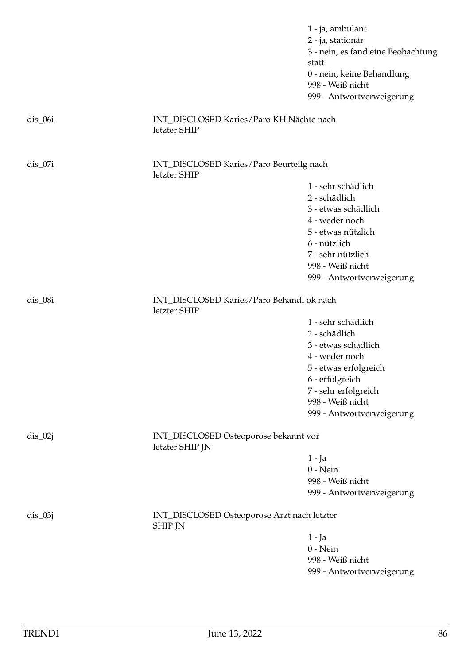1 - ja, ambulant 2 - ja, stationär 3 - nein, es fand eine Beobachtung statt 0 - nein, keine Behandlung 998 - Weiß nicht 999 - Antwortverweigerung dis\_06i INT\_DISCLOSED Karies/Paro KH Nächte nach letzter SHIP dis\_07i INT\_DISCLOSED Karies/Paro Beurteilg nach letzter SHIP 1 - sehr schädlich 2 - schädlich 3 - etwas schädlich 4 - weder noch 5 - etwas nützlich 6 - nützlich 7 - sehr nützlich 998 - Weiß nicht 999 - Antwortverweigerung dis 08i **INT** DISCLOSED Karies/Paro Behandl ok nach letzter SHIP 1 - sehr schädlich 2 - schädlich 3 - etwas schädlich 4 - weder noch 5 - etwas erfolgreich 6 - erfolgreich 7 - sehr erfolgreich 998 - Weiß nicht 999 - Antwortverweigerung dis\_02j INT\_DISCLOSED Osteoporose bekannt vor letzter SHIP JN 1 - Ja 0 - Nein 998 - Weiß nicht 999 - Antwortverweigerung dis\_03j INT\_DISCLOSED Osteoporose Arzt nach letzter SHIP JN 1 - Ja 0 - Nein 998 - Weiß nicht 999 - Antwortverweigerung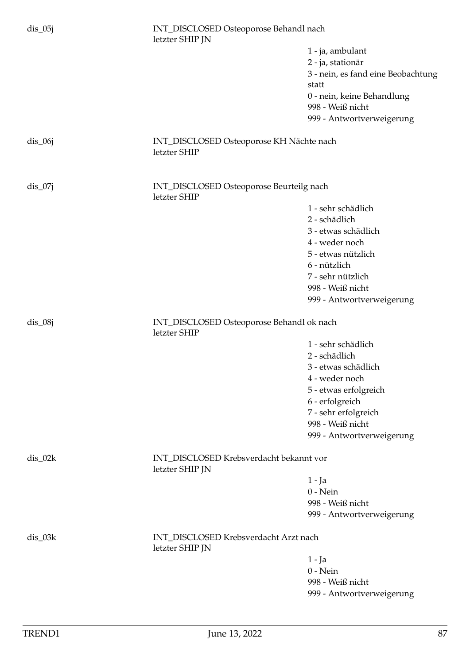| $dis_05j$ | INT_DISCLOSED Osteoporose Behandl nach<br>letzter SHIP JN  |                                                |
|-----------|------------------------------------------------------------|------------------------------------------------|
|           |                                                            | 1 - ja, ambulant                               |
|           |                                                            | 2 - ja, stationär                              |
|           |                                                            | 3 - nein, es fand eine Beobachtung<br>statt    |
|           |                                                            | 0 - nein, keine Behandlung<br>998 - Weiß nicht |
|           |                                                            | 999 - Antwortverweigerung                      |
| $dis_06j$ | INT_DISCLOSED Osteoporose KH Nächte nach<br>letzter SHIP   |                                                |
| $dis_07j$ | INT_DISCLOSED Osteoporose Beurteilg nach<br>letzter SHIP   |                                                |
|           |                                                            | 1 - sehr schädlich                             |
|           |                                                            | 2 - schädlich                                  |
|           |                                                            | 3 - etwas schädlich                            |
|           |                                                            | 4 - weder noch                                 |
|           |                                                            | 5 - etwas nützlich                             |
|           |                                                            | 6 - nützlich                                   |
|           |                                                            | 7 - sehr nützlich                              |
|           |                                                            | 998 - Weiß nicht                               |
|           |                                                            | 999 - Antwortverweigerung                      |
| $dis_08j$ | INT_DISCLOSED Osteoporose Behandl ok nach<br>letzter SHIP  |                                                |
|           |                                                            | 1 - sehr schädlich                             |
|           |                                                            | 2 - schädlich                                  |
|           |                                                            | 3 - etwas schädlich                            |
|           |                                                            | 4 - weder noch                                 |
|           |                                                            | 5 - etwas erfolgreich                          |
|           |                                                            | 6 - erfolgreich                                |
|           |                                                            | 7 - sehr erfolgreich                           |
|           |                                                            | 998 - Weiß nicht                               |
|           |                                                            | 999 - Antwortverweigerung                      |
| $dis_02k$ |                                                            |                                                |
|           | INT_DISCLOSED Krebsverdacht bekannt vor<br>letzter SHIP JN |                                                |
|           |                                                            | 1 - Ja                                         |
|           |                                                            | $0$ - Nein                                     |
|           |                                                            | 998 - Weiß nicht                               |
|           |                                                            | 999 - Antwortverweigerung                      |
| $dis_03k$ | INT_DISCLOSED Krebsverdacht Arzt nach<br>letzter SHIP JN   |                                                |
|           |                                                            | $1 - Ja$                                       |
|           |                                                            | $0$ - Nein                                     |
|           |                                                            | 998 - Weiß nicht<br>999 - Antwortverweigerung  |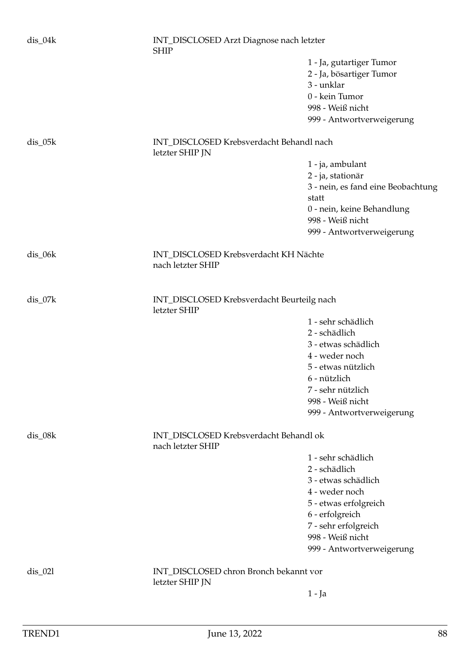| $dis_04k$ | INT_DISCLOSED Arzt Diagnose nach letzter<br><b>SHIP</b>     |                                                |  |
|-----------|-------------------------------------------------------------|------------------------------------------------|--|
|           |                                                             | 1 - Ja, gutartiger Tumor                       |  |
|           |                                                             | 2 - Ja, bösartiger Tumor                       |  |
|           |                                                             | 3 - unklar                                     |  |
|           |                                                             | 0 - kein Tumor                                 |  |
|           |                                                             | 998 - Weiß nicht                               |  |
|           |                                                             | 999 - Antwortverweigerung                      |  |
| $dis_05k$ | INT_DISCLOSED Krebsverdacht Behandl nach<br>letzter SHIP JN |                                                |  |
|           |                                                             | 1 - ja, ambulant                               |  |
|           |                                                             | 2 - ja, stationär                              |  |
|           |                                                             | 3 - nein, es fand eine Beobachtung<br>statt    |  |
|           |                                                             | 0 - nein, keine Behandlung<br>998 - Weiß nicht |  |
|           |                                                             | 999 - Antwortverweigerung                      |  |
| dis_06k   | INT_DISCLOSED Krebsverdacht KH Nächte<br>nach letzter SHIP  |                                                |  |
|           |                                                             |                                                |  |
| dis_07k   | INT_DISCLOSED Krebsverdacht Beurteilg nach<br>letzter SHIP  |                                                |  |
|           |                                                             | 1 - sehr schädlich                             |  |
|           |                                                             | 2 - schädlich                                  |  |
|           |                                                             | 3 - etwas schädlich                            |  |
|           |                                                             | 4 - weder noch                                 |  |
|           |                                                             | 5 - etwas nützlich                             |  |
|           |                                                             | 6 - nützlich                                   |  |
|           |                                                             | 7 - sehr nützlich                              |  |
|           |                                                             | 998 - Weiß nicht                               |  |
|           |                                                             | 999 - Antwortverweigerung                      |  |
| dis_08k   | INT_DISCLOSED Krebsverdacht Behandl ok<br>nach letzter SHIP |                                                |  |
|           |                                                             | 1 - sehr schädlich                             |  |
|           |                                                             | 2 - schädlich                                  |  |
|           |                                                             | 3 - etwas schädlich                            |  |
|           |                                                             | 4 - weder noch                                 |  |
|           |                                                             | 5 - etwas erfolgreich                          |  |
|           |                                                             | 6 - erfolgreich                                |  |
|           |                                                             | 7 - sehr erfolgreich                           |  |
|           |                                                             | 998 - Weiß nicht                               |  |
|           |                                                             | 999 - Antwortverweigerung                      |  |
| $dis_021$ | INT_DISCLOSED chron Bronch bekannt vor<br>letzter SHIP JN   |                                                |  |
|           |                                                             | $1 - Ja$                                       |  |
|           |                                                             |                                                |  |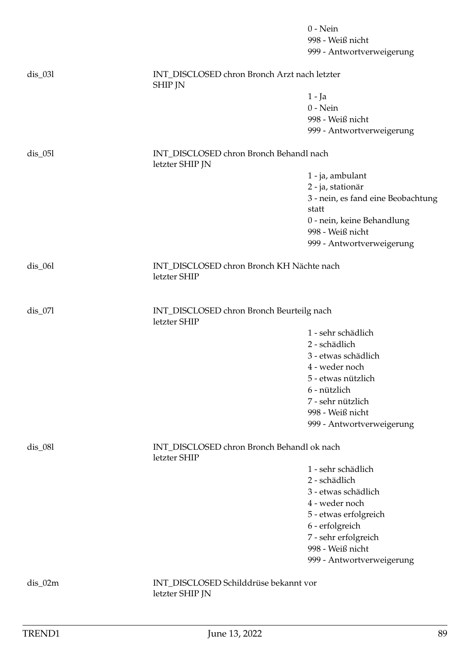|           |                                                                | $0$ - Nein<br>998 - Weiß nicht<br>999 - Antwortverweigerung |
|-----------|----------------------------------------------------------------|-------------------------------------------------------------|
| $dis_031$ | INT_DISCLOSED chron Bronch Arzt nach letzter<br><b>SHIP JN</b> |                                                             |
|           |                                                                | $1 - Ja$                                                    |
|           |                                                                | $0$ - Nein                                                  |
|           |                                                                | 998 - Weiß nicht                                            |
|           |                                                                | 999 - Antwortverweigerung                                   |
| $dis$ 051 | INT_DISCLOSED chron Bronch Behandl nach<br>letzter SHIP JN     |                                                             |
|           |                                                                | 1 - ja, ambulant                                            |
|           |                                                                | 2 - ja, stationär                                           |
|           |                                                                | 3 - nein, es fand eine Beobachtung<br>statt                 |
|           |                                                                | 0 - nein, keine Behandlung                                  |
|           |                                                                | 998 - Weiß nicht                                            |
|           |                                                                | 999 - Antwortverweigerung                                   |
| $dis_061$ | INT_DISCLOSED chron Bronch KH Nächte nach<br>letzter SHIP      |                                                             |
| $dis_071$ | INT_DISCLOSED chron Bronch Beurteilg nach<br>letzter SHIP      |                                                             |
|           |                                                                | 1 - sehr schädlich                                          |
|           |                                                                | 2 - schädlich                                               |
|           |                                                                | 3 - etwas schädlich                                         |
|           |                                                                | 4 - weder noch                                              |
|           |                                                                | 5 - etwas nützlich                                          |
|           |                                                                | 6 - nützlich                                                |
|           |                                                                | 7 - sehr nützlich                                           |
|           |                                                                | 998 - Weiß nicht                                            |
|           |                                                                | 999 - Antwortverweigerung                                   |
| $dis_081$ | INT_DISCLOSED chron Bronch Behandl ok nach<br>letzter SHIP     |                                                             |
|           |                                                                | 1 - sehr schädlich                                          |
|           |                                                                | 2 - schädlich                                               |
|           |                                                                | 3 - etwas schädlich                                         |
|           |                                                                | 4 - weder noch                                              |
|           |                                                                | 5 - etwas erfolgreich                                       |
|           |                                                                | 6 - erfolgreich                                             |
|           |                                                                | 7 - sehr erfolgreich<br>998 - Weiß nicht                    |
|           |                                                                | 999 - Antwortverweigerung                                   |
|           |                                                                |                                                             |
| $dis_02m$ | INT_DISCLOSED Schilddrüse bekannt vor<br>letzter SHIP JN       |                                                             |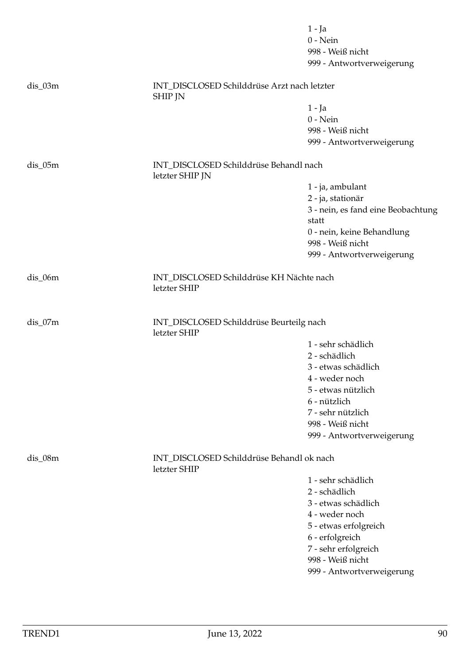|           |                                                               | $1 - Ja$                           |
|-----------|---------------------------------------------------------------|------------------------------------|
|           |                                                               | $0$ - Nein                         |
|           |                                                               | 998 - Weiß nicht                   |
|           |                                                               | 999 - Antwortverweigerung          |
| $dis_03m$ | INT_DISCLOSED Schilddrüse Arzt nach letzter<br><b>SHIP JN</b> |                                    |
|           |                                                               | $1 - Ja$                           |
|           |                                                               | $0$ - Nein                         |
|           |                                                               | 998 - Weiß nicht                   |
|           |                                                               | 999 - Antwortverweigerung          |
| $dis_05m$ | INT_DISCLOSED Schilddrüse Behandl nach<br>letzter SHIP JN     |                                    |
|           |                                                               | 1 - ja, ambulant                   |
|           |                                                               | 2 - ja, stationär                  |
|           |                                                               | 3 - nein, es fand eine Beobachtung |
|           |                                                               | statt                              |
|           |                                                               | 0 - nein, keine Behandlung         |
|           |                                                               | 998 - Weiß nicht                   |
|           |                                                               | 999 - Antwortverweigerung          |
| $dis_06m$ | INT_DISCLOSED Schilddrüse KH Nächte nach<br>letzter SHIP      |                                    |
| $dis_07m$ | INT_DISCLOSED Schilddrüse Beurteilg nach<br>letzter SHIP      |                                    |
|           |                                                               | 1 - sehr schädlich                 |
|           |                                                               | 2 - schädlich                      |
|           |                                                               | 3 - etwas schädlich                |
|           |                                                               | 4 - weder noch                     |
|           |                                                               | 5 - etwas nützlich                 |
|           |                                                               | 6 - nützlich                       |
|           |                                                               | 7 - sehr nützlich                  |
|           |                                                               | 998 - Weiß nicht                   |
|           |                                                               | 999 - Antwortverweigerung          |
| $dis_08m$ | INT_DISCLOSED Schilddrüse Behandl ok nach<br>letzter SHIP     |                                    |
|           |                                                               | 1 - sehr schädlich                 |
|           |                                                               | 2 - schädlich                      |
|           |                                                               | 3 - etwas schädlich                |
|           |                                                               | 4 - weder noch                     |
|           |                                                               | 5 - etwas erfolgreich              |
|           |                                                               | 6 - erfolgreich                    |
|           |                                                               | 7 - sehr erfolgreich               |
|           |                                                               | 998 - Weiß nicht                   |
|           |                                                               | 999 - Antwortverweigerung          |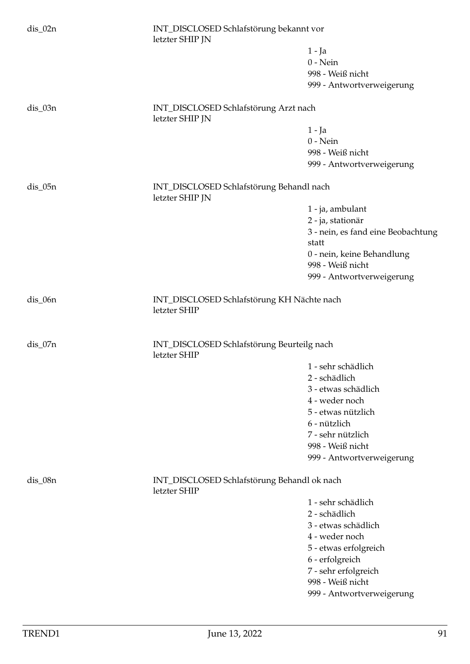| $dis_02n$  | INT_DISCLOSED Schlafstörung bekannt vor<br>letzter SHIP JN  |                                             |  |
|------------|-------------------------------------------------------------|---------------------------------------------|--|
|            |                                                             | $1 - Ja$                                    |  |
|            |                                                             | $0$ - Nein                                  |  |
|            |                                                             | 998 - Weiß nicht                            |  |
|            |                                                             | 999 - Antwortverweigerung                   |  |
| $dis_03n$  | INT_DISCLOSED Schlafstörung Arzt nach<br>letzter SHIP JN    |                                             |  |
|            |                                                             | 1 - Ja                                      |  |
|            |                                                             | $0$ - Nein                                  |  |
|            |                                                             | 998 - Weiß nicht                            |  |
|            |                                                             | 999 - Antwortverweigerung                   |  |
| $dis_05n$  | INT_DISCLOSED Schlafstörung Behandl nach<br>letzter SHIP JN |                                             |  |
|            |                                                             | 1 - ja, ambulant                            |  |
|            |                                                             | 2 - ja, stationär                           |  |
|            |                                                             | 3 - nein, es fand eine Beobachtung<br>statt |  |
|            |                                                             | 0 - nein, keine Behandlung                  |  |
|            |                                                             | 998 - Weiß nicht                            |  |
|            |                                                             | 999 - Antwortverweigerung                   |  |
| $dis_0$ 6n | INT_DISCLOSED Schlafstörung KH Nächte nach<br>letzter SHIP  |                                             |  |
| dis_07n    | INT_DISCLOSED Schlafstörung Beurteilg nach<br>letzter SHIP  |                                             |  |
|            |                                                             | 1 - sehr schädlich                          |  |
|            |                                                             | 2 - schädlich                               |  |
|            |                                                             | 3 - etwas schädlich                         |  |
|            |                                                             | 4 - weder noch                              |  |
|            |                                                             | 5 - etwas nützlich                          |  |
|            |                                                             | 6 - nützlich                                |  |
|            |                                                             | 7 - sehr nützlich                           |  |
|            |                                                             | 998 - Weiß nicht                            |  |
|            |                                                             | 999 - Antwortverweigerung                   |  |
| dis_08n    | INT_DISCLOSED Schlafstörung Behandl ok nach<br>letzter SHIP |                                             |  |
|            |                                                             | 1 - sehr schädlich                          |  |
|            |                                                             | 2 - schädlich                               |  |
|            |                                                             | 3 - etwas schädlich                         |  |
|            |                                                             | 4 - weder noch                              |  |
|            |                                                             | 5 - etwas erfolgreich                       |  |
|            |                                                             | 6 - erfolgreich                             |  |
|            |                                                             | 7 - sehr erfolgreich                        |  |
|            |                                                             | 998 - Weiß nicht                            |  |
|            |                                                             | 999 - Antwortverweigerung                   |  |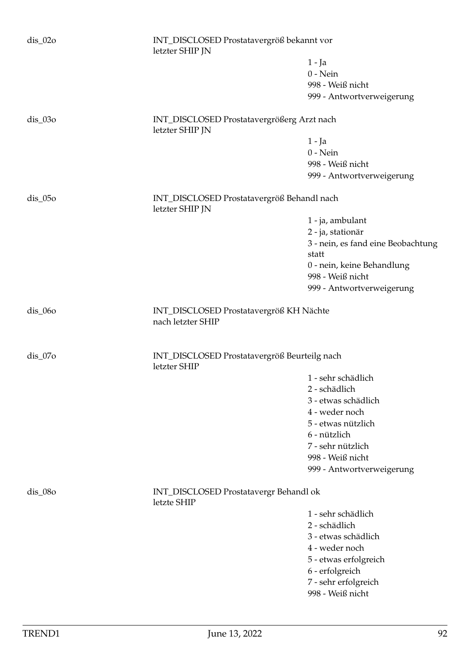| $dis_02o$  | letzter SHIP JN                                               | INT_DISCLOSED Prostatavergröß bekannt vor |  |
|------------|---------------------------------------------------------------|-------------------------------------------|--|
|            |                                                               | $1 - Ja$                                  |  |
|            |                                                               | $0$ - Nein                                |  |
|            |                                                               | 998 - Weiß nicht                          |  |
|            |                                                               | 999 - Antwortverweigerung                 |  |
| $dis_03o$  | INT_DISCLOSED Prostatavergrößerg Arzt nach<br>letzter SHIP JN |                                           |  |
|            |                                                               | $1 - Ja$                                  |  |
|            |                                                               | $0$ - Nein                                |  |
|            |                                                               | 998 - Weiß nicht                          |  |
|            |                                                               | 999 - Antwortverweigerung                 |  |
| $dis_05$   | INT_DISCLOSED Prostatavergröß Behandl nach<br>letzter SHIP JN |                                           |  |
|            |                                                               | 1 - ja, ambulant                          |  |
|            |                                                               | 2 - ja, stationär                         |  |
|            |                                                               | 3 - nein, es fand eine Beobachtung        |  |
|            |                                                               | statt                                     |  |
|            |                                                               | 0 - nein, keine Behandlung                |  |
|            |                                                               | 998 - Weiß nicht                          |  |
|            |                                                               | 999 - Antwortverweigerung                 |  |
| $dis_0$ 60 | INT_DISCLOSED Prostatavergröß KH Nächte<br>nach letzter SHIP  |                                           |  |
| $dis_07o$  | INT_DISCLOSED Prostatavergröß Beurteilg nach<br>letzter SHIP  |                                           |  |
|            |                                                               | 1 - sehr schädlich                        |  |
|            |                                                               | 2 - schädlich                             |  |
|            |                                                               | 3 - etwas schädlich                       |  |
|            |                                                               | 4 - weder noch                            |  |
|            |                                                               | 5 - etwas nützlich                        |  |
|            |                                                               | 6 - nützlich                              |  |
|            |                                                               | 7 - sehr nützlich                         |  |
|            |                                                               | 998 - Weiß nicht                          |  |
|            |                                                               | 999 - Antwortverweigerung                 |  |
| $dis_0$ 80 | INT_DISCLOSED Prostatavergr Behandl ok<br>letzte SHIP         |                                           |  |
|            |                                                               | 1 - sehr schädlich                        |  |
|            |                                                               | 2 - schädlich                             |  |
|            |                                                               | 3 - etwas schädlich                       |  |
|            |                                                               | 4 - weder noch                            |  |
|            |                                                               | 5 - etwas erfolgreich                     |  |
|            |                                                               | 6 - erfolgreich                           |  |
|            |                                                               | 7 - sehr erfolgreich                      |  |
|            |                                                               | 998 - Weiß nicht                          |  |
|            |                                                               |                                           |  |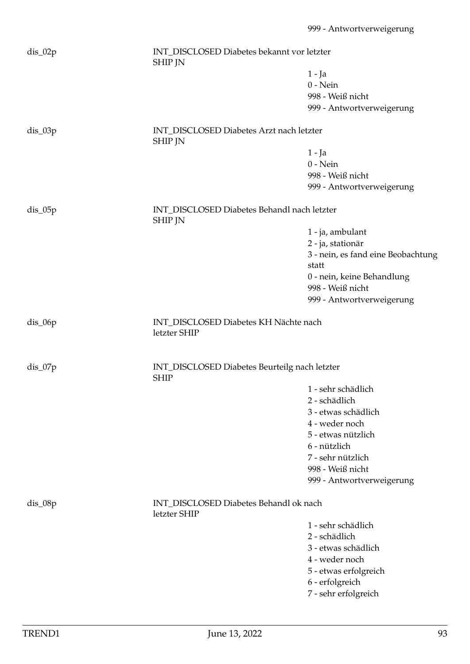| dis_02p   | <b>SHIP JN</b>                                                | INT_DISCLOSED Diabetes bekannt vor letzter |  |
|-----------|---------------------------------------------------------------|--------------------------------------------|--|
|           |                                                               | $1 - Ja$                                   |  |
|           |                                                               | $0$ - Nein                                 |  |
|           |                                                               | 998 - Weiß nicht                           |  |
|           |                                                               | 999 - Antwortverweigerung                  |  |
| $dis_03p$ | INT_DISCLOSED Diabetes Arzt nach letzter<br><b>SHIP JN</b>    |                                            |  |
|           |                                                               | $1 - Ja$                                   |  |
|           |                                                               | $0$ - Nein                                 |  |
|           |                                                               | 998 - Weiß nicht                           |  |
|           |                                                               | 999 - Antwortverweigerung                  |  |
| $dis_05p$ | INT_DISCLOSED Diabetes Behandl nach letzter<br><b>SHIP JN</b> |                                            |  |
|           |                                                               | 1 - ja, ambulant                           |  |
|           |                                                               | 2 - ja, stationär                          |  |
|           |                                                               | 3 - nein, es fand eine Beobachtung         |  |
|           |                                                               | statt                                      |  |
|           |                                                               | 0 - nein, keine Behandlung                 |  |
|           |                                                               | 998 - Weiß nicht                           |  |
|           |                                                               | 999 - Antwortverweigerung                  |  |
|           |                                                               |                                            |  |
| $dis_06p$ | INT_DISCLOSED Diabetes KH Nächte nach<br>letzter SHIP         |                                            |  |
| $dis_07p$ | INT_DISCLOSED Diabetes Beurteilg nach letzter<br><b>SHIP</b>  |                                            |  |
|           |                                                               | 1 - sehr schädlich                         |  |
|           |                                                               | 2 - schädlich                              |  |
|           |                                                               | 3 - etwas schädlich                        |  |
|           |                                                               | 4 - weder noch                             |  |
|           |                                                               | 5 - etwas nützlich                         |  |
|           |                                                               | 6 - nützlich                               |  |
|           |                                                               | 7 - sehr nützlich                          |  |
|           |                                                               | 998 - Weiß nicht                           |  |
|           |                                                               | 999 - Antwortverweigerung                  |  |
| $dis_08p$ | INT_DISCLOSED Diabetes Behandl ok nach<br>letzter SHIP        |                                            |  |
|           |                                                               | 1 - sehr schädlich                         |  |
|           |                                                               | 2 - schädlich                              |  |
|           |                                                               | 3 - etwas schädlich                        |  |
|           |                                                               | 4 - weder noch                             |  |
|           |                                                               | 5 - etwas erfolgreich                      |  |
|           |                                                               | 6 - erfolgreich                            |  |
|           |                                                               | 7 - sehr erfolgreich                       |  |
|           |                                                               |                                            |  |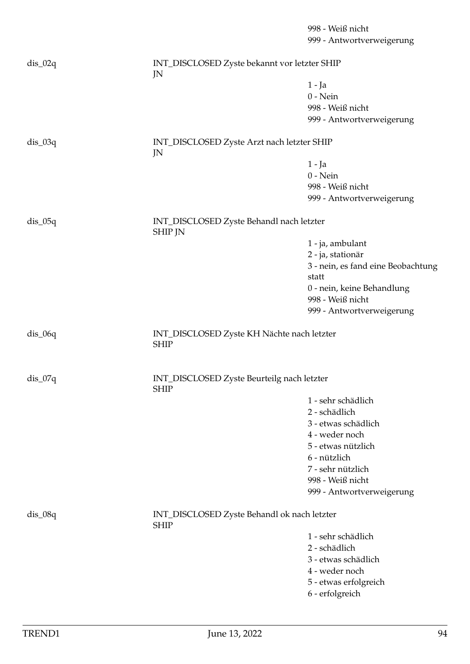|           |                                                            | 998 - Weiß nicht<br>999 - Antwortverweigerung |
|-----------|------------------------------------------------------------|-----------------------------------------------|
| $dis_02q$ | INT_DISCLOSED Zyste bekannt vor letzter SHIP<br>JN         |                                               |
|           |                                                            | $1 - Ja$                                      |
|           |                                                            | $0$ - Nein                                    |
|           |                                                            | 998 - Weiß nicht                              |
|           |                                                            | 999 - Antwortverweigerung                     |
|           |                                                            |                                               |
| $dis_03q$ | INT_DISCLOSED Zyste Arzt nach letzter SHIP<br>JN           |                                               |
|           |                                                            | $1 - Ja$                                      |
|           |                                                            | $0$ - Nein                                    |
|           |                                                            | 998 - Weiß nicht                              |
|           |                                                            | 999 - Antwortverweigerung                     |
| $dis_05q$ | INT_DISCLOSED Zyste Behandl nach letzter<br><b>SHIP JN</b> |                                               |
|           |                                                            | 1 - ja, ambulant                              |
|           |                                                            | 2 - ja, stationär                             |
|           |                                                            | 3 - nein, es fand eine Beobachtung            |
|           |                                                            | statt                                         |
|           |                                                            | 0 - nein, keine Behandlung                    |
|           |                                                            | 998 - Weiß nicht                              |
|           |                                                            | 999 - Antwortverweigerung                     |
|           |                                                            |                                               |
| $dis_06q$ | INT_DISCLOSED Zyste KH Nächte nach letzter<br><b>SHIP</b>  |                                               |
| $dis_07q$ | INT_DISCLOSED Zyste Beurteilg nach letzter<br><b>SHIP</b>  |                                               |
|           |                                                            | 1 - sehr schädlich                            |
|           |                                                            | 2 - schädlich                                 |
|           |                                                            | 3 - etwas schädlich                           |
|           |                                                            | 4 - weder noch                                |
|           |                                                            | 5 - etwas nützlich                            |
|           |                                                            | 6 - nützlich                                  |
|           |                                                            | 7 - sehr nützlich                             |
|           |                                                            | 998 - Weiß nicht                              |
|           |                                                            | 999 - Antwortverweigerung                     |
|           |                                                            |                                               |
| $dis_08q$ | INT_DISCLOSED Zyste Behandl ok nach letzter<br><b>SHIP</b> |                                               |
|           |                                                            | 1 - sehr schädlich                            |
|           |                                                            | 2 - schädlich                                 |
|           |                                                            | 3 - etwas schädlich                           |
|           |                                                            | 4 - weder noch                                |
|           |                                                            | 5 - etwas erfolgreich                         |
|           |                                                            | 6 - erfolgreich                               |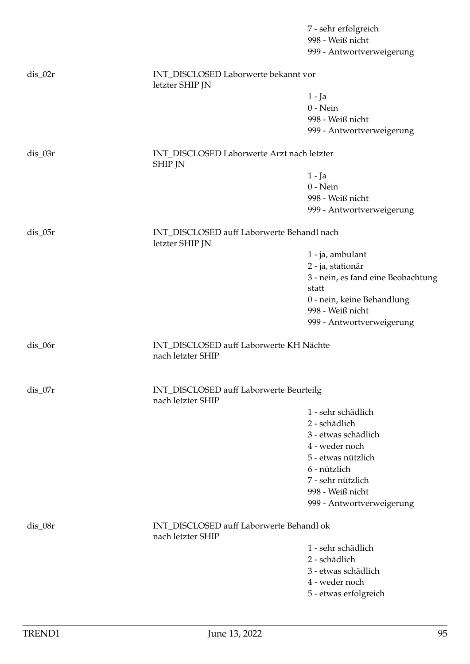|           |                                                               | 7 - sehr erfolgreich<br>998 - Weiß nicht       |
|-----------|---------------------------------------------------------------|------------------------------------------------|
|           |                                                               | 999 - Antwortverweigerung                      |
|           |                                                               |                                                |
| $dis_02r$ | INT_DISCLOSED Laborwerte bekannt vor<br>letzter SHIP JN       |                                                |
|           |                                                               | $1 - Ja$                                       |
|           |                                                               | $0$ - Nein                                     |
|           |                                                               | 998 - Weiß nicht                               |
|           |                                                               | 999 - Antwortverweigerung                      |
| $dis_03r$ | INT_DISCLOSED Laborwerte Arzt nach letzter<br><b>SHIP JN</b>  |                                                |
|           |                                                               | $1 - Ja$                                       |
|           |                                                               | $0$ - Nein                                     |
|           |                                                               | 998 - Weiß nicht                               |
|           |                                                               | 999 - Antwortverweigerung                      |
|           |                                                               |                                                |
| $dis_05r$ | INT_DISCLOSED auff Laborwerte Behandl nach<br>letzter SHIP JN |                                                |
|           |                                                               | 1 - ja, ambulant                               |
|           |                                                               | 2 - ja, stationär                              |
|           |                                                               | 3 - nein, es fand eine Beobachtung             |
|           |                                                               | statt                                          |
|           |                                                               | 0 - nein, keine Behandlung<br>998 - Weiß nicht |
|           |                                                               | 999 - Antwortverweigerung                      |
|           |                                                               |                                                |
| dis_06r   | INT_DISCLOSED auff Laborwerte KH Nächte<br>nach letzter SHIP  |                                                |
| $dis_07r$ | INT_DISCLOSED auff Laborwerte Beurteilg<br>nach letzter SHIP  |                                                |
|           |                                                               | 1 - sehr schädlich                             |
|           |                                                               | 2 - schädlich                                  |
|           |                                                               | 3 - etwas schädlich                            |
|           |                                                               | 4 - weder noch                                 |
|           |                                                               | 5 - etwas nützlich                             |
|           |                                                               | 6 - nützlich                                   |
|           |                                                               | 7 - sehr nützlich                              |
|           |                                                               | 998 - Weiß nicht                               |
|           |                                                               | 999 - Antwortverweigerung                      |
| dis_08r   | INT_DISCLOSED auff Laborwerte Behandl ok<br>nach letzter SHIP |                                                |
|           |                                                               | 1 - sehr schädlich                             |
|           |                                                               | 2 - schädlich                                  |
|           |                                                               | 3 - etwas schädlich                            |
|           |                                                               | 4 - weder noch                                 |
|           |                                                               | 5 - etwas erfolgreich                          |
|           |                                                               |                                                |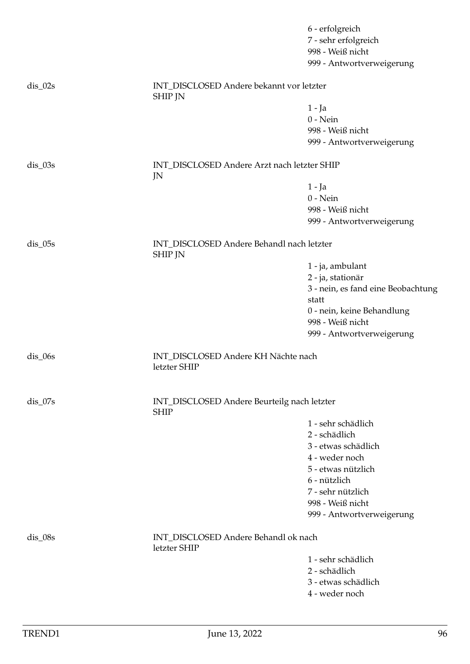|                      |                                                             | 6 - erfolgreich<br>7 - sehr erfolgreich<br>998 - Weiß nicht<br>999 - Antwortverweigerung |
|----------------------|-------------------------------------------------------------|------------------------------------------------------------------------------------------|
| $dis_02s$            | INT_DISCLOSED Andere bekannt vor letzter<br><b>SHIP JN</b>  |                                                                                          |
|                      |                                                             | 1 - Ja                                                                                   |
|                      |                                                             | $0 - Nein$                                                                               |
|                      |                                                             | 998 - Weiß nicht                                                                         |
|                      |                                                             | 999 - Antwortverweigerung                                                                |
| $dis_03s$            | INT_DISCLOSED Andere Arzt nach letzter SHIP<br>JN           |                                                                                          |
|                      |                                                             | $1 - Ja$                                                                                 |
|                      |                                                             | $0 - Nein$                                                                               |
|                      |                                                             | 998 - Weiß nicht                                                                         |
|                      |                                                             | 999 - Antwortverweigerung                                                                |
| $dis$ <sub>05s</sub> | INT_DISCLOSED Andere Behandl nach letzter<br><b>SHIP JN</b> |                                                                                          |
|                      |                                                             | 1 - ja, ambulant                                                                         |
|                      |                                                             | 2 - ja, stationär                                                                        |
|                      |                                                             | 3 - nein, es fand eine Beobachtung                                                       |
|                      |                                                             | statt                                                                                    |
|                      |                                                             | 0 - nein, keine Behandlung                                                               |
|                      |                                                             | 998 - Weiß nicht                                                                         |
|                      |                                                             | 999 - Antwortverweigerung                                                                |
| $dis_0$ 6s           | INT_DISCLOSED Andere KH Nächte nach<br>letzter SHIP         |                                                                                          |
| $dis_07s$            | INT_DISCLOSED Andere Beurteilg nach letzter<br><b>SHIP</b>  |                                                                                          |
|                      |                                                             | 1 - sehr schädlich                                                                       |
|                      |                                                             | 2 - schädlich                                                                            |
|                      |                                                             | 3 - etwas schädlich                                                                      |
|                      |                                                             | 4 - weder noch                                                                           |
|                      |                                                             | 5 - etwas nützlich                                                                       |
|                      |                                                             | 6 - nützlich                                                                             |
|                      |                                                             | 7 - sehr nützlich                                                                        |
|                      |                                                             | 998 - Weiß nicht                                                                         |
|                      |                                                             | 999 - Antwortverweigerung                                                                |
| $dis_0$ 08s          | INT_DISCLOSED Andere Behandl ok nach<br>letzter SHIP        |                                                                                          |
|                      |                                                             | 1 - sehr schädlich                                                                       |
|                      |                                                             | 2 - schädlich                                                                            |
|                      |                                                             | 3 - etwas schädlich                                                                      |
|                      |                                                             | 4 - weder noch                                                                           |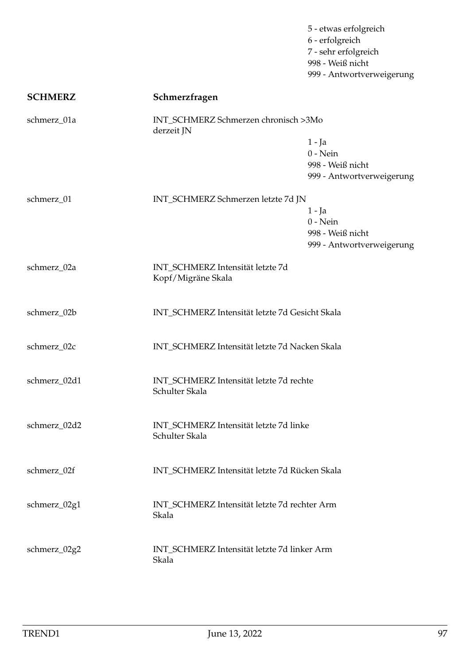5 - etwas erfolgreich 6 - erfolgreich 7 - sehr erfolgreich 998 - Weiß nicht 999 - Antwortverweigerung

| <b>SCHMERZ</b> | Schmerzfragen                                             |                                                                         |
|----------------|-----------------------------------------------------------|-------------------------------------------------------------------------|
| schmerz_01a    | INT_SCHMERZ Schmerzen chronisch >3Mo<br>derzeit JN        | $1 - Ja$<br>$0$ - Nein<br>998 - Weiß nicht<br>999 - Antwortverweigerung |
| schmerz_01     | INT_SCHMERZ Schmerzen letzte 7d JN                        | $1 - Ja$<br>$0 - Nein$<br>998 - Weiß nicht<br>999 - Antwortverweigerung |
| schmerz_02a    | INT_SCHMERZ Intensität letzte 7d<br>Kopf/Migräne Skala    |                                                                         |
| schmerz_02b    | INT_SCHMERZ Intensität letzte 7d Gesicht Skala            |                                                                         |
| schmerz_02c    | INT_SCHMERZ Intensität letzte 7d Nacken Skala             |                                                                         |
| schmerz_02d1   | INT_SCHMERZ Intensität letzte 7d rechte<br>Schulter Skala |                                                                         |
| schmerz_02d2   | INT_SCHMERZ Intensität letzte 7d linke<br>Schulter Skala  |                                                                         |
| schmerz_02f    | INT_SCHMERZ Intensität letzte 7d Rücken Skala             |                                                                         |
| schmerz_02g1   | INT_SCHMERZ Intensität letzte 7d rechter Arm<br>Skala     |                                                                         |
| schmerz_02g2   | INT_SCHMERZ Intensität letzte 7d linker Arm<br>Skala      |                                                                         |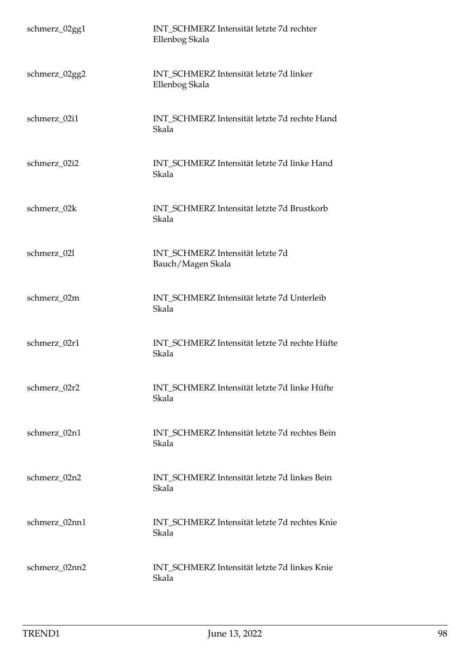| schmerz_02gg1 | INT SCHMERZ Intensität letzte 7d rechter<br>Ellenbog Skala |
|---------------|------------------------------------------------------------|
| schmerz_02gg2 | INT_SCHMERZ Intensität letzte 7d linker<br>Ellenbog Skala  |
| schmerz_02i1  | INT_SCHMERZ Intensität letzte 7d rechte Hand<br>Skala      |
| schmerz_02i2  | INT_SCHMERZ Intensität letzte 7d linke Hand<br>Skala       |
| schmerz_02k   | INT SCHMERZ Intensität letzte 7d Brustkorb<br>Skala        |
| schmerz_021   | INT_SCHMERZ Intensität letzte 7d<br>Bauch/Magen Skala      |
| schmerz_02m   | INT_SCHMERZ Intensität letzte 7d Unterleib<br>Skala        |
| schmerz_02r1  | INT_SCHMERZ Intensität letzte 7d rechte Hüfte<br>Skala     |
| schmerz_02r2  | INT_SCHMERZ Intensität letzte 7d linke Hüfte<br>Skala      |
| schmerz_02n1  | INT_SCHMERZ Intensität letzte 7d rechtes Bein<br>Skala     |
| schmerz_02n2  | INT SCHMERZ Intensität letzte 7d linkes Bein<br>Skala      |
| schmerz_02nn1 | INT_SCHMERZ Intensität letzte 7d rechtes Knie<br>Skala     |
| schmerz_02nn2 | INT_SCHMERZ Intensität letzte 7d linkes Knie<br>Skala      |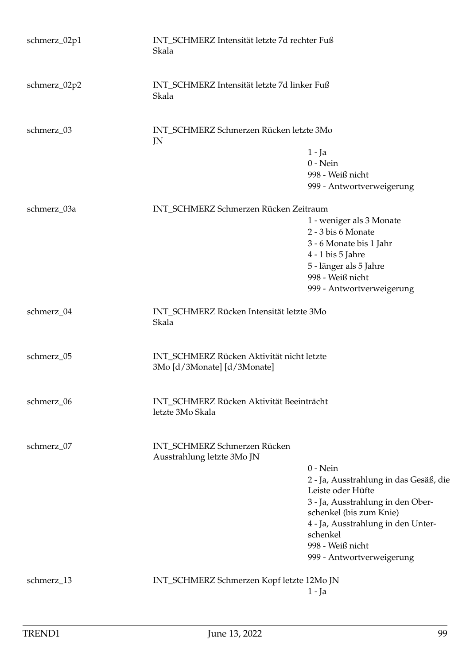| schmerz_02p1 | INT_SCHMERZ Intensität letzte 7d rechter Fuß<br>Skala                    |                                                              |
|--------------|--------------------------------------------------------------------------|--------------------------------------------------------------|
| schmerz_02p2 | INT_SCHMERZ Intensität letzte 7d linker Fuß<br>Skala                     |                                                              |
| schmerz_03   | INT_SCHMERZ Schmerzen Rücken letzte 3Mo<br>JN                            |                                                              |
|              |                                                                          | $1 - Ja$                                                     |
|              |                                                                          | $0 - Nein$                                                   |
|              |                                                                          | 998 - Weiß nicht                                             |
|              |                                                                          | 999 - Antwortverweigerung                                    |
| schmerz_03a  | INT_SCHMERZ Schmerzen Rücken Zeitraum                                    |                                                              |
|              |                                                                          | 1 - weniger als 3 Monate                                     |
|              |                                                                          | 2 - 3 bis 6 Monate                                           |
|              |                                                                          | 3 - 6 Monate bis 1 Jahr                                      |
|              |                                                                          | 4 - 1 bis 5 Jahre                                            |
|              |                                                                          | 5 - länger als 5 Jahre                                       |
|              |                                                                          | 998 - Weiß nicht                                             |
|              |                                                                          | 999 - Antwortverweigerung                                    |
| schmerz_04   | INT_SCHMERZ Rücken Intensität letzte 3Mo<br>Skala                        |                                                              |
| schmerz_05   | INT_SCHMERZ Rücken Aktivität nicht letzte<br>3Mo [d/3Monate] [d/3Monate] |                                                              |
| schmerz_06   | INT_SCHMERZ Rücken Aktivität Beeinträcht<br>letzte 3Mo Skala             |                                                              |
| schmerz_07   | INT_SCHMERZ Schmerzen Rücken<br>Ausstrahlung letzte 3Mo JN               |                                                              |
|              |                                                                          | $0 - Nein$                                                   |
|              |                                                                          | 2 - Ja, Ausstrahlung in das Gesäß, die                       |
|              |                                                                          | Leiste oder Hüfte                                            |
|              |                                                                          | 3 - Ja, Ausstrahlung in den Ober-<br>schenkel (bis zum Knie) |
|              |                                                                          | 4 - Ja, Ausstrahlung in den Unter-                           |
|              |                                                                          | schenkel                                                     |
|              |                                                                          | 998 - Weiß nicht                                             |
|              |                                                                          | 999 - Antwortverweigerung                                    |
| schmerz_13   | INT_SCHMERZ Schmerzen Kopf letzte 12Mo JN                                |                                                              |
|              |                                                                          | $1 - Ja$                                                     |
|              |                                                                          |                                                              |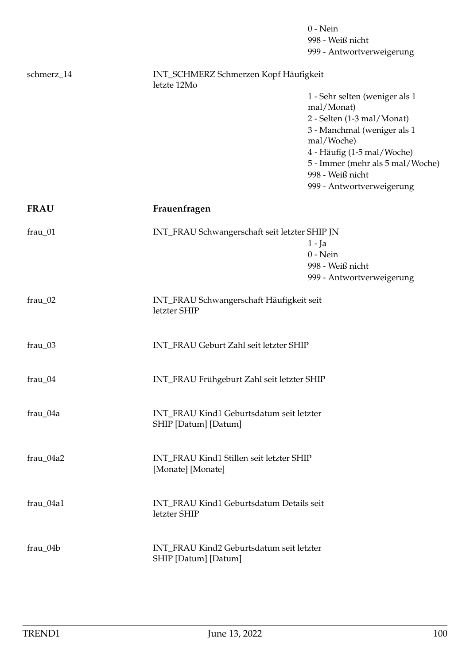|             |                                                                  | $0$ - Nein<br>998 - Weiß nicht<br>999 - Antwortverweigerung             |  |
|-------------|------------------------------------------------------------------|-------------------------------------------------------------------------|--|
| schmerz_14  | INT_SCHMERZ Schmerzen Kopf Häufigkeit<br>letzte 12Mo             |                                                                         |  |
|             |                                                                  | 1 - Sehr selten (weniger als 1<br>mal/Monat)                            |  |
|             |                                                                  | 2 - Selten (1-3 mal/Monat)<br>3 - Manchmal (weniger als 1<br>mal/Woche) |  |
|             |                                                                  | 4 - Häufig (1-5 mal/Woche)<br>5 - Immer (mehr als 5 mal/Woche)          |  |
|             |                                                                  | 998 - Weiß nicht<br>999 - Antwortverweigerung                           |  |
| <b>FRAU</b> | Frauenfragen                                                     |                                                                         |  |
| frau_01     | INT_FRAU Schwangerschaft seit letzter SHIP JN                    |                                                                         |  |
|             |                                                                  | $1 - Ja$<br>$0$ - Nein                                                  |  |
|             |                                                                  | 998 - Weiß nicht<br>999 - Antwortverweigerung                           |  |
| frau_02     | INT_FRAU Schwangerschaft Häufigkeit seit<br>letzter SHIP         |                                                                         |  |
| frau_03     | INT_FRAU Geburt Zahl seit letzter SHIP                           |                                                                         |  |
| frau_04     |                                                                  | INT_FRAU Frühgeburt Zahl seit letzter SHIP                              |  |
| frau_04a    | SHIP [Datum] [Datum]                                             | INT_FRAU Kind1 Geburtsdatum seit letzter                                |  |
| frau_04a2   | [Monate] [Monate]                                                | INT_FRAU Kind1 Stillen seit letzter SHIP                                |  |
| frau_04a1   | INT_FRAU Kind1 Geburtsdatum Details seit<br>letzter SHIP         |                                                                         |  |
| frau_04b    | INT_FRAU Kind2 Geburtsdatum seit letzter<br>SHIP [Datum] [Datum] |                                                                         |  |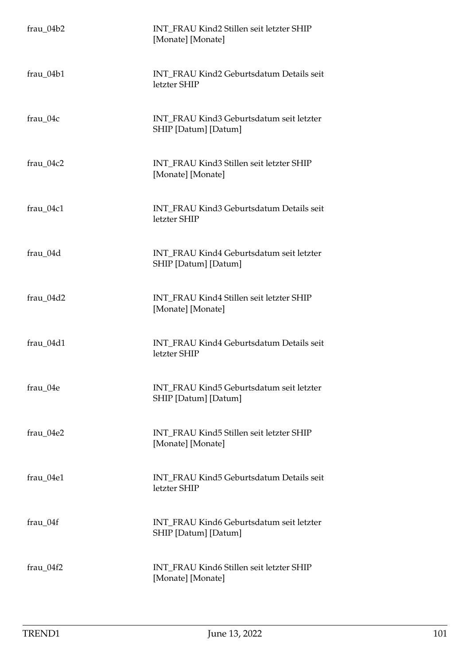| $frau_04b2$ | INT_FRAU Kind2 Stillen seit letzter SHIP<br>[Monate] [Monate]    |
|-------------|------------------------------------------------------------------|
| $frau_04b1$ | INT_FRAU Kind2 Geburtsdatum Details seit<br>letzter SHIP         |
| frau_04c    | INT_FRAU Kind3 Geburtsdatum seit letzter<br>SHIP [Datum] [Datum] |
| frau_04c2   | INT_FRAU Kind3 Stillen seit letzter SHIP<br>[Monate] [Monate]    |
| frau 04c1   | INT FRAU Kind3 Geburtsdatum Details seit<br>letzter SHIP         |
| frau_04d    | INT_FRAU Kind4 Geburtsdatum seit letzter<br>SHIP [Datum] [Datum] |
| frau_04d2   | INT_FRAU Kind4 Stillen seit letzter SHIP<br>[Monate] [Monate]    |
| frau_04d1   | INT_FRAU Kind4 Geburtsdatum Details seit<br>letzter SHIP         |
| frau_04e    | INT FRAU Kind5 Geburtsdatum seit letzter<br>SHIP [Datum] [Datum] |
| frau_04e2   | INT_FRAU Kind5 Stillen seit letzter SHIP<br>[Monate] [Monate]    |
| frau_04e1   | INT_FRAU Kind5 Geburtsdatum Details seit<br>letzter SHIP         |
| frau_04f    | INT FRAU Kind6 Geburtsdatum seit letzter<br>SHIP [Datum] [Datum] |
| $frau_04f2$ | INT_FRAU Kind6 Stillen seit letzter SHIP<br>[Monate] [Monate]    |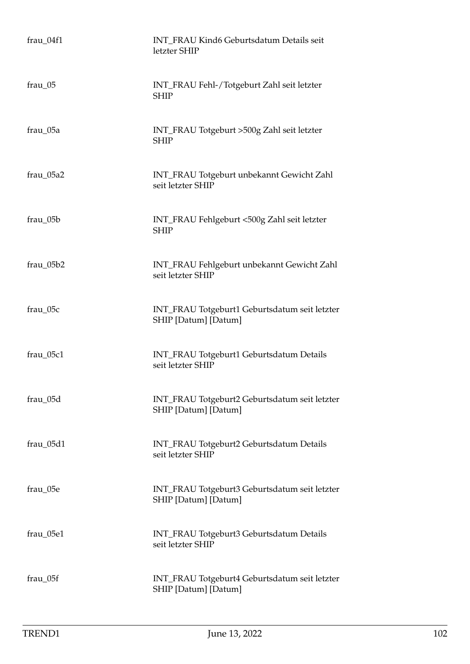| frau_04f1 | INT_FRAU Kind6 Geburtsdatum Details seit<br>letzter SHIP              |
|-----------|-----------------------------------------------------------------------|
| $frau_05$ | INT_FRAU Fehl-/Totgeburt Zahl seit letzter<br><b>SHIP</b>             |
| frau_05a  | INT_FRAU Totgeburt >500g Zahl seit letzter<br><b>SHIP</b>             |
| frau_05a2 | INT_FRAU Totgeburt unbekannt Gewicht Zahl<br>seit letzter SHIP        |
| frau_05b  | INT_FRAU Fehlgeburt <500g Zahl seit letzter<br><b>SHIP</b>            |
| frau_05b2 | INT_FRAU Fehlgeburt unbekannt Gewicht Zahl<br>seit letzter SHIP       |
| frau_05c  | INT_FRAU Totgeburt1 Geburtsdatum seit letzter<br>SHIP [Datum] [Datum] |
| frau_05c1 | INT_FRAU Totgeburt1 Geburtsdatum Details<br>seit letzter SHIP         |
| frau_05d  | INT_FRAU Totgeburt2 Geburtsdatum seit letzter<br>SHIP [Datum] [Datum] |
| frau_05d1 | INT_FRAU Totgeburt2 Geburtsdatum Details<br>seit letzter SHIP         |
| frau_05e  | INT_FRAU Totgeburt3 Geburtsdatum seit letzter<br>SHIP [Datum] [Datum] |
| frau_05e1 | INT_FRAU Totgeburt3 Geburtsdatum Details<br>seit letzter SHIP         |
| frau_05f  | INT_FRAU Totgeburt4 Geburtsdatum seit letzter<br>SHIP [Datum] [Datum] |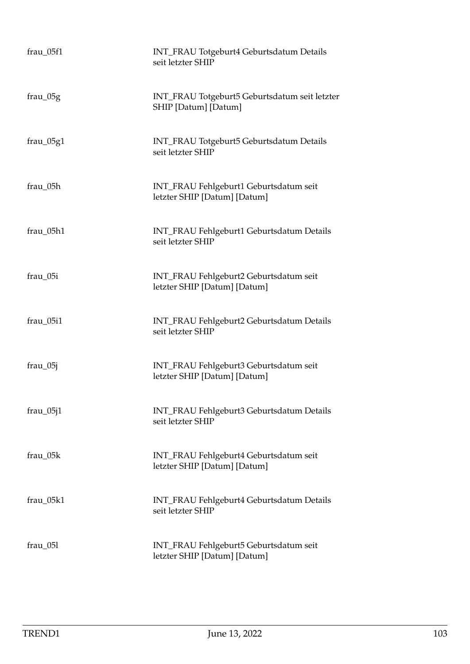| $frau_05f1$ | INT_FRAU Totgeburt4 Geburtsdatum Details<br>seit letzter SHIP          |
|-------------|------------------------------------------------------------------------|
| $frau_05g$  | INT_FRAU Totgeburt5 Geburtsdatum seit letzter<br>SHIP [Datum] [Datum]  |
| $frac_05g1$ | INT_FRAU Totgeburt5 Geburtsdatum Details<br>seit letzter SHIP          |
| frau_05h    | INT_FRAU Fehlgeburt1 Geburtsdatum seit<br>letzter SHIP [Datum] [Datum] |
| frau_05h1   | INT_FRAU Fehlgeburt1 Geburtsdatum Details<br>seit letzter SHIP         |
| frau_05i    | INT_FRAU Fehlgeburt2 Geburtsdatum seit<br>letzter SHIP [Datum] [Datum] |
| frau_05i1   | INT_FRAU Fehlgeburt2 Geburtsdatum Details<br>seit letzter SHIP         |
| $frau_05j$  | INT_FRAU Fehlgeburt3 Geburtsdatum seit<br>letzter SHIP [Datum] [Datum] |
| $frau_05j1$ | INT_FRAU Fehlgeburt3 Geburtsdatum Details<br>seit letzter SHIP         |
| frau_05k    | INT_FRAU Fehlgeburt4 Geburtsdatum seit<br>letzter SHIP [Datum] [Datum] |
| frau_05k1   | INT_FRAU Fehlgeburt4 Geburtsdatum Details<br>seit letzter SHIP         |
| $frau_051$  | INT_FRAU Fehlgeburt5 Geburtsdatum seit<br>letzter SHIP [Datum] [Datum] |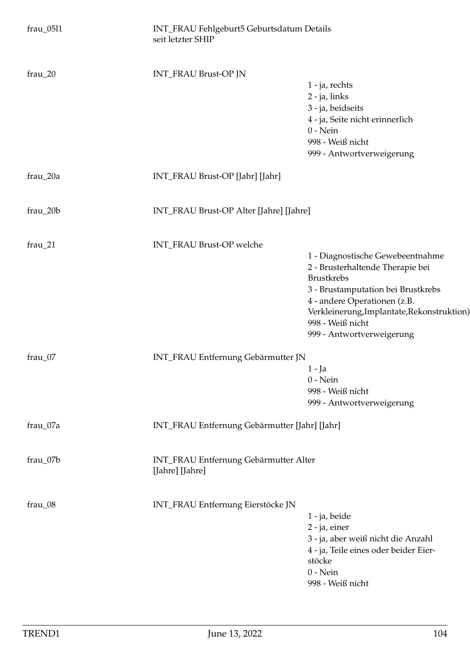| frau_0511 | INT_FRAU Fehlgeburt5 Geburtsdatum Details<br>seit letzter SHIP |                                                                                                                                                                                                                                                                |  |
|-----------|----------------------------------------------------------------|----------------------------------------------------------------------------------------------------------------------------------------------------------------------------------------------------------------------------------------------------------------|--|
| $frau_20$ | INT_FRAU Brust-OP JN                                           | 1 - ja, rechts<br>2 - ja, links<br>3 - ja, beidseits<br>4 - ja, Seite nicht erinnerlich<br>$0$ - Nein<br>998 - Weiß nicht<br>999 - Antwortverweigerung                                                                                                         |  |
| frau_20a  | INT_FRAU Brust-OP [Jahr] [Jahr]                                |                                                                                                                                                                                                                                                                |  |
| frau_20b  | INT_FRAU Brust-OP Alter [Jahre] [Jahre]                        |                                                                                                                                                                                                                                                                |  |
| $frau_21$ | INT_FRAU Brust-OP welche                                       | 1 - Diagnostische Gewebeentnahme<br>2 - Brusterhaltende Therapie bei<br><b>Brustkrebs</b><br>3 - Brustamputation bei Brustkrebs<br>4 - andere Operationen (z.B.<br>Verkleinerung, Implantate, Rekonstruktion)<br>998 - Weiß nicht<br>999 - Antwortverweigerung |  |
| frau_07   | INT_FRAU Entfernung Gebärmutter JN                             | 1 - Ja<br>$0$ - Nein<br>998 - Weiß nicht<br>999 - Antwortverweigerung                                                                                                                                                                                          |  |
| frau_07a  |                                                                | INT_FRAU Entfernung Gebärmutter [Jahr] [Jahr]                                                                                                                                                                                                                  |  |
| frau_07b  | [Jahre] [Jahre]                                                | INT_FRAU Entfernung Gebärmutter Alter                                                                                                                                                                                                                          |  |
| frau_08   | INT_FRAU Entfernung Eierstöcke JN                              | 1 - ja, beide<br>$2$ - ja, einer<br>3 - ja, aber weiß nicht die Anzahl<br>4 - ja, Teile eines oder beider Eier-<br>stöcke<br>$0$ - Nein<br>998 - Weiß nicht                                                                                                    |  |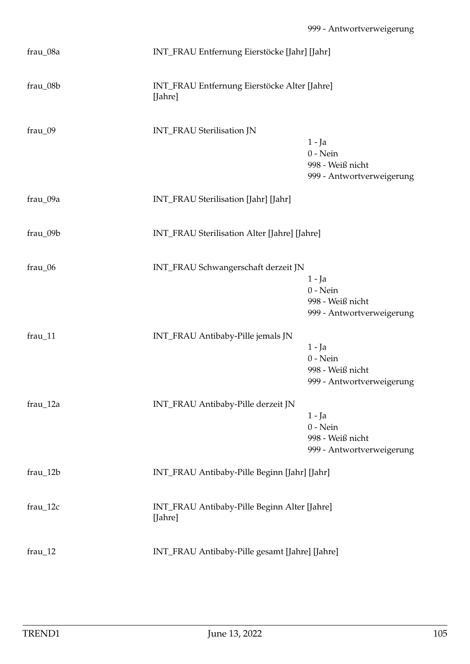| frau_08a   | INT_FRAU Entfernung Eierstöcke [Jahr] [Jahr]            |                                                                         |
|------------|---------------------------------------------------------|-------------------------------------------------------------------------|
| frau_08b   | INT_FRAU Entfernung Eierstöcke Alter [Jahre]<br>[Jahre] |                                                                         |
| frau_09    | INT_FRAU Sterilisation JN                               | $1 - Ja$<br>$0 - Nein$<br>998 - Weiß nicht<br>999 - Antwortverweigerung |
| frau_09a   | INT_FRAU Sterilisation [Jahr] [Jahr]                    |                                                                         |
| frau_09b   | INT_FRAU Sterilisation Alter [Jahre] [Jahre]            |                                                                         |
| frau_06    | INT_FRAU Schwangerschaft derzeit JN                     | $1 - Ja$<br>$0$ - Nein<br>998 - Weiß nicht<br>999 - Antwortverweigerung |
| frau_11    | INT_FRAU Antibaby-Pille jemals JN                       | $1 - Ja$<br>$0$ - Nein<br>998 - Weiß nicht<br>999 - Antwortverweigerung |
| $frau_12a$ | INT_FRAU Antibaby-Pille derzeit JN                      | $1 - Ja$<br>$0$ - Nein<br>998 - Weiß nicht<br>999 - Antwortverweigerung |
| frau_12b   | INT_FRAU Antibaby-Pille Beginn [Jahr] [Jahr]            |                                                                         |
| $frau_12c$ | INT_FRAU Antibaby-Pille Beginn Alter [Jahre]<br>[Jahre] |                                                                         |
| $frau_12$  | INT_FRAU Antibaby-Pille gesamt [Jahre] [Jahre]          |                                                                         |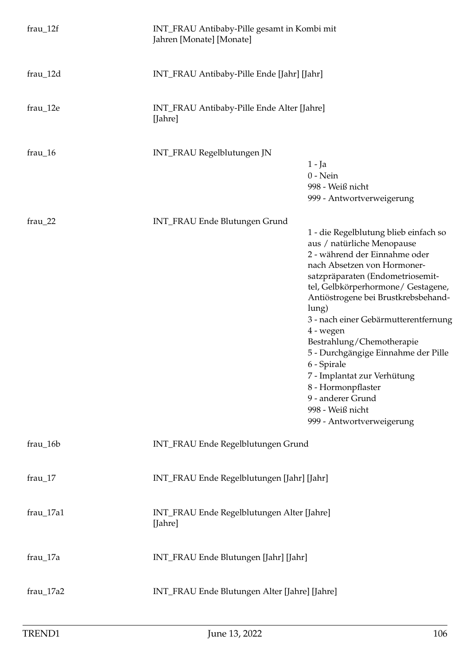| $frau_12f$  | INT_FRAU Antibaby-Pille gesamt in Kombi mit<br>Jahren [Monate] [Monate] |                                                                                                                                                                                                                                                                                                                                                                                                                                                                                                                                  |
|-------------|-------------------------------------------------------------------------|----------------------------------------------------------------------------------------------------------------------------------------------------------------------------------------------------------------------------------------------------------------------------------------------------------------------------------------------------------------------------------------------------------------------------------------------------------------------------------------------------------------------------------|
| frau_12d    | INT_FRAU Antibaby-Pille Ende [Jahr] [Jahr]                              |                                                                                                                                                                                                                                                                                                                                                                                                                                                                                                                                  |
| $frau_12e$  | INT_FRAU Antibaby-Pille Ende Alter [Jahre]<br>[Jahre]                   |                                                                                                                                                                                                                                                                                                                                                                                                                                                                                                                                  |
| $frau_16$   | INT_FRAU Regelblutungen JN                                              | $1 - Ja$<br>$0$ - Nein<br>998 - Weiß nicht<br>999 - Antwortverweigerung                                                                                                                                                                                                                                                                                                                                                                                                                                                          |
| $frau_22$   | INT_FRAU Ende Blutungen Grund                                           | 1 - die Regelblutung blieb einfach so<br>aus / natürliche Menopause<br>2 - während der Einnahme oder<br>nach Absetzen von Hormoner-<br>satzpräparaten (Endometriosemit-<br>tel, Gelbkörperhormone/ Gestagene,<br>Antiöstrogene bei Brustkrebsbehand-<br>lung)<br>3 - nach einer Gebärmutterentfernung<br>4 - wegen<br>Bestrahlung/Chemotherapie<br>5 - Durchgängige Einnahme der Pille<br>6 - Spirale<br>7 - Implantat zur Verhütung<br>8 - Hormonpflaster<br>9 - anderer Grund<br>998 - Weiß nicht<br>999 - Antwortverweigerung |
| $frau_16b$  | INT_FRAU Ende Regelblutungen Grund                                      |                                                                                                                                                                                                                                                                                                                                                                                                                                                                                                                                  |
| $frau_17$   | INT_FRAU Ende Regelblutungen [Jahr] [Jahr]                              |                                                                                                                                                                                                                                                                                                                                                                                                                                                                                                                                  |
| frau_17a1   | INT_FRAU Ende Regelblutungen Alter [Jahre]<br>[Jahre]                   |                                                                                                                                                                                                                                                                                                                                                                                                                                                                                                                                  |
| frau_17a    | INT_FRAU Ende Blutungen [Jahr] [Jahr]                                   |                                                                                                                                                                                                                                                                                                                                                                                                                                                                                                                                  |
| $frau_17a2$ | INT_FRAU Ende Blutungen Alter [Jahre] [Jahre]                           |                                                                                                                                                                                                                                                                                                                                                                                                                                                                                                                                  |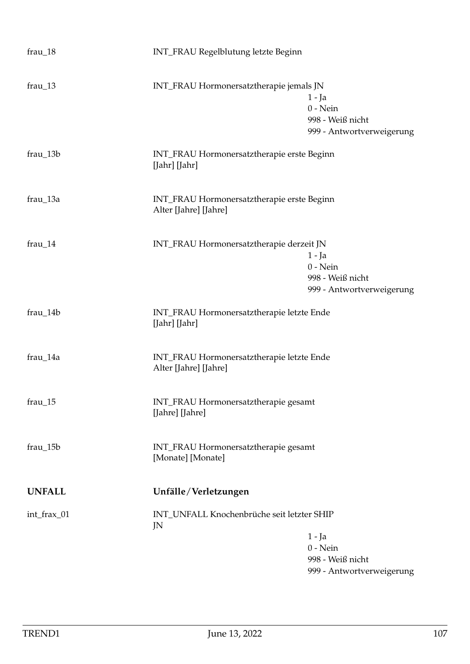| $frau_18$     | INT_FRAU Regelblutung letzte Beginn                                 |                                                                         |
|---------------|---------------------------------------------------------------------|-------------------------------------------------------------------------|
| $frau_13$     | INT_FRAU Hormonersatztherapie jemals JN                             | 1 - Ja<br>$0$ - Nein<br>998 - Weiß nicht<br>999 - Antwortverweigerung   |
| frau_13b      | INT_FRAU Hormonersatztherapie erste Beginn<br>[Jahr] [Jahr]         |                                                                         |
| frau_13a      | INT_FRAU Hormonersatztherapie erste Beginn<br>Alter [Jahre] [Jahre] |                                                                         |
| frau_14       | INT_FRAU Hormonersatztherapie derzeit JN                            | $1 - Ja$<br>$0$ - Nein<br>998 - Weiß nicht<br>999 - Antwortverweigerung |
| frau_14b      | INT_FRAU Hormonersatztherapie letzte Ende<br>[Jahr] [Jahr]          |                                                                         |
| frau_14a      | INT_FRAU Hormonersatztherapie letzte Ende<br>Alter [Jahre] [Jahre]  |                                                                         |
| $frau_15$     | INT_FRAU Hormonersatztherapie gesamt<br>[Jahre] [Jahre]             |                                                                         |
| frau_15b      | INT_FRAU Hormonersatztherapie gesamt<br>[Monate] [Monate]           |                                                                         |
| <b>UNFALL</b> | Unfälle/Verletzungen                                                |                                                                         |
| int_frax_01   | INT_UNFALL Knochenbrüche seit letzter SHIP<br>JN                    | $1 - Ja$<br>$0$ - Nein<br>998 - Weiß nicht<br>999 - Antwortverweigerung |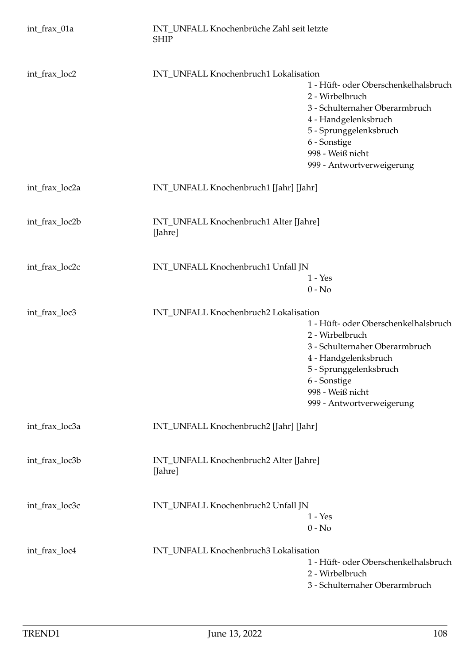| int_frax_01a   | INT UNFALL Knochenbrüche Zahl seit letzte<br><b>SHIP</b> |                                                                                                                                                                                                              |
|----------------|----------------------------------------------------------|--------------------------------------------------------------------------------------------------------------------------------------------------------------------------------------------------------------|
| int_frax_loc2  | INT_UNFALL Knochenbruch1 Lokalisation                    | 1 - Hüft- oder Oberschenkelhalsbruch<br>2 - Wirbelbruch<br>3 - Schulternaher Oberarmbruch<br>4 - Handgelenksbruch<br>5 - Sprunggelenksbruch<br>6 - Sonstige<br>998 - Weiß nicht<br>999 - Antwortverweigerung |
| int_frax_loc2a | INT_UNFALL Knochenbruch1 [Jahr] [Jahr]                   |                                                                                                                                                                                                              |
| int_frax_loc2b | INT_UNFALL Knochenbruch1 Alter [Jahre]<br>[Jahre]        |                                                                                                                                                                                                              |
| int_frax_loc2c | INT_UNFALL Knochenbruch1 Unfall JN                       | $1 - Yes$<br>$0 - No$                                                                                                                                                                                        |
| int_frax_loc3  | INT_UNFALL Knochenbruch2 Lokalisation                    | 1 - Hüft- oder Oberschenkelhalsbruch<br>2 - Wirbelbruch<br>3 - Schulternaher Oberarmbruch<br>4 - Handgelenksbruch<br>5 - Sprunggelenksbruch<br>6 - Sonstige<br>998 - Weiß nicht<br>999 - Antwortverweigerung |
| int_frax_loc3a | INT_UNFALL Knochenbruch2 [Jahr] [Jahr]                   |                                                                                                                                                                                                              |
| int_frax_loc3b | INT_UNFALL Knochenbruch2 Alter [Jahre]<br>[Jahre]        |                                                                                                                                                                                                              |
| int_frax_loc3c | INT_UNFALL Knochenbruch2 Unfall JN                       | $1 - Yes$<br>$0 - No$                                                                                                                                                                                        |
| int_frax_loc4  | INT_UNFALL Knochenbruch3 Lokalisation                    | 1 - Hüft- oder Oberschenkelhalsbruch<br>2 - Wirbelbruch<br>3 - Schulternaher Oberarmbruch                                                                                                                    |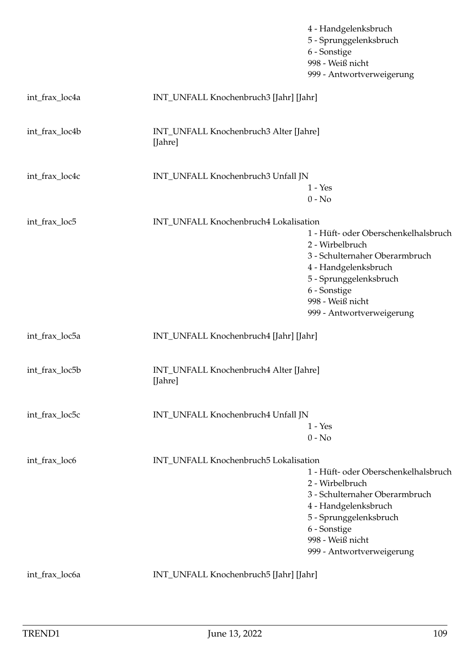|                |                                                   | 4 - Handgelenksbruch<br>5 - Sprunggelenksbruch<br>6 - Sonstige<br>998 - Weiß nicht<br>999 - Antwortverweigerung                                                                                              |
|----------------|---------------------------------------------------|--------------------------------------------------------------------------------------------------------------------------------------------------------------------------------------------------------------|
| int_frax_loc4a | INT_UNFALL Knochenbruch3 [Jahr] [Jahr]            |                                                                                                                                                                                                              |
| int_frax_loc4b | INT_UNFALL Knochenbruch3 Alter [Jahre]<br>[Jahre] |                                                                                                                                                                                                              |
| int_frax_loc4c | INT_UNFALL Knochenbruch3 Unfall JN                | $1 - Yes$<br>$0 - No$                                                                                                                                                                                        |
| int_frax_loc5  | INT_UNFALL Knochenbruch4 Lokalisation             | 1 - Hüft- oder Oberschenkelhalsbruch<br>2 - Wirbelbruch<br>3 - Schulternaher Oberarmbruch<br>4 - Handgelenksbruch<br>5 - Sprunggelenksbruch<br>6 - Sonstige<br>998 - Weiß nicht<br>999 - Antwortverweigerung |
| int_frax_loc5a | INT_UNFALL Knochenbruch4 [Jahr] [Jahr]            |                                                                                                                                                                                                              |
| int_frax_loc5b | INT_UNFALL Knochenbruch4 Alter [Jahre]<br>[Jahre] |                                                                                                                                                                                                              |
| int_frax_loc5c | INT_UNFALL Knochenbruch4 Unfall JN                | $1 - Yes$<br>$0 - No$                                                                                                                                                                                        |
| int_frax_loc6  | INT_UNFALL Knochenbruch5 Lokalisation             | 1 - Hüft- oder Oberschenkelhalsbruch<br>2 - Wirbelbruch<br>3 - Schulternaher Oberarmbruch<br>4 - Handgelenksbruch<br>5 - Sprunggelenksbruch<br>6 - Sonstige<br>998 - Weiß nicht<br>999 - Antwortverweigerung |
| int_frax_loc6a | INT_UNFALL Knochenbruch5 [Jahr] [Jahr]            |                                                                                                                                                                                                              |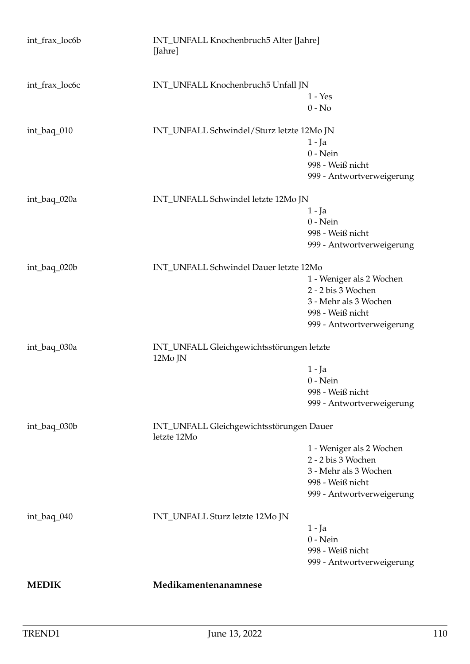| int_frax_loc6b | INT_UNFALL Knochenbruch5 Alter [Jahre]<br>[Jahre]       |                                |  |
|----------------|---------------------------------------------------------|--------------------------------|--|
| int_frax_loc6c | INT_UNFALL Knochenbruch5 Unfall JN                      |                                |  |
|                |                                                         | $1 - Yes$                      |  |
|                |                                                         | $0 - No$                       |  |
| int_baq_010    | INT_UNFALL Schwindel/Sturz letzte 12Mo JN               |                                |  |
|                |                                                         | $1 - Ja$                       |  |
|                |                                                         | $0$ - Nein                     |  |
|                |                                                         | 998 - Weiß nicht               |  |
|                |                                                         | 999 - Antwortverweigerung      |  |
| int_baq_020a   | INT_UNFALL Schwindel letzte 12Mo JN                     |                                |  |
|                |                                                         | $1 - Ja$                       |  |
|                |                                                         | $0$ - Nein<br>998 - Weiß nicht |  |
|                |                                                         | 999 - Antwortverweigerung      |  |
|                |                                                         |                                |  |
| int_baq_020b   | INT_UNFALL Schwindel Dauer letzte 12Mo                  |                                |  |
|                |                                                         | 1 - Weniger als 2 Wochen       |  |
|                |                                                         | 2 - 2 bis 3 Wochen             |  |
|                |                                                         | 3 - Mehr als 3 Wochen          |  |
|                |                                                         | 998 - Weiß nicht               |  |
|                |                                                         | 999 - Antwortverweigerung      |  |
| int_baq_030a   | INT_UNFALL Gleichgewichtsstörungen letzte<br>12Mo JN    |                                |  |
|                |                                                         | $1 - Ia$                       |  |
|                |                                                         | $0$ - Nein                     |  |
|                |                                                         | 998 - Weiß nicht               |  |
|                |                                                         | 999 - Antwortverweigerung      |  |
| int_baq_030b   | INT_UNFALL Gleichgewichtsstörungen Dauer<br>letzte 12Mo |                                |  |
|                |                                                         | 1 - Weniger als 2 Wochen       |  |
|                |                                                         | 2 - 2 bis 3 Wochen             |  |
|                |                                                         | 3 - Mehr als 3 Wochen          |  |
|                |                                                         | 998 - Weiß nicht               |  |
|                |                                                         | 999 - Antwortverweigerung      |  |
| int_baq_040    | INT_UNFALL Sturz letzte 12Mo JN                         |                                |  |
|                |                                                         | $1 - Ja$                       |  |
|                |                                                         | $0 - Nein$                     |  |
|                |                                                         | 998 - Weiß nicht               |  |
|                |                                                         | 999 - Antwortverweigerung      |  |
| <b>MEDIK</b>   | Medikamentenanamnese                                    |                                |  |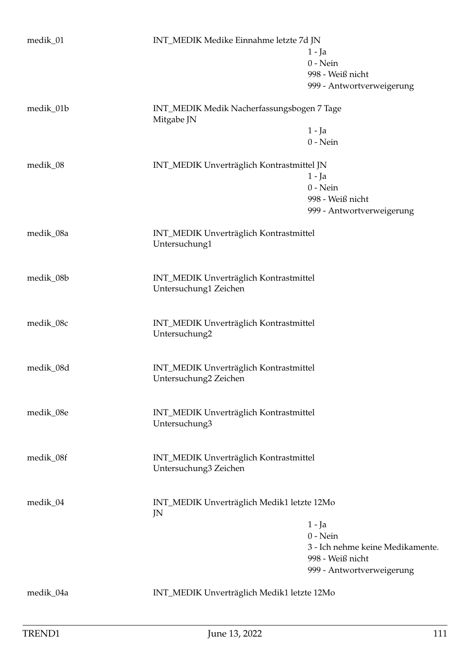| medik_01  | INT_MEDIK Medike Einnahme letzte 7d JN                          | $1 - Ja$<br>$0$ - Nein<br>998 - Weiß nicht<br>999 - Antwortverweigerung                                     |
|-----------|-----------------------------------------------------------------|-------------------------------------------------------------------------------------------------------------|
| medik_01b | INT_MEDIK Medik Nacherfassungsbogen 7 Tage<br>Mitgabe JN        | $1 - Ja$<br>$0$ - Nein                                                                                      |
| medik_08  | INT_MEDIK Unverträglich Kontrastmittel JN                       | $1 - Ja$<br>$0$ - Nein<br>998 - Weiß nicht<br>999 - Antwortverweigerung                                     |
| medik_08a | INT_MEDIK Unverträglich Kontrastmittel<br>Untersuchung1         |                                                                                                             |
| medik_08b | INT_MEDIK Unverträglich Kontrastmittel<br>Untersuchung1 Zeichen |                                                                                                             |
| medik_08c | INT_MEDIK Unverträglich Kontrastmittel<br>Untersuchung2         |                                                                                                             |
| medik_08d | INT_MEDIK Unverträglich Kontrastmittel<br>Untersuchung2 Zeichen |                                                                                                             |
| medik_08e | INT_MEDIK Unverträglich Kontrastmittel<br>Untersuchung3         |                                                                                                             |
| medik_08f | INT_MEDIK Unverträglich Kontrastmittel<br>Untersuchung3 Zeichen |                                                                                                             |
| medik_04  | INT_MEDIK Unverträglich Medik1 letzte 12Mo<br>JN                | $1 - Ja$<br>$0$ - Nein<br>3 - Ich nehme keine Medikamente.<br>998 - Weiß nicht<br>999 - Antwortverweigerung |
| medik_04a | INT_MEDIK Unverträglich Medik1 letzte 12Mo                      |                                                                                                             |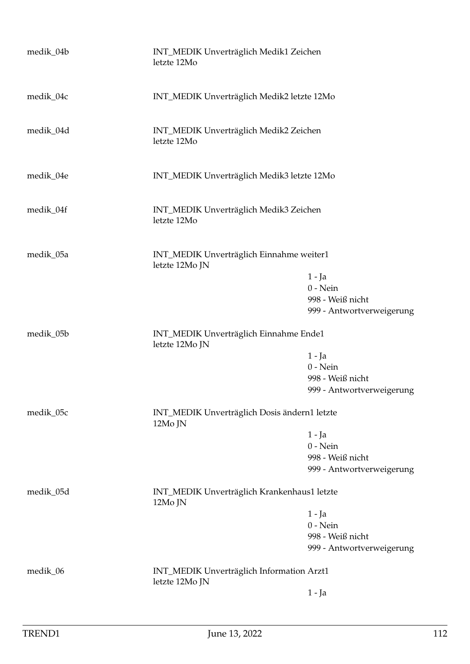| medik_04b | INT_MEDIK Unverträglich Medik1 Zeichen<br>letzte 12Mo       |                           |
|-----------|-------------------------------------------------------------|---------------------------|
| medik_04c | INT_MEDIK Unverträglich Medik2 letzte 12Mo                  |                           |
| medik_04d | INT_MEDIK Unverträglich Medik2 Zeichen<br>letzte 12Mo       |                           |
| medik_04e | INT_MEDIK Unverträglich Medik3 letzte 12Mo                  |                           |
| medik_04f | INT_MEDIK Unverträglich Medik3 Zeichen<br>letzte 12Mo       |                           |
| medik_05a | INT_MEDIK Unverträglich Einnahme weiter1<br>letzte 12Mo JN  |                           |
|           |                                                             | $1 - Ja$                  |
|           |                                                             | $0$ - Nein                |
|           |                                                             | 998 - Weiß nicht          |
|           |                                                             | 999 - Antwortverweigerung |
| medik_05b | INT_MEDIK Unverträglich Einnahme Ende1<br>letzte 12Mo JN    |                           |
|           |                                                             | $1 - Ja$                  |
|           |                                                             | $0$ - Nein                |
|           |                                                             | 998 - Weiß nicht          |
|           |                                                             | 999 - Antwortverweigerung |
| medik_05c | INT_MEDIK Unverträglich Dosis ändern1 letzte<br>12Mo JN     |                           |
|           |                                                             | $1 - Ja$                  |
|           |                                                             | $0$ - Nein                |
|           |                                                             | 998 - Weiß nicht          |
|           |                                                             | 999 - Antwortverweigerung |
| medik_05d | INT_MEDIK Unverträglich Krankenhaus1 letzte<br>12Mo JN      |                           |
|           |                                                             | 1 - Ja                    |
|           |                                                             | $0$ - Nein                |
|           |                                                             | 998 - Weiß nicht          |
|           |                                                             | 999 - Antwortverweigerung |
| medik_06  | INT_MEDIK Unverträglich Information Arzt1<br>letzte 12Mo JN |                           |
|           |                                                             | $1 - Ja$                  |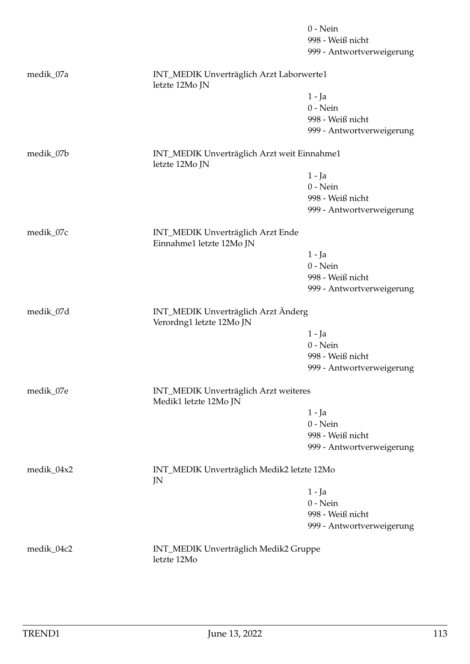|            |                                                                 | $0 - Nein$                |
|------------|-----------------------------------------------------------------|---------------------------|
|            |                                                                 | 998 - Weiß nicht          |
|            |                                                                 | 999 - Antwortverweigerung |
| medik_07a  | INT_MEDIK Unverträglich Arzt Laborwerte1<br>letzte 12Mo JN      |                           |
|            |                                                                 | 1 - Ja                    |
|            |                                                                 | $0$ - Nein                |
|            |                                                                 | 998 - Weiß nicht          |
|            |                                                                 | 999 - Antwortverweigerung |
| medik_07b  | INT_MEDIK Unverträglich Arzt weit Einnahme1<br>letzte 12Mo JN   |                           |
|            |                                                                 | 1 - Ja                    |
|            |                                                                 | $0 - Nein$                |
|            |                                                                 | 998 - Weiß nicht          |
|            |                                                                 | 999 - Antwortverweigerung |
| medik_07c  | INT_MEDIK Unverträglich Arzt Ende<br>Einnahme1 letzte 12Mo JN   |                           |
|            |                                                                 | 1 - Ja                    |
|            |                                                                 | $0$ - Nein                |
|            |                                                                 | 998 - Weiß nicht          |
|            |                                                                 | 999 - Antwortverweigerung |
| medik_07d  | INT_MEDIK Unverträglich Arzt Änderg<br>Verordng1 letzte 12Mo JN |                           |
|            |                                                                 | 1 - Ja                    |
|            |                                                                 | $0 - Nein$                |
|            |                                                                 | 998 - Weiß nicht          |
|            |                                                                 | 999 - Antwortverweigerung |
| medik_07e  | INT_MEDIK Unverträglich Arzt weiteres<br>Medik1 letzte 12Mo JN  |                           |
|            |                                                                 | 1 - Ja                    |
|            |                                                                 | $0$ - Nein                |
|            |                                                                 | 998 - Weiß nicht          |
|            |                                                                 | 999 - Antwortverweigerung |
| medik_04x2 | INT_MEDIK Unverträglich Medik2 letzte 12Mo<br>JN                |                           |
|            |                                                                 | 1 - Ja                    |
|            |                                                                 | $0$ - Nein                |
|            |                                                                 | 998 - Weiß nicht          |
|            |                                                                 | 999 - Antwortverweigerung |
| medik_04c2 | INT_MEDIK Unverträglich Medik2 Gruppe<br>letzte 12Mo            |                           |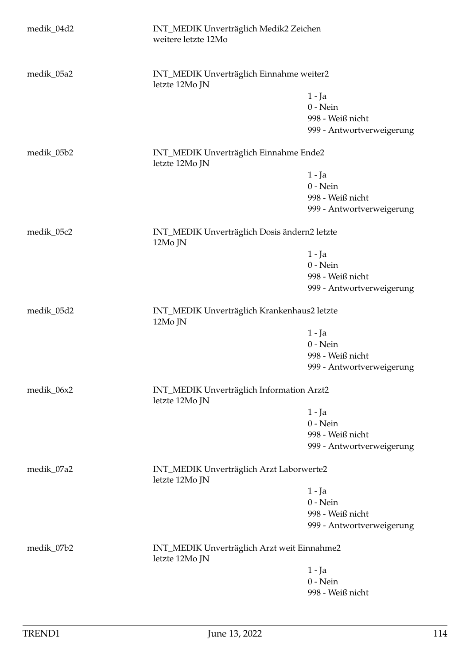| medik_04d2 | INT_MEDIK Unverträglich Medik2 Zeichen<br>weitere letzte 12Mo |                           |
|------------|---------------------------------------------------------------|---------------------------|
| medik_05a2 | INT_MEDIK Unverträglich Einnahme weiter2<br>letzte 12Mo JN    |                           |
|            |                                                               | $1 - Ja$                  |
|            |                                                               | $0$ - Nein                |
|            |                                                               | 998 - Weiß nicht          |
|            |                                                               | 999 - Antwortverweigerung |
| medik_05b2 | INT_MEDIK Unverträglich Einnahme Ende2<br>letzte 12Mo JN      |                           |
|            |                                                               | $1 - Ja$                  |
|            |                                                               | $0$ - Nein                |
|            |                                                               | 998 - Weiß nicht          |
|            |                                                               | 999 - Antwortverweigerung |
| medik_05c2 | INT_MEDIK Unverträglich Dosis ändern2 letzte<br>12Mo JN       |                           |
|            |                                                               | $1 - Ja$                  |
|            |                                                               | $0$ - Nein                |
|            |                                                               | 998 - Weiß nicht          |
|            |                                                               | 999 - Antwortverweigerung |
| medik_05d2 | INT_MEDIK Unverträglich Krankenhaus2 letzte<br>12Mo JN        |                           |
|            |                                                               | $1 - Ja$                  |
|            |                                                               | $0$ - Nein                |
|            |                                                               | 998 - Weiß nicht          |
|            |                                                               | 999 - Antwortverweigerung |
| medik_06x2 | INT_MEDIK Unverträglich Information Arzt2<br>letzte 12Mo JN   |                           |
|            |                                                               | $1 - Ja$                  |
|            |                                                               | $0$ - Nein                |
|            |                                                               | 998 - Weiß nicht          |
|            |                                                               | 999 - Antwortverweigerung |
| medik_07a2 | INT_MEDIK Unverträglich Arzt Laborwerte2<br>letzte 12Mo JN    |                           |
|            |                                                               | 1 - Ja                    |
|            |                                                               | $0$ - Nein                |
|            |                                                               | 998 - Weiß nicht          |
|            |                                                               | 999 - Antwortverweigerung |
| medik_07b2 | INT_MEDIK Unverträglich Arzt weit Einnahme2<br>letzte 12Mo JN |                           |
|            |                                                               | $1 - Ja$                  |
|            |                                                               | $0 - Nein$                |
|            |                                                               | 998 - Weiß nicht          |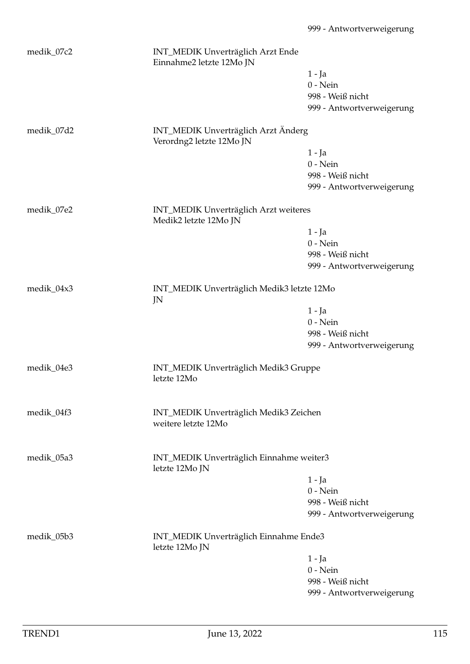| medik_07c2 | INT_MEDIK Unverträglich Arzt Ende<br>Einnahme2 letzte 12Mo JN   |                           |
|------------|-----------------------------------------------------------------|---------------------------|
|            |                                                                 | $1 - Ja$                  |
|            |                                                                 | $0$ - Nein                |
|            |                                                                 | 998 - Weiß nicht          |
|            |                                                                 | 999 - Antwortverweigerung |
|            |                                                                 |                           |
| medik_07d2 | INT_MEDIK Unverträglich Arzt Änderg<br>Verordng2 letzte 12Mo JN |                           |
|            |                                                                 | $1 - Ja$                  |
|            |                                                                 | $0$ - Nein                |
|            |                                                                 | 998 - Weiß nicht          |
|            |                                                                 | 999 - Antwortverweigerung |
| medik_07e2 | INT_MEDIK Unverträglich Arzt weiteres                           |                           |
|            | Medik2 letzte 12Mo JN                                           |                           |
|            |                                                                 | $1 - Ja$                  |
|            |                                                                 | $0$ - Nein                |
|            |                                                                 | 998 - Weiß nicht          |
|            |                                                                 | 999 - Antwortverweigerung |
| medik_04x3 | INT_MEDIK Unverträglich Medik3 letzte 12Mo                      |                           |
|            | JN                                                              | $1 - Ja$                  |
|            |                                                                 | $0$ - Nein                |
|            |                                                                 | 998 - Weiß nicht          |
|            |                                                                 | 999 - Antwortverweigerung |
|            |                                                                 |                           |
| medik_04e3 | INT_MEDIK Unverträglich Medik3 Gruppe<br>letzte 12Mo            |                           |
| medik_04f3 | INT_MEDIK Unverträglich Medik3 Zeichen<br>weitere letzte 12Mo   |                           |
|            |                                                                 |                           |
|            |                                                                 |                           |
| medik_05a3 | INT_MEDIK Unverträglich Einnahme weiter3<br>letzte 12Mo JN      |                           |
|            |                                                                 | 1 - Ja                    |
|            |                                                                 | $0$ - Nein                |
|            |                                                                 | 998 - Weiß nicht          |
|            |                                                                 | 999 - Antwortverweigerung |
| medik_05b3 | INT_MEDIK Unverträglich Einnahme Ende3<br>letzte 12Mo JN        |                           |
|            |                                                                 | $1 - Ja$                  |
|            |                                                                 | $0$ - Nein                |
|            |                                                                 | 998 - Weiß nicht          |

999 - Antwortverweigerung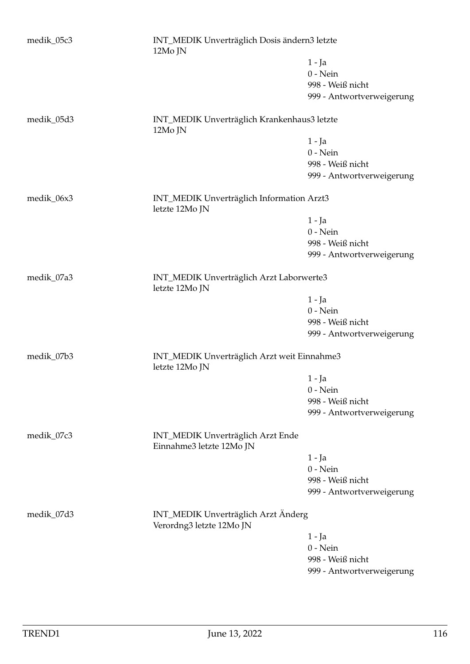| medik_05c3 | INT_MEDIK Unverträglich Dosis ändern3 letzte<br>12Mo JN         |                           |
|------------|-----------------------------------------------------------------|---------------------------|
|            |                                                                 | $1 - Ja$                  |
|            |                                                                 | $0$ - Nein                |
|            |                                                                 | 998 - Weiß nicht          |
|            |                                                                 | 999 - Antwortverweigerung |
|            |                                                                 |                           |
| medik_05d3 | INT_MEDIK Unverträglich Krankenhaus3 letzte<br>12Mo JN          |                           |
|            |                                                                 | $1 - Ja$                  |
|            |                                                                 | $0$ - Nein                |
|            |                                                                 | 998 - Weiß nicht          |
|            |                                                                 | 999 - Antwortverweigerung |
|            |                                                                 |                           |
| medik_06x3 | INT_MEDIK Unverträglich Information Arzt3<br>letzte 12Mo JN     |                           |
|            |                                                                 | $1 - Ja$                  |
|            |                                                                 | $0$ - Nein                |
|            |                                                                 | 998 - Weiß nicht          |
|            |                                                                 | 999 - Antwortverweigerung |
|            |                                                                 |                           |
| medik_07a3 | INT_MEDIK Unverträglich Arzt Laborwerte3<br>letzte 12Mo JN      |                           |
|            |                                                                 | $1 - Ja$                  |
|            |                                                                 | $0$ - Nein                |
|            |                                                                 | 998 - Weiß nicht          |
|            |                                                                 |                           |
|            |                                                                 | 999 - Antwortverweigerung |
| medik_07b3 | INT_MEDIK Unverträglich Arzt weit Einnahme3<br>letzte 12Mo JN   |                           |
|            |                                                                 | $1 - Ja$                  |
|            |                                                                 | $0$ - Nein                |
|            |                                                                 | 998 - Weiß nicht          |
|            |                                                                 | 999 - Antwortverweigerung |
|            |                                                                 |                           |
| medik_07c3 | INT_MEDIK Unverträglich Arzt Ende<br>Einnahme3 letzte 12Mo JN   |                           |
|            |                                                                 | $1 - Ja$                  |
|            |                                                                 | $0$ - Nein                |
|            |                                                                 | 998 - Weiß nicht          |
|            |                                                                 | 999 - Antwortverweigerung |
|            |                                                                 |                           |
| medik_07d3 | INT_MEDIK Unverträglich Arzt Änderg<br>Verordng3 letzte 12Mo JN |                           |
|            |                                                                 | $1 - Ja$                  |
|            |                                                                 | $0$ - Nein                |
|            |                                                                 | 998 - Weiß nicht          |
|            |                                                                 | 999 - Antwortverweigerung |
|            |                                                                 |                           |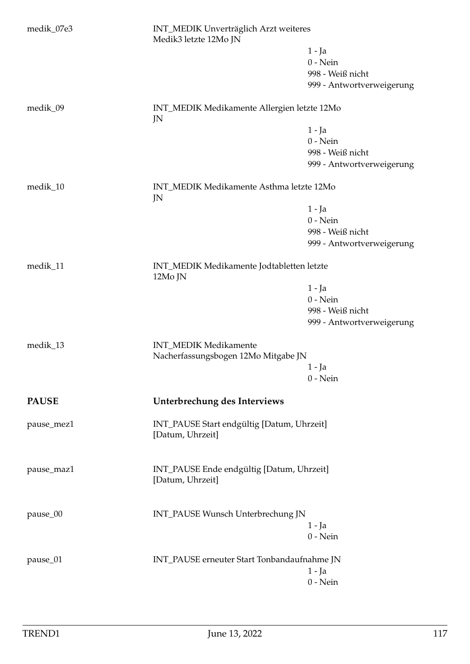| medik_07e3   | INT_MEDIK Unverträglich Arzt weiteres<br>Medik3 letzte 12Mo JN |                           |
|--------------|----------------------------------------------------------------|---------------------------|
|              |                                                                | 1 - Ja                    |
|              |                                                                | $0$ - Nein                |
|              |                                                                | 998 - Weiß nicht          |
|              |                                                                | 999 - Antwortverweigerung |
| medik_09     | INT_MEDIK Medikamente Allergien letzte 12Mo<br>JN              |                           |
|              |                                                                | $1 - Ja$                  |
|              |                                                                | $0$ - Nein                |
|              |                                                                | 998 - Weiß nicht          |
|              |                                                                | 999 - Antwortverweigerung |
| medik_10     | INT_MEDIK Medikamente Asthma letzte 12Mo<br>JN                 |                           |
|              |                                                                | $1 - Ja$                  |
|              |                                                                | $0$ - Nein                |
|              |                                                                | 998 - Weiß nicht          |
|              |                                                                | 999 - Antwortverweigerung |
|              |                                                                |                           |
| medik_11     | INT_MEDIK Medikamente Jodtabletten letzte<br>12Mo JN           |                           |
|              |                                                                | $1 - Ja$                  |
|              |                                                                | $0$ - Nein                |
|              |                                                                | 998 - Weiß nicht          |
|              |                                                                | 999 - Antwortverweigerung |
| medik_13     | INT_MEDIK Medikamente                                          |                           |
|              | Nacherfassungsbogen 12Mo Mitgabe JN                            |                           |
|              |                                                                | 1 - Ja                    |
|              |                                                                | $0$ - Nein                |
| <b>PAUSE</b> | Unterbrechung des Interviews                                   |                           |
| pause_mez1   | INT_PAUSE Start endgültig [Datum, Uhrzeit]<br>[Datum, Uhrzeit] |                           |
| pause_maz1   | INT_PAUSE Ende endgültig [Datum, Uhrzeit]<br>[Datum, Uhrzeit]  |                           |
|              |                                                                |                           |
| pause_00     | INT_PAUSE Wunsch Unterbrechung JN                              |                           |
|              |                                                                | $1 - Ja$                  |
|              |                                                                | $0$ - Nein                |
| pause_01     | INT_PAUSE erneuter Start Tonbandaufnahme JN                    |                           |
|              |                                                                | $1 - Ja$                  |
|              |                                                                | $0$ - Nein                |
|              |                                                                |                           |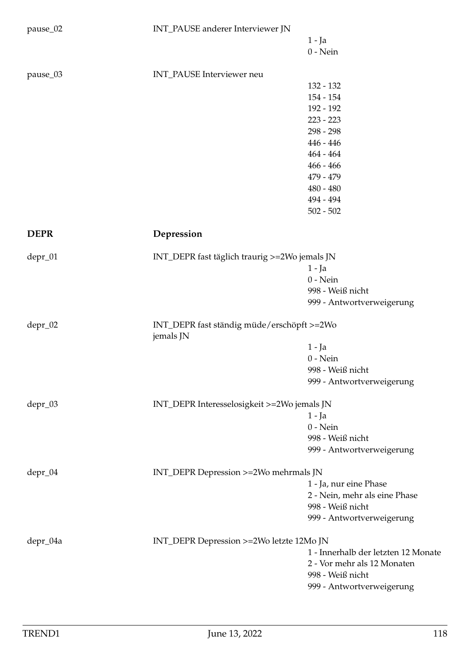| pause_02    | INT_PAUSE anderer Interviewer JN                        |                                     |
|-------------|---------------------------------------------------------|-------------------------------------|
|             |                                                         | $1 - Ja$                            |
|             |                                                         | $0$ - Nein                          |
| pause_03    | INT_PAUSE Interviewer neu                               |                                     |
|             |                                                         | 132 - 132                           |
|             |                                                         | $154 - 154$                         |
|             |                                                         | 192 - 192                           |
|             |                                                         | $223 - 223$                         |
|             |                                                         | 298 - 298                           |
|             |                                                         | $446 - 446$                         |
|             |                                                         | $464 - 464$                         |
|             |                                                         | $466 - 466$                         |
|             |                                                         | 479 - 479                           |
|             |                                                         | $480 - 480$                         |
|             |                                                         | 494 - 494                           |
|             |                                                         | $502 - 502$                         |
| <b>DEPR</b> | Depression                                              |                                     |
|             |                                                         |                                     |
| depr_01     | INT_DEPR fast täglich traurig >=2Wo jemals JN           |                                     |
|             |                                                         | $1 - Ja$                            |
|             |                                                         | $0$ - Nein                          |
|             |                                                         | 998 - Weiß nicht                    |
|             |                                                         | 999 - Antwortverweigerung           |
| depr_02     | INT_DEPR fast ständig müde/erschöpft >=2Wo<br>jemals JN |                                     |
|             |                                                         | $1 - Ja$                            |
|             |                                                         | $0$ - Nein                          |
|             |                                                         | 998 - Weiß nicht                    |
|             |                                                         | 999 - Antwortverweigerung           |
| depr_03     | INT_DEPR Interesselosigkeit >=2Wo jemals JN             |                                     |
|             |                                                         | $1 - Ja$                            |
|             |                                                         | $0$ - Nein                          |
|             |                                                         | 998 - Weiß nicht                    |
|             |                                                         | 999 - Antwortverweigerung           |
| depr_04     | INT_DEPR Depression >=2Wo mehrmals JN                   |                                     |
|             |                                                         | 1 - Ja, nur eine Phase              |
|             |                                                         | 2 - Nein, mehr als eine Phase       |
|             |                                                         | 998 - Weiß nicht                    |
|             |                                                         | 999 - Antwortverweigerung           |
| depr_04a    | INT_DEPR Depression >=2Wo letzte 12Mo JN                |                                     |
|             |                                                         | 1 - Innerhalb der letzten 12 Monate |
|             |                                                         | 2 - Vor mehr als 12 Monaten         |
|             |                                                         | 998 - Weiß nicht                    |
|             |                                                         | 999 - Antwortverweigerung           |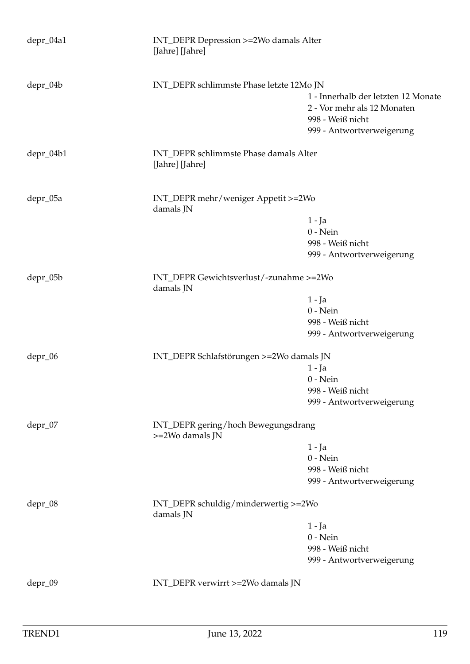| INT_DEPR Depression >=2Wo damals Alter<br>[Jahre] [Jahre] |                                                                                        |
|-----------------------------------------------------------|----------------------------------------------------------------------------------------|
| INT_DEPR schlimmste Phase letzte 12Mo JN                  |                                                                                        |
|                                                           | 1 - Innerhalb der letzten 12 Monate<br>2 - Vor mehr als 12 Monaten<br>998 - Weiß nicht |
|                                                           | 999 - Antwortverweigerung                                                              |
| INT_DEPR schlimmste Phase damals Alter<br>[Jahre] [Jahre] |                                                                                        |
| INT_DEPR mehr/weniger Appetit >=2Wo<br>damals JN          |                                                                                        |
|                                                           | 1 - Ja                                                                                 |
|                                                           | $0$ - Nein                                                                             |
|                                                           | 998 - Weiß nicht                                                                       |
|                                                           | 999 - Antwortverweigerung                                                              |
| INT_DEPR Gewichtsverlust/-zunahme >=2Wo<br>damals JN      |                                                                                        |
|                                                           | $1 - Ja$                                                                               |
|                                                           | $0$ - Nein                                                                             |
|                                                           | 998 - Weiß nicht                                                                       |
|                                                           | 999 - Antwortverweigerung                                                              |
|                                                           |                                                                                        |
|                                                           | $1 - Ja$                                                                               |
|                                                           | $0$ - Nein                                                                             |
|                                                           | 998 - Weiß nicht                                                                       |
|                                                           | 999 - Antwortverweigerung                                                              |
| INT_DEPR gering/hoch Bewegungsdrang<br>>=2Wo damals JN    |                                                                                        |
|                                                           | 1 - Ja                                                                                 |
|                                                           | $0$ - Nein                                                                             |
|                                                           | 998 - Weiß nicht                                                                       |
|                                                           | 999 - Antwortverweigerung                                                              |
| INT_DEPR schuldig/minderwertig >=2Wo<br>damals JN         |                                                                                        |
|                                                           | 1 - Ja                                                                                 |
|                                                           | $0 - Nein$                                                                             |
|                                                           | 998 - Weiß nicht                                                                       |
|                                                           | 999 - Antwortverweigerung                                                              |
| INT_DEPR verwirrt >=2Wo damals JN                         |                                                                                        |
|                                                           | INT_DEPR Schlafstörungen >=2Wo damals JN                                               |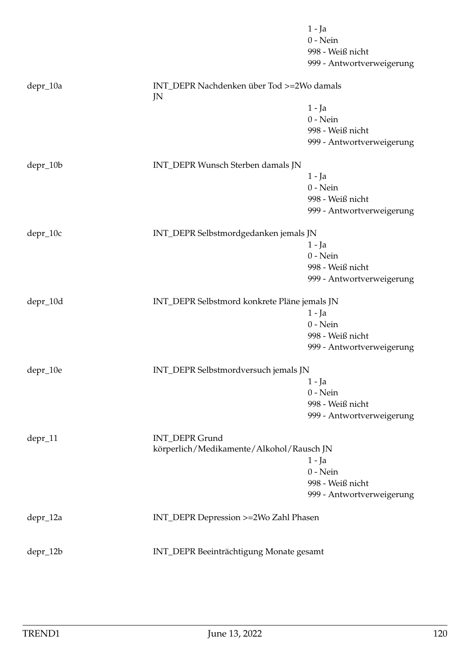|          |                                                 | $1 - Ja$                  |
|----------|-------------------------------------------------|---------------------------|
|          |                                                 | $0$ - Nein                |
|          |                                                 | 998 - Weiß nicht          |
|          |                                                 | 999 - Antwortverweigerung |
| depr_10a | INT_DEPR Nachdenken über Tod >=2Wo damals<br>JN |                           |
|          |                                                 | $1 - Ja$                  |
|          |                                                 | $0$ - Nein                |
|          |                                                 | 998 - Weiß nicht          |
|          |                                                 | 999 - Antwortverweigerung |
| depr_10b | INT_DEPR Wunsch Sterben damals JN               |                           |
|          |                                                 | $1 - Ja$                  |
|          |                                                 | $0$ - Nein                |
|          |                                                 | 998 - Weiß nicht          |
|          |                                                 | 999 - Antwortverweigerung |
| depr_10c | INT_DEPR Selbstmordgedanken jemals JN           |                           |
|          |                                                 | $1 - Ja$                  |
|          |                                                 | $0$ - Nein                |
|          |                                                 | 998 - Weiß nicht          |
|          |                                                 | 999 - Antwortverweigerung |
| depr_10d | INT_DEPR Selbstmord konkrete Pläne jemals JN    |                           |
|          |                                                 | $1 - Ja$                  |
|          |                                                 | $0$ - Nein                |
|          |                                                 | 998 - Weiß nicht          |
|          |                                                 | 999 - Antwortverweigerung |
| depr_10e | INT_DEPR Selbstmordversuch jemals JN            |                           |
|          |                                                 | $1 - Ja$                  |
|          |                                                 | $0$ - Nein                |
|          |                                                 | 998 - Weiß nicht          |
|          |                                                 | 999 - Antwortverweigerung |
| depr_11  | <b>INT_DEPR Grund</b>                           |                           |
|          | körperlich/Medikamente/Alkohol/Rausch JN        |                           |
|          |                                                 | $1 - Ja$                  |
|          |                                                 | $0$ - Nein                |
|          |                                                 | 998 - Weiß nicht          |
|          |                                                 | 999 - Antwortverweigerung |
| depr_12a | INT_DEPR Depression >=2Wo Zahl Phasen           |                           |
| depr_12b | INT_DEPR Beeinträchtigung Monate gesamt         |                           |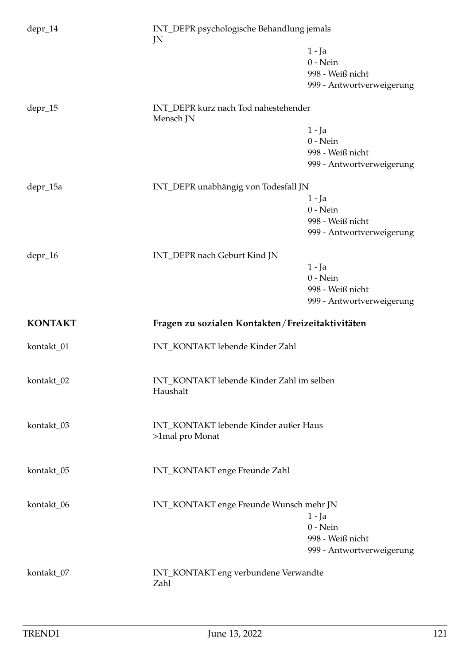| $depr_14$      | INT_DEPR psychologische Behandlung jemals<br>JN          |                           |
|----------------|----------------------------------------------------------|---------------------------|
|                |                                                          | 1 - Ja                    |
|                |                                                          | $0$ - Nein                |
|                |                                                          | 998 - Weiß nicht          |
|                |                                                          | 999 - Antwortverweigerung |
| depr_15        | INT_DEPR kurz nach Tod nahestehender<br>Mensch JN        |                           |
|                |                                                          | $1 - Ja$                  |
|                |                                                          | $0$ - Nein                |
|                |                                                          | 998 - Weiß nicht          |
|                |                                                          | 999 - Antwortverweigerung |
| depr_15a       | INT_DEPR unabhängig von Todesfall JN                     |                           |
|                |                                                          | $1 - Ja$                  |
|                |                                                          | $0$ - Nein                |
|                |                                                          | 998 - Weiß nicht          |
|                |                                                          | 999 - Antwortverweigerung |
| depr_16        | INT_DEPR nach Geburt Kind JN                             |                           |
|                |                                                          | $1 - Ja$                  |
|                |                                                          | $0$ - Nein                |
|                |                                                          | 998 - Weiß nicht          |
|                |                                                          | 999 - Antwortverweigerung |
| <b>KONTAKT</b> | Fragen zu sozialen Kontakten/Freizeitaktivitäten         |                           |
| kontakt_01     | INT_KONTAKT lebende Kinder Zahl                          |                           |
| kontakt_02     | INT_KONTAKT lebende Kinder Zahl im selben<br>Haushalt    |                           |
| kontakt_03     | INT_KONTAKT lebende Kinder außer Haus<br>>1mal pro Monat |                           |
| kontakt_05     | INT_KONTAKT enge Freunde Zahl                            |                           |
| kontakt_06     | INT_KONTAKT enge Freunde Wunsch mehr JN                  |                           |
|                |                                                          | $1 - Ja$                  |
|                |                                                          | $0$ - Nein                |
|                |                                                          | 998 - Weiß nicht          |
|                |                                                          | 999 - Antwortverweigerung |
| kontakt_07     | INT_KONTAKT eng verbundene Verwandte<br>Zahl             |                           |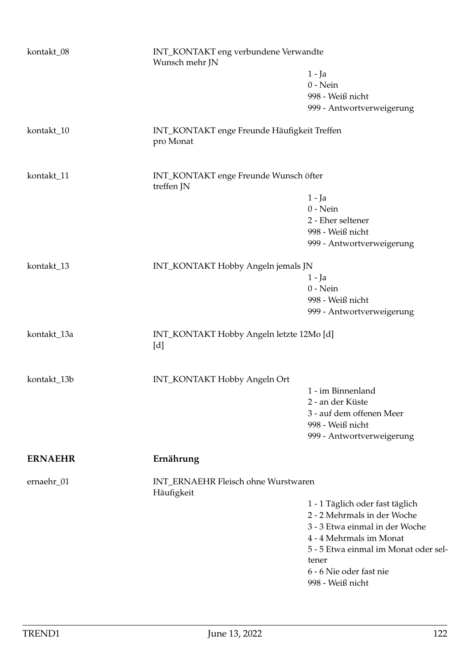| kontakt_08     |                                                          | INT_KONTAKT eng verbundene Verwandte<br>Wunsch mehr JN |  |
|----------------|----------------------------------------------------------|--------------------------------------------------------|--|
|                |                                                          | $1 - Ja$                                               |  |
|                |                                                          | $0$ - Nein                                             |  |
|                |                                                          |                                                        |  |
|                |                                                          | 998 - Weiß nicht                                       |  |
|                |                                                          | 999 - Antwortverweigerung                              |  |
| kontakt_10     | INT_KONTAKT enge Freunde Häufigkeit Treffen<br>pro Monat |                                                        |  |
| kontakt_11     | INT_KONTAKT enge Freunde Wunsch öfter<br>treffen JN      |                                                        |  |
|                |                                                          | 1 - Ja                                                 |  |
|                |                                                          | $0$ - Nein                                             |  |
|                |                                                          | 2 - Eher seltener                                      |  |
|                |                                                          |                                                        |  |
|                |                                                          | 998 - Weiß nicht                                       |  |
|                |                                                          | 999 - Antwortverweigerung                              |  |
| kontakt_13     | INT_KONTAKT Hobby Angeln jemals JN                       |                                                        |  |
|                |                                                          | 1 - Ja                                                 |  |
|                |                                                          | $0$ - Nein                                             |  |
|                |                                                          | 998 - Weiß nicht                                       |  |
|                |                                                          | 999 - Antwortverweigerung                              |  |
|                |                                                          |                                                        |  |
| kontakt_13a    | INT_KONTAKT Hobby Angeln letzte 12Mo [d]<br>[d]          |                                                        |  |
|                | INT_KONTAKT Hobby Angeln Ort                             |                                                        |  |
| kontakt_13b    |                                                          | 1 - im Binnenland                                      |  |
|                |                                                          |                                                        |  |
|                |                                                          | 2 - an der Küste                                       |  |
|                |                                                          | 3 - auf dem offenen Meer                               |  |
|                |                                                          | 998 - Weiß nicht                                       |  |
|                |                                                          | 999 - Antwortverweigerung                              |  |
| <b>ERNAEHR</b> | Ernährung                                                |                                                        |  |
| ernaehr_01     | INT_ERNAEHR Fleisch ohne Wurstwaren<br>Häufigkeit        |                                                        |  |
|                |                                                          | 1 - 1 Täglich oder fast täglich                        |  |
|                |                                                          | 2 - 2 Mehrmals in der Woche                            |  |
|                |                                                          | 3 - 3 Etwa einmal in der Woche                         |  |
|                |                                                          | 4 - 4 Mehrmals im Monat                                |  |
|                |                                                          | 5 - 5 Etwa einmal im Monat oder sel-                   |  |
|                |                                                          | tener                                                  |  |
|                |                                                          | 6 - 6 Nie oder fast nie                                |  |
|                |                                                          | 998 - Weiß nicht                                       |  |
|                |                                                          |                                                        |  |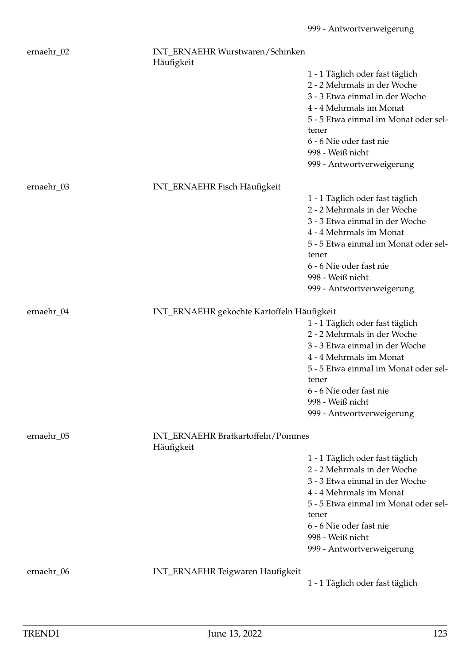| ernaehr_02 | INT_ERNAEHR Wurstwaren/Schinken<br>Häufigkeit   |                                                               |
|------------|-------------------------------------------------|---------------------------------------------------------------|
|            |                                                 | 1 - 1 Täglich oder fast täglich                               |
|            |                                                 | 2 - 2 Mehrmals in der Woche                                   |
|            |                                                 | 3 - 3 Etwa einmal in der Woche                                |
|            |                                                 | 4 - 4 Mehrmals im Monat                                       |
|            |                                                 | 5 - 5 Etwa einmal im Monat oder sel-                          |
|            |                                                 | tener<br>6 - 6 Nie oder fast nie                              |
|            |                                                 | 998 - Weiß nicht                                              |
|            |                                                 | 999 - Antwortverweigerung                                     |
|            |                                                 |                                                               |
| ernaehr_03 | INT_ERNAEHR Fisch Häufigkeit                    |                                                               |
|            |                                                 | 1 - 1 Täglich oder fast täglich                               |
|            |                                                 | 2 - 2 Mehrmals in der Woche<br>3 - 3 Etwa einmal in der Woche |
|            |                                                 | 4 - 4 Mehrmals im Monat                                       |
|            |                                                 | 5 - 5 Etwa einmal im Monat oder sel-                          |
|            |                                                 | tener                                                         |
|            |                                                 | 6 - 6 Nie oder fast nie                                       |
|            |                                                 | 998 - Weiß nicht                                              |
|            |                                                 | 999 - Antwortverweigerung                                     |
| ernaehr_04 | INT_ERNAEHR gekochte Kartoffeln Häufigkeit      |                                                               |
|            |                                                 | 1 - 1 Täglich oder fast täglich                               |
|            |                                                 | 2 - 2 Mehrmals in der Woche                                   |
|            |                                                 | 3 - 3 Etwa einmal in der Woche                                |
|            |                                                 | 4 - 4 Mehrmals im Monat                                       |
|            |                                                 | 5 - 5 Etwa einmal im Monat oder sel-                          |
|            |                                                 | tener                                                         |
|            |                                                 | 6 - 6 Nie oder fast nie<br>998 - Weiß nicht                   |
|            |                                                 | 999 - Antwortverweigerung                                     |
|            |                                                 |                                                               |
| ernaehr_05 | INT_ERNAEHR Bratkartoffeln/Pommes<br>Häufigkeit |                                                               |
|            |                                                 | 1 - 1 Täglich oder fast täglich                               |
|            |                                                 | 2 - 2 Mehrmals in der Woche                                   |
|            |                                                 | 3 - 3 Etwa einmal in der Woche                                |
|            |                                                 | 4 - 4 Mehrmals im Monat                                       |
|            |                                                 | 5 - 5 Etwa einmal im Monat oder sel-<br>tener                 |
|            |                                                 | 6 - 6 Nie oder fast nie                                       |
|            |                                                 | 998 - Weiß nicht                                              |
|            |                                                 | 999 - Antwortverweigerung                                     |
| ernaehr_06 | INT_ERNAEHR Teigwaren Häufigkeit                |                                                               |
|            |                                                 | 1 - 1 Täglich oder fast täglich                               |
|            |                                                 |                                                               |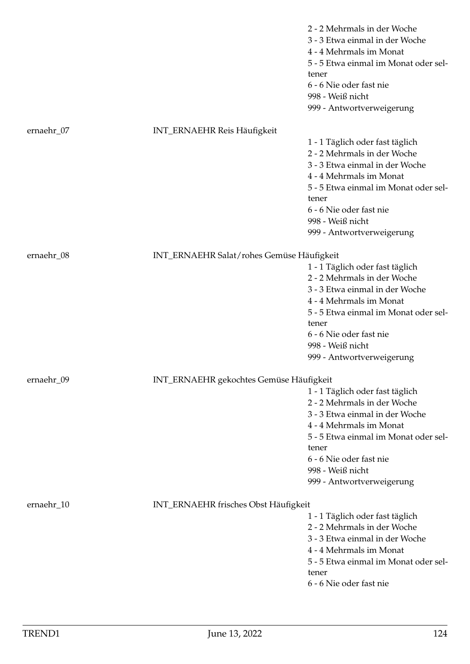|            |                                           | 2 - 2 Mehrmals in der Woche<br>3 - 3 Etwa einmal in der Woche<br>4 - 4 Mehrmals im Monat<br>5 - 5 Etwa einmal im Monat oder sel-<br>tener<br>6 - 6 Nie oder fast nie<br>998 - Weiß nicht<br>999 - Antwortverweigerung |
|------------|-------------------------------------------|-----------------------------------------------------------------------------------------------------------------------------------------------------------------------------------------------------------------------|
| ernaehr_07 | <b>INT_ERNAEHR Reis Häufigkeit</b>        |                                                                                                                                                                                                                       |
|            |                                           | 1 - 1 Täglich oder fast täglich                                                                                                                                                                                       |
|            |                                           | 2 - 2 Mehrmals in der Woche<br>3 - 3 Etwa einmal in der Woche                                                                                                                                                         |
|            |                                           | 4 - 4 Mehrmals im Monat                                                                                                                                                                                               |
|            |                                           | 5 - 5 Etwa einmal im Monat oder sel-                                                                                                                                                                                  |
|            |                                           | tener                                                                                                                                                                                                                 |
|            |                                           | 6 - 6 Nie oder fast nie                                                                                                                                                                                               |
|            |                                           | 998 - Weiß nicht                                                                                                                                                                                                      |
|            |                                           | 999 - Antwortverweigerung                                                                                                                                                                                             |
| ernaehr_08 | INT_ERNAEHR Salat/rohes Gemüse Häufigkeit |                                                                                                                                                                                                                       |
|            |                                           | 1 - 1 Täglich oder fast täglich                                                                                                                                                                                       |
|            |                                           | 2 - 2 Mehrmals in der Woche                                                                                                                                                                                           |
|            |                                           | 3 - 3 Etwa einmal in der Woche                                                                                                                                                                                        |
|            |                                           | 4 - 4 Mehrmals im Monat                                                                                                                                                                                               |
|            |                                           | 5 - 5 Etwa einmal im Monat oder sel-<br>tener                                                                                                                                                                         |
|            |                                           | 6 - 6 Nie oder fast nie                                                                                                                                                                                               |
|            |                                           | 998 - Weiß nicht                                                                                                                                                                                                      |
|            |                                           | 999 - Antwortverweigerung                                                                                                                                                                                             |
| ernaehr_09 | INT_ERNAEHR gekochtes Gemüse Häufigkeit   |                                                                                                                                                                                                                       |
|            |                                           | 1 - 1 Täglich oder fast täglich                                                                                                                                                                                       |
|            |                                           | 2 - 2 Mehrmals in der Woche                                                                                                                                                                                           |
|            |                                           | 3 - 3 Etwa einmal in der Woche                                                                                                                                                                                        |
|            |                                           | 4 - 4 Mehrmals im Monat                                                                                                                                                                                               |
|            |                                           | 5 - 5 Etwa einmal im Monat oder sel-<br>tener                                                                                                                                                                         |
|            |                                           | 6 - 6 Nie oder fast nie                                                                                                                                                                                               |
|            |                                           | 998 - Weiß nicht                                                                                                                                                                                                      |
|            |                                           | 999 - Antwortverweigerung                                                                                                                                                                                             |
|            |                                           |                                                                                                                                                                                                                       |
| ernaehr_10 | INT_ERNAEHR frisches Obst Häufigkeit      |                                                                                                                                                                                                                       |
|            |                                           | 1 - 1 Täglich oder fast täglich<br>2 - 2 Mehrmals in der Woche                                                                                                                                                        |
|            |                                           | 3 - 3 Etwa einmal in der Woche                                                                                                                                                                                        |
|            |                                           | 4 - 4 Mehrmals im Monat                                                                                                                                                                                               |
|            |                                           | 5 - 5 Etwa einmal im Monat oder sel-                                                                                                                                                                                  |
|            |                                           | tener                                                                                                                                                                                                                 |
|            |                                           | 6 - 6 Nie oder fast nie                                                                                                                                                                                               |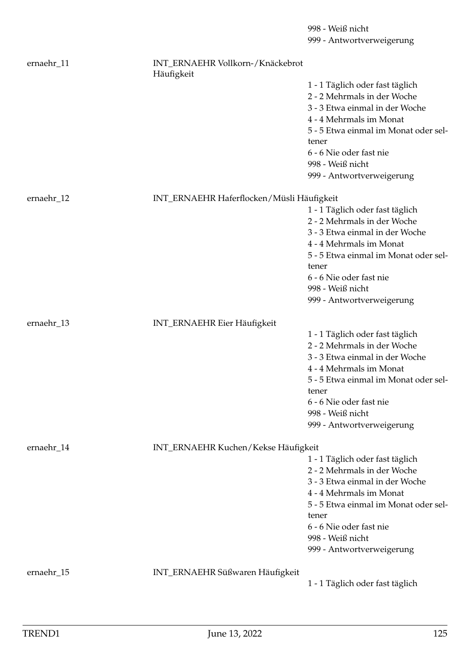|            |                                           | 999 - Antwortverweigerung                   |  |
|------------|-------------------------------------------|---------------------------------------------|--|
| ernaehr_11 | INT_ERNAEHR Vollkorn-/Knäckebrot          |                                             |  |
|            | Häufigkeit                                | 1 - 1 Täglich oder fast täglich             |  |
|            |                                           | 2 - 2 Mehrmals in der Woche                 |  |
|            |                                           | 3 - 3 Etwa einmal in der Woche              |  |
|            |                                           | 4 - 4 Mehrmals im Monat                     |  |
|            |                                           | 5 - 5 Etwa einmal im Monat oder sel-        |  |
|            |                                           | tener                                       |  |
|            |                                           | 6 - 6 Nie oder fast nie                     |  |
|            |                                           | 998 - Weiß nicht                            |  |
|            |                                           | 999 - Antwortverweigerung                   |  |
| ernaehr_12 | INT_ERNAEHR Haferflocken/Müsli Häufigkeit |                                             |  |
|            |                                           | 1 - 1 Täglich oder fast täglich             |  |
|            |                                           | 2 - 2 Mehrmals in der Woche                 |  |
|            |                                           | 3 - 3 Etwa einmal in der Woche              |  |
|            |                                           | 4 - 4 Mehrmals im Monat                     |  |
|            |                                           | 5 - 5 Etwa einmal im Monat oder sel-        |  |
|            |                                           | tener                                       |  |
|            |                                           | 6 - 6 Nie oder fast nie                     |  |
|            |                                           | 998 - Weiß nicht                            |  |
|            |                                           | 999 - Antwortverweigerung                   |  |
| ernaehr_13 | INT_ERNAEHR Eier Häufigkeit               |                                             |  |
|            |                                           | 1 - 1 Täglich oder fast täglich             |  |
|            |                                           | 2 - 2 Mehrmals in der Woche                 |  |
|            |                                           | 3 - 3 Etwa einmal in der Woche              |  |
|            |                                           | 4 - 4 Mehrmals im Monat                     |  |
|            |                                           | 5 - 5 Etwa einmal im Monat oder sel-        |  |
|            |                                           | tener                                       |  |
|            |                                           | 6 - 6 Nie oder fast nie<br>998 - Weiß nicht |  |
|            |                                           | 999 - Antwortverweigerung                   |  |
|            |                                           |                                             |  |
| ernaehr_14 |                                           | INT_ERNAEHR Kuchen/Kekse Häufigkeit         |  |
|            |                                           | 1 - 1 Täglich oder fast täglich             |  |
|            |                                           | 2 - 2 Mehrmals in der Woche                 |  |
|            |                                           | 3 - 3 Etwa einmal in der Woche              |  |
|            |                                           | 4 - 4 Mehrmals im Monat                     |  |
|            |                                           | 5 - 5 Etwa einmal im Monat oder sel-        |  |
|            |                                           | tener                                       |  |
|            |                                           | 6 - 6 Nie oder fast nie                     |  |
|            |                                           | 998 - Weiß nicht                            |  |
|            |                                           | 999 - Antwortverweigerung                   |  |
| ernaehr_15 | INT_ERNAEHR Süßwaren Häufigkeit           |                                             |  |
|            |                                           | 1 - 1 Täglich oder fast täglich             |  |
|            |                                           |                                             |  |

998 - Weiß nicht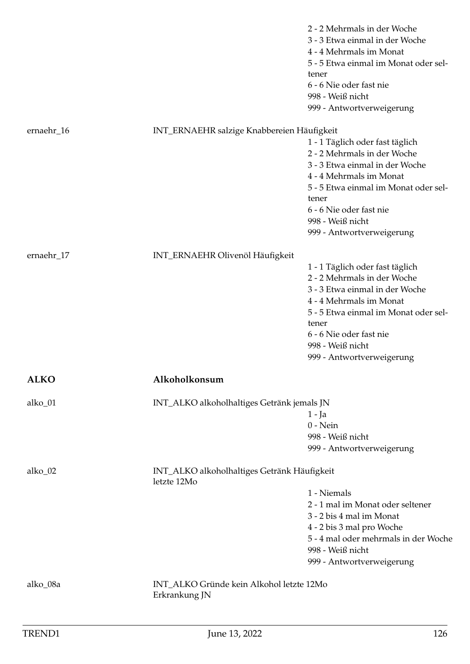|             |                                                            | 2 - 2 Mehrmals in der Woche<br>3 - 3 Etwa einmal in der Woche<br>4 - 4 Mehrmals im Monat<br>5 - 5 Etwa einmal im Monat oder sel-<br>tener<br>6 - 6 Nie oder fast nie<br>998 - Weiß nicht<br>999 - Antwortverweigerung                                    |
|-------------|------------------------------------------------------------|----------------------------------------------------------------------------------------------------------------------------------------------------------------------------------------------------------------------------------------------------------|
| ernaehr_16  | INT_ERNAEHR salzige Knabbereien Häufigkeit                 |                                                                                                                                                                                                                                                          |
|             |                                                            | 1 - 1 Täglich oder fast täglich<br>2 - 2 Mehrmals in der Woche<br>3 - 3 Etwa einmal in der Woche<br>4 - 4 Mehrmals im Monat<br>5 - 5 Etwa einmal im Monat oder sel-<br>tener<br>6 - 6 Nie oder fast nie<br>998 - Weiß nicht<br>999 - Antwortverweigerung |
| ernaehr_17  | INT_ERNAEHR Olivenöl Häufigkeit                            |                                                                                                                                                                                                                                                          |
|             |                                                            | 1 - 1 Täglich oder fast täglich<br>2 - 2 Mehrmals in der Woche<br>3 - 3 Etwa einmal in der Woche<br>4 - 4 Mehrmals im Monat<br>5 - 5 Etwa einmal im Monat oder sel-<br>tener<br>6 - 6 Nie oder fast nie<br>998 - Weiß nicht<br>999 - Antwortverweigerung |
| <b>ALKO</b> | Alkoholkonsum                                              |                                                                                                                                                                                                                                                          |
| alko_01     | INT_ALKO alkoholhaltiges Getränk jemals JN                 | $1 - Ja$<br>$0$ - Nein<br>998 - Weiß nicht<br>999 - Antwortverweigerung                                                                                                                                                                                  |
| alko_02     | INT_ALKO alkoholhaltiges Getränk Häufigkeit<br>letzte 12Mo |                                                                                                                                                                                                                                                          |
|             |                                                            | 1 - Niemals<br>2 - 1 mal im Monat oder seltener<br>3 - 2 bis 4 mal im Monat<br>4 - 2 bis 3 mal pro Woche<br>5 - 4 mal oder mehrmals in der Woche<br>998 - Weiß nicht<br>999 - Antwortverweigerung                                                        |
| alko_08a    | INT_ALKO Gründe kein Alkohol letzte 12Mo<br>Erkrankung JN  |                                                                                                                                                                                                                                                          |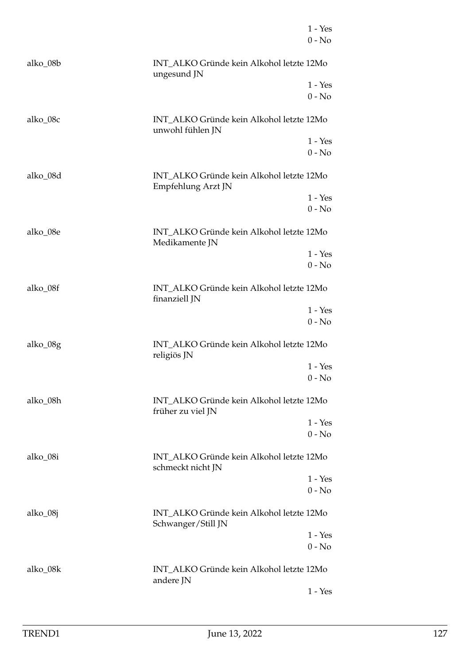|          |                                                                | $1 - Yes$<br>$0 - No$ |
|----------|----------------------------------------------------------------|-----------------------|
| alko_08b | INT_ALKO Gründe kein Alkohol letzte 12Mo<br>ungesund JN        |                       |
|          |                                                                | $1 - Yes$<br>$0 - No$ |
| alko_08c | INT_ALKO Gründe kein Alkohol letzte 12Mo<br>unwohl fühlen JN   |                       |
|          |                                                                | $1 - Yes$<br>$0 - No$ |
| alko_08d | INT_ALKO Gründe kein Alkohol letzte 12Mo<br>Empfehlung Arzt JN |                       |
|          |                                                                | $1 - Yes$<br>$0 - No$ |
| alko_08e | INT_ALKO Gründe kein Alkohol letzte 12Mo<br>Medikamente JN     |                       |
|          |                                                                | $1 - Yes$<br>$0 - No$ |
| alko_08f | INT_ALKO Gründe kein Alkohol letzte 12Mo<br>finanziell JN      |                       |
|          |                                                                | $1 - Yes$<br>$0 - No$ |
| alko_08g | INT ALKO Gründe kein Alkohol letzte 12Mo<br>religiös JN        |                       |
|          |                                                                | $1 - Yes$<br>$0 - No$ |
| alko_08h | INT_ALKO Gründe kein Alkohol letzte 12Mo<br>früher zu viel JN  |                       |
|          |                                                                | $1 - Yes$<br>$0 - No$ |
| alko_08i | INT ALKO Gründe kein Alkohol letzte 12Mo<br>schmeckt nicht JN  |                       |
|          |                                                                | $1 - Yes$<br>$0 - No$ |
| alko_08j | INT_ALKO Gründe kein Alkohol letzte 12Mo<br>Schwanger/Still JN |                       |
|          |                                                                | $1 - Yes$<br>$0 - No$ |
| alko_08k | INT_ALKO Gründe kein Alkohol letzte 12Mo<br>andere JN          |                       |
|          |                                                                | $1 - Yes$             |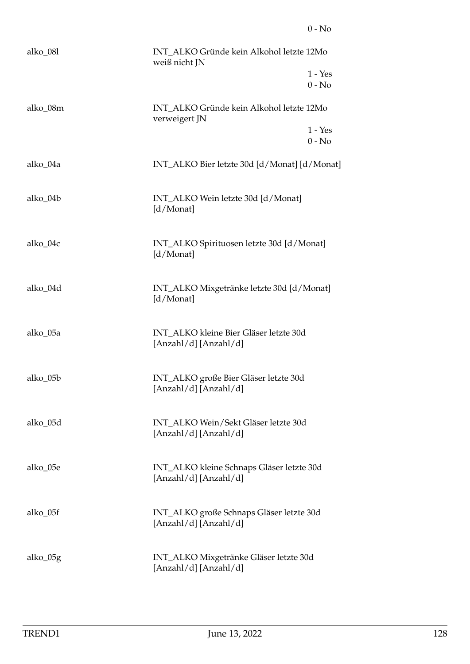| alko_08l | INT_ALKO Gründe kein Alkohol letzte 12Mo<br>weiß nicht JN          |                       |
|----------|--------------------------------------------------------------------|-----------------------|
|          |                                                                    | $1 - Yes$<br>$0 - No$ |
|          |                                                                    |                       |
| alko_08m | INT_ALKO Gründe kein Alkohol letzte 12Mo<br>verweigert JN          |                       |
|          |                                                                    | $1 - Yes$<br>$0 - No$ |
| alko_04a | INT_ALKO Bier letzte 30d [d/Monat] [d/Monat]                       |                       |
| alko_04b | INT_ALKO Wein letzte 30d [d/Monat]<br>[d/Monat]                    |                       |
| alko_04c | INT_ALKO Spirituosen letzte 30d [d/Monat]<br>[d/Monat]             |                       |
| alko_04d | INT_ALKO Mixgetränke letzte 30d [d/Monat]<br>[d/Monat]             |                       |
| alko_05a | INT_ALKO kleine Bier Gläser letzte 30d<br>[Anzahl/d] [Anzahl/d]    |                       |
| alko_05b | INT_ALKO große Bier Gläser letzte 30d<br>[Anzahl/d] [Anzahl/d]     |                       |
| alko_05d | INT_ALKO Wein/Sekt Gläser letzte 30d<br>[Anzahl/d] [Anzahl/d]      |                       |
| alko 05e | INT_ALKO kleine Schnaps Gläser letzte 30d<br>[Anzahl/d] [Anzahl/d] |                       |
| alko_05f | INT_ALKO große Schnaps Gläser letzte 30d<br>[Anzahl/d] [Anzahl/d]  |                       |
| alko_05g | INT_ALKO Mixgetränke Gläser letzte 30d<br>[Anzahl/d] [Anzahl/d]    |                       |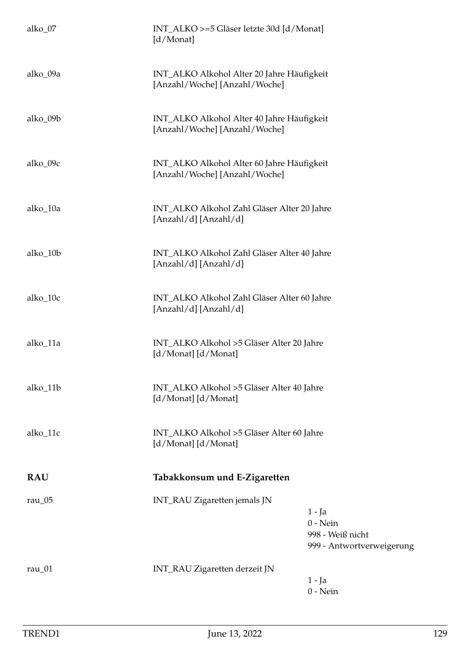| alko_07         | INT_ALKO >=5 Gläser letzte 30d [d/Monat]<br>[d/Monat]                                                   |  |
|-----------------|---------------------------------------------------------------------------------------------------------|--|
| alko_09a        | INT_ALKO Alkohol Alter 20 Jahre Häufigkeit<br>[Anzahl/Woche] [Anzahl/Woche]                             |  |
| alko_09b        | INT_ALKO Alkohol Alter 40 Jahre Häufigkeit<br>[Anzahl/Woche] [Anzahl/Woche]                             |  |
| alko_09c        | INT_ALKO Alkohol Alter 60 Jahre Häufigkeit<br>[Anzahl/Woche] [Anzahl/Woche]                             |  |
| alko_10a        | INT_ALKO Alkohol Zahl Gläser Alter 20 Jahre<br>[Anzahl/d] [Anzahl/d]                                    |  |
| alko_10b        | INT_ALKO Alkohol Zahl Gläser Alter 40 Jahre<br>[Anzahl/d] [Anzahl/d]                                    |  |
| alko_10c        | INT_ALKO Alkohol Zahl Gläser Alter 60 Jahre<br>[Anzahl/d] [Anzahl/d]                                    |  |
| alko_11a        | INT_ALKO Alkohol >5 Gläser Alter 20 Jahre<br>[d/Monat] [d/Monat]                                        |  |
| alko_11b        | INT_ALKO Alkohol >5 Gläser Alter 40 Jahre<br>[d/Monat] [d/Monat]                                        |  |
| alko_11c        | INT_ALKO Alkohol >5 Gläser Alter 60 Jahre<br>[d/Monat] [d/Monat]                                        |  |
| <b>RAU</b>      | Tabakkonsum und E-Zigaretten                                                                            |  |
| rau $\sqrt{05}$ | INT_RAU Zigaretten jemals JN<br>$1 - Ja$<br>$0$ - Nein<br>998 - Weiß nicht<br>999 - Antwortverweigerung |  |
| rau $_01$       | INT_RAU Zigaretten derzeit JN<br>$1 - Ja$<br>$0$ - Nein                                                 |  |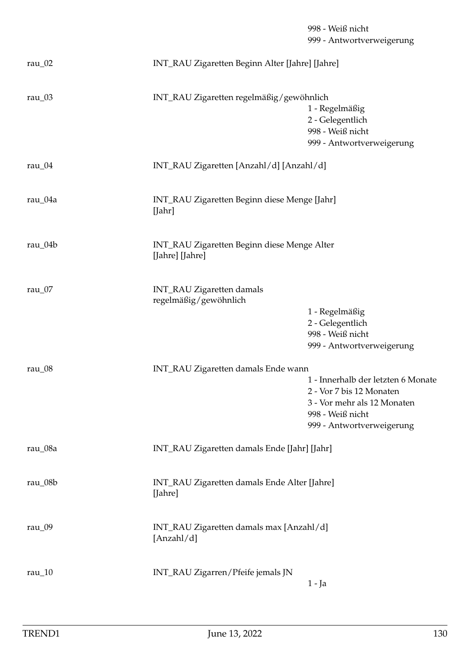998 - Weiß nicht 999 - Antwortverweigerung rau\_02 INT\_RAU Zigaretten Beginn Alter [Jahre] [Jahre] rau\_03 INT\_RAU Zigaretten regelmäßig/gewöhnlich 1 - Regelmäßig 2 - Gelegentlich 998 - Weiß nicht 999 - Antwortverweigerung rau\_04 INT\_RAU Zigaretten [Anzahl/d] [Anzahl/d] rau\_04a INT\_RAU Zigaretten Beginn diese Menge [Jahr] [Jahr] rau\_04b INT\_RAU Zigaretten Beginn diese Menge Alter [Jahre] [Jahre] rau\_07 INT\_RAU Zigaretten damals regelmäßig/gewöhnlich 1 - Regelmäßig 2 - Gelegentlich 998 - Weiß nicht 999 - Antwortverweigerung rau\_08 INT\_RAU Zigaretten damals Ende wann 1 - Innerhalb der letzten 6 Monate 2 - Vor 7 bis 12 Monaten 3 - Vor mehr als 12 Monaten 998 - Weiß nicht 999 - Antwortverweigerung rau\_08a INT\_RAU Zigaretten damals Ende [Jahr] [Jahr] rau\_08b INT\_RAU Zigaretten damals Ende Alter [Jahre] [Jahre] rau\_09 INT\_RAU Zigaretten damals max [Anzahl/d] [Anzahl/d]

rau\_10 INT\_RAU Zigarren/Pfeife jemals JN 1 - Ja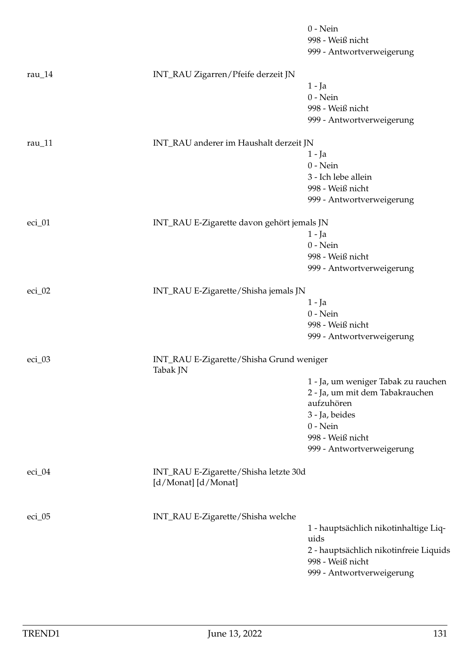|           |                                                              | $0$ - Nein                             |
|-----------|--------------------------------------------------------------|----------------------------------------|
|           |                                                              | 998 - Weiß nicht                       |
|           |                                                              | 999 - Antwortverweigerung              |
| rau $_14$ | INT_RAU Zigarren/Pfeife derzeit JN                           |                                        |
|           |                                                              | $1 - Ja$                               |
|           |                                                              | $0$ - Nein                             |
|           |                                                              | 998 - Weiß nicht                       |
|           |                                                              | 999 - Antwortverweigerung              |
| rau $11$  | INT_RAU anderer im Haushalt derzeit JN                       |                                        |
|           |                                                              | 1 - Ja                                 |
|           |                                                              | $0$ - Nein                             |
|           |                                                              | 3 - Ich lebe allein                    |
|           |                                                              | 998 - Weiß nicht                       |
|           |                                                              | 999 - Antwortverweigerung              |
| eci_01    | INT_RAU E-Zigarette davon gehört jemals JN                   |                                        |
|           |                                                              | $1 - Ja$                               |
|           |                                                              | $0$ - Nein                             |
|           |                                                              | 998 - Weiß nicht                       |
|           |                                                              | 999 - Antwortverweigerung              |
| $eci_02$  | INT_RAU E-Zigarette/Shisha jemals JN                         |                                        |
|           |                                                              | $1 - Ja$                               |
|           |                                                              | $0$ - Nein                             |
|           |                                                              | 998 - Weiß nicht                       |
|           |                                                              | 999 - Antwortverweigerung              |
| $eci_03$  | INT_RAU E-Zigarette/Shisha Grund weniger<br>Tabak JN         |                                        |
|           |                                                              | 1 - Ja, um weniger Tabak zu rauchen    |
|           |                                                              | 2 - Ja, um mit dem Tabakrauchen        |
|           |                                                              | aufzuhören                             |
|           |                                                              | 3 - Ja, beides                         |
|           |                                                              | $0$ - Nein                             |
|           |                                                              | 998 - Weiß nicht                       |
|           |                                                              | 999 - Antwortverweigerung              |
| $eci_04$  | INT_RAU E-Zigarette/Shisha letzte 30d<br>[d/Monat] [d/Monat] |                                        |
|           |                                                              |                                        |
| $eci_05$  | INT_RAU E-Zigarette/Shisha welche                            |                                        |
|           |                                                              | 1 - hauptsächlich nikotinhaltige Liq-  |
|           |                                                              | uids                                   |
|           |                                                              | 2 - hauptsächlich nikotinfreie Liquids |
|           |                                                              | 998 - Weiß nicht                       |
|           |                                                              | 999 - Antwortverweigerung              |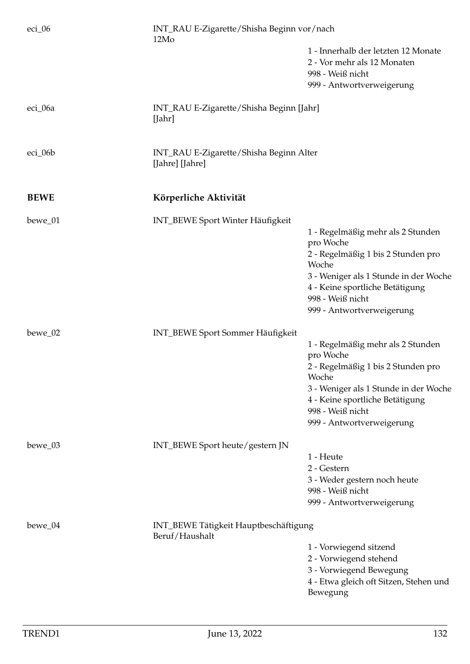| $eci_06$    | INT_RAU E-Zigarette/Shisha Beginn vor/nach<br>12Mo         |                                                                                        |
|-------------|------------------------------------------------------------|----------------------------------------------------------------------------------------|
|             |                                                            | 1 - Innerhalb der letzten 12 Monate<br>2 - Vor mehr als 12 Monaten<br>998 - Weiß nicht |
|             |                                                            | 999 - Antwortverweigerung                                                              |
| eci_06a     | INT_RAU E-Zigarette/Shisha Beginn [Jahr]<br>[Jahr]         |                                                                                        |
| eci_06b     | INT_RAU E-Zigarette/Shisha Beginn Alter<br>[Jahre] [Jahre] |                                                                                        |
| <b>BEWE</b> | Körperliche Aktivität                                      |                                                                                        |
| bewe_01     | INT_BEWE Sport Winter Häufigkeit                           |                                                                                        |
|             |                                                            | 1 - Regelmäßig mehr als 2 Stunden<br>pro Woche                                         |
|             |                                                            | 2 - Regelmäßig 1 bis 2 Stunden pro<br>Woche                                            |
|             |                                                            | 3 - Weniger als 1 Stunde in der Woche                                                  |
|             |                                                            | 4 - Keine sportliche Betätigung<br>998 - Weiß nicht                                    |
|             |                                                            | 999 - Antwortverweigerung                                                              |
| bewe_02     | INT_BEWE Sport Sommer Häufigkeit                           |                                                                                        |
|             |                                                            | 1 - Regelmäßig mehr als 2 Stunden<br>pro Woche                                         |
|             |                                                            | 2 - Regelmäßig 1 bis 2 Stunden pro<br>Woche                                            |
|             |                                                            | 3 - Weniger als 1 Stunde in der Woche<br>4 - Keine sportliche Betätigung               |
|             |                                                            | 998 - Weiß nicht                                                                       |
|             |                                                            | 999 - Antwortverweigerung                                                              |
| bewe_03     | INT_BEWE Sport heute/gestern JN                            |                                                                                        |
|             |                                                            | 1 - Heute<br>2 - Gestern                                                               |
|             |                                                            | 3 - Weder gestern noch heute                                                           |
|             |                                                            | 998 - Weiß nicht                                                                       |
|             |                                                            | 999 - Antwortverweigerung                                                              |
| $bewe_04$   | INT_BEWE Tätigkeit Hauptbeschäftigung<br>Beruf/Haushalt    |                                                                                        |
|             |                                                            | 1 - Vorwiegend sitzend                                                                 |
|             |                                                            | 2 - Vorwiegend stehend                                                                 |
|             |                                                            | 3 - Vorwiegend Bewegung<br>4 - Etwa gleich oft Sitzen, Stehen und<br>Bewegung          |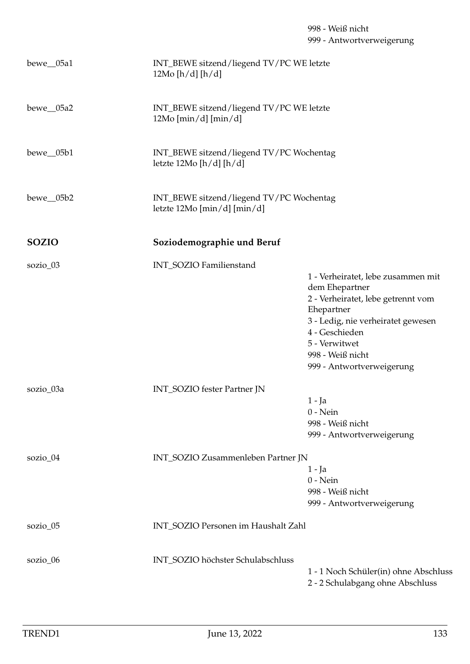| $bewe_05a1$  | INT_BEWE sitzend/liegend TV/PC WE letzte<br>12Mo [h/d] [h/d]                |                                                                                                                                                                                                                                    |
|--------------|-----------------------------------------------------------------------------|------------------------------------------------------------------------------------------------------------------------------------------------------------------------------------------------------------------------------------|
| $bewe_05a2$  | INT_BEWE sitzend/liegend TV/PC WE letzte<br>$12Mo$ [min/d] [min/d]          |                                                                                                                                                                                                                                    |
| $bewe_05b1$  | INT_BEWE sitzend/liegend TV/PC Wochentag<br>letzte 12Mo [ $h/d$ ] [ $h/d$ ] |                                                                                                                                                                                                                                    |
| bewe_05b2    | INT_BEWE sitzend/liegend TV/PC Wochentag<br>letzte 12Mo [min/d] [min/d]     |                                                                                                                                                                                                                                    |
| <b>SOZIO</b> | Soziodemographie und Beruf                                                  |                                                                                                                                                                                                                                    |
| sozio_03     | INT_SOZIO Familienstand                                                     | 1 - Verheiratet, lebe zusammen mit<br>dem Ehepartner<br>2 - Verheiratet, lebe getrennt vom<br>Ehepartner<br>3 - Ledig, nie verheiratet gewesen<br>4 - Geschieden<br>5 - Verwitwet<br>998 - Weiß nicht<br>999 - Antwortverweigerung |
| sozio_03a    | INT_SOZIO fester Partner JN                                                 | 1 - Ja<br>$0 - Nein$<br>998 - Weiß nicht<br>999 - Antwortverweigerung                                                                                                                                                              |
| sozio_04     | INT_SOZIO Zusammenleben Partner JN                                          | 1 - Ja<br>$0 - Nein$<br>998 - Weiß nicht<br>999 - Antwortverweigerung                                                                                                                                                              |
| sozio_05     | INT_SOZIO Personen im Haushalt Zahl                                         |                                                                                                                                                                                                                                    |
| sozio_06     | INT_SOZIO höchster Schulabschluss                                           | 1 - 1 Noch Schüler(in) ohne Abschluss<br>2 - 2 Schulabgang ohne Abschluss                                                                                                                                                          |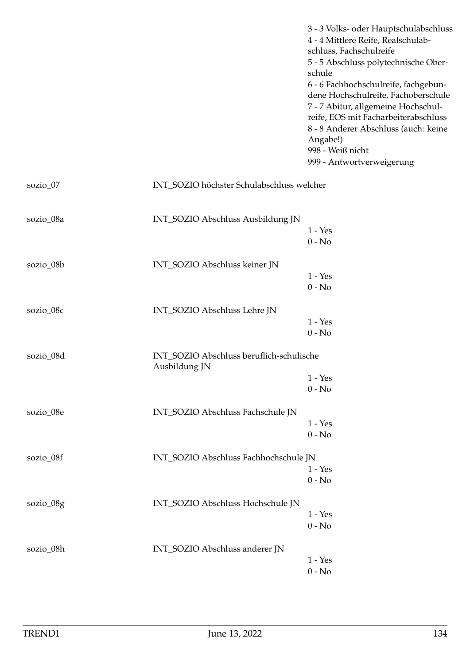|           |                                                           | 3 - 3 Volks- oder Hauptschulabschluss<br>4 - 4 Mittlere Reife, Realschulab-<br>schluss, Fachschulreife<br>5 - 5 Abschluss polytechnische Ober-<br>schule<br>6 - 6 Fachhochschulreife, fachgebun-<br>dene Hochschulreife, Fachoberschule<br>7 - 7 Abitur, allgemeine Hochschul-<br>reife, EOS mit Facharbeiterabschluss<br>8 - 8 Anderer Abschluss (auch: keine<br>Angabe!)<br>998 - Weiß nicht<br>999 - Antwortverweigerung |
|-----------|-----------------------------------------------------------|-----------------------------------------------------------------------------------------------------------------------------------------------------------------------------------------------------------------------------------------------------------------------------------------------------------------------------------------------------------------------------------------------------------------------------|
| sozio_07  | INT_SOZIO höchster Schulabschluss welcher                 |                                                                                                                                                                                                                                                                                                                                                                                                                             |
| sozio_08a | INT_SOZIO Abschluss Ausbildung JN                         | $1 - Yes$<br>$0 - No$                                                                                                                                                                                                                                                                                                                                                                                                       |
| sozio_08b | INT_SOZIO Abschluss keiner JN                             | $1 - Yes$<br>$0 - No$                                                                                                                                                                                                                                                                                                                                                                                                       |
| sozio_08c | INT_SOZIO Abschluss Lehre JN                              | $1 - Yes$<br>$0 - No$                                                                                                                                                                                                                                                                                                                                                                                                       |
| sozio_08d | INT_SOZIO Abschluss beruflich-schulische<br>Ausbildung JN | $1 - Yes$<br>$0 - No$                                                                                                                                                                                                                                                                                                                                                                                                       |
| sozio_08e | INT_SOZIO Abschluss Fachschule JN                         | $1 - Yes$<br>$0 - No$                                                                                                                                                                                                                                                                                                                                                                                                       |
| sozio_08f | INT_SOZIO Abschluss Fachhochschule JN                     | $1 - Yes$<br>$0 - No$                                                                                                                                                                                                                                                                                                                                                                                                       |
| sozio_08g | INT_SOZIO Abschluss Hochschule JN                         | $1 - Yes$<br>$0 - No$                                                                                                                                                                                                                                                                                                                                                                                                       |
| sozio_08h | INT_SOZIO Abschluss anderer JN                            | $1 - Yes$<br>$0$ - $\hbox{No}$                                                                                                                                                                                                                                                                                                                                                                                              |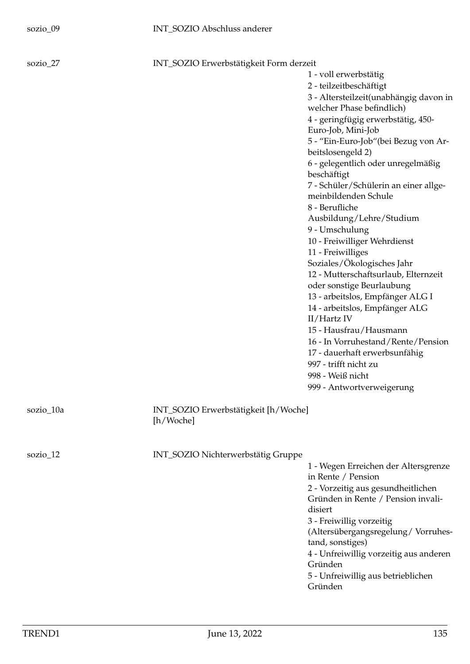1 - voll erwerbstätig 2 - teilzeitbeschäftigt 3 - Altersteilzeit(unabhängig davon in welcher Phase befindlich) 4 - geringfügig erwerbstätig, 450- Euro-Job, Mini-Job 5 - "Ein-Euro-Job"(bei Bezug von Arbeitslosengeld 2) 6 - gelegentlich oder unregelmäßig beschäftigt 7 - Schüler/Schülerin an einer allgemeinbildenden Schule 8 - Berufliche Ausbildung/Lehre/Studium 9 - Umschulung 10 - Freiwilliger Wehrdienst 11 - Freiwilliges Soziales/Ökologisches Jahr 12 - Mutterschaftsurlaub, Elternzeit oder sonstige Beurlaubung 13 - arbeitslos, Empfänger ALG I 14 - arbeitslos, Empfänger ALG II/Hartz IV 15 - Hausfrau/Hausmann 16 - In Vorruhestand/Rente/Pension 17 - dauerhaft erwerbsunfähig 997 - trifft nicht zu 998 - Weiß nicht 999 - Antwortverweigerung

sozio\_10a INT\_SOZIO Erwerbstätigkeit [h/Woche] [h/Woche]

sozio\_12 INT\_SOZIO Nichterwerbstätig Gruppe

1 - Wegen Erreichen der Altersgrenze in Rente / Pension 2 - Vorzeitig aus gesundheitlichen Gründen in Rente / Pension invalidisiert 3 - Freiwillig vorzeitig (Altersübergangsregelung/ Vorruhestand, sonstiges) 4 - Unfreiwillig vorzeitig aus anderen Gründen 5 - Unfreiwillig aus betrieblichen Gründen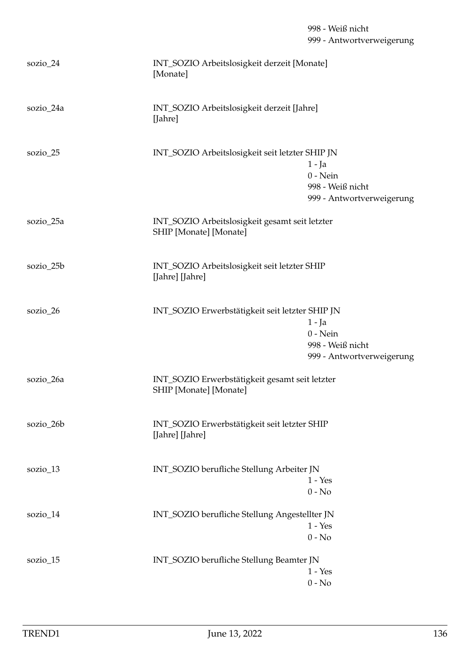## 998 - Weiß nicht 999 - Antwortverweigerung

| sozio_24   | INT_SOZIO Arbeitslosigkeit derzeit [Monate]<br>[Monate]                                                                    |
|------------|----------------------------------------------------------------------------------------------------------------------------|
| sozio_24a  | INT_SOZIO Arbeitslosigkeit derzeit [Jahre]<br>[Jahre]                                                                      |
| sozio_25   | INT_SOZIO Arbeitslosigkeit seit letzter SHIP JN<br>$1 - Ja$<br>$0$ - Nein<br>998 - Weiß nicht<br>999 - Antwortverweigerung |
| sozio_25a  | INT_SOZIO Arbeitslosigkeit gesamt seit letzter<br>SHIP [Monate] [Monate]                                                   |
| sozio_25b  | INT_SOZIO Arbeitslosigkeit seit letzter SHIP<br>[Jahre] [Jahre]                                                            |
| sozio_26   | INT_SOZIO Erwerbstätigkeit seit letzter SHIP JN<br>$1 - Ja$<br>$0$ - Nein<br>998 - Weiß nicht<br>999 - Antwortverweigerung |
| sozio_26a  | INT_SOZIO Erwerbstätigkeit gesamt seit letzter<br>SHIP [Monate] [Monate]                                                   |
| sozio_26b  | INT_SOZIO Erwerbstätigkeit seit letzter SHIP<br>[Jahre] [Jahre]                                                            |
| $sozio_13$ | INT_SOZIO berufliche Stellung Arbeiter JN<br>$1 - Yes$<br>$0 - No$                                                         |
| sozio_14   | INT_SOZIO berufliche Stellung Angestellter JN<br>$1 - Yes$<br>$0 - No$                                                     |
| sozio $15$ | INT_SOZIO berufliche Stellung Beamter JN<br>$1 - Yes$<br>$0 - No$                                                          |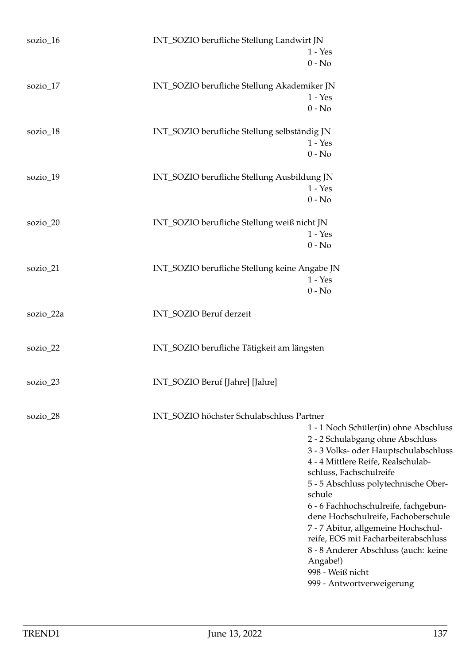| sozio_16  | INT_SOZIO berufliche Stellung Landwirt JN<br>$1 - Yes$        |  |
|-----------|---------------------------------------------------------------|--|
|           | $0 - No$                                                      |  |
| sozio_17  | INT_SOZIO berufliche Stellung Akademiker JN                   |  |
|           | $1 - Yes$                                                     |  |
|           | $0 - No$                                                      |  |
| sozio_18  | INT_SOZIO berufliche Stellung selbständig JN                  |  |
|           | $1 - Yes$                                                     |  |
|           | $0 - No$                                                      |  |
| sozio_19  | INT_SOZIO berufliche Stellung Ausbildung JN                   |  |
|           | $1 - Yes$                                                     |  |
|           | $0 - No$                                                      |  |
| sozio_20  | INT_SOZIO berufliche Stellung weiß nicht JN                   |  |
|           | $1 - Yes$                                                     |  |
|           | $0 - No$                                                      |  |
| sozio_21  | INT_SOZIO berufliche Stellung keine Angabe JN                 |  |
|           | $1 - Yes$                                                     |  |
|           | $0 - No$                                                      |  |
| sozio_22a | INT_SOZIO Beruf derzeit                                       |  |
| sozio_22  | INT_SOZIO berufliche Tätigkeit am längsten                    |  |
| sozio_23  | INT_SOZIO Beruf [Jahre] [Jahre]                               |  |
|           |                                                               |  |
| sozio_28  | INT_SOZIO höchster Schulabschluss Partner                     |  |
|           | 1 - 1 Noch Schüler(in) ohne Abschluss                         |  |
|           | 2 - 2 Schulabgang ohne Abschluss                              |  |
|           | 3 - 3 Volks- oder Hauptschulabschluss                         |  |
|           | 4 - 4 Mittlere Reife, Realschulab-<br>schluss, Fachschulreife |  |
|           | 5 - 5 Abschluss polytechnische Ober-                          |  |
|           | schule                                                        |  |
|           | 6 - 6 Fachhochschulreife, fachgebun-                          |  |
|           | dene Hochschulreife, Fachoberschule                           |  |
|           | 7 - 7 Abitur, allgemeine Hochschul-                           |  |
|           | reife, EOS mit Facharbeiterabschluss                          |  |
|           | 8 - 8 Anderer Abschluss (auch: keine<br>Angabe!)              |  |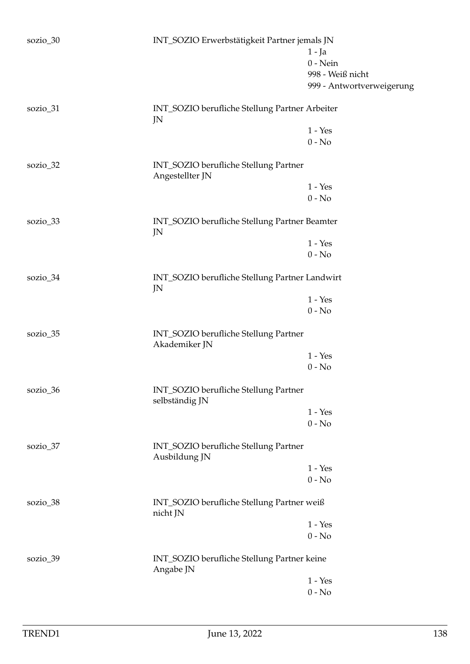| sozio_30<br>INT_SOZIO Erwerbstätigkeit Partner jemals JN |                                                          |                           |
|----------------------------------------------------------|----------------------------------------------------------|---------------------------|
|                                                          |                                                          | $1 - Ja$                  |
|                                                          |                                                          | $0$ - Nein                |
|                                                          |                                                          |                           |
|                                                          |                                                          | 998 - Weiß nicht          |
|                                                          |                                                          | 999 - Antwortverweigerung |
| sozio_31                                                 | INT_SOZIO berufliche Stellung Partner Arbeiter<br>JN     |                           |
|                                                          |                                                          | $1 - Yes$                 |
|                                                          |                                                          | $0 - No$                  |
|                                                          |                                                          |                           |
| sozio_32                                                 | INT_SOZIO berufliche Stellung Partner<br>Angestellter JN |                           |
|                                                          |                                                          | $1 - Yes$                 |
|                                                          |                                                          | $0 - No$                  |
| sozio_33                                                 | INT_SOZIO berufliche Stellung Partner Beamter            |                           |
|                                                          | JN                                                       |                           |
|                                                          |                                                          | $1 - Yes$                 |
|                                                          |                                                          | $0 - No$                  |
| sozio_34                                                 | INT_SOZIO berufliche Stellung Partner Landwirt<br>JN     |                           |
|                                                          |                                                          | $1 - Yes$                 |
|                                                          |                                                          | $0 - No$                  |
| sozio_35                                                 | INT_SOZIO berufliche Stellung Partner<br>Akademiker JN   |                           |
|                                                          |                                                          | $1 - Yes$                 |
|                                                          |                                                          | $0 - No$                  |
|                                                          |                                                          |                           |
| sozio_36                                                 | INT_SOZIO berufliche Stellung Partner<br>selbständig JN  |                           |
|                                                          |                                                          | $1 - Yes$                 |
|                                                          |                                                          | $0 - No$                  |
| sozio_37                                                 | INT_SOZIO berufliche Stellung Partner<br>Ausbildung JN   |                           |
|                                                          |                                                          | $1 - Yes$                 |
|                                                          |                                                          | $0 - No$                  |
| sozio_38                                                 | INT_SOZIO berufliche Stellung Partner weiß<br>nicht JN   |                           |
|                                                          |                                                          | $1 - Yes$                 |
|                                                          |                                                          | $0 - No$                  |
| sozio_39                                                 | INT_SOZIO berufliche Stellung Partner keine              |                           |
|                                                          | Angabe JN                                                |                           |
|                                                          |                                                          | $1 - Yes$                 |
|                                                          |                                                          | $0$ - $\mathrm{No}$       |
|                                                          |                                                          |                           |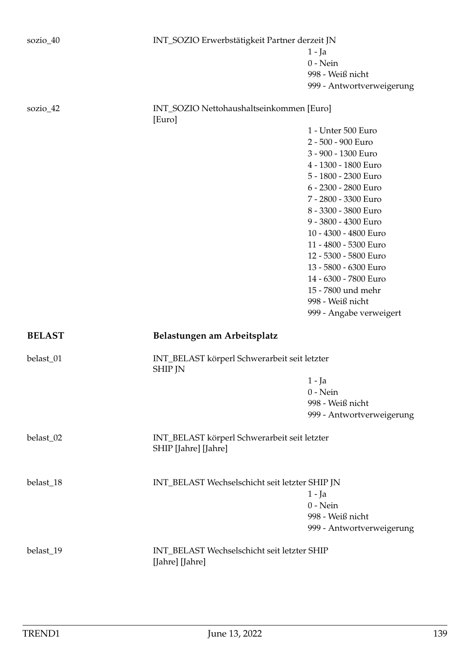| sozio_40      | INT_SOZIO Erwerbstätigkeit Partner derzeit JN                        |                           |
|---------------|----------------------------------------------------------------------|---------------------------|
|               |                                                                      | $1 - Ja$                  |
|               |                                                                      | $0$ - Nein                |
|               |                                                                      | 998 - Weiß nicht          |
|               |                                                                      | 999 - Antwortverweigerung |
| sozio_42      | INT_SOZIO Nettohaushaltseinkommen [Euro]<br>[Euro]                   |                           |
|               |                                                                      | 1 - Unter 500 Euro        |
|               |                                                                      | 2 - 500 - 900 Euro        |
|               |                                                                      | 3 - 900 - 1300 Euro       |
|               |                                                                      | 4 - 1300 - 1800 Euro      |
|               |                                                                      | 5 - 1800 - 2300 Euro      |
|               |                                                                      | 6 - 2300 - 2800 Euro      |
|               |                                                                      | 7 - 2800 - 3300 Euro      |
|               |                                                                      | 8 - 3300 - 3800 Euro      |
|               |                                                                      | 9 - 3800 - 4300 Euro      |
|               |                                                                      | 10 - 4300 - 4800 Euro     |
|               |                                                                      |                           |
|               |                                                                      | 11 - 4800 - 5300 Euro     |
|               |                                                                      | 12 - 5300 - 5800 Euro     |
|               |                                                                      | 13 - 5800 - 6300 Euro     |
|               |                                                                      | 14 - 6300 - 7800 Euro     |
|               |                                                                      | 15 - 7800 und mehr        |
|               |                                                                      | 998 - Weiß nicht          |
|               |                                                                      | 999 - Angabe verweigert   |
| <b>BELAST</b> | Belastungen am Arbeitsplatz                                          |                           |
| belast_01     | INT_BELAST körperl Schwerarbeit seit letzter<br><b>SHIP JN</b>       |                           |
|               |                                                                      | 1 - Ja                    |
|               |                                                                      | $0$ - Nein                |
|               |                                                                      | 998 - Weiß nicht          |
|               |                                                                      | 999 - Antwortverweigerung |
|               |                                                                      |                           |
| belast_02     | INT_BELAST körperl Schwerarbeit seit letzter<br>SHIP [Jahre] [Jahre] |                           |
| belast_18     | INT_BELAST Wechselschicht seit letzter SHIP JN                       |                           |
|               |                                                                      | $1 - Ja$                  |
|               |                                                                      | $0$ - Nein                |
|               |                                                                      | 998 - Weiß nicht          |
|               |                                                                      | 999 - Antwortverweigerung |
| belast_19     | INT_BELAST Wechselschicht seit letzter SHIP                          |                           |
|               | [Jahre] [Jahre]                                                      |                           |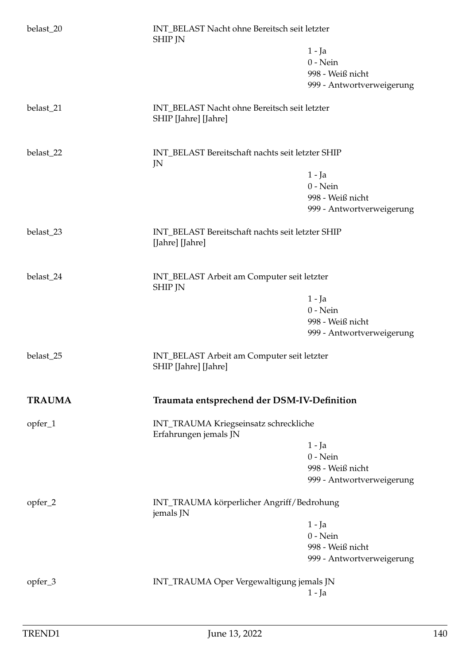| belast_20     | INT_BELAST Nacht ohne Bereitsch seit letzter<br><b>SHIP JN</b>       |                                                  |  |
|---------------|----------------------------------------------------------------------|--------------------------------------------------|--|
|               |                                                                      | $1 - Ja$                                         |  |
|               |                                                                      | $0$ - Nein                                       |  |
|               |                                                                      | 998 - Weiß nicht                                 |  |
|               |                                                                      | 999 - Antwortverweigerung                        |  |
| belast_21     | INT_BELAST Nacht ohne Bereitsch seit letzter<br>SHIP [Jahre] [Jahre] |                                                  |  |
| belast_22     | JN                                                                   | INT_BELAST Bereitschaft nachts seit letzter SHIP |  |
|               |                                                                      | 1 - Ja                                           |  |
|               |                                                                      | $0$ - Nein                                       |  |
|               |                                                                      | 998 - Weiß nicht                                 |  |
|               |                                                                      | 999 - Antwortverweigerung                        |  |
| belast_23     | INT_BELAST Bereitschaft nachts seit letzter SHIP<br>[Jahre] [Jahre]  |                                                  |  |
| belast_24     | INT_BELAST Arbeit am Computer seit letzter<br><b>SHIP JN</b>         |                                                  |  |
|               |                                                                      | 1 - Ja                                           |  |
|               |                                                                      | $0$ - Nein                                       |  |
|               |                                                                      | 998 - Weiß nicht<br>999 - Antwortverweigerung    |  |
| belast_25     | INT_BELAST Arbeit am Computer seit letzter<br>SHIP [Jahre] [Jahre]   |                                                  |  |
| <b>TRAUMA</b> | Traumata entsprechend der DSM-IV-Definition                          |                                                  |  |
| opfer_1       | INT_TRAUMA Kriegseinsatz schreckliche<br>Erfahrungen jemals JN       |                                                  |  |
|               |                                                                      | $1 - Ja$                                         |  |
|               |                                                                      | $0$ - Nein                                       |  |
|               |                                                                      | 998 - Weiß nicht                                 |  |
|               |                                                                      | 999 - Antwortverweigerung                        |  |
| opfer_2       | jemals JN                                                            | INT_TRAUMA körperlicher Angriff/Bedrohung        |  |
|               |                                                                      | $1 - Ja$                                         |  |
|               |                                                                      | $0$ - Nein                                       |  |
|               |                                                                      | 998 - Weiß nicht<br>999 - Antwortverweigerung    |  |
|               |                                                                      |                                                  |  |
| opfer_3       | INT_TRAUMA Oper Vergewaltigung jemals JN                             |                                                  |  |
|               |                                                                      | $1 - Ja$                                         |  |
|               |                                                                      |                                                  |  |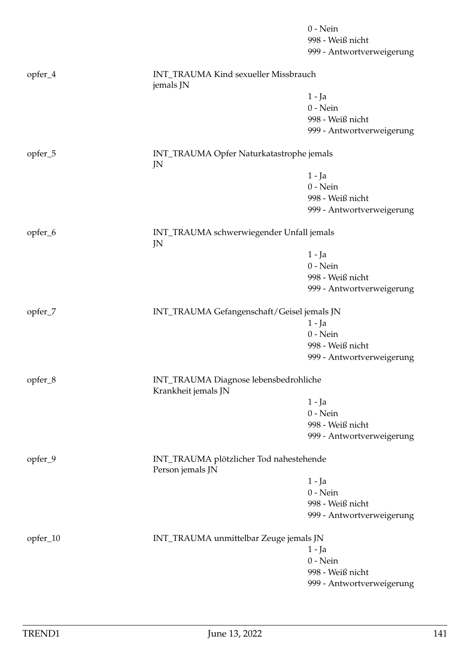|          |                                                              | $0 - Nein$                |
|----------|--------------------------------------------------------------|---------------------------|
|          |                                                              | 998 - Weiß nicht          |
|          |                                                              | 999 - Antwortverweigerung |
| opfer_4  | INT_TRAUMA Kind sexueller Missbrauch<br>jemals JN            |                           |
|          |                                                              | $1 - Ja$                  |
|          |                                                              | $0$ - Nein                |
|          |                                                              | 998 - Weiß nicht          |
|          |                                                              | 999 - Antwortverweigerung |
| opfer_5  | INT_TRAUMA Opfer Naturkatastrophe jemals<br>JN               |                           |
|          |                                                              | $1 - Ja$                  |
|          |                                                              | $0$ - Nein                |
|          |                                                              | 998 - Weiß nicht          |
|          |                                                              | 999 - Antwortverweigerung |
| opfer_6  | INT_TRAUMA schwerwiegender Unfall jemals<br>JN               |                           |
|          |                                                              | $1 - Ja$                  |
|          |                                                              | $0$ - Nein                |
|          |                                                              | 998 - Weiß nicht          |
|          |                                                              | 999 - Antwortverweigerung |
|          |                                                              |                           |
| opfer_7  | INT_TRAUMA Gefangenschaft/Geisel jemals JN                   |                           |
|          |                                                              | $1 - Ja$                  |
|          |                                                              | $0$ - Nein                |
|          |                                                              | 998 - Weiß nicht          |
|          |                                                              | 999 - Antwortverweigerung |
| opfer_8  | INT_TRAUMA Diagnose lebensbedrohliche<br>Krankheit jemals JN |                           |
|          |                                                              | $1 - Ja$                  |
|          |                                                              | $0$ - Nein                |
|          |                                                              | 998 - Weiß nicht          |
|          |                                                              | 999 - Antwortverweigerung |
| opfer_9  | INT_TRAUMA plötzlicher Tod nahestehende<br>Person jemals JN  |                           |
|          |                                                              | $1 - Ja$                  |
|          |                                                              | $0$ - Nein                |
|          |                                                              | 998 - Weiß nicht          |
|          |                                                              | 999 - Antwortverweigerung |
| opfer_10 | INT_TRAUMA unmittelbar Zeuge jemals JN                       |                           |
|          |                                                              | $1 - Ja$                  |
|          |                                                              | $0$ - Nein                |
|          |                                                              | 998 - Weiß nicht          |
|          |                                                              | 999 - Antwortverweigerung |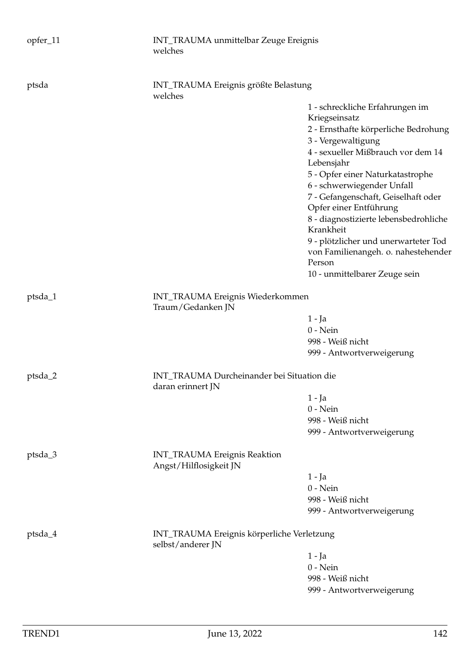| opfer_11 | INT_TRAUMA unmittelbar Zeuge Ereignis<br>welches                |                                                                                             |
|----------|-----------------------------------------------------------------|---------------------------------------------------------------------------------------------|
| ptsda    | INT_TRAUMA Ereignis größte Belastung<br>welches                 |                                                                                             |
|          |                                                                 | 1 - schreckliche Erfahrungen im<br>Kriegseinsatz<br>2 - Ernsthafte körperliche Bedrohung    |
|          |                                                                 | 3 - Vergewaltigung<br>4 - sexueller Mißbrauch vor dem 14                                    |
|          |                                                                 | Lebensjahr<br>5 - Opfer einer Naturkatastrophe                                              |
|          |                                                                 | 6 - schwerwiegender Unfall<br>7 - Gefangenschaft, Geiselhaft oder<br>Opfer einer Entführung |
|          |                                                                 | 8 - diagnostizierte lebensbedrohliche<br>Krankheit                                          |
|          |                                                                 | 9 - plötzlicher und unerwarteter Tod<br>von Familienangeh. o. nahestehender<br>Person       |
|          |                                                                 | 10 - unmittelbarer Zeuge sein                                                               |
| ptsda_1  | INT_TRAUMA Ereignis Wiederkommen<br>Traum/Gedanken JN           |                                                                                             |
|          |                                                                 | 1 - Ja                                                                                      |
|          |                                                                 | $0$ - Nein                                                                                  |
|          |                                                                 | 998 - Weiß nicht<br>999 - Antwortverweigerung                                               |
| ptsda_2  | INT_TRAUMA Durcheinander bei Situation die<br>daran erinnert JN |                                                                                             |
|          |                                                                 | 1 - Ja                                                                                      |
|          |                                                                 | $0$ - Nein                                                                                  |
|          |                                                                 | 998 - Weiß nicht                                                                            |
|          |                                                                 | 999 - Antwortverweigerung                                                                   |
| ptsda_3  | <b>INT_TRAUMA Ereignis Reaktion</b><br>Angst/Hilflosigkeit JN   |                                                                                             |
|          |                                                                 | $1 - Ja$                                                                                    |
|          |                                                                 | $0$ - Nein                                                                                  |
|          |                                                                 | 998 - Weiß nicht                                                                            |
|          |                                                                 | 999 - Antwortverweigerung                                                                   |
| ptsda_4  | INT_TRAUMA Ereignis körperliche Verletzung<br>selbst/anderer JN |                                                                                             |
|          |                                                                 | 1 - Ja                                                                                      |
|          |                                                                 | $0$ - Nein                                                                                  |
|          |                                                                 | 998 - Weiß nicht                                                                            |
|          |                                                                 | 999 - Antwortverweigerung                                                                   |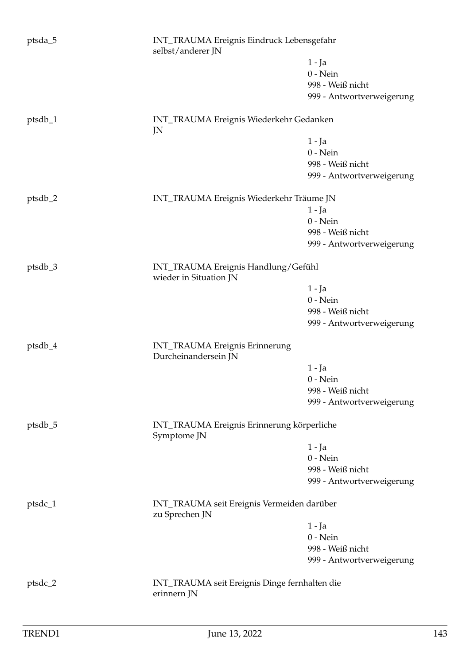| ptsda_5 | INT_TRAUMA Ereignis Eindruck Lebensgefahr<br>selbst/anderer JN |                                            |  |
|---------|----------------------------------------------------------------|--------------------------------------------|--|
|         |                                                                | $1 - Ja$                                   |  |
|         |                                                                | $0$ - Nein                                 |  |
|         |                                                                | 998 - Weiß nicht                           |  |
|         |                                                                | 999 - Antwortverweigerung                  |  |
| ptsdb_1 | INT_TRAUMA Ereignis Wiederkehr Gedanken<br>JN                  |                                            |  |
|         |                                                                | $1 - Ja$                                   |  |
|         |                                                                | $0$ - Nein                                 |  |
|         |                                                                | 998 - Weiß nicht                           |  |
|         |                                                                | 999 - Antwortverweigerung                  |  |
| ptsdb_2 | INT_TRAUMA Ereignis Wiederkehr Träume JN                       |                                            |  |
|         |                                                                | $1 - Ja$                                   |  |
|         |                                                                | $0$ - Nein                                 |  |
|         |                                                                | 998 - Weiß nicht                           |  |
|         |                                                                | 999 - Antwortverweigerung                  |  |
| ptsdb_3 | INT_TRAUMA Ereignis Handlung/Gefühl<br>wieder in Situation JN  |                                            |  |
|         |                                                                | $1 - Ja$                                   |  |
|         |                                                                | $0$ - Nein                                 |  |
|         |                                                                | 998 - Weiß nicht                           |  |
|         |                                                                | 999 - Antwortverweigerung                  |  |
| ptsdb_4 | <b>INT_TRAUMA Ereignis Erinnerung</b><br>Durcheinandersein JN  |                                            |  |
|         |                                                                | $1 - Ja$                                   |  |
|         |                                                                | $0$ - Nein                                 |  |
|         |                                                                | 998 - Weiß nicht                           |  |
|         |                                                                | 999 - Antwortverweigerung                  |  |
| ptsdb_5 | INT_TRAUMA Ereignis Erinnerung körperliche<br>Symptome JN      |                                            |  |
|         |                                                                | 1 - Ja                                     |  |
|         |                                                                | $0$ - Nein                                 |  |
|         |                                                                | 998 - Weiß nicht                           |  |
|         |                                                                | 999 - Antwortverweigerung                  |  |
| ptsdc_1 | zu Sprechen JN                                                 | INT_TRAUMA seit Ereignis Vermeiden darüber |  |
|         |                                                                | 1 - Ja                                     |  |
|         |                                                                | $0$ - Nein                                 |  |
|         |                                                                | 998 - Weiß nicht                           |  |
|         |                                                                | 999 - Antwortverweigerung                  |  |
| ptsdc_2 | INT_TRAUMA seit Ereignis Dinge fernhalten die<br>erinnern JN   |                                            |  |
|         |                                                                |                                            |  |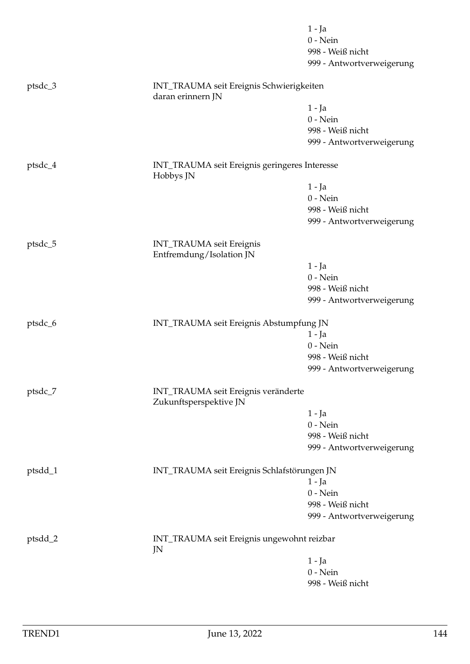|           |                                                               | $1 - Ja$<br>$0$ - Nein                        |  |
|-----------|---------------------------------------------------------------|-----------------------------------------------|--|
|           |                                                               | 998 - Weiß nicht                              |  |
|           |                                                               | 999 - Antwortverweigerung                     |  |
| ptsdc_3   | INT_TRAUMA seit Ereignis Schwierigkeiten<br>daran erinnern JN |                                               |  |
|           |                                                               | 1 - Ja                                        |  |
|           |                                                               | $0$ - Nein                                    |  |
|           |                                                               | 998 - Weiß nicht                              |  |
|           |                                                               | 999 - Antwortverweigerung                     |  |
| $ptsdc_4$ | INT_TRAUMA seit Ereignis geringeres Interesse<br>Hobbys JN    |                                               |  |
|           |                                                               | 1 - Ja                                        |  |
|           |                                                               | $0$ - Nein                                    |  |
|           |                                                               | 998 - Weiß nicht                              |  |
|           |                                                               | 999 - Antwortverweigerung                     |  |
| ptsdc_5   | INT_TRAUMA seit Ereignis<br>Entfremdung/Isolation JN          |                                               |  |
|           |                                                               | $1 - Ja$                                      |  |
|           |                                                               | $0$ - Nein                                    |  |
|           |                                                               | 998 - Weiß nicht                              |  |
|           |                                                               | 999 - Antwortverweigerung                     |  |
| ptsdc_6   | INT_TRAUMA seit Ereignis Abstumpfung JN                       |                                               |  |
|           |                                                               | $1 - Ja$                                      |  |
|           |                                                               | $0$ - Nein                                    |  |
|           |                                                               | 998 - Weiß nicht                              |  |
|           |                                                               | 999 - Antwortverweigerung                     |  |
| ptsdc_7   | INT_TRAUMA seit Ereignis veränderte<br>Zukunftsperspektive JN |                                               |  |
|           |                                                               | $1 - Ja$                                      |  |
|           |                                                               | $0$ - Nein                                    |  |
|           |                                                               | 998 - Weiß nicht                              |  |
|           |                                                               | 999 - Antwortverweigerung                     |  |
| ptsdd_1   | INT_TRAUMA seit Ereignis Schlafstörungen JN                   |                                               |  |
|           |                                                               | $1 - Ja$                                      |  |
|           |                                                               | $0$ - Nein                                    |  |
|           |                                                               | 998 - Weiß nicht<br>999 - Antwortverweigerung |  |
| ptsdd_2   | INT_TRAUMA seit Ereignis ungewohnt reizbar<br>JN              |                                               |  |
|           |                                                               | 1 - Ja                                        |  |
|           |                                                               | $0$ - Nein                                    |  |
|           |                                                               | 998 - Weiß nicht                              |  |
|           |                                                               |                                               |  |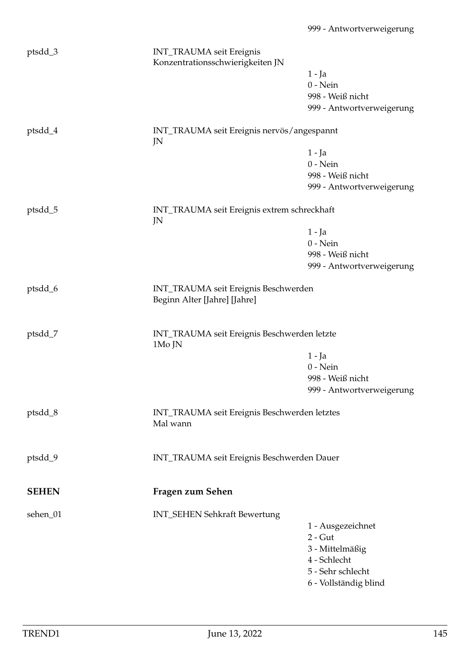| ptsdd_3      | INT_TRAUMA seit Ereignis<br>Konzentrationsschwierigkeiten JN         |                           |
|--------------|----------------------------------------------------------------------|---------------------------|
|              |                                                                      | 1 - Ja                    |
|              |                                                                      | $0$ - Nein                |
|              |                                                                      | 998 - Weiß nicht          |
|              |                                                                      | 999 - Antwortverweigerung |
| ptsdd_4      | INT_TRAUMA seit Ereignis nervös/angespannt<br>JN                     |                           |
|              |                                                                      | $1 - Ja$                  |
|              |                                                                      | $0$ - Nein                |
|              |                                                                      | 998 - Weiß nicht          |
|              |                                                                      | 999 - Antwortverweigerung |
| ptsdd_5      | INT_TRAUMA seit Ereignis extrem schreckhaft<br>JN                    |                           |
|              |                                                                      | $1 - Ja$                  |
|              |                                                                      | $0$ - Nein                |
|              |                                                                      | 998 - Weiß nicht          |
|              |                                                                      | 999 - Antwortverweigerung |
|              |                                                                      |                           |
| ptsdd_6      | INT_TRAUMA seit Ereignis Beschwerden<br>Beginn Alter [Jahre] [Jahre] |                           |
| ptsdd_7      | INT_TRAUMA seit Ereignis Beschwerden letzte<br>1Mo JN                |                           |
|              |                                                                      | $1 - Ja$                  |
|              |                                                                      | $0$ - Nein                |
|              |                                                                      | 998 - Weiß nicht          |
|              |                                                                      | 999 - Antwortverweigerung |
| ptsdd_8      | INT_TRAUMA seit Ereignis Beschwerden letztes<br>Mal wann             |                           |
|              |                                                                      |                           |
| ptsdd_9      | INT_TRAUMA seit Ereignis Beschwerden Dauer                           |                           |
| <b>SEHEN</b> | Fragen zum Sehen                                                     |                           |
| sehen_01     | INT_SEHEN Sehkraft Bewertung                                         |                           |
|              |                                                                      | 1 - Ausgezeichnet         |
|              |                                                                      | $2 - Gut$                 |
|              |                                                                      | 3 - Mittelmäßig           |
|              |                                                                      | 4 - Schlecht              |
|              |                                                                      | 5 - Sehr schlecht         |
|              |                                                                      | 6 - Vollständig blind     |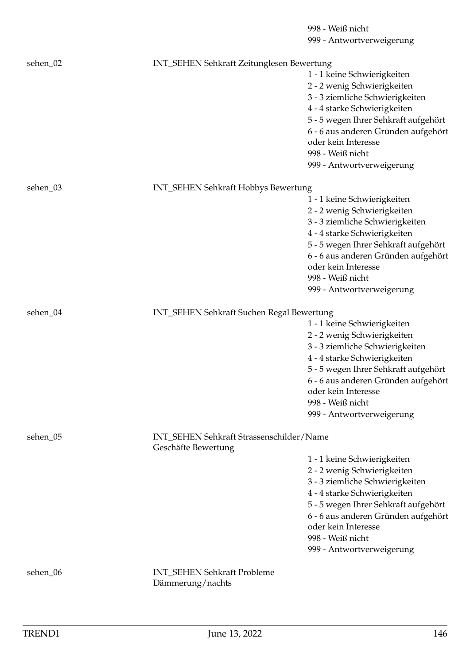|          |                                           | 998 - Weiß nicht                                           |
|----------|-------------------------------------------|------------------------------------------------------------|
|          |                                           | 999 - Antwortverweigerung                                  |
| sehen_02 | INT_SEHEN Sehkraft Zeitunglesen Bewertung |                                                            |
|          |                                           | 1 - 1 keine Schwierigkeiten                                |
|          |                                           | 2 - 2 wenig Schwierigkeiten                                |
|          |                                           | 3 - 3 ziemliche Schwierigkeiten                            |
|          |                                           | 4 - 4 starke Schwierigkeiten                               |
|          |                                           | 5 - 5 wegen Ihrer Sehkraft aufgehört                       |
|          |                                           | 6 - 6 aus anderen Gründen aufgehört                        |
|          |                                           | oder kein Interesse                                        |
|          |                                           | 998 - Weiß nicht                                           |
|          |                                           | 999 - Antwortverweigerung                                  |
| sehen_03 | INT_SEHEN Sehkraft Hobbys Bewertung       |                                                            |
|          |                                           | 1 - 1 keine Schwierigkeiten                                |
|          |                                           | 2 - 2 wenig Schwierigkeiten                                |
|          |                                           | 3 - 3 ziemliche Schwierigkeiten                            |
|          |                                           | 4 - 4 starke Schwierigkeiten                               |
|          |                                           | 5 - 5 wegen Ihrer Sehkraft aufgehört                       |
|          |                                           | 6 - 6 aus anderen Gründen aufgehört                        |
|          |                                           | oder kein Interesse                                        |
|          |                                           | 998 - Weiß nicht                                           |
|          |                                           | 999 - Antwortverweigerung                                  |
| sehen_04 | INT_SEHEN Sehkraft Suchen Regal Bewertung |                                                            |
|          |                                           | 1 - 1 keine Schwierigkeiten                                |
|          |                                           | 2 - 2 wenig Schwierigkeiten                                |
|          |                                           | 3 - 3 ziemliche Schwierigkeiten                            |
|          |                                           | 4 - 4 starke Schwierigkeiten                               |
|          |                                           | 5 - 5 wegen Ihrer Sehkraft aufgehört                       |
|          |                                           | 6 - 6 aus anderen Gründen aufgehört                        |
|          |                                           | oder kein Interesse                                        |
|          |                                           | 998 - Weiß nicht                                           |
|          |                                           | 999 - Antwortverweigerung                                  |
| sehen_05 | INT_SEHEN Sehkraft Strassenschilder/Name  |                                                            |
|          | Geschäfte Bewertung                       |                                                            |
|          |                                           | 1 - 1 keine Schwierigkeiten                                |
|          |                                           | 2 - 2 wenig Schwierigkeiten                                |
|          |                                           | 3 - 3 ziemliche Schwierigkeiten                            |
|          |                                           | 4 - 4 starke Schwierigkeiten                               |
|          |                                           | 5 - 5 wegen Ihrer Sehkraft aufgehört                       |
|          |                                           | 6 - 6 aus anderen Gründen aufgehört<br>oder kein Interesse |
|          |                                           | 998 - Weiß nicht                                           |
|          |                                           |                                                            |
|          |                                           | 999 - Antwortverweigerung                                  |
| sehen_06 | <b>INT_SEHEN Sehkraft Probleme</b>        |                                                            |
|          | Dämmerung/nachts                          |                                                            |
|          |                                           |                                                            |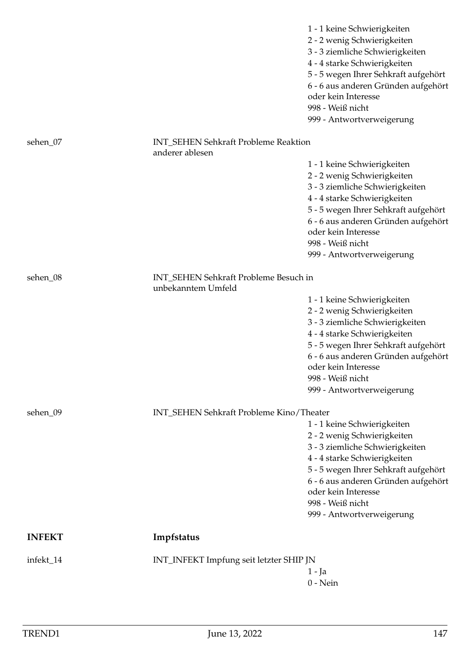|               |                                                             | 1 - 1 keine Schwierigkeiten<br>2 - 2 wenig Schwierigkeiten<br>3 - 3 ziemliche Schwierigkeiten<br>4 - 4 starke Schwierigkeiten<br>5 - 5 wegen Ihrer Sehkraft aufgehört<br>6 - 6 aus anderen Gründen aufgehört<br>oder kein Interesse<br>998 - Weiß nicht<br>999 - Antwortverweigerung |
|---------------|-------------------------------------------------------------|--------------------------------------------------------------------------------------------------------------------------------------------------------------------------------------------------------------------------------------------------------------------------------------|
| sehen_07      | <b>INT_SEHEN Sehkraft Probleme Reaktion</b>                 |                                                                                                                                                                                                                                                                                      |
|               | anderer ablesen                                             | 1 - 1 keine Schwierigkeiten<br>2 - 2 wenig Schwierigkeiten<br>3 - 3 ziemliche Schwierigkeiten<br>4 - 4 starke Schwierigkeiten<br>5 - 5 wegen Ihrer Sehkraft aufgehört<br>6 - 6 aus anderen Gründen aufgehört                                                                         |
|               |                                                             | oder kein Interesse<br>998 - Weiß nicht<br>999 - Antwortverweigerung                                                                                                                                                                                                                 |
| sehen_08      | INT_SEHEN Sehkraft Probleme Besuch in<br>unbekanntem Umfeld |                                                                                                                                                                                                                                                                                      |
|               |                                                             | 1 - 1 keine Schwierigkeiten<br>2 - 2 wenig Schwierigkeiten<br>3 - 3 ziemliche Schwierigkeiten<br>4 - 4 starke Schwierigkeiten<br>5 - 5 wegen Ihrer Sehkraft aufgehört<br>6 - 6 aus anderen Gründen aufgehört<br>oder kein Interesse<br>998 - Weiß nicht<br>999 - Antwortverweigerung |
| sehen_09      | INT_SEHEN Sehkraft Probleme Kino/Theater                    | 1 - 1 keine Schwierigkeiten<br>2 - 2 wenig Schwierigkeiten<br>3 - 3 ziemliche Schwierigkeiten<br>4 - 4 starke Schwierigkeiten<br>5 - 5 wegen Ihrer Sehkraft aufgehört<br>6 - 6 aus anderen Gründen aufgehört<br>oder kein Interesse<br>998 - Weiß nicht<br>999 - Antwortverweigerung |
| <b>INFEKT</b> | Impfstatus                                                  |                                                                                                                                                                                                                                                                                      |
| infekt_14     | INT_INFEKT Impfung seit letzter SHIP JN                     | 1 - Ja<br>$0$ - Nein                                                                                                                                                                                                                                                                 |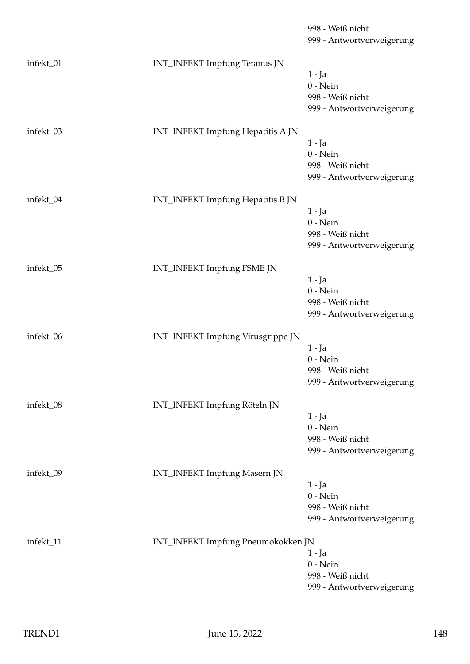|           |                                      | 998 - Weiß nicht<br>999 - Antwortverweigerung |
|-----------|--------------------------------------|-----------------------------------------------|
| infekt_01 | <b>INT_INFEKT</b> Impfung Tetanus JN |                                               |
|           |                                      | 1 - Ja                                        |
|           |                                      | $0$ - Nein                                    |
|           |                                      | 998 - Weiß nicht                              |
|           |                                      | 999 - Antwortverweigerung                     |
| infekt_03 | INT_INFEKT Impfung Hepatitis A JN    |                                               |
|           |                                      | $1 - Ja$                                      |
|           |                                      | $0$ - Nein                                    |
|           |                                      | 998 - Weiß nicht                              |
|           |                                      | 999 - Antwortverweigerung                     |
| infekt_04 | INT_INFEKT Impfung Hepatitis B JN    |                                               |
|           |                                      | $1 - Ja$                                      |
|           |                                      | $0$ - Nein                                    |
|           |                                      | 998 - Weiß nicht                              |
|           |                                      | 999 - Antwortverweigerung                     |
| infekt_05 | INT_INFEKT Impfung FSME JN           |                                               |
|           |                                      | $1 - Ja$                                      |
|           |                                      | $0$ - Nein                                    |
|           |                                      | 998 - Weiß nicht                              |
|           |                                      | 999 - Antwortverweigerung                     |
| infekt_06 | INT_INFEKT Impfung Virusgrippe JN    |                                               |
|           |                                      | 1 - Ja                                        |
|           |                                      | $0$ - Nein                                    |
|           |                                      | 998 - Weiß nicht<br>999 - Antwortverweigerung |
|           |                                      |                                               |
| infekt_08 | INT_INFEKT Impfung Röteln JN         |                                               |
|           |                                      | $1 - Ja$                                      |
|           |                                      | $0 - Nein$<br>998 - Weiß nicht                |
|           |                                      | 999 - Antwortverweigerung                     |
|           |                                      |                                               |
| infekt_09 | INT_INFEKT Impfung Masern JN         |                                               |
|           |                                      | 1 - Ja                                        |
|           |                                      | $0$ - Nein                                    |
|           |                                      | 998 - Weiß nicht<br>999 - Antwortverweigerung |
|           |                                      |                                               |
| infekt_11 | INT_INFEKT Impfung Pneumokokken JN   |                                               |
|           |                                      | $1 - Ja$                                      |
|           |                                      | $0$ - Nein<br>998 - Weiß nicht                |
|           |                                      | 999 - Antwortverweigerung                     |
|           |                                      |                                               |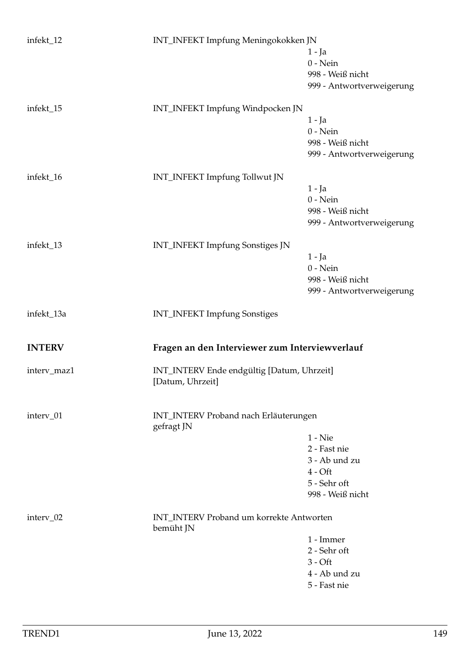| infekt_12     | INT_INFEKT Impfung Meningokokken JN                            | 1 - Ja<br>$0$ - Nein<br>998 - Weiß nicht<br>999 - Antwortverweigerung                       |
|---------------|----------------------------------------------------------------|---------------------------------------------------------------------------------------------|
| infekt_15     | INT_INFEKT Impfung Windpocken JN                               | $1 - Ja$<br>$0$ - Nein<br>998 - Weiß nicht<br>999 - Antwortverweigerung                     |
| infekt_16     | INT_INFEKT Impfung Tollwut JN                                  | $1 - Ja$<br>$0$ - Nein<br>998 - Weiß nicht<br>999 - Antwortverweigerung                     |
| infekt_13     | <b>INT_INFEKT</b> Impfung Sonstiges JN                         | $1 - Ja$<br>$0$ - Nein<br>998 - Weiß nicht<br>999 - Antwortverweigerung                     |
| infekt_13a    | <b>INT_INFEKT</b> Impfung Sonstiges                            |                                                                                             |
| <b>INTERV</b> | Fragen an den Interviewer zum Interviewverlauf                 |                                                                                             |
| interv_maz1   | INT_INTERV Ende endgültig [Datum, Uhrzeit]<br>[Datum, Uhrzeit] |                                                                                             |
| interv_01     | INT_INTERV Proband nach Erläuterungen<br>gefragt JN            |                                                                                             |
|               |                                                                | $1 -$ Nie<br>2 - Fast nie<br>3 - Ab und zu<br>$4 - Oft$<br>5 - Sehr oft<br>998 - Weiß nicht |
| interv_02     | <b>INT_INTERV Proband um korrekte Antworten</b><br>bemüht JN   | 1 - Immer<br>2 - Sehr oft<br>$3 - Off$<br>4 - Ab und zu<br>5 - Fast nie                     |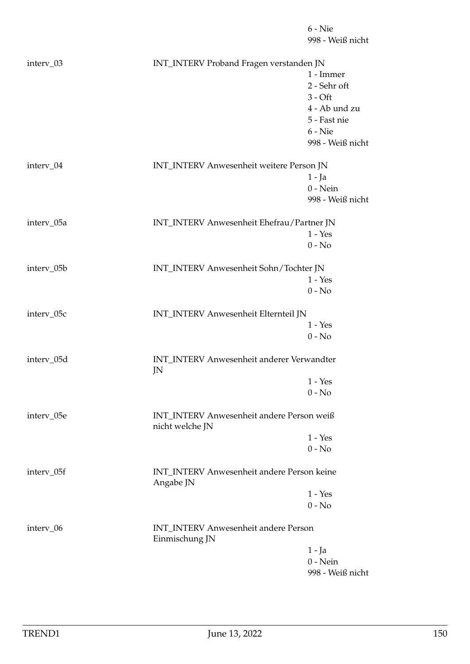998 - Weiß nicht interv\_03 INT\_INTERV Proband Fragen verstanden JN 1 - Immer 2 - Sehr oft  $3 - \bigcirc$ 4 - Ab und zu 5 - Fast nie 6 - Nie 998 - Weiß nicht interv\_04 INT\_INTERV Anwesenheit weitere Person JN 1 - Ja 0 - Nein 998 - Weiß nicht interv\_05a INT\_INTERV Anwesenheit Ehefrau/Partner JN 1 - Yes 0 - No interv\_05b INT\_INTERV Anwesenheit Sohn/Tochter JN 1 - Yes  $0 - No$ interv\_05c INT\_INTERV Anwesenheit Elternteil JN 1 - Yes  $0 - No$ interv\_05d INT\_INTERV Anwesenheit anderer Verwandter JN 1 - Yes  $0 - No$ interv\_05e INT\_INTERV Anwesenheit andere Person weiß nicht welche JN 1 - Yes  $0 - No$ interv\_05f INT\_INTERV Anwesenheit andere Person keine Angabe JN 1 - Yes  $0 - No$ interv\_06 INT\_INTERV Anwesenheit andere Person Einmischung JN 1 - Ja 0 - Nein 998 - Weiß nicht

6 - Nie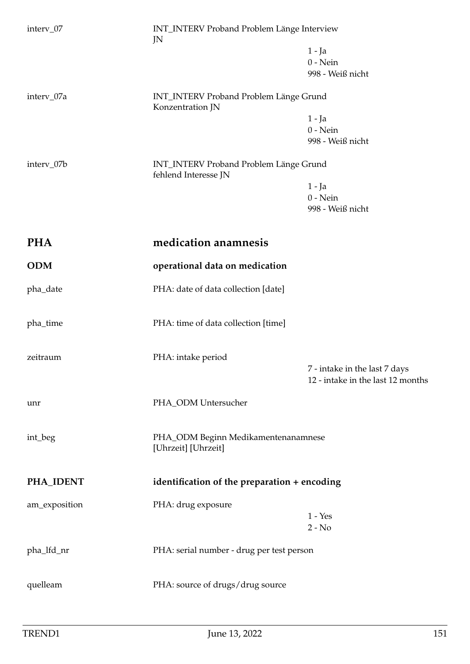| interv_07     | INT_INTERV Proband Problem Länge Interview<br>JN                      |                                                                    |
|---------------|-----------------------------------------------------------------------|--------------------------------------------------------------------|
|               |                                                                       | $1 - Ja$                                                           |
|               |                                                                       | $0$ - Nein                                                         |
|               |                                                                       | 998 - Weiß nicht                                                   |
| interv_07a    | <b>INT_INTERV Proband Problem Länge Grund</b><br>Konzentration JN     |                                                                    |
|               |                                                                       | $1 - Ja$                                                           |
|               |                                                                       | $0$ - Nein                                                         |
|               |                                                                       | 998 - Weiß nicht                                                   |
| interv_07b    | <b>INT_INTERV Proband Problem Länge Grund</b><br>fehlend Interesse JN |                                                                    |
|               |                                                                       | $1 - Ja$                                                           |
|               |                                                                       | $0$ - Nein                                                         |
|               |                                                                       | 998 - Weiß nicht                                                   |
| <b>PHA</b>    | medication anamnesis                                                  |                                                                    |
|               |                                                                       |                                                                    |
| <b>ODM</b>    | operational data on medication                                        |                                                                    |
| pha_date      | PHA: date of data collection [date]                                   |                                                                    |
|               |                                                                       |                                                                    |
| pha_time      | PHA: time of data collection [time]                                   |                                                                    |
|               |                                                                       |                                                                    |
| zeitraum      | PHA: intake period                                                    |                                                                    |
|               |                                                                       | 7 - intake in the last 7 days<br>12 - intake in the last 12 months |
|               |                                                                       |                                                                    |
| unr           | PHA_ODM Untersucher                                                   |                                                                    |
|               |                                                                       |                                                                    |
| int_beg       | PHA_ODM Beginn Medikamentenanamnese<br>[Uhrzeit] [Uhrzeit]            |                                                                    |
|               |                                                                       |                                                                    |
| PHA_IDENT     | identification of the preparation + encoding                          |                                                                    |
| am_exposition | PHA: drug exposure                                                    |                                                                    |
|               |                                                                       | $1 - Yes$                                                          |
|               |                                                                       | $2 - No$                                                           |
| pha_lfd_nr    | PHA: serial number - drug per test person                             |                                                                    |
|               |                                                                       |                                                                    |
| quelleam      | PHA: source of drugs/drug source                                      |                                                                    |
|               |                                                                       |                                                                    |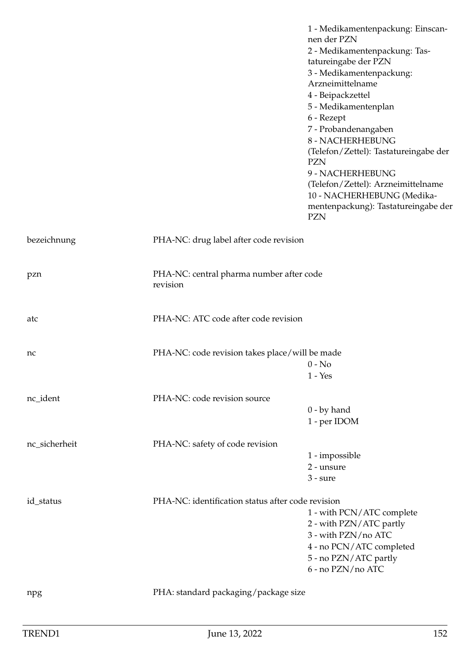|               |                                                      | 1 - Medikamentenpackung: Einscan-<br>nen der PZN<br>2 - Medikamentenpackung: Tas-<br>tatureingabe der PZN<br>3 - Medikamentenpackung:<br>Arzneimittelname<br>4 - Beipackzettel<br>5 - Medikamentenplan<br>6 - Rezept<br>7 - Probandenangaben<br>8 - NACHERHEBUNG<br>(Telefon/Zettel): Tastatureingabe der<br><b>PZN</b><br>9 - NACHERHEBUNG<br>(Telefon/Zettel): Arzneimittelname<br>10 - NACHERHEBUNG (Medika-<br>mentenpackung): Tastatureingabe der<br><b>PZN</b> |
|---------------|------------------------------------------------------|----------------------------------------------------------------------------------------------------------------------------------------------------------------------------------------------------------------------------------------------------------------------------------------------------------------------------------------------------------------------------------------------------------------------------------------------------------------------|
| bezeichnung   | PHA-NC: drug label after code revision               |                                                                                                                                                                                                                                                                                                                                                                                                                                                                      |
| pzn           | PHA-NC: central pharma number after code<br>revision |                                                                                                                                                                                                                                                                                                                                                                                                                                                                      |
| atc           | PHA-NC: ATC code after code revision                 |                                                                                                                                                                                                                                                                                                                                                                                                                                                                      |
| nc            | PHA-NC: code revision takes place/will be made       | $0 - No$<br>$1 - Yes$                                                                                                                                                                                                                                                                                                                                                                                                                                                |
| nc_ident      | PHA-NC: code revision source                         | $0$ - by hand<br>1 - per IDOM                                                                                                                                                                                                                                                                                                                                                                                                                                        |
| nc_sicherheit | PHA-NC: safety of code revision                      | 1 - impossible<br>2 - unsure<br>$3 - sure$                                                                                                                                                                                                                                                                                                                                                                                                                           |
| id_status     | PHA-NC: identification status after code revision    | 1 - with PCN/ATC complete<br>2 - with PZN/ATC partly<br>3 - with PZN/no ATC<br>4 - no PCN/ATC completed<br>5 - no PZN/ATC partly<br>6 - no PZN/no ATC                                                                                                                                                                                                                                                                                                                |
| npg           | PHA: standard packaging/package size                 |                                                                                                                                                                                                                                                                                                                                                                                                                                                                      |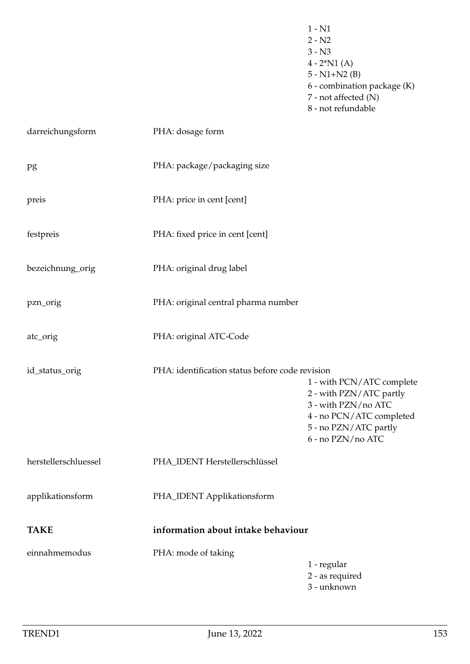- 1 N1  $2 - N2$ 3 - N3  $4 - 2^*N1(A)$ 5 - N1+N2 (B) 6 - combination package (K) 7 - not affected (N) 8 - not refundable darreichungsform PHA: dosage form pg PHA: package/packaging size preis PHA: price in cent [cent] festpreis PHA: fixed price in cent [cent] bezeichnung\_orig PHA: original drug label pzn\_orig PHA: original central pharma number atc\_orig PHA: original ATC-Code id\_status\_orig PHA: identification status before code revision 1 - with PCN/ATC complete 2 - with PZN/ATC partly 3 - with PZN/no ATC 4 - no PCN/ATC completed 5 - no PZN/ATC partly 6 - no PZN/no ATC herstellerschluessel PHA\_IDENT Herstellerschlüssel applikationsform PHA\_IDENT Applikationsform **TAKE information about intake behaviour** einnahmemodus PHA: mode of taking 1 - regular 2 - as required
	- 3 unknown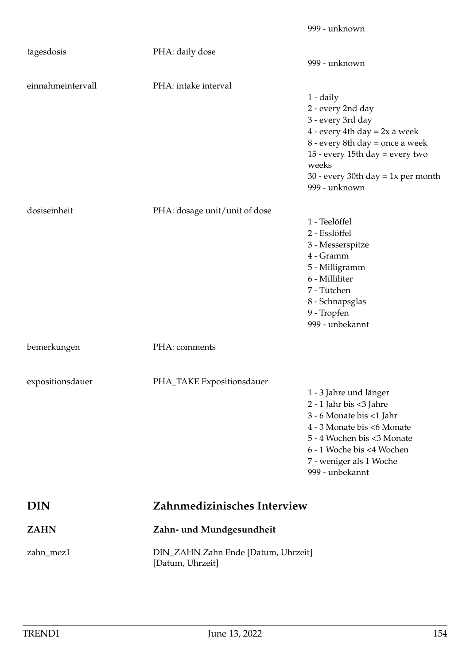| tagesdosis        | PHA: daily dose                                         | 999 - unknown                                                                                                                                                                                                                           |
|-------------------|---------------------------------------------------------|-----------------------------------------------------------------------------------------------------------------------------------------------------------------------------------------------------------------------------------------|
| einnahmeintervall | PHA: intake interval                                    | $1 - \text{daily}$<br>2 - every 2nd day<br>3 - every 3rd day<br>$4$ - every 4th day = 2x a week<br>8 - every 8th day = once a week<br>15 - every 15th day = every two<br>weeks<br>30 - every 30th day = $1x$ per month<br>999 - unknown |
| dosiseinheit      | PHA: dosage unit/unit of dose                           | 1 - Teelöffel<br>2 - Esslöffel<br>3 - Messerspitze<br>4 - Gramm<br>5 - Milligramm<br>6 - Milliliter<br>7 - Tütchen<br>8 - Schnapsglas<br>9 - Tropfen<br>999 - unbekannt                                                                 |
| bemerkungen       | PHA: comments                                           |                                                                                                                                                                                                                                         |
| expositionsdauer  | PHA_TAKE Expositionsdauer                               | 1 - 3 Jahre und länger<br>2 - 1 Jahr bis <3 Jahre<br>3 - 6 Monate bis <1 Jahr<br>4 - 3 Monate bis <6 Monate<br>5 - 4 Wochen bis <3 Monate<br>6 - 1 Woche bis <4 Wochen<br>7 - weniger als 1 Woche<br>999 - unbekannt                    |
| <b>DIN</b>        | Zahnmedizinisches Interview                             |                                                                                                                                                                                                                                         |
| <b>ZAHN</b>       | Zahn- und Mundgesundheit                                |                                                                                                                                                                                                                                         |
| zahn_mez1         | DIN_ZAHN Zahn Ende [Datum, Uhrzeit]<br>[Datum, Uhrzeit] |                                                                                                                                                                                                                                         |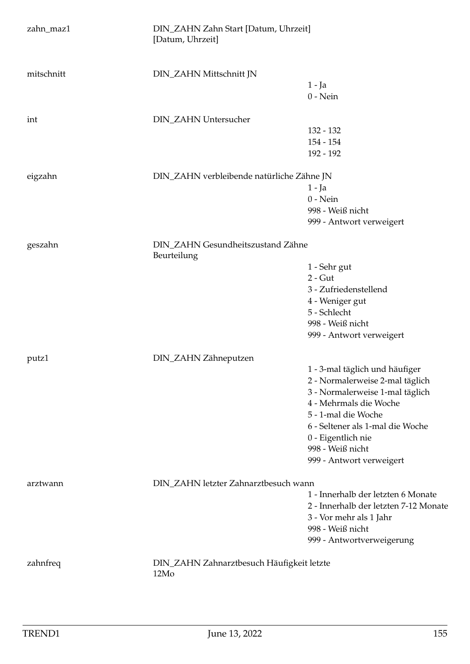| zahn_maz1  | DIN_ZAHN Zahn Start [Datum, Uhrzeit]<br>[Datum, Uhrzeit] |                                                                                                                                                                                                                                                                 |
|------------|----------------------------------------------------------|-----------------------------------------------------------------------------------------------------------------------------------------------------------------------------------------------------------------------------------------------------------------|
| mitschnitt | DIN_ZAHN Mittschnitt JN                                  | $1 - Ja$<br>$0$ - Nein                                                                                                                                                                                                                                          |
| int        | DIN_ZAHN Untersucher                                     | 132 - 132<br>$154 - 154$<br>192 - 192                                                                                                                                                                                                                           |
| eigzahn    | DIN_ZAHN verbleibende natürliche Zähne JN                | $1 - Ja$<br>$0$ - Nein<br>998 - Weiß nicht<br>999 - Antwort verweigert                                                                                                                                                                                          |
| geszahn    | DIN_ZAHN Gesundheitszustand Zähne<br>Beurteilung         | 1 - Sehr gut<br>$2 - Gut$<br>3 - Zufriedenstellend<br>4 - Weniger gut<br>5 - Schlecht<br>998 - Weiß nicht<br>999 - Antwort verweigert                                                                                                                           |
| putz1      | DIN_ZAHN Zähneputzen                                     | 1 - 3-mal täglich und häufiger<br>2 - Normalerweise 2-mal täglich<br>3 - Normalerweise 1-mal täglich<br>4 - Mehrmals die Woche<br>5 - 1-mal die Woche<br>6 - Seltener als 1-mal die Woche<br>0 - Eigentlich nie<br>998 - Weiß nicht<br>999 - Antwort verweigert |
| arztwann   | DIN_ZAHN letzter Zahnarztbesuch wann                     | 1 - Innerhalb der letzten 6 Monate<br>2 - Innerhalb der letzten 7-12 Monate<br>3 - Vor mehr als 1 Jahr<br>998 - Weiß nicht<br>999 - Antwortverweigerung                                                                                                         |
| zahnfreq   | DIN_ZAHN Zahnarztbesuch Häufigkeit letzte<br>12Mo        |                                                                                                                                                                                                                                                                 |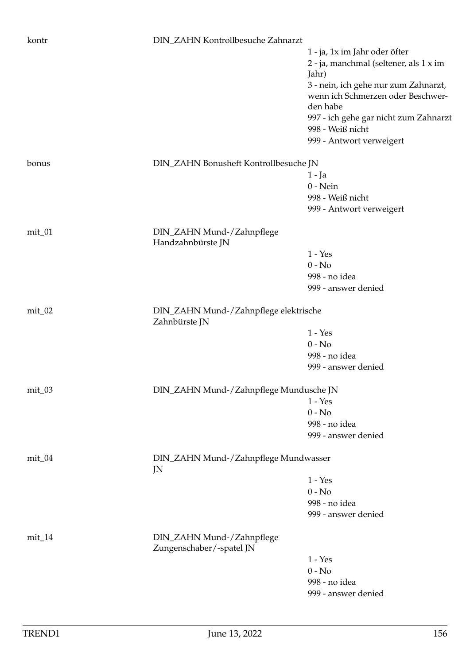| kontr    | DIN_ZAHN Kontrollbesuche Zahnarzt                     |                                                           |  |
|----------|-------------------------------------------------------|-----------------------------------------------------------|--|
|          |                                                       | 1 - ja, 1x im Jahr oder öfter                             |  |
|          |                                                       | 2 - ja, manchmal (seltener, als 1 x im                    |  |
|          |                                                       | Jahr)                                                     |  |
|          |                                                       | 3 - nein, ich gehe nur zum Zahnarzt,                      |  |
|          |                                                       | wenn ich Schmerzen oder Beschwer-                         |  |
|          |                                                       | den habe                                                  |  |
|          |                                                       | 997 - ich gehe gar nicht zum Zahnarzt<br>998 - Weiß nicht |  |
|          |                                                       | 999 - Antwort verweigert                                  |  |
|          |                                                       |                                                           |  |
| bonus    | DIN_ZAHN Bonusheft Kontrollbesuche JN                 |                                                           |  |
|          |                                                       | 1 - Ja                                                    |  |
|          |                                                       | $0$ - Nein                                                |  |
|          |                                                       | 998 - Weiß nicht                                          |  |
|          |                                                       | 999 - Antwort verweigert                                  |  |
| mit_01   | DIN_ZAHN Mund-/Zahnpflege                             |                                                           |  |
|          | Handzahnbürste JN                                     |                                                           |  |
|          |                                                       | $1 - Yes$                                                 |  |
|          |                                                       | $0 - No$                                                  |  |
|          |                                                       | 998 - no idea                                             |  |
|          |                                                       | 999 - answer denied                                       |  |
| $mit_02$ |                                                       | DIN_ZAHN Mund-/Zahnpflege elektrische                     |  |
|          | Zahnbürste JN                                         |                                                           |  |
|          |                                                       | $1 - Yes$                                                 |  |
|          |                                                       | $0 - No$                                                  |  |
|          |                                                       | 998 - no idea                                             |  |
|          |                                                       | 999 - answer denied                                       |  |
| mit_03   | DIN_ZAHN Mund-/Zahnpflege Mundusche JN                |                                                           |  |
|          |                                                       | $1 - Yes$                                                 |  |
|          |                                                       | $0 - No$                                                  |  |
|          |                                                       | 998 - no idea                                             |  |
|          |                                                       | 999 - answer denied                                       |  |
| mit_04   | DIN_ZAHN Mund-/Zahnpflege Mundwasser<br>JN            |                                                           |  |
|          |                                                       | $1 - Yes$                                                 |  |
|          |                                                       | $0 - No$                                                  |  |
|          |                                                       | 998 - no idea                                             |  |
|          |                                                       | 999 - answer denied                                       |  |
| $mit_14$ | DIN_ZAHN Mund-/Zahnpflege<br>Zungenschaber/-spatel JN |                                                           |  |
|          |                                                       | $1 - Yes$                                                 |  |
|          |                                                       | $0 - No$                                                  |  |
|          |                                                       | 998 - no idea                                             |  |
|          |                                                       | 999 - answer denied                                       |  |
|          |                                                       |                                                           |  |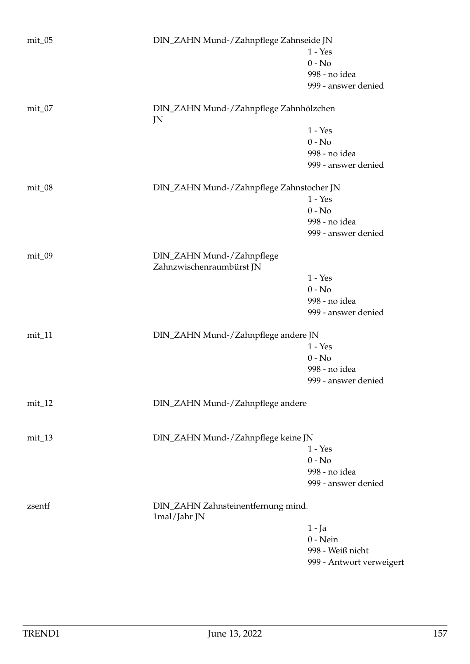| $mit_0$   | DIN_ZAHN Mund-/Zahnpflege Zahnseide JN                |                          |
|-----------|-------------------------------------------------------|--------------------------|
|           |                                                       | $1 - Yes$                |
|           |                                                       | $0 - No$                 |
|           |                                                       | 998 - no idea            |
|           |                                                       |                          |
|           |                                                       | 999 - answer denied      |
| $mit_0$ 7 | DIN_ZAHN Mund-/Zahnpflege Zahnhölzchen<br>JN          |                          |
|           |                                                       | $1 - Yes$                |
|           |                                                       | $0 - No$                 |
|           |                                                       | 998 - no idea            |
|           |                                                       | 999 - answer denied      |
|           |                                                       |                          |
| mit_08    | DIN_ZAHN Mund-/Zahnpflege Zahnstocher JN              |                          |
|           |                                                       | $1 - Yes$                |
|           |                                                       | $0 - No$                 |
|           |                                                       | 998 - no idea            |
|           |                                                       | 999 - answer denied      |
| $mit_0$   | DIN_ZAHN Mund-/Zahnpflege<br>Zahnzwischenraumbürst JN |                          |
|           |                                                       | $1 - Yes$                |
|           |                                                       | $0 - No$                 |
|           |                                                       | 998 - no idea            |
|           |                                                       | 999 - answer denied      |
|           |                                                       |                          |
| $mit_11$  | DIN_ZAHN Mund-/Zahnpflege andere JN                   |                          |
|           |                                                       | $1 - Yes$                |
|           |                                                       | $0 - No$                 |
|           |                                                       | 998 - no idea            |
|           |                                                       | 999 - answer denied      |
| $mit_12$  | DIN_ZAHN Mund-/Zahnpflege andere                      |                          |
|           |                                                       |                          |
| $mit_13$  | DIN_ZAHN Mund-/Zahnpflege keine JN                    |                          |
|           |                                                       | $1 - Yes$                |
|           |                                                       | $0 - No$                 |
|           |                                                       | 998 - no idea            |
|           |                                                       | 999 - answer denied      |
| zsentf    | DIN_ZAHN Zahnsteinentfernung mind.<br>1mal/Jahr JN    |                          |
|           |                                                       | $1 - Ja$                 |
|           |                                                       | $0$ - Nein               |
|           |                                                       | 998 - Weiß nicht         |
|           |                                                       | 999 - Antwort verweigert |
|           |                                                       |                          |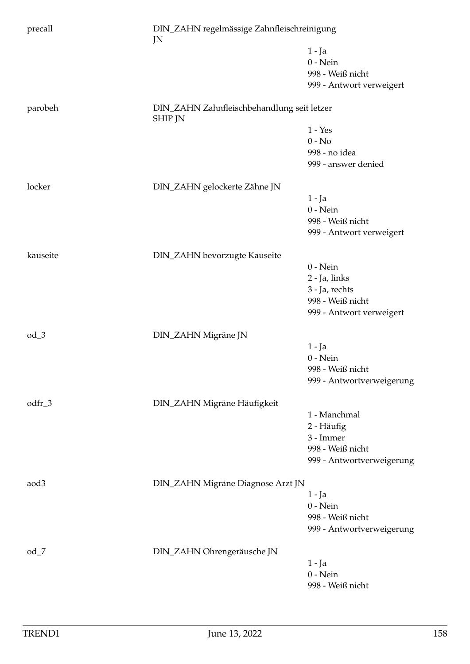| precall          | DIN_ZAHN regelmässige Zahnfleischreinigung<br>JN             |                           |
|------------------|--------------------------------------------------------------|---------------------------|
|                  |                                                              | $1 - Ja$                  |
|                  |                                                              | $0$ - Nein                |
|                  |                                                              | 998 - Weiß nicht          |
|                  |                                                              | 999 - Antwort verweigert  |
| parobeh          | DIN_ZAHN Zahnfleischbehandlung seit letzer<br><b>SHIP JN</b> |                           |
|                  |                                                              | $1 - Yes$                 |
|                  |                                                              | $0 - No$                  |
|                  |                                                              | 998 - no idea             |
|                  |                                                              | 999 - answer denied       |
| locker           | DIN_ZAHN gelockerte Zähne JN                                 |                           |
|                  |                                                              | $1 - Ja$                  |
|                  |                                                              | $0$ - Nein                |
|                  |                                                              | 998 - Weiß nicht          |
|                  |                                                              | 999 - Antwort verweigert  |
| kauseite         | DIN_ZAHN bevorzugte Kauseite                                 |                           |
|                  |                                                              | $0$ - Nein                |
|                  |                                                              | 2 - Ja, links             |
|                  |                                                              | 3 - Ja, rechts            |
|                  |                                                              | 998 - Weiß nicht          |
|                  |                                                              | 999 - Antwort verweigert  |
| $od_3$           | DIN_ZAHN Migräne JN                                          |                           |
|                  |                                                              | $1 - Ja$                  |
|                  |                                                              | $0$ - Nein                |
|                  |                                                              | 998 - Weiß nicht          |
|                  |                                                              | 999 - Antwortverweigerung |
| odfr_3           | DIN_ZAHN Migräne Häufigkeit                                  |                           |
|                  |                                                              | 1 - Manchmal              |
|                  |                                                              | 2 - Häufig                |
|                  |                                                              | 3 - Immer                 |
|                  |                                                              | 998 - Weiß nicht          |
|                  |                                                              | 999 - Antwortverweigerung |
| aod <sub>3</sub> | DIN_ZAHN Migräne Diagnose Arzt JN                            |                           |
|                  |                                                              | $1 - Ja$                  |
|                  |                                                              | $0$ - Nein                |
|                  |                                                              | 998 - Weiß nicht          |
|                  |                                                              | 999 - Antwortverweigerung |
| $od_7$           | DIN_ZAHN Ohrengeräusche JN                                   |                           |
|                  |                                                              | $1 - Ja$                  |
|                  |                                                              | $0$ - Nein                |
|                  |                                                              | 998 - Weiß nicht          |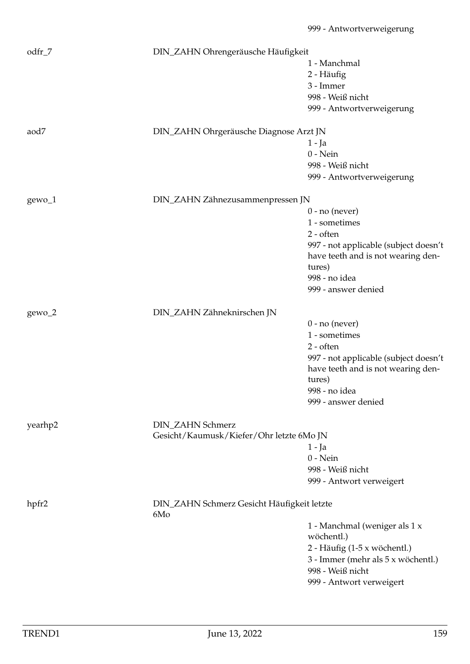| $odfr_7$ | DIN_ZAHN Ohrengeräusche Häufigkeit                |                                       |
|----------|---------------------------------------------------|---------------------------------------|
|          |                                                   | 1 - Manchmal                          |
|          |                                                   | 2 - Häufig                            |
|          |                                                   | 3 - Immer                             |
|          |                                                   | 998 - Weiß nicht                      |
|          |                                                   | 999 - Antwortverweigerung             |
|          |                                                   |                                       |
| aod7     | DIN_ZAHN Ohrgeräusche Diagnose Arzt JN            |                                       |
|          |                                                   | $1 - Ja$                              |
|          |                                                   | $0$ - Nein                            |
|          |                                                   | 998 - Weiß nicht                      |
|          |                                                   | 999 - Antwortverweigerung             |
|          | DIN_ZAHN Zähnezusammenpressen JN                  |                                       |
| gewo_1   |                                                   |                                       |
|          |                                                   | $0$ - no (never)                      |
|          |                                                   | 1 - sometimes                         |
|          |                                                   | $2 - often$                           |
|          |                                                   | 997 - not applicable (subject doesn't |
|          |                                                   | have teeth and is not wearing den-    |
|          |                                                   | tures)                                |
|          |                                                   | 998 - no idea                         |
|          |                                                   | 999 - answer denied                   |
| $gewo_2$ | DIN_ZAHN Zähneknirschen JN                        |                                       |
|          |                                                   | $0$ - no (never)                      |
|          |                                                   | 1 - sometimes                         |
|          |                                                   | $2 - often$                           |
|          |                                                   | 997 - not applicable (subject doesn't |
|          |                                                   | have teeth and is not wearing den-    |
|          |                                                   | tures)                                |
|          |                                                   | 998 - no idea                         |
|          |                                                   | 999 - answer denied                   |
|          |                                                   |                                       |
| yearhp2  | DIN_ZAHN Schmerz                                  |                                       |
|          | Gesicht/Kaumusk/Kiefer/Ohr letzte 6Mo JN          |                                       |
|          |                                                   | 1 - Ja                                |
|          |                                                   | $0$ - Nein                            |
|          |                                                   | 998 - Weiß nicht                      |
|          |                                                   | 999 - Antwort verweigert              |
|          |                                                   |                                       |
| hpfr2    | DIN_ZAHN Schmerz Gesicht Häufigkeit letzte<br>6Mo |                                       |
|          |                                                   | 1 - Manchmal (weniger als 1 x         |
|          |                                                   | wöchentl.)                            |
|          |                                                   | 2 - Häufig (1-5 x wöchentl.)          |
|          |                                                   | 3 - Immer (mehr als 5 x wöchentl.)    |
|          |                                                   | 998 - Weiß nicht                      |
|          |                                                   | 999 - Antwort verweigert              |
|          |                                                   |                                       |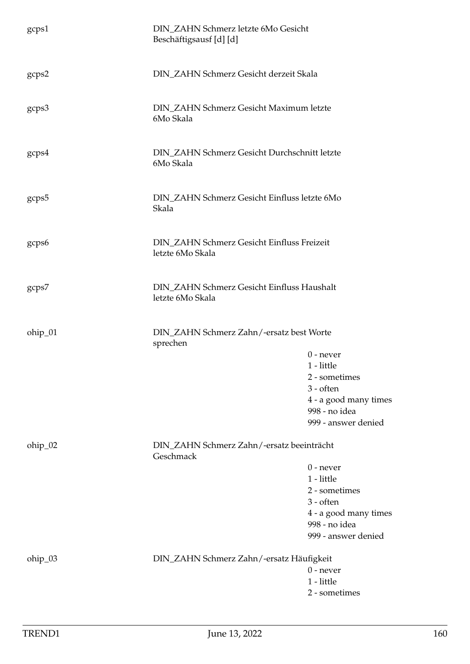| gcps1   | DIN_ZAHN Schmerz letzte 6Mo Gesicht<br>Beschäftigsausf [d] [d] |                                             |
|---------|----------------------------------------------------------------|---------------------------------------------|
| gcps2   | DIN_ZAHN Schmerz Gesicht derzeit Skala                         |                                             |
| gcps3   | DIN_ZAHN Schmerz Gesicht Maximum letzte<br>6Mo Skala           |                                             |
| gcps4   | DIN_ZAHN Schmerz Gesicht Durchschnitt letzte<br>6Mo Skala      |                                             |
| gcps5   | DIN_ZAHN Schmerz Gesicht Einfluss letzte 6Mo<br>Skala          |                                             |
| gcps6   | DIN_ZAHN Schmerz Gesicht Einfluss Freizeit<br>letzte 6Mo Skala |                                             |
| gcps7   | DIN_ZAHN Schmerz Gesicht Einfluss Haushalt<br>letzte 6Mo Skala |                                             |
| ohip_01 | DIN_ZAHN Schmerz Zahn/-ersatz best Worte<br>sprechen           |                                             |
|         |                                                                | $0$ - never                                 |
|         |                                                                | 1 - little                                  |
|         |                                                                | 2 - sometimes                               |
|         |                                                                | $3 - \text{often}$<br>4 - a good many times |
|         |                                                                | 998 - no idea                               |
|         |                                                                | 999 - answer denied                         |
| ohip_02 | DIN_ZAHN Schmerz Zahn/-ersatz beeinträcht<br>Geschmack         |                                             |
|         |                                                                | $0$ - never                                 |
|         |                                                                | 1 - little                                  |
|         |                                                                | 2 - sometimes<br>3 - often                  |
|         |                                                                | 4 - a good many times                       |
|         |                                                                | 998 - no idea                               |
|         |                                                                | 999 - answer denied                         |
| ohip_03 | DIN_ZAHN Schmerz Zahn/-ersatz Häufigkeit                       |                                             |
|         |                                                                | $0$ - never                                 |
|         |                                                                | 1 - little<br>2 - sometimes                 |
|         |                                                                |                                             |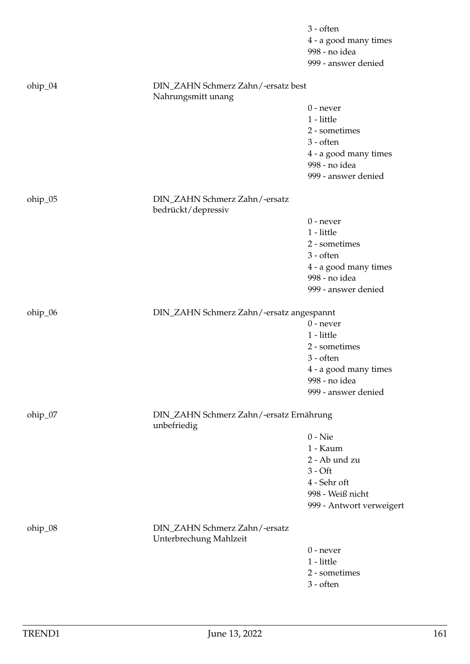|         |                                                          | 3 - often                |
|---------|----------------------------------------------------------|--------------------------|
|         |                                                          | 4 - a good many times    |
|         |                                                          | 998 - no idea            |
|         |                                                          | 999 - answer denied      |
| ohip_04 | DIN_ZAHN Schmerz Zahn/-ersatz best<br>Nahrungsmitt unang |                          |
|         |                                                          | $0$ - never              |
|         |                                                          | 1 - little               |
|         |                                                          | 2 - sometimes            |
|         |                                                          | 3 - often                |
|         |                                                          | 4 - a good many times    |
|         |                                                          | 998 - no idea            |
|         |                                                          | 999 - answer denied      |
| ohip_05 | DIN_ZAHN Schmerz Zahn/-ersatz<br>bedrückt/depressiv      |                          |
|         |                                                          | $0$ - never              |
|         |                                                          | 1 - little               |
|         |                                                          | 2 - sometimes            |
|         |                                                          | 3 - often                |
|         |                                                          | 4 - a good many times    |
|         |                                                          | 998 - no idea            |
|         |                                                          | 999 - answer denied      |
| ohip_06 | DIN_ZAHN Schmerz Zahn/-ersatz angespannt                 |                          |
|         |                                                          | $0$ - never              |
|         |                                                          | 1 - little               |
|         |                                                          | 2 - sometimes            |
|         |                                                          | 3 - often                |
|         |                                                          | 4 - a good many times    |
|         |                                                          | 998 - no idea            |
|         |                                                          | 999 - answer denied      |
| ohip_07 | DIN_ZAHN Schmerz Zahn/-ersatz Ernährung<br>unbefriedig   |                          |
|         |                                                          | $0 -$ Nie                |
|         |                                                          | 1 - Kaum                 |
|         |                                                          | 2 - Ab und zu            |
|         |                                                          | $3 - Off$                |
|         |                                                          | 4 - Sehr oft             |
|         |                                                          | 998 - Weiß nicht         |
|         |                                                          | 999 - Antwort verweigert |
| ohip_08 | DIN_ZAHN Schmerz Zahn/-ersatz<br>Unterbrechung Mahlzeit  |                          |
|         |                                                          | $0$ - never              |
|         |                                                          | 1 - little               |
|         |                                                          | 2 - sometimes            |
|         |                                                          | 3 - often                |
|         |                                                          |                          |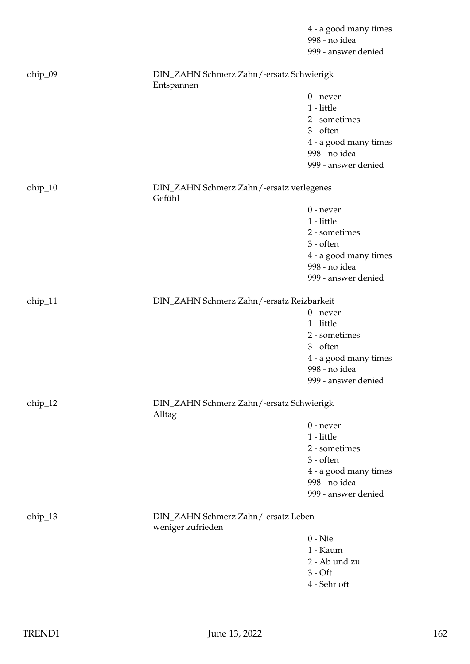|         |                                                    | 4 - a good many times<br>998 - no idea<br>999 - answer denied |  |
|---------|----------------------------------------------------|---------------------------------------------------------------|--|
| ohip_09 | DIN_ZAHN Schmerz Zahn/-ersatz Schwierigk           |                                                               |  |
|         | Entspannen                                         | $0$ - never                                                   |  |
|         |                                                    | 1 - little                                                    |  |
|         |                                                    | 2 - sometimes                                                 |  |
|         |                                                    | $3 - often$                                                   |  |
|         |                                                    | 4 - a good many times                                         |  |
|         |                                                    | 998 - no idea                                                 |  |
|         |                                                    | 999 - answer denied                                           |  |
|         |                                                    |                                                               |  |
| ohip_10 | DIN_ZAHN Schmerz Zahn/-ersatz verlegenes<br>Gefühl |                                                               |  |
|         |                                                    | $0$ - never                                                   |  |
|         |                                                    | 1 - little                                                    |  |
|         |                                                    | 2 - sometimes                                                 |  |
|         |                                                    | $3 - often$                                                   |  |
|         |                                                    | 4 - a good many times                                         |  |
|         |                                                    | 998 - no idea                                                 |  |
|         |                                                    | 999 - answer denied                                           |  |
|         |                                                    |                                                               |  |
| ohip_11 | DIN_ZAHN Schmerz Zahn/-ersatz Reizbarkeit          | $0$ - never                                                   |  |
|         |                                                    | 1 - little                                                    |  |
|         |                                                    | 2 - sometimes                                                 |  |
|         |                                                    | 3 - often                                                     |  |
|         |                                                    | 4 - a good many times                                         |  |
|         |                                                    | 998 - no idea                                                 |  |
|         |                                                    | 999 - answer denied                                           |  |
|         |                                                    |                                                               |  |
| ohip_12 |                                                    | DIN_ZAHN Schmerz Zahn/-ersatz Schwierigk<br>Alltag            |  |
|         |                                                    | $0$ - never                                                   |  |
|         |                                                    | 1 - little                                                    |  |
|         |                                                    | 2 - sometimes                                                 |  |
|         |                                                    | $3 - \text{often}$                                            |  |
|         |                                                    | 4 - a good many times                                         |  |
|         |                                                    | 998 - no idea                                                 |  |
|         |                                                    | 999 - answer denied                                           |  |
| ohip_13 | weniger zufrieden                                  | DIN_ZAHN Schmerz Zahn/-ersatz Leben                           |  |
|         |                                                    | $0 -$ Nie                                                     |  |
|         |                                                    | 1 - Kaum                                                      |  |
|         |                                                    | 2 - Ab und zu                                                 |  |
|         |                                                    | $3 - Off$                                                     |  |
|         |                                                    | 4 - Sehr oft                                                  |  |
|         |                                                    |                                                               |  |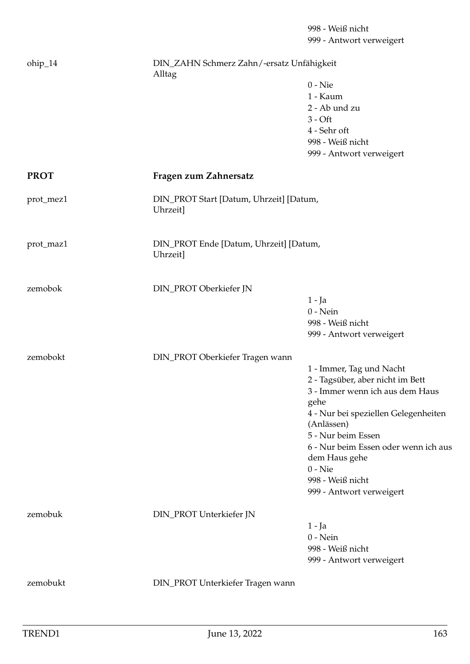ohip\_14 DIN\_ZAHN Schmerz Zahn/-ersatz Unfähigkeit Alltag 0 - Nie 1 - Kaum 2 - Ab und zu  $3 - \bigcirc$ 4 - Sehr oft 998 - Weiß nicht 999 - Antwort verweigert **PROT Fragen zum Zahnersatz** prot\_mez1 DIN\_PROT Start [Datum, Uhrzeit] [Datum, Uhrzeit] prot\_maz1 DIN\_PROT Ende [Datum, Uhrzeit] [Datum, Uhrzeit] zemobok DIN\_PROT Oberkiefer JN 1 - Ja 0 - Nein 998 - Weiß nicht 999 - Antwort verweigert zemobokt DIN\_PROT Oberkiefer Tragen wann 1 - Immer, Tag und Nacht 2 - Tagsüber, aber nicht im Bett 3 - Immer wenn ich aus dem Haus gehe 4 - Nur bei speziellen Gelegenheiten (Anlässen) 5 - Nur beim Essen 6 - Nur beim Essen oder wenn ich aus dem Haus gehe 0 - Nie 998 - Weiß nicht 999 - Antwort verweigert zemobuk DIN\_PROT Unterkiefer JN 1 - Ja 0 - Nein 998 - Weiß nicht 999 - Antwort verweigert

zemobukt DIN\_PROT Unterkiefer Tragen wann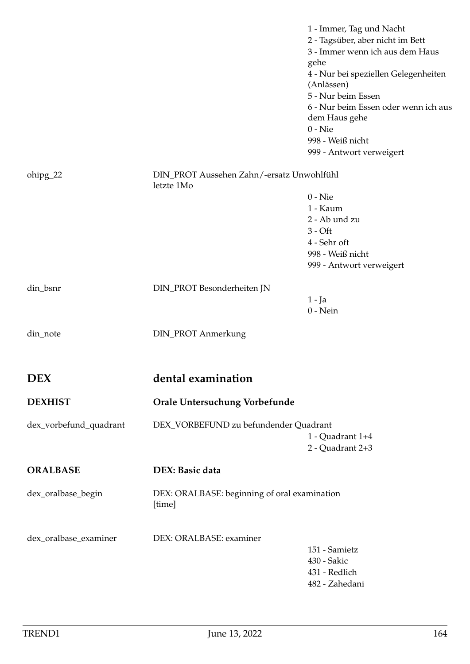|                        |                                                         | 1 - Immer, Tag und Nacht<br>2 - Tagsüber, aber nicht im Bett<br>3 - Immer wenn ich aus dem Haus<br>gehe<br>4 - Nur bei speziellen Gelegenheiten<br>(Anlässen)<br>5 - Nur beim Essen<br>6 - Nur beim Essen oder wenn ich aus<br>dem Haus gehe<br>$0 -$ Nie<br>998 - Weiß nicht<br>999 - Antwort verweigert |
|------------------------|---------------------------------------------------------|-----------------------------------------------------------------------------------------------------------------------------------------------------------------------------------------------------------------------------------------------------------------------------------------------------------|
| ohipg_22               | DIN_PROT Aussehen Zahn/-ersatz Unwohlfühl<br>letzte 1Mo |                                                                                                                                                                                                                                                                                                           |
|                        |                                                         | $0 -$ Nie                                                                                                                                                                                                                                                                                                 |
|                        |                                                         | 1 - Kaum                                                                                                                                                                                                                                                                                                  |
|                        |                                                         |                                                                                                                                                                                                                                                                                                           |
|                        |                                                         | 2 - Ab und zu                                                                                                                                                                                                                                                                                             |
|                        |                                                         | $3 - Off$                                                                                                                                                                                                                                                                                                 |
|                        |                                                         | 4 - Sehr oft                                                                                                                                                                                                                                                                                              |
|                        |                                                         | 998 - Weiß nicht                                                                                                                                                                                                                                                                                          |
|                        |                                                         | 999 - Antwort verweigert                                                                                                                                                                                                                                                                                  |
| din_bsnr               | DIN_PROT Besonderheiten JN                              |                                                                                                                                                                                                                                                                                                           |
|                        |                                                         | 1 - Ja                                                                                                                                                                                                                                                                                                    |
|                        |                                                         | $0$ - Nein                                                                                                                                                                                                                                                                                                |
| din_note               | <b>DIN_PROT Anmerkung</b>                               |                                                                                                                                                                                                                                                                                                           |
| <b>DEX</b>             | dental examination                                      |                                                                                                                                                                                                                                                                                                           |
| <b>DEXHIST</b>         | Orale Untersuchung Vorbefunde                           |                                                                                                                                                                                                                                                                                                           |
| dex_vorbefund_quadrant | DEX_VORBEFUND zu befundender Quadrant                   | 1 - Quadrant 1+4<br>2 - Quadrant 2+3                                                                                                                                                                                                                                                                      |
| <b>ORALBASE</b>        | DEX: Basic data                                         |                                                                                                                                                                                                                                                                                                           |
| dex_oralbase_begin     | DEX: ORALBASE: beginning of oral examination<br>[time]  |                                                                                                                                                                                                                                                                                                           |
| dex_oralbase_examiner  | DEX: ORALBASE: examiner                                 |                                                                                                                                                                                                                                                                                                           |
|                        |                                                         | 151 - Samietz                                                                                                                                                                                                                                                                                             |
|                        |                                                         | 430 - Sakic                                                                                                                                                                                                                                                                                               |
|                        |                                                         | 431 - Redlich                                                                                                                                                                                                                                                                                             |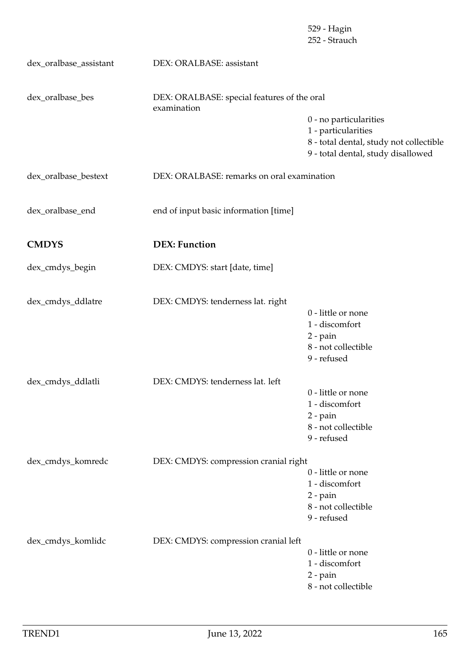|                        |                                                            | 529 - Hagin<br>252 - Strauch                                                                                                   |
|------------------------|------------------------------------------------------------|--------------------------------------------------------------------------------------------------------------------------------|
| dex_oralbase_assistant | DEX: ORALBASE: assistant                                   |                                                                                                                                |
| dex_oralbase_bes       | DEX: ORALBASE: special features of the oral<br>examination |                                                                                                                                |
|                        |                                                            | 0 - no particularities<br>1 - particularities<br>8 - total dental, study not collectible<br>9 - total dental, study disallowed |
| dex_oralbase_bestext   | DEX: ORALBASE: remarks on oral examination                 |                                                                                                                                |
| dex_oralbase_end       | end of input basic information [time]                      |                                                                                                                                |
| <b>CMDYS</b>           | <b>DEX: Function</b>                                       |                                                                                                                                |
| dex_cmdys_begin        | DEX: CMDYS: start [date, time]                             |                                                                                                                                |
| dex_cmdys_ddlatre      | DEX: CMDYS: tenderness lat. right                          | 0 - little or none                                                                                                             |
|                        |                                                            | 1 - discomfort                                                                                                                 |
|                        |                                                            | $2$ - pain                                                                                                                     |
|                        |                                                            | 8 - not collectible<br>9 - refused                                                                                             |
| dex_cmdys_ddlatli      | DEX: CMDYS: tenderness lat. left                           |                                                                                                                                |
|                        |                                                            | 0 - little or none                                                                                                             |
|                        |                                                            | 1 - discomfort<br>$2$ - pain                                                                                                   |
|                        |                                                            | 8 - not collectible                                                                                                            |
|                        |                                                            | 9 - refused                                                                                                                    |
| dex_cmdys_komredc      | DEX: CMDYS: compression cranial right                      |                                                                                                                                |
|                        |                                                            | 0 - little or none                                                                                                             |
|                        |                                                            | 1 - discomfort<br>$2$ - pain                                                                                                   |
|                        |                                                            | 8 - not collectible                                                                                                            |
|                        |                                                            | 9 - refused                                                                                                                    |
| dex_cmdys_komlidc      | DEX: CMDYS: compression cranial left                       |                                                                                                                                |
|                        |                                                            | 0 - little or none                                                                                                             |
|                        |                                                            | 1 - discomfort<br>$2$ - pain                                                                                                   |
|                        |                                                            | 8 - not collectible                                                                                                            |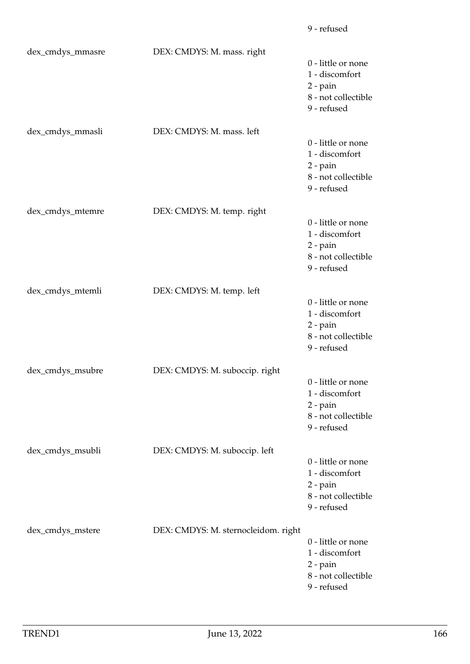| dex_cmdys_mmasre | DEX: CMDYS: M. mass. right          | 0 - little or none<br>1 - discomfort<br>$2$ - pain<br>8 - not collectible<br>9 - refused   |
|------------------|-------------------------------------|--------------------------------------------------------------------------------------------|
| dex_cmdys_mmasli | DEX: CMDYS: M. mass. left           | 0 - little or none<br>1 - discomfort<br>$2$ - pain<br>8 - not collectible<br>9 - refused   |
| dex_cmdys_mtemre | DEX: CMDYS: M. temp. right          | 0 - little or none<br>1 - discomfort<br>$2$ - pain<br>8 - not collectible<br>9 - refused   |
| dex_cmdys_mtemli | DEX: CMDYS: M. temp. left           | 0 - little or none<br>1 - discomfort<br>$2$ - pain<br>8 - not collectible<br>9 - refused   |
| dex_cmdys_msubre | DEX: CMDYS: M. suboccip. right      | 0 - little or none<br>1 - discomfort<br>$2$ - pain<br>8 - not collectible<br>9 - refused   |
| dex_cmdys_msubli | DEX: CMDYS: M. suboccip. left       | 0 - little or none<br>1 - discomfort<br>2 - pain<br>8 - not collectible<br>9 - refused     |
| dex_cmdys_mstere | DEX: CMDYS: M. sternocleidom. right | 0 - little or none<br>1 - discomfort<br>$2$ - $pain$<br>8 - not collectible<br>9 - refused |

9 - refused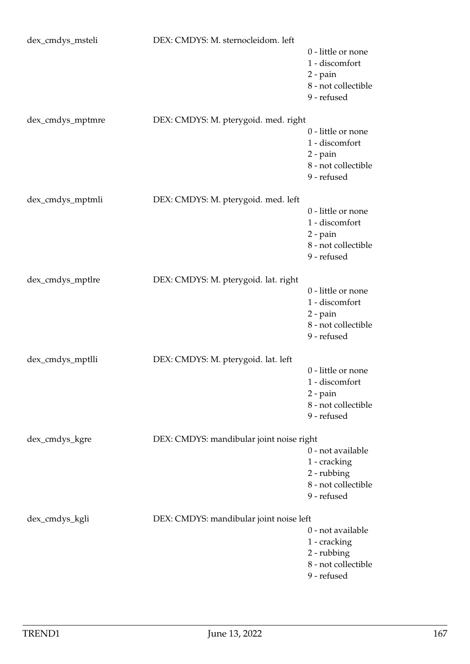| dex_cmdys_msteli | DEX: CMDYS: M. sternocleidom. left       |                                                                                          |
|------------------|------------------------------------------|------------------------------------------------------------------------------------------|
|                  |                                          | 0 - little or none<br>1 - discomfort<br>$2$ - pain<br>8 - not collectible<br>9 - refused |
| dex_cmdys_mptmre | DEX: CMDYS: M. pterygoid. med. right     |                                                                                          |
|                  |                                          | 0 - little or none<br>1 - discomfort<br>$2$ - pain<br>8 - not collectible<br>9 - refused |
| dex_cmdys_mptmli | DEX: CMDYS: M. pterygoid. med. left      |                                                                                          |
|                  |                                          | 0 - little or none<br>1 - discomfort<br>$2$ - pain<br>8 - not collectible<br>9 - refused |
| dex_cmdys_mptlre | DEX: CMDYS: M. pterygoid. lat. right     |                                                                                          |
|                  |                                          | 0 - little or none<br>1 - discomfort<br>$2$ - pain<br>8 - not collectible<br>9 - refused |
| dex_cmdys_mptlli | DEX: CMDYS: M. pterygoid. lat. left      |                                                                                          |
|                  |                                          | 0 - little or none<br>1 - discomfort<br>$2$ - pain<br>8 - not collectible<br>9 - refused |
| dex_cmdys_kgre   | DEX: CMDYS: mandibular joint noise right |                                                                                          |
|                  |                                          | 0 - not available<br>1 - cracking<br>2 - rubbing<br>8 - not collectible<br>9 - refused   |
| dex_cmdys_kgli   | DEX: CMDYS: mandibular joint noise left  |                                                                                          |
|                  |                                          | 0 - not available<br>1 - cracking<br>2 - rubbing<br>8 - not collectible<br>9 - refused   |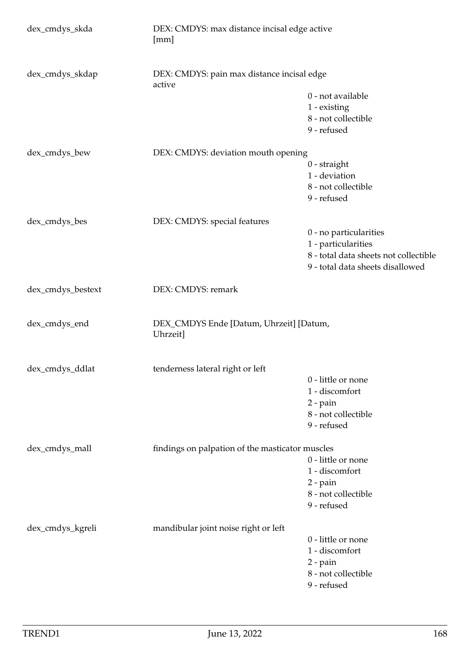| dex_cmdys_skda    | DEX: CMDYS: max distance incisal edge active<br>[mm] |                                       |  |
|-------------------|------------------------------------------------------|---------------------------------------|--|
| dex_cmdys_skdap   | DEX: CMDYS: pain max distance incisal edge<br>active |                                       |  |
|                   |                                                      | 0 - not available                     |  |
|                   |                                                      | 1 - existing                          |  |
|                   |                                                      | 8 - not collectible                   |  |
|                   |                                                      | 9 - refused                           |  |
| dex_cmdys_bew     |                                                      | DEX: CMDYS: deviation mouth opening   |  |
|                   |                                                      | $0$ - straight                        |  |
|                   |                                                      | 1 - deviation                         |  |
|                   |                                                      | 8 - not collectible                   |  |
|                   |                                                      | 9 - refused                           |  |
| dex_cmdys_bes     | DEX: CMDYS: special features                         |                                       |  |
|                   |                                                      | 0 - no particularities                |  |
|                   |                                                      | 1 - particularities                   |  |
|                   |                                                      | 8 - total data sheets not collectible |  |
|                   |                                                      | 9 - total data sheets disallowed      |  |
| dex_cmdys_bestext | DEX: CMDYS: remark                                   |                                       |  |
| dex_cmdys_end     | DEX_CMDYS Ende [Datum, Uhrzeit] [Datum,<br>Uhrzeit]  |                                       |  |
| dex_cmdys_ddlat   | tenderness lateral right or left                     |                                       |  |
|                   |                                                      | 0 - little or none                    |  |
|                   |                                                      | 1 - discomfort                        |  |
|                   |                                                      | $2$ - pain                            |  |
|                   |                                                      | 8 - not collectible                   |  |
|                   |                                                      | 9 - refused                           |  |
| dex_cmdys_mall    | findings on palpation of the masticator muscles      |                                       |  |
|                   |                                                      | 0 - little or none                    |  |
|                   |                                                      | 1 - discomfort                        |  |
|                   |                                                      | $2$ - pain                            |  |
|                   |                                                      | 8 - not collectible                   |  |
|                   |                                                      | 9 - refused                           |  |
| dex_cmdys_kgreli  | mandibular joint noise right or left                 |                                       |  |
|                   |                                                      | 0 - little or none                    |  |
|                   |                                                      | 1 - discomfort                        |  |
|                   |                                                      | $2$ - pain                            |  |
|                   |                                                      | 8 - not collectible                   |  |
|                   |                                                      | 9 - refused                           |  |
|                   |                                                      |                                       |  |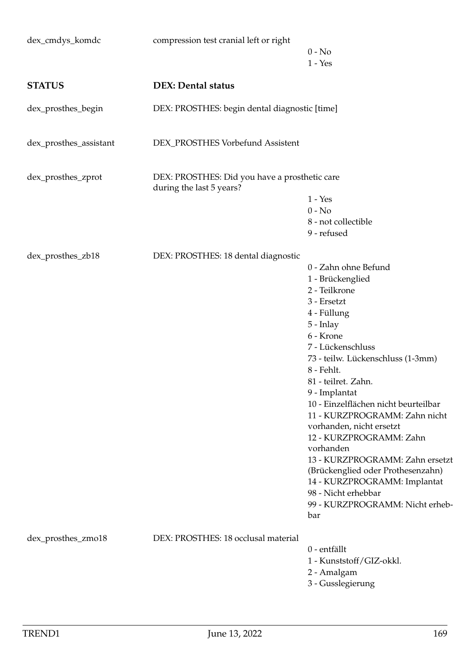| dex_cmdys_komdc        | compression test cranial left or right                                    | $0 - No$                                            |
|------------------------|---------------------------------------------------------------------------|-----------------------------------------------------|
| <b>STATUS</b>          | <b>DEX: Dental status</b>                                                 | $1 - Yes$                                           |
|                        |                                                                           |                                                     |
| dex_prosthes_begin     | DEX: PROSTHES: begin dental diagnostic [time]                             |                                                     |
| dex_prosthes_assistant | DEX_PROSTHES Vorbefund Assistent                                          |                                                     |
| dex_prosthes_zprot     | DEX: PROSTHES: Did you have a prosthetic care<br>during the last 5 years? |                                                     |
|                        |                                                                           | $1 - Yes$                                           |
|                        |                                                                           | $0 - No$                                            |
|                        |                                                                           | 8 - not collectible                                 |
|                        |                                                                           | 9 - refused                                         |
| dex_prosthes_zb18      | DEX: PROSTHES: 18 dental diagnostic                                       |                                                     |
|                        |                                                                           | 0 - Zahn ohne Befund                                |
|                        |                                                                           | 1 - Brückenglied                                    |
|                        |                                                                           | 2 - Teilkrone                                       |
|                        |                                                                           | 3 - Ersetzt                                         |
|                        |                                                                           | 4 - Füllung                                         |
|                        |                                                                           | 5 - Inlay                                           |
|                        |                                                                           | 6 - Krone                                           |
|                        |                                                                           | 7 - Lückenschluss                                   |
|                        |                                                                           | 73 - teilw. Lückenschluss (1-3mm)                   |
|                        |                                                                           | 8 - Fehlt.                                          |
|                        |                                                                           | 81 - teilret. Zahn.                                 |
|                        |                                                                           | 9 - Implantat                                       |
|                        |                                                                           | 10 - Einzelflächen nicht beurteilbar                |
|                        |                                                                           | 11 - KURZPROGRAMM: Zahn nicht                       |
|                        |                                                                           | vorhanden, nicht ersetzt                            |
|                        |                                                                           | 12 - KURZPROGRAMM: Zahn                             |
|                        |                                                                           | vorhanden                                           |
|                        |                                                                           | 13 - KURZPROGRAMM: Zahn ersetzt                     |
|                        |                                                                           | (Brückenglied oder Prothesenzahn)                   |
|                        |                                                                           | 14 - KURZPROGRAMM: Implantat<br>98 - Nicht erhebbar |
|                        |                                                                           | 99 - KURZPROGRAMM: Nicht erheb-                     |
|                        |                                                                           | bar                                                 |
|                        | DEX: PROSTHES: 18 occlusal material                                       |                                                     |
| dex_prosthes_zmo18     |                                                                           | 0 - entfällt                                        |
|                        |                                                                           | 1 - Kunststoff/GIZ-okkl.                            |
|                        |                                                                           | 2 - Amalgam                                         |
|                        |                                                                           | 3 - Gusslegierung                                   |
|                        |                                                                           |                                                     |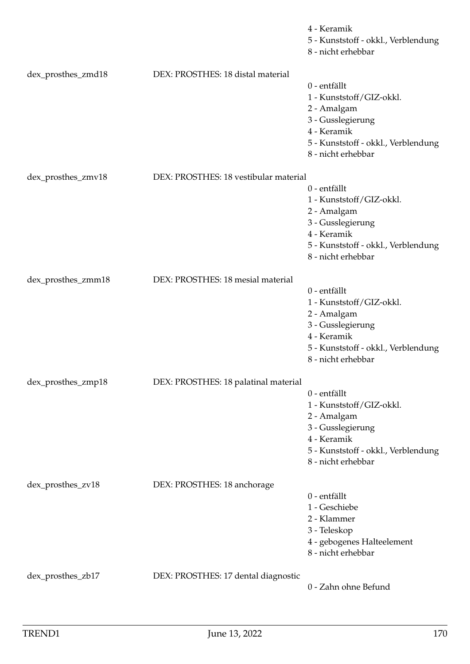|                    |                                       | 4 - Keramik<br>5 - Kunststoff - okkl., Verblendung<br>8 - nicht erhebbar |
|--------------------|---------------------------------------|--------------------------------------------------------------------------|
| dex_prosthes_zmd18 | DEX: PROSTHES: 18 distal material     | 0 - entfällt                                                             |
|                    |                                       | 1 - Kunststoff/GIZ-okkl.                                                 |
|                    |                                       | 2 - Amalgam                                                              |
|                    |                                       | 3 - Gusslegierung                                                        |
|                    |                                       | 4 - Keramik                                                              |
|                    |                                       | 5 - Kunststoff - okkl., Verblendung                                      |
|                    |                                       | 8 - nicht erhebbar                                                       |
| dex_prosthes_zmv18 | DEX: PROSTHES: 18 vestibular material |                                                                          |
|                    |                                       | 0 - entfällt                                                             |
|                    |                                       | 1 - Kunststoff/GIZ-okkl.                                                 |
|                    |                                       | 2 - Amalgam                                                              |
|                    |                                       | 3 - Gusslegierung                                                        |
|                    |                                       | 4 - Keramik                                                              |
|                    |                                       | 5 - Kunststoff - okkl., Verblendung                                      |
|                    |                                       | 8 - nicht erhebbar                                                       |
| dex_prosthes_zmm18 | DEX: PROSTHES: 18 mesial material     |                                                                          |
|                    |                                       | 0 - entfällt                                                             |
|                    |                                       | 1 - Kunststoff/GIZ-okkl.                                                 |
|                    |                                       | 2 - Amalgam                                                              |
|                    |                                       | 3 - Gusslegierung                                                        |
|                    |                                       | 4 - Keramik                                                              |
|                    |                                       | 5 - Kunststoff - okkl., Verblendung                                      |
|                    |                                       | 8 - nicht erhebbar                                                       |
| dex_prosthes_zmp18 | DEX: PROSTHES: 18 palatinal material  |                                                                          |
|                    |                                       | 0 - entfällt                                                             |
|                    |                                       | 1 - Kunststoff/GIZ-okkl.                                                 |
|                    |                                       | 2 - Amalgam                                                              |
|                    |                                       | 3 - Gusslegierung                                                        |
|                    |                                       | 4 - Keramik                                                              |
|                    |                                       | 5 - Kunststoff - okkl., Verblendung                                      |
|                    |                                       | 8 - nicht erhebbar                                                       |
| dex_prosthes_zv18  | DEX: PROSTHES: 18 anchorage           |                                                                          |
|                    |                                       | 0 - entfällt                                                             |
|                    |                                       | 1 - Geschiebe                                                            |
|                    |                                       | 2 - Klammer                                                              |
|                    |                                       | 3 - Teleskop                                                             |
|                    |                                       | 4 - gebogenes Halteelement                                               |
|                    |                                       | 8 - nicht erhebbar                                                       |
|                    |                                       |                                                                          |
| dex_prosthes_zb17  | DEX: PROSTHES: 17 dental diagnostic   | 0 - Zahn ohne Befund                                                     |
|                    |                                       |                                                                          |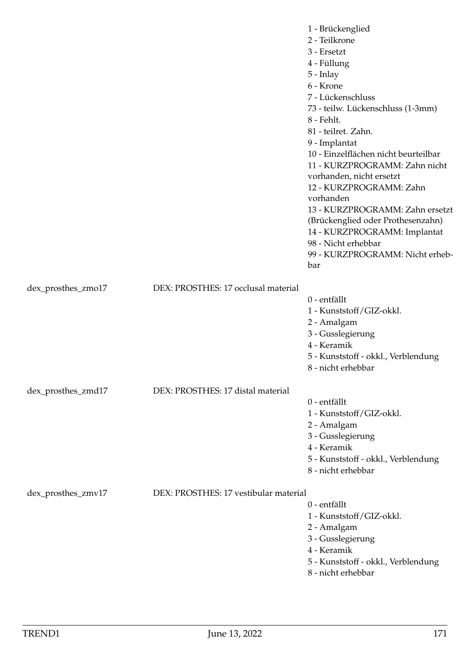|                    |                                       | 1 - Brückenglied<br>2 - Teilkrone<br>3 - Ersetzt<br>4 - Füllung<br>$5$ - Inlay<br>6 - Krone<br>7 - Lückenschluss<br>73 - teilw. Lückenschluss (1-3mm)<br>8 - Fehlt.<br>81 - teilret. Zahn.<br>9 - Implantat<br>10 - Einzelflächen nicht beurteilbar<br>11 - KURZPROGRAMM: Zahn nicht<br>vorhanden, nicht ersetzt<br>12 - KURZPROGRAMM: Zahn<br>vorhanden<br>13 - KURZPROGRAMM: Zahn ersetzt<br>(Brückenglied oder Prothesenzahn)<br>14 - KURZPROGRAMM: Implantat<br>98 - Nicht erhebbar<br>99 - KURZPROGRAMM: Nicht erheb-<br>bar |
|--------------------|---------------------------------------|-----------------------------------------------------------------------------------------------------------------------------------------------------------------------------------------------------------------------------------------------------------------------------------------------------------------------------------------------------------------------------------------------------------------------------------------------------------------------------------------------------------------------------------|
| dex_prosthes_zmo17 | DEX: PROSTHES: 17 occlusal material   |                                                                                                                                                                                                                                                                                                                                                                                                                                                                                                                                   |
|                    |                                       | 0 - entfällt<br>1 - Kunststoff/GIZ-okkl.<br>2 - Amalgam<br>3 - Gusslegierung<br>4 - Keramik<br>5 - Kunststoff - okkl., Verblendung<br>8 - nicht erhebbar                                                                                                                                                                                                                                                                                                                                                                          |
| dex_prosthes_zmd17 | DEX: PROSTHES: 17 distal material     |                                                                                                                                                                                                                                                                                                                                                                                                                                                                                                                                   |
|                    |                                       | 0 - entfällt<br>1 - Kunststoff/GIZ-okkl.<br>2 - Amalgam<br>3 - Gusslegierung<br>4 - Keramik<br>5 - Kunststoff - okkl., Verblendung<br>8 - nicht erhebbar                                                                                                                                                                                                                                                                                                                                                                          |
| dex_prosthes_zmv17 | DEX: PROSTHES: 17 vestibular material | 0 - entfällt<br>1 - Kunststoff/GIZ-okkl.<br>2 - Amalgam<br>3 - Gusslegierung<br>4 - Keramik<br>5 - Kunststoff - okkl., Verblendung<br>8 - nicht erhebbar                                                                                                                                                                                                                                                                                                                                                                          |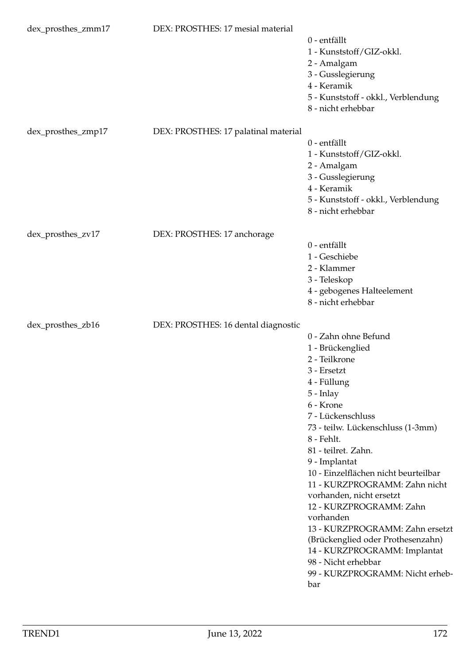| dex_prosthes_zmm17 | DEX: PROSTHES: 17 mesial material    | 0 - entfällt<br>1 - Kunststoff/GIZ-okkl.<br>2 - Amalgam<br>3 - Gusslegierung<br>4 - Keramik<br>5 - Kunststoff - okkl., Verblendung<br>8 - nicht erhebbar                                                                                                                                                                                                                                                                                                                                                                                                  |
|--------------------|--------------------------------------|-----------------------------------------------------------------------------------------------------------------------------------------------------------------------------------------------------------------------------------------------------------------------------------------------------------------------------------------------------------------------------------------------------------------------------------------------------------------------------------------------------------------------------------------------------------|
| dex_prosthes_zmp17 | DEX: PROSTHES: 17 palatinal material | 0 - entfällt<br>1 - Kunststoff/GIZ-okkl.<br>2 - Amalgam<br>3 - Gusslegierung<br>4 - Keramik<br>5 - Kunststoff - okkl., Verblendung<br>8 - nicht erhebbar                                                                                                                                                                                                                                                                                                                                                                                                  |
| dex_prosthes_zv17  | DEX: PROSTHES: 17 anchorage          |                                                                                                                                                                                                                                                                                                                                                                                                                                                                                                                                                           |
|                    |                                      | 0 - entfällt<br>1 - Geschiebe<br>2 - Klammer<br>3 - Teleskop<br>4 - gebogenes Halteelement<br>8 - nicht erhebbar                                                                                                                                                                                                                                                                                                                                                                                                                                          |
| dex_prosthes_zb16  | DEX: PROSTHES: 16 dental diagnostic  | 0 - Zahn ohne Befund<br>1 - Brückenglied<br>2 - Teilkrone<br>3 - Ersetzt<br>4 - Füllung<br>$5$ - Inlay<br>6 - Krone<br>7 - Lückenschluss<br>73 - teilw. Lückenschluss (1-3mm)<br>8 - Fehlt.<br>81 - teilret. Zahn.<br>9 - Implantat<br>10 - Einzelflächen nicht beurteilbar<br>11 - KURZPROGRAMM: Zahn nicht<br>vorhanden, nicht ersetzt<br>12 - KURZPROGRAMM: Zahn<br>vorhanden<br>13 - KURZPROGRAMM: Zahn ersetzt<br>(Brückenglied oder Prothesenzahn)<br>14 - KURZPROGRAMM: Implantat<br>98 - Nicht erhebbar<br>99 - KURZPROGRAMM: Nicht erheb-<br>bar |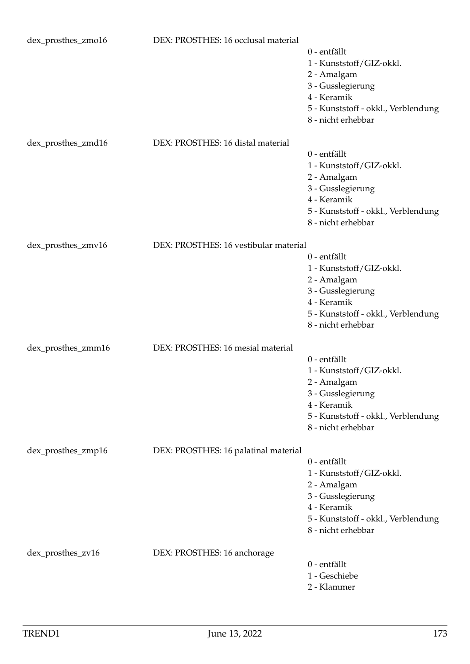| dex_prosthes_zmo16 | DEX: PROSTHES: 16 occlusal material   | 0 - entfällt<br>1 - Kunststoff/GIZ-okkl.<br>2 - Amalgam<br>3 - Gusslegierung<br>4 - Keramik<br>5 - Kunststoff - okkl., Verblendung<br>8 - nicht erhebbar |
|--------------------|---------------------------------------|----------------------------------------------------------------------------------------------------------------------------------------------------------|
| dex_prosthes_zmd16 | DEX: PROSTHES: 16 distal material     | 0 - entfällt<br>1 - Kunststoff/GIZ-okkl.<br>2 - Amalgam<br>3 - Gusslegierung<br>4 - Keramik<br>5 - Kunststoff - okkl., Verblendung<br>8 - nicht erhebbar |
| dex_prosthes_zmv16 | DEX: PROSTHES: 16 vestibular material |                                                                                                                                                          |
|                    |                                       | 0 - entfällt<br>1 - Kunststoff/GIZ-okkl.<br>2 - Amalgam<br>3 - Gusslegierung<br>4 - Keramik<br>5 - Kunststoff - okkl., Verblendung<br>8 - nicht erhebbar |
| dex_prosthes_zmm16 | DEX: PROSTHES: 16 mesial material     |                                                                                                                                                          |
|                    |                                       | 0 - entfällt<br>1 - Kunststoff/GIZ-okkl.<br>2 - Amalgam<br>3 - Gusslegierung<br>4 - Keramik<br>5 - Kunststoff - okkl., Verblendung<br>8 - nicht erhebbar |
| dex_prosthes_zmp16 | DEX: PROSTHES: 16 palatinal material  | 0 - entfällt<br>1 - Kunststoff/GIZ-okkl.<br>2 - Amalgam<br>3 - Gusslegierung<br>4 - Keramik<br>5 - Kunststoff - okkl., Verblendung<br>8 - nicht erhebbar |
| dex_prosthes_zv16  | DEX: PROSTHES: 16 anchorage           |                                                                                                                                                          |
|                    |                                       | 0 - entfällt<br>1 - Geschiebe<br>2 - Klammer                                                                                                             |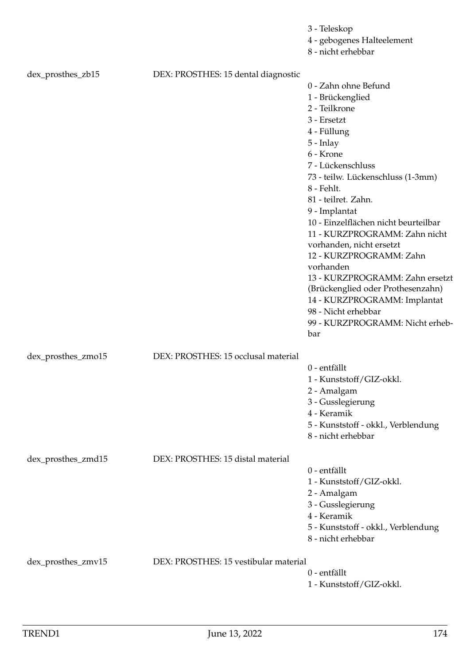|                    |                                       | 3 - Teleskop<br>4 - gebogenes Halteelement<br>8 - nicht erhebbar                                                                                                                                                                                                                                                                                                                                                                                                                                                                                        |
|--------------------|---------------------------------------|---------------------------------------------------------------------------------------------------------------------------------------------------------------------------------------------------------------------------------------------------------------------------------------------------------------------------------------------------------------------------------------------------------------------------------------------------------------------------------------------------------------------------------------------------------|
| dex_prosthes_zb15  | DEX: PROSTHES: 15 dental diagnostic   | 0 - Zahn ohne Befund<br>1 - Brückenglied<br>2 - Teilkrone<br>3 - Ersetzt<br>4 - Füllung<br>5 - Inlay<br>6 - Krone<br>7 - Lückenschluss<br>73 - teilw. Lückenschluss (1-3mm)<br>8 - Fehlt.<br>81 - teilret. Zahn.<br>9 - Implantat<br>10 - Einzelflächen nicht beurteilbar<br>11 - KURZPROGRAMM: Zahn nicht<br>vorhanden, nicht ersetzt<br>12 - KURZPROGRAMM: Zahn<br>vorhanden<br>13 - KURZPROGRAMM: Zahn ersetzt<br>(Brückenglied oder Prothesenzahn)<br>14 - KURZPROGRAMM: Implantat<br>98 - Nicht erhebbar<br>99 - KURZPROGRAMM: Nicht erheb-<br>bar |
| dex_prosthes_zmo15 | DEX: PROSTHES: 15 occlusal material   | 0 - entfällt<br>1 - Kunststoff/GIZ-okkl.<br>2 - Amalgam<br>3 - Gusslegierung<br>4 - Keramik<br>5 - Kunststoff - okkl., Verblendung<br>8 - nicht erhebbar                                                                                                                                                                                                                                                                                                                                                                                                |
| dex_prosthes_zmd15 | DEX: PROSTHES: 15 distal material     | 0 - entfällt<br>1 - Kunststoff/GIZ-okkl.<br>2 - Amalgam<br>3 - Gusslegierung<br>4 - Keramik<br>5 - Kunststoff - okkl., Verblendung<br>8 - nicht erhebbar                                                                                                                                                                                                                                                                                                                                                                                                |
| dex_prosthes_zmv15 | DEX: PROSTHES: 15 vestibular material | 0 - entfällt<br>1 - Kunststoff/GIZ-okkl.                                                                                                                                                                                                                                                                                                                                                                                                                                                                                                                |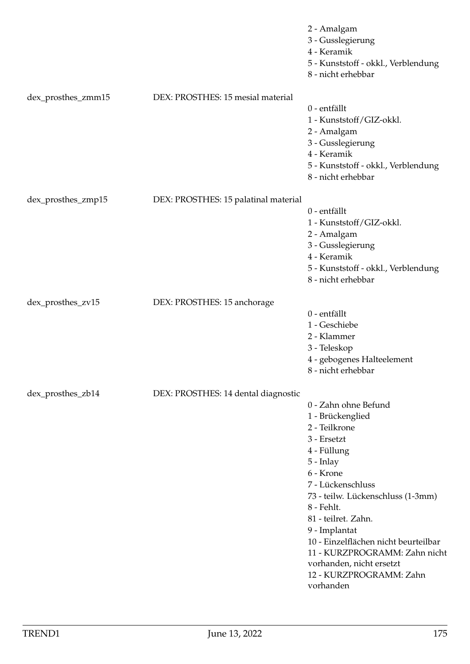|                    |                                      | 2 - Amalgam<br>3 - Gusslegierung<br>4 - Keramik<br>5 - Kunststoff - okkl., Verblendung<br>8 - nicht erhebbar                                                                                                                                                                                                                                                                   |
|--------------------|--------------------------------------|--------------------------------------------------------------------------------------------------------------------------------------------------------------------------------------------------------------------------------------------------------------------------------------------------------------------------------------------------------------------------------|
| dex_prosthes_zmm15 | DEX: PROSTHES: 15 mesial material    | 0 - entfällt<br>1 - Kunststoff/GIZ-okkl.<br>2 - Amalgam<br>3 - Gusslegierung<br>4 - Keramik<br>5 - Kunststoff - okkl., Verblendung<br>8 - nicht erhebbar                                                                                                                                                                                                                       |
| dex_prosthes_zmp15 | DEX: PROSTHES: 15 palatinal material | 0 - entfällt<br>1 - Kunststoff/GIZ-okkl.<br>2 - Amalgam<br>3 - Gusslegierung<br>4 - Keramik<br>5 - Kunststoff - okkl., Verblendung<br>8 - nicht erhebbar                                                                                                                                                                                                                       |
| dex_prosthes_zv15  | DEX: PROSTHES: 15 anchorage          | 0 - entfällt<br>1 - Geschiebe<br>2 - Klammer<br>3 - Teleskop<br>4 - gebogenes Halteelement<br>8 - nicht erhebbar                                                                                                                                                                                                                                                               |
| dex_prosthes_zb14  | DEX: PROSTHES: 14 dental diagnostic  | 0 - Zahn ohne Befund<br>1 - Brückenglied<br>2 - Teilkrone<br>3 - Ersetzt<br>4 - Füllung<br>5 - Inlay<br>6 - Krone<br>7 - Lückenschluss<br>73 - teilw. Lückenschluss (1-3mm)<br>8 - Fehlt.<br>81 - teilret. Zahn.<br>9 - Implantat<br>10 - Einzelflächen nicht beurteilbar<br>11 - KURZPROGRAMM: Zahn nicht<br>vorhanden, nicht ersetzt<br>12 - KURZPROGRAMM: Zahn<br>vorhanden |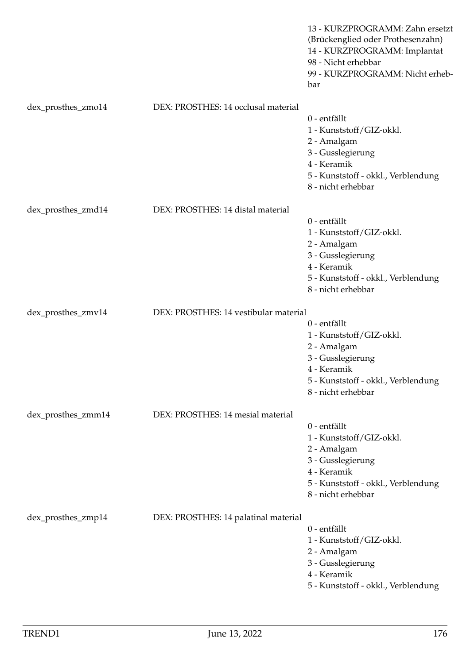|                    |                                       | 13 - KURZPROGRAMM: Zahn ersetzt<br>(Brückenglied oder Prothesenzahn)<br>14 - KURZPROGRAMM: Implantat<br>98 - Nicht erhebbar<br>99 - KURZPROGRAMM: Nicht erheb-<br>bar |
|--------------------|---------------------------------------|-----------------------------------------------------------------------------------------------------------------------------------------------------------------------|
| dex_prosthes_zmo14 | DEX: PROSTHES: 14 occlusal material   | 0 - entfällt<br>1 - Kunststoff/GIZ-okkl.<br>2 - Amalgam<br>3 - Gusslegierung<br>4 - Keramik<br>5 - Kunststoff - okkl., Verblendung<br>8 - nicht erhebbar              |
| dex_prosthes_zmd14 | DEX: PROSTHES: 14 distal material     | 0 - entfällt<br>1 - Kunststoff/GIZ-okkl.<br>2 - Amalgam<br>3 - Gusslegierung<br>4 - Keramik<br>5 - Kunststoff - okkl., Verblendung<br>8 - nicht erhebbar              |
| dex_prosthes_zmv14 | DEX: PROSTHES: 14 vestibular material | 0 - entfällt<br>1 - Kunststoff/GIZ-okkl.<br>2 - Amalgam<br>3 - Gusslegierung<br>4 - Keramik<br>5 - Kunststoff - okkl., Verblendung<br>8 - nicht erhebbar              |
| dex_prosthes_zmm14 | DEX: PROSTHES: 14 mesial material     | 0 - entfällt<br>1 - Kunststoff/GIZ-okkl.<br>2 - Amalgam<br>3 - Gusslegierung<br>4 - Keramik<br>5 - Kunststoff - okkl., Verblendung<br>8 - nicht erhebbar              |
| dex_prosthes_zmp14 | DEX: PROSTHES: 14 palatinal material  | 0 - entfällt<br>1 - Kunststoff/GIZ-okkl.<br>2 - Amalgam<br>3 - Gusslegierung<br>4 - Keramik<br>5 - Kunststoff - okkl., Verblendung                                    |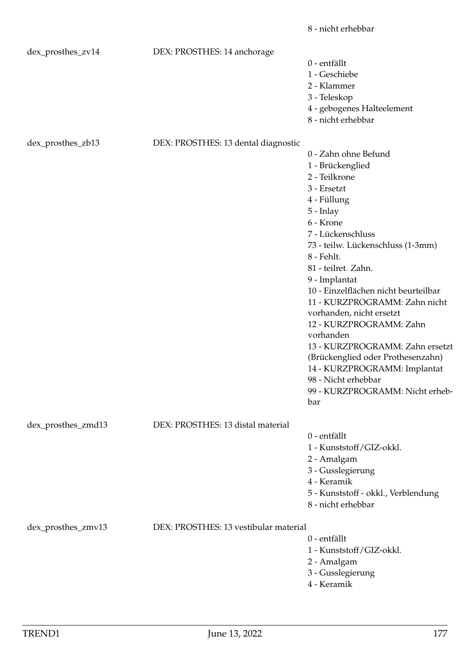|                    |                                       | 8 - nicht erhebbar                   |
|--------------------|---------------------------------------|--------------------------------------|
| dex_prosthes_zv14  | DEX: PROSTHES: 14 anchorage           |                                      |
|                    |                                       | 0 - entfällt                         |
|                    |                                       | 1 - Geschiebe                        |
|                    |                                       | 2 - Klammer                          |
|                    |                                       | 3 - Teleskop                         |
|                    |                                       | 4 - gebogenes Halteelement           |
|                    |                                       | 8 - nicht erhebbar                   |
| dex_prosthes_zb13  | DEX: PROSTHES: 13 dental diagnostic   |                                      |
|                    |                                       | 0 - Zahn ohne Befund                 |
|                    |                                       | 1 - Brückenglied                     |
|                    |                                       | 2 - Teilkrone                        |
|                    |                                       | 3 - Ersetzt                          |
|                    |                                       | 4 - Füllung                          |
|                    |                                       | 5 - Inlay                            |
|                    |                                       | 6 - Krone                            |
|                    |                                       | 7 - Lückenschluss                    |
|                    |                                       | 73 - teilw. Lückenschluss (1-3mm)    |
|                    |                                       | 8 - Fehlt.                           |
|                    |                                       | 81 - teilret. Zahn.                  |
|                    |                                       | 9 - Implantat                        |
|                    |                                       | 10 - Einzelflächen nicht beurteilbar |
|                    |                                       | 11 - KURZPROGRAMM: Zahn nicht        |
|                    |                                       | vorhanden, nicht ersetzt             |
|                    |                                       | 12 - KURZPROGRAMM: Zahn              |
|                    |                                       | vorhanden                            |
|                    |                                       | 13 - KURZPROGRAMM: Zahn ersetzt      |
|                    |                                       | (Brückenglied oder Prothesenzahn)    |
|                    |                                       | 14 - KURZPROGRAMM: Implantat         |
|                    |                                       | 98 - Nicht erhebbar                  |
|                    |                                       | 99 - KURZPROGRAMM: Nicht erheb-      |
|                    |                                       | bar                                  |
| dex_prosthes_zmd13 | DEX: PROSTHES: 13 distal material     |                                      |
|                    |                                       | 0 - entfällt                         |
|                    |                                       | 1 - Kunststoff/GIZ-okkl.             |
|                    |                                       | 2 - Amalgam                          |
|                    |                                       | 3 - Gusslegierung                    |
|                    |                                       | 4 - Keramik                          |
|                    |                                       | 5 - Kunststoff - okkl., Verblendung  |
|                    |                                       | 8 - nicht erhebbar                   |
| dex_prosthes_zmv13 | DEX: PROSTHES: 13 vestibular material |                                      |
|                    |                                       | 0 - entfällt                         |
|                    |                                       | 1 - Kunststoff/GIZ-okkl.             |
|                    |                                       | 2 - Amalgam                          |
|                    |                                       | 3 - Gusslegierung                    |
|                    |                                       | 4 - Keramik                          |
|                    |                                       |                                      |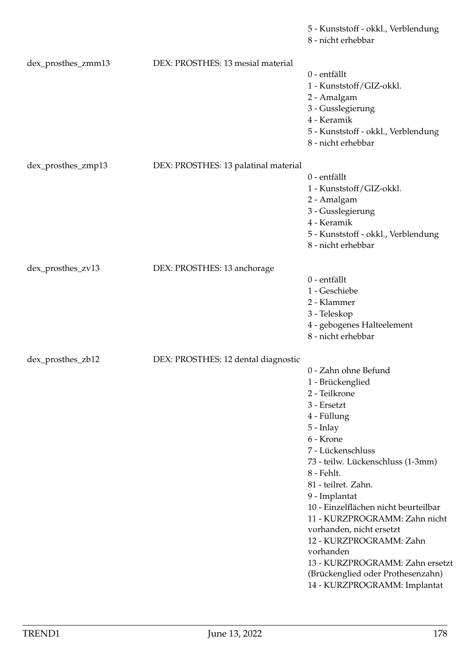|                    |                                      | 5 - Kunststoff - okkl., Verblendung<br>8 - nicht erhebbar                                                                                                                                                                                                                                                                                                                                                                                                                              |
|--------------------|--------------------------------------|----------------------------------------------------------------------------------------------------------------------------------------------------------------------------------------------------------------------------------------------------------------------------------------------------------------------------------------------------------------------------------------------------------------------------------------------------------------------------------------|
| dex_prosthes_zmm13 | DEX: PROSTHES: 13 mesial material    | 0 - entfällt<br>1 - Kunststoff/GIZ-okkl.<br>2 - Amalgam<br>3 - Gusslegierung<br>4 - Keramik<br>5 - Kunststoff - okkl., Verblendung<br>8 - nicht erhebbar                                                                                                                                                                                                                                                                                                                               |
| dex_prosthes_zmp13 | DEX: PROSTHES: 13 palatinal material | 0 - entfällt<br>1 - Kunststoff/GIZ-okkl.<br>2 - Amalgam<br>3 - Gusslegierung<br>4 - Keramik<br>5 - Kunststoff - okkl., Verblendung<br>8 - nicht erhebbar                                                                                                                                                                                                                                                                                                                               |
| dex_prosthes_zv13  | DEX: PROSTHES: 13 anchorage          | 0 - entfällt<br>1 - Geschiebe<br>2 - Klammer<br>3 - Teleskop<br>4 - gebogenes Halteelement<br>8 - nicht erhebbar                                                                                                                                                                                                                                                                                                                                                                       |
| dex_prosthes_zb12  | DEX: PROSTHES: 12 dental diagnostic  | 0 - Zahn ohne Befund<br>1 - Brückenglied<br>2 - Teilkrone<br>3 - Ersetzt<br>4 - Füllung<br>5 - Inlay<br>6 - Krone<br>7 - Lückenschluss<br>73 - teilw. Lückenschluss (1-3mm)<br>8 - Fehlt.<br>81 - teilret. Zahn.<br>9 - Implantat<br>10 - Einzelflächen nicht beurteilbar<br>11 - KURZPROGRAMM: Zahn nicht<br>vorhanden, nicht ersetzt<br>12 - KURZPROGRAMM: Zahn<br>vorhanden<br>13 - KURZPROGRAMM: Zahn ersetzt<br>(Brückenglied oder Prothesenzahn)<br>14 - KURZPROGRAMM: Implantat |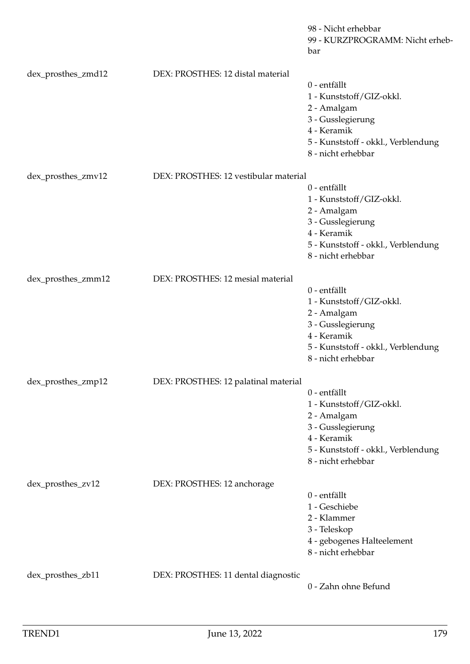|                    |                                       | 98 - Nicht erhebbar<br>99 - KURZPROGRAMM: Nicht erheb-<br>bar                                                                                            |
|--------------------|---------------------------------------|----------------------------------------------------------------------------------------------------------------------------------------------------------|
| dex_prosthes_zmd12 | DEX: PROSTHES: 12 distal material     |                                                                                                                                                          |
|                    |                                       | 0 - entfällt<br>1 - Kunststoff/GIZ-okkl.<br>2 - Amalgam<br>3 - Gusslegierung<br>4 - Keramik<br>5 - Kunststoff - okkl., Verblendung<br>8 - nicht erhebbar |
| dex_prosthes_zmv12 | DEX: PROSTHES: 12 vestibular material |                                                                                                                                                          |
|                    |                                       | 0 - entfällt<br>1 - Kunststoff/GIZ-okkl.<br>2 - Amalgam<br>3 - Gusslegierung<br>4 - Keramik<br>5 - Kunststoff - okkl., Verblendung<br>8 - nicht erhebbar |
| dex_prosthes_zmm12 | DEX: PROSTHES: 12 mesial material     | 0 - entfällt<br>1 - Kunststoff/GIZ-okkl.<br>2 - Amalgam<br>3 - Gusslegierung<br>4 - Keramik<br>5 - Kunststoff - okkl., Verblendung<br>8 - nicht erhebbar |
| dex_prosthes_zmp12 | DEX: PROSTHES: 12 palatinal material  |                                                                                                                                                          |
|                    |                                       | 0 - entfällt<br>1 - Kunststoff/GIZ-okkl.<br>2 - Amalgam<br>3 - Gusslegierung<br>4 - Keramik<br>5 - Kunststoff - okkl., Verblendung<br>8 - nicht erhebbar |
| dex_prosthes_zv12  | DEX: PROSTHES: 12 anchorage           | 0 - entfällt<br>1 - Geschiebe<br>2 - Klammer<br>3 - Teleskop<br>4 - gebogenes Halteelement<br>8 - nicht erhebbar                                         |
| dex_prosthes_zb11  | DEX: PROSTHES: 11 dental diagnostic   | 0 - Zahn ohne Befund                                                                                                                                     |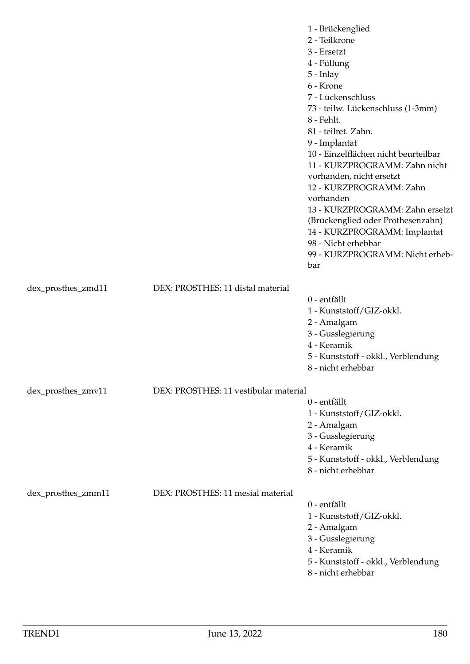|                    |                                       | 1 - Brückenglied<br>2 - Teilkrone<br>3 - Ersetzt<br>4 - Füllung<br>5 - Inlay<br>6 - Krone<br>7 - Lückenschluss<br>73 - teilw. Lückenschluss (1-3mm)<br>8 - Fehlt.<br>81 - teilret. Zahn.<br>9 - Implantat<br>10 - Einzelflächen nicht beurteilbar<br>11 - KURZPROGRAMM: Zahn nicht<br>vorhanden, nicht ersetzt<br>12 - KURZPROGRAMM: Zahn<br>vorhanden<br>13 - KURZPROGRAMM: Zahn ersetzt |
|--------------------|---------------------------------------|-------------------------------------------------------------------------------------------------------------------------------------------------------------------------------------------------------------------------------------------------------------------------------------------------------------------------------------------------------------------------------------------|
|                    |                                       | (Brückenglied oder Prothesenzahn)<br>14 - KURZPROGRAMM: Implantat<br>98 - Nicht erhebbar<br>99 - KURZPROGRAMM: Nicht erheb-<br>bar                                                                                                                                                                                                                                                        |
| dex_prosthes_zmd11 | DEX: PROSTHES: 11 distal material     | 0 - entfällt<br>1 - Kunststoff/GIZ-okkl.<br>2 - Amalgam<br>3 - Gusslegierung<br>4 - Keramik<br>5 - Kunststoff - okkl., Verblendung<br>8 - nicht erhebbar                                                                                                                                                                                                                                  |
| dex_prosthes_zmv11 | DEX: PROSTHES: 11 vestibular material | 0 - entfällt<br>1 - Kunststoff/GIZ-okkl.<br>2 - Amalgam<br>3 - Gusslegierung<br>4 - Keramik<br>5 - Kunststoff - okkl., Verblendung<br>8 - nicht erhebbar                                                                                                                                                                                                                                  |
| dex_prosthes_zmm11 | DEX: PROSTHES: 11 mesial material     | 0 - entfällt<br>1 - Kunststoff/GIZ-okkl.<br>2 - Amalgam<br>3 - Gusslegierung<br>4 - Keramik<br>5 - Kunststoff - okkl., Verblendung<br>8 - nicht erhebbar                                                                                                                                                                                                                                  |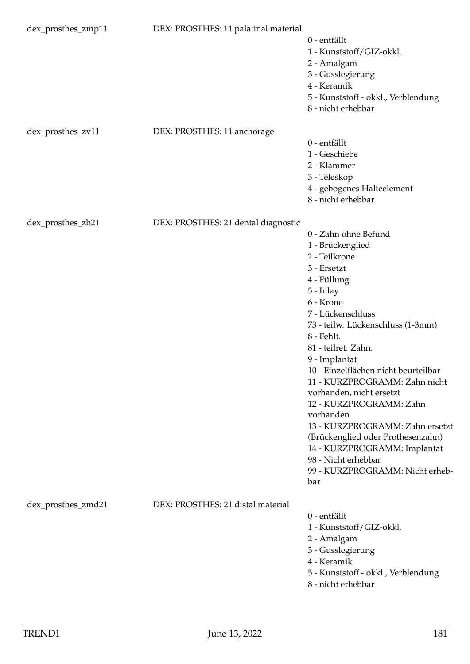| dex_prosthes_zmp11 | DEX: PROSTHES: 11 palatinal material | 0 - entfällt<br>1 - Kunststoff/GIZ-okkl.<br>2 - Amalgam<br>3 - Gusslegierung<br>4 - Keramik<br>5 - Kunststoff - okkl., Verblendung<br>8 - nicht erhebbar                                                                                                                                                                                                                                                                                                                                                                                                |
|--------------------|--------------------------------------|---------------------------------------------------------------------------------------------------------------------------------------------------------------------------------------------------------------------------------------------------------------------------------------------------------------------------------------------------------------------------------------------------------------------------------------------------------------------------------------------------------------------------------------------------------|
| dex_prosthes_zv11  | DEX: PROSTHES: 11 anchorage          | 0 - entfällt<br>1 - Geschiebe<br>2 - Klammer<br>3 - Teleskop<br>4 - gebogenes Halteelement<br>8 - nicht erhebbar                                                                                                                                                                                                                                                                                                                                                                                                                                        |
| dex_prosthes_zb21  | DEX: PROSTHES: 21 dental diagnostic  | 0 - Zahn ohne Befund<br>1 - Brückenglied<br>2 - Teilkrone<br>3 - Ersetzt<br>4 - Füllung<br>5 - Inlay<br>6 - Krone<br>7 - Lückenschluss<br>73 - teilw. Lückenschluss (1-3mm)<br>8 - Fehlt.<br>81 - teilret. Zahn.<br>9 - Implantat<br>10 - Einzelflächen nicht beurteilbar<br>11 - KURZPROGRAMM: Zahn nicht<br>vorhanden, nicht ersetzt<br>12 - KURZPROGRAMM: Zahn<br>vorhanden<br>13 - KURZPROGRAMM: Zahn ersetzt<br>(Brückenglied oder Prothesenzahn)<br>14 - KURZPROGRAMM: Implantat<br>98 - Nicht erhebbar<br>99 - KURZPROGRAMM: Nicht erheb-<br>bar |
| dex_prosthes_zmd21 | DEX: PROSTHES: 21 distal material    | 0 - entfällt<br>1 - Kunststoff/GIZ-okkl.<br>2 - Amalgam<br>3 - Gusslegierung<br>4 - Keramik<br>5 - Kunststoff - okkl., Verblendung<br>8 - nicht erhebbar                                                                                                                                                                                                                                                                                                                                                                                                |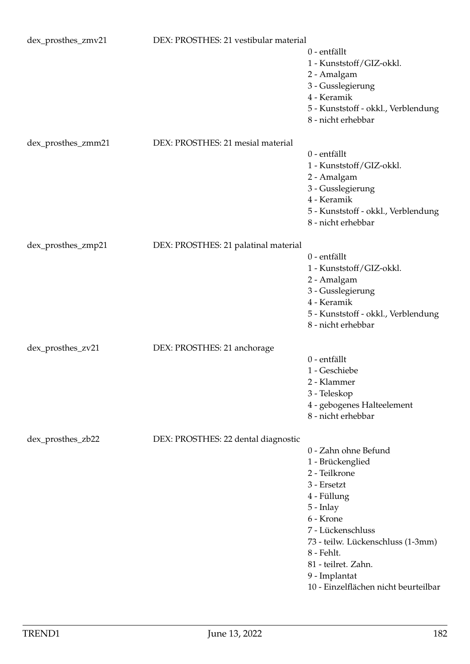| dex_prosthes_zmv21 | DEX: PROSTHES: 21 vestibular material | 0 - entfällt<br>1 - Kunststoff/GIZ-okkl.<br>2 - Amalgam<br>3 - Gusslegierung<br>4 - Keramik<br>5 - Kunststoff - okkl., Verblendung<br>8 - nicht erhebbar                                                                                                                  |
|--------------------|---------------------------------------|---------------------------------------------------------------------------------------------------------------------------------------------------------------------------------------------------------------------------------------------------------------------------|
| dex_prosthes_zmm21 | DEX: PROSTHES: 21 mesial material     | 0 - entfällt<br>1 - Kunststoff/GIZ-okkl.<br>2 - Amalgam<br>3 - Gusslegierung<br>4 - Keramik<br>5 - Kunststoff - okkl., Verblendung<br>8 - nicht erhebbar                                                                                                                  |
| dex_prosthes_zmp21 | DEX: PROSTHES: 21 palatinal material  | 0 - entfällt<br>1 - Kunststoff/GIZ-okkl.<br>2 - Amalgam<br>3 - Gusslegierung<br>4 - Keramik<br>5 - Kunststoff - okkl., Verblendung<br>8 - nicht erhebbar                                                                                                                  |
| dex_prosthes_zv21  | DEX: PROSTHES: 21 anchorage           | 0 - entfällt<br>1 - Geschiebe<br>2 - Klammer<br>3 - Teleskop<br>4 - gebogenes Halteelement<br>8 - nicht erhebbar                                                                                                                                                          |
| dex_prosthes_zb22  | DEX: PROSTHES: 22 dental diagnostic   | 0 - Zahn ohne Befund<br>1 - Brückenglied<br>2 - Teilkrone<br>3 - Ersetzt<br>4 - Füllung<br>5 - Inlay<br>6 - Krone<br>7 - Lückenschluss<br>73 - teilw. Lückenschluss (1-3mm)<br>8 - Fehlt.<br>81 - teilret. Zahn.<br>9 - Implantat<br>10 - Einzelflächen nicht beurteilbar |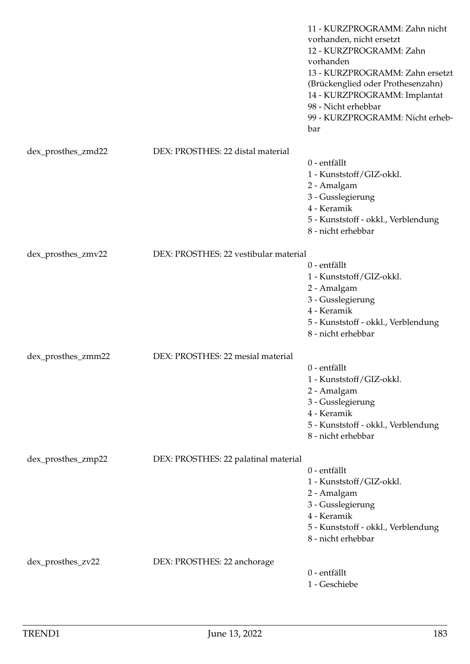|                    |                                       | 11 - KURZPROGRAMM: Zahn nicht<br>vorhanden, nicht ersetzt<br>12 - KURZPROGRAMM: Zahn<br>vorhanden<br>13 - KURZPROGRAMM: Zahn ersetzt<br>(Brückenglied oder Prothesenzahn)<br>14 - KURZPROGRAMM: Implantat<br>98 - Nicht erhebbar<br>99 - KURZPROGRAMM: Nicht erheb-<br>bar |
|--------------------|---------------------------------------|----------------------------------------------------------------------------------------------------------------------------------------------------------------------------------------------------------------------------------------------------------------------------|
| dex_prosthes_zmd22 | DEX: PROSTHES: 22 distal material     |                                                                                                                                                                                                                                                                            |
|                    |                                       | 0 - entfällt<br>1 - Kunststoff/GIZ-okkl.<br>2 - Amalgam<br>3 - Gusslegierung<br>4 - Keramik<br>5 - Kunststoff - okkl., Verblendung                                                                                                                                         |
|                    |                                       | 8 - nicht erhebbar                                                                                                                                                                                                                                                         |
| dex_prosthes_zmv22 | DEX: PROSTHES: 22 vestibular material | 0 - entfällt<br>1 - Kunststoff/GIZ-okkl.<br>2 - Amalgam<br>3 - Gusslegierung<br>4 - Keramik<br>5 - Kunststoff - okkl., Verblendung<br>8 - nicht erhebbar                                                                                                                   |
| dex_prosthes_zmm22 | DEX: PROSTHES: 22 mesial material     | 0 - entfällt<br>1 - Kunststoff/GIZ-okkl.<br>2 - Amalgam<br>3 - Gusslegierung<br>4 - Keramik<br>5 - Kunststoff - okkl., Verblendung<br>8 - nicht erhebbar                                                                                                                   |
| dex_prosthes_zmp22 | DEX: PROSTHES: 22 palatinal material  | 0 - entfällt<br>1 - Kunststoff/GIZ-okkl.<br>2 - Amalgam<br>3 - Gusslegierung<br>4 - Keramik<br>5 - Kunststoff - okkl., Verblendung<br>8 - nicht erhebbar                                                                                                                   |
| dex_prosthes_zv22  | DEX: PROSTHES: 22 anchorage           | 0 - entfällt<br>1 - Geschiebe                                                                                                                                                                                                                                              |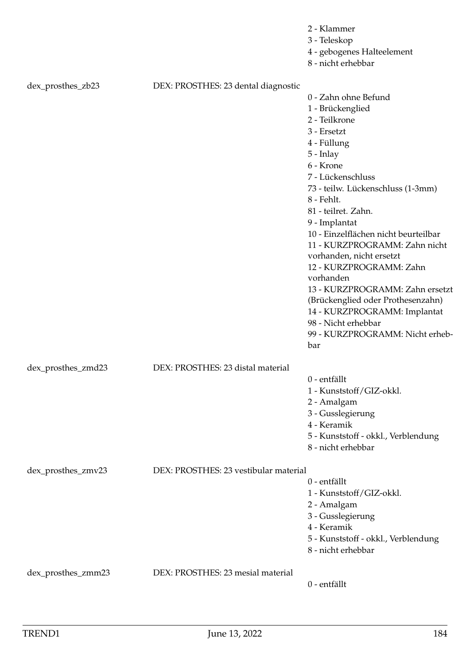|                    |                                       | 2 - Klammer                          |
|--------------------|---------------------------------------|--------------------------------------|
|                    |                                       | 3 - Teleskop                         |
|                    |                                       | 4 - gebogenes Halteelement           |
|                    |                                       | 8 - nicht erhebbar                   |
|                    |                                       |                                      |
| dex_prosthes_zb23  | DEX: PROSTHES: 23 dental diagnostic   |                                      |
|                    |                                       | 0 - Zahn ohne Befund                 |
|                    |                                       | 1 - Brückenglied                     |
|                    |                                       | 2 - Teilkrone                        |
|                    |                                       | 3 - Ersetzt                          |
|                    |                                       | 4 - Füllung                          |
|                    |                                       | $5$ - Inlay                          |
|                    |                                       | 6 - Krone                            |
|                    |                                       | 7 - Lückenschluss                    |
|                    |                                       | 73 - teilw. Lückenschluss (1-3mm)    |
|                    |                                       | 8 - Fehlt.                           |
|                    |                                       | 81 - teilret. Zahn.                  |
|                    |                                       | 9 - Implantat                        |
|                    |                                       | 10 - Einzelflächen nicht beurteilbar |
|                    |                                       | 11 - KURZPROGRAMM: Zahn nicht        |
|                    |                                       | vorhanden, nicht ersetzt             |
|                    |                                       | 12 - KURZPROGRAMM: Zahn              |
|                    |                                       | vorhanden                            |
|                    |                                       | 13 - KURZPROGRAMM: Zahn ersetzt      |
|                    |                                       |                                      |
|                    |                                       | (Brückenglied oder Prothesenzahn)    |
|                    |                                       | 14 - KURZPROGRAMM: Implantat         |
|                    |                                       | 98 - Nicht erhebbar                  |
|                    |                                       | 99 - KURZPROGRAMM: Nicht erheb-      |
|                    |                                       | bar                                  |
|                    |                                       |                                      |
| dex_prosthes_zmd23 | DEX: PROSTHES: 23 distal material     |                                      |
|                    |                                       | 0 - entfällt                         |
|                    |                                       | 1 - Kunststoff/GIZ-okkl.             |
|                    |                                       | 2 - Amalgam                          |
|                    |                                       | 3 - Gusslegierung                    |
|                    |                                       | 4 - Keramik                          |
|                    |                                       | 5 - Kunststoff - okkl., Verblendung  |
|                    |                                       | 8 - nicht erhebbar                   |
|                    |                                       |                                      |
| dex_prosthes_zmv23 | DEX: PROSTHES: 23 vestibular material |                                      |
|                    |                                       | 0 - entfällt                         |
|                    |                                       | 1 - Kunststoff/GIZ-okkl.             |
|                    |                                       | 2 - Amalgam                          |
|                    |                                       | 3 - Gusslegierung                    |
|                    |                                       | 4 - Keramik                          |
|                    |                                       | 5 - Kunststoff - okkl., Verblendung  |
|                    |                                       | 8 - nicht erhebbar                   |
|                    |                                       |                                      |
| dex_prosthes_zmm23 | DEX: PROSTHES: 23 mesial material     |                                      |
|                    |                                       | 0 - entfällt                         |
|                    |                                       |                                      |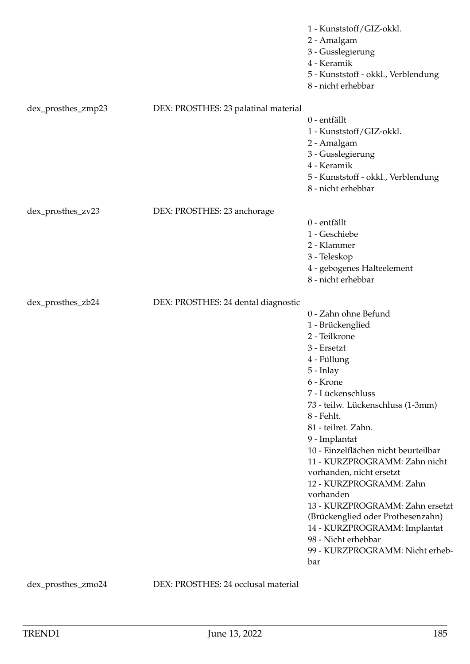|                    |                                      | 1 - Kunststoff/GIZ-okkl.<br>2 - Amalgam<br>3 - Gusslegierung<br>4 - Keramik<br>5 - Kunststoff - okkl., Verblendung<br>8 - nicht erhebbar                                                                                                                                                                                                                                                                                                                                                                                                                  |
|--------------------|--------------------------------------|-----------------------------------------------------------------------------------------------------------------------------------------------------------------------------------------------------------------------------------------------------------------------------------------------------------------------------------------------------------------------------------------------------------------------------------------------------------------------------------------------------------------------------------------------------------|
| dex_prosthes_zmp23 | DEX: PROSTHES: 23 palatinal material | 0 - entfällt<br>1 - Kunststoff/GIZ-okkl.<br>2 - Amalgam<br>3 - Gusslegierung<br>4 - Keramik<br>5 - Kunststoff - okkl., Verblendung<br>8 - nicht erhebbar                                                                                                                                                                                                                                                                                                                                                                                                  |
| dex_prosthes_zv23  | DEX: PROSTHES: 23 anchorage          | 0 - entfällt<br>1 - Geschiebe<br>2 - Klammer<br>3 - Teleskop<br>4 - gebogenes Halteelement<br>8 - nicht erhebbar                                                                                                                                                                                                                                                                                                                                                                                                                                          |
| dex_prosthes_zb24  | DEX: PROSTHES: 24 dental diagnostic  | 0 - Zahn ohne Befund<br>1 - Brückenglied<br>2 - Teilkrone<br>3 - Ersetzt<br>4 - Füllung<br>$5$ - Inlay<br>6 - Krone<br>7 - Lückenschluss<br>73 - teilw. Lückenschluss (1-3mm)<br>8 - Fehlt.<br>81 - teilret. Zahn.<br>9 - Implantat<br>10 - Einzelflächen nicht beurteilbar<br>11 - KURZPROGRAMM: Zahn nicht<br>vorhanden, nicht ersetzt<br>12 - KURZPROGRAMM: Zahn<br>vorhanden<br>13 - KURZPROGRAMM: Zahn ersetzt<br>(Brückenglied oder Prothesenzahn)<br>14 - KURZPROGRAMM: Implantat<br>98 - Nicht erhebbar<br>99 - KURZPROGRAMM: Nicht erheb-<br>bar |

dex\_prosthes\_zmo24 DEX: PROSTHES: 24 occlusal material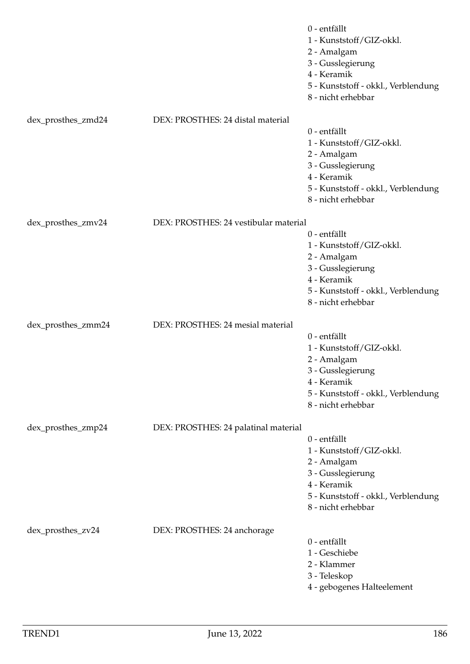|                    |                                       | 0 - entfällt<br>1 - Kunststoff/GIZ-okkl.<br>2 - Amalgam<br>3 - Gusslegierung<br>4 - Keramik<br>5 - Kunststoff - okkl., Verblendung<br>8 - nicht erhebbar |
|--------------------|---------------------------------------|----------------------------------------------------------------------------------------------------------------------------------------------------------|
| dex_prosthes_zmd24 | DEX: PROSTHES: 24 distal material     |                                                                                                                                                          |
|                    |                                       | 0 - entfällt<br>1 - Kunststoff/GIZ-okkl.<br>2 - Amalgam<br>3 - Gusslegierung<br>4 - Keramik<br>5 - Kunststoff - okkl., Verblendung<br>8 - nicht erhebbar |
| dex_prosthes_zmv24 | DEX: PROSTHES: 24 vestibular material |                                                                                                                                                          |
|                    |                                       | 0 - entfällt<br>1 - Kunststoff/GIZ-okkl.<br>2 - Amalgam<br>3 - Gusslegierung<br>4 - Keramik<br>5 - Kunststoff - okkl., Verblendung<br>8 - nicht erhebbar |
| dex_prosthes_zmm24 | DEX: PROSTHES: 24 mesial material     | 0 - entfällt<br>1 - Kunststoff/GIZ-okkl.<br>2 - Amalgam<br>3 - Gusslegierung<br>4 - Keramik                                                              |
|                    |                                       | 5 - Kunststoff - okkl., Verblendung<br>8 - nicht erhebbar                                                                                                |
| dex_prosthes_zmp24 | DEX: PROSTHES: 24 palatinal material  |                                                                                                                                                          |
|                    |                                       | 0 - entfällt<br>1 - Kunststoff/GIZ-okkl.<br>2 - Amalgam<br>3 - Gusslegierung<br>4 - Keramik<br>5 - Kunststoff - okkl., Verblendung<br>8 - nicht erhebbar |
| dex_prosthes_zv24  | DEX: PROSTHES: 24 anchorage           | 0 - entfällt<br>1 - Geschiebe<br>2 - Klammer<br>3 - Teleskop<br>4 - gebogenes Halteelement                                                               |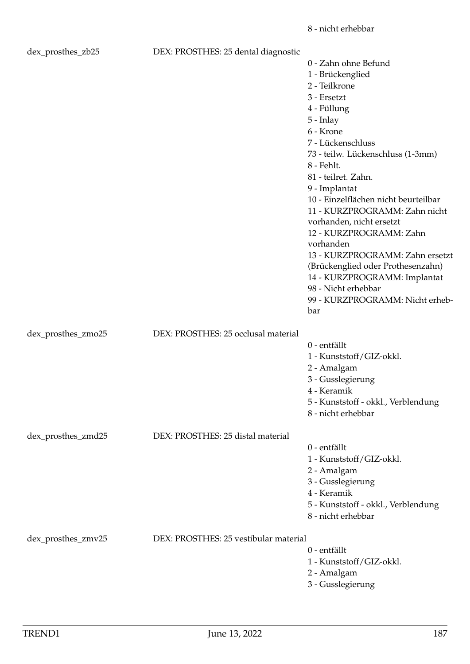| dex_prosthes_zb25  | DEX: PROSTHES: 25 dental diagnostic   |                                                           |
|--------------------|---------------------------------------|-----------------------------------------------------------|
|                    |                                       | 0 - Zahn ohne Befund                                      |
|                    |                                       | 1 - Brückenglied                                          |
|                    |                                       | 2 - Teilkrone                                             |
|                    |                                       | 3 - Ersetzt                                               |
|                    |                                       | 4 - Füllung                                               |
|                    |                                       | $5$ - Inlay                                               |
|                    |                                       | 6 - Krone                                                 |
|                    |                                       | 7 - Lückenschluss                                         |
|                    |                                       |                                                           |
|                    |                                       | 73 - teilw. Lückenschluss (1-3mm)                         |
|                    |                                       | 8 - Fehlt.                                                |
|                    |                                       | 81 - teilret. Zahn.                                       |
|                    |                                       | 9 - Implantat                                             |
|                    |                                       | 10 - Einzelflächen nicht beurteilbar                      |
|                    |                                       | 11 - KURZPROGRAMM: Zahn nicht                             |
|                    |                                       | vorhanden, nicht ersetzt                                  |
|                    |                                       | 12 - KURZPROGRAMM: Zahn                                   |
|                    |                                       | vorhanden                                                 |
|                    |                                       | 13 - KURZPROGRAMM: Zahn ersetzt                           |
|                    |                                       | (Brückenglied oder Prothesenzahn)                         |
|                    |                                       | 14 - KURZPROGRAMM: Implantat                              |
|                    |                                       | 98 - Nicht erhebbar                                       |
|                    |                                       | 99 - KURZPROGRAMM: Nicht erheb-                           |
|                    |                                       | bar                                                       |
|                    |                                       |                                                           |
| dex_prosthes_zmo25 | DEX: PROSTHES: 25 occlusal material   |                                                           |
|                    |                                       | 0 - entfällt                                              |
|                    |                                       | 1 - Kunststoff/GIZ-okkl.                                  |
|                    |                                       | 2 - Amalgam                                               |
|                    |                                       | 3 - Gusslegierung                                         |
|                    |                                       | 4 - Keramik                                               |
|                    |                                       |                                                           |
|                    |                                       | 5 - Kunststoff - okkl., Verblendung<br>8 - nicht erhebbar |
|                    |                                       |                                                           |
|                    |                                       |                                                           |
| dex_prosthes_zmd25 | DEX: PROSTHES: 25 distal material     |                                                           |
|                    |                                       | 0 - entfällt                                              |
|                    |                                       | 1 - Kunststoff/GIZ-okkl.                                  |
|                    |                                       | 2 - Amalgam                                               |
|                    |                                       | 3 - Gusslegierung                                         |
|                    |                                       | 4 - Keramik                                               |
|                    |                                       | 5 - Kunststoff - okkl., Verblendung                       |
|                    |                                       | 8 - nicht erhebbar                                        |
|                    |                                       |                                                           |
| dex_prosthes_zmv25 | DEX: PROSTHES: 25 vestibular material |                                                           |
|                    |                                       | 0 - entfällt                                              |
|                    |                                       | 1 - Kunststoff/GIZ-okkl.                                  |
|                    |                                       | 2 - Amalgam                                               |

3 - Gusslegierung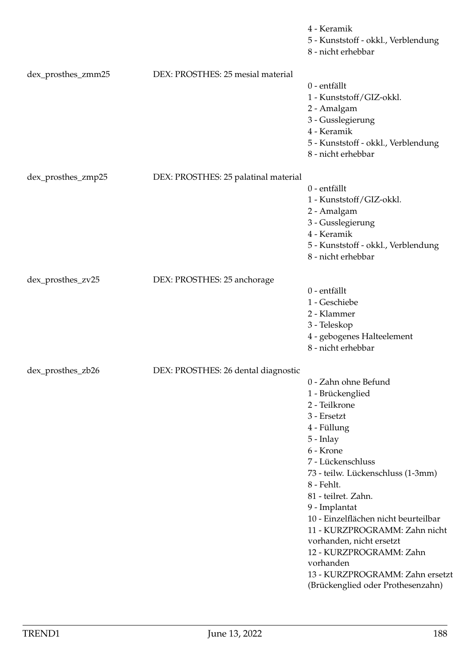|                    |                                      | 4 - Keramik<br>5 - Kunststoff - okkl., Verblendung<br>8 - nicht erhebbar                                                                                                                                                                                                                                                                                                                                                                                 |
|--------------------|--------------------------------------|----------------------------------------------------------------------------------------------------------------------------------------------------------------------------------------------------------------------------------------------------------------------------------------------------------------------------------------------------------------------------------------------------------------------------------------------------------|
| dex_prosthes_zmm25 | DEX: PROSTHES: 25 mesial material    | 0 - entfällt<br>1 - Kunststoff/GIZ-okkl.<br>2 - Amalgam<br>3 - Gusslegierung<br>4 - Keramik<br>5 - Kunststoff - okkl., Verblendung<br>8 - nicht erhebbar                                                                                                                                                                                                                                                                                                 |
| dex_prosthes_zmp25 | DEX: PROSTHES: 25 palatinal material | 0 - entfällt<br>1 - Kunststoff/GIZ-okkl.<br>2 - Amalgam<br>3 - Gusslegierung<br>4 - Keramik<br>5 - Kunststoff - okkl., Verblendung<br>8 - nicht erhebbar                                                                                                                                                                                                                                                                                                 |
| dex_prosthes_zv25  | DEX: PROSTHES: 25 anchorage          | 0 - entfällt<br>1 - Geschiebe<br>2 - Klammer<br>3 - Teleskop<br>4 - gebogenes Halteelement<br>8 - nicht erhebbar                                                                                                                                                                                                                                                                                                                                         |
| dex_prosthes_zb26  | DEX: PROSTHES: 26 dental diagnostic  | 0 - Zahn ohne Befund<br>1 - Brückenglied<br>2 - Teilkrone<br>3 - Ersetzt<br>4 - Füllung<br>$5$ - Inlay<br>6 - Krone<br>7 - Lückenschluss<br>73 - teilw. Lückenschluss (1-3mm)<br>8 - Fehlt.<br>81 - teilret. Zahn.<br>9 - Implantat<br>10 - Einzelflächen nicht beurteilbar<br>11 - KURZPROGRAMM: Zahn nicht<br>vorhanden, nicht ersetzt<br>12 - KURZPROGRAMM: Zahn<br>vorhanden<br>13 - KURZPROGRAMM: Zahn ersetzt<br>(Brückenglied oder Prothesenzahn) |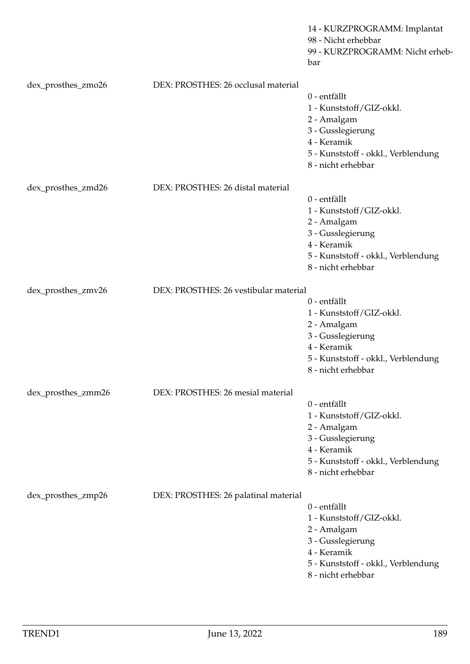|                    |                                       | 14 - KURZPROGRAMM: Implantat<br>98 - Nicht erhebbar<br>99 - KURZPROGRAMM: Nicht erheb-<br>bar                                                            |
|--------------------|---------------------------------------|----------------------------------------------------------------------------------------------------------------------------------------------------------|
| dex_prosthes_zmo26 | DEX: PROSTHES: 26 occlusal material   | 0 - entfällt<br>1 - Kunststoff/GIZ-okkl.<br>2 - Amalgam<br>3 - Gusslegierung<br>4 - Keramik<br>5 - Kunststoff - okkl., Verblendung<br>8 - nicht erhebbar |
| dex_prosthes_zmd26 | DEX: PROSTHES: 26 distal material     | 0 - entfällt<br>1 - Kunststoff/GIZ-okkl.<br>2 - Amalgam<br>3 - Gusslegierung<br>4 - Keramik<br>5 - Kunststoff - okkl., Verblendung                       |
| dex_prosthes_zmv26 | DEX: PROSTHES: 26 vestibular material | 8 - nicht erhebbar<br>0 - entfällt                                                                                                                       |
|                    |                                       | 1 - Kunststoff/GIZ-okkl.<br>2 - Amalgam<br>3 - Gusslegierung<br>4 - Keramik<br>5 - Kunststoff - okkl., Verblendung<br>8 - nicht erhebbar                 |
| dex_prosthes_zmm26 | DEX: PROSTHES: 26 mesial material     |                                                                                                                                                          |
|                    |                                       | 0 - entfällt<br>1 - Kunststoff/GIZ-okkl.<br>2 - Amalgam<br>3 - Gusslegierung<br>4 - Keramik<br>5 - Kunststoff - okkl., Verblendung<br>8 - nicht erhebbar |
| dex_prosthes_zmp26 | DEX: PROSTHES: 26 palatinal material  | 0 - entfällt<br>1 - Kunststoff/GIZ-okkl.<br>2 - Amalgam<br>3 - Gusslegierung<br>4 - Keramik<br>5 - Kunststoff - okkl., Verblendung<br>8 - nicht erhebbar |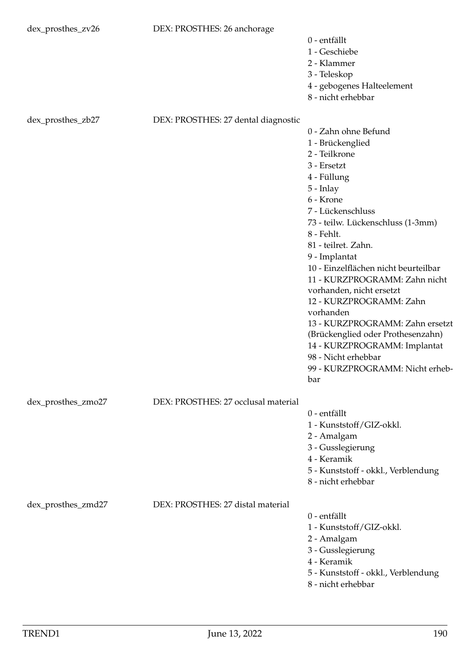| dex_prosthes_zv26  | DEX: PROSTHES: 26 anchorage         |                                              |
|--------------------|-------------------------------------|----------------------------------------------|
|                    |                                     | 0 - entfällt<br>1 - Geschiebe<br>2 - Klammer |
|                    |                                     | 3 - Teleskop                                 |
|                    |                                     | 4 - gebogenes Halteelement                   |
|                    |                                     | 8 - nicht erhebbar                           |
|                    |                                     |                                              |
| dex_prosthes_zb27  | DEX: PROSTHES: 27 dental diagnostic | 0 - Zahn ohne Befund                         |
|                    |                                     | 1 - Brückenglied                             |
|                    |                                     | 2 - Teilkrone                                |
|                    |                                     | 3 - Ersetzt                                  |
|                    |                                     | 4 - Füllung                                  |
|                    |                                     | $5$ - Inlay                                  |
|                    |                                     | 6 - Krone                                    |
|                    |                                     | 7 - Lückenschluss                            |
|                    |                                     | 73 - teilw. Lückenschluss (1-3mm)            |
|                    |                                     | 8 - Fehlt.                                   |
|                    |                                     | 81 - teilret. Zahn.                          |
|                    |                                     | 9 - Implantat                                |
|                    |                                     | 10 - Einzelflächen nicht beurteilbar         |
|                    |                                     | 11 - KURZPROGRAMM: Zahn nicht                |
|                    |                                     | vorhanden, nicht ersetzt                     |
|                    |                                     | 12 - KURZPROGRAMM: Zahn                      |
|                    |                                     | vorhanden                                    |
|                    |                                     | 13 - KURZPROGRAMM: Zahn ersetzt              |
|                    |                                     | (Brückenglied oder Prothesenzahn)            |
|                    |                                     | 14 - KURZPROGRAMM: Implantat                 |
|                    |                                     | 98 - Nicht erhebbar                          |
|                    |                                     | 99 - KURZPROGRAMM: Nicht erheb-              |
|                    |                                     | bar                                          |
| dex_prosthes_zmo27 | DEX: PROSTHES: 27 occlusal material |                                              |
|                    |                                     | $0$ - entfällt                               |
|                    |                                     | 1 - Kunststoff/GIZ-okkl.                     |
|                    |                                     | 2 - Amalgam                                  |
|                    |                                     | 3 - Gusslegierung                            |
|                    |                                     | 4 - Keramik                                  |
|                    |                                     | 5 - Kunststoff - okkl., Verblendung          |
|                    |                                     | 8 - nicht erhebbar                           |
|                    |                                     |                                              |
| dex_prosthes_zmd27 | DEX: PROSTHES: 27 distal material   | 0 - entfällt                                 |
|                    |                                     | 1 - Kunststoff/GIZ-okkl.                     |
|                    |                                     | 2 - Amalgam                                  |
|                    |                                     | 3 - Gusslegierung                            |
|                    |                                     | 4 - Keramik                                  |
|                    |                                     | 5 - Kunststoff - okkl., Verblendung          |
|                    |                                     | 8 - nicht erhebbar                           |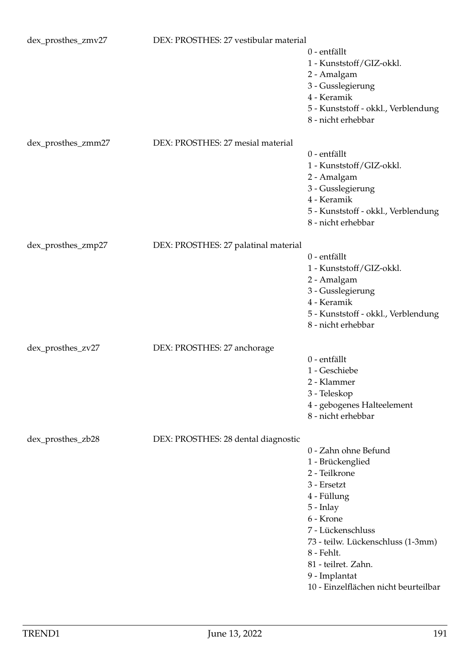| dex_prosthes_zmv27 | DEX: PROSTHES: 27 vestibular material | 0 - entfällt<br>1 - Kunststoff/GIZ-okkl.<br>2 - Amalgam<br>3 - Gusslegierung<br>4 - Keramik<br>5 - Kunststoff - okkl., Verblendung<br>8 - nicht erhebbar                                                                                                                  |
|--------------------|---------------------------------------|---------------------------------------------------------------------------------------------------------------------------------------------------------------------------------------------------------------------------------------------------------------------------|
| dex_prosthes_zmm27 | DEX: PROSTHES: 27 mesial material     | 0 - entfällt<br>1 - Kunststoff/GIZ-okkl.<br>2 - Amalgam<br>3 - Gusslegierung<br>4 - Keramik<br>5 - Kunststoff - okkl., Verblendung<br>8 - nicht erhebbar                                                                                                                  |
| dex_prosthes_zmp27 | DEX: PROSTHES: 27 palatinal material  | 0 - entfällt<br>1 - Kunststoff/GIZ-okkl.<br>2 - Amalgam<br>3 - Gusslegierung<br>4 - Keramik<br>5 - Kunststoff - okkl., Verblendung<br>8 - nicht erhebbar                                                                                                                  |
| dex_prosthes_zv27  | DEX: PROSTHES: 27 anchorage           | 0 - entfällt<br>1 - Geschiebe<br>2 - Klammer<br>3 - Teleskop<br>4 - gebogenes Halteelement<br>8 - nicht erhebbar                                                                                                                                                          |
| dex_prosthes_zb28  | DEX: PROSTHES: 28 dental diagnostic   | 0 - Zahn ohne Befund<br>1 - Brückenglied<br>2 - Teilkrone<br>3 - Ersetzt<br>4 - Füllung<br>5 - Inlay<br>6 - Krone<br>7 - Lückenschluss<br>73 - teilw. Lückenschluss (1-3mm)<br>8 - Fehlt.<br>81 - teilret. Zahn.<br>9 - Implantat<br>10 - Einzelflächen nicht beurteilbar |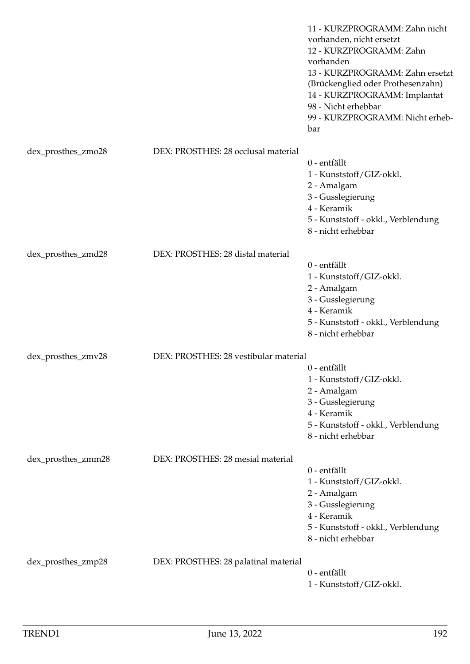|                    |                                       | 11 - KURZPROGRAMM: Zahn nicht<br>vorhanden, nicht ersetzt<br>12 - KURZPROGRAMM: Zahn<br>vorhanden<br>13 - KURZPROGRAMM: Zahn ersetzt<br>(Brückenglied oder Prothesenzahn)<br>14 - KURZPROGRAMM: Implantat<br>98 - Nicht erhebbar<br>99 - KURZPROGRAMM: Nicht erheb-<br>bar |
|--------------------|---------------------------------------|----------------------------------------------------------------------------------------------------------------------------------------------------------------------------------------------------------------------------------------------------------------------------|
| dex_prosthes_zmo28 | DEX: PROSTHES: 28 occlusal material   |                                                                                                                                                                                                                                                                            |
|                    |                                       | 0 - entfällt                                                                                                                                                                                                                                                               |
|                    |                                       | 1 - Kunststoff/GIZ-okkl.                                                                                                                                                                                                                                                   |
|                    |                                       | 2 - Amalgam                                                                                                                                                                                                                                                                |
|                    |                                       | 3 - Gusslegierung                                                                                                                                                                                                                                                          |
|                    |                                       | 4 - Keramik                                                                                                                                                                                                                                                                |
|                    |                                       | 5 - Kunststoff - okkl., Verblendung<br>8 - nicht erhebbar                                                                                                                                                                                                                  |
| dex_prosthes_zmd28 | DEX: PROSTHES: 28 distal material     |                                                                                                                                                                                                                                                                            |
|                    |                                       | 0 - entfällt                                                                                                                                                                                                                                                               |
|                    |                                       | 1 - Kunststoff/GIZ-okkl.                                                                                                                                                                                                                                                   |
|                    |                                       | 2 - Amalgam                                                                                                                                                                                                                                                                |
|                    |                                       | 3 - Gusslegierung<br>4 - Keramik                                                                                                                                                                                                                                           |
|                    |                                       | 5 - Kunststoff - okkl., Verblendung                                                                                                                                                                                                                                        |
|                    |                                       | 8 - nicht erhebbar                                                                                                                                                                                                                                                         |
| dex_prosthes_zmv28 | DEX: PROSTHES: 28 vestibular material |                                                                                                                                                                                                                                                                            |
|                    |                                       | 0 - entfällt                                                                                                                                                                                                                                                               |
|                    |                                       | 1 - Kunststoff/GIZ-okkl.                                                                                                                                                                                                                                                   |
|                    |                                       | 2 - Amalgam                                                                                                                                                                                                                                                                |
|                    |                                       | 3 - Gusslegierung                                                                                                                                                                                                                                                          |
|                    |                                       | 4 - Keramik<br>5 - Kunststoff - okkl., Verblendung                                                                                                                                                                                                                         |
|                    |                                       | 8 - nicht erhebbar                                                                                                                                                                                                                                                         |
| dex_prosthes_zmm28 | DEX: PROSTHES: 28 mesial material     |                                                                                                                                                                                                                                                                            |
|                    |                                       | 0 - entfällt                                                                                                                                                                                                                                                               |
|                    |                                       | 1 - Kunststoff/GIZ-okkl.                                                                                                                                                                                                                                                   |
|                    |                                       | 2 - Amalgam                                                                                                                                                                                                                                                                |
|                    |                                       | 3 - Gusslegierung                                                                                                                                                                                                                                                          |
|                    |                                       | 4 - Keramik<br>5 - Kunststoff - okkl., Verblendung                                                                                                                                                                                                                         |
|                    |                                       | 8 - nicht erhebbar                                                                                                                                                                                                                                                         |
| dex_prosthes_zmp28 | DEX: PROSTHES: 28 palatinal material  |                                                                                                                                                                                                                                                                            |
|                    |                                       | 0 - entfällt                                                                                                                                                                                                                                                               |
|                    |                                       | 1 - Kunststoff/GIZ-okkl.                                                                                                                                                                                                                                                   |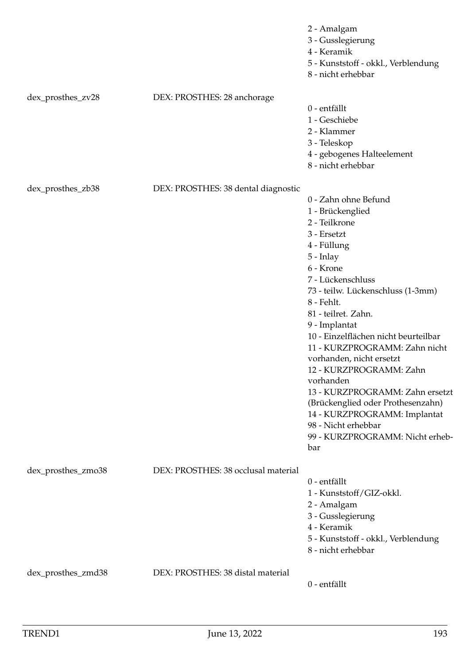|                    |                                     | 2 - Amalgam<br>3 - Gusslegierung<br>4 - Keramik<br>5 - Kunststoff - okkl., Verblendung<br>8 - nicht erhebbar                                                                                                                                                                                                                                                                                                                                                                                                                                              |
|--------------------|-------------------------------------|-----------------------------------------------------------------------------------------------------------------------------------------------------------------------------------------------------------------------------------------------------------------------------------------------------------------------------------------------------------------------------------------------------------------------------------------------------------------------------------------------------------------------------------------------------------|
| dex_prosthes_zv28  | DEX: PROSTHES: 28 anchorage         | 0 - entfällt<br>1 - Geschiebe<br>2 - Klammer<br>3 - Teleskop<br>4 - gebogenes Halteelement<br>8 - nicht erhebbar                                                                                                                                                                                                                                                                                                                                                                                                                                          |
| dex_prosthes_zb38  | DEX: PROSTHES: 38 dental diagnostic | 0 - Zahn ohne Befund<br>1 - Brückenglied<br>2 - Teilkrone<br>3 - Ersetzt<br>4 - Füllung<br>$5$ - Inlay<br>6 - Krone<br>7 - Lückenschluss<br>73 - teilw. Lückenschluss (1-3mm)<br>8 - Fehlt.<br>81 - teilret. Zahn.<br>9 - Implantat<br>10 - Einzelflächen nicht beurteilbar<br>11 - KURZPROGRAMM: Zahn nicht<br>vorhanden, nicht ersetzt<br>12 - KURZPROGRAMM: Zahn<br>vorhanden<br>13 - KURZPROGRAMM: Zahn ersetzt<br>(Brückenglied oder Prothesenzahn)<br>14 - KURZPROGRAMM: Implantat<br>98 - Nicht erhebbar<br>99 - KURZPROGRAMM: Nicht erheb-<br>bar |
| dex_prosthes_zmo38 | DEX: PROSTHES: 38 occlusal material | 0 - entfällt<br>1 - Kunststoff/GIZ-okkl.<br>2 - Amalgam<br>3 - Gusslegierung<br>4 - Keramik<br>5 - Kunststoff - okkl., Verblendung<br>8 - nicht erhebbar                                                                                                                                                                                                                                                                                                                                                                                                  |
| dex_prosthes_zmd38 | DEX: PROSTHES: 38 distal material   | 0 - entfällt                                                                                                                                                                                                                                                                                                                                                                                                                                                                                                                                              |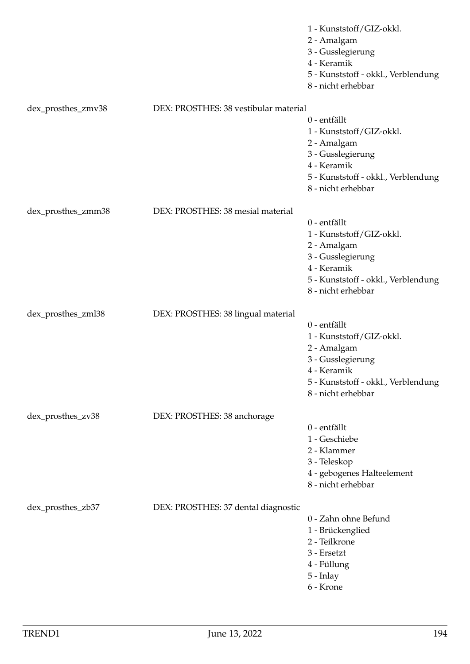|                    |                                       | 1 - Kunststoff/GIZ-okkl.<br>2 - Amalgam<br>3 - Gusslegierung<br>4 - Keramik<br>5 - Kunststoff - okkl., Verblendung<br>8 - nicht erhebbar                 |
|--------------------|---------------------------------------|----------------------------------------------------------------------------------------------------------------------------------------------------------|
| dex_prosthes_zmv38 | DEX: PROSTHES: 38 vestibular material |                                                                                                                                                          |
|                    |                                       | 0 - entfällt<br>1 - Kunststoff/GIZ-okkl.<br>2 - Amalgam<br>3 - Gusslegierung<br>4 - Keramik<br>5 - Kunststoff - okkl., Verblendung<br>8 - nicht erhebbar |
| dex_prosthes_zmm38 | DEX: PROSTHES: 38 mesial material     |                                                                                                                                                          |
|                    |                                       | 0 - entfällt<br>1 - Kunststoff/GIZ-okkl.<br>2 - Amalgam<br>3 - Gusslegierung<br>4 - Keramik<br>5 - Kunststoff - okkl., Verblendung<br>8 - nicht erhebbar |
| dex_prosthes_zml38 | DEX: PROSTHES: 38 lingual material    |                                                                                                                                                          |
|                    |                                       | 0 - entfällt<br>1 - Kunststoff/GIZ-okkl.<br>2 - Amalgam<br>3 - Gusslegierung<br>4 - Keramik<br>5 - Kunststoff - okkl., Verblendung<br>8 - nicht erhebbar |
| dex_prosthes_zv38  | DEX: PROSTHES: 38 anchorage           |                                                                                                                                                          |
|                    |                                       | 0 - entfällt<br>1 - Geschiebe<br>2 - Klammer<br>3 - Teleskop<br>4 - gebogenes Halteelement<br>8 - nicht erhebbar                                         |
| dex_prosthes_zb37  | DEX: PROSTHES: 37 dental diagnostic   | 0 - Zahn ohne Befund<br>1 - Brückenglied<br>2 - Teilkrone<br>3 - Ersetzt<br>4 - Füllung<br>5 - Inlay<br>6 - Krone                                        |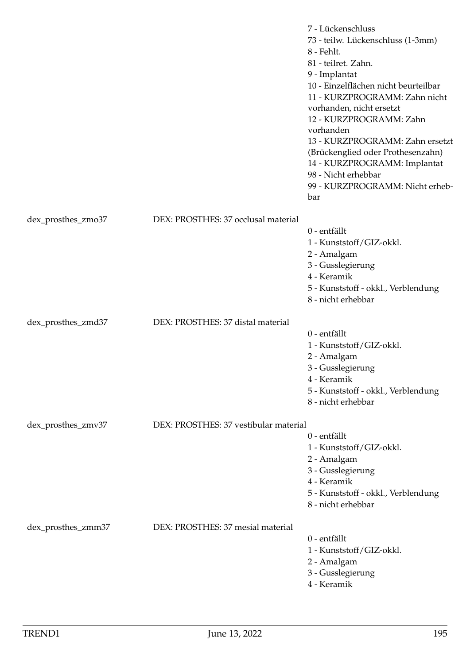|                    |                                       | 7 - Lückenschluss<br>73 - teilw. Lückenschluss (1-3mm)<br>8 - Fehlt.<br>81 - teilret. Zahn.<br>9 - Implantat<br>10 - Einzelflächen nicht beurteilbar<br>11 - KURZPROGRAMM: Zahn nicht<br>vorhanden, nicht ersetzt<br>12 - KURZPROGRAMM: Zahn<br>vorhanden<br>13 - KURZPROGRAMM: Zahn ersetzt<br>(Brückenglied oder Prothesenzahn)<br>14 - KURZPROGRAMM: Implantat<br>98 - Nicht erhebbar<br>99 - KURZPROGRAMM: Nicht erheb-<br>bar |
|--------------------|---------------------------------------|------------------------------------------------------------------------------------------------------------------------------------------------------------------------------------------------------------------------------------------------------------------------------------------------------------------------------------------------------------------------------------------------------------------------------------|
| dex_prosthes_zmo37 | DEX: PROSTHES: 37 occlusal material   |                                                                                                                                                                                                                                                                                                                                                                                                                                    |
|                    |                                       | 0 - entfällt<br>1 - Kunststoff/GIZ-okkl.<br>2 - Amalgam<br>3 - Gusslegierung<br>4 - Keramik<br>5 - Kunststoff - okkl., Verblendung<br>8 - nicht erhebbar                                                                                                                                                                                                                                                                           |
| dex_prosthes_zmd37 | DEX: PROSTHES: 37 distal material     | 0 - entfällt<br>1 - Kunststoff/GIZ-okkl.<br>2 - Amalgam<br>3 - Gusslegierung<br>4 - Keramik<br>5 - Kunststoff - okkl., Verblendung<br>8 - nicht erhebbar                                                                                                                                                                                                                                                                           |
| dex_prosthes_zmv37 | DEX: PROSTHES: 37 vestibular material |                                                                                                                                                                                                                                                                                                                                                                                                                                    |
|                    |                                       | 0 - entfällt<br>1 - Kunststoff/GIZ-okkl.<br>2 - Amalgam<br>3 - Gusslegierung<br>4 - Keramik<br>5 - Kunststoff - okkl., Verblendung<br>8 - nicht erhebbar                                                                                                                                                                                                                                                                           |
| dex_prosthes_zmm37 | DEX: PROSTHES: 37 mesial material     | 0 - entfällt<br>1 - Kunststoff/GIZ-okkl.<br>2 - Amalgam<br>3 - Gusslegierung<br>4 - Keramik                                                                                                                                                                                                                                                                                                                                        |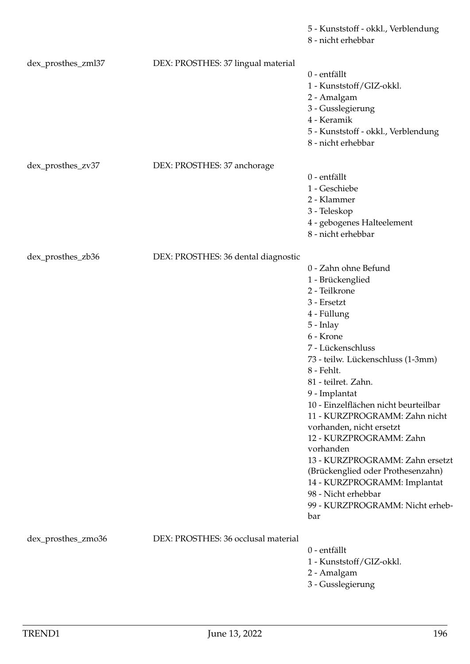|                    |                                     | 8 - nicht erhebbar                                                                                                                                                                                                                                                                                                                                                                                                                                                                                                                                        |
|--------------------|-------------------------------------|-----------------------------------------------------------------------------------------------------------------------------------------------------------------------------------------------------------------------------------------------------------------------------------------------------------------------------------------------------------------------------------------------------------------------------------------------------------------------------------------------------------------------------------------------------------|
| dex_prosthes_zml37 | DEX: PROSTHES: 37 lingual material  | 0 - entfällt<br>1 - Kunststoff/GIZ-okkl.<br>2 - Amalgam<br>3 - Gusslegierung<br>4 - Keramik<br>5 - Kunststoff - okkl., Verblendung<br>8 - nicht erhebbar                                                                                                                                                                                                                                                                                                                                                                                                  |
| dex_prosthes_zv37  | DEX: PROSTHES: 37 anchorage         | 0 - entfällt<br>1 - Geschiebe<br>2 - Klammer<br>3 - Teleskop<br>4 - gebogenes Halteelement<br>8 - nicht erhebbar                                                                                                                                                                                                                                                                                                                                                                                                                                          |
| dex_prosthes_zb36  | DEX: PROSTHES: 36 dental diagnostic | 0 - Zahn ohne Befund<br>1 - Brückenglied<br>2 - Teilkrone<br>$3$ - Ersetzt<br>4 - Füllung<br>5 - Inlay<br>6 - Krone<br>7 - Lückenschluss<br>73 - teilw. Lückenschluss (1-3mm)<br>8 - Fehlt.<br>81 - teilret. Zahn.<br>9 - Implantat<br>10 - Einzelflächen nicht beurteilbar<br>11 - KURZPROGRAMM: Zahn nicht<br>vorhanden, nicht ersetzt<br>12 - KURZPROGRAMM: Zahn<br>vorhanden<br>13 - KURZPROGRAMM: Zahn ersetzt<br>(Brückenglied oder Prothesenzahn)<br>14 - KURZPROGRAMM: Implantat<br>98 - Nicht erhebbar<br>99 - KURZPROGRAMM: Nicht erheb-<br>bar |
| dex_prosthes_zmo36 | DEX: PROSTHES: 36 occlusal material | 0 - entfällt<br>1 - Kunststoff/GIZ-okkl.<br>2 - Amalgam<br>3 - Gusslegierung                                                                                                                                                                                                                                                                                                                                                                                                                                                                              |

5 - Kunststoff - okkl., Verblendung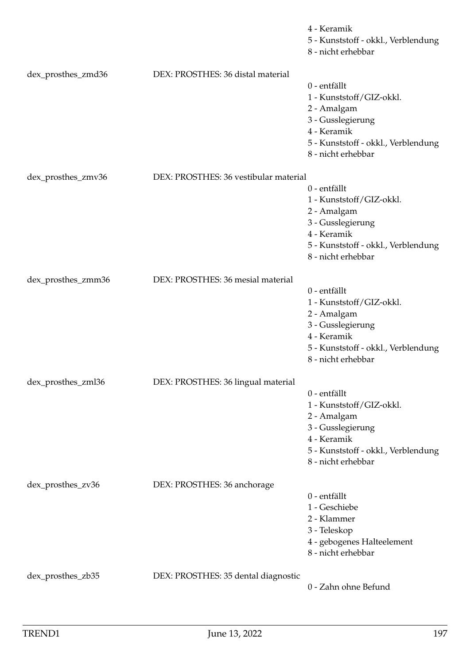|                    |                                       | 4 - Keramik<br>5 - Kunststoff - okkl., Verblendung<br>8 - nicht erhebbar |
|--------------------|---------------------------------------|--------------------------------------------------------------------------|
| dex_prosthes_zmd36 | DEX: PROSTHES: 36 distal material     |                                                                          |
|                    |                                       | 0 - entfällt                                                             |
|                    |                                       | 1 - Kunststoff/GIZ-okkl.                                                 |
|                    |                                       | 2 - Amalgam                                                              |
|                    |                                       | 3 - Gusslegierung                                                        |
|                    |                                       | 4 - Keramik                                                              |
|                    |                                       | 5 - Kunststoff - okkl., Verblendung                                      |
|                    |                                       | 8 - nicht erhebbar                                                       |
| dex_prosthes_zmv36 | DEX: PROSTHES: 36 vestibular material |                                                                          |
|                    |                                       | 0 - entfällt                                                             |
|                    |                                       | 1 - Kunststoff/GIZ-okkl.                                                 |
|                    |                                       | 2 - Amalgam                                                              |
|                    |                                       | 3 - Gusslegierung                                                        |
|                    |                                       | 4 - Keramik                                                              |
|                    |                                       | 5 - Kunststoff - okkl., Verblendung                                      |
|                    |                                       | 8 - nicht erhebbar                                                       |
| dex_prosthes_zmm36 | DEX: PROSTHES: 36 mesial material     |                                                                          |
|                    |                                       | 0 - entfällt                                                             |
|                    |                                       | 1 - Kunststoff/GIZ-okkl.                                                 |
|                    |                                       | 2 - Amalgam                                                              |
|                    |                                       | 3 - Gusslegierung                                                        |
|                    |                                       | 4 - Keramik                                                              |
|                    |                                       | 5 - Kunststoff - okkl., Verblendung                                      |
|                    |                                       | 8 - nicht erhebbar                                                       |
| dex_prosthes_zml36 | DEX: PROSTHES: 36 lingual material    |                                                                          |
|                    |                                       | 0 - entfällt                                                             |
|                    |                                       | 1 - Kunststoff/GIZ-okkl.                                                 |
|                    |                                       | 2 - Amalgam                                                              |
|                    |                                       | 3 - Gusslegierung                                                        |
|                    |                                       | 4 - Keramik                                                              |
|                    |                                       | 5 - Kunststoff - okkl., Verblendung                                      |
|                    |                                       | 8 - nicht erhebbar                                                       |
| dex_prosthes_zv36  | DEX: PROSTHES: 36 anchorage           |                                                                          |
|                    |                                       | 0 - entfällt                                                             |
|                    |                                       | 1 - Geschiebe                                                            |
|                    |                                       | 2 - Klammer                                                              |
|                    |                                       | 3 - Teleskop                                                             |
|                    |                                       | 4 - gebogenes Halteelement                                               |
|                    |                                       | 8 - nicht erhebbar                                                       |
| dex_prosthes_zb35  | DEX: PROSTHES: 35 dental diagnostic   |                                                                          |
|                    |                                       | 0 - Zahn ohne Befund                                                     |
|                    |                                       |                                                                          |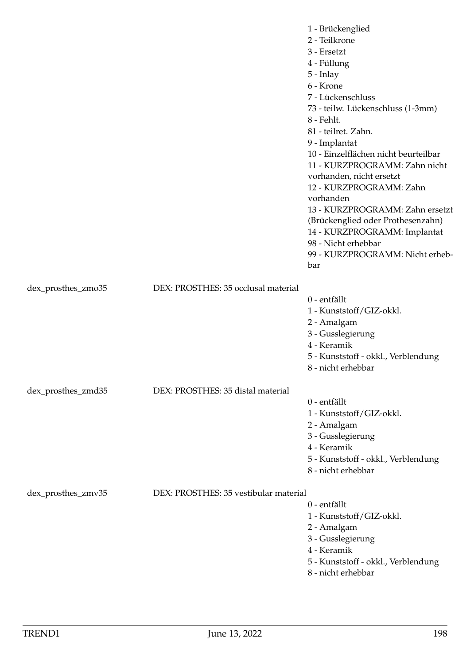|                    |                                       | 1 - Brückenglied<br>2 - Teilkrone<br>3 - Ersetzt<br>4 - Füllung<br>5 - Inlay<br>6 - Krone<br>7 - Lückenschluss<br>73 - teilw. Lückenschluss (1-3mm)<br>8 - Fehlt.<br>81 - teilret. Zahn.<br>9 - Implantat<br>10 - Einzelflächen nicht beurteilbar<br>11 - KURZPROGRAMM: Zahn nicht<br>vorhanden, nicht ersetzt<br>12 - KURZPROGRAMM: Zahn<br>vorhanden<br>13 - KURZPROGRAMM: Zahn ersetzt<br>(Brückenglied oder Prothesenzahn)<br>14 - KURZPROGRAMM: Implantat<br>98 - Nicht erhebbar<br>99 - KURZPROGRAMM: Nicht erheb-<br>bar |
|--------------------|---------------------------------------|---------------------------------------------------------------------------------------------------------------------------------------------------------------------------------------------------------------------------------------------------------------------------------------------------------------------------------------------------------------------------------------------------------------------------------------------------------------------------------------------------------------------------------|
| dex_prosthes_zmo35 | DEX: PROSTHES: 35 occlusal material   |                                                                                                                                                                                                                                                                                                                                                                                                                                                                                                                                 |
|                    |                                       | 0 - entfällt<br>1 - Kunststoff/GIZ-okkl.<br>2 - Amalgam<br>3 - Gusslegierung<br>4 - Keramik<br>5 - Kunststoff - okkl., Verblendung<br>8 - nicht erhebbar                                                                                                                                                                                                                                                                                                                                                                        |
| dex_prosthes_zmd35 | DEX: PROSTHES: 35 distal material     |                                                                                                                                                                                                                                                                                                                                                                                                                                                                                                                                 |
|                    |                                       | 0 - entfällt<br>1 - Kunststoff/GIZ-okkl.<br>2 - Amalgam<br>3 - Gusslegierung<br>4 - Keramik<br>5 - Kunststoff - okkl., Verblendung<br>8 - nicht erhebbar                                                                                                                                                                                                                                                                                                                                                                        |
| dex_prosthes_zmv35 | DEX: PROSTHES: 35 vestibular material | $0$ - entfällt<br>1 - Kunststoff/GIZ-okkl.<br>2 - Amalgam<br>3 - Gusslegierung<br>4 - Keramik<br>5 - Kunststoff - okkl., Verblendung<br>8 - nicht erhebbar                                                                                                                                                                                                                                                                                                                                                                      |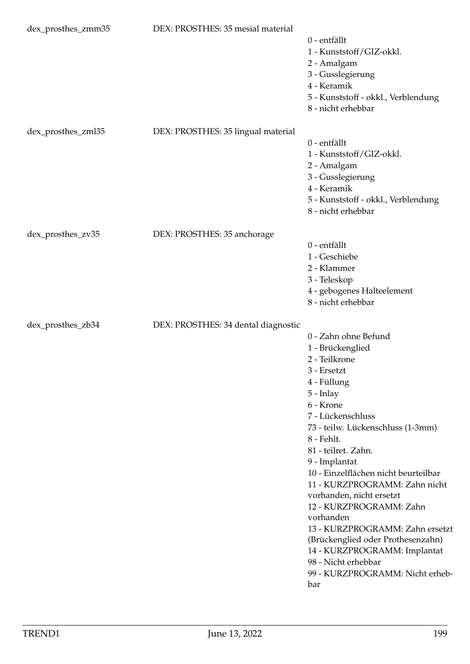| dex_prosthes_zmm35 | DEX: PROSTHES: 35 mesial material   | 0 - entfällt<br>1 - Kunststoff/GIZ-okkl.<br>2 - Amalgam<br>3 - Gusslegierung<br>4 - Keramik<br>5 - Kunststoff - okkl., Verblendung<br>8 - nicht erhebbar                                                                                                                                                                                                                                                                                                                                                                                                |
|--------------------|-------------------------------------|---------------------------------------------------------------------------------------------------------------------------------------------------------------------------------------------------------------------------------------------------------------------------------------------------------------------------------------------------------------------------------------------------------------------------------------------------------------------------------------------------------------------------------------------------------|
| dex_prosthes_zml35 | DEX: PROSTHES: 35 lingual material  | 0 - entfällt<br>1 - Kunststoff/GIZ-okkl.<br>2 - Amalgam<br>3 - Gusslegierung<br>4 - Keramik<br>5 - Kunststoff - okkl., Verblendung<br>8 - nicht erhebbar                                                                                                                                                                                                                                                                                                                                                                                                |
| dex_prosthes_zv35  | DEX: PROSTHES: 35 anchorage         |                                                                                                                                                                                                                                                                                                                                                                                                                                                                                                                                                         |
|                    |                                     | 0 - entfällt<br>1 - Geschiebe<br>2 - Klammer<br>3 - Teleskop<br>4 - gebogenes Halteelement<br>8 - nicht erhebbar                                                                                                                                                                                                                                                                                                                                                                                                                                        |
| dex_prosthes_zb34  | DEX: PROSTHES: 34 dental diagnostic | 0 - Zahn ohne Befund<br>1 - Brückenglied<br>2 - Teilkrone<br>3 - Ersetzt<br>4 - Füllung<br>5 - Inlay<br>6 - Krone<br>7 - Lückenschluss<br>73 - teilw. Lückenschluss (1-3mm)<br>8 - Fehlt.<br>81 - teilret. Zahn.<br>9 - Implantat<br>10 - Einzelflächen nicht beurteilbar<br>11 - KURZPROGRAMM: Zahn nicht<br>vorhanden, nicht ersetzt<br>12 - KURZPROGRAMM: Zahn<br>vorhanden<br>13 - KURZPROGRAMM: Zahn ersetzt<br>(Brückenglied oder Prothesenzahn)<br>14 - KURZPROGRAMM: Implantat<br>98 - Nicht erhebbar<br>99 - KURZPROGRAMM: Nicht erheb-<br>bar |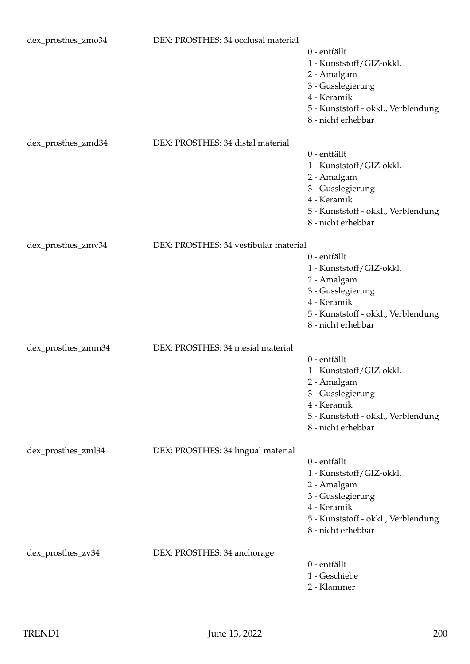| dex_prosthes_zmo34 | DEX: PROSTHES: 34 occlusal material   | 0 - entfällt<br>1 - Kunststoff/GIZ-okkl.<br>2 - Amalgam<br>3 - Gusslegierung<br>4 - Keramik<br>5 - Kunststoff - okkl., Verblendung<br>8 - nicht erhebbar |
|--------------------|---------------------------------------|----------------------------------------------------------------------------------------------------------------------------------------------------------|
| dex_prosthes_zmd34 | DEX: PROSTHES: 34 distal material     | 0 - entfällt<br>1 - Kunststoff/GIZ-okkl.<br>2 - Amalgam<br>3 - Gusslegierung<br>4 - Keramik<br>5 - Kunststoff - okkl., Verblendung<br>8 - nicht erhebbar |
| dex_prosthes_zmv34 | DEX: PROSTHES: 34 vestibular material |                                                                                                                                                          |
|                    |                                       | 0 - entfällt<br>1 - Kunststoff/GIZ-okkl.<br>2 - Amalgam<br>3 - Gusslegierung<br>4 - Keramik<br>5 - Kunststoff - okkl., Verblendung<br>8 - nicht erhebbar |
| dex_prosthes_zmm34 | DEX: PROSTHES: 34 mesial material     | 0 - entfällt<br>1 - Kunststoff/GIZ-okkl.<br>2 - Amalgam<br>3 - Gusslegierung<br>4 - Keramik<br>5 - Kunststoff - okkl., Verblendung<br>8 - nicht erhebbar |
| dex_prosthes_zml34 | DEX: PROSTHES: 34 lingual material    | 0 - entfällt<br>1 - Kunststoff/GIZ-okkl.<br>2 - Amalgam<br>3 - Gusslegierung<br>4 - Keramik<br>5 - Kunststoff - okkl., Verblendung<br>8 - nicht erhebbar |
| dex_prosthes_zv34  | DEX: PROSTHES: 34 anchorage           | 0 - entfällt<br>1 - Geschiebe<br>2 - Klammer                                                                                                             |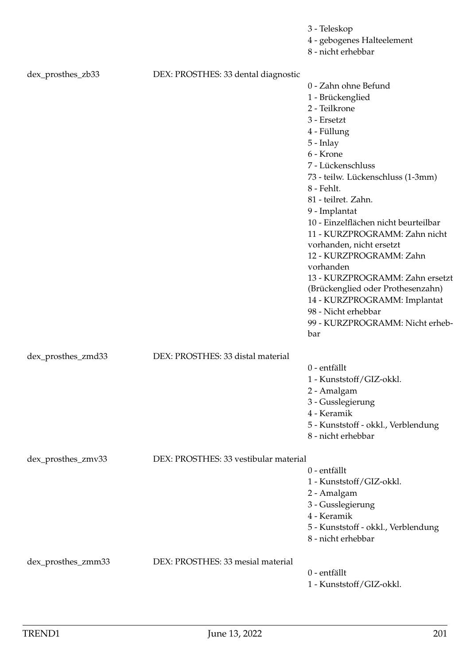|                    |                                       | 3 - Teleskop<br>4 - gebogenes Halteelement<br>8 - nicht erhebbar |
|--------------------|---------------------------------------|------------------------------------------------------------------|
| dex_prosthes_zb33  | DEX: PROSTHES: 33 dental diagnostic   |                                                                  |
|                    |                                       | 0 - Zahn ohne Befund                                             |
|                    |                                       | 1 - Brückenglied                                                 |
|                    |                                       | 2 - Teilkrone                                                    |
|                    |                                       | 3 - Ersetzt<br>4 - Füllung                                       |
|                    |                                       | $5$ - Inlay                                                      |
|                    |                                       | 6 - Krone                                                        |
|                    |                                       | 7 - Lückenschluss                                                |
|                    |                                       | 73 - teilw. Lückenschluss (1-3mm)                                |
|                    |                                       | 8 - Fehlt.                                                       |
|                    |                                       | 81 - teilret. Zahn.                                              |
|                    |                                       | 9 - Implantat                                                    |
|                    |                                       | 10 - Einzelflächen nicht beurteilbar                             |
|                    |                                       | 11 - KURZPROGRAMM: Zahn nicht                                    |
|                    |                                       | vorhanden, nicht ersetzt                                         |
|                    |                                       | 12 - KURZPROGRAMM: Zahn<br>vorhanden                             |
|                    |                                       | 13 - KURZPROGRAMM: Zahn ersetzt                                  |
|                    |                                       | (Brückenglied oder Prothesenzahn)                                |
|                    |                                       | 14 - KURZPROGRAMM: Implantat                                     |
|                    |                                       | 98 - Nicht erhebbar                                              |
|                    |                                       | 99 - KURZPROGRAMM: Nicht erheb-                                  |
|                    |                                       | bar                                                              |
| dex_prosthes_zmd33 | DEX: PROSTHES: 33 distal material     |                                                                  |
|                    |                                       | 0 - entfällt                                                     |
|                    |                                       | 1 - Kunststoff/GIZ-okkl.                                         |
|                    |                                       | 2 - Amalgam                                                      |
|                    |                                       | 3 - Gusslegierung                                                |
|                    |                                       | 4 - Keramik                                                      |
|                    |                                       | 5 - Kunststoff - okkl., Verblendung<br>8 - nicht erhebbar        |
|                    |                                       |                                                                  |
| dex_prosthes_zmv33 | DEX: PROSTHES: 33 vestibular material |                                                                  |
|                    |                                       | 0 - entfällt                                                     |
|                    |                                       | 1 - Kunststoff/GIZ-okkl.                                         |
|                    |                                       | 2 - Amalgam                                                      |
|                    |                                       | 3 - Gusslegierung<br>4 - Keramik                                 |
|                    |                                       | 5 - Kunststoff - okkl., Verblendung                              |
|                    |                                       | 8 - nicht erhebbar                                               |
|                    |                                       |                                                                  |
| dex_prosthes_zmm33 | DEX: PROSTHES: 33 mesial material     | 0 - entfällt                                                     |
|                    |                                       | 1 - Kunststoff/GIZ-okkl.                                         |
|                    |                                       |                                                                  |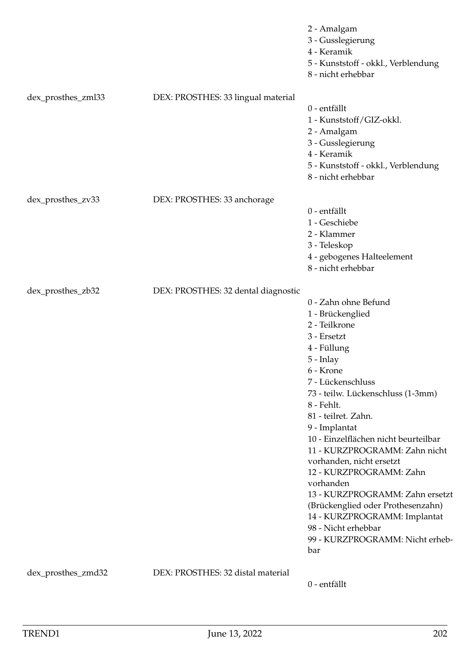|                    |                                     | 2 - Amalgam<br>3 - Gusslegierung<br>4 - Keramik<br>5 - Kunststoff - okkl., Verblendung<br>8 - nicht erhebbar                                                                                                                                                                                                                                                                                                                                                                                                                                            |
|--------------------|-------------------------------------|---------------------------------------------------------------------------------------------------------------------------------------------------------------------------------------------------------------------------------------------------------------------------------------------------------------------------------------------------------------------------------------------------------------------------------------------------------------------------------------------------------------------------------------------------------|
| dex_prosthes_zml33 | DEX: PROSTHES: 33 lingual material  | 0 - entfällt<br>1 - Kunststoff/GIZ-okkl.<br>2 - Amalgam<br>3 - Gusslegierung<br>4 - Keramik<br>5 - Kunststoff - okkl., Verblendung<br>8 - nicht erhebbar                                                                                                                                                                                                                                                                                                                                                                                                |
| dex_prosthes_zv33  | DEX: PROSTHES: 33 anchorage         | 0 - entfällt<br>1 - Geschiebe<br>2 - Klammer<br>3 - Teleskop<br>4 - gebogenes Halteelement<br>8 - nicht erhebbar                                                                                                                                                                                                                                                                                                                                                                                                                                        |
| dex_prosthes_zb32  | DEX: PROSTHES: 32 dental diagnostic | 0 - Zahn ohne Befund<br>1 - Brückenglied<br>2 - Teilkrone<br>3 - Ersetzt<br>4 - Füllung<br>5 - Inlay<br>6 - Krone<br>7 - Lückenschluss<br>73 - teilw. Lückenschluss (1-3mm)<br>8 - Fehlt.<br>81 - teilret. Zahn.<br>9 - Implantat<br>10 - Einzelflächen nicht beurteilbar<br>11 - KURZPROGRAMM: Zahn nicht<br>vorhanden, nicht ersetzt<br>12 - KURZPROGRAMM: Zahn<br>vorhanden<br>13 - KURZPROGRAMM: Zahn ersetzt<br>(Brückenglied oder Prothesenzahn)<br>14 - KURZPROGRAMM: Implantat<br>98 - Nicht erhebbar<br>99 - KURZPROGRAMM: Nicht erheb-<br>bar |
| dex_prosthes_zmd32 | DEX: PROSTHES: 32 distal material   | 0 - entfällt                                                                                                                                                                                                                                                                                                                                                                                                                                                                                                                                            |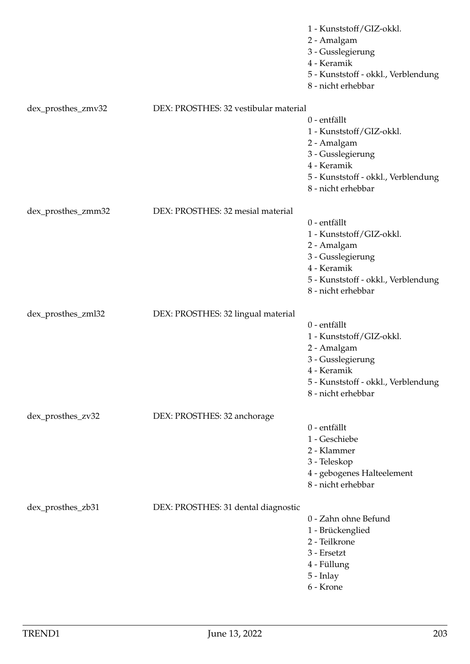|                    |                                       | 1 - Kunststoff/GIZ-okkl.<br>2 - Amalgam<br>3 - Gusslegierung<br>4 - Keramik<br>5 - Kunststoff - okkl., Verblendung<br>8 - nicht erhebbar                 |
|--------------------|---------------------------------------|----------------------------------------------------------------------------------------------------------------------------------------------------------|
| dex_prosthes_zmv32 | DEX: PROSTHES: 32 vestibular material |                                                                                                                                                          |
|                    |                                       | 0 - entfällt<br>1 - Kunststoff/GIZ-okkl.<br>2 - Amalgam<br>3 - Gusslegierung<br>4 - Keramik<br>5 - Kunststoff - okkl., Verblendung<br>8 - nicht erhebbar |
| dex_prosthes_zmm32 | DEX: PROSTHES: 32 mesial material     |                                                                                                                                                          |
|                    |                                       | 0 - entfällt<br>1 - Kunststoff/GIZ-okkl.<br>2 - Amalgam<br>3 - Gusslegierung<br>4 - Keramik<br>5 - Kunststoff - okkl., Verblendung<br>8 - nicht erhebbar |
| dex_prosthes_zml32 | DEX: PROSTHES: 32 lingual material    |                                                                                                                                                          |
|                    |                                       | 0 - entfällt<br>1 - Kunststoff/GIZ-okkl.<br>2 - Amalgam<br>3 - Gusslegierung<br>4 - Keramik<br>5 - Kunststoff - okkl., Verblendung<br>8 - nicht erhebbar |
| dex_prosthes_zv32  | DEX: PROSTHES: 32 anchorage           |                                                                                                                                                          |
|                    |                                       | 0 - entfällt<br>1 - Geschiebe<br>2 - Klammer<br>3 - Teleskop<br>4 - gebogenes Halteelement<br>8 - nicht erhebbar                                         |
| dex_prosthes_zb31  | DEX: PROSTHES: 31 dental diagnostic   | 0 - Zahn ohne Befund<br>1 - Brückenglied<br>2 - Teilkrone<br>3 - Ersetzt<br>4 - Füllung<br>5 - Inlay<br>6 - Krone                                        |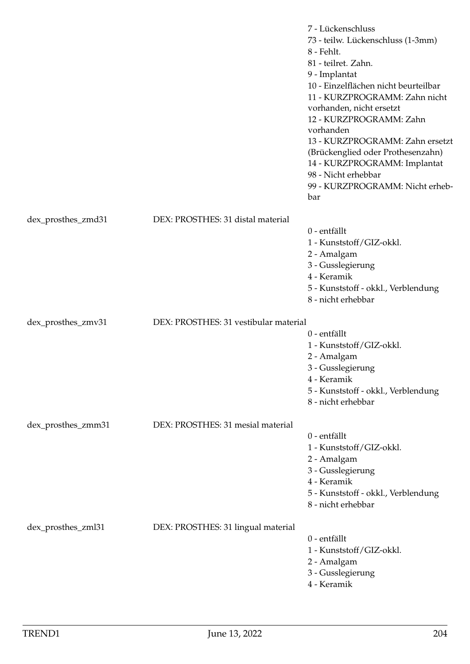|                    |                                       | 7 - Lückenschluss<br>73 - teilw. Lückenschluss (1-3mm)<br>8 - Fehlt.<br>81 - teilret. Zahn.<br>9 - Implantat<br>10 - Einzelflächen nicht beurteilbar<br>11 - KURZPROGRAMM: Zahn nicht<br>vorhanden, nicht ersetzt<br>12 - KURZPROGRAMM: Zahn<br>vorhanden<br>13 - KURZPROGRAMM: Zahn ersetzt<br>(Brückenglied oder Prothesenzahn)<br>14 - KURZPROGRAMM: Implantat<br>98 - Nicht erhebbar<br>99 - KURZPROGRAMM: Nicht erheb-<br>bar |
|--------------------|---------------------------------------|------------------------------------------------------------------------------------------------------------------------------------------------------------------------------------------------------------------------------------------------------------------------------------------------------------------------------------------------------------------------------------------------------------------------------------|
| dex_prosthes_zmd31 | DEX: PROSTHES: 31 distal material     |                                                                                                                                                                                                                                                                                                                                                                                                                                    |
|                    |                                       | 0 - entfällt<br>1 - Kunststoff/GIZ-okkl.<br>2 - Amalgam<br>3 - Gusslegierung<br>4 - Keramik<br>5 - Kunststoff - okkl., Verblendung<br>8 - nicht erhebbar                                                                                                                                                                                                                                                                           |
| dex_prosthes_zmv31 | DEX: PROSTHES: 31 vestibular material |                                                                                                                                                                                                                                                                                                                                                                                                                                    |
|                    |                                       | 0 - entfällt<br>1 - Kunststoff/GIZ-okkl.<br>2 - Amalgam<br>3 - Gusslegierung<br>4 - Keramik<br>5 - Kunststoff - okkl., Verblendung<br>8 - nicht erhebbar                                                                                                                                                                                                                                                                           |
| dex_prosthes_zmm31 | DEX: PROSTHES: 31 mesial material     |                                                                                                                                                                                                                                                                                                                                                                                                                                    |
|                    |                                       | 0 - entfällt<br>1 - Kunststoff/GIZ-okkl.<br>2 - Amalgam<br>3 - Gusslegierung<br>4 - Keramik<br>5 - Kunststoff - okkl., Verblendung<br>8 - nicht erhebbar                                                                                                                                                                                                                                                                           |
| dex_prosthes_zml31 | DEX: PROSTHES: 31 lingual material    | 0 - entfällt<br>1 - Kunststoff/GIZ-okkl.<br>2 - Amalgam<br>3 - Gusslegierung<br>4 - Keramik                                                                                                                                                                                                                                                                                                                                        |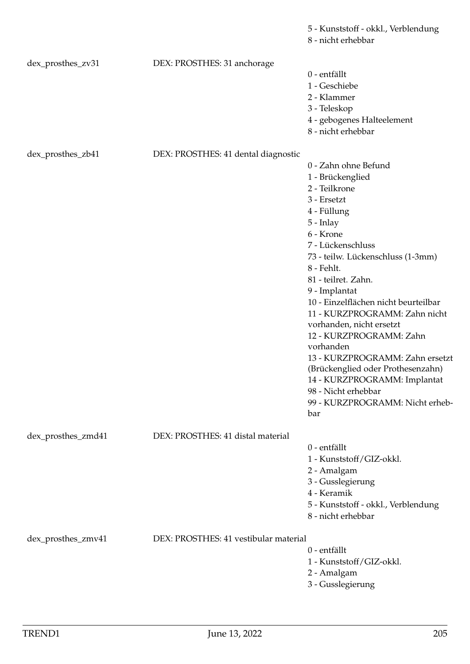|                    |                                       | 8 - nicht erhebbar                                     |
|--------------------|---------------------------------------|--------------------------------------------------------|
| dex_prosthes_zv31  | DEX: PROSTHES: 31 anchorage           |                                                        |
|                    |                                       | 0 - entfällt                                           |
|                    |                                       | 1 - Geschiebe                                          |
|                    |                                       | 2 - Klammer                                            |
|                    |                                       | 3 - Teleskop                                           |
|                    |                                       | 4 - gebogenes Halteelement<br>8 - nicht erhebbar       |
|                    |                                       |                                                        |
| dex_prosthes_zb41  | DEX: PROSTHES: 41 dental diagnostic   |                                                        |
|                    |                                       | 0 - Zahn ohne Befund                                   |
|                    |                                       | 1 - Brückenglied                                       |
|                    |                                       | 2 - Teilkrone                                          |
|                    |                                       | 3 - Ersetzt                                            |
|                    |                                       | 4 - Füllung                                            |
|                    |                                       | $5$ - Inlay<br>6 - Krone                               |
|                    |                                       | 7 - Lückenschluss                                      |
|                    |                                       | 73 - teilw. Lückenschluss (1-3mm)                      |
|                    |                                       | 8 - Fehlt.                                             |
|                    |                                       | 81 - teilret. Zahn.                                    |
|                    |                                       | 9 - Implantat                                          |
|                    |                                       | 10 - Einzelflächen nicht beurteilbar                   |
|                    |                                       | 11 - KURZPROGRAMM: Zahn nicht                          |
|                    |                                       | vorhanden, nicht ersetzt                               |
|                    |                                       | 12 - KURZPROGRAMM: Zahn                                |
|                    |                                       | vorhanden                                              |
|                    |                                       | 13 - KURZPROGRAMM: Zahn ersetzt                        |
|                    |                                       | (Brückenglied oder Prothesenzahn)                      |
|                    |                                       | 14 - KURZPROGRAMM: Implantat                           |
|                    |                                       | 98 - Nicht erhebbar<br>99 - KURZPROGRAMM: Nicht erheb- |
|                    |                                       | bar                                                    |
| dex_prosthes_zmd41 | DEX: PROSTHES: 41 distal material     |                                                        |
|                    |                                       | 0 - entfällt                                           |
|                    |                                       | 1 - Kunststoff/GIZ-okkl.                               |
|                    |                                       | 2 - Amalgam                                            |
|                    |                                       | 3 - Gusslegierung                                      |
|                    |                                       | 4 - Keramik                                            |
|                    |                                       | 5 - Kunststoff - okkl., Verblendung                    |
|                    |                                       | 8 - nicht erhebbar                                     |
| dex_prosthes_zmv41 | DEX: PROSTHES: 41 vestibular material |                                                        |
|                    |                                       | 0 - entfällt                                           |
|                    |                                       | 1 - Kunststoff/GIZ-okkl.                               |
|                    |                                       | 2 - Amalgam                                            |
|                    |                                       | 3 - Gusslegierung                                      |

5 - Kunststoff - okkl., Verblendung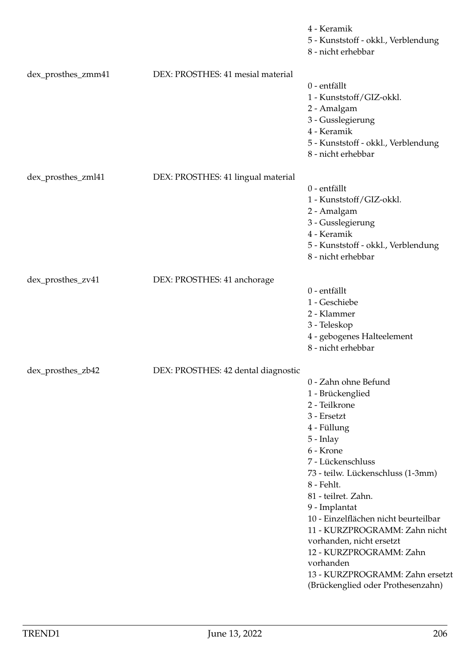|                    |                                     | 4 - Keramik<br>5 - Kunststoff - okkl., Verblendung<br>8 - nicht erhebbar                                                                                                                                                                                                                                                                                                                                                                               |
|--------------------|-------------------------------------|--------------------------------------------------------------------------------------------------------------------------------------------------------------------------------------------------------------------------------------------------------------------------------------------------------------------------------------------------------------------------------------------------------------------------------------------------------|
| dex_prosthes_zmm41 | DEX: PROSTHES: 41 mesial material   | 0 - entfällt<br>1 - Kunststoff/GIZ-okkl.<br>2 - Amalgam<br>3 - Gusslegierung<br>4 - Keramik<br>5 - Kunststoff - okkl., Verblendung<br>8 - nicht erhebbar                                                                                                                                                                                                                                                                                               |
| dex_prosthes_zml41 | DEX: PROSTHES: 41 lingual material  | 0 - entfällt<br>1 - Kunststoff/GIZ-okkl.<br>2 - Amalgam<br>3 - Gusslegierung<br>4 - Keramik<br>5 - Kunststoff - okkl., Verblendung<br>8 - nicht erhebbar                                                                                                                                                                                                                                                                                               |
| dex_prosthes_zv41  | DEX: PROSTHES: 41 anchorage         | 0 - entfällt<br>1 - Geschiebe<br>2 - Klammer<br>3 - Teleskop<br>4 - gebogenes Halteelement<br>8 - nicht erhebbar                                                                                                                                                                                                                                                                                                                                       |
| dex_prosthes_zb42  | DEX: PROSTHES: 42 dental diagnostic | 0 - Zahn ohne Befund<br>1 - Brückenglied<br>2 - Teilkrone<br>3 - Ersetzt<br>4 - Füllung<br>5 - Inlay<br>6 - Krone<br>7 - Lückenschluss<br>73 - teilw. Lückenschluss (1-3mm)<br>8 - Fehlt.<br>81 - teilret. Zahn.<br>9 - Implantat<br>10 - Einzelflächen nicht beurteilbar<br>11 - KURZPROGRAMM: Zahn nicht<br>vorhanden, nicht ersetzt<br>12 - KURZPROGRAMM: Zahn<br>vorhanden<br>13 - KURZPROGRAMM: Zahn ersetzt<br>(Brückenglied oder Prothesenzahn) |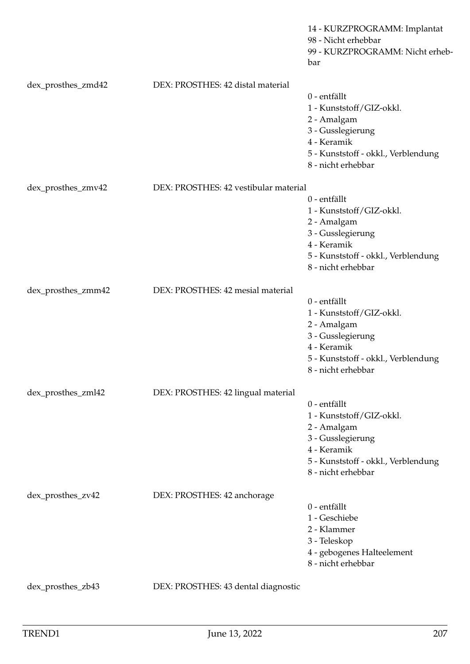|                    |                                       | 14 - KURZPROGRAMM: Implantat<br>98 - Nicht erhebbar<br>99 - KURZPROGRAMM: Nicht erheb-<br>bar                                                            |
|--------------------|---------------------------------------|----------------------------------------------------------------------------------------------------------------------------------------------------------|
| dex_prosthes_zmd42 | DEX: PROSTHES: 42 distal material     | 0 - entfällt<br>1 - Kunststoff/GIZ-okkl.<br>2 - Amalgam<br>3 - Gusslegierung<br>4 - Keramik<br>5 - Kunststoff - okkl., Verblendung<br>8 - nicht erhebbar |
| dex_prosthes_zmv42 | DEX: PROSTHES: 42 vestibular material | 0 - entfällt<br>1 - Kunststoff/GIZ-okkl.<br>2 - Amalgam<br>3 - Gusslegierung<br>4 - Keramik<br>5 - Kunststoff - okkl., Verblendung<br>8 - nicht erhebbar |
| dex_prosthes_zmm42 | DEX: PROSTHES: 42 mesial material     | 0 - entfällt<br>1 - Kunststoff/GIZ-okkl.<br>2 - Amalgam<br>3 - Gusslegierung<br>4 - Keramik<br>5 - Kunststoff - okkl., Verblendung<br>8 - nicht erhebbar |
| dex_prosthes_zml42 | DEX: PROSTHES: 42 lingual material    | 0 - entfällt<br>1 - Kunststoff/GIZ-okkl.<br>2 - Amalgam<br>3 - Gusslegierung<br>4 - Keramik<br>5 - Kunststoff - okkl., Verblendung<br>8 - nicht erhebbar |
| dex_prosthes_zv42  | DEX: PROSTHES: 42 anchorage           | 0 - entfällt<br>1 - Geschiebe<br>2 - Klammer<br>3 - Teleskop<br>4 - gebogenes Halteelement<br>8 - nicht erhebbar                                         |
| dex_prosthes_zb43  | DEX: PROSTHES: 43 dental diagnostic   |                                                                                                                                                          |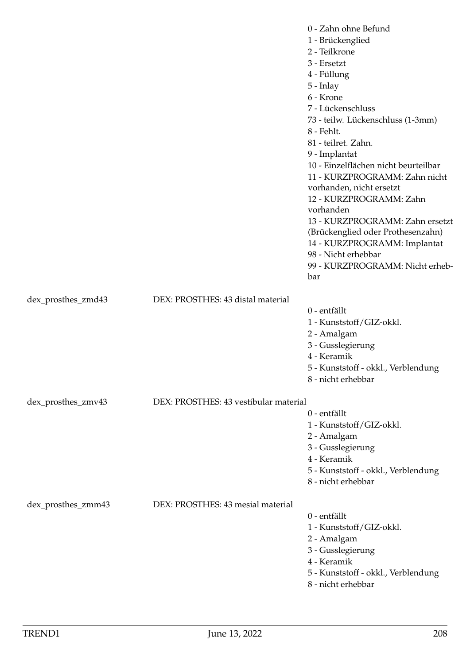|                    |                                       | 0 - Zahn ohne Befund<br>1 - Brückenglied<br>2 - Teilkrone<br>3 - Ersetzt<br>4 - Füllung<br>$5$ - Inlay<br>6 - Krone<br>7 - Lückenschluss<br>73 - teilw. Lückenschluss (1-3mm)<br>8 - Fehlt.<br>81 - teilret. Zahn.<br>9 - Implantat<br>10 - Einzelflächen nicht beurteilbar<br>11 - KURZPROGRAMM: Zahn nicht<br>vorhanden, nicht ersetzt<br>12 - KURZPROGRAMM: Zahn<br>vorhanden<br>13 - KURZPROGRAMM: Zahn ersetzt<br>(Brückenglied oder Prothesenzahn)<br>14 - KURZPROGRAMM: Implantat<br>98 - Nicht erhebbar<br>99 - KURZPROGRAMM: Nicht erheb-<br>bar |
|--------------------|---------------------------------------|-----------------------------------------------------------------------------------------------------------------------------------------------------------------------------------------------------------------------------------------------------------------------------------------------------------------------------------------------------------------------------------------------------------------------------------------------------------------------------------------------------------------------------------------------------------|
| dex_prosthes_zmd43 | DEX: PROSTHES: 43 distal material     | 0 - entfällt<br>1 - Kunststoff/GIZ-okkl.                                                                                                                                                                                                                                                                                                                                                                                                                                                                                                                  |
|                    |                                       | 2 - Amalgam<br>3 - Gusslegierung<br>4 - Keramik<br>5 - Kunststoff - okkl., Verblendung<br>8 - nicht erhebbar                                                                                                                                                                                                                                                                                                                                                                                                                                              |
| dex_prosthes_zmv43 | DEX: PROSTHES: 43 vestibular material |                                                                                                                                                                                                                                                                                                                                                                                                                                                                                                                                                           |
|                    |                                       | 0 - entfällt<br>1 - Kunststoff/GIZ-okkl.<br>2 - Amalgam<br>3 - Gusslegierung<br>4 - Keramik<br>5 - Kunststoff - okkl., Verblendung<br>8 - nicht erhebbar                                                                                                                                                                                                                                                                                                                                                                                                  |
| dex_prosthes_zmm43 | DEX: PROSTHES: 43 mesial material     | 0 - entfällt<br>1 - Kunststoff/GIZ-okkl.<br>2 - Amalgam<br>3 - Gusslegierung<br>4 - Keramik<br>5 - Kunststoff - okkl., Verblendung<br>8 - nicht erhebbar                                                                                                                                                                                                                                                                                                                                                                                                  |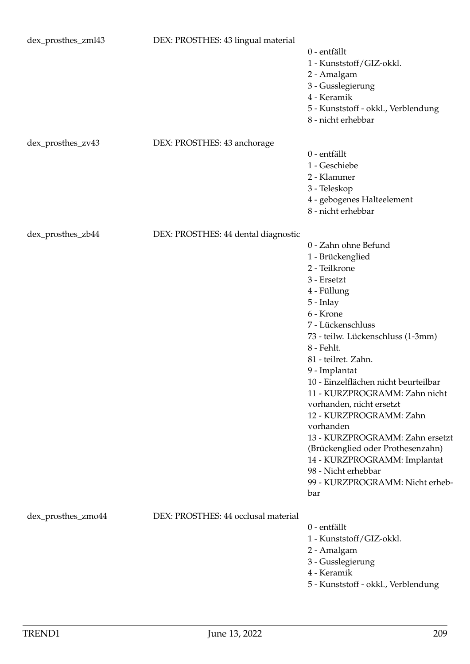| dex_prosthes_zml43 | DEX: PROSTHES: 43 lingual material  | 0 - entfällt<br>1 - Kunststoff/GIZ-okkl.<br>2 - Amalgam<br>3 - Gusslegierung<br>4 - Keramik<br>5 - Kunststoff - okkl., Verblendung<br>8 - nicht erhebbar                                                                                                                                                                                                                                                                                                                                                                                                  |
|--------------------|-------------------------------------|-----------------------------------------------------------------------------------------------------------------------------------------------------------------------------------------------------------------------------------------------------------------------------------------------------------------------------------------------------------------------------------------------------------------------------------------------------------------------------------------------------------------------------------------------------------|
| dex_prosthes_zv43  | DEX: PROSTHES: 43 anchorage         | 0 - entfällt<br>1 - Geschiebe<br>2 - Klammer<br>3 - Teleskop<br>4 - gebogenes Halteelement<br>8 - nicht erhebbar                                                                                                                                                                                                                                                                                                                                                                                                                                          |
| dex_prosthes_zb44  | DEX: PROSTHES: 44 dental diagnostic | 0 - Zahn ohne Befund<br>1 - Brückenglied<br>2 - Teilkrone<br>3 - Ersetzt<br>4 - Füllung<br>$5$ - Inlay<br>6 - Krone<br>7 - Lückenschluss<br>73 - teilw. Lückenschluss (1-3mm)<br>8 - Fehlt.<br>81 - teilret. Zahn.<br>9 - Implantat<br>10 - Einzelflächen nicht beurteilbar<br>11 - KURZPROGRAMM: Zahn nicht<br>vorhanden, nicht ersetzt<br>12 - KURZPROGRAMM: Zahn<br>vorhanden<br>13 - KURZPROGRAMM: Zahn ersetzt<br>(Brückenglied oder Prothesenzahn)<br>14 - KURZPROGRAMM: Implantat<br>98 - Nicht erhebbar<br>99 - KURZPROGRAMM: Nicht erheb-<br>bar |
| dex_prosthes_zmo44 | DEX: PROSTHES: 44 occlusal material | 0 - entfällt<br>1 - Kunststoff/GIZ-okkl.<br>2 - Amalgam<br>3 - Gusslegierung<br>4 - Keramik<br>5 - Kunststoff - okkl., Verblendung                                                                                                                                                                                                                                                                                                                                                                                                                        |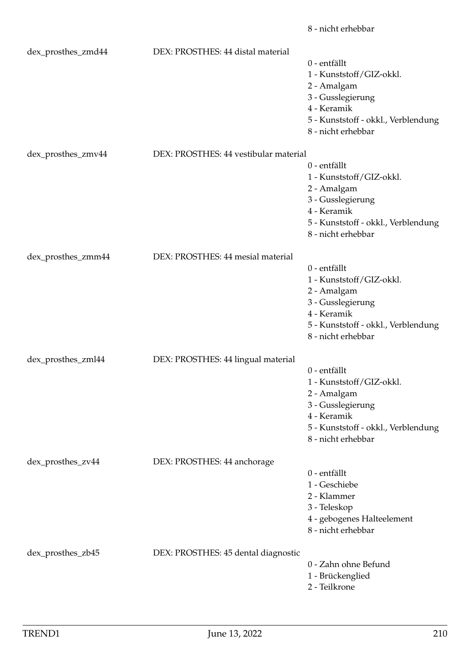|                    |                                       | 8 - nicht erhebbar                                                                                                                                       |
|--------------------|---------------------------------------|----------------------------------------------------------------------------------------------------------------------------------------------------------|
| dex_prosthes_zmd44 | DEX: PROSTHES: 44 distal material     | 0 - entfällt<br>1 - Kunststoff/GIZ-okkl.<br>2 - Amalgam<br>3 - Gusslegierung<br>4 - Keramik<br>5 - Kunststoff - okkl., Verblendung<br>8 - nicht erhebbar |
| dex_prosthes_zmv44 | DEX: PROSTHES: 44 vestibular material | 0 - entfällt<br>1 - Kunststoff/GIZ-okkl.<br>2 - Amalgam<br>3 - Gusslegierung<br>4 - Keramik<br>5 - Kunststoff - okkl., Verblendung<br>8 - nicht erhebbar |
| dex_prosthes_zmm44 | DEX: PROSTHES: 44 mesial material     | 0 - entfällt<br>1 - Kunststoff/GIZ-okkl.<br>2 - Amalgam<br>3 - Gusslegierung<br>4 - Keramik<br>5 - Kunststoff - okkl., Verblendung<br>8 - nicht erhebbar |
| dex_prosthes_zml44 | DEX: PROSTHES: 44 lingual material    | 0 - entfällt<br>1 - Kunststoff/GIZ-okkl.<br>2 - Amalgam<br>3 - Gusslegierung<br>4 - Keramik<br>5 - Kunststoff - okkl., Verblendung<br>8 - nicht erhebbar |
| dex_prosthes_zv44  | DEX: PROSTHES: 44 anchorage           | 0 - entfällt<br>1 - Geschiebe<br>2 - Klammer<br>3 - Teleskop<br>4 - gebogenes Halteelement<br>8 - nicht erhebbar                                         |
| dex_prosthes_zb45  | DEX: PROSTHES: 45 dental diagnostic   | 0 - Zahn ohne Befund<br>1 - Brückenglied<br>2 - Teilkrone                                                                                                |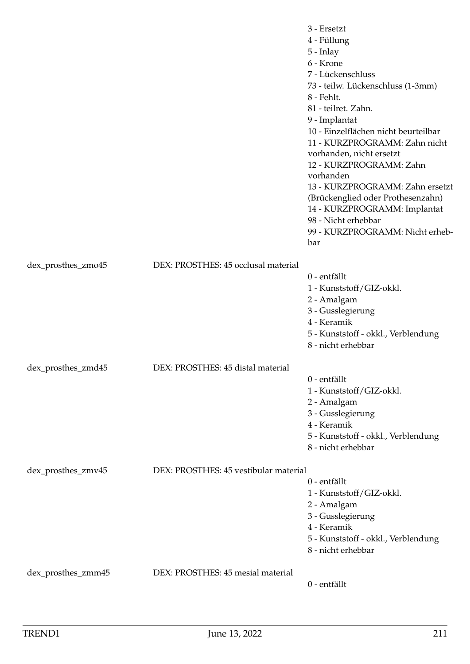|                    |                                       | 3 - Ersetzt<br>4 - Füllung<br>$5$ - Inlay<br>6 - Krone<br>7 - Lückenschluss<br>73 - teilw. Lückenschluss (1-3mm)<br>8 - Fehlt.<br>81 - teilret. Zahn.<br>9 - Implantat<br>10 - Einzelflächen nicht beurteilbar<br>11 - KURZPROGRAMM: Zahn nicht<br>vorhanden, nicht ersetzt<br>12 - KURZPROGRAMM: Zahn<br>vorhanden<br>13 - KURZPROGRAMM: Zahn ersetzt<br>(Brückenglied oder Prothesenzahn)<br>14 - KURZPROGRAMM: Implantat<br>98 - Nicht erhebbar<br>99 - KURZPROGRAMM: Nicht erheb-<br>bar |
|--------------------|---------------------------------------|----------------------------------------------------------------------------------------------------------------------------------------------------------------------------------------------------------------------------------------------------------------------------------------------------------------------------------------------------------------------------------------------------------------------------------------------------------------------------------------------|
| dex_prosthes_zmo45 | DEX: PROSTHES: 45 occlusal material   | 0 - entfällt<br>1 - Kunststoff/GIZ-okkl.<br>2 - Amalgam<br>3 - Gusslegierung<br>4 - Keramik<br>5 - Kunststoff - okkl., Verblendung<br>8 - nicht erhebbar                                                                                                                                                                                                                                                                                                                                     |
| dex_prosthes_zmd45 | DEX: PROSTHES: 45 distal material     | 0 - entfällt<br>1 - Kunststoff/GIZ-okkl.<br>2 - Amalgam<br>3 - Gusslegierung<br>4 - Keramik<br>5 - Kunststoff - okkl., Verblendung<br>8 - nicht erhebbar                                                                                                                                                                                                                                                                                                                                     |
| dex_prosthes_zmv45 | DEX: PROSTHES: 45 vestibular material | 0 - entfällt<br>1 - Kunststoff/GIZ-okkl.<br>2 - Amalgam<br>3 - Gusslegierung<br>4 - Keramik<br>5 - Kunststoff - okkl., Verblendung<br>8 - nicht erhebbar                                                                                                                                                                                                                                                                                                                                     |
| dex_prosthes_zmm45 | DEX: PROSTHES: 45 mesial material     | 0 - entfällt                                                                                                                                                                                                                                                                                                                                                                                                                                                                                 |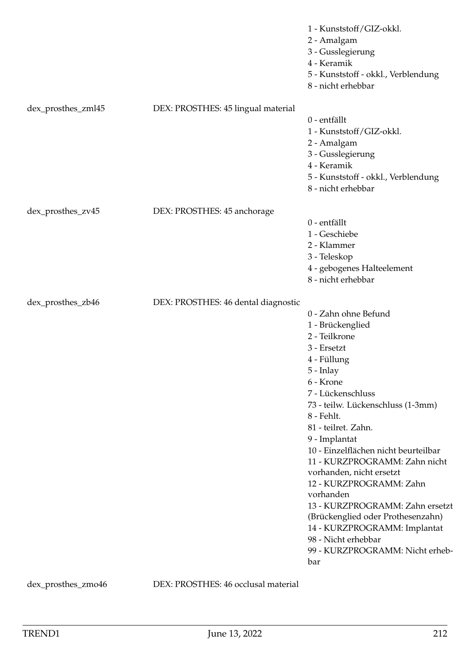|                    |                                     | 1 - Kunststoff/GIZ-okkl.<br>2 - Amalgam<br>3 - Gusslegierung<br>4 - Keramik<br>5 - Kunststoff - okkl., Verblendung<br>8 - nicht erhebbar                                                                                                                                                                                                                                                                                                                                                                                                                |
|--------------------|-------------------------------------|---------------------------------------------------------------------------------------------------------------------------------------------------------------------------------------------------------------------------------------------------------------------------------------------------------------------------------------------------------------------------------------------------------------------------------------------------------------------------------------------------------------------------------------------------------|
| dex_prosthes_zml45 | DEX: PROSTHES: 45 lingual material  | 0 - entfällt<br>1 - Kunststoff/GIZ-okkl.<br>2 - Amalgam<br>3 - Gusslegierung<br>4 - Keramik<br>5 - Kunststoff - okkl., Verblendung<br>8 - nicht erhebbar                                                                                                                                                                                                                                                                                                                                                                                                |
| dex_prosthes_zv45  | DEX: PROSTHES: 45 anchorage         | 0 - entfällt<br>1 - Geschiebe<br>2 - Klammer<br>3 - Teleskop<br>4 - gebogenes Halteelement<br>8 - nicht erhebbar                                                                                                                                                                                                                                                                                                                                                                                                                                        |
| dex_prosthes_zb46  | DEX: PROSTHES: 46 dental diagnostic | 0 - Zahn ohne Befund<br>1 - Brückenglied<br>2 - Teilkrone<br>3 - Ersetzt<br>4 - Füllung<br>5 - Inlay<br>6 - Krone<br>7 - Lückenschluss<br>73 - teilw. Lückenschluss (1-3mm)<br>8 - Fehlt.<br>81 - teilret. Zahn.<br>9 - Implantat<br>10 - Einzelflächen nicht beurteilbar<br>11 - KURZPROGRAMM: Zahn nicht<br>vorhanden, nicht ersetzt<br>12 - KURZPROGRAMM: Zahn<br>vorhanden<br>13 - KURZPROGRAMM: Zahn ersetzt<br>(Brückenglied oder Prothesenzahn)<br>14 - KURZPROGRAMM: Implantat<br>98 - Nicht erhebbar<br>99 - KURZPROGRAMM: Nicht erheb-<br>bar |

dex\_prosthes\_zmo46 DEX: PROSTHES: 46 occlusal material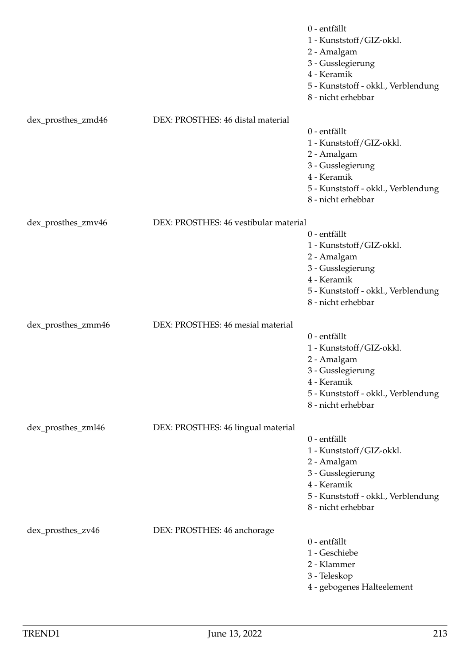|                    |                                       | 0 - entfällt<br>1 - Kunststoff/GIZ-okkl.<br>2 - Amalgam<br>3 - Gusslegierung<br>4 - Keramik<br>5 - Kunststoff - okkl., Verblendung<br>8 - nicht erhebbar |
|--------------------|---------------------------------------|----------------------------------------------------------------------------------------------------------------------------------------------------------|
| dex_prosthes_zmd46 | DEX: PROSTHES: 46 distal material     |                                                                                                                                                          |
|                    |                                       | 0 - entfällt<br>1 - Kunststoff/GIZ-okkl.<br>2 - Amalgam<br>3 - Gusslegierung<br>4 - Keramik<br>5 - Kunststoff - okkl., Verblendung<br>8 - nicht erhebbar |
| dex_prosthes_zmv46 | DEX: PROSTHES: 46 vestibular material |                                                                                                                                                          |
|                    |                                       | 0 - entfällt<br>1 - Kunststoff/GIZ-okkl.<br>2 - Amalgam<br>3 - Gusslegierung<br>4 - Keramik<br>5 - Kunststoff - okkl., Verblendung<br>8 - nicht erhebbar |
| dex_prosthes_zmm46 | DEX: PROSTHES: 46 mesial material     |                                                                                                                                                          |
|                    |                                       | 0 - entfällt<br>1 - Kunststoff/GIZ-okkl.<br>2 - Amalgam<br>3 - Gusslegierung<br>4 - Keramik<br>5 - Kunststoff - okkl., Verblendung<br>8 - nicht erhebbar |
| dex_prosthes_zml46 | DEX: PROSTHES: 46 lingual material    |                                                                                                                                                          |
|                    |                                       | 0 - entfällt<br>1 - Kunststoff/GIZ-okkl.<br>2 - Amalgam<br>3 - Gusslegierung<br>4 - Keramik<br>5 - Kunststoff - okkl., Verblendung<br>8 - nicht erhebbar |
| dex_prosthes_zv46  | DEX: PROSTHES: 46 anchorage           | 0 - entfällt<br>1 - Geschiebe<br>2 - Klammer<br>3 - Teleskop<br>4 - gebogenes Halteelement                                                               |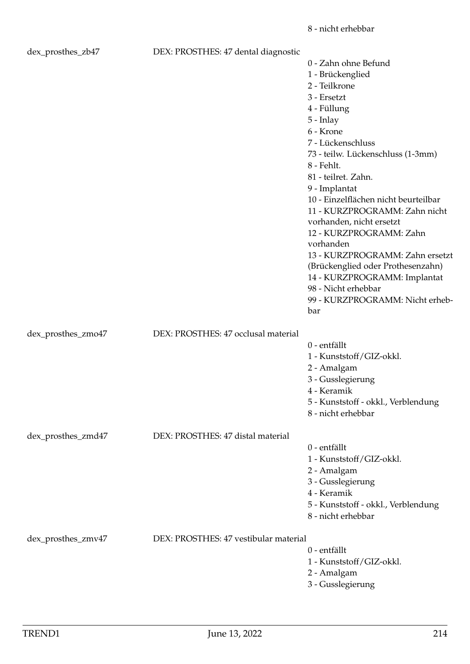| dex_prosthes_zb47  | DEX: PROSTHES: 47 dental diagnostic   |                                      |
|--------------------|---------------------------------------|--------------------------------------|
|                    |                                       | 0 - Zahn ohne Befund                 |
|                    |                                       | 1 - Brückenglied                     |
|                    |                                       | 2 - Teilkrone                        |
|                    |                                       | 3 - Ersetzt                          |
|                    |                                       | 4 - Füllung                          |
|                    |                                       | $5$ - Inlay                          |
|                    |                                       | 6 - Krone                            |
|                    |                                       | 7 - Lückenschluss                    |
|                    |                                       |                                      |
|                    |                                       | 73 - teilw. Lückenschluss (1-3mm)    |
|                    |                                       | 8 - Fehlt.                           |
|                    |                                       | 81 - teilret. Zahn.                  |
|                    |                                       | 9 - Implantat                        |
|                    |                                       | 10 - Einzelflächen nicht beurteilbar |
|                    |                                       | 11 - KURZPROGRAMM: Zahn nicht        |
|                    |                                       | vorhanden, nicht ersetzt             |
|                    |                                       | 12 - KURZPROGRAMM: Zahn              |
|                    |                                       | vorhanden                            |
|                    |                                       | 13 - KURZPROGRAMM: Zahn ersetzt      |
|                    |                                       | (Brückenglied oder Prothesenzahn)    |
|                    |                                       | 14 - KURZPROGRAMM: Implantat         |
|                    |                                       | 98 - Nicht erhebbar                  |
|                    |                                       | 99 - KURZPROGRAMM: Nicht erheb-      |
|                    |                                       | bar                                  |
| dex_prosthes_zmo47 | DEX: PROSTHES: 47 occlusal material   |                                      |
|                    |                                       | 0 - entfällt                         |
|                    |                                       |                                      |
|                    |                                       | 1 - Kunststoff/GIZ-okkl.             |
|                    |                                       | 2 - Amalgam                          |
|                    |                                       | 3 - Gusslegierung                    |
|                    |                                       | 4 - Keramik                          |
|                    |                                       | 5 - Kunststoff - okkl., Verblendung  |
|                    |                                       | 8 - nicht erhebbar                   |
| dex_prosthes_zmd47 | DEX: PROSTHES: 47 distal material     |                                      |
|                    |                                       | 0 - entfällt                         |
|                    |                                       | 1 - Kunststoff/GIZ-okkl.             |
|                    |                                       | 2 - Amalgam                          |
|                    |                                       | 3 - Gusslegierung                    |
|                    |                                       | 4 - Keramik                          |
|                    |                                       | 5 - Kunststoff - okkl., Verblendung  |
|                    |                                       | 8 - nicht erhebbar                   |
|                    |                                       |                                      |
| dex_prosthes_zmv47 | DEX: PROSTHES: 47 vestibular material |                                      |
|                    |                                       | 0 - entfällt                         |
|                    |                                       | 1 - Kunststoff/GIZ-okkl.             |
|                    |                                       | 2 - Amalgam                          |

3 - Gusslegierung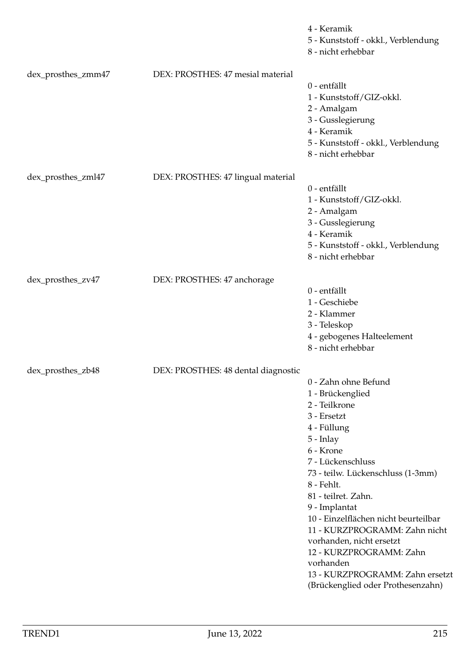|                    |                                     | 4 - Keramik<br>5 - Kunststoff - okkl., Verblendung<br>8 - nicht erhebbar                                                                                                                                                                                                                                                                                                                                                                                 |
|--------------------|-------------------------------------|----------------------------------------------------------------------------------------------------------------------------------------------------------------------------------------------------------------------------------------------------------------------------------------------------------------------------------------------------------------------------------------------------------------------------------------------------------|
| dex_prosthes_zmm47 | DEX: PROSTHES: 47 mesial material   | 0 - entfällt<br>1 - Kunststoff/GIZ-okkl.<br>2 - Amalgam<br>3 - Gusslegierung<br>4 - Keramik<br>5 - Kunststoff - okkl., Verblendung<br>8 - nicht erhebbar                                                                                                                                                                                                                                                                                                 |
| dex_prosthes_zml47 | DEX: PROSTHES: 47 lingual material  | 0 - entfällt<br>1 - Kunststoff/GIZ-okkl.<br>2 - Amalgam<br>3 - Gusslegierung<br>4 - Keramik<br>5 - Kunststoff - okkl., Verblendung<br>8 - nicht erhebbar                                                                                                                                                                                                                                                                                                 |
| dex_prosthes_zv47  | DEX: PROSTHES: 47 anchorage         | 0 - entfällt<br>1 - Geschiebe<br>2 - Klammer<br>3 - Teleskop<br>4 - gebogenes Halteelement<br>8 - nicht erhebbar                                                                                                                                                                                                                                                                                                                                         |
| dex_prosthes_zb48  | DEX: PROSTHES: 48 dental diagnostic | 0 - Zahn ohne Befund<br>1 - Brückenglied<br>2 - Teilkrone<br>3 - Ersetzt<br>4 - Füllung<br>$5$ - Inlay<br>6 - Krone<br>7 - Lückenschluss<br>73 - teilw. Lückenschluss (1-3mm)<br>8 - Fehlt.<br>81 - teilret. Zahn.<br>9 - Implantat<br>10 - Einzelflächen nicht beurteilbar<br>11 - KURZPROGRAMM: Zahn nicht<br>vorhanden, nicht ersetzt<br>12 - KURZPROGRAMM: Zahn<br>vorhanden<br>13 - KURZPROGRAMM: Zahn ersetzt<br>(Brückenglied oder Prothesenzahn) |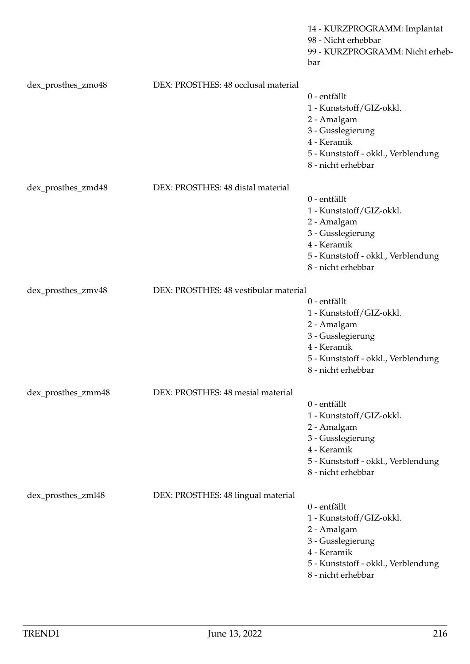|                    |                                       | 14 - KURZPROGRAMM: Implantat<br>98 - Nicht erhebbar<br>99 - KURZPROGRAMM: Nicht erheb-<br>bar                                                            |
|--------------------|---------------------------------------|----------------------------------------------------------------------------------------------------------------------------------------------------------|
| dex_prosthes_zmo48 | DEX: PROSTHES: 48 occlusal material   | 0 - entfällt<br>1 - Kunststoff/GIZ-okkl.<br>2 - Amalgam<br>3 - Gusslegierung<br>4 - Keramik<br>5 - Kunststoff - okkl., Verblendung<br>8 - nicht erhebbar |
| dex_prosthes_zmd48 | DEX: PROSTHES: 48 distal material     |                                                                                                                                                          |
|                    |                                       | 0 - entfällt<br>1 - Kunststoff/GIZ-okkl.<br>2 - Amalgam<br>3 - Gusslegierung<br>4 - Keramik<br>5 - Kunststoff - okkl., Verblendung<br>8 - nicht erhebbar |
| dex_prosthes_zmv48 | DEX: PROSTHES: 48 vestibular material |                                                                                                                                                          |
|                    |                                       | 0 - entfällt<br>1 - Kunststoff/GIZ-okkl.<br>2 - Amalgam<br>3 - Gusslegierung<br>4 - Keramik<br>5 - Kunststoff - okkl., Verblendung<br>8 - nicht erhebbar |
| dex_prosthes_zmm48 | DEX: PROSTHES: 48 mesial material     |                                                                                                                                                          |
|                    |                                       | 0 - entfällt<br>1 - Kunststoff/GIZ-okkl.<br>2 - Amalgam<br>3 - Gusslegierung<br>4 - Keramik<br>5 - Kunststoff - okkl., Verblendung<br>8 - nicht erhebbar |
| dex_prosthes_zml48 | DEX: PROSTHES: 48 lingual material    | 0 - entfällt<br>1 - Kunststoff/GIZ-okkl.<br>2 - Amalgam<br>3 - Gusslegierung<br>4 - Keramik<br>5 - Kunststoff - okkl., Verblendung<br>8 - nicht erhebbar |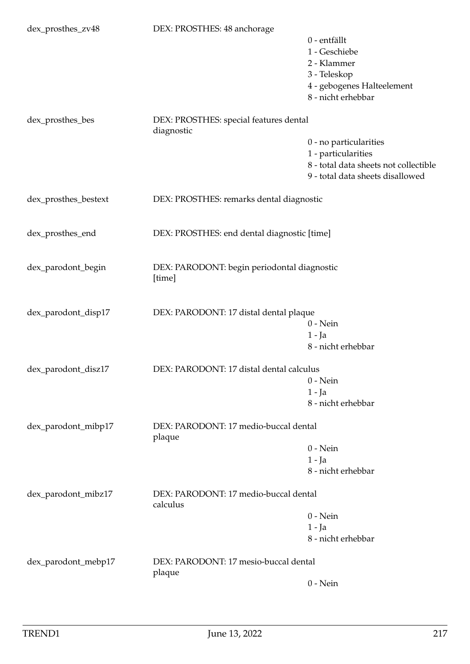| dex_prosthes_zv48    | DEX: PROSTHES: 48 anchorage                           |                                       |
|----------------------|-------------------------------------------------------|---------------------------------------|
|                      |                                                       | 0 - entfällt                          |
|                      |                                                       | 1 - Geschiebe                         |
|                      |                                                       | 2 - Klammer                           |
|                      |                                                       | 3 - Teleskop                          |
|                      |                                                       | 4 - gebogenes Halteelement            |
|                      |                                                       | 8 - nicht erhebbar                    |
|                      |                                                       |                                       |
| dex_prosthes_bes     | DEX: PROSTHES: special features dental<br>diagnostic  |                                       |
|                      |                                                       |                                       |
|                      |                                                       | 0 - no particularities                |
|                      |                                                       | 1 - particularities                   |
|                      |                                                       | 8 - total data sheets not collectible |
|                      |                                                       | 9 - total data sheets disallowed      |
| dex_prosthes_bestext | DEX: PROSTHES: remarks dental diagnostic              |                                       |
|                      |                                                       |                                       |
| dex_prosthes_end     | DEX: PROSTHES: end dental diagnostic [time]           |                                       |
|                      |                                                       |                                       |
| dex_parodont_begin   | DEX: PARODONT: begin periodontal diagnostic<br>[time] |                                       |
|                      |                                                       |                                       |
| dex_parodont_disp17  | DEX: PARODONT: 17 distal dental plaque                |                                       |
|                      |                                                       | $0$ - Nein                            |
|                      |                                                       | $1 - Ja$                              |
|                      |                                                       | 8 - nicht erhebbar                    |
| dex_parodont_disz17  | DEX: PARODONT: 17 distal dental calculus              |                                       |
|                      |                                                       | $0$ - Nein                            |
|                      |                                                       | $1 - Ja$                              |
|                      |                                                       | 8 - nicht erhebbar                    |
|                      |                                                       |                                       |
| dex_parodont_mibp17  | DEX: PARODONT: 17 medio-buccal dental<br>plaque       |                                       |
|                      |                                                       | $0$ - Nein                            |
|                      |                                                       | $1 - Ja$                              |
|                      |                                                       | 8 - nicht erhebbar                    |
|                      |                                                       |                                       |
| dex_parodont_mibz17  | DEX: PARODONT: 17 medio-buccal dental<br>calculus     |                                       |
|                      |                                                       | $0 - Nein$                            |
|                      |                                                       | $1 - Ja$                              |
|                      |                                                       | 8 - nicht erhebbar                    |
| dex_parodont_mebp17  | DEX: PARODONT: 17 mesio-buccal dental                 |                                       |
|                      | plaque                                                |                                       |
|                      |                                                       | $0$ - Nein                            |
|                      |                                                       |                                       |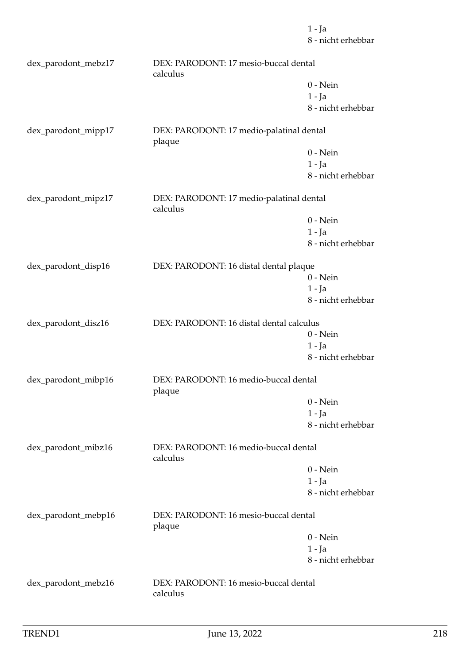1 - Ja 8 - nicht erhebbar dex\_parodont\_mebz17 DEX: PARODONT: 17 mesio-buccal dental calculus 0 - Nein 1 - Ja 8 - nicht erhebbar dex\_parodont\_mipp17 DEX: PARODONT: 17 medio-palatinal dental plaque 0 - Nein 1 - Ja 8 - nicht erhebbar dex\_parodont\_mipz17 DEX: PARODONT: 17 medio-palatinal dental calculus 0 - Nein 1 - Ja 8 - nicht erhebbar dex\_parodont\_disp16 DEX: PARODONT: 16 distal dental plaque 0 - Nein 1 - Ja 8 - nicht erhebbar dex\_parodont\_disz16 DEX: PARODONT: 16 distal dental calculus 0 - Nein 1 - Ja 8 - nicht erhebbar dex\_parodont\_mibp16 DEX: PARODONT: 16 medio-buccal dental plaque 0 - Nein 1 - Ja 8 - nicht erhebbar dex\_parodont\_mibz16 DEX: PARODONT: 16 medio-buccal dental calculus 0 - Nein 1 - Ja 8 - nicht erhebbar dex parodont mebp16 DEX: PARODONT: 16 mesio-buccal dental plaque 0 - Nein 1 - Ja 8 - nicht erhebbar dex\_parodont\_mebz16 DEX: PARODONT: 16 mesio-buccal dental calculus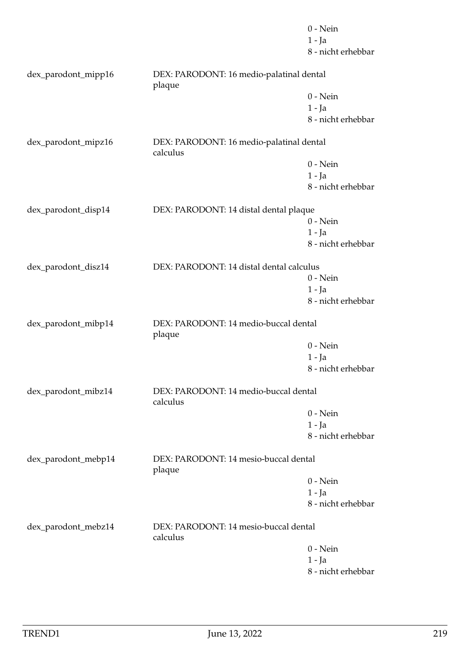|                     |                                                      | $0$ - Nein         |
|---------------------|------------------------------------------------------|--------------------|
|                     |                                                      | $1 - Ja$           |
|                     |                                                      | 8 - nicht erhebbar |
| dex_parodont_mipp16 | DEX: PARODONT: 16 medio-palatinal dental<br>plaque   |                    |
|                     |                                                      | $0$ - Nein         |
|                     |                                                      | $1 - Ja$           |
|                     |                                                      | 8 - nicht erhebbar |
| dex_parodont_mipz16 | DEX: PARODONT: 16 medio-palatinal dental<br>calculus |                    |
|                     |                                                      | $0$ - Nein         |
|                     |                                                      | $1 - Ja$           |
|                     |                                                      | 8 - nicht erhebbar |
| dex_parodont_disp14 | DEX: PARODONT: 14 distal dental plaque               |                    |
|                     |                                                      | $0$ - Nein         |
|                     |                                                      | $1 - Ja$           |
|                     |                                                      | 8 - nicht erhebbar |
|                     |                                                      |                    |
| dex_parodont_disz14 | DEX: PARODONT: 14 distal dental calculus             |                    |
|                     |                                                      | $0$ - Nein         |
|                     |                                                      | $1 - Ja$           |
|                     |                                                      | 8 - nicht erhebbar |
| dex_parodont_mibp14 | DEX: PARODONT: 14 medio-buccal dental<br>plaque      |                    |
|                     |                                                      | $0 - Nein$         |
|                     |                                                      | $1 - Ja$           |
|                     |                                                      | 8 - nicht erhebbar |
| dex_parodont_mibz14 | DEX: PARODONT: 14 medio-buccal dental<br>calculus    |                    |
|                     |                                                      | $0$ - Nein         |
|                     |                                                      | $1 - Ja$           |
|                     |                                                      | 8 - nicht erhebbar |
| dex_parodont_mebp14 | DEX: PARODONT: 14 mesio-buccal dental<br>plaque      |                    |
|                     |                                                      | $0$ - Nein         |
|                     |                                                      | $1 - Ja$           |
|                     |                                                      | 8 - nicht erhebbar |
| dex_parodont_mebz14 | DEX: PARODONT: 14 mesio-buccal dental<br>calculus    |                    |
|                     |                                                      | $0 - Nein$         |
|                     |                                                      | $1 - Ja$           |
|                     |                                                      | 8 - nicht erhebbar |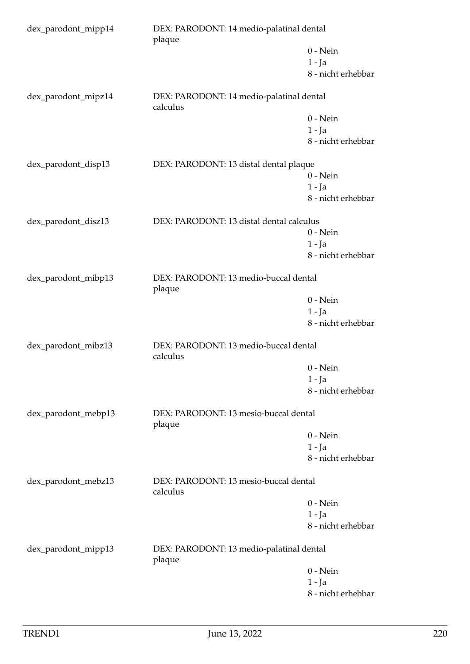| dex_parodont_mipp14 | DEX: PARODONT: 14 medio-palatinal dental<br>plaque   |                    |
|---------------------|------------------------------------------------------|--------------------|
|                     |                                                      | $0$ - Nein         |
|                     |                                                      | $1 - Ja$           |
|                     |                                                      | 8 - nicht erhebbar |
| dex_parodont_mipz14 | DEX: PARODONT: 14 medio-palatinal dental<br>calculus |                    |
|                     |                                                      | $0$ - Nein         |
|                     |                                                      | $1 - Ja$           |
|                     |                                                      | 8 - nicht erhebbar |
| dex_parodont_disp13 | DEX: PARODONT: 13 distal dental plaque               |                    |
|                     |                                                      | $0$ - Nein         |
|                     |                                                      | $1 - Ja$           |
|                     |                                                      | 8 - nicht erhebbar |
| dex_parodont_disz13 | DEX: PARODONT: 13 distal dental calculus             |                    |
|                     |                                                      | $0$ - Nein         |
|                     |                                                      | $1 - Ja$           |
|                     |                                                      | 8 - nicht erhebbar |
| dex_parodont_mibp13 | DEX: PARODONT: 13 medio-buccal dental<br>plaque      |                    |
|                     |                                                      | $0$ - Nein         |
|                     |                                                      | $1 - Ja$           |
|                     |                                                      | 8 - nicht erhebbar |
| dex_parodont_mibz13 | DEX: PARODONT: 13 medio-buccal dental<br>calculus    |                    |
|                     |                                                      | $0$ - Nein         |
|                     |                                                      | $1 - Ja$           |
|                     |                                                      | 8 - nicht erhebbar |
| dex_parodont_mebp13 | DEX: PARODONT: 13 mesio-buccal dental<br>plaque      |                    |
|                     |                                                      | $0$ - Nein         |
|                     |                                                      | 1 - Ja             |
|                     |                                                      | 8 - nicht erhebbar |
| dex_parodont_mebz13 | DEX: PARODONT: 13 mesio-buccal dental<br>calculus    |                    |
|                     |                                                      | $0$ - Nein         |
|                     |                                                      | 1 - Ja             |
|                     |                                                      | 8 - nicht erhebbar |
| dex_parodont_mipp13 | DEX: PARODONT: 13 medio-palatinal dental<br>plaque   |                    |
|                     |                                                      | $0$ - Nein         |
|                     |                                                      | $1 - Ja$           |
|                     |                                                      | 8 - nicht erhebbar |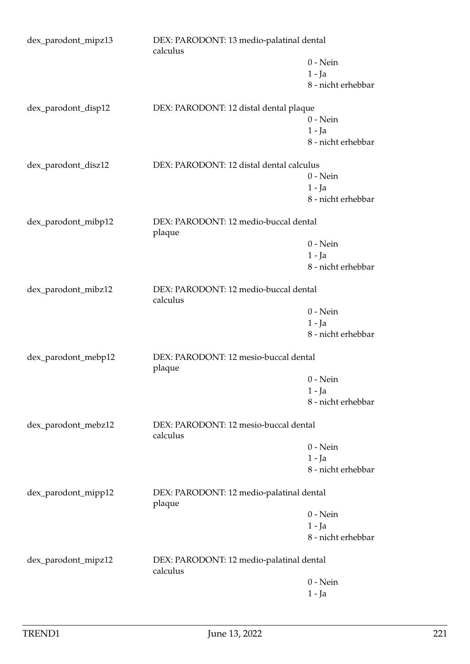| dex_parodont_mipz13 | DEX: PARODONT: 13 medio-palatinal dental<br>calculus |                    |
|---------------------|------------------------------------------------------|--------------------|
|                     |                                                      | $0$ - Nein         |
|                     |                                                      | $1 - Ja$           |
|                     |                                                      | 8 - nicht erhebbar |
| dex_parodont_disp12 | DEX: PARODONT: 12 distal dental plaque               |                    |
|                     |                                                      | $0$ - Nein         |
|                     |                                                      | $1 - Ja$           |
|                     |                                                      | 8 - nicht erhebbar |
| dex_parodont_disz12 | DEX: PARODONT: 12 distal dental calculus             |                    |
|                     |                                                      | $0$ - Nein         |
|                     |                                                      | $1 - Ja$           |
|                     |                                                      | 8 - nicht erhebbar |
| dex_parodont_mibp12 | DEX: PARODONT: 12 medio-buccal dental<br>plaque      |                    |
|                     |                                                      | $0$ - Nein         |
|                     |                                                      | $1 - Ja$           |
|                     |                                                      | 8 - nicht erhebbar |
| dex_parodont_mibz12 | DEX: PARODONT: 12 medio-buccal dental<br>calculus    |                    |
|                     |                                                      | $0$ - Nein         |
|                     |                                                      | $1 - Ja$           |
|                     |                                                      | 8 - nicht erhebbar |
| dex_parodont_mebp12 | DEX: PARODONT: 12 mesio-buccal dental<br>plaque      |                    |
|                     |                                                      | $0$ - Nein         |
|                     |                                                      | $1 - Ja$           |
|                     |                                                      | 8 - nicht erhebbar |
| dex_parodont_mebz12 | DEX: PARODONT: 12 mesio-buccal dental<br>calculus    |                    |
|                     |                                                      | $0 - Nein$         |
|                     |                                                      | $1 - Ja$           |
|                     |                                                      | 8 - nicht erhebbar |
| dex_parodont_mipp12 | DEX: PARODONT: 12 medio-palatinal dental<br>plaque   |                    |
|                     |                                                      | $0$ - Nein         |
|                     |                                                      | $1 - Ja$           |
|                     |                                                      | 8 - nicht erhebbar |
| dex_parodont_mipz12 | DEX: PARODONT: 12 medio-palatinal dental<br>calculus |                    |
|                     |                                                      | $0$ - Nein         |
|                     |                                                      | 1 - Ja             |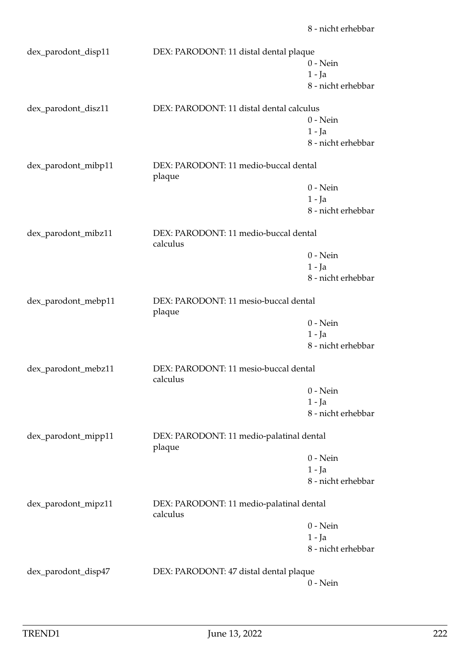| dex_parodont_disp11 | DEX: PARODONT: 11 distal dental plaque               |                    |
|---------------------|------------------------------------------------------|--------------------|
|                     |                                                      | $0$ - Nein         |
|                     |                                                      | $1 - Ja$           |
|                     |                                                      | 8 - nicht erhebbar |
|                     |                                                      |                    |
| dex_parodont_disz11 | DEX: PARODONT: 11 distal dental calculus             | $0$ - Nein         |
|                     |                                                      | $1 - Ja$           |
|                     |                                                      | 8 - nicht erhebbar |
|                     |                                                      |                    |
| dex_parodont_mibp11 | DEX: PARODONT: 11 medio-buccal dental<br>plaque      |                    |
|                     |                                                      | $0$ - Nein         |
|                     |                                                      | $1 - Ja$           |
|                     |                                                      | 8 - nicht erhebbar |
| dex_parodont_mibz11 | DEX: PARODONT: 11 medio-buccal dental                |                    |
|                     | calculus                                             |                    |
|                     |                                                      | $0$ - Nein         |
|                     |                                                      | $1 - Ja$           |
|                     |                                                      | 8 - nicht erhebbar |
| dex_parodont_mebp11 | DEX: PARODONT: 11 mesio-buccal dental<br>plaque      |                    |
|                     |                                                      | $0$ - Nein         |
|                     |                                                      | $1 - Ja$           |
|                     |                                                      | 8 - nicht erhebbar |
| dex_parodont_mebz11 | DEX: PARODONT: 11 mesio-buccal dental<br>calculus    |                    |
|                     |                                                      | $0$ - Nein         |
|                     |                                                      | $1 - Ja$           |
|                     |                                                      | 8 - nicht erhebbar |
|                     |                                                      |                    |
| dex_parodont_mipp11 | DEX: PARODONT: 11 medio-palatinal dental<br>plaque   |                    |
|                     |                                                      | $0$ - Nein         |
|                     |                                                      | $1 - Ja$           |
|                     |                                                      | 8 - nicht erhebbar |
| dex_parodont_mipz11 | DEX: PARODONT: 11 medio-palatinal dental<br>calculus |                    |
|                     |                                                      | $0$ - Nein         |
|                     |                                                      | 1 - Ja             |
|                     |                                                      | 8 - nicht erhebbar |
|                     |                                                      |                    |
| dex_parodont_disp47 | DEX: PARODONT: 47 distal dental plaque               |                    |
|                     |                                                      | $0$ - Nein         |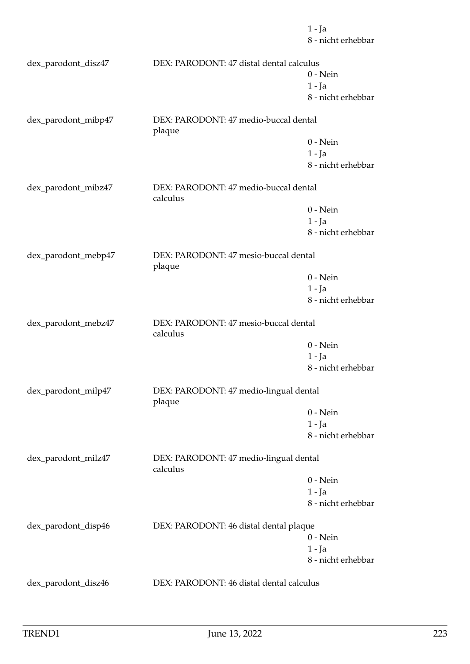1 - Ja 8 - nicht erhebbar dex\_parodont\_disz47 DEX: PARODONT: 47 distal dental calculus 0 - Nein 1 - Ja 8 - nicht erhebbar dex\_parodont\_mibp47 DEX: PARODONT: 47 medio-buccal dental plaque 0 - Nein 1 - Ja 8 - nicht erhebbar dex\_parodont\_mibz47 DEX: PARODONT: 47 medio-buccal dental calculus 0 - Nein 1 - Ja 8 - nicht erhebbar dex\_parodont\_mebp47 DEX: PARODONT: 47 mesio-buccal dental plaque 0 - Nein 1 - Ja 8 - nicht erhebbar dex\_parodont\_mebz47 DEX: PARODONT: 47 mesio-buccal dental calculus 0 - Nein 1 - Ja 8 - nicht erhebbar dex\_parodont\_milp47 DEX: PARODONT: 47 medio-lingual dental plaque 0 - Nein 1 - Ja 8 - nicht erhebbar dex\_parodont\_milz47 DEX: PARODONT: 47 medio-lingual dental calculus 0 - Nein 1 - Ja 8 - nicht erhebbar dex\_parodont\_disp46 DEX: PARODONT: 46 distal dental plaque 0 - Nein 1 - Ja 8 - nicht erhebbar dex\_parodont\_disz46 DEX: PARODONT: 46 distal dental calculus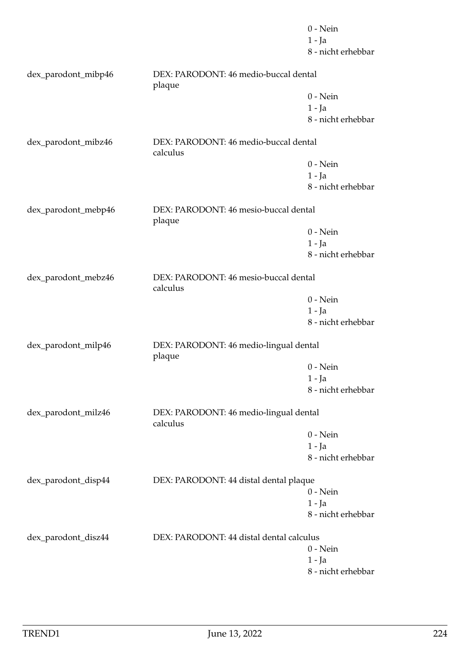|                     |                                                    | $0$ - Nein         |
|---------------------|----------------------------------------------------|--------------------|
|                     |                                                    | $1 - Ja$           |
|                     |                                                    | 8 - nicht erhebbar |
| dex_parodont_mibp46 | DEX: PARODONT: 46 medio-buccal dental<br>plaque    |                    |
|                     |                                                    | $0$ - Nein         |
|                     |                                                    | $1 - Ja$           |
|                     |                                                    | 8 - nicht erhebbar |
| dex_parodont_mibz46 | DEX: PARODONT: 46 medio-buccal dental<br>calculus  |                    |
|                     |                                                    | $0$ - Nein         |
|                     |                                                    | $1 - Ja$           |
|                     |                                                    | 8 - nicht erhebbar |
| dex_parodont_mebp46 | DEX: PARODONT: 46 mesio-buccal dental              |                    |
|                     | plaque                                             |                    |
|                     |                                                    | $0 - Nein$         |
|                     |                                                    | $1 - Ja$           |
|                     |                                                    | 8 - nicht erhebbar |
| dex_parodont_mebz46 | DEX: PARODONT: 46 mesio-buccal dental<br>calculus  |                    |
|                     |                                                    | $0$ - Nein         |
|                     |                                                    | $1 - Ja$           |
|                     |                                                    | 8 - nicht erhebbar |
| dex_parodont_milp46 | DEX: PARODONT: 46 medio-lingual dental<br>plaque   |                    |
|                     |                                                    | $0$ - Nein         |
|                     |                                                    | 1 - Ja             |
|                     |                                                    | 8 - nicht erhebbar |
| dex_parodont_milz46 | DEX: PARODONT: 46 medio-lingual dental<br>calculus |                    |
|                     |                                                    | $0$ - Nein         |
|                     |                                                    | $1 - Ja$           |
|                     |                                                    | 8 - nicht erhebbar |
| dex_parodont_disp44 | DEX: PARODONT: 44 distal dental plaque             |                    |
|                     |                                                    | $0 - Nein$         |
|                     |                                                    | $1 - Ja$           |
|                     |                                                    | 8 - nicht erhebbar |
| dex_parodont_disz44 | DEX: PARODONT: 44 distal dental calculus           |                    |
|                     |                                                    | $0$ - Nein         |
|                     |                                                    | $1 - Ja$           |
|                     |                                                    | 8 - nicht erhebbar |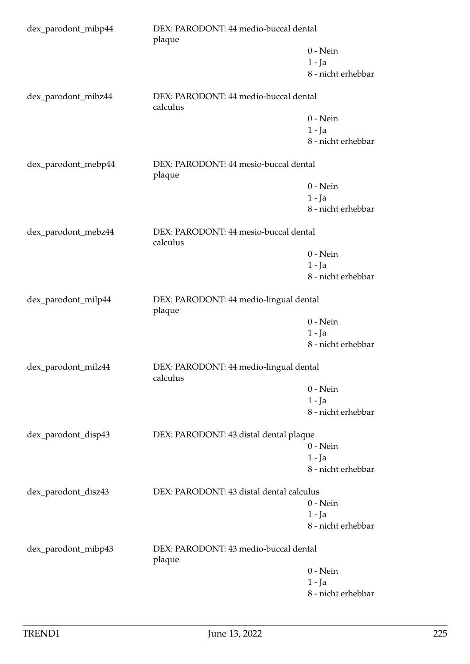| dex_parodont_mibp44 | DEX: PARODONT: 44 medio-buccal dental<br>plaque    |                    |
|---------------------|----------------------------------------------------|--------------------|
|                     |                                                    | $0 - Nein$         |
|                     |                                                    | $1 - Ja$           |
|                     |                                                    | 8 - nicht erhebbar |
| dex_parodont_mibz44 | DEX: PARODONT: 44 medio-buccal dental<br>calculus  |                    |
|                     |                                                    | $0$ - Nein         |
|                     |                                                    | 1 - Ja             |
|                     |                                                    | 8 - nicht erhebbar |
| dex_parodont_mebp44 | DEX: PARODONT: 44 mesio-buccal dental<br>plaque    |                    |
|                     |                                                    | $0$ - Nein         |
|                     |                                                    | $1 - Ja$           |
|                     |                                                    | 8 - nicht erhebbar |
| dex_parodont_mebz44 | DEX: PARODONT: 44 mesio-buccal dental<br>calculus  |                    |
|                     |                                                    | $0$ - Nein         |
|                     |                                                    | $1 - Ja$           |
|                     |                                                    | 8 - nicht erhebbar |
| dex_parodont_milp44 | DEX: PARODONT: 44 medio-lingual dental<br>plaque   |                    |
|                     |                                                    | $0$ - Nein         |
|                     |                                                    | $1 - Ja$           |
|                     |                                                    | 8 - nicht erhebbar |
| dex_parodont_milz44 | DEX: PARODONT: 44 medio-lingual dental<br>calculus |                    |
|                     |                                                    | $0$ - Nein         |
|                     |                                                    | 1 - Ja             |
|                     |                                                    | 8 - nicht erhebbar |
| dex_parodont_disp43 | DEX: PARODONT: 43 distal dental plaque             |                    |
|                     |                                                    | $0$ - Nein         |
|                     |                                                    | $1 - Ja$           |
|                     |                                                    | 8 - nicht erhebbar |
| dex_parodont_disz43 | DEX: PARODONT: 43 distal dental calculus           |                    |
|                     |                                                    | $0$ - Nein         |
|                     |                                                    | $1 - Ja$           |
|                     |                                                    | 8 - nicht erhebbar |
| dex_parodont_mibp43 | DEX: PARODONT: 43 medio-buccal dental<br>plaque    |                    |
|                     |                                                    | $0$ - Nein         |
|                     |                                                    | $1 - Ja$           |
|                     |                                                    | 8 - nicht erhebbar |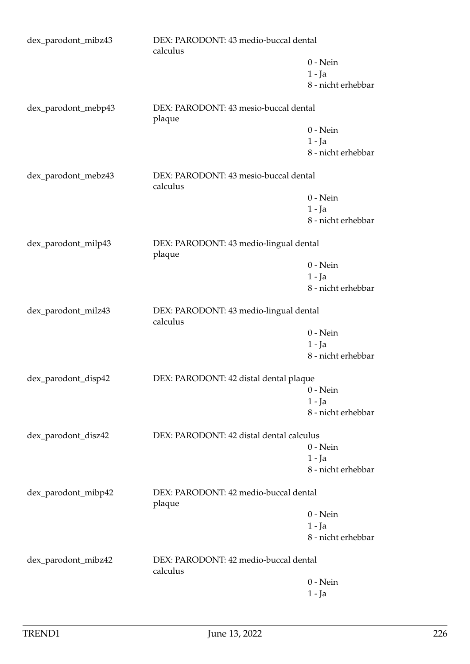| dex_parodont_mibz43 | calculus                                           | DEX: PARODONT: 43 medio-buccal dental |  |
|---------------------|----------------------------------------------------|---------------------------------------|--|
|                     |                                                    | $0$ - Nein                            |  |
|                     |                                                    | $1 - Ja$                              |  |
|                     |                                                    | 8 - nicht erhebbar                    |  |
| dex_parodont_mebp43 | DEX: PARODONT: 43 mesio-buccal dental<br>plaque    |                                       |  |
|                     |                                                    | $0$ - Nein                            |  |
|                     |                                                    | $1 - Ja$                              |  |
|                     |                                                    | 8 - nicht erhebbar                    |  |
| dex_parodont_mebz43 | DEX: PARODONT: 43 mesio-buccal dental<br>calculus  |                                       |  |
|                     |                                                    | $0$ - Nein                            |  |
|                     |                                                    | $1 - Ja$                              |  |
|                     |                                                    | 8 - nicht erhebbar                    |  |
| dex_parodont_milp43 | DEX: PARODONT: 43 medio-lingual dental<br>plaque   |                                       |  |
|                     |                                                    | $0$ - Nein                            |  |
|                     |                                                    | $1 - Ja$                              |  |
|                     |                                                    | 8 - nicht erhebbar                    |  |
| dex_parodont_milz43 | DEX: PARODONT: 43 medio-lingual dental<br>calculus |                                       |  |
|                     |                                                    | $0$ - Nein                            |  |
|                     |                                                    | $1 - Ja$                              |  |
|                     |                                                    | 8 - nicht erhebbar                    |  |
| dex_parodont_disp42 | DEX: PARODONT: 42 distal dental plaque             |                                       |  |
|                     |                                                    | $0$ - Nein                            |  |
|                     |                                                    | $1 - Ja$                              |  |
|                     |                                                    | 8 - nicht erhebbar                    |  |
| dex_parodont_disz42 | DEX: PARODONT: 42 distal dental calculus           |                                       |  |
|                     |                                                    | $0$ - Nein                            |  |
|                     |                                                    | $1 - Ja$                              |  |
|                     |                                                    | 8 - nicht erhebbar                    |  |
| dex_parodont_mibp42 | DEX: PARODONT: 42 medio-buccal dental<br>plaque    |                                       |  |
|                     |                                                    | $0$ - Nein                            |  |
|                     |                                                    | $1 - Ja$                              |  |
|                     |                                                    | 8 - nicht erhebbar                    |  |
| dex_parodont_mibz42 | DEX: PARODONT: 42 medio-buccal dental<br>calculus  |                                       |  |
|                     |                                                    | $0$ - Nein                            |  |
|                     |                                                    | $1 - Ja$                              |  |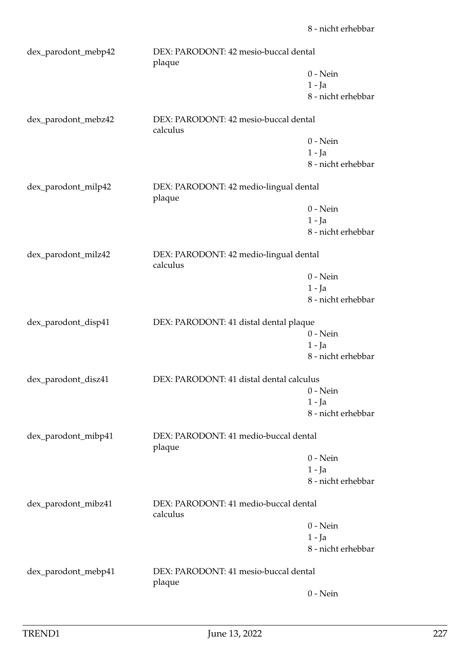| dex_parodont_mebp42 | DEX: PARODONT: 42 mesio-buccal dental<br>plaque    |                    |
|---------------------|----------------------------------------------------|--------------------|
|                     |                                                    | $0$ - Nein         |
|                     |                                                    | $1 - Ia$           |
|                     |                                                    | 8 - nicht erhebbar |
| dex_parodont_mebz42 | DEX: PARODONT: 42 mesio-buccal dental<br>calculus  |                    |
|                     |                                                    | $0$ - Nein         |
|                     |                                                    | $1 - Ja$           |
|                     |                                                    | 8 - nicht erhebbar |
| dex_parodont_milp42 | DEX: PARODONT: 42 medio-lingual dental<br>plaque   |                    |
|                     |                                                    | $0$ - Nein         |
|                     |                                                    | $1 - Ja$           |
|                     |                                                    | 8 - nicht erhebbar |
| dex_parodont_milz42 | DEX: PARODONT: 42 medio-lingual dental<br>calculus |                    |
|                     |                                                    | $0$ - Nein         |
|                     |                                                    | $1 - Ja$           |
|                     |                                                    | 8 - nicht erhebbar |
| dex_parodont_disp41 | DEX: PARODONT: 41 distal dental plaque             |                    |
|                     |                                                    | $0$ - Nein         |
|                     |                                                    | $1 - Ja$           |
|                     |                                                    | 8 - nicht erhebbar |
| dex_parodont_disz41 | DEX: PARODONT: 41 distal dental calculus           |                    |
|                     |                                                    | $0$ - Nein         |
|                     |                                                    | $1 - Ja$           |
|                     |                                                    | 8 - nicht erhebbar |
| dex_parodont_mibp41 | DEX: PARODONT: 41 medio-buccal dental<br>plaque    |                    |
|                     |                                                    | $0$ - Nein         |
|                     |                                                    | $1 - Ja$           |
|                     |                                                    | 8 - nicht erhebbar |
| dex_parodont_mibz41 | DEX: PARODONT: 41 medio-buccal dental<br>calculus  |                    |
|                     |                                                    | $0$ - Nein         |
|                     |                                                    | $1 - Ja$           |
|                     |                                                    | 8 - nicht erhebbar |
| dex_parodont_mebp41 | DEX: PARODONT: 41 mesio-buccal dental<br>plaque    |                    |
|                     |                                                    | $0$ - Nein         |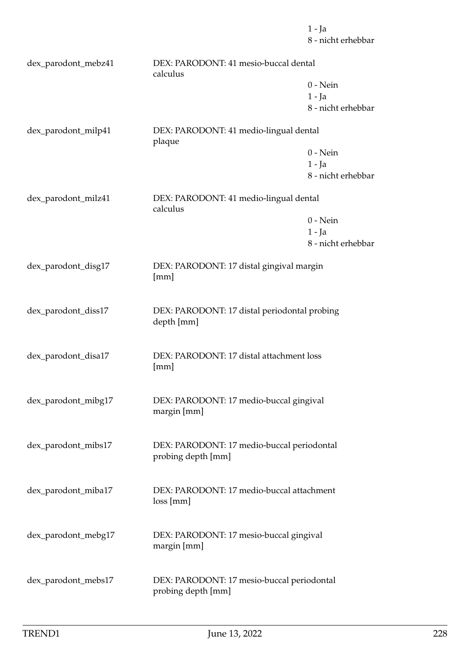1 - Ja 8 - nicht erhebbar dex\_parodont\_mebz41 DEX: PARODONT: 41 mesio-buccal dental calculus  $0 - N$ ein 1 - Ja 8 - nicht erhebbar dex\_parodont\_milp41 DEX: PARODONT: 41 medio-lingual dental plaque 0 - Nein 1 - Ja 8 - nicht erhebbar dex\_parodont\_milz41 DEX: PARODONT: 41 medio-lingual dental calculus 0 - Nein 1 - Ja 8 - nicht erhebbar dex\_parodont\_disg17 DEX: PARODONT: 17 distal gingival margin [mm] dex\_parodont\_diss17 DEX: PARODONT: 17 distal periodontal probing depth [mm] dex\_parodont\_disa17 DEX: PARODONT: 17 distal attachment loss [mm] dex\_parodont\_mibg17 DEX: PARODONT: 17 medio-buccal gingival margin [mm] dex\_parodont\_mibs17 DEX: PARODONT: 17 medio-buccal periodontal probing depth [mm] dex\_parodont\_miba17 DEX: PARODONT: 17 medio-buccal attachment loss [mm] dex\_parodont\_mebg17 DEX: PARODONT: 17 mesio-buccal gingival margin [mm] dex\_parodont\_mebs17 DEX: PARODONT: 17 mesio-buccal periodontal

probing depth [mm]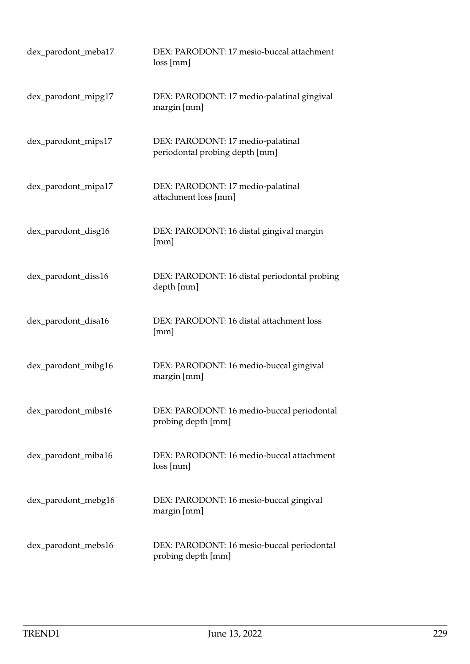| dex_parodont_meba17 | DEX: PARODONT: 17 mesio-buccal attachment<br>loss[mm]               |
|---------------------|---------------------------------------------------------------------|
| dex_parodont_mipg17 | DEX: PARODONT: 17 medio-palatinal gingival<br>margin [mm]           |
| dex_parodont_mips17 | DEX: PARODONT: 17 medio-palatinal<br>periodontal probing depth [mm] |
| dex_parodont_mipa17 | DEX: PARODONT: 17 medio-palatinal<br>attachment loss [mm]           |
| dex_parodont_disg16 | DEX: PARODONT: 16 distal gingival margin<br>[mm]                    |
| dex_parodont_diss16 | DEX: PARODONT: 16 distal periodontal probing<br>depth [mm]          |
| dex_parodont_disa16 | DEX: PARODONT: 16 distal attachment loss<br>[mm]                    |
| dex_parodont_mibg16 | DEX: PARODONT: 16 medio-buccal gingival<br>margin [mm]              |
| dex_parodont_mibs16 | DEX: PARODONT: 16 medio-buccal periodontal<br>probing depth [mm]    |
| dex_parodont_miba16 | DEX: PARODONT: 16 medio-buccal attachment<br>loss[mm]               |
| dex_parodont_mebg16 | DEX: PARODONT: 16 mesio-buccal gingival<br>margin [mm]              |
| dex_parodont_mebs16 | DEX: PARODONT: 16 mesio-buccal periodontal<br>probing depth [mm]    |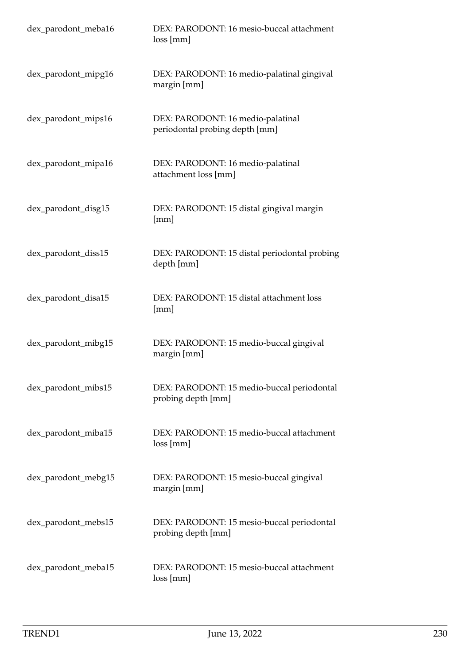| dex_parodont_meba16 | DEX: PARODONT: 16 mesio-buccal attachment<br>loss[mm]               |
|---------------------|---------------------------------------------------------------------|
| dex_parodont_mipg16 | DEX: PARODONT: 16 medio-palatinal gingival<br>margin [mm]           |
| dex_parodont_mips16 | DEX: PARODONT: 16 medio-palatinal<br>periodontal probing depth [mm] |
| dex_parodont_mipa16 | DEX: PARODONT: 16 medio-palatinal<br>attachment loss [mm]           |
| dex_parodont_disg15 | DEX: PARODONT: 15 distal gingival margin<br>[mm]                    |
| dex_parodont_diss15 | DEX: PARODONT: 15 distal periodontal probing<br>depth [mm]          |
| dex_parodont_disa15 | DEX: PARODONT: 15 distal attachment loss<br>[mm]                    |
| dex_parodont_mibg15 | DEX: PARODONT: 15 medio-buccal gingival<br>margin [mm]              |
| dex_parodont_mibs15 | DEX: PARODONT: 15 medio-buccal periodontal<br>probing depth [mm]    |
| dex_parodont_miba15 | DEX: PARODONT: 15 medio-buccal attachment<br>loss[mm]               |
| dex_parodont_mebg15 | DEX: PARODONT: 15 mesio-buccal gingival<br>margin [mm]              |
| dex_parodont_mebs15 | DEX: PARODONT: 15 mesio-buccal periodontal<br>probing depth [mm]    |
| dex_parodont_meba15 | DEX: PARODONT: 15 mesio-buccal attachment<br>loss[mm]               |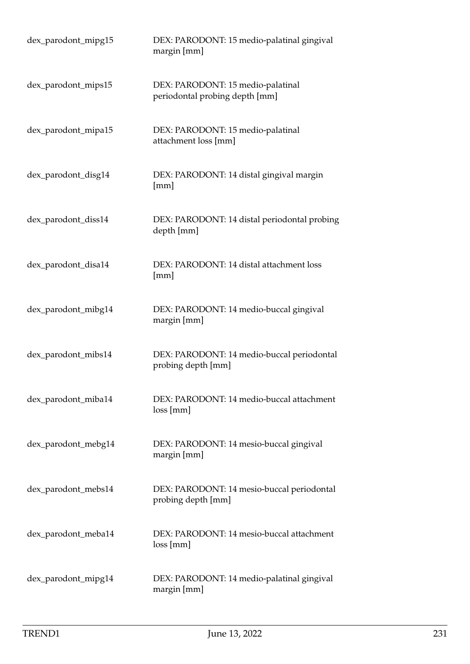| dex_parodont_mipg15 | DEX: PARODONT: 15 medio-palatinal gingival<br>margin [mm]           |
|---------------------|---------------------------------------------------------------------|
| dex_parodont_mips15 | DEX: PARODONT: 15 medio-palatinal<br>periodontal probing depth [mm] |
| dex_parodont_mipa15 | DEX: PARODONT: 15 medio-palatinal<br>attachment loss [mm]           |
| dex_parodont_disg14 | DEX: PARODONT: 14 distal gingival margin<br>[mm]                    |
| dex_parodont_diss14 | DEX: PARODONT: 14 distal periodontal probing<br>depth [mm]          |
| dex_parodont_disa14 | DEX: PARODONT: 14 distal attachment loss<br>[mm]                    |
| dex_parodont_mibg14 | DEX: PARODONT: 14 medio-buccal gingival<br>margin [mm]              |
| dex_parodont_mibs14 | DEX: PARODONT: 14 medio-buccal periodontal<br>probing depth [mm]    |
| dex_parodont_miba14 | DEX: PARODONT: 14 medio-buccal attachment<br>loss[mm]               |
| dex_parodont_mebg14 | DEX: PARODONT: 14 mesio-buccal gingival<br>margin [mm]              |
| dex_parodont_mebs14 | DEX: PARODONT: 14 mesio-buccal periodontal<br>probing depth [mm]    |
| dex_parodont_meba14 | DEX: PARODONT: 14 mesio-buccal attachment<br>loss[mm]               |
| dex_parodont_mipg14 | DEX: PARODONT: 14 medio-palatinal gingival<br>margin [mm]           |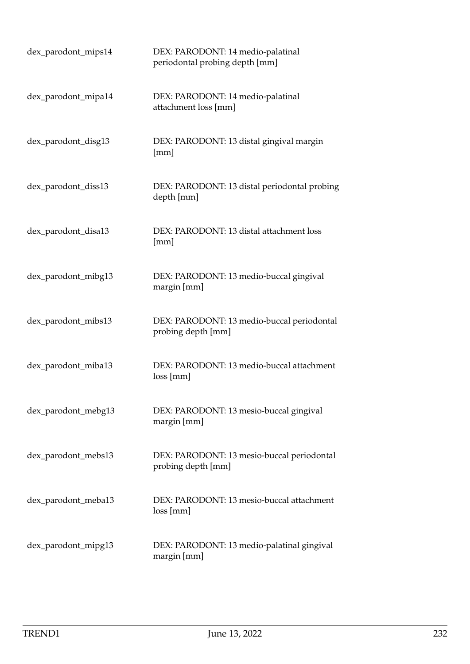| dex_parodont_mips14 | DEX: PARODONT: 14 medio-palatinal<br>periodontal probing depth [mm] |
|---------------------|---------------------------------------------------------------------|
| dex_parodont_mipa14 | DEX: PARODONT: 14 medio-palatinal<br>attachment loss [mm]           |
| dex_parodont_disg13 | DEX: PARODONT: 13 distal gingival margin<br>[mm]                    |
| dex_parodont_diss13 | DEX: PARODONT: 13 distal periodontal probing<br>depth [mm]          |
| dex_parodont_disa13 | DEX: PARODONT: 13 distal attachment loss<br>[mm]                    |
| dex_parodont_mibg13 | DEX: PARODONT: 13 medio-buccal gingival<br>margin [mm]              |
| dex_parodont_mibs13 | DEX: PARODONT: 13 medio-buccal periodontal<br>probing depth [mm]    |
| dex_parodont_miba13 | DEX: PARODONT: 13 medio-buccal attachment<br>loss[mm]               |
| dex_parodont_mebg13 | DEX: PARODONT: 13 mesio-buccal gingival<br>margin [mm]              |
| dex_parodont_mebs13 | DEX: PARODONT: 13 mesio-buccal periodontal<br>probing depth [mm]    |
| dex_parodont_meba13 | DEX: PARODONT: 13 mesio-buccal attachment<br>loss[mm]               |
| dex_parodont_mipg13 | DEX: PARODONT: 13 medio-palatinal gingival<br>margin [mm]           |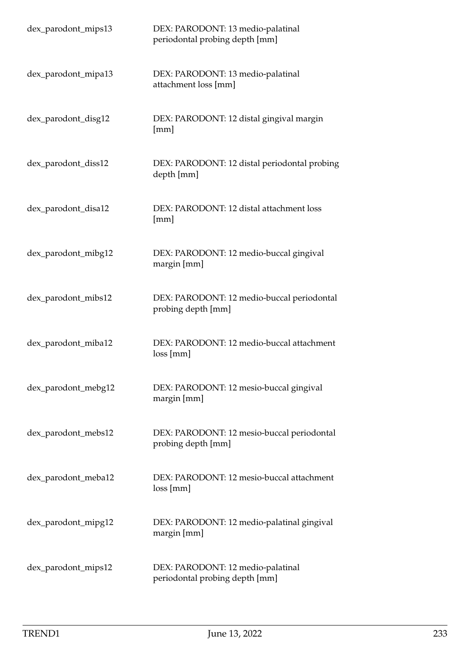| dex_parodont_mips13 | DEX: PARODONT: 13 medio-palatinal<br>periodontal probing depth [mm] |
|---------------------|---------------------------------------------------------------------|
| dex_parodont_mipa13 | DEX: PARODONT: 13 medio-palatinal<br>attachment loss [mm]           |
| dex_parodont_disg12 | DEX: PARODONT: 12 distal gingival margin<br>[mm]                    |
| dex_parodont_diss12 | DEX: PARODONT: 12 distal periodontal probing<br>depth [mm]          |
| dex_parodont_disa12 | DEX: PARODONT: 12 distal attachment loss<br>[mm]                    |
| dex_parodont_mibg12 | DEX: PARODONT: 12 medio-buccal gingival<br>margin [mm]              |
| dex_parodont_mibs12 | DEX: PARODONT: 12 medio-buccal periodontal<br>probing depth [mm]    |
| dex_parodont_miba12 | DEX: PARODONT: 12 medio-buccal attachment<br>loss[mm]               |
| dex_parodont_mebg12 | DEX: PARODONT: 12 mesio-buccal gingival<br>margin [mm]              |
| dex_parodont_mebs12 | DEX: PARODONT: 12 mesio-buccal periodontal<br>probing depth [mm]    |
| dex_parodont_meba12 | DEX: PARODONT: 12 mesio-buccal attachment<br>loss[mm]               |
| dex_parodont_mipg12 | DEX: PARODONT: 12 medio-palatinal gingival<br>margin [mm]           |
| dex_parodont_mips12 | DEX: PARODONT: 12 medio-palatinal<br>periodontal probing depth [mm] |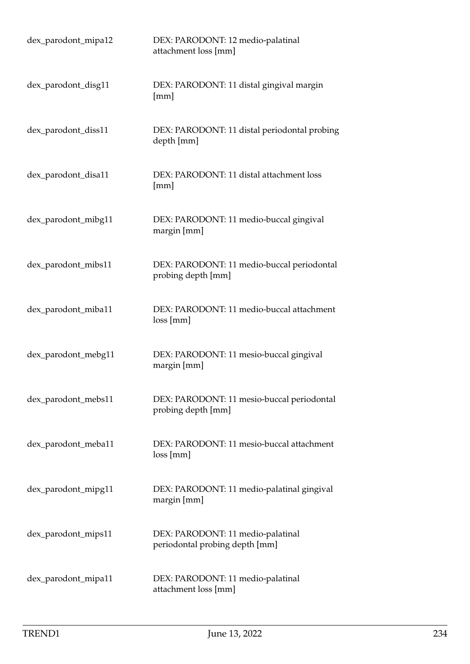| dex_parodont_mipa12 | DEX: PARODONT: 12 medio-palatinal<br>attachment loss [mm]           |
|---------------------|---------------------------------------------------------------------|
| dex_parodont_disg11 | DEX: PARODONT: 11 distal gingival margin<br>[mm]                    |
| dex_parodont_diss11 | DEX: PARODONT: 11 distal periodontal probing<br>depth [mm]          |
| dex_parodont_disa11 | DEX: PARODONT: 11 distal attachment loss<br>[mm]                    |
| dex_parodont_mibg11 | DEX: PARODONT: 11 medio-buccal gingival<br>margin [mm]              |
| dex_parodont_mibs11 | DEX: PARODONT: 11 medio-buccal periodontal<br>probing depth [mm]    |
| dex_parodont_miba11 | DEX: PARODONT: 11 medio-buccal attachment<br>loss[mm]               |
| dex_parodont_mebg11 | DEX: PARODONT: 11 mesio-buccal gingival<br>margin [mm]              |
| dex_parodont_mebs11 | DEX: PARODONT: 11 mesio-buccal periodontal<br>probing depth [mm]    |
| dex_parodont_meba11 | DEX: PARODONT: 11 mesio-buccal attachment<br>loss[mm]               |
| dex_parodont_mipg11 | DEX: PARODONT: 11 medio-palatinal gingival<br>margin [mm]           |
| dex_parodont_mips11 | DEX: PARODONT: 11 medio-palatinal<br>periodontal probing depth [mm] |
| dex_parodont_mipa11 | DEX: PARODONT: 11 medio-palatinal<br>attachment loss [mm]           |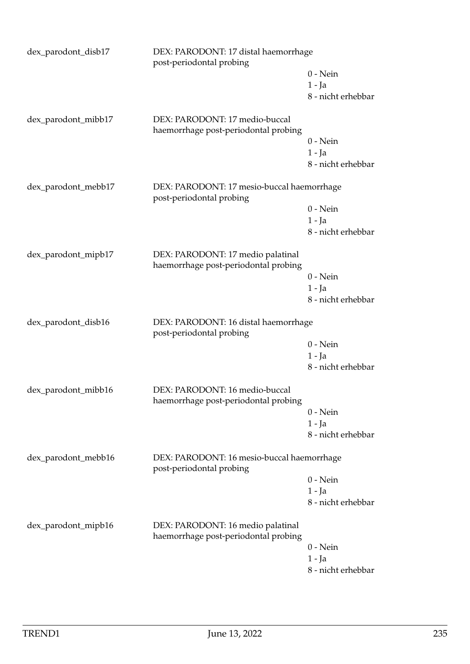| dex_parodont_disb17                                                                           | DEX: PARODONT: 17 distal haemorrhage<br>post-periodontal probing          |                    |
|-----------------------------------------------------------------------------------------------|---------------------------------------------------------------------------|--------------------|
|                                                                                               |                                                                           | $0$ - Nein         |
|                                                                                               |                                                                           | $1 - Ja$           |
|                                                                                               |                                                                           | 8 - nicht erhebbar |
| dex_parodont_mibb17                                                                           | DEX: PARODONT: 17 medio-buccal<br>haemorrhage post-periodontal probing    |                    |
|                                                                                               |                                                                           | $0 - Nein$         |
|                                                                                               |                                                                           | $1 - Ja$           |
|                                                                                               |                                                                           | 8 - nicht erhebbar |
| dex_parodont_mebb17                                                                           | DEX: PARODONT: 17 mesio-buccal haemorrhage<br>post-periodontal probing    |                    |
|                                                                                               |                                                                           | $0$ - Nein         |
|                                                                                               |                                                                           | $1 - Ja$           |
|                                                                                               |                                                                           | 8 - nicht erhebbar |
| dex_parodont_mipb17                                                                           | DEX: PARODONT: 17 medio palatinal<br>haemorrhage post-periodontal probing |                    |
|                                                                                               |                                                                           | $0$ - Nein         |
|                                                                                               |                                                                           | $1 - Ja$           |
|                                                                                               |                                                                           | 8 - nicht erhebbar |
| dex_parodont_disb16                                                                           | DEX: PARODONT: 16 distal haemorrhage<br>post-periodontal probing          |                    |
|                                                                                               |                                                                           | $0$ - Nein         |
|                                                                                               |                                                                           | $1 - Ja$           |
|                                                                                               |                                                                           | 8 - nicht erhebbar |
| dex_parodont_mibb16                                                                           | DEX: PARODONT: 16 medio-buccal<br>haemorrhage post-periodontal probing    |                    |
|                                                                                               |                                                                           | $0$ - Nein         |
|                                                                                               |                                                                           | $1 - Ja$           |
|                                                                                               |                                                                           | 8 - nicht erhebbar |
| dex_parodont_mebb16<br>DEX: PARODONT: 16 mesio-buccal haemorrhage<br>post-periodontal probing |                                                                           |                    |
|                                                                                               |                                                                           | $0$ - Nein         |
|                                                                                               |                                                                           | $1 - Ja$           |
|                                                                                               |                                                                           | 8 - nicht erhebbar |
| dex_parodont_mipb16                                                                           | DEX: PARODONT: 16 medio palatinal<br>haemorrhage post-periodontal probing |                    |
|                                                                                               |                                                                           | $0$ - Nein         |
|                                                                                               |                                                                           | 1 - Ja             |
|                                                                                               |                                                                           | 8 - nicht erhebbar |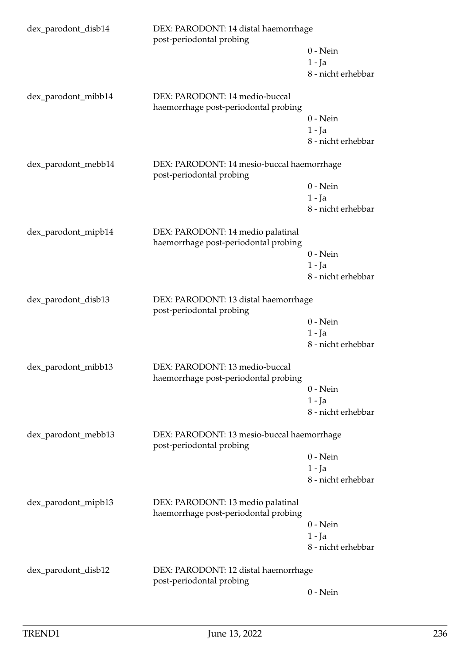| dex_parodont_disb14 | DEX: PARODONT: 14 distal haemorrhage<br>post-periodontal probing          |                    |
|---------------------|---------------------------------------------------------------------------|--------------------|
|                     |                                                                           | $0$ - Nein         |
|                     |                                                                           | $1 - Ja$           |
|                     |                                                                           | 8 - nicht erhebbar |
| dex_parodont_mibb14 | DEX: PARODONT: 14 medio-buccal<br>haemorrhage post-periodontal probing    |                    |
|                     |                                                                           | $0$ - Nein         |
|                     |                                                                           | $1 - Ja$           |
|                     |                                                                           | 8 - nicht erhebbar |
| dex_parodont_mebb14 | DEX: PARODONT: 14 mesio-buccal haemorrhage<br>post-periodontal probing    |                    |
|                     |                                                                           | $0$ - Nein         |
|                     |                                                                           | $1 - Ja$           |
|                     |                                                                           | 8 - nicht erhebbar |
| dex_parodont_mipb14 | DEX: PARODONT: 14 medio palatinal<br>haemorrhage post-periodontal probing |                    |
|                     |                                                                           | $0$ - Nein         |
|                     |                                                                           | $1 - Ja$           |
|                     |                                                                           | 8 - nicht erhebbar |
| dex_parodont_disb13 | DEX: PARODONT: 13 distal haemorrhage<br>post-periodontal probing          |                    |
|                     |                                                                           | $0$ - Nein         |
|                     |                                                                           | $1 - Ja$           |
|                     |                                                                           | 8 - nicht erhebbar |
| dex_parodont_mibb13 | DEX: PARODONT: 13 medio-buccal                                            |                    |
|                     | haemorrhage post-periodontal probing                                      | $0$ - Nein         |
|                     |                                                                           | $1 - Ja$           |
|                     |                                                                           | 8 - nicht erhebbar |
| dex_parodont_mebb13 | DEX: PARODONT: 13 mesio-buccal haemorrhage<br>post-periodontal probing    |                    |
|                     |                                                                           | $0$ - Nein         |
|                     |                                                                           | $1 - Ja$           |
|                     |                                                                           | 8 - nicht erhebbar |
| dex_parodont_mipb13 | DEX: PARODONT: 13 medio palatinal<br>haemorrhage post-periodontal probing |                    |
|                     |                                                                           | $0$ - Nein         |
|                     |                                                                           | $1 - Ja$           |
|                     |                                                                           | 8 - nicht erhebbar |
| dex_parodont_disb12 | DEX: PARODONT: 12 distal haemorrhage<br>post-periodontal probing          |                    |
|                     |                                                                           | $0$ - Nein         |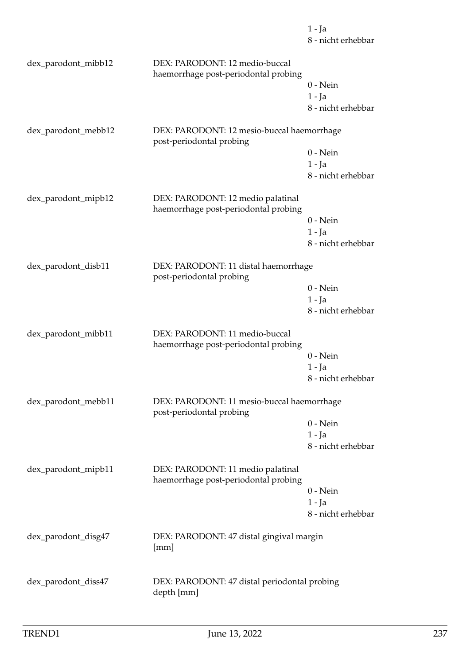|                     |                                                                           | $1 - Ja$<br>8 - nicht erhebbar |
|---------------------|---------------------------------------------------------------------------|--------------------------------|
| dex_parodont_mibb12 | DEX: PARODONT: 12 medio-buccal<br>haemorrhage post-periodontal probing    |                                |
|                     |                                                                           | $0$ - Nein                     |
|                     |                                                                           | $1 - Ja$                       |
|                     |                                                                           | 8 - nicht erhebbar             |
| dex_parodont_mebb12 | DEX: PARODONT: 12 mesio-buccal haemorrhage<br>post-periodontal probing    |                                |
|                     |                                                                           | $0$ - Nein                     |
|                     |                                                                           | $1 - Ja$                       |
|                     |                                                                           | 8 - nicht erhebbar             |
| dex_parodont_mipb12 | DEX: PARODONT: 12 medio palatinal<br>haemorrhage post-periodontal probing |                                |
|                     |                                                                           | $0$ - Nein                     |
|                     |                                                                           | $1 - Ja$                       |
|                     |                                                                           | 8 - nicht erhebbar             |
| dex_parodont_disb11 | DEX: PARODONT: 11 distal haemorrhage<br>post-periodontal probing          |                                |
|                     |                                                                           | $0$ - Nein                     |
|                     |                                                                           | $1 - Ja$                       |
|                     |                                                                           | 8 - nicht erhebbar             |
| dex_parodont_mibb11 | DEX: PARODONT: 11 medio-buccal<br>haemorrhage post-periodontal probing    |                                |
|                     |                                                                           | $0$ - Nein                     |
|                     |                                                                           | 1 - Ja                         |
|                     |                                                                           | 8 - nicht erhebbar             |
| dex_parodont_mebb11 | DEX: PARODONT: 11 mesio-buccal haemorrhage<br>post-periodontal probing    |                                |
|                     |                                                                           | $0$ - Nein                     |
|                     |                                                                           | $1 - Ja$                       |
|                     |                                                                           | 8 - nicht erhebbar             |
| dex_parodont_mipb11 | DEX: PARODONT: 11 medio palatinal<br>haemorrhage post-periodontal probing |                                |
|                     |                                                                           | $0 - Nein$                     |
|                     |                                                                           | 1 - Ja                         |
|                     |                                                                           | 8 - nicht erhebbar             |
| dex_parodont_disg47 | DEX: PARODONT: 47 distal gingival margin<br>[mm]                          |                                |
| dex_parodont_diss47 | DEX: PARODONT: 47 distal periodontal probing                              |                                |
|                     | depth [mm]                                                                |                                |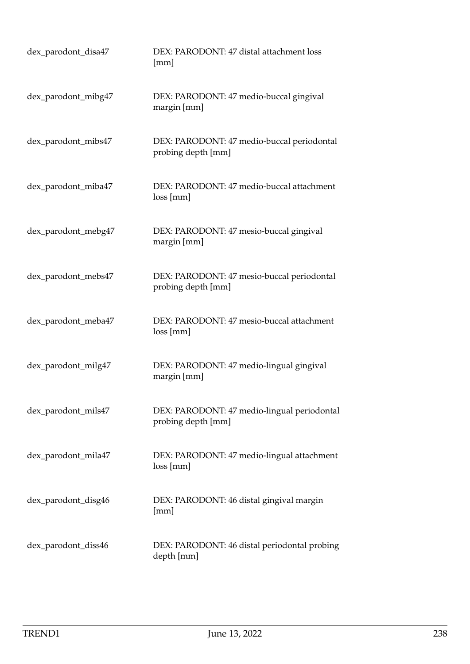| dex_parodont_disa47 | DEX: PARODONT: 47 distal attachment loss<br>[mm]                  |
|---------------------|-------------------------------------------------------------------|
| dex_parodont_mibg47 | DEX: PARODONT: 47 medio-buccal gingival<br>margin [mm]            |
| dex_parodont_mibs47 | DEX: PARODONT: 47 medio-buccal periodontal<br>probing depth [mm]  |
| dex_parodont_miba47 | DEX: PARODONT: 47 medio-buccal attachment<br>loss[mm]             |
| dex_parodont_mebg47 | DEX: PARODONT: 47 mesio-buccal gingival<br>margin [mm]            |
| dex_parodont_mebs47 | DEX: PARODONT: 47 mesio-buccal periodontal<br>probing depth [mm]  |
| dex_parodont_meba47 | DEX: PARODONT: 47 mesio-buccal attachment<br>loss[mm]             |
| dex_parodont_milg47 | DEX: PARODONT: 47 medio-lingual gingival<br>margin [mm]           |
| dex_parodont_mils47 | DEX: PARODONT: 47 medio-lingual periodontal<br>probing depth [mm] |
| dex_parodont_mila47 | DEX: PARODONT: 47 medio-lingual attachment<br>loss[mm]            |
| dex_parodont_disg46 | DEX: PARODONT: 46 distal gingival margin<br>[mm]                  |
| dex_parodont_diss46 | DEX: PARODONT: 46 distal periodontal probing<br>depth [mm]        |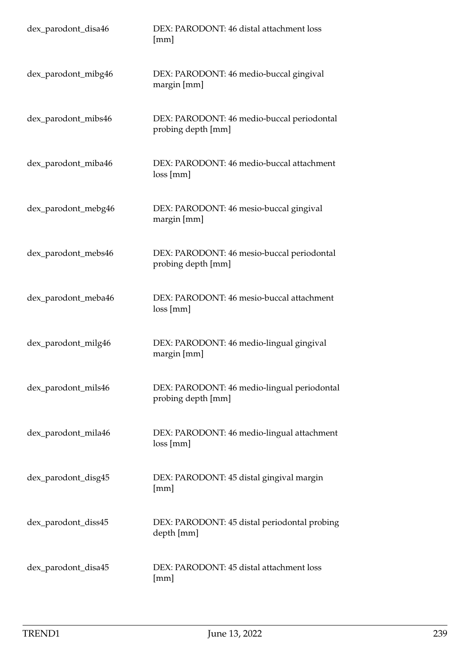| dex_parodont_disa46 | DEX: PARODONT: 46 distal attachment loss<br>[mm]                  |
|---------------------|-------------------------------------------------------------------|
| dex_parodont_mibg46 | DEX: PARODONT: 46 medio-buccal gingival<br>margin [mm]            |
| dex_parodont_mibs46 | DEX: PARODONT: 46 medio-buccal periodontal<br>probing depth [mm]  |
| dex_parodont_miba46 | DEX: PARODONT: 46 medio-buccal attachment<br>loss[mm]             |
| dex_parodont_mebg46 | DEX: PARODONT: 46 mesio-buccal gingival<br>margin [mm]            |
| dex_parodont_mebs46 | DEX: PARODONT: 46 mesio-buccal periodontal<br>probing depth [mm]  |
| dex_parodont_meba46 | DEX: PARODONT: 46 mesio-buccal attachment<br>loss[mm]             |
| dex_parodont_milg46 | DEX: PARODONT: 46 medio-lingual gingival<br>margin [mm]           |
| dex_parodont_mils46 | DEX: PARODONT: 46 medio-lingual periodontal<br>probing depth [mm] |
| dex_parodont_mila46 | DEX: PARODONT: 46 medio-lingual attachment<br>loss[mm]            |
| dex_parodont_disg45 | DEX: PARODONT: 45 distal gingival margin<br>[mm]                  |
| dex_parodont_diss45 | DEX: PARODONT: 45 distal periodontal probing<br>depth [mm]        |
| dex_parodont_disa45 | DEX: PARODONT: 45 distal attachment loss<br>[mm]                  |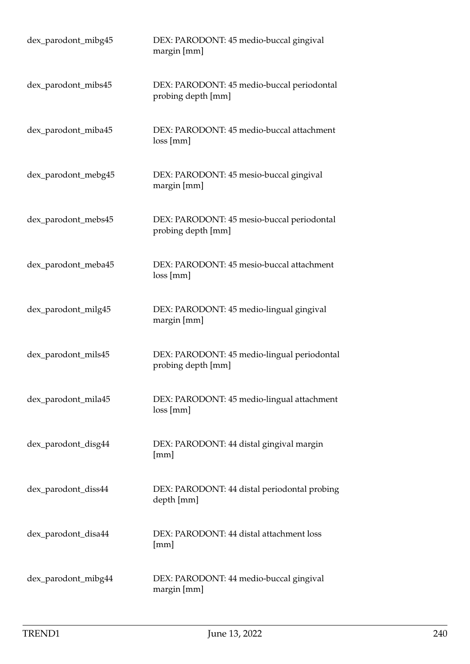| dex_parodont_mibg45 | DEX: PARODONT: 45 medio-buccal gingival<br>margin [mm]            |
|---------------------|-------------------------------------------------------------------|
| dex_parodont_mibs45 | DEX: PARODONT: 45 medio-buccal periodontal<br>probing depth [mm]  |
| dex_parodont_miba45 | DEX: PARODONT: 45 medio-buccal attachment<br>loss[mm]             |
| dex_parodont_mebg45 | DEX: PARODONT: 45 mesio-buccal gingival<br>margin [mm]            |
| dex_parodont_mebs45 | DEX: PARODONT: 45 mesio-buccal periodontal<br>probing depth [mm]  |
| dex_parodont_meba45 | DEX: PARODONT: 45 mesio-buccal attachment<br>loss[mm]             |
| dex_parodont_milg45 | DEX: PARODONT: 45 medio-lingual gingival<br>margin [mm]           |
| dex_parodont_mils45 | DEX: PARODONT: 45 medio-lingual periodontal<br>probing depth [mm] |
| dex_parodont_mila45 | DEX: PARODONT: 45 medio-lingual attachment<br>loss[mm]            |
| dex_parodont_disg44 | DEX: PARODONT: 44 distal gingival margin<br>[mm]                  |
| dex_parodont_diss44 | DEX: PARODONT: 44 distal periodontal probing<br>depth [mm]        |
| dex_parodont_disa44 | DEX: PARODONT: 44 distal attachment loss<br>[mm]                  |
| dex_parodont_mibg44 | DEX: PARODONT: 44 medio-buccal gingival<br>margin [mm]            |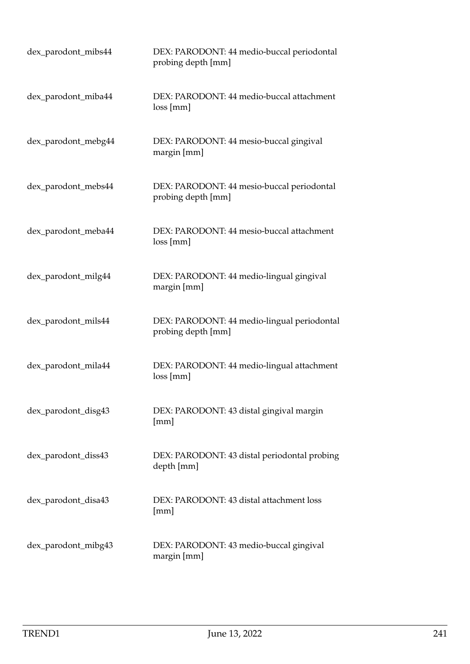| dex_parodont_mibs44 | DEX: PARODONT: 44 medio-buccal periodontal<br>probing depth [mm]  |
|---------------------|-------------------------------------------------------------------|
| dex_parodont_miba44 | DEX: PARODONT: 44 medio-buccal attachment<br>loss[mm]             |
| dex_parodont_mebg44 | DEX: PARODONT: 44 mesio-buccal gingival<br>margin [mm]            |
| dex_parodont_mebs44 | DEX: PARODONT: 44 mesio-buccal periodontal<br>probing depth [mm]  |
| dex_parodont_meba44 | DEX: PARODONT: 44 mesio-buccal attachment<br>loss[mm]             |
| dex_parodont_milg44 | DEX: PARODONT: 44 medio-lingual gingival<br>margin [mm]           |
| dex_parodont_mils44 | DEX: PARODONT: 44 medio-lingual periodontal<br>probing depth [mm] |
| dex_parodont_mila44 | DEX: PARODONT: 44 medio-lingual attachment<br>loss[mm]            |
| dex_parodont_disg43 | DEX: PARODONT: 43 distal gingival margin<br>[mm]                  |
| dex_parodont_diss43 | DEX: PARODONT: 43 distal periodontal probing<br>depth [mm]        |
| dex_parodont_disa43 | DEX: PARODONT: 43 distal attachment loss<br>[mm]                  |
| dex_parodont_mibg43 | DEX: PARODONT: 43 medio-buccal gingival<br>margin [mm]            |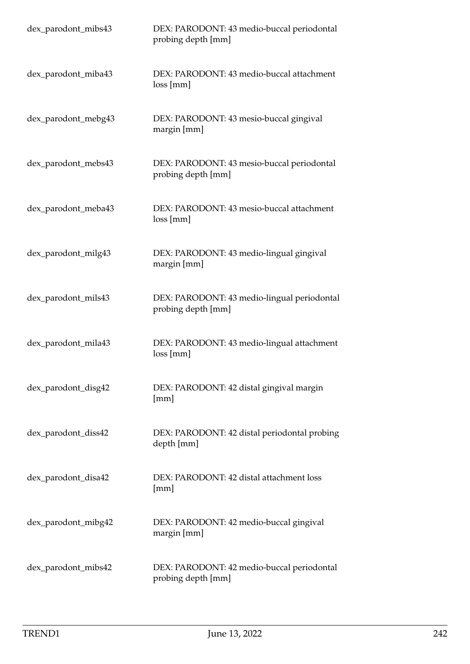| dex_parodont_mibs43 | DEX: PARODONT: 43 medio-buccal periodontal<br>probing depth [mm]  |
|---------------------|-------------------------------------------------------------------|
| dex_parodont_miba43 | DEX: PARODONT: 43 medio-buccal attachment<br>loss[mm]             |
| dex_parodont_mebg43 | DEX: PARODONT: 43 mesio-buccal gingival<br>margin [mm]            |
| dex_parodont_mebs43 | DEX: PARODONT: 43 mesio-buccal periodontal<br>probing depth [mm]  |
| dex_parodont_meba43 | DEX: PARODONT: 43 mesio-buccal attachment<br>loss[mm]             |
| dex_parodont_milg43 | DEX: PARODONT: 43 medio-lingual gingival<br>margin [mm]           |
| dex_parodont_mils43 | DEX: PARODONT: 43 medio-lingual periodontal<br>probing depth [mm] |
| dex_parodont_mila43 | DEX: PARODONT: 43 medio-lingual attachment<br>loss[mm]            |
| dex_parodont_disg42 | DEX: PARODONT: 42 distal gingival margin<br>[mm]                  |
| dex_parodont_diss42 | DEX: PARODONT: 42 distal periodontal probing<br>depth [mm]        |
| dex_parodont_disa42 | DEX: PARODONT: 42 distal attachment loss<br>[mm]                  |
| dex_parodont_mibg42 | DEX: PARODONT: 42 medio-buccal gingival<br>margin [mm]            |
| dex_parodont_mibs42 | DEX: PARODONT: 42 medio-buccal periodontal<br>probing depth [mm]  |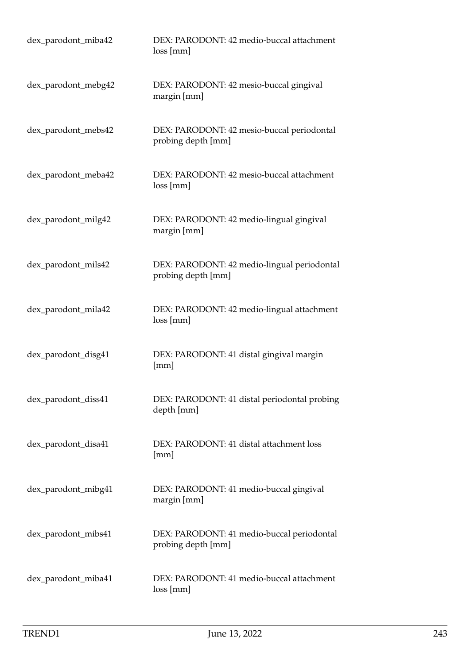| dex_parodont_miba42 | DEX: PARODONT: 42 medio-buccal attachment<br>loss[mm]             |
|---------------------|-------------------------------------------------------------------|
| dex_parodont_mebg42 | DEX: PARODONT: 42 mesio-buccal gingival<br>margin [mm]            |
| dex_parodont_mebs42 | DEX: PARODONT: 42 mesio-buccal periodontal<br>probing depth [mm]  |
| dex_parodont_meba42 | DEX: PARODONT: 42 mesio-buccal attachment<br>loss[mm]             |
| dex_parodont_milg42 | DEX: PARODONT: 42 medio-lingual gingival<br>margin [mm]           |
| dex_parodont_mils42 | DEX: PARODONT: 42 medio-lingual periodontal<br>probing depth [mm] |
| dex_parodont_mila42 | DEX: PARODONT: 42 medio-lingual attachment<br>loss[mm]            |
| dex_parodont_disg41 | DEX: PARODONT: 41 distal gingival margin<br>[mm]                  |
| dex_parodont_diss41 | DEX: PARODONT: 41 distal periodontal probing<br>depth [mm]        |
| dex_parodont_disa41 | DEX: PARODONT: 41 distal attachment loss<br>[mm]                  |
| dex_parodont_mibg41 | DEX: PARODONT: 41 medio-buccal gingival<br>margin [mm]            |
| dex_parodont_mibs41 | DEX: PARODONT: 41 medio-buccal periodontal<br>probing depth [mm]  |
| dex_parodont_miba41 | DEX: PARODONT: 41 medio-buccal attachment<br>loss[mm]             |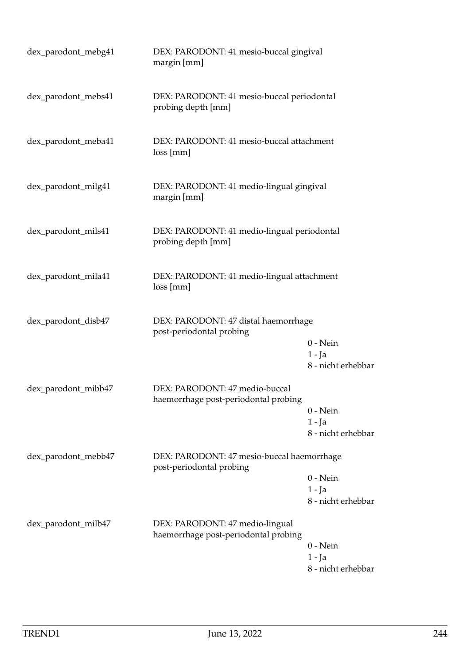| dex_parodont_mebg41 | DEX: PARODONT: 41 mesio-buccal gingival<br>margin [mm]                  |                                              |
|---------------------|-------------------------------------------------------------------------|----------------------------------------------|
| dex_parodont_mebs41 | DEX: PARODONT: 41 mesio-buccal periodontal<br>probing depth [mm]        |                                              |
| dex_parodont_meba41 | DEX: PARODONT: 41 mesio-buccal attachment<br>loss[mm]                   |                                              |
| dex_parodont_milg41 | DEX: PARODONT: 41 medio-lingual gingival<br>margin [mm]                 |                                              |
| dex_parodont_mils41 | DEX: PARODONT: 41 medio-lingual periodontal<br>probing depth [mm]       |                                              |
| dex_parodont_mila41 | DEX: PARODONT: 41 medio-lingual attachment<br>loss[mm]                  |                                              |
| dex_parodont_disb47 | DEX: PARODONT: 47 distal haemorrhage<br>post-periodontal probing        | $0$ - Nein<br>$1 - Ja$<br>8 - nicht erhebbar |
| dex_parodont_mibb47 | DEX: PARODONT: 47 medio-buccal<br>haemorrhage post-periodontal probing  | $0$ - Nein<br>$1 - Ja$<br>8 - nicht erhebbar |
| dex_parodont_mebb47 | DEX: PARODONT: 47 mesio-buccal haemorrhage<br>post-periodontal probing  | $0$ - Nein<br>$1 - Ja$<br>8 - nicht erhebbar |
| dex_parodont_milb47 | DEX: PARODONT: 47 medio-lingual<br>haemorrhage post-periodontal probing | $0$ - Nein<br>$1 - Ja$<br>8 - nicht erhebbar |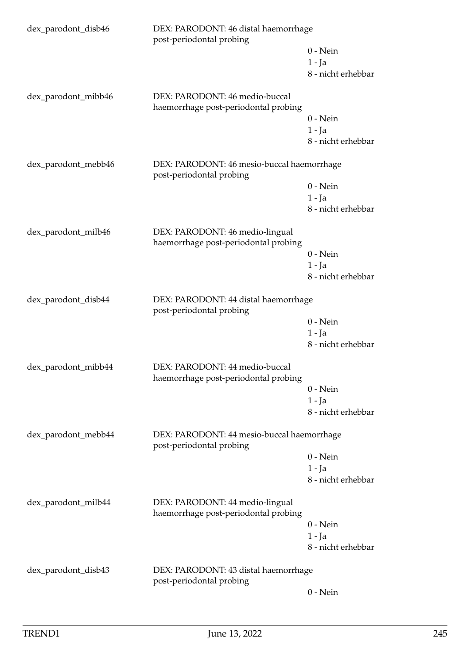| dex_parodont_disb46 | DEX: PARODONT: 46 distal haemorrhage<br>post-periodontal probing        |                    |  |
|---------------------|-------------------------------------------------------------------------|--------------------|--|
|                     |                                                                         | $0$ - Nein         |  |
|                     |                                                                         | $1 - Ja$           |  |
|                     |                                                                         | 8 - nicht erhebbar |  |
| dex_parodont_mibb46 | DEX: PARODONT: 46 medio-buccal<br>haemorrhage post-periodontal probing  |                    |  |
|                     |                                                                         | $0$ - Nein         |  |
|                     |                                                                         | $1 - Ja$           |  |
|                     |                                                                         | 8 - nicht erhebbar |  |
| dex_parodont_mebb46 | DEX: PARODONT: 46 mesio-buccal haemorrhage<br>post-periodontal probing  |                    |  |
|                     |                                                                         | $0$ - Nein         |  |
|                     |                                                                         | $1 - Ja$           |  |
|                     |                                                                         | 8 - nicht erhebbar |  |
| dex_parodont_milb46 | DEX: PARODONT: 46 medio-lingual<br>haemorrhage post-periodontal probing |                    |  |
|                     |                                                                         | $0$ - Nein         |  |
|                     |                                                                         | $1 - Ja$           |  |
|                     |                                                                         | 8 - nicht erhebbar |  |
| dex_parodont_disb44 | DEX: PARODONT: 44 distal haemorrhage<br>post-periodontal probing        |                    |  |
|                     |                                                                         | $0$ - Nein         |  |
|                     |                                                                         | $1 - Ja$           |  |
|                     |                                                                         | 8 - nicht erhebbar |  |
| dex_parodont_mibb44 | DEX: PARODONT: 44 medio-buccal                                          |                    |  |
|                     | haemorrhage post-periodontal probing                                    | $0$ - Nein         |  |
|                     |                                                                         | 1 - Ja             |  |
|                     |                                                                         | 8 - nicht erhebbar |  |
|                     |                                                                         |                    |  |
| dex_parodont_mebb44 | DEX: PARODONT: 44 mesio-buccal haemorrhage<br>post-periodontal probing  |                    |  |
|                     |                                                                         | $0$ - Nein         |  |
|                     |                                                                         | $1 - Ja$           |  |
|                     |                                                                         | 8 - nicht erhebbar |  |
| dex_parodont_milb44 | DEX: PARODONT: 44 medio-lingual<br>haemorrhage post-periodontal probing |                    |  |
|                     |                                                                         | $0$ - Nein         |  |
|                     |                                                                         | $1 - Ja$           |  |
|                     |                                                                         | 8 - nicht erhebbar |  |
| dex_parodont_disb43 | DEX: PARODONT: 43 distal haemorrhage<br>post-periodontal probing        |                    |  |
|                     |                                                                         | $0$ - Nein         |  |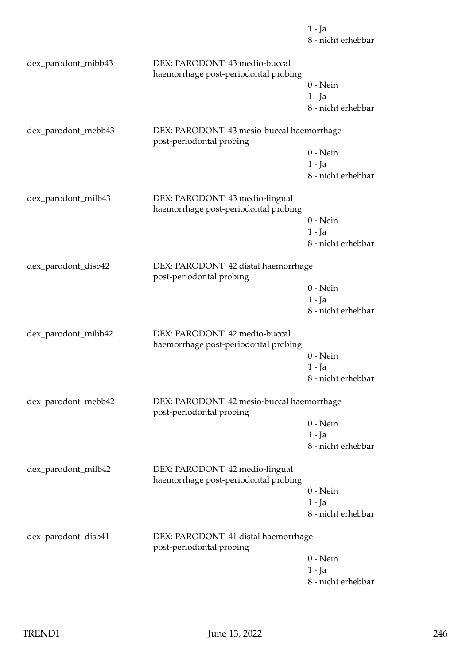|                     |                                                                         | $1 - Ja$<br>8 - nicht erhebbar |
|---------------------|-------------------------------------------------------------------------|--------------------------------|
| dex_parodont_mibb43 | DEX: PARODONT: 43 medio-buccal<br>haemorrhage post-periodontal probing  |                                |
|                     |                                                                         | $0$ - Nein                     |
|                     |                                                                         | $1 - Ja$                       |
|                     |                                                                         | 8 - nicht erhebbar             |
| dex_parodont_mebb43 | DEX: PARODONT: 43 mesio-buccal haemorrhage<br>post-periodontal probing  |                                |
|                     |                                                                         | $0$ - Nein                     |
|                     |                                                                         | $1 - Ja$                       |
|                     |                                                                         | 8 - nicht erhebbar             |
| dex_parodont_milb43 | DEX: PARODONT: 43 medio-lingual<br>haemorrhage post-periodontal probing |                                |
|                     |                                                                         | $0$ - Nein                     |
|                     |                                                                         | $1 - Ja$                       |
|                     |                                                                         | 8 - nicht erhebbar             |
| dex_parodont_disb42 | DEX: PARODONT: 42 distal haemorrhage<br>post-periodontal probing        |                                |
|                     |                                                                         | $0$ - Nein                     |
|                     |                                                                         | $1 - Ja$                       |
|                     |                                                                         | 8 - nicht erhebbar             |
| dex_parodont_mibb42 | DEX: PARODONT: 42 medio-buccal<br>haemorrhage post-periodontal probing  |                                |
|                     |                                                                         | $0$ - Nein                     |
|                     |                                                                         | 1 - Ja                         |
|                     |                                                                         | 8 - nicht erhebbar             |
| dex_parodont_mebb42 | DEX: PARODONT: 42 mesio-buccal haemorrhage<br>post-periodontal probing  |                                |
|                     |                                                                         | $0$ - Nein                     |
|                     |                                                                         | $1 - Ja$                       |
|                     |                                                                         | 8 - nicht erhebbar             |
| dex_parodont_milb42 | DEX: PARODONT: 42 medio-lingual<br>haemorrhage post-periodontal probing |                                |
|                     |                                                                         | $0$ - Nein                     |
|                     |                                                                         | $1 - Ja$                       |
|                     |                                                                         | 8 - nicht erhebbar             |
| dex_parodont_disb41 | DEX: PARODONT: 41 distal haemorrhage<br>post-periodontal probing        |                                |
|                     |                                                                         | $0$ - Nein                     |
|                     |                                                                         | 1 - Ja                         |
|                     |                                                                         |                                |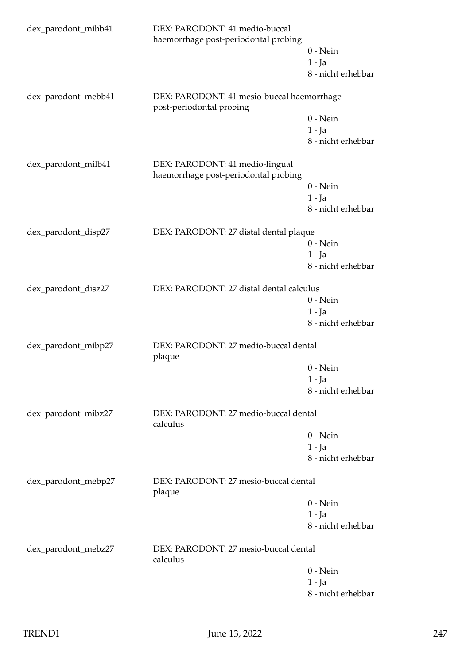| dex_parodont_mibb41                                                      | DEX: PARODONT: 41 medio-buccal<br>haemorrhage post-periodontal probing  |                    |  |
|--------------------------------------------------------------------------|-------------------------------------------------------------------------|--------------------|--|
|                                                                          |                                                                         | $0$ - Nein         |  |
|                                                                          |                                                                         | $1 - Ja$           |  |
|                                                                          |                                                                         | 8 - nicht erhebbar |  |
| dex_parodont_mebb41                                                      | DEX: PARODONT: 41 mesio-buccal haemorrhage<br>post-periodontal probing  |                    |  |
|                                                                          |                                                                         | $0$ - Nein         |  |
|                                                                          |                                                                         | $1 - Ja$           |  |
|                                                                          |                                                                         | 8 - nicht erhebbar |  |
| dex_parodont_milb41                                                      | DEX: PARODONT: 41 medio-lingual<br>haemorrhage post-periodontal probing |                    |  |
|                                                                          |                                                                         | $0$ - Nein         |  |
|                                                                          |                                                                         | $1 - Ja$           |  |
|                                                                          |                                                                         | 8 - nicht erhebbar |  |
| dex_parodont_disp27                                                      | DEX: PARODONT: 27 distal dental plaque                                  |                    |  |
|                                                                          |                                                                         | $0 - Nein$         |  |
|                                                                          |                                                                         | $1 - Ja$           |  |
|                                                                          |                                                                         | 8 - nicht erhebbar |  |
| dex_parodont_disz27                                                      | DEX: PARODONT: 27 distal dental calculus                                |                    |  |
|                                                                          |                                                                         | $0$ - Nein         |  |
|                                                                          |                                                                         | $1 - Ja$           |  |
|                                                                          |                                                                         | 8 - nicht erhebbar |  |
| dex_parodont_mibp27                                                      | DEX: PARODONT: 27 medio-buccal dental<br>plaque                         |                    |  |
|                                                                          |                                                                         | $0$ - Nein         |  |
|                                                                          |                                                                         | $1 - Ja$           |  |
|                                                                          |                                                                         | 8 - nicht erhebbar |  |
| dex_parodont_mibz27<br>DEX: PARODONT: 27 medio-buccal dental<br>calculus |                                                                         |                    |  |
|                                                                          |                                                                         | $0 - Nein$         |  |
|                                                                          |                                                                         | $1 - Ja$           |  |
|                                                                          |                                                                         | 8 - nicht erhebbar |  |
| dex_parodont_mebp27                                                      | DEX: PARODONT: 27 mesio-buccal dental<br>plaque                         |                    |  |
|                                                                          |                                                                         | $0$ - Nein         |  |
|                                                                          |                                                                         | $1 - Ja$           |  |
|                                                                          |                                                                         | 8 - nicht erhebbar |  |
| dex_parodont_mebz27                                                      | DEX: PARODONT: 27 mesio-buccal dental<br>calculus                       |                    |  |
|                                                                          |                                                                         | $0$ - Nein         |  |
|                                                                          |                                                                         | $1 - Ja$           |  |
|                                                                          |                                                                         | 8 - nicht erhebbar |  |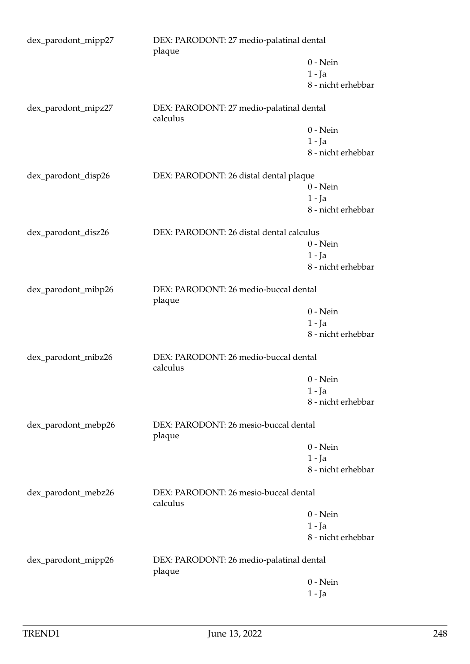| dex_parodont_mipp27                                                      | plaque                                               | DEX: PARODONT: 27 medio-palatinal dental |  |
|--------------------------------------------------------------------------|------------------------------------------------------|------------------------------------------|--|
|                                                                          |                                                      | $0$ - Nein                               |  |
|                                                                          |                                                      | $1 - Ja$                                 |  |
|                                                                          |                                                      | 8 - nicht erhebbar                       |  |
| dex_parodont_mipz27                                                      | DEX: PARODONT: 27 medio-palatinal dental<br>calculus |                                          |  |
|                                                                          |                                                      | $0$ - Nein                               |  |
|                                                                          |                                                      | $1 - Ja$                                 |  |
|                                                                          |                                                      | 8 - nicht erhebbar                       |  |
| dex_parodont_disp26                                                      | DEX: PARODONT: 26 distal dental plaque               |                                          |  |
|                                                                          |                                                      | $0$ - Nein                               |  |
|                                                                          |                                                      | $1 - Ja$                                 |  |
|                                                                          |                                                      | 8 - nicht erhebbar                       |  |
| dex_parodont_disz26                                                      | DEX: PARODONT: 26 distal dental calculus             |                                          |  |
|                                                                          |                                                      | $0 - Nein$                               |  |
|                                                                          |                                                      | $1 - Ja$                                 |  |
|                                                                          |                                                      | 8 - nicht erhebbar                       |  |
| dex_parodont_mibp26                                                      | DEX: PARODONT: 26 medio-buccal dental<br>plaque      |                                          |  |
|                                                                          |                                                      | $0 - Nein$                               |  |
|                                                                          |                                                      | $1 - Ja$                                 |  |
|                                                                          |                                                      | 8 - nicht erhebbar                       |  |
| DEX: PARODONT: 26 medio-buccal dental<br>dex_parodont_mibz26<br>calculus |                                                      |                                          |  |
|                                                                          |                                                      | $0$ - Nein                               |  |
|                                                                          |                                                      | $1 - Ja$                                 |  |
|                                                                          |                                                      | 8 - nicht erhebbar                       |  |
| dex_parodont_mebp26                                                      | DEX: PARODONT: 26 mesio-buccal dental<br>plaque      |                                          |  |
|                                                                          |                                                      | $0 - Nein$                               |  |
|                                                                          |                                                      | $1 - Ja$                                 |  |
|                                                                          |                                                      | 8 - nicht erhebbar                       |  |
| dex_parodont_mebz26                                                      | calculus                                             | DEX: PARODONT: 26 mesio-buccal dental    |  |
|                                                                          |                                                      | $0$ - Nein                               |  |
|                                                                          |                                                      | $1 - Ja$                                 |  |
|                                                                          |                                                      | 8 - nicht erhebbar                       |  |
| dex_parodont_mipp26                                                      | DEX: PARODONT: 26 medio-palatinal dental<br>plaque   |                                          |  |
|                                                                          |                                                      | $0$ - Nein                               |  |
|                                                                          |                                                      | $1 - Ja$                                 |  |
|                                                                          |                                                      |                                          |  |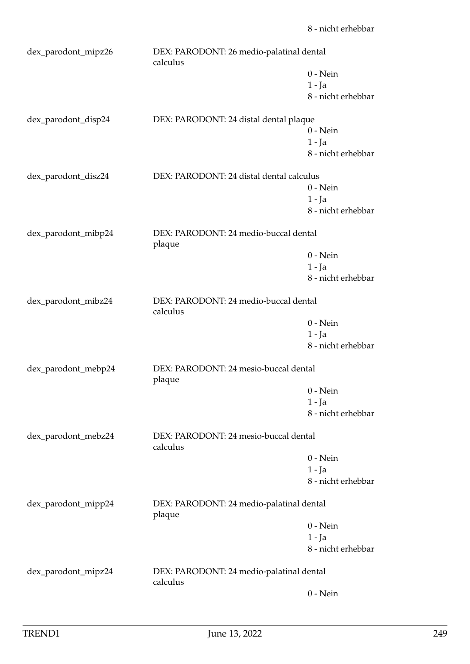| dex_parodont_mipz26                                                    | DEX: PARODONT: 26 medio-palatinal dental<br>calculus |                    |  |
|------------------------------------------------------------------------|------------------------------------------------------|--------------------|--|
|                                                                        |                                                      | $0$ - Nein         |  |
|                                                                        |                                                      | $1 - Ja$           |  |
|                                                                        |                                                      | 8 - nicht erhebbar |  |
| dex_parodont_disp24                                                    | DEX: PARODONT: 24 distal dental plaque               |                    |  |
|                                                                        |                                                      | $0$ - Nein         |  |
|                                                                        |                                                      | $1 - Ja$           |  |
|                                                                        |                                                      | 8 - nicht erhebbar |  |
| dex_parodont_disz24                                                    | DEX: PARODONT: 24 distal dental calculus             |                    |  |
|                                                                        |                                                      | $0$ - Nein         |  |
|                                                                        |                                                      | $1 - Ja$           |  |
|                                                                        |                                                      | 8 - nicht erhebbar |  |
| dex_parodont_mibp24<br>DEX: PARODONT: 24 medio-buccal dental<br>plaque |                                                      |                    |  |
|                                                                        |                                                      | $0$ - Nein         |  |
|                                                                        |                                                      | $1 - Ja$           |  |
|                                                                        |                                                      | 8 - nicht erhebbar |  |
| dex_parodont_mibz24                                                    | DEX: PARODONT: 24 medio-buccal dental<br>calculus    |                    |  |
|                                                                        |                                                      | $0$ - Nein         |  |
|                                                                        |                                                      | $1 - Ja$           |  |
|                                                                        |                                                      | 8 - nicht erhebbar |  |
| dex_parodont_mebp24                                                    | DEX: PARODONT: 24 mesio-buccal dental<br>plaque      |                    |  |
|                                                                        |                                                      | $0$ - Nein         |  |
|                                                                        |                                                      | $1 - Ja$           |  |
|                                                                        |                                                      | 8 - nicht erhebbar |  |
| dex_parodont_mebz24                                                    | DEX: PARODONT: 24 mesio-buccal dental<br>calculus    |                    |  |
|                                                                        |                                                      | $0$ - Nein         |  |
|                                                                        |                                                      | $1 - Ja$           |  |
|                                                                        |                                                      | 8 - nicht erhebbar |  |
|                                                                        |                                                      |                    |  |
| dex_parodont_mipp24                                                    | DEX: PARODONT: 24 medio-palatinal dental<br>plaque   |                    |  |
|                                                                        |                                                      | $0$ - Nein         |  |
|                                                                        |                                                      | $1 - Ja$           |  |
|                                                                        |                                                      | 8 - nicht erhebbar |  |
| dex_parodont_mipz24                                                    | DEX: PARODONT: 24 medio-palatinal dental<br>calculus |                    |  |
|                                                                        |                                                      | $0$ - Nein         |  |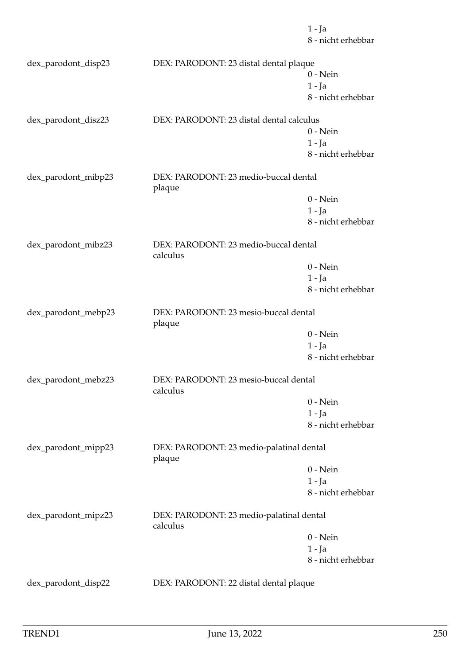|                     |                                                      | $1 - Ja$<br>8 - nicht erhebbar |  |
|---------------------|------------------------------------------------------|--------------------------------|--|
| dex_parodont_disp23 | DEX: PARODONT: 23 distal dental plaque               |                                |  |
|                     |                                                      | $0$ - Nein                     |  |
|                     |                                                      | $1 - Ja$                       |  |
|                     |                                                      | 8 - nicht erhebbar             |  |
| dex_parodont_disz23 | DEX: PARODONT: 23 distal dental calculus             |                                |  |
|                     |                                                      | $0$ - Nein                     |  |
|                     |                                                      | $1 - Ja$                       |  |
|                     |                                                      | 8 - nicht erhebbar             |  |
| dex_parodont_mibp23 | DEX: PARODONT: 23 medio-buccal dental<br>plaque      |                                |  |
|                     |                                                      | $0$ - Nein                     |  |
|                     |                                                      | $1 - Ja$                       |  |
|                     |                                                      | 8 - nicht erhebbar             |  |
| dex_parodont_mibz23 | DEX: PARODONT: 23 medio-buccal dental<br>calculus    |                                |  |
|                     |                                                      | $0$ - Nein                     |  |
|                     |                                                      | $1 - Ja$                       |  |
|                     |                                                      | 8 - nicht erhebbar             |  |
| dex_parodont_mebp23 | DEX: PARODONT: 23 mesio-buccal dental<br>plaque      |                                |  |
|                     |                                                      | $0$ - Nein                     |  |
|                     |                                                      | 1 - Ja                         |  |
|                     |                                                      | 8 - nicht erhebbar             |  |
| dex_parodont_mebz23 | DEX: PARODONT: 23 mesio-buccal dental<br>calculus    |                                |  |
|                     |                                                      | $0$ - Nein                     |  |
|                     |                                                      | $1 - Ja$                       |  |
|                     |                                                      | 8 - nicht erhebbar             |  |
| dex_parodont_mipp23 | DEX: PARODONT: 23 medio-palatinal dental<br>plaque   |                                |  |
|                     |                                                      | $0$ - Nein                     |  |
|                     |                                                      | $1 - Ja$                       |  |
|                     |                                                      | 8 - nicht erhebbar             |  |
| dex_parodont_mipz23 | DEX: PARODONT: 23 medio-palatinal dental<br>calculus |                                |  |
|                     |                                                      | $0$ - Nein                     |  |
|                     |                                                      | $1 - Ja$                       |  |
|                     |                                                      | 8 - nicht erhebbar             |  |
| dex_parodont_disp22 | DEX: PARODONT: 22 distal dental plaque               |                                |  |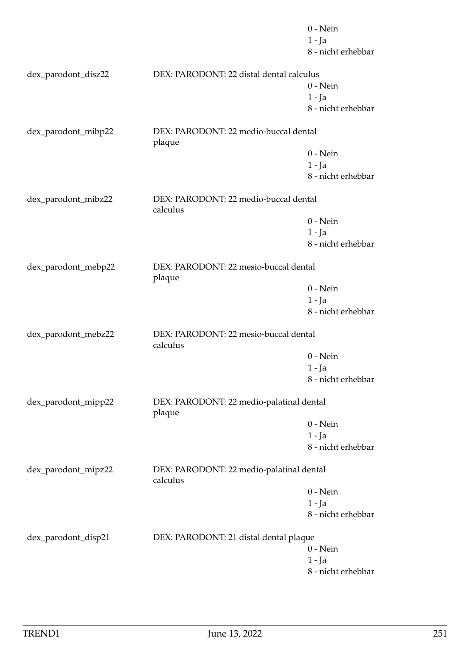|                     |                                                      | $0$ - Nein         |  |
|---------------------|------------------------------------------------------|--------------------|--|
|                     |                                                      | $1 - Ja$           |  |
|                     |                                                      | 8 - nicht erhebbar |  |
| dex_parodont_disz22 | DEX: PARODONT: 22 distal dental calculus             |                    |  |
|                     |                                                      | $0$ - Nein         |  |
|                     |                                                      | $1 - Ja$           |  |
|                     |                                                      | 8 - nicht erhebbar |  |
| dex_parodont_mibp22 | DEX: PARODONT: 22 medio-buccal dental<br>plaque      |                    |  |
|                     |                                                      | $0$ - Nein         |  |
|                     |                                                      | $1 - Ja$           |  |
|                     |                                                      | 8 - nicht erhebbar |  |
| dex_parodont_mibz22 | DEX: PARODONT: 22 medio-buccal dental<br>calculus    |                    |  |
|                     |                                                      | $0$ - Nein         |  |
|                     |                                                      | $1 - Ja$           |  |
|                     |                                                      | 8 - nicht erhebbar |  |
| dex_parodont_mebp22 | DEX: PARODONT: 22 mesio-buccal dental<br>plaque      |                    |  |
|                     |                                                      | $0$ - Nein         |  |
|                     |                                                      | 1 - Ja             |  |
|                     |                                                      | 8 - nicht erhebbar |  |
| dex_parodont_mebz22 | DEX: PARODONT: 22 mesio-buccal dental<br>calculus    |                    |  |
|                     |                                                      | $0$ - Nein         |  |
|                     |                                                      | $1 - Ja$           |  |
|                     |                                                      | 8 - nicht erhebbar |  |
| dex_parodont_mipp22 | DEX: PARODONT: 22 medio-palatinal dental<br>plaque   |                    |  |
|                     |                                                      | $0$ - Nein         |  |
|                     |                                                      | $1 - Ja$           |  |
|                     |                                                      | 8 - nicht erhebbar |  |
| dex_parodont_mipz22 | DEX: PARODONT: 22 medio-palatinal dental<br>calculus |                    |  |
|                     |                                                      | $0$ - Nein         |  |
|                     |                                                      | $1 - Ja$           |  |
|                     |                                                      | 8 - nicht erhebbar |  |
| dex_parodont_disp21 | DEX: PARODONT: 21 distal dental plaque               |                    |  |
|                     |                                                      | $0$ - Nein         |  |
|                     |                                                      | 1 - Ja             |  |
|                     |                                                      | 8 - nicht erhebbar |  |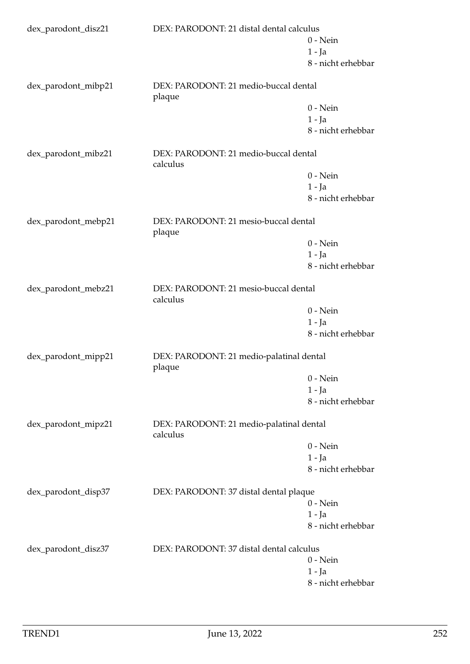| dex_parodont_disz21                                           | DEX: PARODONT: 21 distal dental calculus             |                                       |  |
|---------------------------------------------------------------|------------------------------------------------------|---------------------------------------|--|
|                                                               |                                                      | $0 - Nein$                            |  |
|                                                               |                                                      | $1 - Ja$                              |  |
|                                                               |                                                      | 8 - nicht erhebbar                    |  |
| dex_parodont_mibp21                                           | DEX: PARODONT: 21 medio-buccal dental<br>plaque      |                                       |  |
|                                                               |                                                      | $0 - Nein$                            |  |
|                                                               |                                                      | $1 - Ja$                              |  |
|                                                               |                                                      | 8 - nicht erhebbar                    |  |
| dex_parodont_mibz21                                           | calculus                                             | DEX: PARODONT: 21 medio-buccal dental |  |
|                                                               |                                                      | $0 - Nein$                            |  |
|                                                               |                                                      | $1 - Ja$                              |  |
|                                                               |                                                      | 8 - nicht erhebbar                    |  |
| dex_parodont_mebp21                                           | DEX: PARODONT: 21 mesio-buccal dental<br>plaque      |                                       |  |
|                                                               |                                                      | $0 - Nein$                            |  |
|                                                               |                                                      | $1 - Ja$                              |  |
|                                                               |                                                      | 8 - nicht erhebbar                    |  |
| dex_parodont_mebz21                                           | DEX: PARODONT: 21 mesio-buccal dental<br>calculus    |                                       |  |
|                                                               |                                                      | $0 - Nein$                            |  |
|                                                               |                                                      | $1 - Ja$                              |  |
|                                                               |                                                      | 8 - nicht erhebbar                    |  |
| dex_parodont_mipp21                                           | DEX: PARODONT: 21 medio-palatinal dental<br>plaque   |                                       |  |
|                                                               |                                                      | $0$ - Nein                            |  |
|                                                               |                                                      | 1 - Ja                                |  |
|                                                               |                                                      | 8 - nicht erhebbar                    |  |
| dex_parodont_mipz21                                           | DEX: PARODONT: 21 medio-palatinal dental<br>calculus |                                       |  |
|                                                               |                                                      | $0 - Nein$                            |  |
|                                                               |                                                      | $1 - Ja$                              |  |
|                                                               |                                                      | 8 - nicht erhebbar                    |  |
| dex_parodont_disp37<br>DEX: PARODONT: 37 distal dental plaque |                                                      |                                       |  |
|                                                               |                                                      | $0$ - Nein                            |  |
|                                                               |                                                      | $1 - Ja$<br>8 - nicht erhebbar        |  |
|                                                               |                                                      |                                       |  |
| dex_parodont_disz37                                           | DEX: PARODONT: 37 distal dental calculus             |                                       |  |
|                                                               |                                                      | $0 - Nein$                            |  |
|                                                               |                                                      | 1 - Ja                                |  |
|                                                               |                                                      | 8 - nicht erhebbar                    |  |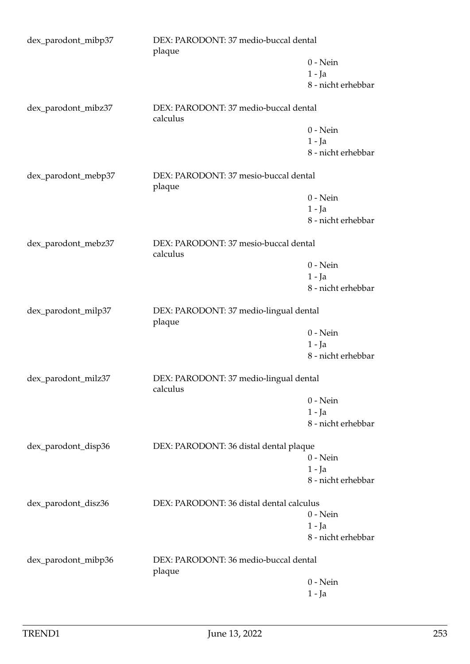| dex_parodont_mibp37 | DEX: PARODONT: 37 medio-buccal dental<br>plaque    |                    |
|---------------------|----------------------------------------------------|--------------------|
|                     |                                                    | $0$ - Nein         |
|                     |                                                    | $1 - Ja$           |
|                     |                                                    | 8 - nicht erhebbar |
| dex_parodont_mibz37 | DEX: PARODONT: 37 medio-buccal dental<br>calculus  |                    |
|                     |                                                    | $0$ - Nein         |
|                     |                                                    | $1 - Ja$           |
|                     |                                                    | 8 - nicht erhebbar |
| dex_parodont_mebp37 | DEX: PARODONT: 37 mesio-buccal dental<br>plaque    |                    |
|                     |                                                    | $0$ - Nein         |
|                     |                                                    | $1 - Ja$           |
|                     |                                                    | 8 - nicht erhebbar |
| dex_parodont_mebz37 | DEX: PARODONT: 37 mesio-buccal dental<br>calculus  |                    |
|                     |                                                    | $0$ - Nein         |
|                     |                                                    | $1 - Ja$           |
|                     |                                                    | 8 - nicht erhebbar |
| dex_parodont_milp37 | DEX: PARODONT: 37 medio-lingual dental<br>plaque   |                    |
|                     |                                                    | $0$ - Nein         |
|                     |                                                    | $1 - Ja$           |
|                     |                                                    | 8 - nicht erhebbar |
| dex_parodont_milz37 | DEX: PARODONT: 37 medio-lingual dental<br>calculus |                    |
|                     |                                                    | $0$ - Nein         |
|                     |                                                    | $1 - Ja$           |
|                     |                                                    | 8 - nicht erhebbar |
| dex_parodont_disp36 | DEX: PARODONT: 36 distal dental plaque             |                    |
|                     |                                                    | $0$ - Nein         |
|                     |                                                    | $1 - Ja$           |
|                     |                                                    | 8 - nicht erhebbar |
| dex_parodont_disz36 | DEX: PARODONT: 36 distal dental calculus           |                    |
|                     |                                                    | $0$ - Nein         |
|                     |                                                    | $1 - Ja$           |
|                     |                                                    | 8 - nicht erhebbar |
| dex_parodont_mibp36 | DEX: PARODONT: 36 medio-buccal dental<br>plaque    |                    |
|                     |                                                    | $0$ - Nein         |
|                     |                                                    | $1 - Ja$           |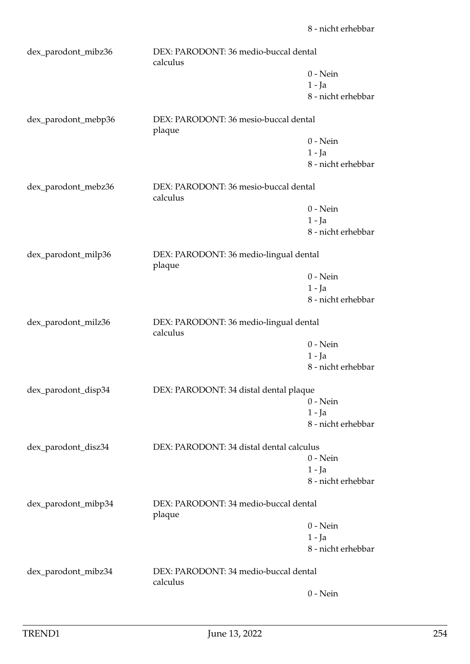| dex_parodont_mibz36 | DEX: PARODONT: 36 medio-buccal dental<br>calculus  |                    |  |
|---------------------|----------------------------------------------------|--------------------|--|
|                     |                                                    | $0$ - Nein         |  |
|                     |                                                    | $1 - Ja$           |  |
|                     |                                                    | 8 - nicht erhebbar |  |
| dex_parodont_mebp36 | DEX: PARODONT: 36 mesio-buccal dental<br>plaque    |                    |  |
|                     |                                                    | $0$ - Nein         |  |
|                     |                                                    | $1 - Ja$           |  |
|                     |                                                    | 8 - nicht erhebbar |  |
| dex_parodont_mebz36 | DEX: PARODONT: 36 mesio-buccal dental<br>calculus  |                    |  |
|                     |                                                    | $0$ - Nein         |  |
|                     |                                                    | $1 - Ja$           |  |
|                     |                                                    | 8 - nicht erhebbar |  |
| dex_parodont_milp36 | DEX: PARODONT: 36 medio-lingual dental<br>plaque   |                    |  |
|                     |                                                    | $0$ - Nein         |  |
|                     |                                                    | $1 - Ja$           |  |
|                     |                                                    | 8 - nicht erhebbar |  |
|                     |                                                    |                    |  |
| dex_parodont_milz36 | DEX: PARODONT: 36 medio-lingual dental<br>calculus |                    |  |
|                     |                                                    | $0$ - Nein         |  |
|                     |                                                    | $1 - Ja$           |  |
|                     |                                                    | 8 - nicht erhebbar |  |
| dex_parodont_disp34 | DEX: PARODONT: 34 distal dental plaque             |                    |  |
|                     |                                                    | $0$ - Nein         |  |
|                     |                                                    | 1 - Ja             |  |
|                     |                                                    | 8 - nicht erhebbar |  |
| dex_parodont_disz34 | DEX: PARODONT: 34 distal dental calculus           |                    |  |
|                     |                                                    | $0 - Nein$         |  |
|                     |                                                    | 1 - Ja             |  |
|                     |                                                    | 8 - nicht erhebbar |  |
| dex_parodont_mibp34 | DEX: PARODONT: 34 medio-buccal dental<br>plaque    |                    |  |
|                     |                                                    | $0$ - Nein         |  |
|                     |                                                    | $1 - Ja$           |  |
|                     |                                                    | 8 - nicht erhebbar |  |
| dex_parodont_mibz34 | DEX: PARODONT: 34 medio-buccal dental<br>calculus  |                    |  |
|                     |                                                    | $0$ - Nein         |  |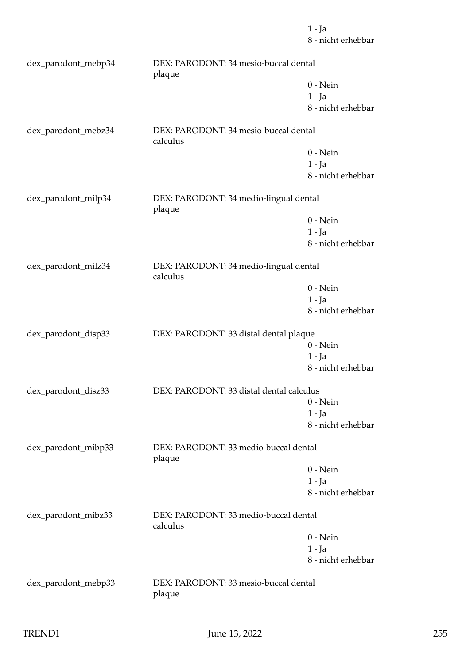8 - nicht erhebbar dex\_parodont\_mebp34 DEX: PARODONT: 34 mesio-buccal dental plaque 0 - Nein 1 - Ja 8 - nicht erhebbar dex\_parodont\_mebz34 DEX: PARODONT: 34 mesio-buccal dental calculus 0 - Nein 1 - Ja 8 - nicht erhebbar dex\_parodont\_milp34 DEX: PARODONT: 34 medio-lingual dental plaque 0 - Nein 1 - Ja 8 - nicht erhebbar dex\_parodont\_milz34 DEX: PARODONT: 34 medio-lingual dental calculus 0 - Nein 1 - Ja 8 - nicht erhebbar dex\_parodont\_disp33 DEX: PARODONT: 33 distal dental plaque 0 - Nein 1 - Ja 8 - nicht erhebbar dex\_parodont\_disz33 DEX: PARODONT: 33 distal dental calculus 0 - Nein 1 - Ja 8 - nicht erhebbar dex\_parodont\_mibp33 DEX: PARODONT: 33 medio-buccal dental plaque 0 - Nein 1 - Ja 8 - nicht erhebbar dex\_parodont\_mibz33 DEX: PARODONT: 33 medio-buccal dental calculus 0 - Nein 1 - Ja 8 - nicht erhebbar dex\_parodont\_mebp33 DEX: PARODONT: 33 mesio-buccal dental plaque

1 - Ja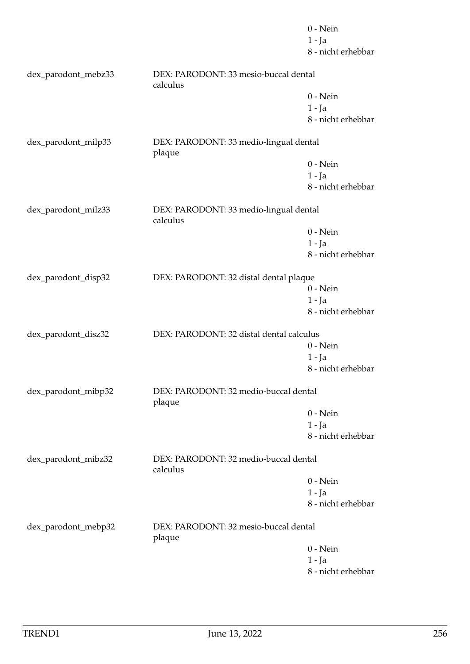|                     |                                                    | $0$ - Nein         |
|---------------------|----------------------------------------------------|--------------------|
|                     |                                                    | $1 - Ja$           |
|                     |                                                    | 8 - nicht erhebbar |
| dex_parodont_mebz33 | DEX: PARODONT: 33 mesio-buccal dental<br>calculus  |                    |
|                     |                                                    | $0$ - Nein         |
|                     |                                                    | $1 - Ja$           |
|                     |                                                    | 8 - nicht erhebbar |
| dex_parodont_milp33 | DEX: PARODONT: 33 medio-lingual dental<br>plaque   |                    |
|                     |                                                    | $0$ - Nein         |
|                     |                                                    | $1 - Ja$           |
|                     |                                                    | 8 - nicht erhebbar |
|                     |                                                    |                    |
| dex_parodont_milz33 | DEX: PARODONT: 33 medio-lingual dental<br>calculus |                    |
|                     |                                                    | $0$ - Nein         |
|                     |                                                    | $1 - Ja$           |
|                     |                                                    | 8 - nicht erhebbar |
| dex_parodont_disp32 | DEX: PARODONT: 32 distal dental plaque             |                    |
|                     |                                                    | $0$ - Nein         |
|                     |                                                    | $1 - Ja$           |
|                     |                                                    | 8 - nicht erhebbar |
| dex_parodont_disz32 | DEX: PARODONT: 32 distal dental calculus           |                    |
|                     |                                                    | $0$ - Nein         |
|                     |                                                    | $1 - Ja$           |
|                     |                                                    | 8 - nicht erhebbar |
| dex_parodont_mibp32 | DEX: PARODONT: 32 medio-buccal dental<br>plaque    |                    |
|                     |                                                    | $0 - Nein$         |
|                     |                                                    | $1 - Ja$           |
|                     |                                                    | 8 - nicht erhebbar |
| dex_parodont_mibz32 | DEX: PARODONT: 32 medio-buccal dental<br>calculus  |                    |
|                     |                                                    | $0$ - Nein         |
|                     |                                                    | $1 - Ja$           |
|                     |                                                    | 8 - nicht erhebbar |
| dex_parodont_mebp32 | DEX: PARODONT: 32 mesio-buccal dental<br>plaque    |                    |
|                     |                                                    | $0 - Nein$         |
|                     |                                                    | $1 - Ja$           |
|                     |                                                    | 8 - nicht erhebbar |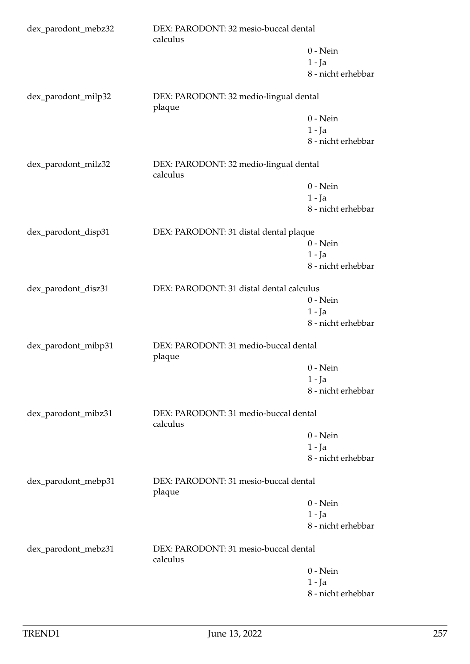| dex_parodont_mebz32 | DEX: PARODONT: 32 mesio-buccal dental<br>calculus  |                    |  |
|---------------------|----------------------------------------------------|--------------------|--|
|                     |                                                    | $0$ - Nein         |  |
|                     |                                                    | $1 - Ja$           |  |
|                     |                                                    | 8 - nicht erhebbar |  |
| dex_parodont_milp32 | DEX: PARODONT: 32 medio-lingual dental<br>plaque   |                    |  |
|                     |                                                    | $0 - Nein$         |  |
|                     |                                                    | $1 - Ja$           |  |
|                     |                                                    | 8 - nicht erhebbar |  |
| dex_parodont_milz32 | DEX: PARODONT: 32 medio-lingual dental<br>calculus |                    |  |
|                     |                                                    | $0$ - Nein         |  |
|                     |                                                    | $1 - Ja$           |  |
|                     |                                                    | 8 - nicht erhebbar |  |
| dex_parodont_disp31 | DEX: PARODONT: 31 distal dental plaque             |                    |  |
|                     |                                                    | $0$ - Nein         |  |
|                     |                                                    | $1 - Ja$           |  |
|                     |                                                    | 8 - nicht erhebbar |  |
| dex_parodont_disz31 | DEX: PARODONT: 31 distal dental calculus           |                    |  |
|                     |                                                    | $0 - Nein$         |  |
|                     |                                                    | $1 - Ja$           |  |
|                     |                                                    | 8 - nicht erhebbar |  |
| dex_parodont_mibp31 | DEX: PARODONT: 31 medio-buccal dental<br>plaque    |                    |  |
|                     |                                                    | $0$ - Nein         |  |
|                     |                                                    | $1 - Ja$           |  |
|                     |                                                    | 8 - nicht erhebbar |  |
| dex_parodont_mibz31 | DEX: PARODONT: 31 medio-buccal dental<br>calculus  |                    |  |
|                     |                                                    | $0$ - Nein         |  |
|                     |                                                    | $1 - Ja$           |  |
|                     |                                                    | 8 - nicht erhebbar |  |
| dex_parodont_mebp31 | DEX: PARODONT: 31 mesio-buccal dental<br>plaque    |                    |  |
|                     |                                                    | $0$ - Nein         |  |
|                     |                                                    | $1 - Ja$           |  |
|                     |                                                    | 8 - nicht erhebbar |  |
| dex_parodont_mebz31 | DEX: PARODONT: 31 mesio-buccal dental<br>calculus  |                    |  |
|                     |                                                    | $0$ - Nein         |  |
|                     |                                                    | $1 - Ja$           |  |
|                     |                                                    | 8 - nicht erhebbar |  |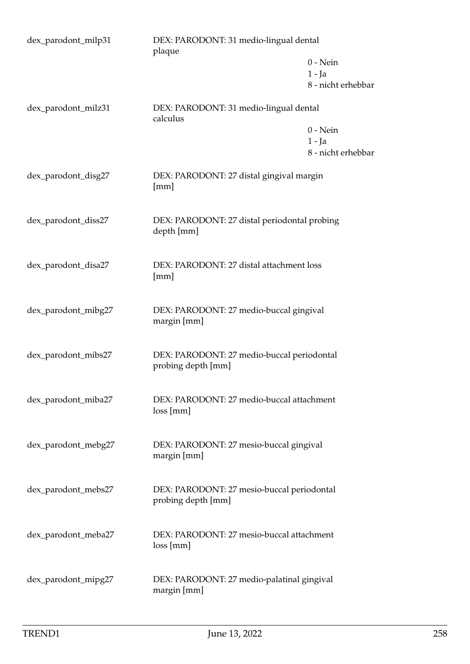| dex_parodont_milp31 | DEX: PARODONT: 31 medio-lingual dental<br>plaque                 |                                              |
|---------------------|------------------------------------------------------------------|----------------------------------------------|
|                     |                                                                  | $0$ - Nein<br>$1 - Ja$<br>8 - nicht erhebbar |
| dex_parodont_milz31 | DEX: PARODONT: 31 medio-lingual dental                           |                                              |
|                     | calculus                                                         | $0$ - Nein<br>$1 - Ja$<br>8 - nicht erhebbar |
| dex_parodont_disg27 | DEX: PARODONT: 27 distal gingival margin<br>[mm]                 |                                              |
| dex_parodont_diss27 | DEX: PARODONT: 27 distal periodontal probing<br>depth [mm]       |                                              |
| dex_parodont_disa27 | DEX: PARODONT: 27 distal attachment loss<br>[mm]                 |                                              |
| dex_parodont_mibg27 | DEX: PARODONT: 27 medio-buccal gingival<br>margin [mm]           |                                              |
| dex_parodont_mibs27 | DEX: PARODONT: 27 medio-buccal periodontal<br>probing depth [mm] |                                              |
| dex_parodont_miba27 | DEX: PARODONT: 27 medio-buccal attachment<br>loss[mm]            |                                              |
| dex_parodont_mebg27 | DEX: PARODONT: 27 mesio-buccal gingival<br>margin [mm]           |                                              |
| dex_parodont_mebs27 | DEX: PARODONT: 27 mesio-buccal periodontal<br>probing depth [mm] |                                              |
| dex_parodont_meba27 | DEX: PARODONT: 27 mesio-buccal attachment<br>loss [mm]           |                                              |
| dex_parodont_mipg27 | DEX: PARODONT: 27 medio-palatinal gingival<br>margin [mm]        |                                              |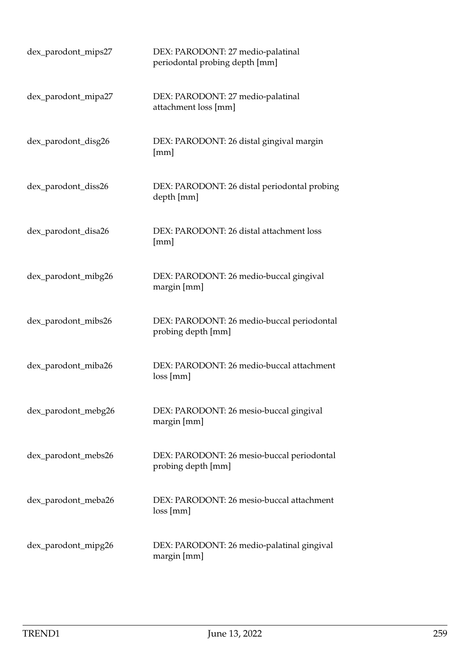| dex_parodont_mips27 | DEX: PARODONT: 27 medio-palatinal<br>periodontal probing depth [mm] |
|---------------------|---------------------------------------------------------------------|
| dex_parodont_mipa27 | DEX: PARODONT: 27 medio-palatinal<br>attachment loss [mm]           |
| dex_parodont_disg26 | DEX: PARODONT: 26 distal gingival margin<br>[mm]                    |
| dex_parodont_diss26 | DEX: PARODONT: 26 distal periodontal probing<br>depth [mm]          |
| dex_parodont_disa26 | DEX: PARODONT: 26 distal attachment loss<br>[mm]                    |
| dex_parodont_mibg26 | DEX: PARODONT: 26 medio-buccal gingival<br>margin [mm]              |
| dex_parodont_mibs26 | DEX: PARODONT: 26 medio-buccal periodontal<br>probing depth [mm]    |
| dex_parodont_miba26 | DEX: PARODONT: 26 medio-buccal attachment<br>loss[mm]               |
| dex_parodont_mebg26 | DEX: PARODONT: 26 mesio-buccal gingival<br>margin [mm]              |
| dex_parodont_mebs26 | DEX: PARODONT: 26 mesio-buccal periodontal<br>probing depth [mm]    |
| dex_parodont_meba26 | DEX: PARODONT: 26 mesio-buccal attachment<br>loss[mm]               |
| dex_parodont_mipg26 | DEX: PARODONT: 26 medio-palatinal gingival<br>margin [mm]           |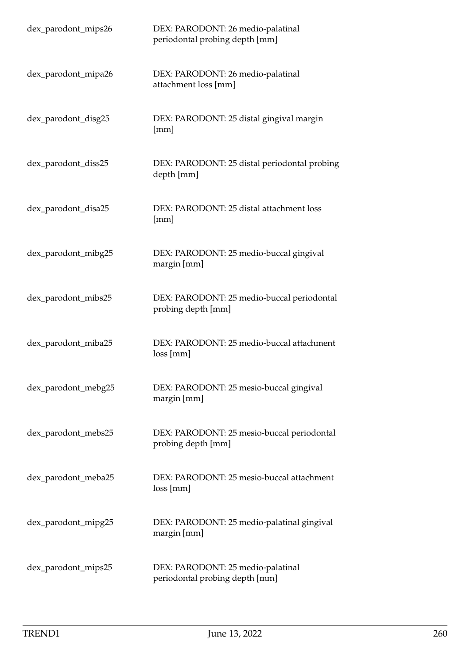| dex_parodont_mips26 | DEX: PARODONT: 26 medio-palatinal<br>periodontal probing depth [mm] |
|---------------------|---------------------------------------------------------------------|
| dex_parodont_mipa26 | DEX: PARODONT: 26 medio-palatinal<br>attachment loss [mm]           |
| dex_parodont_disg25 | DEX: PARODONT: 25 distal gingival margin<br>[mm]                    |
| dex_parodont_diss25 | DEX: PARODONT: 25 distal periodontal probing<br>depth [mm]          |
| dex_parodont_disa25 | DEX: PARODONT: 25 distal attachment loss<br>[mm]                    |
| dex_parodont_mibg25 | DEX: PARODONT: 25 medio-buccal gingival<br>margin [mm]              |
| dex_parodont_mibs25 | DEX: PARODONT: 25 medio-buccal periodontal<br>probing depth [mm]    |
| dex_parodont_miba25 | DEX: PARODONT: 25 medio-buccal attachment<br>loss[mm]               |
| dex_parodont_mebg25 | DEX: PARODONT: 25 mesio-buccal gingival<br>margin [mm]              |
| dex_parodont_mebs25 | DEX: PARODONT: 25 mesio-buccal periodontal<br>probing depth [mm]    |
| dex_parodont_meba25 | DEX: PARODONT: 25 mesio-buccal attachment<br>loss[mm]               |
| dex_parodont_mipg25 | DEX: PARODONT: 25 medio-palatinal gingival<br>margin [mm]           |
| dex_parodont_mips25 | DEX: PARODONT: 25 medio-palatinal<br>periodontal probing depth [mm] |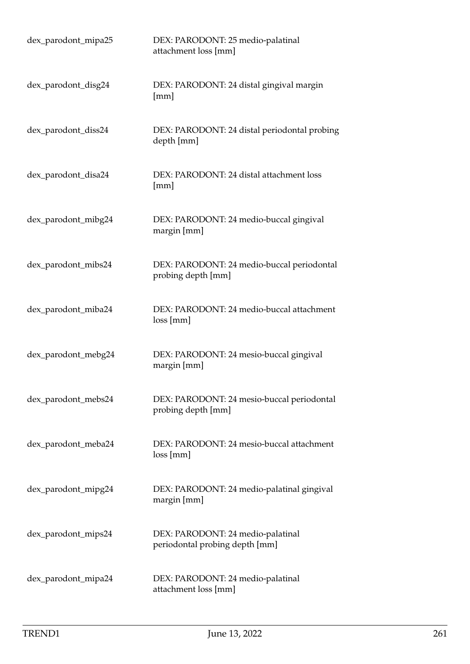| dex_parodont_mipa25 | DEX: PARODONT: 25 medio-palatinal<br>attachment loss [mm]           |
|---------------------|---------------------------------------------------------------------|
| dex_parodont_disg24 | DEX: PARODONT: 24 distal gingival margin<br>[mm]                    |
| dex_parodont_diss24 | DEX: PARODONT: 24 distal periodontal probing<br>depth [mm]          |
| dex_parodont_disa24 | DEX: PARODONT: 24 distal attachment loss<br>[mm]                    |
| dex_parodont_mibg24 | DEX: PARODONT: 24 medio-buccal gingival<br>margin [mm]              |
| dex_parodont_mibs24 | DEX: PARODONT: 24 medio-buccal periodontal<br>probing depth [mm]    |
| dex_parodont_miba24 | DEX: PARODONT: 24 medio-buccal attachment<br>loss[mm]               |
| dex_parodont_mebg24 | DEX: PARODONT: 24 mesio-buccal gingival<br>margin [mm]              |
| dex_parodont_mebs24 | DEX: PARODONT: 24 mesio-buccal periodontal<br>probing depth [mm]    |
| dex_parodont_meba24 | DEX: PARODONT: 24 mesio-buccal attachment<br>loss[mm]               |
| dex_parodont_mipg24 | DEX: PARODONT: 24 medio-palatinal gingival<br>margin [mm]           |
| dex_parodont_mips24 | DEX: PARODONT: 24 medio-palatinal<br>periodontal probing depth [mm] |
| dex_parodont_mipa24 | DEX: PARODONT: 24 medio-palatinal<br>attachment loss [mm]           |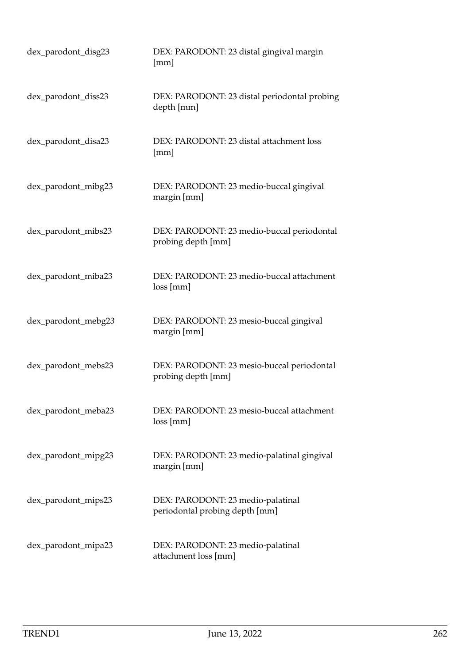| dex_parodont_disg23 | DEX: PARODONT: 23 distal gingival margin<br>[mm]                    |
|---------------------|---------------------------------------------------------------------|
| dex_parodont_diss23 | DEX: PARODONT: 23 distal periodontal probing<br>depth [mm]          |
| dex_parodont_disa23 | DEX: PARODONT: 23 distal attachment loss<br>[mm]                    |
| dex_parodont_mibg23 | DEX: PARODONT: 23 medio-buccal gingival<br>margin [mm]              |
| dex_parodont_mibs23 | DEX: PARODONT: 23 medio-buccal periodontal<br>probing depth [mm]    |
| dex_parodont_miba23 | DEX: PARODONT: 23 medio-buccal attachment<br>loss[mm]               |
| dex_parodont_mebg23 | DEX: PARODONT: 23 mesio-buccal gingival<br>margin [mm]              |
| dex_parodont_mebs23 | DEX: PARODONT: 23 mesio-buccal periodontal<br>probing depth [mm]    |
| dex_parodont_meba23 | DEX: PARODONT: 23 mesio-buccal attachment<br>loss[mm]               |
| dex_parodont_mipg23 | DEX: PARODONT: 23 medio-palatinal gingival<br>margin [mm]           |
| dex_parodont_mips23 | DEX: PARODONT: 23 medio-palatinal<br>periodontal probing depth [mm] |
| dex_parodont_mipa23 | DEX: PARODONT: 23 medio-palatinal<br>attachment loss [mm]           |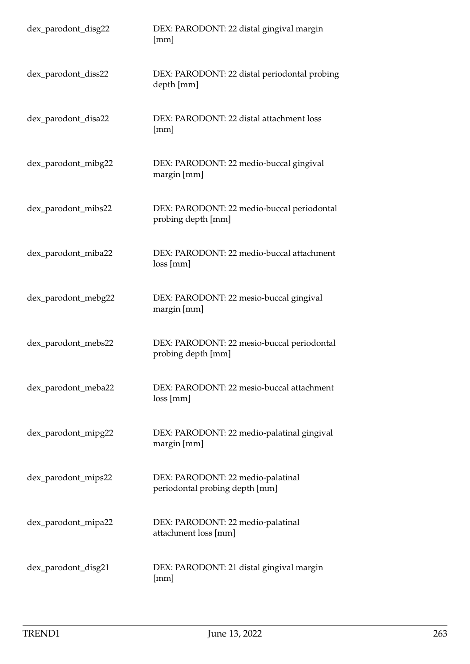| dex_parodont_disg22 | DEX: PARODONT: 22 distal gingival margin<br>[mm]                    |
|---------------------|---------------------------------------------------------------------|
| dex_parodont_diss22 | DEX: PARODONT: 22 distal periodontal probing<br>depth [mm]          |
| dex_parodont_disa22 | DEX: PARODONT: 22 distal attachment loss<br>[mm]                    |
| dex_parodont_mibg22 | DEX: PARODONT: 22 medio-buccal gingival<br>margin [mm]              |
| dex_parodont_mibs22 | DEX: PARODONT: 22 medio-buccal periodontal<br>probing depth [mm]    |
| dex_parodont_miba22 | DEX: PARODONT: 22 medio-buccal attachment<br>loss[mm]               |
| dex_parodont_mebg22 | DEX: PARODONT: 22 mesio-buccal gingival<br>margin [mm]              |
| dex_parodont_mebs22 | DEX: PARODONT: 22 mesio-buccal periodontal<br>probing depth [mm]    |
| dex_parodont_meba22 | DEX: PARODONT: 22 mesio-buccal attachment<br>loss[mm]               |
| dex_parodont_mipg22 | DEX: PARODONT: 22 medio-palatinal gingival<br>margin [mm]           |
| dex_parodont_mips22 | DEX: PARODONT: 22 medio-palatinal<br>periodontal probing depth [mm] |
| dex_parodont_mipa22 | DEX: PARODONT: 22 medio-palatinal<br>attachment loss [mm]           |
| dex_parodont_disg21 | DEX: PARODONT: 21 distal gingival margin<br>[mm]                    |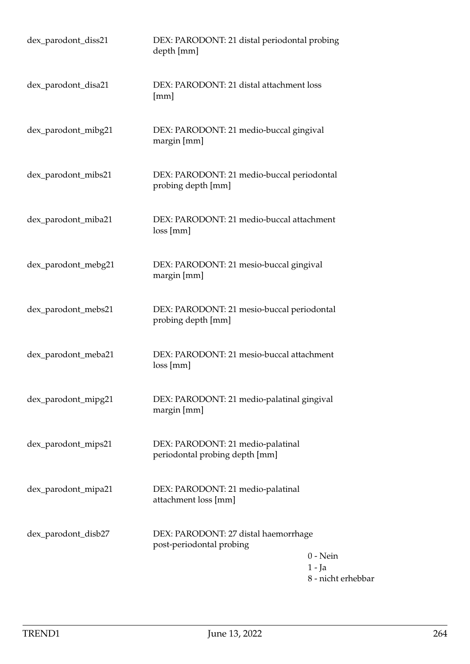| dex_parodont_diss21 | DEX: PARODONT: 21 distal periodontal probing<br>depth [mm]          |                                              |
|---------------------|---------------------------------------------------------------------|----------------------------------------------|
| dex_parodont_disa21 | DEX: PARODONT: 21 distal attachment loss<br>[mm]                    |                                              |
| dex_parodont_mibg21 | DEX: PARODONT: 21 medio-buccal gingival<br>margin [mm]              |                                              |
| dex_parodont_mibs21 | DEX: PARODONT: 21 medio-buccal periodontal<br>probing depth [mm]    |                                              |
| dex_parodont_miba21 | DEX: PARODONT: 21 medio-buccal attachment<br>loss[mm]               |                                              |
| dex_parodont_mebg21 | DEX: PARODONT: 21 mesio-buccal gingival<br>margin [mm]              |                                              |
| dex_parodont_mebs21 | DEX: PARODONT: 21 mesio-buccal periodontal<br>probing depth [mm]    |                                              |
| dex_parodont_meba21 | DEX: PARODONT: 21 mesio-buccal attachment<br>loss[mm]               |                                              |
| dex_parodont_mipg21 | DEX: PARODONT: 21 medio-palatinal gingival<br>margin [mm]           |                                              |
| dex_parodont_mips21 | DEX: PARODONT: 21 medio-palatinal<br>periodontal probing depth [mm] |                                              |
| dex_parodont_mipa21 | DEX: PARODONT: 21 medio-palatinal<br>attachment loss [mm]           |                                              |
| dex_parodont_disb27 | DEX: PARODONT: 27 distal haemorrhage<br>post-periodontal probing    | $0$ - Nein<br>$1 - Ja$<br>8 - nicht erhebbar |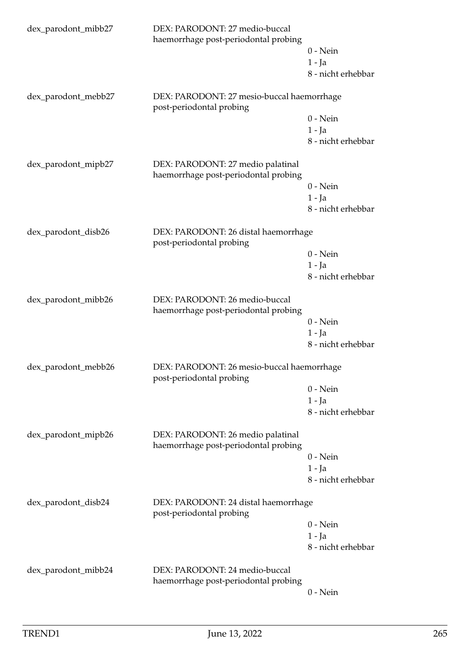| dex_parodont_mibb27 | DEX: PARODONT: 27 medio-buccal<br>haemorrhage post-periodontal probing    | $0$ - Nein<br>$1 - Ja$<br>8 - nicht erhebbar |
|---------------------|---------------------------------------------------------------------------|----------------------------------------------|
| dex_parodont_mebb27 | DEX: PARODONT: 27 mesio-buccal haemorrhage<br>post-periodontal probing    |                                              |
|                     |                                                                           | $0$ - Nein<br>$1 - Ja$<br>8 - nicht erhebbar |
| dex_parodont_mipb27 | DEX: PARODONT: 27 medio palatinal<br>haemorrhage post-periodontal probing |                                              |
|                     |                                                                           | $0$ - Nein<br>$1 - Ja$<br>8 - nicht erhebbar |
| dex_parodont_disb26 | DEX: PARODONT: 26 distal haemorrhage<br>post-periodontal probing          |                                              |
|                     |                                                                           | $0$ - Nein                                   |
|                     |                                                                           | $1 - Ja$                                     |
|                     |                                                                           | 8 - nicht erhebbar                           |
| dex_parodont_mibb26 | DEX: PARODONT: 26 medio-buccal<br>haemorrhage post-periodontal probing    |                                              |
|                     |                                                                           | $0$ - Nein                                   |
|                     |                                                                           | $1 - Ja$                                     |
|                     |                                                                           | 8 - nicht erhebbar                           |
| dex_parodont_mebb26 | DEX: PARODONT: 26 mesio-buccal haemorrhage<br>post-periodontal probing    |                                              |
|                     |                                                                           | $0$ - Nein                                   |
|                     |                                                                           | $1 - Ja$                                     |
|                     |                                                                           | 8 - nicht erhebbar                           |
| dex_parodont_mipb26 | DEX: PARODONT: 26 medio palatinal<br>haemorrhage post-periodontal probing |                                              |
|                     |                                                                           | $0$ - Nein                                   |
|                     |                                                                           | $1 - Ja$                                     |
|                     |                                                                           | 8 - nicht erhebbar                           |
| dex_parodont_disb24 | DEX: PARODONT: 24 distal haemorrhage<br>post-periodontal probing          |                                              |
|                     |                                                                           | $0$ - Nein                                   |
|                     |                                                                           | $1 - Ja$                                     |
|                     |                                                                           | 8 - nicht erhebbar                           |
| dex_parodont_mibb24 | DEX: PARODONT: 24 medio-buccal<br>haemorrhage post-periodontal probing    |                                              |
|                     |                                                                           | $0$ - Nein                                   |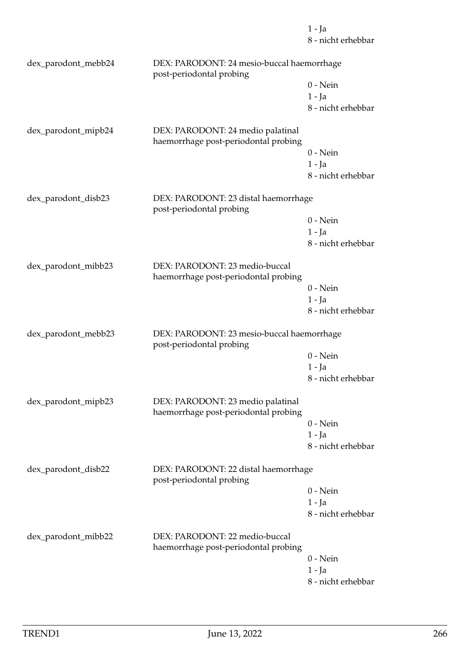8 - nicht erhebbar dex\_parodont\_mebb24 DEX: PARODONT: 24 mesio-buccal haemorrhage post-periodontal probing 0 - Nein 1 - Ja 8 - nicht erhebbar dex\_parodont\_mipb24 DEX: PARODONT: 24 medio palatinal haemorrhage post-periodontal probing 0 - Nein 1 - Ja 8 - nicht erhebbar dex\_parodont\_disb23 DEX: PARODONT: 23 distal haemorrhage post-periodontal probing 0 - Nein 1 - Ja 8 - nicht erhebbar dex\_parodont\_mibb23 DEX: PARODONT: 23 medio-buccal haemorrhage post-periodontal probing 0 - Nein 1 - Ja 8 - nicht erhebbar dex\_parodont\_mebb23 DEX: PARODONT: 23 mesio-buccal haemorrhage post-periodontal probing 0 - Nein 1 - Ja 8 - nicht erhebbar dex\_parodont\_mipb23 DEX: PARODONT: 23 medio palatinal haemorrhage post-periodontal probing 0 - Nein 1 - Ja 8 - nicht erhebbar dex\_parodont\_disb22 DEX: PARODONT: 22 distal haemorrhage post-periodontal probing 0 - Nein 1 - Ja 8 - nicht erhebbar dex\_parodont\_mibb22 DEX: PARODONT: 22 medio-buccal haemorrhage post-periodontal probing 0 - Nein 1 - Ja 8 - nicht erhebbar

1 - Ja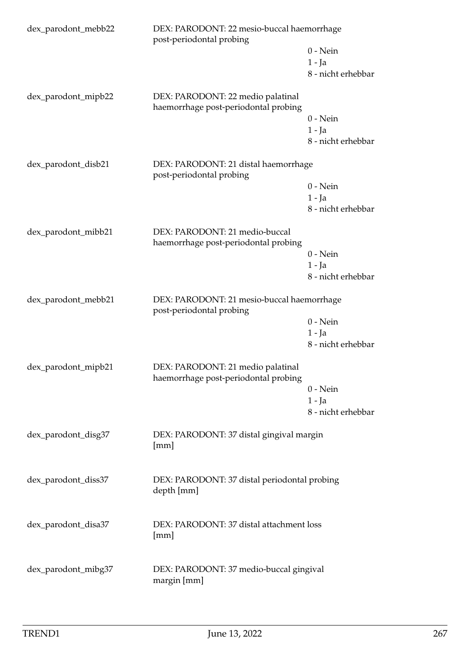| dex_parodont_mebb22 | DEX: PARODONT: 22 mesio-buccal haemorrhage<br>post-periodontal probing    |                    |
|---------------------|---------------------------------------------------------------------------|--------------------|
|                     |                                                                           | $0$ - Nein         |
|                     |                                                                           | $1 - Ja$           |
|                     |                                                                           | 8 - nicht erhebbar |
| dex_parodont_mipb22 | DEX: PARODONT: 22 medio palatinal<br>haemorrhage post-periodontal probing |                    |
|                     |                                                                           | $0$ - Nein         |
|                     |                                                                           | $1 - Ja$           |
|                     |                                                                           | 8 - nicht erhebbar |
| dex_parodont_disb21 | DEX: PARODONT: 21 distal haemorrhage<br>post-periodontal probing          |                    |
|                     |                                                                           | $0$ - Nein         |
|                     |                                                                           | $1 - Ja$           |
|                     |                                                                           | 8 - nicht erhebbar |
| dex_parodont_mibb21 | DEX: PARODONT: 21 medio-buccal                                            |                    |
|                     | haemorrhage post-periodontal probing                                      |                    |
|                     |                                                                           | $0$ - Nein         |
|                     |                                                                           | $1 - Ja$           |
|                     |                                                                           | 8 - nicht erhebbar |
| dex_parodont_mebb21 | DEX: PARODONT: 21 mesio-buccal haemorrhage<br>post-periodontal probing    |                    |
|                     |                                                                           | $0$ - Nein         |
|                     |                                                                           | $1 - Ja$           |
|                     |                                                                           | 8 - nicht erhebbar |
| dex_parodont_mipb21 | DEX: PARODONT: 21 medio palatinal<br>haemorrhage post-periodontal probing |                    |
|                     |                                                                           | $0$ - Nein         |
|                     |                                                                           | 1 - Ja             |
|                     |                                                                           | 8 - nicht erhebbar |
| dex_parodont_disg37 | DEX: PARODONT: 37 distal gingival margin<br>[mm]                          |                    |
| dex_parodont_diss37 | DEX: PARODONT: 37 distal periodontal probing                              |                    |
|                     | depth [mm]                                                                |                    |
| dex_parodont_disa37 | DEX: PARODONT: 37 distal attachment loss                                  |                    |
|                     | [mm]                                                                      |                    |
| dex_parodont_mibg37 | DEX: PARODONT: 37 medio-buccal gingival                                   |                    |
|                     | margin [mm]                                                               |                    |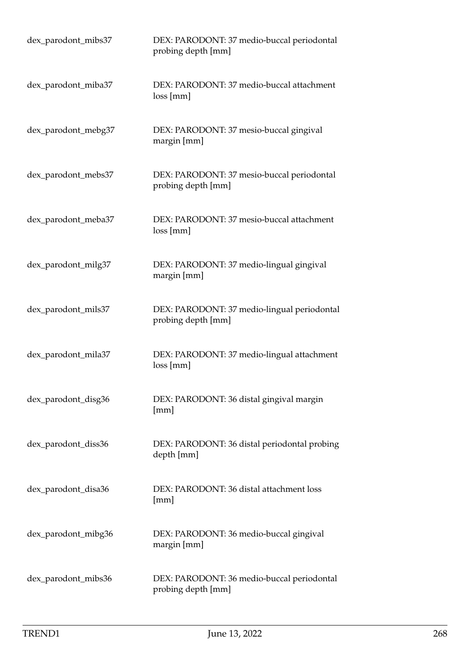| dex_parodont_mibs37 | DEX: PARODONT: 37 medio-buccal periodontal<br>probing depth [mm]  |
|---------------------|-------------------------------------------------------------------|
| dex_parodont_miba37 | DEX: PARODONT: 37 medio-buccal attachment<br>loss[mm]             |
| dex_parodont_mebg37 | DEX: PARODONT: 37 mesio-buccal gingival<br>margin [mm]            |
| dex_parodont_mebs37 | DEX: PARODONT: 37 mesio-buccal periodontal<br>probing depth [mm]  |
| dex_parodont_meba37 | DEX: PARODONT: 37 mesio-buccal attachment<br>loss [mm]            |
| dex_parodont_milg37 | DEX: PARODONT: 37 medio-lingual gingival<br>margin [mm]           |
| dex_parodont_mils37 | DEX: PARODONT: 37 medio-lingual periodontal<br>probing depth [mm] |
| dex_parodont_mila37 | DEX: PARODONT: 37 medio-lingual attachment<br>loss[mm]            |
| dex_parodont_disg36 | DEX: PARODONT: 36 distal gingival margin<br>[mm]                  |
| dex_parodont_diss36 | DEX: PARODONT: 36 distal periodontal probing<br>depth [mm]        |
| dex_parodont_disa36 | DEX: PARODONT: 36 distal attachment loss<br>[mm]                  |
| dex_parodont_mibg36 | DEX: PARODONT: 36 medio-buccal gingival<br>margin [mm]            |
| dex_parodont_mibs36 | DEX: PARODONT: 36 medio-buccal periodontal<br>probing depth [mm]  |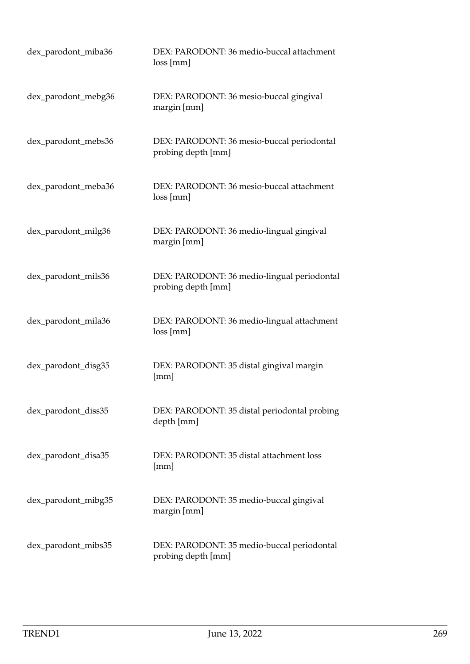| dex_parodont_miba36 | DEX: PARODONT: 36 medio-buccal attachment<br>loss[mm]             |
|---------------------|-------------------------------------------------------------------|
| dex_parodont_mebg36 | DEX: PARODONT: 36 mesio-buccal gingival<br>margin [mm]            |
| dex_parodont_mebs36 | DEX: PARODONT: 36 mesio-buccal periodontal<br>probing depth [mm]  |
| dex_parodont_meba36 | DEX: PARODONT: 36 mesio-buccal attachment<br>loss[mm]             |
| dex_parodont_milg36 | DEX: PARODONT: 36 medio-lingual gingival<br>margin [mm]           |
| dex_parodont_mils36 | DEX: PARODONT: 36 medio-lingual periodontal<br>probing depth [mm] |
| dex_parodont_mila36 | DEX: PARODONT: 36 medio-lingual attachment<br>loss[mm]            |
| dex_parodont_disg35 | DEX: PARODONT: 35 distal gingival margin<br>[mm]                  |
| dex_parodont_diss35 | DEX: PARODONT: 35 distal periodontal probing<br>depth [mm]        |
| dex_parodont_disa35 | DEX: PARODONT: 35 distal attachment loss<br>[mm]                  |
| dex_parodont_mibg35 | DEX: PARODONT: 35 medio-buccal gingival<br>margin [mm]            |
| dex_parodont_mibs35 | DEX: PARODONT: 35 medio-buccal periodontal<br>probing depth [mm]  |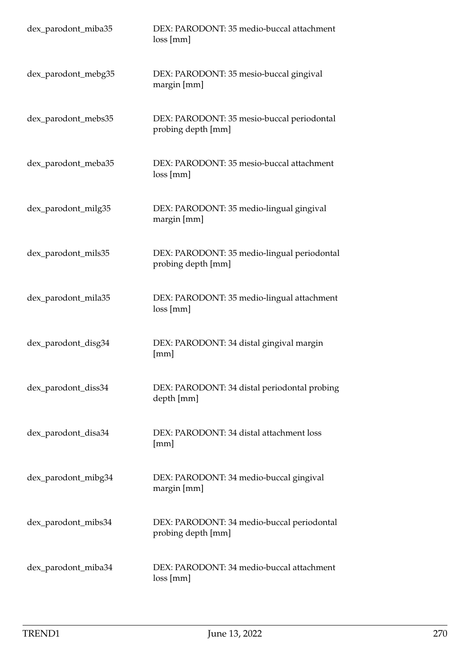| dex_parodont_miba35 | DEX: PARODONT: 35 medio-buccal attachment<br>loss[mm]             |
|---------------------|-------------------------------------------------------------------|
| dex_parodont_mebg35 | DEX: PARODONT: 35 mesio-buccal gingival<br>margin [mm]            |
| dex_parodont_mebs35 | DEX: PARODONT: 35 mesio-buccal periodontal<br>probing depth [mm]  |
| dex_parodont_meba35 | DEX: PARODONT: 35 mesio-buccal attachment<br>loss[mm]             |
| dex_parodont_milg35 | DEX: PARODONT: 35 medio-lingual gingival<br>margin [mm]           |
| dex_parodont_mils35 | DEX: PARODONT: 35 medio-lingual periodontal<br>probing depth [mm] |
| dex_parodont_mila35 | DEX: PARODONT: 35 medio-lingual attachment<br>loss[mm]            |
| dex_parodont_disg34 | DEX: PARODONT: 34 distal gingival margin<br>[mm]                  |
| dex_parodont_diss34 | DEX: PARODONT: 34 distal periodontal probing<br>depth [mm]        |
| dex_parodont_disa34 | DEX: PARODONT: 34 distal attachment loss<br>[mm]                  |
| dex_parodont_mibg34 | DEX: PARODONT: 34 medio-buccal gingival<br>margin [mm]            |
| dex_parodont_mibs34 | DEX: PARODONT: 34 medio-buccal periodontal<br>probing depth [mm]  |
| dex_parodont_miba34 | DEX: PARODONT: 34 medio-buccal attachment<br>loss[mm]             |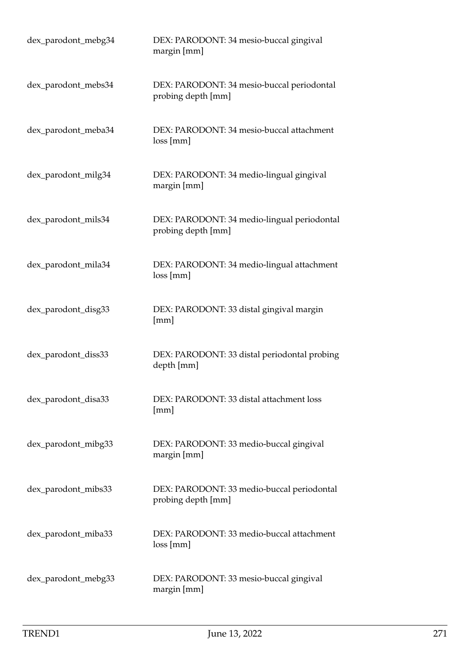| dex_parodont_mebg34 | DEX: PARODONT: 34 mesio-buccal gingival<br>margin [mm]            |
|---------------------|-------------------------------------------------------------------|
| dex_parodont_mebs34 | DEX: PARODONT: 34 mesio-buccal periodontal<br>probing depth [mm]  |
| dex_parodont_meba34 | DEX: PARODONT: 34 mesio-buccal attachment<br>loss[mm]             |
| dex_parodont_milg34 | DEX: PARODONT: 34 medio-lingual gingival<br>margin [mm]           |
| dex_parodont_mils34 | DEX: PARODONT: 34 medio-lingual periodontal<br>probing depth [mm] |
| dex_parodont_mila34 | DEX: PARODONT: 34 medio-lingual attachment<br>loss[mm]            |
| dex_parodont_disg33 | DEX: PARODONT: 33 distal gingival margin<br>[mm]                  |
| dex_parodont_diss33 | DEX: PARODONT: 33 distal periodontal probing<br>depth [mm]        |
| dex_parodont_disa33 | DEX: PARODONT: 33 distal attachment loss<br>[mm]                  |
| dex_parodont_mibg33 | DEX: PARODONT: 33 medio-buccal gingival<br>margin [mm]            |
| dex_parodont_mibs33 | DEX: PARODONT: 33 medio-buccal periodontal<br>probing depth [mm]  |
| dex_parodont_miba33 | DEX: PARODONT: 33 medio-buccal attachment<br>loss[mm]             |
| dex_parodont_mebg33 | DEX: PARODONT: 33 mesio-buccal gingival<br>margin [mm]            |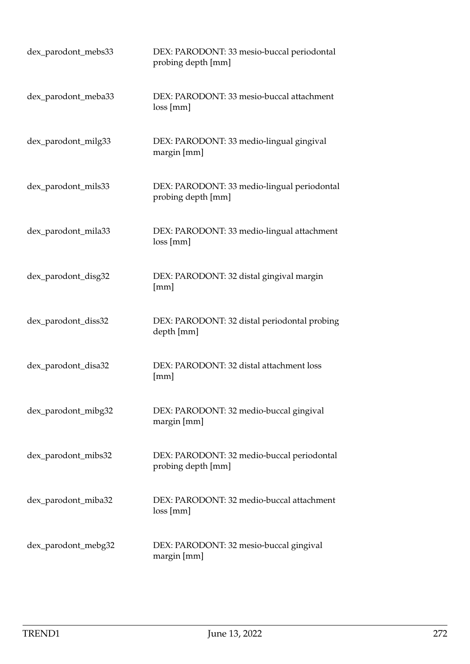| dex_parodont_mebs33 | DEX: PARODONT: 33 mesio-buccal periodontal<br>probing depth [mm]  |
|---------------------|-------------------------------------------------------------------|
| dex_parodont_meba33 | DEX: PARODONT: 33 mesio-buccal attachment<br>loss[mm]             |
| dex_parodont_milg33 | DEX: PARODONT: 33 medio-lingual gingival<br>margin [mm]           |
| dex_parodont_mils33 | DEX: PARODONT: 33 medio-lingual periodontal<br>probing depth [mm] |
| dex_parodont_mila33 | DEX: PARODONT: 33 medio-lingual attachment<br>loss[mm]            |
| dex_parodont_disg32 | DEX: PARODONT: 32 distal gingival margin<br>[mm]                  |
| dex_parodont_diss32 | DEX: PARODONT: 32 distal periodontal probing<br>depth [mm]        |
| dex_parodont_disa32 | DEX: PARODONT: 32 distal attachment loss<br>[mm]                  |
| dex_parodont_mibg32 | DEX: PARODONT: 32 medio-buccal gingival<br>margin [mm]            |
| dex_parodont_mibs32 | DEX: PARODONT: 32 medio-buccal periodontal<br>probing depth [mm]  |
| dex_parodont_miba32 | DEX: PARODONT: 32 medio-buccal attachment<br>loss[mm]             |
| dex_parodont_mebg32 | DEX: PARODONT: 32 mesio-buccal gingival<br>margin [mm]            |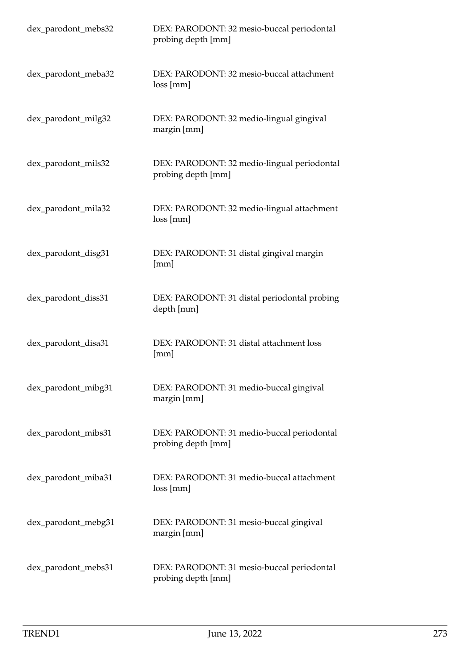| dex_parodont_mebs32 | DEX: PARODONT: 32 mesio-buccal periodontal<br>probing depth [mm]  |
|---------------------|-------------------------------------------------------------------|
| dex_parodont_meba32 | DEX: PARODONT: 32 mesio-buccal attachment<br>loss[mm]             |
| dex_parodont_milg32 | DEX: PARODONT: 32 medio-lingual gingival<br>margin [mm]           |
| dex_parodont_mils32 | DEX: PARODONT: 32 medio-lingual periodontal<br>probing depth [mm] |
| dex_parodont_mila32 | DEX: PARODONT: 32 medio-lingual attachment<br>loss[mm]            |
| dex_parodont_disg31 | DEX: PARODONT: 31 distal gingival margin<br>[mm]                  |
| dex_parodont_diss31 | DEX: PARODONT: 31 distal periodontal probing<br>depth [mm]        |
| dex_parodont_disa31 | DEX: PARODONT: 31 distal attachment loss<br>[mm]                  |
| dex_parodont_mibg31 | DEX: PARODONT: 31 medio-buccal gingival<br>margin [mm]            |
| dex_parodont_mibs31 | DEX: PARODONT: 31 medio-buccal periodontal<br>probing depth [mm]  |
| dex_parodont_miba31 | DEX: PARODONT: 31 medio-buccal attachment<br>loss[mm]             |
| dex_parodont_mebg31 | DEX: PARODONT: 31 mesio-buccal gingival<br>margin [mm]            |
| dex_parodont_mebs31 | DEX: PARODONT: 31 mesio-buccal periodontal<br>probing depth [mm]  |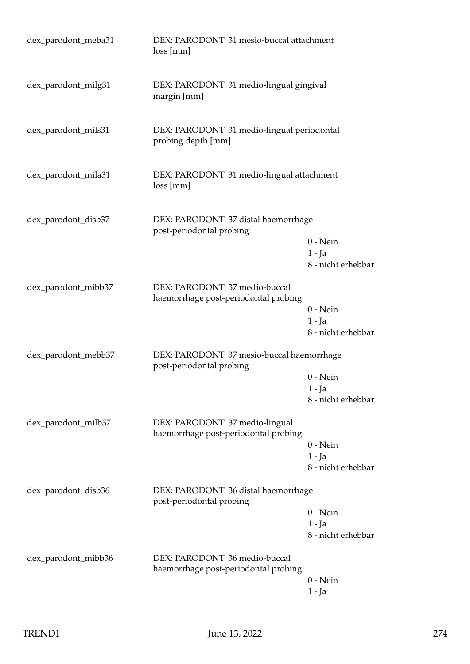| dex_parodont_meba31 | DEX: PARODONT: 31 mesio-buccal attachment<br>loss [mm]                  |                                              |
|---------------------|-------------------------------------------------------------------------|----------------------------------------------|
| dex_parodont_milg31 | DEX: PARODONT: 31 medio-lingual gingival<br>margin [mm]                 |                                              |
| dex_parodont_mils31 | DEX: PARODONT: 31 medio-lingual periodontal<br>probing depth [mm]       |                                              |
| dex_parodont_mila31 | DEX: PARODONT: 31 medio-lingual attachment<br>loss[mm]                  |                                              |
| dex_parodont_disb37 | DEX: PARODONT: 37 distal haemorrhage<br>post-periodontal probing        | $0$ - Nein<br>$1 - Ja$<br>8 - nicht erhebbar |
| dex_parodont_mibb37 | DEX: PARODONT: 37 medio-buccal<br>haemorrhage post-periodontal probing  | $0$ - Nein<br>$1 - Ja$<br>8 - nicht erhebbar |
| dex_parodont_mebb37 | DEX: PARODONT: 37 mesio-buccal haemorrhage<br>post-periodontal probing  | $0$ - Nein<br>$1 - Ja$<br>8 - nicht erhebbar |
| dex_parodont_milb37 | DEX: PARODONT: 37 medio-lingual<br>haemorrhage post-periodontal probing | $0$ - Nein<br>$1 - Ja$<br>8 - nicht erhebbar |
| dex_parodont_disb36 | DEX: PARODONT: 36 distal haemorrhage<br>post-periodontal probing        | $0$ - Nein<br>$1 - Ja$<br>8 - nicht erhebbar |
| dex_parodont_mibb36 | DEX: PARODONT: 36 medio-buccal<br>haemorrhage post-periodontal probing  | $0$ - Nein<br>1 - Ja                         |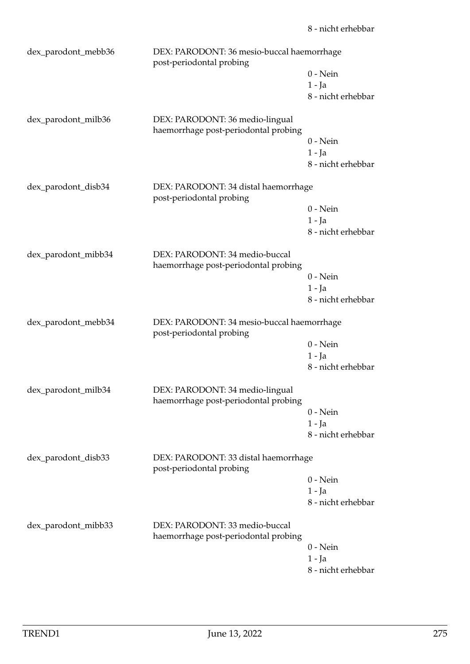| DEX: PARODONT: 36 mesio-buccal haemorrhage<br>dex_parodont_mebb36<br>post-periodontal probing |                                                                         |                    |
|-----------------------------------------------------------------------------------------------|-------------------------------------------------------------------------|--------------------|
|                                                                                               |                                                                         | $0$ - Nein         |
|                                                                                               |                                                                         | $1 - Ja$           |
|                                                                                               |                                                                         | 8 - nicht erhebbar |
| dex_parodont_milb36                                                                           | DEX: PARODONT: 36 medio-lingual<br>haemorrhage post-periodontal probing |                    |
|                                                                                               |                                                                         | $0 - Nein$         |
|                                                                                               |                                                                         | $1 - Ja$           |
|                                                                                               |                                                                         | 8 - nicht erhebbar |
| dex_parodont_disb34                                                                           | DEX: PARODONT: 34 distal haemorrhage<br>post-periodontal probing        |                    |
|                                                                                               |                                                                         | $0$ - Nein         |
|                                                                                               |                                                                         | $1 - Ja$           |
|                                                                                               |                                                                         | 8 - nicht erhebbar |
| dex_parodont_mibb34                                                                           | DEX: PARODONT: 34 medio-buccal<br>haemorrhage post-periodontal probing  |                    |
|                                                                                               |                                                                         | $0$ - Nein         |
|                                                                                               |                                                                         | $1 - Ja$           |
|                                                                                               |                                                                         | 8 - nicht erhebbar |
| dex_parodont_mebb34                                                                           | DEX: PARODONT: 34 mesio-buccal haemorrhage<br>post-periodontal probing  |                    |
|                                                                                               |                                                                         | $0$ - Nein         |
|                                                                                               |                                                                         | $1 - Ja$           |
|                                                                                               |                                                                         | 8 - nicht erhebbar |
| dex_parodont_milb34                                                                           | DEX: PARODONT: 34 medio-lingual<br>haemorrhage post-periodontal probing |                    |
|                                                                                               |                                                                         | $0$ - Nein         |
|                                                                                               |                                                                         | $1 - Ja$           |
|                                                                                               |                                                                         | 8 - nicht erhebbar |
| dex_parodont_disb33                                                                           | DEX: PARODONT: 33 distal haemorrhage<br>post-periodontal probing        |                    |
|                                                                                               |                                                                         | $0$ - Nein         |
|                                                                                               |                                                                         | $1 - Ja$           |
|                                                                                               |                                                                         | 8 - nicht erhebbar |
| dex_parodont_mibb33                                                                           | DEX: PARODONT: 33 medio-buccal<br>haemorrhage post-periodontal probing  |                    |
|                                                                                               |                                                                         | $0$ - Nein         |
|                                                                                               |                                                                         | $1 - Ja$           |
|                                                                                               |                                                                         | 8 - nicht erhebbar |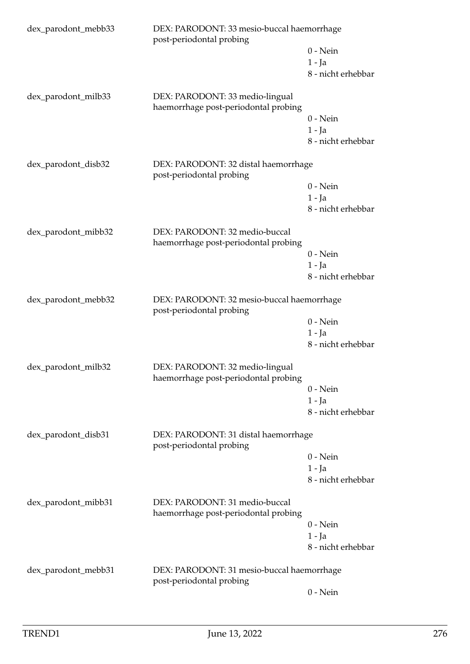| DEX: PARODONT: 33 mesio-buccal haemorrhage<br>dex_parodont_mebb33<br>post-periodontal probing |                                                                         |                    |
|-----------------------------------------------------------------------------------------------|-------------------------------------------------------------------------|--------------------|
|                                                                                               |                                                                         | $0 - Nein$         |
|                                                                                               |                                                                         | $1 - Ja$           |
|                                                                                               |                                                                         | 8 - nicht erhebbar |
| dex_parodont_milb33                                                                           | DEX: PARODONT: 33 medio-lingual<br>haemorrhage post-periodontal probing |                    |
|                                                                                               |                                                                         | $0$ - Nein         |
|                                                                                               |                                                                         | $1 - Ia$           |
|                                                                                               |                                                                         | 8 - nicht erhebbar |
| dex_parodont_disb32                                                                           | DEX: PARODONT: 32 distal haemorrhage<br>post-periodontal probing        |                    |
|                                                                                               |                                                                         | $0 - Nein$         |
|                                                                                               |                                                                         | $1 - Ja$           |
|                                                                                               |                                                                         | 8 - nicht erhebbar |
| dex_parodont_mibb32                                                                           | DEX: PARODONT: 32 medio-buccal<br>haemorrhage post-periodontal probing  |                    |
|                                                                                               |                                                                         | $0$ - Nein         |
|                                                                                               |                                                                         | $1 - Ja$           |
|                                                                                               |                                                                         | 8 - nicht erhebbar |
| dex_parodont_mebb32                                                                           | DEX: PARODONT: 32 mesio-buccal haemorrhage<br>post-periodontal probing  |                    |
|                                                                                               |                                                                         | $0$ - Nein         |
|                                                                                               |                                                                         | $1 - Ja$           |
|                                                                                               |                                                                         | 8 - nicht erhebbar |
| dex_parodont_milb32                                                                           | DEX: PARODONT: 32 medio-lingual<br>haemorrhage post-periodontal probing |                    |
|                                                                                               |                                                                         | $0$ - Nein         |
|                                                                                               |                                                                         | $1 - Ja$           |
|                                                                                               |                                                                         | 8 - nicht erhebbar |
| dex_parodont_disb31                                                                           | DEX: PARODONT: 31 distal haemorrhage<br>post-periodontal probing        |                    |
|                                                                                               |                                                                         | $0$ - Nein         |
|                                                                                               |                                                                         | $1 - Ja$           |
|                                                                                               |                                                                         | 8 - nicht erhebbar |
| dex_parodont_mibb31                                                                           | DEX: PARODONT: 31 medio-buccal<br>haemorrhage post-periodontal probing  |                    |
|                                                                                               |                                                                         | $0$ - Nein         |
|                                                                                               |                                                                         | $1 - Ja$           |
|                                                                                               |                                                                         | 8 - nicht erhebbar |
| dex_parodont_mebb31                                                                           | DEX: PARODONT: 31 mesio-buccal haemorrhage<br>post-periodontal probing  |                    |
|                                                                                               |                                                                         | $0$ - Nein         |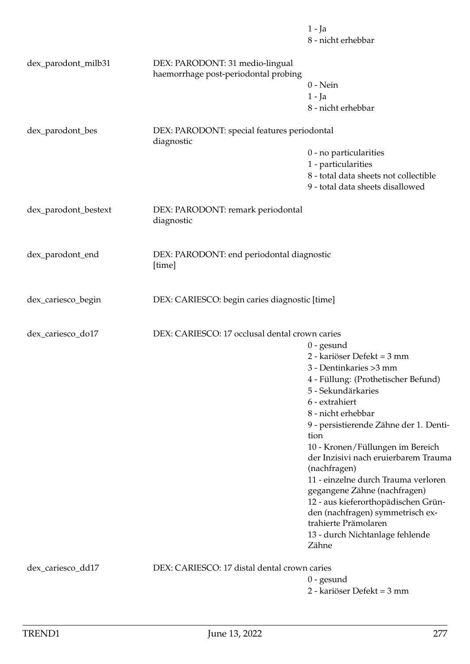|                      |                                                                         | 1 - Ja<br>8 - nicht erhebbar                                              |
|----------------------|-------------------------------------------------------------------------|---------------------------------------------------------------------------|
| dex_parodont_milb31  | DEX: PARODONT: 31 medio-lingual<br>haemorrhage post-periodontal probing |                                                                           |
|                      |                                                                         | $0$ - Nein                                                                |
|                      |                                                                         | $1 - Ja$                                                                  |
|                      |                                                                         | 8 - nicht erhebbar                                                        |
| dex_parodont_bes     | DEX: PARODONT: special features periodontal<br>diagnostic               |                                                                           |
|                      |                                                                         | 0 - no particularities                                                    |
|                      |                                                                         | 1 - particularities                                                       |
|                      |                                                                         | 8 - total data sheets not collectible<br>9 - total data sheets disallowed |
| dex_parodont_bestext | DEX: PARODONT: remark periodontal<br>diagnostic                         |                                                                           |
| dex_parodont_end     | DEX: PARODONT: end periodontal diagnostic<br>[time]                     |                                                                           |
| dex_cariesco_begin   | DEX: CARIESCO: begin caries diagnostic [time]                           |                                                                           |
| dex_cariesco_do17    | DEX: CARIESCO: 17 occlusal dental crown caries                          |                                                                           |
|                      |                                                                         | $0$ - gesund                                                              |
|                      |                                                                         | 2 - kariöser Defekt = 3 mm                                                |
|                      |                                                                         | 3 - Dentinkaries > 3 mm                                                   |
|                      |                                                                         | 4 - Füllung: (Prothetischer Befund)                                       |
|                      |                                                                         | 5 - Sekundärkaries                                                        |
|                      |                                                                         | 6 - extrahiert                                                            |
|                      |                                                                         | 8 - nicht erhebbar                                                        |
|                      |                                                                         | 9 - persistierende Zähne der 1. Denti-                                    |
|                      |                                                                         | tion                                                                      |
|                      |                                                                         | 10 - Kronen/Füllungen im Bereich<br>der Inzisivi nach eruierbarem Trauma  |
|                      |                                                                         | (nachfragen)                                                              |
|                      |                                                                         | 11 - einzelne durch Trauma verloren                                       |
|                      |                                                                         | gegangene Zähne (nachfragen)                                              |
|                      |                                                                         | 12 - aus kieferorthopädischen Grün-                                       |
|                      |                                                                         | den (nachfragen) symmetrisch ex-                                          |
|                      |                                                                         | trahierte Prämolaren                                                      |
|                      |                                                                         | 13 - durch Nichtanlage fehlende<br>Zähne                                  |
| dex_cariesco_dd17    | DEX: CARIESCO: 17 distal dental crown caries                            |                                                                           |
|                      |                                                                         | $0$ - gesund                                                              |
|                      |                                                                         | 2 - kariöser Defekt = 3 mm                                                |
|                      |                                                                         |                                                                           |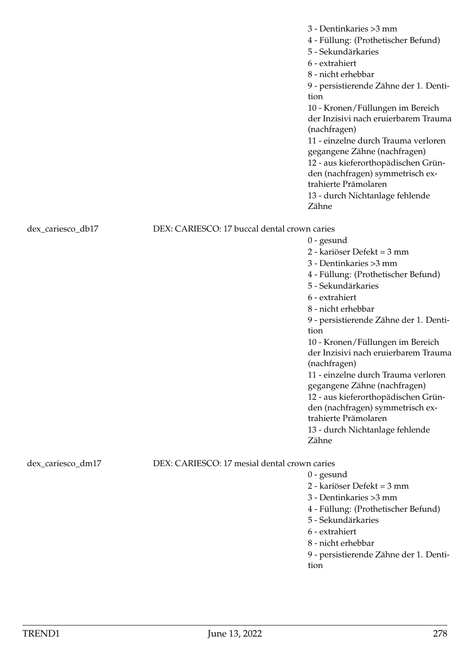|                   |                                              | 3 - Dentinkaries > 3 mm<br>4 - Füllung: (Prothetischer Befund)<br>5 - Sekundärkaries<br>6 - extrahiert<br>8 - nicht erhebbar<br>9 - persistierende Zähne der 1. Denti-<br>tion<br>10 - Kronen/Füllungen im Bereich<br>der Inzisivi nach eruierbarem Trauma<br>(nachfragen)<br>11 - einzelne durch Trauma verloren<br>gegangene Zähne (nachfragen)<br>12 - aus kieferorthopädischen Grün-<br>den (nachfragen) symmetrisch ex-<br>trahierte Prämolaren<br>13 - durch Nichtanlage fehlende<br>Zähne                                               |
|-------------------|----------------------------------------------|------------------------------------------------------------------------------------------------------------------------------------------------------------------------------------------------------------------------------------------------------------------------------------------------------------------------------------------------------------------------------------------------------------------------------------------------------------------------------------------------------------------------------------------------|
|                   |                                              |                                                                                                                                                                                                                                                                                                                                                                                                                                                                                                                                                |
| dex_cariesco_db17 | DEX: CARIESCO: 17 buccal dental crown caries | $0$ - gesund<br>2 - kariöser Defekt = 3 mm<br>3 - Dentinkaries > 3 mm<br>4 - Füllung: (Prothetischer Befund)<br>5 - Sekundärkaries<br>6 - extrahiert<br>8 - nicht erhebbar<br>9 - persistierende Zähne der 1. Denti-<br>tion<br>10 - Kronen/Füllungen im Bereich<br>der Inzisivi nach eruierbarem Trauma<br>(nachfragen)<br>11 - einzelne durch Trauma verloren<br>gegangene Zähne (nachfragen)<br>12 - aus kieferorthopädischen Grün-<br>den (nachfragen) symmetrisch ex-<br>trahierte Prämolaren<br>13 - durch Nichtanlage fehlende<br>Zähne |
|                   |                                              |                                                                                                                                                                                                                                                                                                                                                                                                                                                                                                                                                |
| dex_cariesco_dm17 | DEX: CARIESCO: 17 mesial dental crown caries | $0$ - gesund<br>2 - kariöser Defekt = 3 mm<br>3 - Dentinkaries > 3 mm<br>4 - Füllung: (Prothetischer Befund)<br>5 - Sekundärkaries<br>6 - extrahiert<br>8 - nicht erhebbar                                                                                                                                                                                                                                                                                                                                                                     |

9 - persistierende Zähne der 1. Dentition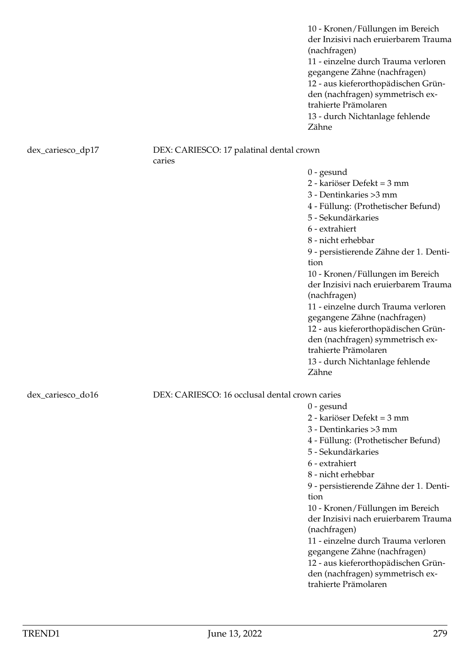10 - Kronen/Füllungen im Bereich der Inzisivi nach eruierbarem Trauma (nachfragen) 11 - einzelne durch Trauma verloren gegangene Zähne (nachfragen) 12 - aus kieferorthopädischen Gründen (nachfragen) symmetrisch extrahierte Prämolaren 13 - durch Nichtanlage fehlende Zähne

# dex\_cariesco\_dp17 DEX: CARIESCO: 17 palatinal dental crown

caries

0 - gesund

2 - kariöser Defekt = 3 mm

3 - Dentinkaries >3 mm

4 - Füllung: (Prothetischer Befund)

5 - Sekundärkaries

6 - extrahiert

8 - nicht erhebbar

9 - persistierende Zähne der 1. Dentition

10 - Kronen/Füllungen im Bereich der Inzisivi nach eruierbarem Trauma (nachfragen)

11 - einzelne durch Trauma verloren gegangene Zähne (nachfragen) 12 - aus kieferorthopädischen Gründen (nachfragen) symmetrisch extrahierte Prämolaren

13 - durch Nichtanlage fehlende Zähne

dex\_cariesco\_do16 DEX: CARIESCO: 16 occlusal dental crown caries

0 - gesund

2 - kariöser Defekt = 3 mm

3 - Dentinkaries >3 mm

4 - Füllung: (Prothetischer Befund)

5 - Sekundärkaries

6 - extrahiert

8 - nicht erhebbar

9 - persistierende Zähne der 1. Dentition

10 - Kronen/Füllungen im Bereich der Inzisivi nach eruierbarem Trauma (nachfragen)

11 - einzelne durch Trauma verloren gegangene Zähne (nachfragen) 12 - aus kieferorthopädischen Grün-

den (nachfragen) symmetrisch extrahierte Prämolaren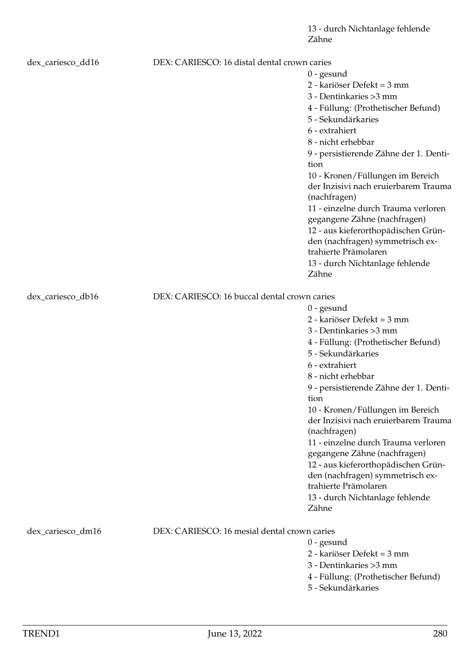13 - durch Nichtanlage fehlende Zähne

| dex_cariesco_dd16 | DEX: CARIESCO: 16 distal dental crown caries | $0$ - gesund<br>2 - kariöser Defekt = 3 mm<br>3 - Dentinkaries > 3 mm<br>4 - Füllung: (Prothetischer Befund)<br>5 - Sekundärkaries<br>6 - extrahiert<br>8 - nicht erhebbar<br>9 - persistierende Zähne der 1. Denti-<br>tion<br>10 - Kronen/Füllungen im Bereich<br>der Inzisivi nach eruierbarem Trauma<br>(nachfragen)<br>11 - einzelne durch Trauma verloren<br>gegangene Zähne (nachfragen)<br>12 - aus kieferorthopädischen Grün-<br>den (nachfragen) symmetrisch ex-<br>trahierte Prämolaren                                             |
|-------------------|----------------------------------------------|------------------------------------------------------------------------------------------------------------------------------------------------------------------------------------------------------------------------------------------------------------------------------------------------------------------------------------------------------------------------------------------------------------------------------------------------------------------------------------------------------------------------------------------------|
|                   |                                              | 13 - durch Nichtanlage fehlende<br>Zähne                                                                                                                                                                                                                                                                                                                                                                                                                                                                                                       |
| dex_cariesco_db16 | DEX: CARIESCO: 16 buccal dental crown caries | $0$ - gesund<br>2 - kariöser Defekt = 3 mm<br>3 - Dentinkaries > 3 mm<br>4 - Füllung: (Prothetischer Befund)<br>5 - Sekundärkaries<br>6 - extrahiert<br>8 - nicht erhebbar<br>9 - persistierende Zähne der 1. Denti-<br>tion<br>10 - Kronen/Füllungen im Bereich<br>der Inzisivi nach eruierbarem Trauma<br>(nachfragen)<br>11 - einzelne durch Trauma verloren<br>gegangene Zähne (nachfragen)<br>12 - aus kieferorthopädischen Grün-<br>den (nachfragen) symmetrisch ex-<br>trahierte Prämolaren<br>13 - durch Nichtanlage fehlende<br>Zähne |
| dex_cariesco_dm16 | DEX: CARIESCO: 16 mesial dental crown caries | $0$ - gesund<br>2 - kariöser Defekt = 3 mm<br>3 - Dentinkaries > 3 mm<br>4 - Füllung: (Prothetischer Befund)<br>5 - Sekundärkaries                                                                                                                                                                                                                                                                                                                                                                                                             |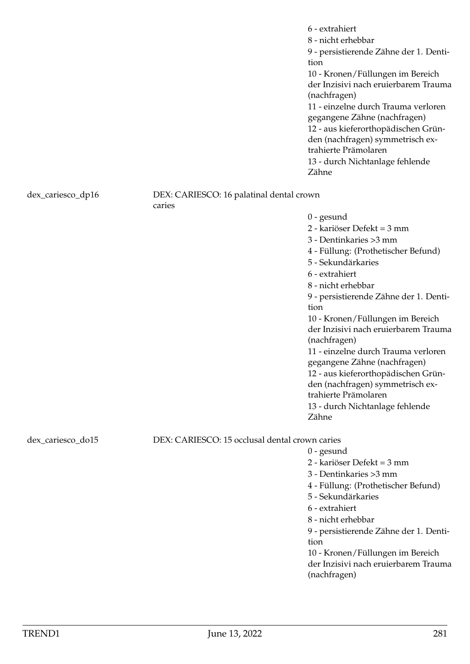|                   |                                                    | 6 - extrahiert<br>8 - nicht erhebbar<br>9 - persistierende Zähne der 1. Denti-<br>tion<br>10 - Kronen/Füllungen im Bereich<br>der Inzisivi nach eruierbarem Trauma<br>(nachfragen)<br>11 - einzelne durch Trauma verloren<br>gegangene Zähne (nachfragen)<br>12 - aus kieferorthopädischen Grün-<br>den (nachfragen) symmetrisch ex-<br>trahierte Prämolaren<br>13 - durch Nichtanlage fehlende<br>Zähne                                                                                                                                       |
|-------------------|----------------------------------------------------|------------------------------------------------------------------------------------------------------------------------------------------------------------------------------------------------------------------------------------------------------------------------------------------------------------------------------------------------------------------------------------------------------------------------------------------------------------------------------------------------------------------------------------------------|
| dex_cariesco_dp16 | DEX: CARIESCO: 16 palatinal dental crown<br>caries |                                                                                                                                                                                                                                                                                                                                                                                                                                                                                                                                                |
|                   |                                                    | $0$ - gesund<br>2 - kariöser Defekt = 3 mm<br>3 - Dentinkaries > 3 mm<br>4 - Füllung: (Prothetischer Befund)<br>5 - Sekundärkaries<br>6 - extrahiert<br>8 - nicht erhebbar<br>9 - persistierende Zähne der 1. Denti-<br>tion<br>10 - Kronen/Füllungen im Bereich<br>der Inzisivi nach eruierbarem Trauma<br>(nachfragen)<br>11 - einzelne durch Trauma verloren<br>gegangene Zähne (nachfragen)<br>12 - aus kieferorthopädischen Grün-<br>den (nachfragen) symmetrisch ex-<br>trahierte Prämolaren<br>13 - durch Nichtanlage fehlende<br>Zähne |
| dex_cariesco_do15 | DEX: CARIESCO: 15 occlusal dental crown caries     | $0$ - gesund<br>2 - kariöser Defekt = 3 mm<br>3 - Dentinkaries > 3 mm<br>4 - Füllung: (Prothetischer Befund)<br>5 - Sekundärkaries<br>6 - extrahiert<br>8 - nicht erhebbar<br>9 - persistierende Zähne der 1. Denti-<br>tion<br>10 - Kronen/Füllungen im Bereich<br>der Inzisivi nach eruierbarem Trauma<br>(nachfragen)                                                                                                                                                                                                                       |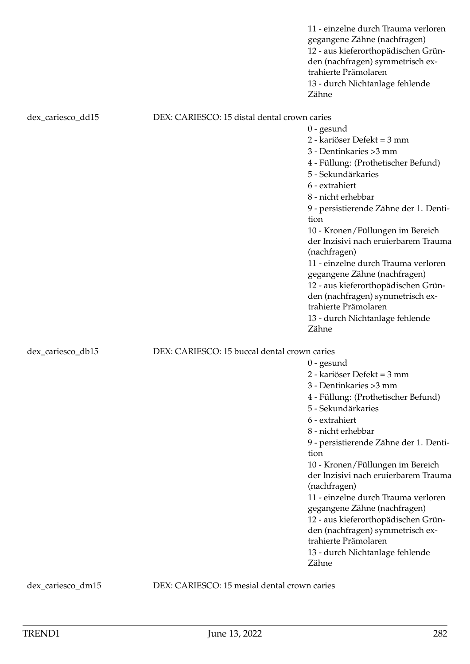|                   |                                              | 11 - einzelne durch Trauma verloren<br>gegangene Zähne (nachfragen)<br>12 - aus kieferorthopädischen Grün-<br>den (nachfragen) symmetrisch ex-<br>trahierte Prämolaren<br>13 - durch Nichtanlage fehlende<br>Zähne                                                                                                                                                                                                                                                                                                                             |
|-------------------|----------------------------------------------|------------------------------------------------------------------------------------------------------------------------------------------------------------------------------------------------------------------------------------------------------------------------------------------------------------------------------------------------------------------------------------------------------------------------------------------------------------------------------------------------------------------------------------------------|
| dex_cariesco_dd15 | DEX: CARIESCO: 15 distal dental crown caries |                                                                                                                                                                                                                                                                                                                                                                                                                                                                                                                                                |
|                   |                                              | $0$ - gesund<br>2 - kariöser Defekt = 3 mm<br>3 - Dentinkaries > 3 mm<br>4 - Füllung: (Prothetischer Befund)<br>5 - Sekundärkaries<br>6 - extrahiert<br>8 - nicht erhebbar<br>9 - persistierende Zähne der 1. Denti-<br>tion<br>10 - Kronen/Füllungen im Bereich<br>der Inzisivi nach eruierbarem Trauma<br>(nachfragen)<br>11 - einzelne durch Trauma verloren<br>gegangene Zähne (nachfragen)<br>12 - aus kieferorthopädischen Grün-<br>den (nachfragen) symmetrisch ex-<br>trahierte Prämolaren<br>13 - durch Nichtanlage fehlende<br>Zähne |
| dex_cariesco_db15 | DEX: CARIESCO: 15 buccal dental crown caries | $0$ - gesund<br>2 - kariöser Defekt = 3 mm<br>3 - Dentinkaries > 3 mm<br>4 - Füllung: (Prothetischer Befund)<br>5 - Sekundärkaries<br>6 - extrahiert<br>8 - nicht erhebbar<br>9 - persistierende Zähne der 1. Denti-<br>tion<br>10 - Kronen/Füllungen im Bereich<br>der Inzisivi nach eruierbarem Trauma<br>(nachfragen)<br>11 - einzelne durch Trauma verloren<br>gegangene Zähne (nachfragen)<br>12 - aus kieferorthopädischen Grün-<br>den (nachfragen) symmetrisch ex-<br>trahierte Prämolaren<br>13 - durch Nichtanlage fehlende<br>Zähne |

dex\_cariesco\_dm15 DEX: CARIESCO: 15 mesial dental crown caries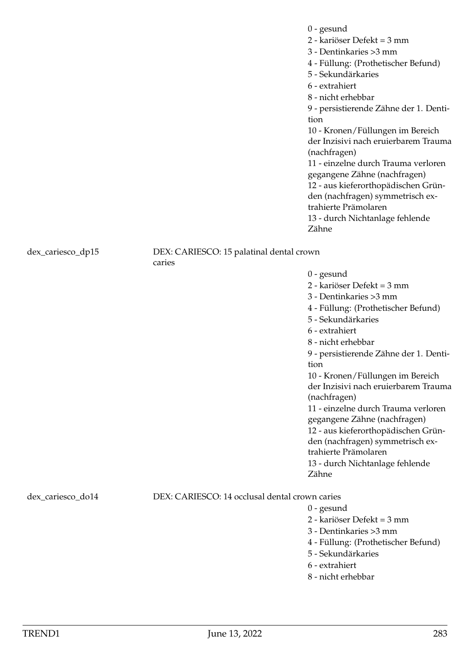dex\_cariesco\_dp15 DEX: CARIESCO: 15 palatinal dental crown caries

> 9 - persistierende Zähne der 1. Dentition 10 - Kronen/Füllungen im Bereich der Inzisivi nach eruierbarem Trauma (nachfragen) 11 - einzelne durch Trauma verloren gegangene Zähne (nachfragen)

4 - Füllung: (Prothetischer Befund)

12 - aus kieferorthopädischen Gründen (nachfragen) symmetrisch extrahierte Prämolaren

13 - durch Nichtanlage fehlende Zähne

### dex\_cariesco\_do14 DEX: CARIESCO: 14 occlusal dental crown caries

0 - gesund

0 - gesund

tion

Zähne

0 - gesund

(nachfragen)

trahierte Prämolaren

2 - kariöser Defekt = 3 mm 3 - Dentinkaries >3 mm

5 - Sekundärkaries 6 - extrahiert 8 - nicht erhebbar

4 - Füllung: (Prothetischer Befund)

9 - persistierende Zähne der 1. Denti-

10 - Kronen/Füllungen im Bereich der Inzisivi nach eruierbarem Trauma

11 - einzelne durch Trauma verloren gegangene Zähne (nachfragen) 12 - aus kieferorthopädischen Gründen (nachfragen) symmetrisch ex-

13 - durch Nichtanlage fehlende

2 - kariöser Defekt = 3 mm 3 - Dentinkaries >3 mm

5 - Sekundärkaries

6 - extrahiert 8 - nicht erhebbar

2 - kariöser Defekt = 3 mm

3 - Dentinkaries >3 mm

4 - Füllung: (Prothetischer Befund)

5 - Sekundärkaries

6 - extrahiert

8 - nicht erhebbar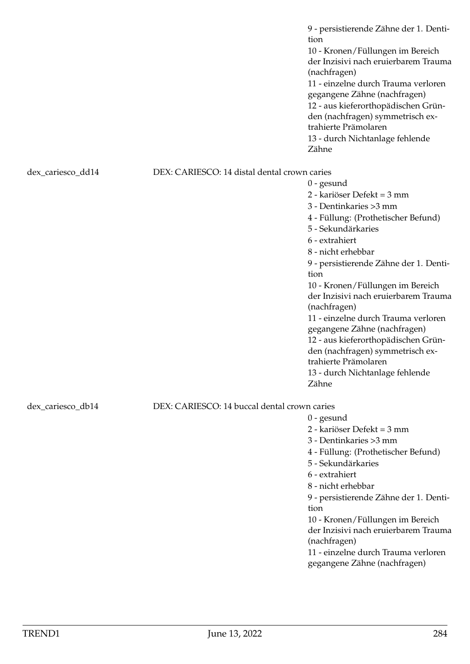9 - persistierende Zähne der 1. Dentition 10 - Kronen/Füllungen im Bereich der Inzisivi nach eruierbarem Trauma (nachfragen) 11 - einzelne durch Trauma verloren gegangene Zähne (nachfragen) 12 - aus kieferorthopädischen Gründen (nachfragen) symmetrisch extrahierte Prämolaren 13 - durch Nichtanlage fehlende Zähne dex cariesco dd14 DEX: CARIESCO: 14 distal dental crown caries 0 - gesund 2 - kariöser Defekt = 3 mm 3 - Dentinkaries >3 mm 4 - Füllung: (Prothetischer Befund) 5 - Sekundärkaries 6 - extrahiert 8 - nicht erhebbar 9 - persistierende Zähne der 1. Dentition 10 - Kronen/Füllungen im Bereich der Inzisivi nach eruierbarem Trauma (nachfragen) 11 - einzelne durch Trauma verloren gegangene Zähne (nachfragen)

12 - aus kieferorthopädischen Gründen (nachfragen) symmetrisch extrahierte Prämolaren 13 - durch Nichtanlage fehlende Zähne

## dex\_cariesco\_db14 DEX: CARIESCO: 14 buccal dental crown caries

0 - gesund 2 - kariöser Defekt = 3 mm 3 - Dentinkaries >3 mm 4 - Füllung: (Prothetischer Befund) 5 - Sekundärkaries 6 - extrahiert 8 - nicht erhebbar 9 - persistierende Zähne der 1. Dentition 10 - Kronen/Füllungen im Bereich der Inzisivi nach eruierbarem Trauma (nachfragen)

11 - einzelne durch Trauma verloren gegangene Zähne (nachfragen)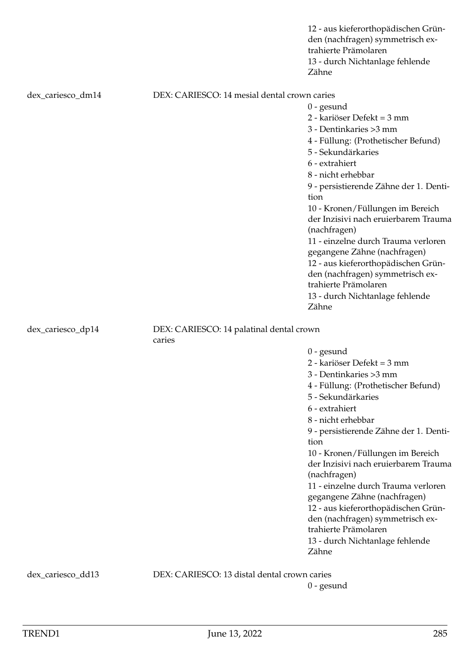|                   |                                                    | 12 - aus kieferorthopädischen Grün-<br>den (nachfragen) symmetrisch ex-<br>trahierte Prämolaren<br>13 - durch Nichtanlage fehlende<br>Zähne |  |
|-------------------|----------------------------------------------------|---------------------------------------------------------------------------------------------------------------------------------------------|--|
| dex_cariesco_dm14 | DEX: CARIESCO: 14 mesial dental crown caries       |                                                                                                                                             |  |
|                   |                                                    | $0$ - gesund                                                                                                                                |  |
|                   |                                                    | 2 - kariöser Defekt = 3 mm                                                                                                                  |  |
|                   |                                                    | 3 - Dentinkaries > 3 mm                                                                                                                     |  |
|                   |                                                    | 4 - Füllung: (Prothetischer Befund)                                                                                                         |  |
|                   |                                                    | 5 - Sekundärkaries                                                                                                                          |  |
|                   |                                                    | 6 - extrahiert                                                                                                                              |  |
|                   |                                                    | 8 - nicht erhebbar                                                                                                                          |  |
|                   |                                                    | 9 - persistierende Zähne der 1. Denti-<br>tion                                                                                              |  |
|                   |                                                    | 10 - Kronen/Füllungen im Bereich                                                                                                            |  |
|                   |                                                    | der Inzisivi nach eruierbarem Trauma<br>(nachfragen)                                                                                        |  |
|                   |                                                    | 11 - einzelne durch Trauma verloren                                                                                                         |  |
|                   |                                                    | gegangene Zähne (nachfragen)                                                                                                                |  |
|                   |                                                    | 12 - aus kieferorthopädischen Grün-                                                                                                         |  |
|                   |                                                    | den (nachfragen) symmetrisch ex-                                                                                                            |  |
|                   |                                                    | trahierte Prämolaren                                                                                                                        |  |
|                   |                                                    | 13 - durch Nichtanlage fehlende                                                                                                             |  |
|                   |                                                    | Zähne                                                                                                                                       |  |
| dex_cariesco_dp14 | DEX: CARIESCO: 14 palatinal dental crown<br>caries |                                                                                                                                             |  |
|                   |                                                    | $0$ - gesund                                                                                                                                |  |
|                   |                                                    | 2 - kariöser Defekt = 3 mm                                                                                                                  |  |
|                   |                                                    | 3 - Dentinkaries > 3 mm                                                                                                                     |  |
|                   |                                                    | 4 - Füllung: (Prothetischer Befund)                                                                                                         |  |
|                   |                                                    | 5 - Sekundärkaries                                                                                                                          |  |
|                   |                                                    | 6 - extrahiert                                                                                                                              |  |
|                   |                                                    | 8 - nicht erhebbar                                                                                                                          |  |
|                   |                                                    | 9 - persistierende Zähne der 1. Denti-<br>tion                                                                                              |  |
|                   |                                                    | 10 - Kronen/Füllungen im Bereich<br>der Inzisivi nach eruierbarem Trauma                                                                    |  |
|                   |                                                    | (nachfragen)                                                                                                                                |  |
|                   |                                                    | 11 - einzelne durch Trauma verloren                                                                                                         |  |
|                   |                                                    | gegangene Zähne (nachfragen)                                                                                                                |  |
|                   |                                                    | 12 - aus kieferorthopädischen Grün-                                                                                                         |  |
|                   |                                                    | den (nachfragen) symmetrisch ex-                                                                                                            |  |
|                   |                                                    | trahierte Prämolaren                                                                                                                        |  |
|                   |                                                    | 13 - durch Nichtanlage fehlende                                                                                                             |  |
|                   |                                                    | Zähne                                                                                                                                       |  |
| dex_cariesco_dd13 | DEX: CARIESCO: 13 distal dental crown caries       |                                                                                                                                             |  |
|                   |                                                    | $0$ - gesund                                                                                                                                |  |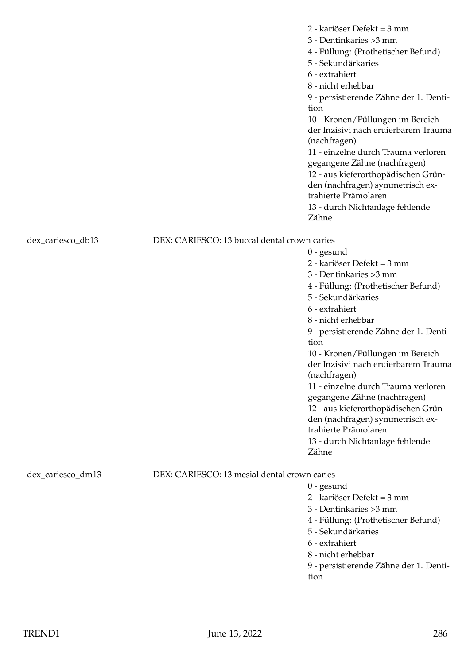2 - kariöser Defekt = 3 mm 3 - Dentinkaries >3 mm 4 - Füllung: (Prothetischer Befund) 5 - Sekundärkaries 6 - extrahiert 8 - nicht erhebbar 9 - persistierende Zähne der 1. Dentition 10 - Kronen/Füllungen im Bereich der Inzisivi nach eruierbarem Trauma (nachfragen) 11 - einzelne durch Trauma verloren gegangene Zähne (nachfragen) 12 - aus kieferorthopädischen Gründen (nachfragen) symmetrisch extrahierte Prämolaren 13 - durch Nichtanlage fehlende Zähne

dex\_cariesco\_db13 DEX: CARIESCO: 13 buccal dental crown caries

0 - gesund 2 - kariöser Defekt = 3 mm 3 - Dentinkaries >3 mm 4 - Füllung: (Prothetischer Befund) 5 - Sekundärkaries 6 - extrahiert 8 - nicht erhebbar 9 - persistierende Zähne der 1. Dentition 10 - Kronen/Füllungen im Bereich der Inzisivi nach eruierbarem Trauma (nachfragen) 11 - einzelne durch Trauma verloren gegangene Zähne (nachfragen) 12 - aus kieferorthopädischen Gründen (nachfragen) symmetrisch extrahierte Prämolaren 13 - durch Nichtanlage fehlende Zähne

dex\_cariesco\_dm13 DEX: CARIESCO: 13 mesial dental crown caries

- 0 gesund 2 - kariöser Defekt = 3 mm 3 - Dentinkaries >3 mm 4 - Füllung: (Prothetischer Befund) 5 - Sekundärkaries 6 - extrahiert 8 - nicht erhebbar
- 9 persistierende Zähne der 1. Dentition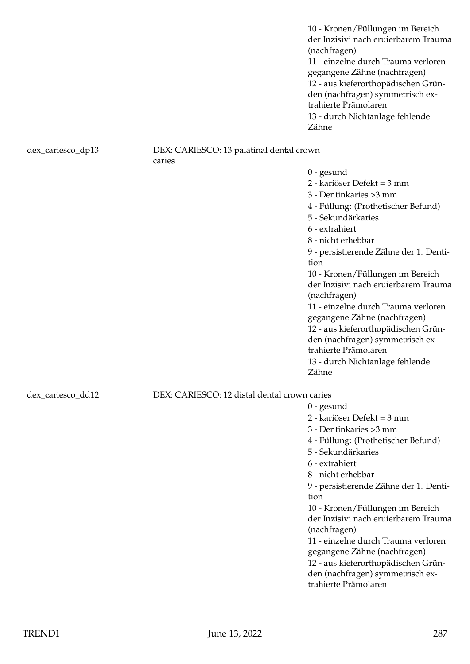10 - Kronen/Füllungen im Bereich der Inzisivi nach eruierbarem Trauma (nachfragen) 11 - einzelne durch Trauma verloren gegangene Zähne (nachfragen) 12 - aus kieferorthopädischen Gründen (nachfragen) symmetrisch extrahierte Prämolaren 13 - durch Nichtanlage fehlende Zähne

# dex\_cariesco\_dp13 DEX: CARIESCO: 13 palatinal dental crown

caries

0 - gesund

- 2 kariöser Defekt = 3 mm
- 3 Dentinkaries >3 mm
- 4 Füllung: (Prothetischer Befund)
- 5 Sekundärkaries
- 6 extrahiert

0 - gesund

8 - nicht erhebbar

9 - persistierende Zähne der 1. Dentition

10 - Kronen/Füllungen im Bereich der Inzisivi nach eruierbarem Trauma (nachfragen)

11 - einzelne durch Trauma verloren gegangene Zähne (nachfragen) 12 - aus kieferorthopädischen Gründen (nachfragen) symmetrisch extrahierte Prämolaren

13 - durch Nichtanlage fehlende Zähne

2 - kariöser Defekt = 3 mm 3 - Dentinkaries >3 mm

5 - Sekundärkaries

6 - extrahiert 8 - nicht erhebbar

(nachfragen)

trahierte Prämolaren

tion

4 - Füllung: (Prothetischer Befund)

9 - persistierende Zähne der 1. Denti-

10 - Kronen/Füllungen im Bereich der Inzisivi nach eruierbarem Trauma

11 - einzelne durch Trauma verloren gegangene Zähne (nachfragen) 12 - aus kieferorthopädischen Gründen (nachfragen) symmetrisch ex-

dex\_cariesco\_dd12 DEX: CARIESCO: 12 distal dental crown caries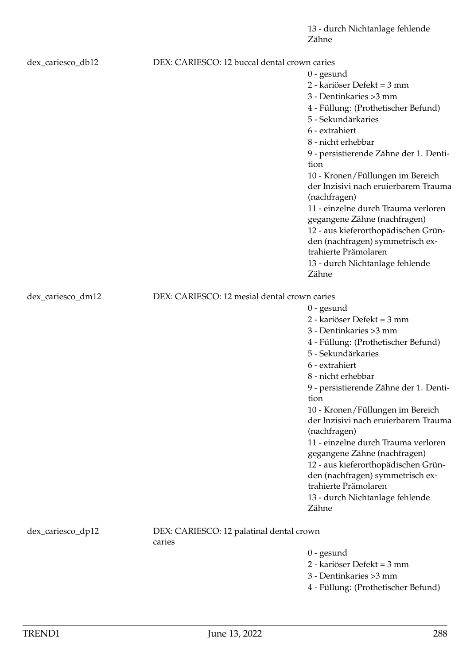13 - durch Nichtanlage fehlende Zähne

| dex_cariesco_db12 | DEX: CARIESCO: 12 buccal dental crown caries       |                                                                         |
|-------------------|----------------------------------------------------|-------------------------------------------------------------------------|
|                   |                                                    | $0$ - gesund                                                            |
|                   |                                                    | 2 - kariöser Defekt = 3 mm                                              |
|                   |                                                    | 3 - Dentinkaries > 3 mm                                                 |
|                   |                                                    | 4 - Füllung: (Prothetischer Befund)                                     |
|                   |                                                    | 5 - Sekundärkaries                                                      |
|                   |                                                    | 6 - extrahiert                                                          |
|                   |                                                    | 8 - nicht erhebbar                                                      |
|                   |                                                    | 9 - persistierende Zähne der 1. Denti-<br>tion                          |
|                   |                                                    | 10 - Kronen/Füllungen im Bereich                                        |
|                   |                                                    | der Inzisivi nach eruierbarem Trauma                                    |
|                   |                                                    | (nachfragen)                                                            |
|                   |                                                    | 11 - einzelne durch Trauma verloren                                     |
|                   |                                                    | gegangene Zähne (nachfragen)                                            |
|                   |                                                    | 12 - aus kieferorthopädischen Grün-                                     |
|                   |                                                    | den (nachfragen) symmetrisch ex-<br>trahierte Prämolaren                |
|                   |                                                    | 13 - durch Nichtanlage fehlende                                         |
|                   |                                                    | Zähne                                                                   |
|                   |                                                    |                                                                         |
| dex_cariesco_dm12 | DEX: CARIESCO: 12 mesial dental crown caries       |                                                                         |
|                   |                                                    | $0$ - gesund                                                            |
|                   |                                                    | 2 - kariöser Defekt = 3 mm                                              |
|                   |                                                    | 3 - Dentinkaries > 3 mm                                                 |
|                   |                                                    | 4 - Füllung: (Prothetischer Befund)                                     |
|                   |                                                    | 5 - Sekundärkaries                                                      |
|                   |                                                    | 6 - extrahiert                                                          |
|                   |                                                    | 8 - nicht erhebbar                                                      |
|                   |                                                    | 9 - persistierende Zähne der 1. Denti-                                  |
|                   |                                                    | tion                                                                    |
|                   |                                                    | 10 - Kronen/Füllungen im Bereich                                        |
|                   |                                                    | der Inzisivi nach eruierbarem Trauma                                    |
|                   |                                                    | (nachfragen)                                                            |
|                   |                                                    | 11 - einzelne durch Trauma verloren                                     |
|                   |                                                    | gegangene Zähne (nachfragen)                                            |
|                   |                                                    | 12 - aus kieferorthopädischen Grün-<br>den (nachfragen) symmetrisch ex- |
|                   |                                                    | trahierte Prämolaren                                                    |
|                   |                                                    | 13 - durch Nichtanlage fehlende                                         |
|                   |                                                    | Zähne                                                                   |
|                   |                                                    |                                                                         |
| dex_cariesco_dp12 | DEX: CARIESCO: 12 palatinal dental crown<br>caries |                                                                         |
|                   |                                                    | $0$ - gesund                                                            |
|                   |                                                    | 2 - kariöser Defekt = 3 mm                                              |
|                   |                                                    | 3 - Dentinkaries > 3 mm                                                 |
|                   |                                                    |                                                                         |

4 - Füllung: (Prothetischer Befund)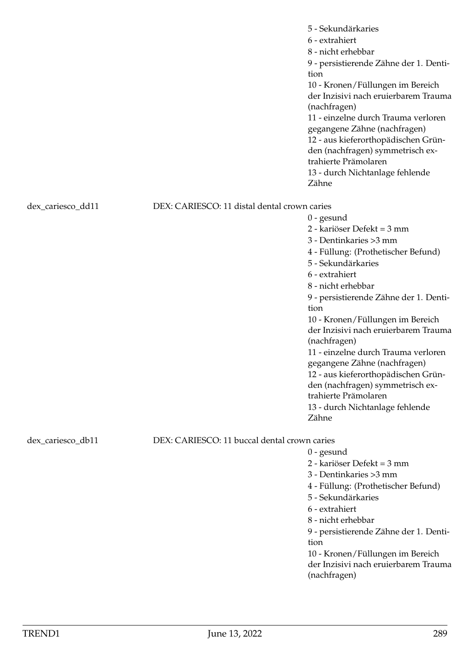|                   |                                              | 5 - Sekundärkaries<br>6 - extrahiert<br>8 - nicht erhebbar<br>9 - persistierende Zähne der 1. Denti-<br>tion<br>10 - Kronen/Füllungen im Bereich<br>der Inzisivi nach eruierbarem Trauma<br>(nachfragen)<br>11 - einzelne durch Trauma verloren<br>gegangene Zähne (nachfragen)<br>12 - aus kieferorthopädischen Grün-<br>den (nachfragen) symmetrisch ex-<br>trahierte Prämolaren<br>13 - durch Nichtanlage fehlende<br>Zähne                                                                                                                 |
|-------------------|----------------------------------------------|------------------------------------------------------------------------------------------------------------------------------------------------------------------------------------------------------------------------------------------------------------------------------------------------------------------------------------------------------------------------------------------------------------------------------------------------------------------------------------------------------------------------------------------------|
| dex_cariesco_dd11 | DEX: CARIESCO: 11 distal dental crown caries | $0$ - gesund<br>2 - kariöser Defekt = 3 mm<br>3 - Dentinkaries > 3 mm<br>4 - Füllung: (Prothetischer Befund)<br>5 - Sekundärkaries<br>6 - extrahiert<br>8 - nicht erhebbar<br>9 - persistierende Zähne der 1. Denti-<br>tion<br>10 - Kronen/Füllungen im Bereich<br>der Inzisivi nach eruierbarem Trauma<br>(nachfragen)<br>11 - einzelne durch Trauma verloren<br>gegangene Zähne (nachfragen)<br>12 - aus kieferorthopädischen Grün-<br>den (nachfragen) symmetrisch ex-<br>trahierte Prämolaren<br>13 - durch Nichtanlage fehlende<br>Zähne |
| dex_cariesco_db11 | DEX: CARIESCO: 11 buccal dental crown caries | $0$ - gesund<br>2 - kariöser Defekt = 3 mm<br>3 - Dentinkaries > 3 mm<br>4 - Füllung: (Prothetischer Befund)<br>5 - Sekundärkaries<br>6 - extrahiert<br>8 - nicht erhebbar<br>9 - persistierende Zähne der 1. Denti-<br>tion<br>10 - Kronen/Füllungen im Bereich<br>der Inzisivi nach eruierbarem Trauma<br>(nachfragen)                                                                                                                                                                                                                       |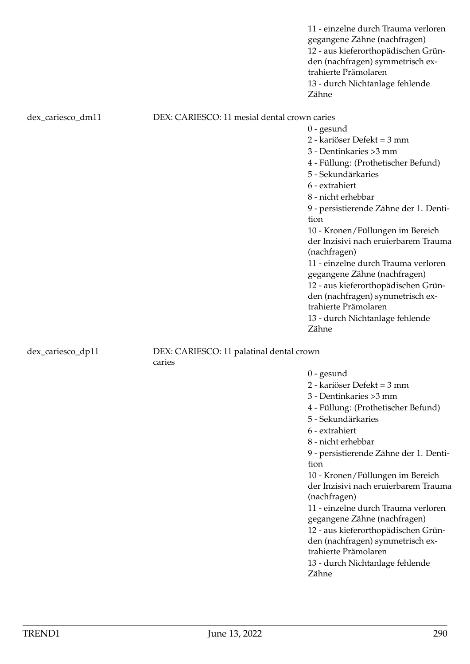11 - einzelne durch Trauma verloren gegangene Zähne (nachfragen) 12 - aus kieferorthopädischen Gründen (nachfragen) symmetrisch extrahierte Prämolaren 13 - durch Nichtanlage fehlende Zähne

dex cariesco dm11 DEX: CARIESCO: 11 mesial dental crown caries

0 - gesund 2 - kariöser Defekt = 3 mm 3 - Dentinkaries >3 mm 4 - Füllung: (Prothetischer Befund) 5 - Sekundärkaries 6 - extrahiert 8 - nicht erhebbar 9 - persistierende Zähne der 1. Dentition 10 - Kronen/Füllungen im Bereich der Inzisivi nach eruierbarem Trauma (nachfragen) 11 - einzelne durch Trauma verloren gegangene Zähne (nachfragen) 12 - aus kieferorthopädischen Gründen (nachfragen) symmetrisch extrahierte Prämolaren 13 - durch Nichtanlage fehlende Zähne

### dex\_cariesco\_dp11 DEX: CARIESCO: 11 palatinal dental crown caries

0 - gesund

2 - kariöser Defekt = 3 mm

3 - Dentinkaries >3 mm

4 - Füllung: (Prothetischer Befund)

- 5 Sekundärkaries
- 6 extrahiert
- 8 nicht erhebbar

9 - persistierende Zähne der 1. Dentition

10 - Kronen/Füllungen im Bereich der Inzisivi nach eruierbarem Trauma (nachfragen)

11 - einzelne durch Trauma verloren gegangene Zähne (nachfragen)

12 - aus kieferorthopädischen Grün-

den (nachfragen) symmetrisch ex-

trahierte Prämolaren 13 - durch Nichtanlage fehlende Zähne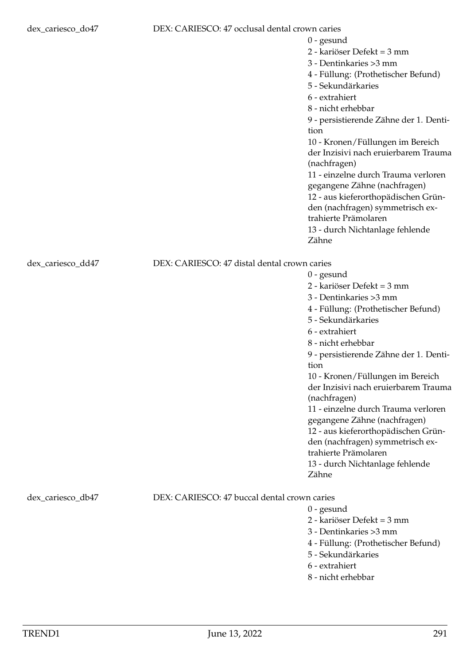# dex\_cariesco\_do47 DEX: CARIESCO: 47 occlusal dental crown caries

0 - gesund 2 - kariöser Defekt = 3 mm 3 - Dentinkaries >3 mm 4 - Füllung: (Prothetischer Befund) 5 - Sekundärkaries 6 - extrahiert 8 - nicht erhebbar 9 - persistierende Zähne der 1. Dentition 10 - Kronen/Füllungen im Bereich der Inzisivi nach eruierbarem Trauma (nachfragen) 11 - einzelne durch Trauma verloren gegangene Zähne (nachfragen) 12 - aus kieferorthopädischen Gründen (nachfragen) symmetrisch extrahierte Prämolaren 13 - durch Nichtanlage fehlende Zähne dex\_cariesco\_dd47 DEX: CARIESCO: 47 distal dental crown caries 0 - gesund 2 - kariöser Defekt = 3 mm 3 - Dentinkaries >3 mm 4 - Füllung: (Prothetischer Befund) 5 - Sekundärkaries

- 6 extrahiert
- 8 nicht erhebbar

9 - persistierende Zähne der 1. Dentition

10 - Kronen/Füllungen im Bereich der Inzisivi nach eruierbarem Trauma (nachfragen)

11 - einzelne durch Trauma verloren gegangene Zähne (nachfragen) 12 - aus kieferorthopädischen Grün-

den (nachfragen) symmetrisch ex-

trahierte Prämolaren

13 - durch Nichtanlage fehlende Zähne

# dex cariesco\_db47 DEX: CARIESCO: 47 buccal dental crown caries

0 - gesund

2 - kariöser Defekt = 3 mm

- 3 Dentinkaries >3 mm
- 4 Füllung: (Prothetischer Befund)
- 5 Sekundärkaries
- 6 extrahiert
- 8 nicht erhebbar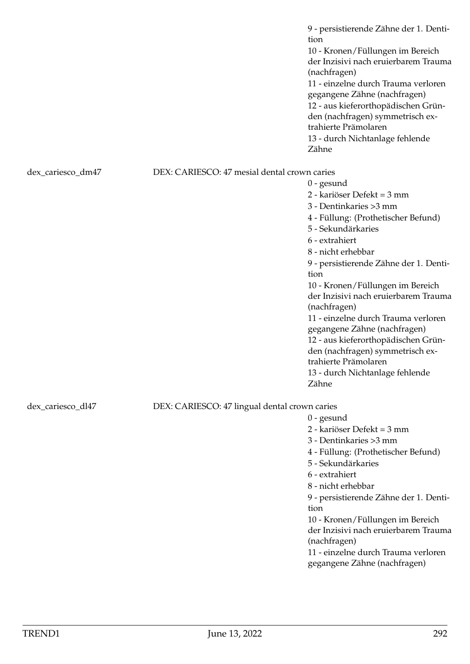9 - persistierende Zähne der 1. Dentition 10 - Kronen/Füllungen im Bereich der Inzisivi nach eruierbarem Trauma (nachfragen) 11 - einzelne durch Trauma verloren gegangene Zähne (nachfragen) 12 - aus kieferorthopädischen Gründen (nachfragen) symmetrisch extrahierte Prämolaren 13 - durch Nichtanlage fehlende Zähne

dex\_cariesco\_dm47 DEX: CARIESCO: 47 mesial dental crown caries

0 - gesund 2 - kariöser Defekt = 3 mm 3 - Dentinkaries >3 mm 4 - Füllung: (Prothetischer Befund) 5 - Sekundärkaries 6 - extrahiert 8 - nicht erhebbar 9 - persistierende Zähne der 1. Dentition 10 - Kronen/Füllungen im Bereich der Inzisivi nach eruierbarem Trauma (nachfragen) 11 - einzelne durch Trauma verloren gegangene Zähne (nachfragen) 12 - aus kieferorthopädischen Gründen (nachfragen) symmetrisch extrahierte Prämolaren 13 - durch Nichtanlage fehlende Zähne

dex\_cariesco\_dl47 DEX: CARIESCO: 47 lingual dental crown caries

- 0 gesund
- 2 kariöser Defekt = 3 mm
- 3 Dentinkaries >3 mm

4 - Füllung: (Prothetischer Befund)

- 5 Sekundärkaries
- 6 extrahiert
- 8 nicht erhebbar

9 - persistierende Zähne der 1. Dentition

10 - Kronen/Füllungen im Bereich der Inzisivi nach eruierbarem Trauma (nachfragen)

11 - einzelne durch Trauma verloren gegangene Zähne (nachfragen)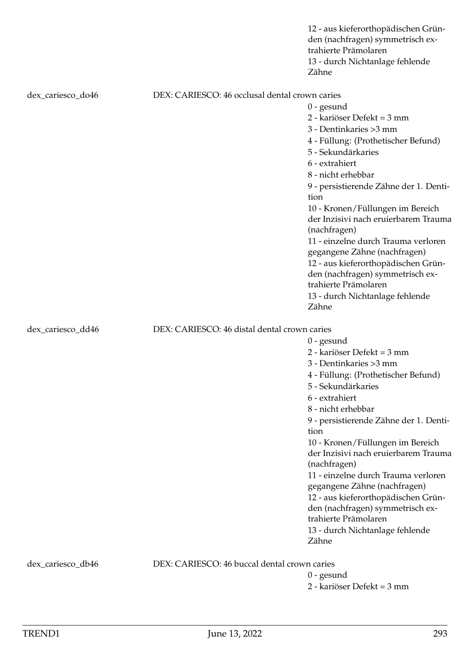|                   |                                                | 12 - aus kieferorthopädischen Grün-<br>den (nachfragen) symmetrisch ex-<br>trahierte Prämolaren<br>13 - durch Nichtanlage fehlende<br>Zähne |  |
|-------------------|------------------------------------------------|---------------------------------------------------------------------------------------------------------------------------------------------|--|
| dex_cariesco_do46 | DEX: CARIESCO: 46 occlusal dental crown caries |                                                                                                                                             |  |
|                   |                                                | $0$ - gesund                                                                                                                                |  |
|                   |                                                | 2 - kariöser Defekt = 3 mm                                                                                                                  |  |
|                   |                                                | 3 - Dentinkaries > 3 mm                                                                                                                     |  |
|                   |                                                | 4 - Füllung: (Prothetischer Befund)                                                                                                         |  |
|                   |                                                | 5 - Sekundärkaries                                                                                                                          |  |
|                   |                                                | 6 - extrahiert                                                                                                                              |  |
|                   |                                                | 8 - nicht erhebbar                                                                                                                          |  |
|                   |                                                | 9 - persistierende Zähne der 1. Denti-                                                                                                      |  |
|                   |                                                | tion                                                                                                                                        |  |
|                   |                                                | 10 - Kronen/Füllungen im Bereich                                                                                                            |  |
|                   |                                                | der Inzisivi nach eruierbarem Trauma<br>(nachfragen)                                                                                        |  |
|                   |                                                | 11 - einzelne durch Trauma verloren                                                                                                         |  |
|                   |                                                | gegangene Zähne (nachfragen)                                                                                                                |  |
|                   |                                                | 12 - aus kieferorthopädischen Grün-                                                                                                         |  |
|                   |                                                | den (nachfragen) symmetrisch ex-<br>trahierte Prämolaren                                                                                    |  |
|                   |                                                | 13 - durch Nichtanlage fehlende<br>Zähne                                                                                                    |  |
| dex_cariesco_dd46 |                                                | DEX: CARIESCO: 46 distal dental crown caries                                                                                                |  |
|                   |                                                | $0$ - gesund                                                                                                                                |  |
|                   |                                                | 2 - kariöser Defekt = 3 mm                                                                                                                  |  |
|                   |                                                | 3 - Dentinkaries > 3 mm                                                                                                                     |  |
|                   |                                                | 4 - Füllung: (Prothetischer Befund)                                                                                                         |  |
|                   |                                                | 5 - Sekundärkaries                                                                                                                          |  |
|                   |                                                | 6 - extrahiert                                                                                                                              |  |
|                   |                                                | 8 - nicht erhebbar                                                                                                                          |  |
|                   |                                                | 9 - persistierende Zähne der 1. Denti-<br>tion                                                                                              |  |
|                   |                                                | 10 - Kronen/Füllungen im Bereich                                                                                                            |  |
|                   |                                                | der Inzisivi nach eruierbarem Trauma                                                                                                        |  |
|                   |                                                | (nachfragen)                                                                                                                                |  |
|                   |                                                | 11 - einzelne durch Trauma verloren                                                                                                         |  |
|                   |                                                | gegangene Zähne (nachfragen)                                                                                                                |  |
|                   |                                                | 12 - aus kieferorthopädischen Grün-                                                                                                         |  |
|                   |                                                | den (nachfragen) symmetrisch ex-                                                                                                            |  |
|                   |                                                | trahierte Prämolaren                                                                                                                        |  |
|                   |                                                | 13 - durch Nichtanlage fehlende                                                                                                             |  |
|                   |                                                | Zähne                                                                                                                                       |  |
| dex_cariesco_db46 | DEX: CARIESCO: 46 buccal dental crown caries   |                                                                                                                                             |  |
|                   |                                                | $0$ - gesund                                                                                                                                |  |
|                   |                                                | 2 - kariöser Defekt = 3 mm                                                                                                                  |  |
|                   |                                                |                                                                                                                                             |  |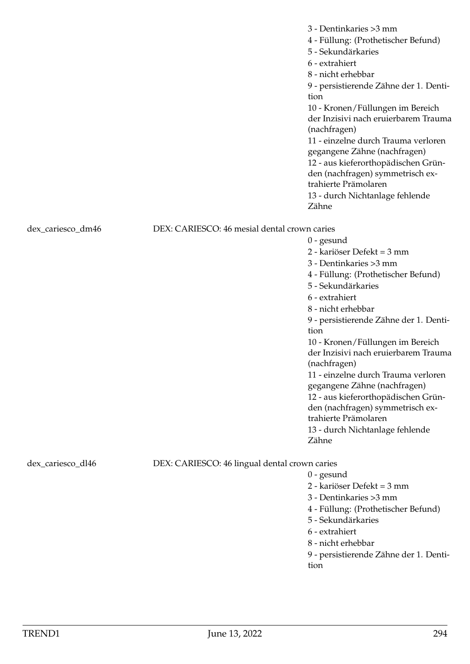|                   |                                               | 3 - Dentinkaries > 3 mm<br>4 - Füllung: (Prothetischer Befund)<br>5 - Sekundärkaries<br>6 - extrahiert<br>8 - nicht erhebbar<br>9 - persistierende Zähne der 1. Denti-<br>tion<br>10 - Kronen/Füllungen im Bereich<br>der Inzisivi nach eruierbarem Trauma<br>(nachfragen)<br>11 - einzelne durch Trauma verloren<br>gegangene Zähne (nachfragen)<br>12 - aus kieferorthopädischen Grün-<br>den (nachfragen) symmetrisch ex-<br>trahierte Prämolaren<br>13 - durch Nichtanlage fehlende<br>Zähne |
|-------------------|-----------------------------------------------|--------------------------------------------------------------------------------------------------------------------------------------------------------------------------------------------------------------------------------------------------------------------------------------------------------------------------------------------------------------------------------------------------------------------------------------------------------------------------------------------------|
| dex_cariesco_dm46 | DEX: CARIESCO: 46 mesial dental crown caries  |                                                                                                                                                                                                                                                                                                                                                                                                                                                                                                  |
|                   |                                               | $0$ - gesund                                                                                                                                                                                                                                                                                                                                                                                                                                                                                     |
|                   |                                               | 2 - kariöser Defekt = 3 mm                                                                                                                                                                                                                                                                                                                                                                                                                                                                       |
|                   |                                               | 3 - Dentinkaries > 3 mm                                                                                                                                                                                                                                                                                                                                                                                                                                                                          |
|                   |                                               | 4 - Füllung: (Prothetischer Befund)                                                                                                                                                                                                                                                                                                                                                                                                                                                              |
|                   |                                               | 5 - Sekundärkaries                                                                                                                                                                                                                                                                                                                                                                                                                                                                               |
|                   |                                               | 6 - extrahiert                                                                                                                                                                                                                                                                                                                                                                                                                                                                                   |
|                   |                                               | 8 - nicht erhebbar                                                                                                                                                                                                                                                                                                                                                                                                                                                                               |
|                   |                                               | 9 - persistierende Zähne der 1. Denti-                                                                                                                                                                                                                                                                                                                                                                                                                                                           |
|                   |                                               | tion                                                                                                                                                                                                                                                                                                                                                                                                                                                                                             |
|                   |                                               | 10 - Kronen/Füllungen im Bereich                                                                                                                                                                                                                                                                                                                                                                                                                                                                 |
|                   |                                               | der Inzisivi nach eruierbarem Trauma                                                                                                                                                                                                                                                                                                                                                                                                                                                             |
|                   |                                               | (nachfragen)                                                                                                                                                                                                                                                                                                                                                                                                                                                                                     |
|                   |                                               | 11 - einzelne durch Trauma verloren                                                                                                                                                                                                                                                                                                                                                                                                                                                              |
|                   |                                               | gegangene Zähne (nachfragen)                                                                                                                                                                                                                                                                                                                                                                                                                                                                     |
|                   |                                               | 12 - aus kieferorthopädischen Grün-                                                                                                                                                                                                                                                                                                                                                                                                                                                              |
|                   |                                               | den (nachfragen) symmetrisch ex-                                                                                                                                                                                                                                                                                                                                                                                                                                                                 |
|                   |                                               | trahierte Prämolaren                                                                                                                                                                                                                                                                                                                                                                                                                                                                             |
|                   |                                               | 13 - durch Nichtanlage fehlende                                                                                                                                                                                                                                                                                                                                                                                                                                                                  |
|                   |                                               | Zähne                                                                                                                                                                                                                                                                                                                                                                                                                                                                                            |
|                   |                                               |                                                                                                                                                                                                                                                                                                                                                                                                                                                                                                  |
| dex_cariesco_dl46 | DEX: CARIESCO: 46 lingual dental crown caries |                                                                                                                                                                                                                                                                                                                                                                                                                                                                                                  |
|                   |                                               | $0$ - gesund<br>2 - kariöser Defekt = 3 mm                                                                                                                                                                                                                                                                                                                                                                                                                                                       |
|                   |                                               | 3 - Dentinkaries > 3 mm                                                                                                                                                                                                                                                                                                                                                                                                                                                                          |
|                   |                                               | 4 - Füllung: (Prothetischer Befund)                                                                                                                                                                                                                                                                                                                                                                                                                                                              |
|                   |                                               | 5 - Sekundärkaries                                                                                                                                                                                                                                                                                                                                                                                                                                                                               |
|                   |                                               | 6 - extrahiert                                                                                                                                                                                                                                                                                                                                                                                                                                                                                   |
|                   |                                               | 8 - nicht erhebbar                                                                                                                                                                                                                                                                                                                                                                                                                                                                               |
|                   |                                               | 9 - persistierende Zähne der 1. Denti-                                                                                                                                                                                                                                                                                                                                                                                                                                                           |
|                   |                                               | tion                                                                                                                                                                                                                                                                                                                                                                                                                                                                                             |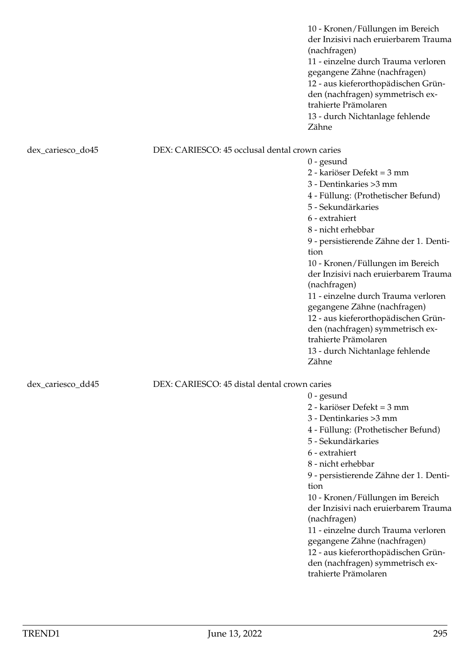10 - Kronen/Füllungen im Bereich der Inzisivi nach eruierbarem Trauma (nachfragen) 11 - einzelne durch Trauma verloren gegangene Zähne (nachfragen) 12 - aus kieferorthopädischen Gründen (nachfragen) symmetrisch extrahierte Prämolaren 13 - durch Nichtanlage fehlende Zähne dex\_cariesco\_do45 DEX: CARIESCO: 45 occlusal dental crown caries 0 - gesund 2 - kariöser Defekt = 3 mm 3 - Dentinkaries >3 mm 4 - Füllung: (Prothetischer Befund) 5 - Sekundärkaries 6 - extrahiert 8 - nicht erhebbar 9 - persistierende Zähne der 1. Dentition 10 - Kronen/Füllungen im Bereich der Inzisivi nach eruierbarem Trauma (nachfragen) 11 - einzelne durch Trauma verloren gegangene Zähne (nachfragen) 12 - aus kieferorthopädischen Gründen (nachfragen) symmetrisch extrahierte Prämolaren 13 - durch Nichtanlage fehlende Zähne dex\_cariesco\_dd45 DEX: CARIESCO: 45 distal dental crown caries 0 - gesund 2 - kariöser Defekt = 3 mm 3 - Dentinkaries >3 mm 4 - Füllung: (Prothetischer Befund) 5 - Sekundärkaries 6 - extrahiert 8 - nicht erhebbar 9 - persistierende Zähne der 1. Dentition

10 - Kronen/Füllungen im Bereich der Inzisivi nach eruierbarem Trauma (nachfragen)

11 - einzelne durch Trauma verloren gegangene Zähne (nachfragen)

12 - aus kieferorthopädischen Gründen (nachfragen) symmetrisch extrahierte Prämolaren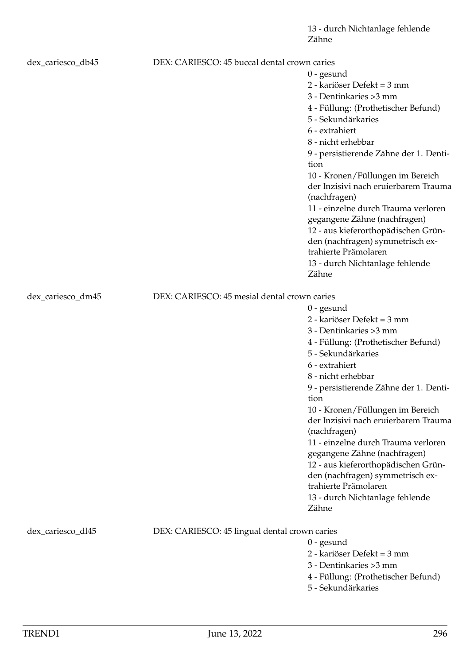| dex_cariesco_db45 | DEX: CARIESCO: 45 buccal dental crown caries  |                                        |
|-------------------|-----------------------------------------------|----------------------------------------|
|                   |                                               | $0$ - gesund                           |
|                   |                                               | 2 - kariöser Defekt = 3 mm             |
|                   |                                               | 3 - Dentinkaries > 3 mm                |
|                   |                                               | 4 - Füllung: (Prothetischer Befund)    |
|                   |                                               | 5 - Sekundärkaries                     |
|                   |                                               | 6 - extrahiert                         |
|                   |                                               | 8 - nicht erhebbar                     |
|                   |                                               | 9 - persistierende Zähne der 1. Denti- |
|                   |                                               | tion                                   |
|                   |                                               | 10 - Kronen/Füllungen im Bereich       |
|                   |                                               | der Inzisivi nach eruierbarem Trauma   |
|                   |                                               | (nachfragen)                           |
|                   |                                               | 11 - einzelne durch Trauma verloren    |
|                   |                                               | gegangene Zähne (nachfragen)           |
|                   |                                               | 12 - aus kieferorthopädischen Grün-    |
|                   |                                               | den (nachfragen) symmetrisch ex-       |
|                   |                                               | trahierte Prämolaren                   |
|                   |                                               | 13 - durch Nichtanlage fehlende        |
|                   |                                               | Zähne                                  |
| dex_cariesco_dm45 | DEX: CARIESCO: 45 mesial dental crown caries  |                                        |
|                   |                                               | $0$ - gesund                           |
|                   |                                               | 2 - kariöser Defekt = 3 mm             |
|                   |                                               | 3 - Dentinkaries > 3 mm                |
|                   |                                               | 4 - Füllung: (Prothetischer Befund)    |
|                   |                                               | 5 - Sekundärkaries                     |
|                   |                                               | 6 - extrahiert                         |
|                   |                                               | 8 - nicht erhebbar                     |
|                   |                                               | 9 - persistierende Zähne der 1. Denti- |
|                   |                                               | tion                                   |
|                   |                                               | 10 - Kronen/Füllungen im Bereich       |
|                   |                                               | der Inzisivi nach eruierbarem Trauma   |
|                   |                                               | (nachfragen)                           |
|                   |                                               | 11 - einzelne durch Trauma verloren    |
|                   |                                               | gegangene Zähne (nachfragen)           |
|                   |                                               | 12 - aus kieferorthopädischen Grün-    |
|                   |                                               | den (nachfragen) symmetrisch ex-       |
|                   |                                               | trahierte Prämolaren                   |
|                   |                                               | 13 - durch Nichtanlage fehlende        |
|                   |                                               | Zähne                                  |
| dex_cariesco_dl45 | DEX: CARIESCO: 45 lingual dental crown caries |                                        |
|                   |                                               | $0$ - gesund                           |
|                   |                                               | 2 - kariöser Defekt = 3 mm             |
|                   |                                               | 3 - Dentinkaries > 3 mm                |
|                   |                                               | 4 - Füllung: (Prothetischer Befund)    |

5 - Sekundärkaries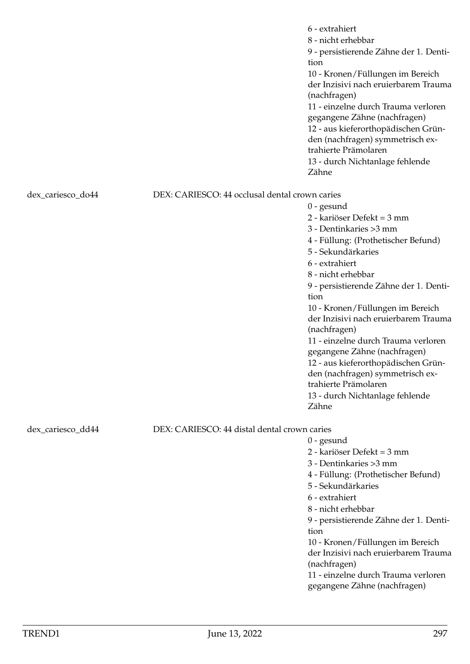|                   |                                                | 6 - extrahiert<br>8 - nicht erhebbar<br>9 - persistierende Zähne der 1. Denti-<br>tion<br>10 - Kronen/Füllungen im Bereich<br>der Inzisivi nach eruierbarem Trauma<br>(nachfragen)<br>11 - einzelne durch Trauma verloren<br>gegangene Zähne (nachfragen)<br>12 - aus kieferorthopädischen Grün-<br>den (nachfragen) symmetrisch ex-<br>trahierte Prämolaren<br>13 - durch Nichtanlage fehlende<br>Zähne |
|-------------------|------------------------------------------------|----------------------------------------------------------------------------------------------------------------------------------------------------------------------------------------------------------------------------------------------------------------------------------------------------------------------------------------------------------------------------------------------------------|
| dex_cariesco_do44 | DEX: CARIESCO: 44 occlusal dental crown caries |                                                                                                                                                                                                                                                                                                                                                                                                          |
|                   |                                                | $0$ - gesund                                                                                                                                                                                                                                                                                                                                                                                             |
|                   |                                                | 2 - kariöser Defekt = 3 mm                                                                                                                                                                                                                                                                                                                                                                               |
|                   |                                                | 3 - Dentinkaries > 3 mm                                                                                                                                                                                                                                                                                                                                                                                  |
|                   |                                                | 4 - Füllung: (Prothetischer Befund)                                                                                                                                                                                                                                                                                                                                                                      |
|                   |                                                | 5 - Sekundärkaries                                                                                                                                                                                                                                                                                                                                                                                       |
|                   |                                                | 6 - extrahiert                                                                                                                                                                                                                                                                                                                                                                                           |
|                   |                                                | 8 - nicht erhebbar                                                                                                                                                                                                                                                                                                                                                                                       |
|                   |                                                | 9 - persistierende Zähne der 1. Denti-<br>tion                                                                                                                                                                                                                                                                                                                                                           |
|                   |                                                | 10 - Kronen/Füllungen im Bereich                                                                                                                                                                                                                                                                                                                                                                         |
|                   |                                                | der Inzisivi nach eruierbarem Trauma                                                                                                                                                                                                                                                                                                                                                                     |
|                   |                                                | (nachfragen)                                                                                                                                                                                                                                                                                                                                                                                             |
|                   |                                                | 11 - einzelne durch Trauma verloren                                                                                                                                                                                                                                                                                                                                                                      |
|                   |                                                | gegangene Zähne (nachfragen)                                                                                                                                                                                                                                                                                                                                                                             |
|                   |                                                | 12 - aus kieferorthopädischen Grün-                                                                                                                                                                                                                                                                                                                                                                      |
|                   |                                                | den (nachfragen) symmetrisch ex-<br>trahierte Prämolaren                                                                                                                                                                                                                                                                                                                                                 |
|                   |                                                | 13 - durch Nichtanlage fehlende                                                                                                                                                                                                                                                                                                                                                                          |
|                   |                                                | Zähne                                                                                                                                                                                                                                                                                                                                                                                                    |
|                   |                                                |                                                                                                                                                                                                                                                                                                                                                                                                          |
| dex_cariesco_dd44 | DEX: CARIESCO: 44 distal dental crown caries   |                                                                                                                                                                                                                                                                                                                                                                                                          |
|                   |                                                | $0$ - gesund<br>2 - kariöser Defekt = 3 mm                                                                                                                                                                                                                                                                                                                                                               |
|                   |                                                | 3 - Dentinkaries > 3 mm                                                                                                                                                                                                                                                                                                                                                                                  |
|                   |                                                | 4 - Füllung: (Prothetischer Befund)                                                                                                                                                                                                                                                                                                                                                                      |
|                   |                                                | 5 - Sekundärkaries                                                                                                                                                                                                                                                                                                                                                                                       |
|                   |                                                | 6 - extrahiert                                                                                                                                                                                                                                                                                                                                                                                           |
|                   |                                                | 8 - nicht erhebbar                                                                                                                                                                                                                                                                                                                                                                                       |
|                   |                                                | 9 - persistierende Zähne der 1. Denti-                                                                                                                                                                                                                                                                                                                                                                   |
|                   |                                                | tion                                                                                                                                                                                                                                                                                                                                                                                                     |
|                   |                                                | 10 - Kronen/Füllungen im Bereich<br>der Inzisivi nach eruierbarem Trauma                                                                                                                                                                                                                                                                                                                                 |
|                   |                                                | (nachfragen)                                                                                                                                                                                                                                                                                                                                                                                             |
|                   |                                                | 11 - einzelne durch Trauma verloren                                                                                                                                                                                                                                                                                                                                                                      |
|                   |                                                | gegangene Zähne (nachfragen)                                                                                                                                                                                                                                                                                                                                                                             |
|                   |                                                |                                                                                                                                                                                                                                                                                                                                                                                                          |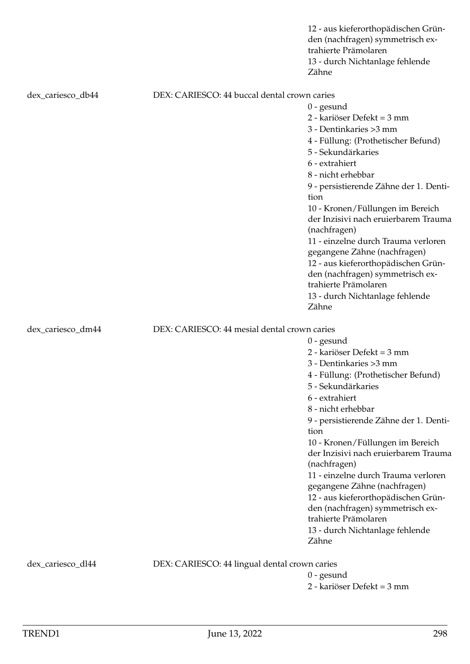|                   |                                               | 12 - aus kieferorthopädischen Grün-<br>den (nachfragen) symmetrisch ex-<br>trahierte Prämolaren<br>13 - durch Nichtanlage fehlende<br>Zähne |
|-------------------|-----------------------------------------------|---------------------------------------------------------------------------------------------------------------------------------------------|
| dex_cariesco_db44 | DEX: CARIESCO: 44 buccal dental crown caries  |                                                                                                                                             |
|                   |                                               | $0$ - gesund                                                                                                                                |
|                   |                                               | 2 - kariöser Defekt = 3 mm                                                                                                                  |
|                   |                                               | 3 - Dentinkaries > 3 mm                                                                                                                     |
|                   |                                               | 4 - Füllung: (Prothetischer Befund)                                                                                                         |
|                   |                                               | 5 - Sekundärkaries                                                                                                                          |
|                   |                                               | 6 - extrahiert                                                                                                                              |
|                   |                                               | 8 - nicht erhebbar                                                                                                                          |
|                   |                                               | 9 - persistierende Zähne der 1. Denti-                                                                                                      |
|                   |                                               | tion                                                                                                                                        |
|                   |                                               | 10 - Kronen/Füllungen im Bereich                                                                                                            |
|                   |                                               | der Inzisivi nach eruierbarem Trauma<br>(nachfragen)                                                                                        |
|                   |                                               | 11 - einzelne durch Trauma verloren                                                                                                         |
|                   |                                               | gegangene Zähne (nachfragen)                                                                                                                |
|                   |                                               | 12 - aus kieferorthopädischen Grün-                                                                                                         |
|                   |                                               | den (nachfragen) symmetrisch ex-<br>trahierte Prämolaren                                                                                    |
|                   |                                               | 13 - durch Nichtanlage fehlende<br>Zähne                                                                                                    |
|                   |                                               |                                                                                                                                             |
| dex_cariesco_dm44 | DEX: CARIESCO: 44 mesial dental crown caries  |                                                                                                                                             |
|                   |                                               | $0$ - gesund                                                                                                                                |
|                   |                                               | 2 - kariöser Defekt = 3 mm                                                                                                                  |
|                   |                                               |                                                                                                                                             |
|                   |                                               | 3 - Dentinkaries > 3 mm                                                                                                                     |
|                   |                                               | 4 - Füllung: (Prothetischer Befund)                                                                                                         |
|                   |                                               | 5 - Sekundärkaries                                                                                                                          |
|                   |                                               | 6 - extrahiert                                                                                                                              |
|                   |                                               | 8 - nicht erhebbar                                                                                                                          |
|                   |                                               | 9 - persistierende Zähne der 1. Denti-<br>tion                                                                                              |
|                   |                                               | 10 - Kronen/Füllungen im Bereich                                                                                                            |
|                   |                                               | der Inzisivi nach eruierbarem Trauma                                                                                                        |
|                   |                                               | (nachfragen)                                                                                                                                |
|                   |                                               | 11 - einzelne durch Trauma verloren                                                                                                         |
|                   |                                               | gegangene Zähne (nachfragen)                                                                                                                |
|                   |                                               | 12 - aus kieferorthopädischen Grün-                                                                                                         |
|                   |                                               | den (nachfragen) symmetrisch ex-                                                                                                            |
|                   |                                               | trahierte Prämolaren                                                                                                                        |
|                   |                                               | 13 - durch Nichtanlage fehlende<br>Zähne                                                                                                    |
|                   |                                               |                                                                                                                                             |
| dex_cariesco_dl44 | DEX: CARIESCO: 44 lingual dental crown caries | $0$ - gesund                                                                                                                                |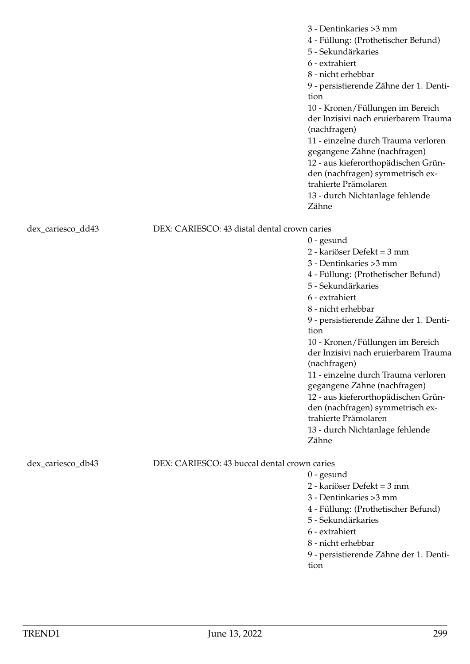|                   |                                              | 3 - Dentinkaries > 3 mm<br>4 - Füllung: (Prothetischer Befund)<br>5 - Sekundärkaries<br>6 - extrahiert<br>8 - nicht erhebbar<br>9 - persistierende Zähne der 1. Denti-<br>tion<br>10 - Kronen/Füllungen im Bereich<br>der Inzisivi nach eruierbarem Trauma<br>(nachfragen)<br>11 - einzelne durch Trauma verloren<br>gegangene Zähne (nachfragen)<br>12 - aus kieferorthopädischen Grün-<br>den (nachfragen) symmetrisch ex-<br>trahierte Prämolaren<br>13 - durch Nichtanlage fehlende<br>Zähne                                               |
|-------------------|----------------------------------------------|------------------------------------------------------------------------------------------------------------------------------------------------------------------------------------------------------------------------------------------------------------------------------------------------------------------------------------------------------------------------------------------------------------------------------------------------------------------------------------------------------------------------------------------------|
| dex_cariesco_dd43 | DEX: CARIESCO: 43 distal dental crown caries | $0$ - gesund<br>2 - kariöser Defekt = 3 mm<br>3 - Dentinkaries > 3 mm<br>4 - Füllung: (Prothetischer Befund)<br>5 - Sekundärkaries<br>6 - extrahiert<br>8 - nicht erhebbar<br>9 - persistierende Zähne der 1. Denti-<br>tion<br>10 - Kronen/Füllungen im Bereich<br>der Inzisivi nach eruierbarem Trauma<br>(nachfragen)<br>11 - einzelne durch Trauma verloren<br>gegangene Zähne (nachfragen)<br>12 - aus kieferorthopädischen Grün-<br>den (nachfragen) symmetrisch ex-<br>trahierte Prämolaren<br>13 - durch Nichtanlage fehlende<br>Zähne |
| dex_cariesco_db43 | DEX: CARIESCO: 43 buccal dental crown caries | $0$ - gesund<br>2 - kariöser Defekt = 3 mm<br>3 - Dentinkaries > 3 mm<br>4 - Füllung: (Prothetischer Befund)<br>5 - Sekundärkaries<br>6 - extrahiert<br>8 - nicht erhebbar<br>9 - persistierende Zähne der 1. Denti-                                                                                                                                                                                                                                                                                                                           |

 $\frac{y - y}{y}$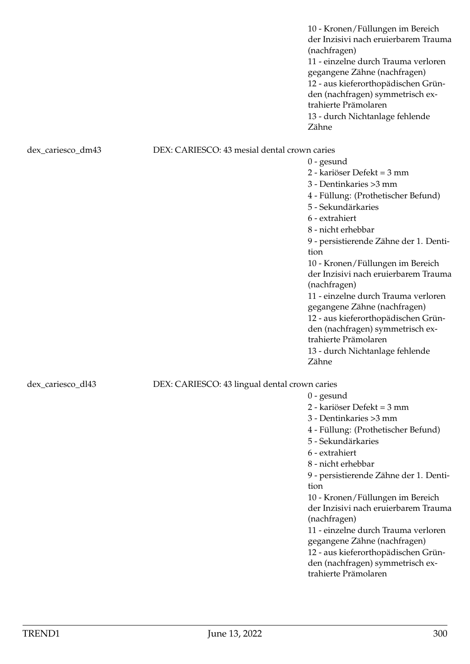10 - Kronen/Füllungen im Bereich der Inzisivi nach eruierbarem Trauma (nachfragen) 11 - einzelne durch Trauma verloren gegangene Zähne (nachfragen) 12 - aus kieferorthopädischen Gründen (nachfragen) symmetrisch extrahierte Prämolaren 13 - durch Nichtanlage fehlende Zähne

0 - gesund

0 - gesund

tion

(nachfragen)

trahierte Prämolaren

2 - kariöser Defekt = 3 mm 3 - Dentinkaries >3 mm

5 - Sekundärkaries 6 - extrahiert 8 - nicht erhebbar

4 - Füllung: (Prothetischer Befund)

9 - persistierende Zähne der 1. Denti-

10 - Kronen/Füllungen im Bereich der Inzisivi nach eruierbarem Trauma

11 - einzelne durch Trauma verloren gegangene Zähne (nachfragen) 12 - aus kieferorthopädischen Gründen (nachfragen) symmetrisch ex-

## dex\_cariesco\_dm43 DEX: CARIESCO: 43 mesial dental crown caries

2 - kariöser Defekt = 3 mm 3 - Dentinkaries >3 mm 4 - Füllung: (Prothetischer Befund) 5 - Sekundärkaries 6 - extrahiert 8 - nicht erhebbar 9 - persistierende Zähne der 1. Dentition 10 - Kronen/Füllungen im Bereich der Inzisivi nach eruierbarem Trauma (nachfragen) 11 - einzelne durch Trauma verloren gegangene Zähne (nachfragen) 12 - aus kieferorthopädischen Gründen (nachfragen) symmetrisch extrahierte Prämolaren 13 - durch Nichtanlage fehlende Zähne

# dex\_cariesco\_dl43 DEX: CARIESCO: 43 lingual dental crown caries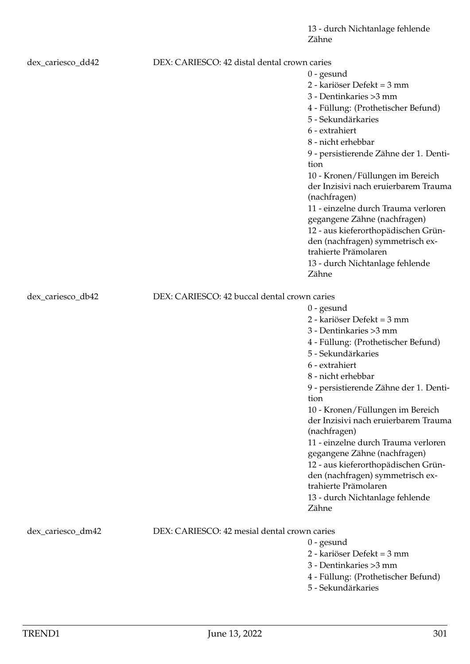| dex_cariesco_dd42 | DEX: CARIESCO: 42 distal dental crown caries | $0$ - gesund<br>2 - kariöser Defekt = 3 mm<br>3 - Dentinkaries > 3 mm<br>4 - Füllung: (Prothetischer Befund)<br>5 - Sekundärkaries<br>6 - extrahiert<br>8 - nicht erhebbar<br>9 - persistierende Zähne der 1. Denti-<br>tion<br>10 - Kronen/Füllungen im Bereich<br>der Inzisivi nach eruierbarem Trauma<br>(nachfragen)<br>11 - einzelne durch Trauma verloren<br>gegangene Zähne (nachfragen)<br>12 - aus kieferorthopädischen Grün-<br>den (nachfragen) symmetrisch ex-                                                                     |
|-------------------|----------------------------------------------|------------------------------------------------------------------------------------------------------------------------------------------------------------------------------------------------------------------------------------------------------------------------------------------------------------------------------------------------------------------------------------------------------------------------------------------------------------------------------------------------------------------------------------------------|
|                   |                                              | trahierte Prämolaren<br>13 - durch Nichtanlage fehlende<br>Zähne                                                                                                                                                                                                                                                                                                                                                                                                                                                                               |
| dex_cariesco_db42 | DEX: CARIESCO: 42 buccal dental crown caries | $0$ - gesund<br>2 - kariöser Defekt = 3 mm<br>3 - Dentinkaries > 3 mm<br>4 - Füllung: (Prothetischer Befund)<br>5 - Sekundärkaries<br>6 - extrahiert<br>8 - nicht erhebbar<br>9 - persistierende Zähne der 1. Denti-<br>tion<br>10 - Kronen/Füllungen im Bereich<br>der Inzisivi nach eruierbarem Trauma<br>(nachfragen)<br>11 - einzelne durch Trauma verloren<br>gegangene Zähne (nachfragen)<br>12 - aus kieferorthopädischen Grün-<br>den (nachfragen) symmetrisch ex-<br>trahierte Prämolaren<br>13 - durch Nichtanlage fehlende<br>Zähne |
| dex_cariesco_dm42 | DEX: CARIESCO: 42 mesial dental crown caries | $0$ - gesund<br>2 - kariöser Defekt = 3 mm<br>3 - Dentinkaries > 3 mm<br>4 - Füllung: (Prothetischer Befund)<br>5 - Sekundärkaries                                                                                                                                                                                                                                                                                                                                                                                                             |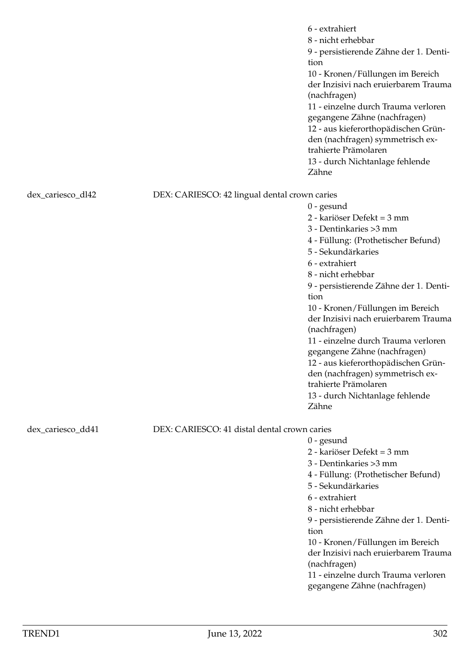|                   |                                               | 6 - extrahiert<br>8 - nicht erhebbar<br>9 - persistierende Zähne der 1. Denti-<br>tion<br>10 - Kronen/Füllungen im Bereich<br>der Inzisivi nach eruierbarem Trauma<br>(nachfragen)<br>11 - einzelne durch Trauma verloren<br>gegangene Zähne (nachfragen)<br>12 - aus kieferorthopädischen Grün-<br>den (nachfragen) symmetrisch ex-<br>trahierte Prämolaren<br>13 - durch Nichtanlage fehlende<br>Zähne |
|-------------------|-----------------------------------------------|----------------------------------------------------------------------------------------------------------------------------------------------------------------------------------------------------------------------------------------------------------------------------------------------------------------------------------------------------------------------------------------------------------|
| dex_cariesco_dl42 | DEX: CARIESCO: 42 lingual dental crown caries |                                                                                                                                                                                                                                                                                                                                                                                                          |
|                   |                                               | $0$ - gesund                                                                                                                                                                                                                                                                                                                                                                                             |
|                   |                                               | 2 - kariöser Defekt = 3 mm                                                                                                                                                                                                                                                                                                                                                                               |
|                   |                                               | 3 - Dentinkaries > 3 mm                                                                                                                                                                                                                                                                                                                                                                                  |
|                   |                                               | 4 - Füllung: (Prothetischer Befund)<br>5 - Sekundärkaries                                                                                                                                                                                                                                                                                                                                                |
|                   |                                               | 6 - extrahiert                                                                                                                                                                                                                                                                                                                                                                                           |
|                   |                                               | 8 - nicht erhebbar                                                                                                                                                                                                                                                                                                                                                                                       |
|                   |                                               | 9 - persistierende Zähne der 1. Denti-                                                                                                                                                                                                                                                                                                                                                                   |
|                   |                                               | tion                                                                                                                                                                                                                                                                                                                                                                                                     |
|                   |                                               | 10 - Kronen/Füllungen im Bereich<br>der Inzisivi nach eruierbarem Trauma                                                                                                                                                                                                                                                                                                                                 |
|                   |                                               | (nachfragen)                                                                                                                                                                                                                                                                                                                                                                                             |
|                   |                                               | 11 - einzelne durch Trauma verloren                                                                                                                                                                                                                                                                                                                                                                      |
|                   |                                               | gegangene Zähne (nachfragen)                                                                                                                                                                                                                                                                                                                                                                             |
|                   |                                               | 12 - aus kieferorthopädischen Grün-                                                                                                                                                                                                                                                                                                                                                                      |
|                   |                                               | den (nachfragen) symmetrisch ex-<br>trahierte Prämolaren                                                                                                                                                                                                                                                                                                                                                 |
|                   |                                               | 13 - durch Nichtanlage fehlende                                                                                                                                                                                                                                                                                                                                                                          |
|                   |                                               | Zähne                                                                                                                                                                                                                                                                                                                                                                                                    |
| dex_cariesco_dd41 | DEX: CARIESCO: 41 distal dental crown caries  |                                                                                                                                                                                                                                                                                                                                                                                                          |
|                   |                                               | $0$ - gesund                                                                                                                                                                                                                                                                                                                                                                                             |
|                   |                                               | 2 - kariöser Defekt = 3 mm                                                                                                                                                                                                                                                                                                                                                                               |
|                   |                                               | 3 - Dentinkaries > 3 mm                                                                                                                                                                                                                                                                                                                                                                                  |
|                   |                                               | 4 - Füllung: (Prothetischer Befund)                                                                                                                                                                                                                                                                                                                                                                      |
|                   |                                               | 5 - Sekundärkaries                                                                                                                                                                                                                                                                                                                                                                                       |
|                   |                                               | 6 - extrahiert                                                                                                                                                                                                                                                                                                                                                                                           |
|                   |                                               | 8 - nicht erhebbar<br>9 - persistierende Zähne der 1. Denti-                                                                                                                                                                                                                                                                                                                                             |
|                   |                                               | tion                                                                                                                                                                                                                                                                                                                                                                                                     |
|                   |                                               | 10 - Kronen/Füllungen im Bereich                                                                                                                                                                                                                                                                                                                                                                         |
|                   |                                               | der Inzisivi nach eruierbarem Trauma                                                                                                                                                                                                                                                                                                                                                                     |
|                   |                                               | (nachfragen)                                                                                                                                                                                                                                                                                                                                                                                             |
|                   |                                               | 11 - einzelne durch Trauma verloren                                                                                                                                                                                                                                                                                                                                                                      |
|                   |                                               | gegangene Zähne (nachfragen)                                                                                                                                                                                                                                                                                                                                                                             |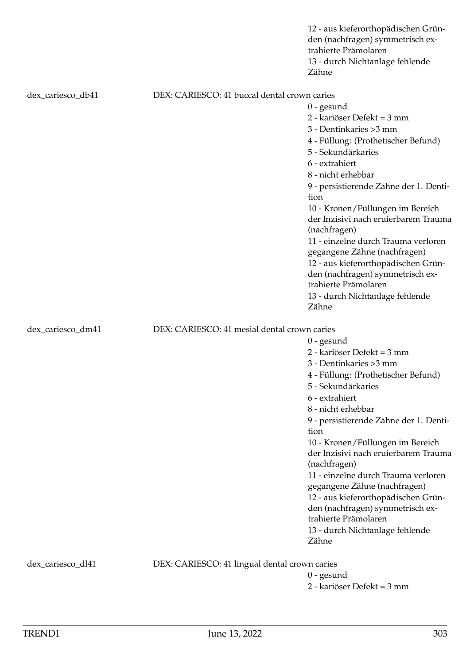|                   |                                               | 12 - aus kieferorthopädischen Grün-<br>den (nachfragen) symmetrisch ex-<br>trahierte Prämolaren<br>13 - durch Nichtanlage fehlende<br>Zähne |
|-------------------|-----------------------------------------------|---------------------------------------------------------------------------------------------------------------------------------------------|
| dex_cariesco_db41 | DEX: CARIESCO: 41 buccal dental crown caries  |                                                                                                                                             |
|                   |                                               | $0$ - gesund                                                                                                                                |
|                   |                                               | 2 - kariöser Defekt = 3 mm                                                                                                                  |
|                   |                                               | 3 - Dentinkaries > 3 mm                                                                                                                     |
|                   |                                               | 4 - Füllung: (Prothetischer Befund)                                                                                                         |
|                   |                                               | 5 - Sekundärkaries                                                                                                                          |
|                   |                                               | 6 - extrahiert                                                                                                                              |
|                   |                                               | 8 - nicht erhebbar                                                                                                                          |
|                   |                                               | 9 - persistierende Zähne der 1. Denti-                                                                                                      |
|                   |                                               | tion                                                                                                                                        |
|                   |                                               | 10 - Kronen/Füllungen im Bereich                                                                                                            |
|                   |                                               | der Inzisivi nach eruierbarem Trauma<br>(nachfragen)                                                                                        |
|                   |                                               | 11 - einzelne durch Trauma verloren                                                                                                         |
|                   |                                               | gegangene Zähne (nachfragen)                                                                                                                |
|                   |                                               | 12 - aus kieferorthopädischen Grün-                                                                                                         |
|                   |                                               | den (nachfragen) symmetrisch ex-<br>trahierte Prämolaren                                                                                    |
|                   |                                               | 13 - durch Nichtanlage fehlende                                                                                                             |
|                   |                                               | Zähne                                                                                                                                       |
| dex_cariesco_dm41 | DEX: CARIESCO: 41 mesial dental crown caries  |                                                                                                                                             |
|                   |                                               | $0$ - gesund                                                                                                                                |
|                   |                                               | 2 - kariöser Defekt = 3 mm                                                                                                                  |
|                   |                                               | 3 - Dentinkaries > 3 mm                                                                                                                     |
|                   |                                               | 4 - Füllung: (Prothetischer Befund)                                                                                                         |
|                   |                                               | 5 - Sekundärkaries                                                                                                                          |
|                   |                                               | 6 - extrahiert                                                                                                                              |
|                   |                                               | 8 - nicht erhebbar                                                                                                                          |
|                   |                                               | 9 - persistierende Zähne der 1. Denti-<br>tion                                                                                              |
|                   |                                               | 10 - Kronen/Füllungen im Bereich                                                                                                            |
|                   |                                               | der Inzisivi nach eruierbarem Trauma                                                                                                        |
|                   |                                               | (nachfragen)                                                                                                                                |
|                   |                                               | 11 - einzelne durch Trauma verloren                                                                                                         |
|                   |                                               | gegangene Zähne (nachfragen)                                                                                                                |
|                   |                                               | 12 - aus kieferorthopädischen Grün-                                                                                                         |
|                   |                                               | den (nachfragen) symmetrisch ex-<br>trahierte Prämolaren                                                                                    |
|                   |                                               |                                                                                                                                             |
|                   |                                               | 13 - durch Nichtanlage fehlende<br>Zähne                                                                                                    |
| dex_cariesco_dl41 | DEX: CARIESCO: 41 lingual dental crown caries |                                                                                                                                             |
|                   |                                               | $0$ - gesund                                                                                                                                |
|                   |                                               | 2 - kariöser Defekt = 3 mm                                                                                                                  |
|                   |                                               |                                                                                                                                             |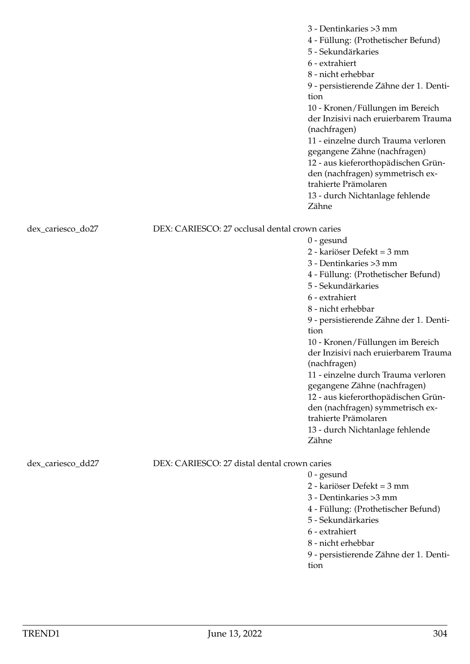|                   |                                                | 3 - Dentinkaries > 3 mm<br>4 - Füllung: (Prothetischer Befund)<br>5 - Sekundärkaries<br>6 - extrahiert<br>8 - nicht erhebbar<br>9 - persistierende Zähne der 1. Denti-<br>tion<br>10 - Kronen/Füllungen im Bereich<br>der Inzisivi nach eruierbarem Trauma<br>(nachfragen)<br>11 - einzelne durch Trauma verloren<br>gegangene Zähne (nachfragen)<br>12 - aus kieferorthopädischen Grün-<br>den (nachfragen) symmetrisch ex-<br>trahierte Prämolaren<br>13 - durch Nichtanlage fehlende<br>Zähne                                               |
|-------------------|------------------------------------------------|------------------------------------------------------------------------------------------------------------------------------------------------------------------------------------------------------------------------------------------------------------------------------------------------------------------------------------------------------------------------------------------------------------------------------------------------------------------------------------------------------------------------------------------------|
|                   | DEX: CARIESCO: 27 occlusal dental crown caries |                                                                                                                                                                                                                                                                                                                                                                                                                                                                                                                                                |
| dex_cariesco_do27 |                                                | $0$ - gesund<br>2 - kariöser Defekt = 3 mm<br>3 - Dentinkaries > 3 mm<br>4 - Füllung: (Prothetischer Befund)<br>5 - Sekundärkaries<br>6 - extrahiert<br>8 - nicht erhebbar<br>9 - persistierende Zähne der 1. Denti-<br>tion<br>10 - Kronen/Füllungen im Bereich<br>der Inzisivi nach eruierbarem Trauma<br>(nachfragen)<br>11 - einzelne durch Trauma verloren<br>gegangene Zähne (nachfragen)<br>12 - aus kieferorthopädischen Grün-<br>den (nachfragen) symmetrisch ex-<br>trahierte Prämolaren<br>13 - durch Nichtanlage fehlende<br>Zähne |
| dex_cariesco_dd27 | DEX: CARIESCO: 27 distal dental crown caries   |                                                                                                                                                                                                                                                                                                                                                                                                                                                                                                                                                |
|                   |                                                | $0$ - gesund                                                                                                                                                                                                                                                                                                                                                                                                                                                                                                                                   |
|                   |                                                | 2 - kariöser Defekt = 3 mm                                                                                                                                                                                                                                                                                                                                                                                                                                                                                                                     |
|                   |                                                | 3 - Dentinkaries > 3 mm                                                                                                                                                                                                                                                                                                                                                                                                                                                                                                                        |
|                   |                                                | 4 - Füllung: (Prothetischer Befund)<br>5 - Sekundärkaries                                                                                                                                                                                                                                                                                                                                                                                                                                                                                      |
|                   |                                                | 6 - extrahiert                                                                                                                                                                                                                                                                                                                                                                                                                                                                                                                                 |
|                   |                                                |                                                                                                                                                                                                                                                                                                                                                                                                                                                                                                                                                |

9 - persistierende Zähne der 1. Dentition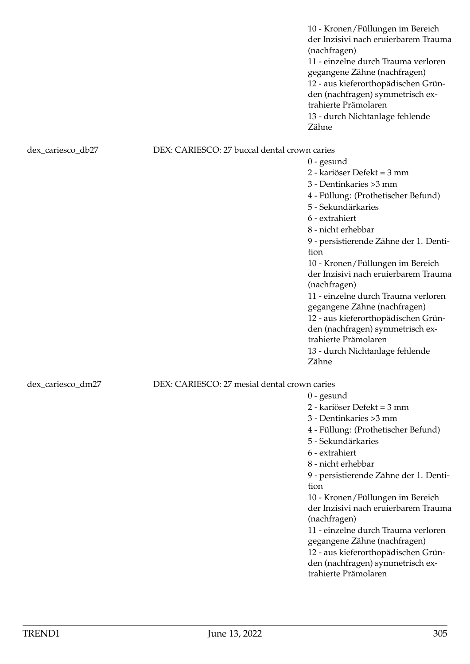10 - Kronen/Füllungen im Bereich der Inzisivi nach eruierbarem Trauma (nachfragen) 11 - einzelne durch Trauma verloren gegangene Zähne (nachfragen) 12 - aus kieferorthopädischen Gründen (nachfragen) symmetrisch extrahierte Prämolaren 13 - durch Nichtanlage fehlende Zähne

## dex\_cariesco\_db27 DEX: CARIESCO: 27 buccal dental crown caries

0 - gesund 2 - kariöser Defekt = 3 mm 3 - Dentinkaries >3 mm 4 - Füllung: (Prothetischer Befund) 5 - Sekundärkaries 6 - extrahiert 8 - nicht erhebbar 9 - persistierende Zähne der 1. Dentition 10 - Kronen/Füllungen im Bereich der Inzisivi nach eruierbarem Trauma (nachfragen) 11 - einzelne durch Trauma verloren gegangene Zähne (nachfragen) 12 - aus kieferorthopädischen Gründen (nachfragen) symmetrisch extrahierte Prämolaren 13 - durch Nichtanlage fehlende Zähne

0 - gesund

2 - kariöser Defekt = 3 mm 3 - Dentinkaries >3 mm

5 - Sekundärkaries

6 - extrahiert 8 - nicht erhebbar

(nachfragen)

trahierte Prämolaren

tion

4 - Füllung: (Prothetischer Befund)

9 - persistierende Zähne der 1. Denti-

10 - Kronen/Füllungen im Bereich der Inzisivi nach eruierbarem Trauma

11 - einzelne durch Trauma verloren gegangene Zähne (nachfragen) 12 - aus kieferorthopädischen Gründen (nachfragen) symmetrisch ex-

# dex cariesco dm27 DEX: CARIESCO: 27 mesial dental crown caries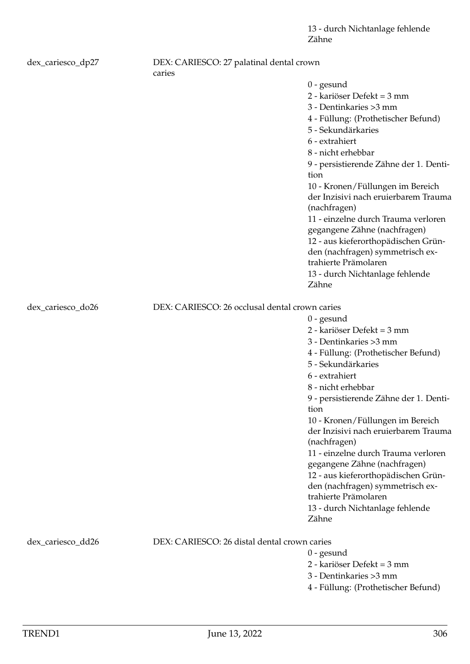| dex_cariesco_dp27 | DEX: CARIESCO: 27 palatinal dental crown<br>caries |                                                                                                                                                                                                                                                                                                                                                                                                                                                                                                                                                |
|-------------------|----------------------------------------------------|------------------------------------------------------------------------------------------------------------------------------------------------------------------------------------------------------------------------------------------------------------------------------------------------------------------------------------------------------------------------------------------------------------------------------------------------------------------------------------------------------------------------------------------------|
|                   |                                                    | $0$ - gesund<br>2 - kariöser Defekt = 3 mm<br>3 - Dentinkaries > 3 mm<br>4 - Füllung: (Prothetischer Befund)<br>5 - Sekundärkaries<br>6 - extrahiert<br>8 - nicht erhebbar<br>9 - persistierende Zähne der 1. Denti-<br>tion<br>10 - Kronen/Füllungen im Bereich<br>der Inzisivi nach eruierbarem Trauma<br>(nachfragen)<br>11 - einzelne durch Trauma verloren<br>gegangene Zähne (nachfragen)<br>12 - aus kieferorthopädischen Grün-<br>den (nachfragen) symmetrisch ex-<br>trahierte Prämolaren<br>13 - durch Nichtanlage fehlende<br>Zähne |
| dex_cariesco_do26 | DEX: CARIESCO: 26 occlusal dental crown caries     |                                                                                                                                                                                                                                                                                                                                                                                                                                                                                                                                                |
|                   |                                                    | $0$ - gesund<br>2 - kariöser Defekt = 3 mm<br>3 - Dentinkaries > 3 mm<br>4 - Füllung: (Prothetischer Befund)<br>5 - Sekundärkaries<br>6 - extrahiert<br>8 - nicht erhebbar<br>9 - persistierende Zähne der 1. Denti-<br>tion<br>10 - Kronen/Füllungen im Bereich<br>der Inzisivi nach eruierbarem Trauma<br>(nachfragen)<br>11 - einzelne durch Trauma verloren<br>gegangene Zähne (nachfragen)<br>12 - aus kieferorthopädischen Grün-<br>den (nachfragen) symmetrisch ex-<br>trahierte Prämolaren<br>13 - durch Nichtanlage fehlende<br>Zähne |
| dex_cariesco_dd26 | DEX: CARIESCO: 26 distal dental crown caries       | $0$ - gesund<br>2 - kariöser Defekt = 3 mm<br>3 - Dentinkaries > 3 mm<br>4 - Füllung: (Prothetischer Befund)                                                                                                                                                                                                                                                                                                                                                                                                                                   |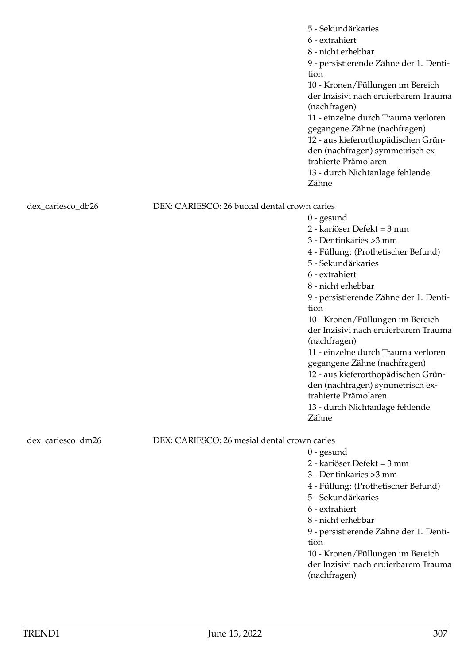|                   |                                              | 5 - Sekundärkaries<br>6 - extrahiert<br>8 - nicht erhebbar<br>9 - persistierende Zähne der 1. Denti-<br>tion<br>10 - Kronen/Füllungen im Bereich<br>der Inzisivi nach eruierbarem Trauma<br>(nachfragen)<br>11 - einzelne durch Trauma verloren<br>gegangene Zähne (nachfragen)<br>12 - aus kieferorthopädischen Grün-<br>den (nachfragen) symmetrisch ex-<br>trahierte Prämolaren<br>13 - durch Nichtanlage fehlende<br>Zähne                                                                                                                 |
|-------------------|----------------------------------------------|------------------------------------------------------------------------------------------------------------------------------------------------------------------------------------------------------------------------------------------------------------------------------------------------------------------------------------------------------------------------------------------------------------------------------------------------------------------------------------------------------------------------------------------------|
| dex_cariesco_db26 | DEX: CARIESCO: 26 buccal dental crown caries | $0$ - gesund<br>2 - kariöser Defekt = 3 mm<br>3 - Dentinkaries > 3 mm<br>4 - Füllung: (Prothetischer Befund)<br>5 - Sekundärkaries<br>6 - extrahiert<br>8 - nicht erhebbar<br>9 - persistierende Zähne der 1. Denti-<br>tion<br>10 - Kronen/Füllungen im Bereich<br>der Inzisivi nach eruierbarem Trauma<br>(nachfragen)<br>11 - einzelne durch Trauma verloren<br>gegangene Zähne (nachfragen)<br>12 - aus kieferorthopädischen Grün-<br>den (nachfragen) symmetrisch ex-<br>trahierte Prämolaren<br>13 - durch Nichtanlage fehlende<br>Zähne |
| dex_cariesco_dm26 | DEX: CARIESCO: 26 mesial dental crown caries | $0$ - gesund<br>2 - kariöser Defekt = 3 mm<br>3 - Dentinkaries > 3 mm<br>4 - Füllung: (Prothetischer Befund)<br>5 - Sekundärkaries<br>6 - extrahiert<br>8 - nicht erhebbar<br>9 - persistierende Zähne der 1. Denti-<br>tion<br>10 - Kronen/Füllungen im Bereich<br>der Inzisivi nach eruierbarem Trauma<br>(nachfragen)                                                                                                                                                                                                                       |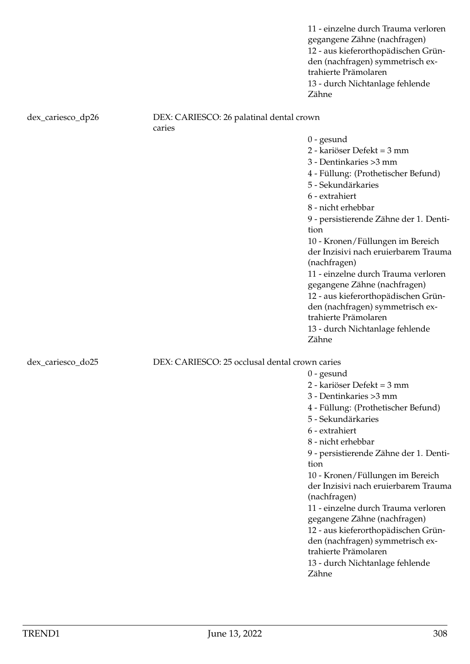11 - einzelne durch Trauma verloren gegangene Zähne (nachfragen) 12 - aus kieferorthopädischen Gründen (nachfragen) symmetrisch extrahierte Prämolaren 13 - durch Nichtanlage fehlende Zähne

### dex\_cariesco\_dp26 DEX: CARIESCO: 26 palatinal dental crown caries

0 - gesund

- 2 kariöser Defekt = 3 mm
- 3 Dentinkaries >3 mm
- 4 Füllung: (Prothetischer Befund)
- 5 Sekundärkaries
- 6 extrahiert
- 8 nicht erhebbar
- 9 persistierende Zähne der 1. Dentition

10 - Kronen/Füllungen im Bereich der Inzisivi nach eruierbarem Trauma (nachfragen)

11 - einzelne durch Trauma verloren gegangene Zähne (nachfragen)

12 - aus kieferorthopädischen Grün-

den (nachfragen) symmetrisch ex-

- trahierte Prämolaren
- 13 durch Nichtanlage fehlende Zähne

dex cariesco\_do25 DEX: CARIESCO: 25 occlusal dental crown caries

0 - gesund

- 2 kariöser Defekt = 3 mm
- 3 Dentinkaries >3 mm
- 4 Füllung: (Prothetischer Befund)
- 5 Sekundärkaries
- 6 extrahiert
- 8 nicht erhebbar

9 - persistierende Zähne der 1. Dentition

10 - Kronen/Füllungen im Bereich der Inzisivi nach eruierbarem Trauma (nachfragen)

- 11 einzelne durch Trauma verloren gegangene Zähne (nachfragen)
- 12 aus kieferorthopädischen Grün-
- den (nachfragen) symmetrisch ex-
- trahierte Prämolaren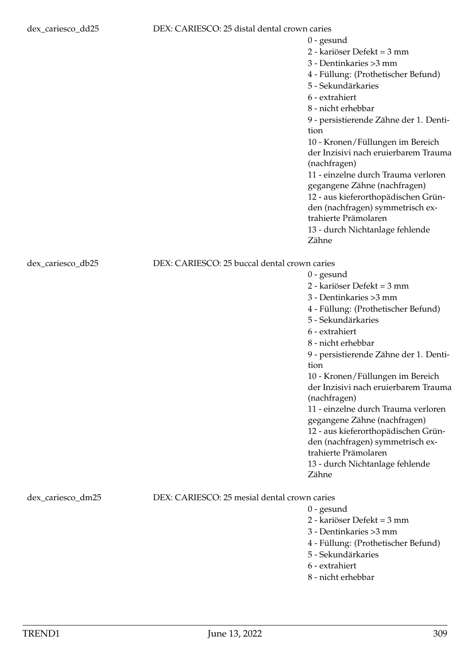### dex\_cariesco\_dd25 DEX: CARIESCO: 25 distal dental crown caries

|                          | 2 - kariöser Defekt = 3 mm             |
|--------------------------|----------------------------------------|
|                          | 3 - Dentinkaries >3 mm                 |
|                          | 4 - Füllung: (Prothetischer Befund)    |
|                          | 5 - Sekundärkaries                     |
|                          | 6 - extrahiert                         |
|                          | 8 - nicht erhebbar                     |
|                          | 9 - persistierende Zähne der 1. Denti- |
|                          | tion                                   |
|                          | 10 - Kronen/Füllungen im Bereich       |
|                          | der Inzisivi nach eruierbarem Trauma   |
|                          | (nachfragen)                           |
|                          | 11 - einzelne durch Trauma verloren    |
|                          | gegangene Zähne (nachfragen)           |
|                          | 12 - aus kieferorthopädischen Grün-    |
|                          | den (nachfragen) symmetrisch ex-       |
|                          | trahierte Prämolaren                   |
|                          | 13 - durch Nichtanlage fehlende        |
|                          | Zähne                                  |
|                          |                                        |
| ccal dental crown caries |                                        |

0 - gesund

## dex\_cariesco\_db25 DEX: CARIESCO: 25 bu

- 0 gesund
- 2 kariöser Defekt = 3 mm
- 3 Dentinkaries >3 mm
- 4 Füllung: (Prothetischer Befund)
- 5 Sekundärkaries
- 6 extrahiert
- 8 nicht erhebbar

9 - persistierende Zähne der 1. Dentition

10 - Kronen/Füllungen im Bereich der Inzisivi nach eruierbarem Trauma (nachfragen)

11 - einzelne durch Trauma verloren gegangene Zähne (nachfragen)

12 - aus kieferorthopädischen Grün-

den (nachfragen) symmetrisch ex-

trahierte Prämolaren

13 - durch Nichtanlage fehlende Zähne

# dex cariesco dm25 DEX: CARIESCO: 25 mesial dental crown caries

0 - gesund

2 - kariöser Defekt = 3 mm

- 3 Dentinkaries >3 mm
- 4 Füllung: (Prothetischer Befund)
- 5 Sekundärkaries
- 6 extrahiert
- 8 nicht erhebbar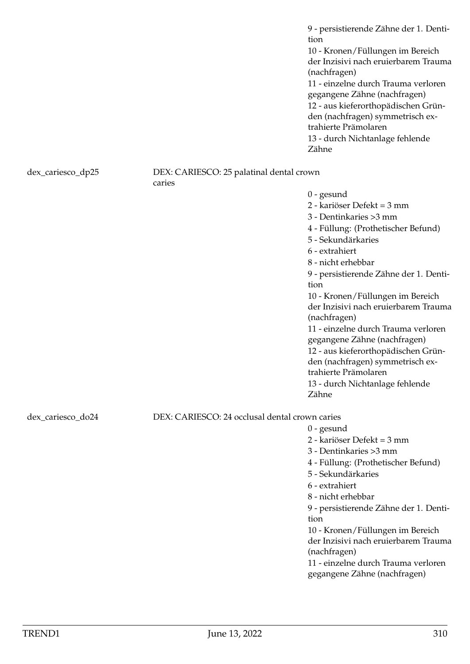9 - persistierende Zähne der 1. Dentition 10 - Kronen/Füllungen im Bereich der Inzisivi nach eruierbarem Trauma (nachfragen) 11 - einzelne durch Trauma verloren gegangene Zähne (nachfragen) 12 - aus kieferorthopädischen Gründen (nachfragen) symmetrisch extrahierte Prämolaren 13 - durch Nichtanlage fehlende Zähne

### dex\_cariesco\_dp25 DEX: CARIESCO: 25 palatinal dental crown caries

0 - gesund 2 - kariöser Defekt = 3 mm 3 - Dentinkaries >3 mm 4 - Füllung: (Prothetischer Befund) 5 - Sekundärkaries 6 - extrahiert 8 - nicht erhebbar 9 - persistierende Zähne der 1. Dentition 10 - Kronen/Füllungen im Bereich der Inzisivi nach eruierbarem Trauma (nachfragen) 11 - einzelne durch Trauma verloren gegangene Zähne (nachfragen) 12 - aus kieferorthopädischen Gründen (nachfragen) symmetrisch extrahierte Prämolaren 13 - durch Nichtanlage fehlende Zähne

0 - gesund

tion

(nachfragen)

2 - kariöser Defekt = 3 mm 3 - Dentinkaries >3 mm

5 - Sekundärkaries 6 - extrahiert 8 - nicht erhebbar

4 - Füllung: (Prothetischer Befund)

9 - persistierende Zähne der 1. Denti-

10 - Kronen/Füllungen im Bereich der Inzisivi nach eruierbarem Trauma

11 - einzelne durch Trauma verloren gegangene Zähne (nachfragen)

dex\_cariesco\_do24 DEX: CARIESCO: 24 occlusal dental crown caries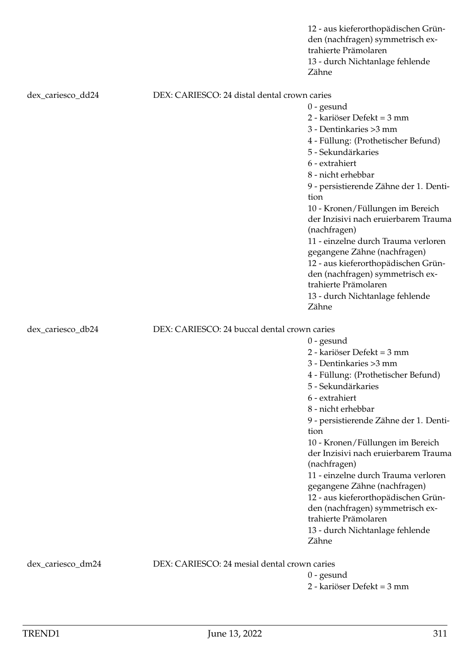|                   |                                              | 12 - aus kieferorthopädischen Grün-<br>den (nachfragen) symmetrisch ex-<br>trahierte Prämolaren<br>13 - durch Nichtanlage fehlende<br>Zähne |
|-------------------|----------------------------------------------|---------------------------------------------------------------------------------------------------------------------------------------------|
| dex_cariesco_dd24 | DEX: CARIESCO: 24 distal dental crown caries |                                                                                                                                             |
|                   |                                              | $0$ - gesund                                                                                                                                |
|                   |                                              | 2 - kariöser Defekt = 3 mm                                                                                                                  |
|                   |                                              | 3 - Dentinkaries > 3 mm                                                                                                                     |
|                   |                                              | 4 - Füllung: (Prothetischer Befund)                                                                                                         |
|                   |                                              | 5 - Sekundärkaries                                                                                                                          |
|                   |                                              | 6 - extrahiert                                                                                                                              |
|                   |                                              | 8 - nicht erhebbar                                                                                                                          |
|                   |                                              | 9 - persistierende Zähne der 1. Denti-<br>tion                                                                                              |
|                   |                                              | 10 - Kronen/Füllungen im Bereich                                                                                                            |
|                   |                                              | der Inzisivi nach eruierbarem Trauma<br>(nachfragen)                                                                                        |
|                   |                                              | 11 - einzelne durch Trauma verloren                                                                                                         |
|                   |                                              | gegangene Zähne (nachfragen)                                                                                                                |
|                   |                                              | 12 - aus kieferorthopädischen Grün-                                                                                                         |
|                   |                                              | den (nachfragen) symmetrisch ex-                                                                                                            |
|                   |                                              | trahierte Prämolaren                                                                                                                        |
|                   |                                              | 13 - durch Nichtanlage fehlende<br>Zähne                                                                                                    |
| dex_cariesco_db24 | DEX: CARIESCO: 24 buccal dental crown caries |                                                                                                                                             |
|                   |                                              | $0$ - gesund                                                                                                                                |
|                   |                                              | 2 - kariöser Defekt = 3 mm                                                                                                                  |
|                   |                                              | 3 - Dentinkaries > 3 mm                                                                                                                     |
|                   |                                              | 4 - Füllung: (Prothetischer Befund)                                                                                                         |
|                   |                                              | 5 - Sekundärkaries                                                                                                                          |
|                   |                                              | 6 - extrahiert                                                                                                                              |
|                   |                                              | 8 - nicht erhebbar                                                                                                                          |
|                   |                                              | 9 - persistierende Zähne der 1. Denti-<br>tion                                                                                              |
|                   |                                              | 10 - Kronen/Füllungen im Bereich                                                                                                            |
|                   |                                              | der Inzisivi nach eruierbarem Trauma<br>(nachfragen)                                                                                        |
|                   |                                              | 11 - einzelne durch Trauma verloren                                                                                                         |
|                   |                                              | gegangene Zähne (nachfragen)                                                                                                                |
|                   |                                              | 12 - aus kieferorthopädischen Grün-                                                                                                         |
|                   |                                              | den (nachfragen) symmetrisch ex-                                                                                                            |
|                   |                                              | trahierte Prämolaren                                                                                                                        |
|                   |                                              | 13 - durch Nichtanlage fehlende                                                                                                             |
|                   |                                              | Zähne                                                                                                                                       |
| dex_cariesco_dm24 | DEX: CARIESCO: 24 mesial dental crown caries |                                                                                                                                             |
|                   |                                              | $0$ - gesund                                                                                                                                |
|                   |                                              | 2 - kariöser Defekt = 3 mm                                                                                                                  |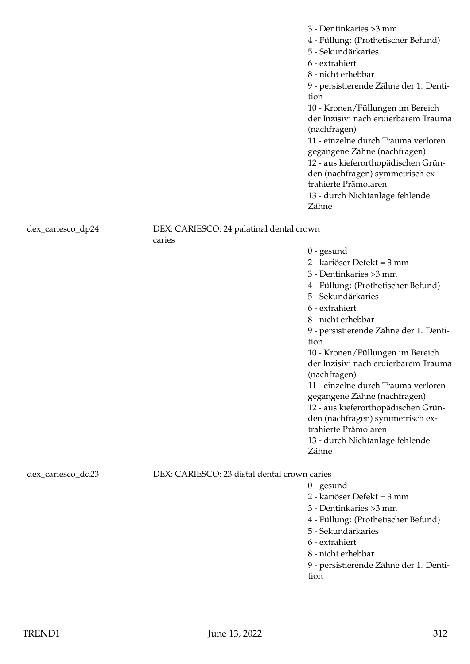3 - Dentinkaries >3 mm 4 - Füllung: (Prothetischer Befund) 5 - Sekundärkaries 6 - extrahiert 8 - nicht erhebbar 9 - persistierende Zähne der 1. Dentition 10 - Kronen/Füllungen im Bereich der Inzisivi nach eruierbarem Trauma (nachfragen) 11 - einzelne durch Trauma verloren gegangene Zähne (nachfragen) 12 - aus kieferorthopädischen Gründen (nachfragen) symmetrisch extrahierte Prämolaren 13 - durch Nichtanlage fehlende Zähne

dex\_cariesco\_dp24 DEX: CARIESCO: 24 palatinal dental crown caries

> 0 - gesund 2 - kariöser Defekt = 3 mm 3 - Dentinkaries >3 mm 4 - Füllung: (Prothetischer Befund) 5 - Sekundärkaries 6 - extrahiert 8 - nicht erhebbar 9 - persistierende Zähne der 1. Dentition 10 - Kronen/Füllungen im Bereich der Inzisivi nach eruierbarem Trauma (nachfragen) 11 - einzelne durch Trauma verloren gegangene Zähne (nachfragen) 12 - aus kieferorthopädischen Gründen (nachfragen) symmetrisch extrahierte Prämolaren 13 - durch Nichtanlage fehlende Zähne

dex\_cariesco\_dd23 DEX: CARIESCO: 23 distal dental crown caries

- 0 gesund 2 - kariöser Defekt = 3 mm
- 3 Dentinkaries >3 mm
- 4 Füllung: (Prothetischer Befund)
- 5 Sekundärkaries
- 6 extrahiert
- 8 nicht erhebbar
- 9 persistierende Zähne der 1. Dentition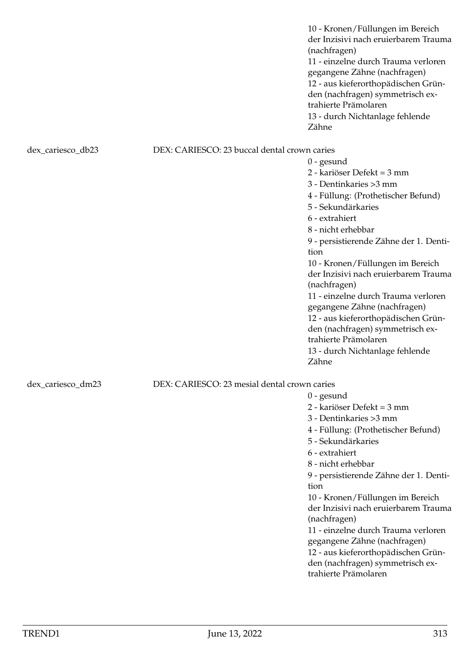10 - Kronen/Füllungen im Bereich der Inzisivi nach eruierbarem Trauma (nachfragen) 11 - einzelne durch Trauma verloren gegangene Zähne (nachfragen) 12 - aus kieferorthopädischen Gründen (nachfragen) symmetrisch extrahierte Prämolaren 13 - durch Nichtanlage fehlende Zähne

## dex\_cariesco\_db23 DEX: CARIESCO: 23 buccal dental crown caries

0 - gesund 2 - kariöser Defekt = 3 mm 3 - Dentinkaries >3 mm 4 - Füllung: (Prothetischer Befund) 5 - Sekundärkaries 6 - extrahiert 8 - nicht erhebbar 9 - persistierende Zähne der 1. Dentition 10 - Kronen/Füllungen im Bereich der Inzisivi nach eruierbarem Trauma (nachfragen) 11 - einzelne durch Trauma verloren gegangene Zähne (nachfragen) 12 - aus kieferorthopädischen Gründen (nachfragen) symmetrisch extrahierte Prämolaren 13 - durch Nichtanlage fehlende Zähne

0 - gesund

2 - kariöser Defekt = 3 mm 3 - Dentinkaries >3 mm

5 - Sekundärkaries

6 - extrahiert 8 - nicht erhebbar

(nachfragen)

trahierte Prämolaren

tion

4 - Füllung: (Prothetischer Befund)

9 - persistierende Zähne der 1. Denti-

10 - Kronen/Füllungen im Bereich der Inzisivi nach eruierbarem Trauma

11 - einzelne durch Trauma verloren gegangene Zähne (nachfragen) 12 - aus kieferorthopädischen Gründen (nachfragen) symmetrisch ex-

# dex cariesco dm23 DEX: CARIESCO: 23 mesial dental crown caries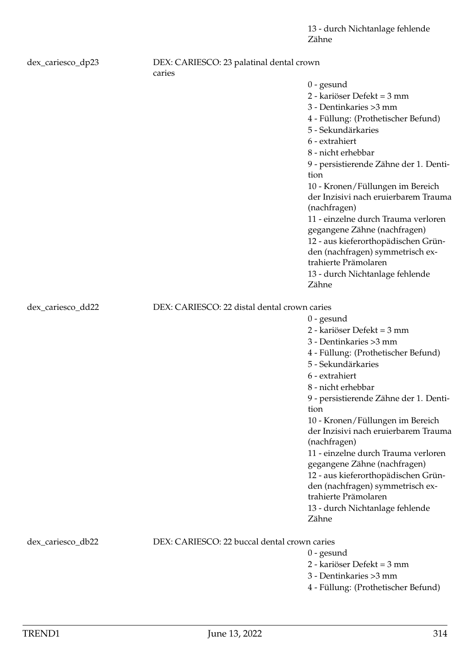| dex_cariesco_dp23 | DEX: CARIESCO: 23 palatinal dental crown<br>caries |                                                          |
|-------------------|----------------------------------------------------|----------------------------------------------------------|
|                   |                                                    | $0$ - gesund                                             |
|                   |                                                    | 2 - kariöser Defekt = 3 mm                               |
|                   |                                                    | 3 - Dentinkaries > 3 mm                                  |
|                   |                                                    | 4 - Füllung: (Prothetischer Befund)                      |
|                   |                                                    | 5 - Sekundärkaries                                       |
|                   |                                                    | 6 - extrahiert                                           |
|                   |                                                    | 8 - nicht erhebbar                                       |
|                   |                                                    | 9 - persistierende Zähne der 1. Denti-                   |
|                   |                                                    | tion                                                     |
|                   |                                                    | 10 - Kronen/Füllungen im Bereich                         |
|                   |                                                    | der Inzisivi nach eruierbarem Trauma                     |
|                   |                                                    | (nachfragen)                                             |
|                   |                                                    | 11 - einzelne durch Trauma verloren                      |
|                   |                                                    | gegangene Zähne (nachfragen)                             |
|                   |                                                    | 12 - aus kieferorthopädischen Grün-                      |
|                   |                                                    | den (nachfragen) symmetrisch ex-                         |
|                   |                                                    | trahierte Prämolaren                                     |
|                   |                                                    | 13 - durch Nichtanlage fehlende                          |
|                   |                                                    | Zähne                                                    |
| dex_cariesco_dd22 | DEX: CARIESCO: 22 distal dental crown caries       |                                                          |
|                   |                                                    | $0$ - gesund                                             |
|                   |                                                    | 2 - kariöser Defekt = 3 mm                               |
|                   |                                                    | 3 - Dentinkaries > 3 mm                                  |
|                   |                                                    | 4 - Füllung: (Prothetischer Befund)                      |
|                   |                                                    | 5 - Sekundärkaries                                       |
|                   |                                                    | 6 - extrahiert                                           |
|                   |                                                    | 8 - nicht erhebbar                                       |
|                   |                                                    | 9 - persistierende Zähne der 1. Denti-                   |
|                   |                                                    | tion                                                     |
|                   |                                                    | 10 - Kronen/Füllungen im Bereich                         |
|                   |                                                    | der Inzisivi nach eruierbarem Trauma<br>(nachfragen)     |
|                   |                                                    | 11 - einzelne durch Trauma verloren                      |
|                   |                                                    | gegangene Zähne (nachfragen)                             |
|                   |                                                    | 12 - aus kieferorthopädischen Grün-                      |
|                   |                                                    | den (nachfragen) symmetrisch ex-<br>trahierte Prämolaren |
|                   |                                                    | 13 - durch Nichtanlage fehlende                          |
|                   |                                                    | Zähne                                                    |
| dex_cariesco_db22 | DEX: CARIESCO: 22 buccal dental crown caries       |                                                          |
|                   |                                                    | $0$ - gesund                                             |
|                   |                                                    | 2 - kariöser Defekt = 3 mm                               |
|                   |                                                    | 3 - Dentinkaries > 3 mm                                  |
|                   |                                                    | 4 - Füllung: (Prothetischer Befund)                      |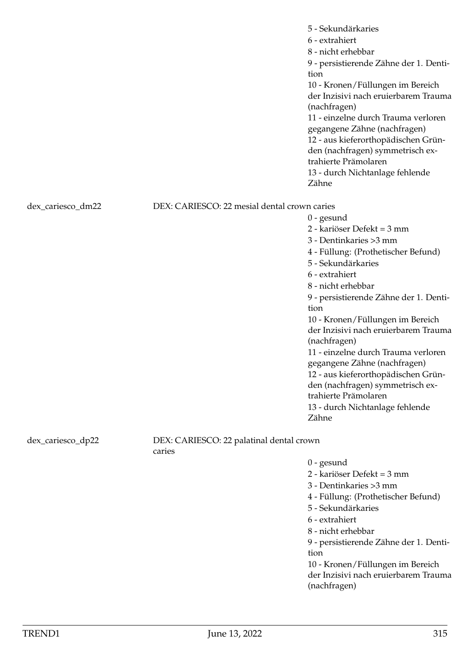|                   |                                                    | 5 - Sekundärkaries<br>6 - extrahiert<br>8 - nicht erhebbar<br>9 - persistierende Zähne der 1. Denti-<br>tion<br>10 - Kronen/Füllungen im Bereich<br>der Inzisivi nach eruierbarem Trauma<br>(nachfragen)<br>11 - einzelne durch Trauma verloren<br>gegangene Zähne (nachfragen)<br>12 - aus kieferorthopädischen Grün-<br>den (nachfragen) symmetrisch ex-<br>trahierte Prämolaren<br>13 - durch Nichtanlage fehlende<br>Zähne                                                                                                                 |
|-------------------|----------------------------------------------------|------------------------------------------------------------------------------------------------------------------------------------------------------------------------------------------------------------------------------------------------------------------------------------------------------------------------------------------------------------------------------------------------------------------------------------------------------------------------------------------------------------------------------------------------|
| dex_cariesco_dm22 | DEX: CARIESCO: 22 mesial dental crown caries       | $0$ - gesund<br>2 - kariöser Defekt = 3 mm<br>3 - Dentinkaries > 3 mm<br>4 - Füllung: (Prothetischer Befund)<br>5 - Sekundärkaries<br>6 - extrahiert<br>8 - nicht erhebbar<br>9 - persistierende Zähne der 1. Denti-<br>tion<br>10 - Kronen/Füllungen im Bereich<br>der Inzisivi nach eruierbarem Trauma<br>(nachfragen)<br>11 - einzelne durch Trauma verloren<br>gegangene Zähne (nachfragen)<br>12 - aus kieferorthopädischen Grün-<br>den (nachfragen) symmetrisch ex-<br>trahierte Prämolaren<br>13 - durch Nichtanlage fehlende<br>Zähne |
| dex_cariesco_dp22 | DEX: CARIESCO: 22 palatinal dental crown<br>caries | $0$ - gesund<br>2 - kariöser Defekt = 3 mm<br>3 - Dentinkaries > 3 mm<br>4 - Füllung: (Prothetischer Befund)<br>5 - Sekundärkaries<br>6 - extrahiert<br>8 - nicht erhebbar<br>9 - persistierende Zähne der 1. Denti-<br>tion<br>10 - Kronen/Füllungen im Bereich<br>der Inzisivi nach eruierbarem Trauma<br>(nachfragen)                                                                                                                                                                                                                       |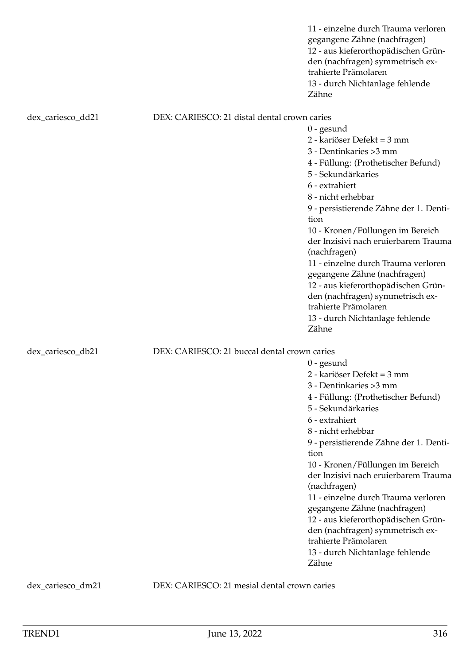|                   |                                              | 11 - einzelne durch Trauma verloren<br>gegangene Zähne (nachfragen)<br>12 - aus kieferorthopädischen Grün-<br>den (nachfragen) symmetrisch ex-<br>trahierte Prämolaren<br>13 - durch Nichtanlage fehlende<br>Zähne                                                                                                                                                                                                                                                                                                                             |
|-------------------|----------------------------------------------|------------------------------------------------------------------------------------------------------------------------------------------------------------------------------------------------------------------------------------------------------------------------------------------------------------------------------------------------------------------------------------------------------------------------------------------------------------------------------------------------------------------------------------------------|
| dex_cariesco_dd21 | DEX: CARIESCO: 21 distal dental crown caries |                                                                                                                                                                                                                                                                                                                                                                                                                                                                                                                                                |
|                   |                                              | $0$ - gesund<br>2 - kariöser Defekt = 3 mm<br>3 - Dentinkaries > 3 mm<br>4 - Füllung: (Prothetischer Befund)<br>5 - Sekundärkaries<br>6 - extrahiert<br>8 - nicht erhebbar<br>9 - persistierende Zähne der 1. Denti-<br>tion<br>10 - Kronen/Füllungen im Bereich<br>der Inzisivi nach eruierbarem Trauma<br>(nachfragen)<br>11 - einzelne durch Trauma verloren<br>gegangene Zähne (nachfragen)<br>12 - aus kieferorthopädischen Grün-<br>den (nachfragen) symmetrisch ex-<br>trahierte Prämolaren<br>13 - durch Nichtanlage fehlende          |
|                   |                                              | Zähne                                                                                                                                                                                                                                                                                                                                                                                                                                                                                                                                          |
| dex_cariesco_db21 | DEX: CARIESCO: 21 buccal dental crown caries | $0$ - gesund<br>2 - kariöser Defekt = 3 mm<br>3 - Dentinkaries > 3 mm<br>4 - Füllung: (Prothetischer Befund)<br>5 - Sekundärkaries<br>6 - extrahiert<br>8 - nicht erhebbar<br>9 - persistierende Zähne der 1. Denti-<br>tion<br>10 - Kronen/Füllungen im Bereich<br>der Inzisivi nach eruierbarem Trauma<br>(nachfragen)<br>11 - einzelne durch Trauma verloren<br>gegangene Zähne (nachfragen)<br>12 - aus kieferorthopädischen Grün-<br>den (nachfragen) symmetrisch ex-<br>trahierte Prämolaren<br>13 - durch Nichtanlage fehlende<br>Zähne |

dex\_cariesco\_dm21 DEX: CARIESCO: 21 mesial dental crown caries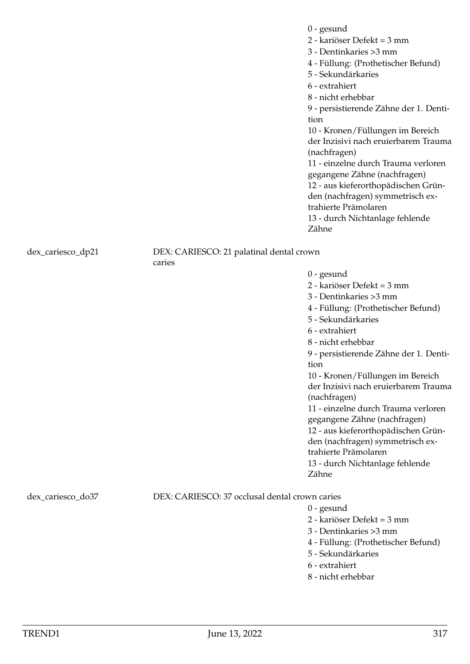0 - gesund 2 - kariöser Defekt = 3 mm 3 - Dentinkaries >3 mm 4 - Füllung: (Prothetischer Befund) 5 - Sekundärkaries 6 - extrahiert 8 - nicht erhebbar 9 - persistierende Zähne der 1. Dentition 10 - Kronen/Füllungen im Bereich der Inzisivi nach eruierbarem Trauma (nachfragen) 11 - einzelne durch Trauma verloren gegangene Zähne (nachfragen) 12 - aus kieferorthopädischen Gründen (nachfragen) symmetrisch extrahierte Prämolaren 13 - durch Nichtanlage fehlende Zähne

dex\_cariesco\_dp21 DEX: CARIESCO: 21 palatinal dental crown caries

> 10 - Kronen/Füllungen im Bereich der Inzisivi nach eruierbarem Trauma (nachfragen) 11 - einzelne durch Trauma verloren gegangene Zähne (nachfragen) 12 - aus kieferorthopädischen Gründen (nachfragen) symmetrisch extrahierte Prämolaren

13 - durch Nichtanlage fehlende Zähne

# dex\_cariesco\_do37 DEX: CARIESCO: 37 occlusal dental crown caries

0 - gesund

0 - gesund

2 - kariöser Defekt = 3 mm 3 - Dentinkaries >3 mm

5 - Sekundärkaries

6 - extrahiert 8 - nicht erhebbar

tion

4 - Füllung: (Prothetischer Befund)

9 - persistierende Zähne der 1. Denti-

2 - kariöser Defekt = 3 mm

3 - Dentinkaries >3 mm

4 - Füllung: (Prothetischer Befund)

5 - Sekundärkaries

- 6 extrahiert
- 8 nicht erhebbar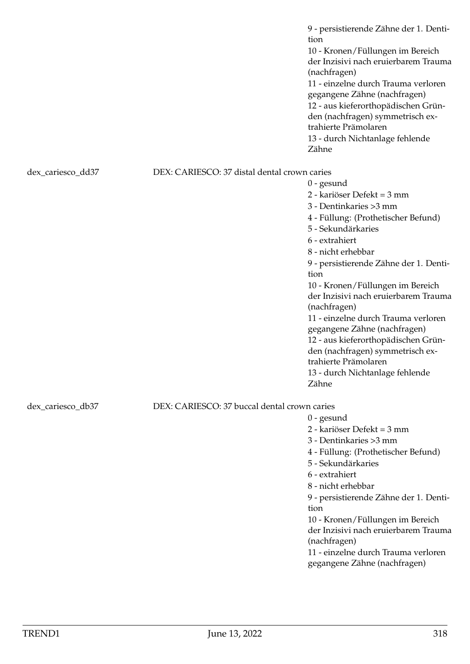9 - persistierende Zähne der 1. Dentition 10 - Kronen/Füllungen im Bereich der Inzisivi nach eruierbarem Trauma (nachfragen) 11 - einzelne durch Trauma verloren gegangene Zähne (nachfragen) 12 - aus kieferorthopädischen Gründen (nachfragen) symmetrisch extrahierte Prämolaren 13 - durch Nichtanlage fehlende Zähne

dex\_cariesco\_dd37 DEX: CARIESCO: 37 distal dental crown caries

6 - extrahiert 8 - nicht erhebbar 9 - persistierende Zähne der 1. Dentition 10 - Kronen/Füllungen im Bereich der Inzisivi nach eruierbarem Trauma (nachfragen) 11 - einzelne durch Trauma verloren gegangene Zähne (nachfragen) 12 - aus kieferorthopädischen Gründen (nachfragen) symmetrisch extrahierte Prämolaren 13 - durch Nichtanlage fehlende Zähne

dex\_cariesco\_db37 DEX: CARIESCO: 37 buccal dental crown caries

0 - gesund

0 - gesund

2 - kariöser Defekt = 3 mm 3 - Dentinkaries >3 mm

5 - Sekundärkaries

4 - Füllung: (Prothetischer Befund)

- 2 kariöser Defekt = 3 mm
- 3 Dentinkaries >3 mm
- 4 Füllung: (Prothetischer Befund)
- 5 Sekundärkaries
- 6 extrahiert
- 8 nicht erhebbar
- 9 persistierende Zähne der 1. Dentition
- 10 Kronen/Füllungen im Bereich der Inzisivi nach eruierbarem Trauma (nachfragen)
- 11 einzelne durch Trauma verloren gegangene Zähne (nachfragen)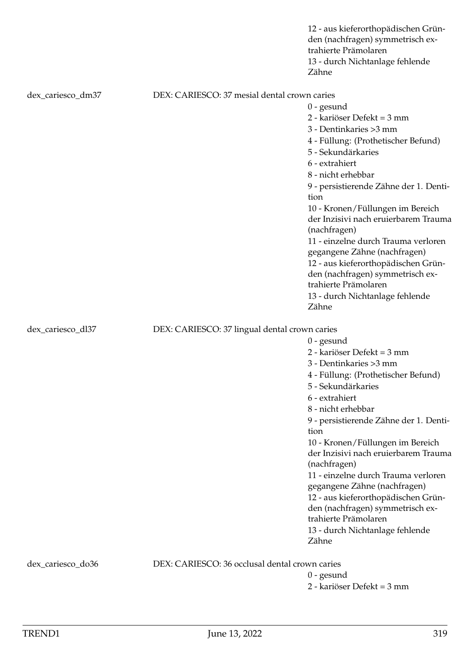|                   |                                                | 12 - aus kieferorthopädischen Grün-<br>den (nachfragen) symmetrisch ex-<br>trahierte Prämolaren<br>13 - durch Nichtanlage fehlende<br>Zähne |
|-------------------|------------------------------------------------|---------------------------------------------------------------------------------------------------------------------------------------------|
| dex_cariesco_dm37 | DEX: CARIESCO: 37 mesial dental crown caries   |                                                                                                                                             |
|                   |                                                | $0$ - gesund                                                                                                                                |
|                   |                                                | 2 - kariöser Defekt = 3 mm                                                                                                                  |
|                   |                                                | 3 - Dentinkaries > 3 mm                                                                                                                     |
|                   |                                                | 4 - Füllung: (Prothetischer Befund)                                                                                                         |
|                   |                                                | 5 - Sekundärkaries                                                                                                                          |
|                   |                                                | 6 - extrahiert                                                                                                                              |
|                   |                                                | 8 - nicht erhebbar                                                                                                                          |
|                   |                                                | 9 - persistierende Zähne der 1. Denti-<br>tion                                                                                              |
|                   |                                                | 10 - Kronen/Füllungen im Bereich                                                                                                            |
|                   |                                                | der Inzisivi nach eruierbarem Trauma<br>(nachfragen)                                                                                        |
|                   |                                                | 11 - einzelne durch Trauma verloren                                                                                                         |
|                   |                                                | gegangene Zähne (nachfragen)                                                                                                                |
|                   |                                                | 12 - aus kieferorthopädischen Grün-                                                                                                         |
|                   |                                                | den (nachfragen) symmetrisch ex-                                                                                                            |
|                   |                                                | trahierte Prämolaren                                                                                                                        |
|                   |                                                | 13 - durch Nichtanlage fehlende                                                                                                             |
|                   |                                                | Zähne                                                                                                                                       |
| dex_cariesco_dl37 | DEX: CARIESCO: 37 lingual dental crown caries  |                                                                                                                                             |
|                   |                                                | $0$ - gesund                                                                                                                                |
|                   |                                                | 2 - kariöser Defekt = 3 mm                                                                                                                  |
|                   |                                                | 3 - Dentinkaries >3 mm                                                                                                                      |
|                   |                                                | 4 - Füllung: (Prothetischer Befund)                                                                                                         |
|                   |                                                | 5 - Sekundärkaries                                                                                                                          |
|                   |                                                | 6 - extrahiert                                                                                                                              |
|                   |                                                | 8 - nicht erhebbar                                                                                                                          |
|                   |                                                | 9 - persistierende Zähne der 1. Denti-                                                                                                      |
|                   |                                                | tion                                                                                                                                        |
|                   |                                                | 10 - Kronen/Füllungen im Bereich                                                                                                            |
|                   |                                                | der Inzisivi nach eruierbarem Trauma                                                                                                        |
|                   |                                                | (nachfragen)                                                                                                                                |
|                   |                                                | 11 - einzelne durch Trauma verloren                                                                                                         |
|                   |                                                | gegangene Zähne (nachfragen)<br>12 - aus kieferorthopädischen Grün-                                                                         |
|                   |                                                | den (nachfragen) symmetrisch ex-                                                                                                            |
|                   |                                                | trahierte Prämolaren                                                                                                                        |
|                   |                                                | 13 - durch Nichtanlage fehlende                                                                                                             |
|                   |                                                | Zähne                                                                                                                                       |
|                   | DEX: CARIESCO: 36 occlusal dental crown caries |                                                                                                                                             |
| dex_cariesco_do36 |                                                |                                                                                                                                             |
|                   |                                                | $0$ - gesund<br>2 - kariöser Defekt = 3 mm                                                                                                  |
|                   |                                                |                                                                                                                                             |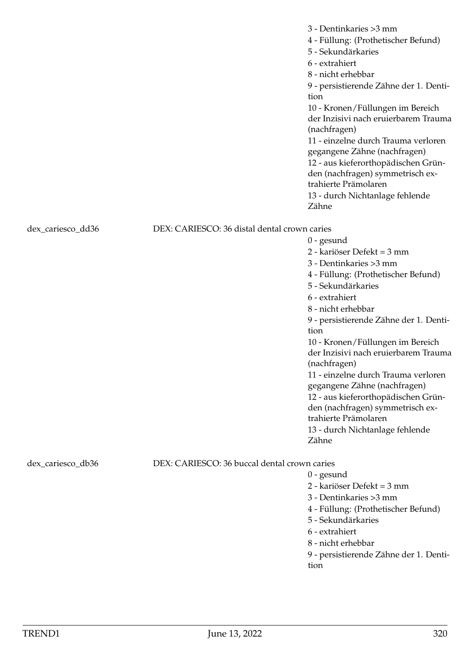|                   |                                              | 3 - Dentinkaries > 3 mm<br>4 - Füllung: (Prothetischer Befund)<br>5 - Sekundärkaries<br>6 - extrahiert<br>8 - nicht erhebbar<br>9 - persistierende Zähne der 1. Denti-<br>tion<br>10 - Kronen/Füllungen im Bereich<br>der Inzisivi nach eruierbarem Trauma<br>(nachfragen)<br>11 - einzelne durch Trauma verloren<br>gegangene Zähne (nachfragen)<br>12 - aus kieferorthopädischen Grün-<br>den (nachfragen) symmetrisch ex-<br>trahierte Prämolaren<br>13 - durch Nichtanlage fehlende<br>Zähne |
|-------------------|----------------------------------------------|--------------------------------------------------------------------------------------------------------------------------------------------------------------------------------------------------------------------------------------------------------------------------------------------------------------------------------------------------------------------------------------------------------------------------------------------------------------------------------------------------|
| dex_cariesco_dd36 | DEX: CARIESCO: 36 distal dental crown caries |                                                                                                                                                                                                                                                                                                                                                                                                                                                                                                  |
|                   |                                              | $0$ - gesund                                                                                                                                                                                                                                                                                                                                                                                                                                                                                     |
|                   |                                              | 2 - kariöser Defekt = 3 mm                                                                                                                                                                                                                                                                                                                                                                                                                                                                       |
|                   |                                              | 3 - Dentinkaries > 3 mm                                                                                                                                                                                                                                                                                                                                                                                                                                                                          |
|                   |                                              | 4 - Füllung: (Prothetischer Befund)                                                                                                                                                                                                                                                                                                                                                                                                                                                              |
|                   |                                              | 5 - Sekundärkaries                                                                                                                                                                                                                                                                                                                                                                                                                                                                               |
|                   |                                              | 6 - extrahiert                                                                                                                                                                                                                                                                                                                                                                                                                                                                                   |
|                   |                                              | 8 - nicht erhebbar                                                                                                                                                                                                                                                                                                                                                                                                                                                                               |
|                   |                                              | 9 - persistierende Zähne der 1. Denti-                                                                                                                                                                                                                                                                                                                                                                                                                                                           |
|                   |                                              | tion                                                                                                                                                                                                                                                                                                                                                                                                                                                                                             |
|                   |                                              | 10 - Kronen/Füllungen im Bereich                                                                                                                                                                                                                                                                                                                                                                                                                                                                 |
|                   |                                              | der Inzisivi nach eruierbarem Trauma<br>(nachfragen)                                                                                                                                                                                                                                                                                                                                                                                                                                             |
|                   |                                              | 11 - einzelne durch Trauma verloren                                                                                                                                                                                                                                                                                                                                                                                                                                                              |
|                   |                                              | gegangene Zähne (nachfragen)                                                                                                                                                                                                                                                                                                                                                                                                                                                                     |
|                   |                                              | 12 - aus kieferorthopädischen Grün-                                                                                                                                                                                                                                                                                                                                                                                                                                                              |
|                   |                                              | den (nachfragen) symmetrisch ex-                                                                                                                                                                                                                                                                                                                                                                                                                                                                 |
|                   |                                              | trahierte Prämolaren                                                                                                                                                                                                                                                                                                                                                                                                                                                                             |
|                   |                                              | 13 - durch Nichtanlage fehlende                                                                                                                                                                                                                                                                                                                                                                                                                                                                  |
|                   |                                              | Zähne                                                                                                                                                                                                                                                                                                                                                                                                                                                                                            |
| dex_cariesco_db36 | DEX: CARIESCO: 36 buccal dental crown caries |                                                                                                                                                                                                                                                                                                                                                                                                                                                                                                  |
|                   |                                              | $0$ - gesund                                                                                                                                                                                                                                                                                                                                                                                                                                                                                     |
|                   |                                              | 2 - kariöser Defekt = 3 mm                                                                                                                                                                                                                                                                                                                                                                                                                                                                       |
|                   |                                              | 3 - Dentinkaries > 3 mm                                                                                                                                                                                                                                                                                                                                                                                                                                                                          |
|                   |                                              | 4 - Füllung: (Prothetischer Befund)                                                                                                                                                                                                                                                                                                                                                                                                                                                              |
|                   |                                              | 5 - Sekundärkaries                                                                                                                                                                                                                                                                                                                                                                                                                                                                               |
|                   |                                              | 6 - extrahiert                                                                                                                                                                                                                                                                                                                                                                                                                                                                                   |
|                   |                                              | 8 - nicht erhebbar                                                                                                                                                                                                                                                                                                                                                                                                                                                                               |
|                   |                                              | $J_2$ 7:1 $J_{22}$ 1                                                                                                                                                                                                                                                                                                                                                                                                                                                                             |

9 - persistierende Zähne der 1. Dentition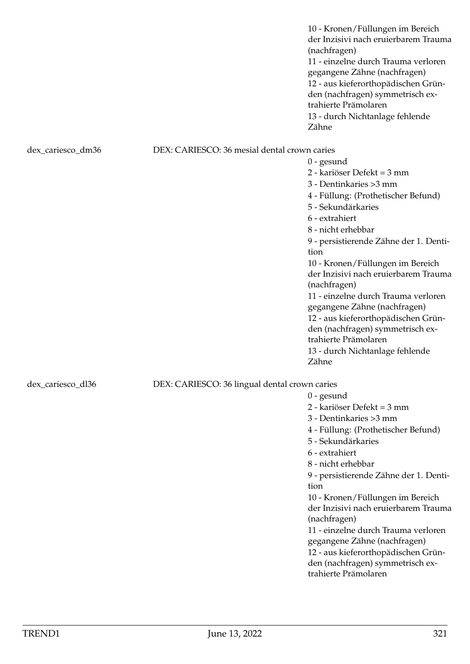10 - Kronen/Füllungen im Bereich der Inzisivi nach eruierbarem Trauma (nachfragen) 11 - einzelne durch Trauma verloren gegangene Zähne (nachfragen) 12 - aus kieferorthopädischen Gründen (nachfragen) symmetrisch extrahierte Prämolaren 13 - durch Nichtanlage fehlende Zähne

0 - gesund

0 - gesund

tion

(nachfragen)

trahierte Prämolaren

2 - kariöser Defekt = 3 mm 3 - Dentinkaries >3 mm

5 - Sekundärkaries 6 - extrahiert 8 - nicht erhebbar

4 - Füllung: (Prothetischer Befund)

9 - persistierende Zähne der 1. Denti-

10 - Kronen/Füllungen im Bereich der Inzisivi nach eruierbarem Trauma

11 - einzelne durch Trauma verloren gegangene Zähne (nachfragen) 12 - aus kieferorthopädischen Gründen (nachfragen) symmetrisch ex-

## dex\_cariesco\_dm36 DEX: CARIESCO: 36 mesial dental crown caries

2 - kariöser Defekt = 3 mm 3 - Dentinkaries >3 mm 4 - Füllung: (Prothetischer Befund) 5 - Sekundärkaries 6 - extrahiert 8 - nicht erhebbar 9 - persistierende Zähne der 1. Dentition 10 - Kronen/Füllungen im Bereich der Inzisivi nach eruierbarem Trauma (nachfragen) 11 - einzelne durch Trauma verloren gegangene Zähne (nachfragen) 12 - aus kieferorthopädischen Gründen (nachfragen) symmetrisch extrahierte Prämolaren 13 - durch Nichtanlage fehlende Zähne

# dex\_cariesco\_dl36 DEX: CARIESCO: 36 lingual dental crown caries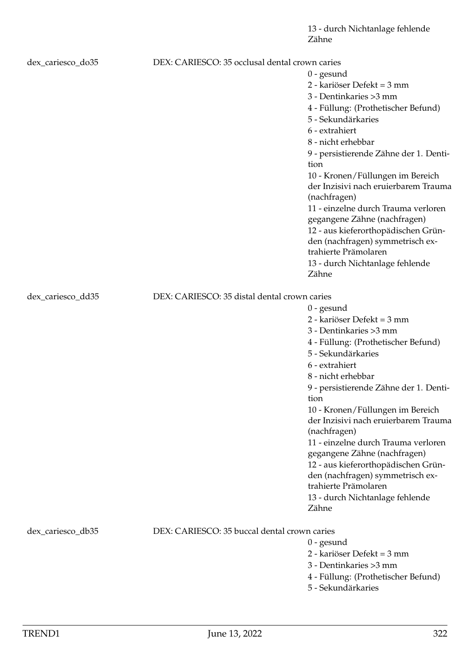| dex_cariesco_do35 | DEX: CARIESCO: 35 occlusal dental crown caries |                                        |
|-------------------|------------------------------------------------|----------------------------------------|
|                   |                                                | $0$ - gesund                           |
|                   |                                                | 2 - kariöser Defekt = 3 mm             |
|                   |                                                | 3 - Dentinkaries > 3 mm                |
|                   |                                                | 4 - Füllung: (Prothetischer Befund)    |
|                   |                                                | 5 - Sekundärkaries                     |
|                   |                                                | 6 - extrahiert                         |
|                   |                                                | 8 - nicht erhebbar                     |
|                   |                                                | 9 - persistierende Zähne der 1. Denti- |
|                   |                                                | tion                                   |
|                   |                                                | 10 - Kronen/Füllungen im Bereich       |
|                   |                                                | der Inzisivi nach eruierbarem Trauma   |
|                   |                                                | (nachfragen)                           |
|                   |                                                | 11 - einzelne durch Trauma verloren    |
|                   |                                                | gegangene Zähne (nachfragen)           |
|                   |                                                | 12 - aus kieferorthopädischen Grün-    |
|                   |                                                | den (nachfragen) symmetrisch ex-       |
|                   |                                                | trahierte Prämolaren                   |
|                   |                                                | 13 - durch Nichtanlage fehlende        |
|                   |                                                | Zähne                                  |
| dex_cariesco_dd35 | DEX: CARIESCO: 35 distal dental crown caries   |                                        |
|                   |                                                | $0$ - gesund                           |
|                   |                                                | 2 - kariöser Defekt = 3 mm             |
|                   |                                                | 3 - Dentinkaries > 3 mm                |
|                   |                                                | 4 - Füllung: (Prothetischer Befund)    |
|                   |                                                | 5 - Sekundärkaries                     |
|                   |                                                | 6 - extrahiert                         |
|                   |                                                | 8 - nicht erhebbar                     |
|                   |                                                | 9 - persistierende Zähne der 1. Denti- |
|                   |                                                | tion                                   |
|                   |                                                | 10 - Kronen/Füllungen im Bereich       |
|                   |                                                | der Inzisivi nach eruierbarem Trauma   |
|                   |                                                | (nachfragen)                           |
|                   |                                                | 11 - einzelne durch Trauma verloren    |
|                   |                                                | gegangene Zähne (nachfragen)           |
|                   |                                                | 12 - aus kieferorthopädischen Grün-    |
|                   |                                                | den (nachfragen) symmetrisch ex-       |
|                   |                                                | trahierte Prämolaren                   |
|                   |                                                | 13 - durch Nichtanlage fehlende        |
|                   |                                                | Zähne                                  |
| dex_cariesco_db35 | DEX: CARIESCO: 35 buccal dental crown caries   |                                        |
|                   |                                                | $0$ - gesund                           |
|                   |                                                | 2 - kariöser Defekt = 3 mm             |
|                   |                                                | 3 - Dentinkaries > 3 mm                |
|                   |                                                | $E:11, m \sim (D, 4)$                  |

- 4 Füllung: (Prothetischer Befund)
- 5 Sekundärkaries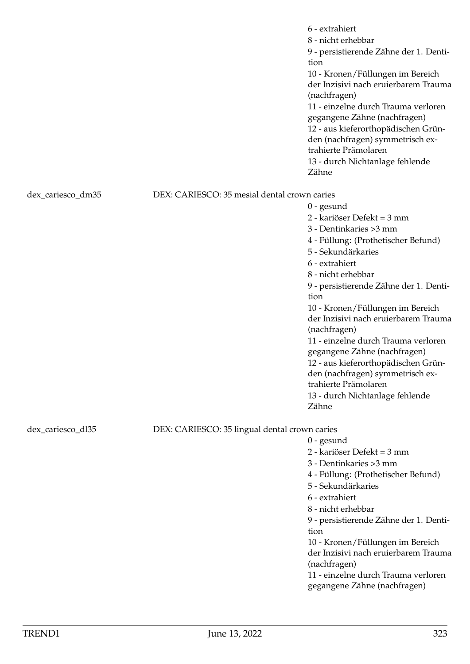|                   |                                               | 6 - extrahiert<br>8 - nicht erhebbar<br>9 - persistierende Zähne der 1. Denti-<br>tion<br>10 - Kronen/Füllungen im Bereich<br>der Inzisivi nach eruierbarem Trauma<br>(nachfragen)<br>11 - einzelne durch Trauma verloren<br>gegangene Zähne (nachfragen)<br>12 - aus kieferorthopädischen Grün-<br>den (nachfragen) symmetrisch ex-<br>trahierte Prämolaren<br>13 - durch Nichtanlage fehlende<br>Zähne |
|-------------------|-----------------------------------------------|----------------------------------------------------------------------------------------------------------------------------------------------------------------------------------------------------------------------------------------------------------------------------------------------------------------------------------------------------------------------------------------------------------|
| dex_cariesco_dm35 | DEX: CARIESCO: 35 mesial dental crown caries  |                                                                                                                                                                                                                                                                                                                                                                                                          |
|                   |                                               | $0$ - gesund                                                                                                                                                                                                                                                                                                                                                                                             |
|                   |                                               | 2 - kariöser Defekt = 3 mm                                                                                                                                                                                                                                                                                                                                                                               |
|                   |                                               | 3 - Dentinkaries > 3 mm                                                                                                                                                                                                                                                                                                                                                                                  |
|                   |                                               | 4 - Füllung: (Prothetischer Befund)                                                                                                                                                                                                                                                                                                                                                                      |
|                   |                                               | 5 - Sekundärkaries                                                                                                                                                                                                                                                                                                                                                                                       |
|                   |                                               | 6 - extrahiert                                                                                                                                                                                                                                                                                                                                                                                           |
|                   |                                               | 8 - nicht erhebbar                                                                                                                                                                                                                                                                                                                                                                                       |
|                   |                                               | 9 - persistierende Zähne der 1. Denti-                                                                                                                                                                                                                                                                                                                                                                   |
|                   |                                               | tion                                                                                                                                                                                                                                                                                                                                                                                                     |
|                   |                                               | 10 - Kronen/Füllungen im Bereich                                                                                                                                                                                                                                                                                                                                                                         |
|                   |                                               | der Inzisivi nach eruierbarem Trauma                                                                                                                                                                                                                                                                                                                                                                     |
|                   |                                               | (nachfragen)<br>11 - einzelne durch Trauma verloren                                                                                                                                                                                                                                                                                                                                                      |
|                   |                                               | gegangene Zähne (nachfragen)                                                                                                                                                                                                                                                                                                                                                                             |
|                   |                                               | 12 - aus kieferorthopädischen Grün-                                                                                                                                                                                                                                                                                                                                                                      |
|                   |                                               | den (nachfragen) symmetrisch ex-                                                                                                                                                                                                                                                                                                                                                                         |
|                   |                                               | trahierte Prämolaren                                                                                                                                                                                                                                                                                                                                                                                     |
|                   |                                               | 13 - durch Nichtanlage fehlende                                                                                                                                                                                                                                                                                                                                                                          |
|                   |                                               | Zähne                                                                                                                                                                                                                                                                                                                                                                                                    |
|                   |                                               |                                                                                                                                                                                                                                                                                                                                                                                                          |
| dex_cariesco_dl35 | DEX: CARIESCO: 35 lingual dental crown caries |                                                                                                                                                                                                                                                                                                                                                                                                          |
|                   |                                               | $0$ - gesund<br>2 - kariöser Defekt = 3 mm                                                                                                                                                                                                                                                                                                                                                               |
|                   |                                               | 3 - Dentinkaries > 3 mm                                                                                                                                                                                                                                                                                                                                                                                  |
|                   |                                               | 4 - Füllung: (Prothetischer Befund)                                                                                                                                                                                                                                                                                                                                                                      |
|                   |                                               | 5 - Sekundärkaries                                                                                                                                                                                                                                                                                                                                                                                       |
|                   |                                               | 6 - extrahiert                                                                                                                                                                                                                                                                                                                                                                                           |
|                   |                                               | 8 - nicht erhebbar                                                                                                                                                                                                                                                                                                                                                                                       |
|                   |                                               | 9 - persistierende Zähne der 1. Denti-                                                                                                                                                                                                                                                                                                                                                                   |
|                   |                                               | tion                                                                                                                                                                                                                                                                                                                                                                                                     |
|                   |                                               | 10 - Kronen/Füllungen im Bereich                                                                                                                                                                                                                                                                                                                                                                         |
|                   |                                               | der Inzisivi nach eruierbarem Trauma                                                                                                                                                                                                                                                                                                                                                                     |
|                   |                                               | (nachfragen)                                                                                                                                                                                                                                                                                                                                                                                             |
|                   |                                               | 11 - einzelne durch Trauma verloren                                                                                                                                                                                                                                                                                                                                                                      |
|                   |                                               | gegangene Zähne (nachfragen)                                                                                                                                                                                                                                                                                                                                                                             |
|                   |                                               |                                                                                                                                                                                                                                                                                                                                                                                                          |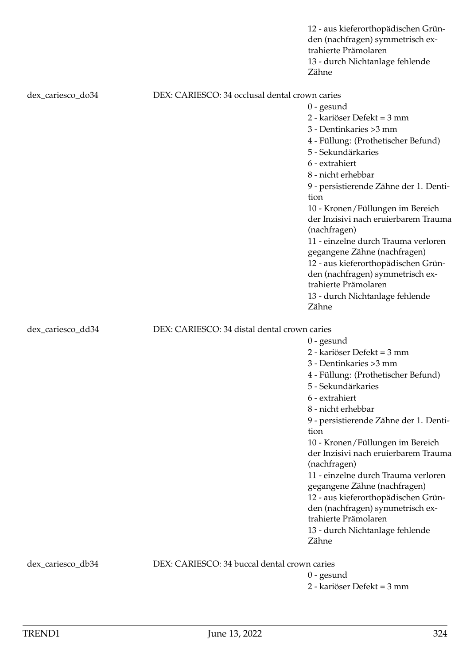|                   |                                                | 12 - aus kieferorthopädischen Grün-<br>den (nachfragen) symmetrisch ex-<br>trahierte Prämolaren<br>13 - durch Nichtanlage fehlende<br>Zähne                                                                                                                                                                                                                                                                                                                                                                                                    |
|-------------------|------------------------------------------------|------------------------------------------------------------------------------------------------------------------------------------------------------------------------------------------------------------------------------------------------------------------------------------------------------------------------------------------------------------------------------------------------------------------------------------------------------------------------------------------------------------------------------------------------|
| dex_cariesco_do34 | DEX: CARIESCO: 34 occlusal dental crown caries | $0$ - gesund<br>2 - kariöser Defekt = 3 mm<br>3 - Dentinkaries > 3 mm<br>4 - Füllung: (Prothetischer Befund)<br>5 - Sekundärkaries<br>6 - extrahiert<br>8 - nicht erhebbar<br>9 - persistierende Zähne der 1. Denti-<br>tion<br>10 - Kronen/Füllungen im Bereich<br>der Inzisivi nach eruierbarem Trauma<br>(nachfragen)<br>11 - einzelne durch Trauma verloren<br>gegangene Zähne (nachfragen)<br>12 - aus kieferorthopädischen Grün-<br>den (nachfragen) symmetrisch ex-<br>trahierte Prämolaren                                             |
|                   |                                                | 13 - durch Nichtanlage fehlende<br>Zähne                                                                                                                                                                                                                                                                                                                                                                                                                                                                                                       |
| dex_cariesco_dd34 | DEX: CARIESCO: 34 distal dental crown caries   | $0$ - gesund<br>2 - kariöser Defekt = 3 mm<br>3 - Dentinkaries > 3 mm<br>4 - Füllung: (Prothetischer Befund)<br>5 - Sekundärkaries<br>6 - extrahiert<br>8 - nicht erhebbar<br>9 - persistierende Zähne der 1. Denti-<br>tion<br>10 - Kronen/Füllungen im Bereich<br>der Inzisivi nach eruierbarem Trauma<br>(nachfragen)<br>11 - einzelne durch Trauma verloren<br>gegangene Zähne (nachfragen)<br>12 - aus kieferorthopädischen Grün-<br>den (nachfragen) symmetrisch ex-<br>trahierte Prämolaren<br>13 - durch Nichtanlage fehlende<br>Zähne |
| dex_cariesco_db34 | DEX: CARIESCO: 34 buccal dental crown caries   | $0$ - gesund<br>2 - kariöser Defekt = 3 mm                                                                                                                                                                                                                                                                                                                                                                                                                                                                                                     |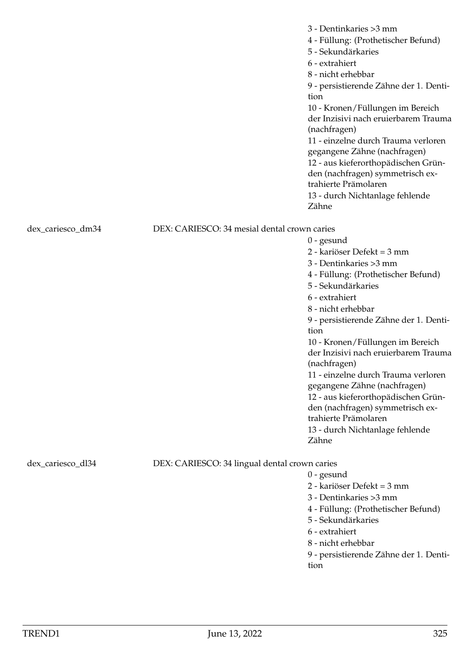|                   |                                               | 3 - Dentinkaries > 3 mm<br>4 - Füllung: (Prothetischer Befund)<br>5 - Sekundärkaries<br>6 - extrahiert<br>8 - nicht erhebbar<br>9 - persistierende Zähne der 1. Denti-<br>tion<br>10 - Kronen/Füllungen im Bereich<br>der Inzisivi nach eruierbarem Trauma<br>(nachfragen)<br>11 - einzelne durch Trauma verloren<br>gegangene Zähne (nachfragen)<br>12 - aus kieferorthopädischen Grün-<br>den (nachfragen) symmetrisch ex-<br>trahierte Prämolaren<br>13 - durch Nichtanlage fehlende<br>Zähne |
|-------------------|-----------------------------------------------|--------------------------------------------------------------------------------------------------------------------------------------------------------------------------------------------------------------------------------------------------------------------------------------------------------------------------------------------------------------------------------------------------------------------------------------------------------------------------------------------------|
| dex_cariesco_dm34 | DEX: CARIESCO: 34 mesial dental crown caries  |                                                                                                                                                                                                                                                                                                                                                                                                                                                                                                  |
|                   |                                               | $0$ - gesund                                                                                                                                                                                                                                                                                                                                                                                                                                                                                     |
|                   |                                               | 2 - kariöser Defekt = 3 mm                                                                                                                                                                                                                                                                                                                                                                                                                                                                       |
|                   |                                               | 3 - Dentinkaries > 3 mm                                                                                                                                                                                                                                                                                                                                                                                                                                                                          |
|                   |                                               | 4 - Füllung: (Prothetischer Befund)                                                                                                                                                                                                                                                                                                                                                                                                                                                              |
|                   |                                               | 5 - Sekundärkaries                                                                                                                                                                                                                                                                                                                                                                                                                                                                               |
|                   |                                               | 6 - extrahiert                                                                                                                                                                                                                                                                                                                                                                                                                                                                                   |
|                   |                                               | 8 - nicht erhebbar                                                                                                                                                                                                                                                                                                                                                                                                                                                                               |
|                   |                                               | 9 - persistierende Zähne der 1. Denti-                                                                                                                                                                                                                                                                                                                                                                                                                                                           |
|                   |                                               | tion                                                                                                                                                                                                                                                                                                                                                                                                                                                                                             |
|                   |                                               | 10 - Kronen/Füllungen im Bereich                                                                                                                                                                                                                                                                                                                                                                                                                                                                 |
|                   |                                               | der Inzisivi nach eruierbarem Trauma<br>(nachfragen)                                                                                                                                                                                                                                                                                                                                                                                                                                             |
|                   |                                               | 11 - einzelne durch Trauma verloren                                                                                                                                                                                                                                                                                                                                                                                                                                                              |
|                   |                                               | gegangene Zähne (nachfragen)                                                                                                                                                                                                                                                                                                                                                                                                                                                                     |
|                   |                                               | 12 - aus kieferorthopädischen Grün-                                                                                                                                                                                                                                                                                                                                                                                                                                                              |
|                   |                                               | den (nachfragen) symmetrisch ex-                                                                                                                                                                                                                                                                                                                                                                                                                                                                 |
|                   |                                               | trahierte Prämolaren                                                                                                                                                                                                                                                                                                                                                                                                                                                                             |
|                   |                                               | 13 - durch Nichtanlage fehlende                                                                                                                                                                                                                                                                                                                                                                                                                                                                  |
|                   |                                               | Zähne                                                                                                                                                                                                                                                                                                                                                                                                                                                                                            |
| dex_cariesco_dl34 | DEX: CARIESCO: 34 lingual dental crown caries |                                                                                                                                                                                                                                                                                                                                                                                                                                                                                                  |
|                   |                                               | $0$ - gesund                                                                                                                                                                                                                                                                                                                                                                                                                                                                                     |
|                   |                                               | 2 - kariöser Defekt = 3 mm                                                                                                                                                                                                                                                                                                                                                                                                                                                                       |
|                   |                                               | 3 - Dentinkaries > 3 mm                                                                                                                                                                                                                                                                                                                                                                                                                                                                          |
|                   |                                               | 4 - Füllung: (Prothetischer Befund)                                                                                                                                                                                                                                                                                                                                                                                                                                                              |
|                   |                                               | 5 - Sekundärkaries                                                                                                                                                                                                                                                                                                                                                                                                                                                                               |
|                   |                                               | 6 - extrahiert                                                                                                                                                                                                                                                                                                                                                                                                                                                                                   |
|                   |                                               | 8 - nicht erhebbar                                                                                                                                                                                                                                                                                                                                                                                                                                                                               |
|                   |                                               | 9 - persistierende Zähne der 1. Denti-                                                                                                                                                                                                                                                                                                                                                                                                                                                           |

 $\frac{9 - p}{100}$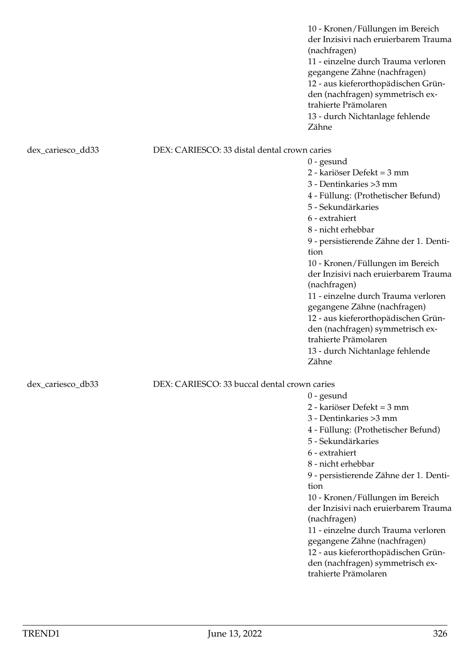10 - Kronen/Füllungen im Bereich der Inzisivi nach eruierbarem Trauma (nachfragen) 11 - einzelne durch Trauma verloren gegangene Zähne (nachfragen) 12 - aus kieferorthopädischen Gründen (nachfragen) symmetrisch extrahierte Prämolaren 13 - durch Nichtanlage fehlende Zähne

## dex\_cariesco\_dd33 DEX: CARIESCO: 33 distal dental crown caries

0 - gesund 2 - kariöser Defekt = 3 mm 3 - Dentinkaries >3 mm 4 - Füllung: (Prothetischer Befund) 5 - Sekundärkaries 6 - extrahiert 8 - nicht erhebbar 9 - persistierende Zähne der 1. Dentition 10 - Kronen/Füllungen im Bereich der Inzisivi nach eruierbarem Trauma (nachfragen) 11 - einzelne durch Trauma verloren gegangene Zähne (nachfragen) 12 - aus kieferorthopädischen Gründen (nachfragen) symmetrisch extrahierte Prämolaren 13 - durch Nichtanlage fehlende Zähne

0 - gesund

2 - kariöser Defekt = 3 mm 3 - Dentinkaries >3 mm

5 - Sekundärkaries

6 - extrahiert 8 - nicht erhebbar

(nachfragen)

trahierte Prämolaren

tion

4 - Füllung: (Prothetischer Befund)

9 - persistierende Zähne der 1. Denti-

10 - Kronen/Füllungen im Bereich der Inzisivi nach eruierbarem Trauma

11 - einzelne durch Trauma verloren gegangene Zähne (nachfragen) 12 - aus kieferorthopädischen Gründen (nachfragen) symmetrisch ex-

## dex cariesco db33 DEX: CARIESCO: 33 buccal dental crown caries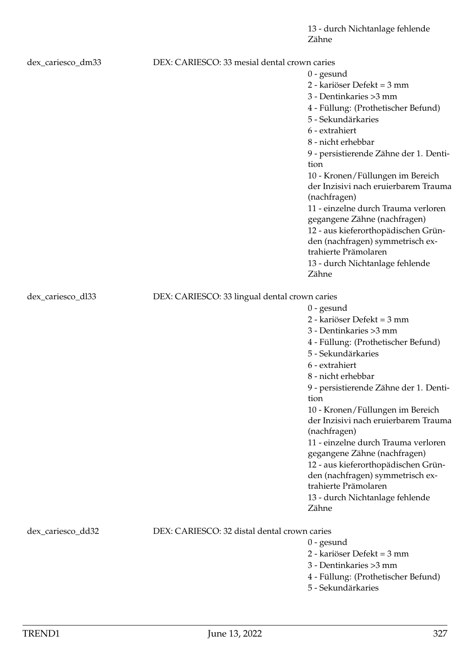13 - durch Nichtanlage fehlende Zähne

| dex_cariesco_dm33 | DEX: CARIESCO: 33 mesial dental crown caries  | $0$ - gesund<br>2 - kariöser Defekt = 3 mm<br>3 - Dentinkaries > 3 mm<br>4 - Füllung: (Prothetischer Befund)<br>5 - Sekundärkaries<br>6 - extrahiert<br>8 - nicht erhebbar<br>9 - persistierende Zähne der 1. Denti-<br>tion<br>10 - Kronen/Füllungen im Bereich<br>der Inzisivi nach eruierbarem Trauma                                                                                                                                                                                                                                       |
|-------------------|-----------------------------------------------|------------------------------------------------------------------------------------------------------------------------------------------------------------------------------------------------------------------------------------------------------------------------------------------------------------------------------------------------------------------------------------------------------------------------------------------------------------------------------------------------------------------------------------------------|
|                   |                                               | (nachfragen)<br>11 - einzelne durch Trauma verloren<br>gegangene Zähne (nachfragen)<br>12 - aus kieferorthopädischen Grün-<br>den (nachfragen) symmetrisch ex-<br>trahierte Prämolaren<br>13 - durch Nichtanlage fehlende<br>Zähne                                                                                                                                                                                                                                                                                                             |
| dex_cariesco_dl33 | DEX: CARIESCO: 33 lingual dental crown caries |                                                                                                                                                                                                                                                                                                                                                                                                                                                                                                                                                |
|                   |                                               | $0$ - gesund<br>2 - kariöser Defekt = 3 mm<br>3 - Dentinkaries > 3 mm<br>4 - Füllung: (Prothetischer Befund)<br>5 - Sekundärkaries<br>6 - extrahiert<br>8 - nicht erhebbar<br>9 - persistierende Zähne der 1. Denti-<br>tion<br>10 - Kronen/Füllungen im Bereich<br>der Inzisivi nach eruierbarem Trauma<br>(nachfragen)<br>11 - einzelne durch Trauma verloren<br>gegangene Zähne (nachfragen)<br>12 - aus kieferorthopädischen Grün-<br>den (nachfragen) symmetrisch ex-<br>trahierte Prämolaren<br>13 - durch Nichtanlage fehlende<br>Zähne |
| dex_cariesco_dd32 | DEX: CARIESCO: 32 distal dental crown caries  | $0$ - gesund<br>2 - kariöser Defekt = 3 mm<br>3 - Dentinkaries > 3 mm<br>4 - Füllung: (Prothetischer Befund)                                                                                                                                                                                                                                                                                                                                                                                                                                   |

5 - Sekundärkaries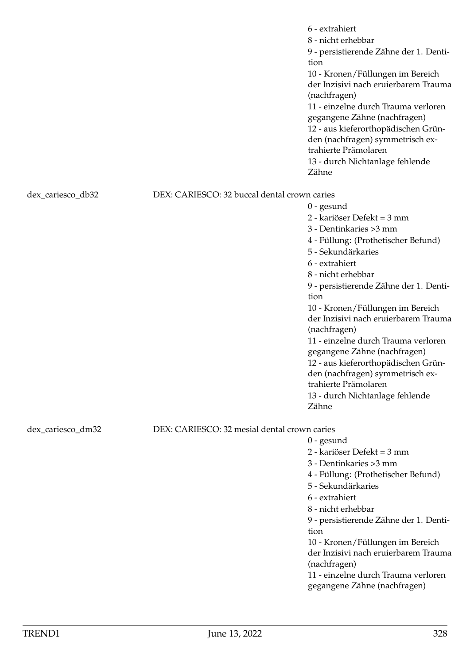|                   |                                              | 6 - extrahiert<br>8 - nicht erhebbar<br>9 - persistierende Zähne der 1. Denti-<br>tion<br>10 - Kronen/Füllungen im Bereich<br>der Inzisivi nach eruierbarem Trauma<br>(nachfragen)<br>11 - einzelne durch Trauma verloren<br>gegangene Zähne (nachfragen)<br>12 - aus kieferorthopädischen Grün-<br>den (nachfragen) symmetrisch ex-<br>trahierte Prämolaren<br>13 - durch Nichtanlage fehlende<br>Zähne |
|-------------------|----------------------------------------------|----------------------------------------------------------------------------------------------------------------------------------------------------------------------------------------------------------------------------------------------------------------------------------------------------------------------------------------------------------------------------------------------------------|
| dex_cariesco_db32 | DEX: CARIESCO: 32 buccal dental crown caries |                                                                                                                                                                                                                                                                                                                                                                                                          |
|                   |                                              | $0$ - gesund                                                                                                                                                                                                                                                                                                                                                                                             |
|                   |                                              | 2 - kariöser Defekt = 3 mm                                                                                                                                                                                                                                                                                                                                                                               |
|                   |                                              | 3 - Dentinkaries > 3 mm                                                                                                                                                                                                                                                                                                                                                                                  |
|                   |                                              | 4 - Füllung: (Prothetischer Befund)                                                                                                                                                                                                                                                                                                                                                                      |
|                   |                                              | 5 - Sekundärkaries                                                                                                                                                                                                                                                                                                                                                                                       |
|                   |                                              | 6 - extrahiert                                                                                                                                                                                                                                                                                                                                                                                           |
|                   |                                              | 8 - nicht erhebbar                                                                                                                                                                                                                                                                                                                                                                                       |
|                   |                                              | 9 - persistierende Zähne der 1. Denti-                                                                                                                                                                                                                                                                                                                                                                   |
|                   |                                              | tion                                                                                                                                                                                                                                                                                                                                                                                                     |
|                   |                                              | 10 - Kronen/Füllungen im Bereich                                                                                                                                                                                                                                                                                                                                                                         |
|                   |                                              | der Inzisivi nach eruierbarem Trauma<br>(nachfragen)                                                                                                                                                                                                                                                                                                                                                     |
|                   |                                              | 11 - einzelne durch Trauma verloren                                                                                                                                                                                                                                                                                                                                                                      |
|                   |                                              | gegangene Zähne (nachfragen)                                                                                                                                                                                                                                                                                                                                                                             |
|                   |                                              | 12 - aus kieferorthopädischen Grün-                                                                                                                                                                                                                                                                                                                                                                      |
|                   |                                              | den (nachfragen) symmetrisch ex-                                                                                                                                                                                                                                                                                                                                                                         |
|                   |                                              | trahierte Prämolaren                                                                                                                                                                                                                                                                                                                                                                                     |
|                   |                                              | 13 - durch Nichtanlage fehlende                                                                                                                                                                                                                                                                                                                                                                          |
|                   |                                              | Zähne                                                                                                                                                                                                                                                                                                                                                                                                    |
|                   |                                              |                                                                                                                                                                                                                                                                                                                                                                                                          |
| dex_cariesco_dm32 | DEX: CARIESCO: 32 mesial dental crown caries |                                                                                                                                                                                                                                                                                                                                                                                                          |
|                   |                                              | $0$ - gesund<br>2 - kariöser Defekt = 3 mm                                                                                                                                                                                                                                                                                                                                                               |
|                   |                                              | 3 - Dentinkaries > 3 mm                                                                                                                                                                                                                                                                                                                                                                                  |
|                   |                                              | 4 - Füllung: (Prothetischer Befund)                                                                                                                                                                                                                                                                                                                                                                      |
|                   |                                              | 5 - Sekundärkaries                                                                                                                                                                                                                                                                                                                                                                                       |
|                   |                                              | 6 - extrahiert                                                                                                                                                                                                                                                                                                                                                                                           |
|                   |                                              | 8 - nicht erhebbar                                                                                                                                                                                                                                                                                                                                                                                       |
|                   |                                              | 9 - persistierende Zähne der 1. Denti-                                                                                                                                                                                                                                                                                                                                                                   |
|                   |                                              | tion                                                                                                                                                                                                                                                                                                                                                                                                     |
|                   |                                              | 10 - Kronen/Füllungen im Bereich                                                                                                                                                                                                                                                                                                                                                                         |
|                   |                                              | der Inzisivi nach eruierbarem Trauma                                                                                                                                                                                                                                                                                                                                                                     |
|                   |                                              | (nachfragen)                                                                                                                                                                                                                                                                                                                                                                                             |
|                   |                                              | 11 - einzelne durch Trauma verloren                                                                                                                                                                                                                                                                                                                                                                      |
|                   |                                              | gegangene Zähne (nachfragen)                                                                                                                                                                                                                                                                                                                                                                             |
|                   |                                              |                                                                                                                                                                                                                                                                                                                                                                                                          |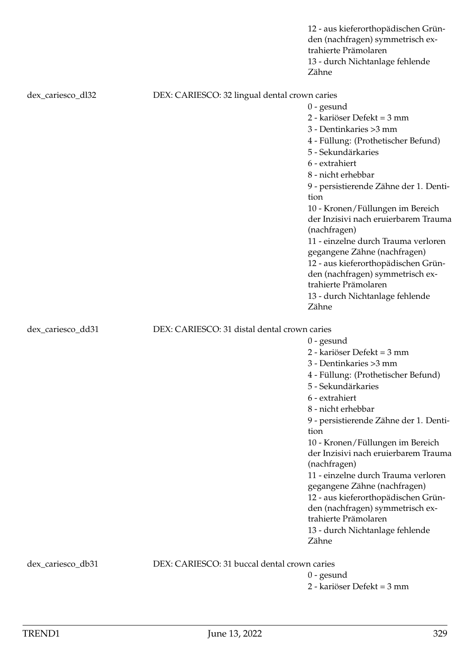|                   |                                               | 12 - aus kieferorthopädischen Grün-<br>den (nachfragen) symmetrisch ex-<br>trahierte Prämolaren<br>13 - durch Nichtanlage fehlende<br>Zähne                                                                                                                                                                                                                                                                                                                                                                                                    |
|-------------------|-----------------------------------------------|------------------------------------------------------------------------------------------------------------------------------------------------------------------------------------------------------------------------------------------------------------------------------------------------------------------------------------------------------------------------------------------------------------------------------------------------------------------------------------------------------------------------------------------------|
| dex_cariesco_dl32 | DEX: CARIESCO: 32 lingual dental crown caries | $0$ - gesund<br>2 - kariöser Defekt = 3 mm<br>3 - Dentinkaries > 3 mm<br>4 - Füllung: (Prothetischer Befund)<br>5 - Sekundärkaries                                                                                                                                                                                                                                                                                                                                                                                                             |
|                   |                                               | 6 - extrahiert<br>8 - nicht erhebbar<br>9 - persistierende Zähne der 1. Denti-<br>tion<br>10 - Kronen/Füllungen im Bereich<br>der Inzisivi nach eruierbarem Trauma<br>(nachfragen)<br>11 - einzelne durch Trauma verloren<br>gegangene Zähne (nachfragen)<br>12 - aus kieferorthopädischen Grün-<br>den (nachfragen) symmetrisch ex-<br>trahierte Prämolaren<br>13 - durch Nichtanlage fehlende<br>Zähne                                                                                                                                       |
| dex_cariesco_dd31 | DEX: CARIESCO: 31 distal dental crown caries  | $0$ - gesund<br>2 - kariöser Defekt = 3 mm<br>3 - Dentinkaries > 3 mm<br>4 - Füllung: (Prothetischer Befund)<br>5 - Sekundärkaries<br>6 - extrahiert<br>8 - nicht erhebbar<br>9 - persistierende Zähne der 1. Denti-<br>tion<br>10 - Kronen/Füllungen im Bereich<br>der Inzisivi nach eruierbarem Trauma<br>(nachfragen)<br>11 - einzelne durch Trauma verloren<br>gegangene Zähne (nachfragen)<br>12 - aus kieferorthopädischen Grün-<br>den (nachfragen) symmetrisch ex-<br>trahierte Prämolaren<br>13 - durch Nichtanlage fehlende<br>Zähne |
| dex_cariesco_db31 | DEX: CARIESCO: 31 buccal dental crown caries  | $0$ - gesund<br>2 - kariöser Defekt = 3 mm                                                                                                                                                                                                                                                                                                                                                                                                                                                                                                     |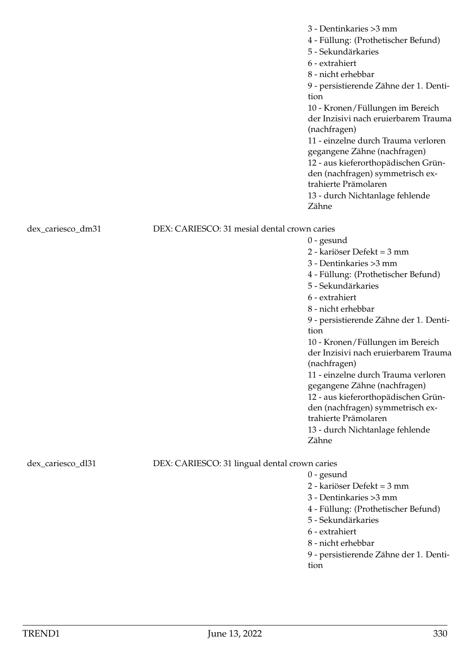|                   |                                               | 3 - Dentinkaries > 3 mm<br>4 - Füllung: (Prothetischer Befund)<br>5 - Sekundärkaries<br>6 - extrahiert<br>8 - nicht erhebbar<br>9 - persistierende Zähne der 1. Denti-<br>tion<br>10 - Kronen/Füllungen im Bereich<br>der Inzisivi nach eruierbarem Trauma<br>(nachfragen)<br>11 - einzelne durch Trauma verloren<br>gegangene Zähne (nachfragen)<br>12 - aus kieferorthopädischen Grün-<br>den (nachfragen) symmetrisch ex-<br>trahierte Prämolaren<br>13 - durch Nichtanlage fehlende<br>Zähne |
|-------------------|-----------------------------------------------|--------------------------------------------------------------------------------------------------------------------------------------------------------------------------------------------------------------------------------------------------------------------------------------------------------------------------------------------------------------------------------------------------------------------------------------------------------------------------------------------------|
| dex_cariesco_dm31 | DEX: CARIESCO: 31 mesial dental crown caries  |                                                                                                                                                                                                                                                                                                                                                                                                                                                                                                  |
|                   |                                               | $0$ - gesund                                                                                                                                                                                                                                                                                                                                                                                                                                                                                     |
|                   |                                               | 2 - kariöser Defekt = 3 mm                                                                                                                                                                                                                                                                                                                                                                                                                                                                       |
|                   |                                               | 3 - Dentinkaries > 3 mm                                                                                                                                                                                                                                                                                                                                                                                                                                                                          |
|                   |                                               | 4 - Füllung: (Prothetischer Befund)                                                                                                                                                                                                                                                                                                                                                                                                                                                              |
|                   |                                               | 5 - Sekundärkaries                                                                                                                                                                                                                                                                                                                                                                                                                                                                               |
|                   |                                               | 6 - extrahiert                                                                                                                                                                                                                                                                                                                                                                                                                                                                                   |
|                   |                                               | 8 - nicht erhebbar                                                                                                                                                                                                                                                                                                                                                                                                                                                                               |
|                   |                                               | 9 - persistierende Zähne der 1. Denti-<br>tion                                                                                                                                                                                                                                                                                                                                                                                                                                                   |
|                   |                                               | 10 - Kronen/Füllungen im Bereich<br>der Inzisivi nach eruierbarem Trauma<br>(nachfragen)                                                                                                                                                                                                                                                                                                                                                                                                         |
|                   |                                               | 11 - einzelne durch Trauma verloren                                                                                                                                                                                                                                                                                                                                                                                                                                                              |
|                   |                                               | gegangene Zähne (nachfragen)                                                                                                                                                                                                                                                                                                                                                                                                                                                                     |
|                   |                                               | 12 - aus kieferorthopädischen Grün-                                                                                                                                                                                                                                                                                                                                                                                                                                                              |
|                   |                                               | den (nachfragen) symmetrisch ex-<br>trahierte Prämolaren                                                                                                                                                                                                                                                                                                                                                                                                                                         |
|                   |                                               | 13 - durch Nichtanlage fehlende                                                                                                                                                                                                                                                                                                                                                                                                                                                                  |
|                   |                                               | Zähne                                                                                                                                                                                                                                                                                                                                                                                                                                                                                            |
| dex_cariesco_dl31 | DEX: CARIESCO: 31 lingual dental crown caries |                                                                                                                                                                                                                                                                                                                                                                                                                                                                                                  |
|                   |                                               | $0$ - gesund                                                                                                                                                                                                                                                                                                                                                                                                                                                                                     |
|                   |                                               | 2 - kariöser Defekt = 3 mm                                                                                                                                                                                                                                                                                                                                                                                                                                                                       |
|                   |                                               | 3 - Dentinkaries > 3 mm                                                                                                                                                                                                                                                                                                                                                                                                                                                                          |
|                   |                                               | 4 - Füllung: (Prothetischer Befund)                                                                                                                                                                                                                                                                                                                                                                                                                                                              |
|                   |                                               | 5 - Sekundärkaries                                                                                                                                                                                                                                                                                                                                                                                                                                                                               |
|                   |                                               | 6 - extrahiert                                                                                                                                                                                                                                                                                                                                                                                                                                                                                   |
|                   |                                               | 8 - nicht erhebbar                                                                                                                                                                                                                                                                                                                                                                                                                                                                               |
|                   |                                               | 9 - persistierende Zähne der 1. Denti-<br>tion                                                                                                                                                                                                                                                                                                                                                                                                                                                   |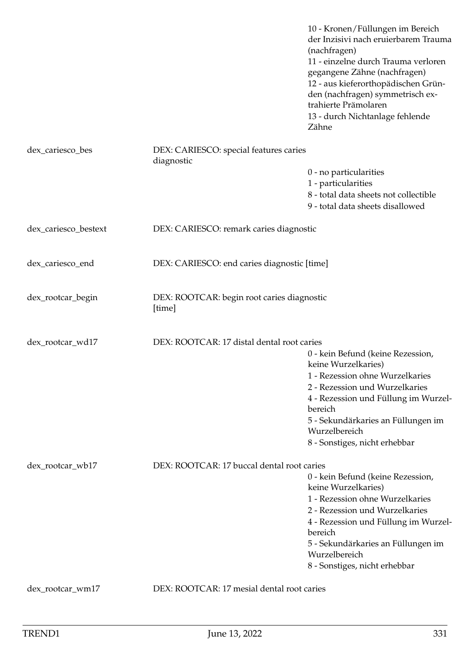|                      |                                                      | 10 - Kronen/Füllungen im Bereich<br>der Inzisivi nach eruierbarem Trauma<br>(nachfragen)<br>11 - einzelne durch Trauma verloren<br>gegangene Zähne (nachfragen)<br>12 - aus kieferorthopädischen Grün-<br>den (nachfragen) symmetrisch ex-<br>trahierte Prämolaren<br>13 - durch Nichtanlage fehlende<br>Zähne |
|----------------------|------------------------------------------------------|----------------------------------------------------------------------------------------------------------------------------------------------------------------------------------------------------------------------------------------------------------------------------------------------------------------|
| dex_cariesco_bes     | DEX: CARIESCO: special features caries<br>diagnostic |                                                                                                                                                                                                                                                                                                                |
|                      |                                                      | 0 - no particularities<br>1 - particularities<br>8 - total data sheets not collectible<br>9 - total data sheets disallowed                                                                                                                                                                                     |
| dex_cariesco_bestext | DEX: CARIESCO: remark caries diagnostic              |                                                                                                                                                                                                                                                                                                                |
| dex_cariesco_end     | DEX: CARIESCO: end caries diagnostic [time]          |                                                                                                                                                                                                                                                                                                                |
| dex_rootcar_begin    | DEX: ROOTCAR: begin root caries diagnostic<br>[time] |                                                                                                                                                                                                                                                                                                                |
| dex_rootcar_wd17     | DEX: ROOTCAR: 17 distal dental root caries           |                                                                                                                                                                                                                                                                                                                |
|                      |                                                      | 0 - kein Befund (keine Rezession,                                                                                                                                                                                                                                                                              |
|                      |                                                      | keine Wurzelkaries)<br>1 - Rezession ohne Wurzelkaries                                                                                                                                                                                                                                                         |
|                      |                                                      | 2 - Rezession und Wurzelkaries                                                                                                                                                                                                                                                                                 |
|                      |                                                      | 4 - Rezession und Füllung im Wurzel-<br>bereich                                                                                                                                                                                                                                                                |
|                      |                                                      | 5 - Sekundärkaries an Füllungen im<br>Wurzelbereich                                                                                                                                                                                                                                                            |
|                      |                                                      | 8 - Sonstiges, nicht erhebbar                                                                                                                                                                                                                                                                                  |
| dex_rootcar_wb17     | DEX: ROOTCAR: 17 buccal dental root caries           |                                                                                                                                                                                                                                                                                                                |
|                      |                                                      | 0 - kein Befund (keine Rezession,                                                                                                                                                                                                                                                                              |
|                      |                                                      | keine Wurzelkaries)<br>1 - Rezession ohne Wurzelkaries                                                                                                                                                                                                                                                         |
|                      |                                                      | 2 - Rezession und Wurzelkaries                                                                                                                                                                                                                                                                                 |
|                      |                                                      | 4 - Rezession und Füllung im Wurzel-                                                                                                                                                                                                                                                                           |
|                      |                                                      | bereich                                                                                                                                                                                                                                                                                                        |
|                      |                                                      | 5 - Sekundärkaries an Füllungen im<br>Wurzelbereich                                                                                                                                                                                                                                                            |
|                      |                                                      | 8 - Sonstiges, nicht erhebbar                                                                                                                                                                                                                                                                                  |
| dex_rootcar_wm17     | DEX: ROOTCAR: 17 mesial dental root caries           |                                                                                                                                                                                                                                                                                                                |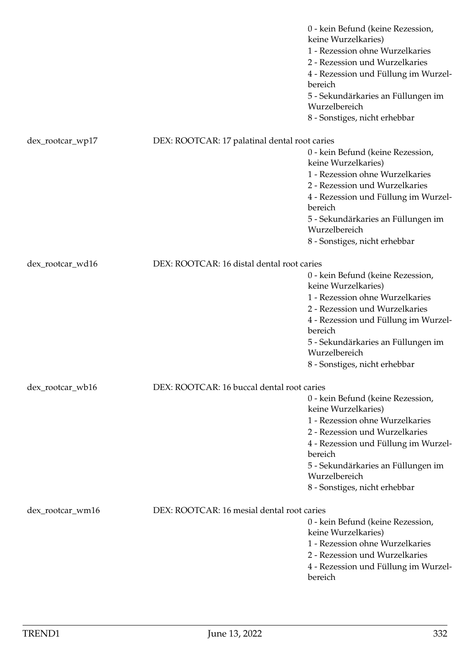|                  |                                               | 0 - kein Befund (keine Rezession,<br>keine Wurzelkaries)<br>1 - Rezession ohne Wurzelkaries<br>2 - Rezession und Wurzelkaries<br>4 - Rezession und Füllung im Wurzel-<br>bereich<br>5 - Sekundärkaries an Füllungen im<br>Wurzelbereich<br>8 - Sonstiges, nicht erhebbar |
|------------------|-----------------------------------------------|--------------------------------------------------------------------------------------------------------------------------------------------------------------------------------------------------------------------------------------------------------------------------|
|                  |                                               |                                                                                                                                                                                                                                                                          |
| dex_rootcar_wp17 | DEX: ROOTCAR: 17 palatinal dental root caries |                                                                                                                                                                                                                                                                          |
|                  |                                               | 0 - kein Befund (keine Rezession,<br>keine Wurzelkaries)                                                                                                                                                                                                                 |
|                  |                                               | 1 - Rezession ohne Wurzelkaries                                                                                                                                                                                                                                          |
|                  |                                               | 2 - Rezession und Wurzelkaries                                                                                                                                                                                                                                           |
|                  |                                               | 4 - Rezession und Füllung im Wurzel-<br>bereich                                                                                                                                                                                                                          |
|                  |                                               | 5 - Sekundärkaries an Füllungen im<br>Wurzelbereich                                                                                                                                                                                                                      |
|                  |                                               | 8 - Sonstiges, nicht erhebbar                                                                                                                                                                                                                                            |
| dex_rootcar_wd16 | DEX: ROOTCAR: 16 distal dental root caries    |                                                                                                                                                                                                                                                                          |
|                  |                                               | 0 - kein Befund (keine Rezession,                                                                                                                                                                                                                                        |
|                  |                                               | keine Wurzelkaries)                                                                                                                                                                                                                                                      |
|                  |                                               | 1 - Rezession ohne Wurzelkaries                                                                                                                                                                                                                                          |
|                  |                                               | 2 - Rezession und Wurzelkaries                                                                                                                                                                                                                                           |
|                  |                                               | 4 - Rezession und Füllung im Wurzel-<br>bereich                                                                                                                                                                                                                          |
|                  |                                               | 5 - Sekundärkaries an Füllungen im<br>Wurzelbereich                                                                                                                                                                                                                      |
|                  |                                               | 8 - Sonstiges, nicht erhebbar                                                                                                                                                                                                                                            |
| dex_rootcar_wb16 | DEX: ROOTCAR: 16 buccal dental root caries    |                                                                                                                                                                                                                                                                          |
|                  |                                               | 0 - kein Befund (keine Rezession,                                                                                                                                                                                                                                        |
|                  |                                               | keine Wurzelkaries)                                                                                                                                                                                                                                                      |
|                  |                                               | 1 - Rezession ohne Wurzelkaries                                                                                                                                                                                                                                          |
|                  |                                               | 2 - Rezession und Wurzelkaries                                                                                                                                                                                                                                           |
|                  |                                               | 4 - Rezession und Füllung im Wurzel-<br>bereich                                                                                                                                                                                                                          |
|                  |                                               | 5 - Sekundärkaries an Füllungen im<br>Wurzelbereich                                                                                                                                                                                                                      |
|                  |                                               | 8 - Sonstiges, nicht erhebbar                                                                                                                                                                                                                                            |
| dex_rootcar_wm16 | DEX: ROOTCAR: 16 mesial dental root caries    |                                                                                                                                                                                                                                                                          |
|                  |                                               | 0 - kein Befund (keine Rezession,                                                                                                                                                                                                                                        |
|                  |                                               | keine Wurzelkaries)                                                                                                                                                                                                                                                      |
|                  |                                               | 1 - Rezession ohne Wurzelkaries                                                                                                                                                                                                                                          |
|                  |                                               | 2 - Rezession und Wurzelkaries                                                                                                                                                                                                                                           |
|                  |                                               | 4 - Rezession und Füllung im Wurzel-<br>bereich                                                                                                                                                                                                                          |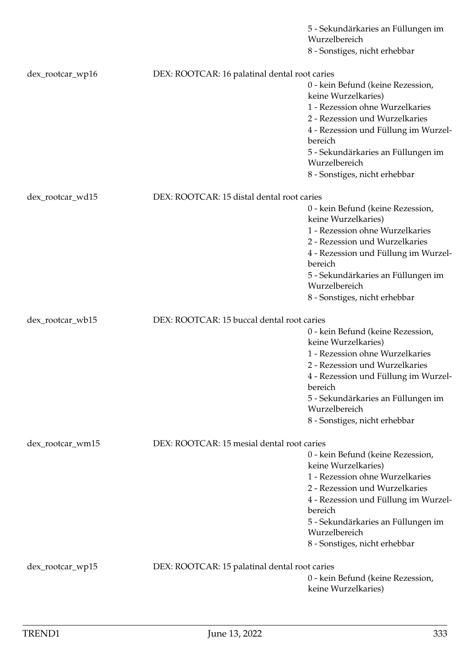|                  |                                               | 5 - Sekundärkaries an Füllungen im<br>Wurzelbereich      |
|------------------|-----------------------------------------------|----------------------------------------------------------|
|                  |                                               | 8 - Sonstiges, nicht erhebbar                            |
|                  |                                               |                                                          |
| dex_rootcar_wp16 | DEX: ROOTCAR: 16 palatinal dental root caries |                                                          |
|                  |                                               | 0 - kein Befund (keine Rezession,<br>keine Wurzelkaries) |
|                  |                                               | 1 - Rezession ohne Wurzelkaries                          |
|                  |                                               | 2 - Rezession und Wurzelkaries                           |
|                  |                                               | 4 - Rezession und Füllung im Wurzel-<br>bereich          |
|                  |                                               | 5 - Sekundärkaries an Füllungen im                       |
|                  |                                               | Wurzelbereich                                            |
|                  |                                               | 8 - Sonstiges, nicht erhebbar                            |
|                  |                                               |                                                          |
| dex_rootcar_wd15 | DEX: ROOTCAR: 15 distal dental root caries    |                                                          |
|                  |                                               | 0 - kein Befund (keine Rezession,<br>keine Wurzelkaries) |
|                  |                                               | 1 - Rezession ohne Wurzelkaries                          |
|                  |                                               | 2 - Rezession und Wurzelkaries                           |
|                  |                                               | 4 - Rezession und Füllung im Wurzel-                     |
|                  |                                               | bereich                                                  |
|                  |                                               | 5 - Sekundärkaries an Füllungen im<br>Wurzelbereich      |
|                  |                                               | 8 - Sonstiges, nicht erhebbar                            |
|                  |                                               |                                                          |
| dex_rootcar_wb15 | DEX: ROOTCAR: 15 buccal dental root caries    |                                                          |
|                  |                                               | 0 - kein Befund (keine Rezession,                        |
|                  |                                               | keine Wurzelkaries)<br>1 - Rezession ohne Wurzelkaries   |
|                  |                                               | 2 - Rezession und Wurzelkaries                           |
|                  |                                               | 4 - Rezession und Füllung im Wurzel-<br>bereich          |
|                  |                                               | 5 - Sekundärkaries an Füllungen im<br>Wurzelbereich      |
|                  |                                               | 8 - Sonstiges, nicht erhebbar                            |
| dex_rootcar_wm15 | DEX: ROOTCAR: 15 mesial dental root caries    |                                                          |
|                  |                                               | 0 - kein Befund (keine Rezession,                        |
|                  |                                               | keine Wurzelkaries)                                      |
|                  |                                               | 1 - Rezession ohne Wurzelkaries                          |
|                  |                                               | 2 - Rezession und Wurzelkaries                           |
|                  |                                               | 4 - Rezession und Füllung im Wurzel-                     |
|                  |                                               | bereich                                                  |
|                  |                                               | 5 - Sekundärkaries an Füllungen im<br>Wurzelbereich      |
|                  |                                               | 8 - Sonstiges, nicht erhebbar                            |
|                  |                                               |                                                          |
| dex_rootcar_wp15 | DEX: ROOTCAR: 15 palatinal dental root caries |                                                          |
|                  |                                               | 0 - kein Befund (keine Rezession,<br>keine Wurzelkaries) |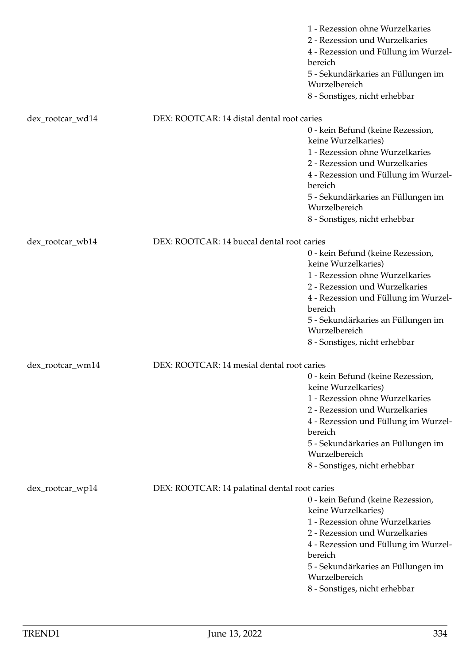|                  |                                               | 1 - Rezession ohne Wurzelkaries<br>2 - Rezession und Wurzelkaries<br>4 - Rezession und Füllung im Wurzel-<br>bereich<br>5 - Sekundärkaries an Füllungen im<br>Wurzelbereich<br>8 - Sonstiges, nicht erhebbar                                                                                                                                                                                              |
|------------------|-----------------------------------------------|-----------------------------------------------------------------------------------------------------------------------------------------------------------------------------------------------------------------------------------------------------------------------------------------------------------------------------------------------------------------------------------------------------------|
| dex_rootcar_wd14 | DEX: ROOTCAR: 14 distal dental root caries    |                                                                                                                                                                                                                                                                                                                                                                                                           |
|                  |                                               | 0 - kein Befund (keine Rezession,<br>keine Wurzelkaries)<br>1 - Rezession ohne Wurzelkaries<br>2 - Rezession und Wurzelkaries<br>4 - Rezession und Füllung im Wurzel-<br>bereich<br>5 - Sekundärkaries an Füllungen im<br>Wurzelbereich<br>8 - Sonstiges, nicht erhebbar                                                                                                                                  |
| dex_rootcar_wb14 | DEX: ROOTCAR: 14 buccal dental root caries    |                                                                                                                                                                                                                                                                                                                                                                                                           |
| dex_rootcar_wm14 | DEX: ROOTCAR: 14 mesial dental root caries    | 0 - kein Befund (keine Rezession,<br>keine Wurzelkaries)<br>1 - Rezession ohne Wurzelkaries<br>2 - Rezession und Wurzelkaries<br>4 - Rezession und Füllung im Wurzel-<br>bereich<br>5 - Sekundärkaries an Füllungen im<br>Wurzelbereich<br>8 - Sonstiges, nicht erhebbar<br>0 - kein Befund (keine Rezession,<br>keine Wurzelkaries)<br>1 - Rezession ohne Wurzelkaries<br>2 - Rezession und Wurzelkaries |
|                  |                                               | 4 - Rezession und Füllung im Wurzel-<br>bereich<br>5 - Sekundärkaries an Füllungen im<br>Wurzelbereich<br>8 - Sonstiges, nicht erhebbar                                                                                                                                                                                                                                                                   |
| dex_rootcar_wp14 | DEX: ROOTCAR: 14 palatinal dental root caries | 0 - kein Befund (keine Rezession,<br>keine Wurzelkaries)<br>1 - Rezession ohne Wurzelkaries<br>2 - Rezession und Wurzelkaries<br>4 - Rezession und Füllung im Wurzel-<br>bereich<br>5 - Sekundärkaries an Füllungen im<br>Wurzelbereich<br>8 - Sonstiges, nicht erhebbar                                                                                                                                  |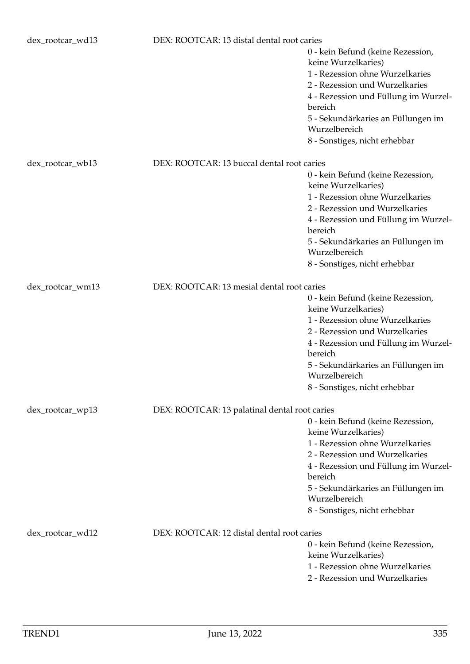| dex_rootcar_wd13 | DEX: ROOTCAR: 13 distal dental root caries    |                                                                                                                                                                                                                                                                          |
|------------------|-----------------------------------------------|--------------------------------------------------------------------------------------------------------------------------------------------------------------------------------------------------------------------------------------------------------------------------|
|                  |                                               | 0 - kein Befund (keine Rezession,<br>keine Wurzelkaries)<br>1 - Rezession ohne Wurzelkaries<br>2 - Rezession und Wurzelkaries<br>4 - Rezession und Füllung im Wurzel-<br>bereich<br>5 - Sekundärkaries an Füllungen im<br>Wurzelbereich<br>8 - Sonstiges, nicht erhebbar |
| dex_rootcar_wb13 | DEX: ROOTCAR: 13 buccal dental root caries    |                                                                                                                                                                                                                                                                          |
|                  |                                               | 0 - kein Befund (keine Rezession,<br>keine Wurzelkaries)                                                                                                                                                                                                                 |
|                  |                                               | 1 - Rezession ohne Wurzelkaries                                                                                                                                                                                                                                          |
|                  |                                               | 2 - Rezession und Wurzelkaries                                                                                                                                                                                                                                           |
|                  |                                               | 4 - Rezession und Füllung im Wurzel-<br>bereich                                                                                                                                                                                                                          |
|                  |                                               | 5 - Sekundärkaries an Füllungen im<br>Wurzelbereich                                                                                                                                                                                                                      |
|                  |                                               | 8 - Sonstiges, nicht erhebbar                                                                                                                                                                                                                                            |
| dex_rootcar_wm13 | DEX: ROOTCAR: 13 mesial dental root caries    |                                                                                                                                                                                                                                                                          |
|                  |                                               | 0 - kein Befund (keine Rezession,                                                                                                                                                                                                                                        |
|                  |                                               | keine Wurzelkaries)                                                                                                                                                                                                                                                      |
|                  |                                               | 1 - Rezession ohne Wurzelkaries                                                                                                                                                                                                                                          |
|                  |                                               | 2 - Rezession und Wurzelkaries                                                                                                                                                                                                                                           |
|                  |                                               | 4 - Rezession und Füllung im Wurzel-<br>bereich                                                                                                                                                                                                                          |
|                  |                                               | 5 - Sekundärkaries an Füllungen im<br>Wurzelbereich                                                                                                                                                                                                                      |
|                  |                                               | 8 - Sonstiges, nicht erhebbar                                                                                                                                                                                                                                            |
| dex_rootcar_wp13 | DEX: ROOTCAR: 13 palatinal dental root caries |                                                                                                                                                                                                                                                                          |
|                  |                                               | 0 - kein Befund (keine Rezession,                                                                                                                                                                                                                                        |
|                  |                                               | keine Wurzelkaries)                                                                                                                                                                                                                                                      |
|                  |                                               | 1 - Rezession ohne Wurzelkaries                                                                                                                                                                                                                                          |
|                  |                                               | 2 - Rezession und Wurzelkaries                                                                                                                                                                                                                                           |
|                  |                                               | 4 - Rezession und Füllung im Wurzel-                                                                                                                                                                                                                                     |
|                  |                                               | bereich<br>5 - Sekundärkaries an Füllungen im                                                                                                                                                                                                                            |
|                  |                                               | Wurzelbereich                                                                                                                                                                                                                                                            |
|                  |                                               | 8 - Sonstiges, nicht erhebbar                                                                                                                                                                                                                                            |
| dex_rootcar_wd12 | DEX: ROOTCAR: 12 distal dental root caries    |                                                                                                                                                                                                                                                                          |
|                  |                                               | 0 - kein Befund (keine Rezession,                                                                                                                                                                                                                                        |
|                  |                                               | keine Wurzelkaries)                                                                                                                                                                                                                                                      |
|                  |                                               | 1 - Rezession ohne Wurzelkaries                                                                                                                                                                                                                                          |
|                  |                                               | 2 - Rezession und Wurzelkaries                                                                                                                                                                                                                                           |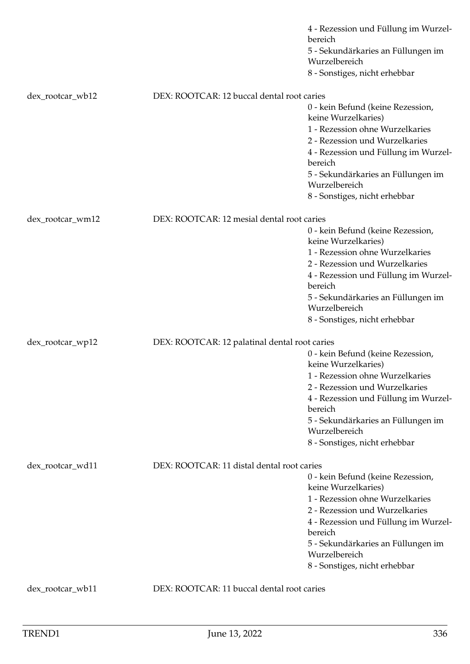|                  |                                               | 4 - Rezession und Füllung im Wurzel-                     |
|------------------|-----------------------------------------------|----------------------------------------------------------|
|                  |                                               | bereich<br>5 - Sekundärkaries an Füllungen im            |
|                  |                                               | Wurzelbereich                                            |
|                  |                                               | 8 - Sonstiges, nicht erhebbar                            |
| dex_rootcar_wb12 | DEX: ROOTCAR: 12 buccal dental root caries    |                                                          |
|                  |                                               | 0 - kein Befund (keine Rezession,                        |
|                  |                                               | keine Wurzelkaries)                                      |
|                  |                                               | 1 - Rezession ohne Wurzelkaries                          |
|                  |                                               | 2 - Rezession und Wurzelkaries                           |
|                  |                                               | 4 - Rezession und Füllung im Wurzel-<br>bereich          |
|                  |                                               | 5 - Sekundärkaries an Füllungen im<br>Wurzelbereich      |
|                  |                                               | 8 - Sonstiges, nicht erhebbar                            |
| dex_rootcar_wm12 | DEX: ROOTCAR: 12 mesial dental root caries    |                                                          |
|                  |                                               | 0 - kein Befund (keine Rezession,<br>keine Wurzelkaries) |
|                  |                                               | 1 - Rezession ohne Wurzelkaries                          |
|                  |                                               | 2 - Rezession und Wurzelkaries                           |
|                  |                                               | 4 - Rezession und Füllung im Wurzel-                     |
|                  |                                               | bereich                                                  |
|                  |                                               | 5 - Sekundärkaries an Füllungen im<br>Wurzelbereich      |
|                  |                                               | 8 - Sonstiges, nicht erhebbar                            |
| dex_rootcar_wp12 | DEX: ROOTCAR: 12 palatinal dental root caries |                                                          |
|                  |                                               | 0 - kein Befund (keine Rezession,                        |
|                  |                                               | keine Wurzelkaries)                                      |
|                  |                                               | 1 - Rezession ohne Wurzelkaries                          |
|                  |                                               | 2 - Rezession und Wurzelkaries                           |
|                  |                                               | 4 - Rezession und Füllung im Wurzel-                     |
|                  |                                               | bereich                                                  |
|                  |                                               | 5 - Sekundärkaries an Füllungen im<br>Wurzelbereich      |
|                  |                                               | 8 - Sonstiges, nicht erhebbar                            |
|                  |                                               |                                                          |
| dex_rootcar_wd11 | DEX: ROOTCAR: 11 distal dental root caries    |                                                          |
|                  |                                               | 0 - kein Befund (keine Rezession,                        |
|                  |                                               | keine Wurzelkaries)                                      |
|                  |                                               | 1 - Rezession ohne Wurzelkaries                          |
|                  |                                               | 2 - Rezession und Wurzelkaries                           |
|                  |                                               | 4 - Rezession und Füllung im Wurzel-<br>bereich          |
|                  |                                               | 5 - Sekundärkaries an Füllungen im<br>Wurzelbereich      |
|                  |                                               | 8 - Sonstiges, nicht erhebbar                            |
| dex_rootcar_wb11 | DEX: ROOTCAR: 11 buccal dental root caries    |                                                          |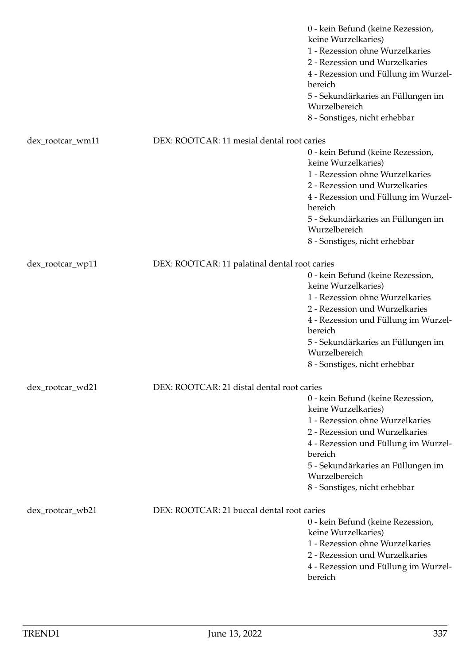|                  |                                               | 0 - kein Befund (keine Rezession,<br>keine Wurzelkaries)<br>1 - Rezession ohne Wurzelkaries<br>2 - Rezession und Wurzelkaries<br>4 - Rezession und Füllung im Wurzel-<br>bereich<br>5 - Sekundärkaries an Füllungen im<br>Wurzelbereich<br>8 - Sonstiges, nicht erhebbar |
|------------------|-----------------------------------------------|--------------------------------------------------------------------------------------------------------------------------------------------------------------------------------------------------------------------------------------------------------------------------|
| dex_rootcar_wm11 | DEX: ROOTCAR: 11 mesial dental root caries    |                                                                                                                                                                                                                                                                          |
|                  |                                               | 0 - kein Befund (keine Rezession,<br>keine Wurzelkaries)<br>1 - Rezession ohne Wurzelkaries<br>2 - Rezession und Wurzelkaries<br>4 - Rezession und Füllung im Wurzel-<br>bereich<br>5 - Sekundärkaries an Füllungen im<br>Wurzelbereich<br>8 - Sonstiges, nicht erhebbar |
| dex_rootcar_wp11 | DEX: ROOTCAR: 11 palatinal dental root caries |                                                                                                                                                                                                                                                                          |
|                  |                                               | 0 - kein Befund (keine Rezession,<br>keine Wurzelkaries)<br>1 - Rezession ohne Wurzelkaries<br>2 - Rezession und Wurzelkaries<br>4 - Rezession und Füllung im Wurzel-<br>bereich<br>5 - Sekundärkaries an Füllungen im<br>Wurzelbereich<br>8 - Sonstiges, nicht erhebbar |
| dex_rootcar_wd21 | DEX: ROOTCAR: 21 distal dental root caries    |                                                                                                                                                                                                                                                                          |
|                  |                                               | 0 - kein Befund (keine Rezession,<br>keine Wurzelkaries)<br>1 - Rezession ohne Wurzelkaries<br>2 - Rezession und Wurzelkaries<br>4 - Rezession und Füllung im Wurzel-<br>bereich<br>5 - Sekundärkaries an Füllungen im<br>Wurzelbereich<br>8 - Sonstiges, nicht erhebbar |
| dex_rootcar_wb21 | DEX: ROOTCAR: 21 buccal dental root caries    | 0 - kein Befund (keine Rezession,<br>keine Wurzelkaries)<br>1 - Rezession ohne Wurzelkaries<br>2 - Rezession und Wurzelkaries<br>4 - Rezession und Füllung im Wurzel-<br>bereich                                                                                         |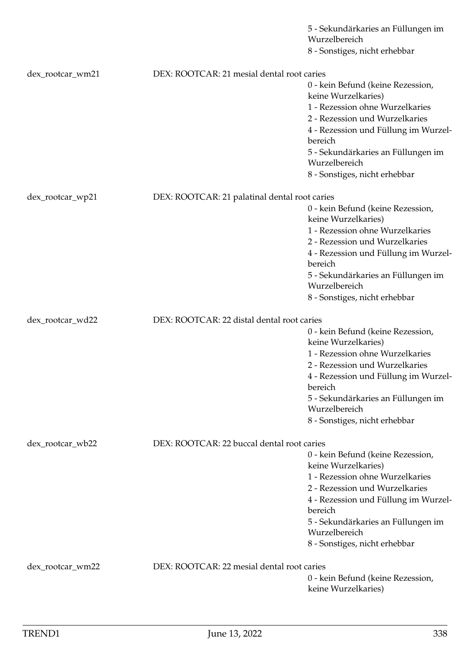|                  |                                               | 5 - Sekundärkaries an Füllungen im<br>Wurzelbereich      |
|------------------|-----------------------------------------------|----------------------------------------------------------|
|                  |                                               | 8 - Sonstiges, nicht erhebbar                            |
|                  |                                               |                                                          |
| dex_rootcar_wm21 | DEX: ROOTCAR: 21 mesial dental root caries    |                                                          |
|                  |                                               | 0 - kein Befund (keine Rezession,<br>keine Wurzelkaries) |
|                  |                                               | 1 - Rezession ohne Wurzelkaries                          |
|                  |                                               | 2 - Rezession und Wurzelkaries                           |
|                  |                                               | 4 - Rezession und Füllung im Wurzel-<br>bereich          |
|                  |                                               | 5 - Sekundärkaries an Füllungen im<br>Wurzelbereich      |
|                  |                                               | 8 - Sonstiges, nicht erhebbar                            |
| dex_rootcar_wp21 | DEX: ROOTCAR: 21 palatinal dental root caries |                                                          |
|                  |                                               | 0 - kein Befund (keine Rezession,                        |
|                  |                                               | keine Wurzelkaries)                                      |
|                  |                                               | 1 - Rezession ohne Wurzelkaries                          |
|                  |                                               | 2 - Rezession und Wurzelkaries                           |
|                  |                                               | 4 - Rezession und Füllung im Wurzel-<br>bereich          |
|                  |                                               | 5 - Sekundärkaries an Füllungen im<br>Wurzelbereich      |
|                  |                                               | 8 - Sonstiges, nicht erhebbar                            |
|                  |                                               |                                                          |
| dex_rootcar_wd22 | DEX: ROOTCAR: 22 distal dental root caries    |                                                          |
|                  |                                               | 0 - kein Befund (keine Rezession,<br>keine Wurzelkaries) |
|                  |                                               | 1 - Rezession ohne Wurzelkaries                          |
|                  |                                               | 2 - Rezession und Wurzelkaries                           |
|                  |                                               | 4 - Rezession und Füllung im Wurzel-<br>bereich          |
|                  |                                               | 5 - Sekundärkaries an Füllungen im<br>Wurzelbereich      |
|                  |                                               | 8 - Sonstiges, nicht erhebbar                            |
| dex_rootcar_wb22 | DEX: ROOTCAR: 22 buccal dental root caries    |                                                          |
|                  |                                               | 0 - kein Befund (keine Rezession,                        |
|                  |                                               | keine Wurzelkaries)                                      |
|                  |                                               | 1 - Rezession ohne Wurzelkaries                          |
|                  |                                               | 2 - Rezession und Wurzelkaries                           |
|                  |                                               | 4 - Rezession und Füllung im Wurzel-                     |
|                  |                                               | bereich                                                  |
|                  |                                               | 5 - Sekundärkaries an Füllungen im                       |
|                  |                                               | Wurzelbereich                                            |
|                  |                                               | 8 - Sonstiges, nicht erhebbar                            |
| dex_rootcar_wm22 | DEX: ROOTCAR: 22 mesial dental root caries    |                                                          |
|                  |                                               | 0 - kein Befund (keine Rezession,                        |
|                  |                                               | keine Wurzelkaries)                                      |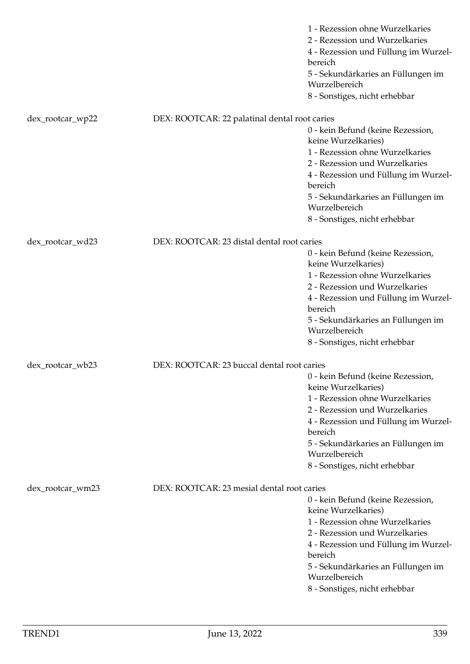|                  |                                               | 1 - Rezession ohne Wurzelkaries<br>2 - Rezession und Wurzelkaries<br>4 - Rezession und Füllung im Wurzel-<br>bereich<br>5 - Sekundärkaries an Füllungen im<br>Wurzelbereich<br>8 - Sonstiges, nicht erhebbar                                                             |
|------------------|-----------------------------------------------|--------------------------------------------------------------------------------------------------------------------------------------------------------------------------------------------------------------------------------------------------------------------------|
| dex_rootcar_wp22 | DEX: ROOTCAR: 22 palatinal dental root caries |                                                                                                                                                                                                                                                                          |
|                  |                                               | 0 - kein Befund (keine Rezession,<br>keine Wurzelkaries)<br>1 - Rezession ohne Wurzelkaries<br>2 - Rezession und Wurzelkaries<br>4 - Rezession und Füllung im Wurzel-<br>bereich<br>5 - Sekundärkaries an Füllungen im<br>Wurzelbereich<br>8 - Sonstiges, nicht erhebbar |
| dex_rootcar_wd23 | DEX: ROOTCAR: 23 distal dental root caries    |                                                                                                                                                                                                                                                                          |
|                  |                                               | 0 - kein Befund (keine Rezession,<br>keine Wurzelkaries)                                                                                                                                                                                                                 |
|                  |                                               | 1 - Rezession ohne Wurzelkaries<br>2 - Rezession und Wurzelkaries<br>4 - Rezession und Füllung im Wurzel-<br>bereich<br>5 - Sekundärkaries an Füllungen im                                                                                                               |
|                  |                                               | Wurzelbereich<br>8 - Sonstiges, nicht erhebbar                                                                                                                                                                                                                           |
| dex_rootcar_wb23 | DEX: ROOTCAR: 23 buccal dental root caries    |                                                                                                                                                                                                                                                                          |
|                  |                                               | 0 - kein Befund (keine Rezession,<br>keine Wurzelkaries)<br>1 - Rezession ohne Wurzelkaries<br>2 - Rezession und Wurzelkaries<br>4 - Rezession und Füllung im Wurzel-<br>bereich<br>5 - Sekundärkaries an Füllungen im<br>Wurzelbereich<br>8 - Sonstiges, nicht erhebbar |
| dex_rootcar_wm23 | DEX: ROOTCAR: 23 mesial dental root caries    | 0 - kein Befund (keine Rezession,<br>keine Wurzelkaries)<br>1 - Rezession ohne Wurzelkaries<br>2 - Rezession und Wurzelkaries<br>4 - Rezession und Füllung im Wurzel-<br>bereich<br>5 - Sekundärkaries an Füllungen im<br>Wurzelbereich<br>8 - Sonstiges, nicht erhebbar |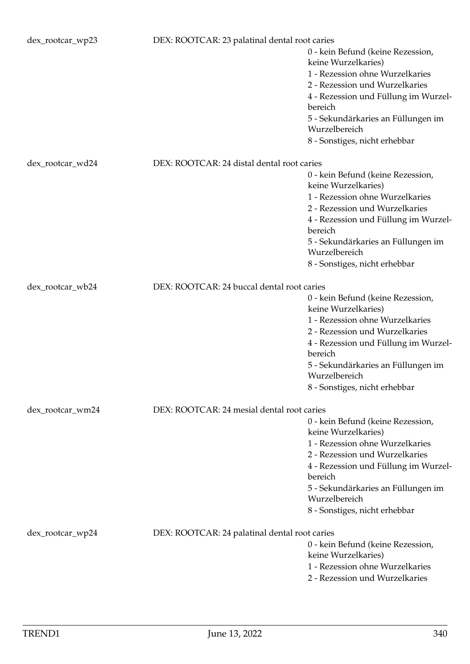| dex_rootcar_wp23 | DEX: ROOTCAR: 23 palatinal dental root caries |                                                                                                                                                                                                                                                                          |
|------------------|-----------------------------------------------|--------------------------------------------------------------------------------------------------------------------------------------------------------------------------------------------------------------------------------------------------------------------------|
|                  |                                               | 0 - kein Befund (keine Rezession,<br>keine Wurzelkaries)<br>1 - Rezession ohne Wurzelkaries<br>2 - Rezession und Wurzelkaries<br>4 - Rezession und Füllung im Wurzel-<br>bereich<br>5 - Sekundärkaries an Füllungen im<br>Wurzelbereich                                  |
|                  |                                               | 8 - Sonstiges, nicht erhebbar                                                                                                                                                                                                                                            |
| dex_rootcar_wd24 | DEX: ROOTCAR: 24 distal dental root caries    | 0 - kein Befund (keine Rezession,<br>keine Wurzelkaries)<br>1 - Rezession ohne Wurzelkaries<br>2 - Rezession und Wurzelkaries<br>4 - Rezession und Füllung im Wurzel-<br>bereich<br>5 - Sekundärkaries an Füllungen im<br>Wurzelbereich<br>8 - Sonstiges, nicht erhebbar |
| dex_rootcar_wb24 | DEX: ROOTCAR: 24 buccal dental root caries    |                                                                                                                                                                                                                                                                          |
|                  |                                               | 0 - kein Befund (keine Rezession,<br>keine Wurzelkaries)<br>1 - Rezession ohne Wurzelkaries<br>2 - Rezession und Wurzelkaries<br>4 - Rezession und Füllung im Wurzel-<br>bereich<br>5 - Sekundärkaries an Füllungen im<br>Wurzelbereich<br>8 - Sonstiges, nicht erhebbar |
| dex_rootcar_wm24 | DEX: ROOTCAR: 24 mesial dental root caries    |                                                                                                                                                                                                                                                                          |
|                  |                                               | 0 - kein Befund (keine Rezession,<br>keine Wurzelkaries)<br>1 - Rezession ohne Wurzelkaries<br>2 - Rezession und Wurzelkaries<br>4 - Rezession und Füllung im Wurzel-<br>bereich<br>5 - Sekundärkaries an Füllungen im<br>Wurzelbereich<br>8 - Sonstiges, nicht erhebbar |
| dex_rootcar_wp24 | DEX: ROOTCAR: 24 palatinal dental root caries | 0 - kein Befund (keine Rezession,<br>keine Wurzelkaries)<br>1 - Rezession ohne Wurzelkaries<br>2 - Rezession und Wurzelkaries                                                                                                                                            |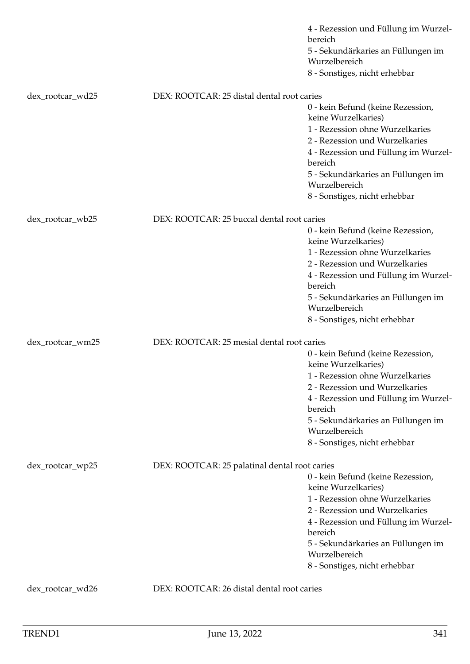|                  |                                               | 4 - Rezession und Füllung im Wurzel-<br>bereich<br>5 - Sekundärkaries an Füllungen im<br>Wurzelbereich<br>8 - Sonstiges, nicht erhebbar                                                                                                                                  |
|------------------|-----------------------------------------------|--------------------------------------------------------------------------------------------------------------------------------------------------------------------------------------------------------------------------------------------------------------------------|
| dex_rootcar_wd25 | DEX: ROOTCAR: 25 distal dental root caries    |                                                                                                                                                                                                                                                                          |
|                  |                                               | 0 - kein Befund (keine Rezession,<br>keine Wurzelkaries)<br>1 - Rezession ohne Wurzelkaries<br>2 - Rezession und Wurzelkaries<br>4 - Rezession und Füllung im Wurzel-<br>bereich<br>5 - Sekundärkaries an Füllungen im<br>Wurzelbereich<br>8 - Sonstiges, nicht erhebbar |
| dex_rootcar_wb25 | DEX: ROOTCAR: 25 buccal dental root caries    |                                                                                                                                                                                                                                                                          |
|                  |                                               | 0 - kein Befund (keine Rezession,<br>keine Wurzelkaries)                                                                                                                                                                                                                 |
|                  |                                               | 1 - Rezession ohne Wurzelkaries<br>2 - Rezession und Wurzelkaries<br>4 - Rezession und Füllung im Wurzel-<br>bereich                                                                                                                                                     |
|                  |                                               | 5 - Sekundärkaries an Füllungen im<br>Wurzelbereich<br>8 - Sonstiges, nicht erhebbar                                                                                                                                                                                     |
|                  |                                               |                                                                                                                                                                                                                                                                          |
| dex_rootcar_wm25 | DEX: ROOTCAR: 25 mesial dental root caries    | 0 - kein Befund (keine Rezession,<br>keine Wurzelkaries)                                                                                                                                                                                                                 |
|                  |                                               | 1 - Rezession ohne Wurzelkaries<br>2 - Rezession und Wurzelkaries<br>4 - Rezession und Füllung im Wurzel-<br>bereich                                                                                                                                                     |
|                  |                                               | 5 - Sekundärkaries an Füllungen im<br>Wurzelbereich                                                                                                                                                                                                                      |
|                  |                                               | 8 - Sonstiges, nicht erhebbar                                                                                                                                                                                                                                            |
| dex_rootcar_wp25 | DEX: ROOTCAR: 25 palatinal dental root caries | 0 - kein Befund (keine Rezession,                                                                                                                                                                                                                                        |
|                  |                                               | keine Wurzelkaries)                                                                                                                                                                                                                                                      |
|                  |                                               | 1 - Rezession ohne Wurzelkaries<br>2 - Rezession und Wurzelkaries                                                                                                                                                                                                        |
|                  |                                               | 4 - Rezession und Füllung im Wurzel-<br>bereich                                                                                                                                                                                                                          |
|                  |                                               | 5 - Sekundärkaries an Füllungen im<br>Wurzelbereich                                                                                                                                                                                                                      |
|                  |                                               | 8 - Sonstiges, nicht erhebbar                                                                                                                                                                                                                                            |
| dex_rootcar_wd26 | DEX: ROOTCAR: 26 distal dental root caries    |                                                                                                                                                                                                                                                                          |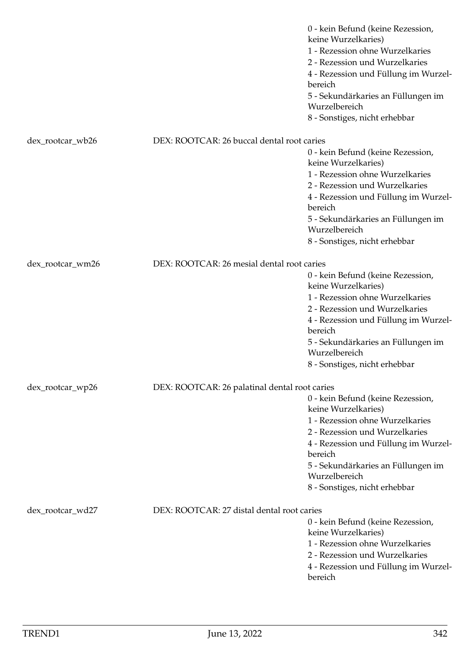|                  |                                               | 0 - kein Befund (keine Rezession,<br>keine Wurzelkaries)<br>1 - Rezession ohne Wurzelkaries<br>2 - Rezession und Wurzelkaries<br>4 - Rezession und Füllung im Wurzel-<br>bereich<br>5 - Sekundärkaries an Füllungen im<br>Wurzelbereich<br>8 - Sonstiges, nicht erhebbar |
|------------------|-----------------------------------------------|--------------------------------------------------------------------------------------------------------------------------------------------------------------------------------------------------------------------------------------------------------------------------|
| dex_rootcar_wb26 | DEX: ROOTCAR: 26 buccal dental root caries    |                                                                                                                                                                                                                                                                          |
|                  |                                               | 0 - kein Befund (keine Rezession,<br>keine Wurzelkaries)<br>1 - Rezession ohne Wurzelkaries<br>2 - Rezession und Wurzelkaries<br>4 - Rezession und Füllung im Wurzel-<br>bereich                                                                                         |
|                  |                                               | 5 - Sekundärkaries an Füllungen im<br>Wurzelbereich                                                                                                                                                                                                                      |
|                  |                                               | 8 - Sonstiges, nicht erhebbar                                                                                                                                                                                                                                            |
|                  | DEX: ROOTCAR: 26 mesial dental root caries    |                                                                                                                                                                                                                                                                          |
| dex_rootcar_wm26 |                                               | 0 - kein Befund (keine Rezession,<br>keine Wurzelkaries)<br>1 - Rezession ohne Wurzelkaries<br>2 - Rezession und Wurzelkaries<br>4 - Rezession und Füllung im Wurzel-<br>bereich<br>5 - Sekundärkaries an Füllungen im<br>Wurzelbereich<br>8 - Sonstiges, nicht erhebbar |
| dex_rootcar_wp26 | DEX: ROOTCAR: 26 palatinal dental root caries |                                                                                                                                                                                                                                                                          |
|                  |                                               | 0 - kein Befund (keine Rezession,<br>keine Wurzelkaries)<br>1 - Rezession ohne Wurzelkaries<br>2 - Rezession und Wurzelkaries<br>4 - Rezession und Füllung im Wurzel-<br>bereich<br>5 - Sekundärkaries an Füllungen im<br>Wurzelbereich<br>8 - Sonstiges, nicht erhebbar |
| dex_rootcar_wd27 | DEX: ROOTCAR: 27 distal dental root caries    | 0 - kein Befund (keine Rezession,<br>keine Wurzelkaries)<br>1 - Rezession ohne Wurzelkaries<br>2 - Rezession und Wurzelkaries<br>4 - Rezession und Füllung im Wurzel-<br>bereich                                                                                         |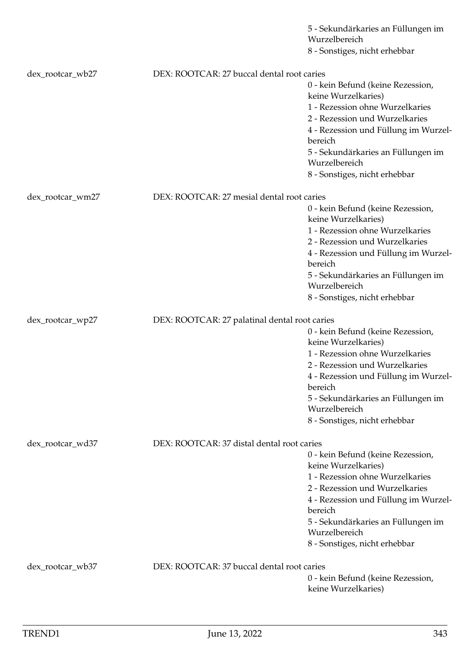|                  |                                               | 5 - Sekundärkaries an Füllungen im                       |
|------------------|-----------------------------------------------|----------------------------------------------------------|
|                  |                                               | Wurzelbereich<br>8 - Sonstiges, nicht erhebbar           |
|                  |                                               |                                                          |
| dex_rootcar_wb27 | DEX: ROOTCAR: 27 buccal dental root caries    |                                                          |
|                  |                                               | 0 - kein Befund (keine Rezession,<br>keine Wurzelkaries) |
|                  |                                               | 1 - Rezession ohne Wurzelkaries                          |
|                  |                                               | 2 - Rezession und Wurzelkaries                           |
|                  |                                               | 4 - Rezession und Füllung im Wurzel-<br>bereich          |
|                  |                                               | 5 - Sekundärkaries an Füllungen im<br>Wurzelbereich      |
|                  |                                               | 8 - Sonstiges, nicht erhebbar                            |
|                  | DEX: ROOTCAR: 27 mesial dental root caries    |                                                          |
| dex_rootcar_wm27 |                                               | 0 - kein Befund (keine Rezession,                        |
|                  |                                               | keine Wurzelkaries)                                      |
|                  |                                               | 1 - Rezession ohne Wurzelkaries                          |
|                  |                                               | 2 - Rezession und Wurzelkaries                           |
|                  |                                               | 4 - Rezession und Füllung im Wurzel-<br>bereich          |
|                  |                                               | 5 - Sekundärkaries an Füllungen im<br>Wurzelbereich      |
|                  |                                               | 8 - Sonstiges, nicht erhebbar                            |
|                  |                                               |                                                          |
| dex_rootcar_wp27 | DEX: ROOTCAR: 27 palatinal dental root caries |                                                          |
|                  |                                               | 0 - kein Befund (keine Rezession,<br>keine Wurzelkaries) |
|                  |                                               | 1 - Rezession ohne Wurzelkaries                          |
|                  |                                               | 2 - Rezession und Wurzelkaries                           |
|                  |                                               | 4 - Rezession und Füllung im Wurzel-<br>bereich          |
|                  |                                               | 5 - Sekundärkaries an Füllungen im<br>Wurzelbereich      |
|                  |                                               | 8 - Sonstiges, nicht erhebbar                            |
|                  |                                               |                                                          |
| dex_rootcar_wd37 | DEX: ROOTCAR: 37 distal dental root caries    |                                                          |
|                  |                                               | 0 - kein Befund (keine Rezession,<br>keine Wurzelkaries) |
|                  |                                               | 1 - Rezession ohne Wurzelkaries                          |
|                  |                                               | 2 - Rezession und Wurzelkaries                           |
|                  |                                               | 4 - Rezession und Füllung im Wurzel-                     |
|                  |                                               | bereich                                                  |
|                  |                                               | 5 - Sekundärkaries an Füllungen im                       |
|                  |                                               | Wurzelbereich                                            |
|                  |                                               | 8 - Sonstiges, nicht erhebbar                            |
| dex_rootcar_wb37 | DEX: ROOTCAR: 37 buccal dental root caries    |                                                          |
|                  |                                               | 0 - kein Befund (keine Rezession,                        |
|                  |                                               | keine Wurzelkaries)                                      |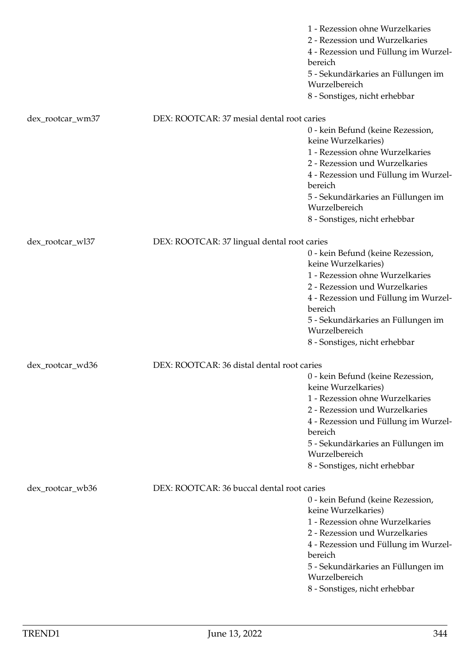|                  |                                             | 1 - Rezession ohne Wurzelkaries<br>2 - Rezession und Wurzelkaries<br>4 - Rezession und Füllung im Wurzel-<br>bereich<br>5 - Sekundärkaries an Füllungen im<br>Wurzelbereich<br>8 - Sonstiges, nicht erhebbar                                                             |
|------------------|---------------------------------------------|--------------------------------------------------------------------------------------------------------------------------------------------------------------------------------------------------------------------------------------------------------------------------|
| dex_rootcar_wm37 | DEX: ROOTCAR: 37 mesial dental root caries  |                                                                                                                                                                                                                                                                          |
|                  |                                             | 0 - kein Befund (keine Rezession,<br>keine Wurzelkaries)<br>1 - Rezession ohne Wurzelkaries<br>2 - Rezession und Wurzelkaries<br>4 - Rezession und Füllung im Wurzel-<br>bereich<br>5 - Sekundärkaries an Füllungen im<br>Wurzelbereich<br>8 - Sonstiges, nicht erhebbar |
| dex_rootcar_wl37 | DEX: ROOTCAR: 37 lingual dental root caries |                                                                                                                                                                                                                                                                          |
|                  |                                             | 0 - kein Befund (keine Rezession,<br>keine Wurzelkaries)<br>1 - Rezession ohne Wurzelkaries<br>2 - Rezession und Wurzelkaries<br>4 - Rezession und Füllung im Wurzel-<br>bereich<br>5 - Sekundärkaries an Füllungen im<br>Wurzelbereich<br>8 - Sonstiges, nicht erhebbar |
| dex_rootcar_wd36 | DEX: ROOTCAR: 36 distal dental root caries  |                                                                                                                                                                                                                                                                          |
|                  |                                             | 0 - kein Befund (keine Rezession,<br>keine Wurzelkaries)<br>1 - Rezession ohne Wurzelkaries<br>2 - Rezession und Wurzelkaries<br>4 - Rezession und Füllung im Wurzel-<br>bereich<br>5 - Sekundärkaries an Füllungen im<br>Wurzelbereich<br>8 - Sonstiges, nicht erhebbar |
| dex_rootcar_wb36 | DEX: ROOTCAR: 36 buccal dental root caries  |                                                                                                                                                                                                                                                                          |
|                  |                                             | 0 - kein Befund (keine Rezession,<br>keine Wurzelkaries)<br>1 - Rezession ohne Wurzelkaries<br>2 - Rezession und Wurzelkaries<br>4 - Rezession und Füllung im Wurzel-<br>bereich<br>5 - Sekundärkaries an Füllungen im<br>Wurzelbereich<br>8 - Sonstiges, nicht erhebbar |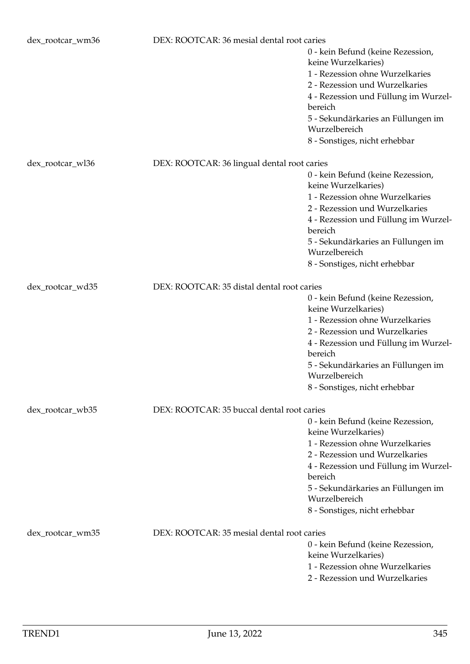| dex_rootcar_wm36 | DEX: ROOTCAR: 36 mesial dental root caries  |                                                          |
|------------------|---------------------------------------------|----------------------------------------------------------|
|                  |                                             | 0 - kein Befund (keine Rezession,<br>keine Wurzelkaries) |
|                  |                                             | 1 - Rezession ohne Wurzelkaries                          |
|                  |                                             | 2 - Rezession und Wurzelkaries                           |
|                  |                                             | 4 - Rezession und Füllung im Wurzel-                     |
|                  |                                             | bereich                                                  |
|                  |                                             | 5 - Sekundärkaries an Füllungen im                       |
|                  |                                             | Wurzelbereich                                            |
|                  |                                             | 8 - Sonstiges, nicht erhebbar                            |
| dex_rootcar_wl36 | DEX: ROOTCAR: 36 lingual dental root caries |                                                          |
|                  |                                             | 0 - kein Befund (keine Rezession,                        |
|                  |                                             | keine Wurzelkaries)                                      |
|                  |                                             | 1 - Rezession ohne Wurzelkaries                          |
|                  |                                             | 2 - Rezession und Wurzelkaries                           |
|                  |                                             | 4 - Rezession und Füllung im Wurzel-<br>bereich          |
|                  |                                             | 5 - Sekundärkaries an Füllungen im                       |
|                  |                                             | Wurzelbereich                                            |
|                  |                                             | 8 - Sonstiges, nicht erhebbar                            |
| dex_rootcar_wd35 | DEX: ROOTCAR: 35 distal dental root caries  |                                                          |
|                  |                                             | 0 - kein Befund (keine Rezession,                        |
|                  |                                             | keine Wurzelkaries)                                      |
|                  |                                             | 1 - Rezession ohne Wurzelkaries                          |
|                  |                                             | 2 - Rezession und Wurzelkaries                           |
|                  |                                             | 4 - Rezession und Füllung im Wurzel-<br>bereich          |
|                  |                                             | 5 - Sekundärkaries an Füllungen im<br>Wurzelbereich      |
|                  |                                             | 8 - Sonstiges, nicht erhebbar                            |
| dex_rootcar_wb35 | DEX: ROOTCAR: 35 buccal dental root caries  |                                                          |
|                  |                                             | 0 - kein Befund (keine Rezession,                        |
|                  |                                             | keine Wurzelkaries)                                      |
|                  |                                             | 1 - Rezession ohne Wurzelkaries                          |
|                  |                                             | 2 - Rezession und Wurzelkaries                           |
|                  |                                             | 4 - Rezession und Füllung im Wurzel-                     |
|                  |                                             | bereich<br>5 - Sekundärkaries an Füllungen im            |
|                  |                                             | Wurzelbereich                                            |
|                  |                                             | 8 - Sonstiges, nicht erhebbar                            |
| dex_rootcar_wm35 | DEX: ROOTCAR: 35 mesial dental root caries  |                                                          |
|                  |                                             | 0 - kein Befund (keine Rezession,                        |
|                  |                                             | keine Wurzelkaries)                                      |
|                  |                                             | 1 - Rezession ohne Wurzelkaries                          |
|                  |                                             | 2 - Rezession und Wurzelkaries                           |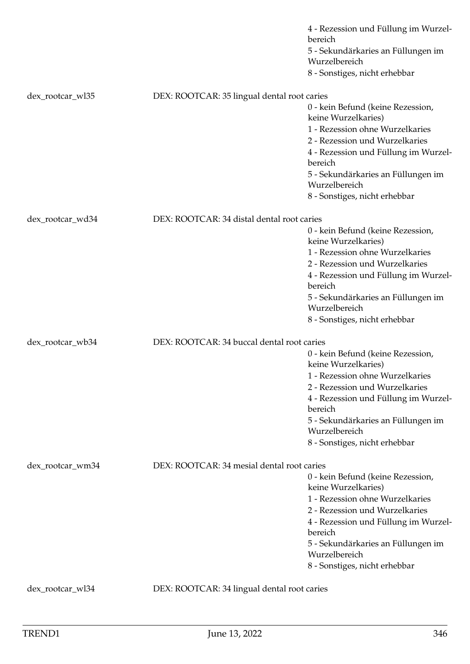|                  |                                             | 4 - Rezession und Füllung im Wurzel-<br>bereich<br>5 - Sekundärkaries an Füllungen im<br>Wurzelbereich                                                                                                                 |
|------------------|---------------------------------------------|------------------------------------------------------------------------------------------------------------------------------------------------------------------------------------------------------------------------|
|                  |                                             | 8 - Sonstiges, nicht erhebbar                                                                                                                                                                                          |
| dex_rootcar_wl35 | DEX: ROOTCAR: 35 lingual dental root caries |                                                                                                                                                                                                                        |
|                  |                                             | 0 - kein Befund (keine Rezession,<br>keine Wurzelkaries)<br>1 - Rezession ohne Wurzelkaries<br>2 - Rezession und Wurzelkaries<br>4 - Rezession und Füllung im Wurzel-<br>bereich<br>5 - Sekundärkaries an Füllungen im |
|                  |                                             | Wurzelbereich<br>8 - Sonstiges, nicht erhebbar                                                                                                                                                                         |
|                  |                                             |                                                                                                                                                                                                                        |
| dex_rootcar_wd34 | DEX: ROOTCAR: 34 distal dental root caries  | 0 - kein Befund (keine Rezession,                                                                                                                                                                                      |
|                  |                                             | keine Wurzelkaries)                                                                                                                                                                                                    |
|                  |                                             | 1 - Rezession ohne Wurzelkaries                                                                                                                                                                                        |
|                  |                                             | 2 - Rezession und Wurzelkaries                                                                                                                                                                                         |
|                  |                                             | 4 - Rezession und Füllung im Wurzel-<br>bereich                                                                                                                                                                        |
|                  |                                             | 5 - Sekundärkaries an Füllungen im<br>Wurzelbereich                                                                                                                                                                    |
|                  |                                             | 8 - Sonstiges, nicht erhebbar                                                                                                                                                                                          |
| dex_rootcar_wb34 | DEX: ROOTCAR: 34 buccal dental root caries  |                                                                                                                                                                                                                        |
|                  |                                             | 0 - kein Befund (keine Rezession,<br>keine Wurzelkaries)                                                                                                                                                               |
|                  |                                             | 1 - Rezession ohne Wurzelkaries<br>2 - Rezession und Wurzelkaries                                                                                                                                                      |
|                  |                                             | 4 - Rezession und Füllung im Wurzel-<br>bereich                                                                                                                                                                        |
|                  |                                             | 5 - Sekundärkaries an Füllungen im<br>Wurzelbereich                                                                                                                                                                    |
|                  |                                             | 8 - Sonstiges, nicht erhebbar                                                                                                                                                                                          |
| dex_rootcar_wm34 | DEX: ROOTCAR: 34 mesial dental root caries  |                                                                                                                                                                                                                        |
|                  |                                             | 0 - kein Befund (keine Rezession,                                                                                                                                                                                      |
|                  |                                             | keine Wurzelkaries)                                                                                                                                                                                                    |
|                  |                                             | 1 - Rezession ohne Wurzelkaries<br>2 - Rezession und Wurzelkaries                                                                                                                                                      |
|                  |                                             | 4 - Rezession und Füllung im Wurzel-                                                                                                                                                                                   |
|                  |                                             | bereich<br>5 - Sekundärkaries an Füllungen im                                                                                                                                                                          |
|                  |                                             | Wurzelbereich<br>8 - Sonstiges, nicht erhebbar                                                                                                                                                                         |
|                  |                                             |                                                                                                                                                                                                                        |
| dex_rootcar_wl34 | DEX: ROOTCAR: 34 lingual dental root caries |                                                                                                                                                                                                                        |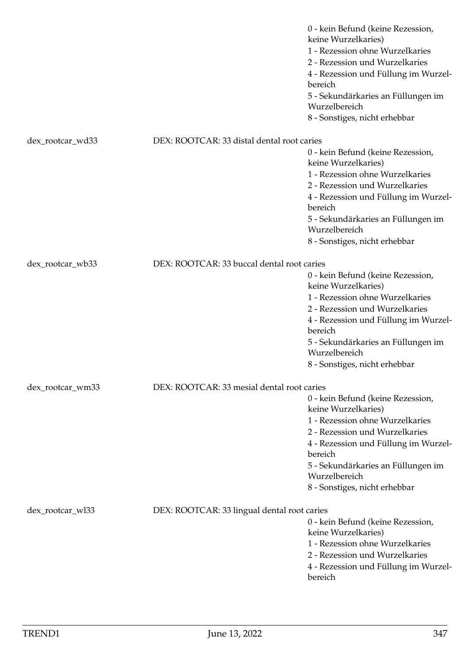|                  |                                             | 0 - kein Befund (keine Rezession,<br>keine Wurzelkaries)<br>1 - Rezession ohne Wurzelkaries<br>2 - Rezession und Wurzelkaries<br>4 - Rezession und Füllung im Wurzel-<br>bereich<br>5 - Sekundärkaries an Füllungen im<br>Wurzelbereich<br>8 - Sonstiges, nicht erhebbar |
|------------------|---------------------------------------------|--------------------------------------------------------------------------------------------------------------------------------------------------------------------------------------------------------------------------------------------------------------------------|
| dex_rootcar_wd33 | DEX: ROOTCAR: 33 distal dental root caries  |                                                                                                                                                                                                                                                                          |
|                  |                                             | 0 - kein Befund (keine Rezession,<br>keine Wurzelkaries)<br>1 - Rezession ohne Wurzelkaries<br>2 - Rezession und Wurzelkaries<br>4 - Rezession und Füllung im Wurzel-<br>bereich<br>5 - Sekundärkaries an Füllungen im<br>Wurzelbereich<br>8 - Sonstiges, nicht erhebbar |
|                  |                                             |                                                                                                                                                                                                                                                                          |
| dex_rootcar_wb33 | DEX: ROOTCAR: 33 buccal dental root caries  | 0 - kein Befund (keine Rezession,<br>keine Wurzelkaries)<br>1 - Rezession ohne Wurzelkaries<br>2 - Rezession und Wurzelkaries<br>4 - Rezession und Füllung im Wurzel-<br>bereich<br>5 - Sekundärkaries an Füllungen im<br>Wurzelbereich<br>8 - Sonstiges, nicht erhebbar |
| dex_rootcar_wm33 | DEX: ROOTCAR: 33 mesial dental root caries  | 0 - kein Befund (keine Rezession,<br>keine Wurzelkaries)<br>1 - Rezession ohne Wurzelkaries<br>2 - Rezession und Wurzelkaries<br>4 - Rezession und Füllung im Wurzel-<br>bereich<br>5 - Sekundärkaries an Füllungen im<br>Wurzelbereich<br>8 - Sonstiges, nicht erhebbar |
| dex_rootcar_wl33 | DEX: ROOTCAR: 33 lingual dental root caries | 0 - kein Befund (keine Rezession,<br>keine Wurzelkaries)<br>1 - Rezession ohne Wurzelkaries<br>2 - Rezession und Wurzelkaries<br>4 - Rezession und Füllung im Wurzel-<br>bereich                                                                                         |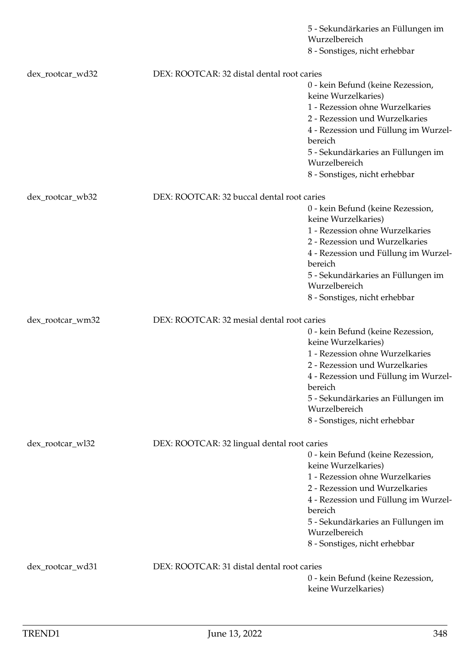|                  |                                             | 5 - Sekundärkaries an Füllungen im<br>Wurzelbereich      |
|------------------|---------------------------------------------|----------------------------------------------------------|
|                  |                                             | 8 - Sonstiges, nicht erhebbar                            |
| dex_rootcar_wd32 | DEX: ROOTCAR: 32 distal dental root caries  |                                                          |
|                  |                                             | 0 - kein Befund (keine Rezession,<br>keine Wurzelkaries) |
|                  |                                             | 1 - Rezession ohne Wurzelkaries                          |
|                  |                                             | 2 - Rezession und Wurzelkaries                           |
|                  |                                             | 4 - Rezession und Füllung im Wurzel-<br>bereich          |
|                  |                                             | 5 - Sekundärkaries an Füllungen im<br>Wurzelbereich      |
|                  |                                             | 8 - Sonstiges, nicht erhebbar                            |
| dex_rootcar_wb32 | DEX: ROOTCAR: 32 buccal dental root caries  |                                                          |
|                  |                                             | 0 - kein Befund (keine Rezession,<br>keine Wurzelkaries) |
|                  |                                             | 1 - Rezession ohne Wurzelkaries                          |
|                  |                                             | 2 - Rezession und Wurzelkaries                           |
|                  |                                             | 4 - Rezession und Füllung im Wurzel-<br>bereich          |
|                  |                                             | 5 - Sekundärkaries an Füllungen im<br>Wurzelbereich      |
|                  |                                             | 8 - Sonstiges, nicht erhebbar                            |
| dex_rootcar_wm32 | DEX: ROOTCAR: 32 mesial dental root caries  |                                                          |
|                  |                                             | 0 - kein Befund (keine Rezession,<br>keine Wurzelkaries) |
|                  |                                             | 1 - Rezession ohne Wurzelkaries                          |
|                  |                                             | 2 - Rezession und Wurzelkaries                           |
|                  |                                             | 4 - Rezession und Füllung im Wurzel-<br>bereich          |
|                  |                                             | 5 - Sekundärkaries an Füllungen im<br>Wurzelbereich      |
|                  |                                             | 8 - Sonstiges, nicht erhebbar                            |
| dex_rootcar_wl32 | DEX: ROOTCAR: 32 lingual dental root caries |                                                          |
|                  |                                             | 0 - kein Befund (keine Rezession,<br>keine Wurzelkaries) |
|                  |                                             | 1 - Rezession ohne Wurzelkaries                          |
|                  |                                             | 2 - Rezession und Wurzelkaries                           |
|                  |                                             | 4 - Rezession und Füllung im Wurzel-<br>bereich          |
|                  |                                             | 5 - Sekundärkaries an Füllungen im                       |
|                  |                                             | Wurzelbereich<br>8 - Sonstiges, nicht erhebbar           |
| dex_rootcar_wd31 | DEX: ROOTCAR: 31 distal dental root caries  |                                                          |
|                  |                                             | 0 - kein Befund (keine Rezession,                        |
|                  |                                             | keine Wurzelkaries)                                      |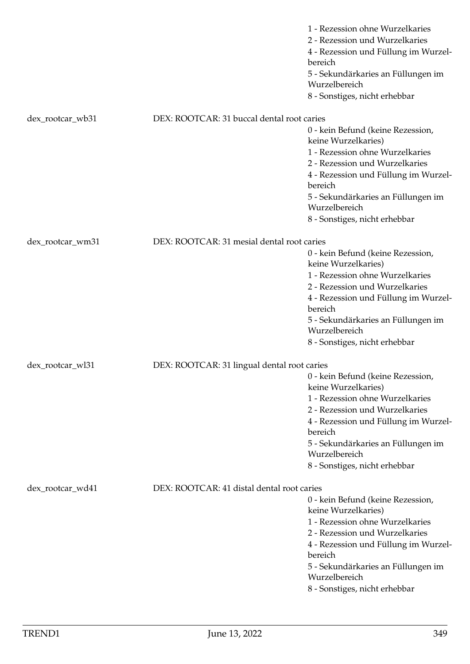|                  |                                             | 1 - Rezession ohne Wurzelkaries<br>2 - Rezession und Wurzelkaries<br>4 - Rezession und Füllung im Wurzel-<br>bereich<br>5 - Sekundärkaries an Füllungen im<br>Wurzelbereich<br>8 - Sonstiges, nicht erhebbar                                                             |
|------------------|---------------------------------------------|--------------------------------------------------------------------------------------------------------------------------------------------------------------------------------------------------------------------------------------------------------------------------|
| dex_rootcar_wb31 | DEX: ROOTCAR: 31 buccal dental root caries  |                                                                                                                                                                                                                                                                          |
|                  |                                             | 0 - kein Befund (keine Rezession,<br>keine Wurzelkaries)<br>1 - Rezession ohne Wurzelkaries<br>2 - Rezession und Wurzelkaries<br>4 - Rezession und Füllung im Wurzel-<br>bereich<br>5 - Sekundärkaries an Füllungen im<br>Wurzelbereich<br>8 - Sonstiges, nicht erhebbar |
| dex_rootcar_wm31 | DEX: ROOTCAR: 31 mesial dental root caries  |                                                                                                                                                                                                                                                                          |
|                  |                                             | 0 - kein Befund (keine Rezession,<br>keine Wurzelkaries)<br>1 - Rezession ohne Wurzelkaries<br>2 - Rezession und Wurzelkaries<br>4 - Rezession und Füllung im Wurzel-<br>bereich<br>5 - Sekundärkaries an Füllungen im<br>Wurzelbereich<br>8 - Sonstiges, nicht erhebbar |
| dex_rootcar_wl31 | DEX: ROOTCAR: 31 lingual dental root caries |                                                                                                                                                                                                                                                                          |
|                  |                                             | 0 - kein Befund (keine Rezession,<br>keine Wurzelkaries)<br>1 - Rezession ohne Wurzelkaries<br>2 - Rezession und Wurzelkaries<br>4 - Rezession und Füllung im Wurzel-<br>bereich<br>5 - Sekundärkaries an Füllungen im<br>Wurzelbereich<br>8 - Sonstiges, nicht erhebbar |
| dex_rootcar_wd41 | DEX: ROOTCAR: 41 distal dental root caries  |                                                                                                                                                                                                                                                                          |
|                  |                                             | 0 - kein Befund (keine Rezession,<br>keine Wurzelkaries)<br>1 - Rezession ohne Wurzelkaries<br>2 - Rezession und Wurzelkaries<br>4 - Rezession und Füllung im Wurzel-<br>bereich<br>5 - Sekundärkaries an Füllungen im<br>Wurzelbereich<br>8 - Sonstiges, nicht erhebbar |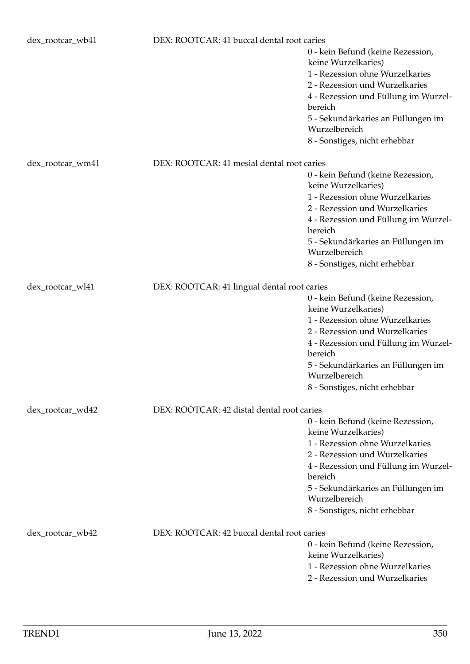| dex_rootcar_wb41 | DEX: ROOTCAR: 41 buccal dental root caries  | 0 - kein Befund (keine Rezession,<br>keine Wurzelkaries)<br>1 - Rezession ohne Wurzelkaries<br>2 - Rezession und Wurzelkaries<br>4 - Rezession und Füllung im Wurzel-<br>bereich<br>5 - Sekundärkaries an Füllungen im<br>Wurzelbereich<br>8 - Sonstiges, nicht erhebbar |
|------------------|---------------------------------------------|--------------------------------------------------------------------------------------------------------------------------------------------------------------------------------------------------------------------------------------------------------------------------|
| dex_rootcar_wm41 | DEX: ROOTCAR: 41 mesial dental root caries  | 0 - kein Befund (keine Rezession,<br>keine Wurzelkaries)<br>1 - Rezession ohne Wurzelkaries<br>2 - Rezession und Wurzelkaries<br>4 - Rezession und Füllung im Wurzel-<br>bereich<br>5 - Sekundärkaries an Füllungen im<br>Wurzelbereich<br>8 - Sonstiges, nicht erhebbar |
| dex_rootcar_wl41 | DEX: ROOTCAR: 41 lingual dental root caries | 0 - kein Befund (keine Rezession,<br>keine Wurzelkaries)<br>1 - Rezession ohne Wurzelkaries<br>2 - Rezession und Wurzelkaries<br>4 - Rezession und Füllung im Wurzel-<br>bereich<br>5 - Sekundärkaries an Füllungen im<br>Wurzelbereich<br>8 - Sonstiges, nicht erhebbar |
| dex_rootcar_wd42 | DEX: ROOTCAR: 42 distal dental root caries  | 0 - kein Befund (keine Rezession,<br>keine Wurzelkaries)<br>1 - Rezession ohne Wurzelkaries<br>2 - Rezession und Wurzelkaries<br>4 - Rezession und Füllung im Wurzel-<br>bereich<br>5 - Sekundärkaries an Füllungen im<br>Wurzelbereich<br>8 - Sonstiges, nicht erhebbar |
| dex_rootcar_wb42 | DEX: ROOTCAR: 42 buccal dental root caries  | 0 - kein Befund (keine Rezession,<br>keine Wurzelkaries)<br>1 - Rezession ohne Wurzelkaries<br>2 - Rezession und Wurzelkaries                                                                                                                                            |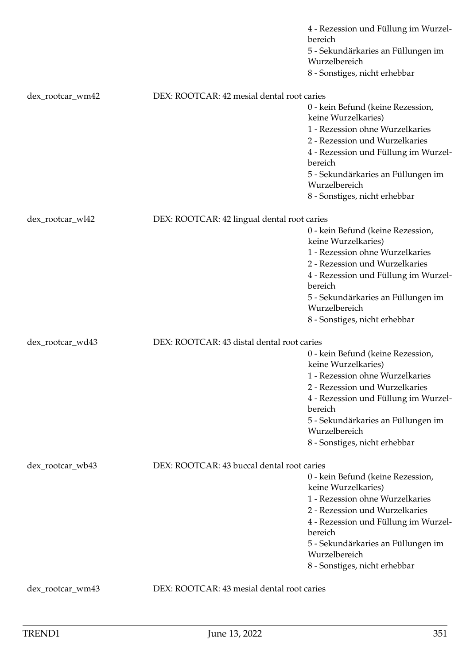|                  |                                             | 4 - Rezession und Füllung im Wurzel-<br>bereich<br>5 - Sekundärkaries an Füllungen im<br>Wurzelbereich |
|------------------|---------------------------------------------|--------------------------------------------------------------------------------------------------------|
|                  |                                             | 8 - Sonstiges, nicht erhebbar                                                                          |
| dex_rootcar_wm42 | DEX: ROOTCAR: 42 mesial dental root caries  |                                                                                                        |
|                  |                                             | 0 - kein Befund (keine Rezession,<br>keine Wurzelkaries)<br>1 - Rezession ohne Wurzelkaries            |
|                  |                                             | 2 - Rezession und Wurzelkaries<br>4 - Rezession und Füllung im Wurzel-<br>bereich                      |
|                  |                                             | 5 - Sekundärkaries an Füllungen im<br>Wurzelbereich                                                    |
|                  |                                             | 8 - Sonstiges, nicht erhebbar                                                                          |
| dex_rootcar_wl42 | DEX: ROOTCAR: 42 lingual dental root caries |                                                                                                        |
|                  |                                             | 0 - kein Befund (keine Rezession,<br>keine Wurzelkaries)                                               |
|                  |                                             | 1 - Rezession ohne Wurzelkaries<br>2 - Rezession und Wurzelkaries                                      |
|                  |                                             | 4 - Rezession und Füllung im Wurzel-                                                                   |
|                  |                                             | bereich<br>5 - Sekundärkaries an Füllungen im                                                          |
|                  |                                             | Wurzelbereich                                                                                          |
|                  |                                             | 8 - Sonstiges, nicht erhebbar                                                                          |
| dex_rootcar_wd43 | DEX: ROOTCAR: 43 distal dental root caries  |                                                                                                        |
|                  |                                             | 0 - kein Befund (keine Rezession,<br>keine Wurzelkaries)                                               |
|                  |                                             | 1 - Rezession ohne Wurzelkaries                                                                        |
|                  |                                             | 2 - Rezession und Wurzelkaries<br>4 - Rezession und Füllung im Wurzel-                                 |
|                  |                                             | bereich                                                                                                |
|                  |                                             | 5 - Sekundärkaries an Füllungen im<br>Wurzelbereich                                                    |
|                  |                                             | 8 - Sonstiges, nicht erhebbar                                                                          |
| dex_rootcar_wb43 | DEX: ROOTCAR: 43 buccal dental root caries  |                                                                                                        |
|                  |                                             | 0 - kein Befund (keine Rezession,                                                                      |
|                  |                                             | keine Wurzelkaries)<br>1 - Rezession ohne Wurzelkaries                                                 |
|                  |                                             | 2 - Rezession und Wurzelkaries                                                                         |
|                  |                                             | 4 - Rezession und Füllung im Wurzel-<br>bereich                                                        |
|                  |                                             | 5 - Sekundärkaries an Füllungen im<br>Wurzelbereich                                                    |
|                  |                                             | 8 - Sonstiges, nicht erhebbar                                                                          |
| dex_rootcar_wm43 | DEX: ROOTCAR: 43 mesial dental root caries  |                                                                                                        |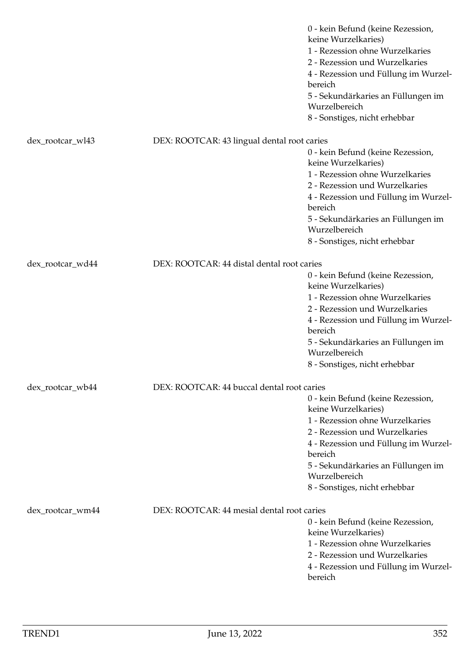|                  |                                             | 0 - kein Befund (keine Rezession,<br>keine Wurzelkaries)<br>1 - Rezession ohne Wurzelkaries<br>2 - Rezession und Wurzelkaries<br>4 - Rezession und Füllung im Wurzel-<br>bereich<br>5 - Sekundärkaries an Füllungen im<br>Wurzelbereich<br>8 - Sonstiges, nicht erhebbar |
|------------------|---------------------------------------------|--------------------------------------------------------------------------------------------------------------------------------------------------------------------------------------------------------------------------------------------------------------------------|
| dex_rootcar_wl43 | DEX: ROOTCAR: 43 lingual dental root caries |                                                                                                                                                                                                                                                                          |
|                  |                                             | 0 - kein Befund (keine Rezession,<br>keine Wurzelkaries)<br>1 - Rezession ohne Wurzelkaries<br>2 - Rezession und Wurzelkaries<br>4 - Rezession und Füllung im Wurzel-<br>bereich<br>5 - Sekundärkaries an Füllungen im<br>Wurzelbereich<br>8 - Sonstiges, nicht erhebbar |
| dex_rootcar_wd44 | DEX: ROOTCAR: 44 distal dental root caries  |                                                                                                                                                                                                                                                                          |
|                  |                                             | 0 - kein Befund (keine Rezession,<br>keine Wurzelkaries)                                                                                                                                                                                                                 |
|                  |                                             | 1 - Rezession ohne Wurzelkaries<br>2 - Rezession und Wurzelkaries                                                                                                                                                                                                        |
|                  |                                             | 4 - Rezession und Füllung im Wurzel-<br>bereich                                                                                                                                                                                                                          |
|                  |                                             | 5 - Sekundärkaries an Füllungen im<br>Wurzelbereich                                                                                                                                                                                                                      |
|                  |                                             | 8 - Sonstiges, nicht erhebbar                                                                                                                                                                                                                                            |
| dex_rootcar_wb44 | DEX: ROOTCAR: 44 buccal dental root caries  |                                                                                                                                                                                                                                                                          |
|                  |                                             | 0 - kein Befund (keine Rezession,<br>keine Wurzelkaries)<br>1 - Rezession ohne Wurzelkaries                                                                                                                                                                              |
|                  |                                             | 2 - Rezession und Wurzelkaries<br>4 - Rezession und Füllung im Wurzel-<br>bereich                                                                                                                                                                                        |
|                  |                                             | 5 - Sekundärkaries an Füllungen im<br>Wurzelbereich                                                                                                                                                                                                                      |
|                  |                                             | 8 - Sonstiges, nicht erhebbar                                                                                                                                                                                                                                            |
| dex_rootcar_wm44 | DEX: ROOTCAR: 44 mesial dental root caries  |                                                                                                                                                                                                                                                                          |
|                  |                                             | 0 - kein Befund (keine Rezession,<br>keine Wurzelkaries)                                                                                                                                                                                                                 |
|                  |                                             | 1 - Rezession ohne Wurzelkaries<br>2 - Rezession und Wurzelkaries                                                                                                                                                                                                        |
|                  |                                             | 4 - Rezession und Füllung im Wurzel-<br>bereich                                                                                                                                                                                                                          |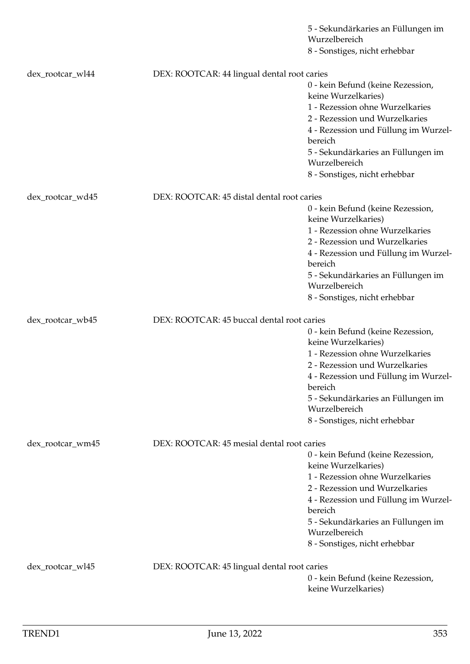|                  |                                             | 5 - Sekundärkaries an Füllungen im                       |
|------------------|---------------------------------------------|----------------------------------------------------------|
|                  |                                             | Wurzelbereich<br>8 - Sonstiges, nicht erhebbar           |
|                  |                                             |                                                          |
| dex_rootcar_wl44 | DEX: ROOTCAR: 44 lingual dental root caries |                                                          |
|                  |                                             | 0 - kein Befund (keine Rezession,<br>keine Wurzelkaries) |
|                  |                                             | 1 - Rezession ohne Wurzelkaries                          |
|                  |                                             | 2 - Rezession und Wurzelkaries                           |
|                  |                                             | 4 - Rezession und Füllung im Wurzel-<br>bereich          |
|                  |                                             | 5 - Sekundärkaries an Füllungen im                       |
|                  |                                             | Wurzelbereich                                            |
|                  |                                             | 8 - Sonstiges, nicht erhebbar                            |
| dex_rootcar_wd45 | DEX: ROOTCAR: 45 distal dental root caries  |                                                          |
|                  |                                             | 0 - kein Befund (keine Rezession,                        |
|                  |                                             | keine Wurzelkaries)                                      |
|                  |                                             | 1 - Rezession ohne Wurzelkaries                          |
|                  |                                             | 2 - Rezession und Wurzelkaries                           |
|                  |                                             | 4 - Rezession und Füllung im Wurzel-<br>bereich          |
|                  |                                             | 5 - Sekundärkaries an Füllungen im                       |
|                  |                                             | Wurzelbereich                                            |
|                  |                                             | 8 - Sonstiges, nicht erhebbar                            |
| dex_rootcar_wb45 | DEX: ROOTCAR: 45 buccal dental root caries  |                                                          |
|                  |                                             | 0 - kein Befund (keine Rezession,                        |
|                  |                                             | keine Wurzelkaries)                                      |
|                  |                                             |                                                          |
|                  |                                             | 1 - Rezession ohne Wurzelkaries                          |
|                  |                                             | 2 - Rezession und Wurzelkaries                           |
|                  |                                             | 4 - Rezession und Füllung im Wurzel-<br>bereich          |
|                  |                                             | 5 - Sekundärkaries an Füllungen im                       |
|                  |                                             | Wurzelbereich                                            |
|                  |                                             | 8 - Sonstiges, nicht erhebbar                            |
| dex_rootcar_wm45 | DEX: ROOTCAR: 45 mesial dental root caries  |                                                          |
|                  |                                             | 0 - kein Befund (keine Rezession,                        |
|                  |                                             | keine Wurzelkaries)                                      |
|                  |                                             | 1 - Rezession ohne Wurzelkaries                          |
|                  |                                             | 2 - Rezession und Wurzelkaries                           |
|                  |                                             | 4 - Rezession und Füllung im Wurzel-<br>bereich          |
|                  |                                             | 5 - Sekundärkaries an Füllungen im                       |
|                  |                                             | Wurzelbereich                                            |
|                  |                                             | 8 - Sonstiges, nicht erhebbar                            |
| dex_rootcar_wl45 | DEX: ROOTCAR: 45 lingual dental root caries |                                                          |
|                  |                                             | 0 - kein Befund (keine Rezession,                        |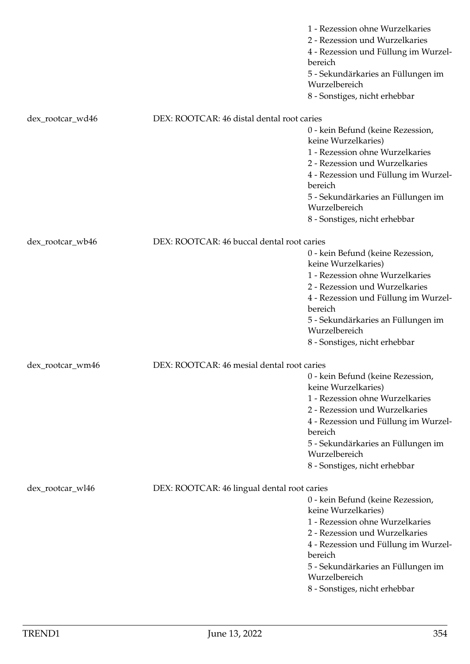|                  |                                             | 1 - Rezession ohne Wurzelkaries<br>2 - Rezession und Wurzelkaries<br>4 - Rezession und Füllung im Wurzel-<br>bereich<br>5 - Sekundärkaries an Füllungen im<br>Wurzelbereich<br>8 - Sonstiges, nicht erhebbar                                                             |
|------------------|---------------------------------------------|--------------------------------------------------------------------------------------------------------------------------------------------------------------------------------------------------------------------------------------------------------------------------|
| dex_rootcar_wd46 | DEX: ROOTCAR: 46 distal dental root caries  |                                                                                                                                                                                                                                                                          |
|                  |                                             | 0 - kein Befund (keine Rezession,<br>keine Wurzelkaries)<br>1 - Rezession ohne Wurzelkaries<br>2 - Rezession und Wurzelkaries<br>4 - Rezession und Füllung im Wurzel-<br>bereich<br>5 - Sekundärkaries an Füllungen im<br>Wurzelbereich<br>8 - Sonstiges, nicht erhebbar |
| dex_rootcar_wb46 | DEX: ROOTCAR: 46 buccal dental root caries  |                                                                                                                                                                                                                                                                          |
|                  |                                             | 0 - kein Befund (keine Rezession,<br>keine Wurzelkaries)<br>1 - Rezession ohne Wurzelkaries<br>2 - Rezession und Wurzelkaries<br>4 - Rezession und Füllung im Wurzel-<br>bereich<br>5 - Sekundärkaries an Füllungen im<br>Wurzelbereich<br>8 - Sonstiges, nicht erhebbar |
| dex_rootcar_wm46 | DEX: ROOTCAR: 46 mesial dental root caries  |                                                                                                                                                                                                                                                                          |
|                  |                                             | 0 - kein Befund (keine Rezession,<br>keine Wurzelkaries)<br>1 - Rezession ohne Wurzelkaries<br>2 - Rezession und Wurzelkaries<br>4 - Rezession und Füllung im Wurzel-<br>bereich<br>5 - Sekundärkaries an Füllungen im<br>Wurzelbereich<br>8 - Sonstiges, nicht erhebbar |
| dex_rootcar_wl46 | DEX: ROOTCAR: 46 lingual dental root caries |                                                                                                                                                                                                                                                                          |
|                  |                                             | 0 - kein Befund (keine Rezession,<br>keine Wurzelkaries)<br>1 - Rezession ohne Wurzelkaries<br>2 - Rezession und Wurzelkaries<br>4 - Rezession und Füllung im Wurzel-<br>bereich<br>5 - Sekundärkaries an Füllungen im<br>Wurzelbereich<br>8 - Sonstiges, nicht erhebbar |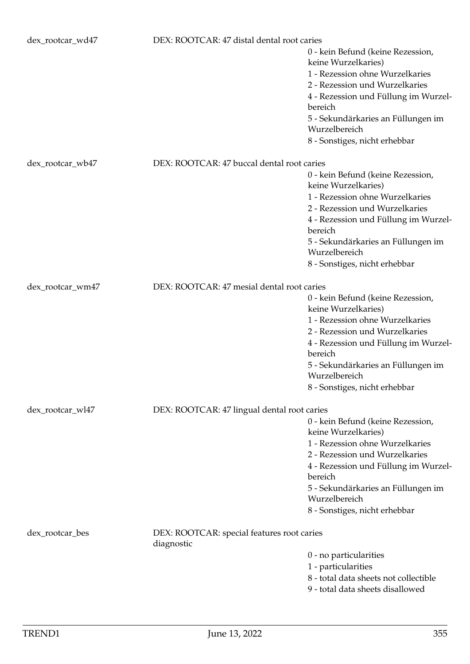| dex_rootcar_wd47 | DEX: ROOTCAR: 47 distal dental root caries               |                                                                                             |
|------------------|----------------------------------------------------------|---------------------------------------------------------------------------------------------|
|                  |                                                          | 0 - kein Befund (keine Rezession,<br>keine Wurzelkaries)<br>1 - Rezession ohne Wurzelkaries |
|                  |                                                          | 2 - Rezession und Wurzelkaries                                                              |
|                  |                                                          | 4 - Rezession und Füllung im Wurzel-<br>bereich                                             |
|                  |                                                          | 5 - Sekundärkaries an Füllungen im<br>Wurzelbereich                                         |
|                  |                                                          | 8 - Sonstiges, nicht erhebbar                                                               |
| dex_rootcar_wb47 | DEX: ROOTCAR: 47 buccal dental root caries               |                                                                                             |
|                  |                                                          | 0 - kein Befund (keine Rezession,<br>keine Wurzelkaries)                                    |
|                  |                                                          | 1 - Rezession ohne Wurzelkaries                                                             |
|                  |                                                          | 2 - Rezession und Wurzelkaries                                                              |
|                  |                                                          | 4 - Rezession und Füllung im Wurzel-<br>bereich                                             |
|                  |                                                          | 5 - Sekundärkaries an Füllungen im                                                          |
|                  |                                                          | Wurzelbereich                                                                               |
|                  |                                                          | 8 - Sonstiges, nicht erhebbar                                                               |
| dex_rootcar_wm47 | DEX: ROOTCAR: 47 mesial dental root caries               |                                                                                             |
|                  |                                                          | 0 - kein Befund (keine Rezession,<br>keine Wurzelkaries)                                    |
|                  |                                                          | 1 - Rezession ohne Wurzelkaries                                                             |
|                  |                                                          | 2 - Rezession und Wurzelkaries                                                              |
|                  |                                                          | 4 - Rezession und Füllung im Wurzel-<br>bereich                                             |
|                  |                                                          | 5 - Sekundärkaries an Füllungen im<br>Wurzelbereich                                         |
|                  |                                                          | 8 - Sonstiges, nicht erhebbar                                                               |
| dex_rootcar_wl47 | DEX: ROOTCAR: 47 lingual dental root caries              |                                                                                             |
|                  |                                                          | 0 - kein Befund (keine Rezession,<br>keine Wurzelkaries)                                    |
|                  |                                                          | 1 - Rezession ohne Wurzelkaries                                                             |
|                  |                                                          | 2 - Rezession und Wurzelkaries                                                              |
|                  |                                                          | 4 - Rezession und Füllung im Wurzel-<br>bereich                                             |
|                  |                                                          | 5 - Sekundärkaries an Füllungen im<br>Wurzelbereich                                         |
|                  |                                                          | 8 - Sonstiges, nicht erhebbar                                                               |
|                  |                                                          |                                                                                             |
| dex_rootcar_bes  | DEX: ROOTCAR: special features root caries<br>diagnostic |                                                                                             |
|                  |                                                          | 0 - no particularities                                                                      |
|                  |                                                          | 1 - particularities                                                                         |
|                  |                                                          | 8 - total data sheets not collectible<br>9 - total data sheets disallowed                   |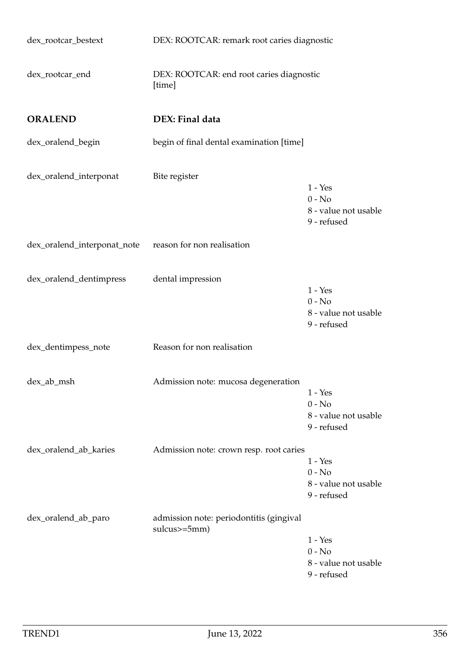| dex_rootcar_bestext         | DEX: ROOTCAR: remark root caries diagnostic             |                                                              |
|-----------------------------|---------------------------------------------------------|--------------------------------------------------------------|
| dex_rootcar_end             | DEX: ROOTCAR: end root caries diagnostic<br>[time]      |                                                              |
| <b>ORALEND</b>              | DEX: Final data                                         |                                                              |
| dex_oralend_begin           | begin of final dental examination [time]                |                                                              |
| dex_oralend_interponat      | Bite register                                           | $1 - Yes$<br>$0 - No$<br>8 - value not usable<br>9 - refused |
| dex_oralend_interponat_note | reason for non realisation                              |                                                              |
| dex_oralend_dentimpress     | dental impression                                       | $1 - Yes$<br>$0 - No$<br>8 - value not usable<br>9 - refused |
| dex_dentimpess_note         | Reason for non realisation                              |                                                              |
| dex_ab_msh                  | Admission note: mucosa degeneration                     | $1 - Yes$<br>$0 - No$<br>8 - value not usable<br>9 - refused |
| dex_oralend_ab_karies       | Admission note: crown resp. root caries                 | $1 - Yes$<br>$0 - No$<br>8 - value not usable<br>9 - refused |
| dex_oralend_ab_paro         | admission note: periodontitis (gingival<br>sulcus>=5mm) | $1 - Yes$<br>$0 - No$<br>8 - value not usable<br>9 - refused |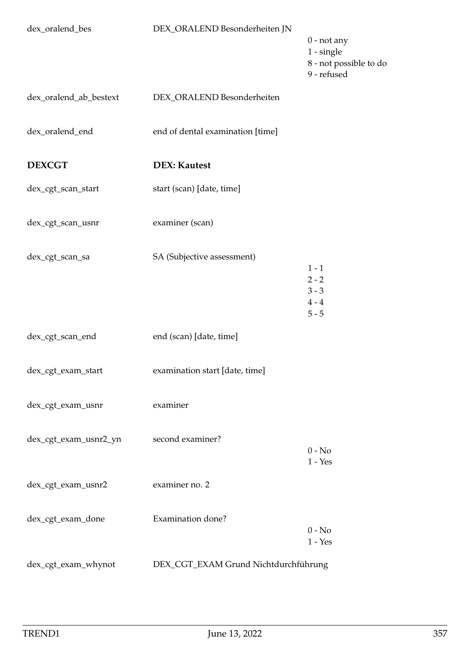| dex_oralend_bes        | DEX_ORALEND Besonderheiten JN        | $0$ - not any<br>$1 - single$<br>8 - not possible to do<br>9 - refused |
|------------------------|--------------------------------------|------------------------------------------------------------------------|
| dex_oralend_ab_bestext | DEX_ORALEND Besonderheiten           |                                                                        |
| dex_oralend_end        | end of dental examination [time]     |                                                                        |
| <b>DEXCGT</b>          | <b>DEX: Kautest</b>                  |                                                                        |
| dex_cgt_scan_start     | start (scan) [date, time]            |                                                                        |
| dex_cgt_scan_usnr      | examiner (scan)                      |                                                                        |
| dex_cgt_scan_sa        | SA (Subjective assessment)           | $1 - 1$<br>$2 - 2$<br>$3 - 3$<br>$4 - 4$<br>$5 - 5$                    |
| dex_cgt_scan_end       | end (scan) [date, time]              |                                                                        |
| dex_cgt_exam_start     | examination start [date, time]       |                                                                        |
| dex_cgt_exam_usnr      | examiner                             |                                                                        |
| dex_cgt_exam_usnr2_yn  | second examiner?                     | $0 - No$<br>$1 - Yes$                                                  |
| dex_cgt_exam_usnr2     | examiner no. 2                       |                                                                        |
| dex_cgt_exam_done      | Examination done?                    | $0 - No$<br>$1 - Yes$                                                  |
| dex_cgt_exam_whynot    | DEX_CGT_EXAM Grund Nichtdurchführung |                                                                        |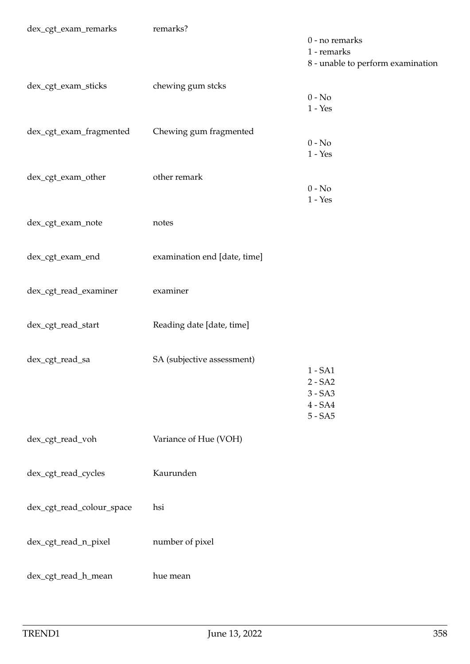| dex_cgt_exam_remarks      | remarks?                     | 0 - no remarks<br>1 - remarks<br>8 - unable to perform examination |
|---------------------------|------------------------------|--------------------------------------------------------------------|
| dex_cgt_exam_sticks       | chewing gum stcks            | $0 - No$<br>$1 - Yes$                                              |
| dex_cgt_exam_fragmented   | Chewing gum fragmented       | $0 - No$<br>$1 - Yes$                                              |
| dex_cgt_exam_other        | other remark                 | $0 - No$<br>$1 - Yes$                                              |
| dex_cgt_exam_note         | notes                        |                                                                    |
| dex_cgt_exam_end          | examination end [date, time] |                                                                    |
| dex_cgt_read_examiner     | examiner                     |                                                                    |
| dex_cgt_read_start        | Reading date [date, time]    |                                                                    |
| dex_cgt_read_sa           | SA (subjective assessment)   | $1 - SA1$<br>$2 - SA2$<br>$3 - SA3$<br>$4 - SA4$<br>$5 - SA5$      |
| dex_cgt_read_voh          | Variance of Hue (VOH)        |                                                                    |
| dex_cgt_read_cycles       | Kaurunden                    |                                                                    |
| dex_cgt_read_colour_space | hsi                          |                                                                    |
| dex_cgt_read_n_pixel      | number of pixel              |                                                                    |
| dex_cgt_read_h_mean       | hue mean                     |                                                                    |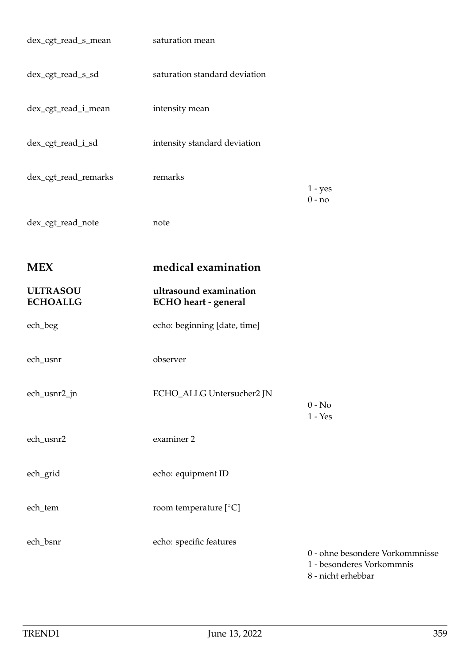| dex_cgt_read_s_mean                | saturation mean                                |                                                                                    |
|------------------------------------|------------------------------------------------|------------------------------------------------------------------------------------|
| dex_cgt_read_s_sd                  | saturation standard deviation                  |                                                                                    |
| dex_cgt_read_i_mean                | intensity mean                                 |                                                                                    |
| dex_cgt_read_i_sd                  | intensity standard deviation                   |                                                                                    |
| dex_cgt_read_remarks               | remarks                                        | $1 - yes$                                                                          |
| dex_cgt_read_note                  | note                                           | $0 - no$                                                                           |
| <b>MEX</b>                         | medical examination                            |                                                                                    |
| <b>ULTRASOU</b><br><b>ECHOALLG</b> | ultrasound examination<br>ECHO heart - general |                                                                                    |
| ech_beg                            | echo: beginning [date, time]                   |                                                                                    |
| ech_usnr                           | observer                                       |                                                                                    |
| ech_usnr2_jn                       | ECHO_ALLG Untersucher2 JN                      | $0 - No$<br>$1 - Yes$                                                              |
| ech_usnr2                          | examiner 2                                     |                                                                                    |
| ech_grid                           | echo: equipment ID                             |                                                                                    |
| ech_tem                            | room temperature [°C]                          |                                                                                    |
| ech_bsnr                           | echo: specific features                        | 0 - ohne besondere Vorkommnisse<br>1 - besonderes Vorkommnis<br>8 - nicht erhebbar |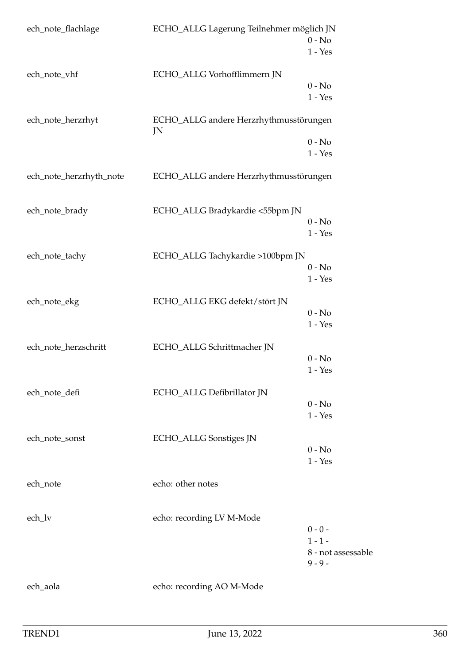| ech_note_flachlage      | ECHO_ALLG Lagerung Teilnehmer möglich JN     | $0 - No$                        |
|-------------------------|----------------------------------------------|---------------------------------|
|                         |                                              | $1 - Yes$                       |
| ech_note_vhf            | ECHO_ALLG Vorhofflimmern JN                  |                                 |
|                         |                                              | $0 - No$                        |
|                         |                                              | $1 - Yes$                       |
| ech_note_herzrhyt       | ECHO_ALLG andere Herzrhythmusstörungen<br>JN |                                 |
|                         |                                              | $0 - No$                        |
|                         |                                              | $1 - Yes$                       |
| ech_note_herzrhyth_note | ECHO_ALLG andere Herzrhythmusstörungen       |                                 |
| ech_note_brady          | ECHO_ALLG Bradykardie <55bpm JN              |                                 |
|                         |                                              | $0 - No$                        |
|                         |                                              | $1 - Yes$                       |
| ech_note_tachy          | ECHO_ALLG Tachykardie >100bpm JN             |                                 |
|                         |                                              | $0 - No$                        |
|                         |                                              | $1 - Yes$                       |
| ech_note_ekg            | ECHO_ALLG EKG defekt/stört JN                |                                 |
|                         |                                              | $0 - No$                        |
|                         |                                              | $1 - Yes$                       |
| ech_note_herzschritt    | ECHO_ALLG Schrittmacher JN                   |                                 |
|                         |                                              | $0 - No$                        |
|                         |                                              | $1 - Yes$                       |
| ech_note_defi           | ECHO_ALLG Defibrillator JN                   |                                 |
|                         |                                              | $0 - No$                        |
|                         |                                              | $1 - Yes$                       |
| ech_note_sonst          | ECHO_ALLG Sonstiges JN                       |                                 |
|                         |                                              | $0 - No$                        |
|                         |                                              | $1 - Yes$                       |
| ech_note                | echo: other notes                            |                                 |
| ech_lv                  | echo: recording LV M-Mode                    |                                 |
|                         |                                              | $0 - 0 -$                       |
|                         |                                              | $1 - 1 -$                       |
|                         |                                              | 8 - not assessable<br>$9 - 9 -$ |
| ech_aola                | echo: recording AO M-Mode                    |                                 |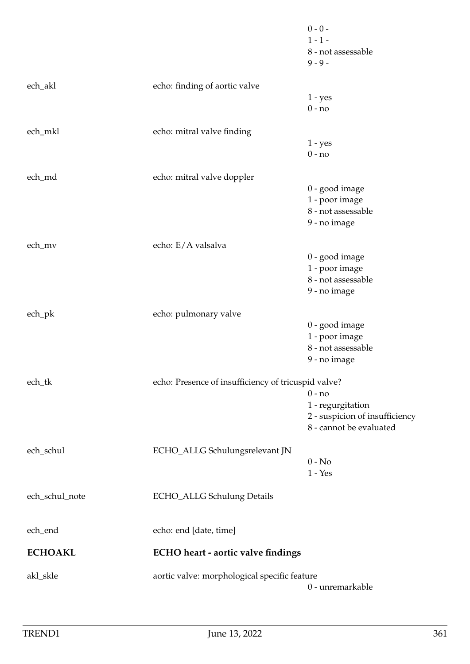|                                  |                                                     | $0 - 0 -$                        |
|----------------------------------|-----------------------------------------------------|----------------------------------|
|                                  |                                                     | $1 - 1 -$                        |
|                                  |                                                     | 8 - not assessable               |
|                                  |                                                     | $9 - 9 -$                        |
| ech_akl                          | echo: finding of aortic valve                       |                                  |
|                                  |                                                     | $1 - yes$                        |
|                                  |                                                     | $0 - no$                         |
|                                  |                                                     |                                  |
| ech_mkl                          | echo: mitral valve finding                          |                                  |
|                                  |                                                     | $1 - yes$                        |
|                                  |                                                     | $0 - no$                         |
| ech_md                           | echo: mitral valve doppler                          |                                  |
|                                  |                                                     | 0 - good image                   |
|                                  |                                                     | 1 - poor image                   |
|                                  |                                                     | 8 - not assessable               |
|                                  |                                                     | 9 - no image                     |
|                                  |                                                     |                                  |
| ech_mv                           | echo: E/A valsalva                                  |                                  |
|                                  |                                                     | 0 - good image                   |
|                                  |                                                     | 1 - poor image                   |
|                                  |                                                     | 8 - not assessable               |
|                                  |                                                     | 9 - no image                     |
|                                  |                                                     |                                  |
| $ech$ <sub><math>pk</math></sub> | echo: pulmonary valve                               |                                  |
|                                  |                                                     | 0 - good image<br>1 - poor image |
|                                  |                                                     | 8 - not assessable               |
|                                  |                                                     | 9 - no image                     |
|                                  |                                                     |                                  |
| ech_tk                           | echo: Presence of insufficiency of tricuspid valve? |                                  |
|                                  |                                                     | $0 - no$                         |
|                                  |                                                     | 1 - regurgitation                |
|                                  |                                                     | 2 - suspicion of insufficiency   |
|                                  |                                                     | 8 - cannot be evaluated          |
|                                  |                                                     |                                  |
| ech_schul                        | ECHO_ALLG Schulungsrelevant JN                      | $0 - No$                         |
|                                  |                                                     | $1 - Yes$                        |
|                                  |                                                     |                                  |
| ech_schul_note                   | <b>ECHO_ALLG Schulung Details</b>                   |                                  |
|                                  |                                                     |                                  |
|                                  |                                                     |                                  |
| ech_end                          | echo: end [date, time]                              |                                  |
| <b>ECHOAKL</b>                   | ECHO heart - aortic valve findings                  |                                  |
|                                  |                                                     |                                  |
| akl_skle                         | aortic valve: morphological specific feature        |                                  |
|                                  |                                                     | 0 - unremarkable                 |
|                                  |                                                     |                                  |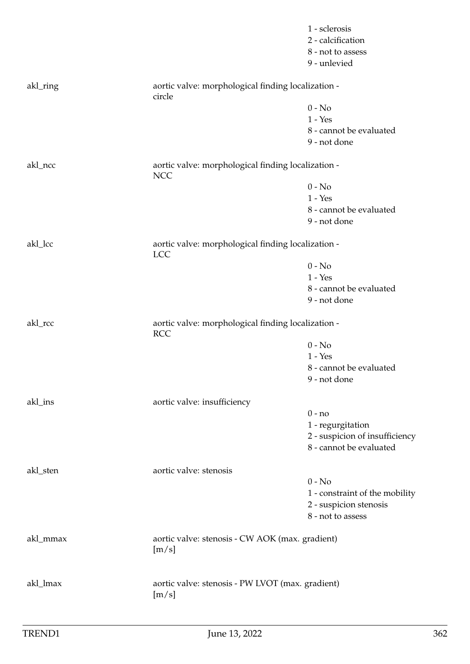|          |                                                                  | 1 - sclerosis<br>2 - calcification<br>8 - not to assess<br>9 - unlevied |
|----------|------------------------------------------------------------------|-------------------------------------------------------------------------|
| akl_ring | aortic valve: morphological finding localization -<br>circle     |                                                                         |
|          |                                                                  | $0 - No$                                                                |
|          |                                                                  | $1 - Yes$                                                               |
|          |                                                                  | 8 - cannot be evaluated<br>9 - not done                                 |
| akl_ncc  | aortic valve: morphological finding localization -<br><b>NCC</b> |                                                                         |
|          |                                                                  | $0 - No$                                                                |
|          |                                                                  | $1 - Yes$                                                               |
|          |                                                                  | 8 - cannot be evaluated                                                 |
|          |                                                                  | 9 - not done                                                            |
| akl_lcc  | aortic valve: morphological finding localization -<br><b>LCC</b> |                                                                         |
|          |                                                                  | $0 - No$                                                                |
|          |                                                                  | $1 - Yes$                                                               |
|          |                                                                  | 8 - cannot be evaluated                                                 |
|          |                                                                  | 9 - not done                                                            |
| akl_rcc  | aortic valve: morphological finding localization -<br><b>RCC</b> |                                                                         |
|          |                                                                  | $0 - No$                                                                |
|          |                                                                  | $1 - Yes$                                                               |
|          |                                                                  | 8 - cannot be evaluated                                                 |
|          |                                                                  | 9 - not done                                                            |
| akl_ins  | aortic valve: insufficiency                                      | $0 - no$                                                                |
|          |                                                                  | 1 - regurgitation                                                       |
|          |                                                                  | 2 - suspicion of insufficiency                                          |
|          |                                                                  | 8 - cannot be evaluated                                                 |
| akl_sten | aortic valve: stenosis                                           |                                                                         |
|          |                                                                  | $0 - No$                                                                |
|          |                                                                  | 1 - constraint of the mobility                                          |
|          |                                                                  | 2 - suspicion stenosis                                                  |
|          |                                                                  | 8 - not to assess                                                       |
| akl_mmax | aortic valve: stenosis - CW AOK (max. gradient)<br>[m/s]         |                                                                         |
| akl_lmax | aortic valve: stenosis - PW LVOT (max. gradient)<br>[m/s]        |                                                                         |
|          |                                                                  |                                                                         |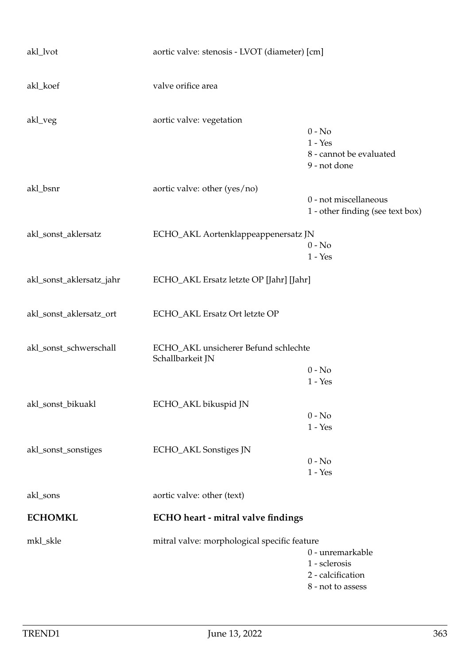| akl_lvot                 | aortic valve: stenosis - LVOT (diameter) [cm]            |                                                                             |
|--------------------------|----------------------------------------------------------|-----------------------------------------------------------------------------|
| akl_koef                 | valve orifice area                                       |                                                                             |
| akl_veg                  | aortic valve: vegetation                                 | $0 - No$<br>$1 - Yes$<br>8 - cannot be evaluated<br>9 - not done            |
| akl_bsnr                 | aortic valve: other (yes/no)                             | 0 - not miscellaneous<br>1 - other finding (see text box)                   |
| akl_sonst_aklersatz      | ECHO_AKL Aortenklappeappenersatz JN                      | $0 - No$<br>$1 - Yes$                                                       |
| akl_sonst_aklersatz_jahr | ECHO_AKL Ersatz letzte OP [Jahr] [Jahr]                  |                                                                             |
| akl_sonst_aklersatz_ort  | ECHO_AKL Ersatz Ort letzte OP                            |                                                                             |
| akl_sonst_schwerschall   | ECHO_AKL unsicherer Befund schlechte<br>Schallbarkeit JN | $0 - No$<br>$1 - Yes$                                                       |
| akl_sonst_bikuakl        | ECHO_AKL bikuspid JN                                     | $0 - No$<br>$1 - Yes$                                                       |
| akl_sonst_sonstiges      | ECHO_AKL Sonstiges JN                                    | $0 - No$<br>$1 - Yes$                                                       |
| akl_sons                 | aortic valve: other (text)                               |                                                                             |
| <b>ECHOMKL</b>           | ECHO heart - mitral valve findings                       |                                                                             |
| mkl_skle                 | mitral valve: morphological specific feature             | 0 - unremarkable<br>1 - sclerosis<br>2 - calcification<br>8 - not to assess |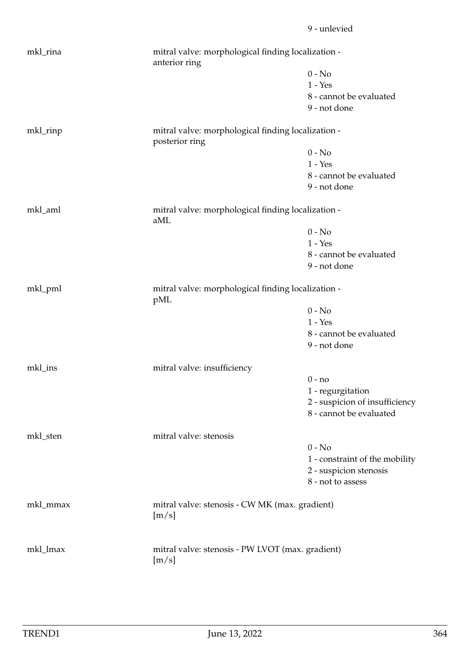| mkl_rina |                                                                      | mitral valve: morphological finding localization -<br>anterior ring |  |
|----------|----------------------------------------------------------------------|---------------------------------------------------------------------|--|
|          |                                                                      | $0 - No$                                                            |  |
|          |                                                                      | $1 - Yes$                                                           |  |
|          |                                                                      | 8 - cannot be evaluated                                             |  |
|          |                                                                      | 9 - not done                                                        |  |
| mkl_rinp | mitral valve: morphological finding localization -<br>posterior ring |                                                                     |  |
|          |                                                                      | $0 - No$                                                            |  |
|          |                                                                      | $1 - Yes$                                                           |  |
|          |                                                                      | 8 - cannot be evaluated                                             |  |
|          |                                                                      | 9 - not done                                                        |  |
| mkl_aml  | mitral valve: morphological finding localization -<br>aML            |                                                                     |  |
|          |                                                                      | $0 - No$                                                            |  |
|          |                                                                      | $1 - Yes$                                                           |  |
|          |                                                                      | 8 - cannot be evaluated                                             |  |
|          |                                                                      | 9 - not done                                                        |  |
| mkl_pml  | pML                                                                  | mitral valve: morphological finding localization -                  |  |
|          |                                                                      | $0 - No$                                                            |  |
|          |                                                                      | $1 - Yes$                                                           |  |
|          |                                                                      | 8 - cannot be evaluated                                             |  |
|          |                                                                      | 9 - not done                                                        |  |
| mkl_ins  | mitral valve: insufficiency                                          |                                                                     |  |
|          |                                                                      | $0 - no$                                                            |  |
|          |                                                                      | 1 - regurgitation                                                   |  |
|          |                                                                      | 2 - suspicion of insufficiency                                      |  |
|          |                                                                      | 8 - cannot be evaluated                                             |  |
| mkl_sten | mitral valve: stenosis                                               |                                                                     |  |
|          |                                                                      | $0 - No$                                                            |  |
|          |                                                                      | 1 - constraint of the mobility                                      |  |
|          |                                                                      | 2 - suspicion stenosis                                              |  |
|          |                                                                      | 8 - not to assess                                                   |  |
| mkl_mmax | mitral valve: stenosis - CW MK (max. gradient)<br>[m/s]              |                                                                     |  |
| mkl_lmax | mitral valve: stenosis - PW LVOT (max. gradient)<br>[m/s]            |                                                                     |  |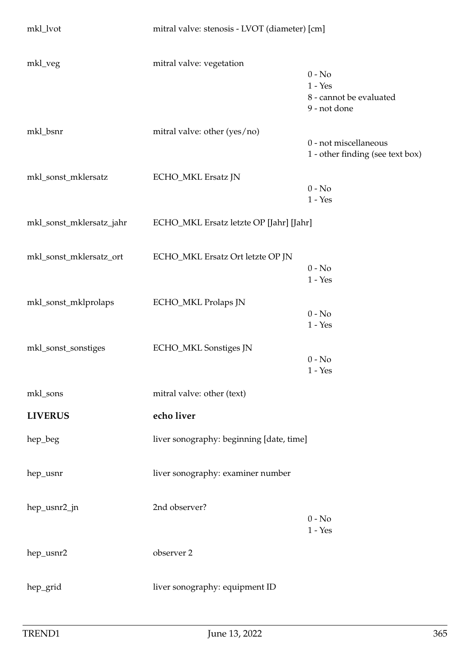| mkl_lvot                 | mitral valve: stenosis - LVOT (diameter) [cm] |                                                                  |
|--------------------------|-----------------------------------------------|------------------------------------------------------------------|
| mkl_veg                  | mitral valve: vegetation                      | $0 - No$<br>$1 - Yes$<br>8 - cannot be evaluated<br>9 - not done |
| mkl_bsnr                 | mitral valve: other (yes/no)                  | 0 - not miscellaneous<br>1 - other finding (see text box)        |
| mkl_sonst_mklersatz      | ECHO_MKL Ersatz JN                            | $0 - No$<br>$1 - Yes$                                            |
| mkl_sonst_mklersatz_jahr | ECHO_MKL Ersatz letzte OP [Jahr] [Jahr]       |                                                                  |
| mkl_sonst_mklersatz_ort  | ECHO_MKL Ersatz Ort letzte OP JN              | $0 - No$<br>$1 - Yes$                                            |
| mkl_sonst_mklprolaps     | ECHO_MKL Prolaps JN                           | $0 - No$<br>$1 - Yes$                                            |
| mkl_sonst_sonstiges      | ECHO_MKL Sonstiges JN                         | $0 - No$<br>$1 - Yes$                                            |
| mkl_sons                 | mitral valve: other (text)                    |                                                                  |
| <b>LIVERUS</b>           | echo liver                                    |                                                                  |
| hep_beg                  | liver sonography: beginning [date, time]      |                                                                  |
| hep_usnr                 | liver sonography: examiner number             |                                                                  |
| hep_usnr2_jn             | 2nd observer?                                 | $0 - No$<br>$1 - Yes$                                            |
| hep_usnr2                | observer 2                                    |                                                                  |
| hep_grid                 | liver sonography: equipment ID                |                                                                  |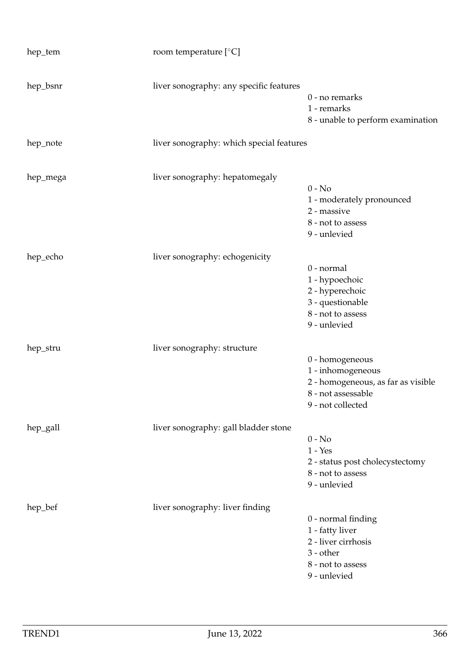| hep_tem  | room temperature $[°C]$                  |                                                                                                                       |
|----------|------------------------------------------|-----------------------------------------------------------------------------------------------------------------------|
| hep_bsnr | liver sonography: any specific features  | 0 - no remarks<br>1 - remarks<br>8 - unable to perform examination                                                    |
| hep_note | liver sonography: which special features |                                                                                                                       |
| hep_mega | liver sonography: hepatomegaly           | $0 - No$<br>1 - moderately pronounced<br>2 - massive<br>8 - not to assess<br>9 - unlevied                             |
| hep_echo | liver sonography: echogenicity           | 0 - normal<br>1 - hypoechoic<br>2 - hyperechoic<br>3 - questionable<br>8 - not to assess<br>9 - unlevied              |
| hep_stru | liver sonography: structure              | 0 - homogeneous<br>1 - inhomogeneous<br>2 - homogeneous, as far as visible<br>8 - not assessable<br>9 - not collected |
| hep_gall | liver sonography: gall bladder stone     | $0 - No$<br>$1 - Yes$<br>2 - status post cholecystectomy<br>8 - not to assess<br>9 - unlevied                         |
| hep_bef  | liver sonography: liver finding          | 0 - normal finding<br>1 - fatty liver<br>2 - liver cirrhosis<br>$3$ - other<br>8 - not to assess<br>9 - unlevied      |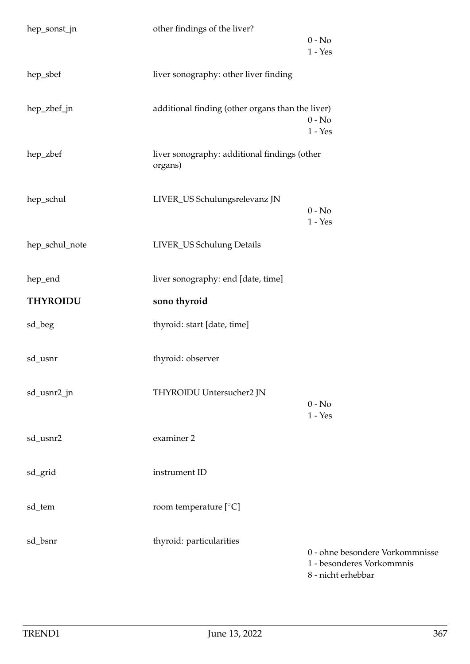| hep_sonst_jn    | other findings of the liver?                            | $0 - No$                                                                           |
|-----------------|---------------------------------------------------------|------------------------------------------------------------------------------------|
|                 |                                                         | $1 - Yes$                                                                          |
| hep_sbef        | liver sonography: other liver finding                   |                                                                                    |
| hep_zbef_jn     | additional finding (other organs than the liver)        | $0 - No$<br>$1 - Yes$                                                              |
| hep_zbef        | liver sonography: additional findings (other<br>organs) |                                                                                    |
| hep_schul       | LIVER_US Schulungsrelevanz JN                           | $0 - No$<br>$1 - Yes$                                                              |
| hep_schul_note  | LIVER_US Schulung Details                               |                                                                                    |
| hep_end         | liver sonography: end [date, time]                      |                                                                                    |
| <b>THYROIDU</b> | sono thyroid                                            |                                                                                    |
| sd_beg          | thyroid: start [date, time]                             |                                                                                    |
| sd_usnr         | thyroid: observer                                       |                                                                                    |
| sd_usnr2_jn     | THYROIDU Untersucher2 JN                                | $0 - No$<br>$1 - Yes$                                                              |
| sd_usnr2        | examiner 2                                              |                                                                                    |
| sd_grid         | instrument ID                                           |                                                                                    |
| sd_tem          | room temperature $[°C]$                                 |                                                                                    |
| sd_bsnr         | thyroid: particularities                                | 0 - ohne besondere Vorkommnisse<br>1 - besonderes Vorkommnis<br>8 - nicht erhebbar |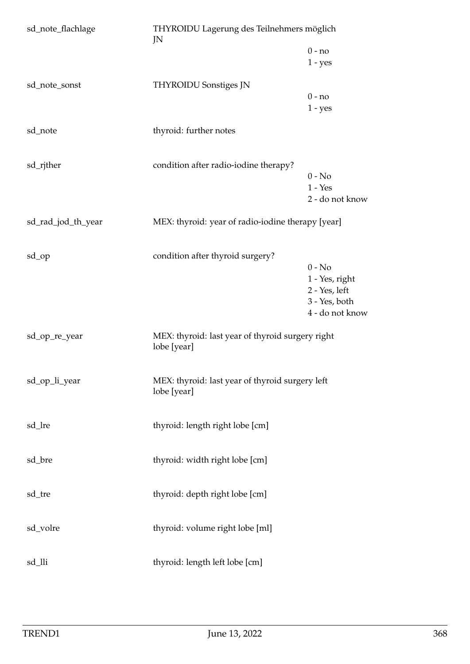| sd_note_flachlage  | THYROIDU Lagerung des Teilnehmers möglich<br>JN                 |                                                                                 |
|--------------------|-----------------------------------------------------------------|---------------------------------------------------------------------------------|
|                    |                                                                 | $0 - no$<br>$1 - yes$                                                           |
| sd_note_sonst      | <b>THYROIDU Sonstiges JN</b>                                    | $0 - no$<br>$1 - yes$                                                           |
| sd_note            | thyroid: further notes                                          |                                                                                 |
| sd_rjther          | condition after radio-iodine therapy?                           | $0 - No$<br>$1 - Yes$<br>2 - do not know                                        |
| sd_rad_jod_th_year | MEX: thyroid: year of radio-iodine therapy [year]               |                                                                                 |
| sd_op              | condition after thyroid surgery?                                | $0 - No$<br>1 - Yes, right<br>2 - Yes, left<br>3 - Yes, both<br>4 - do not know |
| sd_op_re_year      | MEX: thyroid: last year of thyroid surgery right<br>lobe [year] |                                                                                 |
| sd_op_li_year      | MEX: thyroid: last year of thyroid surgery left<br>lobe [year]  |                                                                                 |
| sd_lre             | thyroid: length right lobe [cm]                                 |                                                                                 |
| sd_bre             | thyroid: width right lobe [cm]                                  |                                                                                 |
| sd_tre             | thyroid: depth right lobe [cm]                                  |                                                                                 |
| sd_volre           | thyroid: volume right lobe [ml]                                 |                                                                                 |
| sd_lli             | thyroid: length left lobe [cm]                                  |                                                                                 |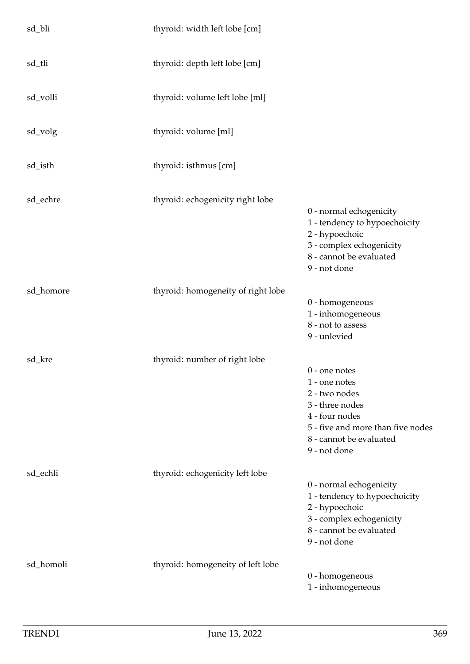| sd_bli    | thyroid: width left lobe [cm]      |                                                                                                                                                                        |
|-----------|------------------------------------|------------------------------------------------------------------------------------------------------------------------------------------------------------------------|
| sd_tli    | thyroid: depth left lobe [cm]      |                                                                                                                                                                        |
| sd_volli  | thyroid: volume left lobe [ml]     |                                                                                                                                                                        |
| sd_volg   | thyroid: volume [ml]               |                                                                                                                                                                        |
| sd_isth   | thyroid: isthmus [cm]              |                                                                                                                                                                        |
| sd_echre  | thyroid: echogenicity right lobe   | 0 - normal echogenicity<br>1 - tendency to hypoechoicity<br>2 - hypoechoic<br>3 - complex echogenicity<br>8 - cannot be evaluated<br>9 - not done                      |
| sd_homore | thyroid: homogeneity of right lobe | 0 - homogeneous<br>1 - inhomogeneous<br>8 - not to assess<br>9 - unlevied                                                                                              |
| sd_kre    | thyroid: number of right lobe      | $0$ - one notes<br>1 - one notes<br>2 - two nodes<br>3 - three nodes<br>4 - four nodes<br>5 - five and more than five nodes<br>8 - cannot be evaluated<br>9 - not done |
| sd_echli  | thyroid: echogenicity left lobe    | 0 - normal echogenicity<br>1 - tendency to hypoechoicity<br>2 - hypoechoic<br>3 - complex echogenicity<br>8 - cannot be evaluated<br>9 - not done                      |
| sd_homoli | thyroid: homogeneity of left lobe  | 0 - homogeneous<br>1 - inhomogeneous                                                                                                                                   |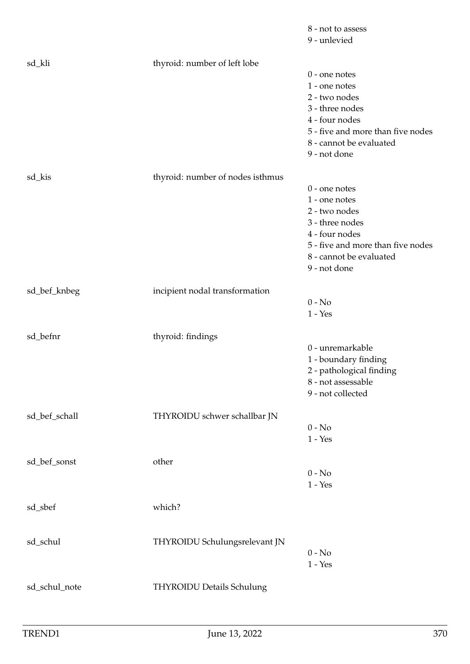|               |                                  | 8 - not to assess                 |
|---------------|----------------------------------|-----------------------------------|
|               |                                  | 9 - unlevied                      |
|               |                                  |                                   |
| sd_kli        | thyroid: number of left lobe     | $0$ - one notes                   |
|               |                                  | 1 - one notes                     |
|               |                                  | 2 - two nodes                     |
|               |                                  | 3 - three nodes                   |
|               |                                  | 4 - four nodes                    |
|               |                                  | 5 - five and more than five nodes |
|               |                                  | 8 - cannot be evaluated           |
|               |                                  | 9 - not done                      |
|               |                                  |                                   |
| sd_kis        | thyroid: number of nodes isthmus |                                   |
|               |                                  | $0$ - one notes                   |
|               |                                  | 1 - one notes                     |
|               |                                  | 2 - two nodes                     |
|               |                                  | 3 - three nodes                   |
|               |                                  | 4 - four nodes                    |
|               |                                  | 5 - five and more than five nodes |
|               |                                  | 8 - cannot be evaluated           |
|               |                                  | 9 - not done                      |
|               |                                  |                                   |
| sd_bef_knbeg  | incipient nodal transformation   |                                   |
|               |                                  | $0 - No$                          |
|               |                                  | $1 - Yes$                         |
| sd_befnr      | thyroid: findings                |                                   |
|               |                                  | 0 - unremarkable                  |
|               |                                  | 1 - boundary finding              |
|               |                                  | 2 - pathological finding          |
|               |                                  | 8 - not assessable                |
|               |                                  | 9 - not collected                 |
|               |                                  |                                   |
| sd_bef_schall | THYROIDU schwer schallbar JN     |                                   |
|               |                                  | $0 - No$                          |
|               |                                  | $1 - Yes$                         |
|               |                                  |                                   |
| sd_bef_sonst  | other                            |                                   |
|               |                                  | $0 - No$                          |
|               |                                  | $1 - Yes$                         |
|               |                                  |                                   |
| sd_sbef       | which?                           |                                   |
|               |                                  |                                   |
|               |                                  |                                   |
| sd_schul      | THYROIDU Schulungsrelevant JN    |                                   |
|               |                                  | $0 - No$<br>$1 - Yes$             |
|               |                                  |                                   |
| sd_schul_note | THYROIDU Details Schulung        |                                   |
|               |                                  |                                   |
|               |                                  |                                   |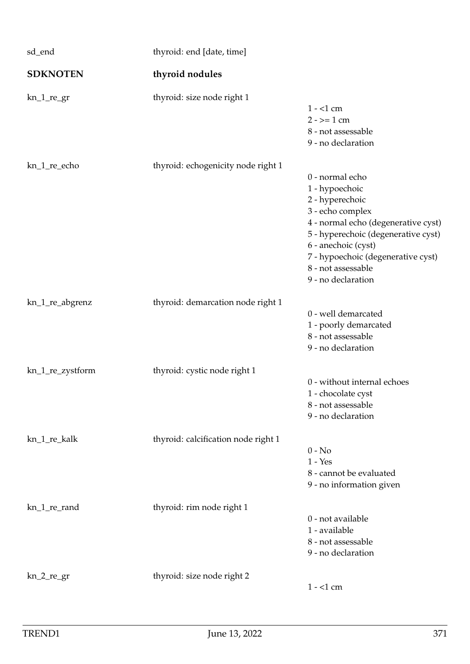| sd_end           | thyroid: end [date, time]           |                                                                                                                                                                                                                                                                 |
|------------------|-------------------------------------|-----------------------------------------------------------------------------------------------------------------------------------------------------------------------------------------------------------------------------------------------------------------|
| <b>SDKNOTEN</b>  | thyroid nodules                     |                                                                                                                                                                                                                                                                 |
| $kn_1_re\_gr$    | thyroid: size node right 1          | $1 - 1$ cm<br>$2 - \ge 1$ cm<br>8 - not assessable<br>9 - no declaration                                                                                                                                                                                        |
| kn_1_re_echo     | thyroid: echogenicity node right 1  | 0 - normal echo<br>1 - hypoechoic<br>2 - hyperechoic<br>3 - echo complex<br>4 - normal echo (degenerative cyst)<br>5 - hyperechoic (degenerative cyst)<br>6 - anechoic (cyst)<br>7 - hypoechoic (degenerative cyst)<br>8 - not assessable<br>9 - no declaration |
| kn_1_re_abgrenz  | thyroid: demarcation node right 1   | 0 - well demarcated<br>1 - poorly demarcated<br>8 - not assessable<br>9 - no declaration                                                                                                                                                                        |
| kn_1_re_zystform | thyroid: cystic node right 1        | 0 - without internal echoes<br>1 - chocolate cyst<br>8 - not assessable<br>9 - no declaration                                                                                                                                                                   |
| kn_1_re_kalk     | thyroid: calcification node right 1 | $0 - No$<br>$1 - Yes$<br>8 - cannot be evaluated<br>9 - no information given                                                                                                                                                                                    |
| kn_1_re_rand     | thyroid: rim node right 1           | 0 - not available<br>1 - available<br>8 - not assessable<br>9 - no declaration                                                                                                                                                                                  |
| $kn_2_re\_gr$    | thyroid: size node right 2          | $1 - 1$ cm                                                                                                                                                                                                                                                      |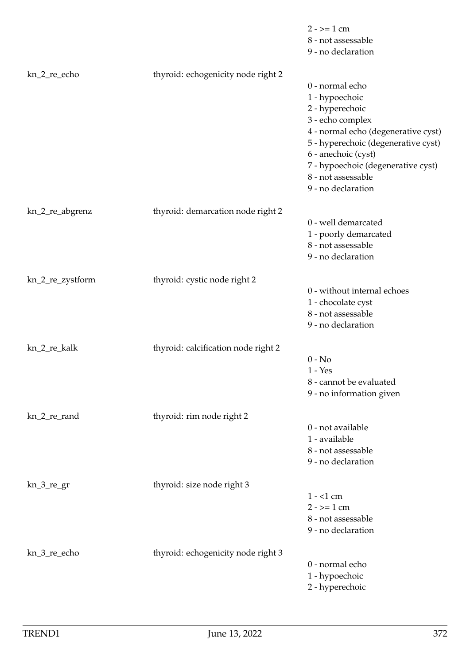|                  |                                     | $2 - \ge 1$ cm<br>8 - not assessable<br>9 - no declaration                                                                                                                                                                                                      |
|------------------|-------------------------------------|-----------------------------------------------------------------------------------------------------------------------------------------------------------------------------------------------------------------------------------------------------------------|
| kn_2_re_echo     | thyroid: echogenicity node right 2  | 0 - normal echo<br>1 - hypoechoic<br>2 - hyperechoic<br>3 - echo complex<br>4 - normal echo (degenerative cyst)<br>5 - hyperechoic (degenerative cyst)<br>6 - anechoic (cyst)<br>7 - hypoechoic (degenerative cyst)<br>8 - not assessable<br>9 - no declaration |
| kn_2_re_abgrenz  | thyroid: demarcation node right 2   | 0 - well demarcated<br>1 - poorly demarcated<br>8 - not assessable<br>9 - no declaration                                                                                                                                                                        |
| kn_2_re_zystform | thyroid: cystic node right 2        | 0 - without internal echoes<br>1 - chocolate cyst<br>8 - not assessable<br>9 - no declaration                                                                                                                                                                   |
| kn_2_re_kalk     | thyroid: calcification node right 2 | $0 - No$<br>$1 - Yes$<br>8 - cannot be evaluated<br>9 - no information given                                                                                                                                                                                    |
| kn_2_re_rand     | thyroid: rim node right 2           | 0 - not available<br>1 - available<br>8 - not assessable<br>9 - no declaration                                                                                                                                                                                  |
| $kn_3_re\_gr$    | thyroid: size node right 3          | $1 - 1$ cm<br>$2 - \ge 1$ cm<br>8 - not assessable<br>9 - no declaration                                                                                                                                                                                        |
| kn_3_re_echo     | thyroid: echogenicity node right 3  | 0 - normal echo<br>1 - hypoechoic<br>2 - hyperechoic                                                                                                                                                                                                            |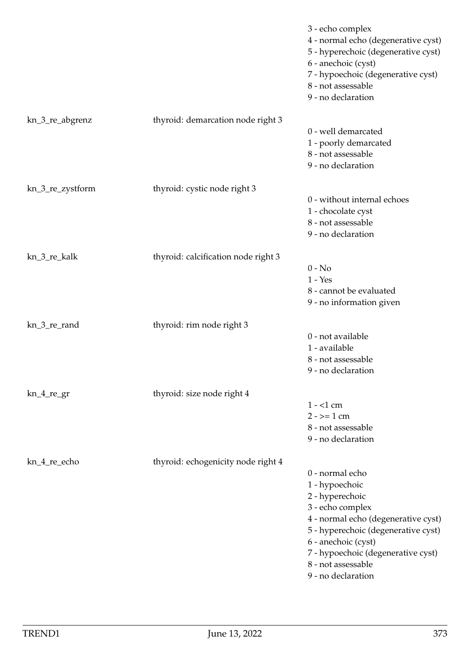|                  |                                     | 3 - echo complex<br>4 - normal echo (degenerative cyst)<br>5 - hyperechoic (degenerative cyst)<br>6 - anechoic (cyst)<br>7 - hypoechoic (degenerative cyst)<br>8 - not assessable<br>9 - no declaration                                                         |
|------------------|-------------------------------------|-----------------------------------------------------------------------------------------------------------------------------------------------------------------------------------------------------------------------------------------------------------------|
| kn_3_re_abgrenz  | thyroid: demarcation node right 3   | 0 - well demarcated<br>1 - poorly demarcated<br>8 - not assessable<br>9 - no declaration                                                                                                                                                                        |
| kn_3_re_zystform | thyroid: cystic node right 3        | 0 - without internal echoes<br>1 - chocolate cyst<br>8 - not assessable<br>9 - no declaration                                                                                                                                                                   |
| kn_3_re_kalk     | thyroid: calcification node right 3 | $0 - No$<br>$1 - Yes$<br>8 - cannot be evaluated<br>9 - no information given                                                                                                                                                                                    |
| kn_3_re_rand     | thyroid: rim node right 3           | 0 - not available<br>1 - available<br>8 - not assessable<br>9 - no declaration                                                                                                                                                                                  |
| $kn_4$ regr      | thyroid: size node right 4          | $1 - 1$ cm<br>$2 - \ge 1$ cm<br>8 - not assessable<br>9 - no declaration                                                                                                                                                                                        |
| kn_4_re_echo     | thyroid: echogenicity node right 4  | 0 - normal echo<br>1 - hypoechoic<br>2 - hyperechoic<br>3 - echo complex<br>4 - normal echo (degenerative cyst)<br>5 - hyperechoic (degenerative cyst)<br>6 - anechoic (cyst)<br>7 - hypoechoic (degenerative cyst)<br>8 - not assessable<br>9 - no declaration |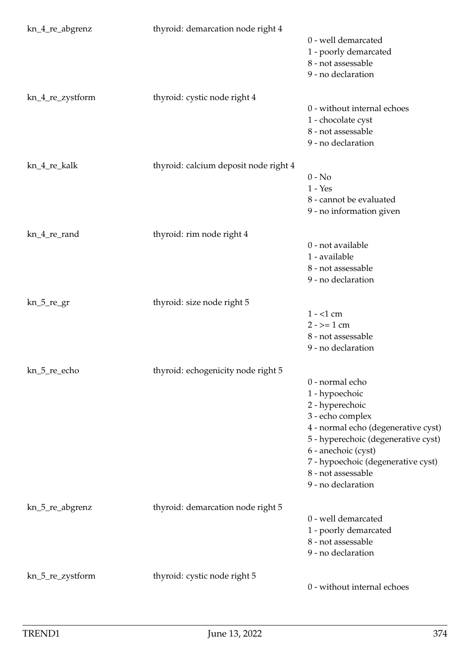| kn_4_re_abgrenz  | thyroid: demarcation node right 4     | 0 - well demarcated<br>1 - poorly demarcated<br>8 - not assessable<br>9 - no declaration                                                                                                                                                                        |
|------------------|---------------------------------------|-----------------------------------------------------------------------------------------------------------------------------------------------------------------------------------------------------------------------------------------------------------------|
| kn_4_re_zystform | thyroid: cystic node right 4          | 0 - without internal echoes<br>1 - chocolate cyst<br>8 - not assessable<br>9 - no declaration                                                                                                                                                                   |
| kn_4_re_kalk     | thyroid: calcium deposit node right 4 | $0 - No$<br>$1 - Yes$<br>8 - cannot be evaluated<br>9 - no information given                                                                                                                                                                                    |
| kn_4_re_rand     | thyroid: rim node right 4             | 0 - not available<br>1 - available<br>8 - not assessable<br>9 - no declaration                                                                                                                                                                                  |
| $kn_5_re_gr$     | thyroid: size node right 5            | $1 - 1$ cm<br>$2 - \ge 1$ cm<br>8 - not assessable<br>9 - no declaration                                                                                                                                                                                        |
| kn_5_re_echo     | thyroid: echogenicity node right 5    | 0 - normal echo<br>1 - hypoechoic<br>2 - hyperechoic<br>3 - echo complex<br>4 - normal echo (degenerative cyst)<br>5 - hyperechoic (degenerative cyst)<br>6 - anechoic (cyst)<br>7 - hypoechoic (degenerative cyst)<br>8 - not assessable<br>9 - no declaration |
| kn_5_re_abgrenz  | thyroid: demarcation node right 5     | 0 - well demarcated<br>1 - poorly demarcated<br>8 - not assessable<br>9 - no declaration                                                                                                                                                                        |
| kn_5_re_zystform | thyroid: cystic node right 5          | 0 - without internal echoes                                                                                                                                                                                                                                     |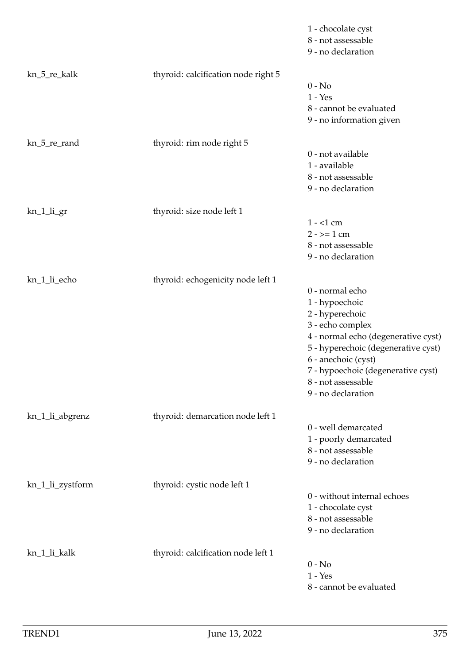|                  |                                     | 1 - chocolate cyst<br>8 - not assessable<br>9 - no declaration                                                                                                                                                                                                  |
|------------------|-------------------------------------|-----------------------------------------------------------------------------------------------------------------------------------------------------------------------------------------------------------------------------------------------------------------|
| kn_5_re_kalk     | thyroid: calcification node right 5 | $0 - No$<br>$1 - Yes$<br>8 - cannot be evaluated<br>9 - no information given                                                                                                                                                                                    |
| kn_5_re_rand     | thyroid: rim node right 5           | 0 - not available<br>1 - available<br>8 - not assessable<br>9 - no declaration                                                                                                                                                                                  |
| kn_1_li_gr       | thyroid: size node left 1           | $1 - 1$ cm<br>$2 - \ge 1$ cm<br>8 - not assessable<br>9 - no declaration                                                                                                                                                                                        |
| kn_1_li_echo     | thyroid: echogenicity node left 1   | 0 - normal echo<br>1 - hypoechoic<br>2 - hyperechoic<br>3 - echo complex<br>4 - normal echo (degenerative cyst)<br>5 - hyperechoic (degenerative cyst)<br>6 - anechoic (cyst)<br>7 - hypoechoic (degenerative cyst)<br>8 - not assessable<br>9 - no declaration |
| kn_1_li_abgrenz  | thyroid: demarcation node left 1    | 0 - well demarcated<br>1 - poorly demarcated<br>8 - not assessable<br>9 - no declaration                                                                                                                                                                        |
| kn_1_li_zystform | thyroid: cystic node left 1         | 0 - without internal echoes<br>1 - chocolate cyst<br>8 - not assessable<br>9 - no declaration                                                                                                                                                                   |
| kn_1_li_kalk     | thyroid: calcification node left 1  | $0 - No$<br>$1 - Yes$<br>8 - cannot be evaluated                                                                                                                                                                                                                |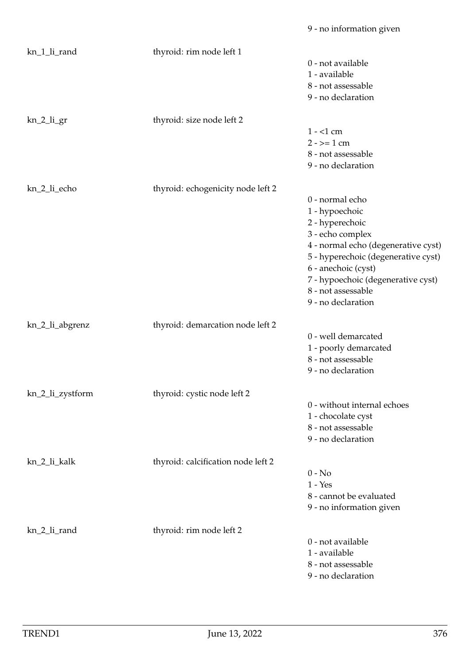| kn_1_li_rand     | thyroid: rim node left 1           |                                     |
|------------------|------------------------------------|-------------------------------------|
|                  |                                    | 0 - not available                   |
|                  |                                    | 1 - available                       |
|                  |                                    | 8 - not assessable                  |
|                  |                                    | 9 - no declaration                  |
| $kn_2_$ li_gr    | thyroid: size node left 2          |                                     |
|                  |                                    | $1 - 1$ cm                          |
|                  |                                    | $2 - \ge 1$ cm                      |
|                  |                                    | 8 - not assessable                  |
|                  |                                    | 9 - no declaration                  |
| kn_2_li_echo     | thyroid: echogenicity node left 2  |                                     |
|                  |                                    | 0 - normal echo                     |
|                  |                                    | 1 - hypoechoic                      |
|                  |                                    | 2 - hyperechoic                     |
|                  |                                    | 3 - echo complex                    |
|                  |                                    | 4 - normal echo (degenerative cyst) |
|                  |                                    | 5 - hyperechoic (degenerative cyst) |
|                  |                                    | 6 - anechoic (cyst)                 |
|                  |                                    | 7 - hypoechoic (degenerative cyst)  |
|                  |                                    | 8 - not assessable                  |
|                  |                                    | 9 - no declaration                  |
| kn_2_li_abgrenz  | thyroid: demarcation node left 2   |                                     |
|                  |                                    | 0 - well demarcated                 |
|                  |                                    | 1 - poorly demarcated               |
|                  |                                    | 8 - not assessable                  |
|                  |                                    | 9 - no declaration                  |
| kn_2_li_zystform | thyroid: cystic node left 2        |                                     |
|                  |                                    | 0 - without internal echoes         |
|                  |                                    | 1 - chocolate cyst                  |
|                  |                                    | 8 - not assessable                  |
|                  |                                    | 9 - no declaration                  |
| kn_2_li_kalk     | thyroid: calcification node left 2 |                                     |
|                  |                                    | $0 - No$                            |
|                  |                                    | $1 - Yes$                           |
|                  |                                    | 8 - cannot be evaluated             |
|                  |                                    | 9 - no information given            |
| kn_2_li_rand     | thyroid: rim node left 2           |                                     |
|                  |                                    | 0 - not available                   |
|                  |                                    | 1 - available                       |
|                  |                                    | 8 - not assessable                  |
|                  |                                    | 9 - no declaration                  |
|                  |                                    |                                     |

9 - no information given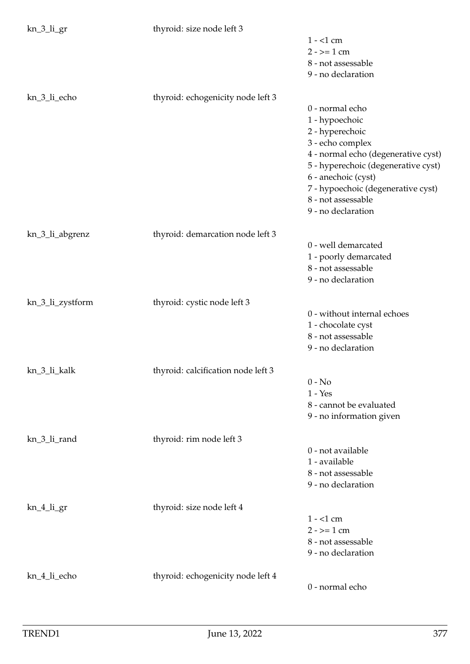kn 3 li gr thyroid: size node left 3

| ີີ່              | $\frac{1}{2}$                      | $1 - 1$ cm<br>$2 - \ge 1$ cm<br>8 - not assessable<br>9 - no declaration                                                                                                                                                                                        |
|------------------|------------------------------------|-----------------------------------------------------------------------------------------------------------------------------------------------------------------------------------------------------------------------------------------------------------------|
| kn_3_li_echo     | thyroid: echogenicity node left 3  | 0 - normal echo<br>1 - hypoechoic<br>2 - hyperechoic<br>3 - echo complex<br>4 - normal echo (degenerative cyst)<br>5 - hyperechoic (degenerative cyst)<br>6 - anechoic (cyst)<br>7 - hypoechoic (degenerative cyst)<br>8 - not assessable<br>9 - no declaration |
| kn_3_li_abgrenz  | thyroid: demarcation node left 3   | 0 - well demarcated<br>1 - poorly demarcated<br>8 - not assessable<br>9 - no declaration                                                                                                                                                                        |
| kn_3_li_zystform | thyroid: cystic node left 3        | 0 - without internal echoes<br>1 - chocolate cyst<br>8 - not assessable<br>9 - no declaration                                                                                                                                                                   |
| kn_3_li_kalk     | thyroid: calcification node left 3 | $0 - No$<br>$1 - Yes$<br>8 - cannot be evaluated<br>9 - no information given                                                                                                                                                                                    |
| kn_3_li_rand     | thyroid: rim node left 3           | 0 - not available<br>1 - available<br>8 - not assessable<br>9 - no declaration                                                                                                                                                                                  |
| kn_4_li_gr       | thyroid: size node left 4          | $1 - 1$ cm<br>$2 - 2 = 1$ cm<br>8 - not assessable<br>9 - no declaration                                                                                                                                                                                        |
| kn_4_li_echo     | thyroid: echogenicity node left 4  | 0 - normal echo                                                                                                                                                                                                                                                 |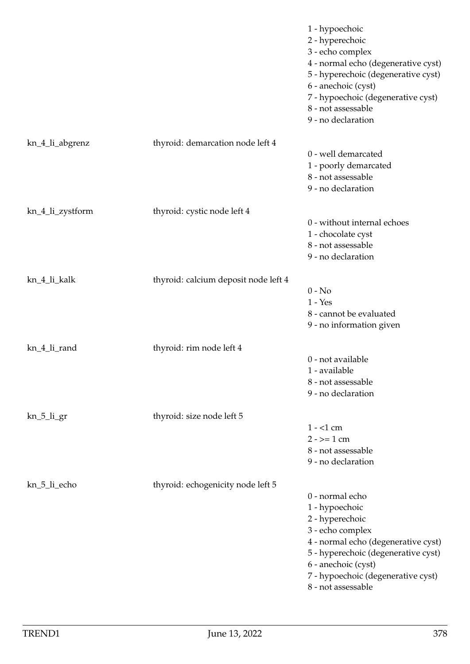|                  |                                      | 1 - hypoechoic<br>2 - hyperechoic<br>3 - echo complex<br>4 - normal echo (degenerative cyst)<br>5 - hyperechoic (degenerative cyst)<br>6 - anechoic (cyst)<br>7 - hypoechoic (degenerative cyst)<br>8 - not assessable<br>9 - no declaration |
|------------------|--------------------------------------|----------------------------------------------------------------------------------------------------------------------------------------------------------------------------------------------------------------------------------------------|
| kn_4_li_abgrenz  | thyroid: demarcation node left 4     |                                                                                                                                                                                                                                              |
|                  |                                      | 0 - well demarcated<br>1 - poorly demarcated<br>8 - not assessable<br>9 - no declaration                                                                                                                                                     |
| kn_4_li_zystform | thyroid: cystic node left 4          |                                                                                                                                                                                                                                              |
|                  |                                      | 0 - without internal echoes<br>1 - chocolate cyst<br>8 - not assessable<br>9 - no declaration                                                                                                                                                |
| kn_4_li_kalk     | thyroid: calcium deposit node left 4 |                                                                                                                                                                                                                                              |
|                  |                                      | $0 - No$<br>$1 - Yes$<br>8 - cannot be evaluated<br>9 - no information given                                                                                                                                                                 |
| kn_4_li_rand     | thyroid: rim node left 4             |                                                                                                                                                                                                                                              |
|                  |                                      | 0 - not available<br>1 - available<br>8 - not assessable<br>9 - no declaration                                                                                                                                                               |
| kn_5_li_gr       | thyroid: size node left 5            |                                                                                                                                                                                                                                              |
|                  |                                      | $1 - 1$ cm<br>$2 - \ge 1$ cm<br>8 - not assessable<br>9 - no declaration                                                                                                                                                                     |
| kn_5_li_echo     | thyroid: echogenicity node left 5    |                                                                                                                                                                                                                                              |
|                  |                                      | 0 - normal echo<br>1 - hypoechoic<br>2 - hyperechoic<br>3 - echo complex<br>4 - normal echo (degenerative cyst)<br>5 - hyperechoic (degenerative cyst)<br>6 - anechoic (cyst)<br>7 - hypoechoic (degenerative cyst)<br>8 - not assessable    |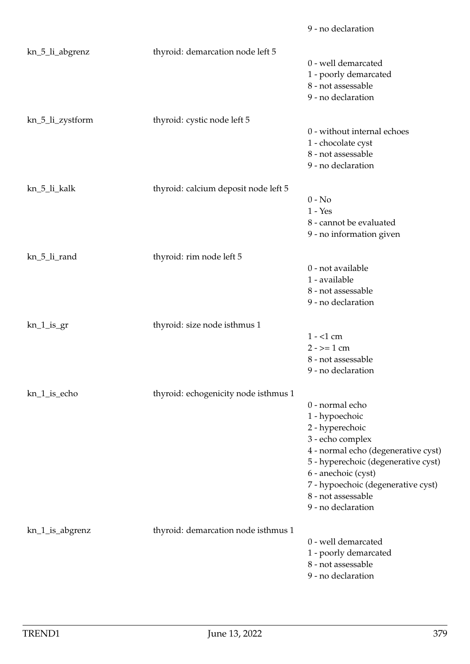|                  |                                      | 9 - no declaration                  |
|------------------|--------------------------------------|-------------------------------------|
| kn_5_li_abgrenz  | thyroid: demarcation node left 5     |                                     |
|                  |                                      | 0 - well demarcated                 |
|                  |                                      | 1 - poorly demarcated               |
|                  |                                      | 8 - not assessable                  |
|                  |                                      | 9 - no declaration                  |
| kn_5_li_zystform | thyroid: cystic node left 5          |                                     |
|                  |                                      | 0 - without internal echoes         |
|                  |                                      | 1 - chocolate cyst                  |
|                  |                                      | 8 - not assessable                  |
|                  |                                      | 9 - no declaration                  |
| kn_5_li_kalk     | thyroid: calcium deposit node left 5 |                                     |
|                  |                                      | $0 - No$                            |
|                  |                                      | $1 - Yes$                           |
|                  |                                      | 8 - cannot be evaluated             |
|                  |                                      | 9 - no information given            |
|                  |                                      |                                     |
| kn_5_li_rand     | thyroid: rim node left 5             |                                     |
|                  |                                      | 0 - not available                   |
|                  |                                      | 1 - available                       |
|                  |                                      | 8 - not assessable                  |
|                  |                                      | 9 - no declaration                  |
| $kn_1_is_2r$     | thyroid: size node isthmus 1         |                                     |
|                  |                                      | $1 - 1$ cm                          |
|                  |                                      | $2 - \ge 1$ cm                      |
|                  |                                      | 8 - not assessable                  |
|                  |                                      | 9 - no declaration                  |
| kn_1_is_echo     | thyroid: echogenicity node isthmus 1 |                                     |
|                  |                                      | 0 - normal echo                     |
|                  |                                      | 1 - hypoechoic                      |
|                  |                                      | 2 - hyperechoic                     |
|                  |                                      | 3 - echo complex                    |
|                  |                                      | 4 - normal echo (degenerative cyst) |
|                  |                                      | 5 - hyperechoic (degenerative cyst) |
|                  |                                      | 6 - anechoic (cyst)                 |
|                  |                                      | 7 - hypoechoic (degenerative cyst)  |
|                  |                                      | 8 - not assessable                  |
|                  |                                      | 9 - no declaration                  |
| kn_1_is_abgrenz  | thyroid: demarcation node isthmus 1  |                                     |
|                  |                                      | 0 - well demarcated                 |
|                  |                                      | 1 - poorly demarcated               |
|                  |                                      | 8 - not assessable                  |
|                  |                                      | 9 - no declaration                  |
|                  |                                      |                                     |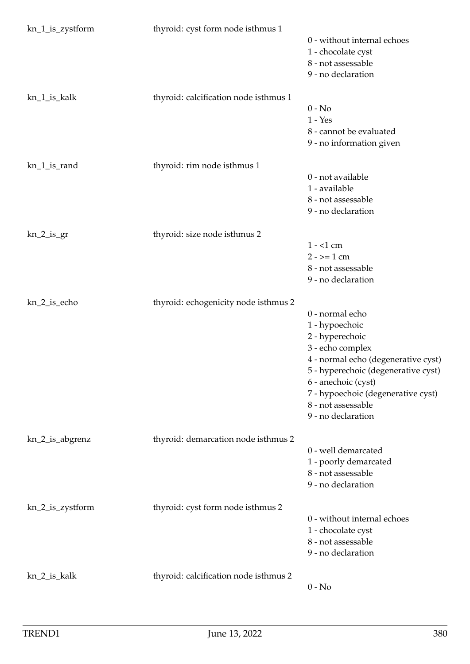| kn_1_is_zystform | thyroid: cyst form node isthmus 1     | 0 - without internal echoes<br>1 - chocolate cyst<br>8 - not assessable<br>9 - no declaration                                                                                                                                                                   |
|------------------|---------------------------------------|-----------------------------------------------------------------------------------------------------------------------------------------------------------------------------------------------------------------------------------------------------------------|
| kn_1_is_kalk     | thyroid: calcification node isthmus 1 | $0 - No$<br>$1 - Yes$<br>8 - cannot be evaluated<br>9 - no information given                                                                                                                                                                                    |
| kn_1_is_rand     | thyroid: rim node isthmus 1           | 0 - not available<br>1 - available<br>8 - not assessable<br>9 - no declaration                                                                                                                                                                                  |
| $kn_2_is_gr$     | thyroid: size node isthmus 2          | $1 - 1$ cm<br>$2 - \ge 1$ cm<br>8 - not assessable<br>9 - no declaration                                                                                                                                                                                        |
| kn_2_is_echo     | thyroid: echogenicity node isthmus 2  | 0 - normal echo<br>1 - hypoechoic<br>2 - hyperechoic<br>3 - echo complex<br>4 - normal echo (degenerative cyst)<br>5 - hyperechoic (degenerative cyst)<br>6 - anechoic (cyst)<br>7 - hypoechoic (degenerative cyst)<br>8 - not assessable<br>9 - no declaration |
| kn_2_is_abgrenz  | thyroid: demarcation node isthmus 2   | 0 - well demarcated<br>1 - poorly demarcated<br>8 - not assessable<br>9 - no declaration                                                                                                                                                                        |
| kn_2_is_zystform | thyroid: cyst form node isthmus 2     | 0 - without internal echoes<br>1 - chocolate cyst<br>8 - not assessable<br>9 - no declaration                                                                                                                                                                   |
| kn_2_is_kalk     | thyroid: calcification node isthmus 2 | $0 - No$                                                                                                                                                                                                                                                        |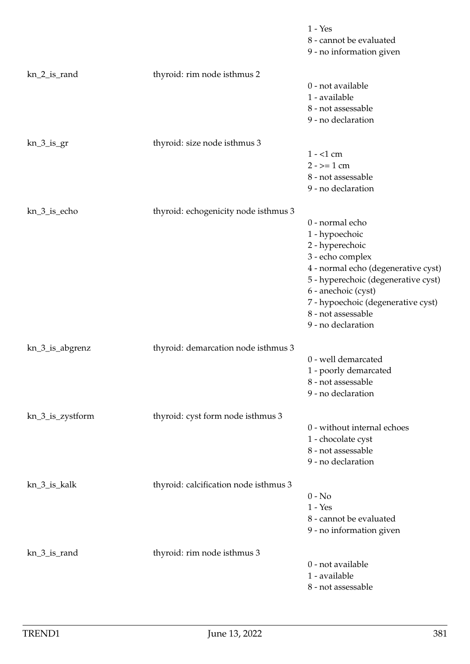|                  |                                       | $1 - Yes$<br>8 - cannot be evaluated<br>9 - no information given                                                                                                                                                                                                |
|------------------|---------------------------------------|-----------------------------------------------------------------------------------------------------------------------------------------------------------------------------------------------------------------------------------------------------------------|
| kn_2_is_rand     | thyroid: rim node isthmus 2           | 0 - not available<br>1 - available<br>8 - not assessable<br>9 - no declaration                                                                                                                                                                                  |
| $kn_3_is_gr$     | thyroid: size node isthmus 3          | $1 - 1$ cm<br>$2 - \ge 1$ cm<br>8 - not assessable<br>9 - no declaration                                                                                                                                                                                        |
| kn_3_is_echo     | thyroid: echogenicity node isthmus 3  | 0 - normal echo<br>1 - hypoechoic<br>2 - hyperechoic<br>3 - echo complex<br>4 - normal echo (degenerative cyst)<br>5 - hyperechoic (degenerative cyst)<br>6 - anechoic (cyst)<br>7 - hypoechoic (degenerative cyst)<br>8 - not assessable<br>9 - no declaration |
| kn_3_is_abgrenz  | thyroid: demarcation node isthmus 3   | 0 - well demarcated<br>1 - poorly demarcated<br>8 - not assessable<br>9 - no declaration                                                                                                                                                                        |
| kn_3_is_zystform | thyroid: cyst form node isthmus 3     | 0 - without internal echoes<br>1 - chocolate cyst<br>8 - not assessable<br>9 - no declaration                                                                                                                                                                   |
| kn_3_is_kalk     | thyroid: calcification node isthmus 3 | $0 - No$<br>$1 - Yes$<br>8 - cannot be evaluated<br>9 - no information given                                                                                                                                                                                    |
| kn_3_is_rand     | thyroid: rim node isthmus 3           | 0 - not available<br>1 - available<br>8 - not assessable                                                                                                                                                                                                        |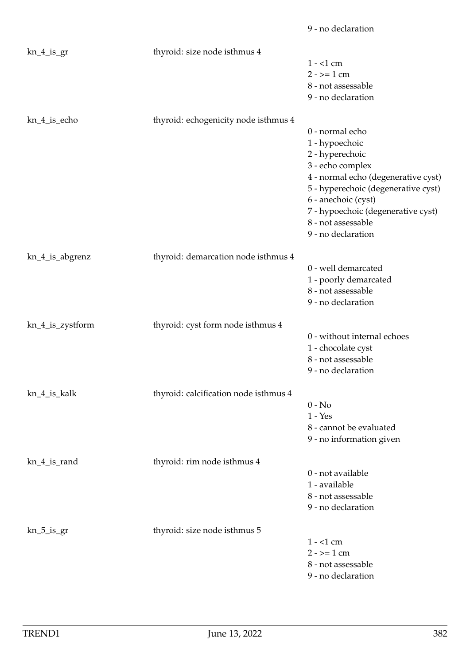|                  |                                       | 9 - no declaration                          |
|------------------|---------------------------------------|---------------------------------------------|
| $kn_4$ is gr     | thyroid: size node isthmus 4          |                                             |
|                  |                                       | $1 - 1$ cm                                  |
|                  |                                       | $2 - \ge 1$ cm                              |
|                  |                                       | 8 - not assessable                          |
|                  |                                       | 9 - no declaration                          |
| kn_4_is_echo     | thyroid: echogenicity node isthmus 4  |                                             |
|                  |                                       | 0 - normal echo                             |
|                  |                                       | 1 - hypoechoic                              |
|                  |                                       | 2 - hyperechoic                             |
|                  |                                       | 3 - echo complex                            |
|                  |                                       | 4 - normal echo (degenerative cyst)         |
|                  |                                       | 5 - hyperechoic (degenerative cyst)         |
|                  |                                       | 6 - anechoic (cyst)                         |
|                  |                                       | 7 - hypoechoic (degenerative cyst)          |
|                  |                                       | 8 - not assessable                          |
|                  |                                       | 9 - no declaration                          |
|                  |                                       |                                             |
| kn_4_is_abgrenz  | thyroid: demarcation node isthmus 4   |                                             |
|                  |                                       | 0 - well demarcated                         |
|                  |                                       | 1 - poorly demarcated<br>8 - not assessable |
|                  |                                       | 9 - no declaration                          |
|                  |                                       |                                             |
| kn_4_is_zystform | thyroid: cyst form node isthmus 4     |                                             |
|                  |                                       | 0 - without internal echoes                 |
|                  |                                       | 1 - chocolate cyst                          |
|                  |                                       | 8 - not assessable                          |
|                  |                                       | 9 - no declaration                          |
| kn_4_is_kalk     | thyroid: calcification node isthmus 4 |                                             |
|                  |                                       | $0 - No$                                    |
|                  |                                       | $1 - Yes$                                   |
|                  |                                       | 8 - cannot be evaluated                     |
|                  |                                       | 9 - no information given                    |
| kn_4_is_rand     | thyroid: rim node isthmus 4           |                                             |
|                  |                                       | 0 - not available                           |
|                  |                                       | 1 - available                               |
|                  |                                       | 8 - not assessable                          |
|                  |                                       | 9 - no declaration                          |
| $kn_5_is_gr$     | thyroid: size node isthmus 5          |                                             |
|                  |                                       | $1 - 1$ cm                                  |
|                  |                                       | $2 - \ge 1$ cm                              |
|                  |                                       | 8 - not assessable                          |
|                  |                                       | 9 - no declaration                          |
|                  |                                       |                                             |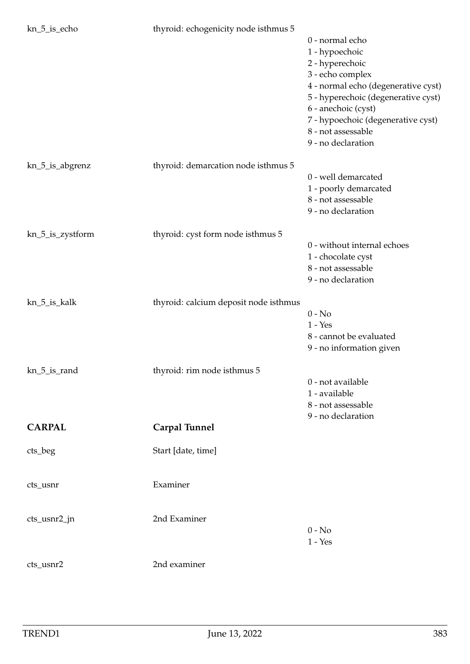| kn_5_is_echo     | thyroid: echogenicity node isthmus 5  |                                     |
|------------------|---------------------------------------|-------------------------------------|
|                  |                                       | 0 - normal echo                     |
|                  |                                       | 1 - hypoechoic                      |
|                  |                                       | 2 - hyperechoic                     |
|                  |                                       | 3 - echo complex                    |
|                  |                                       | 4 - normal echo (degenerative cyst) |
|                  |                                       | 5 - hyperechoic (degenerative cyst) |
|                  |                                       | 6 - anechoic (cyst)                 |
|                  |                                       | 7 - hypoechoic (degenerative cyst)  |
|                  |                                       | 8 - not assessable                  |
|                  |                                       | 9 - no declaration                  |
|                  |                                       |                                     |
| kn_5_is_abgrenz  | thyroid: demarcation node isthmus 5   |                                     |
|                  |                                       | 0 - well demarcated                 |
|                  |                                       | 1 - poorly demarcated               |
|                  |                                       | 8 - not assessable                  |
|                  |                                       | 9 - no declaration                  |
|                  |                                       |                                     |
| kn_5_is_zystform | thyroid: cyst form node isthmus 5     |                                     |
|                  |                                       | 0 - without internal echoes         |
|                  |                                       | 1 - chocolate cyst                  |
|                  |                                       | 8 - not assessable                  |
|                  |                                       | 9 - no declaration                  |
| kn_5_is_kalk     | thyroid: calcium deposit node isthmus |                                     |
|                  |                                       | $0 - No$                            |
|                  |                                       | $1 - Yes$                           |
|                  |                                       | 8 - cannot be evaluated             |
|                  |                                       | 9 - no information given            |
|                  |                                       |                                     |
| kn_5_is_rand     | thyroid: rim node isthmus 5           |                                     |
|                  |                                       | 0 - not available                   |
|                  |                                       | 1 - available                       |
|                  |                                       | 8 - not assessable                  |
|                  |                                       | 9 - no declaration                  |
| <b>CARPAL</b>    | <b>Carpal Tunnel</b>                  |                                     |
| cts_beg          | Start [date, time]                    |                                     |
|                  |                                       |                                     |
|                  |                                       |                                     |
| cts_usnr         | Examiner                              |                                     |
|                  |                                       |                                     |
| cts_usnr2_jn     | 2nd Examiner                          |                                     |
|                  |                                       | $0 - No$                            |
|                  |                                       | $1 - Yes$                           |
| cts_usnr2        | 2nd examiner                          |                                     |
|                  |                                       |                                     |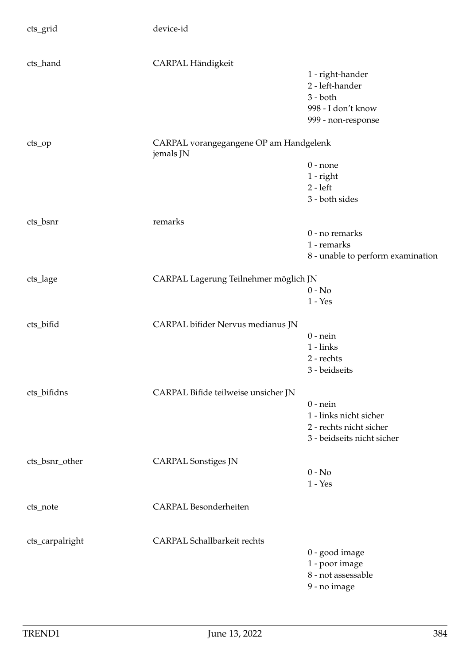| cts_grid        | device-id                                           |                                   |
|-----------------|-----------------------------------------------------|-----------------------------------|
| cts_hand        | CARPAL Händigkeit                                   |                                   |
|                 |                                                     | 1 - right-hander                  |
|                 |                                                     | 2 - left-hander                   |
|                 |                                                     | $3 - both$                        |
|                 |                                                     | 998 - I don't know                |
|                 |                                                     | 999 - non-response                |
| cts_op          | CARPAL vorangegangene OP am Handgelenk<br>jemals JN |                                   |
|                 |                                                     | $0$ - none                        |
|                 |                                                     | $1$ - right                       |
|                 |                                                     | $2 - left$                        |
|                 |                                                     | 3 - both sides                    |
| cts_bsnr        | remarks                                             |                                   |
|                 |                                                     | 0 - no remarks                    |
|                 |                                                     | 1 - remarks                       |
|                 |                                                     | 8 - unable to perform examination |
|                 | CARPAL Lagerung Teilnehmer möglich JN               |                                   |
| cts_lage        |                                                     | $0 - No$                          |
|                 |                                                     | $1 - Yes$                         |
| cts_bifid       | CARPAL bifider Nervus medianus JN                   |                                   |
|                 |                                                     | $0$ - nein                        |
|                 |                                                     | $1 - links$                       |
|                 |                                                     | 2 - rechts                        |
|                 |                                                     | 3 - beidseits                     |
| cts_bifidns     | CARPAL Bifide teilweise unsicher JN                 |                                   |
|                 |                                                     | $0$ - nein                        |
|                 |                                                     | 1 - links nicht sicher            |
|                 |                                                     | 2 - rechts nicht sicher           |
|                 |                                                     | 3 - beidseits nicht sicher        |
| cts_bsnr_other  | <b>CARPAL Sonstiges JN</b>                          |                                   |
|                 |                                                     | $0 - No$                          |
|                 |                                                     | $1 - Yes$                         |
|                 |                                                     |                                   |
| cts_note        | <b>CARPAL Besonderheiten</b>                        |                                   |
| cts_carpalright | <b>CARPAL Schallbarkeit rechts</b>                  |                                   |
|                 |                                                     | 0 - good image                    |
|                 |                                                     | 1 - poor image                    |
|                 |                                                     | 8 - not assessable                |
|                 |                                                     | 9 - no image                      |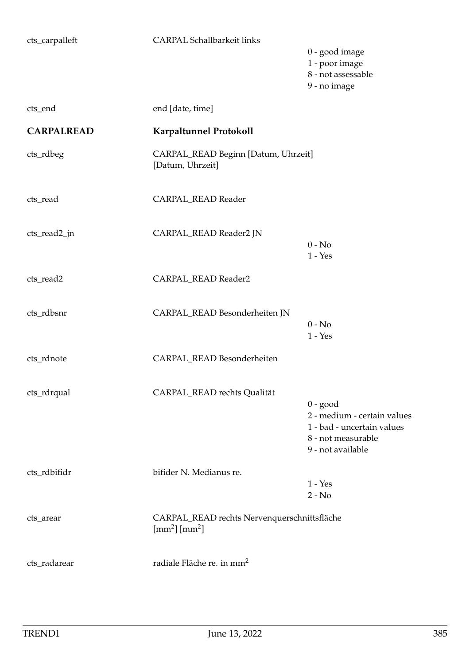| <b>CARPAL Schallbarkeit links</b>                                                            | 0 - good image<br>1 - poor image<br>8 - not assessable<br>9 - no image                                             |
|----------------------------------------------------------------------------------------------|--------------------------------------------------------------------------------------------------------------------|
| end [date, time]                                                                             |                                                                                                                    |
| <b>Karpaltunnel Protokoll</b>                                                                |                                                                                                                    |
| CARPAL_READ Beginn [Datum, Uhrzeit]<br>[Datum, Uhrzeit]                                      |                                                                                                                    |
| CARPAL_READ Reader                                                                           |                                                                                                                    |
| CARPAL_READ Reader2 JN                                                                       | $0 - No$<br>$1 - Yes$                                                                                              |
| CARPAL_READ Reader2                                                                          |                                                                                                                    |
| CARPAL_READ Besonderheiten JN                                                                | $0 - No$<br>$1 - Yes$                                                                                              |
| CARPAL_READ Besonderheiten                                                                   |                                                                                                                    |
| CARPAL_READ rechts Qualität                                                                  | $0 - good$<br>2 - medium - certain values<br>1 - bad - uncertain values<br>8 - not measurable<br>9 - not available |
| bifider N. Medianus re.                                                                      | $1 - Yes$<br>$2 - No$                                                                                              |
| CARPAL_READ rechts Nervenquerschnittsfläche<br>$\text{[mm}^2\text{]}$ $\text{[mm}^2\text{]}$ |                                                                                                                    |
| radiale Fläche re. in mm <sup>2</sup>                                                        |                                                                                                                    |
|                                                                                              |                                                                                                                    |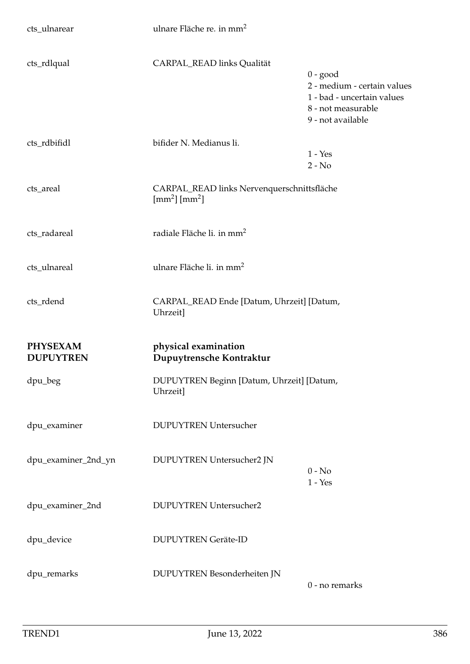| cts_ulnarear                        | ulnare Fläche re. in mm <sup>2</sup>                                             |                                                                                                                    |
|-------------------------------------|----------------------------------------------------------------------------------|--------------------------------------------------------------------------------------------------------------------|
| cts_rdlqual                         | CARPAL_READ links Qualität                                                       | $0 - good$<br>2 - medium - certain values<br>1 - bad - uncertain values<br>8 - not measurable<br>9 - not available |
| cts_rdbifidl                        | bifider N. Medianus li.                                                          | $1 - Yes$<br>$2 - No$                                                                                              |
| cts_areal                           | CARPAL_READ links Nervenquerschnittsfläche<br>$\text{[mm}^2\text{[mm}^2\text{]}$ |                                                                                                                    |
| cts_radareal                        | radiale Fläche li. in mm <sup>2</sup>                                            |                                                                                                                    |
| cts_ulnareal                        | ulnare Fläche li. in mm <sup>2</sup>                                             |                                                                                                                    |
| cts_rdend                           | CARPAL_READ Ende [Datum, Uhrzeit] [Datum,<br>Uhrzeit]                            |                                                                                                                    |
| <b>PHYSEXAM</b><br><b>DUPUYTREN</b> | physical examination<br>Dupuytrensche Kontraktur                                 |                                                                                                                    |
| dpu_beg                             | DUPUYTREN Beginn [Datum, Uhrzeit] [Datum,<br>Uhrzeit]                            |                                                                                                                    |
| dpu_examiner                        | <b>DUPUYTREN Untersucher</b>                                                     |                                                                                                                    |
| dpu_examiner_2nd_yn                 | DUPUYTREN Untersucher2 JN                                                        | $0 - No$<br>$1 - Yes$                                                                                              |
| dpu_examiner_2nd                    | <b>DUPUYTREN Untersucher2</b>                                                    |                                                                                                                    |
| dpu_device                          | <b>DUPUYTREN Geräte-ID</b>                                                       |                                                                                                                    |
| dpu_remarks                         | DUPUYTREN Besonderheiten JN                                                      | 0 - no remarks                                                                                                     |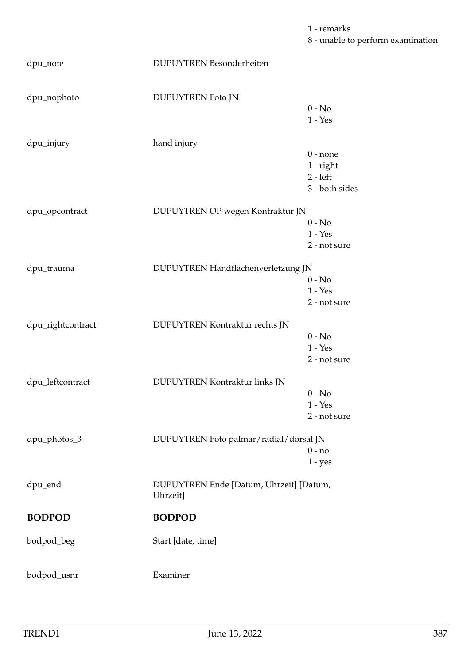1 - remarks 8 - unable to perform examination

dpu\_note DUPUYTREN Besonderheiten dpu\_nophoto DUPUYTREN Foto JN 0 - No 1 - Yes dpu\_injury hand injury 0 - none 1 - right 2 - left 3 - both sides dpu\_opcontract DUPUYTREN OP wegen Kontraktur JN  $0 - No$ 1 - Yes 2 - not sure dpu\_trauma DUPUYTREN Handflächenverletzung JN  $0 - No$  $1 - Yes$ 2 - not sure dpu\_rightcontract DUPUYTREN Kontraktur rechts JN  $0 - No$ 1 - Yes 2 - not sure dpu\_leftcontract DUPUYTREN Kontraktur links JN  $0 - No$ 1 - Yes 2 - not sure dpu\_photos\_3 DUPUYTREN Foto palmar/radial/dorsal JN 0 - no 1 - yes dpu\_end DUPUYTREN Ende [Datum, Uhrzeit] [Datum, Uhrzeit] **BODPOD BODPOD** bodpod\_beg Start [date, time] bodpod\_usnr Examiner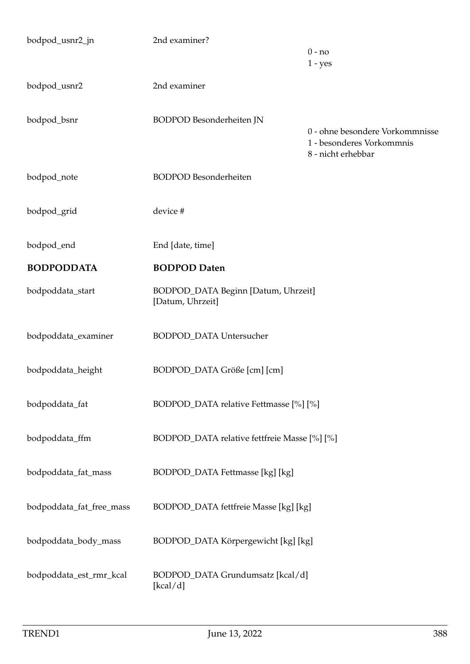| bodpod_usnr2_jn          | 2nd examiner?                                           | $0 - no$<br>$1 - yes$                                                              |
|--------------------------|---------------------------------------------------------|------------------------------------------------------------------------------------|
| bodpod_usnr2             | 2nd examiner                                            |                                                                                    |
| bodpod_bsnr              | <b>BODPOD</b> Besonderheiten JN                         | 0 - ohne besondere Vorkommnisse<br>1 - besonderes Vorkommnis<br>8 - nicht erhebbar |
| bodpod_note              | <b>BODPOD</b> Besonderheiten                            |                                                                                    |
| bodpod_grid              | device #                                                |                                                                                    |
| bodpod_end               | End [date, time]                                        |                                                                                    |
| <b>BODPODDATA</b>        | <b>BODPOD Daten</b>                                     |                                                                                    |
| bodpoddata_start         | BODPOD_DATA Beginn [Datum, Uhrzeit]<br>[Datum, Uhrzeit] |                                                                                    |
| bodpoddata_examiner      | BODPOD_DATA Untersucher                                 |                                                                                    |
| bodpoddata_height        | BODPOD_DATA Größe [cm] [cm]                             |                                                                                    |
| bodpoddata_fat           | BODPOD_DATA relative Fettmasse [%] [%]                  |                                                                                    |
| bodpoddata_ffm           | BODPOD_DATA relative fettfreie Masse [%] [%]            |                                                                                    |
| bodpoddata_fat_mass      | BODPOD_DATA Fettmasse [kg] [kg]                         |                                                                                    |
| bodpoddata_fat_free_mass | BODPOD_DATA fettfreie Masse [kg] [kg]                   |                                                                                    |
| bodpoddata_body_mass     | BODPOD_DATA Körpergewicht [kg] [kg]                     |                                                                                    |
| bodpoddata_est_rmr_kcal  | BODPOD_DATA Grundumsatz [kcal/d]<br>[kcal/d]            |                                                                                    |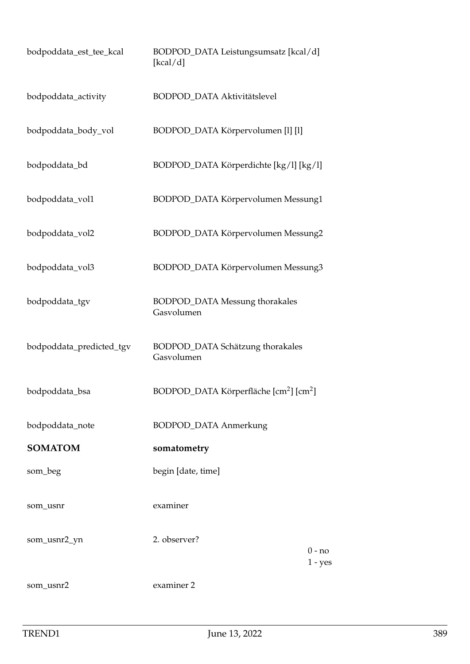| bodpoddata_est_tee_kcal  | BODPOD_DATA Leistungsumsatz [kcal/d]<br>[kcal/d]               |                       |
|--------------------------|----------------------------------------------------------------|-----------------------|
| bodpoddata_activity      | BODPOD_DATA Aktivitätslevel                                    |                       |
| bodpoddata_body_vol      | BODPOD_DATA Körpervolumen [l] [l]                              |                       |
| bodpoddata_bd            | BODPOD_DATA Körperdichte [kg/l] [kg/l]                         |                       |
| bodpoddata_vol1          | BODPOD_DATA Körpervolumen Messung1                             |                       |
| bodpoddata_vol2          | BODPOD_DATA Körpervolumen Messung2                             |                       |
| bodpoddata_vol3          | BODPOD_DATA Körpervolumen Messung3                             |                       |
| bodpoddata_tgv           | <b>BODPOD_DATA Messung thorakales</b><br>Gasvolumen            |                       |
| bodpoddata_predicted_tgv | BODPOD_DATA Schätzung thorakales<br>Gasvolumen                 |                       |
| bodpoddata_bsa           | BODPOD_DATA Körperfläche [cm <sup>2</sup> ] [cm <sup>2</sup> ] |                       |
| bodpoddata_note          | <b>BODPOD_DATA Anmerkung</b>                                   |                       |
| <b>SOMATOM</b>           | somatometry                                                    |                       |
| som_beg                  | begin [date, time]                                             |                       |
| som_usnr                 | examiner                                                       |                       |
| som_usnr2_yn             | 2. observer?                                                   | $0 - no$<br>$1 - yes$ |
| som_usnr2                | examiner 2                                                     |                       |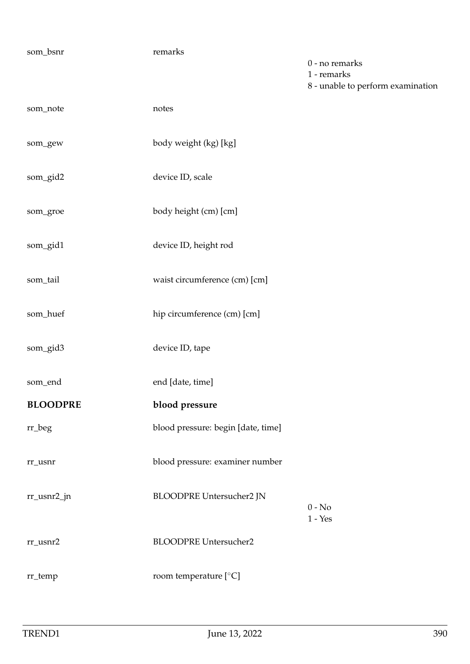| som_bsnr        | remarks                            | 0 - no remarks<br>1 - remarks<br>8 - unable to perform examination |
|-----------------|------------------------------------|--------------------------------------------------------------------|
| som_note        | notes                              |                                                                    |
| som_gew         | body weight (kg) [kg]              |                                                                    |
| som_gid2        | device ID, scale                   |                                                                    |
| som_groe        | body height (cm) [cm]              |                                                                    |
| som_gid1        | device ID, height rod              |                                                                    |
| som_tail        | waist circumference (cm) [cm]      |                                                                    |
| som_huef        | hip circumference (cm) [cm]        |                                                                    |
| som_gid3        | device ID, tape                    |                                                                    |
| som_end         | end [date, time]                   |                                                                    |
| <b>BLOODPRE</b> | blood pressure                     |                                                                    |
| $\rm rr\_beg$   | blood pressure: begin [date, time] |                                                                    |
| rr_usnr         | blood pressure: examiner number    |                                                                    |
| rr_usnr2_jn     | BLOODPRE Untersucher2 JN           | $0 - No$<br>$1 - Yes$                                              |
| $rr\_usnr2$     | <b>BLOODPRE Untersucher2</b>       |                                                                    |
| rr_temp         | room temperature [ $°C$ ]          |                                                                    |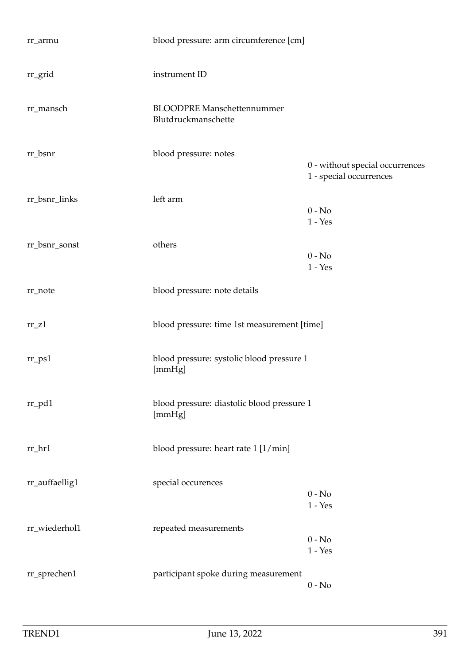| rr_armu             | blood pressure: arm circumference [cm]                   |                                                            |
|---------------------|----------------------------------------------------------|------------------------------------------------------------|
| rr_grid             | instrument ID                                            |                                                            |
| rr_mansch           | <b>BLOODPRE Manschettennummer</b><br>Blutdruckmanschette |                                                            |
| rr_bsnr             | blood pressure: notes                                    | 0 - without special occurrences<br>1 - special occurrences |
| rr_bsnr_links       | left arm                                                 | $0 - No$<br>$1 - Yes$                                      |
| rr_bsnr_sonst       | others                                                   | $0 - No$<br>$1 - Yes$                                      |
| rr_note             | blood pressure: note details                             |                                                            |
| $rr_$ Z1            | blood pressure: time 1st measurement [time]              |                                                            |
| $rr$ <sub>ps1</sub> | blood pressure: systolic blood pressure 1<br>[mmHg]      |                                                            |
| $rr\_pd1$           | blood pressure: diastolic blood pressure 1<br>[mmHg]     |                                                            |
| $rr_hr1$            | blood pressure: heart rate 1 [1/min]                     |                                                            |
| rr_auffaellig1      | special occurences                                       | $0 - No$<br>$1 - Yes$                                      |
| rr_wiederhol1       | repeated measurements                                    | $0 - No$<br>$1 - Yes$                                      |
| rr_sprechen1        | participant spoke during measurement                     | $0 - No$                                                   |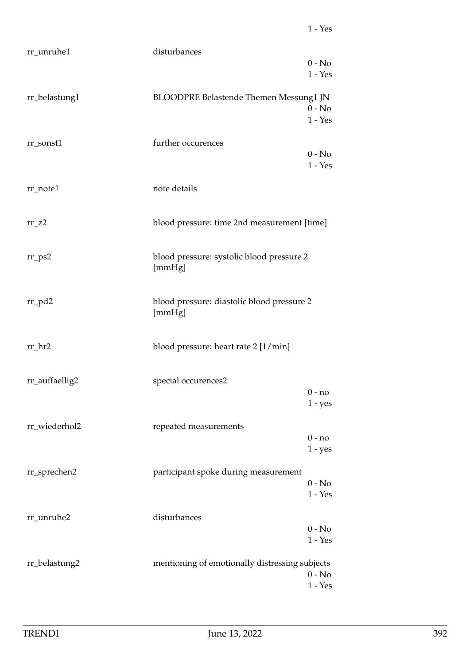| rr_unruhe1     | disturbances                                   |
|----------------|------------------------------------------------|
|                | $0 - No$                                       |
|                | $1 - Yes$                                      |
|                |                                                |
| rr_belastung1  | <b>BLOODPRE Belastende Themen Messung1 JN</b>  |
|                | $0 - No$                                       |
|                | $1 - Yes$                                      |
|                |                                                |
| rr_sonst1      | further occurences                             |
|                | $0 - No$                                       |
|                | $1 - Yes$                                      |
|                |                                                |
| rr_note1       | note details                                   |
|                |                                                |
|                |                                                |
| $rr_zz2$       | blood pressure: time 2nd measurement [time]    |
|                |                                                |
|                |                                                |
| $rr_{PS2}$     | blood pressure: systolic blood pressure 2      |
|                | [mmHg]                                         |
|                |                                                |
|                |                                                |
| $rr_pd2$       | blood pressure: diastolic blood pressure 2     |
|                | [mmHg]                                         |
|                |                                                |
|                |                                                |
| rr_hr2         | blood pressure: heart rate 2 [1/min]           |
|                |                                                |
|                |                                                |
| rr_auffaellig2 | special occurences2<br>0 - no                  |
|                |                                                |
|                | $1 - yes$                                      |
| rr_wiederhol2  | repeated measurements                          |
|                | $0 - no$                                       |
|                | $1 - yes$                                      |
|                |                                                |
| rr_sprechen2   | participant spoke during measurement           |
|                | $0 - No$                                       |
|                | $1 - Yes$                                      |
|                |                                                |
| rr_unruhe2     | disturbances                                   |
|                | $0 - No$                                       |
|                | $1 - Yes$                                      |
|                |                                                |
| rr_belastung2  | mentioning of emotionally distressing subjects |
|                | $0 - No$                                       |
|                | $1 - \ensuremath{\mathrm{Yes}}\xspace$         |
|                |                                                |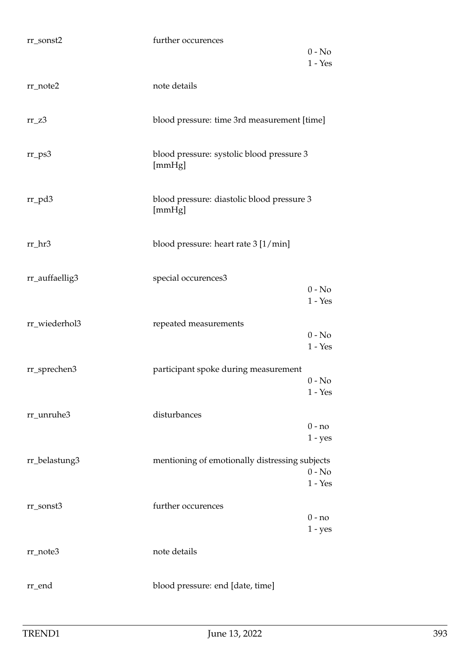| rr_sonst2      | further occurences                                   | $0 - No$              |
|----------------|------------------------------------------------------|-----------------------|
|                |                                                      | $1 - Yes$             |
| $rr\_note2$    | note details                                         |                       |
| $rr_23$        | blood pressure: time 3rd measurement [time]          |                       |
| $rr_{PS}$      | blood pressure: systolic blood pressure 3<br>[mmHg]  |                       |
| $rr_p d3$      | blood pressure: diastolic blood pressure 3<br>[mmHg] |                       |
| rr_hr3         | blood pressure: heart rate 3 [1/min]                 |                       |
| rr_auffaellig3 | special occurences3                                  | $0 - No$<br>$1 - Yes$ |
| rr_wiederhol3  | repeated measurements                                |                       |
|                |                                                      | $0 - No$<br>$1 - Yes$ |
| rr_sprechen3   | participant spoke during measurement                 |                       |
|                |                                                      | $0 - No$<br>$1 - Yes$ |
| rr_unruhe3     | disturbances                                         | $0 - no$              |
|                |                                                      | $1 - yes$             |
| rr_belastung3  | mentioning of emotionally distressing subjects       |                       |
|                |                                                      | $0 - No$<br>$1 - Yes$ |
| rr_sonst3      | further occurences                                   | $0 - no$              |
|                |                                                      | $1 - yes$             |
| rr_note3       | note details                                         |                       |
| rr_end         | blood pressure: end [date, time]                     |                       |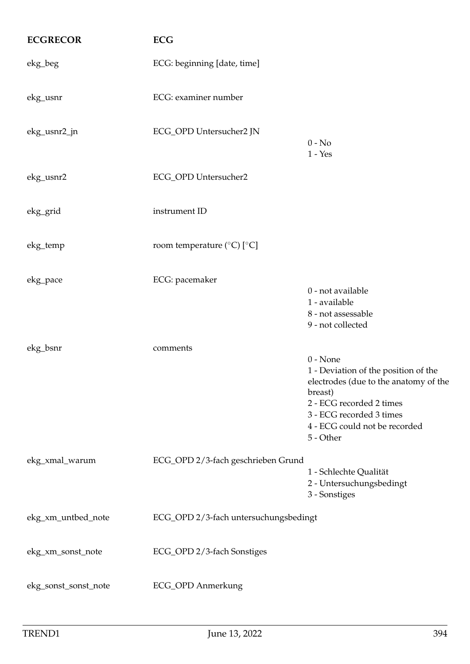| <b>ECGRECOR</b>      | <b>ECG</b>                                       |                                                                                                                                                                                                              |
|----------------------|--------------------------------------------------|--------------------------------------------------------------------------------------------------------------------------------------------------------------------------------------------------------------|
| ekg_beg              | ECG: beginning [date, time]                      |                                                                                                                                                                                                              |
| ekg_usnr             | ECG: examiner number                             |                                                                                                                                                                                                              |
| ekg_usnr2_jn         | ECG_OPD Untersucher2 JN                          | $0 - No$<br>$1 - Yes$                                                                                                                                                                                        |
| ekg_usnr2            | ECG_OPD Untersucher2                             |                                                                                                                                                                                                              |
| ekg_grid             | instrument ID                                    |                                                                                                                                                                                                              |
| ekg_temp             | room temperature ( $^{\circ}$ C) [ $^{\circ}$ C] |                                                                                                                                                                                                              |
| ekg_pace             | ECG: pacemaker                                   | 0 - not available<br>1 - available<br>8 - not assessable<br>9 - not collected                                                                                                                                |
| ekg_bsnr             | comments                                         | $0 - None$<br>1 - Deviation of the position of the<br>electrodes (due to the anatomy of the<br>breast)<br>2 - ECG recorded 2 times<br>3 - ECG recorded 3 times<br>4 - ECG could not be recorded<br>5 - Other |
| ekg_xmal_warum       | ECG_OPD 2/3-fach geschrieben Grund               | 1 - Schlechte Qualität<br>2 - Untersuchungsbedingt<br>3 - Sonstiges                                                                                                                                          |
| ekg_xm_untbed_note   | ECG_OPD 2/3-fach untersuchungsbedingt            |                                                                                                                                                                                                              |
| ekg_xm_sonst_note    | ECG_OPD 2/3-fach Sonstiges                       |                                                                                                                                                                                                              |
| ekg_sonst_sonst_note | ECG_OPD Anmerkung                                |                                                                                                                                                                                                              |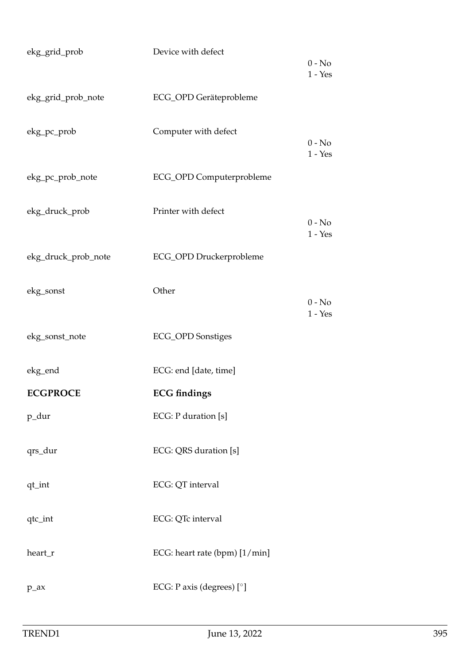| ekg_grid_prob       | Device with defect            | $0 - No$<br>$1 - Yes$ |
|---------------------|-------------------------------|-----------------------|
| ekg_grid_prob_note  | ECG_OPD Geräteprobleme        |                       |
| ekg_pc_prob         | Computer with defect          | $0 - No$<br>$1 - Yes$ |
| ekg_pc_prob_note    | ECG_OPD Computerprobleme      |                       |
| ekg_druck_prob      | Printer with defect           | $0 - No$<br>$1 - Yes$ |
| ekg_druck_prob_note | ECG_OPD Druckerprobleme       |                       |
| ekg_sonst           | Other                         | $0 - No$<br>$1 - Yes$ |
| ekg_sonst_note      | <b>ECG_OPD</b> Sonstiges      |                       |
| ekg_end             | ECG: end [date, time]         |                       |
| <b>ECGPROCE</b>     | <b>ECG</b> findings           |                       |
| p_dur               | ECG: P duration [s]           |                       |
| qrs_dur             | ECG: QRS duration [s]         |                       |
| qt_int              | ECG: QT interval              |                       |
| qtc_int             | ECG: QTc interval             |                       |
| heart_r             | ECG: heart rate (bpm) [1/min] |                       |
| $p_ax$              | ECG: P axis (degrees) $[°]$   |                       |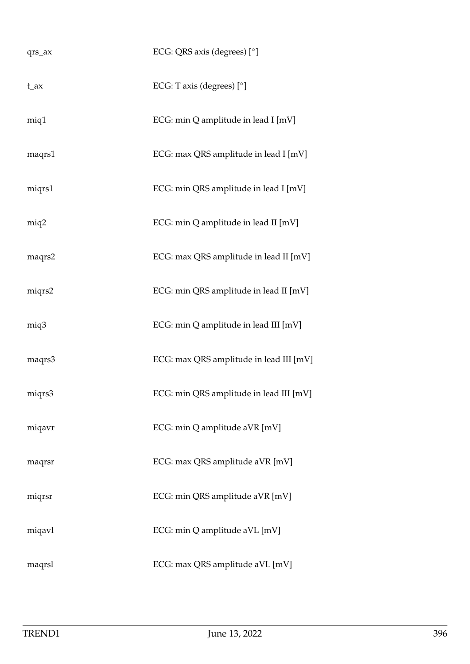| qrs_ax   | ECG: QRS axis (degrees) [°]             |
|----------|-----------------------------------------|
| $t_{ax}$ | ECG: T axis (degrees) $[°]$             |
| miq1     | ECG: min Q amplitude in lead I [mV]     |
| maqrs1   | ECG: max QRS amplitude in lead I [mV]   |
| miqrs1   | ECG: min QRS amplitude in lead I [mV]   |
| miq2     | ECG: min Q amplitude in lead II [mV]    |
| maqrs2   | ECG: max QRS amplitude in lead II [mV]  |
| miqrs2   | ECG: min QRS amplitude in lead II [mV]  |
| miq3     | ECG: min Q amplitude in lead III [mV]   |
| maqrs3   | ECG: max QRS amplitude in lead III [mV] |
| miqrs3   | ECG: min QRS amplitude in lead III [mV] |
| miqavr   | ECG: min Q amplitude aVR [mV]           |
| maqrsr   | ECG: max QRS amplitude aVR [mV]         |
| miqrsr   | ECG: min QRS amplitude aVR [mV]         |
| miqavl   | ECG: min Q amplitude aVL [mV]           |
| maqrsl   | ECG: max QRS amplitude aVL [mV]         |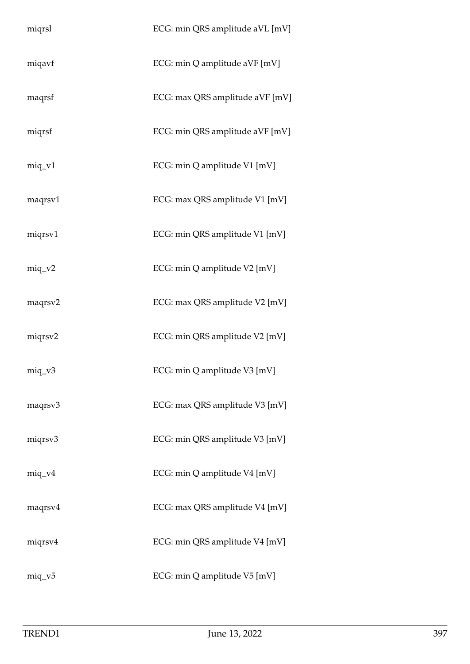| miqrsl    | ECG: min QRS amplitude aVL [mV] |
|-----------|---------------------------------|
| miqavf    | ECG: min Q amplitude aVF [mV]   |
| maqrsf    | ECG: max QRS amplitude aVF [mV] |
| miqrsf    | ECG: min QRS amplitude aVF [mV] |
| $miq_v1$  | ECG: min Q amplitude V1 [mV]    |
| maqrsv1   | ECG: max QRS amplitude V1 [mV]  |
| miqrsv1   | ECG: min QRS amplitude V1 [mV]  |
| $miq_v^2$ | ECG: min Q amplitude V2 [mV]    |
| maqrsv2   | ECG: max QRS amplitude V2 [mV]  |
| miqrsv2   | ECG: min QRS amplitude V2 [mV]  |
| $miq_v3$  | ECG: min Q amplitude V3 [mV]    |
| maqrsv3   | ECG: max QRS amplitude V3 [mV]  |
| miqrsv3   | ECG: min QRS amplitude V3 [mV]  |
| $miq_v4$  | ECG: min Q amplitude V4 [mV]    |
| maqrsv4   | ECG: max QRS amplitude V4 [mV]  |
| miqrsv4   | ECG: min QRS amplitude V4 [mV]  |
| $miq_v5$  | ECG: min Q amplitude V5 [mV]    |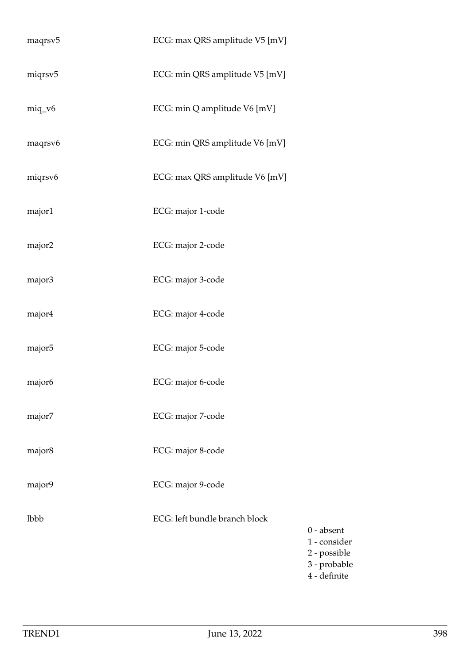| maqrsv <sub>5</sub> | ECG: max QRS amplitude V5 [mV] |
|---------------------|--------------------------------|
| miqrsv5             | ECG: min QRS amplitude V5 [mV] |
| $miq_v6$            | ECG: min Q amplitude V6 [mV]   |
| maqrsv6             | ECG: min QRS amplitude V6 [mV] |
| miqrsv6             | ECG: max QRS amplitude V6 [mV] |
| major1              | ECG: major 1-code              |
| major2              | ECG: major 2-code              |
| major3              | ECG: major 3-code              |
| major4              | ECG: major 4-code              |
| major <sub>5</sub>  | ECG: major 5-code              |
| major <sub>6</sub>  | ECG: major 6-code              |
| major7              | ECG: major 7-code              |
| major8              | ECG: major 8-code              |
| major9              | ECG: major 9-code              |
| lbbb                | ECG: left bundle branch block  |
|                     |                                |
|                     |                                |

0 - absent 1 - consider 2 - possible 3 - probable 4 - definite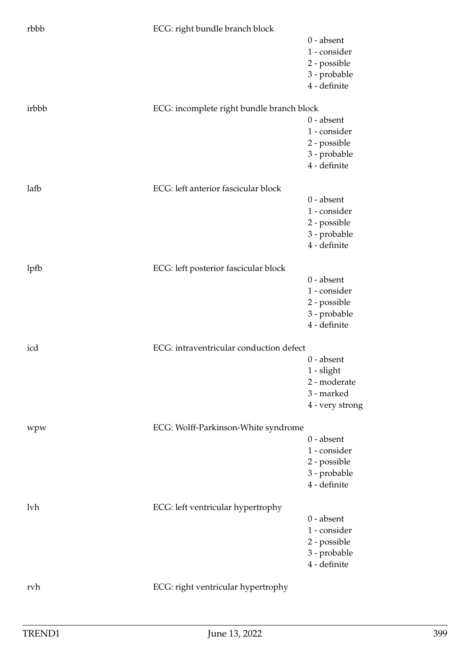| rbbb  | ECG: right bundle branch block            | $0$ - absent    |
|-------|-------------------------------------------|-----------------|
|       |                                           | 1 - consider    |
|       |                                           | 2 - possible    |
|       |                                           | 3 - probable    |
|       |                                           | 4 - definite    |
|       |                                           |                 |
| irbbb | ECG: incomplete right bundle branch block |                 |
|       |                                           | $0$ - absent    |
|       |                                           | 1 - consider    |
|       |                                           | 2 - possible    |
|       |                                           | 3 - probable    |
|       |                                           | 4 - definite    |
| lafb  | ECG: left anterior fascicular block       |                 |
|       |                                           | $0$ - absent    |
|       |                                           | 1 - consider    |
|       |                                           | 2 - possible    |
|       |                                           | 3 - probable    |
|       |                                           | 4 - definite    |
|       |                                           |                 |
| lpfb  | ECG: left posterior fascicular block      |                 |
|       |                                           | $0 - absent$    |
|       |                                           | 1 - consider    |
|       |                                           | 2 - possible    |
|       |                                           | 3 - probable    |
|       |                                           | 4 - definite    |
| icd   | ECG: intraventricular conduction defect   |                 |
|       |                                           | $0 - absent$    |
|       |                                           | $1$ - slight    |
|       |                                           | 2 - moderate    |
|       |                                           | 3 - marked      |
|       |                                           | 4 - very strong |
| wpw   | ECG: Wolff-Parkinson-White syndrome       |                 |
|       |                                           | $0$ - absent    |
|       |                                           | 1 - consider    |
|       |                                           | 2 - possible    |
|       |                                           | 3 - probable    |
|       |                                           | 4 - definite    |
| lvh   | ECG: left ventricular hypertrophy         |                 |
|       |                                           | $0$ - absent    |
|       |                                           | 1 - consider    |
|       |                                           | 2 - possible    |
|       |                                           | 3 - probable    |
|       |                                           | 4 - definite    |
|       |                                           |                 |
| rvh   | ECG: right ventricular hypertrophy        |                 |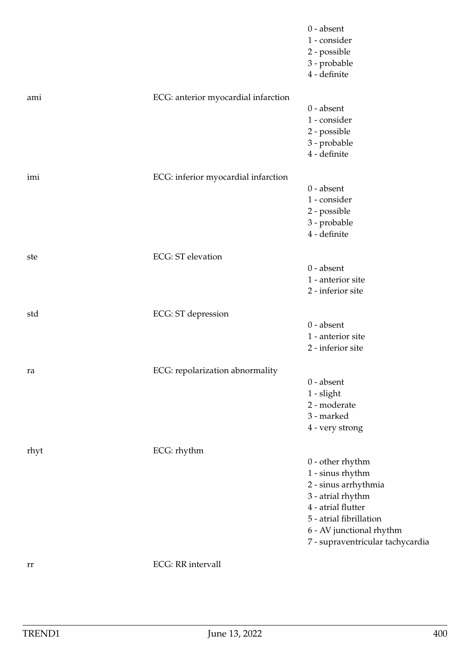|      |                                     | $0$ - absent<br>1 - consider<br>2 - possible<br>3 - probable<br>4 - definite |
|------|-------------------------------------|------------------------------------------------------------------------------|
| ami  | ECG: anterior myocardial infarction | $0 - absent$                                                                 |
|      |                                     | 1 - consider                                                                 |
|      |                                     | 2 - possible                                                                 |
|      |                                     | 3 - probable                                                                 |
|      |                                     | 4 - definite                                                                 |
| imi  | ECG: inferior myocardial infarction |                                                                              |
|      |                                     | $0$ - absent                                                                 |
|      |                                     | 1 - consider                                                                 |
|      |                                     | 2 - possible                                                                 |
|      |                                     | 3 - probable                                                                 |
|      |                                     | 4 - definite                                                                 |
| ste  | <b>ECG</b> : ST elevation           |                                                                              |
|      |                                     | $0$ - absent                                                                 |
|      |                                     | 1 - anterior site                                                            |
|      |                                     | 2 - inferior site                                                            |
| std  | ECG: ST depression                  |                                                                              |
|      |                                     | $0$ - absent                                                                 |
|      |                                     | 1 - anterior site                                                            |
|      |                                     | 2 - inferior site                                                            |
|      |                                     |                                                                              |
| ra   | ECG: repolarization abnormality     | $0$ - absent                                                                 |
|      |                                     | $1$ - slight                                                                 |
|      |                                     | 2 - moderate                                                                 |
|      |                                     | 3 - marked                                                                   |
|      |                                     | 4 - very strong                                                              |
|      | ECG: rhythm                         |                                                                              |
| rhyt |                                     | $0$ - other rhythm                                                           |
|      |                                     | 1 - sinus rhythm                                                             |
|      |                                     | 2 - sinus arrhythmia                                                         |
|      |                                     | 3 - atrial rhythm                                                            |
|      |                                     | 4 - atrial flutter                                                           |
|      |                                     | 5 - atrial fibrillation                                                      |
|      |                                     | 6 - AV junctional rhythm                                                     |
|      |                                     | 7 - supraventricular tachycardia                                             |
| rr   | <b>ECG</b> : RR intervall           |                                                                              |
|      |                                     |                                                                              |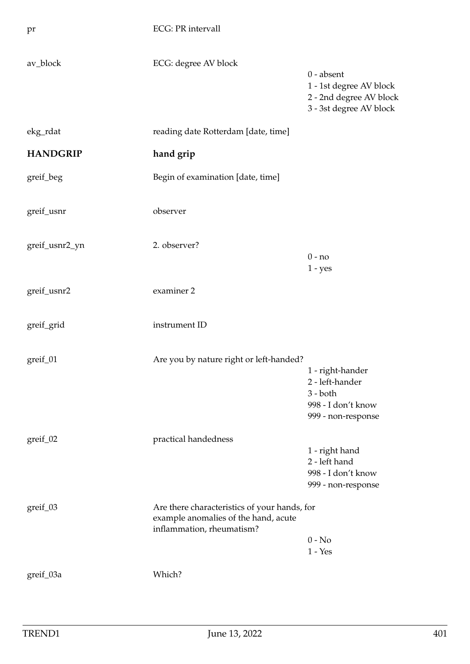| pr              | <b>ECG: PR intervall</b>                                                                                          |                                                                                               |
|-----------------|-------------------------------------------------------------------------------------------------------------------|-----------------------------------------------------------------------------------------------|
| av_block        | ECG: degree AV block                                                                                              | $0$ - absent<br>1 - 1st degree AV block<br>2 - 2nd degree AV block<br>3 - 3st degree AV block |
| ekg_rdat        | reading date Rotterdam [date, time]                                                                               |                                                                                               |
| <b>HANDGRIP</b> | hand grip                                                                                                         |                                                                                               |
| greif_beg       | Begin of examination [date, time]                                                                                 |                                                                                               |
| greif_usnr      | observer                                                                                                          |                                                                                               |
| greif_usnr2_yn  | 2. observer?                                                                                                      | $0 - no$<br>$1 - yes$                                                                         |
| greif_usnr2     | examiner 2                                                                                                        |                                                                                               |
| greif_grid      | instrument ID                                                                                                     |                                                                                               |
| greif_01        | Are you by nature right or left-handed?                                                                           | 1 - right-hander<br>2 - left-hander<br>$3 - both$<br>998 - I don't know<br>999 - non-response |
| $greif_02$      | practical handedness                                                                                              | 1 - right hand<br>2 - left hand<br>998 - I don't know<br>999 - non-response                   |
| greif_03        | Are there characteristics of your hands, for<br>example anomalies of the hand, acute<br>inflammation, rheumatism? | $0 - No$<br>$1 - Yes$                                                                         |
| greif_03a       | Which?                                                                                                            |                                                                                               |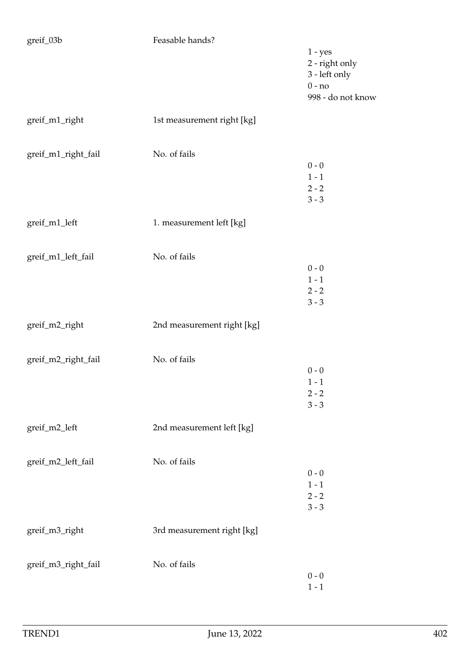| greif_03b           | Feasable hands?            |                                                                               |
|---------------------|----------------------------|-------------------------------------------------------------------------------|
|                     |                            | $1 - yes$<br>2 - right only<br>3 - left only<br>$0 - no$<br>998 - do not know |
| greif_m1_right      | 1st measurement right [kg] |                                                                               |
| greif_m1_right_fail | No. of fails               | $0 - 0$<br>$1 - 1$<br>$2 - 2$<br>$3 - 3$                                      |
| greif_m1_left       | 1. measurement left [kg]   |                                                                               |
| greif_m1_left_fail  | No. of fails               | $0 - 0$<br>$1 - 1$<br>$2 - 2$<br>$3 - 3$                                      |
| greif_m2_right      | 2nd measurement right [kg] |                                                                               |
| greif_m2_right_fail | No. of fails               | $0 - 0$<br>$1 - 1$<br>$2 - 2$<br>$3 - 3$                                      |
| greif_m2_left       | 2nd measurement left [kg]  |                                                                               |
| greif_m2_left_fail  | No. of fails               | $0 - 0$<br>$1 - 1$<br>$2 - 2$<br>$3 - 3$                                      |
| greif_m3_right      | 3rd measurement right [kg] |                                                                               |
| greif_m3_right_fail | No. of fails               | $0 - 0$<br>$1 - 1$                                                            |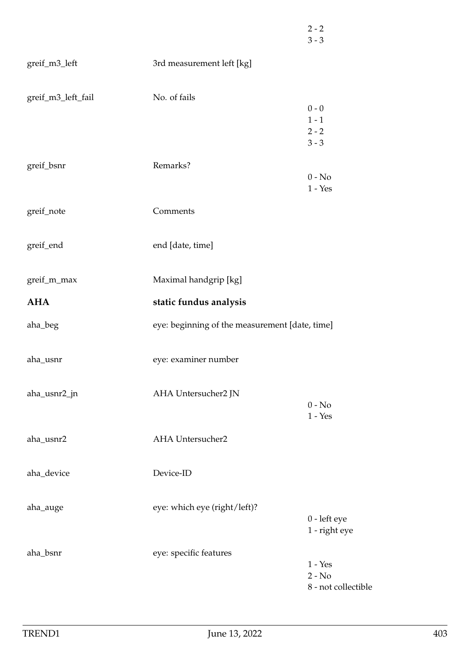|                    |                                                | $2 - 2$<br>$3 - 3$              |
|--------------------|------------------------------------------------|---------------------------------|
| greif_m3_left      | 3rd measurement left [kg]                      |                                 |
| greif_m3_left_fail | No. of fails                                   |                                 |
|                    |                                                | $0 - 0$<br>$1 - 1$              |
|                    |                                                | $2 - 2$                         |
|                    |                                                | $3 - 3$                         |
| greif_bsnr         | Remarks?                                       |                                 |
|                    |                                                | $0 - No$                        |
|                    |                                                | $1 - Yes$                       |
| greif_note         | Comments                                       |                                 |
| greif_end          | end [date, time]                               |                                 |
| greif_m_max        | Maximal handgrip [kg]                          |                                 |
| <b>AHA</b>         | static fundus analysis                         |                                 |
| aha_beg            | eye: beginning of the measurement [date, time] |                                 |
| aha_usnr           | eye: examiner number                           |                                 |
| aha_usnr2_jn       | AHA Untersucher2 JN                            |                                 |
|                    |                                                | $0 - No$<br>$1 - Yes$           |
| aha_usnr2          | AHA Untersucher2                               |                                 |
| aha_device         | Device-ID                                      |                                 |
| aha_auge           | eye: which eye (right/left)?                   |                                 |
|                    |                                                | $0$ - left eye<br>1 - right eye |
| aha_bsnr           | eye: specific features                         |                                 |
|                    |                                                | $1 - Yes$                       |
|                    |                                                | $2 - No$                        |
|                    |                                                | 8 - not collectible             |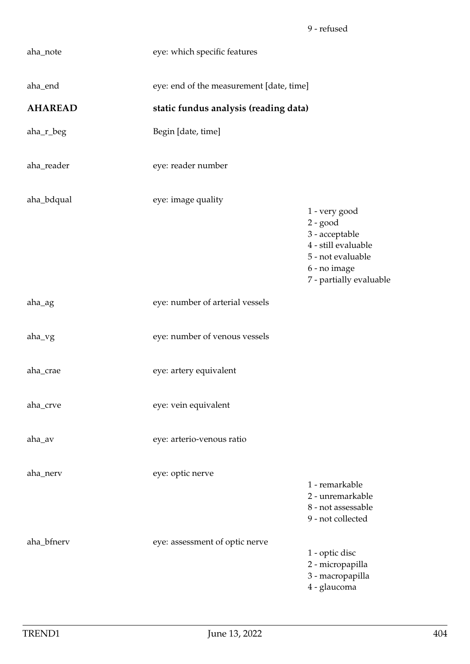| aha_note       | eye: which specific features             |                                                                                                                                      |
|----------------|------------------------------------------|--------------------------------------------------------------------------------------------------------------------------------------|
| aha_end        | eye: end of the measurement [date, time] |                                                                                                                                      |
| <b>AHAREAD</b> | static fundus analysis (reading data)    |                                                                                                                                      |
| aha_r_beg      | Begin [date, time]                       |                                                                                                                                      |
| aha_reader     | eye: reader number                       |                                                                                                                                      |
| aha_bdqual     | eye: image quality                       | 1 - very good<br>$2 - good$<br>3 - acceptable<br>4 - still evaluable<br>5 - not evaluable<br>6 - no image<br>7 - partially evaluable |
| aha_ag         | eye: number of arterial vessels          |                                                                                                                                      |
| aha_vg         | eye: number of venous vessels            |                                                                                                                                      |
| aha_crae       | eye: artery equivalent                   |                                                                                                                                      |
| aha_crve       | eye: vein equivalent                     |                                                                                                                                      |
| aha_av         | eye: arterio-venous ratio                |                                                                                                                                      |
| aha_nerv       | eye: optic nerve                         | 1 - remarkable<br>2 - unremarkable<br>8 - not assessable<br>9 - not collected                                                        |
| aha_bfnerv     | eye: assessment of optic nerve           | 1 - optic disc<br>2 - micropapilla<br>3 - macropapilla<br>4 - glaucoma                                                               |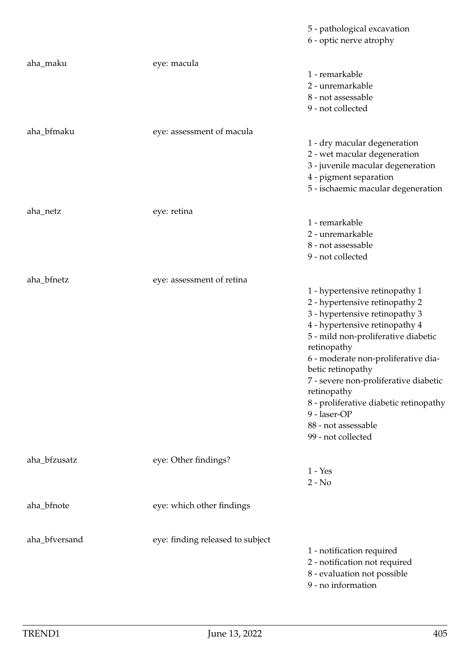|               |                                  | 5 - pathological excavation<br>6 - optic nerve atrophy                                                                                                                                                                                                                                                                                                                                                                |
|---------------|----------------------------------|-----------------------------------------------------------------------------------------------------------------------------------------------------------------------------------------------------------------------------------------------------------------------------------------------------------------------------------------------------------------------------------------------------------------------|
| aha_maku      | eye: macula                      | 1 - remarkable<br>2 - unremarkable<br>8 - not assessable<br>9 - not collected                                                                                                                                                                                                                                                                                                                                         |
| aha_bfmaku    | eye: assessment of macula        | 1 - dry macular degeneration<br>2 - wet macular degeneration<br>3 - juvenile macular degeneration<br>4 - pigment separation<br>5 - ischaemic macular degeneration                                                                                                                                                                                                                                                     |
| aha_netz      | eye: retina                      |                                                                                                                                                                                                                                                                                                                                                                                                                       |
|               |                                  | 1 - remarkable<br>2 - unremarkable<br>8 - not assessable<br>9 - not collected                                                                                                                                                                                                                                                                                                                                         |
| aha_bfnetz    | eye: assessment of retina        |                                                                                                                                                                                                                                                                                                                                                                                                                       |
|               |                                  | 1 - hypertensive retinopathy 1<br>2 - hypertensive retinopathy 2<br>3 - hypertensive retinopathy 3<br>4 - hypertensive retinopathy 4<br>5 - mild non-proliferative diabetic<br>retinopathy<br>6 - moderate non-proliferative dia-<br>betic retinopathy<br>7 - severe non-proliferative diabetic<br>retinopathy<br>8 - proliferative diabetic retinopathy<br>9 - laser-OP<br>88 - not assessable<br>99 - not collected |
| aha_bfzusatz  | eye: Other findings?             | $1 - Yes$                                                                                                                                                                                                                                                                                                                                                                                                             |
|               |                                  | $2 - No$                                                                                                                                                                                                                                                                                                                                                                                                              |
| aha_bfnote    | eye: which other findings        |                                                                                                                                                                                                                                                                                                                                                                                                                       |
| aha_bfversand | eye: finding released to subject | 1 - notification required<br>2 - notification not required<br>8 - evaluation not possible<br>9 - no information                                                                                                                                                                                                                                                                                                       |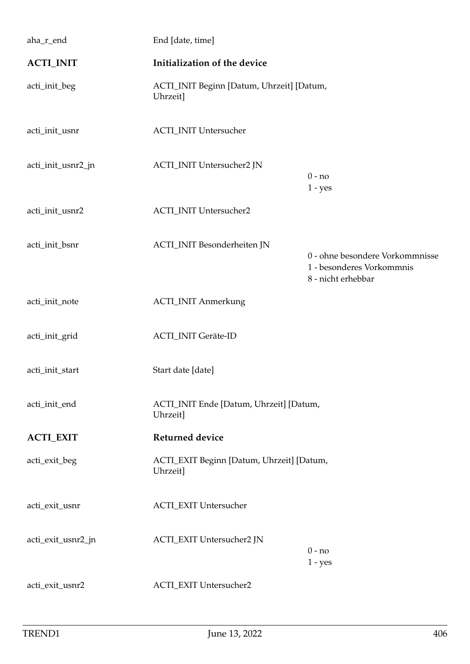| aha_r_end          | End [date, time]                                      |                                                                                    |
|--------------------|-------------------------------------------------------|------------------------------------------------------------------------------------|
| <b>ACTI_INIT</b>   | Initialization of the device                          |                                                                                    |
| acti_init_beg      | ACTI_INIT Beginn [Datum, Uhrzeit] [Datum,<br>Uhrzeit] |                                                                                    |
| acti_init_usnr     | <b>ACTI_INIT Untersucher</b>                          |                                                                                    |
| acti_init_usnr2_jn | ACTI_INIT Untersucher2 JN                             | $0 - no$<br>$1 - yes$                                                              |
| acti_init_usnr2    | <b>ACTI_INIT Untersucher2</b>                         |                                                                                    |
| acti_init_bsnr     | ACTI_INIT Besonderheiten JN                           | 0 - ohne besondere Vorkommnisse<br>1 - besonderes Vorkommnis<br>8 - nicht erhebbar |
| acti_init_note     | <b>ACTI_INIT Anmerkung</b>                            |                                                                                    |
| acti_init_grid     | <b>ACTI_INIT Geräte-ID</b>                            |                                                                                    |
| acti_init_start    | Start date [date]                                     |                                                                                    |
| acti_init_end      | ACTI_INIT Ende [Datum, Uhrzeit] [Datum,<br>Uhrzeit]   |                                                                                    |
| <b>ACTI_EXIT</b>   | <b>Returned device</b>                                |                                                                                    |
| acti_exit_beg      | ACTI_EXIT Beginn [Datum, Uhrzeit] [Datum,<br>Uhrzeit] |                                                                                    |
| acti_exit_usnr     | <b>ACTI_EXIT Untersucher</b>                          |                                                                                    |
| acti_exit_usnr2_jn | ACTI_EXIT Untersucher2 JN                             | $0 - no$<br>$1 - yes$                                                              |
| acti_exit_usnr2    | <b>ACTI_EXIT Untersucher2</b>                         |                                                                                    |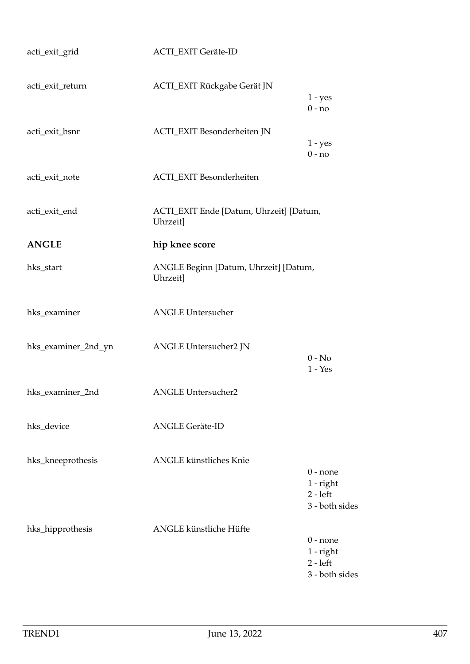| acti_exit_grid      | <b>ACTI_EXIT Geräte-ID</b>                          |                                                           |
|---------------------|-----------------------------------------------------|-----------------------------------------------------------|
| acti_exit_return    | <b>ACTI_EXIT Rückgabe Gerät JN</b>                  | $1 - yes$<br>$0 - no$                                     |
| acti_exit_bsnr      | ACTI_EXIT Besonderheiten JN                         | $1 - yes$<br>$0 - no$                                     |
| acti_exit_note      | ACTI_EXIT Besonderheiten                            |                                                           |
| acti_exit_end       | ACTI_EXIT Ende [Datum, Uhrzeit] [Datum,<br>Uhrzeit] |                                                           |
| <b>ANGLE</b>        | hip knee score                                      |                                                           |
| hks_start           | ANGLE Beginn [Datum, Uhrzeit] [Datum,<br>Uhrzeit]   |                                                           |
| hks_examiner        | <b>ANGLE Untersucher</b>                            |                                                           |
| hks_examiner_2nd_yn | ANGLE Untersucher2 JN                               | $0 - No$<br>$1 - Yes$                                     |
| hks_examiner_2nd    | <b>ANGLE Untersucher2</b>                           |                                                           |
| hks_device          | <b>ANGLE Geräte-ID</b>                              |                                                           |
| hks_kneeprothesis   | <b>ANGLE</b> künstliches Knie                       | $0$ - none<br>$1$ - right<br>$2 - left$<br>3 - both sides |
| hks_hipprothesis    | ANGLE künstliche Hüfte                              | $0$ - none<br>$1$ - right<br>$2 - left$<br>3 - both sides |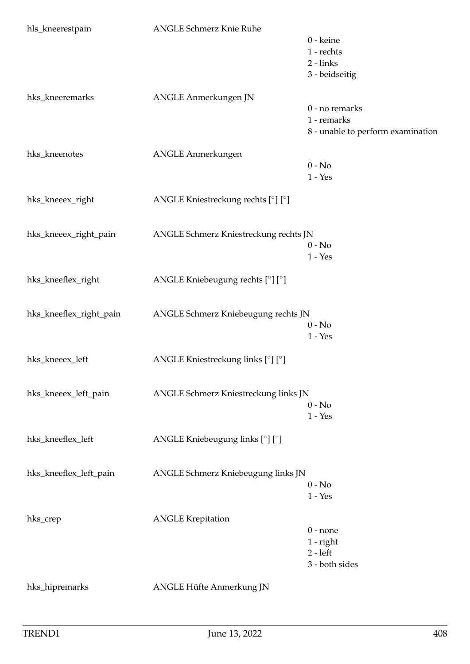| hls_kneerestpain        | <b>ANGLE Schmerz Knie Ruhe</b>        |                                   |
|-------------------------|---------------------------------------|-----------------------------------|
|                         |                                       | 0 - keine                         |
|                         |                                       | 1 - rechts                        |
|                         |                                       | $2 - links$                       |
|                         |                                       | 3 - beidseitig                    |
| hks_kneeremarks         | ANGLE Anmerkungen JN                  |                                   |
|                         |                                       | 0 - no remarks                    |
|                         |                                       | 1 - remarks                       |
|                         |                                       | 8 - unable to perform examination |
| hks_kneenotes           | <b>ANGLE Anmerkungen</b>              |                                   |
|                         |                                       | $0 - No$                          |
|                         |                                       | $1 - Yes$                         |
| hks_kneeex_right        | ANGLE Kniestreckung rechts [°] [°]    |                                   |
|                         |                                       |                                   |
| hks_kneeex_right_pain   | ANGLE Schmerz Kniestreckung rechts JN |                                   |
|                         |                                       | $0 - No$                          |
|                         |                                       | $1 - Yes$                         |
| hks_kneeflex_right      | ANGLE Kniebeugung rechts [°] [°]      |                                   |
|                         |                                       |                                   |
| hks_kneeflex_right_pain | ANGLE Schmerz Kniebeugung rechts JN   |                                   |
|                         |                                       | $0 - No$                          |
|                         |                                       | $1 - Yes$                         |
| hks_kneeex_left         | ANGLE Kniestreckung links [°] [°]     |                                   |
|                         |                                       |                                   |
| hks_kneeex_left_pain    | ANGLE Schmerz Kniestreckung links JN  |                                   |
|                         |                                       | $0 - No$                          |
|                         |                                       | $1 - Yes$                         |
| hks_kneeflex_left       | ANGLE Kniebeugung links [°] [°]       |                                   |
|                         |                                       |                                   |
| hks_kneeflex_left_pain  | ANGLE Schmerz Kniebeugung links JN    |                                   |
|                         |                                       | $0 - No$                          |
|                         |                                       | $1 - Yes$                         |
| hks_crep                | <b>ANGLE Krepitation</b>              |                                   |
|                         |                                       | $0$ - none                        |
|                         |                                       | $1$ - right                       |
|                         |                                       | $2 - left$                        |
|                         |                                       | 3 - both sides                    |
| hks_hipremarks          | ANGLE Hüfte Anmerkung JN              |                                   |
|                         |                                       |                                   |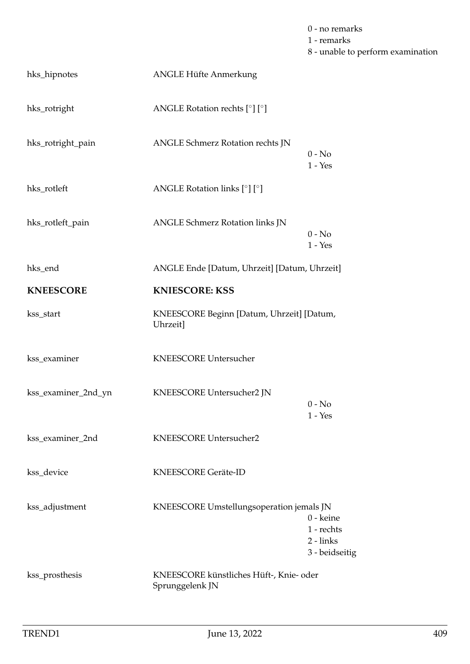|                     |                                                            | 0 - no remarks<br>1 - remarks<br>8 - unable to perform examination |
|---------------------|------------------------------------------------------------|--------------------------------------------------------------------|
| hks_hipnotes        | ANGLE Hüfte Anmerkung                                      |                                                                    |
| hks_rotright        | ANGLE Rotation rechts [°] [°]                              |                                                                    |
| hks_rotright_pain   | ANGLE Schmerz Rotation rechts JN                           | $0 - No$<br>$1 - Yes$                                              |
| hks_rotleft         | ANGLE Rotation links $[°]$ $[°]$                           |                                                                    |
| hks_rotleft_pain    | ANGLE Schmerz Rotation links JN                            | $0 - No$<br>$1 - Yes$                                              |
| hks_end             | ANGLE Ende [Datum, Uhrzeit] [Datum, Uhrzeit]               |                                                                    |
| <b>KNEESCORE</b>    | <b>KNIESCORE: KSS</b>                                      |                                                                    |
| kss_start           | KNEESCORE Beginn [Datum, Uhrzeit] [Datum,<br>Uhrzeit]      |                                                                    |
| kss_examiner        | <b>KNEESCORE Untersucher</b>                               |                                                                    |
| kss_examiner_2nd_yn | KNEESCORE Untersucher2 JN                                  | $0 - No$<br>$1 - Yes$                                              |
| kss_examiner_2nd    | KNEESCORE Untersucher2                                     |                                                                    |
| kss_device          | <b>KNEESCORE Geräte-ID</b>                                 |                                                                    |
| kss_adjustment      | KNEESCORE Umstellungsoperation jemals JN                   | 0 - keine<br>1 - rechts<br>$2 - links$<br>3 - beidseitig           |
| kss_prosthesis      | KNEESCORE künstliches Hüft-, Knie- oder<br>Sprunggelenk JN |                                                                    |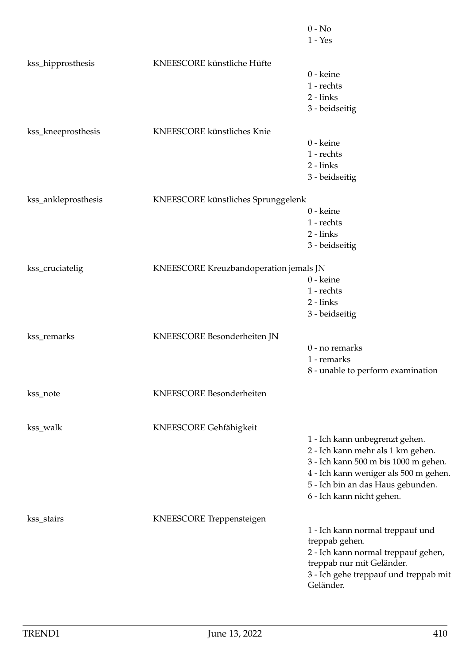|                     |                                        | $0 - No$<br>$1 - Yes$                                                                                                                                                                                                  |
|---------------------|----------------------------------------|------------------------------------------------------------------------------------------------------------------------------------------------------------------------------------------------------------------------|
| kss_hipprosthesis   | KNEESCORE künstliche Hüfte             |                                                                                                                                                                                                                        |
|                     |                                        | 0 - keine<br>$1$ - rechts<br>$2 - links$<br>3 - beidseitig                                                                                                                                                             |
| kss_kneeprosthesis  | KNEESCORE künstliches Knie             | 0 - keine                                                                                                                                                                                                              |
|                     |                                        | $1$ - rechts<br>$2 - links$<br>3 - beidseitig                                                                                                                                                                          |
| kss_ankleprosthesis | KNEESCORE künstliches Sprunggelenk     | 0 - keine<br>1 - rechts                                                                                                                                                                                                |
|                     |                                        | $2 - links$<br>3 - beidseitig                                                                                                                                                                                          |
| kss_cruciatelig     | KNEESCORE Kreuzbandoperation jemals JN | 0 - keine<br>1 - rechts<br>$2 - links$<br>3 - beidseitig                                                                                                                                                               |
| kss_remarks         | KNEESCORE Besonderheiten JN            | 0 - no remarks<br>1 - remarks<br>8 - unable to perform examination                                                                                                                                                     |
| kss_note            | KNEESCORE Besonderheiten               |                                                                                                                                                                                                                        |
| kss_walk            | KNEESCORE Gehfähigkeit                 | 1 - Ich kann unbegrenzt gehen.<br>2 - Ich kann mehr als 1 km gehen.<br>3 - Ich kann 500 m bis 1000 m gehen.<br>4 - Ich kann weniger als 500 m gehen.<br>5 - Ich bin an das Haus gebunden.<br>6 - Ich kann nicht gehen. |
| kss_stairs          | KNEESCORE Treppensteigen               | 1 - Ich kann normal treppauf und<br>treppab gehen.<br>2 - Ich kann normal treppauf gehen,<br>treppab nur mit Geländer.<br>3 - Ich gehe treppauf und treppab mit<br>Geländer.                                           |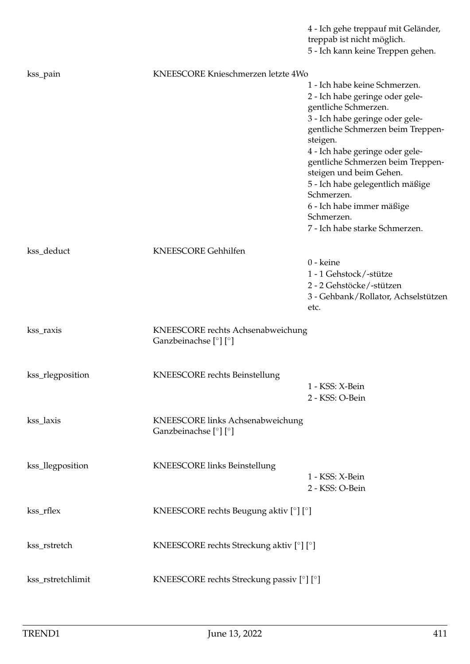|                   |                                                            | 4 - Ich gehe treppauf mit Geländer,<br>treppab ist nicht möglich.<br>5 - Ich kann keine Treppen gehen.                                                                                                                                                                                                                                                                                                         |
|-------------------|------------------------------------------------------------|----------------------------------------------------------------------------------------------------------------------------------------------------------------------------------------------------------------------------------------------------------------------------------------------------------------------------------------------------------------------------------------------------------------|
| kss_pain          | KNEESCORE Knieschmerzen letzte 4Wo                         |                                                                                                                                                                                                                                                                                                                                                                                                                |
|                   |                                                            | 1 - Ich habe keine Schmerzen.<br>2 - Ich habe geringe oder gele-<br>gentliche Schmerzen.<br>3 - Ich habe geringe oder gele-<br>gentliche Schmerzen beim Treppen-<br>steigen.<br>4 - Ich habe geringe oder gele-<br>gentliche Schmerzen beim Treppen-<br>steigen und beim Gehen.<br>5 - Ich habe gelegentlich mäßige<br>Schmerzen.<br>6 - Ich habe immer mäßige<br>Schmerzen.<br>7 - Ich habe starke Schmerzen. |
| kss_deduct        | <b>KNEESCORE Gehhilfen</b>                                 | 0 - keine                                                                                                                                                                                                                                                                                                                                                                                                      |
|                   |                                                            | 1 - 1 Gehstock/-stütze<br>2 - 2 Gehstöcke/-stützen<br>3 - Gehbank/Rollator, Achselstützen<br>etc.                                                                                                                                                                                                                                                                                                              |
| kss_raxis         | KNEESCORE rechts Achsenabweichung<br>Ganzbeinachse [°] [°] |                                                                                                                                                                                                                                                                                                                                                                                                                |
| kss_rlegposition  | KNEESCORE rechts Beinstellung                              | 1 - KSS: X-Bein<br>2 - KSS: O-Bein                                                                                                                                                                                                                                                                                                                                                                             |
| kss_laxis         | KNEESCORE links Achsenabweichung<br>Ganzbeinachse [°] [°]  |                                                                                                                                                                                                                                                                                                                                                                                                                |
| kss_llegposition  | <b>KNEESCORE</b> links Beinstellung                        | 1 - KSS: X-Bein<br>2 - KSS: O-Bein                                                                                                                                                                                                                                                                                                                                                                             |
| kss_rflex         | KNEESCORE rechts Beugung aktiv [°] [°]                     |                                                                                                                                                                                                                                                                                                                                                                                                                |
| kss_rstretch      | KNEESCORE rechts Streckung aktiv [°] [°]                   |                                                                                                                                                                                                                                                                                                                                                                                                                |
| kss_rstretchlimit | KNEESCORE rechts Streckung passiv [°] [°]                  |                                                                                                                                                                                                                                                                                                                                                                                                                |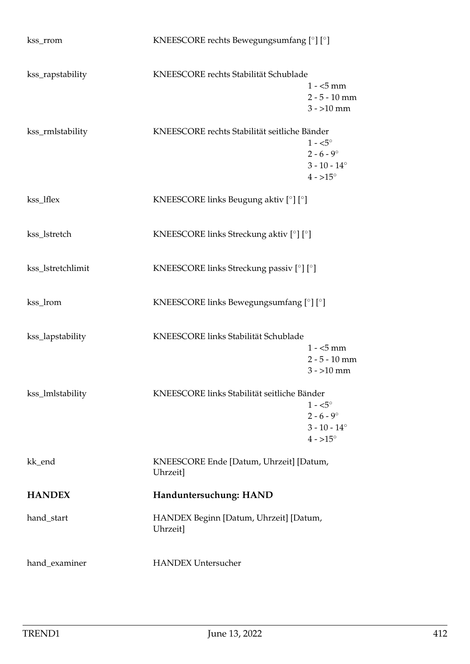| kss_rrom          | KNEESCORE rechts Bewegungsumfang [°] [°]                  |                                                                                     |
|-------------------|-----------------------------------------------------------|-------------------------------------------------------------------------------------|
| kss_rapstability  | KNEESCORE rechts Stabilität Schublade                     | $1 - 5$ mm<br>$2 - 5 - 10$ mm<br>$3 - 10$ mm                                        |
| kss_rmlstability  | KNEESCORE rechts Stabilität seitliche Bänder              | $1 - 5^{\circ}$<br>$2 - 6 - 9^{\circ}$<br>$3 - 10 - 14^{\circ}$<br>$4 - 15^{\circ}$ |
| kss_lflex         | KNEESCORE links Beugung aktiv [°] [°]                     |                                                                                     |
| kss_lstretch      | KNEESCORE links Streckung aktiv [°] [°]                   |                                                                                     |
| kss_lstretchlimit | KNEESCORE links Streckung passiv [°] [°]                  |                                                                                     |
| kss_lrom          | KNEESCORE links Bewegungsumfang [°] [°]                   |                                                                                     |
| kss_lapstability  | KNEESCORE links Stabilität Schublade                      | $1 - 5$ mm<br>$2 - 5 - 10$ mm<br>$3 - 10$ mm                                        |
| kss_lmlstability  | KNEESCORE links Stabilität seitliche Bänder               | $1 - 5^{\circ}$<br>$2 - 6 - 9^{\circ}$<br>$3 - 10 - 14^{\circ}$<br>$4 - 15^{\circ}$ |
| kk_end            | KNEESCORE Ende [Datum, Uhrzeit] [Datum,<br><b>Uhrzeit</b> |                                                                                     |
| <b>HANDEX</b>     | Handuntersuchung: HAND                                    |                                                                                     |
| hand_start        | HANDEX Beginn [Datum, Uhrzeit] [Datum,<br>Uhrzeit]        |                                                                                     |
| hand_examiner     | <b>HANDEX Untersucher</b>                                 |                                                                                     |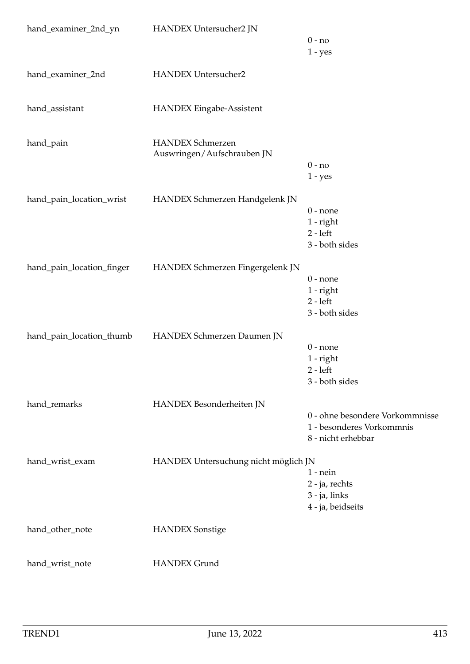| hand_examiner_2nd_yn      | HANDEX Untersucher2 JN                                | $0 - no$<br>$1 - yes$                                                              |
|---------------------------|-------------------------------------------------------|------------------------------------------------------------------------------------|
| hand_examiner_2nd         | <b>HANDEX Untersucher2</b>                            |                                                                                    |
| hand_assistant            | <b>HANDEX Eingabe-Assistent</b>                       |                                                                                    |
| hand_pain                 | <b>HANDEX Schmerzen</b><br>Auswringen/Aufschrauben JN | $0 - no$<br>$1 - yes$                                                              |
| hand_pain_location_wrist  | HANDEX Schmerzen Handgelenk JN                        | $0$ - none<br>$1$ - right<br>$2 - left$<br>3 - both sides                          |
| hand_pain_location_finger | HANDEX Schmerzen Fingergelenk JN                      | $0$ - none<br>$1$ - right<br>$2 - left$<br>3 - both sides                          |
| hand_pain_location_thumb  | HANDEX Schmerzen Daumen JN                            | $0$ - none<br>1 - right<br>$2 - left$<br>3 - both sides                            |
| hand_remarks              | HANDEX Besonderheiten JN                              | 0 - ohne besondere Vorkommnisse<br>1 - besonderes Vorkommnis<br>8 - nicht erhebbar |
| hand_wrist_exam           | HANDEX Untersuchung nicht möglich JN                  | $1$ - $nein$<br>2 - ja, rechts<br>3 - ja, links<br>4 - ja, beidseits               |
| hand_other_note           | <b>HANDEX</b> Sonstige                                |                                                                                    |
| hand_wrist_note           | <b>HANDEX Grund</b>                                   |                                                                                    |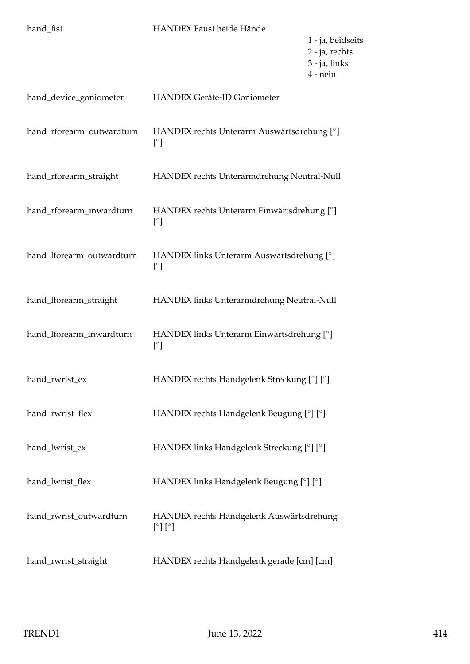| hand_fist                 | HANDEX Faust beide Hände                                                    | 1 - ja, beidseits<br>2 - ja, rechts<br>3 - ja, links<br>$4$ - nein |
|---------------------------|-----------------------------------------------------------------------------|--------------------------------------------------------------------|
| hand_device_goniometer    | HANDEX Geräte-ID Goniometer                                                 |                                                                    |
| hand_rforearm_outwardturn | HANDEX rechts Unterarm Auswärtsdrehung [°]<br>$[^\circ]$                    |                                                                    |
| hand_rforearm_straight    | HANDEX rechts Unterarmdrehung Neutral-Null                                  |                                                                    |
| hand_rforearm_inwardturn  | HANDEX rechts Unterarm Einwärtsdrehung [°]<br>$[\degree]$                   |                                                                    |
| hand_lforearm_outwardturn | HANDEX links Unterarm Auswärtsdrehung [°]<br>$\lceil$ <sup>o</sup> $\rceil$ |                                                                    |
| hand_lforearm_straight    | HANDEX links Unterarmdrehung Neutral-Null                                   |                                                                    |
| hand_lforearm_inwardturn  | HANDEX links Unterarm Einwärtsdrehung [°]<br>$[^{\circ}]$                   |                                                                    |
| hand_rwrist_ex            | HANDEX rechts Handgelenk Streckung [°] [°]                                  |                                                                    |
| hand_rwrist_flex          | HANDEX rechts Handgelenk Beugung [°] [°]                                    |                                                                    |
| hand_lwrist_ex            | HANDEX links Handgelenk Streckung [°] [°]                                   |                                                                    |
| hand_lwrist_flex          | HANDEX links Handgelenk Beugung [°] [°]                                     |                                                                    |
| hand_rwrist_outwardturn   | HANDEX rechts Handgelenk Auswärtsdrehung<br>$[\degree] [\degree]$           |                                                                    |
| hand_rwrist_straight      | HANDEX rechts Handgelenk gerade [cm] [cm]                                   |                                                                    |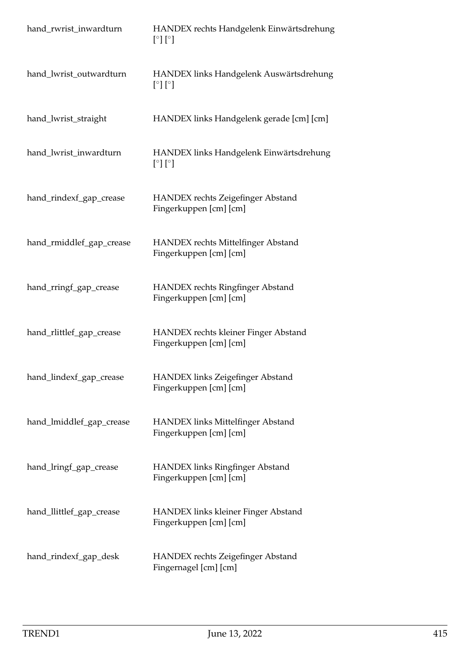| hand_rwrist_inwardturn   | HANDEX rechts Handgelenk Einwärtsdrehung<br>$[\degree] [\degree]$  |
|--------------------------|--------------------------------------------------------------------|
| hand_lwrist_outwardturn  | HANDEX links Handgelenk Auswärtsdrehung<br>$[\degree] [\degree]$   |
| hand_lwrist_straight     | HANDEX links Handgelenk gerade [cm] [cm]                           |
| hand_lwrist_inwardturn   | HANDEX links Handgelenk Einwärtsdrehung<br>$[\degree] [\degree]$   |
| hand_rindexf_gap_crease  | HANDEX rechts Zeigefinger Abstand<br>Fingerkuppen [cm] [cm]        |
| hand_rmiddlef_gap_crease | HANDEX rechts Mittelfinger Abstand<br>Fingerkuppen [cm] [cm]       |
| hand_rringf_gap_crease   | <b>HANDEX</b> rechts Ringfinger Abstand<br>Fingerkuppen [cm] [cm]  |
| hand_rlittlef_gap_crease | HANDEX rechts kleiner Finger Abstand<br>Fingerkuppen [cm] [cm]     |
| hand_lindexf_gap_crease  | <b>HANDEX links Zeigefinger Abstand</b><br>Fingerkuppen [cm] [cm]  |
| hand_lmiddlef_gap_crease | <b>HANDEX links Mittelfinger Abstand</b><br>Fingerkuppen [cm] [cm] |
| hand_lringf_gap_crease   | <b>HANDEX links Ringfinger Abstand</b><br>Fingerkuppen [cm] [cm]   |
| hand_llittlef_gap_crease | HANDEX links kleiner Finger Abstand<br>Fingerkuppen [cm] [cm]      |
| hand_rindexf_gap_desk    | HANDEX rechts Zeigefinger Abstand<br>Fingernagel [cm] [cm]         |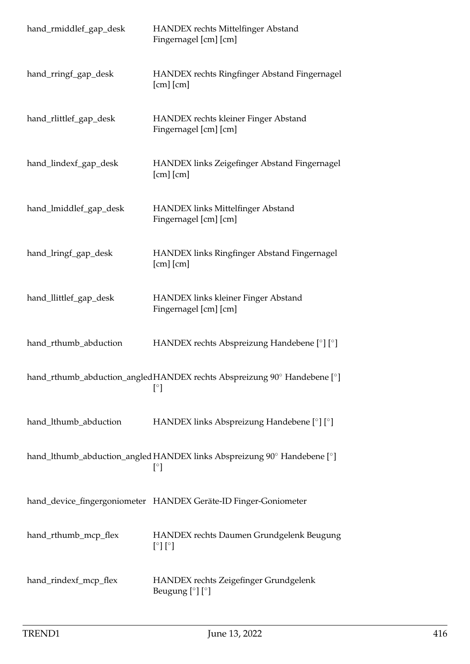| hand_rmiddlef_gap_desk | <b>HANDEX</b> rechts Mittelfinger Abstand<br>Fingernagel [cm] [cm]                                 |
|------------------------|----------------------------------------------------------------------------------------------------|
| hand_rringf_gap_desk   | HANDEX rechts Ringfinger Abstand Fingernagel<br>$[cm]$ $[cm]$                                      |
| hand_rlittlef_gap_desk | HANDEX rechts kleiner Finger Abstand<br>Fingernagel [cm] [cm]                                      |
| hand_lindexf_gap_desk  | HANDEX links Zeigefinger Abstand Fingernagel<br>$[cm]$ $[cm]$                                      |
| hand_lmiddlef_gap_desk | HANDEX links Mittelfinger Abstand<br>Fingernagel [cm] [cm]                                         |
| hand_lringf_gap_desk   | HANDEX links Ringfinger Abstand Fingernagel<br>$[cm]$ $[cm]$                                       |
| hand_llittlef_gap_desk | <b>HANDEX links kleiner Finger Abstand</b><br>Fingernagel [cm] [cm]                                |
| hand_rthumb_abduction  | HANDEX rechts Abspreizung Handebene [°] [°]                                                        |
|                        | hand_rthumb_abduction_angledHANDEX rechts Abspreizung 90° Handebene [°]<br>$\lceil^{\circ} \rceil$ |
| hand_lthumb_abduction  | HANDEX links Abspreizung Handebene [°] [°]                                                         |
|                        | hand_lthumb_abduction_angled HANDEX links Abspreizung 90° Handebene [°]<br>$[^{\circ}]$            |
|                        | hand_device_fingergoniometer HANDEX Geräte-ID Finger-Goniometer                                    |
| hand_rthumb_mcp_flex   | HANDEX rechts Daumen Grundgelenk Beugung<br>$[\degree] [\degree]$                                  |
| hand_rindexf_mcp_flex  | HANDEX rechts Zeigefinger Grundgelenk<br>Beugung $[°]$ $[°]$                                       |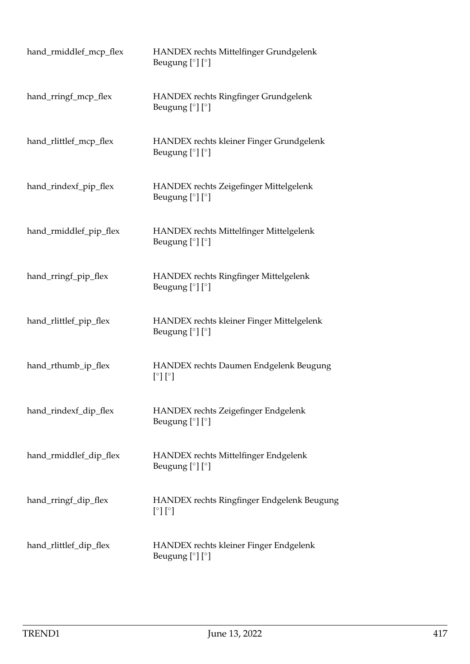| hand_rmiddlef_mcp_flex | HANDEX rechts Mittelfinger Grundgelenk<br>Beugung $[°]$ $[°]$       |
|------------------------|---------------------------------------------------------------------|
| hand_rringf_mcp_flex   | HANDEX rechts Ringfinger Grundgelenk<br>Beugung $[°]$ $[°]$         |
| hand_rlittlef_mcp_flex | HANDEX rechts kleiner Finger Grundgelenk<br>Beugung $[°]$ $[°]$     |
| hand_rindexf_pip_flex  | HANDEX rechts Zeigefinger Mittelgelenk<br>Beugung $[°]$ $[°]$       |
| hand_rmiddlef_pip_flex | HANDEX rechts Mittelfinger Mittelgelenk<br>Beugung $[°]$ $[°]$      |
| hand_rringf_pip_flex   | HANDEX rechts Ringfinger Mittelgelenk<br>Beugung $[°]$ $[°]$        |
| hand_rlittlef_pip_flex | HANDEX rechts kleiner Finger Mittelgelenk<br>Beugung $[°]$ $[°]$    |
| hand_rthumb_ip_flex    | HANDEX rechts Daumen Endgelenk Beugung<br>$[\degree] [\degree]$     |
| hand_rindexf_dip_flex  | HANDEX rechts Zeigefinger Endgelenk<br>Beugung $[°]$ $[°]$          |
| hand_rmiddlef_dip_flex | HANDEX rechts Mittelfinger Endgelenk<br>Beugung [°] [°]             |
| hand_rringf_dip_flex   | HANDEX rechts Ringfinger Endgelenk Beugung<br>$[\degree] [\degree]$ |
| hand_rlittlef_dip_flex | HANDEX rechts kleiner Finger Endgelenk<br>Beugung $[°]$ $[°]$       |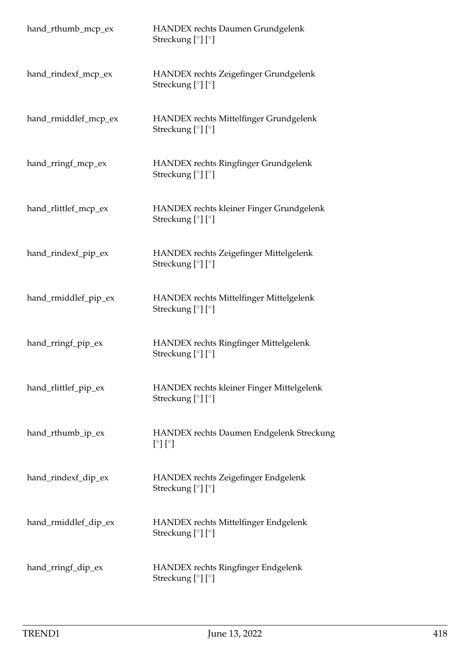| hand_rthumb_mcp_ex   | HANDEX rechts Daumen Grundgelenk<br>Streckung $[°] [°]$           |
|----------------------|-------------------------------------------------------------------|
| hand_rindexf_mcp_ex  | HANDEX rechts Zeigefinger Grundgelenk<br>Streckung [°] [°]        |
| hand_rmiddlef_mcp_ex | HANDEX rechts Mittelfinger Grundgelenk<br>Streckung [°] [°]       |
| hand_rringf_mcp_ex   | HANDEX rechts Ringfinger Grundgelenk<br>Streckung [°] [°]         |
| hand_rlittlef_mcp_ex | HANDEX rechts kleiner Finger Grundgelenk<br>Streckung $[°]$ $[°]$ |
| hand_rindexf_pip_ex  | HANDEX rechts Zeigefinger Mittelgelenk<br>Streckung [°] [°]       |
| hand_rmiddlef_pip_ex | HANDEX rechts Mittelfinger Mittelgelenk<br>Streckung [°] [°]      |
| hand_rringf_pip_ex   | HANDEX rechts Ringfinger Mittelgelenk<br>Streckung [°] [°]        |
| hand_rlittlef_pip_ex | HANDEX rechts kleiner Finger Mittelgelenk<br>Streckung [°] [°]    |
| hand_rthumb_ip_ex    | HANDEX rechts Daumen Endgelenk Streckung<br>[°][°]                |
| hand_rindexf_dip_ex  | HANDEX rechts Zeigefinger Endgelenk<br>Streckung $[°]$ $[°]$      |
| hand_rmiddlef_dip_ex | HANDEX rechts Mittelfinger Endgelenk<br>Streckung $[°]$ $[°]$     |
| hand_rringf_dip_ex   | HANDEX rechts Ringfinger Endgelenk<br>Streckung [°] [°]           |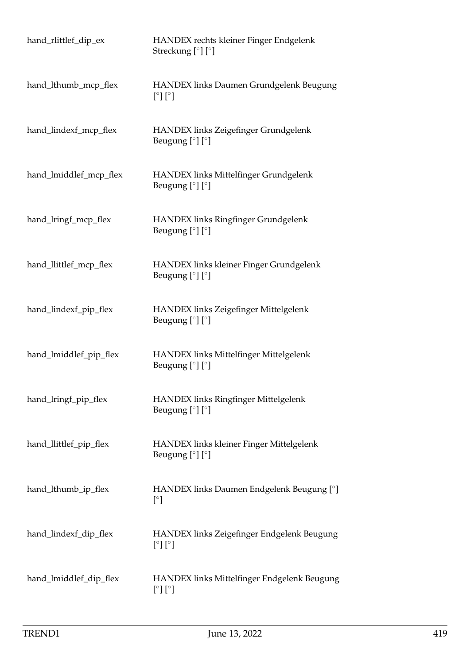| hand_rlittlef_dip_ex   | HANDEX rechts kleiner Finger Endgelenk<br>Streckung $[°]$ $[°]$      |
|------------------------|----------------------------------------------------------------------|
| hand_lthumb_mcp_flex   | HANDEX links Daumen Grundgelenk Beugung<br>$[^\circ] [^\circ]$       |
| hand_lindexf_mcp_flex  | HANDEX links Zeigefinger Grundgelenk<br>Beugung $[°]$ $[°]$          |
| hand_lmiddlef_mcp_flex | HANDEX links Mittelfinger Grundgelenk<br>Beugung $[°]$ $[°]$         |
| hand_lringf_mcp_flex   | HANDEX links Ringfinger Grundgelenk<br>Beugung $[°]$ $[°]$           |
| hand_llittlef_mcp_flex | HANDEX links kleiner Finger Grundgelenk<br>Beugung $[°]$ $[°]$       |
| hand_lindexf_pip_flex  | HANDEX links Zeigefinger Mittelgelenk<br>Beugung $[°]$ $[°]$         |
| hand_lmiddlef_pip_flex | HANDEX links Mittelfinger Mittelgelenk<br>Beugung $[°]$ $[°]$        |
| hand_lringf_pip_flex   | HANDEX links Ringfinger Mittelgelenk<br>Beugung $[°]$ $[°]$          |
| hand_llittlef_pip_flex | HANDEX links kleiner Finger Mittelgelenk<br>Beugung $[°]$ $[°]$      |
| hand_lthumb_ip_flex    | HANDEX links Daumen Endgelenk Beugung [°]<br>$[^{\circ}$ ]           |
| hand_lindexf_dip_flex  | HANDEX links Zeigefinger Endgelenk Beugung<br>$[\degree] [\degree]$  |
| hand_lmiddlef_dip_flex | HANDEX links Mittelfinger Endgelenk Beugung<br>$[\degree] [\degree]$ |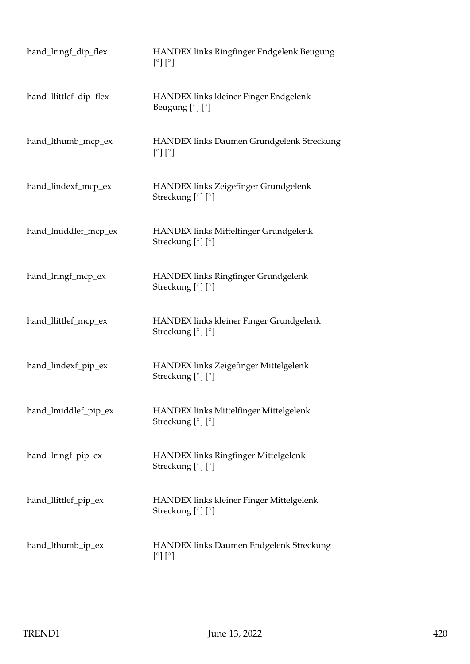| hand_lringf_dip_flex   | HANDEX links Ringfinger Endgelenk Beugung<br>$[\degree] [\degree]$                     |
|------------------------|----------------------------------------------------------------------------------------|
| hand_llittlef_dip_flex | HANDEX links kleiner Finger Endgelenk<br>Beugung $[°]$ $[°]$                           |
| hand_lthumb_mcp_ex     | HANDEX links Daumen Grundgelenk Streckung<br>$\lceil \circ \rceil \lceil \circ \rceil$ |
| hand_lindexf_mcp_ex    | HANDEX links Zeigefinger Grundgelenk<br>Streckung [°] [°]                              |
| hand_lmiddlef_mcp_ex   | HANDEX links Mittelfinger Grundgelenk<br>Streckung [°] [°]                             |
| hand_lringf_mcp_ex     | HANDEX links Ringfinger Grundgelenk<br>Streckung [°] [°]                               |
| hand_llittlef_mcp_ex   | HANDEX links kleiner Finger Grundgelenk<br>Streckung [°] [°]                           |
| hand_lindexf_pip_ex    | HANDEX links Zeigefinger Mittelgelenk<br>Streckung [°] [°]                             |
| hand_lmiddlef_pip_ex   | HANDEX links Mittelfinger Mittelgelenk<br>Streckung [°] [°]                            |
| hand_lringf_pip_ex     | HANDEX links Ringfinger Mittelgelenk<br>Streckung [°] [°]                              |
| hand_llittlef_pip_ex   | HANDEX links kleiner Finger Mittelgelenk<br>Streckung $[°]$ $[°]$                      |
| hand_lthumb_ip_ex      | <b>HANDEX links Daumen Endgelenk Streckung</b><br>$[\degree] [\degree]$                |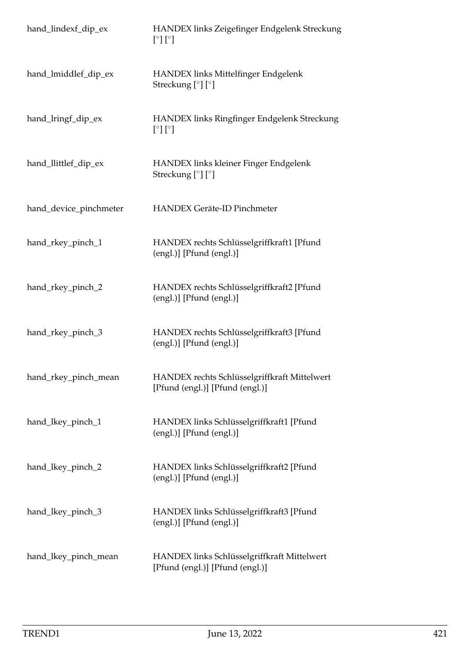| hand_lindexf_dip_ex    | HANDEX links Zeigefinger Endgelenk Streckung<br>[°] [°]                         |
|------------------------|---------------------------------------------------------------------------------|
| hand_lmiddlef_dip_ex   | HANDEX links Mittelfinger Endgelenk<br>Streckung [°] [°]                        |
| hand_lringf_dip_ex     | HANDEX links Ringfinger Endgelenk Streckung<br>$[\degree] [\degree]$            |
| hand_llittlef_dip_ex   | HANDEX links kleiner Finger Endgelenk<br>Streckung [°] [°]                      |
| hand_device_pinchmeter | <b>HANDEX Geräte-ID Pinchmeter</b>                                              |
| hand_rkey_pinch_1      | HANDEX rechts Schlüsselgriffkraft1 [Pfund<br>(engl.)] [Pfund (engl.)]           |
| hand_rkey_pinch_2      | HANDEX rechts Schlüsselgriffkraft2 [Pfund<br>(engl.)] [Pfund (engl.)]           |
| hand_rkey_pinch_3      | HANDEX rechts Schlüsselgriffkraft3 [Pfund<br>(engl.)] [Pfund (engl.)]           |
| hand_rkey_pinch_mean   | HANDEX rechts Schlüsselgriffkraft Mittelwert<br>[Pfund (engl.)] [Pfund (engl.)] |
| hand_lkey_pinch_1      | HANDEX links Schlüsselgriffkraft1 [Pfund<br>(engl.)] [Pfund (engl.)]            |
| hand_lkey_pinch_2      | HANDEX links Schlüsselgriffkraft2 [Pfund<br>(engl.)] [Pfund (engl.)]            |
| hand_lkey_pinch_3      | HANDEX links Schlüsselgriffkraft3 [Pfund<br>(engl.)] [Pfund (engl.)]            |
| hand_lkey_pinch_mean   | HANDEX links Schlüsselgriffkraft Mittelwert<br>[Pfund (engl.)] [Pfund (engl.)]  |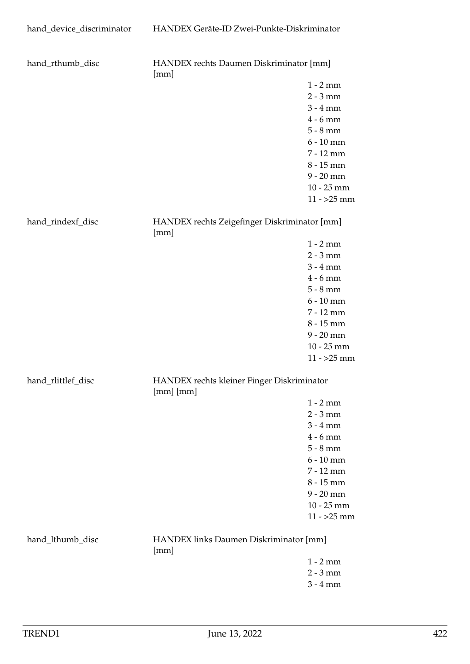| hand_rthumb_disc   | HANDEX rechts Daumen Diskriminator [mm]<br>[mm]             |              |
|--------------------|-------------------------------------------------------------|--------------|
|                    |                                                             | $1 - 2$ mm   |
|                    |                                                             | $2 - 3$ mm   |
|                    |                                                             | $3 - 4$ mm   |
|                    |                                                             | $4 - 6$ mm   |
|                    |                                                             | $5 - 8$ mm   |
|                    |                                                             | $6 - 10$ mm  |
|                    |                                                             | 7 - 12 mm    |
|                    |                                                             | 8 - 15 mm    |
|                    |                                                             | $9 - 20$ mm  |
|                    |                                                             | $10 - 25$ mm |
|                    |                                                             | $11 - 25$ mm |
|                    |                                                             |              |
| hand_rindexf_disc  | HANDEX rechts Zeigefinger Diskriminator [mm]<br>[mm]        |              |
|                    |                                                             | $1 - 2$ mm   |
|                    |                                                             | $2 - 3$ mm   |
|                    |                                                             | $3 - 4$ mm   |
|                    |                                                             | $4 - 6$ mm   |
|                    |                                                             | $5 - 8$ mm   |
|                    |                                                             | $6 - 10$ mm  |
|                    |                                                             | 7 - 12 mm    |
|                    |                                                             | $8 - 15$ mm  |
|                    |                                                             | $9 - 20$ mm  |
|                    |                                                             | $10 - 25$ mm |
|                    |                                                             | $11 - 25$ mm |
|                    |                                                             |              |
| hand_rlittlef_disc | HANDEX rechts kleiner Finger Diskriminator<br>$[mm]$ $[mm]$ |              |
|                    |                                                             | $1 - 2$ mm   |
|                    |                                                             | $2 - 3$ mm   |
|                    |                                                             | $3 - 4$ mm   |
|                    |                                                             | $4 - 6$ mm   |
|                    |                                                             | $5 - 8$ mm   |
|                    |                                                             | $6 - 10$ mm  |
|                    |                                                             | 7 - 12 mm    |
|                    |                                                             | 8 - 15 mm    |
|                    |                                                             | $9 - 20$ mm  |
|                    |                                                             | $10 - 25$ mm |
|                    |                                                             | $11 - 25$ mm |
| hand_lthumb_disc   | HANDEX links Daumen Diskriminator [mm]<br>[mm]              |              |
|                    |                                                             | $1 - 2$ mm   |
|                    |                                                             | $2 - 3$ mm   |
|                    |                                                             | $3 - 4 mm$   |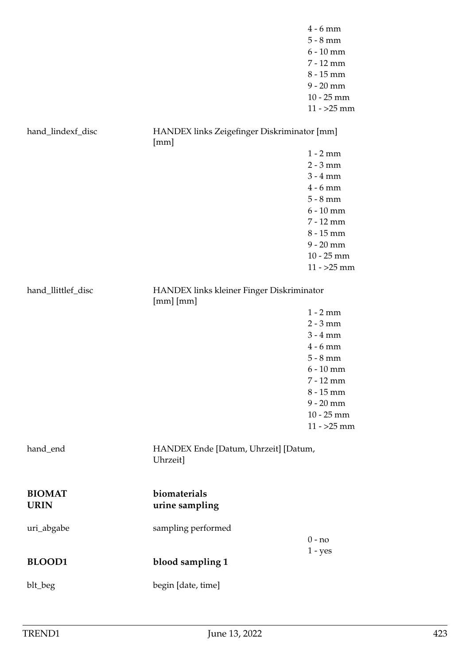|                              |                                                          | $4 - 6$ mm<br>$5 - 8$ mm<br>$6 - 10$ mm<br>7 - 12 mm<br>$8 - 15$ mm<br>$9 - 20$ mm<br>$10 - 25$ mm<br>$11 - 25$ mm                                                         |
|------------------------------|----------------------------------------------------------|----------------------------------------------------------------------------------------------------------------------------------------------------------------------------|
| hand_lindexf_disc            | HANDEX links Zeigefinger Diskriminator [mm]              |                                                                                                                                                                            |
|                              | [mm]                                                     | $1 - 2$ mm<br>$2 - 3$ mm<br>$3 - 4$ mm<br>$4 - 6$ mm<br>$5 - 8$ mm<br>$6 - 10$ mm<br>7 - 12 mm<br>8 - 15 mm<br>$9 - 20$ mm<br>$10 - 25$ mm                                 |
| hand_llittlef_disc           | HANDEX links kleiner Finger Diskriminator<br>$[mm]$ [mm] | $11 - 25$ mm<br>$1 - 2$ mm<br>$2 - 3$ mm<br>$3 - 4$ mm<br>$4 - 6$ mm<br>$5 - 8$ mm<br>$6 - 10$ mm<br>7 - 12 mm<br>8 - 15 mm<br>$9 - 20$ mm<br>$10 - 25$ mm<br>$11 - 25$ mm |
| hand_end                     | HANDEX Ende [Datum, Uhrzeit] [Datum,<br>Uhrzeit]         |                                                                                                                                                                            |
| <b>BIOMAT</b><br><b>URIN</b> | biomaterials<br>urine sampling                           |                                                                                                                                                                            |
| uri_abgabe                   | sampling performed                                       | $0 - no$                                                                                                                                                                   |
| <b>BLOOD1</b>                | blood sampling 1                                         | $1 - yes$                                                                                                                                                                  |
| blt_beg                      | begin [date, time]                                       |                                                                                                                                                                            |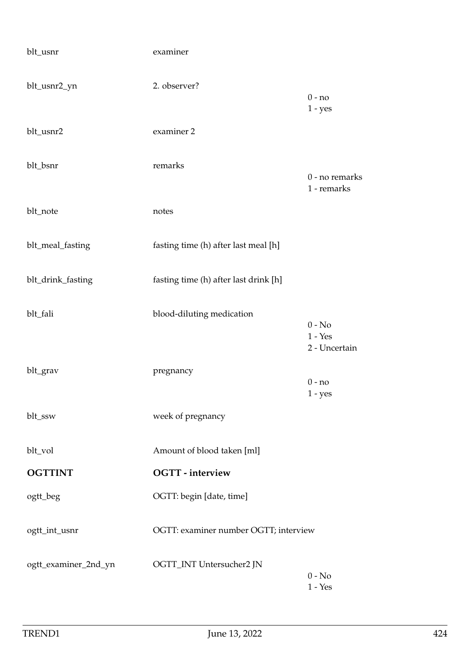| blt_usnr             | examiner                              |                                        |
|----------------------|---------------------------------------|----------------------------------------|
| blt_usnr2_yn         | 2. observer?                          | $0 - no$<br>$1 - yes$                  |
| blt_usnr2            | examiner 2                            |                                        |
| blt_bsnr             | remarks                               | 0 - no remarks<br>1 - remarks          |
| blt_note             | notes                                 |                                        |
| blt_meal_fasting     | fasting time (h) after last meal [h]  |                                        |
| blt_drink_fasting    | fasting time (h) after last drink [h] |                                        |
| blt_fali             | blood-diluting medication             | $0 - No$<br>$1 - Yes$<br>2 - Uncertain |
| blt_grav             | pregnancy                             | $0 - no$<br>$1 - yes$                  |
| blt_ssw              | week of pregnancy                     |                                        |
| blt_vol              | Amount of blood taken [ml]            |                                        |
| <b>OGTTINT</b>       | <b>OGTT</b> - interview               |                                        |
| ogtt_beg             | OGTT: begin [date, time]              |                                        |
| ogtt_int_usnr        | OGTT: examiner number OGTT; interview |                                        |
| ogtt_examiner_2nd_yn | OGTT_INT Untersucher2 JN              | $0 - No$<br>$1 - Yes$                  |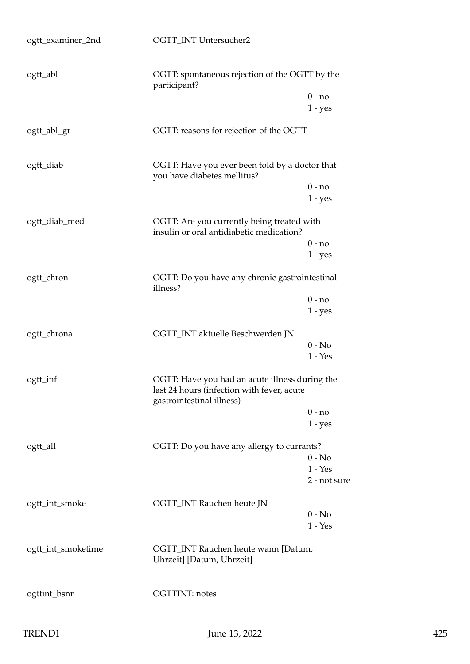| ogtt_examiner_2nd  | OGTT_INT Untersucher2                                                                                                     |              |
|--------------------|---------------------------------------------------------------------------------------------------------------------------|--------------|
| ogtt_abl           | OGTT: spontaneous rejection of the OGTT by the<br>participant?                                                            |              |
|                    | $0 - no$                                                                                                                  |              |
|                    | $1 - yes$                                                                                                                 |              |
| ogtt_abl_gr        | OGTT: reasons for rejection of the OGTT                                                                                   |              |
| ogtt_diab          | OGTT: Have you ever been told by a doctor that<br>you have diabetes mellitus?                                             |              |
|                    | $0 - no$                                                                                                                  |              |
|                    | $1 - yes$                                                                                                                 |              |
| ogtt_diab_med      | OGTT: Are you currently being treated with<br>insulin or oral antidiabetic medication?                                    |              |
|                    | $0 - no$                                                                                                                  |              |
|                    | $1 - yes$                                                                                                                 |              |
| ogtt_chron         | OGTT: Do you have any chronic gastrointestinal<br>illness?                                                                |              |
|                    | $0 - no$                                                                                                                  |              |
|                    | $1 - yes$                                                                                                                 |              |
| ogtt_chrona        | OGTT_INT aktuelle Beschwerden JN                                                                                          |              |
|                    | $0 - No$                                                                                                                  |              |
|                    | $1 - Yes$                                                                                                                 |              |
| ogtt_inf           | OGTT: Have you had an acute illness during the<br>last 24 hours (infection with fever, acute<br>gastrointestinal illness) |              |
|                    | $0 - no$                                                                                                                  |              |
|                    | $1 - yes$                                                                                                                 |              |
| ogtt_all           | OGTT: Do you have any allergy to currants?                                                                                |              |
|                    | $0 - No$                                                                                                                  |              |
|                    | $1 - Yes$                                                                                                                 |              |
|                    |                                                                                                                           | 2 - not sure |
| ogtt_int_smoke     | OGTT_INT Rauchen heute JN                                                                                                 |              |
|                    | $0 - No$                                                                                                                  |              |
|                    | $1 - Yes$                                                                                                                 |              |
| ogtt_int_smoketime | OGTT_INT Rauchen heute wann [Datum,<br>Uhrzeit] [Datum, Uhrzeit]                                                          |              |
| ogttint_bsnr       | <b>OGTTINT: notes</b>                                                                                                     |              |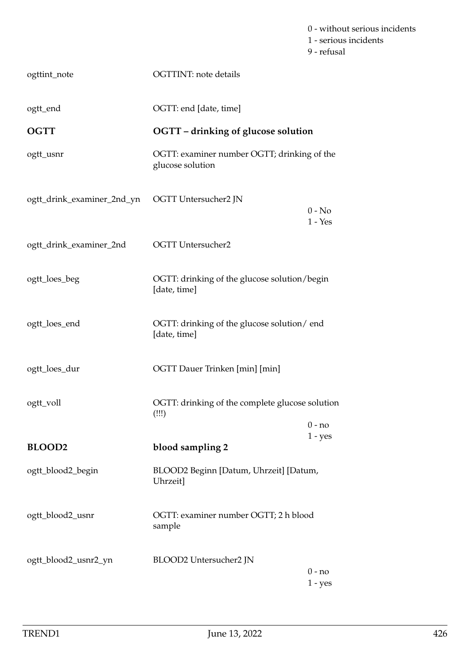0 - without serious incidents 1 - serious incidents 9 - refusal

| ogttint_note               | <b>OGTTINT:</b> note details                                    |                       |
|----------------------------|-----------------------------------------------------------------|-----------------------|
| ogtt_end                   | OGTT: end [date, time]                                          |                       |
| <b>OGTT</b>                | OGTT - drinking of glucose solution                             |                       |
| ogtt_usnr                  | OGTT: examiner number OGTT; drinking of the<br>glucose solution |                       |
| ogtt_drink_examiner_2nd_yn | OGTT Untersucher2 JN                                            | $0 - No$<br>$1 - Yes$ |
| ogtt_drink_examiner_2nd    | <b>OGTT</b> Untersucher2                                        |                       |
| ogtt_loes_beg              | OGTT: drinking of the glucose solution/begin<br>[date, time]    |                       |
| ogtt_loes_end              | OGTT: drinking of the glucose solution/end<br>[date, time]      |                       |
| ogtt_loes_dur              | OGTT Dauer Trinken [min] [min]                                  |                       |
| ogtt_voll                  | OGTT: drinking of the complete glucose solution<br>(!!!)        |                       |
|                            |                                                                 | $0 - no$<br>$1 - yes$ |
| <b>BLOOD2</b>              | blood sampling 2                                                |                       |
| ogtt_blood2_begin          | BLOOD2 Beginn [Datum, Uhrzeit] [Datum,<br>Uhrzeit]              |                       |
| ogtt_blood2_usnr           | OGTT: examiner number OGTT; 2 h blood<br>sample                 |                       |
| ogtt_blood2_usnr2_yn       | BLOOD2 Untersucher2 JN                                          | 0 - no<br>$1 - yes$   |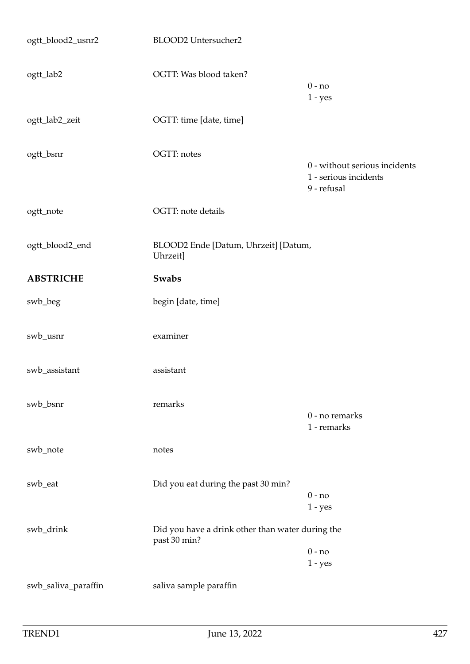| ogtt_blood2_usnr2   | <b>BLOOD2</b> Untersucher2                                       |                                                                       |
|---------------------|------------------------------------------------------------------|-----------------------------------------------------------------------|
| ogtt_lab2           | OGTT: Was blood taken?                                           | $0 - no$<br>$1 - yes$                                                 |
| ogtt_lab2_zeit      | OGTT: time [date, time]                                          |                                                                       |
| ogtt_bsnr           | OGTT: notes                                                      | 0 - without serious incidents<br>1 - serious incidents<br>9 - refusal |
| ogtt_note           | OGTT: note details                                               |                                                                       |
| ogtt_blood2_end     | BLOOD2 Ende [Datum, Uhrzeit] [Datum,<br>Uhrzeit]                 |                                                                       |
| <b>ABSTRICHE</b>    | <b>Swabs</b>                                                     |                                                                       |
| swb_beg             | begin [date, time]                                               |                                                                       |
| swb_usnr            | examiner                                                         |                                                                       |
| swb_assistant       | assistant                                                        |                                                                       |
| swb_bsnr            | remarks                                                          | 0 - no remarks<br>1 - remarks                                         |
| swb_note            | notes                                                            |                                                                       |
| swb_eat             | Did you eat during the past 30 min?                              | $0 - no$<br>$1 - yes$                                                 |
| swb_drink           | Did you have a drink other than water during the<br>past 30 min? | $0 - no$<br>$1 - yes$                                                 |
| swb_saliva_paraffin | saliva sample paraffin                                           |                                                                       |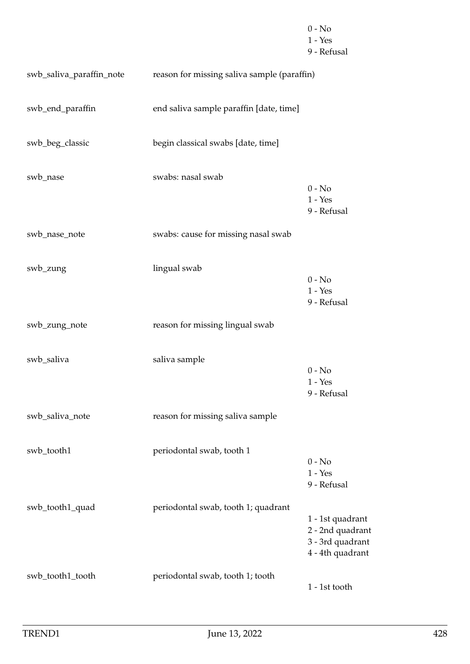|                          |                                             | $0 - No$<br>$1 - Yes$<br>9 - Refusal                                         |
|--------------------------|---------------------------------------------|------------------------------------------------------------------------------|
| swb_saliva_paraffin_note | reason for missing saliva sample (paraffin) |                                                                              |
| swb_end_paraffin         | end saliva sample paraffin [date, time]     |                                                                              |
| swb_beg_classic          | begin classical swabs [date, time]          |                                                                              |
| swb_nase                 | swabs: nasal swab                           | $0 - No$<br>$1 - Yes$<br>9 - Refusal                                         |
| swb_nase_note            | swabs: cause for missing nasal swab         |                                                                              |
| swb_zung                 | lingual swab                                | $0 - No$<br>$1 - Yes$<br>9 - Refusal                                         |
| swb_zung_note            | reason for missing lingual swab             |                                                                              |
| swb_saliva               | saliva sample                               | $0 - No$<br>$1 - Yes$<br>9 - Refusal                                         |
| swb_saliva_note          | reason for missing saliva sample            |                                                                              |
| swb_tooth1               | periodontal swab, tooth 1                   | $0 - No$<br>$1 - Yes$<br>9 - Refusal                                         |
| swb_tooth1_quad          | periodontal swab, tooth 1; quadrant         | 1 - 1st quadrant<br>2 - 2nd quadrant<br>3 - 3rd quadrant<br>4 - 4th quadrant |
| swb_tooth1_tooth         | periodontal swab, tooth 1; tooth            | 1 - 1st tooth                                                                |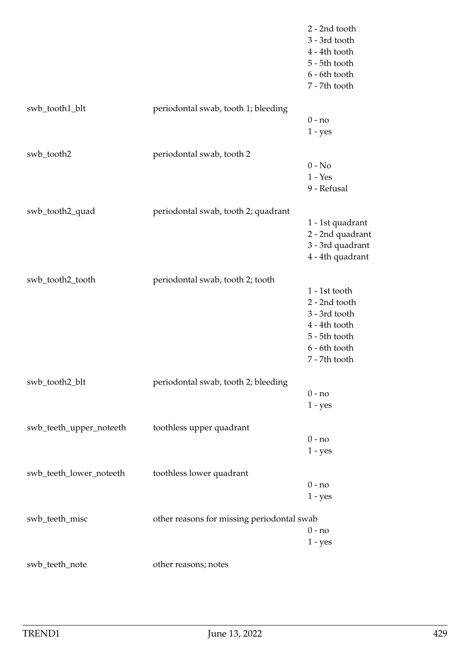|                         |                                            | 2 - 2nd tooth<br>3 - 3rd tooth<br>4 - 4th tooth<br>5 - 5th tooth<br>6 - 6th tooth<br>7 - 7th tooth |
|-------------------------|--------------------------------------------|----------------------------------------------------------------------------------------------------|
| swb_tooth1_blt          | periodontal swab, tooth 1; bleeding        |                                                                                                    |
|                         |                                            | $0 - no$<br>$1 - yes$                                                                              |
| swb_tooth2              | periodontal swab, tooth 2                  |                                                                                                    |
|                         |                                            | $0 - No$                                                                                           |
|                         |                                            | $1 - Yes$                                                                                          |
|                         |                                            | 9 - Refusal                                                                                        |
| swb_tooth2_quad         | periodontal swab, tooth 2; quadrant        |                                                                                                    |
|                         |                                            | 1 - 1st quadrant                                                                                   |
|                         |                                            | 2 - 2nd quadrant                                                                                   |
|                         |                                            | 3 - 3rd quadrant                                                                                   |
|                         |                                            | 4 - 4th quadrant                                                                                   |
| swb_tooth2_tooth        | periodontal swab, tooth 2; tooth           |                                                                                                    |
|                         |                                            | 1 - 1st tooth                                                                                      |
|                         |                                            | 2 - 2nd tooth                                                                                      |
|                         |                                            | 3 - 3rd tooth                                                                                      |
|                         |                                            | 4 - 4th tooth                                                                                      |
|                         |                                            | 5 - 5th tooth                                                                                      |
|                         |                                            | 6 - 6th tooth                                                                                      |
|                         |                                            | 7 - 7th tooth                                                                                      |
| swb_tooth2_blt          | periodontal swab, tooth 2; bleeding        |                                                                                                    |
|                         |                                            | $0 - no$                                                                                           |
|                         |                                            | $1 - yes$                                                                                          |
| swb_teeth_upper_noteeth | toothless upper quadrant                   |                                                                                                    |
|                         |                                            | $0 - no$                                                                                           |
|                         |                                            | $1 - yes$                                                                                          |
| swb_teeth_lower_noteeth | toothless lower quadrant                   |                                                                                                    |
|                         |                                            | $0 - no$                                                                                           |
|                         |                                            | $1 - yes$                                                                                          |
| swb_teeth_misc          | other reasons for missing periodontal swab |                                                                                                    |
|                         |                                            | $0 - no$                                                                                           |
|                         |                                            | $1 - yes$                                                                                          |
| swb_teeth_note          | other reasons; notes                       |                                                                                                    |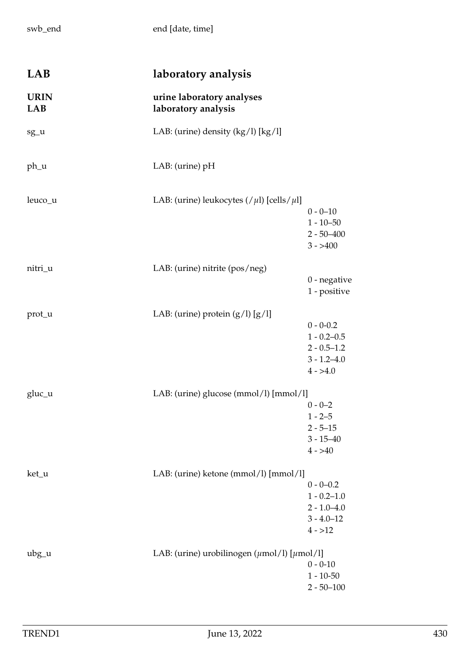swb\_end end [date, time]

| LAB                | laboratory analysis                                                   |                                                                                       |
|--------------------|-----------------------------------------------------------------------|---------------------------------------------------------------------------------------|
| <b>URIN</b><br>LAB | urine laboratory analyses<br>laboratory analysis                      |                                                                                       |
| sg_u               | LAB: (urine) density (kg/l) [kg/l]                                    |                                                                                       |
| ph_u               | LAB: (urine) pH                                                       |                                                                                       |
| leuco_u            | LAB: (urine) leukocytes $//\mu$ l) [cells/ $\mu$ l]                   | $0 - 0 - 10$<br>$1 - 10 - 50$<br>$2 - 50 - 400$<br>$3 - > 400$                        |
| nitri_u            | LAB: (urine) nitrite (pos/neg)                                        | $0$ - negative<br>1 - positive                                                        |
| prot_u             | LAB: (urine) protein $(g/l)$ $[g/l]$                                  | $0 - 0 - 0.2$<br>$1 - 0.2 - 0.5$<br>$2 - 0.5 - 1.2$<br>$3 - 1.2 - 4.0$<br>$4 - > 4.0$ |
| gluc_u             | LAB: (urine) glucose (mmol/l) [mmol/l]                                | $0 - 0 - 2$<br>$1 - 2 - 5$<br>$2 - 5 - 15$<br>$3 - 15 - 40$<br>$4 - > 40$             |
| ket_u              | LAB: (urine) ketone (mmol/l) [mmol/l]                                 | $0 - 0 - 0.2$<br>$1 - 0.2 - 1.0$<br>$2 - 1.0 - 4.0$<br>$3 - 4.0 - 12$<br>$4 - > 12$   |
| $ubg_u$            | LAB: (urine) urobilinogen $(\mu \text{mol/l})$ [ $\mu \text{mol/l}$ ] | $0 - 0 - 10$<br>$1 - 10 - 50$<br>$2 - 50 - 100$                                       |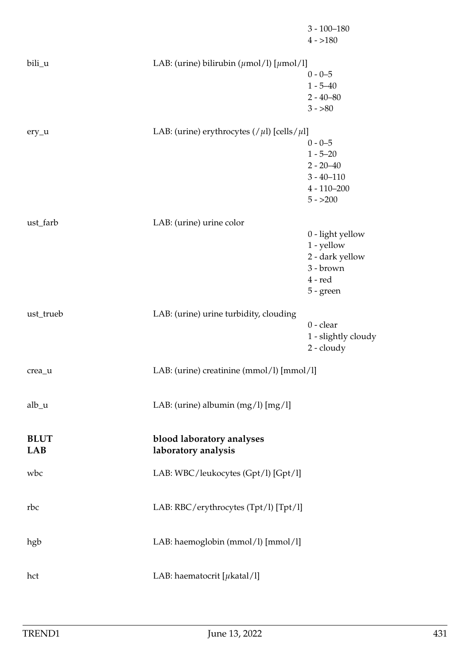|                           |                                                                    | $3 - 100 - 180$<br>$4 - 180$                                                                   |
|---------------------------|--------------------------------------------------------------------|------------------------------------------------------------------------------------------------|
| bili_u                    | LAB: (urine) bilirubin $(\mu \text{mol/l})$ [ $\mu \text{mol/l}$ ] | $0 - 0 - 5$<br>$1 - 5 - 40$<br>$2 - 40 - 80$<br>$3 - 80$                                       |
| $ery_u$                   | LAB: (urine) erythrocytes $//\mu$ l) [cells/ $\mu$ l]              | $0 - 0 - 5$<br>$1 - 5 - 20$<br>$2 - 20 - 40$<br>$3 - 40 - 110$<br>$4 - 110 - 200$<br>$5 - 200$ |
| ust_farb                  | LAB: (urine) urine color                                           | 0 - light yellow<br>$1$ - yellow<br>2 - dark yellow<br>3 - brown<br>$4 - red$<br>$5 - green$   |
| ust_trueb                 | LAB: (urine) urine turbidity, clouding                             | $0 - clear$<br>1 - slightly cloudy<br>$2 -$ cloudy                                             |
| crea_u                    | LAB: (urine) creatinine (mmol/l) [mmol/l]                          |                                                                                                |
| alb <sub>u</sub>          | LAB: (urine) albumin $(mg/l)$ [mg/l]                               |                                                                                                |
| <b>BLUT</b><br><b>LAB</b> | blood laboratory analyses<br>laboratory analysis                   |                                                                                                |
| wbc                       | LAB: WBC/leukocytes (Gpt/l) [Gpt/l]                                |                                                                                                |
| rbc                       | LAB: RBC/erythrocytes (Tpt/l) [Tpt/l]                              |                                                                                                |
| hgb                       | LAB: haemoglobin (mmol/l) [mmol/l]                                 |                                                                                                |
| hct                       | LAB: haematocrit [ $\mu$ katal/l]                                  |                                                                                                |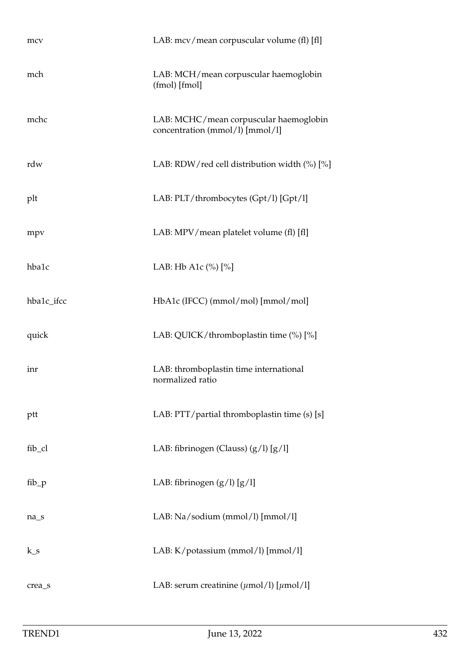| mcv        | LAB: mcv/mean corpuscular volume (fl) [fl]                                |
|------------|---------------------------------------------------------------------------|
| mch        | LAB: MCH/mean corpuscular haemoglobin<br>(fmol) [fmol]                    |
| mchc       | LAB: MCHC/mean corpuscular haemoglobin<br>concentration (mmol/l) [mmol/l] |
| rdw        | LAB: RDW/red cell distribution width (%) [%]                              |
| plt        | LAB: PLT/thrombocytes (Gpt/l) [Gpt/l]                                     |
| mpv        | LAB: MPV/mean platelet volume (fl) [fl]                                   |
| hba1c      | LAB: Hb A1c $(\%)$ $[\%]$                                                 |
| hba1c_ifcc | HbA1c (IFCC) (mmol/mol) [mmol/mol]                                        |
| quick      | LAB: QUICK/thromboplastin time (%) [%]                                    |
| inr        | LAB: thromboplastin time international<br>normalized ratio                |
| ptt        | LAB: PTT/partial thromboplastin time (s) [s]                              |
| fib_cl     | LAB: fibrinogen (Clauss) $(g/l)$ [ $g/l$ ]                                |
| $fib_p$    | LAB: fibrinogen $(g/l)$ [g/l]                                             |
| $na_s$     | LAB: Na/sodium (mmol/l) [mmol/l]                                          |
| $k_s$      | LAB: K/potassium (mmol/l) [mmol/l]                                        |
| crea_s     | LAB: serum creatinine $(\mu \text{mol/l})$ [ $\mu \text{mol/l}$ ]         |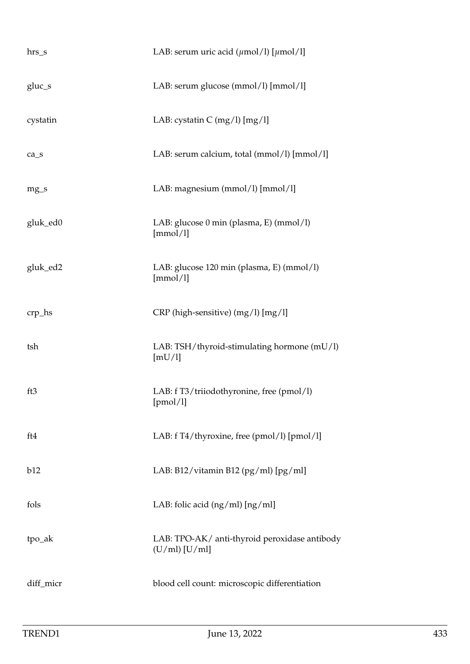| $hrs_s$   | LAB: serum uric acid ( $\mu$ mol/l) [ $\mu$ mol/l]               |
|-----------|------------------------------------------------------------------|
| $gluc_s$  | LAB: serum glucose (mmol/l) [mmol/l]                             |
| cystatin  | LAB: cystatin $C \frac{mg}{l}$ [mg/l]                            |
| $ca_s$    | LAB: serum calcium, total (mmol/l) [mmol/l]                      |
| $mg_{S}$  | LAB: magnesium (mmol/l) [mmol/l]                                 |
| gluk_ed0  | LAB: glucose 0 min (plasma, E) (mmol/l)<br>[mmol/l]              |
| gluk_ed2  | LAB: glucose 120 min (plasma, E) (mmol/l)<br>[mmol/l]            |
| crp_hs    | CRP (high-sensitive) (mg/l) [mg/l]                               |
| tsh       | LAB: TSH/thyroid-stimulating hormone (mU/l)<br>[mU/l]            |
| ft3       | LAB: f T3/triiodothyronine, free (pmol/l)<br>[pmol/l]            |
| ft4       | LAB: f T4/thyroxine, free (pmol/l) [pmol/l]                      |
| b12       | LAB: B12/vitamin B12 (pg/ml) [pg/ml]                             |
| fols      | LAB: folic acid $(ng/ml)$ $[ng/ml]$                              |
| tpo_ak    | LAB: TPO-AK/ anti-thyroid peroxidase antibody<br>$(U/ml)$ [U/ml] |
| diff_micr | blood cell count: microscopic differentiation                    |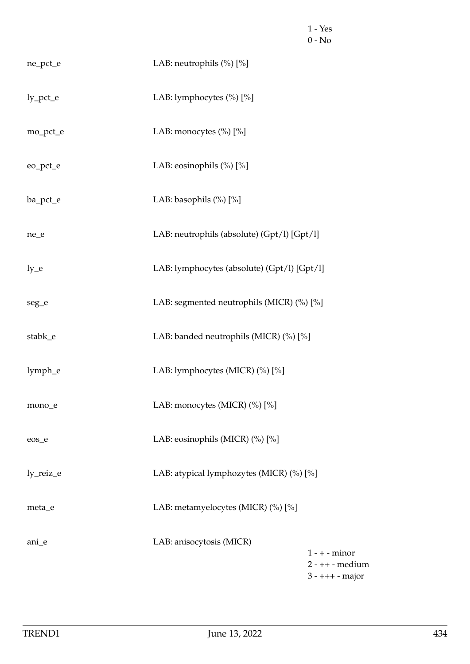|           |                                             | $1 - Yes$<br>$0 - No$                                      |
|-----------|---------------------------------------------|------------------------------------------------------------|
| ne_pct_e  | LAB: neutrophils (%) [%]                    |                                                            |
| ly_pct_e  | LAB: lymphocytes (%) [%]                    |                                                            |
| mo_pct_e  | LAB: monocytes (%) [%]                      |                                                            |
| eo_pct_e  | LAB: eosinophils $(\%) [\%]$                |                                                            |
| ba_pct_e  | LAB: basophils (%) [%]                      |                                                            |
| ne_e      | LAB: neutrophils (absolute) (Gpt/l) [Gpt/l] |                                                            |
| $ly_e$    | LAB: lymphocytes (absolute) (Gpt/l) [Gpt/l] |                                                            |
| seg_e     | LAB: segmented neutrophils (MICR) (%) [%]   |                                                            |
| stabk_e   | LAB: banded neutrophils (MICR) (%) [%]      |                                                            |
| lymph_e   | LAB: lymphocytes (MICR) (%) [%]             |                                                            |
| mono_e    | LAB: monocytes (MICR) (%) [%]               |                                                            |
| eos_e     | LAB: eosinophils (MICR) (%) [%]             |                                                            |
| ly_reiz_e | LAB: atypical lymphozytes (MICR) (%) [%]    |                                                            |
| meta_e    | LAB: metamyelocytes (MICR) (%) [%]          |                                                            |
| ani_e     | LAB: anisocytosis (MICR)                    | $1 - + -$ minor<br>$2 - ++$ - medium<br>$3 - ++ + - major$ |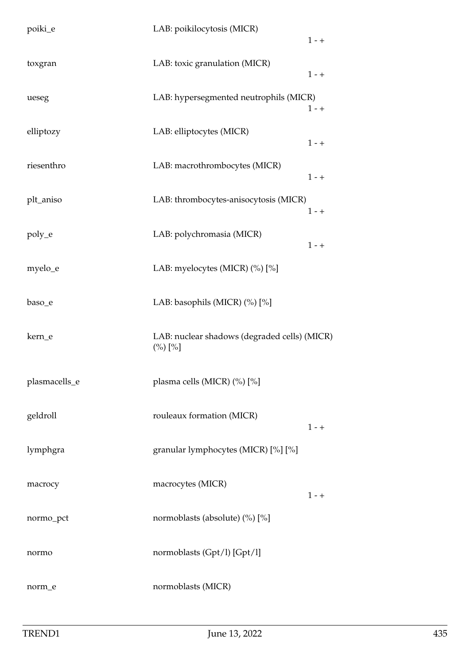| poiki_e       | LAB: poikilocytosis (MICR)                                  | $1 - +$ |
|---------------|-------------------------------------------------------------|---------|
| toxgran       | LAB: toxic granulation (MICR)                               | $1 - +$ |
| ueseg         | LAB: hypersegmented neutrophils (MICR)                      | $1 - +$ |
| elliptozy     | LAB: elliptocytes (MICR)                                    | $1 - +$ |
| riesenthro    | LAB: macrothrombocytes (MICR)                               | $1 - +$ |
| plt_aniso     | LAB: thrombocytes-anisocytosis (MICR)                       | $1 - +$ |
| poly_e        | LAB: polychromasia (MICR)                                   | $1 - +$ |
| myelo_e       | LAB: myelocytes (MICR) (%) [%]                              |         |
| baso_e        | LAB: basophils (MICR) (%) [%]                               |         |
| kern_e        | LAB: nuclear shadows (degraded cells) (MICR)<br>$(\%) [\%]$ |         |
| plasmacells_e | plasma cells (MICR) (%) [%]                                 |         |
| geldroll      | rouleaux formation (MICR)                                   | $1 - +$ |
| lymphgra      | granular lymphocytes (MICR) [%] [%]                         |         |
| macrocy       | macrocytes (MICR)                                           | $1 - +$ |
| normo_pct     | normoblasts (absolute) (%) [%]                              |         |
| normo         | normoblasts (Gpt/l) [Gpt/l]                                 |         |
|               |                                                             |         |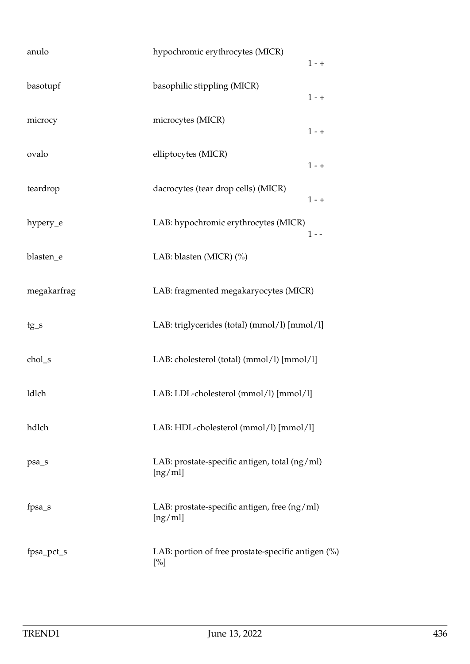| anulo       | hypochromic erythrocytes (MICR)<br>$1 - +$                   |
|-------------|--------------------------------------------------------------|
| basotupf    | basophilic stippling (MICR)<br>$1 - +$                       |
| microcy     | microcytes (MICR)<br>$1 - +$                                 |
| ovalo       | elliptocytes (MICR)<br>$1 - +$                               |
| teardrop    | dacrocytes (tear drop cells) (MICR)<br>$1 - +$               |
| hypery_e    | LAB: hypochromic erythrocytes (MICR)<br>$1 - -$              |
| blasten_e   | LAB: blasten (MICR) (%)                                      |
| megakarfrag | LAB: fragmented megakaryocytes (MICR)                        |
| $tg_s$      | LAB: triglycerides (total) (mmol/l) [mmol/l]                 |
| chol_s      | LAB: cholesterol (total) (mmol/l) [mmol/l]                   |
| ldlch       | LAB: LDL-cholesterol (mmol/l) [mmol/l]                       |
| hdlch       | LAB: HDL-cholesterol (mmol/l) [mmol/l]                       |
| psa_s       | LAB: prostate-specific antigen, total (ng/ml)<br>[ng/ml]     |
| fpsa_s      | LAB: prostate-specific antigen, free (ng/ml)<br>[ng/ml]      |
| fpsa_pct_s  | LAB: portion of free prostate-specific antigen (%)<br>$[\%]$ |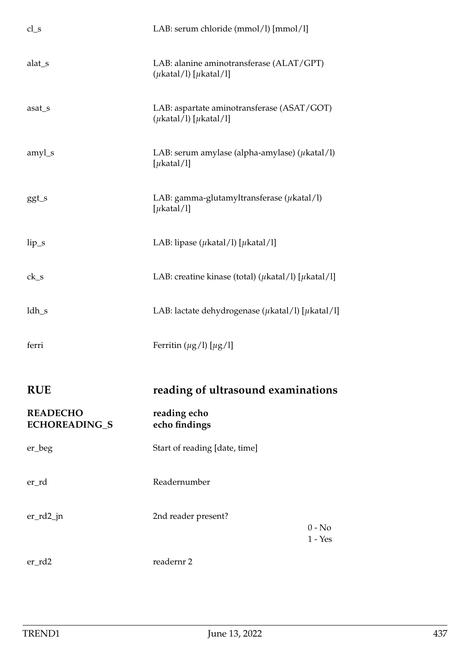| $cl_s$                                  | LAB: serum chloride (mmol/l) [mmol/l]                                             |                       |
|-----------------------------------------|-----------------------------------------------------------------------------------|-----------------------|
| alat_s                                  | LAB: alanine aminotransferase (ALAT/GPT)<br>$(\mu$ katal/l) [ $\mu$ katal/l]      |                       |
| asat_s                                  | LAB: aspartate aminotransferase (ASAT/GOT)<br>$(\mu$ katal/l $)$ [ $\mu$ katal/l] |                       |
| amyl_s                                  | LAB: serum amylase (alpha-amylase) ( $\mu$ katal/l)<br>[ $\mu$ katal/l]           |                       |
| ggt_s                                   | LAB: gamma-glutamyltransferase $(\mu$ katal/l)<br>[ $\mu$ katal/l]                |                       |
| $lip_s$                                 | LAB: lipase ( $\mu$ katal/l) [ $\mu$ katal/l]                                     |                       |
| $ck_s$                                  | LAB: creatine kinase (total) ( $\mu$ katal/l) [ $\mu$ katal/l]                    |                       |
| $ldh_s$                                 | LAB: lactate dehydrogenase ( $\mu$ katal/l) [ $\mu$ katal/l]                      |                       |
| ferri                                   | Ferritin $(\mu g/l) [\mu g/l]$                                                    |                       |
| <b>RUE</b>                              | reading of ultrasound examinations                                                |                       |
| <b>READECHO</b><br><b>ECHOREADING_S</b> | reading echo<br>echo findings                                                     |                       |
| er_beg                                  | Start of reading [date, time]                                                     |                       |
| er_rd                                   | Readernumber                                                                      |                       |
| $er_r d2$ _jn                           | 2nd reader present?                                                               | $0 - No$<br>$1 - Yes$ |
| $er_r d2$                               | readernr 2                                                                        |                       |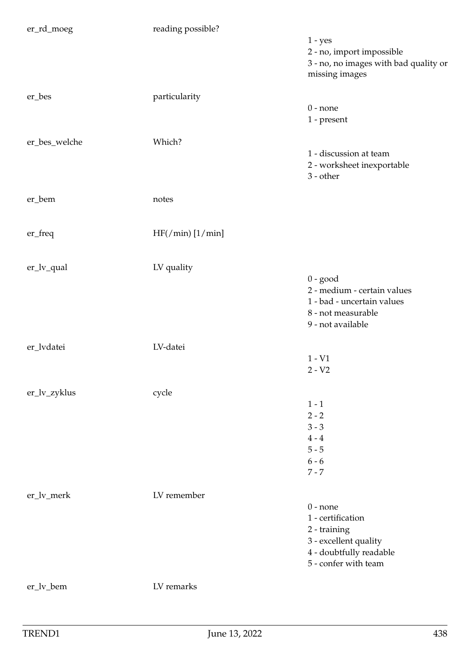| er_rd_moeg    | reading possible?    |                                       |
|---------------|----------------------|---------------------------------------|
|               |                      | $1 - yes$                             |
|               |                      | 2 - no, import impossible             |
|               |                      | 3 - no, no images with bad quality or |
|               |                      | missing images                        |
| er_bes        | particularity        |                                       |
|               |                      | $0$ - none                            |
|               |                      | 1 - present                           |
|               |                      |                                       |
| er_bes_welche | Which?               |                                       |
|               |                      | 1 - discussion at team                |
|               |                      | 2 - worksheet inexportable            |
|               |                      | $3 - other$                           |
| er_bem        | notes                |                                       |
|               |                      |                                       |
|               |                      |                                       |
| er_freq       | HF( / min) [1 / min] |                                       |
|               |                      |                                       |
| er_lv_qual    | LV quality           |                                       |
|               |                      | $0 - good$                            |
|               |                      | 2 - medium - certain values           |
|               |                      | 1 - bad - uncertain values            |
|               |                      | 8 - not measurable                    |
|               |                      | 9 - not available                     |
| er_lvdatei    | LV-datei             |                                       |
|               |                      | $1 - V1$                              |
|               |                      | $2 - V2$                              |
|               |                      |                                       |
| er_lv_zyklus  | cycle                |                                       |
|               |                      | $1 - 1$<br>$2 - 2$                    |
|               |                      | $3 - 3$                               |
|               |                      | $4 - 4$                               |
|               |                      | $5 - 5$                               |
|               |                      | $6 - 6$                               |
|               |                      | $7 - 7$                               |
|               |                      |                                       |
| er_lv_merk    | LV remember          |                                       |
|               |                      | $0$ - none                            |
|               |                      | 1 - certification                     |
|               |                      | 2 - training                          |
|               |                      | 3 - excellent quality                 |
|               |                      | 4 - doubtfully readable               |
|               |                      | 5 - confer with team                  |
| er_lv_bem     | LV remarks           |                                       |
|               |                      |                                       |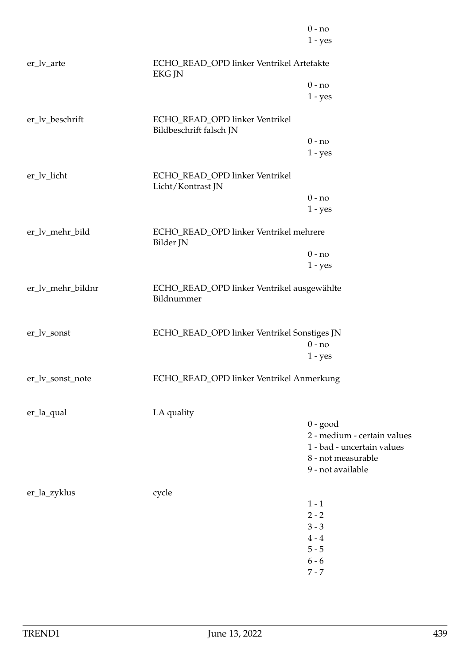|                   |                                                           | $0 - no$<br>$1 - yes$       |
|-------------------|-----------------------------------------------------------|-----------------------------|
|                   |                                                           |                             |
| er_lv_arte        | ECHO_READ_OPD linker Ventrikel Artefakte<br><b>EKG JN</b> |                             |
|                   |                                                           | $0 - no$                    |
|                   |                                                           | $1 - yes$                   |
| er_lv_beschrift   | ECHO_READ_OPD linker Ventrikel<br>Bildbeschrift falsch JN |                             |
|                   |                                                           | $0 - no$                    |
|                   |                                                           | $1 - yes$                   |
| er_lv_licht       | ECHO_READ_OPD linker Ventrikel<br>Licht/Kontrast JN       |                             |
|                   |                                                           | $0 - no$                    |
|                   |                                                           | $1 - yes$                   |
| er_lv_mehr_bild   | ECHO_READ_OPD linker Ventrikel mehrere<br>Bilder JN       |                             |
|                   |                                                           | $0 - no$                    |
|                   |                                                           | $1 - yes$                   |
| er_lv_mehr_bildnr | ECHO_READ_OPD linker Ventrikel ausgewählte<br>Bildnummer  |                             |
| er_lv_sonst       | ECHO_READ_OPD linker Ventrikel Sonstiges JN               |                             |
|                   |                                                           | $0 - no$                    |
|                   |                                                           | $1 - yes$                   |
| er_lv_sonst_note  | ECHO_READ_OPD linker Ventrikel Anmerkung                  |                             |
| er_la_qual        | LA quality                                                |                             |
|                   |                                                           | $0 - good$                  |
|                   |                                                           | 2 - medium - certain values |
|                   |                                                           | 1 - bad - uncertain values  |
|                   |                                                           | 8 - not measurable          |
|                   |                                                           | 9 - not available           |
| er_la_zyklus      | cycle                                                     |                             |
|                   |                                                           | $1 - 1$                     |
|                   |                                                           | $2 - 2$                     |
|                   |                                                           | $3 - 3$                     |
|                   |                                                           | $4 - 4$                     |
|                   |                                                           | $5 - 5$                     |
|                   |                                                           | $6 - 6$                     |
|                   |                                                           | $7 - 7$                     |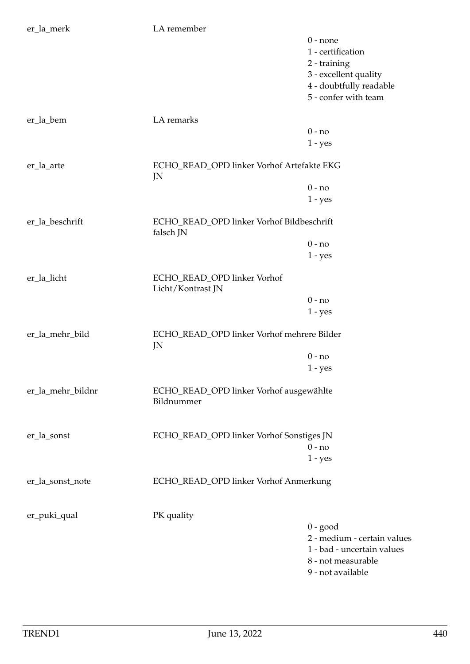| er_la_merk        | LA remember                                            |                             |
|-------------------|--------------------------------------------------------|-----------------------------|
|                   |                                                        | $0$ - none                  |
|                   |                                                        | 1 - certification           |
|                   |                                                        |                             |
|                   |                                                        | 2 - training                |
|                   |                                                        | 3 - excellent quality       |
|                   |                                                        | 4 - doubtfully readable     |
|                   |                                                        | 5 - confer with team        |
|                   |                                                        |                             |
| er_la_bem         | LA remarks                                             |                             |
|                   |                                                        | $0 - no$                    |
|                   |                                                        | $1 - yes$                   |
| er_la_arte        | ECHO_READ_OPD linker Vorhof Artefakte EKG              |                             |
|                   | JN                                                     |                             |
|                   |                                                        | $0 - no$                    |
|                   |                                                        | $1 - yes$                   |
|                   |                                                        |                             |
| er_la_beschrift   | ECHO_READ_OPD linker Vorhof Bildbeschrift<br>falsch JN |                             |
|                   |                                                        |                             |
|                   |                                                        | $0 - no$                    |
|                   |                                                        | $1 - yes$                   |
| er_la_licht       | ECHO_READ_OPD linker Vorhof                            |                             |
|                   | Licht/Kontrast JN                                      |                             |
|                   |                                                        | $0 - no$                    |
|                   |                                                        | $1 - yes$                   |
|                   |                                                        |                             |
| er_la_mehr_bild   | ECHO_READ_OPD linker Vorhof mehrere Bilder             |                             |
|                   | JN                                                     | $0 - no$                    |
|                   |                                                        |                             |
|                   |                                                        | $1 - yes$                   |
| er_la_mehr_bildnr | ECHO_READ_OPD linker Vorhof ausgewählte                |                             |
|                   | Bildnummer                                             |                             |
|                   |                                                        |                             |
|                   |                                                        |                             |
| er_la_sonst       | ECHO_READ_OPD linker Vorhof Sonstiges JN               |                             |
|                   |                                                        | $0 - no$                    |
|                   |                                                        | $1 - yes$                   |
| er_la_sonst_note  | ECHO_READ_OPD linker Vorhof Anmerkung                  |                             |
|                   |                                                        |                             |
|                   |                                                        |                             |
| er_puki_qual      | PK quality                                             |                             |
|                   |                                                        | $0 - good$                  |
|                   |                                                        | 2 - medium - certain values |
|                   |                                                        | 1 - bad - uncertain values  |
|                   |                                                        | 8 - not measurable          |
|                   |                                                        | 9 - not available           |
|                   |                                                        |                             |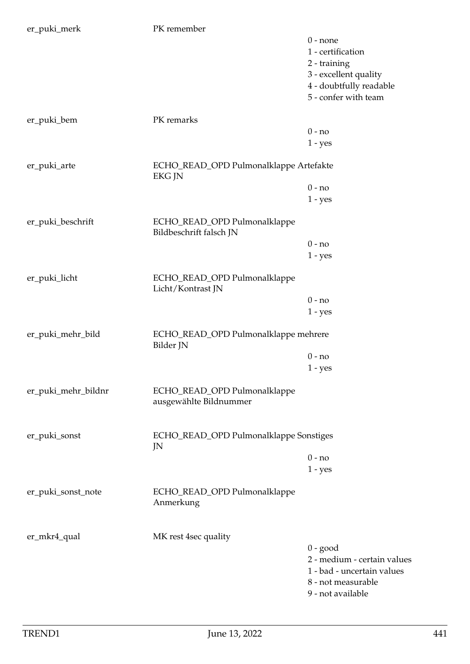| er_puki_merk        | PK remember                                             |                             |
|---------------------|---------------------------------------------------------|-----------------------------|
|                     |                                                         | $0$ - none                  |
|                     |                                                         | 1 - certification           |
|                     |                                                         |                             |
|                     |                                                         | 2 - training                |
|                     |                                                         | 3 - excellent quality       |
|                     |                                                         | 4 - doubtfully readable     |
|                     |                                                         | 5 - confer with team        |
|                     |                                                         |                             |
| er_puki_bem         | PK remarks                                              |                             |
|                     |                                                         | $0 - no$                    |
|                     |                                                         | $1 - yes$                   |
|                     |                                                         |                             |
| er_puki_arte        | ECHO_READ_OPD Pulmonalklappe Artefakte<br><b>EKG JN</b> |                             |
|                     |                                                         | $0 - no$                    |
|                     |                                                         | $1 - yes$                   |
| er_puki_beschrift   | ECHO_READ_OPD Pulmonalklappe<br>Bildbeschrift falsch JN |                             |
|                     |                                                         | $0 - no$                    |
|                     |                                                         |                             |
|                     |                                                         | $1 - yes$                   |
| er_puki_licht       | ECHO_READ_OPD Pulmonalklappe<br>Licht/Kontrast JN       |                             |
|                     |                                                         | $0 - no$                    |
|                     |                                                         | $1 - yes$                   |
|                     |                                                         |                             |
| er_puki_mehr_bild   | ECHO_READ_OPD Pulmonalklappe mehrere<br>Bilder JN       |                             |
|                     |                                                         | $0 - no$                    |
|                     |                                                         | $1 - yes$                   |
| er_puki_mehr_bildnr | ECHO_READ_OPD Pulmonalklappe<br>ausgewählte Bildnummer  |                             |
|                     |                                                         |                             |
| er_puki_sonst       | ECHO_READ_OPD Pulmonalklappe Sonstiges<br>JN            |                             |
|                     |                                                         | $0 - no$                    |
|                     |                                                         | $1 - yes$                   |
|                     |                                                         |                             |
| er_puki_sonst_note  | ECHO_READ_OPD Pulmonalklappe<br>Anmerkung               |                             |
| er_mkr4_qual        | MK rest 4sec quality                                    |                             |
|                     |                                                         | $0 - good$                  |
|                     |                                                         | 2 - medium - certain values |
|                     |                                                         |                             |
|                     |                                                         | 1 - bad - uncertain values  |
|                     |                                                         | 8 - not measurable          |
|                     |                                                         | 9 - not available           |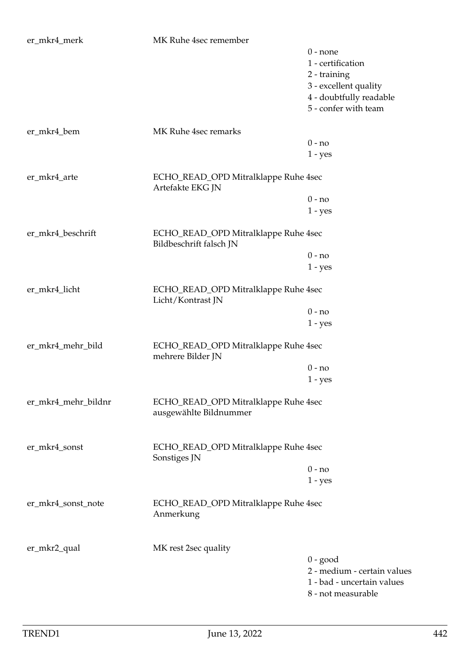| er_mkr4_merk        | MK Ruhe 4sec remember                                           |                                                                                                                             |
|---------------------|-----------------------------------------------------------------|-----------------------------------------------------------------------------------------------------------------------------|
|                     |                                                                 | $0$ - none<br>1 - certification<br>2 - training<br>3 - excellent quality<br>4 - doubtfully readable<br>5 - confer with team |
|                     |                                                                 |                                                                                                                             |
| er_mkr4_bem         | MK Ruhe 4sec remarks                                            |                                                                                                                             |
|                     |                                                                 | $0 - no$                                                                                                                    |
|                     |                                                                 | $1 - yes$                                                                                                                   |
| er_mkr4_arte        | ECHO_READ_OPD Mitralklappe Ruhe 4sec<br>Artefakte EKG JN        |                                                                                                                             |
|                     |                                                                 | $0 - no$                                                                                                                    |
|                     |                                                                 | $1 - yes$                                                                                                                   |
| er_mkr4_beschrift   | ECHO_READ_OPD Mitralklappe Ruhe 4sec<br>Bildbeschrift falsch JN |                                                                                                                             |
|                     |                                                                 | $0 - no$                                                                                                                    |
|                     |                                                                 | $1 - yes$                                                                                                                   |
| er_mkr4_licht       | ECHO_READ_OPD Mitralklappe Ruhe 4sec<br>Licht/Kontrast JN       |                                                                                                                             |
|                     |                                                                 | $0 - no$                                                                                                                    |
|                     |                                                                 | $1 - yes$                                                                                                                   |
| er_mkr4_mehr_bild   | ECHO_READ_OPD Mitralklappe Ruhe 4sec<br>mehrere Bilder JN       |                                                                                                                             |
|                     |                                                                 | $0 - no$                                                                                                                    |
|                     |                                                                 | $1 - yes$                                                                                                                   |
| er_mkr4_mehr_bildnr | ECHO_READ_OPD Mitralklappe Ruhe 4sec<br>ausgewählte Bildnummer  |                                                                                                                             |
| er_mkr4_sonst       | ECHO_READ_OPD Mitralklappe Ruhe 4sec<br>Sonstiges JN            |                                                                                                                             |
|                     |                                                                 | $0 - no$                                                                                                                    |
|                     |                                                                 | $1 - yes$                                                                                                                   |
| er_mkr4_sonst_note  | ECHO_READ_OPD Mitralklappe Ruhe 4sec<br>Anmerkung               |                                                                                                                             |
|                     |                                                                 |                                                                                                                             |
| er_mkr2_qual        | MK rest 2sec quality                                            | $0 - good$<br>2 - medium - certain values<br>1 - bad - uncertain values<br>8 - not measurable                               |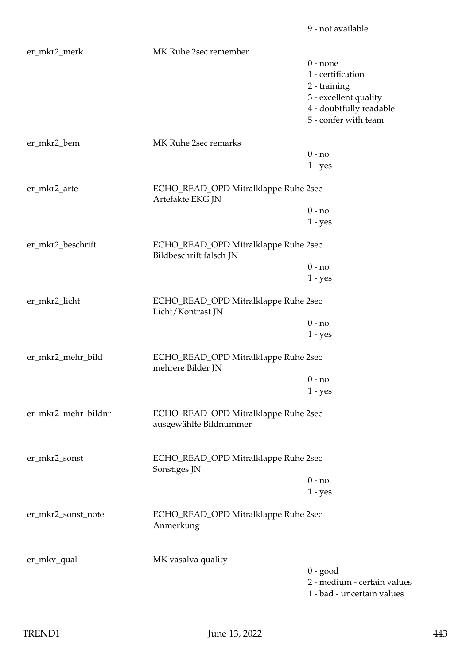| er_mkr2_merk        | MK Ruhe 2sec remember                                           |                                 |
|---------------------|-----------------------------------------------------------------|---------------------------------|
|                     |                                                                 | $0$ - none<br>1 - certification |
|                     |                                                                 | 2 - training                    |
|                     |                                                                 | 3 - excellent quality           |
|                     |                                                                 | 4 - doubtfully readable         |
|                     |                                                                 | 5 - confer with team            |
| er_mkr2_bem         | MK Ruhe 2sec remarks                                            |                                 |
|                     |                                                                 | $0 - no$                        |
|                     |                                                                 | $1 - yes$                       |
| er_mkr2_arte        | ECHO_READ_OPD Mitralklappe Ruhe 2sec<br>Artefakte EKG JN        |                                 |
|                     |                                                                 | $0 - no$                        |
|                     |                                                                 | $1 - yes$                       |
| er_mkr2_beschrift   | ECHO_READ_OPD Mitralklappe Ruhe 2sec<br>Bildbeschrift falsch JN |                                 |
|                     |                                                                 | $0 - no$                        |
|                     |                                                                 | $1 - yes$                       |
| er_mkr2_licht       | ECHO_READ_OPD Mitralklappe Ruhe 2sec<br>Licht/Kontrast JN       |                                 |
|                     |                                                                 | $0 - no$                        |
|                     |                                                                 | $1 - yes$                       |
| er_mkr2_mehr_bild   | ECHO_READ_OPD Mitralklappe Ruhe 2sec<br>mehrere Bilder JN       |                                 |
|                     |                                                                 | $0 - no$                        |
|                     |                                                                 | $1 - yes$                       |
| er_mkr2_mehr_bildnr | ECHO_READ_OPD Mitralklappe Ruhe 2sec<br>ausgewählte Bildnummer  |                                 |
| er_mkr2_sonst       | ECHO_READ_OPD Mitralklappe Ruhe 2sec                            |                                 |
|                     | Sonstiges JN                                                    | $0 - no$                        |
|                     |                                                                 |                                 |
|                     |                                                                 | $1 - yes$                       |
| er_mkr2_sonst_note  | ECHO_READ_OPD Mitralklappe Ruhe 2sec<br>Anmerkung               |                                 |
|                     |                                                                 |                                 |
| er_mkv_qual         | MK vasalva quality                                              | $0 - good$                      |
|                     |                                                                 | 2 - medium - certain values     |
|                     |                                                                 | 1 - bad - uncertain values      |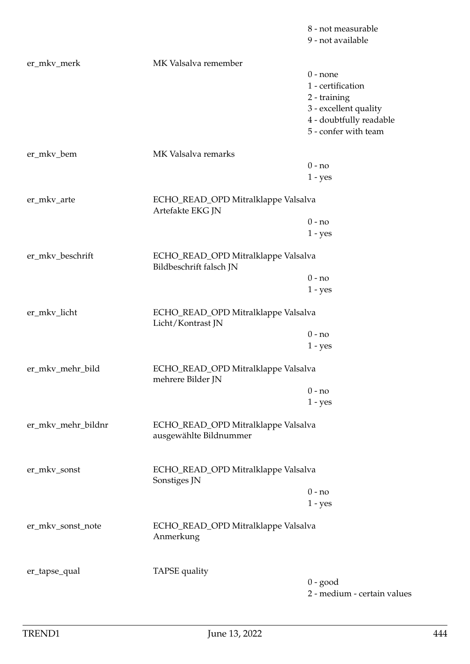|                    |                                                                | 9 - not available                               |
|--------------------|----------------------------------------------------------------|-------------------------------------------------|
| er_mkv_merk        | MK Valsalva remember                                           |                                                 |
|                    |                                                                | $0$ - none                                      |
|                    |                                                                | 1 - certification                               |
|                    |                                                                | 2 - training                                    |
|                    |                                                                | 3 - excellent quality                           |
|                    |                                                                |                                                 |
|                    |                                                                | 4 - doubtfully readable<br>5 - confer with team |
|                    |                                                                |                                                 |
| er_mkv_bem         | MK Valsalva remarks                                            |                                                 |
|                    |                                                                | $0 - no$                                        |
|                    |                                                                | $1 - yes$                                       |
| er_mkv_arte        | ECHO_READ_OPD Mitralklappe Valsalva<br>Artefakte EKG JN        |                                                 |
|                    |                                                                | $0 - no$                                        |
|                    |                                                                | $1 - yes$                                       |
|                    |                                                                |                                                 |
| er_mkv_beschrift   | ECHO_READ_OPD Mitralklappe Valsalva<br>Bildbeschrift falsch JN |                                                 |
|                    |                                                                | $0 - no$                                        |
|                    |                                                                | $1 - yes$                                       |
|                    |                                                                |                                                 |
| er_mkv_licht       | ECHO_READ_OPD Mitralklappe Valsalva<br>Licht/Kontrast JN       |                                                 |
|                    |                                                                | $0 - no$                                        |
|                    |                                                                | $1 - yes$                                       |
| er_mkv_mehr_bild   | ECHO_READ_OPD Mitralklappe Valsalva<br>mehrere Bilder JN       |                                                 |
|                    |                                                                | $0 - no$                                        |
|                    |                                                                | $1 - yes$                                       |
|                    |                                                                |                                                 |
| er_mkv_mehr_bildnr | ECHO_READ_OPD Mitralklappe Valsalva<br>ausgewählte Bildnummer  |                                                 |
| er_mkv_sonst       | ECHO_READ_OPD Mitralklappe Valsalva<br>Sonstiges JN            |                                                 |
|                    |                                                                | $0 - no$                                        |
|                    |                                                                | $1 - yes$                                       |
|                    |                                                                |                                                 |
| er_mkv_sonst_note  | ECHO_READ_OPD Mitralklappe Valsalva<br>Anmerkung               |                                                 |
| er_tapse_qual      | TAPSE quality                                                  |                                                 |
|                    |                                                                | $0 - good$                                      |
|                    |                                                                | 2 - medium - certain values                     |
|                    |                                                                |                                                 |

8 - not measurable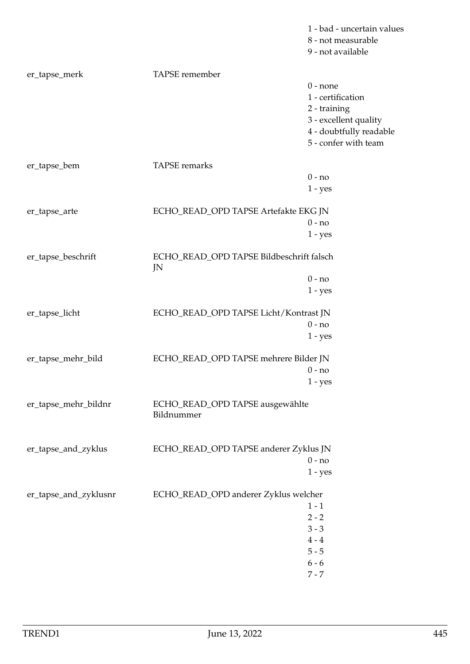|                       |                                               | 1 - bad - uncertain values<br>8 - not measurable<br>9 - not available |  |
|-----------------------|-----------------------------------------------|-----------------------------------------------------------------------|--|
| er_tapse_merk         | TAPSE remember                                | $0$ - none                                                            |  |
|                       |                                               | 1 - certification                                                     |  |
|                       |                                               | 2 - training                                                          |  |
|                       |                                               | 3 - excellent quality                                                 |  |
|                       |                                               | 4 - doubtfully readable                                               |  |
|                       |                                               | 5 - confer with team                                                  |  |
| er_tapse_bem          | TAPSE remarks                                 |                                                                       |  |
|                       |                                               | $0 - no$                                                              |  |
|                       |                                               | $1 - yes$                                                             |  |
| er_tapse_arte         | ECHO_READ_OPD TAPSE Artefakte EKG JN          |                                                                       |  |
|                       |                                               | $0 - no$                                                              |  |
|                       |                                               | $1 - yes$                                                             |  |
| er_tapse_beschrift    | JN                                            | ECHO_READ_OPD TAPSE Bildbeschrift falsch                              |  |
|                       |                                               | $0 - no$                                                              |  |
|                       |                                               | $1 - yes$                                                             |  |
| er_tapse_licht        | ECHO_READ_OPD TAPSE Licht/Kontrast JN         |                                                                       |  |
|                       |                                               | $0 - no$                                                              |  |
|                       |                                               | $1 - yes$                                                             |  |
| er_tapse_mehr_bild    | ECHO_READ_OPD TAPSE mehrere Bilder JN         |                                                                       |  |
|                       |                                               | $0$ - no                                                              |  |
|                       |                                               | $1 - yes$                                                             |  |
| er_tapse_mehr_bildnr  | ECHO_READ_OPD TAPSE ausgewählte<br>Bildnummer |                                                                       |  |
|                       |                                               |                                                                       |  |
| er_tapse_and_zyklus   | ECHO_READ_OPD TAPSE anderer Zyklus JN         | $0 - no$                                                              |  |
|                       |                                               | $1 - yes$                                                             |  |
|                       |                                               |                                                                       |  |
| er_tapse_and_zyklusnr | ECHO_READ_OPD anderer Zyklus welcher          |                                                                       |  |
|                       |                                               | $1 - 1$                                                               |  |
|                       |                                               | $2 - 2$                                                               |  |
|                       |                                               | $3 - 3$                                                               |  |
|                       |                                               | $4 - 4$                                                               |  |
|                       |                                               | $5 - 5$                                                               |  |
|                       |                                               | $6 - 6$                                                               |  |
|                       |                                               | $7 - 7$                                                               |  |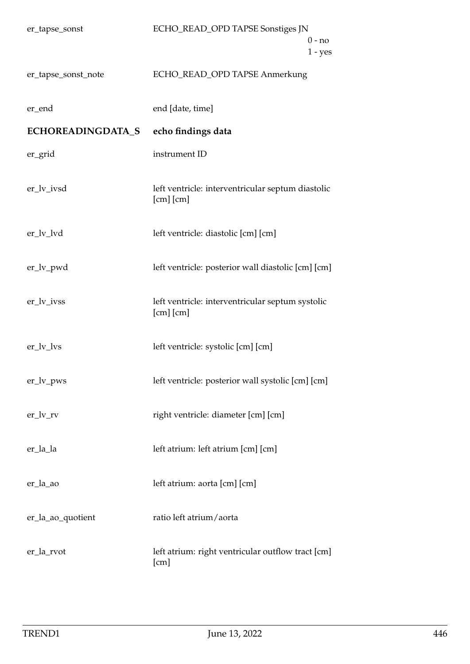| er_tapse_sonst      | ECHO_READ_OPD TAPSE Sonstiges JN<br>$0 - no$<br>$1 - yes$          |
|---------------------|--------------------------------------------------------------------|
| er_tapse_sonst_note | ECHO_READ_OPD TAPSE Anmerkung                                      |
| er_end              | end [date, time]                                                   |
| ECHOREADINGDATA_S   | echo findings data                                                 |
| er_grid             | instrument ID                                                      |
| er_lv_ivsd          | left ventricle: interventricular septum diastolic<br>$[cm]$ $[cm]$ |
| er_lv_lvd           | left ventricle: diastolic [cm] [cm]                                |
| er_lv_pwd           | left ventricle: posterior wall diastolic [cm] [cm]                 |
| er_lv_ivss          | left ventricle: interventricular septum systolic<br>$[cm]$ $[cm]$  |
| $er_l v_lvs$        | left ventricle: systolic [cm] [cm]                                 |
| $er_lv_pws$         | left ventricle: posterior wall systolic [cm] [cm]                  |
| $er_l v_r v$        | right ventricle: diameter [cm] [cm]                                |
| er_la_la            | left atrium: left atrium [cm] [cm]                                 |
| er_la_ao            | left atrium: aorta [cm] [cm]                                       |
| er_la_ao_quotient   | ratio left atrium/aorta                                            |
| er_la_rvot          | left atrium: right ventricular outflow tract [cm]<br>[cm]          |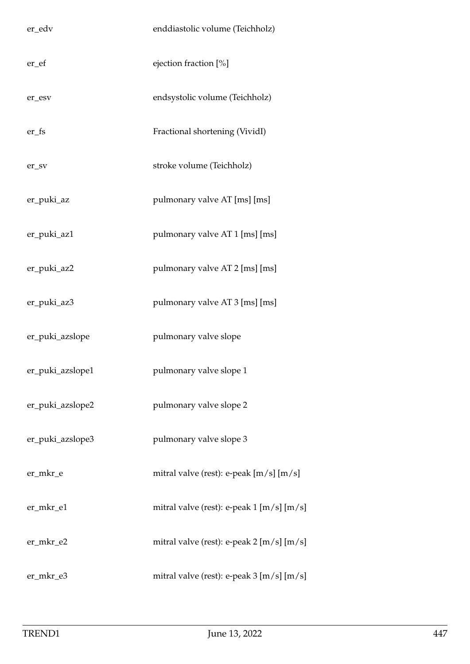| er_edv           | enddiastolic volume (Teichholz)                 |
|------------------|-------------------------------------------------|
| er_ef            | ejection fraction [%]                           |
| er_esv           | endsystolic volume (Teichholz)                  |
| $er_fs$          | Fractional shortening (VividI)                  |
| er_sv            | stroke volume (Teichholz)                       |
| er_puki_az       | pulmonary valve AT [ms] [ms]                    |
| er_puki_az1      | pulmonary valve AT 1 [ms] [ms]                  |
| er_puki_az2      | pulmonary valve AT 2 [ms] [ms]                  |
| er_puki_az3      | pulmonary valve AT 3 [ms] [ms]                  |
| er_puki_azslope  | pulmonary valve slope                           |
| er_puki_azslope1 | pulmonary valve slope 1                         |
| er_puki_azslope2 | pulmonary valve slope 2                         |
| er_puki_azslope3 | pulmonary valve slope 3                         |
| er_mkr_e         | mitral valve (rest): e-peak [m/s] [m/s]         |
| er_mkr_e1        | mitral valve (rest): e-peak 1 [m/s] [m/s]       |
| er_mkr_e2        | mitral valve (rest): e-peak 2 [m/s] [m/s]       |
| er_mkr_e3        | mitral valve (rest): e-peak $3 \,[m/s] \,[m/s]$ |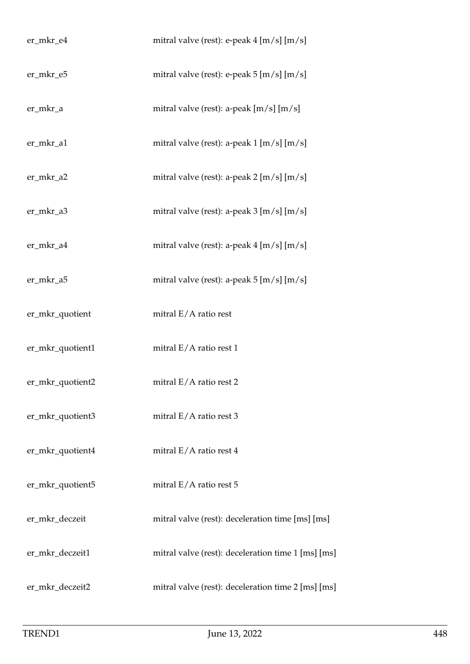| er_mkr_e4        | mitral valve (rest): e-peak 4 [m/s] [m/s]                             |
|------------------|-----------------------------------------------------------------------|
| er_mkr_e5        | mitral valve (rest): e-peak 5 [m/s] [m/s]                             |
| er_mkr_a         | mitral valve (rest): a-peak $[m/s]$ [m/s]                             |
| er_mkr_a1        | mitral valve (rest): a-peak $1 \,[\text{m/s}] \,[\text{m/s}]$         |
| er_mkr_a2        | mitral valve (rest): a-peak $2 \left[ m/s \right] \left[ m/s \right]$ |
| er_mkr_a3        | mitral valve (rest): a-peak $3 \,[m/s] \,[m/s]$                       |
| er_mkr_a4        | mitral valve (rest): a-peak $4 \, [\text{m/s}] \, [\text{m/s}]$       |
| er_mkr_a5        | mitral valve (rest): a-peak $5 \,[\mathrm{m/s}] \,[\mathrm{m/s}]$     |
| er_mkr_quotient  | mitral $E/A$ ratio rest                                               |
| er_mkr_quotient1 | mitral $E/A$ ratio rest 1                                             |
| er_mkr_quotient2 | mitral $E/A$ ratio rest 2                                             |
| er_mkr_quotient3 | mitral $E/A$ ratio rest 3                                             |
| er_mkr_quotient4 | mitral E/A ratio rest 4                                               |
| er_mkr_quotient5 | mitral $E/A$ ratio rest 5                                             |
| er_mkr_deczeit   | mitral valve (rest): deceleration time [ms] [ms]                      |
| er_mkr_deczeit1  | mitral valve (rest): deceleration time 1 [ms] [ms]                    |
| er_mkr_deczeit2  | mitral valve (rest): deceleration time 2 [ms] [ms]                    |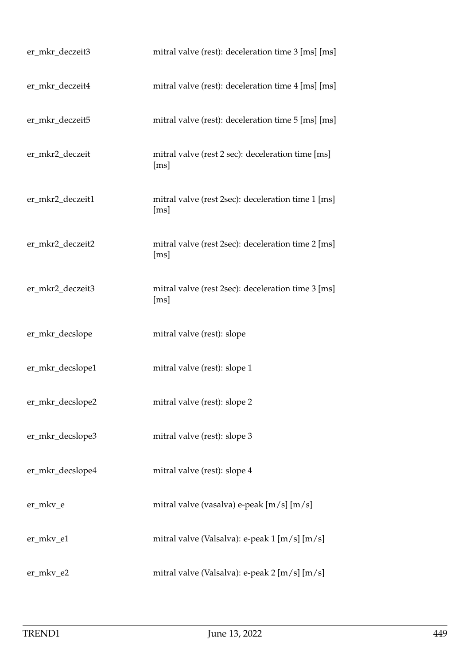| er_mkr_deczeit3  | mitral valve (rest): deceleration time 3 [ms] [ms]         |
|------------------|------------------------------------------------------------|
| er_mkr_deczeit4  | mitral valve (rest): deceleration time 4 [ms] [ms]         |
| er_mkr_deczeit5  | mitral valve (rest): deceleration time 5 [ms] [ms]         |
| er_mkr2_deczeit  | mitral valve (rest 2 sec): deceleration time [ms]<br>[ms]  |
| er_mkr2_deczeit1 | mitral valve (rest 2sec): deceleration time 1 [ms]<br>[ms] |
| er_mkr2_deczeit2 | mitral valve (rest 2sec): deceleration time 2 [ms]<br>[ms] |
| er_mkr2_deczeit3 | mitral valve (rest 2sec): deceleration time 3 [ms]<br>[ms] |
| er_mkr_decslope  | mitral valve (rest): slope                                 |
| er_mkr_decslope1 | mitral valve (rest): slope 1                               |
| er_mkr_decslope2 | mitral valve (rest): slope 2                               |
| er_mkr_decslope3 | mitral valve (rest): slope 3                               |
| er_mkr_decslope4 | mitral valve (rest): slope 4                               |
| er_mkv_e         | mitral valve (vasalva) e-peak [m/s] [m/s]                  |
| er_mkv_e1        | mitral valve (Valsalva): e-peak 1 [m/s] [m/s]              |
| er_mkv_e2        | mitral valve (Valsalva): e-peak 2 [m/s] [m/s]              |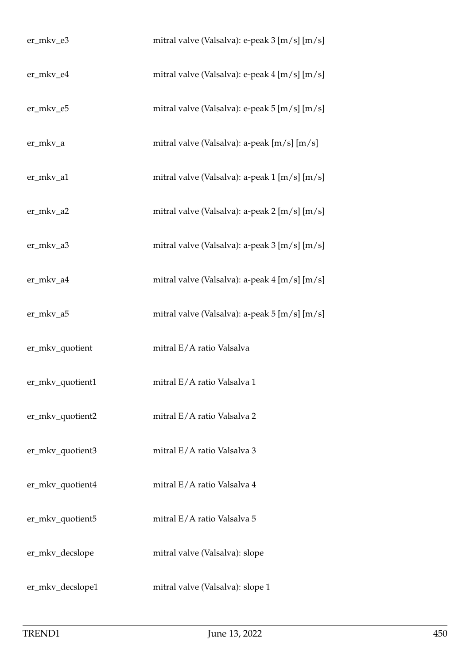| er_mkv_e3            | mitral valve (Valsalva): e-peak 3 [m/s] [m/s] |
|----------------------|-----------------------------------------------|
| er_mkv_e4            | mitral valve (Valsalva): e-peak 4 [m/s] [m/s] |
| er_mkv_e5            | mitral valve (Valsalva): e-peak 5 [m/s] [m/s] |
| er_mkv_a             | mitral valve (Valsalva): a-peak [m/s] [m/s]   |
| er_mkv_a1            | mitral valve (Valsalva): a-peak 1 [m/s] [m/s] |
| er_mkv_a2            | mitral valve (Valsalva): a-peak 2 [m/s] [m/s] |
| er_mkv_a3            | mitral valve (Valsalva): a-peak 3 [m/s] [m/s] |
| er_mkv_a4            | mitral valve (Valsalva): a-peak 4 [m/s] [m/s] |
| er_mkv_a5            | mitral valve (Valsalva): a-peak 5 [m/s] [m/s] |
| er_mkv_quotient      | mitral E/A ratio Valsalva                     |
| $er\_mkv\_quotient1$ | mitral E/A ratio Valsalva 1                   |
| er_mkv_quotient2     | mitral E/A ratio Valsalva 2                   |
| er_mkv_quotient3     | mitral E/A ratio Valsalva 3                   |
| er_mkv_quotient4     | mitral E/A ratio Valsalva 4                   |
| er_mkv_quotient5     | mitral E/A ratio Valsalva 5                   |
| er_mkv_decslope      | mitral valve (Valsalva): slope                |
| er_mkv_decslope1     | mitral valve (Valsalva): slope 1              |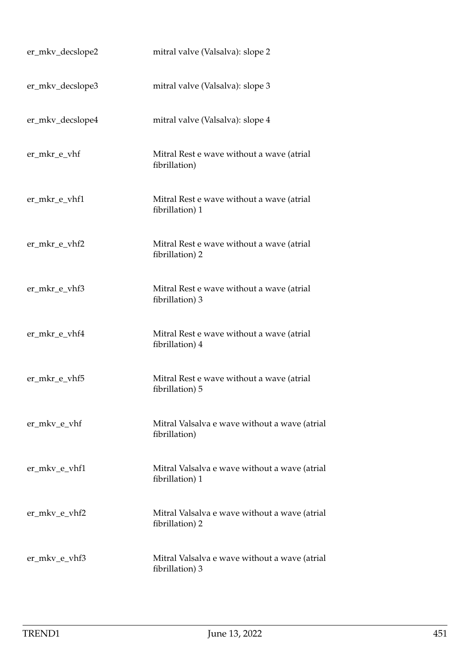| er_mkv_decslope2 | mitral valve (Valsalva): slope 2                                 |
|------------------|------------------------------------------------------------------|
| er_mkv_decslope3 | mitral valve (Valsalva): slope 3                                 |
| er_mkv_decslope4 | mitral valve (Valsalva): slope 4                                 |
| er_mkr_e_vhf     | Mitral Rest e wave without a wave (atrial<br>fibrillation)       |
| er_mkr_e_vhf1    | Mitral Rest e wave without a wave (atrial<br>fibrillation) 1     |
| er_mkr_e_vhf2    | Mitral Rest e wave without a wave (atrial<br>fibrillation) 2     |
| er_mkr_e_vhf3    | Mitral Rest e wave without a wave (atrial<br>fibrillation) 3     |
| er_mkr_e_vhf4    | Mitral Rest e wave without a wave (atrial<br>fibrillation) 4     |
| er_mkr_e_vhf5    | Mitral Rest e wave without a wave (atrial<br>fibrillation) 5     |
| er_mkv_e_vhf     | Mitral Valsalva e wave without a wave (atrial<br>fibrillation)   |
| er_mkv_e_vhf1    | Mitral Valsalva e wave without a wave (atrial<br>fibrillation) 1 |
| er_mkv_e_vhf2    | Mitral Valsalva e wave without a wave (atrial<br>fibrillation) 2 |
| er_mkv_e_vhf3    | Mitral Valsalva e wave without a wave (atrial<br>fibrillation) 3 |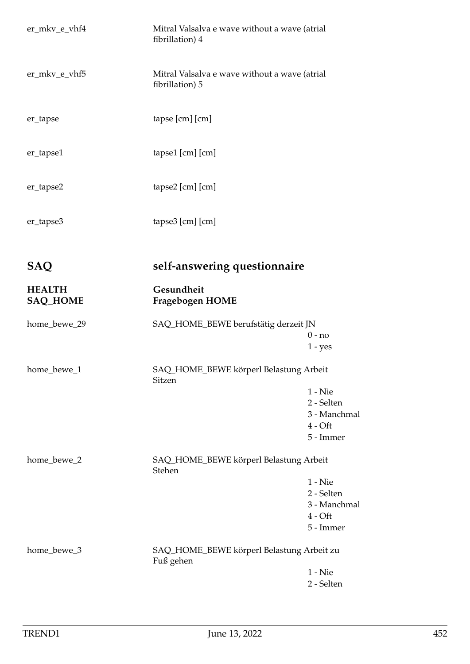| er_mkv_e_vhf4                    | Mitral Valsalva e wave without a wave (atrial<br>fibrillation) 4 |                                                                   |
|----------------------------------|------------------------------------------------------------------|-------------------------------------------------------------------|
| er_mkv_e_vhf5                    | Mitral Valsalva e wave without a wave (atrial<br>fibrillation) 5 |                                                                   |
| er_tapse                         | tapse [cm] [cm]                                                  |                                                                   |
| er_tapse1                        | tapse1 [cm] [cm]                                                 |                                                                   |
| er_tapse2                        | tapse2 [cm] [cm]                                                 |                                                                   |
| er_tapse3                        | tapse3 [cm] [cm]                                                 |                                                                   |
| <b>SAQ</b>                       | self-answering questionnaire                                     |                                                                   |
| <b>HEALTH</b><br><b>SAQ_HOME</b> | Gesundheit<br>Fragebogen HOME                                    |                                                                   |
| home_bewe_29                     | SAQ_HOME_BEWE berufstätig derzeit JN                             | $0 - no$<br>$1 - yes$                                             |
| home_bewe_1                      | SAQ_HOME_BEWE körperl Belastung Arbeit                           |                                                                   |
|                                  | Sitzen                                                           | $1 -$ Nie<br>2 - Selten<br>3 - Manchmal<br>$4 - Off$<br>5 - Immer |
| home_bewe_2                      | SAQ_HOME_BEWE körperl Belastung Arbeit<br>Stehen                 | $1 -$ Nie<br>2 - Selten<br>3 - Manchmal<br>$4 - Off$<br>5 - Immer |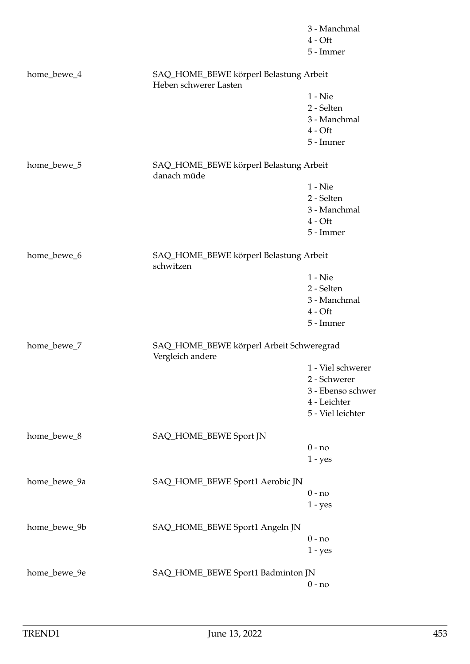|              |                                                                 | 3 - Manchmal      |
|--------------|-----------------------------------------------------------------|-------------------|
|              |                                                                 | $4 - Oft$         |
|              |                                                                 | 5 - Immer         |
| home_bewe_4  | SAQ_HOME_BEWE körperl Belastung Arbeit<br>Heben schwerer Lasten |                   |
|              |                                                                 | $1 -$ Nie         |
|              |                                                                 | 2 - Selten        |
|              |                                                                 | 3 - Manchmal      |
|              |                                                                 | $4 - Oft$         |
|              |                                                                 | 5 - Immer         |
| home_bewe_5  | SAQ_HOME_BEWE körperl Belastung Arbeit<br>danach müde           |                   |
|              |                                                                 | $1 -$ Nie         |
|              |                                                                 | 2 - Selten        |
|              |                                                                 | 3 - Manchmal      |
|              |                                                                 | $4 - Oft$         |
|              |                                                                 | 5 - Immer         |
| home_bewe_6  | SAQ_HOME_BEWE körperl Belastung Arbeit<br>schwitzen             |                   |
|              |                                                                 | $1 -$ Nie         |
|              |                                                                 | 2 - Selten        |
|              |                                                                 | 3 - Manchmal      |
|              |                                                                 | $4 - Oft$         |
|              |                                                                 | 5 - Immer         |
| home_bewe_7  | SAQ_HOME_BEWE körperl Arbeit Schweregrad<br>Vergleich andere    |                   |
|              |                                                                 | 1 - Viel schwerer |
|              |                                                                 | 2 - Schwerer      |
|              |                                                                 | 3 - Ebenso schwer |
|              |                                                                 | 4 - Leichter      |
|              |                                                                 | 5 - Viel leichter |
| home_bewe_8  | SAQ_HOME_BEWE Sport JN                                          |                   |
|              |                                                                 | $0 - no$          |
|              |                                                                 | $1 - yes$         |
| home_bewe_9a | SAQ_HOME_BEWE Sport1 Aerobic JN                                 |                   |
|              |                                                                 | $0 - no$          |
|              |                                                                 | $1 - yes$         |
| home_bewe_9b | SAQ_HOME_BEWE Sport1 Angeln JN                                  |                   |
|              |                                                                 | $0 - no$          |
|              |                                                                 | $1 - yes$         |
| home_bewe_9e | SAQ_HOME_BEWE Sport1 Badminton JN                               |                   |
|              |                                                                 | $0 - no$          |
|              |                                                                 |                   |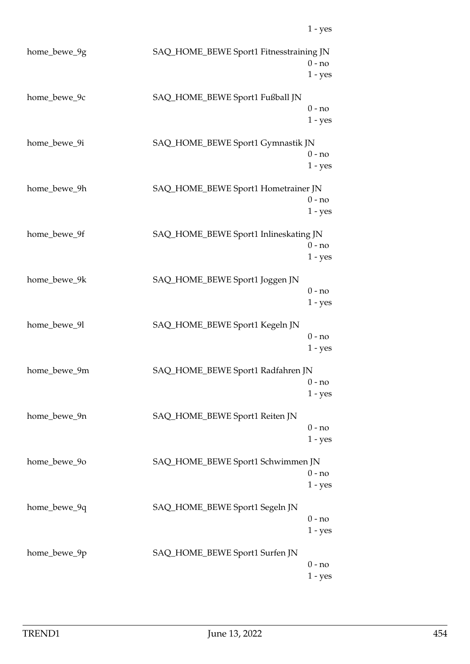| home_bewe_9g | SAQ_HOME_BEWE Sport1 Fitnesstraining JN | $0 - no$<br>$1 - yes$ |
|--------------|-----------------------------------------|-----------------------|
| home_bewe_9c | SAQ_HOME_BEWE Sport1 Fußball JN         | $0 - no$<br>$1 - yes$ |
| home_bewe_9i | SAQ_HOME_BEWE Sport1 Gymnastik JN       | $0 - no$<br>$1 - yes$ |
| home_bewe_9h | SAQ_HOME_BEWE Sport1 Hometrainer JN     | $0 - no$<br>$1 - yes$ |
| home_bewe_9f | SAQ_HOME_BEWE Sport1 Inlineskating JN   | $0 - no$<br>$1 - yes$ |
| home_bewe_9k | SAQ_HOME_BEWE Sport1 Joggen JN          | $0 - no$<br>$1 - yes$ |
| home_bewe_9l | SAQ_HOME_BEWE Sport1 Kegeln JN          | $0 - no$<br>$1 - yes$ |
| home_bewe_9m | SAQ_HOME_BEWE Sport1 Radfahren JN       | $0 - no$<br>$1 - yes$ |
| home_bewe_9n | SAQ_HOME_BEWE Sport1 Reiten JN          | $0 - no$<br>$1 - yes$ |
| home_bewe_90 | SAQ_HOME_BEWE Sport1 Schwimmen JN       | $0 - no$<br>$1 - yes$ |
| home_bewe_9q | SAQ_HOME_BEWE Sport1 Segeln JN          | $0 - no$<br>$1 - yes$ |
| home_bewe_9p | SAQ_HOME_BEWE Sport1 Surfen JN          | $0 - no$<br>$1 - yes$ |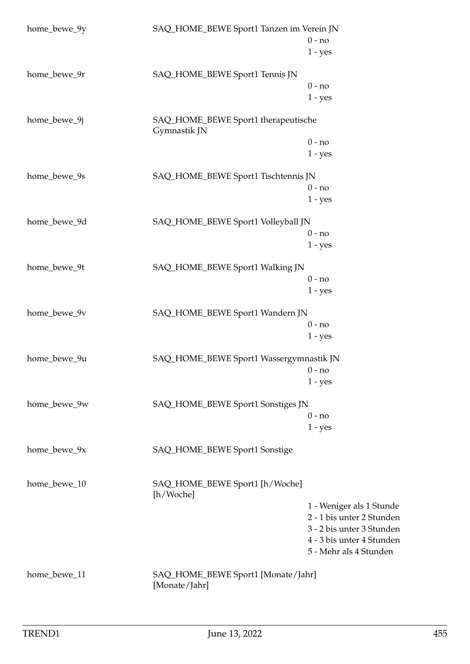| home_bewe_9y | SAQ_HOME_BEWE Sport1 Tanzen im Verein JN            |                                   |  |
|--------------|-----------------------------------------------------|-----------------------------------|--|
|              |                                                     | $0 - no$                          |  |
|              |                                                     | $1 - yes$                         |  |
| home_bewe_9r | SAQ_HOME_BEWE Sport1 Tennis JN                      |                                   |  |
|              |                                                     | $0 - no$                          |  |
|              |                                                     | $1 - yes$                         |  |
| home_bewe_9j | SAQ_HOME_BEWE Sport1 therapeutische<br>Gymnastik JN |                                   |  |
|              |                                                     | $0 - no$                          |  |
|              |                                                     | $1 - yes$                         |  |
| home_bewe_9s | SAQ_HOME_BEWE Sport1 Tischtennis JN                 |                                   |  |
|              |                                                     | $0 - no$                          |  |
|              |                                                     | $1 - yes$                         |  |
| home_bewe_9d | SAQ_HOME_BEWE Sport1 Volleyball JN                  |                                   |  |
|              |                                                     | $0 - no$                          |  |
|              |                                                     | $1 - yes$                         |  |
| home_bewe_9t | SAQ_HOME_BEWE Sport1 Walking JN                     |                                   |  |
|              |                                                     | $0 - no$                          |  |
|              |                                                     | $1 - yes$                         |  |
| home_bewe_9v | SAQ_HOME_BEWE Sport1 Wandern JN                     |                                   |  |
|              |                                                     | $0 - no$                          |  |
|              |                                                     | $1 - yes$                         |  |
| home_bewe_9u | SAQ_HOME_BEWE Sport1 Wassergymnastik JN             |                                   |  |
|              |                                                     | $0 - no$                          |  |
|              |                                                     | $1 - yes$                         |  |
| home_bewe_9w |                                                     | SAQ_HOME_BEWE Sport1 Sonstiges JN |  |
|              |                                                     | $0 - no$                          |  |
|              |                                                     | $1 - yes$                         |  |
| home_bewe_9x | SAQ_HOME_BEWE Sport1 Sonstige                       |                                   |  |
| home_bewe_10 | SAQ_HOME_BEWE Sport1 [h/Woche]<br>[h/Woche]         |                                   |  |
|              |                                                     | 1 - Weniger als 1 Stunde          |  |
|              |                                                     | 2 - 1 bis unter 2 Stunden         |  |
|              |                                                     | 3 - 2 bis unter 3 Stunden         |  |
|              |                                                     | 4 - 3 bis unter 4 Stunden         |  |
|              |                                                     | 5 - Mehr als 4 Stunden            |  |
| home_bewe_11 | SAQ_HOME_BEWE Sport1 [Monate/Jahr]<br>[Monate/Jahr] |                                   |  |
|              |                                                     |                                   |  |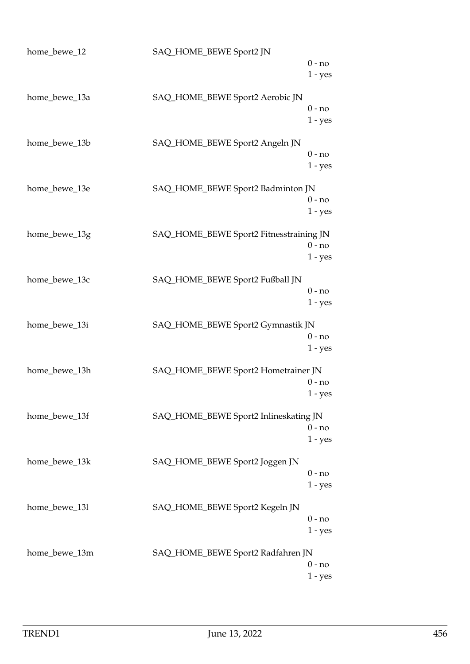| home_bewe_12  | SAQ_HOME_BEWE Sport2 JN                 |                       |
|---------------|-----------------------------------------|-----------------------|
|               |                                         | $0 - no$<br>$1 - yes$ |
| home_bewe_13a | SAQ_HOME_BEWE Sport2 Aerobic JN         | $0 - no$              |
| home_bewe_13b | SAQ_HOME_BEWE Sport2 Angeln JN          | $1 - yes$             |
|               |                                         | $0 - no$<br>$1 - yes$ |
| home_bewe_13e | SAQ_HOME_BEWE Sport2 Badminton JN       | $0 - no$              |
|               |                                         | $1 - yes$             |
| home_bewe_13g | SAQ_HOME_BEWE Sport2 Fitnesstraining JN | $0 - no$<br>$1 - yes$ |
| home_bewe_13c | SAQ_HOME_BEWE Sport2 Fußball JN         |                       |
|               |                                         | $0 - no$<br>$1 - yes$ |
| home_bewe_13i | SAQ_HOME_BEWE Sport2 Gymnastik JN       | $0 - no$              |
|               |                                         | $1 - yes$             |
| home_bewe_13h | SAQ_HOME_BEWE Sport2 Hometrainer JN     | $0 - no$<br>1 - yes   |
| home_bewe_13f | SAQ_HOME_BEWE Sport2 Inlineskating JN   |                       |
|               |                                         | $0 - no$<br>$1 - yes$ |
| home_bewe_13k | SAQ_HOME_BEWE Sport2 Joggen JN          | $0 - no$              |
| home_bewe_13l | SAQ_HOME_BEWE Sport2 Kegeln JN          | $1 - yes$             |
|               |                                         | $0 - no$<br>$1 - yes$ |
| home_bewe_13m | SAQ_HOME_BEWE Sport2 Radfahren JN       | $0 - no$              |
|               |                                         | $1 - yes$             |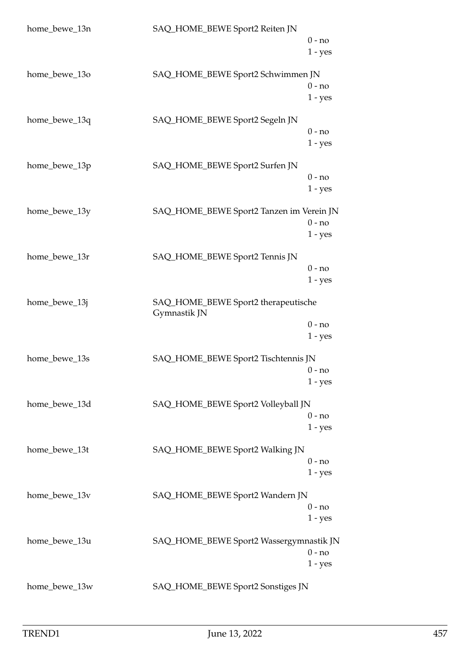| home_bewe_13n | SAQ_HOME_BEWE Sport2 Reiten JN                      |                       |
|---------------|-----------------------------------------------------|-----------------------|
|               |                                                     | $0 - no$<br>$1 - yes$ |
| home_bewe_13o | SAQ_HOME_BEWE Sport2 Schwimmen JN                   | $0 - no$<br>$1 - yes$ |
| home_bewe_13q | SAQ_HOME_BEWE Sport2 Segeln JN                      | $0 - no$<br>$1 - yes$ |
| home_bewe_13p | SAQ_HOME_BEWE Sport2 Surfen JN                      | $0 - no$<br>$1 - yes$ |
| home_bewe_13y | SAQ_HOME_BEWE Sport2 Tanzen im Verein JN            | $0 - no$<br>$1 - yes$ |
| home_bewe_13r | SAQ_HOME_BEWE Sport2 Tennis JN                      | $0 - no$<br>$1 - yes$ |
| home_bewe_13j | SAQ_HOME_BEWE Sport2 therapeutische<br>Gymnastik JN |                       |
|               |                                                     | $0 - no$<br>$1 - yes$ |
| home_bewe_13s | SAQ_HOME_BEWE Sport2 Tischtennis JN                 | $0 - no$<br>$1 - yes$ |
| home_bewe_13d | SAQ_HOME_BEWE Sport2 Volleyball JN                  | $0 - no$<br>$1 - yes$ |
| home_bewe_13t | SAQ_HOME_BEWE Sport2 Walking JN                     | $0 - no$<br>$1 - yes$ |
| home_bewe_13v | SAQ_HOME_BEWE Sport2 Wandern JN                     | $0 - no$<br>$1 - yes$ |
| home_bewe_13u | SAQ_HOME_BEWE Sport2 Wassergymnastik JN             | $0 - no$<br>$1 - yes$ |
| home_bewe_13w | SAQ_HOME_BEWE Sport2 Sonstiges JN                   |                       |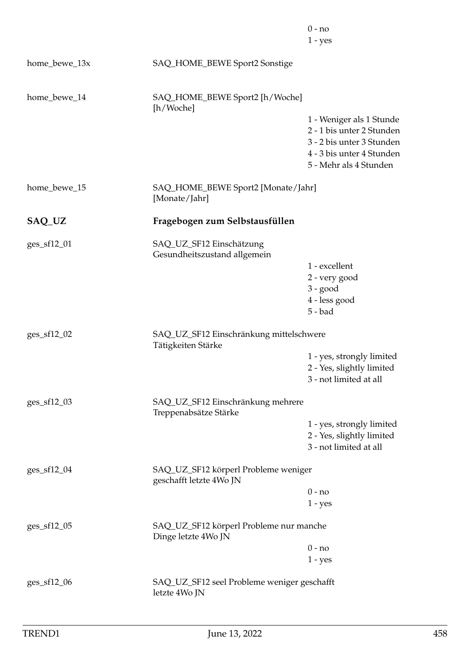|               |                                                                 | $0 - no$<br>$1 - yes$                                                                                                                     |
|---------------|-----------------------------------------------------------------|-------------------------------------------------------------------------------------------------------------------------------------------|
| home_bewe_13x | SAQ_HOME_BEWE Sport2 Sonstige                                   |                                                                                                                                           |
| home_bewe_14  | SAQ_HOME_BEWE Sport2 [h/Woche]<br>[h/Woche]                     |                                                                                                                                           |
|               |                                                                 | 1 - Weniger als 1 Stunde<br>2 - 1 bis unter 2 Stunden<br>3 - 2 bis unter 3 Stunden<br>4 - 3 bis unter 4 Stunden<br>5 - Mehr als 4 Stunden |
| home_bewe_15  | SAQ_HOME_BEWE Sport2 [Monate/Jahr]<br>[Monate/Jahr]             |                                                                                                                                           |
| SAQ_UZ        | Fragebogen zum Selbstausfüllen                                  |                                                                                                                                           |
| ges_sf12_01   | SAQ_UZ_SF12 Einschätzung<br>Gesundheitszustand allgemein        | 1 - excellent                                                                                                                             |
|               |                                                                 | 2 - very good<br>$3 - good$                                                                                                               |
|               |                                                                 | 4 - less good<br>$5 - bad$                                                                                                                |
| ges_sf12_02   | SAQ_UZ_SF12 Einschränkung mittelschwere<br>Tätigkeiten Stärke   |                                                                                                                                           |
|               |                                                                 | 1 - yes, strongly limited<br>2 - Yes, slightly limited<br>3 - not limited at all                                                          |
| ges_sf12_03   | SAQ_UZ_SF12 Einschränkung mehrere<br>Treppenabsätze Stärke      |                                                                                                                                           |
|               |                                                                 | 1 - yes, strongly limited<br>2 - Yes, slightly limited<br>3 - not limited at all                                                          |
| ges_sf12_04   | SAQ_UZ_SF12 körperl Probleme weniger<br>geschafft letzte 4Wo JN |                                                                                                                                           |
|               |                                                                 | $0 - no$<br>$1 - yes$                                                                                                                     |
| ges_sf12_05   | SAQ_UZ_SF12 körperl Probleme nur manche<br>Dinge letzte 4Wo JN  |                                                                                                                                           |
|               |                                                                 | $0 - no$                                                                                                                                  |
|               |                                                                 | $1 - yes$                                                                                                                                 |
| ges_sf12_06   | SAQ_UZ_SF12 seel Probleme weniger geschafft<br>letzte 4Wo JN    |                                                                                                                                           |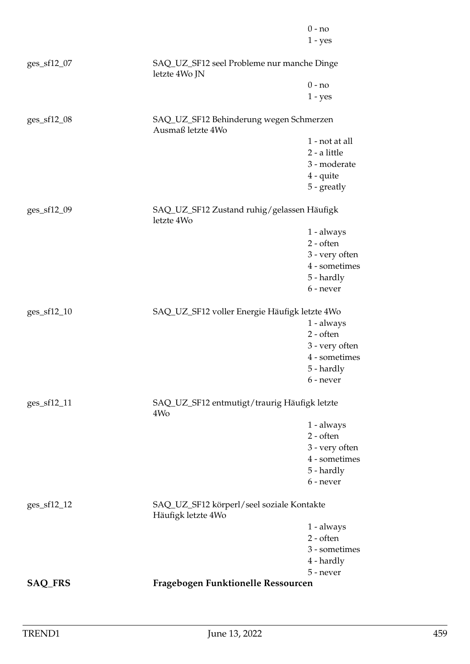|                |                                                                 | $0 - no$       |
|----------------|-----------------------------------------------------------------|----------------|
|                |                                                                 | $1 - yes$      |
| ges_sf12_07    | SAQ_UZ_SF12 seel Probleme nur manche Dinge<br>letzte 4Wo JN     |                |
|                |                                                                 | $0 - no$       |
|                |                                                                 | $1 - yes$      |
| $ges\_sf12_08$ | SAQ_UZ_SF12 Behinderung wegen Schmerzen<br>Ausmaß letzte 4Wo    |                |
|                |                                                                 | 1 - not at all |
|                |                                                                 | 2 - a little   |
|                |                                                                 | 3 - moderate   |
|                |                                                                 | $4$ - quite    |
|                |                                                                 | 5 - greatly    |
| ges_sf12_09    | SAQ_UZ_SF12 Zustand ruhig/gelassen Häufigk<br>letzte 4Wo        |                |
|                |                                                                 | 1 - always     |
|                |                                                                 | $2$ - often    |
|                |                                                                 | 3 - very often |
|                |                                                                 | 4 - sometimes  |
|                |                                                                 | 5 - hardly     |
|                |                                                                 | 6 - never      |
| ges_sf12_10    | SAQ_UZ_SF12 voller Energie Häufigk letzte 4Wo                   |                |
|                |                                                                 | $1 - always$   |
|                |                                                                 | $2 - often$    |
|                |                                                                 | 3 - very often |
|                |                                                                 | 4 - sometimes  |
|                |                                                                 | 5 - hardly     |
|                |                                                                 | 6 - never      |
| ges_sf12_11    | SAQ_UZ_SF12 entmutigt/traurig Häufigk letzte<br>4Wo             |                |
|                |                                                                 | 1 - always     |
|                |                                                                 | $2 - often$    |
|                |                                                                 | 3 - very often |
|                |                                                                 | 4 - sometimes  |
|                |                                                                 | 5 - hardly     |
|                |                                                                 | 6 - never      |
| ges_sf12_12    | SAQ_UZ_SF12 körperl/seel soziale Kontakte<br>Häufigk letzte 4Wo |                |
|                |                                                                 | 1 - always     |
|                |                                                                 | $2 - often$    |
|                |                                                                 | 3 - sometimes  |
|                |                                                                 | 4 - hardly     |
|                |                                                                 | 5 - never      |
| <b>SAQ_FRS</b> | Fragebogen Funktionelle Ressourcen                              |                |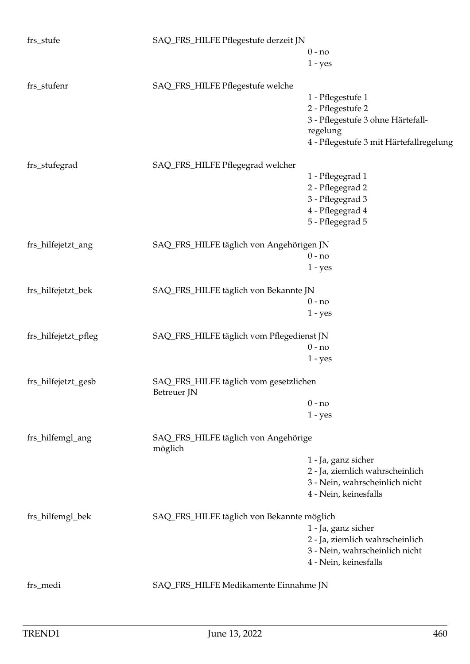| frs_stufe            | SAQ_FRS_HILFE Pflegestufe derzeit JN                  |                                         |
|----------------------|-------------------------------------------------------|-----------------------------------------|
|                      |                                                       | $0 - no$                                |
|                      |                                                       | $1 - yes$                               |
|                      |                                                       |                                         |
| frs_stufenr          | SAQ_FRS_HILFE Pflegestufe welche                      |                                         |
|                      |                                                       | 1 - Pflegestufe 1                       |
|                      |                                                       | 2 - Pflegestufe 2                       |
|                      |                                                       | 3 - Pflegestufe 3 ohne Härtefall-       |
|                      |                                                       | regelung                                |
|                      |                                                       | 4 - Pflegestufe 3 mit Härtefallregelung |
| frs_stufegrad        | SAQ_FRS_HILFE Pflegegrad welcher                      |                                         |
|                      |                                                       | 1 - Pflegegrad 1                        |
|                      |                                                       | 2 - Pflegegrad 2                        |
|                      |                                                       | 3 - Pflegegrad 3                        |
|                      |                                                       | 4 - Pflegegrad 4                        |
|                      |                                                       | 5 - Pflegegrad 5                        |
| frs_hilfejetzt_ang   | SAQ_FRS_HILFE täglich von Angehörigen JN              |                                         |
|                      |                                                       | $0 - no$                                |
|                      |                                                       | $1 - yes$                               |
|                      |                                                       |                                         |
| frs_hilfejetzt_bek   | SAQ_FRS_HILFE täglich von Bekannte JN                 |                                         |
|                      |                                                       | $0 - no$                                |
|                      |                                                       | $1 - yes$                               |
| frs_hilfejetzt_pfleg | SAQ_FRS_HILFE täglich vom Pflegedienst JN             |                                         |
|                      |                                                       | $0 - no$                                |
|                      |                                                       | $1 - yes$                               |
|                      |                                                       |                                         |
| frs_hilfejetzt_gesb  | SAQ_FRS_HILFE täglich vom gesetzlichen<br>Betreuer JN |                                         |
|                      |                                                       | $0 - no$                                |
|                      |                                                       | $1 - yes$                               |
| frs_hilfemgl_ang     | SAQ_FRS_HILFE täglich von Angehörige<br>möglich       |                                         |
|                      |                                                       | 1 - Ja, ganz sicher                     |
|                      |                                                       | 2 - Ja, ziemlich wahrscheinlich         |
|                      |                                                       | 3 - Nein, wahrscheinlich nicht          |
|                      |                                                       | 4 - Nein, keinesfalls                   |
|                      |                                                       |                                         |
| frs_hilfemgl_bek     | SAQ_FRS_HILFE täglich von Bekannte möglich            |                                         |
|                      |                                                       | 1 - Ja, ganz sicher                     |
|                      |                                                       | 2 - Ja, ziemlich wahrscheinlich         |
|                      |                                                       | 3 - Nein, wahrscheinlich nicht          |
|                      |                                                       | 4 - Nein, keinesfalls                   |
| frs_medi             | SAQ_FRS_HILFE Medikamente Einnahme JN                 |                                         |
|                      |                                                       |                                         |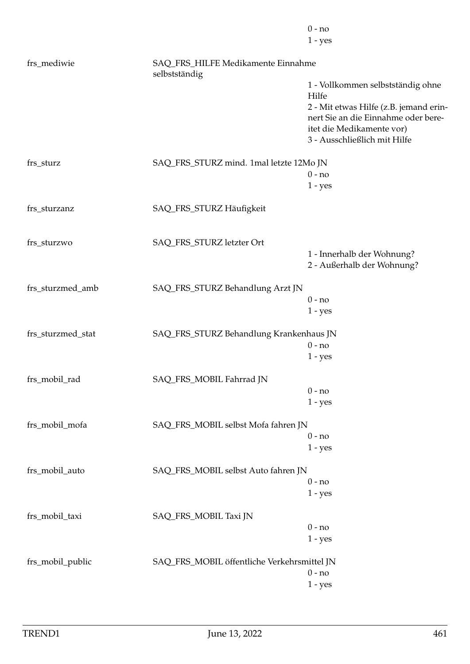|                   |                                                     | $0 - no$                                                  |
|-------------------|-----------------------------------------------------|-----------------------------------------------------------|
|                   |                                                     | $1 - yes$                                                 |
| frs_mediwie       | SAQ_FRS_HILFE Medikamente Einnahme<br>selbstständig |                                                           |
|                   |                                                     | 1 - Vollkommen selbstständig ohne                         |
|                   |                                                     | Hilfe                                                     |
|                   |                                                     | 2 - Mit etwas Hilfe (z.B. jemand erin-                    |
|                   |                                                     | nert Sie an die Einnahme oder bere-                       |
|                   |                                                     | itet die Medikamente vor)<br>3 - Ausschließlich mit Hilfe |
|                   |                                                     |                                                           |
| frs_sturz         | SAQ_FRS_STURZ mind. 1mal letzte 12Mo JN             |                                                           |
|                   |                                                     | $0 - no$                                                  |
|                   |                                                     | $1 - yes$                                                 |
| frs_sturzanz      | SAQ_FRS_STURZ Häufigkeit                            |                                                           |
|                   |                                                     |                                                           |
| frs_sturzwo       | SAQ_FRS_STURZ letzter Ort                           |                                                           |
|                   |                                                     | 1 - Innerhalb der Wohnung?                                |
|                   |                                                     | 2 - Außerhalb der Wohnung?                                |
|                   |                                                     |                                                           |
| frs_sturzmed_amb  | SAQ_FRS_STURZ Behandlung Arzt JN                    |                                                           |
|                   |                                                     | $0 - no$                                                  |
|                   |                                                     | $1 - yes$                                                 |
| frs_sturzmed_stat | SAQ_FRS_STURZ Behandlung Krankenhaus JN             |                                                           |
|                   |                                                     | $0 - no$                                                  |
|                   |                                                     | $1 - yes$                                                 |
| frs_mobil_rad     | SAQ_FRS_MOBIL Fahrrad JN                            |                                                           |
|                   |                                                     | $0 - no$                                                  |
|                   |                                                     | $1 - yes$                                                 |
|                   | SAQ_FRS_MOBIL selbst Mofa fahren JN                 |                                                           |
| frs_mobil_mofa    |                                                     | $0 - no$                                                  |
|                   |                                                     | $1 - yes$                                                 |
|                   |                                                     |                                                           |
| frs_mobil_auto    | SAQ_FRS_MOBIL selbst Auto fahren JN                 |                                                           |
|                   |                                                     | $0 - no$                                                  |
|                   |                                                     | $1 - yes$                                                 |
| frs_mobil_taxi    | SAQ_FRS_MOBIL Taxi JN                               |                                                           |
|                   |                                                     | $0 - no$                                                  |
|                   |                                                     | $1 - yes$                                                 |
| frs_mobil_public  | SAQ_FRS_MOBIL öffentliche Verkehrsmittel JN         |                                                           |
|                   |                                                     | $0 - no$                                                  |
|                   |                                                     | $1 - yes$                                                 |
|                   |                                                     |                                                           |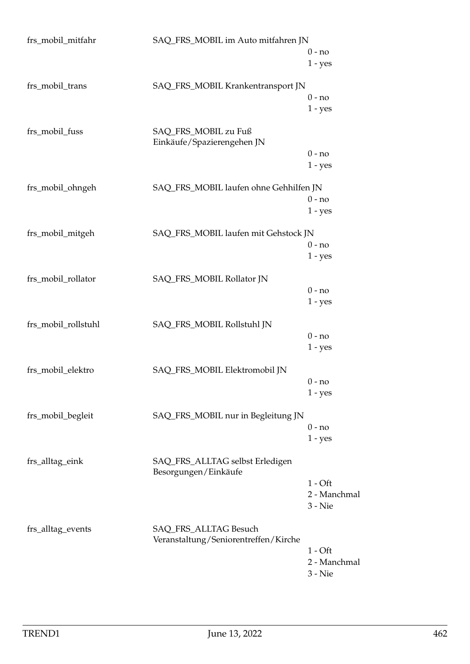| frs_mobil_mitfahr   | SAQ_FRS_MOBIL im Auto mitfahren JN                      |              |
|---------------------|---------------------------------------------------------|--------------|
|                     |                                                         | $0 - no$     |
|                     |                                                         | $1 - yes$    |
| frs_mobil_trans     | SAQ_FRS_MOBIL Krankentransport JN                       |              |
|                     |                                                         | $0 - no$     |
|                     |                                                         | $1 - yes$    |
| frs_mobil_fuss      | SAQ_FRS_MOBIL zu Fuß<br>Einkäufe/Spazierengehen JN      |              |
|                     |                                                         | $0 - no$     |
|                     |                                                         | $1 - yes$    |
| frs_mobil_ohngeh    | SAQ_FRS_MOBIL laufen ohne Gehhilfen JN                  |              |
|                     |                                                         | $0 - no$     |
|                     |                                                         | $1 - yes$    |
| frs_mobil_mitgeh    | SAQ_FRS_MOBIL laufen mit Gehstock JN                    |              |
|                     |                                                         | $0 - no$     |
|                     |                                                         | $1 - yes$    |
| frs_mobil_rollator  | SAQ_FRS_MOBIL Rollator JN                               |              |
|                     |                                                         | $0 - no$     |
|                     |                                                         | $1 - yes$    |
| frs_mobil_rollstuhl | SAQ_FRS_MOBIL Rollstuhl JN                              |              |
|                     |                                                         | $0 - no$     |
|                     |                                                         | $1 - yes$    |
|                     |                                                         |              |
| frs_mobil_elektro   | SAQ_FRS_MOBIL Elektromobil JN                           |              |
|                     |                                                         | $0 - no$     |
|                     |                                                         | $1 - yes$    |
| frs_mobil_begleit   | SAQ_FRS_MOBIL nur in Begleitung JN                      |              |
|                     |                                                         | $0 - no$     |
|                     |                                                         | $1 - yes$    |
| frs_alltag_eink     | SAQ_FRS_ALLTAG selbst Erledigen<br>Besorgungen/Einkäufe |              |
|                     |                                                         | $1 - Off$    |
|                     |                                                         | 2 - Manchmal |
|                     |                                                         | $3 -$ Nie    |
| frs_alltag_events   | SAQ_FRS_ALLTAG Besuch                                   |              |
|                     | Veranstaltung/Seniorentreffen/Kirche                    |              |
|                     |                                                         | $1 - Off$    |
|                     |                                                         | 2 - Manchmal |
|                     |                                                         | $3 - Nie$    |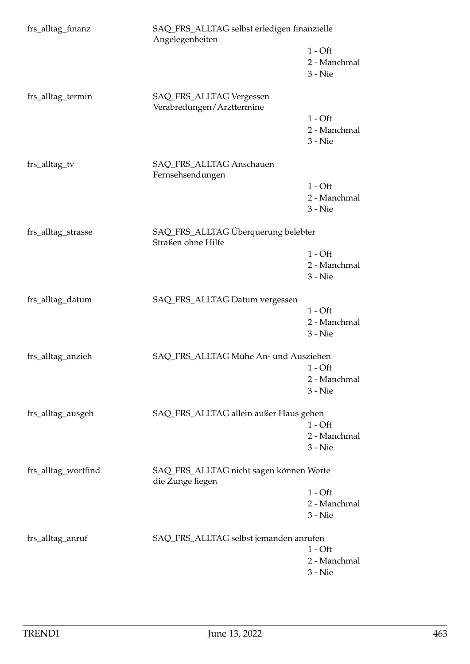| frs_alltag_finanz   | SAQ_FRS_ALLTAG selbst erledigen finanzielle<br>Angelegenheiten |                                        |
|---------------------|----------------------------------------------------------------|----------------------------------------|
|                     |                                                                | $1 - Off$<br>2 - Manchmal<br>$3 -$ Nie |
| frs_alltag_termin   | SAQ_FRS_ALLTAG Vergessen<br>Verabredungen/Arzttermine          |                                        |
|                     |                                                                | $1 - Off$<br>2 - Manchmal<br>3 - Nie   |
| frs_alltag_tv       | SAQ_FRS_ALLTAG Anschauen<br>Fernsehsendungen                   |                                        |
|                     |                                                                | $1 - Off$<br>2 - Manchmal<br>$3 - Nie$ |
| frs_alltag_strasse  | SAQ_FRS_ALLTAG Überquerung belebter<br>Straßen ohne Hilfe      |                                        |
|                     |                                                                | $1 - Off$<br>2 - Manchmal<br>3 - Nie   |
| frs_alltag_datum    | SAQ_FRS_ALLTAG Datum vergessen                                 |                                        |
|                     |                                                                | $1 - Off$<br>2 - Manchmal<br>$3 - Nie$ |
| frs_alltag_anzieh   | SAQ_FRS_ALLTAG Mühe An- und Ausziehen                          |                                        |
|                     |                                                                | $1 - Off$<br>2 - Manchmal<br>$3 -$ Nie |
| frs_alltag_ausgeh   | SAQ_FRS_ALLTAG allein außer Haus gehen                         |                                        |
|                     |                                                                | $1 - Off$<br>2 - Manchmal              |
|                     |                                                                | 3 - Nie                                |
| frs_alltag_wortfind | SAQ_FRS_ALLTAG nicht sagen können Worte<br>die Zunge liegen    |                                        |
|                     |                                                                | $1 - Off$<br>2 - Manchmal              |
|                     |                                                                | $3 - Nie$                              |
| frs_alltag_anruf    | SAQ_FRS_ALLTAG selbst jemanden anrufen                         |                                        |
|                     |                                                                | $1 - Off$<br>2 - Manchmal              |
|                     |                                                                | $3 - Nie$                              |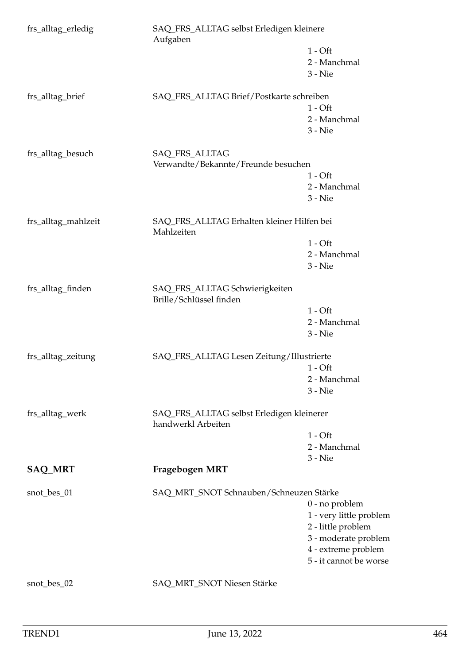| frs_alltag_erledig  | SAQ_FRS_ALLTAG selbst Erledigen kleinere<br>Aufgaben            |                         |
|---------------------|-----------------------------------------------------------------|-------------------------|
|                     |                                                                 | $1 - Off$               |
|                     |                                                                 | 2 - Manchmal            |
|                     |                                                                 | $3 -$ Nie               |
| frs_alltag_brief    | SAQ_FRS_ALLTAG Brief/Postkarte schreiben                        |                         |
|                     |                                                                 | $1 - Off$               |
|                     |                                                                 | 2 - Manchmal            |
|                     |                                                                 | $3 - Nie$               |
| frs_alltag_besuch   | SAQ_FRS_ALLTAG                                                  |                         |
|                     | Verwandte/Bekannte/Freunde besuchen                             |                         |
|                     |                                                                 | $1 - Off$               |
|                     |                                                                 | 2 - Manchmal            |
|                     |                                                                 | $3 -$ Nie               |
| frs_alltag_mahlzeit | SAQ_FRS_ALLTAG Erhalten kleiner Hilfen bei<br>Mahlzeiten        |                         |
|                     |                                                                 | $1 - Off$               |
|                     |                                                                 | 2 - Manchmal            |
|                     |                                                                 | $3 -$ Nie               |
| frs_alltag_finden   | SAQ_FRS_ALLTAG Schwierigkeiten<br>Brille/Schlüssel finden       |                         |
|                     |                                                                 | $1 - Off$               |
|                     |                                                                 | 2 - Manchmal            |
|                     |                                                                 | $3 - Nie$               |
| frs_alltag_zeitung  | SAQ_FRS_ALLTAG Lesen Zeitung/Illustrierte                       |                         |
|                     |                                                                 | $1 - Off$               |
|                     |                                                                 | 2 - Manchmal            |
|                     |                                                                 | $3 - Nie$               |
| frs_alltag_werk     | SAQ_FRS_ALLTAG selbst Erledigen kleinerer<br>handwerkl Arbeiten |                         |
|                     |                                                                 | $1 - Off$               |
|                     |                                                                 | 2 - Manchmal            |
|                     |                                                                 | $3 - Nie$               |
| <b>SAQ_MRT</b>      | Fragebogen MRT                                                  |                         |
| snot_bes_01         | SAQ_MRT_SNOT Schnauben/Schneuzen Stärke                         |                         |
|                     |                                                                 | $0$ - no problem        |
|                     |                                                                 | 1 - very little problem |
|                     |                                                                 | 2 - little problem      |
|                     |                                                                 | 3 - moderate problem    |
|                     |                                                                 | 4 - extreme problem     |
|                     |                                                                 | 5 - it cannot be worse  |
| snot_bes_02         | SAQ_MRT_SNOT Niesen Stärke                                      |                         |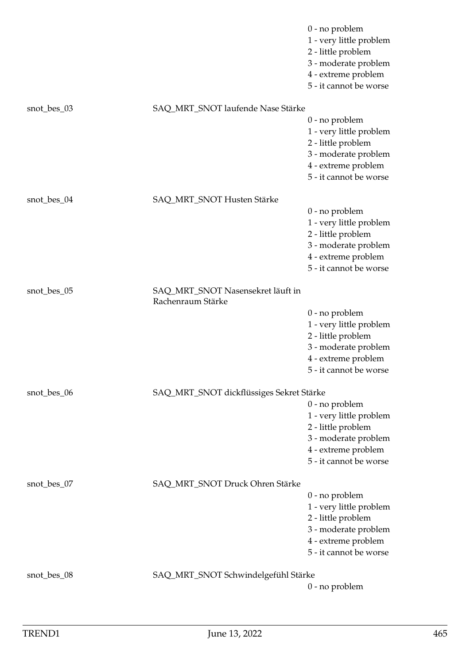|             |                                                        | $0$ - no problem<br>1 - very little problem<br>2 - little problem<br>3 - moderate problem<br>4 - extreme problem<br>5 - it cannot be worse |
|-------------|--------------------------------------------------------|--------------------------------------------------------------------------------------------------------------------------------------------|
| snot_bes_03 | SAQ_MRT_SNOT laufende Nase Stärke                      | 0 - no problem<br>1 - very little problem<br>2 - little problem<br>3 - moderate problem<br>4 - extreme problem                             |
|             |                                                        | 5 - it cannot be worse                                                                                                                     |
| snot_bes_04 | SAQ_MRT_SNOT Husten Stärke                             | $0$ - no problem<br>1 - very little problem<br>2 - little problem<br>3 - moderate problem<br>4 - extreme problem<br>5 - it cannot be worse |
| snot_bes_05 | SAQ_MRT_SNOT Nasensekret läuft in<br>Rachenraum Stärke |                                                                                                                                            |
|             |                                                        | $0$ - no problem<br>1 - very little problem<br>2 - little problem<br>3 - moderate problem<br>4 - extreme problem<br>5 - it cannot be worse |
| snot_bes_06 | SAQ_MRT_SNOT dickflüssiges Sekret Stärke               | $0$ - no problem                                                                                                                           |
|             |                                                        | 1 - very little problem<br>2 - little problem<br>3 - moderate problem<br>4 - extreme problem<br>5 - it cannot be worse                     |
| snot_bes_07 | SAQ_MRT_SNOT Druck Ohren Stärke                        | 0 - no problem                                                                                                                             |
|             |                                                        | 1 - very little problem<br>2 - little problem<br>3 - moderate problem<br>4 - extreme problem<br>5 - it cannot be worse                     |
| snot_bes_08 | SAQ_MRT_SNOT Schwindelgefühl Stärke                    | 0 - no problem                                                                                                                             |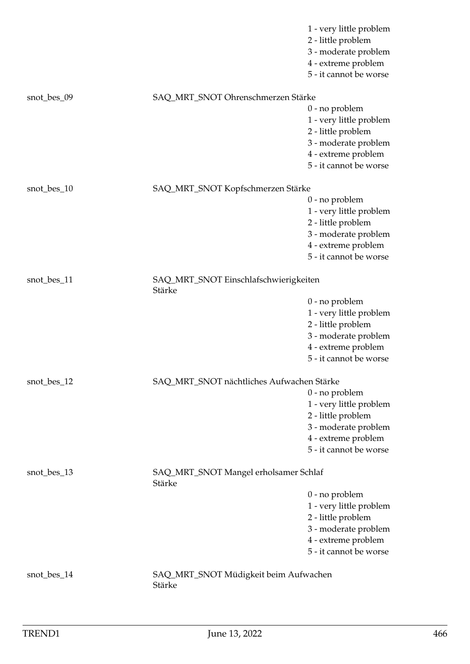|             |                                                 | 1 - very little problem                    |
|-------------|-------------------------------------------------|--------------------------------------------|
|             |                                                 | 2 - little problem<br>3 - moderate problem |
|             |                                                 | 4 - extreme problem                        |
|             |                                                 | 5 - it cannot be worse                     |
|             |                                                 |                                            |
| snot_bes_09 | SAQ_MRT_SNOT Ohrenschmerzen Stärke              |                                            |
|             |                                                 | $0$ - no problem                           |
|             |                                                 | 1 - very little problem                    |
|             |                                                 | 2 - little problem                         |
|             |                                                 | 3 - moderate problem                       |
|             |                                                 | 4 - extreme problem                        |
|             |                                                 | 5 - it cannot be worse                     |
| snot_bes_10 | SAQ_MRT_SNOT Kopfschmerzen Stärke               |                                            |
|             |                                                 | $0$ - no problem                           |
|             |                                                 | 1 - very little problem                    |
|             |                                                 | 2 - little problem                         |
|             |                                                 | 3 - moderate problem                       |
|             |                                                 | 4 - extreme problem                        |
|             |                                                 | 5 - it cannot be worse                     |
| snot_bes_11 | SAQ_MRT_SNOT Einschlafschwierigkeiten<br>Stärke |                                            |
|             |                                                 | $0$ - no problem                           |
|             |                                                 | 1 - very little problem                    |
|             |                                                 | 2 - little problem                         |
|             |                                                 | 3 - moderate problem                       |
|             |                                                 | 4 - extreme problem                        |
|             |                                                 | 5 - it cannot be worse                     |
| snot_bes_12 | SAQ_MRT_SNOT nächtliches Aufwachen Stärke       |                                            |
|             |                                                 | $0$ - no problem                           |
|             |                                                 | 1 - very little problem                    |
|             |                                                 | 2 - little problem                         |
|             |                                                 | 3 - moderate problem                       |
|             |                                                 | 4 - extreme problem                        |
|             |                                                 | 5 - it cannot be worse                     |
| snot_bes_13 | SAQ_MRT_SNOT Mangel erholsamer Schlaf<br>Stärke |                                            |
|             |                                                 | $0$ - no problem                           |
|             |                                                 | 1 - very little problem                    |
|             |                                                 | 2 - little problem                         |
|             |                                                 | 3 - moderate problem                       |
|             |                                                 | 4 - extreme problem                        |
|             |                                                 | 5 - it cannot be worse                     |
| snot_bes_14 | SAQ_MRT_SNOT Müdigkeit beim Aufwachen<br>Stärke |                                            |
|             |                                                 |                                            |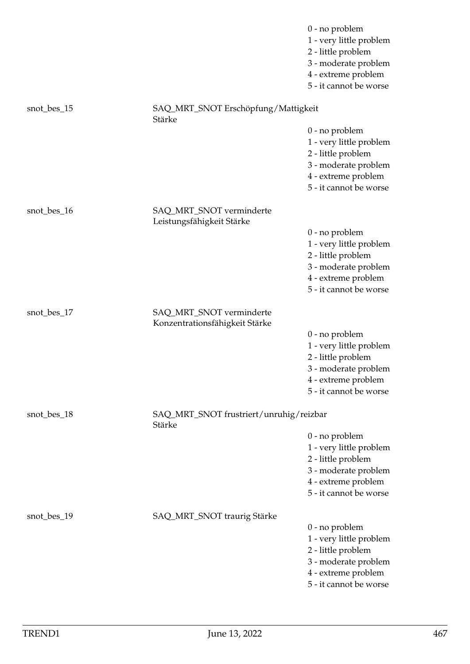|             |                                                            | $0$ - no problem<br>1 - very little problem<br>2 - little problem<br>3 - moderate problem<br>4 - extreme problem<br>5 - it cannot be worse |
|-------------|------------------------------------------------------------|--------------------------------------------------------------------------------------------------------------------------------------------|
| snot_bes_15 | SAQ_MRT_SNOT Erschöpfung/Mattigkeit<br>Stärke              |                                                                                                                                            |
|             |                                                            | $0$ - no problem<br>1 - very little problem<br>2 - little problem<br>3 - moderate problem<br>4 - extreme problem<br>5 - it cannot be worse |
| snot_bes_16 | SAQ_MRT_SNOT verminderte<br>Leistungsfähigkeit Stärke      |                                                                                                                                            |
|             |                                                            | $0$ - no problem<br>1 - very little problem<br>2 - little problem<br>3 - moderate problem<br>4 - extreme problem<br>5 - it cannot be worse |
| snot_bes_17 | SAQ_MRT_SNOT verminderte<br>Konzentrationsfähigkeit Stärke |                                                                                                                                            |
|             |                                                            | 0 - no problem<br>1 - very little problem<br>2 - little problem<br>3 - moderate problem<br>4 - extreme problem<br>5 - it cannot be worse   |
| snot_bes_18 | SAQ_MRT_SNOT frustriert/unruhig/reizbar<br>Stärke          |                                                                                                                                            |
|             |                                                            | $0$ - no problem<br>1 - very little problem<br>2 - little problem<br>3 - moderate problem<br>4 - extreme problem<br>5 - it cannot be worse |
| snot_bes_19 | SAQ_MRT_SNOT traurig Stärke                                | $0$ - no problem<br>1 - very little problem<br>2 - little problem<br>3 - moderate problem<br>4 - extreme problem<br>5 - it cannot be worse |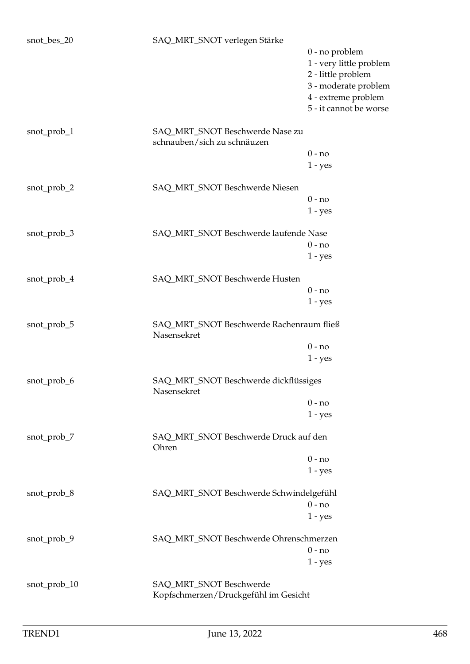| snot_bes_20  | SAQ_MRT_SNOT verlegen Stärke                                    |                                             |
|--------------|-----------------------------------------------------------------|---------------------------------------------|
|              |                                                                 | $0$ - no problem<br>1 - very little problem |
|              |                                                                 | 2 - little problem                          |
|              |                                                                 | 3 - moderate problem                        |
|              |                                                                 | 4 - extreme problem                         |
|              |                                                                 | 5 - it cannot be worse                      |
| snot_prob_1  | SAQ_MRT_SNOT Beschwerde Nase zu<br>schnauben/sich zu schnäuzen  |                                             |
|              |                                                                 | $0 - no$                                    |
|              |                                                                 | $1 - yes$                                   |
| snot_prob_2  | SAQ_MRT_SNOT Beschwerde Niesen                                  |                                             |
|              |                                                                 | $0 - no$                                    |
|              |                                                                 | $1 - yes$                                   |
| snot_prob_3  | SAQ_MRT_SNOT Beschwerde laufende Nase                           |                                             |
|              |                                                                 | $0 - no$                                    |
|              |                                                                 | $1 - yes$                                   |
| snot_prob_4  | SAQ_MRT_SNOT Beschwerde Husten                                  |                                             |
|              |                                                                 | $0 - no$                                    |
|              |                                                                 | $1 - yes$                                   |
| snot_prob_5  | SAQ_MRT_SNOT Beschwerde Rachenraum fließ<br>Nasensekret         |                                             |
|              |                                                                 | $0 - no$                                    |
|              |                                                                 | $1 - yes$                                   |
| snot_prob_6  | SAQ_MRT_SNOT Beschwerde dickflüssiges<br>Nasensekret            |                                             |
|              |                                                                 | $0 - no$                                    |
|              |                                                                 | $1 - yes$                                   |
| snot_prob_7  | SAQ_MRT_SNOT Beschwerde Druck auf den<br>Ohren                  |                                             |
|              |                                                                 | $0 - no$                                    |
|              |                                                                 | $1 - yes$                                   |
| snot_prob_8  | SAQ_MRT_SNOT Beschwerde Schwindelgefühl                         |                                             |
|              |                                                                 | $0 - no$                                    |
|              |                                                                 | $1 - yes$                                   |
| snot_prob_9  | SAQ_MRT_SNOT Beschwerde Ohrenschmerzen                          |                                             |
|              |                                                                 | $0 - no$                                    |
|              |                                                                 | $1 - yes$                                   |
| snot_prob_10 | SAQ_MRT_SNOT Beschwerde<br>Kopfschmerzen/Druckgefühl im Gesicht |                                             |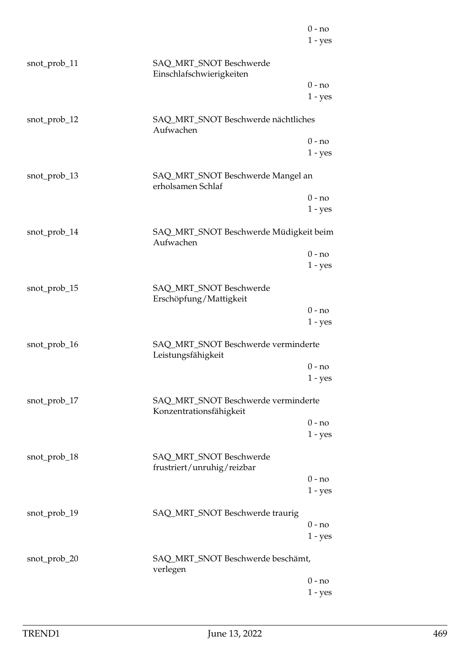|              |                                                                | $0 - no$  |
|--------------|----------------------------------------------------------------|-----------|
|              |                                                                | $1 - yes$ |
| snot_prob_11 | SAQ_MRT_SNOT Beschwerde<br>Einschlafschwierigkeiten            |           |
|              |                                                                | $0 - no$  |
|              |                                                                | $1 - yes$ |
| snot_prob_12 | SAQ_MRT_SNOT Beschwerde nächtliches<br>Aufwachen               |           |
|              |                                                                | $0 - no$  |
|              |                                                                | $1 - yes$ |
| snot_prob_13 | SAQ_MRT_SNOT Beschwerde Mangel an<br>erholsamen Schlaf         |           |
|              |                                                                | $0 - no$  |
|              |                                                                | $1 - yes$ |
| snot_prob_14 | SAQ_MRT_SNOT Beschwerde Müdigkeit beim<br>Aufwachen            |           |
|              |                                                                | $0 - no$  |
|              |                                                                | $1 - yes$ |
| snot_prob_15 | SAQ_MRT_SNOT Beschwerde<br>Erschöpfung/Mattigkeit              |           |
|              |                                                                | $0 - no$  |
|              |                                                                | $1 - yes$ |
| snot_prob_16 | SAQ_MRT_SNOT Beschwerde verminderte<br>Leistungsfähigkeit      |           |
|              |                                                                | $0 - no$  |
|              |                                                                | $1 - yes$ |
| snot_prob_17 | SAQ_MRT_SNOT Beschwerde verminderte<br>Konzentrationsfähigkeit |           |
|              |                                                                | $0 - no$  |
|              |                                                                | $1 - yes$ |
| snot_prob_18 | SAQ_MRT_SNOT Beschwerde<br>frustriert/unruhig/reizbar          |           |
|              |                                                                | $0 - no$  |
|              |                                                                | $1 - yes$ |
| snot_prob_19 | SAQ_MRT_SNOT Beschwerde traurig                                |           |
|              |                                                                | $0 - no$  |
|              |                                                                | $1 - yes$ |
| snot_prob_20 | SAQ_MRT_SNOT Beschwerde beschämt,<br>verlegen                  |           |
|              |                                                                | $0 - no$  |
|              |                                                                | $1 - yes$ |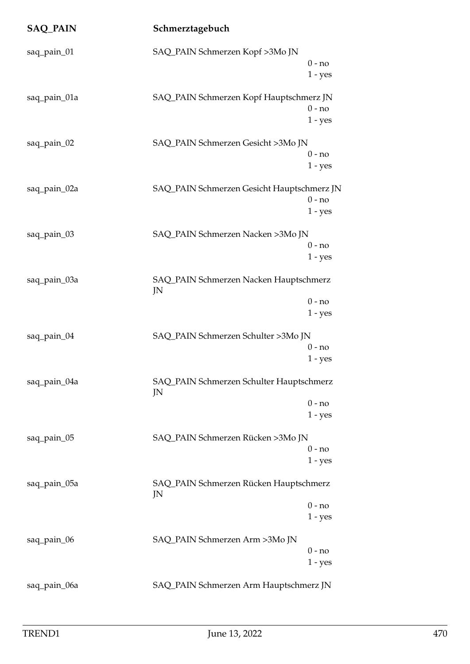| <b>SAQ_PAIN</b> | Schmerztagebuch                                |                       |
|-----------------|------------------------------------------------|-----------------------|
| saq_pain_01     | SAQ_PAIN Schmerzen Kopf >3Mo JN                | $0 - no$<br>$1 - yes$ |
| saq_pain_01a    | SAQ_PAIN Schmerzen Kopf Hauptschmerz JN        | $0 - no$<br>$1 - yes$ |
| saq_pain_02     | SAQ_PAIN Schmerzen Gesicht >3Mo JN             | $0 - no$<br>$1 - yes$ |
| saq_pain_02a    | SAQ_PAIN Schmerzen Gesicht Hauptschmerz JN     | $0 - no$<br>$1 - yes$ |
| saq_pain_03     | SAQ_PAIN Schmerzen Nacken >3Mo JN              | $0 - no$<br>$1 - yes$ |
| saq_pain_03a    | SAQ_PAIN Schmerzen Nacken Hauptschmerz<br>JN   | $0 - no$<br>$1 - yes$ |
| saq_pain_04     | SAQ_PAIN Schmerzen Schulter >3Mo JN            | $0 - no$<br>$1 - yes$ |
| saq_pain_04a    | SAQ_PAIN Schmerzen Schulter Hauptschmerz<br>JN | $0 - no$<br>$1 - yes$ |
| saq_pain_05     | SAQ_PAIN Schmerzen Rücken >3Mo JN              | $0 - no$<br>$1 - yes$ |
| saq_pain_05a    | SAQ_PAIN Schmerzen Rücken Hauptschmerz<br>JN   | $0 - no$<br>$1 - yes$ |
| saq_pain_06     | SAQ_PAIN Schmerzen Arm >3Mo JN                 | $0 - no$<br>$1 - yes$ |
| saq_pain_06a    | SAQ_PAIN Schmerzen Arm Hauptschmerz JN         |                       |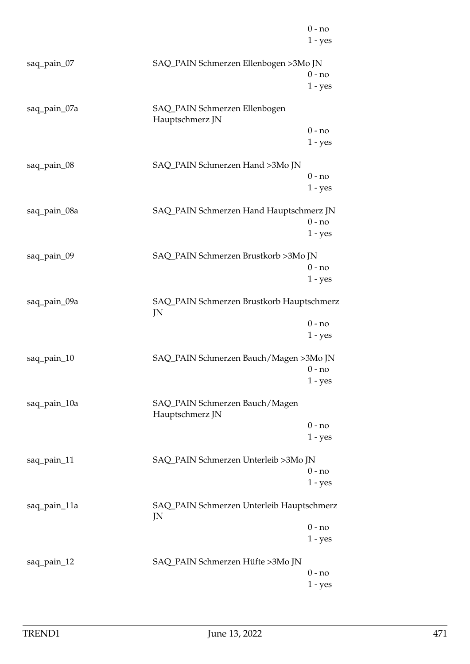|              |                                                   | $0 - no$<br>$1 - yes$ |
|--------------|---------------------------------------------------|-----------------------|
| saq_pain_07  | SAQ_PAIN Schmerzen Ellenbogen >3Mo JN             | $0 - no$<br>$1 - yes$ |
| saq_pain_07a | SAQ_PAIN Schmerzen Ellenbogen<br>Hauptschmerz JN  |                       |
|              |                                                   | $0 - no$<br>$1 - yes$ |
| saq_pain_08  | SAQ_PAIN Schmerzen Hand >3Mo JN                   | $0 - no$<br>$1 - yes$ |
| saq_pain_08a | SAQ_PAIN Schmerzen Hand Hauptschmerz JN           | $0 - no$<br>$1 - yes$ |
| saq_pain_09  | SAQ_PAIN Schmerzen Brustkorb >3Mo JN              | $0 - no$<br>$1 - yes$ |
| saq_pain_09a | SAQ_PAIN Schmerzen Brustkorb Hauptschmerz<br>JN   |                       |
|              |                                                   | $0 - no$<br>$1 - yes$ |
| saq_pain_10  | SAQ_PAIN Schmerzen Bauch/Magen >3Mo JN            | $0 - no$              |
| saq_pain_10a | SAQ_PAIN Schmerzen Bauch/Magen<br>Hauptschmerz JN | $1 - yes$             |
|              |                                                   | $0 - no$<br>$1 - yes$ |
| saq_pain_11  | SAQ_PAIN Schmerzen Unterleib >3Mo JN              | $0 - no$<br>$1 - yes$ |
| saq_pain_11a | SAQ_PAIN Schmerzen Unterleib Hauptschmerz<br>JN   |                       |
|              |                                                   | $0 - no$<br>$1 - yes$ |
| saq_pain_12  | SAQ_PAIN Schmerzen Hüfte >3Mo JN                  | $0 - no$<br>$1 - yes$ |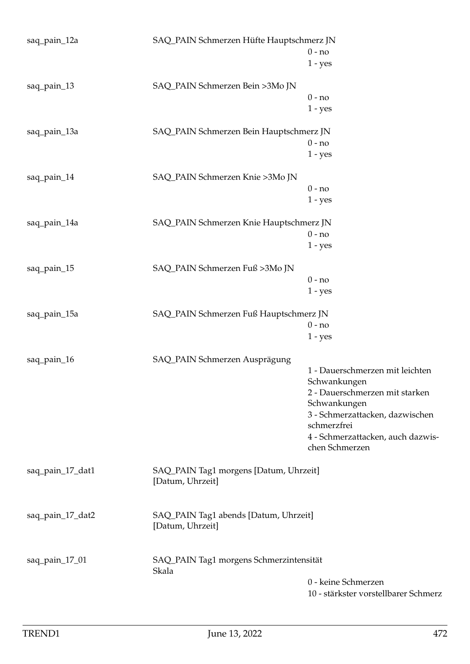| saq_pain_12a     | SAQ_PAIN Schmerzen Hüfte Hauptschmerz JN<br>$0 - no$       |                                                     |
|------------------|------------------------------------------------------------|-----------------------------------------------------|
|                  |                                                            | $1 - yes$                                           |
| saq_pain_13      | SAQ_PAIN Schmerzen Bein >3Mo JN                            |                                                     |
|                  |                                                            | $0 - no$                                            |
|                  |                                                            | $1 - yes$                                           |
| saq_pain_13a     | SAQ_PAIN Schmerzen Bein Hauptschmerz JN                    |                                                     |
|                  |                                                            | $0 - no$                                            |
|                  |                                                            | $1 - yes$                                           |
| saq_pain_14      | SAQ_PAIN Schmerzen Knie >3Mo JN                            |                                                     |
|                  |                                                            | $0 - no$                                            |
|                  |                                                            | $1 - yes$                                           |
|                  |                                                            |                                                     |
| saq_pain_14a     | SAQ_PAIN Schmerzen Knie Hauptschmerz JN                    |                                                     |
|                  |                                                            | $0 - no$                                            |
|                  |                                                            | $1 - yes$                                           |
| saq_pain_15      | SAQ_PAIN Schmerzen Fuß >3Mo JN                             |                                                     |
|                  |                                                            | $0 - no$                                            |
|                  |                                                            | $1 - yes$                                           |
| saq_pain_15a     | SAQ_PAIN Schmerzen Fuß Hauptschmerz JN                     |                                                     |
|                  |                                                            | $0 - no$                                            |
|                  |                                                            | $1 - yes$                                           |
| saq_pain_16      | SAQ_PAIN Schmerzen Ausprägung                              |                                                     |
|                  |                                                            | 1 - Dauerschmerzen mit leichten                     |
|                  |                                                            | Schwankungen                                        |
|                  |                                                            | 2 - Dauerschmerzen mit starken                      |
|                  |                                                            | Schwankungen                                        |
|                  |                                                            | 3 - Schmerzattacken, dazwischen<br>schmerzfrei      |
|                  |                                                            |                                                     |
|                  |                                                            | 4 - Schmerzattacken, auch dazwis-<br>chen Schmerzen |
| saq_pain_17_dat1 | SAQ_PAIN Tag1 morgens [Datum, Uhrzeit]<br>[Datum, Uhrzeit] |                                                     |
|                  |                                                            |                                                     |
| saq_pain_17_dat2 | SAQ_PAIN Tag1 abends [Datum, Uhrzeit]<br>[Datum, Uhrzeit]  |                                                     |
| saq_pain_17_01   | SAQ_PAIN Tag1 morgens Schmerzintensität<br>Skala           |                                                     |
|                  |                                                            | 0 - keine Schmerzen                                 |
|                  |                                                            | 10 - stärkster vorstellbarer Schmerz                |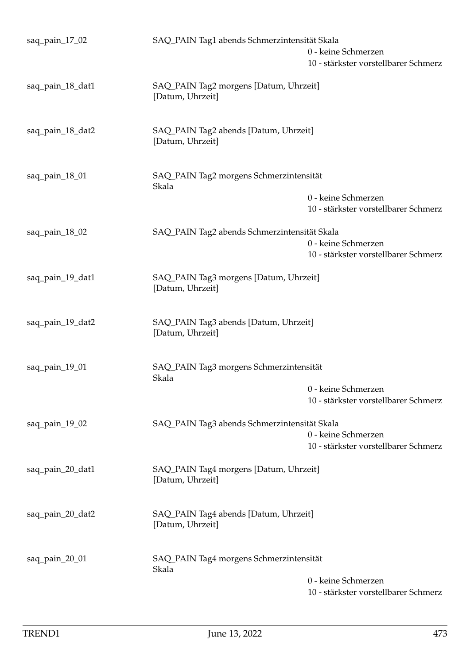| saq_pain_17_02   | SAQ_PAIN Tag1 abends Schmerzintensität Skala               | 0 - keine Schmerzen<br>10 - stärkster vorstellbarer Schmerz |
|------------------|------------------------------------------------------------|-------------------------------------------------------------|
| saq_pain_18_dat1 | SAQ_PAIN Tag2 morgens [Datum, Uhrzeit]<br>[Datum, Uhrzeit] |                                                             |
| saq_pain_18_dat2 | SAQ_PAIN Tag2 abends [Datum, Uhrzeit]<br>[Datum, Uhrzeit]  |                                                             |
| saq_pain_18_01   | SAQ_PAIN Tag2 morgens Schmerzintensität<br>Skala           | 0 - keine Schmerzen                                         |
|                  |                                                            | 10 - stärkster vorstellbarer Schmerz                        |
| saq_pain_18_02   | SAQ_PAIN Tag2 abends Schmerzintensität Skala               | 0 - keine Schmerzen<br>10 - stärkster vorstellbarer Schmerz |
| saq_pain_19_dat1 | SAQ_PAIN Tag3 morgens [Datum, Uhrzeit]<br>[Datum, Uhrzeit] |                                                             |
| saq_pain_19_dat2 | SAQ_PAIN Tag3 abends [Datum, Uhrzeit]<br>[Datum, Uhrzeit]  |                                                             |
| saq_pain_19_01   | SAQ_PAIN Tag3 morgens Schmerzintensität<br>Skala           |                                                             |
|                  |                                                            | 0 - keine Schmerzen<br>10 - stärkster vorstellbarer Schmerz |
| saq_pain_19_02   | SAQ_PAIN Tag3 abends Schmerzintensität Skala               |                                                             |
|                  |                                                            | 0 - keine Schmerzen<br>10 - stärkster vorstellbarer Schmerz |
| saq_pain_20_dat1 | SAQ_PAIN Tag4 morgens [Datum, Uhrzeit]<br>[Datum, Uhrzeit] |                                                             |
| saq_pain_20_dat2 | SAQ_PAIN Tag4 abends [Datum, Uhrzeit]<br>[Datum, Uhrzeit]  |                                                             |
| saq_pain_20_01   | SAQ_PAIN Tag4 morgens Schmerzintensität<br>Skala           | 0 - keine Schmerzen<br>10 - stärkster vorstellbarer Schmerz |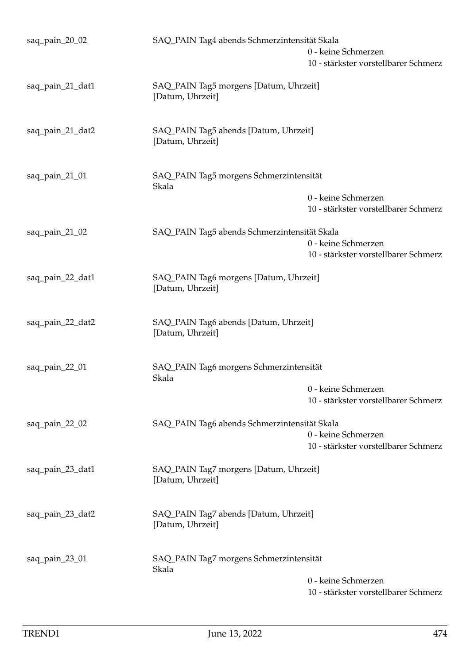| saq_pain_20_02   | SAQ_PAIN Tag4 abends Schmerzintensität Skala               | 0 - keine Schmerzen<br>10 - stärkster vorstellbarer Schmerz |
|------------------|------------------------------------------------------------|-------------------------------------------------------------|
| saq_pain_21_dat1 | SAQ_PAIN Tag5 morgens [Datum, Uhrzeit]<br>[Datum, Uhrzeit] |                                                             |
| saq_pain_21_dat2 | SAQ_PAIN Tag5 abends [Datum, Uhrzeit]<br>[Datum, Uhrzeit]  |                                                             |
| saq_pain_21_01   | SAQ_PAIN Tag5 morgens Schmerzintensität<br>Skala           | 0 - keine Schmerzen                                         |
|                  |                                                            | 10 - stärkster vorstellbarer Schmerz                        |
| saq_pain_21_02   | SAQ_PAIN Tag5 abends Schmerzintensität Skala               | 0 - keine Schmerzen<br>10 - stärkster vorstellbarer Schmerz |
| saq_pain_22_dat1 | SAQ_PAIN Tag6 morgens [Datum, Uhrzeit]<br>[Datum, Uhrzeit] |                                                             |
| saq_pain_22_dat2 | SAQ_PAIN Tag6 abends [Datum, Uhrzeit]<br>[Datum, Uhrzeit]  |                                                             |
| saq_pain_22_01   | SAQ_PAIN Tag6 morgens Schmerzintensität<br>Skala           | 0 - keine Schmerzen                                         |
|                  |                                                            | 10 - stärkster vorstellbarer Schmerz                        |
| saq_pain_22_02   | SAQ_PAIN Tag6 abends Schmerzintensität Skala               | 0 - keine Schmerzen<br>10 - stärkster vorstellbarer Schmerz |
| saq_pain_23_dat1 | SAQ_PAIN Tag7 morgens [Datum, Uhrzeit]<br>[Datum, Uhrzeit] |                                                             |
| saq_pain_23_dat2 | SAQ_PAIN Tag7 abends [Datum, Uhrzeit]<br>[Datum, Uhrzeit]  |                                                             |
| saq_pain_23_01   | SAQ_PAIN Tag7 morgens Schmerzintensität<br>Skala           | 0 - keine Schmerzen<br>10 - stärkster vorstellbarer Schmerz |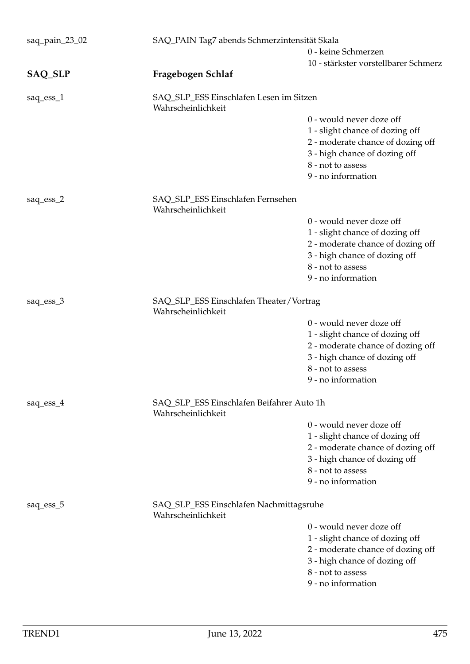| saq_pain_23_02 | SAQ_PAIN Tag7 abends Schmerzintensität Skala                    |                                                                                                                                                                              |
|----------------|-----------------------------------------------------------------|------------------------------------------------------------------------------------------------------------------------------------------------------------------------------|
|                | 0 - keine Schmerzen                                             |                                                                                                                                                                              |
| SAQ_SLP        | Fragebogen Schlaf                                               | 10 - stärkster vorstellbarer Schmerz                                                                                                                                         |
| saq_ess_1      | SAQ_SLP_ESS Einschlafen Lesen im Sitzen<br>Wahrscheinlichkeit   |                                                                                                                                                                              |
|                |                                                                 | 0 - would never doze off<br>1 - slight chance of dozing off<br>2 - moderate chance of dozing off<br>3 - high chance of dozing off<br>8 - not to assess<br>9 - no information |
| saq_ess_2      | SAQ_SLP_ESS Einschlafen Fernsehen<br>Wahrscheinlichkeit         |                                                                                                                                                                              |
|                |                                                                 | 0 - would never doze off<br>1 - slight chance of dozing off<br>2 - moderate chance of dozing off<br>3 - high chance of dozing off<br>8 - not to assess<br>9 - no information |
| saq_ess_3      | SAQ_SLP_ESS Einschlafen Theater/Vortrag<br>Wahrscheinlichkeit   |                                                                                                                                                                              |
|                |                                                                 | 0 - would never doze off<br>1 - slight chance of dozing off<br>2 - moderate chance of dozing off<br>3 - high chance of dozing off<br>8 - not to assess<br>9 - no information |
| saq_ess_4      | SAQ_SLP_ESS Einschlafen Beifahrer Auto 1h<br>Wahrscheinlichkeit |                                                                                                                                                                              |
|                |                                                                 | 0 - would never doze off<br>1 - slight chance of dozing off<br>2 - moderate chance of dozing off<br>3 - high chance of dozing off<br>8 - not to assess<br>9 - no information |
| saq_ess_5      | SAQ_SLP_ESS Einschlafen Nachmittagsruhe<br>Wahrscheinlichkeit   |                                                                                                                                                                              |
|                |                                                                 | 0 - would never doze off<br>1 - slight chance of dozing off<br>2 - moderate chance of dozing off<br>3 - high chance of dozing off<br>8 - not to assess<br>9 - no information |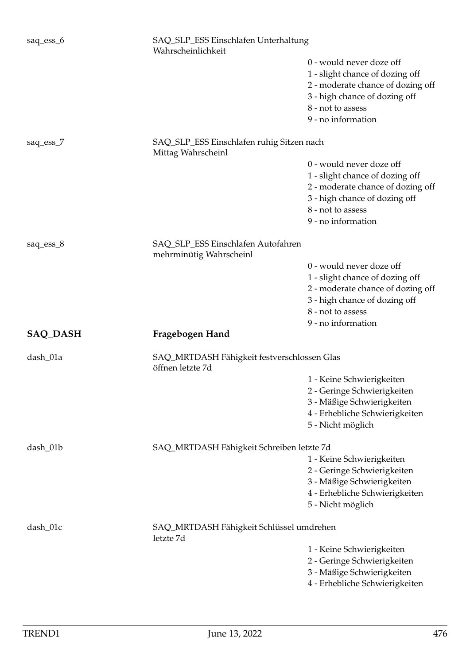| saq_ess_6       | SAQ_SLP_ESS Einschlafen Unterhaltung<br>Wahrscheinlichkeit      |                                                                                                                                                                              |
|-----------------|-----------------------------------------------------------------|------------------------------------------------------------------------------------------------------------------------------------------------------------------------------|
|                 |                                                                 | 0 - would never doze off<br>1 - slight chance of dozing off<br>2 - moderate chance of dozing off<br>3 - high chance of dozing off<br>8 - not to assess<br>9 - no information |
| saq_ess_7       | SAQ_SLP_ESS Einschlafen ruhig Sitzen nach<br>Mittag Wahrscheinl |                                                                                                                                                                              |
|                 |                                                                 | 0 - would never doze off<br>1 - slight chance of dozing off<br>2 - moderate chance of dozing off<br>3 - high chance of dozing off<br>8 - not to assess<br>9 - no information |
| saq_ess_8       | SAQ_SLP_ESS Einschlafen Autofahren<br>mehrminütig Wahrscheinl   |                                                                                                                                                                              |
|                 |                                                                 | 0 - would never doze off<br>1 - slight chance of dozing off<br>2 - moderate chance of dozing off<br>3 - high chance of dozing off<br>8 - not to assess                       |
| <b>SAQ_DASH</b> | Fragebogen Hand                                                 | 9 - no information                                                                                                                                                           |
| dash_01a        | SAQ_MRTDASH Fähigkeit festverschlossen Glas<br>öffnen letzte 7d |                                                                                                                                                                              |
|                 |                                                                 | 1 - Keine Schwierigkeiten<br>2 - Geringe Schwierigkeiten<br>3 - Mäßige Schwierigkeiten<br>4 - Erhebliche Schwierigkeiten<br>5 - Nicht möglich                                |
| dash_01b        | SAQ_MRTDASH Fähigkeit Schreiben letzte 7d                       | 1 - Keine Schwierigkeiten<br>2 - Geringe Schwierigkeiten<br>3 - Mäßige Schwierigkeiten                                                                                       |
|                 |                                                                 | 4 - Erhebliche Schwierigkeiten<br>5 - Nicht möglich                                                                                                                          |
| dash_01c        | SAQ_MRTDASH Fähigkeit Schlüssel umdrehen<br>letzte 7d           |                                                                                                                                                                              |
|                 |                                                                 | 1 - Keine Schwierigkeiten<br>2 - Geringe Schwierigkeiten<br>3 - Mäßige Schwierigkeiten<br>4 - Erhebliche Schwierigkeiten                                                     |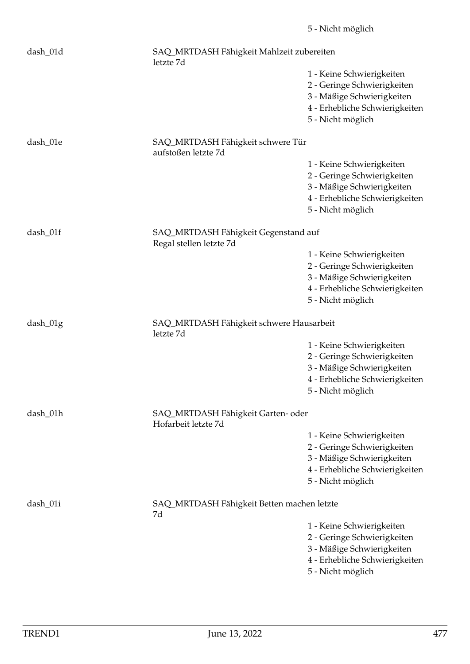| dash_01d   | SAQ_MRTDASH Fähigkeit Mahlzeit zubereiten<br>letzte 7d          |                                                                                                                                               |
|------------|-----------------------------------------------------------------|-----------------------------------------------------------------------------------------------------------------------------------------------|
|            |                                                                 | 1 - Keine Schwierigkeiten<br>2 - Geringe Schwierigkeiten<br>3 - Mäßige Schwierigkeiten<br>4 - Erhebliche Schwierigkeiten<br>5 - Nicht möglich |
| dash_01e   | SAQ_MRTDASH Fähigkeit schwere Tür<br>aufstoßen letzte 7d        |                                                                                                                                               |
|            |                                                                 | 1 - Keine Schwierigkeiten<br>2 - Geringe Schwierigkeiten<br>3 - Mäßige Schwierigkeiten<br>4 - Erhebliche Schwierigkeiten<br>5 - Nicht möglich |
| dash_01f   | SAQ_MRTDASH Fähigkeit Gegenstand auf<br>Regal stellen letzte 7d |                                                                                                                                               |
|            |                                                                 | 1 - Keine Schwierigkeiten<br>2 - Geringe Schwierigkeiten<br>3 - Mäßige Schwierigkeiten<br>4 - Erhebliche Schwierigkeiten<br>5 - Nicht möglich |
| $dash_01g$ | SAQ_MRTDASH Fähigkeit schwere Hausarbeit<br>letzte 7d           |                                                                                                                                               |
|            |                                                                 | 1 - Keine Schwierigkeiten<br>2 - Geringe Schwierigkeiten<br>3 - Mäßige Schwierigkeiten<br>4 - Erhebliche Schwierigkeiten<br>5 - Nicht möglich |
| dash_01h   | SAQ_MRTDASH Fähigkeit Garten- oder<br>Hofarbeit letzte 7d       |                                                                                                                                               |
|            |                                                                 | 1 - Keine Schwierigkeiten<br>2 - Geringe Schwierigkeiten<br>3 - Mäßige Schwierigkeiten<br>4 - Erhebliche Schwierigkeiten<br>5 - Nicht möglich |
| dash_01i   | SAQ_MRTDASH Fähigkeit Betten machen letzte<br>7d                |                                                                                                                                               |
|            |                                                                 | 1 - Keine Schwierigkeiten<br>2 - Geringe Schwierigkeiten<br>3 - Mäßige Schwierigkeiten<br>4 - Erhebliche Schwierigkeiten<br>5 - Nicht möglich |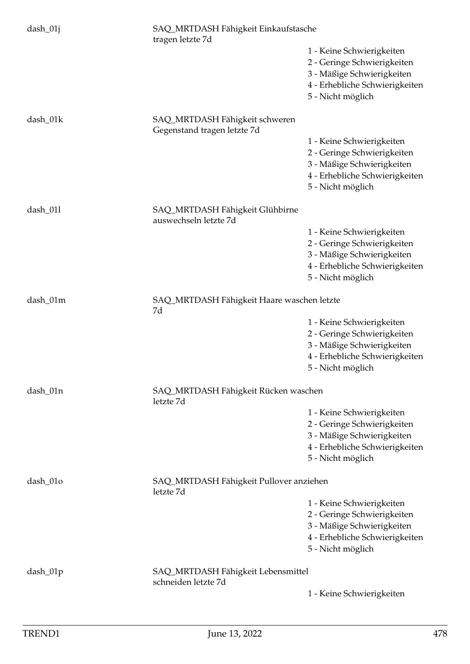| dash_01j   | SAQ_MRTDASH Fähigkeit Einkaufstasche<br>tragen letzte 7d      |                                                                                                                                               |
|------------|---------------------------------------------------------------|-----------------------------------------------------------------------------------------------------------------------------------------------|
|            |                                                               | 1 - Keine Schwierigkeiten<br>2 - Geringe Schwierigkeiten<br>3 - Mäßige Schwierigkeiten<br>4 - Erhebliche Schwierigkeiten<br>5 - Nicht möglich |
| dash_01k   | SAQ_MRTDASH Fähigkeit schweren<br>Gegenstand tragen letzte 7d |                                                                                                                                               |
|            |                                                               | 1 - Keine Schwierigkeiten<br>2 - Geringe Schwierigkeiten<br>3 - Mäßige Schwierigkeiten<br>4 - Erhebliche Schwierigkeiten<br>5 - Nicht möglich |
| dash_011   | SAQ_MRTDASH Fähigkeit Glühbirne<br>auswechseln letzte 7d      |                                                                                                                                               |
|            |                                                               | 1 - Keine Schwierigkeiten<br>2 - Geringe Schwierigkeiten<br>3 - Mäßige Schwierigkeiten<br>4 - Erhebliche Schwierigkeiten<br>5 - Nicht möglich |
| dash_01m   | SAQ_MRTDASH Fähigkeit Haare waschen letzte<br>7d              |                                                                                                                                               |
|            |                                                               | 1 - Keine Schwierigkeiten<br>2 - Geringe Schwierigkeiten<br>3 - Mäßige Schwierigkeiten<br>4 - Erhebliche Schwierigkeiten<br>5 - Nicht möglich |
| dash_01n   | SAQ_MRTDASH Fähigkeit Rücken waschen<br>letzte 7d             |                                                                                                                                               |
|            |                                                               | 1 - Keine Schwierigkeiten<br>2 - Geringe Schwierigkeiten<br>3 - Mäßige Schwierigkeiten<br>4 - Erhebliche Schwierigkeiten<br>5 - Nicht möglich |
| dash_01o   | SAQ_MRTDASH Fähigkeit Pullover anziehen<br>letzte 7d          |                                                                                                                                               |
|            |                                                               | 1 - Keine Schwierigkeiten<br>2 - Geringe Schwierigkeiten<br>3 - Mäßige Schwierigkeiten<br>4 - Erhebliche Schwierigkeiten<br>5 - Nicht möglich |
| $dash_01p$ | SAQ_MRTDASH Fähigkeit Lebensmittel<br>schneiden letzte 7d     |                                                                                                                                               |
|            |                                                               | 1 - Keine Schwierigkeiten                                                                                                                     |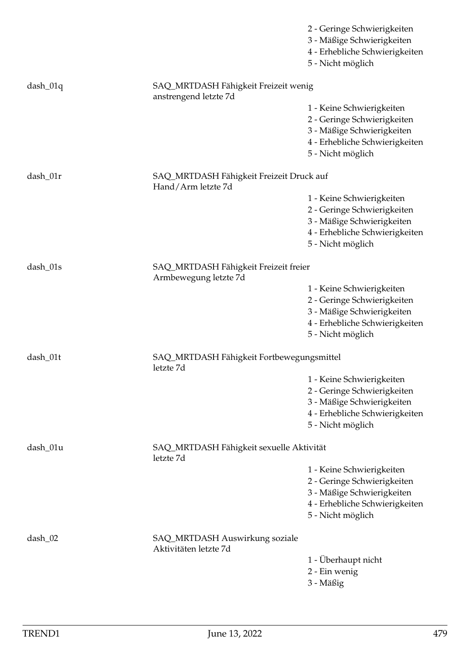|            |                                                                | 2 - Geringe Schwierigkeiten<br>3 - Mäßige Schwierigkeiten<br>4 - Erhebliche Schwierigkeiten<br>5 - Nicht möglich                              |
|------------|----------------------------------------------------------------|-----------------------------------------------------------------------------------------------------------------------------------------------|
| $dash_01q$ | SAQ_MRTDASH Fähigkeit Freizeit wenig<br>anstrengend letzte 7d  |                                                                                                                                               |
|            |                                                                | 1 - Keine Schwierigkeiten<br>2 - Geringe Schwierigkeiten<br>3 - Mäßige Schwierigkeiten<br>4 - Erhebliche Schwierigkeiten<br>5 - Nicht möglich |
| dash_01r   | SAQ_MRTDASH Fähigkeit Freizeit Druck auf<br>Hand/Arm letzte 7d |                                                                                                                                               |
|            |                                                                | 1 - Keine Schwierigkeiten<br>2 - Geringe Schwierigkeiten<br>3 - Mäßige Schwierigkeiten<br>4 - Erhebliche Schwierigkeiten<br>5 - Nicht möglich |
| dash_01s   | SAQ_MRTDASH Fähigkeit Freizeit freier<br>Armbewegung letzte 7d |                                                                                                                                               |
|            |                                                                | 1 - Keine Schwierigkeiten<br>2 - Geringe Schwierigkeiten<br>3 - Mäßige Schwierigkeiten<br>4 - Erhebliche Schwierigkeiten<br>5 - Nicht möglich |
| dash_01t   | SAQ_MRTDASH Fähigkeit Fortbewegungsmittel<br>letzte 7d         |                                                                                                                                               |
|            |                                                                | 1 - Keine Schwierigkeiten<br>2 - Geringe Schwierigkeiten<br>3 - Mäßige Schwierigkeiten<br>4 - Erhebliche Schwierigkeiten<br>5 - Nicht möglich |
| dash_01u   | SAQ_MRTDASH Fähigkeit sexuelle Aktivität<br>letzte 7d          |                                                                                                                                               |
|            |                                                                | 1 - Keine Schwierigkeiten<br>2 - Geringe Schwierigkeiten<br>3 - Mäßige Schwierigkeiten<br>4 - Erhebliche Schwierigkeiten<br>5 - Nicht möglich |
| $dash_02$  | SAQ_MRTDASH Auswirkung soziale<br>Aktivitäten letzte 7d        |                                                                                                                                               |
|            |                                                                | 1 - Überhaupt nicht<br>2 - Ein wenig<br>3 - Mäßig                                                                                             |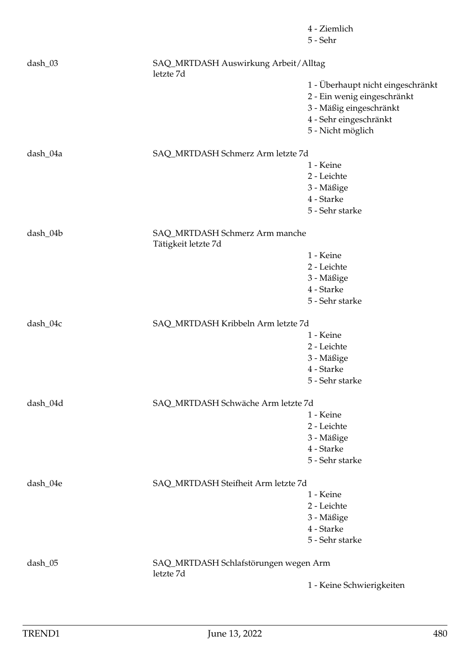|          |                                                       | 4 - Ziemlich<br>5 - Sehr          |
|----------|-------------------------------------------------------|-----------------------------------|
| dash_03  | SAQ_MRTDASH Auswirkung Arbeit/Alltag<br>letzte 7d     |                                   |
|          |                                                       | 1 - Überhaupt nicht eingeschränkt |
|          |                                                       | 2 - Ein wenig eingeschränkt       |
|          |                                                       | 3 - Mäßig eingeschränkt           |
|          |                                                       | 4 - Sehr eingeschränkt            |
|          |                                                       | 5 - Nicht möglich                 |
| dash_04a | SAQ_MRTDASH Schmerz Arm letzte 7d                     |                                   |
|          |                                                       | 1 - Keine                         |
|          |                                                       | 2 - Leichte                       |
|          |                                                       | 3 - Mäßige                        |
|          |                                                       | 4 - Starke                        |
|          |                                                       | 5 - Sehr starke                   |
| dash_04b | SAQ_MRTDASH Schmerz Arm manche<br>Tätigkeit letzte 7d |                                   |
|          |                                                       | 1 - Keine                         |
|          |                                                       | 2 - Leichte                       |
|          |                                                       | 3 - Mäßige                        |
|          |                                                       | 4 - Starke                        |
|          |                                                       | 5 - Sehr starke                   |
| dash_04c | SAQ_MRTDASH Kribbeln Arm letzte 7d                    |                                   |
|          |                                                       | 1 - Keine                         |
|          |                                                       | 2 - Leichte                       |
|          |                                                       | 3 - Mäßige                        |
|          |                                                       | 4 - Starke                        |
|          |                                                       | 5 - Sehr starke                   |
| dash_04d | SAQ_MRTDASH Schwäche Arm letzte 7d                    |                                   |
|          |                                                       | 1 - Keine                         |
|          |                                                       | 2 - Leichte                       |
|          |                                                       | 3 - Mäßige                        |
|          |                                                       | 4 - Starke                        |
|          |                                                       | 5 - Sehr starke                   |
| dash_04e | SAQ_MRTDASH Steifheit Arm letzte 7d                   |                                   |
|          |                                                       | 1 - Keine                         |
|          |                                                       | 2 - Leichte                       |
|          |                                                       | 3 - Mäßige                        |
|          |                                                       | 4 - Starke                        |
|          |                                                       | 5 - Sehr starke                   |
| dash_05  | SAQ_MRTDASH Schlafstörungen wegen Arm<br>letzte 7d    |                                   |
|          |                                                       | 1 - Keine Schwierigkeiten         |
|          |                                                       |                                   |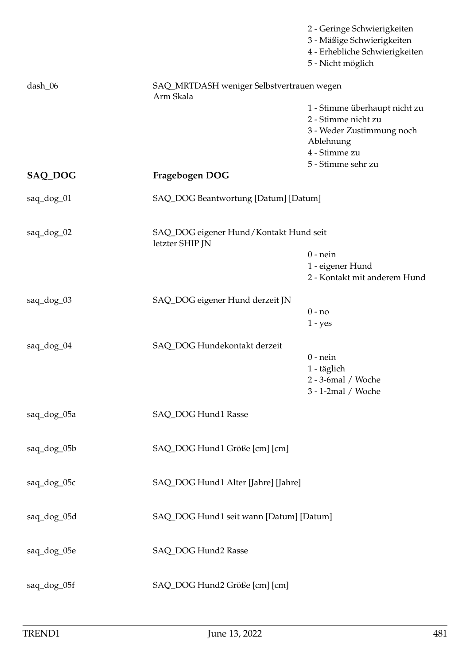|             |                                                           | 2 - Geringe Schwierigkeiten<br>3 - Mäßige Schwierigkeiten<br>4 - Erhebliche Schwierigkeiten<br>5 - Nicht möglich                      |
|-------------|-----------------------------------------------------------|---------------------------------------------------------------------------------------------------------------------------------------|
| dash_06     | SAQ_MRTDASH weniger Selbstvertrauen wegen<br>Arm Skala    |                                                                                                                                       |
|             |                                                           | 1 - Stimme überhaupt nicht zu<br>2 - Stimme nicht zu<br>3 - Weder Zustimmung noch<br>Ablehnung<br>4 - Stimme zu<br>5 - Stimme sehr zu |
| SAQ_DOG     | Fragebogen DOG                                            |                                                                                                                                       |
| saq_dog_01  | SAQ_DOG Beantwortung [Datum] [Datum]                      |                                                                                                                                       |
| saq_dog_02  | SAQ_DOG eigener Hund/Kontakt Hund seit<br>letzter SHIP JN | $0$ - nein<br>1 - eigener Hund<br>2 - Kontakt mit anderem Hund                                                                        |
| saq_dog_03  | SAQ_DOG eigener Hund derzeit JN                           | $0 - no$<br>$1 - yes$                                                                                                                 |
| saq_dog_04  | SAQ_DOG Hundekontakt derzeit                              | $0$ - nein<br>1 - täglich<br>2 - 3-6mal / Woche<br>3 - 1-2mal / Woche                                                                 |
| saq_dog_05a | SAQ_DOG Hund1 Rasse                                       |                                                                                                                                       |
| saq_dog_05b | SAQ_DOG Hund1 Größe [cm] [cm]                             |                                                                                                                                       |
| saq_dog_05c | SAQ_DOG Hund1 Alter [Jahre] [Jahre]                       |                                                                                                                                       |
| saq_dog_05d | SAQ_DOG Hund1 seit wann [Datum] [Datum]                   |                                                                                                                                       |
| saq_dog_05e | SAQ_DOG Hund2 Rasse                                       |                                                                                                                                       |
| saq_dog_05f | SAQ_DOG Hund2 Größe [cm] [cm]                             |                                                                                                                                       |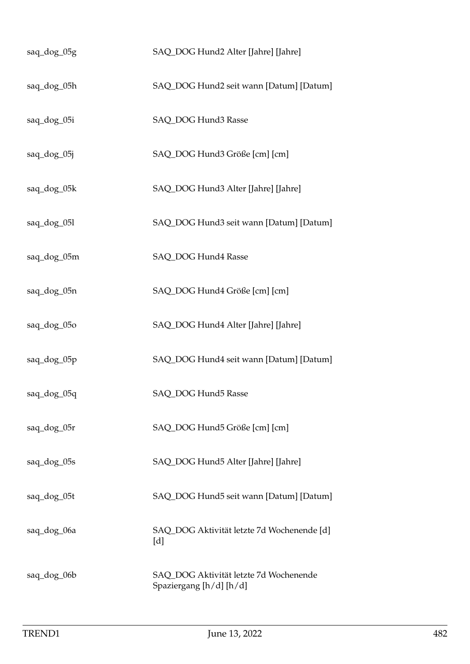| saq_dog_05g | SAQ_DOG Hund2 Alter [Jahre] [Jahre]                               |
|-------------|-------------------------------------------------------------------|
| saq_dog_05h | SAQ_DOG Hund2 seit wann [Datum] [Datum]                           |
| saq_dog_05i | SAQ_DOG Hund3 Rasse                                               |
| saq_dog_05j | SAQ_DOG Hund3 Größe [cm] [cm]                                     |
| saq_dog_05k | SAQ_DOG Hund3 Alter [Jahre] [Jahre]                               |
| saq_dog_05l | SAQ_DOG Hund3 seit wann [Datum] [Datum]                           |
| saq_dog_05m | SAQ_DOG Hund4 Rasse                                               |
| saq_dog_05n | SAQ_DOG Hund4 Größe [cm] [cm]                                     |
| saq_dog_05o | SAQ_DOG Hund4 Alter [Jahre] [Jahre]                               |
| saq_dog_05p | SAQ_DOG Hund4 seit wann [Datum] [Datum]                           |
| saq_dog_05q | SAQ_DOG Hund5 Rasse                                               |
| saq_dog_05r | SAQ_DOG Hund5 Größe [cm] [cm]                                     |
| saq_dog_05s | SAQ_DOG Hund5 Alter [Jahre] [Jahre]                               |
| saq_dog_05t | SAQ_DOG Hund5 seit wann [Datum] [Datum]                           |
| saq_dog_06a | SAQ_DOG Aktivität letzte 7d Wochenende [d]<br>[d]                 |
| saq_dog_06b | SAQ_DOG Aktivität letzte 7d Wochenende<br>Spaziergang [h/d] [h/d] |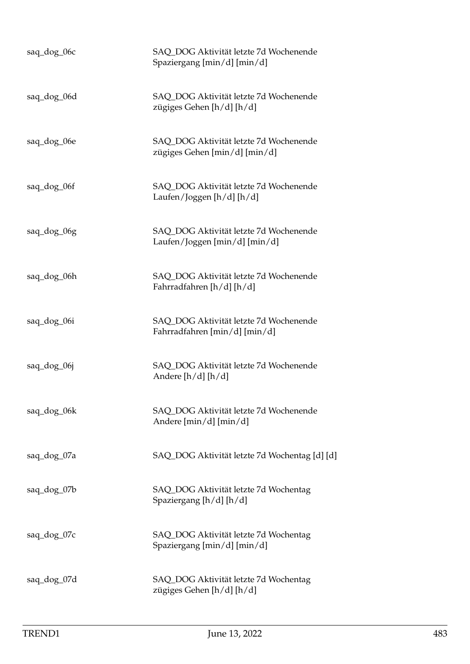| saq_dog_06c | SAQ_DOG Aktivität letzte 7d Wochenende<br>Spaziergang [min/d] [min/d]   |
|-------------|-------------------------------------------------------------------------|
| saq_dog_06d | SAQ DOG Aktivität letzte 7d Wochenende<br>zügiges Gehen [h/d] [h/d]     |
| saq_dog_06e | SAQ_DOG Aktivität letzte 7d Wochenende<br>zügiges Gehen [min/d] [min/d] |
| saq_dog_06f | SAQ_DOG Aktivität letzte 7d Wochenende<br>Laufen/Joggen [h/d] [h/d]     |
| saq_dog_06g | SAQ_DOG Aktivität letzte 7d Wochenende<br>Laufen/Joggen [min/d] [min/d] |
| saq_dog_06h | SAQ_DOG Aktivität letzte 7d Wochenende<br>Fahrradfahren [h/d] [h/d]     |
| saq_dog_06i | SAQ_DOG Aktivität letzte 7d Wochenende<br>Fahrradfahren [min/d] [min/d] |
| saq_dog_06j | SAQ_DOG Aktivität letzte 7d Wochenende<br>Andere $[h/d]$ $[h/d]$        |
| saq_dog_06k | SAQ_DOG Aktivität letzte 7d Wochenende<br>Andere $[\min/d] [\min/d]$    |
| saq_dog_07a | SAQ_DOG Aktivität letzte 7d Wochentag [d] [d]                           |
| saq_dog_07b | SAQ_DOG Aktivität letzte 7d Wochentag<br>Spaziergang [h/d] [h/d]        |
| saq_dog_07c | SAQ_DOG Aktivität letzte 7d Wochentag<br>Spaziergang [min/d] [min/d]    |
| saq_dog_07d | SAQ_DOG Aktivität letzte 7d Wochentag<br>zügiges Gehen [h/d] [h/d]      |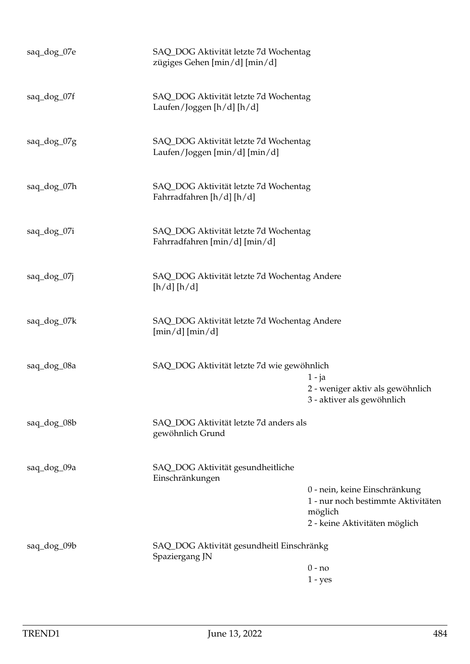| saq_dog_07e | SAQ_DOG Aktivität letzte 7d Wochentag<br>zügiges Gehen [min/d] [min/d] |                                                                                                                 |
|-------------|------------------------------------------------------------------------|-----------------------------------------------------------------------------------------------------------------|
| saq_dog_07f | SAQ_DOG Aktivität letzte 7d Wochentag<br>Laufen/Joggen [h/d] [h/d]     |                                                                                                                 |
| saq_dog_07g | SAQ_DOG Aktivität letzte 7d Wochentag<br>Laufen/Joggen [min/d] [min/d] |                                                                                                                 |
| saq_dog_07h | SAQ_DOG Aktivität letzte 7d Wochentag<br>Fahrradfahren [h/d] [h/d]     |                                                                                                                 |
| saq_dog_07i | SAQ_DOG Aktivität letzte 7d Wochentag<br>Fahrradfahren [min/d] [min/d] |                                                                                                                 |
| saq_dog_07j | SAQ_DOG Aktivität letzte 7d Wochentag Andere<br>[h/d][h/d]             |                                                                                                                 |
| saq_dog_07k | SAQ_DOG Aktivität letzte 7d Wochentag Andere<br>$[\min/d][\min/d]$     |                                                                                                                 |
| saq_dog_08a | SAQ_DOG Aktivität letzte 7d wie gewöhnlich                             | $1 - ja$<br>2 - weniger aktiv als gewöhnlich<br>3 - aktiver als gewöhnlich                                      |
| saq_dog_08b | SAQ_DOG Aktivität letzte 7d anders als<br>gewöhnlich Grund             |                                                                                                                 |
| saq_dog_09a | SAQ_DOG Aktivität gesundheitliche<br>Einschränkungen                   | 0 - nein, keine Einschränkung<br>1 - nur noch bestimmte Aktivitäten<br>möglich<br>2 - keine Aktivitäten möglich |
| saq_dog_09b | SAQ_DOG Aktivität gesundheitl Einschränkg<br>Spaziergang JN            | $0 - no$<br>$1 - yes$                                                                                           |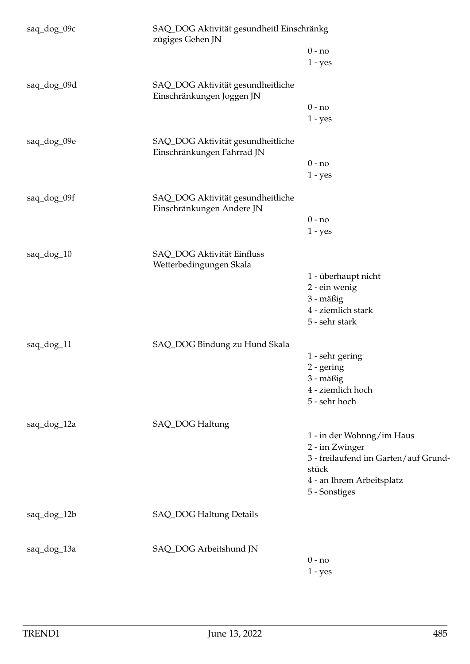| saq_dog_09c | SAQ_DOG Aktivität gesundheitl Einschränkg<br>zügiges Gehen JN   |                                      |
|-------------|-----------------------------------------------------------------|--------------------------------------|
|             |                                                                 | $0 - no$                             |
|             |                                                                 | $1 - yes$                            |
| saq_dog_09d | SAQ_DOG Aktivität gesundheitliche<br>Einschränkungen Joggen JN  |                                      |
|             |                                                                 | $0 - no$                             |
|             |                                                                 | $1 - yes$                            |
| saq_dog_09e | SAQ_DOG Aktivität gesundheitliche<br>Einschränkungen Fahrrad JN |                                      |
|             |                                                                 | $0 - no$                             |
|             |                                                                 | $1 - yes$                            |
| saq_dog_09f | SAQ_DOG Aktivität gesundheitliche<br>Einschränkungen Andere JN  |                                      |
|             |                                                                 | $0 - no$                             |
|             |                                                                 | $1 - yes$                            |
| saq_dog_10  | SAQ_DOG Aktivität Einfluss<br>Wetterbedingungen Skala           |                                      |
|             |                                                                 | 1 - überhaupt nicht                  |
|             |                                                                 | 2 - ein wenig                        |
|             |                                                                 | 3 - mäßig                            |
|             |                                                                 | 4 - ziemlich stark                   |
|             |                                                                 | 5 - sehr stark                       |
| saq_dog_11  | SAQ_DOG Bindung zu Hund Skala                                   |                                      |
|             |                                                                 | 1 - sehr gering                      |
|             |                                                                 | $2 -$ gering                         |
|             |                                                                 | 3 - mäßig                            |
|             |                                                                 | 4 - ziemlich hoch                    |
|             |                                                                 | 5 - sehr hoch                        |
| saq_dog_12a | SAQ_DOG Haltung                                                 |                                      |
|             |                                                                 | 1 - in der Wohnng/im Haus            |
|             |                                                                 | 2 - im Zwinger                       |
|             |                                                                 | 3 - freilaufend im Garten/auf Grund- |
|             |                                                                 | stück                                |
|             |                                                                 | 4 - an Ihrem Arbeitsplatz            |
|             |                                                                 | 5 - Sonstiges                        |
| saq_dog_12b | <b>SAQ_DOG Haltung Details</b>                                  |                                      |
| saq_dog_13a | SAQ_DOG Arbeitshund JN                                          |                                      |
|             |                                                                 | $0 - no$                             |
|             |                                                                 | $1 - yes$                            |
|             |                                                                 |                                      |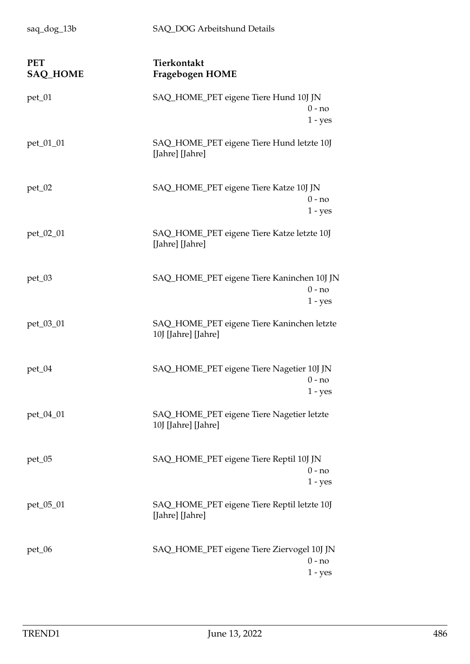| saq_dog_13b                   | SAQ_DOG Arbeitshund Details                                         |
|-------------------------------|---------------------------------------------------------------------|
| <b>PET</b><br><b>SAQ_HOME</b> | Tierkontakt<br>Fragebogen HOME                                      |
| $pet_01$                      | SAQ_HOME_PET eigene Tiere Hund 10J JN<br>$0 - no$<br>$1 - yes$      |
| pet_01_01                     | SAQ_HOME_PET eigene Tiere Hund letzte 10J<br>[Jahre] [Jahre]        |
| $pet_02$                      | SAQ_HOME_PET eigene Tiere Katze 10J JN<br>$0 - no$<br>$1 - yes$     |
| pet_02_01                     | SAQ_HOME_PET eigene Tiere Katze letzte 10J<br>[Jahre] [Jahre]       |
| pet_03                        | SAQ_HOME_PET eigene Tiere Kaninchen 10J JN<br>$0 - no$<br>$1 - yes$ |
| pet_03_01                     | SAQ_HOME_PET eigene Tiere Kaninchen letzte<br>10J [Jahre] [Jahre]   |
| $pet_04$                      | SAQ_HOME_PET eigene Tiere Nagetier 10J JN<br>0 - no<br>$1 - yes$    |
| pet_04_01                     | SAQ_HOME_PET eigene Tiere Nagetier letzte<br>10J [Jahre] [Jahre]    |
| $pet_05$                      | SAQ_HOME_PET eigene Tiere Reptil 10J JN<br>$0 - no$<br>$1 - yes$    |
| pet_05_01                     | SAQ_HOME_PET eigene Tiere Reptil letzte 10J<br>[Jahre] [Jahre]      |
| $pet_06$                      | SAQ_HOME_PET eigene Tiere Ziervogel 10J JN<br>$0 - no$<br>$1 - yes$ |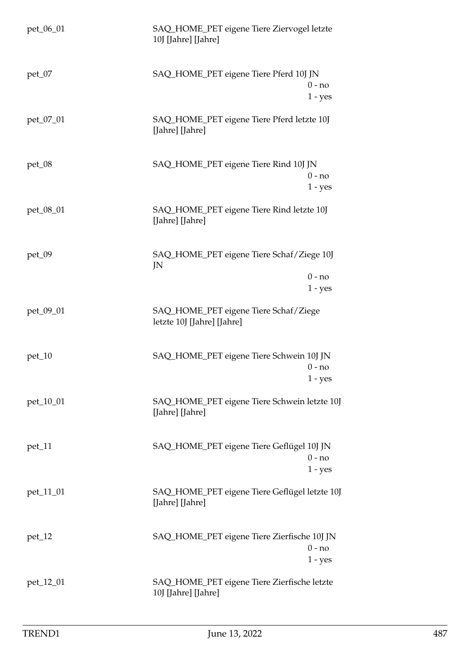| pet_06_01 | SAQ_HOME_PET eigene Tiere Ziervogel letzte<br>10J [Jahre] [Jahre]    |  |
|-----------|----------------------------------------------------------------------|--|
| $pet_07$  | SAQ_HOME_PET eigene Tiere Pferd 10J JN<br>0 - no<br>$1 - yes$        |  |
| pet_07_01 | SAQ_HOME_PET eigene Tiere Pferd letzte 10J<br>[Jahre] [Jahre]        |  |
| $pet_08$  | SAQ_HOME_PET eigene Tiere Rind 10J JN<br>$0 - no$<br>$1 - yes$       |  |
| pet_08_01 | SAQ_HOME_PET eigene Tiere Rind letzte 10J<br>[Jahre] [Jahre]         |  |
| $pet_09$  | SAQ_HOME_PET eigene Tiere Schaf/Ziege 10J<br>JN                      |  |
|           | $0 - no$<br>$1 - yes$                                                |  |
| pet_09_01 | SAQ_HOME_PET eigene Tiere Schaf/Ziege<br>letzte 10J [Jahre] [Jahre]  |  |
| $pet_10$  | SAQ_HOME_PET eigene Tiere Schwein 10J JN<br>$0 - no$<br>1 - yes      |  |
| pet_10_01 | SAQ_HOME_PET eigene Tiere Schwein letzte 10J<br>[Jahre] [Jahre]      |  |
| $pet_11$  | SAQ_HOME_PET eigene Tiere Geflügel 10J JN<br>$0 - no$<br>$1 - yes$   |  |
| pet_11_01 | SAQ_HOME_PET eigene Tiere Geflügel letzte 10J<br>[Jahre] [Jahre]     |  |
| $pet_12$  | SAQ_HOME_PET eigene Tiere Zierfische 10J JN<br>$0 - no$<br>$1 - yes$ |  |
| pet_12_01 | SAQ_HOME_PET eigene Tiere Zierfische letzte<br>10J [Jahre] [Jahre]   |  |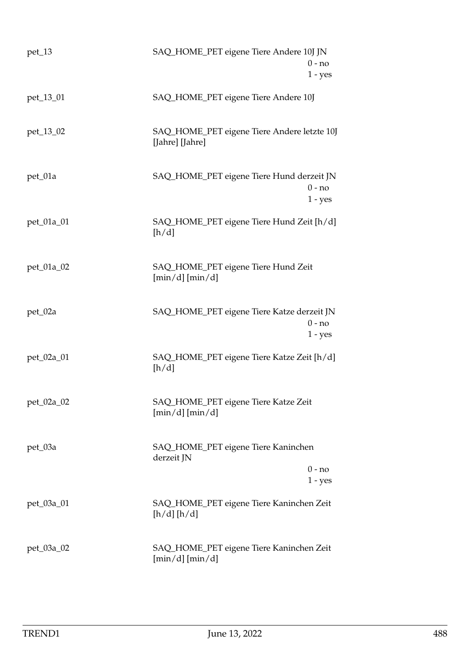| $pet_13$   | SAQ_HOME_PET eigene Tiere Andere 10J JN<br>$0 - no$<br>$1 - yes$    |
|------------|---------------------------------------------------------------------|
| pet_13_01  | SAQ_HOME_PET eigene Tiere Andere 10J                                |
| pet_13_02  | SAQ_HOME_PET eigene Tiere Andere letzte 10J<br>[Jahre] [Jahre]      |
| pet_01a    | SAQ_HOME_PET eigene Tiere Hund derzeit JN<br>$0 - no$<br>$1 - yes$  |
| pet_01a_01 | SAQ_HOME_PET eigene Tiere Hund Zeit [h/d]<br>[h/d]                  |
| pet_01a_02 | SAQ_HOME_PET eigene Tiere Hund Zeit<br>$[\min/d][\min/d]$           |
| pet_02a    | SAQ_HOME_PET eigene Tiere Katze derzeit JN<br>$0 - no$<br>$1 - yes$ |
| pet_02a_01 | SAQ_HOME_PET eigene Tiere Katze Zeit [h/d]<br>[h/d]                 |
| pet_02a_02 | SAQ_HOME_PET eigene Tiere Katze Zeit<br>$[\min/d][\min/d]$          |
| pet_03a    | SAQ_HOME_PET eigene Tiere Kaninchen<br>derzeit JN<br>$0 - no$       |
| pet_03a_01 | 1 - yes<br>SAQ_HOME_PET eigene Tiere Kaninchen Zeit<br>[h/d][h/d]   |
| pet_03a_02 | SAQ_HOME_PET eigene Tiere Kaninchen Zeit<br>$[min/d]$ $[min/d]$     |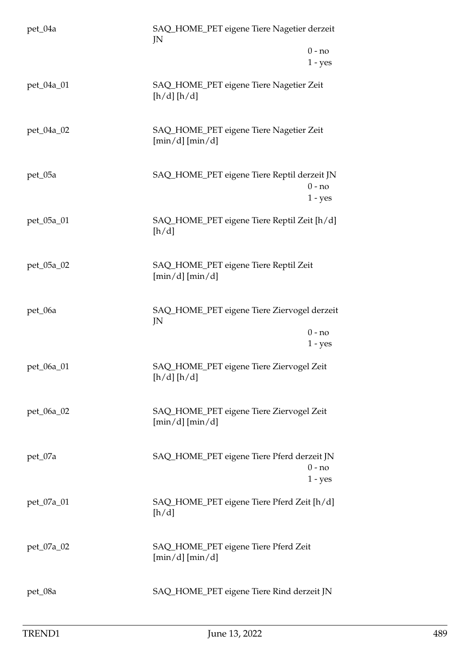| pet_04a    | SAQ_HOME_PET eigene Tiere Nagetier derzeit<br>JN                     |
|------------|----------------------------------------------------------------------|
|            | $0 - no$<br>$1 - yes$                                                |
| pet_04a_01 | SAQ_HOME_PET eigene Tiere Nagetier Zeit<br>[h/d][h/d]                |
| pet_04a_02 | SAQ_HOME_PET eigene Tiere Nagetier Zeit<br>$[min/d]$ $[min/d]$       |
| pet_05a    | SAQ_HOME_PET eigene Tiere Reptil derzeit JN<br>$0 - no$<br>$1 - yes$ |
| pet_05a_01 | SAQ_HOME_PET eigene Tiere Reptil Zeit [h/d]<br>[h/d]                 |
| pet_05a_02 | SAQ_HOME_PET eigene Tiere Reptil Zeit<br>$[\min/d][\min/d]$          |
| pet_06a    | SAQ_HOME_PET eigene Tiere Ziervogel derzeit<br>JN                    |
|            | $0 - no$<br>$1 - yes$                                                |
| pet_06a_01 | SAQ_HOME_PET eigene Tiere Ziervogel Zeit<br>[h/d] [h/d]              |
| pet_06a_02 | SAQ_HOME_PET eigene Tiere Ziervogel Zeit<br>$[\min/d][\min/d]$       |
| pet_07a    | SAQ_HOME_PET eigene Tiere Pferd derzeit JN<br>$0 - no$<br>$1 - yes$  |
| pet_07a_01 | SAQ_HOME_PET eigene Tiere Pferd Zeit [h/d]<br>[h/d]                  |
| pet_07a_02 | SAQ_HOME_PET eigene Tiere Pferd Zeit<br>$[\min/d][\min/d]$           |
| pet_08a    | SAQ_HOME_PET eigene Tiere Rind derzeit JN                            |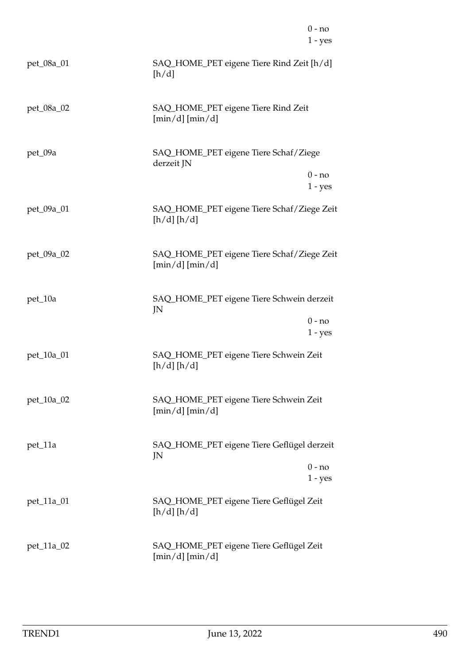|            |                                                                  | $0 - no$<br>$1 - yes$ |
|------------|------------------------------------------------------------------|-----------------------|
| pet_08a_01 | SAQ_HOME_PET eigene Tiere Rind Zeit [h/d]<br>[h/d]               |                       |
| pet_08a_02 | SAQ_HOME_PET eigene Tiere Rind Zeit<br>$[\min/d][\min/d]$        |                       |
| pet_09a    | SAQ_HOME_PET eigene Tiere Schaf/Ziege<br>derzeit JN              | $0 - no$<br>$1 - yes$ |
| pet_09a_01 | SAQ_HOME_PET eigene Tiere Schaf/Ziege Zeit<br>[h/d][h/d]         |                       |
| pet_09a_02 | SAQ_HOME_PET eigene Tiere Schaf/Ziege Zeit<br>$[\min/d][\min/d]$ |                       |
| pet_10a    | SAQ_HOME_PET eigene Tiere Schwein derzeit<br>JN                  | $0 - no$<br>$1 - yes$ |
| pet_10a_01 | SAQ_HOME_PET eigene Tiere Schwein Zeit<br>[h/d][h/d]             |                       |
| pet_10a_02 | SAQ_HOME_PET eigene Tiere Schwein Zeit<br>$[\min/d][\min/d]$     |                       |
| pet_11a    | SAQ_HOME_PET eigene Tiere Geflügel derzeit<br>JN                 | $0 - no$<br>$1 - yes$ |
| pet_11a_01 | SAQ_HOME_PET eigene Tiere Geflügel Zeit<br>[h/d][h/d]            |                       |
| pet_11a_02 | SAQ_HOME_PET eigene Tiere Geflügel Zeit<br>$[\min/d] [\min/d]$   |                       |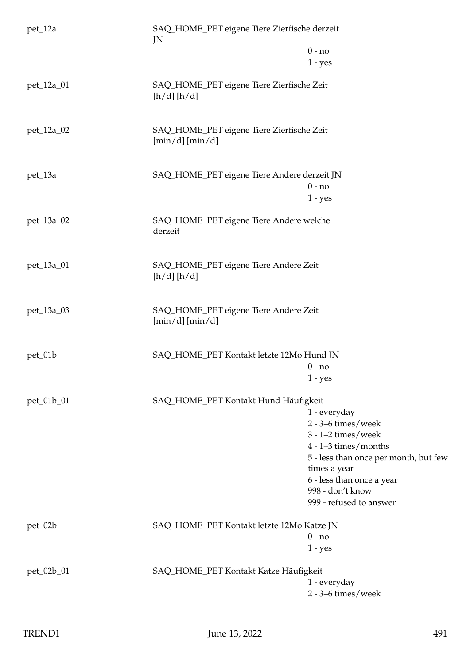| pet_12a    | SAQ_HOME_PET eigene Tiere Zierfische derzeit<br>JN              |                                                                                                                                                                                                                                   |
|------------|-----------------------------------------------------------------|-----------------------------------------------------------------------------------------------------------------------------------------------------------------------------------------------------------------------------------|
|            |                                                                 | $0 - no$<br>$1 - yes$                                                                                                                                                                                                             |
| pet_12a_01 | SAQ_HOME_PET eigene Tiere Zierfische Zeit<br>[h/d][h/d]         |                                                                                                                                                                                                                                   |
| pet_12a_02 | SAQ_HOME_PET eigene Tiere Zierfische Zeit<br>$[\min/d][\min/d]$ |                                                                                                                                                                                                                                   |
| pet_13a    | SAQ_HOME_PET eigene Tiere Andere derzeit JN                     | $0 - no$<br>$1 - yes$                                                                                                                                                                                                             |
| pet_13a_02 | SAQ_HOME_PET eigene Tiere Andere welche<br>derzeit              |                                                                                                                                                                                                                                   |
| pet_13a_01 | SAQ_HOME_PET eigene Tiere Andere Zeit<br>[h/d][h/d]             |                                                                                                                                                                                                                                   |
| pet_13a_03 | SAQ_HOME_PET eigene Tiere Andere Zeit<br>$[\min/d][\min/d]$     |                                                                                                                                                                                                                                   |
| pet_01b    | SAQ_HOME_PET Kontakt letzte 12Mo Hund JN                        | $0 - no$<br>$1 - yes$                                                                                                                                                                                                             |
| pet_01b_01 | SAQ_HOME_PET Kontakt Hund Häufigkeit                            | 1 - everyday<br>$2 - 3 - 6$ times/week<br>$3 - 1 - 2$ times/week<br>$4 - 1 - 3$ times/months<br>5 - less than once per month, but few<br>times a year<br>6 - less than once a year<br>998 - don't know<br>999 - refused to answer |
| pet_02b    | SAQ_HOME_PET Kontakt letzte 12Mo Katze JN                       | $0 - no$<br>$1 - yes$                                                                                                                                                                                                             |
| pet_02b_01 | SAQ_HOME_PET Kontakt Katze Häufigkeit                           | 1 - everyday<br>$2 - 3 - 6$ times/week                                                                                                                                                                                            |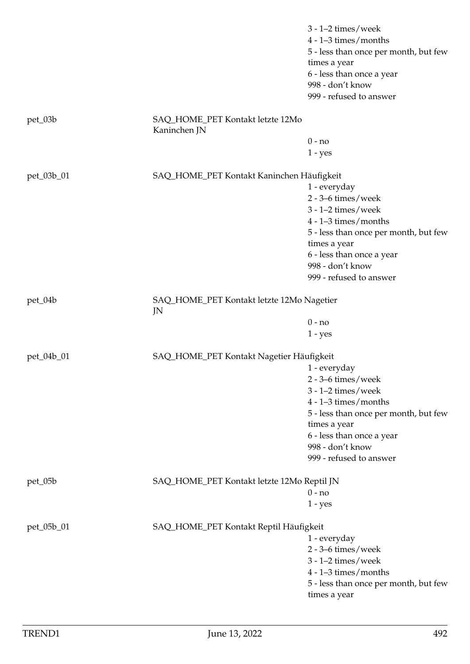|            |                                                  | $3 - 1 - 2$ times/week<br>$4 - 1 - 3$ times/months<br>5 - less than once per month, but few<br>times a year<br>6 - less than once a year<br>998 - don't know<br>999 - refused to answer |
|------------|--------------------------------------------------|-----------------------------------------------------------------------------------------------------------------------------------------------------------------------------------------|
| pet_03b    | SAQ_HOME_PET Kontakt letzte 12Mo<br>Kaninchen JN |                                                                                                                                                                                         |
|            |                                                  | $0 - no$                                                                                                                                                                                |
|            |                                                  | $1 - yes$                                                                                                                                                                               |
| pet_03b_01 | SAQ_HOME_PET Kontakt Kaninchen Häufigkeit        |                                                                                                                                                                                         |
|            |                                                  | 1 - everyday                                                                                                                                                                            |
|            |                                                  | $2 - 3 - 6$ times/week                                                                                                                                                                  |
|            |                                                  | $3 - 1 - 2$ times/week                                                                                                                                                                  |
|            |                                                  | $4 - 1 - 3$ times/months                                                                                                                                                                |
|            |                                                  | 5 - less than once per month, but few                                                                                                                                                   |
|            |                                                  | times a year                                                                                                                                                                            |
|            |                                                  | 6 - less than once a year                                                                                                                                                               |
|            |                                                  | 998 - don't know                                                                                                                                                                        |
|            |                                                  | 999 - refused to answer                                                                                                                                                                 |
| $pet_04b$  | SAQ_HOME_PET Kontakt letzte 12Mo Nagetier<br>JN  |                                                                                                                                                                                         |
|            |                                                  | $0 - no$                                                                                                                                                                                |
|            |                                                  | $1 - yes$                                                                                                                                                                               |
| pet_04b_01 | SAQ_HOME_PET Kontakt Nagetier Häufigkeit         |                                                                                                                                                                                         |
|            |                                                  | 1 - everyday                                                                                                                                                                            |
|            |                                                  | $2 - 3 - 6$ times/week                                                                                                                                                                  |
|            |                                                  | $3 - 1 - 2$ times/week                                                                                                                                                                  |
|            |                                                  | $4 - 1 - 3$ times/months                                                                                                                                                                |
|            |                                                  | 5 - less than once per month, but few                                                                                                                                                   |
|            |                                                  | times a year                                                                                                                                                                            |
|            |                                                  | 6 - less than once a year                                                                                                                                                               |
|            |                                                  | 998 - don't know                                                                                                                                                                        |
|            |                                                  | 999 - refused to answer                                                                                                                                                                 |
|            |                                                  |                                                                                                                                                                                         |
| pet_05b    | SAQ_HOME_PET Kontakt letzte 12Mo Reptil JN       |                                                                                                                                                                                         |
|            |                                                  | $0 - no$                                                                                                                                                                                |
|            |                                                  | $1 - yes$                                                                                                                                                                               |
| pet_05b_01 | SAQ_HOME_PET Kontakt Reptil Häufigkeit           |                                                                                                                                                                                         |
|            |                                                  | 1 - everyday                                                                                                                                                                            |
|            |                                                  | $2 - 3 - 6$ times/week                                                                                                                                                                  |
|            |                                                  | $3 - 1 - 2$ times/week                                                                                                                                                                  |
|            |                                                  | $4 - 1 - 3$ times/months                                                                                                                                                                |
|            |                                                  | 5 - less than once per month, but few                                                                                                                                                   |
|            |                                                  | times a year                                                                                                                                                                            |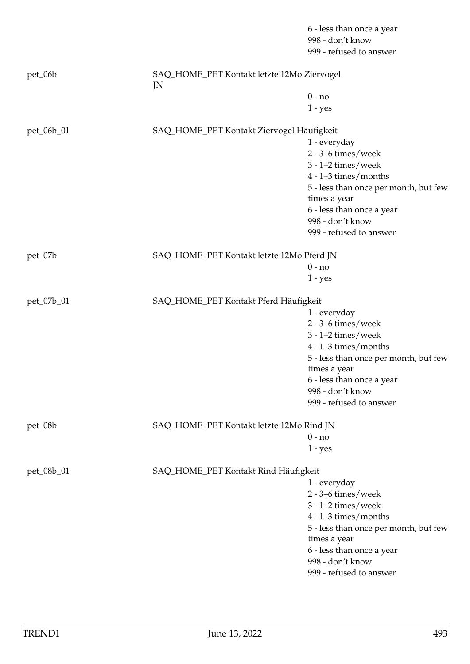|            |                                                  | 6 - less than once a year<br>998 - don't know<br>999 - refused to answer |
|------------|--------------------------------------------------|--------------------------------------------------------------------------|
| pet_06b    | SAQ_HOME_PET Kontakt letzte 12Mo Ziervogel<br>JN |                                                                          |
|            |                                                  | $0 - no$                                                                 |
|            |                                                  | $1 - yes$                                                                |
| pet_06b_01 | SAQ_HOME_PET Kontakt Ziervogel Häufigkeit        |                                                                          |
|            |                                                  | 1 - everyday                                                             |
|            |                                                  | $2 - 3 - 6$ times/week                                                   |
|            |                                                  | $3 - 1 - 2$ times/week                                                   |
|            |                                                  | $4 - 1 - 3$ times/months                                                 |
|            |                                                  | 5 - less than once per month, but few                                    |
|            |                                                  | times a year                                                             |
|            |                                                  | 6 - less than once a year<br>998 - don't know                            |
|            |                                                  | 999 - refused to answer                                                  |
| pet_07b    | SAQ_HOME_PET Kontakt letzte 12Mo Pferd JN        |                                                                          |
|            |                                                  | $0 - no$                                                                 |
|            |                                                  | $1 - yes$                                                                |
| pet_07b_01 | SAQ_HOME_PET Kontakt Pferd Häufigkeit            |                                                                          |
|            |                                                  | 1 - everyday                                                             |
|            |                                                  | $2 - 3 - 6$ times/week                                                   |
|            |                                                  | $3 - 1 - 2$ times/week                                                   |
|            |                                                  | $4 - 1 - 3$ times/months                                                 |
|            |                                                  | 5 - less than once per month, but few<br>times a year                    |
|            |                                                  | 6 - less than once a year                                                |
|            |                                                  | 998 - don't know                                                         |
|            |                                                  | 999 - refused to answer                                                  |
| pet_08b    | SAQ_HOME_PET Kontakt letzte 12Mo Rind JN         |                                                                          |
|            |                                                  | $0 - no$                                                                 |
|            |                                                  | $1 - yes$                                                                |
| pet_08b_01 | SAQ_HOME_PET Kontakt Rind Häufigkeit             |                                                                          |
|            |                                                  | 1 - everyday                                                             |
|            |                                                  | $2 - 3 - 6$ times/week                                                   |
|            |                                                  | $3 - 1 - 2$ times/week                                                   |
|            |                                                  | $4 - 1 - 3$ times/months                                                 |
|            |                                                  | 5 - less than once per month, but few                                    |
|            |                                                  | times a year<br>6 - less than once a year                                |
|            |                                                  | 998 - don't know                                                         |
|            |                                                  | 999 - refused to answer                                                  |
|            |                                                  |                                                                          |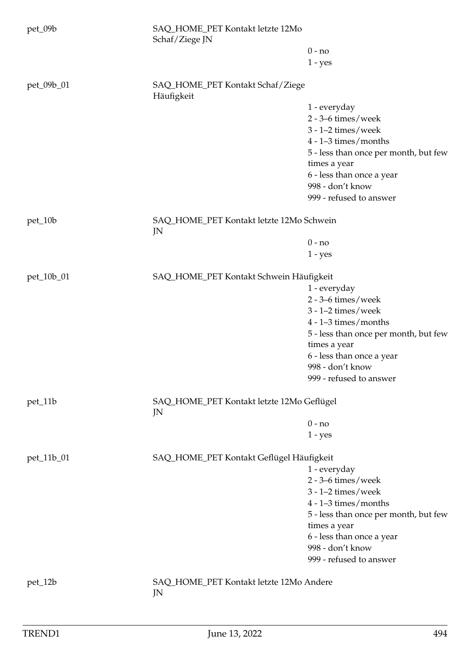| pet_09b    | SAQ_HOME_PET Kontakt letzte 12Mo<br>Schaf/Ziege JN |                                       |
|------------|----------------------------------------------------|---------------------------------------|
|            |                                                    | $0 - no$<br>$1 - yes$                 |
| pet_09b_01 | SAQ_HOME_PET Kontakt Schaf/Ziege<br>Häufigkeit     |                                       |
|            |                                                    | 1 - everyday                          |
|            |                                                    | $2 - 3 - 6$ times/week                |
|            |                                                    | $3 - 1 - 2$ times/week                |
|            |                                                    | $4 - 1 - 3$ times/months              |
|            |                                                    | 5 - less than once per month, but few |
|            |                                                    | times a year                          |
|            |                                                    | 6 - less than once a year             |
|            |                                                    | 998 - don't know                      |
|            |                                                    | 999 - refused to answer               |
| pet_10b    | SAQ_HOME_PET Kontakt letzte 12Mo Schwein<br>JN     |                                       |
|            |                                                    | $0 - no$                              |
|            |                                                    | $1 - yes$                             |
|            |                                                    |                                       |
| pet_10b_01 | SAQ_HOME_PET Kontakt Schwein Häufigkeit            |                                       |
|            |                                                    | 1 - everyday                          |
|            |                                                    | $2 - 3 - 6$ times/week                |
|            |                                                    | $3 - 1 - 2$ times/week                |
|            |                                                    | $4 - 1 - 3$ times/months              |
|            |                                                    | 5 - less than once per month, but few |
|            |                                                    | times a year                          |
|            |                                                    | 6 - less than once a year             |
|            |                                                    | 998 - don't know                      |
|            |                                                    | 999 - refused to answer               |
| pet_11b    | SAQ_HOME_PET Kontakt letzte 12Mo Geflügel<br>JN    |                                       |
|            |                                                    | $0 - no$                              |
|            |                                                    | $1 - yes$                             |
| pet_11b_01 | SAQ_HOME_PET Kontakt Geflügel Häufigkeit           |                                       |
|            |                                                    | 1 - everyday                          |
|            |                                                    | $2 - 3 - 6$ times/week                |
|            |                                                    | $3 - 1 - 2$ times/week                |
|            |                                                    | $4 - 1 - 3$ times/months              |
|            |                                                    | 5 - less than once per month, but few |
|            |                                                    | times a year                          |
|            |                                                    | 6 - less than once a year             |
|            |                                                    | 998 - don't know                      |
|            |                                                    | 999 - refused to answer               |
| pet_12b    | SAQ_HOME_PET Kontakt letzte 12Mo Andere<br>JN      |                                       |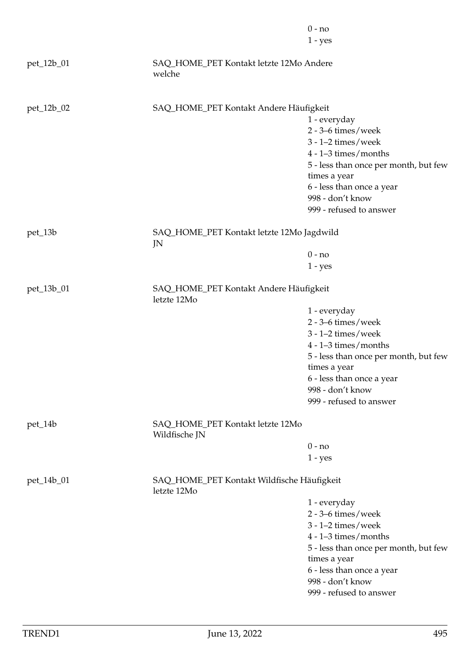|            |                                                           | $0 - no$                              |
|------------|-----------------------------------------------------------|---------------------------------------|
|            |                                                           | $1 - yes$                             |
| pet_12b_01 | SAQ_HOME_PET Kontakt letzte 12Mo Andere<br>welche         |                                       |
| pet_12b_02 | SAQ_HOME_PET Kontakt Andere Häufigkeit                    |                                       |
|            |                                                           | 1 - everyday                          |
|            |                                                           | $2 - 3 - 6$ times/week                |
|            |                                                           | $3 - 1 - 2$ times/week                |
|            |                                                           | $4 - 1 - 3$ times/months              |
|            |                                                           | 5 - less than once per month, but few |
|            |                                                           | times a year                          |
|            |                                                           | 6 - less than once a year             |
|            |                                                           | 998 - don't know                      |
|            |                                                           | 999 - refused to answer               |
| pet_13b    | SAQ_HOME_PET Kontakt letzte 12Mo Jagdwild                 |                                       |
|            | JN                                                        | $0 - no$                              |
|            |                                                           | $1 - yes$                             |
|            |                                                           |                                       |
| pet_13b_01 | SAQ_HOME_PET Kontakt Andere Häufigkeit<br>letzte 12Mo     |                                       |
|            |                                                           | 1 - everyday                          |
|            |                                                           | $2 - 3 - 6$ times/week                |
|            |                                                           | $3 - 1 - 2$ times/week                |
|            |                                                           | $4 - 1 - 3$ times/months              |
|            |                                                           | 5 - less than once per month, but few |
|            |                                                           | times a year                          |
|            |                                                           | 6 - less than once a year             |
|            |                                                           | 998 - don't know                      |
|            |                                                           | 999 - refused to answer               |
| pet_14b    | SAQ_HOME_PET Kontakt letzte 12Mo<br>Wildfische JN         |                                       |
|            |                                                           | $0 - no$                              |
|            |                                                           | $1 - yes$                             |
| pet_14b_01 | SAQ_HOME_PET Kontakt Wildfische Häufigkeit<br>letzte 12Mo |                                       |
|            |                                                           | 1 - everyday                          |
|            |                                                           | $2 - 3 - 6$ times/week                |
|            |                                                           | $3 - 1 - 2$ times/week                |
|            |                                                           | $4 - 1 - 3$ times/months              |
|            |                                                           | 5 - less than once per month, but few |
|            |                                                           | times a year                          |
|            |                                                           | 6 - less than once a year             |
|            |                                                           | 998 - don't know                      |
|            |                                                           | 999 - refused to answer               |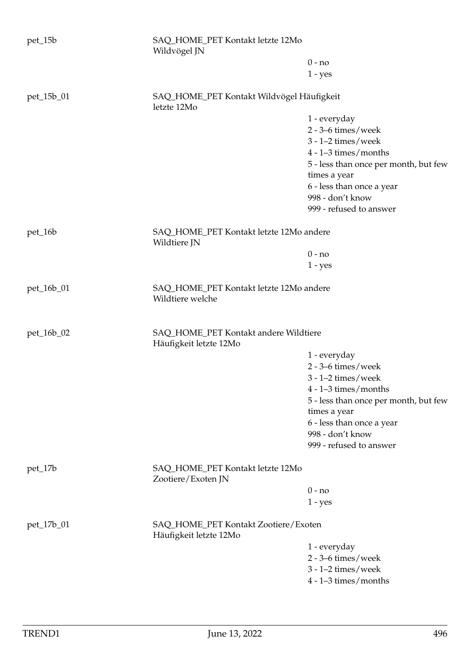| pet_15b    | SAQ_HOME_PET Kontakt letzte 12Mo<br>Wildvögel JN                |                                       |
|------------|-----------------------------------------------------------------|---------------------------------------|
|            |                                                                 | $0 - no$                              |
|            |                                                                 | $1 - yes$                             |
| pet_15b_01 | SAQ_HOME_PET Kontakt Wildvögel Häufigkeit<br>letzte 12Mo        |                                       |
|            |                                                                 | 1 - everyday                          |
|            |                                                                 | $2 - 3 - 6$ times/week                |
|            |                                                                 | $3 - 1 - 2$ times/week                |
|            |                                                                 | $4 - 1 - 3$ times/months              |
|            |                                                                 | 5 - less than once per month, but few |
|            |                                                                 | times a year                          |
|            |                                                                 | 6 - less than once a year             |
|            |                                                                 | 998 - don't know                      |
|            |                                                                 | 999 - refused to answer               |
|            |                                                                 |                                       |
| pet_16b    | SAQ_HOME_PET Kontakt letzte 12Mo andere<br>Wildtiere JN         |                                       |
|            |                                                                 | $0 - no$                              |
|            |                                                                 | $1 - yes$                             |
|            |                                                                 |                                       |
| pet_16b_01 | SAQ_HOME_PET Kontakt letzte 12Mo andere<br>Wildtiere welche     |                                       |
| pet_16b_02 | SAQ_HOME_PET Kontakt andere Wildtiere<br>Häufigkeit letzte 12Mo |                                       |
|            |                                                                 | 1 - everyday                          |
|            |                                                                 | $2 - 3 - 6$ times/week                |
|            |                                                                 | $3 - 1 - 2$ times/week                |
|            |                                                                 | $4 - 1 - 3$ times/months              |
|            |                                                                 | 5 - less than once per month, but few |
|            |                                                                 | times a year                          |
|            |                                                                 | 6 - less than once a year             |
|            |                                                                 | 998 - don't know                      |
|            |                                                                 | 999 - refused to answer               |
|            |                                                                 |                                       |
| pet_17b    | SAQ_HOME_PET Kontakt letzte 12Mo<br>Zootiere/Exoten JN          |                                       |
|            |                                                                 | $0 - no$                              |
|            |                                                                 | $1 - yes$                             |
| pet_17b_01 | SAQ_HOME_PET Kontakt Zootiere/Exoten<br>Häufigkeit letzte 12Mo  |                                       |
|            |                                                                 | 1 - everyday                          |
|            |                                                                 | $2 - 3 - 6$ times/week                |
|            |                                                                 | $3 - 1 - 2$ times/week                |
|            |                                                                 | $4 - 1 - 3$ times/months              |
|            |                                                                 |                                       |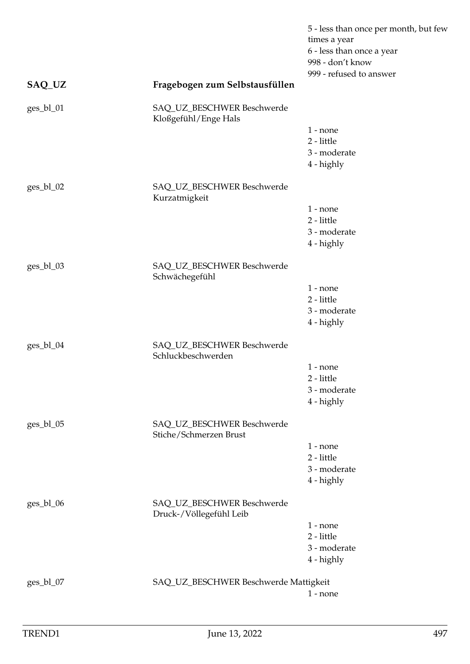|             |                                                       | 5 - less than once per month, but few<br>times a year<br>6 - less than once a year<br>998 - don't know<br>999 - refused to answer |
|-------------|-------------------------------------------------------|-----------------------------------------------------------------------------------------------------------------------------------|
| SAQ_UZ      | Fragebogen zum Selbstausfüllen                        |                                                                                                                                   |
| ges_bl_01   | SAQ_UZ_BESCHWER Beschwerde<br>Kloßgefühl/Enge Hals    |                                                                                                                                   |
|             |                                                       | $1$ - none                                                                                                                        |
|             |                                                       | 2 - little<br>3 - moderate                                                                                                        |
|             |                                                       | 4 - highly                                                                                                                        |
| ges_bl_02   | SAQ_UZ_BESCHWER Beschwerde<br>Kurzatmigkeit           |                                                                                                                                   |
|             |                                                       | $1$ - none                                                                                                                        |
|             |                                                       | 2 - little                                                                                                                        |
|             |                                                       | 3 - moderate<br>4 - highly                                                                                                        |
|             |                                                       |                                                                                                                                   |
| $ges_b1_03$ | SAQ_UZ_BESCHWER Beschwerde<br>Schwächegefühl          |                                                                                                                                   |
|             |                                                       | $1$ - none                                                                                                                        |
|             |                                                       | 2 - little<br>3 - moderate                                                                                                        |
|             |                                                       | 4 - highly                                                                                                                        |
| ges_bl_04   | SAQ_UZ_BESCHWER Beschwerde<br>Schluckbeschwerden      |                                                                                                                                   |
|             |                                                       | $1$ - none                                                                                                                        |
|             |                                                       | 2 - little                                                                                                                        |
|             |                                                       | 3 - moderate<br>4 - highly                                                                                                        |
|             |                                                       |                                                                                                                                   |
| $ges_b1_05$ | SAQ_UZ_BESCHWER Beschwerde<br>Stiche/Schmerzen Brust  |                                                                                                                                   |
|             |                                                       | $1$ - none                                                                                                                        |
|             |                                                       | 2 - little<br>3 - moderate                                                                                                        |
|             |                                                       | 4 - highly                                                                                                                        |
| ges_bl_06   | SAQ_UZ_BESCHWER Beschwerde<br>Druck-/Völlegefühl Leib |                                                                                                                                   |
|             |                                                       | $1$ - none                                                                                                                        |
|             |                                                       | 2 - little                                                                                                                        |
|             |                                                       | 3 - moderate                                                                                                                      |
|             |                                                       | 4 - highly                                                                                                                        |
| $ges_b1_07$ | SAQ_UZ_BESCHWER Beschwerde Mattigkeit                 |                                                                                                                                   |
|             |                                                       | $1$ - none                                                                                                                        |
|             |                                                       |                                                                                                                                   |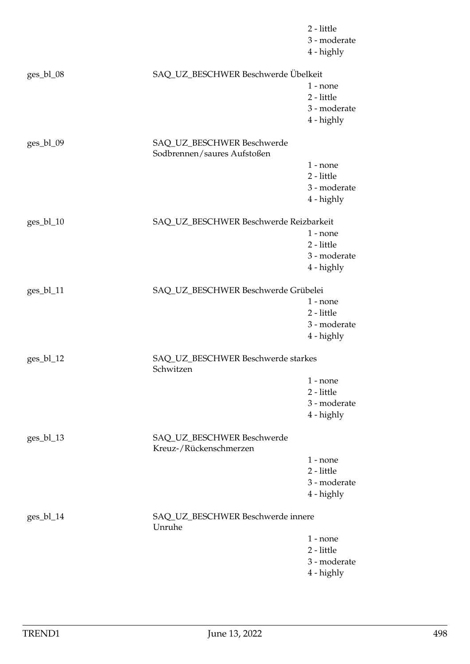|             |                                                           | 2 - little<br>3 - moderate<br>4 - highly |
|-------------|-----------------------------------------------------------|------------------------------------------|
| ges_bl_08   | SAQ_UZ_BESCHWER Beschwerde Übelkeit                       |                                          |
|             |                                                           | $1$ - none                               |
|             |                                                           | 2 - little                               |
|             |                                                           | 3 - moderate                             |
|             |                                                           | 4 - highly                               |
| $ges_b1_09$ | SAQ_UZ_BESCHWER Beschwerde<br>Sodbrennen/saures Aufstoßen |                                          |
|             |                                                           | $1 - none$                               |
|             |                                                           | 2 - little                               |
|             |                                                           | 3 - moderate                             |
|             |                                                           | 4 - highly                               |
| $ges_b1_10$ | SAQ_UZ_BESCHWER Beschwerde Reizbarkeit                    |                                          |
|             |                                                           | $1$ - none                               |
|             |                                                           | 2 - little                               |
|             |                                                           | 3 - moderate                             |
|             |                                                           | 4 - highly                               |
| ges_bl_11   | SAQ_UZ_BESCHWER Beschwerde Grübelei                       |                                          |
|             |                                                           | $1$ - none                               |
|             |                                                           | 2 - little                               |
|             |                                                           | 3 - moderate                             |
|             |                                                           | 4 - highly                               |
| ges_bl_12   | SAQ_UZ_BESCHWER Beschwerde starkes<br>Schwitzen           |                                          |
|             |                                                           | $1 - none$                               |
|             |                                                           | 2 - little                               |
|             |                                                           | 3 - moderate                             |
|             |                                                           | 4 - highly                               |
| ges_bl_13   | SAQ_UZ_BESCHWER Beschwerde<br>Kreuz-/Rückenschmerzen      |                                          |
|             |                                                           | $1$ - none                               |
|             |                                                           | 2 - little                               |
|             |                                                           | 3 - moderate                             |
|             |                                                           | 4 - highly                               |
| $ges_b1_14$ | SAQ_UZ_BESCHWER Beschwerde innere<br>Unruhe               |                                          |
|             |                                                           | $1$ - none                               |
|             |                                                           | 2 - little                               |
|             |                                                           | 3 - moderate                             |
|             |                                                           | 4 - highly                               |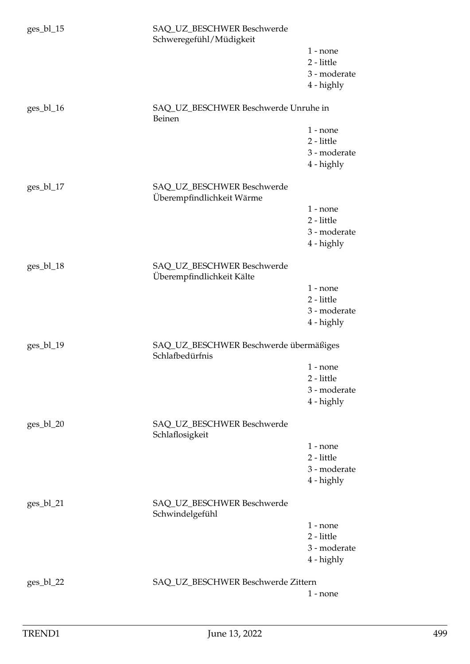| $ges_b1_15$ | SAQ_UZ_BESCHWER Beschwerde<br>Schweregefühl/Müdigkeit     |                            |
|-------------|-----------------------------------------------------------|----------------------------|
|             |                                                           | $1$ - none                 |
|             |                                                           | 2 - little                 |
|             |                                                           | 3 - moderate<br>4 - highly |
|             |                                                           |                            |
| ges_bl_16   | SAQ_UZ_BESCHWER Beschwerde Unruhe in<br>Beinen            |                            |
|             |                                                           | $1$ - none                 |
|             |                                                           | 2 - little                 |
|             |                                                           | 3 - moderate<br>4 - highly |
|             |                                                           |                            |
| ges_bl_17   | SAQ_UZ_BESCHWER Beschwerde<br>Überempfindlichkeit Wärme   |                            |
|             |                                                           | $1$ - none                 |
|             |                                                           | 2 - little                 |
|             |                                                           | 3 - moderate               |
|             |                                                           | 4 - highly                 |
| $ges_b118$  | SAQ_UZ_BESCHWER Beschwerde<br>Überempfindlichkeit Kälte   |                            |
|             |                                                           | $1$ - none                 |
|             |                                                           | 2 - little                 |
|             |                                                           | 3 - moderate               |
|             |                                                           | 4 - highly                 |
| ges_bl_19   | SAQ_UZ_BESCHWER Beschwerde übermäßiges<br>Schlafbedürfnis |                            |
|             |                                                           | $1$ - none                 |
|             |                                                           | 2 - little                 |
|             |                                                           | 3 - moderate               |
|             |                                                           | 4 - highly                 |
| $ges_b1_20$ | SAQ_UZ_BESCHWER Beschwerde<br>Schlaflosigkeit             |                            |
|             |                                                           | $1$ - none                 |
|             |                                                           | $2$ - little               |
|             |                                                           | 3 - moderate               |
|             |                                                           | 4 - highly                 |
| $ges_b1_21$ | SAQ_UZ_BESCHWER Beschwerde<br>Schwindelgefühl             |                            |
|             |                                                           | $1$ - none                 |
|             |                                                           | 2 - little                 |
|             |                                                           | 3 - moderate               |
|             |                                                           | 4 - highly                 |
| $ges_b1_22$ | SAQ_UZ_BESCHWER Beschwerde Zittern                        |                            |
|             |                                                           | $1$ - none                 |
|             |                                                           |                            |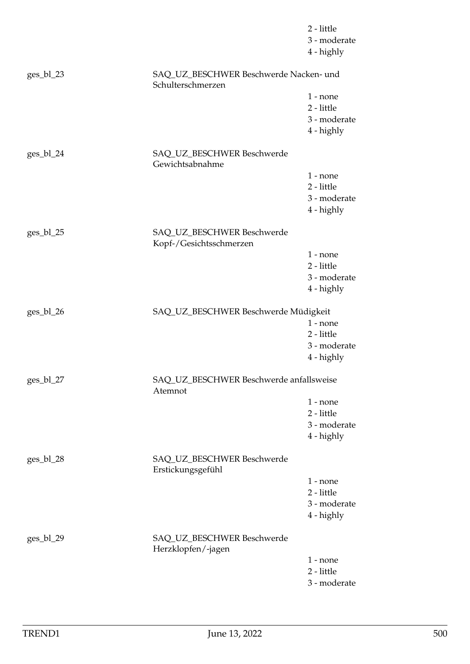|             |                                                             | 2 - little<br>3 - moderate<br>4 - highly |
|-------------|-------------------------------------------------------------|------------------------------------------|
| ges_bl_23   | SAQ_UZ_BESCHWER Beschwerde Nacken- und<br>Schulterschmerzen |                                          |
|             |                                                             | $1$ - none                               |
|             |                                                             | 2 - little                               |
|             |                                                             | 3 - moderate                             |
|             |                                                             | 4 - highly                               |
| $ges_b1_24$ | SAQ_UZ_BESCHWER Beschwerde<br>Gewichtsabnahme               |                                          |
|             |                                                             | $1$ - none                               |
|             |                                                             | 2 - little                               |
|             |                                                             | 3 - moderate                             |
|             |                                                             | 4 - highly                               |
| ges_bl_25   | SAQ_UZ_BESCHWER Beschwerde                                  |                                          |
|             | Kopf-/Gesichtsschmerzen                                     | $1$ - none                               |
|             |                                                             | 2 - little                               |
|             |                                                             | 3 - moderate                             |
|             |                                                             | 4 - highly                               |
| ges_bl_26   | SAQ_UZ_BESCHWER Beschwerde Müdigkeit                        |                                          |
|             |                                                             | $1 - none$                               |
|             |                                                             | 2 - little                               |
|             |                                                             | 3 - moderate                             |
|             |                                                             | 4 - highly                               |
| ges_bl_27   | SAQ_UZ_BESCHWER Beschwerde anfallsweise<br>Atemnot          |                                          |
|             |                                                             | $1$ - none                               |
|             |                                                             | 2 - little                               |
|             |                                                             | 3 - moderate                             |
|             |                                                             | 4 - highly                               |
| $ges_b1_28$ | SAQ_UZ_BESCHWER Beschwerde<br>Erstickungsgefühl             |                                          |
|             |                                                             | $1$ - none                               |
|             |                                                             | 2 - little                               |
|             |                                                             | 3 - moderate                             |
|             |                                                             | 4 - highly                               |
| $ges_b1_29$ | SAQ_UZ_BESCHWER Beschwerde<br>Herzklopfen/-jagen            |                                          |
|             |                                                             | $1$ - none                               |
|             |                                                             | 2 - little                               |
|             |                                                             | 3 - moderate                             |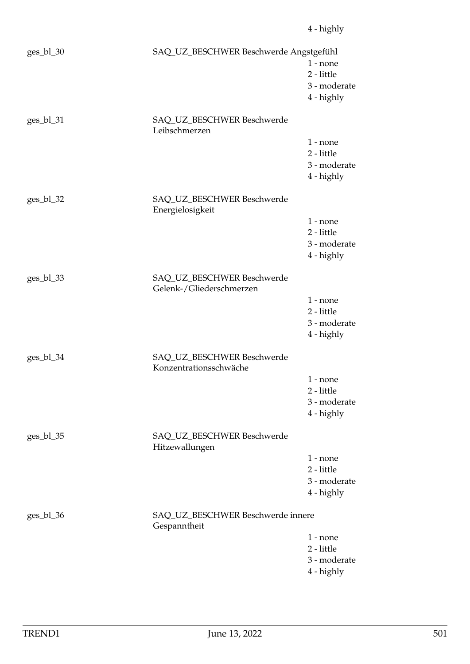| ges_bl_30   | SAQ_UZ_BESCHWER Beschwerde Angstgefühl                 | $1$ - none<br>2 - little<br>3 - moderate<br>4 - highly |
|-------------|--------------------------------------------------------|--------------------------------------------------------|
| ges_bl_31   | SAQ_UZ_BESCHWER Beschwerde<br>Leibschmerzen            |                                                        |
|             |                                                        | $1$ - none<br>2 - little<br>3 - moderate<br>4 - highly |
| $ges_b1_32$ | SAQ_UZ_BESCHWER Beschwerde<br>Energielosigkeit         |                                                        |
|             |                                                        | $1$ - none<br>2 - little<br>3 - moderate<br>4 - highly |
| ges_bl_33   | SAQ_UZ_BESCHWER Beschwerde<br>Gelenk-/Gliederschmerzen |                                                        |
|             |                                                        | $1$ - none<br>2 - little<br>3 - moderate<br>4 - highly |
| ges_bl_34   | SAQ_UZ_BESCHWER Beschwerde<br>Konzentrationsschwäche   |                                                        |
|             |                                                        | $1$ - none<br>2 - little<br>3 - moderate<br>4 - highly |
| ges_bl_35   | SAQ_UZ_BESCHWER Beschwerde<br>Hitzewallungen           |                                                        |
|             |                                                        | $1$ - none<br>2 - little<br>3 - moderate<br>4 - highly |
| ges_bl_36   | SAQ_UZ_BESCHWER Beschwerde innere<br>Gespanntheit      |                                                        |
|             |                                                        | $1$ - none<br>2 - little<br>3 - moderate<br>4 - highly |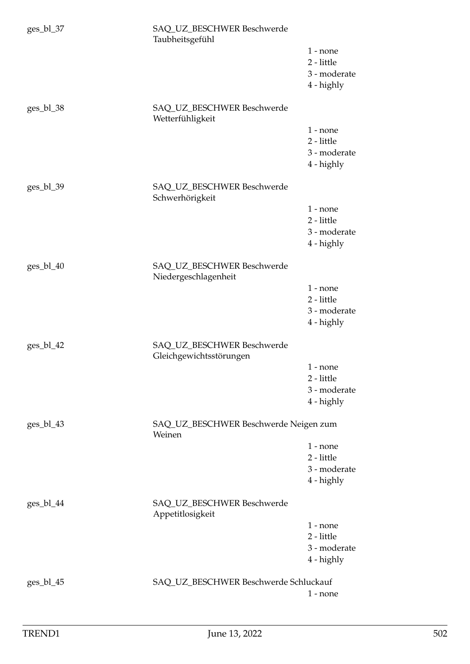| $ges_b1_37$ | SAQ_UZ_BESCHWER Beschwerde<br>Taubheitsgefühl         |                            |
|-------------|-------------------------------------------------------|----------------------------|
|             |                                                       | $1$ - none                 |
|             |                                                       | 2 - little<br>3 - moderate |
|             |                                                       | 4 - highly                 |
|             |                                                       |                            |
| $ges_b1_38$ | SAQ_UZ_BESCHWER Beschwerde<br>Wetterfühligkeit        |                            |
|             |                                                       | $1$ - none<br>2 - little   |
|             |                                                       | 3 - moderate               |
|             |                                                       | 4 - highly                 |
| ges_bl_39   | SAQ_UZ_BESCHWER Beschwerde<br>Schwerhörigkeit         |                            |
|             |                                                       | $1$ - none                 |
|             |                                                       | 2 - little<br>3 - moderate |
|             |                                                       | 4 - highly                 |
|             |                                                       |                            |
| $ges_b1_40$ | SAQ_UZ_BESCHWER Beschwerde<br>Niedergeschlagenheit    |                            |
|             |                                                       | $1$ - none                 |
|             |                                                       | 2 - little                 |
|             |                                                       | 3 - moderate<br>4 - highly |
|             |                                                       |                            |
| ges_bl_42   | SAQ_UZ_BESCHWER Beschwerde<br>Gleichgewichtsstörungen |                            |
|             |                                                       | $1$ - none<br>2 - little   |
|             |                                                       | 3 - moderate               |
|             |                                                       | 4 - highly                 |
| ges_bl_43   | SAQ_UZ_BESCHWER Beschwerde Neigen zum<br>Weinen       |                            |
|             |                                                       | $1$ - none                 |
|             |                                                       | 2 - little                 |
|             |                                                       | 3 - moderate<br>4 - highly |
|             |                                                       |                            |
| $ges_b1_44$ | SAQ_UZ_BESCHWER Beschwerde<br>Appetitlosigkeit        |                            |
|             |                                                       | $1$ - none<br>2 - little   |
|             |                                                       | 3 - moderate               |
|             |                                                       | 4 - highly                 |
| $ges_b1_45$ | SAQ_UZ_BESCHWER Beschwerde Schluckauf                 |                            |
|             |                                                       | $1$ - none                 |
|             |                                                       |                            |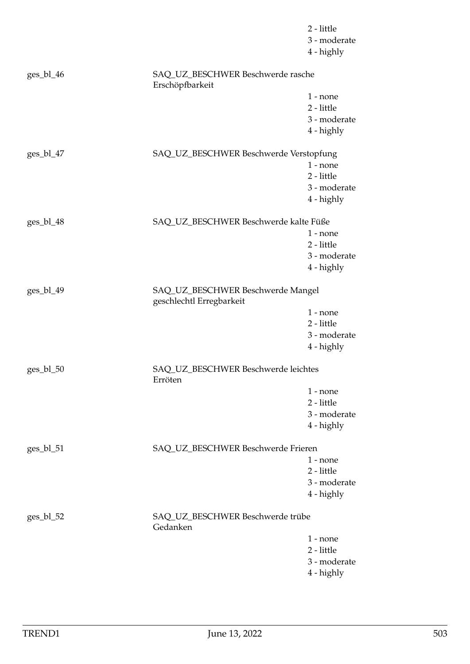|             |                                                               | 2 - little<br>3 - moderate<br>4 - highly |
|-------------|---------------------------------------------------------------|------------------------------------------|
| $ges_b1_46$ | SAQ_UZ_BESCHWER Beschwerde rasche<br>Erschöpfbarkeit          |                                          |
|             |                                                               | $1$ - none                               |
|             |                                                               | 2 - little                               |
|             |                                                               | 3 - moderate                             |
|             |                                                               | 4 - highly                               |
| ges_bl_47   | SAQ_UZ_BESCHWER Beschwerde Verstopfung                        |                                          |
|             |                                                               | $1$ - none                               |
|             |                                                               | 2 - little                               |
|             |                                                               | 3 - moderate                             |
|             |                                                               | 4 - highly                               |
| ges_bl_48   | SAQ_UZ_BESCHWER Beschwerde kalte Füße                         |                                          |
|             |                                                               | $1$ - none                               |
|             |                                                               | 2 - little<br>3 - moderate               |
|             |                                                               | 4 - highly                               |
|             |                                                               |                                          |
| ges_bl_49   | SAQ_UZ_BESCHWER Beschwerde Mangel<br>geschlechtl Erregbarkeit |                                          |
|             |                                                               | $1$ - none                               |
|             |                                                               | 2 - little                               |
|             |                                                               | 3 - moderate                             |
|             |                                                               | 4 - highly                               |
| $ges_b1_50$ | SAQ_UZ_BESCHWER Beschwerde leichtes<br>Erröten                |                                          |
|             |                                                               | $1$ - none                               |
|             |                                                               | 2 - little                               |
|             |                                                               | 3 - moderate                             |
|             |                                                               | 4 - highly                               |
| $ges_b1_51$ | SAQ_UZ_BESCHWER Beschwerde Frieren                            |                                          |
|             |                                                               | $1$ - none                               |
|             |                                                               | 2 - little                               |
|             |                                                               | 3 - moderate                             |
|             |                                                               | 4 - highly                               |
| $ges_b1_52$ | SAQ_UZ_BESCHWER Beschwerde trübe<br>Gedanken                  |                                          |
|             |                                                               | $1$ - none                               |
|             |                                                               | 2 - little                               |
|             |                                                               | 3 - moderate                             |
|             |                                                               | 4 - highly                               |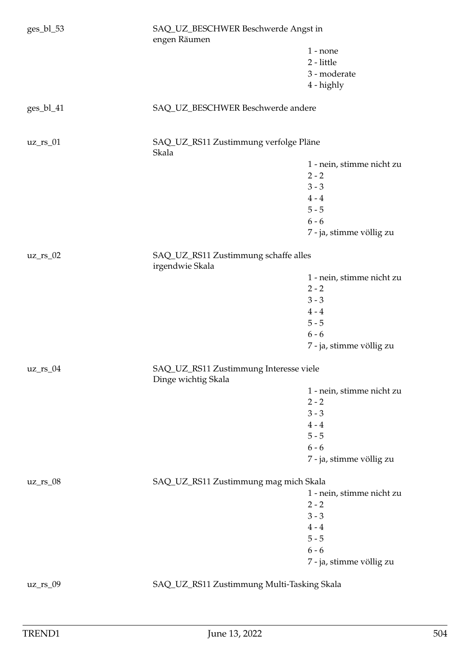| ges_bl_53   | SAQ_UZ_BESCHWER Beschwerde Angst in<br>engen Räumen           |                           |  |
|-------------|---------------------------------------------------------------|---------------------------|--|
|             |                                                               | $1 - none$                |  |
|             |                                                               | 2 - little                |  |
|             |                                                               | 3 - moderate              |  |
|             |                                                               | 4 - highly                |  |
| ges_bl_41   | SAQ_UZ_BESCHWER Beschwerde andere                             |                           |  |
| $uz_r s_01$ | SAQ_UZ_RS11 Zustimmung verfolge Pläne<br>Skala                |                           |  |
|             |                                                               | 1 - nein, stimme nicht zu |  |
|             |                                                               | $2 - 2$                   |  |
|             |                                                               | $3 - 3$                   |  |
|             |                                                               | $4 - 4$                   |  |
|             |                                                               | $5 - 5$                   |  |
|             |                                                               | $6 - 6$                   |  |
|             |                                                               |                           |  |
|             |                                                               | 7 - ja, stimme völlig zu  |  |
| $uz_r s_02$ | SAQ_UZ_RS11 Zustimmung schaffe alles<br>irgendwie Skala       |                           |  |
|             |                                                               | 1 - nein, stimme nicht zu |  |
|             |                                                               | $2 - 2$                   |  |
|             |                                                               | $3 - 3$                   |  |
|             |                                                               | $4 - 4$                   |  |
|             |                                                               | $5 - 5$                   |  |
|             |                                                               | $6 - 6$                   |  |
|             |                                                               | 7 - ja, stimme völlig zu  |  |
| $uz_r s_04$ | SAQ_UZ_RS11 Zustimmung Interesse viele<br>Dinge wichtig Skala |                           |  |
|             |                                                               | 1 - nein, stimme nicht zu |  |
|             |                                                               | $2 - 2$                   |  |
|             |                                                               | $3 - 3$                   |  |
|             |                                                               | $4 - 4$                   |  |
|             |                                                               | $5 - 5$                   |  |
|             |                                                               | $6 - 6$                   |  |
|             |                                                               | 7 - ja, stimme völlig zu  |  |
| $uz_r s_08$ | SAQ_UZ_RS11 Zustimmung mag mich Skala                         |                           |  |
|             |                                                               | 1 - nein, stimme nicht zu |  |
|             |                                                               | $2 - 2$                   |  |
|             |                                                               | $3 - 3$                   |  |
|             |                                                               | $4 - 4$                   |  |
|             |                                                               | $5 - 5$                   |  |
|             |                                                               | $6 - 6$                   |  |
|             |                                                               | 7 - ja, stimme völlig zu  |  |
| $uz_r s_09$ | SAQ_UZ_RS11 Zustimmung Multi-Tasking Skala                    |                           |  |
|             |                                                               |                           |  |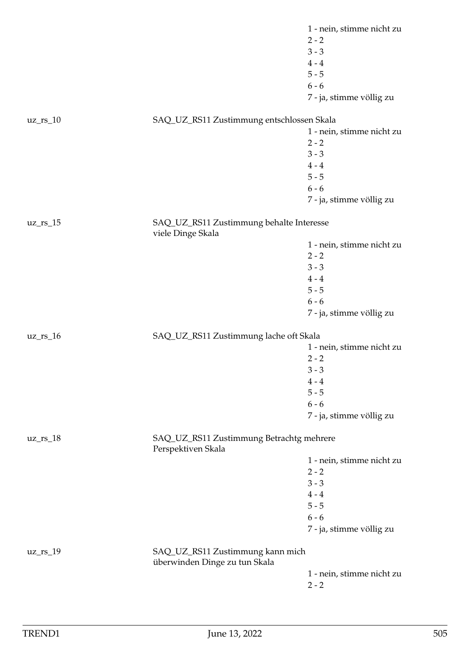|             |                                                                   | 1 - nein, stimme nicht zu |
|-------------|-------------------------------------------------------------------|---------------------------|
|             |                                                                   | $2 - 2$                   |
|             |                                                                   | $3 - 3$                   |
|             |                                                                   | $4 - 4$                   |
|             |                                                                   | $5 - 5$                   |
|             |                                                                   | $6 - 6$                   |
|             |                                                                   | 7 - ja, stimme völlig zu  |
| $uz_r s_10$ | SAQ_UZ_RS11 Zustimmung entschlossen Skala                         |                           |
|             |                                                                   | 1 - nein, stimme nicht zu |
|             |                                                                   | $2 - 2$                   |
|             |                                                                   | $3 - 3$                   |
|             |                                                                   | $4 - 4$                   |
|             |                                                                   | $5 - 5$                   |
|             |                                                                   | $6 - 6$                   |
|             |                                                                   | 7 - ja, stimme völlig zu  |
| $uz_r s_15$ | SAQ_UZ_RS11 Zustimmung behalte Interesse<br>viele Dinge Skala     |                           |
|             |                                                                   | 1 - nein, stimme nicht zu |
|             |                                                                   | $2 - 2$                   |
|             |                                                                   | $3 - 3$                   |
|             |                                                                   | $4 - 4$                   |
|             |                                                                   | $5 - 5$                   |
|             |                                                                   | $6 - 6$                   |
|             |                                                                   | 7 - ja, stimme völlig zu  |
| $uz_r s_16$ | SAQ_UZ_RS11 Zustimmung lache oft Skala                            |                           |
|             |                                                                   | 1 - nein, stimme nicht zu |
|             |                                                                   | $2 - 2$                   |
|             |                                                                   | $3 - 3$                   |
|             |                                                                   | $4 - 4$                   |
|             |                                                                   | $5 - 5$                   |
|             |                                                                   | $6 - 6$                   |
|             |                                                                   | 7 - ja, stimme völlig zu  |
| $uz_r s_18$ | SAQ_UZ_RS11 Zustimmung Betrachtg mehrere<br>Perspektiven Skala    |                           |
|             |                                                                   | 1 - nein, stimme nicht zu |
|             |                                                                   | $2 - 2$                   |
|             |                                                                   | $3 - 3$                   |
|             |                                                                   | $4 - 4$                   |
|             |                                                                   | $5 - 5$                   |
|             |                                                                   | $6 - 6$                   |
|             |                                                                   | 7 - ja, stimme völlig zu  |
| $uz_r s_19$ | SAQ_UZ_RS11 Zustimmung kann mich<br>überwinden Dinge zu tun Skala |                           |
|             |                                                                   | 1 - nein, stimme nicht zu |
|             |                                                                   | $2 - 2$                   |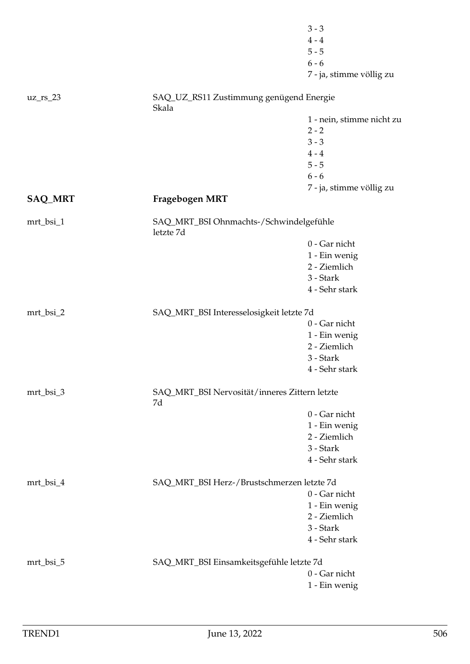|             |                                                      | $3 - 3$                   |
|-------------|------------------------------------------------------|---------------------------|
|             |                                                      | $4 - 4$                   |
|             |                                                      | $5 - 5$                   |
|             |                                                      | $6 - 6$                   |
|             |                                                      | 7 - ja, stimme völlig zu  |
| $uz_{rs_2}$ | SAQ_UZ_RS11 Zustimmung genügend Energie<br>Skala     |                           |
|             |                                                      | 1 - nein, stimme nicht zu |
|             |                                                      | $2 - 2$                   |
|             |                                                      | $3 - 3$                   |
|             |                                                      | $4 - 4$                   |
|             |                                                      | $5 - 5$                   |
|             |                                                      | $6 - 6$                   |
|             |                                                      | 7 - ja, stimme völlig zu  |
| SAQ_MRT     | Fragebogen MRT                                       |                           |
| mrt_bsi_1   | SAQ_MRT_BSI Ohnmachts-/Schwindelgefühle<br>letzte 7d |                           |
|             |                                                      | 0 - Gar nicht             |
|             |                                                      | 1 - Ein wenig             |
|             |                                                      | 2 - Ziemlich              |
|             |                                                      | 3 - Stark                 |
|             |                                                      | 4 - Sehr stark            |
| mrt_bsi_2   | SAQ_MRT_BSI Interesselosigkeit letzte 7d             |                           |
|             |                                                      | 0 - Gar nicht             |
|             |                                                      | 1 - Ein wenig             |
|             |                                                      | 2 - Ziemlich              |
|             |                                                      | 3 - Stark                 |
|             |                                                      | 4 - Sehr stark            |
| mrt_bsi_3   | SAQ_MRT_BSI Nervosität/inneres Zittern letzte<br>7d  |                           |
|             |                                                      | 0 - Gar nicht             |
|             |                                                      | 1 - Ein wenig             |
|             |                                                      | 2 - Ziemlich              |
|             |                                                      | 3 - Stark                 |
|             |                                                      | 4 - Sehr stark            |
| mrt_bsi_4   | SAQ_MRT_BSI Herz-/Brustschmerzen letzte 7d           |                           |
|             |                                                      | 0 - Gar nicht             |
|             |                                                      | 1 - Ein wenig             |
|             |                                                      | 2 - Ziemlich              |
|             |                                                      | 3 - Stark                 |
|             |                                                      | 4 - Sehr stark            |
| mrt_bsi_5   | SAQ_MRT_BSI Einsamkeitsgefühle letzte 7d             |                           |
|             |                                                      | 0 - Gar nicht             |
|             |                                                      | 1 - Ein wenig             |
|             |                                                      |                           |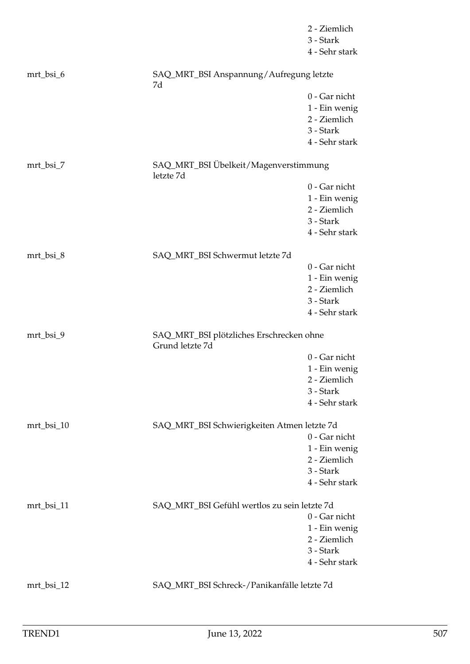|            |                                                             | 2 - Ziemlich<br>3 - Stark<br>4 - Sehr stark                                   |
|------------|-------------------------------------------------------------|-------------------------------------------------------------------------------|
| mrt_bsi_6  | SAQ_MRT_BSI Anspannung/Aufregung letzte<br>7d               |                                                                               |
|            |                                                             | 0 - Gar nicht<br>1 - Ein wenig<br>2 - Ziemlich<br>3 - Stark<br>4 - Sehr stark |
| mrt_bsi_7  | SAQ_MRT_BSI Übelkeit/Magenverstimmung<br>letzte 7d          |                                                                               |
|            |                                                             | 0 - Gar nicht<br>1 - Ein wenig<br>2 - Ziemlich<br>3 - Stark<br>4 - Sehr stark |
| mrt_bsi_8  | SAQ_MRT_BSI Schwermut letzte 7d                             |                                                                               |
|            |                                                             | 0 - Gar nicht<br>1 - Ein wenig<br>2 - Ziemlich<br>3 - Stark<br>4 - Sehr stark |
| mrt_bsi_9  | SAQ_MRT_BSI plötzliches Erschrecken ohne<br>Grund letzte 7d |                                                                               |
|            |                                                             | 0 - Gar nicht<br>1 - Ein wenig<br>2 - Ziemlich<br>3 - Stark<br>4 - Sehr stark |
| mrt_bsi_10 | SAQ_MRT_BSI Schwierigkeiten Atmen letzte 7d                 |                                                                               |
|            |                                                             | 0 - Gar nicht<br>1 - Ein wenig<br>2 - Ziemlich<br>3 - Stark<br>4 - Sehr stark |
| mrt_bsi_11 | SAQ_MRT_BSI Gefühl wertlos zu sein letzte 7d                |                                                                               |
|            |                                                             | 0 - Gar nicht<br>1 - Ein wenig<br>2 - Ziemlich<br>3 - Stark<br>4 - Sehr stark |
| mrt_bsi_12 | SAQ_MRT_BSI Schreck-/Panikanfälle letzte 7d                 |                                                                               |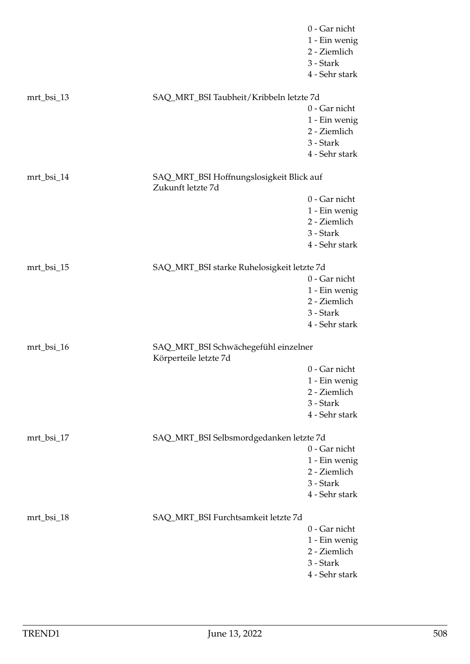|            |                                                               | 0 - Gar nicht  |
|------------|---------------------------------------------------------------|----------------|
|            |                                                               | 1 - Ein wenig  |
|            |                                                               | 2 - Ziemlich   |
|            |                                                               | 3 - Stark      |
|            |                                                               | 4 - Sehr stark |
| mrt_bsi_13 | SAQ_MRT_BSI Taubheit/Kribbeln letzte 7d                       |                |
|            |                                                               | 0 - Gar nicht  |
|            |                                                               | 1 - Ein wenig  |
|            |                                                               | 2 - Ziemlich   |
|            |                                                               | 3 - Stark      |
|            |                                                               | 4 - Sehr stark |
| mrt_bsi_14 | SAQ_MRT_BSI Hoffnungslosigkeit Blick auf<br>Zukunft letzte 7d |                |
|            |                                                               | 0 - Gar nicht  |
|            |                                                               | 1 - Ein wenig  |
|            |                                                               | 2 - Ziemlich   |
|            |                                                               | 3 - Stark      |
|            |                                                               | 4 - Sehr stark |
|            |                                                               |                |
| mrt_bsi_15 | SAQ_MRT_BSI starke Ruhelosigkeit letzte 7d                    |                |
|            |                                                               | 0 - Gar nicht  |
|            |                                                               | 1 - Ein wenig  |
|            |                                                               | 2 - Ziemlich   |
|            |                                                               | 3 - Stark      |
|            |                                                               | 4 - Sehr stark |
| mrt_bsi_16 | SAQ_MRT_BSI Schwächegefühl einzelner<br>Körperteile letzte 7d |                |
|            |                                                               | 0 - Gar nicht  |
|            |                                                               | 1 - Ein wenig  |
|            |                                                               | 2 - Ziemlich   |
|            |                                                               | 3 - Stark      |
|            |                                                               | 4 - Sehr stark |
| mrt_bsi_17 | SAQ_MRT_BSI Selbsmordgedanken letzte 7d                       |                |
|            |                                                               | 0 - Gar nicht  |
|            |                                                               | 1 - Ein wenig  |
|            |                                                               | 2 - Ziemlich   |
|            |                                                               | 3 - Stark      |
|            |                                                               | 4 - Sehr stark |
|            |                                                               |                |
| mrt_bsi_18 | SAQ_MRT_BSI Furchtsamkeit letzte 7d                           |                |
|            |                                                               | 0 - Gar nicht  |
|            |                                                               | 1 - Ein wenig  |
|            |                                                               | 2 - Ziemlich   |
|            |                                                               | 3 - Stark      |
|            |                                                               | 4 - Sehr stark |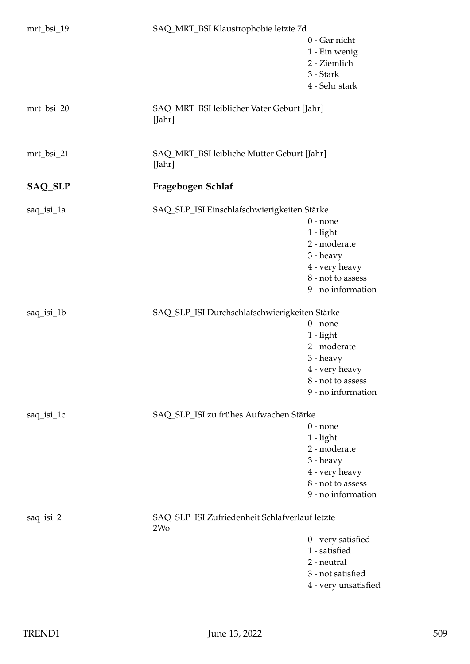| mrt_bsi_19     | SAQ_MRT_BSI Klaustrophobie letzte 7d                              |                      |
|----------------|-------------------------------------------------------------------|----------------------|
|                |                                                                   | 0 - Gar nicht        |
|                |                                                                   | 1 - Ein wenig        |
|                |                                                                   | 2 - Ziemlich         |
|                |                                                                   | 3 - Stark            |
|                |                                                                   | 4 - Sehr stark       |
|                |                                                                   |                      |
| mrt_bsi_20     | SAQ_MRT_BSI leiblicher Vater Geburt [Jahr]<br>[Jahr]              |                      |
|                |                                                                   |                      |
| mrt_bsi_21     | SAQ_MRT_BSI leibliche Mutter Geburt [Jahr]<br>[Jahr]              |                      |
| <b>SAQ_SLP</b> | Fragebogen Schlaf                                                 |                      |
|                |                                                                   |                      |
| saq_isi_1a     | SAQ_SLP_ISI Einschlafschwierigkeiten Stärke                       |                      |
|                |                                                                   | $0$ - none           |
|                |                                                                   | $1 - light$          |
|                |                                                                   | 2 - moderate         |
|                |                                                                   | 3 - heavy            |
|                |                                                                   | 4 - very heavy       |
|                |                                                                   | 8 - not to assess    |
|                |                                                                   | 9 - no information   |
| saq_isi_1b     | SAQ_SLP_ISI Durchschlafschwierigkeiten Stärke                     |                      |
|                |                                                                   | $0$ - none           |
|                |                                                                   | $1 - light$          |
|                |                                                                   | 2 - moderate         |
|                |                                                                   | 3 - heavy            |
|                |                                                                   | 4 - very heavy       |
|                |                                                                   | 8 - not to assess    |
|                |                                                                   | 9 - no information   |
|                |                                                                   |                      |
| saq_isi_1c     | SAQ_SLP_ISI zu frühes Aufwachen Stärke                            |                      |
|                |                                                                   | $0$ - none           |
|                |                                                                   | $1 - light$          |
|                |                                                                   | 2 - moderate         |
|                |                                                                   | 3 - heavy            |
|                |                                                                   | 4 - very heavy       |
|                |                                                                   | 8 - not to assess    |
|                |                                                                   | 9 - no information   |
| $saq_isi_2$    | SAQ_SLP_ISI Zufriedenheit Schlafverlauf letzte<br>2W <sub>o</sub> |                      |
|                |                                                                   | 0 - very satisfied   |
|                |                                                                   | 1 - satisfied        |
|                |                                                                   | 2 - neutral          |
|                |                                                                   | 3 - not satisfied    |
|                |                                                                   | 4 - very unsatisfied |
|                |                                                                   |                      |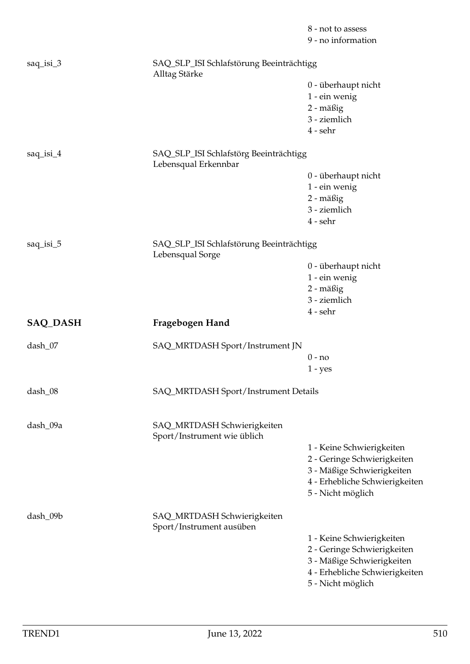|                 |                                                              | 8 - not to assess<br>9 - no information                                                                                                       |
|-----------------|--------------------------------------------------------------|-----------------------------------------------------------------------------------------------------------------------------------------------|
| saq_isi_3       | SAQ_SLP_ISI Schlafstörung Beeinträchtigg<br>Alltag Stärke    |                                                                                                                                               |
|                 |                                                              | 0 - überhaupt nicht<br>1 - ein wenig<br>2 - mäßig<br>3 - ziemlich                                                                             |
| saq_isi_4       | SAQ_SLP_ISI Schlafstörg Beeinträchtigg                       | $4$ - sehr                                                                                                                                    |
|                 | Lebensqual Erkennbar                                         |                                                                                                                                               |
|                 |                                                              | 0 - überhaupt nicht<br>1 - ein wenig<br>2 - mäßig<br>3 - ziemlich<br>$4$ - sehr                                                               |
| $saq_isi_5$     | SAQ_SLP_ISI Schlafstörung Beeinträchtigg<br>Lebensqual Sorge |                                                                                                                                               |
|                 |                                                              | 0 - überhaupt nicht<br>1 - ein wenig<br>2 - mäßig<br>3 - ziemlich<br>$4$ - sehr                                                               |
| <b>SAQ_DASH</b> | Fragebogen Hand                                              |                                                                                                                                               |
| dash_07         | SAQ_MRTDASH Sport/Instrument JN                              |                                                                                                                                               |
|                 |                                                              | $0 - no$<br>$1 - yes$                                                                                                                         |
| dash_08         | SAQ_MRTDASH Sport/Instrument Details                         |                                                                                                                                               |
| dash_09a        | SAQ_MRTDASH Schwierigkeiten<br>Sport/Instrument wie üblich   |                                                                                                                                               |
|                 |                                                              | 1 - Keine Schwierigkeiten<br>2 - Geringe Schwierigkeiten<br>3 - Mäßige Schwierigkeiten<br>4 - Erhebliche Schwierigkeiten<br>5 - Nicht möglich |
| dash_09b        | SAQ_MRTDASH Schwierigkeiten<br>Sport/Instrument ausüben      |                                                                                                                                               |
|                 |                                                              | 1 - Keine Schwierigkeiten<br>2 - Geringe Schwierigkeiten<br>3 - Mäßige Schwierigkeiten<br>4 - Erhebliche Schwierigkeiten<br>5 - Nicht möglich |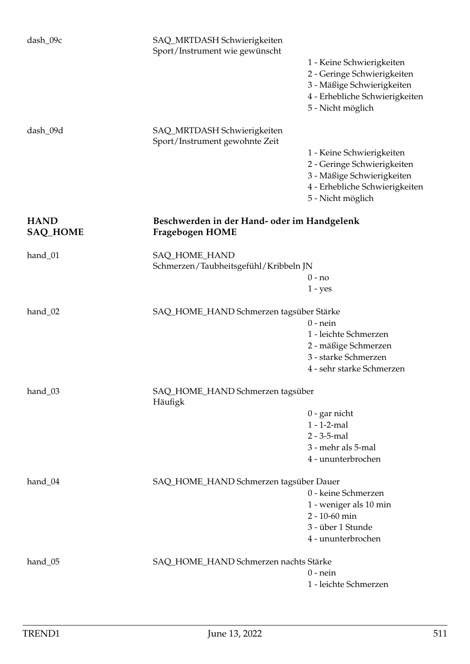| dash_09c                                         | SAQ_MRTDASH Schwierigkeiten<br>Sport/Instrument wie gewünscht         |                                                                                                                                               |
|--------------------------------------------------|-----------------------------------------------------------------------|-----------------------------------------------------------------------------------------------------------------------------------------------|
|                                                  |                                                                       | 1 - Keine Schwierigkeiten<br>2 - Geringe Schwierigkeiten<br>3 - Mäßige Schwierigkeiten<br>4 - Erhebliche Schwierigkeiten<br>5 - Nicht möglich |
| dash_09d                                         | SAQ_MRTDASH Schwierigkeiten<br>Sport/Instrument gewohnte Zeit         |                                                                                                                                               |
|                                                  |                                                                       | 1 - Keine Schwierigkeiten<br>2 - Geringe Schwierigkeiten<br>3 - Mäßige Schwierigkeiten<br>4 - Erhebliche Schwierigkeiten<br>5 - Nicht möglich |
| <b>HAND</b><br><b>SAQ_HOME</b>                   | Beschwerden in der Hand- oder im Handgelenk<br><b>Fragebogen HOME</b> |                                                                                                                                               |
| hand_01                                          | SAQ_HOME_HAND<br>Schmerzen/Taubheitsgefühl/Kribbeln JN                |                                                                                                                                               |
|                                                  |                                                                       | $0 - no$<br>$1 - yes$                                                                                                                         |
| hand <sub>02</sub>                               | SAQ_HOME_HAND Schmerzen tagsüber Stärke                               |                                                                                                                                               |
|                                                  |                                                                       | $0$ - nein                                                                                                                                    |
|                                                  |                                                                       | 1 - leichte Schmerzen<br>2 - mäßige Schmerzen                                                                                                 |
|                                                  |                                                                       | 3 - starke Schmerzen                                                                                                                          |
|                                                  |                                                                       | 4 - sehr starke Schmerzen                                                                                                                     |
| hand_03                                          | SAQ_HOME_HAND Schmerzen tagsüber<br>Häufigk                           |                                                                                                                                               |
|                                                  |                                                                       | $0$ - gar nicht                                                                                                                               |
|                                                  |                                                                       | $1 - 1 - 2$ -mal                                                                                                                              |
|                                                  |                                                                       | $2 - 3 - 5 -$ mal                                                                                                                             |
|                                                  |                                                                       | 3 - mehr als 5-mal                                                                                                                            |
|                                                  |                                                                       | 4 - ununterbrochen                                                                                                                            |
| hand_04                                          | SAQ_HOME_HAND Schmerzen tagsüber Dauer                                |                                                                                                                                               |
|                                                  |                                                                       | 0 - keine Schmerzen                                                                                                                           |
|                                                  |                                                                       | 1 - weniger als 10 min                                                                                                                        |
|                                                  |                                                                       | 2 - 10-60 min                                                                                                                                 |
|                                                  |                                                                       | 3 - über 1 Stunde<br>4 - ununterbrochen                                                                                                       |
|                                                  |                                                                       |                                                                                                                                               |
| SAQ_HOME_HAND Schmerzen nachts Stärke<br>hand_05 |                                                                       |                                                                                                                                               |
|                                                  |                                                                       | $0$ - nein                                                                                                                                    |
|                                                  |                                                                       | 1 - leichte Schmerzen                                                                                                                         |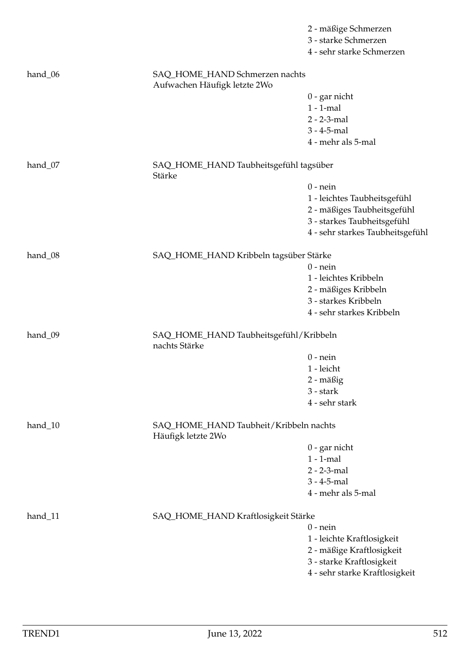|           |                                                                | 2 - mäßige Schmerzen             |  |
|-----------|----------------------------------------------------------------|----------------------------------|--|
|           |                                                                | 3 - starke Schmerzen             |  |
|           |                                                                | 4 - sehr starke Schmerzen        |  |
| hand_06   | SAQ_HOME_HAND Schmerzen nachts<br>Aufwachen Häufigk letzte 2Wo |                                  |  |
|           |                                                                | $0$ - gar nicht                  |  |
|           |                                                                | $1 - 1$ -mal                     |  |
|           |                                                                | 2 - 2-3-mal                      |  |
|           |                                                                | $3 - 4 - 5$ -mal                 |  |
|           |                                                                | 4 - mehr als 5-mal               |  |
| hand_07   | SAQ_HOME_HAND Taubheitsgefühl tagsüber<br>Stärke               |                                  |  |
|           |                                                                | $0$ - nein                       |  |
|           |                                                                | 1 - leichtes Taubheitsgefühl     |  |
|           |                                                                | 2 - mäßiges Taubheitsgefühl      |  |
|           |                                                                | 3 - starkes Taubheitsgefühl      |  |
|           |                                                                | 4 - sehr starkes Taubheitsgefühl |  |
| hand_08   | SAQ_HOME_HAND Kribbeln tagsüber Stärke                         |                                  |  |
|           |                                                                | $0$ - nein                       |  |
|           |                                                                | 1 - leichtes Kribbeln            |  |
|           |                                                                | 2 - mäßiges Kribbeln             |  |
|           |                                                                | 3 - starkes Kribbeln             |  |
|           |                                                                | 4 - sehr starkes Kribbeln        |  |
| hand_09   | SAQ_HOME_HAND Taubheitsgefühl/Kribbeln<br>nachts Stärke        |                                  |  |
|           |                                                                | $0$ - nein                       |  |
|           |                                                                | 1 - leicht                       |  |
|           |                                                                | 2 - mäßig                        |  |
|           |                                                                | 3 - stark                        |  |
|           |                                                                | 4 - sehr stark                   |  |
| $hand_10$ | SAQ_HOME_HAND Taubheit/Kribbeln nachts<br>Häufigk letzte 2Wo   |                                  |  |
|           |                                                                | $0$ - gar nicht                  |  |
|           |                                                                | $1 - 1$ -mal                     |  |
|           |                                                                | $2 - 2 - 3 - mal$                |  |
|           |                                                                | $3 - 4 - 5 -$ mal                |  |
|           |                                                                | 4 - mehr als 5-mal               |  |
| hand_11   | SAQ_HOME_HAND Kraftlosigkeit Stärke                            |                                  |  |
|           |                                                                | $0$ - nein                       |  |
|           |                                                                | 1 - leichte Kraftlosigkeit       |  |
|           |                                                                | 2 - mäßige Kraftlosigkeit        |  |
|           |                                                                | 3 - starke Kraftlosigkeit        |  |
|           |                                                                | 4 - sehr starke Kraftlosigkeit   |  |
|           |                                                                |                                  |  |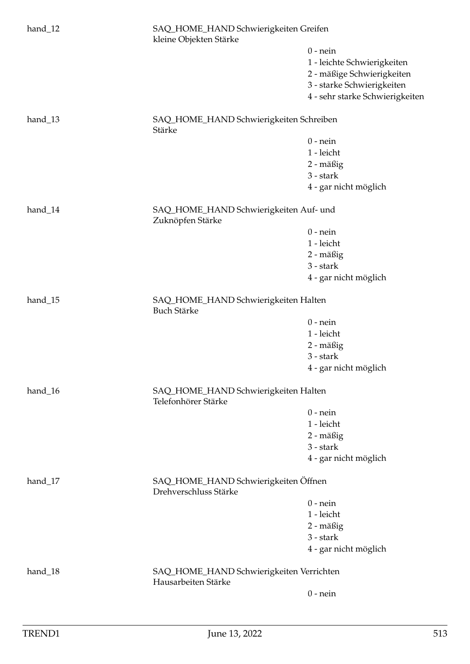| hand_12 | SAQ_HOME_HAND Schwierigkeiten Greifen<br>kleine Objekten Stärke |                                 |  |
|---------|-----------------------------------------------------------------|---------------------------------|--|
|         |                                                                 | $0$ - nein                      |  |
|         |                                                                 | 1 - leichte Schwierigkeiten     |  |
|         |                                                                 | 2 - mäßige Schwierigkeiten      |  |
|         |                                                                 | 3 - starke Schwierigkeiten      |  |
|         |                                                                 | 4 - sehr starke Schwierigkeiten |  |
| hand_13 | SAQ_HOME_HAND Schwierigkeiten Schreiben<br>Stärke               |                                 |  |
|         |                                                                 | $0$ - nein                      |  |
|         |                                                                 | 1 - leicht                      |  |
|         |                                                                 | 2 - mäßig                       |  |
|         |                                                                 | 3 - stark                       |  |
|         |                                                                 | 4 - gar nicht möglich           |  |
| hand_14 | SAQ_HOME_HAND Schwierigkeiten Auf- und<br>Zuknöpfen Stärke      |                                 |  |
|         |                                                                 | $0$ - nein                      |  |
|         |                                                                 | 1 - leicht                      |  |
|         |                                                                 | 2 - mäßig                       |  |
|         |                                                                 | 3 - stark                       |  |
|         |                                                                 | 4 - gar nicht möglich           |  |
| hand_15 | SAQ_HOME_HAND Schwierigkeiten Halten<br><b>Buch Stärke</b>      |                                 |  |
|         |                                                                 | $0$ - nein                      |  |
|         |                                                                 | 1 - leicht                      |  |
|         |                                                                 | 2 - mäßig                       |  |
|         |                                                                 | 3 - stark                       |  |
|         |                                                                 | 4 - gar nicht möglich           |  |
| hand_16 | SAQ_HOME_HAND Schwierigkeiten Halten<br>Telefonhörer Stärke     |                                 |  |
|         |                                                                 | $0$ - nein                      |  |
|         |                                                                 | 1 - leicht                      |  |
|         |                                                                 | 2 - mäßig                       |  |
|         |                                                                 | 3 - stark                       |  |
|         |                                                                 | 4 - gar nicht möglich           |  |
| hand_17 | SAQ_HOME_HAND Schwierigkeiten Öffnen<br>Drehverschluss Stärke   |                                 |  |
|         |                                                                 | $0$ - nein                      |  |
|         |                                                                 | 1 - leicht                      |  |
|         |                                                                 | 2 - mäßig                       |  |
|         |                                                                 | 3 - stark                       |  |
|         |                                                                 | 4 - gar nicht möglich           |  |
| hand_18 | SAQ_HOME_HAND Schwierigkeiten Verrichten                        |                                 |  |
|         | Hausarbeiten Stärke                                             |                                 |  |
|         |                                                                 | $0$ - nein                      |  |
|         |                                                                 |                                 |  |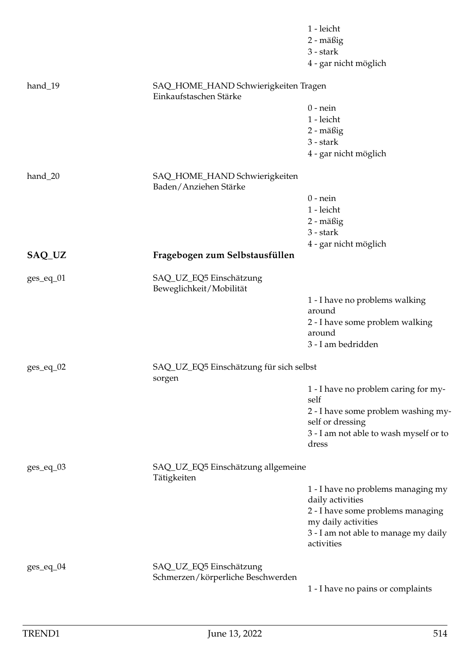|               |                                                                | 1 - leicht<br>2 - mäßig<br>$3 - stark$<br>4 - gar nicht möglich |
|---------------|----------------------------------------------------------------|-----------------------------------------------------------------|
| hand_19       | SAQ_HOME_HAND Schwierigkeiten Tragen<br>Einkaufstaschen Stärke |                                                                 |
|               |                                                                | $0$ - nein                                                      |
|               |                                                                | 1 - leicht                                                      |
|               |                                                                | 2 - mäßig                                                       |
|               |                                                                | $3 - stark$                                                     |
|               |                                                                | 4 - gar nicht möglich                                           |
| hand_20       | SAQ_HOME_HAND Schwierigkeiten<br>Baden/Anziehen Stärke         |                                                                 |
|               |                                                                | $0$ - nein                                                      |
|               |                                                                | 1 - leicht                                                      |
|               |                                                                | 2 - mäßig                                                       |
|               |                                                                | 3 - stark                                                       |
|               |                                                                | 4 - gar nicht möglich                                           |
| SAQ_UZ        | Fragebogen zum Selbstausfüllen                                 |                                                                 |
| $ges\_eq\_01$ | SAQ_UZ_EQ5 Einschätzung<br>Beweglichkeit/Mobilität             |                                                                 |
|               |                                                                | 1 - I have no problems walking                                  |
|               |                                                                | around                                                          |
|               |                                                                | 2 - I have some problem walking<br>around                       |
|               |                                                                | 3 - I am bedridden                                              |
|               |                                                                |                                                                 |
| $ges\_eq\_02$ | SAQ_UZ_EQ5 Einschätzung für sich selbst<br>sorgen              |                                                                 |
|               |                                                                | 1 - I have no problem caring for my-<br>self                    |
|               |                                                                | 2 - I have some problem washing my-                             |
|               |                                                                | self or dressing                                                |
|               |                                                                | 3 - I am not able to wash myself or to<br>dress                 |
| $ges\_eq\_03$ | SAQ_UZ_EQ5 Einschätzung allgemeine<br>Tätigkeiten              |                                                                 |
|               |                                                                | 1 - I have no problems managing my                              |
|               |                                                                | daily activities                                                |
|               |                                                                | 2 - I have some problems managing                               |
|               |                                                                | my daily activities                                             |
|               |                                                                | 3 - I am not able to manage my daily<br>activities              |
| $ges\_eq\_04$ | SAQ_UZ_EQ5 Einschätzung                                        |                                                                 |
|               | Schmerzen/körperliche Beschwerden                              |                                                                 |
|               |                                                                | 1 - I have no pains or complaints                               |
|               |                                                                |                                                                 |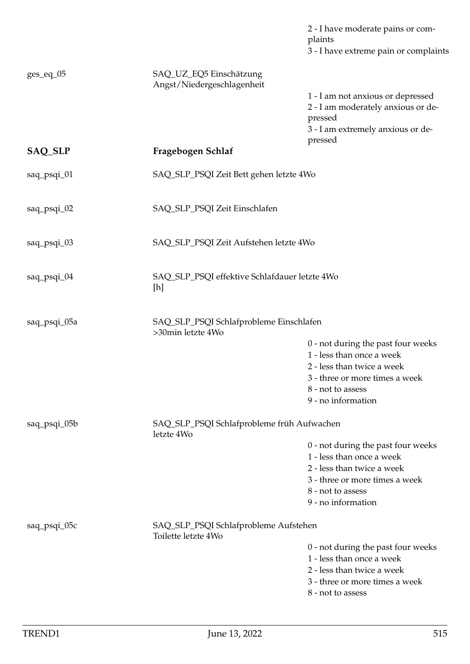|              |                                                              | 2 - I have moderate pains or com-<br>plaints<br>3 - I have extreme pain or complaints                                              |
|--------------|--------------------------------------------------------------|------------------------------------------------------------------------------------------------------------------------------------|
| ges_eq_05    | SAQ_UZ_EQ5 Einschätzung<br>Angst/Niedergeschlagenheit        |                                                                                                                                    |
|              |                                                              | 1 - I am not anxious or depressed<br>2 - I am moderately anxious or de-<br>pressed<br>3 - I am extremely anxious or de-<br>pressed |
| SAQ_SLP      | Fragebogen Schlaf                                            |                                                                                                                                    |
| saq_psqi_01  | SAQ_SLP_PSQI Zeit Bett gehen letzte 4Wo                      |                                                                                                                                    |
| saq_psqi_02  | SAQ_SLP_PSQI Zeit Einschlafen                                |                                                                                                                                    |
| saq_psqi_03  | SAQ_SLP_PSQI Zeit Aufstehen letzte 4Wo                       |                                                                                                                                    |
| saq_psqi_04  | SAQ_SLP_PSQI effektive Schlafdauer letzte 4Wo<br>[h]         |                                                                                                                                    |
| saq_psqi_05a | SAQ_SLP_PSQI Schlafprobleme Einschlafen<br>>30min letzte 4Wo |                                                                                                                                    |
|              |                                                              | 0 - not during the past four weeks<br>1 - less than once a week                                                                    |
|              |                                                              | 2 - less than twice a week                                                                                                         |
|              |                                                              | 3 - three or more times a week                                                                                                     |
|              |                                                              | 8 - not to assess<br>9 - no information                                                                                            |
| saq_psqi_05b | SAQ_SLP_PSQI Schlafprobleme früh Aufwachen<br>letzte 4Wo     |                                                                                                                                    |
|              |                                                              | 0 - not during the past four weeks                                                                                                 |
|              |                                                              | 1 - less than once a week<br>2 - less than twice a week                                                                            |
|              |                                                              | 3 - three or more times a week                                                                                                     |
|              |                                                              | 8 - not to assess                                                                                                                  |
|              |                                                              | 9 - no information                                                                                                                 |
| saq_psqi_05c | SAQ_SLP_PSQI Schlafprobleme Aufstehen<br>Toilette letzte 4Wo |                                                                                                                                    |
|              |                                                              | 0 - not during the past four weeks<br>1 - less than once a week                                                                    |
|              |                                                              | 2 - less than twice a week                                                                                                         |
|              |                                                              | 3 - three or more times a week<br>8 - not to assess                                                                                |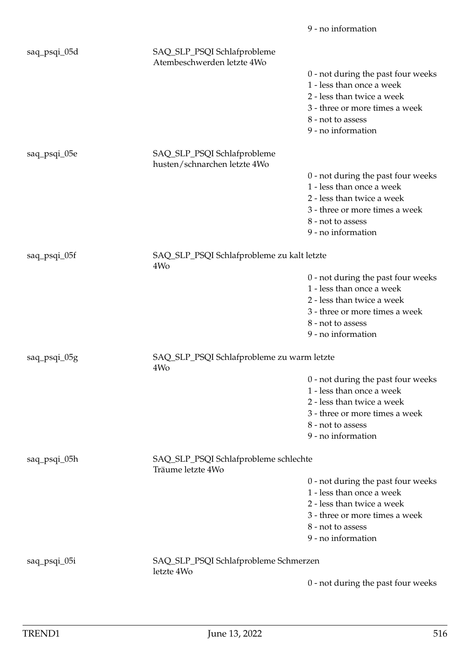|              |                                                               | 9 - no information                                                                                                                                                         |
|--------------|---------------------------------------------------------------|----------------------------------------------------------------------------------------------------------------------------------------------------------------------------|
| saq_psqi_05d | SAQ_SLP_PSQI Schlafprobleme<br>Atembeschwerden letzte 4Wo     | 0 - not during the past four weeks<br>1 - less than once a week<br>2 - less than twice a week<br>3 - three or more times a week<br>8 - not to assess<br>9 - no information |
| saq_psqi_05e | SAQ_SLP_PSQI Schlafprobleme<br>husten/schnarchen letzte 4Wo   |                                                                                                                                                                            |
|              |                                                               | 0 - not during the past four weeks<br>1 - less than once a week<br>2 - less than twice a week<br>3 - three or more times a week<br>8 - not to assess<br>9 - no information |
| saq_psqi_05f | SAQ_SLP_PSQI Schlafprobleme zu kalt letzte                    |                                                                                                                                                                            |
|              | 4W <sub>o</sub>                                               | 0 - not during the past four weeks<br>1 - less than once a week<br>2 - less than twice a week<br>3 - three or more times a week<br>8 - not to assess<br>9 - no information |
| saq_psqi_05g | SAQ_SLP_PSQI Schlafprobleme zu warm letzte<br>4W <sub>o</sub> |                                                                                                                                                                            |
|              |                                                               | 0 - not during the past four weeks<br>1 - less than once a week<br>2 - less than twice a week<br>3 - three or more times a week<br>8 - not to assess<br>9 - no information |
| saq_psqi_05h | SAQ_SLP_PSQI Schlafprobleme schlechte<br>Träume letzte 4Wo    |                                                                                                                                                                            |
|              |                                                               | 0 - not during the past four weeks<br>1 - less than once a week<br>2 - less than twice a week<br>3 - three or more times a week<br>8 - not to assess<br>9 - no information |
| saq_psqi_05i | SAQ_SLP_PSQI Schlafprobleme Schmerzen<br>letzte 4Wo           |                                                                                                                                                                            |
|              |                                                               | 0 - not during the past four weeks                                                                                                                                         |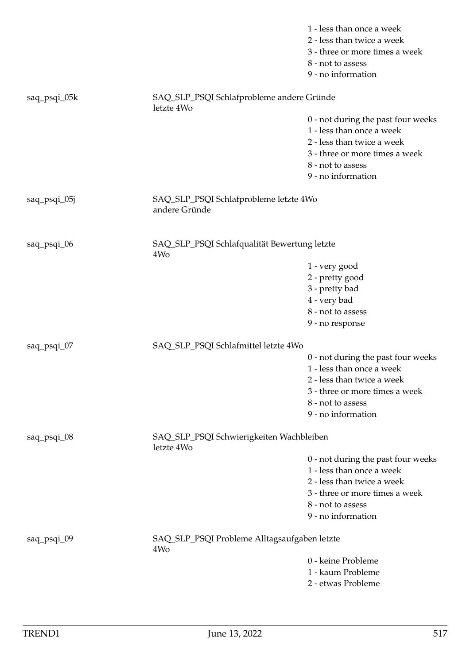|              |                                                                 | 1 - less than once a week          |
|--------------|-----------------------------------------------------------------|------------------------------------|
|              |                                                                 | 2 - less than twice a week         |
|              |                                                                 | 3 - three or more times a week     |
|              |                                                                 | 8 - not to assess                  |
|              |                                                                 | 9 - no information                 |
| saq_psqi_05k | SAQ_SLP_PSQI Schlafprobleme andere Gründe<br>letzte 4Wo         |                                    |
|              |                                                                 | 0 - not during the past four weeks |
|              |                                                                 | 1 - less than once a week          |
|              |                                                                 | 2 - less than twice a week         |
|              |                                                                 | 3 - three or more times a week     |
|              |                                                                 | 8 - not to assess                  |
|              |                                                                 | 9 - no information                 |
| saq_psqi_05j | SAQ_SLP_PSQI Schlafprobleme letzte 4Wo<br>andere Gründe         |                                    |
| saq_psqi_06  | SAQ_SLP_PSQI Schlafqualität Bewertung letzte                    |                                    |
|              | 4Wo                                                             |                                    |
|              |                                                                 | 1 - very good                      |
|              |                                                                 | 2 - pretty good                    |
|              |                                                                 | 3 - pretty bad                     |
|              |                                                                 | 4 - very bad                       |
|              |                                                                 | 8 - not to assess                  |
|              |                                                                 | 9 - no response                    |
| saq_psqi_07  | SAQ_SLP_PSQI Schlafmittel letzte 4Wo                            |                                    |
|              |                                                                 | 0 - not during the past four weeks |
|              |                                                                 | 1 - less than once a week          |
|              |                                                                 | 2 - less than twice a week         |
|              |                                                                 | 3 - three or more times a week     |
|              |                                                                 | 8 - not to assess                  |
|              |                                                                 | 9 - no information                 |
| saq_psqi_08  | SAQ_SLP_PSQI Schwierigkeiten Wachbleiben<br>letzte 4Wo          |                                    |
|              |                                                                 | 0 - not during the past four weeks |
|              |                                                                 | 1 - less than once a week          |
|              |                                                                 | 2 - less than twice a week         |
|              |                                                                 | 3 - three or more times a week     |
|              |                                                                 | 8 - not to assess                  |
|              |                                                                 | 9 - no information                 |
| saq_psqi_09  | SAQ_SLP_PSQI Probleme Alltagsaufgaben letzte<br>4W <sub>o</sub> |                                    |
|              |                                                                 | 0 - keine Probleme                 |
|              |                                                                 | 1 - kaum Probleme                  |
|              |                                                                 | 2 - etwas Probleme                 |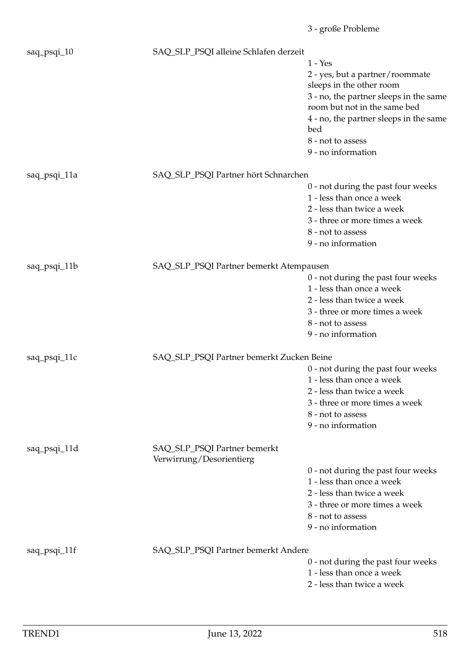|              |                                           | 3 - große Probleme                                                     |
|--------------|-------------------------------------------|------------------------------------------------------------------------|
| saq_psqi_10  | SAQ_SLP_PSQI alleine Schlafen derzeit     |                                                                        |
|              |                                           | $1 - Yes$                                                              |
|              |                                           | 2 - yes, but a partner/roommate<br>sleeps in the other room            |
|              |                                           | 3 - no, the partner sleeps in the same<br>room but not in the same bed |
|              |                                           | 4 - no, the partner sleeps in the same<br>bed                          |
|              |                                           | 8 - not to assess                                                      |
|              |                                           | 9 - no information                                                     |
| saq_psqi_11a | SAQ_SLP_PSQI Partner hört Schnarchen      |                                                                        |
|              |                                           | 0 - not during the past four weeks                                     |
|              |                                           | 1 - less than once a week                                              |
|              |                                           | 2 - less than twice a week                                             |
|              |                                           | 3 - three or more times a week                                         |
|              |                                           | 8 - not to assess                                                      |
|              |                                           | 9 - no information                                                     |
| saq_psqi_11b | SAQ_SLP_PSQI Partner bemerkt Atempausen   |                                                                        |
|              |                                           | 0 - not during the past four weeks                                     |
|              |                                           | 1 - less than once a week                                              |
|              |                                           | 2 - less than twice a week                                             |
|              |                                           | 3 - three or more times a week                                         |
|              |                                           | 8 - not to assess                                                      |
|              |                                           | 9 - no information                                                     |
| saq_psqi_11c | SAQ_SLP_PSQI Partner bemerkt Zucken Beine |                                                                        |
|              |                                           | 0 - not during the past four weeks                                     |
|              |                                           | 1 - less than once a week                                              |
|              |                                           | 2 - less than twice a week                                             |
|              |                                           | 3 - three or more times a week                                         |
|              |                                           | 8 - not to assess                                                      |
|              |                                           | 9 - no information                                                     |
| saq_psqi_11d | SAQ_SLP_PSQI Partner bemerkt              |                                                                        |
|              | Verwirrung/Desorientierg                  |                                                                        |
|              |                                           | 0 - not during the past four weeks                                     |
|              |                                           | 1 - less than once a week                                              |
|              |                                           | 2 - less than twice a week                                             |
|              |                                           | 3 - three or more times a week                                         |
|              |                                           | 8 - not to assess                                                      |
|              |                                           | 9 - no information                                                     |
| saq_psqi_11f | SAQ_SLP_PSQI Partner bemerkt Andere       |                                                                        |
|              |                                           | 0 - not during the past four weeks                                     |
|              |                                           | 1 - less than once a week                                              |
|              |                                           | 2 - less than twice a week                                             |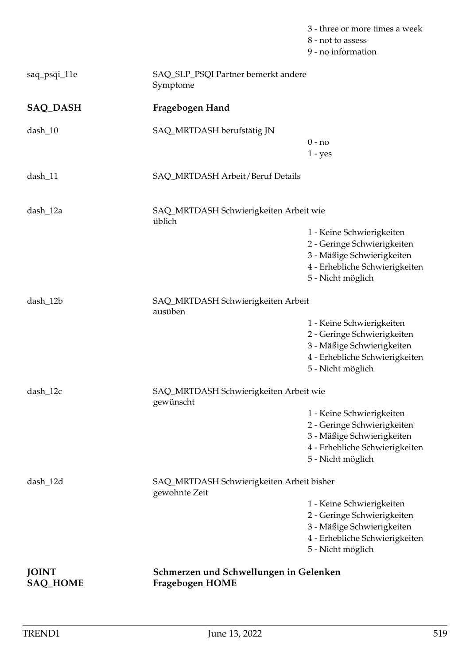|                                 |                                                            | 3 - three or more times a week<br>8 - not to assess<br>9 - no information                                                                     |
|---------------------------------|------------------------------------------------------------|-----------------------------------------------------------------------------------------------------------------------------------------------|
| saq_psqi_11e                    | SAQ_SLP_PSQI Partner bemerkt andere<br>Symptome            |                                                                                                                                               |
| <b>SAQ_DASH</b>                 | Fragebogen Hand                                            |                                                                                                                                               |
| $dash_10$                       | SAQ_MRTDASH berufstätig JN                                 | $0 - no$<br>$1 - yes$                                                                                                                         |
| $dash_11$                       | SAQ_MRTDASH Arbeit/Beruf Details                           |                                                                                                                                               |
| dash_12a                        | SAQ_MRTDASH Schwierigkeiten Arbeit wie<br>üblich           | 1 - Keine Schwierigkeiten<br>2 - Geringe Schwierigkeiten<br>3 - Mäßige Schwierigkeiten<br>4 - Erhebliche Schwierigkeiten<br>5 - Nicht möglich |
| dash_12b                        | SAQ_MRTDASH Schwierigkeiten Arbeit<br>ausüben              | 1 - Keine Schwierigkeiten<br>2 - Geringe Schwierigkeiten<br>3 - Mäßige Schwierigkeiten<br>4 - Erhebliche Schwierigkeiten<br>5 - Nicht möglich |
| dash_12c                        | SAQ_MRTDASH Schwierigkeiten Arbeit wie<br>gewünscht        | 1 - Keine Schwierigkeiten<br>2 - Geringe Schwierigkeiten<br>3 - Mäßige Schwierigkeiten<br>4 - Erhebliche Schwierigkeiten<br>5 - Nicht möglich |
| dash_12d                        | SAQ_MRTDASH Schwierigkeiten Arbeit bisher<br>gewohnte Zeit | 1 - Keine Schwierigkeiten<br>2 - Geringe Schwierigkeiten<br>3 - Mäßige Schwierigkeiten<br>4 - Erhebliche Schwierigkeiten<br>5 - Nicht möglich |
| <b>JOINT</b><br><b>SAQ_HOME</b> | Schmerzen und Schwellungen in Gelenken<br>Fragebogen HOME  |                                                                                                                                               |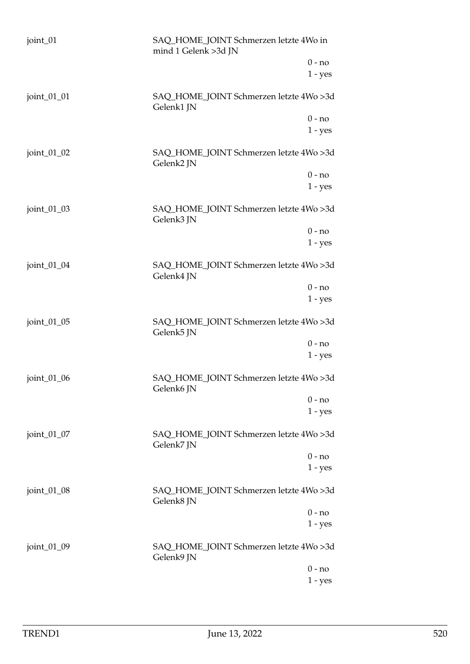| joint_01    | SAQ_HOME_JOINT Schmerzen letzte 4Wo in<br>mind 1 Gelenk >3d JN |                       |
|-------------|----------------------------------------------------------------|-----------------------|
|             |                                                                | $0 - no$<br>$1 - yes$ |
| joint_01_01 | SAQ_HOME_JOINT Schmerzen letzte 4Wo >3d<br>Gelenk1 JN          |                       |
|             |                                                                | $0 - no$              |
|             |                                                                | $1 - yes$             |
| joint_01_02 | SAQ_HOME_JOINT Schmerzen letzte 4Wo >3d<br>Gelenk2 JN          |                       |
|             |                                                                | $0 - no$              |
|             |                                                                | $1 - yes$             |
| joint_01_03 | SAQ_HOME_JOINT Schmerzen letzte 4Wo >3d<br>Gelenk3 JN          |                       |
|             |                                                                | $0 - no$              |
|             |                                                                | $1 - yes$             |
| joint_01_04 | SAQ_HOME_JOINT Schmerzen letzte 4Wo >3d<br>Gelenk4 JN          |                       |
|             |                                                                | $0 - no$              |
|             |                                                                | $1 - yes$             |
| joint_01_05 | SAQ_HOME_JOINT Schmerzen letzte 4Wo >3d<br>Gelenk5 JN          |                       |
|             |                                                                | $0 - no$              |
|             |                                                                | $1 - yes$             |
| joint_01_06 | SAQ_HOME_JOINT Schmerzen letzte 4Wo >3d<br>Gelenk6 JN          |                       |
|             |                                                                | $0 - no$              |
|             |                                                                | $1 - yes$             |
| joint_01_07 | SAQ_HOME_JOINT Schmerzen letzte 4Wo >3d<br>Gelenk7 JN          |                       |
|             |                                                                | $0 - no$              |
|             |                                                                | $1 - yes$             |
| joint_01_08 | SAQ_HOME_JOINT Schmerzen letzte 4Wo >3d<br>Gelenk8 JN          |                       |
|             |                                                                | $0 - no$              |
|             |                                                                | $1 - yes$             |
| joint_01_09 | SAQ_HOME_JOINT Schmerzen letzte 4Wo >3d<br>Gelenk9 JN          |                       |
|             |                                                                | $0 - no$              |
|             |                                                                | $1 - yes$             |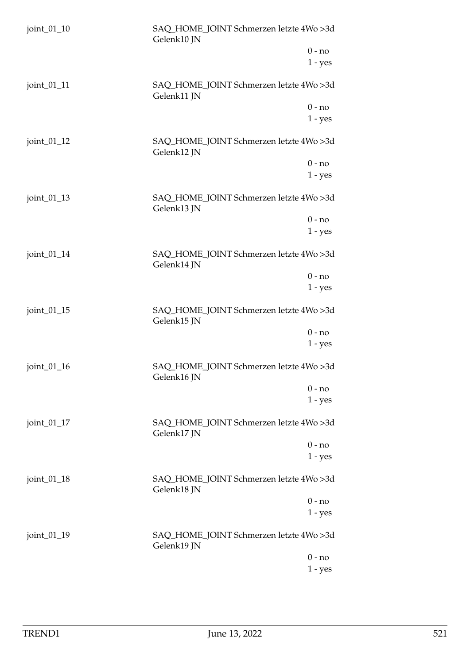| joint_01_10    | SAQ_HOME_JOINT Schmerzen letzte 4Wo >3d<br>Gelenk10 JN |
|----------------|--------------------------------------------------------|
|                | $0 - no$                                               |
|                | $1 - yes$                                              |
| joint_01_11    | SAQ_HOME_JOINT Schmerzen letzte 4Wo >3d<br>Gelenk11 JN |
|                | $0 - no$                                               |
|                | $1 - yes$                                              |
| joint $_01_12$ | SAQ_HOME_JOINT Schmerzen letzte 4Wo >3d<br>Gelenk12 JN |
|                | $0 - no$                                               |
|                | $1 - yes$                                              |
| joint $_01_13$ | SAQ_HOME_JOINT Schmerzen letzte 4Wo >3d<br>Gelenk13 JN |
|                | $0 - no$                                               |
|                | $1 - yes$                                              |
| joint_01_14    | SAQ_HOME_JOINT Schmerzen letzte 4Wo >3d<br>Gelenk14 JN |
|                | $0 - no$                                               |
|                | $1 - yes$                                              |
| joint_01_15    | SAQ_HOME_JOINT Schmerzen letzte 4Wo >3d<br>Gelenk15 JN |
|                | $0 - no$                                               |
|                | $1 - yes$                                              |
| joint $_01_16$ | SAQ_HOME_JOINT Schmerzen letzte 4Wo >3d<br>Gelenk16 JN |
|                | $0 - no$                                               |
|                | $1 - yes$                                              |
| joint_01_17    | SAQ_HOME_JOINT Schmerzen letzte 4Wo >3d<br>Gelenk17 JN |
|                | $0 - no$                                               |
|                | $1 - yes$                                              |
| joint_01_18    | SAQ_HOME_JOINT Schmerzen letzte 4Wo >3d<br>Gelenk18 JN |
|                | $0 - no$                                               |
|                | $1 - yes$                                              |
| joint_01_19    | SAQ_HOME_JOINT Schmerzen letzte 4Wo >3d<br>Gelenk19 JN |
|                | $0 - no$                                               |
|                | 1 - yes                                                |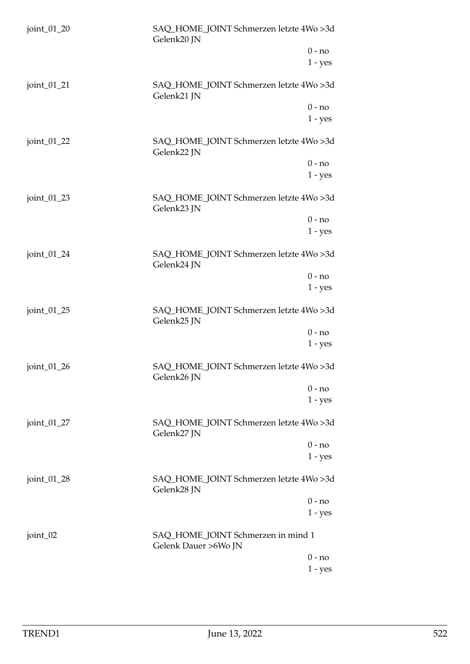| joint_01_20      | SAQ_HOME_JOINT Schmerzen letzte 4Wo >3d<br>Gelenk20 JN     |
|------------------|------------------------------------------------------------|
|                  | $0 - no$                                                   |
|                  | $1 - yes$                                                  |
| joint_01_21      | SAQ_HOME_JOINT Schmerzen letzte 4Wo >3d<br>Gelenk21 JN     |
|                  | $0 - no$                                                   |
|                  | $1 - yes$                                                  |
| joint_01_22      | SAQ_HOME_JOINT Schmerzen letzte 4Wo >3d<br>Gelenk22 JN     |
|                  | $0 - no$                                                   |
|                  | $1 - yes$                                                  |
| joint_01_23      | SAQ_HOME_JOINT Schmerzen letzte 4Wo >3d<br>Gelenk23 JN     |
|                  | $0 - no$                                                   |
|                  | $1 - yes$                                                  |
| joint_01_24      | SAQ_HOME_JOINT Schmerzen letzte 4Wo >3d<br>Gelenk24 JN     |
|                  | $0 - no$                                                   |
|                  | $1 - yes$                                                  |
| joint_01_25      | SAQ_HOME_JOINT Schmerzen letzte 4Wo >3d<br>Gelenk25 JN     |
|                  | $0 - no$                                                   |
|                  | $1 - yes$                                                  |
| joint $_01_2$ 26 | SAQ_HOME_JOINT Schmerzen letzte 4Wo >3d<br>Gelenk26 JN     |
|                  | $0 - no$                                                   |
|                  | $1 - yes$                                                  |
| joint_01_27      | SAQ_HOME_JOINT Schmerzen letzte 4Wo >3d<br>Gelenk27 JN     |
|                  | $0 - no$                                                   |
|                  | $1 - yes$                                                  |
| joint_01_28      | SAQ_HOME_JOINT Schmerzen letzte 4Wo >3d<br>Gelenk28 JN     |
|                  | $0 - no$                                                   |
|                  | $1 - yes$                                                  |
| joint_02         | SAQ_HOME_JOINT Schmerzen in mind 1<br>Gelenk Dauer >6Wo JN |
|                  | $0 - no$                                                   |
|                  | $1 - yes$                                                  |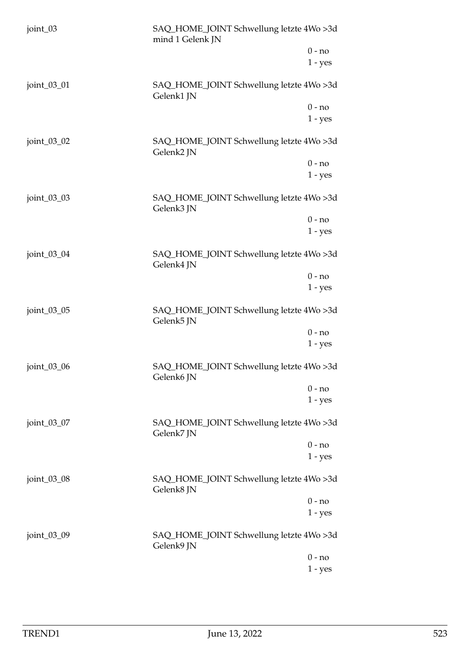| joint_03    | SAQ_HOME_JOINT Schwellung letzte 4Wo >3d<br>mind 1 Gelenk JN |                       |
|-------------|--------------------------------------------------------------|-----------------------|
|             |                                                              | $0 - no$<br>$1 - yes$ |
| joint_03_01 | SAQ_HOME_JOINT Schwellung letzte 4Wo >3d<br>Gelenk1 JN       |                       |
|             |                                                              | $0 - no$<br>$1 - yes$ |
| joint_03_02 | SAQ_HOME_JOINT Schwellung letzte 4Wo >3d<br>Gelenk2 JN       |                       |
|             |                                                              | $0 - no$<br>$1 - yes$ |
| joint_03_03 | SAQ_HOME_JOINT Schwellung letzte 4Wo >3d<br>Gelenk3 JN       |                       |
|             |                                                              | $0 - no$<br>$1 - yes$ |
| joint_03_04 | SAQ_HOME_JOINT Schwellung letzte 4Wo >3d<br>Gelenk4 JN       |                       |
|             |                                                              | $0 - no$<br>$1 - yes$ |
| joint_03_05 | SAQ_HOME_JOINT Schwellung letzte 4Wo >3d<br>Gelenk5 JN       |                       |
|             |                                                              | $0 - no$<br>$1 - yes$ |
| joint_03_06 | SAQ_HOME_JOINT Schwellung letzte 4Wo >3d<br>Gelenk6 JN       |                       |
|             |                                                              | $0 - no$<br>$1 - yes$ |
| joint_03_07 | SAQ_HOME_JOINT Schwellung letzte 4Wo >3d<br>Gelenk7 JN       |                       |
|             |                                                              | $0 - no$<br>$1 - yes$ |
| joint_03_08 | SAQ_HOME_JOINT Schwellung letzte 4Wo >3d<br>Gelenk8 JN       |                       |
|             |                                                              | $0 - no$<br>$1 - yes$ |
| joint_03_09 | SAQ_HOME_JOINT Schwellung letzte 4Wo >3d<br>Gelenk9 JN       |                       |
|             |                                                              | $0 - no$<br>$1 - yes$ |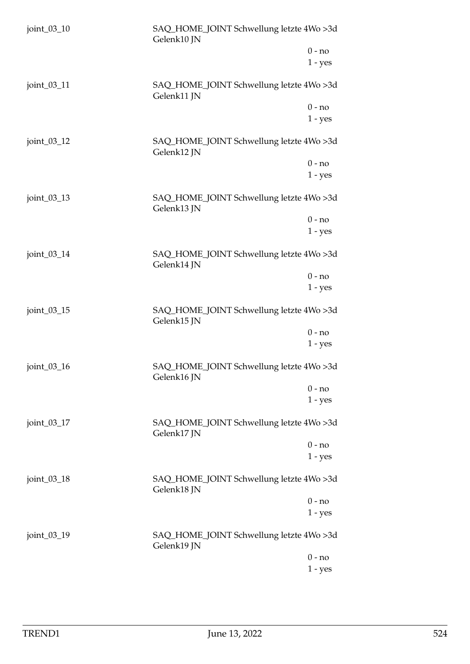| joint_03_10 | SAQ_HOME_JOINT Schwellung letzte 4Wo >3d<br>Gelenk10 JN |                       |
|-------------|---------------------------------------------------------|-----------------------|
|             |                                                         | $0 - no$<br>$1 - yes$ |
| joint_03_11 | SAQ_HOME_JOINT Schwellung letzte 4Wo >3d<br>Gelenk11 JN |                       |
|             |                                                         | $0 - no$<br>$1 - yes$ |
| joint_03_12 | SAQ_HOME_JOINT Schwellung letzte 4Wo >3d<br>Gelenk12 JN |                       |
|             |                                                         | $0 - no$<br>$1 - yes$ |
| joint_03_13 | SAQ_HOME_JOINT Schwellung letzte 4Wo >3d<br>Gelenk13 JN |                       |
|             |                                                         | $0 - no$<br>$1 - yes$ |
| joint_03_14 | SAQ_HOME_JOINT Schwellung letzte 4Wo >3d<br>Gelenk14 JN |                       |
|             |                                                         | $0 - no$<br>$1 - yes$ |
| joint_03_15 | SAQ_HOME_JOINT Schwellung letzte 4Wo >3d<br>Gelenk15 JN |                       |
|             |                                                         | $0 - no$<br>$1 - yes$ |
| joint_03_16 | SAQ_HOME_JOINT Schwellung letzte 4Wo >3d<br>Gelenk16 JN |                       |
|             |                                                         | $0 - no$<br>$1 - yes$ |
| joint_03_17 | SAQ_HOME_JOINT Schwellung letzte 4Wo >3d<br>Gelenk17 JN |                       |
|             |                                                         | $0 - no$<br>$1 - yes$ |
| joint_03_18 | SAQ_HOME_JOINT Schwellung letzte 4Wo >3d<br>Gelenk18 JN |                       |
|             |                                                         | $0 - no$<br>$1 - yes$ |
| joint_03_19 | SAQ_HOME_JOINT Schwellung letzte 4Wo >3d<br>Gelenk19 JN |                       |
|             |                                                         | $0 - no$<br>$1 - yes$ |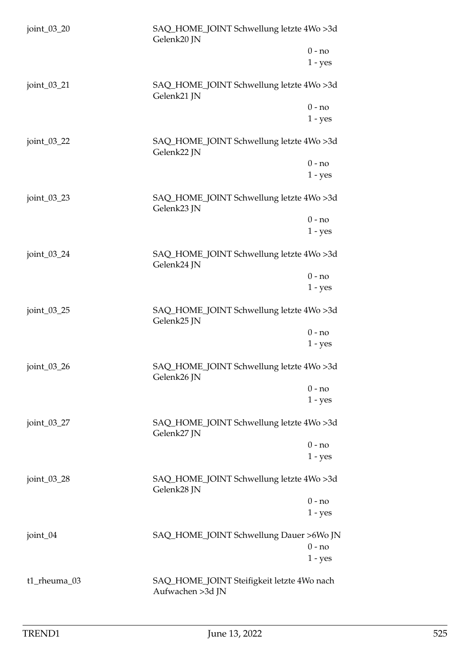| joint_03_20    | SAQ_HOME_JOINT Schwellung letzte 4Wo >3d<br>Gelenk20 JN        |                       |
|----------------|----------------------------------------------------------------|-----------------------|
|                |                                                                | $0 - no$<br>$1 - yes$ |
| joint_03_21    | SAQ_HOME_JOINT Schwellung letzte 4Wo >3d<br>Gelenk21 JN        |                       |
|                |                                                                | $0 - no$<br>$1 - yes$ |
| joint_03_22    | SAQ_HOME_JOINT Schwellung letzte 4Wo >3d<br>Gelenk22 JN        |                       |
|                |                                                                | $0 - no$<br>$1 - yes$ |
| joint_03_23    | SAQ_HOME_JOINT Schwellung letzte 4Wo >3d<br>Gelenk23 JN        |                       |
|                |                                                                | $0 - no$<br>$1 - yes$ |
| joint_03_24    | SAQ_HOME_JOINT Schwellung letzte 4Wo >3d<br>Gelenk24 JN        |                       |
|                |                                                                | $0 - no$<br>$1 - yes$ |
| joint_03_25    | SAQ_HOME_JOINT Schwellung letzte 4Wo >3d<br>Gelenk25 JN        |                       |
|                |                                                                | $0 - no$<br>$1 - yes$ |
| joint $_03_26$ | SAQ_HOME_JOINT Schwellung letzte 4Wo >3d<br>Gelenk26 JN        |                       |
|                |                                                                | $0 - no$<br>$1 - yes$ |
| joint_03_27    | SAQ_HOME_JOINT Schwellung letzte 4Wo >3d<br>Gelenk27 JN        |                       |
|                |                                                                | $0 - no$<br>$1 - yes$ |
| joint_03_28    | SAQ_HOME_JOINT Schwellung letzte 4Wo >3d<br>Gelenk28 JN        |                       |
|                |                                                                | $0 - no$<br>$1 - yes$ |
| joint_04       | SAQ_HOME_JOINT Schwellung Dauer >6Wo JN                        | $0 - no$<br>$1 - yes$ |
| t1_rheuma_03   | SAQ_HOME_JOINT Steifigkeit letzte 4Wo nach<br>Aufwachen >3d JN |                       |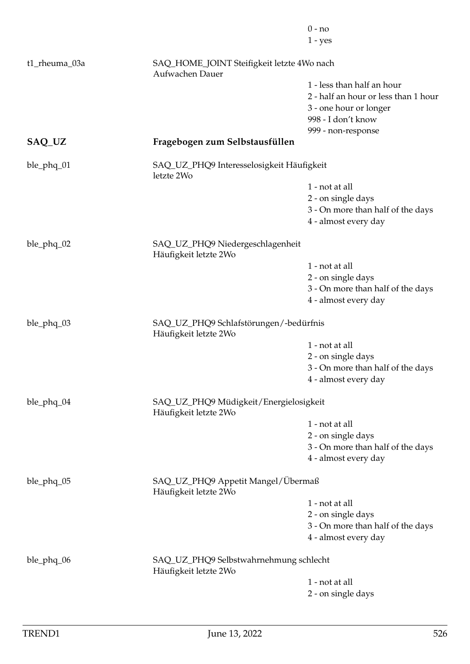|               |                                                                 | $0 - no$                             |
|---------------|-----------------------------------------------------------------|--------------------------------------|
|               |                                                                 | $1 - yes$                            |
| t1_rheuma_03a | SAQ_HOME_JOINT Steifigkeit letzte 4Wo nach<br>Aufwachen Dauer   |                                      |
|               |                                                                 | 1 - less than half an hour           |
|               |                                                                 | 2 - half an hour or less than 1 hour |
|               |                                                                 | 3 - one hour or longer               |
|               |                                                                 | 998 - I don't know                   |
|               |                                                                 | 999 - non-response                   |
| SAQ_UZ        | Fragebogen zum Selbstausfüllen                                  |                                      |
| ble_phq_01    | SAQ_UZ_PHQ9 Interesselosigkeit Häufigkeit<br>letzte 2Wo         |                                      |
|               |                                                                 | 1 - not at all                       |
|               |                                                                 | 2 - on single days                   |
|               |                                                                 | 3 - On more than half of the days    |
|               |                                                                 | 4 - almost every day                 |
| ble_phq_02    | SAQ_UZ_PHQ9 Niedergeschlagenheit<br>Häufigkeit letzte 2Wo       |                                      |
|               |                                                                 | 1 - not at all                       |
|               |                                                                 | 2 - on single days                   |
|               |                                                                 | 3 - On more than half of the days    |
|               |                                                                 | 4 - almost every day                 |
| ble_phq_03    | SAQ_UZ_PHQ9 Schlafstörungen/-bedürfnis<br>Häufigkeit letzte 2Wo |                                      |
|               |                                                                 | 1 - not at all                       |
|               |                                                                 | 2 - on single days                   |
|               |                                                                 | 3 - On more than half of the days    |
|               |                                                                 | 4 - almost every day                 |
| ble_phq_04    | SAQ_UZ_PHQ9 Müdigkeit/Energielosigkeit<br>Häufigkeit letzte 2Wo |                                      |
|               |                                                                 | 1 - not at all                       |
|               |                                                                 | 2 - on single days                   |
|               |                                                                 | 3 - On more than half of the days    |
|               |                                                                 | 4 - almost every day                 |
| ble_phq_05    | SAQ_UZ_PHQ9 Appetit Mangel/Übermaß<br>Häufigkeit letzte 2Wo     |                                      |
|               |                                                                 | 1 - not at all                       |
|               |                                                                 | 2 - on single days                   |
|               |                                                                 | 3 - On more than half of the days    |
|               |                                                                 | 4 - almost every day                 |
| ble_phq_06    | SAQ_UZ_PHQ9 Selbstwahrnehmung schlecht<br>Häufigkeit letzte 2Wo |                                      |
|               |                                                                 | 1 - not at all                       |
|               |                                                                 | 2 - on single days                   |
|               |                                                                 |                                      |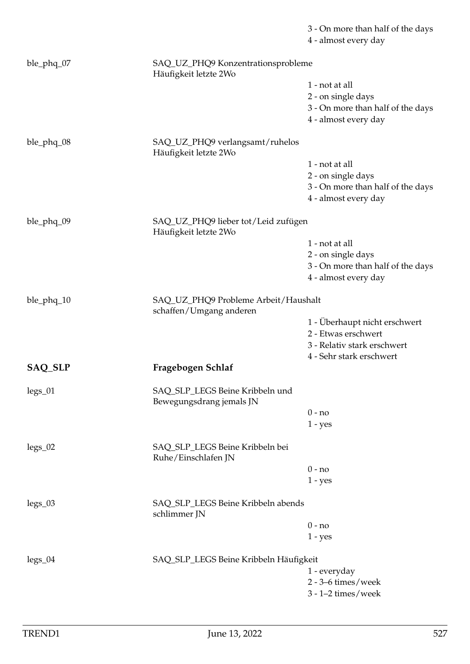|            |                                                                 | 3 - On more than half of the days<br>4 - almost every day |
|------------|-----------------------------------------------------------------|-----------------------------------------------------------|
| ble_phq_07 | SAQ_UZ_PHQ9 Konzentrationsprobleme<br>Häufigkeit letzte 2Wo     |                                                           |
|            |                                                                 | 1 - not at all                                            |
|            |                                                                 | 2 - on single days                                        |
|            |                                                                 | 3 - On more than half of the days                         |
|            |                                                                 | 4 - almost every day                                      |
| ble_phq_08 | SAQ_UZ_PHQ9 verlangsamt/ruhelos<br>Häufigkeit letzte 2Wo        |                                                           |
|            |                                                                 | 1 - not at all                                            |
|            |                                                                 | 2 - on single days                                        |
|            |                                                                 | 3 - On more than half of the days                         |
|            |                                                                 | 4 - almost every day                                      |
| ble_phq_09 | SAQ_UZ_PHQ9 lieber tot/Leid zufügen<br>Häufigkeit letzte 2Wo    |                                                           |
|            |                                                                 | 1 - not at all                                            |
|            |                                                                 | 2 - on single days                                        |
|            |                                                                 | 3 - On more than half of the days                         |
|            |                                                                 | 4 - almost every day                                      |
| ble_phq_10 | SAQ_UZ_PHQ9 Probleme Arbeit/Haushalt<br>schaffen/Umgang anderen |                                                           |
|            |                                                                 | 1 - Überhaupt nicht erschwert                             |
|            |                                                                 | 2 - Etwas erschwert                                       |
|            |                                                                 | 3 - Relativ stark erschwert                               |
|            |                                                                 | 4 - Sehr stark erschwert                                  |
| SAQ_SLP    | Fragebogen Schlaf                                               |                                                           |
| $legs_01$  | SAQ_SLP_LEGS Beine Kribbeln und<br>Bewegungsdrang jemals JN     |                                                           |
|            |                                                                 | $0 - no$                                                  |
|            |                                                                 | $1 - yes$                                                 |
| $legs_02$  | SAQ_SLP_LEGS Beine Kribbeln bei<br>Ruhe/Einschlafen JN          |                                                           |
|            |                                                                 | $0 - no$                                                  |
|            |                                                                 | $1 - yes$                                                 |
| $legs_03$  | SAQ_SLP_LEGS Beine Kribbeln abends<br>schlimmer JN              |                                                           |
|            |                                                                 | $0 - no$                                                  |
|            |                                                                 | $1 - yes$                                                 |
| $legs_04$  | SAQ_SLP_LEGS Beine Kribbeln Häufigkeit                          |                                                           |
|            |                                                                 | 1 - everyday                                              |
|            |                                                                 | $2 - 3 - 6$ times/week                                    |
|            |                                                                 | $3 - 1 - 2$ times/week                                    |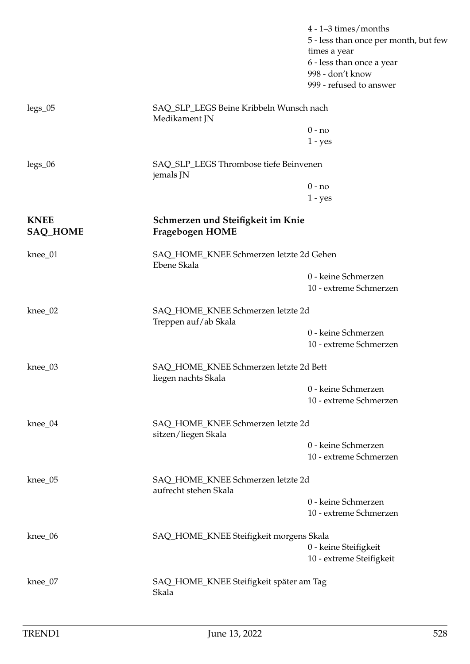|                                |                                                               | $4 - 1 - 3$ times/months<br>5 - less than once per month, but few<br>times a year<br>6 - less than once a year<br>998 - don't know<br>999 - refused to answer |
|--------------------------------|---------------------------------------------------------------|---------------------------------------------------------------------------------------------------------------------------------------------------------------|
| $legs_05$                      | SAQ_SLP_LEGS Beine Kribbeln Wunsch nach<br>Medikament JN      |                                                                                                                                                               |
|                                |                                                               | $0 - no$                                                                                                                                                      |
|                                |                                                               | $1 - yes$                                                                                                                                                     |
| $legs_06$                      | SAQ_SLP_LEGS Thrombose tiefe Beinvenen<br>jemals JN           |                                                                                                                                                               |
|                                |                                                               | $0 - no$                                                                                                                                                      |
|                                |                                                               | $1 - yes$                                                                                                                                                     |
| <b>KNEE</b><br><b>SAQ_HOME</b> | Schmerzen und Steifigkeit im Knie<br>Fragebogen HOME          |                                                                                                                                                               |
| knee_01                        | SAQ_HOME_KNEE Schmerzen letzte 2d Gehen<br>Ebene Skala        |                                                                                                                                                               |
|                                |                                                               | 0 - keine Schmerzen                                                                                                                                           |
|                                |                                                               | 10 - extreme Schmerzen                                                                                                                                        |
| knee_02                        | SAQ_HOME_KNEE Schmerzen letzte 2d<br>Treppen auf/ab Skala     |                                                                                                                                                               |
|                                |                                                               | 0 - keine Schmerzen                                                                                                                                           |
|                                |                                                               | 10 - extreme Schmerzen                                                                                                                                        |
| $knee_03$                      | SAQ_HOME_KNEE Schmerzen letzte 2d Bett<br>liegen nachts Skala |                                                                                                                                                               |
|                                |                                                               | 0 - keine Schmerzen                                                                                                                                           |
|                                |                                                               | 10 - extreme Schmerzen                                                                                                                                        |
| $knee_04$                      | SAQ_HOME_KNEE Schmerzen letzte 2d<br>sitzen/liegen Skala      |                                                                                                                                                               |
|                                |                                                               | 0 - keine Schmerzen                                                                                                                                           |
|                                |                                                               | 10 - extreme Schmerzen                                                                                                                                        |
| knee_05                        | SAQ_HOME_KNEE Schmerzen letzte 2d<br>aufrecht stehen Skala    |                                                                                                                                                               |
|                                |                                                               | 0 - keine Schmerzen                                                                                                                                           |
|                                |                                                               | 10 - extreme Schmerzen                                                                                                                                        |
| knee_06                        | SAQ_HOME_KNEE Steifigkeit morgens Skala                       |                                                                                                                                                               |
|                                |                                                               | 0 - keine Steifigkeit<br>10 - extreme Steifigkeit                                                                                                             |
|                                |                                                               |                                                                                                                                                               |
| knee_07                        | SAQ_HOME_KNEE Steifigkeit später am Tag<br>Skala              |                                                                                                                                                               |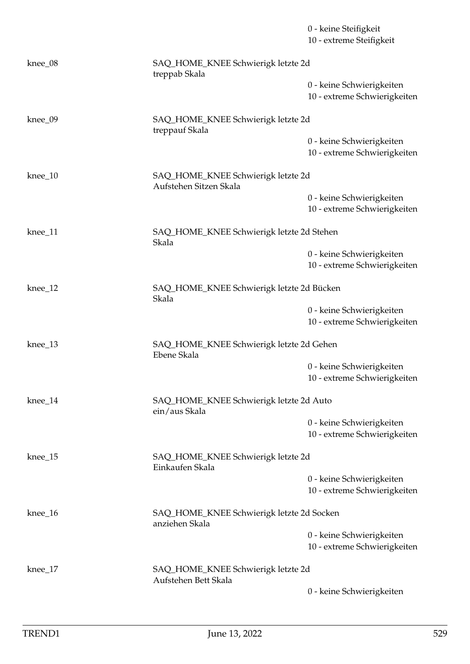|           |                                                              | 0 - keine Steifigkeit<br>10 - extreme Steifigkeit         |  |
|-----------|--------------------------------------------------------------|-----------------------------------------------------------|--|
| knee_08   | SAQ_HOME_KNEE Schwierigk letzte 2d<br>treppab Skala          |                                                           |  |
|           |                                                              | 0 - keine Schwierigkeiten<br>10 - extreme Schwierigkeiten |  |
| knee_09   | SAQ_HOME_KNEE Schwierigk letzte 2d<br>treppauf Skala         |                                                           |  |
|           |                                                              | 0 - keine Schwierigkeiten<br>10 - extreme Schwierigkeiten |  |
| $knee_10$ | SAQ_HOME_KNEE Schwierigk letzte 2d<br>Aufstehen Sitzen Skala |                                                           |  |
|           |                                                              | 0 - keine Schwierigkeiten<br>10 - extreme Schwierigkeiten |  |
| $knee_11$ | SAQ_HOME_KNEE Schwierigk letzte 2d Stehen<br>Skala           |                                                           |  |
|           |                                                              | 0 - keine Schwierigkeiten<br>10 - extreme Schwierigkeiten |  |
| $knee_12$ | Skala                                                        | SAQ_HOME_KNEE Schwierigk letzte 2d Bücken                 |  |
|           |                                                              | 0 - keine Schwierigkeiten<br>10 - extreme Schwierigkeiten |  |
| $knee_13$ | SAQ_HOME_KNEE Schwierigk letzte 2d Gehen<br>Ebene Skala      |                                                           |  |
|           |                                                              | 0 - keine Schwierigkeiten<br>10 - extreme Schwierigkeiten |  |
| knee_14   | SAQ_HOME_KNEE Schwierigk letzte 2d Auto<br>ein/aus Skala     |                                                           |  |
|           |                                                              | 0 - keine Schwierigkeiten<br>10 - extreme Schwierigkeiten |  |
| $knee_15$ | SAQ_HOME_KNEE Schwierigk letzte 2d<br>Einkaufen Skala        |                                                           |  |
|           |                                                              | 0 - keine Schwierigkeiten<br>10 - extreme Schwierigkeiten |  |
| knee_16   | SAQ_HOME_KNEE Schwierigk letzte 2d Socken<br>anziehen Skala  |                                                           |  |
|           |                                                              | 0 - keine Schwierigkeiten<br>10 - extreme Schwierigkeiten |  |
| $knee_17$ | SAQ_HOME_KNEE Schwierigk letzte 2d<br>Aufstehen Bett Skala   |                                                           |  |
|           |                                                              | 0 - keine Schwierigkeiten                                 |  |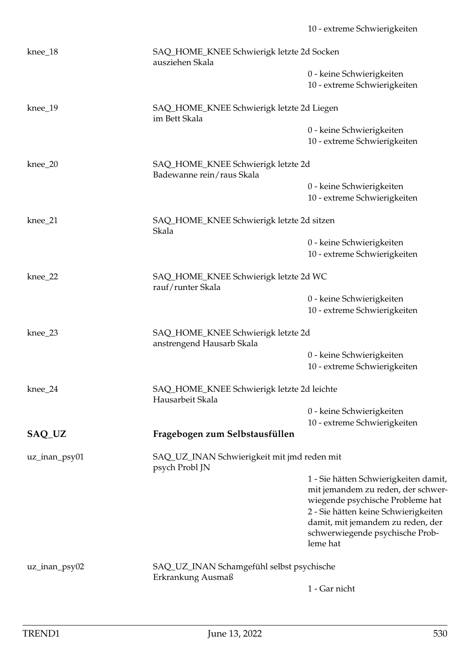| $knee_18$     | SAQ_HOME_KNEE Schwierigk letzte 2d Socken<br>ausziehen Skala    |                                                                                                                 |  |
|---------------|-----------------------------------------------------------------|-----------------------------------------------------------------------------------------------------------------|--|
|               |                                                                 | 0 - keine Schwierigkeiten<br>10 - extreme Schwierigkeiten                                                       |  |
| $knee_19$     | SAQ_HOME_KNEE Schwierigk letzte 2d Liegen<br>im Bett Skala      |                                                                                                                 |  |
|               |                                                                 | 0 - keine Schwierigkeiten<br>10 - extreme Schwierigkeiten                                                       |  |
| $knee_20$     | SAQ_HOME_KNEE Schwierigk letzte 2d<br>Badewanne rein/raus Skala |                                                                                                                 |  |
|               |                                                                 | 0 - keine Schwierigkeiten<br>10 - extreme Schwierigkeiten                                                       |  |
| knee_21       | Skala                                                           | SAQ_HOME_KNEE Schwierigk letzte 2d sitzen                                                                       |  |
|               |                                                                 | 0 - keine Schwierigkeiten                                                                                       |  |
|               |                                                                 | 10 - extreme Schwierigkeiten                                                                                    |  |
| $knee_22$     | SAQ_HOME_KNEE Schwierigk letzte 2d WC<br>rauf/runter Skala      |                                                                                                                 |  |
|               |                                                                 | 0 - keine Schwierigkeiten                                                                                       |  |
|               |                                                                 | 10 - extreme Schwierigkeiten                                                                                    |  |
| knee_23       | SAQ_HOME_KNEE Schwierigk letzte 2d<br>anstrengend Hausarb Skala |                                                                                                                 |  |
|               |                                                                 | 0 - keine Schwierigkeiten                                                                                       |  |
|               |                                                                 | 10 - extreme Schwierigkeiten                                                                                    |  |
| $knee_24$     | SAQ_HOME_KNEE Schwierigk letzte 2d leichte<br>Hausarbeit Skala  |                                                                                                                 |  |
|               |                                                                 | 0 - keine Schwierigkeiten                                                                                       |  |
|               |                                                                 | 10 - extreme Schwierigkeiten                                                                                    |  |
| SAQ_UZ        | Fragebogen zum Selbstausfüllen                                  |                                                                                                                 |  |
| uz_inan_psy01 | SAQ_UZ_INAN Schwierigkeit mit jmd reden mit<br>psych Probl JN   |                                                                                                                 |  |
|               |                                                                 | 1 - Sie hätten Schwierigkeiten damit,<br>mit jemandem zu reden, der schwer-<br>wiegende psychische Probleme hat |  |
|               |                                                                 | 2 - Sie hätten keine Schwierigkeiten                                                                            |  |
|               |                                                                 | damit, mit jemandem zu reden, der                                                                               |  |
|               |                                                                 | schwerwiegende psychische Prob-<br>leme hat                                                                     |  |
| uz_inan_psy02 | SAQ_UZ_INAN Schamgefühl selbst psychische<br>Erkrankung Ausmaß  |                                                                                                                 |  |
|               |                                                                 | 1 - Gar nicht                                                                                                   |  |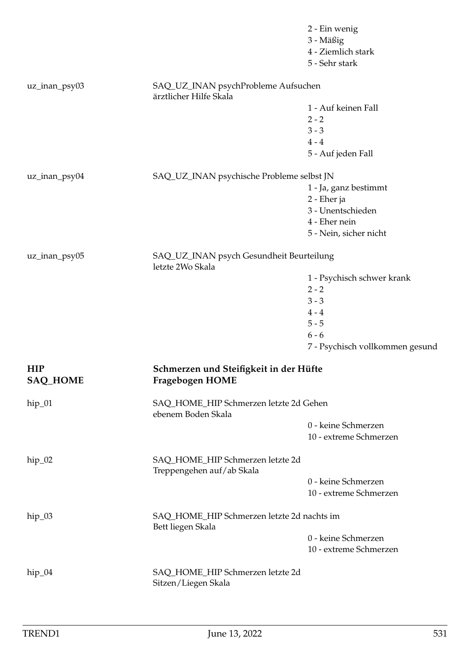|                        |                                                                  | 2 - Ein wenig<br>3 - Mäßig<br>4 - Ziemlich stark<br>5 - Sehr stark |  |
|------------------------|------------------------------------------------------------------|--------------------------------------------------------------------|--|
| uz_inan_psy03          | SAQ_UZ_INAN psychProbleme Aufsuchen<br>ärztlicher Hilfe Skala    |                                                                    |  |
|                        |                                                                  | 1 - Auf keinen Fall                                                |  |
|                        |                                                                  | $2 - 2$                                                            |  |
|                        |                                                                  | $3 - 3$                                                            |  |
|                        |                                                                  | $4 - 4$                                                            |  |
|                        |                                                                  | 5 - Auf jeden Fall                                                 |  |
| uz_inan_psy04          | SAQ_UZ_INAN psychische Probleme selbst JN                        |                                                                    |  |
|                        |                                                                  | 1 - Ja, ganz bestimmt                                              |  |
|                        |                                                                  | 2 - Eher ja                                                        |  |
|                        |                                                                  | 3 - Unentschieden                                                  |  |
|                        |                                                                  | 4 - Eher nein                                                      |  |
|                        |                                                                  | 5 - Nein, sicher nicht                                             |  |
| uz_inan_psy05          | letzte 2Wo Skala                                                 | SAQ_UZ_INAN psych Gesundheit Beurteilung                           |  |
|                        |                                                                  | 1 - Psychisch schwer krank                                         |  |
|                        |                                                                  | $2 - 2$                                                            |  |
|                        |                                                                  | $3 - 3$                                                            |  |
|                        |                                                                  | $4 - 4$                                                            |  |
|                        |                                                                  | $5 - 5$                                                            |  |
|                        |                                                                  | $6 - 6$                                                            |  |
|                        |                                                                  | 7 - Psychisch vollkommen gesund                                    |  |
| <b>HIP</b><br>SAQ_HOME | Schmerzen und Steifigkeit in der Hüfte<br><b>Fragebogen HOME</b> |                                                                    |  |
| $hip_01$               | SAQ_HOME_HIP Schmerzen letzte 2d Gehen<br>ebenem Boden Skala     |                                                                    |  |
|                        |                                                                  | 0 - keine Schmerzen                                                |  |
|                        |                                                                  | 10 - extreme Schmerzen                                             |  |
| $hip_02$               | SAQ_HOME_HIP Schmerzen letzte 2d<br>Treppengehen auf/ab Skala    |                                                                    |  |
|                        |                                                                  | 0 - keine Schmerzen                                                |  |
|                        |                                                                  | 10 - extreme Schmerzen                                             |  |
| $hip_03$               | SAQ_HOME_HIP Schmerzen letzte 2d nachts im<br>Bett liegen Skala  |                                                                    |  |
|                        |                                                                  | 0 - keine Schmerzen                                                |  |
|                        |                                                                  | 10 - extreme Schmerzen                                             |  |
| $hip_04$               | SAQ_HOME_HIP Schmerzen letzte 2d<br>Sitzen/Liegen Skala          |                                                                    |  |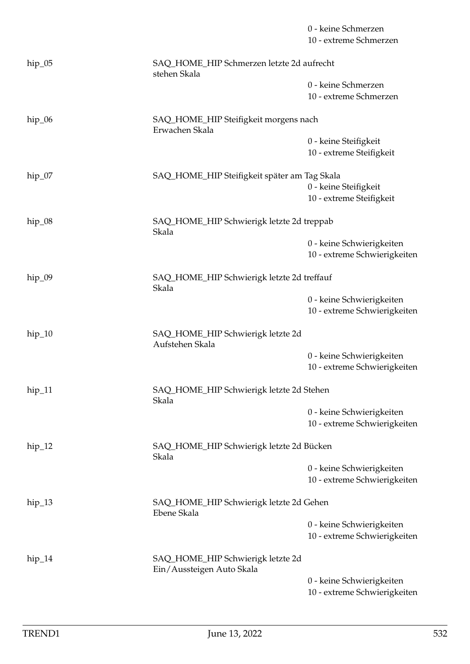|          |                                                                | 0 - keine Schmerzen<br>10 - extreme Schmerzen             |  |
|----------|----------------------------------------------------------------|-----------------------------------------------------------|--|
| $hip_05$ | SAQ_HOME_HIP Schmerzen letzte 2d aufrecht<br>stehen Skala      |                                                           |  |
|          |                                                                | 0 - keine Schmerzen<br>10 - extreme Schmerzen             |  |
| $hip_06$ | SAQ_HOME_HIP Steifigkeit morgens nach<br>Erwachen Skala        |                                                           |  |
|          |                                                                | 0 - keine Steifigkeit<br>10 - extreme Steifigkeit         |  |
| $hip_07$ | SAQ_HOME_HIP Steifigkeit später am Tag Skala                   | 0 - keine Steifigkeit<br>10 - extreme Steifigkeit         |  |
| $hip_08$ | SAQ_HOME_HIP Schwierigk letzte 2d treppab<br>Skala             |                                                           |  |
|          |                                                                | 0 - keine Schwierigkeiten<br>10 - extreme Schwierigkeiten |  |
| $hip_09$ | SAQ_HOME_HIP Schwierigk letzte 2d treffauf<br>Skala            |                                                           |  |
|          |                                                                | 0 - keine Schwierigkeiten<br>10 - extreme Schwierigkeiten |  |
| $hip_10$ | SAQ_HOME_HIP Schwierigk letzte 2d<br>Aufstehen Skala           |                                                           |  |
|          |                                                                | 0 - keine Schwierigkeiten<br>10 - extreme Schwierigkeiten |  |
| $hip_11$ | SAQ_HOME_HIP Schwierigk letzte 2d Stehen<br>Skala              |                                                           |  |
|          |                                                                | 0 - keine Schwierigkeiten<br>10 - extreme Schwierigkeiten |  |
| $hip_12$ | SAQ_HOME_HIP Schwierigk letzte 2d Bücken<br>Skala              |                                                           |  |
|          |                                                                | 0 - keine Schwierigkeiten<br>10 - extreme Schwierigkeiten |  |
| $hip_13$ | SAQ_HOME_HIP Schwierigk letzte 2d Gehen<br>Ebene Skala         |                                                           |  |
|          |                                                                | 0 - keine Schwierigkeiten<br>10 - extreme Schwierigkeiten |  |
| $hip_14$ | SAQ_HOME_HIP Schwierigk letzte 2d<br>Ein/Aussteigen Auto Skala |                                                           |  |
|          |                                                                | 0 - keine Schwierigkeiten<br>10 - extreme Schwierigkeiten |  |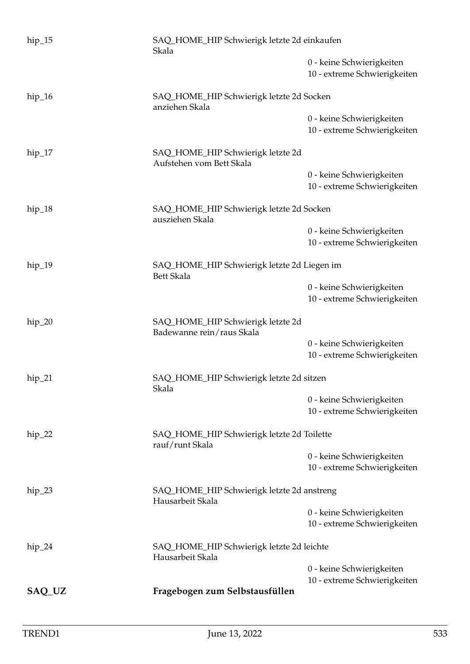| $hip_15$ | SAQ_HOME_HIP Schwierigk letzte 2d einkaufen<br>Skala             |                                                           |  |
|----------|------------------------------------------------------------------|-----------------------------------------------------------|--|
|          |                                                                  | 0 - keine Schwierigkeiten<br>10 - extreme Schwierigkeiten |  |
| $hip_16$ | SAQ_HOME_HIP Schwierigk letzte 2d Socken<br>anziehen Skala       |                                                           |  |
|          |                                                                  | 0 - keine Schwierigkeiten<br>10 - extreme Schwierigkeiten |  |
| $hip_17$ | SAQ_HOME_HIP Schwierigk letzte 2d<br>Aufstehen vom Bett Skala    |                                                           |  |
|          |                                                                  | 0 - keine Schwierigkeiten<br>10 - extreme Schwierigkeiten |  |
| $hip_18$ | SAQ_HOME_HIP Schwierigk letzte 2d Socken<br>ausziehen Skala      |                                                           |  |
|          |                                                                  | 0 - keine Schwierigkeiten<br>10 - extreme Schwierigkeiten |  |
| $hip_19$ | SAQ_HOME_HIP Schwierigk letzte 2d Liegen im<br><b>Bett Skala</b> |                                                           |  |
|          |                                                                  | 0 - keine Schwierigkeiten<br>10 - extreme Schwierigkeiten |  |
| $hip_20$ | SAQ_HOME_HIP Schwierigk letzte 2d<br>Badewanne rein/raus Skala   |                                                           |  |
|          |                                                                  | 0 - keine Schwierigkeiten<br>10 - extreme Schwierigkeiten |  |
| $hip_21$ | SAQ_HOME_HIP Schwierigk letzte 2d sitzen<br>Skala                |                                                           |  |
|          |                                                                  | 0 - keine Schwierigkeiten<br>10 - extreme Schwierigkeiten |  |
| $hip_22$ | SAQ_HOME_HIP Schwierigk letzte 2d Toilette<br>rauf/runt Skala    |                                                           |  |
|          |                                                                  | 0 - keine Schwierigkeiten<br>10 - extreme Schwierigkeiten |  |
| $hip_23$ | SAQ_HOME_HIP Schwierigk letzte 2d anstreng<br>Hausarbeit Skala   |                                                           |  |
|          |                                                                  | 0 - keine Schwierigkeiten<br>10 - extreme Schwierigkeiten |  |
| $hip_24$ | SAQ_HOME_HIP Schwierigk letzte 2d leichte<br>Hausarbeit Skala    |                                                           |  |
|          |                                                                  | 0 - keine Schwierigkeiten<br>10 - extreme Schwierigkeiten |  |
| SAQ_UZ   | Fragebogen zum Selbstausfüllen                                   |                                                           |  |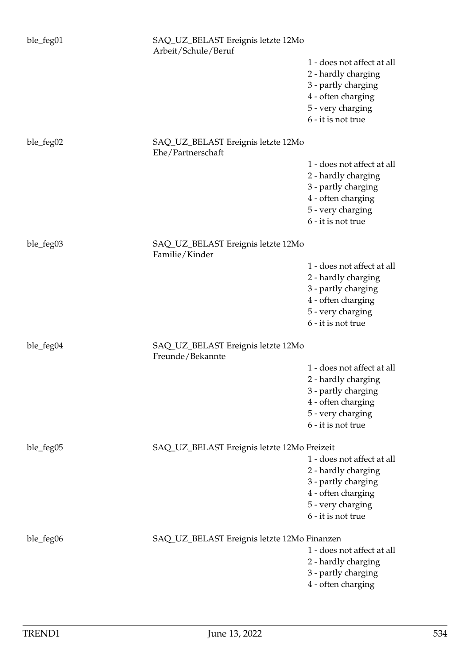| ble_feg01 | SAQ_UZ_BELAST Ereignis letzte 12Mo<br>Arbeit/Schule/Beruf |                                                                                                                                           |
|-----------|-----------------------------------------------------------|-------------------------------------------------------------------------------------------------------------------------------------------|
|           |                                                           | 1 - does not affect at all<br>2 - hardly charging<br>3 - partly charging<br>4 - often charging<br>5 - very charging<br>6 - it is not true |
| ble_feg02 | SAQ_UZ_BELAST Ereignis letzte 12Mo<br>Ehe/Partnerschaft   |                                                                                                                                           |
|           |                                                           | 1 - does not affect at all<br>2 - hardly charging<br>3 - partly charging<br>4 - often charging<br>5 - very charging<br>6 - it is not true |
| ble_feg03 | SAQ_UZ_BELAST Ereignis letzte 12Mo<br>Familie/Kinder      |                                                                                                                                           |
|           |                                                           | 1 - does not affect at all<br>2 - hardly charging<br>3 - partly charging<br>4 - often charging<br>5 - very charging<br>6 - it is not true |
| ble_feg04 | SAQ_UZ_BELAST Ereignis letzte 12Mo<br>Freunde/Bekannte    |                                                                                                                                           |
|           |                                                           | 1 - does not affect at all<br>2 - hardly charging<br>3 - partly charging<br>4 - often charging<br>5 - very charging<br>6 - it is not true |
| ble_feg05 | SAQ_UZ_BELAST Ereignis letzte 12Mo Freizeit               | 1 - does not affect at all<br>2 - hardly charging<br>3 - partly charging<br>4 - often charging<br>5 - very charging<br>6 - it is not true |
| ble_feg06 | SAQ_UZ_BELAST Ereignis letzte 12Mo Finanzen               | 1 - does not affect at all<br>2 - hardly charging<br>3 - partly charging<br>4 - often charging                                            |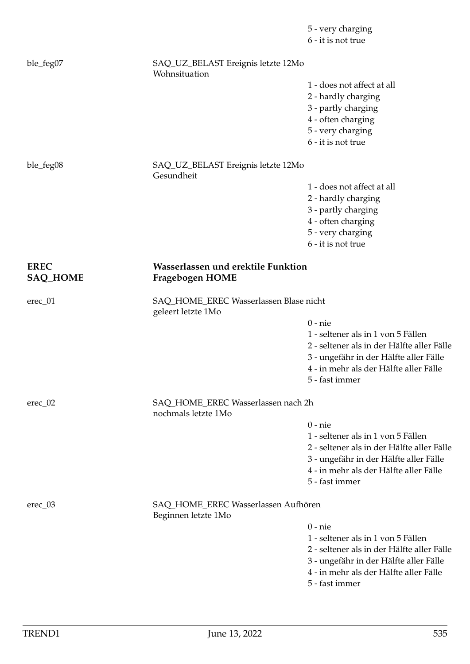|                                |                                                              | 5 - very charging<br>6 - it is not true    |
|--------------------------------|--------------------------------------------------------------|--------------------------------------------|
| ble_feg07                      | SAQ_UZ_BELAST Ereignis letzte 12Mo<br>Wohnsituation          |                                            |
|                                |                                                              | 1 - does not affect at all                 |
|                                |                                                              | 2 - hardly charging                        |
|                                |                                                              | 3 - partly charging                        |
|                                |                                                              | 4 - often charging                         |
|                                |                                                              | 5 - very charging                          |
|                                |                                                              | 6 - it is not true                         |
| ble_feg08                      | SAQ_UZ_BELAST Ereignis letzte 12Mo<br>Gesundheit             |                                            |
|                                |                                                              | 1 - does not affect at all                 |
|                                |                                                              | 2 - hardly charging                        |
|                                |                                                              | 3 - partly charging                        |
|                                |                                                              | 4 - often charging                         |
|                                |                                                              | 5 - very charging                          |
|                                |                                                              | 6 - it is not true                         |
| <b>EREC</b><br><b>SAQ_HOME</b> | Wasserlassen und erektile Funktion<br><b>Fragebogen HOME</b> |                                            |
| $erec_01$                      | SAQ_HOME_EREC Wasserlassen Blase nicht<br>geleert letzte 1Mo |                                            |
|                                |                                                              | $0$ - $nie$                                |
|                                |                                                              | 1 - seltener als in 1 von 5 Fällen         |
|                                |                                                              | 2 - seltener als in der Hälfte aller Fälle |
|                                |                                                              | 3 - ungefähr in der Hälfte aller Fälle     |
|                                |                                                              | 4 - in mehr als der Hälfte aller Fälle     |
|                                |                                                              | 5 - fast immer                             |
| $\text{erec}\_02$              | SAQ_HOME_EREC Wasserlassen nach 2h<br>nochmals letzte 1Mo    |                                            |
|                                |                                                              | $0$ - $nie$                                |
|                                |                                                              | 1 - seltener als in 1 von 5 Fällen         |
|                                |                                                              | 2 - seltener als in der Hälfte aller Fälle |
|                                |                                                              | 3 - ungefähr in der Hälfte aller Fälle     |
|                                |                                                              | 4 - in mehr als der Hälfte aller Fälle     |
|                                |                                                              | 5 - fast immer                             |
| $\text{erec}\_03$              | SAQ_HOME_EREC Wasserlassen Aufhören<br>Beginnen letzte 1Mo   |                                            |
|                                |                                                              | $0$ - $nie$                                |
|                                |                                                              | 1 - seltener als in 1 von 5 Fällen         |
|                                |                                                              | 2 - seltener als in der Hälfte aller Fälle |
|                                |                                                              | 3 - ungefähr in der Hälfte aller Fälle     |
|                                |                                                              | 4 - in mehr als der Hälfte aller Fälle     |
|                                |                                                              | 5 - fast immer                             |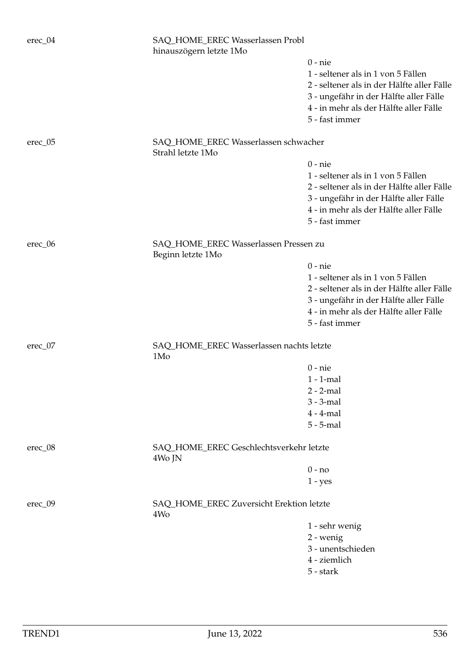| erec_04           | SAQ_HOME_EREC Wasserlassen Probl<br>hinauszögern letzte 1Mo |                                                                                                    |  |
|-------------------|-------------------------------------------------------------|----------------------------------------------------------------------------------------------------|--|
|                   |                                                             | $0$ - nie<br>1 - seltener als in 1 von 5 Fällen<br>2 - seltener als in der Hälfte aller Fälle      |  |
|                   |                                                             | 3 - ungefähr in der Hälfte aller Fälle<br>4 - in mehr als der Hälfte aller Fälle<br>5 - fast immer |  |
| $\text{erec}\_05$ | SAQ_HOME_EREC Wasserlassen schwacher<br>Strahl letzte 1Mo   |                                                                                                    |  |
|                   |                                                             | $0$ - nie                                                                                          |  |
|                   |                                                             | 1 - seltener als in 1 von 5 Fällen                                                                 |  |
|                   |                                                             | 2 - seltener als in der Hälfte aller Fälle                                                         |  |
|                   |                                                             | 3 - ungefähr in der Hälfte aller Fälle                                                             |  |
|                   |                                                             | 4 - in mehr als der Hälfte aller Fälle                                                             |  |
|                   |                                                             | 5 - fast immer                                                                                     |  |
| $\text{erec}\_06$ | SAQ_HOME_EREC Wasserlassen Pressen zu<br>Beginn letzte 1Mo  |                                                                                                    |  |
|                   |                                                             | $0$ - nie                                                                                          |  |
|                   |                                                             | 1 - seltener als in 1 von 5 Fällen                                                                 |  |
|                   |                                                             | 2 - seltener als in der Hälfte aller Fälle                                                         |  |
|                   |                                                             | 3 - ungefähr in der Hälfte aller Fälle                                                             |  |
|                   |                                                             | 4 - in mehr als der Hälfte aller Fälle                                                             |  |
|                   |                                                             | 5 - fast immer                                                                                     |  |
| $\text{erec\_07}$ | 1M <sub>o</sub>                                             | SAQ_HOME_EREC Wasserlassen nachts letzte                                                           |  |
|                   |                                                             | $0$ - nie                                                                                          |  |
|                   |                                                             | $1 - 1$ -mal                                                                                       |  |
|                   |                                                             | $2 - 2$ -mal                                                                                       |  |
|                   |                                                             | $3 - 3$ -mal                                                                                       |  |
|                   |                                                             | $4 - 4$ -mal                                                                                       |  |
|                   |                                                             | $5 - 5$ -mal                                                                                       |  |
| $\text{erec}\_08$ | SAQ_HOME_EREC Geschlechtsverkehr letzte<br>4Wo JN           |                                                                                                    |  |
|                   |                                                             | $0 - no$                                                                                           |  |
|                   |                                                             | $1 - yes$                                                                                          |  |
| $erec_09$         | SAQ_HOME_EREC Zuversicht Erektion letzte<br>4W <sub>o</sub> |                                                                                                    |  |
|                   |                                                             | 1 - sehr wenig                                                                                     |  |
|                   |                                                             | 2 - wenig                                                                                          |  |
|                   |                                                             | 3 - unentschieden                                                                                  |  |
|                   |                                                             | 4 - ziemlich                                                                                       |  |
|                   |                                                             | 5 - stark                                                                                          |  |
|                   |                                                             |                                                                                                    |  |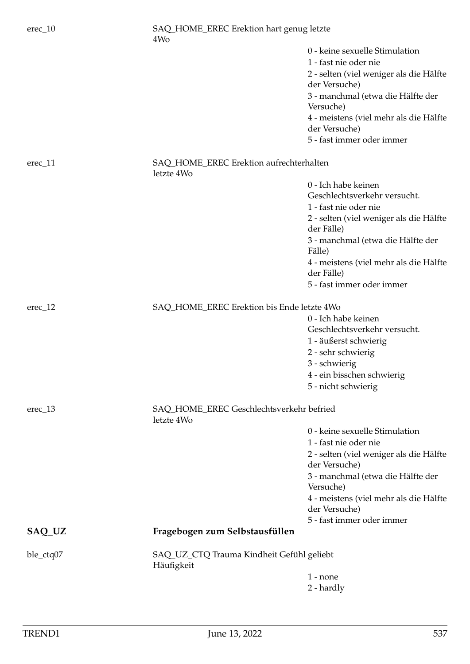| $erec_1$          | SAQ_HOME_EREC Erektion hart genug letzte<br>4W <sub>o</sub> |                                                          |
|-------------------|-------------------------------------------------------------|----------------------------------------------------------|
|                   |                                                             | 0 - keine sexuelle Stimulation                           |
|                   |                                                             | 1 - fast nie oder nie                                    |
|                   |                                                             | 2 - selten (viel weniger als die Hälfte<br>der Versuche) |
|                   |                                                             | 3 - manchmal (etwa die Hälfte der<br>Versuche)           |
|                   |                                                             | 4 - meistens (viel mehr als die Hälfte<br>der Versuche)  |
|                   |                                                             | 5 - fast immer oder immer                                |
| $erec_11$         | SAQ_HOME_EREC Erektion aufrechterhalten<br>letzte 4Wo       |                                                          |
|                   |                                                             | 0 - Ich habe keinen                                      |
|                   |                                                             | Geschlechtsverkehr versucht.                             |
|                   |                                                             | 1 - fast nie oder nie                                    |
|                   |                                                             | 2 - selten (viel weniger als die Hälfte<br>der Fälle)    |
|                   |                                                             | 3 - manchmal (etwa die Hälfte der<br>Fälle)              |
|                   |                                                             | 4 - meistens (viel mehr als die Hälfte<br>der Fälle)     |
|                   |                                                             | 5 - fast immer oder immer                                |
| $\text{erec}\_12$ | SAQ_HOME_EREC Erektion bis Ende letzte 4Wo                  |                                                          |
|                   |                                                             | 0 - Ich habe keinen                                      |
|                   |                                                             | Geschlechtsverkehr versucht.                             |
|                   |                                                             | 1 - äußerst schwierig                                    |
|                   |                                                             | 2 - sehr schwierig                                       |
|                   |                                                             | 3 - schwierig                                            |
|                   |                                                             | 4 - ein bisschen schwierig                               |
|                   |                                                             | 5 - nicht schwierig                                      |
| $\text{erec}\_13$ | SAQ_HOME_EREC Geschlechtsverkehr befried<br>letzte 4Wo      |                                                          |
|                   |                                                             | 0 - keine sexuelle Stimulation                           |
|                   |                                                             | 1 - fast nie oder nie                                    |
|                   |                                                             | 2 - selten (viel weniger als die Hälfte<br>der Versuche) |
|                   |                                                             | 3 - manchmal (etwa die Hälfte der<br>Versuche)           |
|                   |                                                             | 4 - meistens (viel mehr als die Hälfte<br>der Versuche)  |
|                   |                                                             | 5 - fast immer oder immer                                |
| SAQ_UZ            | Fragebogen zum Selbstausfüllen                              |                                                          |
| ble_ctq07         | SAQ_UZ_CTQ Trauma Kindheit Gefühl geliebt<br>Häufigkeit     |                                                          |
|                   |                                                             | $1$ - none                                               |
|                   |                                                             | 2 - hardly                                               |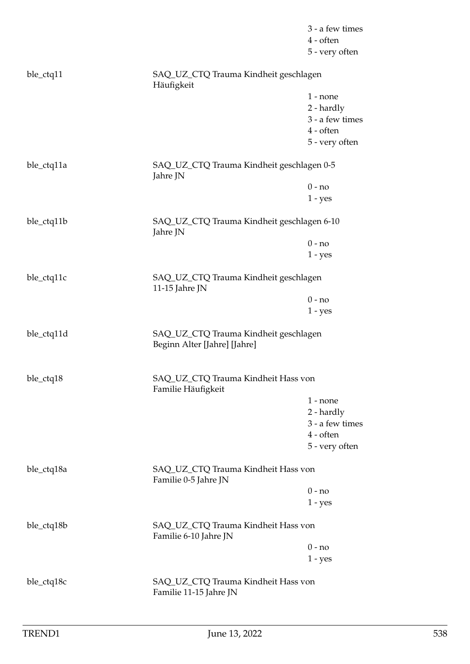|            |                                                                       | 3 - a few times<br>4 - often<br>5 - very often |  |
|------------|-----------------------------------------------------------------------|------------------------------------------------|--|
| ble_ctq11  | SAQ_UZ_CTQ Trauma Kindheit geschlagen<br>Häufigkeit                   |                                                |  |
|            |                                                                       | $1$ - none                                     |  |
|            |                                                                       | 2 - hardly                                     |  |
|            |                                                                       | 3 - a few times                                |  |
|            |                                                                       | $4$ - often                                    |  |
|            |                                                                       | 5 - very often                                 |  |
| ble_ctq11a | SAQ_UZ_CTQ Trauma Kindheit geschlagen 0-5<br>Jahre JN                 |                                                |  |
|            |                                                                       | $0 - no$                                       |  |
|            |                                                                       | $1 - yes$                                      |  |
| ble_ctq11b | SAQ_UZ_CTQ Trauma Kindheit geschlagen 6-10<br>Jahre JN                |                                                |  |
|            |                                                                       | $0 - no$                                       |  |
|            |                                                                       | $1 - yes$                                      |  |
| ble_ctq11c | 11-15 Jahre JN                                                        | SAQ_UZ_CTQ Trauma Kindheit geschlagen          |  |
|            |                                                                       | $0 - no$                                       |  |
|            |                                                                       | $1 - yes$                                      |  |
| ble_ctq11d | SAQ_UZ_CTQ Trauma Kindheit geschlagen<br>Beginn Alter [Jahre] [Jahre] |                                                |  |
| ble_ctq18  | SAQ_UZ_CTQ Trauma Kindheit Hass von<br>Familie Häufigkeit             |                                                |  |
|            |                                                                       | $1$ - none                                     |  |
|            |                                                                       | 2 - hardly                                     |  |
|            |                                                                       | 3 - a few times                                |  |
|            |                                                                       | 4 - often                                      |  |
|            |                                                                       | 5 - very often                                 |  |
| ble_ctq18a | Familie 0-5 Jahre JN                                                  | SAQ_UZ_CTQ Trauma Kindheit Hass von            |  |
|            |                                                                       | $0 - no$                                       |  |
|            |                                                                       | $1 - yes$                                      |  |
| ble_ctq18b | SAQ_UZ_CTQ Trauma Kindheit Hass von<br>Familie 6-10 Jahre JN          |                                                |  |
|            |                                                                       | $0 - no$                                       |  |
|            |                                                                       | $1 - yes$                                      |  |
| ble_ctq18c | SAQ_UZ_CTQ Trauma Kindheit Hass von<br>Familie 11-15 Jahre JN         |                                                |  |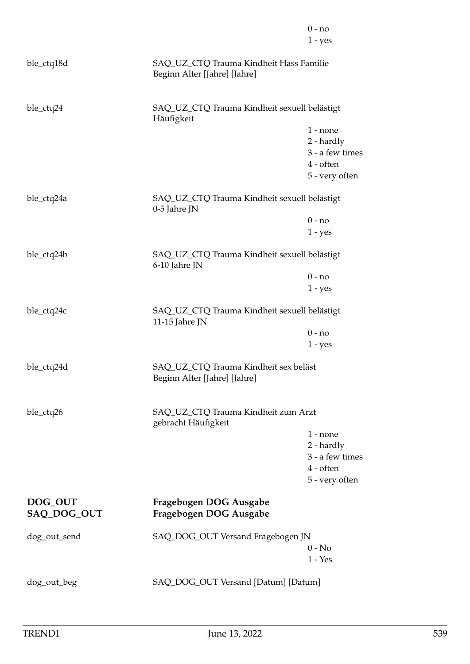|                        |                                                                         | $0 - no$<br>$1 - yes$        |
|------------------------|-------------------------------------------------------------------------|------------------------------|
| ble_ctq18d             | SAQ_UZ_CTQ Trauma Kindheit Hass Familie<br>Beginn Alter [Jahre] [Jahre] |                              |
| ble_ctq24              | SAQ_UZ_CTQ Trauma Kindheit sexuell belästigt<br>Häufigkeit              |                              |
|                        |                                                                         | $1$ - none                   |
|                        |                                                                         | 2 - hardly                   |
|                        |                                                                         | 3 - a few times<br>4 - often |
|                        |                                                                         | 5 - very often               |
| ble_ctq24a             | SAQ_UZ_CTQ Trauma Kindheit sexuell belästigt<br>0-5 Jahre JN            |                              |
|                        |                                                                         | $0 - no$                     |
|                        |                                                                         | $1 - yes$                    |
| ble_ctq24b             | SAQ_UZ_CTQ Trauma Kindheit sexuell belästigt<br>6-10 Jahre JN           |                              |
|                        |                                                                         | $0 - no$                     |
|                        |                                                                         | $1 - yes$                    |
| ble_ctq24c             | SAQ_UZ_CTQ Trauma Kindheit sexuell belästigt<br>11-15 Jahre JN          |                              |
|                        |                                                                         | $0 - no$                     |
|                        |                                                                         | $1 - yes$                    |
| ble_ctq24d             | SAQ_UZ_CTQ Trauma Kindheit sex beläst<br>Beginn Alter [Jahre] [Jahre]   |                              |
| ble_ctq26              | SAQ_UZ_CTQ Trauma Kindheit zum Arzt<br>gebracht Häufigkeit              |                              |
|                        |                                                                         | $1$ - none                   |
|                        |                                                                         | 2 - hardly                   |
|                        |                                                                         | 3 - a few times              |
|                        |                                                                         | 4 - often<br>5 - very often  |
|                        |                                                                         |                              |
| DOG_OUT<br>SAQ_DOG_OUT | Fragebogen DOG Ausgabe<br>Fragebogen DOG Ausgabe                        |                              |
| dog_out_send           | SAQ_DOG_OUT Versand Fragebogen JN                                       |                              |
|                        |                                                                         | $0 - No$                     |
|                        |                                                                         | $1 - Yes$                    |
| dog_out_beg            | SAQ_DOG_OUT Versand [Datum] [Datum]                                     |                              |
|                        |                                                                         |                              |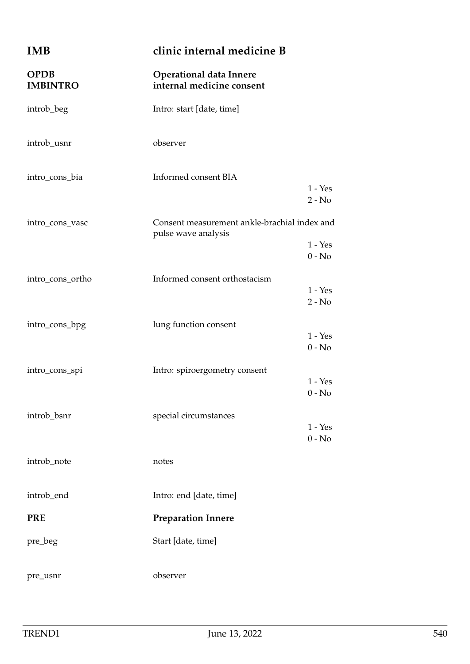| <b>IMB</b>                     | clinic internal medicine B                                                                   |  |
|--------------------------------|----------------------------------------------------------------------------------------------|--|
| <b>OPDB</b><br><b>IMBINTRO</b> | <b>Operational data Innere</b><br>internal medicine consent                                  |  |
| introb_beg                     | Intro: start [date, time]                                                                    |  |
| introb_usnr                    | observer                                                                                     |  |
| intro_cons_bia                 | Informed consent BIA<br>$1 - Yes$<br>$2 - No$                                                |  |
| intro_cons_vasc                | Consent measurement ankle-brachial index and<br>pulse wave analysis<br>$1 - Yes$<br>$0 - No$ |  |
| intro_cons_ortho               | Informed consent orthostacism<br>$1 - Yes$<br>$2 - No$                                       |  |
| intro_cons_bpg                 | lung function consent<br>$1 - Yes$<br>$0 - No$                                               |  |
| intro_cons_spi                 | Intro: spiroergometry consent<br>$1 - Yes$<br>$0 - No$                                       |  |
| introb_bsnr                    | special circumstances<br>$1 - Yes$<br>$0 - No$                                               |  |
| introb_note                    | notes                                                                                        |  |
| introb_end                     | Intro: end [date, time]                                                                      |  |
| <b>PRE</b>                     | <b>Preparation Innere</b>                                                                    |  |
| pre_beg                        | Start [date, time]                                                                           |  |
| pre_usnr                       | observer                                                                                     |  |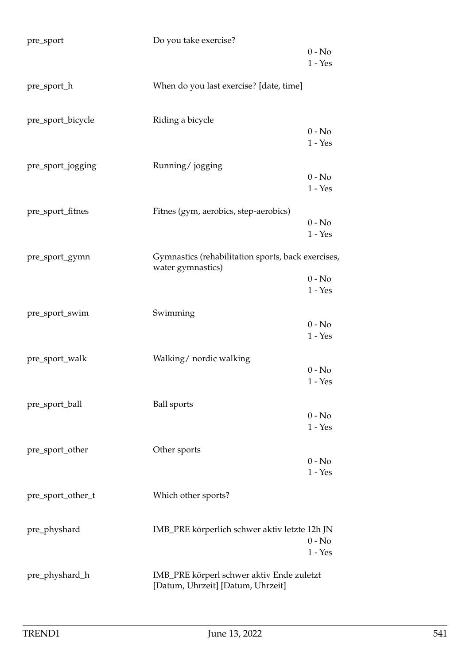| pre_sport         | Do you take exercise?                                                          | $0 - No$<br>$1 - Yes$ |
|-------------------|--------------------------------------------------------------------------------|-----------------------|
| pre_sport_h       | When do you last exercise? [date, time]                                        |                       |
| pre_sport_bicycle | Riding a bicycle                                                               | $0 - No$<br>$1 - Yes$ |
| pre_sport_jogging | Running/jogging                                                                | $0 - No$<br>$1 - Yes$ |
| pre_sport_fitnes  | Fitnes (gym, aerobics, step-aerobics)                                          | $0 - No$<br>$1 - Yes$ |
| pre_sport_gymn    | Gymnastics (rehabilitation sports, back exercises,<br>water gymnastics)        | $0 - No$<br>$1 - Yes$ |
| pre_sport_swim    | Swimming                                                                       | $0 - No$<br>$1 - Yes$ |
| pre_sport_walk    | Walking/ nordic walking                                                        | $0 - No$<br>$1 - Yes$ |
| pre_sport_ball    | <b>Ball</b> sports                                                             | $0 - No$<br>$1 - Yes$ |
| pre_sport_other   | Other sports                                                                   | $0 - No$<br>$1 - Yes$ |
| pre_sport_other_t | Which other sports?                                                            |                       |
| pre_physhard      | IMB_PRE körperlich schwer aktiv letzte 12h JN                                  | $0 - No$<br>$1 - Yes$ |
| pre_physhard_h    | IMB_PRE körperl schwer aktiv Ende zuletzt<br>[Datum, Uhrzeit] [Datum, Uhrzeit] |                       |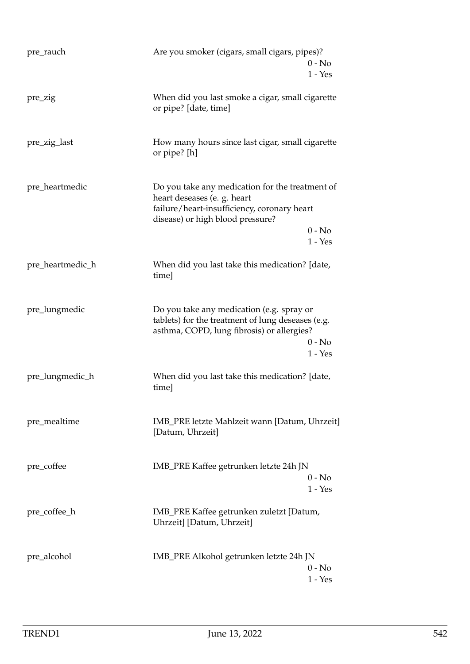| pre_rauch        | Are you smoker (cigars, small cigars, pipes)?                                                                                                                     | $0 - No$<br>$1 - Yes$ |
|------------------|-------------------------------------------------------------------------------------------------------------------------------------------------------------------|-----------------------|
| pre_zig          | When did you last smoke a cigar, small cigarette<br>or pipe? [date, time]                                                                                         |                       |
| pre_zig_last     | How many hours since last cigar, small cigarette<br>or pipe? [h]                                                                                                  |                       |
| pre_heartmedic   | Do you take any medication for the treatment of<br>heart deseases (e. g. heart<br>failure/heart-insufficiency, coronary heart<br>disease) or high blood pressure? | $0 - No$<br>$1 - Yes$ |
| pre_heartmedic_h | When did you last take this medication? [date,<br>time]                                                                                                           |                       |
| pre_lungmedic    | Do you take any medication (e.g. spray or<br>tablets) for the treatment of lung deseases (e.g.<br>asthma, COPD, lung fibrosis) or allergies?                      | $0 - No$<br>$1 - Yes$ |
| pre_lungmedic_h  | When did you last take this medication? [date,<br>time]                                                                                                           |                       |
| pre_mealtime     | IMB_PRE letzte Mahlzeit wann [Datum, Uhrzeit]<br>[Datum, Uhrzeit]                                                                                                 |                       |
| pre_coffee       | IMB_PRE Kaffee getrunken letzte 24h JN                                                                                                                            | $0 - No$<br>$1 - Yes$ |
| pre_coffee_h     | IMB_PRE Kaffee getrunken zuletzt [Datum,<br>Uhrzeit] [Datum, Uhrzeit]                                                                                             |                       |
| pre_alcohol      | IMB_PRE Alkohol getrunken letzte 24h JN                                                                                                                           | $0 - No$<br>$1 - Yes$ |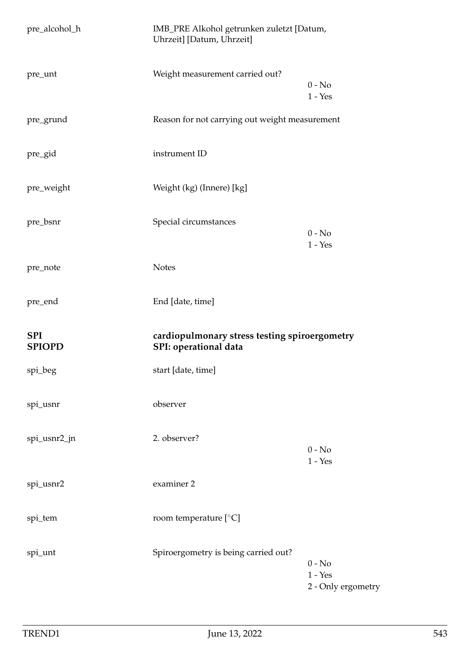| pre_alcohol_h               | IMB_PRE Alkohol getrunken zuletzt [Datum,<br>Uhrzeit] [Datum, Uhrzeit] |                                             |
|-----------------------------|------------------------------------------------------------------------|---------------------------------------------|
| pre_unt                     | Weight measurement carried out?                                        | $0 - No$<br>$1 - Yes$                       |
| pre_grund                   | Reason for not carrying out weight measurement                         |                                             |
| pre_gid                     | instrument ID                                                          |                                             |
| pre_weight                  | Weight (kg) (Innere) [kg]                                              |                                             |
| pre_bsnr                    | Special circumstances                                                  | $0 - No$<br>$1 - Yes$                       |
| pre_note                    | <b>Notes</b>                                                           |                                             |
| pre_end                     | End [date, time]                                                       |                                             |
| <b>SPI</b><br><b>SPIOPD</b> | cardiopulmonary stress testing spiroergometry<br>SPI: operational data |                                             |
| spi_beg                     | start [date, time]                                                     |                                             |
| spi_usnr                    | observer                                                               |                                             |
| spi_usnr2_jn                | 2. observer?                                                           | $0$ - $\mathrm{No}$<br>$1 - Yes$            |
| spi_usnr2                   | examiner 2                                                             |                                             |
| spi_tem                     | room temperature [°C]                                                  |                                             |
| spi_unt                     | Spiroergometry is being carried out?                                   | $0 - No$<br>$1 - Yes$<br>2 - Only ergometry |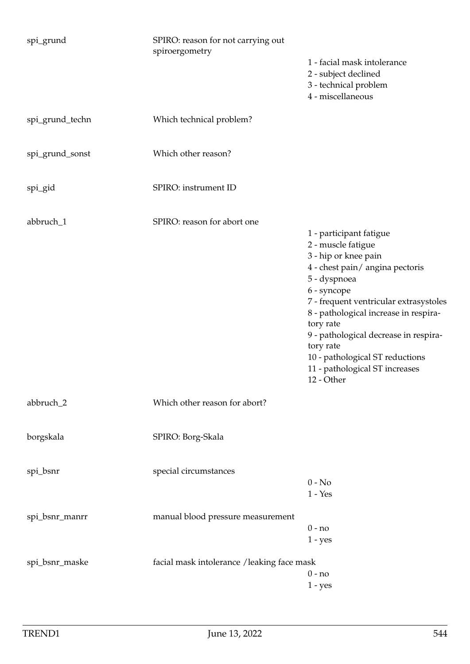| spi_grund       | SPIRO: reason for not carrying out<br>spiroergometry |                                                                                                                                                                                                                                                                                                                                                                                  |
|-----------------|------------------------------------------------------|----------------------------------------------------------------------------------------------------------------------------------------------------------------------------------------------------------------------------------------------------------------------------------------------------------------------------------------------------------------------------------|
|                 |                                                      | 1 - facial mask intolerance<br>2 - subject declined<br>3 - technical problem<br>4 - miscellaneous                                                                                                                                                                                                                                                                                |
| spi_grund_techn | Which technical problem?                             |                                                                                                                                                                                                                                                                                                                                                                                  |
| spi_grund_sonst | Which other reason?                                  |                                                                                                                                                                                                                                                                                                                                                                                  |
| spi_gid         | SPIRO: instrument ID                                 |                                                                                                                                                                                                                                                                                                                                                                                  |
| abbruch_1       | SPIRO: reason for abort one                          | 1 - participant fatigue<br>2 - muscle fatigue<br>3 - hip or knee pain<br>4 - chest pain/ angina pectoris<br>5 - dyspnoea<br>6 - syncope<br>7 - frequent ventricular extrasystoles<br>8 - pathological increase in respira-<br>tory rate<br>9 - pathological decrease in respira-<br>tory rate<br>10 - pathological ST reductions<br>11 - pathological ST increases<br>12 - Other |
| abbruch_2       | Which other reason for abort?                        |                                                                                                                                                                                                                                                                                                                                                                                  |
| borgskala       | SPIRO: Borg-Skala                                    |                                                                                                                                                                                                                                                                                                                                                                                  |
| spi_bsnr        | special circumstances                                | $0 - No$<br>$1 - Yes$                                                                                                                                                                                                                                                                                                                                                            |
| spi_bsnr_manrr  | manual blood pressure measurement                    | $0 - no$<br>$1 - yes$                                                                                                                                                                                                                                                                                                                                                            |
| spi_bsnr_maske  | facial mask intolerance /leaking face mask           | $0 - no$<br>$1 - yes$                                                                                                                                                                                                                                                                                                                                                            |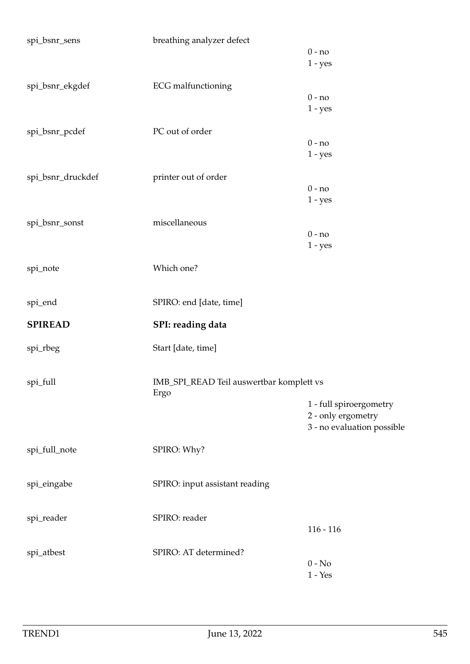| spi_bsnr_sens      | breathing analyzer defect                        |                            |
|--------------------|--------------------------------------------------|----------------------------|
|                    |                                                  | $0 - no$                   |
|                    |                                                  | $1 - yes$                  |
| spi_bsnr_ekgdef    | <b>ECG</b> malfunctioning                        |                            |
|                    |                                                  | $0 - no$                   |
|                    |                                                  | $1 - yes$                  |
|                    |                                                  |                            |
| spi_bsnr_pcdef     | PC out of order                                  |                            |
|                    |                                                  | $0 - no$                   |
|                    |                                                  | $1 - yes$                  |
| spi_bsnr_druckdef  | printer out of order                             |                            |
|                    |                                                  | $0 - no$                   |
|                    |                                                  | $1 - yes$                  |
|                    |                                                  |                            |
| spi_bsnr_sonst     | miscellaneous                                    |                            |
|                    |                                                  | $0 - no$                   |
|                    |                                                  | $1 - yes$                  |
| spi_note           | Which one?                                       |                            |
|                    |                                                  |                            |
|                    | SPIRO: end [date, time]                          |                            |
| spi_end            |                                                  |                            |
| <b>SPIREAD</b>     | SPI: reading data                                |                            |
| spi_rbeg           | Start [date, time]                               |                            |
|                    |                                                  |                            |
|                    |                                                  |                            |
| $\rm{spl\_full}$   | IMB_SPI_READ Teil auswertbar komplett vs<br>Ergo |                            |
|                    |                                                  | 1 - full spiroergometry    |
|                    |                                                  | 2 - only ergometry         |
|                    |                                                  | 3 - no evaluation possible |
|                    |                                                  |                            |
| spi_full_note      | SPIRO: Why?                                      |                            |
|                    |                                                  |                            |
| spi_eingabe        | SPIRO: input assistant reading                   |                            |
|                    |                                                  |                            |
| $\rm{spl\_reader}$ | SPIRO: reader                                    |                            |
|                    |                                                  | $116 - 116$                |
|                    |                                                  |                            |
| spi_atbest         | SPIRO: AT determined?                            |                            |
|                    |                                                  | $0 - No$                   |
|                    |                                                  | $1 - Yes$                  |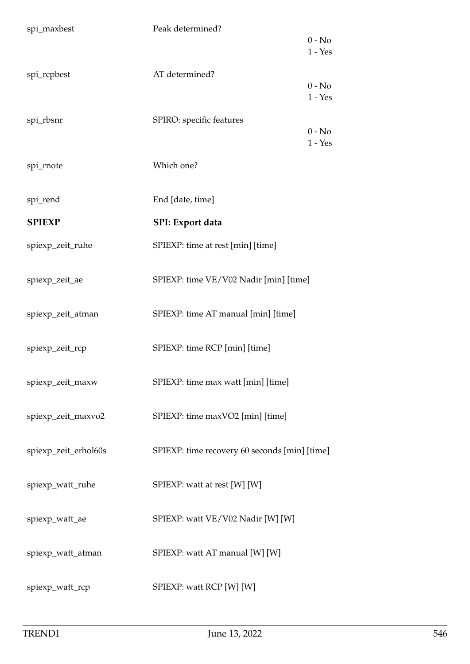| spi_maxbest          | Peak determined?                              |           |
|----------------------|-----------------------------------------------|-----------|
|                      |                                               | $0 - No$  |
|                      |                                               | $1 - Yes$ |
| spi_rcpbest          | AT determined?                                |           |
|                      |                                               | $0 - No$  |
|                      |                                               | $1 - Yes$ |
| spi_rbsnr            | SPIRO: specific features                      |           |
|                      |                                               | $0 - No$  |
|                      |                                               | $1 - Yes$ |
| spi_rnote            | Which one?                                    |           |
|                      |                                               |           |
|                      |                                               |           |
| spi_rend             | End [date, time]                              |           |
| <b>SPIEXP</b>        | SPI: Export data                              |           |
|                      |                                               |           |
| spiexp_zeit_ruhe     | SPIEXP: time at rest [min] [time]             |           |
|                      |                                               |           |
| spiexp_zeit_ae       | SPIEXP: time VE/V02 Nadir [min] [time]        |           |
|                      |                                               |           |
| spiexp_zeit_atman    | SPIEXP: time AT manual [min] [time]           |           |
|                      |                                               |           |
| spiexp_zeit_rcp      | SPIEXP: time RCP [min] [time]                 |           |
|                      |                                               |           |
|                      |                                               |           |
| spiexp_zeit_maxw     | SPIEXP: time max watt [min] [time]            |           |
|                      |                                               |           |
| spiexp_zeit_maxvo2   | SPIEXP: time maxVO2 [min] [time]              |           |
|                      |                                               |           |
| spiexp_zeit_erhol60s | SPIEXP: time recovery 60 seconds [min] [time] |           |
|                      |                                               |           |
| spiexp_watt_ruhe     | SPIEXP: watt at rest [W] [W]                  |           |
|                      |                                               |           |
|                      |                                               |           |
| spiexp_watt_ae       | SPIEXP: watt VE/V02 Nadir [W] [W]             |           |
|                      |                                               |           |
| spiexp_watt_atman    | SPIEXP: watt AT manual [W] [W]                |           |
|                      |                                               |           |
| spiexp_watt_rcp      | SPIEXP: watt RCP [W] [W]                      |           |
|                      |                                               |           |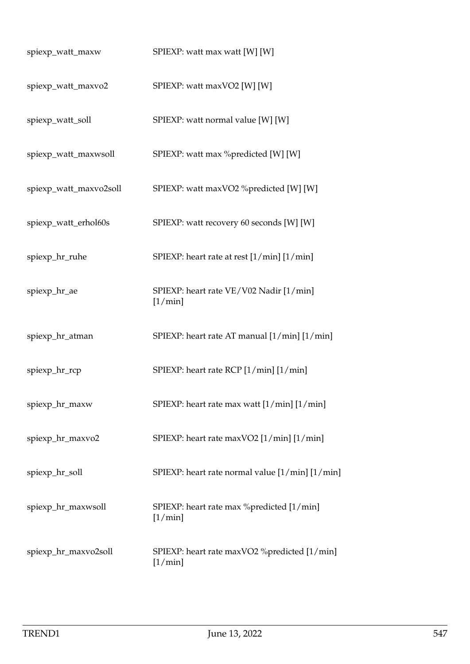| spiexp_watt_maxw       | SPIEXP: watt max watt [W] [W]                               |
|------------------------|-------------------------------------------------------------|
| spiexp_watt_maxvo2     | SPIEXP: watt maxVO2 [W] [W]                                 |
| spiexp_watt_soll       | SPIEXP: watt normal value [W] [W]                           |
| spiexp_watt_maxwsoll   | SPIEXP: watt max %predicted [W] [W]                         |
| spiexp_watt_maxvo2soll | SPIEXP: watt maxVO2 %predicted [W] [W]                      |
| spiexp_watt_erhol60s   | SPIEXP: watt recovery 60 seconds [W] [W]                    |
| spiexp_hr_ruhe         | SPIEXP: heart rate at rest [1/min] [1/min]                  |
| spiexp_hr_ae           | SPIEXP: heart rate VE/V02 Nadir [1/min]<br>$[1/\min]$       |
| spiexp_hr_atman        | SPIEXP: heart rate AT manual [1/min] [1/min]                |
| spiexp_hr_rcp          | SPIEXP: heart rate RCP [1/min] [1/min]                      |
| spiexp_hr_maxw         | SPIEXP: heart rate max watt [1/min] [1/min]                 |
| spiexp_hr_maxvo2       | SPIEXP: heart rate maxVO2 [1/min] [1/min]                   |
| spiexp_hr_soll         | SPIEXP: heart rate normal value [1/min] [1/min]             |
| spiexp_hr_maxwsoll     | SPIEXP: heart rate max %predicted [1/min]<br>$[1/\min]$     |
| spiexp_hr_maxvo2soll   | SPIEXP: heart rate maxVO2 % predicted [1/min]<br>$[1/\min]$ |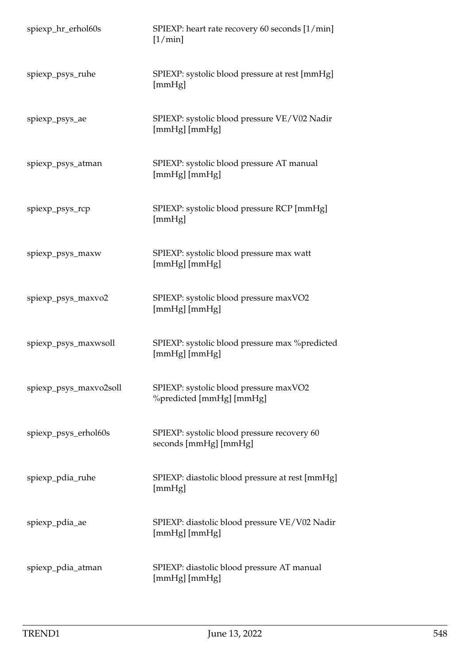| spiexp_hr_erhol60s     | SPIEXP: heart rate recovery 60 seconds [1/min]<br>$[1/\min]$         |
|------------------------|----------------------------------------------------------------------|
| spiexp_psys_ruhe       | SPIEXP: systolic blood pressure at rest [mmHg]<br>[mmHg]             |
| spiexp_psys_ae         | SPIEXP: systolic blood pressure VE/V02 Nadir<br>[mmHg] [mmHg]        |
| spiexp_psys_atman      | SPIEXP: systolic blood pressure AT manual<br>[mmHg] [mmHg]           |
| spiexp_psys_rcp        | SPIEXP: systolic blood pressure RCP [mmHg]<br>[mmHg]                 |
| spiexp_psys_maxw       | SPIEXP: systolic blood pressure max watt<br>[mmHg] [mmHg]            |
| spiexp_psys_maxvo2     | SPIEXP: systolic blood pressure maxVO2<br>[mmHg] [mmHg]              |
| spiexp_psys_maxwsoll   | SPIEXP: systolic blood pressure max %predicted<br>[mmHg] [mmHg]      |
| spiexp_psys_maxvo2soll | SPIEXP: systolic blood pressure maxVO2<br>%predicted [mmHg] [mmHg]   |
| spiexp_psys_erhol60s   | SPIEXP: systolic blood pressure recovery 60<br>seconds [mmHg] [mmHg] |
| spiexp_pdia_ruhe       | SPIEXP: diastolic blood pressure at rest [mmHg]<br>[mmHg]            |
| spiexp_pdia_ae         | SPIEXP: diastolic blood pressure VE/V02 Nadir<br>[mmHg] [mmHg]       |
| spiexp_pdia_atman      | SPIEXP: diastolic blood pressure AT manual<br>[mmHg] [mmHg]          |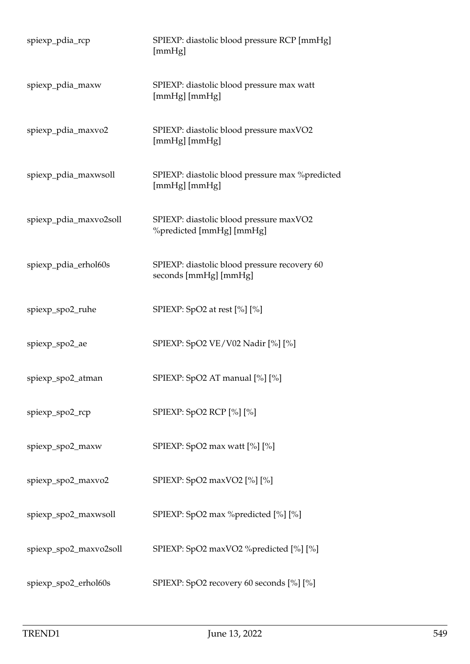| spiexp_pdia_rcp        | SPIEXP: diastolic blood pressure RCP [mmHg]<br>[mmHg]                 |
|------------------------|-----------------------------------------------------------------------|
| spiexp_pdia_maxw       | SPIEXP: diastolic blood pressure max watt<br>[mmHg] [mmHg]            |
| spiexp_pdia_maxvo2     | SPIEXP: diastolic blood pressure maxVO2<br>[mmHg] [mmHg]              |
| spiexp_pdia_maxwsoll   | SPIEXP: diastolic blood pressure max % predicted<br>[mmHg] [mmHg]     |
| spiexp_pdia_maxvo2soll | SPIEXP: diastolic blood pressure maxVO2<br>%predicted [mmHg] [mmHg]   |
| spiexp_pdia_erhol60s   | SPIEXP: diastolic blood pressure recovery 60<br>seconds [mmHg] [mmHg] |
| spiexp_spo2_ruhe       | SPIEXP: SpO2 at rest [%] [%]                                          |
| spiexp_spo2_ae         | SPIEXP: SpO2 VE/V02 Nadir [%] [%]                                     |
| spiexp_spo2_atman      | SPIEXP: SpO2 AT manual [%] [%]                                        |
| spiexp_spo2_rcp        | SPIEXP: SpO2 RCP [%] [%]                                              |
| spiexp_spo2_maxw       | SPIEXP: SpO2 max watt [%] [%]                                         |
| spiexp_spo2_maxvo2     | SPIEXP: SpO2 maxVO2 [%] [%]                                           |
| spiexp_spo2_maxwsoll   | SPIEXP: SpO2 max %predicted [%] [%]                                   |
| spiexp_spo2_maxvo2soll | SPIEXP: SpO2 maxVO2 %predicted [%] [%]                                |
| spiexp_spo2_erhol60s   | SPIEXP: SpO2 recovery 60 seconds [%] [%]                              |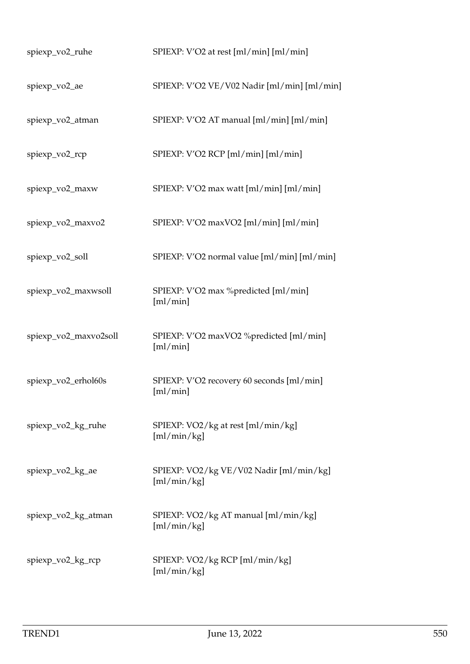| spiexp_vo2_ruhe       | SPIEXP: V'O2 at rest [ml/min] [ml/min]                 |
|-----------------------|--------------------------------------------------------|
| spiexp_vo2_ae         | SPIEXP: V'O2 VE/V02 Nadir [ml/min] [ml/min]            |
| spiexp_vo2_atman      | SPIEXP: V'O2 AT manual [ml/min] [ml/min]               |
| spiexp_vo2_rcp        | SPIEXP: V'O2 RCP [ml/min] [ml/min]                     |
| spiexp_vo2_maxw       | SPIEXP: V'O2 max watt [ml/min] [ml/min]                |
| spiexp_vo2_maxvo2     | SPIEXP: V'O2 maxVO2 [ml/min] [ml/min]                  |
| spiexp_vo2_soll       | SPIEXP: V'O2 normal value [ml/min] [ml/min]            |
| spiexp_vo2_maxwsoll   | SPIEXP: V'O2 max %predicted [ml/min]<br>[ml/min]       |
| spiexp_vo2_maxvo2soll | SPIEXP: V'O2 maxVO2 %predicted [ml/min]<br>[ml/min]    |
| spiexp_vo2_erhol60s   | SPIEXP: V'O2 recovery 60 seconds [ml/min]<br>[m]/min]  |
| spiexp_vo2_kg_ruhe    | SPIEXP: VO2/kg at rest [ml/min/kg]<br>[m]/min/kg]      |
| spiexp_vo2_kg_ae      | SPIEXP: VO2/kg VE/V02 Nadir [ml/min/kg]<br>[m]/min/kg] |
| spiexp_vo2_kg_atman   | SPIEXP: VO2/kg AT manual [ml/min/kg]<br>[ml/min/kg]    |
| spiexp_vo2_kg_rcp     | SPIEXP: VO2/kg RCP [ml/min/kg]<br>[m]/min/kg]          |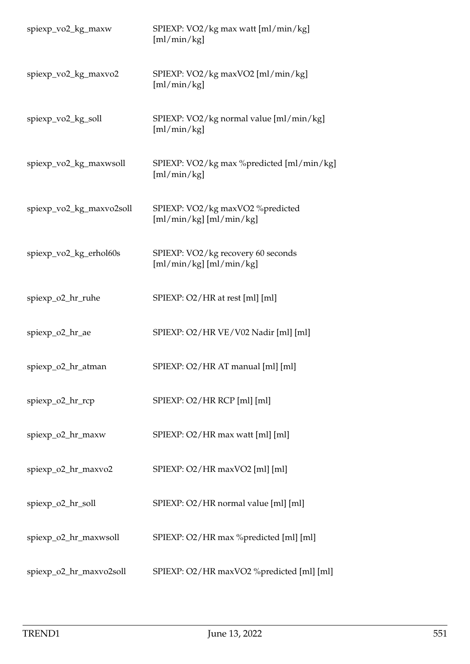| spiexp_vo2_kg_maxw       | SPIEXP: VO2/kg max watt [ml/min/kg]<br>[ml/min/kg]              |
|--------------------------|-----------------------------------------------------------------|
| spiexp_vo2_kg_maxvo2     | SPIEXP: VO2/kg maxVO2 [ml/min/kg]<br>[m]/min/kg]                |
| spiexp_vo2_kg_soll       | SPIEXP: VO2/kg normal value [ml/min/kg]<br>[m]/min/kg]          |
| spiexp_vo2_kg_maxwsoll   | SPIEXP: VO2/kg max %predicted [ml/min/kg]<br>[ml/min/kg]        |
| spiexp_vo2_kg_maxvo2soll | SPIEXP: VO2/kg maxVO2 %predicted<br>[ml/min/kg] [ml/min/kg]     |
| spiexp_vo2_kg_erhol60s   | SPIEXP: VO2/kg recovery 60 seconds<br>$[m]/min/kg]$ [ml/min/kg] |
| spiexp_o2_hr_ruhe        | SPIEXP: O2/HR at rest [ml] [ml]                                 |
| spiexp_o2_hr_ae          | SPIEXP: O2/HR VE/V02 Nadir [ml] [ml]                            |
| spiexp_o2_hr_atman       | SPIEXP: O2/HR AT manual [ml] [ml]                               |
| spiexp_o2_hr_rcp         | SPIEXP: O2/HR RCP [ml] [ml]                                     |
| spiexp_o2_hr_maxw        | SPIEXP: O2/HR max watt [ml] [ml]                                |
| spiexp_o2_hr_maxvo2      | SPIEXP: O2/HR maxVO2 [ml] [ml]                                  |
| spiexp_o2_hr_soll        | SPIEXP: O2/HR normal value [ml] [ml]                            |
| spiexp_o2_hr_maxwsoll    | SPIEXP: O2/HR max %predicted [ml] [ml]                          |
| spiexp_o2_hr_maxvo2soll  | SPIEXP: O2/HR maxVO2 %predicted [ml] [ml]                       |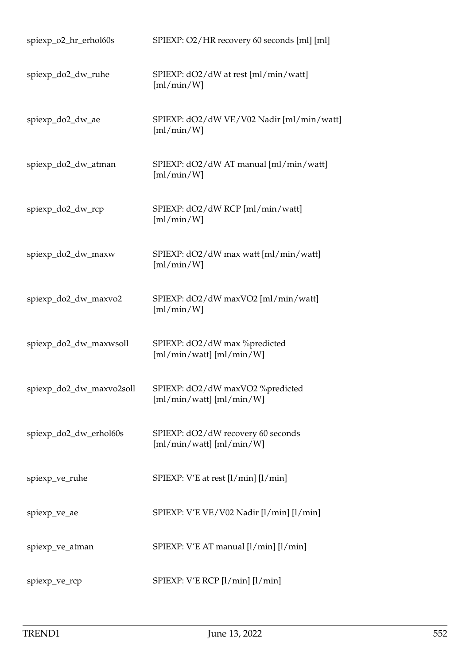| spiexp_o2_hr_erhol60s    | SPIEXP: O2/HR recovery 60 seconds [ml] [ml]                      |
|--------------------------|------------------------------------------------------------------|
| spiexp_do2_dw_ruhe       | SPIEXP: dO2/dW at rest [ml/min/watt]<br>[m]/min/W]               |
| spiexp_do2_dw_ae         | SPIEXP: dO2/dW VE/V02 Nadir [ml/min/watt]<br>[m]/min/W]          |
| spiexp_do2_dw_atman      | SPIEXP: dO2/dW AT manual [ml/min/watt]<br>[m]/min/W]             |
| spiexp_do2_dw_rcp        | SPIEXP: dO2/dW RCP [ml/min/watt]<br>[m]/min/W]                   |
| spiexp_do2_dw_maxw       | SPIEXP: dO2/dW max watt [ml/min/watt]<br>[m]/min/W]              |
| spiexp_do2_dw_maxvo2     | SPIEXP: dO2/dW maxVO2 [ml/min/watt]<br>[m]/min/W]                |
| spiexp_do2_dw_maxwsoll   | SPIEXP: dO2/dW max %predicted<br>$[m]/min/watt]$ [ml/min/W]      |
| spiexp_do2_dw_maxvo2soll | SPIEXP: dO2/dW maxVO2 %predicted<br>$[m]/min/watt]$ [ml/min/W]   |
| spiexp_do2_dw_erhol60s   | SPIEXP: dO2/dW recovery 60 seconds<br>$[m]/min/watt]$ [ml/min/W] |
| spiexp_ve_ruhe           | SPIEXP: V'E at rest [l/min] [l/min]                              |
| spiexp_ve_ae             | SPIEXP: V'E VE/V02 Nadir [l/min] [l/min]                         |
| spiexp_ve_atman          | SPIEXP: V'E AT manual [l/min] [l/min]                            |
| spiexp_ve_rcp            | SPIEXP: V'E RCP [l/min] [l/min]                                  |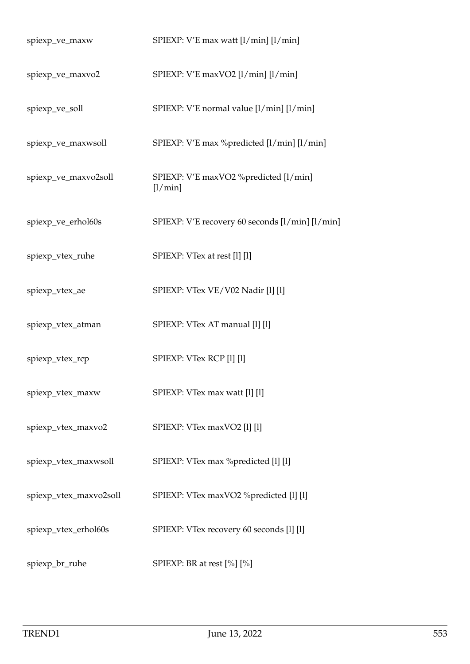| spiexp_ve_maxw         | SPIEXP: V'E max watt [l/min] [l/min]                |
|------------------------|-----------------------------------------------------|
| spiexp_ve_maxvo2       | SPIEXP: V'E maxVO2 [l/min] [l/min]                  |
| spiexp_ve_soll         | SPIEXP: V'E normal value [l/min] [l/min]            |
| spiexp_ve_maxwsoll     | SPIEXP: V'E max %predicted [l/min] [l/min]          |
| spiexp_ve_maxvo2soll   | SPIEXP: V'E maxVO2 %predicted [l/min]<br>$[1/\min]$ |
| spiexp_ve_erhol60s     | SPIEXP: V'E recovery 60 seconds [l/min] [l/min]     |
| spiexp_vtex_ruhe       | SPIEXP: VTex at rest [1] [1]                        |
| spiexp_vtex_ae         | SPIEXP: VTex VE/V02 Nadir [1] [1]                   |
| spiexp_vtex_atman      | SPIEXP: VTex AT manual [1] [1]                      |
| spiexp_vtex_rcp        | SPIEXP: VTex RCP [1] [1]                            |
| spiexp_vtex_maxw       | SPIEXP: VTex max watt [1] [1]                       |
| spiexp_vtex_maxvo2     | SPIEXP: VTex maxVO2 [1] [1]                         |
| spiexp_vtex_maxwsoll   | SPIEXP: VTex max % predicted [1] [1]                |
| spiexp_vtex_maxvo2soll | SPIEXP: VTex maxVO2 %predicted [1] [1]              |
| spiexp_vtex_erhol60s   | SPIEXP: VTex recovery 60 seconds [1] [1]            |
| spiexp_br_ruhe         | SPIEXP: BR at rest [%] [%]                          |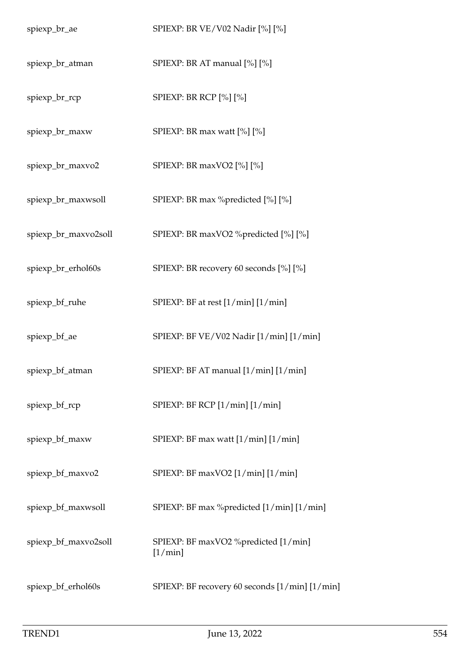| spiexp_br_ae         | SPIEXP: BR VE/V02 Nadir [%] [%]                    |
|----------------------|----------------------------------------------------|
| spiexp_br_atman      | SPIEXP: BR AT manual [%] [%]                       |
| spiexp_br_rcp        | SPIEXP: BR RCP [%] [%]                             |
| spiexp_br_maxw       | SPIEXP: BR max watt $[\%]$ $[\%]$                  |
| spiexp_br_maxvo2     | SPIEXP: BR maxVO2 [%] [%]                          |
| spiexp_br_maxwsoll   | SPIEXP: BR max %predicted [%] [%]                  |
| spiexp_br_maxvo2soll | SPIEXP: BR maxVO2 %predicted [%] [%]               |
| spiexp_br_erhol60s   | SPIEXP: BR recovery 60 seconds [%] [%]             |
| spiexp_bf_ruhe       | SPIEXP: BF at rest [1/min] [1/min]                 |
| spiexp_bf_ae         | SPIEXP: BF VE/V02 Nadir [1/min] [1/min]            |
| spiexp_bf_atman      | SPIEXP: BF AT manual [1/min] [1/min]               |
| spiexp_bf_rcp        | SPIEXP: BF RCP [1/min] [1/min]                     |
| spiexp_bf_maxw       | SPIEXP: BF max watt [1/min] [1/min]                |
| spiexp_bf_maxvo2     | SPIEXP: BF maxVO2 [1/min] [1/min]                  |
| spiexp_bf_maxwsoll   | SPIEXP: BF max %predicted [1/min] [1/min]          |
| spiexp_bf_maxvo2soll | SPIEXP: BF maxVO2 %predicted [1/min]<br>$[1/\min]$ |
| spiexp_bf_erhol60s   | SPIEXP: BF recovery 60 seconds [1/min] [1/min]     |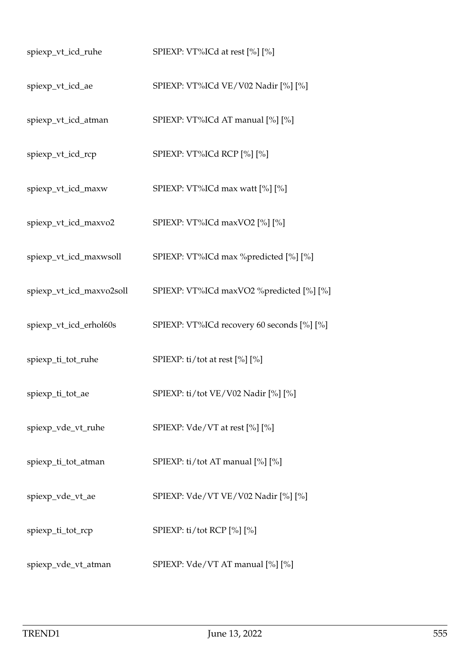| spiexp_vt_icd_ruhe       | SPIEXP: VT%ICd at rest [%] [%]             |
|--------------------------|--------------------------------------------|
| spiexp_vt_icd_ae         | SPIEXP: VT%ICd VE/V02 Nadir [%] [%]        |
| spiexp_vt_icd_atman      | SPIEXP: VT%ICd AT manual [%] [%]           |
| spiexp_vt_icd_rcp        | SPIEXP: VT%ICd RCP [%] [%]                 |
| spiexp_vt_icd_maxw       | SPIEXP: VT%ICd max watt [%] [%]            |
| spiexp_vt_icd_maxvo2     | SPIEXP: VT%ICd maxVO2 [%] [%]              |
| spiexp_vt_icd_maxwsoll   | SPIEXP: VT%ICd max %predicted [%] [%]      |
| spiexp_vt_icd_maxvo2soll | SPIEXP: VT%ICd maxVO2 %predicted [%] [%]   |
| spiexp_vt_icd_erhol60s   | SPIEXP: VT%ICd recovery 60 seconds [%] [%] |
| spiexp_ti_tot_ruhe       | SPIEXP: ti/tot at rest [%] [%]             |
| spiexp_ti_tot_ae         | SPIEXP: ti/tot VE/V02 Nadir [%] [%]        |
| spiexp_vde_vt_ruhe       | SPIEXP: $Vde/VT$ at rest $[\%] [\%]$       |
| spiexp_ti_tot_atman      | SPIEXP: ti/tot AT manual [%] [%]           |
| spiexp_vde_vt_ae         | SPIEXP: Vde/VT VE/V02 Nadir [%] [%]        |
| spiexp_ti_tot_rcp        | SPIEXP: ti/tot RCP [%] [%]                 |
| spiexp_vde_vt_atman      | SPIEXP: Vde/VT AT manual [%] [%]           |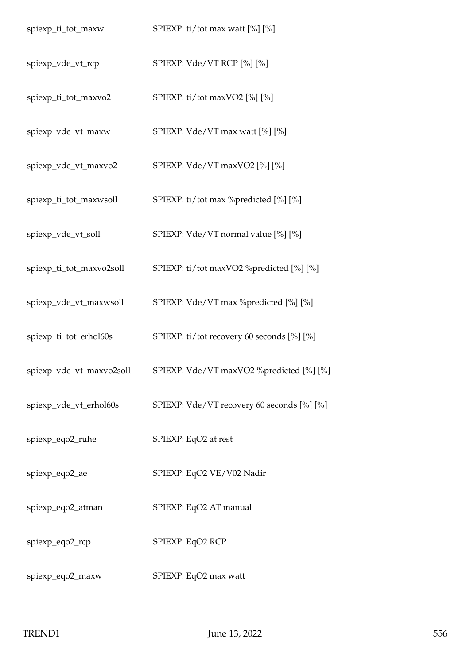| spiexp_ti_tot_maxw       | SPIEXP: ti/tot max watt [%] [%]                                   |
|--------------------------|-------------------------------------------------------------------|
| spiexp_vde_vt_rcp        | SPIEXP: Vde/VT RCP [%] [%]                                        |
| spiexp_ti_tot_maxvo2     | SPIEXP: ti/tot maxVO2 [%] [%]                                     |
| spiexp_vde_vt_maxw       | SPIEXP: Vde/VT max watt [%] [%]                                   |
| spiexp_vde_vt_maxvo2     | SPIEXP: Vde/VT maxVO2 [%] [%]                                     |
| spiexp_ti_tot_maxwsoll   | SPIEXP: ti/tot max %predicted [%] [%]                             |
| spiexp_vde_vt_soll       | SPIEXP: Vde/VT normal value [%] [%]                               |
| spiexp_ti_tot_maxvo2soll | SPIEXP: ti/tot maxVO2 %predicted [%] [%]                          |
| spiexp_vde_vt_maxwsoll   | SPIEXP: Vde/VT max %predicted [%] [%]                             |
| spiexp_ti_tot_erhol60s   | SPIEXP: ti/tot recovery 60 seconds [%] [%]                        |
|                          | spiexp_vde_vt_maxvo2soll SPIEXP: Vde/VT maxVO2 %predicted [%] [%] |
| spiexp_vde_vt_erhol60s   | SPIEXP: Vde/VT recovery 60 seconds [%] [%]                        |
| spiexp_eqo2_ruhe         | SPIEXP: EqO2 at rest                                              |
| spiexp_eqo2_ae           | SPIEXP: EqO2 VE/V02 Nadir                                         |
| spiexp_eqo2_atman        | SPIEXP: EqO2 AT manual                                            |
| spiexp_eqo2_rcp          | SPIEXP: EqO2 RCP                                                  |
| spiexp_eqo2_maxw         | SPIEXP: EqO2 max watt                                             |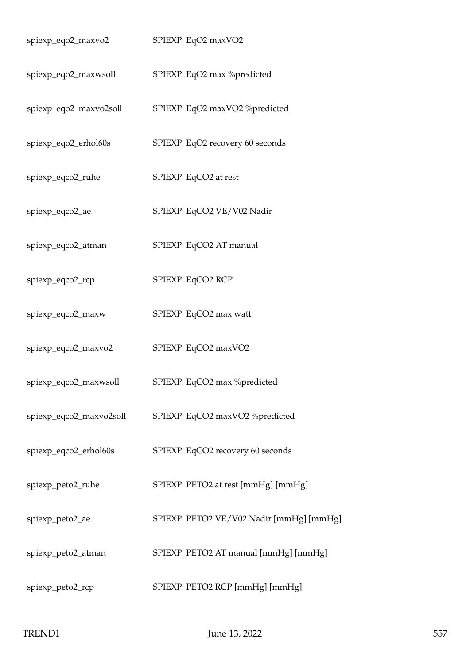| spiexp_eqo2_maxvo2      | SPIEXP: EqO2 maxVO2                      |
|-------------------------|------------------------------------------|
| spiexp_eqo2_maxwsoll    | SPIEXP: EqO2 max %predicted              |
| spiexp_eqo2_maxvo2soll  | SPIEXP: EqO2 maxVO2 %predicted           |
| spiexp_eqo2_erhol60s    | SPIEXP: EqO2 recovery 60 seconds         |
| spiexp_eqco2_ruhe       | SPIEXP: EqCO2 at rest                    |
| spiexp_eqco2_ae         | SPIEXP: EqCO2 VE/V02 Nadir               |
| spiexp_eqco2_atman      | SPIEXP: EqCO2 AT manual                  |
| spiexp_eqco2_rcp        | SPIEXP: EqCO2 RCP                        |
| spiexp_eqco2_maxw       | SPIEXP: EqCO2 max watt                   |
| spiexp_eqco2_maxvo2     | SPIEXP: EqCO2 maxVO2                     |
| spiexp_eqco2_maxwsoll   | SPIEXP: EqCO2 max %predicted             |
| spiexp_eqco2_maxvo2soll | SPIEXP: EqCO2 maxVO2 %predicted          |
| spiexp_eqco2_erhol60s   | SPIEXP: EqCO2 recovery 60 seconds        |
| spiexp_peto2_ruhe       | SPIEXP: PETO2 at rest [mmHg] [mmHg]      |
| spiexp_peto2_ae         | SPIEXP: PETO2 VE/V02 Nadir [mmHg] [mmHg] |
| spiexp_peto2_atman      | SPIEXP: PETO2 AT manual [mmHg] [mmHg]    |
| spiexp_peto2_rcp        | SPIEXP: PETO2 RCP [mmHg] [mmHg]          |
|                         |                                          |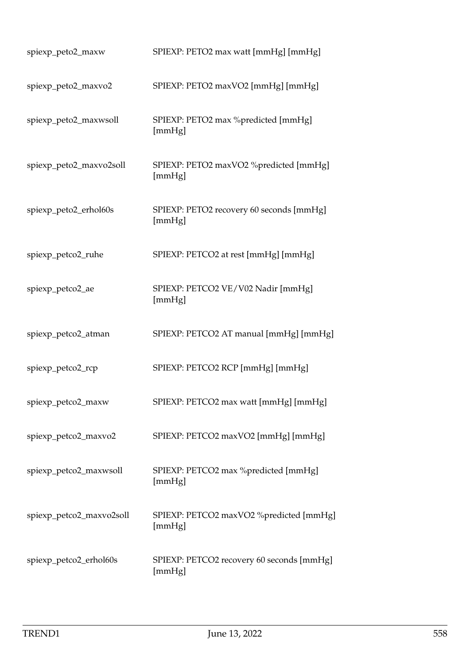| spiexp_peto2_maxw        | SPIEXP: PETO2 max watt [mmHg] [mmHg]                |
|--------------------------|-----------------------------------------------------|
| spiexp_peto2_maxvo2      | SPIEXP: PETO2 maxVO2 [mmHg] [mmHg]                  |
| spiexp_peto2_maxwsoll    | SPIEXP: PETO2 max %predicted [mmHg]<br>[mmHg]       |
| spiexp_peto2_maxvo2soll  | SPIEXP: PETO2 maxVO2 %predicted [mmHg]<br>[mmHg]    |
| spiexp_peto2_erhol60s    | SPIEXP: PETO2 recovery 60 seconds [mmHg]<br>[mmHg]  |
| spiexp_petco2_ruhe       | SPIEXP: PETCO2 at rest [mmHg] [mmHg]                |
| spiexp_petco2_ae         | SPIEXP: PETCO2 VE/V02 Nadir [mmHg]<br>[mmHg]        |
| spiexp_petco2_atman      | SPIEXP: PETCO2 AT manual [mmHg] [mmHg]              |
| spiexp_petco2_rcp        | SPIEXP: PETCO2 RCP [mmHg] [mmHg]                    |
| spiexp_petco2_maxw       | SPIEXP: PETCO2 max watt [mmHg] [mmHg]               |
| spiexp_petco2_maxvo2     | SPIEXP: PETCO2 maxVO2 [mmHg] [mmHg]                 |
| spiexp_petco2_maxwsoll   | SPIEXP: PETCO2 max %predicted [mmHg]<br>[mmHg]      |
| spiexp_petco2_maxvo2soll | SPIEXP: PETCO2 maxVO2 %predicted [mmHg]<br>[mmHg]   |
| spiexp_petco2_erhol60s   | SPIEXP: PETCO2 recovery 60 seconds [mmHg]<br>[mmHg] |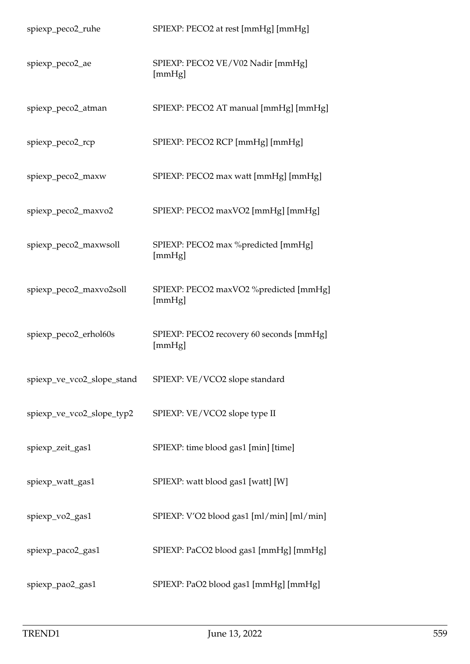| spiexp_peco2_ruhe          | SPIEXP: PECO2 at rest [mmHg] [mmHg]                |
|----------------------------|----------------------------------------------------|
| spiexp_peco2_ae            | SPIEXP: PECO2 VE/V02 Nadir [mmHg]<br>[mmHg]        |
| spiexp_peco2_atman         | SPIEXP: PECO2 AT manual [mmHg] [mmHg]              |
| spiexp_peco2_rcp           | SPIEXP: PECO2 RCP [mmHg] [mmHg]                    |
| spiexp_peco2_maxw          | SPIEXP: PECO2 max watt [mmHg] [mmHg]               |
| spiexp_peco2_maxvo2        | SPIEXP: PECO2 maxVO2 [mmHg] [mmHg]                 |
| spiexp_peco2_maxwsoll      | SPIEXP: PECO2 max %predicted [mmHg]<br>[mmHg]      |
| spiexp_peco2_maxvo2soll    | SPIEXP: PECO2 maxVO2 %predicted [mmHg]<br>[mmHg]   |
| spiexp_peco2_erhol60s      | SPIEXP: PECO2 recovery 60 seconds [mmHg]<br>[mmHg] |
| spiexp_ve_vco2_slope_stand | SPIEXP: VE/VCO2 slope standard                     |
| spiexp_ve_vco2_slope_typ2  | SPIEXP: VE/VCO2 slope type II                      |
| spiexp_zeit_gas1           | SPIEXP: time blood gas1 [min] [time]               |
| spiexp_watt_gas1           | SPIEXP: watt blood gas1 [watt] [W]                 |
| spiexp_vo2_gas1            | SPIEXP: V'O2 blood gas1 [ml/min] [ml/min]          |
| spiexp_paco2_gas1          | SPIEXP: PaCO2 blood gas1 [mmHg] [mmHg]             |
| spiexp_pao2_gas1           | SPIEXP: PaO2 blood gas1 [mmHg] [mmHg]              |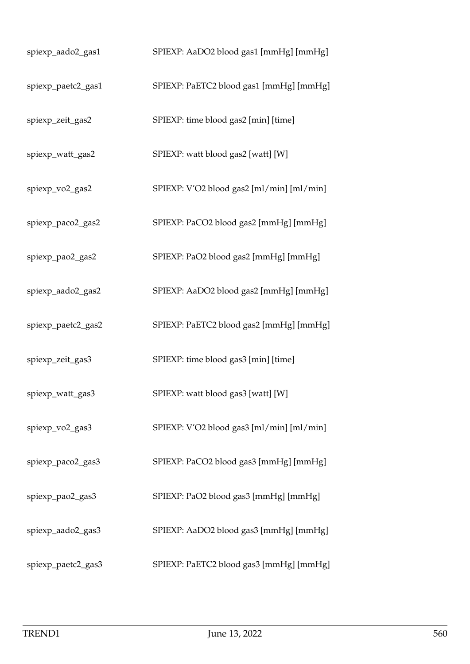| spiexp_aado2_gas1  | SPIEXP: AaDO2 blood gas1 [mmHg] [mmHg]    |
|--------------------|-------------------------------------------|
| spiexp_paetc2_gas1 | SPIEXP: PaETC2 blood gas1 [mmHg] [mmHg]   |
| spiexp_zeit_gas2   | SPIEXP: time blood gas2 [min] [time]      |
| spiexp_watt_gas2   | SPIEXP: watt blood gas2 [watt] [W]        |
| spiexp_vo2_gas2    | SPIEXP: V'O2 blood gas2 [ml/min] [ml/min] |
| spiexp_paco2_gas2  | SPIEXP: PaCO2 blood gas2 [mmHg] [mmHg]    |
| spiexp_pao2_gas2   | SPIEXP: PaO2 blood gas2 [mmHg] [mmHg]     |
| spiexp_aado2_gas2  | SPIEXP: AaDO2 blood gas2 [mmHg] [mmHg]    |
| spiexp_paetc2_gas2 | SPIEXP: PaETC2 blood gas2 [mmHg] [mmHg]   |
| spiexp_zeit_gas3   | SPIEXP: time blood gas3 [min] [time]      |
| spiexp_watt_gas3   | SPIEXP: watt blood gas3 [watt] [W]        |
| spiexp_vo2_gas3    | SPIEXP: V'O2 blood gas3 [ml/min] [ml/min] |
| spiexp_paco2_gas3  | SPIEXP: PaCO2 blood gas3 [mmHg] [mmHg]    |
| spiexp_pao2_gas3   | SPIEXP: PaO2 blood gas3 [mmHg] [mmHg]     |
| spiexp_aado2_gas3  | SPIEXP: AaDO2 blood gas3 [mmHg] [mmHg]    |
| spiexp_paetc2_gas3 | SPIEXP: PaETC2 blood gas3 [mmHg] [mmHg]   |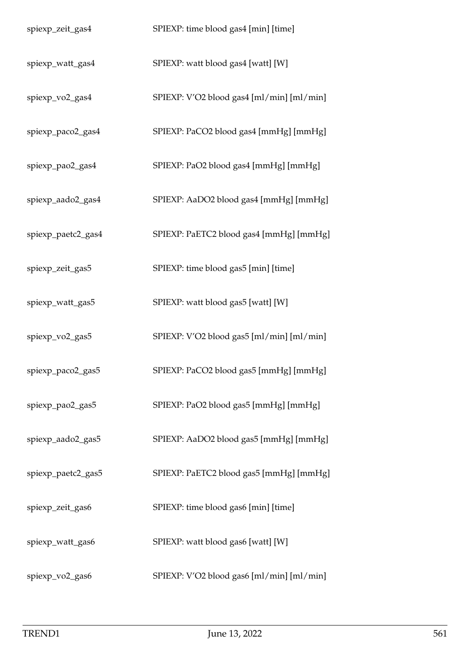| spiexp_zeit_gas4   | SPIEXP: time blood gas4 [min] [time]      |
|--------------------|-------------------------------------------|
| spiexp_watt_gas4   | SPIEXP: watt blood gas4 [watt] [W]        |
| spiexp_vo2_gas4    | SPIEXP: V'O2 blood gas4 [ml/min] [ml/min] |
| spiexp_paco2_gas4  | SPIEXP: PaCO2 blood gas4 [mmHg] [mmHg]    |
| spiexp_pao2_gas4   | SPIEXP: PaO2 blood gas4 [mmHg] [mmHg]     |
| spiexp_aado2_gas4  | SPIEXP: AaDO2 blood gas4 [mmHg] [mmHg]    |
| spiexp_paetc2_gas4 | SPIEXP: PaETC2 blood gas4 [mmHg] [mmHg]   |
| spiexp_zeit_gas5   | SPIEXP: time blood gas5 [min] [time]      |
| spiexp_watt_gas5   | SPIEXP: watt blood gas5 [watt] [W]        |
| spiexp_vo2_gas5    | SPIEXP: V'O2 blood gas5 [ml/min] [ml/min] |
| spiexp_paco2_gas5  | SPIEXP: PaCO2 blood gas5 [mmHg] [mmHg]    |
| spiexp_pao2_gas5   | SPIEXP: PaO2 blood gas5 [mmHg] [mmHg]     |
| spiexp_aado2_gas5  | SPIEXP: AaDO2 blood gas5 [mmHg] [mmHg]    |
| spiexp_paetc2_gas5 | SPIEXP: PaETC2 blood gas5 [mmHg] [mmHg]   |
| spiexp_zeit_gas6   | SPIEXP: time blood gas6 [min] [time]      |
| spiexp_watt_gas6   | SPIEXP: watt blood gas6 [watt] [W]        |
| spiexp_vo2_gas6    | SPIEXP: V'O2 blood gas6 [ml/min] [ml/min] |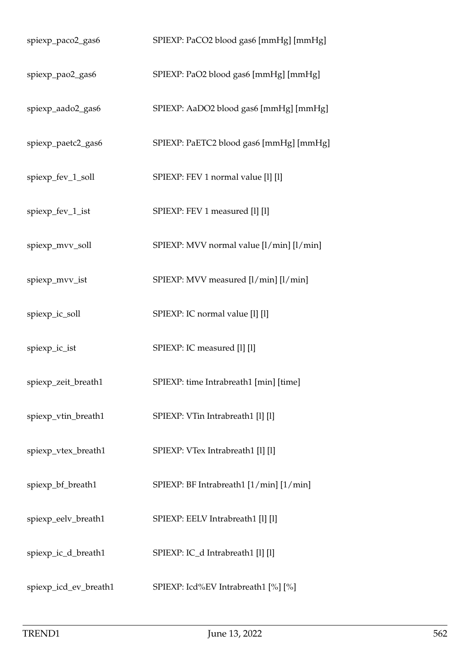| spiexp_paco2_gas6     | SPIEXP: PaCO2 blood gas6 [mmHg] [mmHg]   |
|-----------------------|------------------------------------------|
| spiexp_pao2_gas6      | SPIEXP: PaO2 blood gas6 [mmHg] [mmHg]    |
| spiexp_aado2_gas6     | SPIEXP: AaDO2 blood gas6 [mmHg] [mmHg]   |
| spiexp_paetc2_gas6    | SPIEXP: PaETC2 blood gas6 [mmHg] [mmHg]  |
| spiexp_fev_1_soll     | SPIEXP: FEV 1 normal value [1] [1]       |
| spiexp_fev_1_ist      | SPIEXP: FEV 1 measured [1] [1]           |
| spiexp_mvv_soll       | SPIEXP: MVV normal value [l/min] [l/min] |
| spiexp_mvv_ist        | SPIEXP: MVV measured [l/min] [l/min]     |
| spiexp_ic_soll        | SPIEXP: IC normal value [1] [1]          |
| spiexp_ic_ist         | SPIEXP: IC measured [1] [1]              |
| spiexp_zeit_breath1   | SPIEXP: time Intrabreath1 [min] [time]   |
| spiexp_vtin_breath1   | SPIEXP: VTin Intrabreath1 [1] [1]        |
| spiexp_vtex_breath1   | SPIEXP: VTex Intrabreath1 [1] [1]        |
| spiexp_bf_breath1     | SPIEXP: BF Intrabreath1 [1/min] [1/min]  |
| spiexp_eelv_breath1   | SPIEXP: EELV Intrabreath1 [1] [1]        |
| spiexp_ic_d_breath1   | SPIEXP: IC_d Intrabreath1 [l] [l]        |
| spiexp_icd_ev_breath1 | SPIEXP: Icd%EV Intrabreath1 [%] [%]      |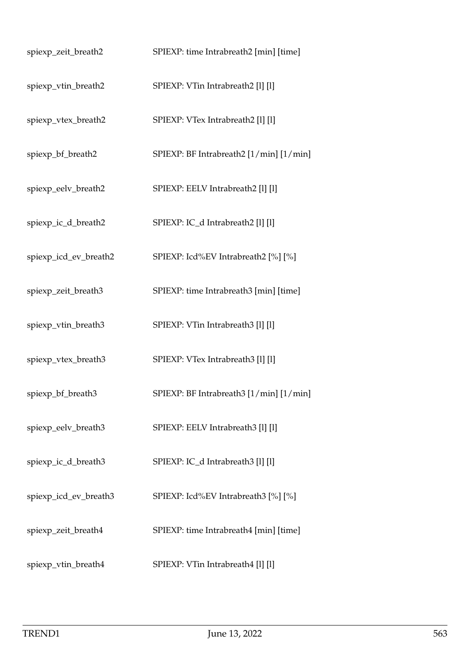| spiexp_zeit_breath2   | SPIEXP: time Intrabreath2 [min] [time]  |
|-----------------------|-----------------------------------------|
| spiexp_vtin_breath2   | SPIEXP: VTin Intrabreath2 [1] [1]       |
| spiexp_vtex_breath2   | SPIEXP: VTex Intrabreath2 [1] [1]       |
| spiexp_bf_breath2     | SPIEXP: BF Intrabreath2 [1/min] [1/min] |
| spiexp_eelv_breath2   | SPIEXP: EELV Intrabreath2 [1] [1]       |
| spiexp_ic_d_breath2   | SPIEXP: IC_d Intrabreath2 [1] [1]       |
| spiexp_icd_ev_breath2 | SPIEXP: Icd%EV Intrabreath2 [%] [%]     |
| spiexp_zeit_breath3   | SPIEXP: time Intrabreath3 [min] [time]  |
| spiexp_vtin_breath3   | SPIEXP: VTin Intrabreath3 [1] [1]       |
| spiexp_vtex_breath3   | SPIEXP: VTex Intrabreath3 [1] [1]       |
| spiexp_bf_breath3     | SPIEXP: BF Intrabreath3 [1/min] [1/min] |
| spiexp_eelv_breath3   | SPIEXP: EELV Intrabreath3 [1] [1]       |
| spiexp_ic_d_breath3   | SPIEXP: IC_d Intrabreath3 [1] [1]       |
| spiexp_icd_ev_breath3 | SPIEXP: Icd%EV Intrabreath3 [%] [%]     |
| spiexp_zeit_breath4   | SPIEXP: time Intrabreath4 [min] [time]  |
| spiexp_vtin_breath4   | SPIEXP: VTin Intrabreath4 [1] [1]       |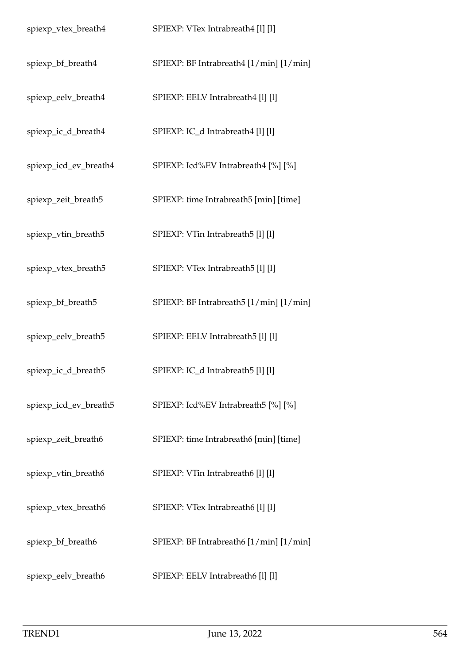| spiexp_vtex_breath4   | SPIEXP: VTex Intrabreath4 [1] [1]       |
|-----------------------|-----------------------------------------|
| spiexp_bf_breath4     | SPIEXP: BF Intrabreath4 [1/min] [1/min] |
| spiexp_eelv_breath4   | SPIEXP: EELV Intrabreath4 [1] [1]       |
| spiexp_ic_d_breath4   | SPIEXP: IC_d Intrabreath4 [1] [1]       |
| spiexp_icd_ev_breath4 | SPIEXP: Icd%EV Intrabreath4 [%] [%]     |
| spiexp_zeit_breath5   | SPIEXP: time Intrabreath5 [min] [time]  |
| spiexp_vtin_breath5   | SPIEXP: VTin Intrabreath5 [1] [1]       |
| spiexp_vtex_breath5   | SPIEXP: VTex Intrabreath5 [1] [1]       |
| spiexp_bf_breath5     | SPIEXP: BF Intrabreath5 [1/min] [1/min] |
| spiexp_eelv_breath5   | SPIEXP: EELV Intrabreath5 [1] [1]       |
| spiexp_ic_d_breath5   | SPIEXP: IC_d Intrabreath5 [1] [1]       |
| spiexp_icd_ev_breath5 | SPIEXP: Icd%EV Intrabreath5 [%] [%]     |
| spiexp_zeit_breath6   | SPIEXP: time Intrabreath6 [min] [time]  |
| spiexp_vtin_breath6   | SPIEXP: VTin Intrabreath6 [1] [1]       |
| spiexp_vtex_breath6   | SPIEXP: VTex Intrabreath6 [1] [1]       |
| spiexp_bf_breath6     | SPIEXP: BF Intrabreath6 [1/min] [1/min] |
| spiexp_eelv_breath6   | SPIEXP: EELV Intrabreath6 [1] [1]       |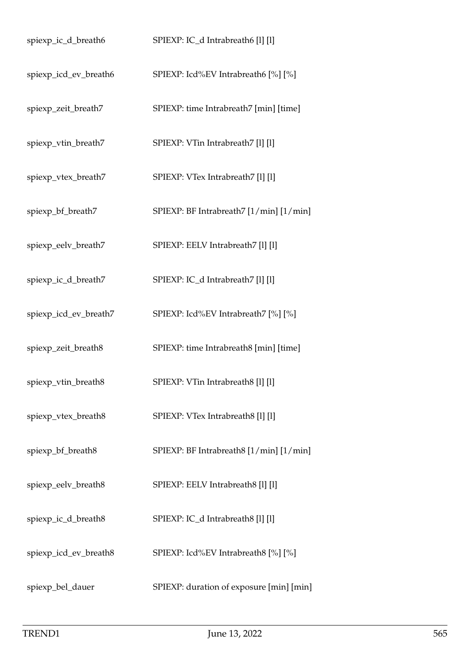| spiexp_ic_d_breath6   | SPIEXP: IC_d Intrabreath6 [1] [1]        |
|-----------------------|------------------------------------------|
| spiexp_icd_ev_breath6 | SPIEXP: Icd%EV Intrabreath6 [%] [%]      |
| spiexp_zeit_breath7   | SPIEXP: time Intrabreath7 [min] [time]   |
| spiexp_vtin_breath7   | SPIEXP: VTin Intrabreath7 [1] [1]        |
| spiexp_vtex_breath7   | SPIEXP: VTex Intrabreath7 [1] [1]        |
| spiexp_bf_breath7     | SPIEXP: BF Intrabreath7 [1/min] [1/min]  |
| spiexp_eelv_breath7   | SPIEXP: EELV Intrabreath7 [1] [1]        |
| spiexp_ic_d_breath7   | SPIEXP: IC_d Intrabreath7 [1] [1]        |
| spiexp_icd_ev_breath7 | SPIEXP: Icd%EV Intrabreath7 [%] [%]      |
| spiexp_zeit_breath8   | SPIEXP: time Intrabreath8 [min] [time]   |
| spiexp_vtin_breath8   | SPIEXP: VTin Intrabreath8 [1] [1]        |
| spiexp_vtex_breath8   | SPIEXP: VTex Intrabreath8 [1] [1]        |
| spiexp_bf_breath8     | SPIEXP: BF Intrabreath8 [1/min] [1/min]  |
| spiexp_eelv_breath8   | SPIEXP: EELV Intrabreath8 [1] [1]        |
| spiexp_ic_d_breath8   | SPIEXP: IC_d Intrabreath8 [1] [1]        |
| spiexp_icd_ev_breath8 | SPIEXP: Icd%EV Intrabreath8 [%] [%]      |
| spiexp_bel_dauer      | SPIEXP: duration of exposure [min] [min] |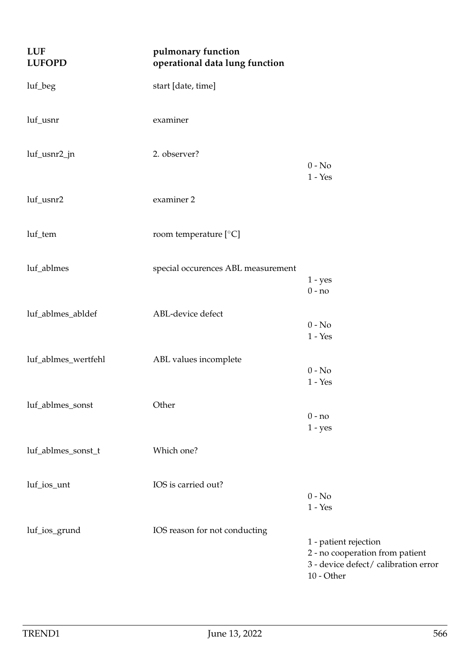| <b>LUF</b><br><b>LUFOPD</b> | pulmonary function<br>operational data lung function |                                                                                                                  |
|-----------------------------|------------------------------------------------------|------------------------------------------------------------------------------------------------------------------|
| luf_beg                     | start [date, time]                                   |                                                                                                                  |
| luf_usnr                    | examiner                                             |                                                                                                                  |
| luf_usnr2_jn                | 2. observer?                                         | $0 - No$<br>$1 - Yes$                                                                                            |
| luf_usnr2                   | examiner 2                                           |                                                                                                                  |
| luf_tem                     | room temperature [°C]                                |                                                                                                                  |
| luf_ablmes                  | special occurences ABL measurement                   | $1 - yes$<br>$0 - no$                                                                                            |
| luf_ablmes_abldef           | ABL-device defect                                    | $0 - No$<br>$1 - Yes$                                                                                            |
| luf_ablmes_wertfehl         | ABL values incomplete                                | $0 - No$<br>$1 - Yes$                                                                                            |
| luf_ablmes_sonst            | Other                                                | $0 - no$<br>$1 - yes$                                                                                            |
| luf_ablmes_sonst_t          | Which one?                                           |                                                                                                                  |
| luf_ios_unt                 | IOS is carried out?                                  | $0 - No$<br>$1 - Yes$                                                                                            |
| luf_ios_grund               | IOS reason for not conducting                        | 1 - patient rejection<br>2 - no cooperation from patient<br>3 - device defect/ calibration error<br>$10$ - Other |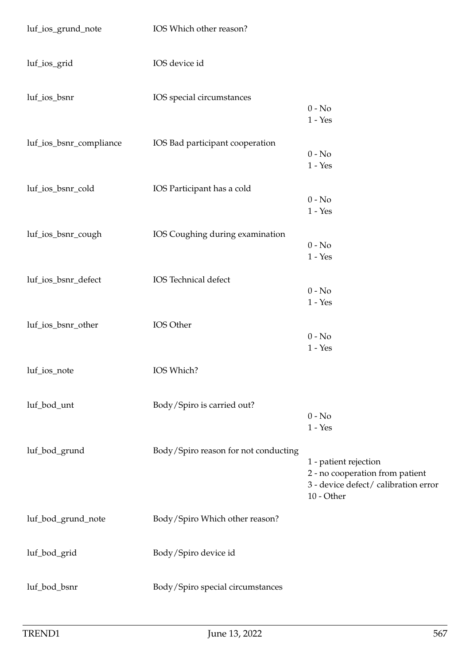| luf_ios_grund_note      | IOS Which other reason?              |                                                                                                                |
|-------------------------|--------------------------------------|----------------------------------------------------------------------------------------------------------------|
| luf_ios_grid            | IOS device id                        |                                                                                                                |
| luf_ios_bsnr            | IOS special circumstances            | $0 - No$<br>$1 - Yes$                                                                                          |
| luf_ios_bsnr_compliance | IOS Bad participant cooperation      | $0 - No$<br>$1 - Yes$                                                                                          |
| luf_ios_bsnr_cold       | IOS Participant has a cold           | $0 - No$<br>$1 - Yes$                                                                                          |
| luf_ios_bsnr_cough      | IOS Coughing during examination      | $0 - No$<br>$1 - Yes$                                                                                          |
| luf_ios_bsnr_defect     | IOS Technical defect                 | $0 - No$<br>$1 - Yes$                                                                                          |
| luf_ios_bsnr_other      | IOS Other                            | $0 - No$<br>$1 - Yes$                                                                                          |
| luf_ios_note            | IOS Which?                           |                                                                                                                |
| luf_bod_unt             | Body/Spiro is carried out?           | $0 - No$<br>$1 - Yes$                                                                                          |
| luf_bod_grund           | Body/Spiro reason for not conducting | 1 - patient rejection<br>2 - no cooperation from patient<br>3 - device defect/ calibration error<br>10 - Other |
| luf_bod_grund_note      | Body/Spiro Which other reason?       |                                                                                                                |
| luf_bod_grid            | Body/Spiro device id                 |                                                                                                                |
| luf_bod_bsnr            | Body/Spiro special circumstances     |                                                                                                                |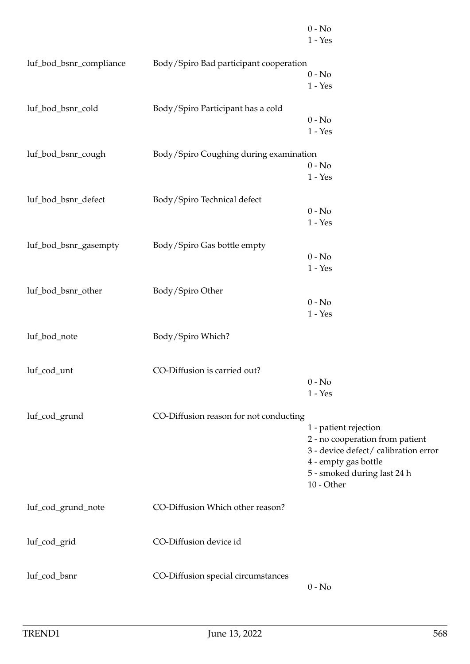|                         |                                        | $0 - No$<br>$1 - Yes$                     |
|-------------------------|----------------------------------------|-------------------------------------------|
|                         |                                        |                                           |
| luf_bod_bsnr_compliance | Body/Spiro Bad participant cooperation |                                           |
|                         |                                        | $0 - No$                                  |
|                         |                                        | $1 - Yes$                                 |
| luf_bod_bsnr_cold       | Body/Spiro Participant has a cold      |                                           |
|                         |                                        | $0 - No$                                  |
|                         |                                        | $1 - Yes$                                 |
| luf_bod_bsnr_cough      | Body/Spiro Coughing during examination |                                           |
|                         |                                        | $0 - No$                                  |
|                         |                                        | $1 - Yes$                                 |
| luf_bod_bsnr_defect     | Body/Spiro Technical defect            |                                           |
|                         |                                        | $0 - No$                                  |
|                         |                                        |                                           |
|                         |                                        | $1 - Yes$                                 |
| luf_bod_bsnr_gasempty   | Body/Spiro Gas bottle empty            |                                           |
|                         |                                        | $0 - No$                                  |
|                         |                                        | $1 - Yes$                                 |
| luf_bod_bsnr_other      | Body/Spiro Other                       |                                           |
|                         |                                        | $0 - No$                                  |
|                         |                                        | $1 - Yes$                                 |
| luf_bod_note            | Body/Spiro Which?                      |                                           |
|                         |                                        |                                           |
| luf_cod_unt             | CO-Diffusion is carried out?           |                                           |
|                         |                                        | $0 - No$                                  |
|                         |                                        | $1 - Yes$                                 |
|                         |                                        |                                           |
| luf_cod_grund           | CO-Diffusion reason for not conducting |                                           |
|                         |                                        | 1 - patient rejection                     |
|                         |                                        | 2 - no cooperation from patient           |
|                         |                                        | 3 - device defect/ calibration error      |
|                         |                                        | 4 - empty gas bottle                      |
|                         |                                        | 5 - smoked during last 24 h<br>10 - Other |
|                         |                                        |                                           |
| luf_cod_grund_note      | CO-Diffusion Which other reason?       |                                           |
|                         |                                        |                                           |
| luf_cod_grid            | CO-Diffusion device id                 |                                           |
|                         |                                        |                                           |
| luf_cod_bsnr            | CO-Diffusion special circumstances     |                                           |
|                         |                                        | $0 - No$                                  |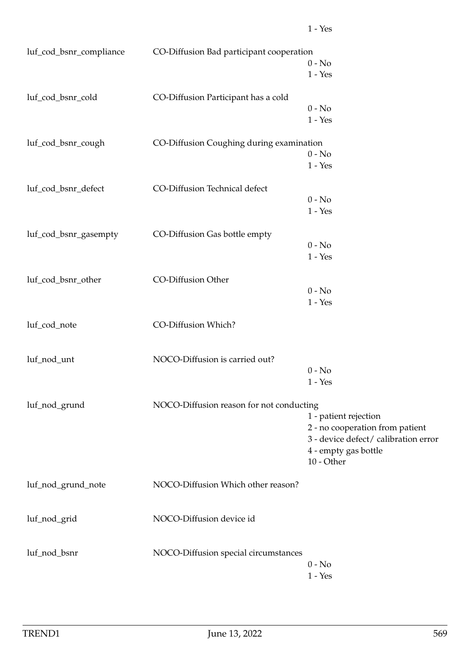| luf_cod_bsnr_compliance | CO-Diffusion Bad participant cooperation | $0 - No$<br>$1 - Yes$                                                                                                               |
|-------------------------|------------------------------------------|-------------------------------------------------------------------------------------------------------------------------------------|
| luf_cod_bsnr_cold       | CO-Diffusion Participant has a cold      | $0 - No$<br>$1 - Yes$                                                                                                               |
| luf_cod_bsnr_cough      | CO-Diffusion Coughing during examination | $0 - No$<br>$1 - Yes$                                                                                                               |
| luf_cod_bsnr_defect     | CO-Diffusion Technical defect            | $0 - No$<br>$1 - Yes$                                                                                                               |
| luf_cod_bsnr_gasempty   | CO-Diffusion Gas bottle empty            | $0 - No$<br>$1 - Yes$                                                                                                               |
| luf_cod_bsnr_other      | CO-Diffusion Other                       | $0 - No$<br>$1 - Yes$                                                                                                               |
| luf_cod_note            | CO-Diffusion Which?                      |                                                                                                                                     |
| luf_nod_unt             | NOCO-Diffusion is carried out?           | $0 - No$<br>$1 - Yes$                                                                                                               |
| luf_nod_grund           | NOCO-Diffusion reason for not conducting | 1 - patient rejection<br>2 - no cooperation from patient<br>3 - device defect/ calibration er<br>4 - empty gas bottle<br>10 - Other |
| luf_nod_grund_note      | NOCO-Diffusion Which other reason?       |                                                                                                                                     |
| luf_nod_grid            | NOCO-Diffusion device id                 |                                                                                                                                     |
| luf_nod_bsnr            | NOCO-Diffusion special circumstances     | $0 - No$<br>$1 - Yes$                                                                                                               |

error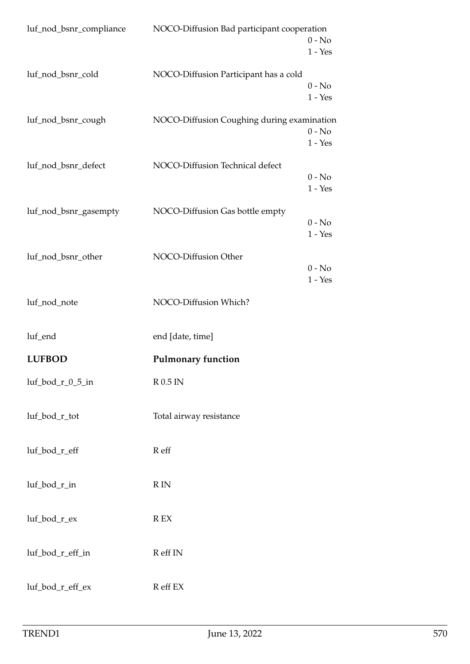| luf_nod_bsnr_compliance | NOCO-Diffusion Bad participant cooperation | $0 - No$<br>$1 - Yes$ |
|-------------------------|--------------------------------------------|-----------------------|
| luf_nod_bsnr_cold       | NOCO-Diffusion Participant has a cold      | $0 - No$<br>$1 - Yes$ |
| luf_nod_bsnr_cough      | NOCO-Diffusion Coughing during examination | $0 - No$<br>$1 - Yes$ |
| luf_nod_bsnr_defect     | NOCO-Diffusion Technical defect            | $0 - No$<br>$1 - Yes$ |
| luf_nod_bsnr_gasempty   | NOCO-Diffusion Gas bottle empty            | $0 - No$<br>$1 - Yes$ |
| luf_nod_bsnr_other      | NOCO-Diffusion Other                       | $0 - No$<br>$1 - Yes$ |
| luf_nod_note            | NOCO-Diffusion Which?                      |                       |
| luf_end                 | end [date, time]                           |                       |
| <b>LUFBOD</b>           | <b>Pulmonary function</b>                  |                       |
| $luf\_bod_r_0_5_in$     | $R$ 0.5 IN                                 |                       |
| luf_bod_r_tot           | Total airway resistance                    |                       |
| luf_bod_r_eff           | R eff                                      |                       |
| luf_bod_r_in            | $R$ IN                                     |                       |
| luf_bod_r_ex            | $\mathbb{R}$ EX                            |                       |
| luf_bod_r_eff_in        | R eff IN                                   |                       |
| luf_bod_r_eff_ex        | R eff EX                                   |                       |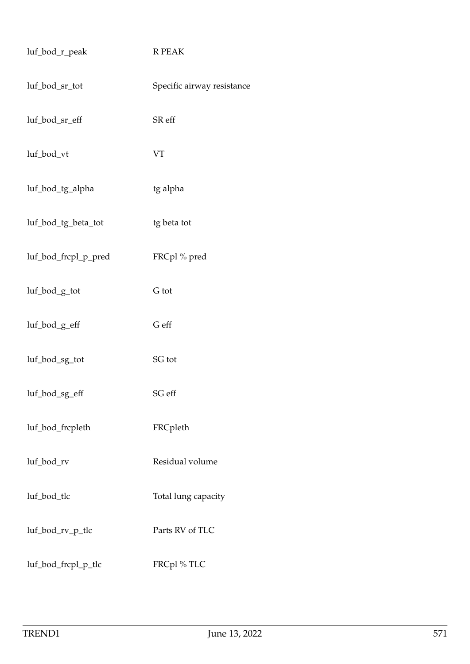| luf_bod_r_peak       | R PEAK                     |
|----------------------|----------------------------|
| luf_bod_sr_tot       | Specific airway resistance |
| luf_bod_sr_eff       | SR eff                     |
| luf_bod_vt           | <b>VT</b>                  |
| luf_bod_tg_alpha     | tg alpha                   |
| luf_bod_tg_beta_tot  | tg beta tot                |
| luf_bod_frcpl_p_pred | FRCpl% pred                |
| luf_bod_g_tot        | G tot                      |
| luf_bod_g_eff        | G eff                      |
| luf_bod_sg_tot       | SG tot                     |
| luf_bod_sg_eff       | SG eff                     |
| luf_bod_frcpleth     | FRCpleth                   |
| luf_bod_rv           | Residual volume            |
| luf_bod_tlc          | Total lung capacity        |
| luf_bod_rv_p_tlc     | Parts RV of TLC            |
| luf_bod_frcpl_p_tlc  | FRCpl%TLC                  |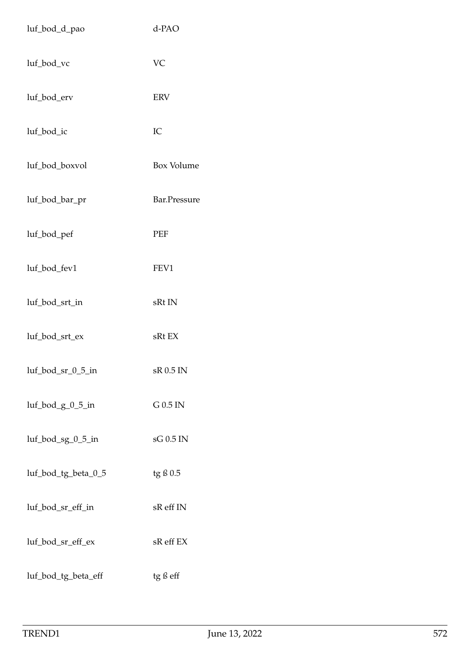| luf_bod_d_pao          | d-PAO        |
|------------------------|--------------|
| luf_bod_vc             | VC           |
| luf_bod_erv            | <b>ERV</b>   |
| luf_bod_ic             | IC           |
| luf_bod_boxvol         | Box Volume   |
| luf_bod_bar_pr         | Bar.Pressure |
| luf_bod_pef            | PEF          |
| luf_bod_fev1           | FEV1         |
| luf_bod_srt_in         | sRt IN       |
| luf_bod_srt_ex         | sRt EX       |
| $luf_{bol_s}gr_0_5_in$ | sR 0.5 IN    |
| $luf_{bol_g_0_0_5_in}$ | G 0.5 IN     |
| luf_bod_sg_0_5_in      | sG 0.5 IN    |
| luf_bod_tg_beta_0_5    | tg ß 0.5     |
| luf_bod_sr_eff_in      | sR eff IN    |
| luf_bod_sr_eff_ex      | sR eff EX    |
| luf_bod_tg_beta_eff    | tg ß eff     |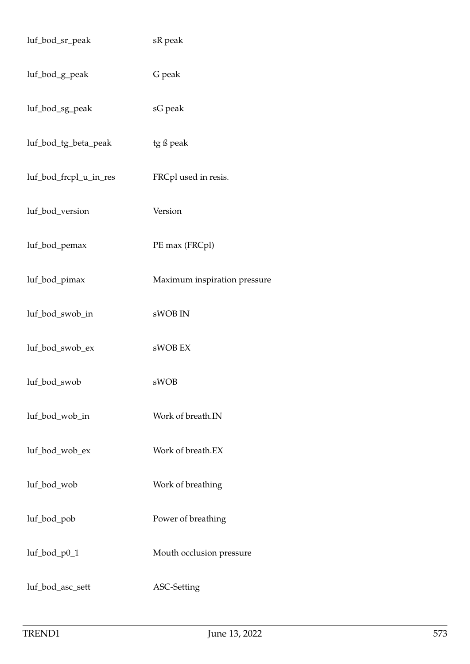| luf_bod_sr_peak        | sR peak                      |
|------------------------|------------------------------|
| luf_bod_g_peak         | G peak                       |
| luf_bod_sg_peak        | sG peak                      |
| luf_bod_tg_beta_peak   | tg ß peak                    |
| luf_bod_frcpl_u_in_res | FRCpl used in resis.         |
| luf_bod_version        | Version                      |
| luf_bod_pemax          | PE max (FRCpl)               |
| luf_bod_pimax          | Maximum inspiration pressure |
| luf_bod_swob_in        | sWOB IN                      |
| luf_bod_swob_ex        | sWOB EX                      |
| luf_bod_swob           | sWOB                         |
| luf_bod_wob_in         | Work of breath.IN            |
| luf_bod_wob_ex         | Work of breath.EX            |
| luf_bod_wob            | Work of breathing            |
| luf_bod_pob            | Power of breathing           |
| $luf_{bol_p0_1}$       | Mouth occlusion pressure     |
| luf_bod_asc_sett       | ASC-Setting                  |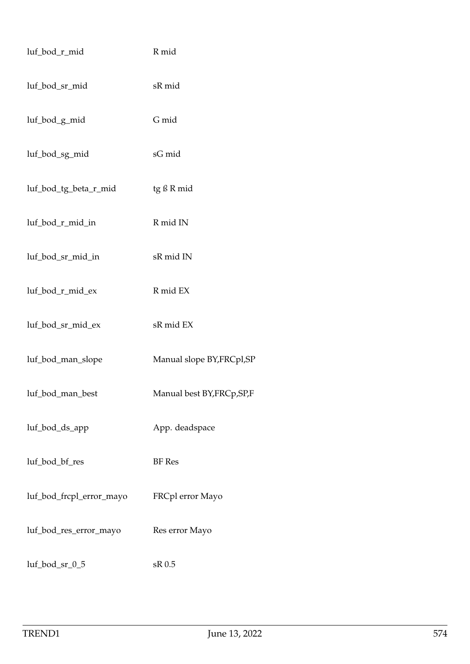| luf_bod_r_mid            | R mid                       |
|--------------------------|-----------------------------|
| luf_bod_sr_mid           | sR mid                      |
| luf_bod_g_mid            | G mid                       |
| luf_bod_sg_mid           | sG mid                      |
| luf_bod_tg_beta_r_mid    | tg ß R mid                  |
| luf_bod_r_mid_in         | R mid IN                    |
| luf_bod_sr_mid_in        | sR mid IN                   |
| luf_bod_r_mid_ex         | R mid EX                    |
| luf_bod_sr_mid_ex        | sR mid EX                   |
| luf_bod_man_slope        | Manual slope BY, FRCpl, SP  |
| luf_bod_man_best         | Manual best BY, FRCp, SP, F |
| luf_bod_ds_app           | App. deadspace              |
| luf_bod_bf_res           | <b>BF</b> Res               |
| luf_bod_frcpl_error_mayo | FRCpl error Mayo            |
| luf_bod_res_error_mayo   | Res error Mayo              |
| luf_bod_sr_0_5           | sR 0.5                      |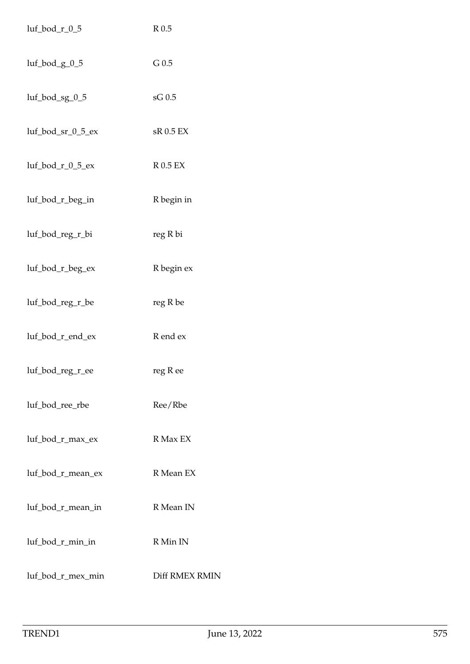| $luf\_bod_r_0_5$    | $R$ 0.5        |
|---------------------|----------------|
| luf_bod_g_0_5       | $G$ 0.5        |
| luf_bod_sg_0_5      | sG 0.5         |
| luf_bod_sr_0_5_ex   | sR 0.5 EX      |
| $luf\_bod_r_0_5_ex$ | <b>R0.5 EX</b> |
| luf_bod_r_beg_in    | R begin in     |
| luf_bod_reg_r_bi    | reg R bi       |
| luf_bod_r_beg_ex    | R begin ex     |
| luf_bod_reg_r_be    | reg R be       |
| luf_bod_r_end_ex    | R end ex       |
| luf_bod_reg_r_ee    | reg R ee       |
| luf_bod_ree_rbe     | Ree/Rbe        |
| luf_bod_r_max_ex    | R Max EX       |
| luf_bod_r_mean_ex   | R Mean EX      |
| luf_bod_r_mean_in   | R Mean IN      |
| luf_bod_r_min_in    | R Min IN       |
| luf_bod_r_mex_min   | Diff RMEX RMIN |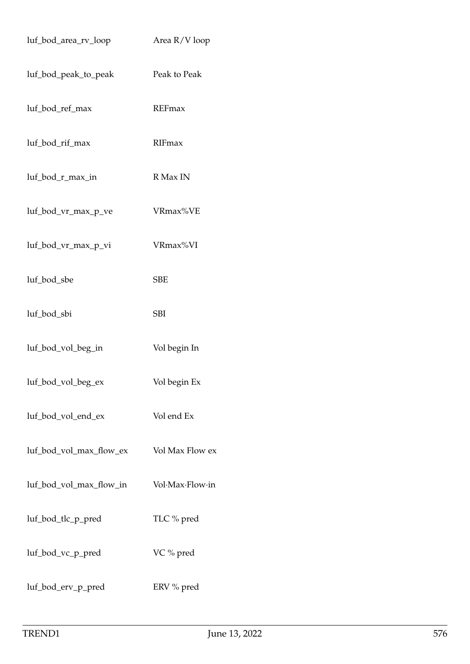| luf_bod_area_rv_loop    | Area R/V loop   |
|-------------------------|-----------------|
| luf_bod_peak_to_peak    | Peak to Peak    |
| luf_bod_ref_max         | REFmax          |
| luf_bod_rif_max         | RIFmax          |
| luf_bod_r_max_in        | R Max IN        |
| luf_bod_vr_max_p_ve     | VRmax%VE        |
| luf_bod_vr_max_p_vi     | VRmax%VI        |
| luf_bod_sbe             | <b>SBE</b>      |
| luf_bod_sbi             | <b>SBI</b>      |
| luf_bod_vol_beg_in      | Vol begin In    |
| luf_bod_vol_beg_ex      | Vol begin Ex    |
| luf_bod_vol_end_ex      | Vol end Ex      |
| luf_bod_vol_max_flow_ex | Vol Max Flow ex |
| luf_bod_vol_max_flow_in | Vol-Max-Flow-in |
| luf_bod_tlc_p_pred      | TLC % pred      |
| luf_bod_vc_p_pred       | VC % pred       |
| luf_bod_erv_p_pred      | ERV % pred      |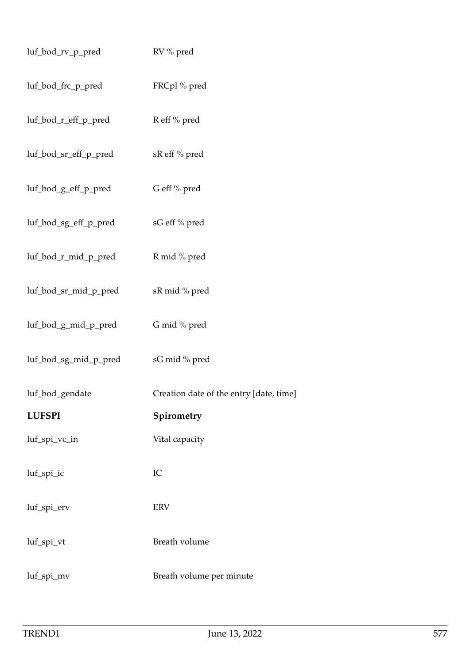| luf_bod_rv_p_pred     | RV % pred                               |
|-----------------------|-----------------------------------------|
| luf_bod_frc_p_pred    | FRCpl% pred                             |
| luf_bod_r_eff_p_pred  | R eff % pred                            |
| luf_bod_sr_eff_p_pred | sR eff % pred                           |
| luf_bod_g_eff_p_pred  | G eff % pred                            |
| luf_bod_sg_eff_p_pred | sG eff % pred                           |
| luf_bod_r_mid_p_pred  | R mid % pred                            |
| luf_bod_sr_mid_p_pred | sR mid % pred                           |
| luf_bod_g_mid_p_pred  | G mid % pred                            |
| luf_bod_sg_mid_p_pred | sG mid % pred                           |
| luf_bod_gendate       | Creation date of the entry [date, time] |
| <b>LUFSPI</b>         | Spirometry                              |
| luf_spi_vc_in         | Vital capacity                          |
| luf_spi_ic            | IC                                      |
| luf_spi_erv           | <b>ERV</b>                              |
| luf_spi_vt            | Breath volume                           |
| luf_spi_mv            | Breath volume per minute                |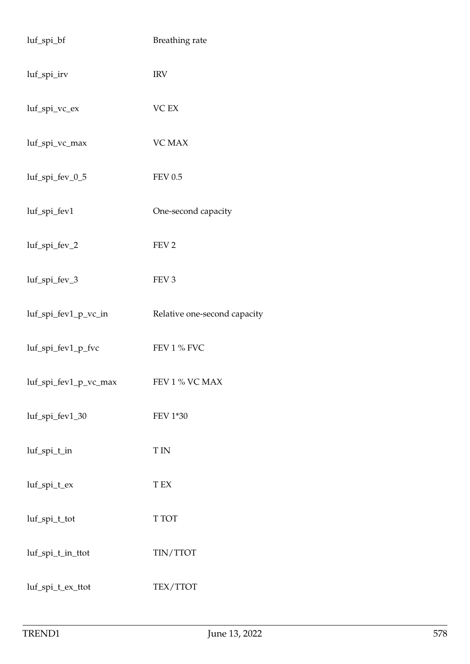| luf_spi_bf            | Breathing rate               |
|-----------------------|------------------------------|
| luf_spi_irv           | <b>IRV</b>                   |
| luf_spi_vc_ex         | VC EX                        |
| luf_spi_vc_max        | <b>VC MAX</b>                |
| luf_spi_fev_0_5       | <b>FEV 0.5</b>               |
| luf_spi_fev1          | One-second capacity          |
| luf_spi_fev_2         | FEV <sub>2</sub>             |
| luf_spi_fev_3         | FEV <sub>3</sub>             |
| luf_spi_fev1_p_vc_in  | Relative one-second capacity |
| luf_spi_fev1_p_fvc    | FEV 1 % FVC                  |
| luf_spi_fev1_p_vc_max | FEV 1 % VC MAX               |
| luf_spi_fev1_30       | FEV 1*30                     |
| luf_spi_t_in          | <b>TIN</b>                   |
| luf_spi_t_ex          | T EX                         |
| luf_spi_t_tot         | T TOT                        |
| luf_spi_t_in_ttot     | TIN/TTOT                     |
| luf_spi_t_ex_ttot     | TEX/TTOT                     |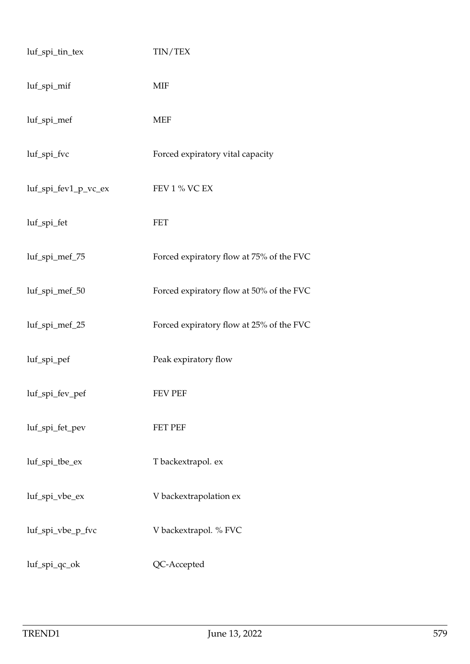| luf_spi_tin_tex      | TIN/TEX                                  |
|----------------------|------------------------------------------|
| luf_spi_mif          | <b>MIF</b>                               |
| luf_spi_mef          | <b>MEF</b>                               |
| luf_spi_fvc          | Forced expiratory vital capacity         |
| luf_spi_fev1_p_vc_ex | FEV 1 % VC EX                            |
| luf_spi_fet          | <b>FET</b>                               |
| luf_spi_mef_75       | Forced expiratory flow at 75% of the FVC |
| luf_spi_mef_50       | Forced expiratory flow at 50% of the FVC |
| luf_spi_mef_25       | Forced expiratory flow at 25% of the FVC |
| luf_spi_pef          | Peak expiratory flow                     |
| luf_spi_fev_pef      | <b>FEV PEF</b>                           |
| luf_spi_fet_pev      | <b>FET PEF</b>                           |
| luf_spi_tbe_ex       | T backextrapol. ex                       |
| luf_spi_vbe_ex       | V backextrapolation ex                   |
| luf_spi_vbe_p_fvc    | V backextrapol. % FVC                    |
| luf_spi_qc_ok        | QC-Accepted                              |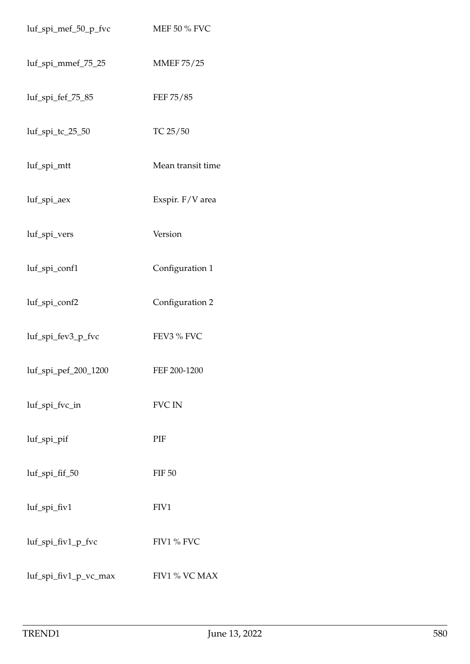| luf_spi_mef_50_p_fvc  | MEF 50 % FVC      |
|-----------------------|-------------------|
| luf_spi_mmef_75_25    | <b>MMEF 75/25</b> |
| luf_spi_fef_75_85     | FEF 75/85         |
| luf_spi_tc_25_50      | TC 25/50          |
| luf_spi_mtt           | Mean transit time |
| luf_spi_aex           | Exspir. F/V area  |
| luf_spi_vers          | Version           |
| luf_spi_conf1         | Configuration 1   |
| luf_spi_conf2         | Configuration 2   |
| luf_spi_fev3_p_fvc    | FEV3 % FVC        |
| luf_spi_pef_200_1200  | FEF 200-1200      |
| luf_spi_fvc_in        | <b>FVC IN</b>     |
| luf_spi_pif           | PIF               |
| luf_spi_fif_50        | <b>FIF 50</b>     |
| luf_spi_fiv1          | FIV1              |
| luf_spi_fiv1_p_fvc    | FIV1 % FVC        |
| luf_spi_fiv1_p_vc_max | FIV1 % VC MAX     |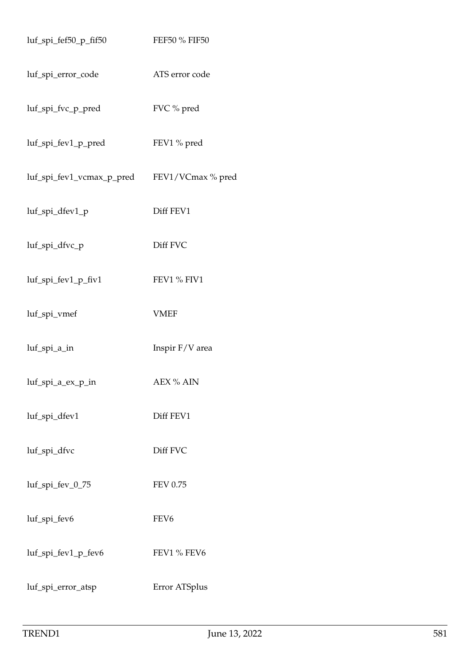| luf_spi_fef50_p_fif50            | FEF50 % FIF50     |
|----------------------------------|-------------------|
| luf_spi_error_code               | ATS error code    |
| luf_spi_fvc_p_pred               | FVC % pred        |
| luf_spi_fev1_p_pred              | FEV1 % pred       |
| luf_spi_fev1_vcmax_p_pred        | FEV1/VCmax % pred |
| luf_spi_dfev1_p                  | Diff FEV1         |
| luf_spi_dfvc_p                   | Diff FVC          |
| luf_spi_fev1_p_fiv1              | FEV1 % FIV1       |
| luf_spi_vmef                     | <b>VMEF</b>       |
| luf_spi_a_in                     | Inspir F/V area   |
| $luf$ <sub>_</sub> spi_a_ex_p_in | AEX % AIN         |
| luf_spi_dfev1                    | Diff FEV1         |
| luf_spi_dfvc                     | Diff FVC          |
| luf_spi_fev_0_75                 | <b>FEV 0.75</b>   |
| luf_spi_fev6                     | FEV <sub>6</sub>  |
| luf_spi_fev1_p_fev6              | FEV1 % FEV6       |
| luf_spi_error_atsp               | Error ATSplus     |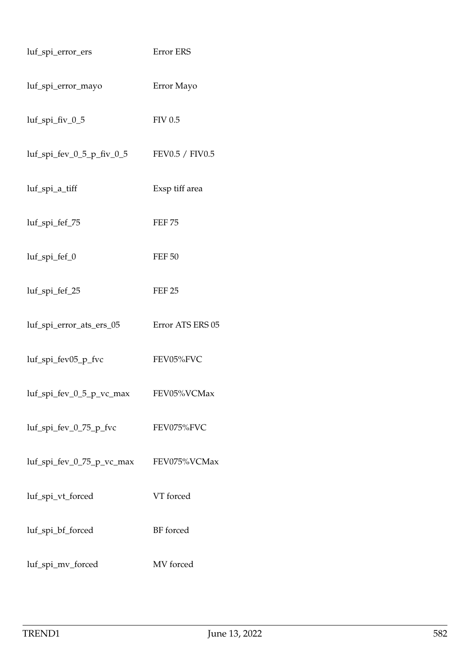| luf_spi_error_ers            | Error ERS        |
|------------------------------|------------------|
| luf_spi_error_mayo           | Error Mayo       |
| luf_spi_fiv_0_5              | <b>FIV 0.5</b>   |
| $luf$ _spi_fev_0_5_p_fiv_0_5 | FEV0.5 / FIV0.5  |
| luf_spi_a_tiff               | Exsp tiff area   |
| luf_spi_fef_75               | <b>FEF 75</b>    |
| luf_spi_fef_0                | <b>FEF 50</b>    |
| luf_spi_fef_25               | <b>FEF 25</b>    |
| luf_spi_error_ats_ers_05     | Error ATS ERS 05 |
| luf_spi_fev05_p_fvc          | FEV05%FVC        |
| luf_spi_fev_0_5_p_vc_max     | FEV05%VCMax      |
| luf_spi_fev_0_75_p_fvc       | FEV075%FVC       |
| luf_spi_fev_0_75_p_vc_max    | FEV075%VCMax     |
| luf_spi_vt_forced            | VT forced        |
| luf_spi_bf_forced            | BF forced        |
| luf_spi_mv_forced            | MV forced        |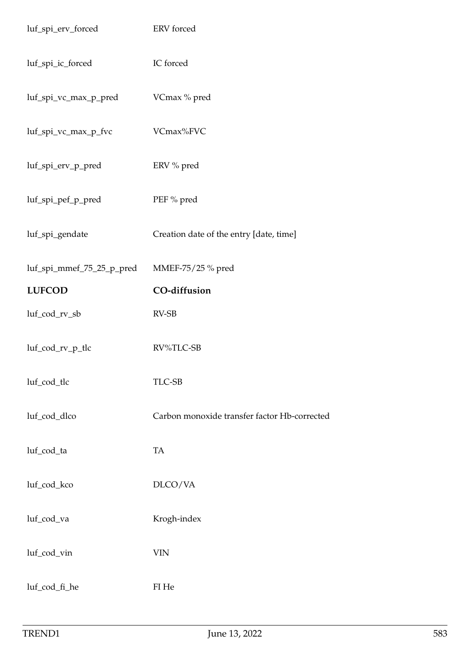| luf_spi_erv_forced        | ERV forced                                   |
|---------------------------|----------------------------------------------|
| luf_spi_ic_forced         | IC forced                                    |
| luf_spi_vc_max_p_pred     | VCmax % pred                                 |
| luf_spi_vc_max_p_fvc      | VCmax%FVC                                    |
| luf_spi_erv_p_pred        | ERV % pred                                   |
| luf_spi_pef_p_pred        | PEF % pred                                   |
| luf_spi_gendate           | Creation date of the entry [date, time]      |
| luf_spi_mmef_75_25_p_pred | MMEF-75/25 % pred                            |
| <b>LUFCOD</b>             | CO-diffusion                                 |
| luf_cod_rv_sb             | RV-SB                                        |
| luf_cod_rv_p_tlc          | RV%TLC-SB                                    |
| luf_cod_tlc               | TLC-SB                                       |
| luf_cod_dlco              | Carbon monoxide transfer factor Hb-corrected |
| luf_cod_ta                | TA                                           |
| luf_cod_kco               | DLCO/VA                                      |
| luf_cod_va                | Krogh-index                                  |
| luf_cod_vin               | <b>VIN</b>                                   |
| luf_cod_fi_he             | FI He                                        |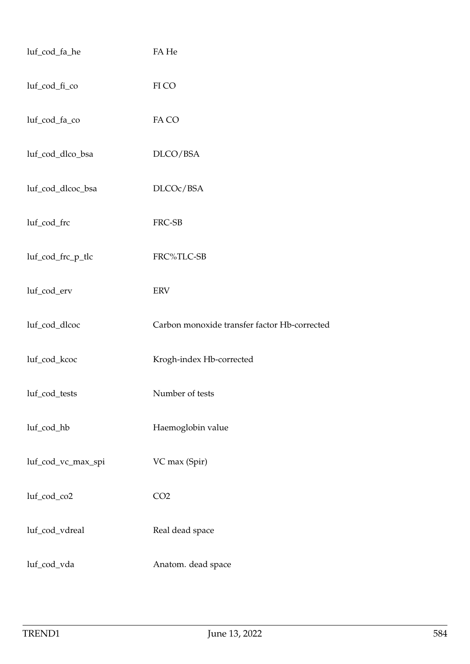| luf_cod_fa_he      | FA He                                        |
|--------------------|----------------------------------------------|
| luf_cod_fi_co      | FI CO                                        |
| luf_cod_fa_co      | FA CO                                        |
| luf_cod_dlco_bsa   | DLCO/BSA                                     |
| luf_cod_dlcoc_bsa  | DLCOc/BSA                                    |
| luf_cod_frc        | FRC-SB                                       |
| luf_cod_frc_p_tlc  | FRC%TLC-SB                                   |
| luf_cod_erv        | ERV                                          |
| luf_cod_dlcoc      | Carbon monoxide transfer factor Hb-corrected |
| luf_cod_kcoc       | Krogh-index Hb-corrected                     |
|                    |                                              |
| luf_cod_tests      | Number of tests                              |
| luf_cod_hb         | Haemoglobin value                            |
| luf_cod_vc_max_spi | VC max (Spir)                                |
| luf_cod_co2        | CO <sub>2</sub>                              |
| luf_cod_vdreal     | Real dead space                              |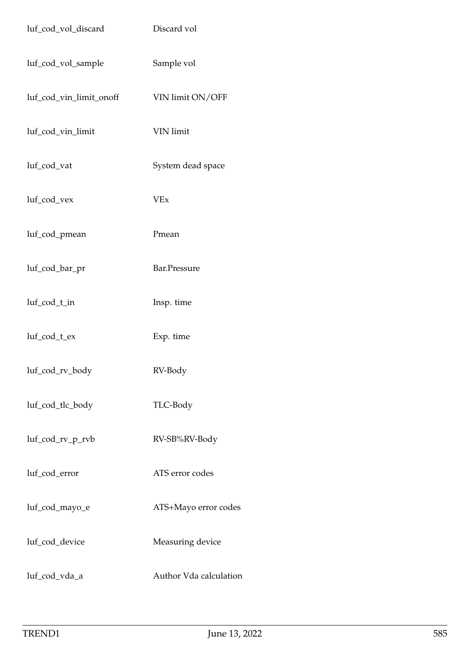| luf_cod_vol_discard     | Discard vol            |
|-------------------------|------------------------|
| luf_cod_vol_sample      | Sample vol             |
| luf_cod_vin_limit_onoff | VIN limit ON/OFF       |
| luf_cod_vin_limit       | VIN limit              |
| luf_cod_vat             | System dead space      |
| luf_cod_vex             | <b>VEx</b>             |
| luf_cod_pmean           | Pmean                  |
| luf_cod_bar_pr          | Bar.Pressure           |
| luf_cod_t_in            | Insp. time             |
| luf_cod_t_ex            | Exp. time              |
| luf_cod_rv_body         | RV-Body                |
| luf_cod_tlc_body        | TLC-Body               |
| luf_cod_rv_p_rvb        | RV-SB%RV-Body          |
| luf_cod_error           | ATS error codes        |
| luf_cod_mayo_e          | ATS+Mayo error codes   |
| luf_cod_device          | Measuring device       |
| luf_cod_vda_a           | Author Vda calculation |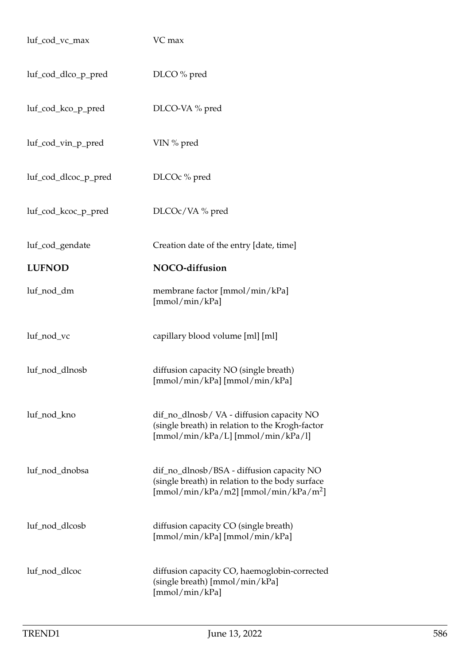| luf_cod_vc_max       | VC max                                                                                                                                |
|----------------------|---------------------------------------------------------------------------------------------------------------------------------------|
| luf_cod_dlco_p_pred  | DLCO % pred                                                                                                                           |
| luf_cod_kco_p_pred   | DLCO-VA % pred                                                                                                                        |
| luf_cod_vin_p_pred   | VIN % pred                                                                                                                            |
| luf_cod_dlcoc_p_pred | DLCOc % pred                                                                                                                          |
| luf_cod_kcoc_p_pred  | DLCOc/VA % pred                                                                                                                       |
| luf_cod_gendate      | Creation date of the entry [date, time]                                                                                               |
| <b>LUFNOD</b>        | NOCO-diffusion                                                                                                                        |
| luf_nod_dm           | membrane factor [mmol/min/kPa]<br>[mmol/min/kPa]                                                                                      |
| luf_nod_vc           | capillary blood volume [ml] [ml]                                                                                                      |
| luf_nod_dlnosb       | diffusion capacity NO (single breath)<br>[mmol/min/kPa] [mmol/min/kPa]                                                                |
| luf_nod_kno          | dif_no_dlnosb/VA - diffusion capacity NO<br>(single breath) in relation to the Krogh-factor<br>[mmol/min/kPa/L] [mmol/min/kPa/l]      |
| luf_nod_dnobsa       | dif_no_dlnosb/BSA - diffusion capacity NO<br>(single breath) in relation to the body surface<br>$[mmol/min/kPa/m2] [mmol/min/kPa/m2]$ |
| luf_nod_dlcosb       | diffusion capacity CO (single breath)<br>[mmol/min/kPa] [mmol/min/kPa]                                                                |
| luf_nod_dlcoc        | diffusion capacity CO, haemoglobin-corrected<br>(single breath) [mmol/min/kPa]<br>[mmol/min/kPa]                                      |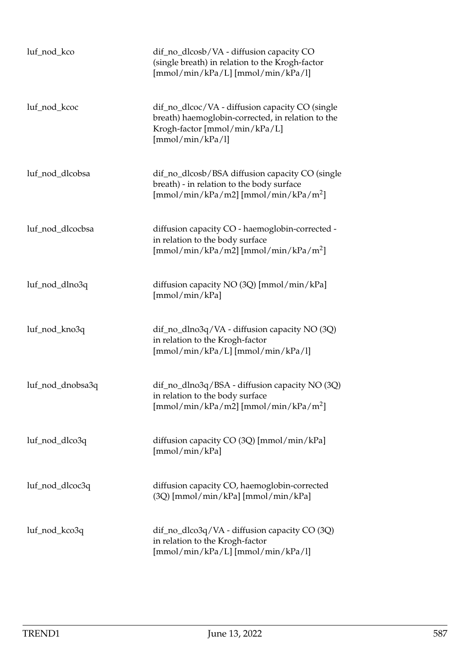| luf_nod_kco      | dif_no_dlcosb/VA - diffusion capacity CO<br>(single breath) in relation to the Krogh-factor<br>[mmol/min/kPa/L] [mmol/min/kPa/l]                          |
|------------------|-----------------------------------------------------------------------------------------------------------------------------------------------------------|
| luf_nod_kcoc     | dif_no_dlcoc/VA - diffusion capacity CO (single<br>breath) haemoglobin-corrected, in relation to the<br>Krogh-factor [mmol/min/kPa/L]<br>[mmol/min/kPa/l] |
| luf_nod_dlcobsa  | dif_no_dlcosb/BSA diffusion capacity CO (single<br>breath) - in relation to the body surface<br>$[mmol/min/kPa/m2] [mmol/min/kPa/m2]$                     |
| luf_nod_dlcocbsa | diffusion capacity CO - haemoglobin-corrected -<br>in relation to the body surface<br>$[mmol/min/kPa/m2] [mmol/min/kPa/m2]$                               |
| luf_nod_dlno3q   | diffusion capacity NO (3Q) [mmol/min/kPa]<br>[mmol/min/kPa]                                                                                               |
| luf_nod_kno3q    | dif_no_dlno3q/VA - diffusion capacity NO (3Q)<br>in relation to the Krogh-factor<br>$[mmol/min/kPa/L]$ $[mmol/min/kPa/l]$                                 |
| luf_nod_dnobsa3q | dif_no_dlno3q/BSA - diffusion capacity NO (3Q)<br>in relation to the body surface<br>$[mmol/min/kPa/m2] [mmol/min/kPa/m2]$                                |
| luf_nod_dlco3q   | diffusion capacity CO (3Q) [mmol/min/kPa]<br>[mmol/min/kPa]                                                                                               |
| luf_nod_dlcoc3q  | diffusion capacity CO, haemoglobin-corrected<br>(3Q) [mmol/min/kPa] [mmol/min/kPa]                                                                        |
| luf_nod_kco3q    | dif_no_dlco3q/VA - diffusion capacity CO (3Q)<br>in relation to the Krogh-factor<br>[mmol/min/kPa/L] [mmol/min/kPa/l]                                     |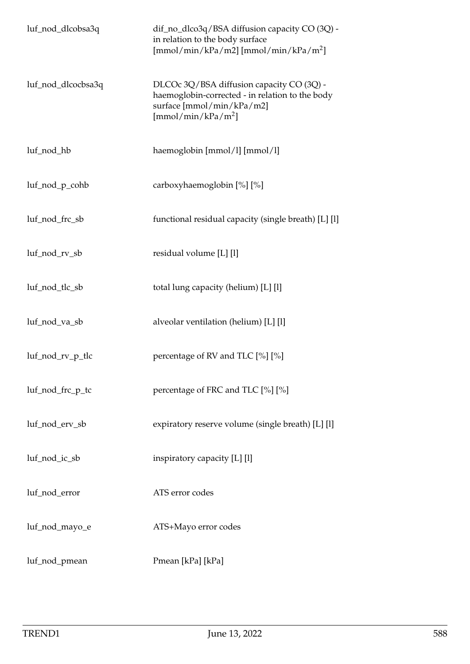| luf_nod_dlcobsa3q  | dif_no_dlco3q/BSA diffusion capacity CO (3Q) -<br>in relation to the body surface<br>$[mmol/min/kPa/m2] [mmol/min/kPa/m2]$                                  |
|--------------------|-------------------------------------------------------------------------------------------------------------------------------------------------------------|
| luf_nod_dlcocbsa3q | DLCOc 3Q/BSA diffusion capacity CO (3Q) -<br>haemoglobin-corrected - in relation to the body<br>surface [mmol/min/kPa/m2]<br>[mmol/min/kPa/m <sup>2</sup> ] |
| luf_nod_hb         | haemoglobin [mmol/l] [mmol/l]                                                                                                                               |
| luf_nod_p_cohb     | carboxyhaemoglobin [%] [%]                                                                                                                                  |
| luf_nod_frc_sb     | functional residual capacity (single breath) [L] [l]                                                                                                        |
| luf_nod_rv_sb      | residual volume [L] [l]                                                                                                                                     |
| luf_nod_tlc_sb     | total lung capacity (helium) [L] [l]                                                                                                                        |
| luf_nod_va_sb      | alveolar ventilation (helium) [L] [l]                                                                                                                       |
| luf_nod_rv_p_tlc   | percentage of RV and TLC [%] [%]                                                                                                                            |
| luf_nod_frc_p_tc   | percentage of FRC and TLC [%] [%]                                                                                                                           |
| luf_nod_erv_sb     | expiratory reserve volume (single breath) [L] [l]                                                                                                           |
| luf_nod_ic_sb      | inspiratory capacity [L] [l]                                                                                                                                |
| luf_nod_error      | ATS error codes                                                                                                                                             |
| luf_nod_mayo_e     | ATS+Mayo error codes                                                                                                                                        |
| luf_nod_pmean      | Pmean [kPa] [kPa]                                                                                                                                           |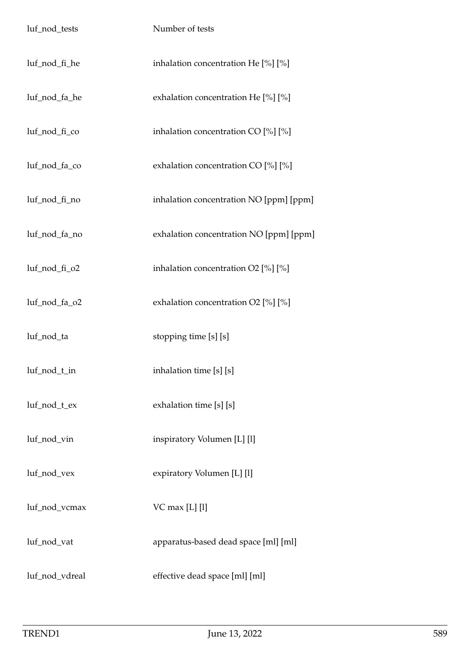| luf_nod_tests  | Number of tests                           |
|----------------|-------------------------------------------|
| luf_nod_fi_he  | inhalation concentration He [%] [%]       |
| luf_nod_fa_he  | exhalation concentration He [%] [%]       |
| luf_nod_fi_co  | inhalation concentration CO $[\%]$ $[\%]$ |
| luf_nod_fa_co  | exhalation concentration CO [%] [%]       |
| luf_nod_fi_no  | inhalation concentration NO [ppm] [ppm]   |
| luf_nod_fa_no  | exhalation concentration NO [ppm] [ppm]   |
| luf_nod_fi_o2  | inhalation concentration $O2$ [%] [%]     |
| luf_nod_fa_o2  | exhalation concentration O2 [%] [%]       |
| luf_nod_ta     | stopping time [s] [s]                     |
| luf_nod_t_in   | inhalation time [s] [s]                   |
| luf_nod_t_ex   | exhalation time [s] [s]                   |
| luf_nod_vin    | inspiratory Volumen [L] [l]               |
| luf_nod_vex    | expiratory Volumen [L] [l]                |
| luf_nod_vcmax  | $VC$ max [L] [l]                          |
| luf_nod_vat    | apparatus-based dead space [ml] [ml]      |
| luf_nod_vdreal | effective dead space [ml] [ml]            |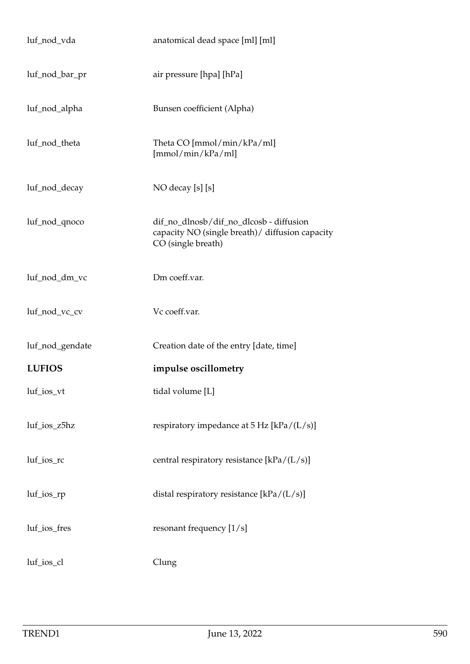| luf_nod_vda     | anatomical dead space [ml] [ml]                                                                                   |
|-----------------|-------------------------------------------------------------------------------------------------------------------|
| luf_nod_bar_pr  | air pressure [hpa] [hPa]                                                                                          |
| luf_nod_alpha   | Bunsen coefficient (Alpha)                                                                                        |
| luf_nod_theta   | Theta CO [mmol/min/kPa/ml]<br>[mmol/min/kPa/ml]                                                                   |
| luf_nod_decay   | NO decay [s] [s]                                                                                                  |
| luf_nod_qnoco   | dif_no_dlnosb/dif_no_dlcosb - diffusion<br>capacity NO (single breath) / diffusion capacity<br>CO (single breath) |
| luf_nod_dm_vc   | Dm coeff.var.                                                                                                     |
| luf_nod_vc_cv   | Vc coeff.var.                                                                                                     |
| luf_nod_gendate | Creation date of the entry [date, time]                                                                           |
| <b>LUFIOS</b>   | impulse oscillometry                                                                                              |
| luf_ios_vt      | tidal volume [L]                                                                                                  |
| luf_ios_z5hz    | respiratory impedance at $5$ Hz [kPa/(L/s)]                                                                       |
| luf_ios_rc      | central respiratory resistance [kPa/(L/s)]                                                                        |
| $luf\_ios\_rp$  | distal respiratory resistance $[kPa/(L/s)]$                                                                       |
| luf_ios_fres    | resonant frequency [1/s]                                                                                          |
| luf_ios_cl      | Clung                                                                                                             |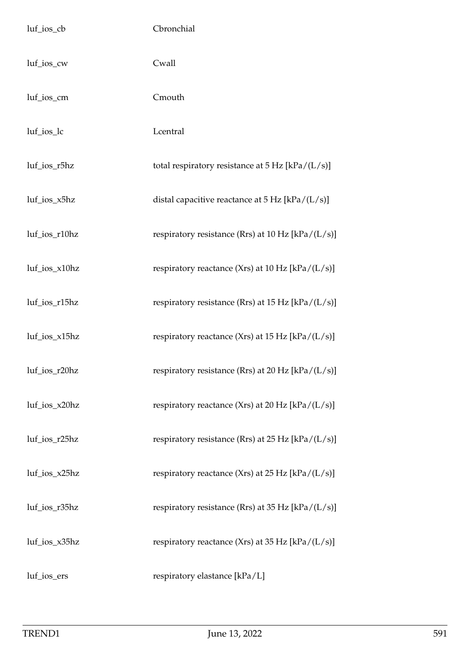| luf_ios_cb       | Cbronchial                                                 |
|------------------|------------------------------------------------------------|
| luf_ios_cw       | Cwall                                                      |
| luf_ios_cm       | Cmouth                                                     |
| luf_ios_lc       | Lcentral                                                   |
| luf_ios_r5hz     | total respiratory resistance at $5 \text{ Hz}$ [kPa/(L/s)] |
| luf_ios_x5hz     | distal capacitive reactance at $5$ Hz [kPa/(L/s)]          |
| luf_ios_r10hz    | respiratory resistance (Rrs) at 10 Hz $[kPa/(L/s)]$        |
| luf_ios_x10hz    | respiratory reactance (Xrs) at 10 Hz $[kPa/(L/s)]$         |
| luf_ios_r15hz    | respiratory resistance (Rrs) at 15 Hz $[kPa/(L/s)]$        |
| luf_ios_x15hz    | respiratory reactance (Xrs) at 15 Hz $[kPa/(L/s)]$         |
| $luf\_ios_r20hz$ | respiratory resistance (Rrs) at 20 Hz $[kPa/(L/s)]$        |
| luf_ios_x20hz    | respiratory reactance (Xrs) at 20 Hz [kPa/(L/s)]           |
| luf_ios_r25hz    | respiratory resistance (Rrs) at 25 Hz $[kPa/(L/s)]$        |
| luf_ios_x25hz    | respiratory reactance (Xrs) at 25 Hz [kPa/(L/s)]           |
| luf_ios_r35hz    | respiratory resistance (Rrs) at 35 Hz [kPa/(L/s)]          |
| luf_ios_x35hz    | respiratory reactance (Xrs) at 35 Hz $[kPa/(L/s)]$         |
| luf_ios_ers      | respiratory elastance [kPa/L]                              |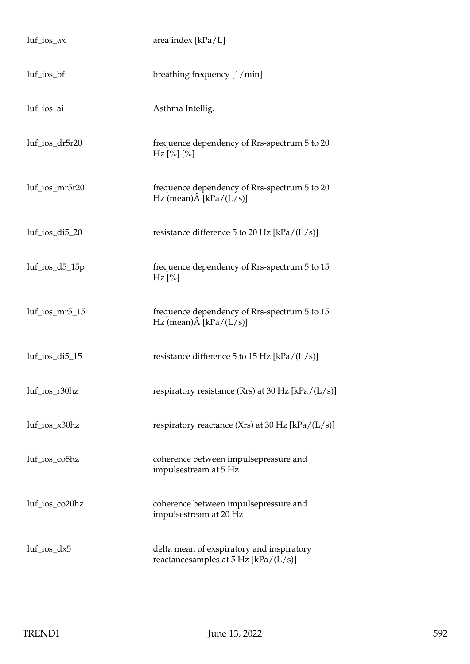| $luf\_ios\_ax$    | area index [kPa/L]                                                                  |
|-------------------|-------------------------------------------------------------------------------------|
| $luf\_ios_bf$     | breathing frequency [1/min]                                                         |
| luf_ios_ai        | Asthma Intellig.                                                                    |
| luf_ios_dr5r20    | frequence dependency of Rrs-spectrum 5 to 20<br>$Hz$ [%] [%]                        |
| luf_ios_mr5r20    | frequence dependency of Rrs-spectrum 5 to 20<br>Hz (mean) $\hat{A}$ [kPa/(L/s)]     |
| $luf\_ios_di5_20$ | resistance difference 5 to 20 Hz [kPa/ $(L/s)$ ]                                    |
| luf_ios_d5_15p    | frequence dependency of Rrs-spectrum 5 to 15<br>$Hz$ [%]                            |
| luf_ios_mr5_15    | frequence dependency of Rrs-spectrum 5 to 15<br>Hz (mean) $\hat{A}$ [kPa/(L/s)]     |
| luf_ios_di5_15    | resistance difference 5 to 15 Hz [kPa/ $(L/s)$ ]                                    |
| luf_ios_r30hz     | respiratory resistance (Rrs) at 30 Hz $[kPa/(L/s)]$                                 |
| luf_ios_x30hz     | respiratory reactance (Xrs) at 30 Hz $[kPa/(L/s)]$                                  |
| luf_ios_co5hz     | coherence between impulsepressure and<br>impulsestream at 5 Hz                      |
| luf_ios_co20hz    | coherence between impulsepressure and<br>impulsestream at 20 Hz                     |
| $luf\_ios\_dx5$   | delta mean of exspiratory and inspiratory<br>reactancesamples at $5$ Hz [kPa/(L/s)] |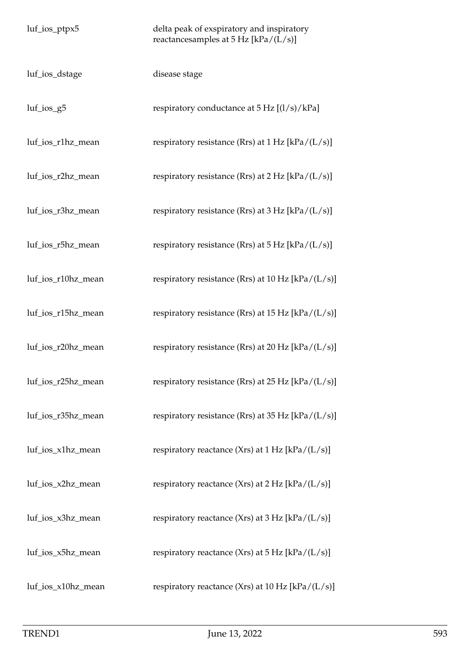| luf_ios_ptpx5      | delta peak of exspiratory and inspiratory<br>reactancesamples at $5$ Hz [kPa/(L/s)] |
|--------------------|-------------------------------------------------------------------------------------|
| luf_ios_dstage     | disease stage                                                                       |
| $luf\_ios_g5$      | respiratory conductance at $5 \text{ Hz } [(1/s)/kPa]$                              |
| luf_ios_r1hz_mean  | respiratory resistance (Rrs) at $1 Hz$ [kPa/(L/s)]                                  |
| luf_ios_r2hz_mean  | respiratory resistance (Rrs) at $2 \text{ Hz}$ [kPa/(L/s)]                          |
| luf_ios_r3hz_mean  | respiratory resistance (Rrs) at $3 \text{ Hz}$ [kPa/(L/s)]                          |
| luf_ios_r5hz_mean  | respiratory resistance (Rrs) at $5$ Hz [kPa/(L/s)]                                  |
| luf_ios_r10hz_mean | respiratory resistance (Rrs) at 10 Hz $[kPa/(L/s)]$                                 |
| luf_ios_r15hz_mean | respiratory resistance (Rrs) at $15$ Hz [kPa/(L/s)]                                 |
| luf_ios_r20hz_mean | respiratory resistance (Rrs) at 20 Hz [kPa/ $(L/s)$ ]                               |
| luf_ios_r25hz_mean | respiratory resistance (Rrs) at 25 Hz $[kPa/(L/s)]$                                 |
| luf_ios_r35hz_mean | respiratory resistance (Rrs) at 35 Hz [kPa/ $(L/s)$ ]                               |
| luf_ios_x1hz_mean  | respiratory reactance (Xrs) at 1 Hz [kPa/(L/s)]                                     |
| luf_ios_x2hz_mean  | respiratory reactance (Xrs) at $2 Hz$ [kPa/(L/s)]                                   |
| luf_ios_x3hz_mean  | respiratory reactance (Xrs) at 3 Hz [kPa/(L/s)]                                     |
| luf_ios_x5hz_mean  | respiratory reactance (Xrs) at 5 Hz [kPa/(L/s)]                                     |
| luf_ios_x10hz_mean | respiratory reactance (Xrs) at 10 Hz [kPa/(L/s)]                                    |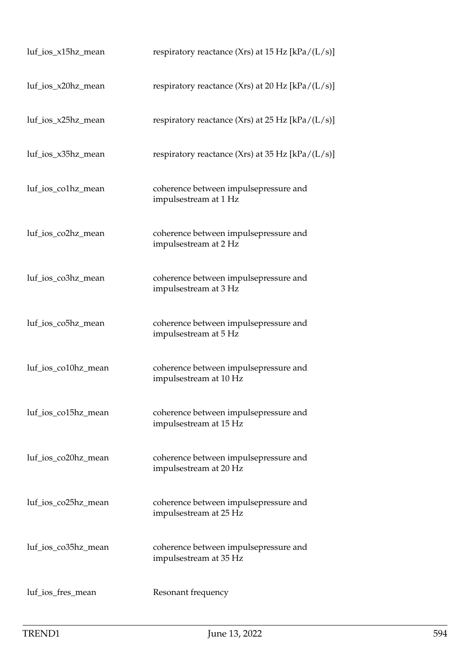| luf_ios_x15hz_mean  | respiratory reactance (Xrs) at 15 Hz [kPa/ $(L/s)$ ]            |
|---------------------|-----------------------------------------------------------------|
| luf_ios_x20hz_mean  | respiratory reactance (Xrs) at 20 Hz $[kPa/(L/s)]$              |
| luf_ios_x25hz_mean  | respiratory reactance (Xrs) at $25$ Hz [kPa/(L/s)]              |
| luf_ios_x35hz_mean  | respiratory reactance (Xrs) at 35 Hz [kPa/ $(L/s)$ ]            |
| luf_ios_co1hz_mean  | coherence between impulsepressure and<br>impulsestream at 1 Hz  |
| luf_ios_co2hz_mean  | coherence between impulsepressure and<br>impulsestream at 2 Hz  |
| luf_ios_co3hz_mean  | coherence between impulsepressure and<br>impulsestream at 3 Hz  |
| luf_ios_co5hz_mean  | coherence between impulsepressure and<br>impulsestream at 5 Hz  |
| luf_ios_co10hz_mean | coherence between impulsepressure and<br>impulsestream at 10 Hz |
| luf_ios_co15hz_mean | coherence between impulsepressure and<br>impulsestream at 15 Hz |
| luf_ios_co20hz_mean | coherence between impulsepressure and<br>impulsestream at 20 Hz |
| luf_ios_co25hz_mean | coherence between impulsepressure and<br>impulsestream at 25 Hz |
| luf_ios_co35hz_mean | coherence between impulsepressure and<br>impulsestream at 35 Hz |
| luf_ios_fres_mean   | Resonant frequency                                              |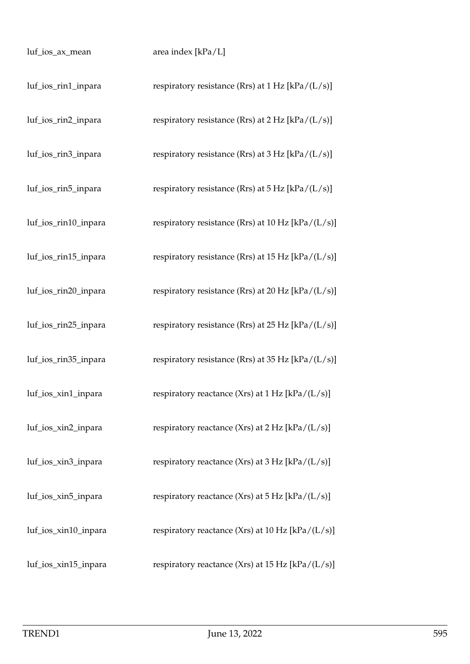| luf_ios_ax_mean      | area index [kPa/L]                                        |
|----------------------|-----------------------------------------------------------|
| luf_ios_rin1_inpara  | respiratory resistance (Rrs) at $1 Hz$ [kPa/(L/s)]        |
| luf_ios_rin2_inpara  | respiratory resistance (Rrs) at $2 Hz$ [kPa/(L/s)]        |
| luf_ios_rin3_inpara  | respiratory resistance (Rrs) at $3 Hz$ [kPa/(L/s)]        |
| luf_ios_rin5_inpara  | respiratory resistance (Rrs) at $5$ Hz [kPa/(L/s)]        |
| luf_ios_rin10_inpara | respiratory resistance (Rrs) at 10 Hz [kPa/ $(L/s)$ ]     |
| luf_ios_rin15_inpara | respiratory resistance (Rrs) at 15 Hz [kPa/(L/s)]         |
| luf_ios_rin20_inpara | respiratory resistance (Rrs) at 20 Hz [kPa/(L/s)]         |
| luf_ios_rin25_inpara | respiratory resistance (Rrs) at 25 Hz [kPa/(L/s)]         |
| luf_ios_rin35_inpara | respiratory resistance (Rrs) at 35 Hz [kPa/(L/s)]         |
| luf_ios_xin1_inpara  | respiratory reactance $(Xrs)$ at 1 Hz $[kPa/(L/s)]$       |
| luf_ios_xin2_inpara  | respiratory reactance (Xrs) at $2 Hz$ [kPa/(L/s)]         |
| luf_ios_xin3_inpara  | respiratory reactance (Xrs) at $3 \text{ Hz}$ [kPa/(L/s)] |
| luf_ios_xin5_inpara  | respiratory reactance (Xrs) at $5 \text{ Hz}$ [kPa/(L/s)] |
| luf_ios_xin10_inpara | respiratory reactance (Xrs) at 10 Hz $[kPa/(L/s)]$        |
| luf_ios_xin15_inpara | respiratory reactance (Xrs) at 15 Hz $[kPa/(L/s)]$        |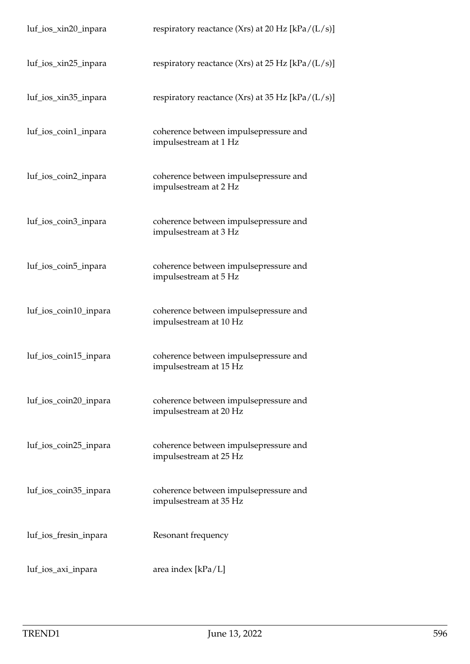| luf_ios_xin20_inpara  | respiratory reactance (Xrs) at 20 Hz $[kPa/(L/s)]$              |
|-----------------------|-----------------------------------------------------------------|
| luf_ios_xin25_inpara  | respiratory reactance (Xrs) at 25 Hz [kPa/ $(L/s)$ ]            |
| luf_ios_xin35_inpara  | respiratory reactance (Xrs) at 35 Hz [kPa/(L/s)]                |
| luf_ios_coin1_inpara  | coherence between impulsepressure and<br>impulsestream at 1 Hz  |
| luf_ios_coin2_inpara  | coherence between impulsepressure and<br>impulsestream at 2 Hz  |
| luf_ios_coin3_inpara  | coherence between impulsepressure and<br>impulsestream at 3 Hz  |
| luf_ios_coin5_inpara  | coherence between impulsepressure and<br>impulsestream at 5 Hz  |
| luf_ios_coin10_inpara | coherence between impulsepressure and<br>impulsestream at 10 Hz |
| luf_ios_coin15_inpara | coherence between impulsepressure and<br>impulsestream at 15 Hz |
| luf_ios_coin20_inpara | coherence between impulsepressure and<br>impulsestream at 20 Hz |
| luf_ios_coin25_inpara | coherence between impulsepressure and<br>impulsestream at 25 Hz |
| luf_ios_coin35_inpara | coherence between impulsepressure and<br>impulsestream at 35 Hz |
| luf_ios_fresin_inpara | Resonant frequency                                              |
| luf_ios_axi_inpara    | area index [kPa/L]                                              |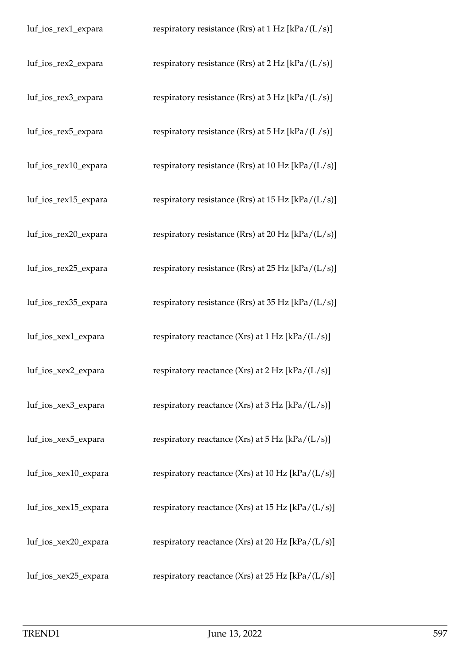| luf_ios_rex1_expara  | respiratory resistance (Rrs) at 1 Hz [kPa/(L/s)]          |
|----------------------|-----------------------------------------------------------|
| luf_ios_rex2_expara  | respiratory resistance (Rrs) at $2 Hz$ [kPa/(L/s)]        |
| luf_ios_rex3_expara  | respiratory resistance (Rrs) at $3 Hz$ [kPa/(L/s)]        |
| luf_ios_rex5_expara  | respiratory resistance (Rrs) at $5$ Hz [kPa/(L/s)]        |
| luf_ios_rex10_expara | respiratory resistance (Rrs) at 10 Hz [kPa/(L/s)]         |
| luf_ios_rex15_expara | respiratory resistance (Rrs) at 15 Hz [kPa/(L/s)]         |
| luf_ios_rex20_expara | respiratory resistance (Rrs) at 20 Hz [kPa/(L/s)]         |
| luf_ios_rex25_expara | respiratory resistance (Rrs) at 25 Hz $[kPa/(L/s)]$       |
| luf_ios_rex35_expara | respiratory resistance (Rrs) at 35 Hz [kPa/(L/s)]         |
| luf_ios_xex1_expara  | respiratory reactance (Xrs) at 1 Hz [kPa/(L/s)]           |
| luf_ios_xex2_expara  | respiratory reactance (Xrs) at $2 Hz$ [kPa/(L/s)]         |
| luf_ios_xex3_expara  | respiratory reactance (Xrs) at $3 \text{ Hz}$ [kPa/(L/s)] |
| luf_ios_xex5_expara  | respiratory reactance (Xrs) at $5 \text{ Hz}$ [kPa/(L/s)] |
| luf_ios_xex10_expara | respiratory reactance (Xrs) at 10 Hz $[kPa/(L/s)]$        |
| luf_ios_xex15_expara | respiratory reactance (Xrs) at 15 Hz $[kPa/(L/s)]$        |
| luf_ios_xex20_expara | respiratory reactance (Xrs) at 20 Hz $[kPa/(L/s)]$        |
| luf_ios_xex25_expara | respiratory reactance (Xrs) at 25 Hz $[kPa/(L/s)]$        |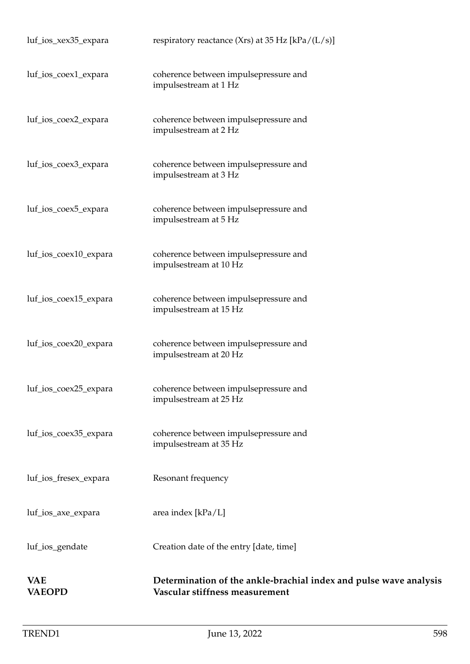| <b>VAE</b><br><b>VAEOPD</b> | Determination of the ankle-brachial index and pulse wave analysis<br>Vascular stiffness measurement |
|-----------------------------|-----------------------------------------------------------------------------------------------------|
| luf_ios_gendate             | Creation date of the entry [date, time]                                                             |
| luf_ios_axe_expara          | area index $[kPa/L]$                                                                                |
| luf_ios_fresex_expara       | Resonant frequency                                                                                  |
| luf_ios_coex35_expara       | coherence between impulsepressure and<br>impulsestream at 35 Hz                                     |
| luf_ios_coex25_expara       | coherence between impulsepressure and<br>impulsestream at 25 Hz                                     |
| luf_ios_coex20_expara       | coherence between impulsepressure and<br>impulsestream at 20 Hz                                     |
| luf_ios_coex15_expara       | coherence between impulsepressure and<br>impulsestream at 15 Hz                                     |
| luf_ios_coex10_expara       | coherence between impulsepressure and<br>impulsestream at 10 Hz                                     |
| luf_ios_coex5_expara        | coherence between impulsepressure and<br>impulsestream at 5 Hz                                      |
| luf_ios_coex3_expara        | coherence between impulsepressure and<br>impulsestream at 3 Hz                                      |
| luf_ios_coex2_expara        | coherence between impulsepressure and<br>impulsestream at 2 Hz                                      |
| luf_ios_coex1_expara        | coherence between impulsepressure and<br>impulsestream at 1 Hz                                      |
| luf_ios_xex35_expara        | respiratory reactance (Xrs) at 35 Hz $[kPa/(L/s)]$                                                  |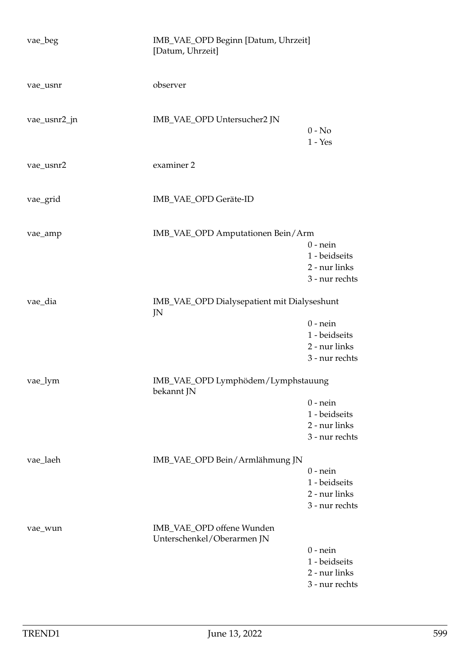| vae_beg      | IMB_VAE_OPD Beginn [Datum, Uhrzeit]<br>[Datum, Uhrzeit] |                                                                |
|--------------|---------------------------------------------------------|----------------------------------------------------------------|
| vae_usnr     | observer                                                |                                                                |
| vae_usnr2_jn | IMB_VAE_OPD Untersucher2 JN                             | $0 - No$<br>$1 - Yes$                                          |
| vae_usnr2    | examiner 2                                              |                                                                |
| vae_grid     | IMB_VAE_OPD Geräte-ID                                   |                                                                |
| vae_amp      | IMB_VAE_OPD Amputationen Bein/Arm                       | $0$ - nein<br>1 - beidseits<br>2 - nur links<br>3 - nur rechts |
| vae_dia      | IMB_VAE_OPD Dialysepatient mit Dialyseshunt<br>JN       |                                                                |
|              |                                                         | $0$ - nein<br>1 - beidseits<br>2 - nur links<br>3 - nur rechts |
| vae_lym      | IMB_VAE_OPD Lymphödem/Lymphstauung<br>bekannt JN        |                                                                |
|              |                                                         | $0$ - nein<br>1 - beidseits<br>2 - nur links<br>3 - nur rechts |
| vae_laeh     | IMB_VAE_OPD Bein/Armlähmung JN                          | $0$ - nein<br>1 - beidseits<br>2 - nur links<br>3 - nur rechts |
| vae_wun      | IMB_VAE_OPD offene Wunden<br>Unterschenkel/Oberarmen JN | $0$ - nein<br>1 - beidseits<br>2 - nur links<br>3 - nur rechts |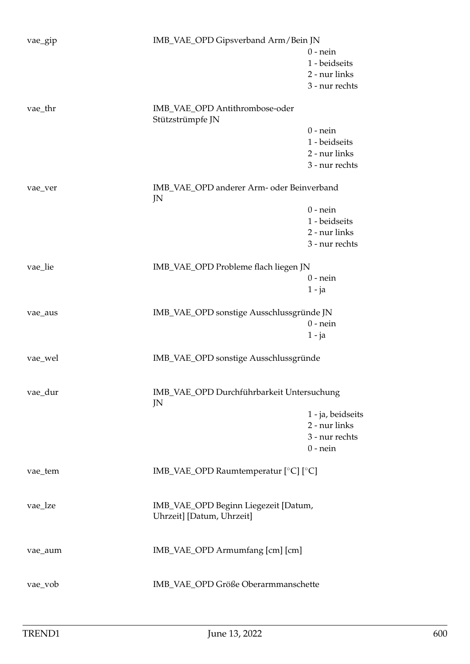| vae_gip | IMB_VAE_OPD Gipsverband Arm/Bein JN                               |                   |
|---------|-------------------------------------------------------------------|-------------------|
|         |                                                                   | $0$ - nein        |
|         |                                                                   | 1 - beidseits     |
|         |                                                                   | 2 - nur links     |
|         |                                                                   | 3 - nur rechts    |
| vae_thr | IMB_VAE_OPD Antithrombose-oder<br>Stützstrümpfe JN                |                   |
|         |                                                                   | $0$ - nein        |
|         |                                                                   | 1 - beidseits     |
|         |                                                                   | 2 - nur links     |
|         |                                                                   | 3 - nur rechts    |
|         |                                                                   |                   |
| vae_ver | IMB_VAE_OPD anderer Arm- oder Beinverband<br>JN                   |                   |
|         |                                                                   | $0$ - nein        |
|         |                                                                   | 1 - beidseits     |
|         |                                                                   | 2 - nur links     |
|         |                                                                   | 3 - nur rechts    |
|         |                                                                   |                   |
| vae_lie | IMB_VAE_OPD Probleme flach liegen JN                              | $0$ - nein        |
|         |                                                                   |                   |
|         |                                                                   | $1 - ja$          |
| vae_aus | IMB_VAE_OPD sonstige Ausschlussgründe JN                          |                   |
|         |                                                                   | $0$ - nein        |
|         |                                                                   | $1 - ja$          |
| vae_wel | IMB_VAE_OPD sonstige Ausschlussgründe                             |                   |
|         |                                                                   |                   |
| vae_dur | IMB_VAE_OPD Durchführbarkeit Untersuchung<br>JN                   |                   |
|         |                                                                   | 1 - ja, beidseits |
|         |                                                                   | 2 - nur links     |
|         |                                                                   | 3 - nur rechts    |
|         |                                                                   | $0$ - nein        |
| vae_tem | IMB_VAE_OPD Raumtemperatur [°C] [°C]                              |                   |
| vae_lze | IMB_VAE_OPD Beginn Liegezeit [Datum,<br>Uhrzeit] [Datum, Uhrzeit] |                   |
| vae_aum | IMB_VAE_OPD Armumfang [cm] [cm]                                   |                   |
| vae_vob | IMB_VAE_OPD Größe Oberarmmanschette                               |                   |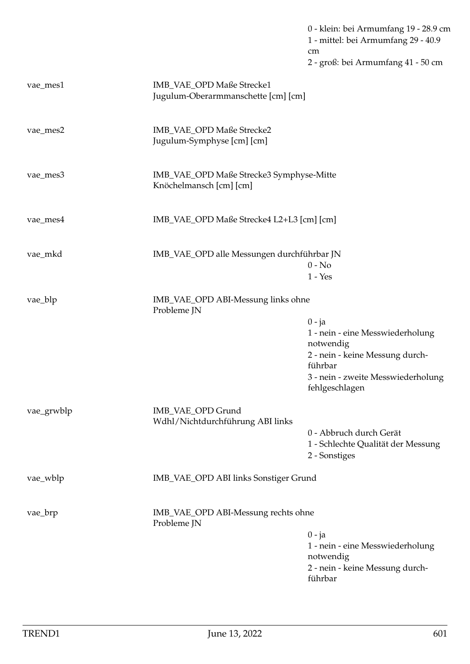0 - klein: bei Armumfang 19 - 28.9 cm 1 - mittel: bei Armumfang 29 - 40.9 cm 2 - groß: bei Armumfang 41 - 50 cm

| vae_mes1                                                      | IMB_VAE_OPD Maße Strecke1<br>Jugulum-Oberarmmanschette [cm] [cm]    |                                                      |  |
|---------------------------------------------------------------|---------------------------------------------------------------------|------------------------------------------------------|--|
| vae_mes2                                                      | IMB_VAE_OPD Maße Strecke2<br>Jugulum-Symphyse [cm] [cm]             |                                                      |  |
| vae_mes3                                                      | IMB_VAE_OPD Maße Strecke3 Symphyse-Mitte<br>Knöchelmansch [cm] [cm] |                                                      |  |
| vae_mes4                                                      |                                                                     | IMB_VAE_OPD Maße Strecke4 L2+L3 [cm] [cm]            |  |
| vae_mkd                                                       | IMB_VAE_OPD alle Messungen durchführbar JN                          | $0 - No$<br>$1 - Yes$                                |  |
| vae_blp                                                       | IMB_VAE_OPD ABI-Messung links ohne<br>Probleme JN                   |                                                      |  |
|                                                               |                                                                     | $0 - ja$                                             |  |
|                                                               |                                                                     | 1 - nein - eine Messwiederholung<br>notwendig        |  |
|                                                               |                                                                     | 2 - nein - keine Messung durch-<br>führbar           |  |
|                                                               |                                                                     | 3 - nein - zweite Messwiederholung<br>fehlgeschlagen |  |
| vae_grwblp                                                    | IMB_VAE_OPD Grund                                                   |                                                      |  |
|                                                               | Wdhl/Nichtdurchführung ABI links                                    | 0 - Abbruch durch Gerät                              |  |
|                                                               |                                                                     | 1 - Schlechte Qualität der Messung                   |  |
|                                                               |                                                                     | 2 - Sonstiges                                        |  |
| vae_wblp                                                      | IMB_VAE_OPD ABI links Sonstiger Grund                               |                                                      |  |
| IMB_VAE_OPD ABI-Messung rechts ohne<br>vae_brp<br>Probleme JN |                                                                     |                                                      |  |
|                                                               |                                                                     | $0 - ja$                                             |  |
|                                                               |                                                                     | 1 - nein - eine Messwiederholung<br>notwendig        |  |
|                                                               |                                                                     | 2 - nein - keine Messung durch-<br>führbar           |  |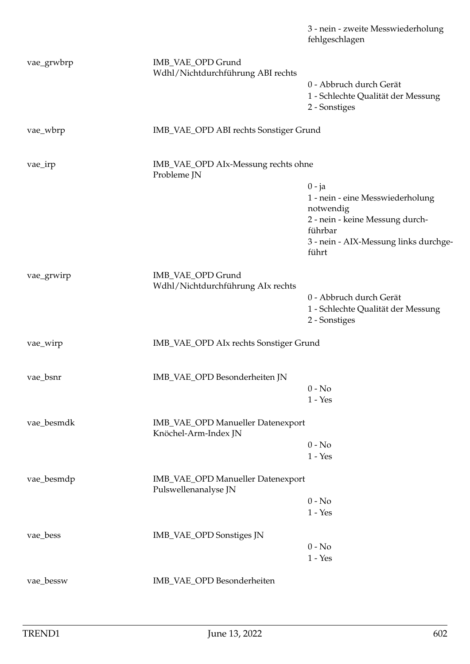|            |                                                           | 3 - nein - zweite Messwiederholung<br>fehlgeschlagen                           |  |
|------------|-----------------------------------------------------------|--------------------------------------------------------------------------------|--|
| vae_grwbrp | IMB_VAE_OPD Grund<br>Wdhl/Nichtdurchführung ABI rechts    |                                                                                |  |
|            |                                                           | 0 - Abbruch durch Gerät<br>1 - Schlechte Qualität der Messung<br>2 - Sonstiges |  |
| vae_wbrp   | IMB_VAE_OPD ABI rechts Sonstiger Grund                    |                                                                                |  |
| vae_irp    | Probleme JN                                               | IMB_VAE_OPD AIx-Messung rechts ohne                                            |  |
|            |                                                           | $0 - ja$                                                                       |  |
|            |                                                           | 1 - nein - eine Messwiederholung                                               |  |
|            |                                                           | notwendig<br>2 - nein - keine Messung durch-<br>führbar                        |  |
|            |                                                           | 3 - nein - AIX-Messung links durchge-<br>führt                                 |  |
| vae_grwirp | IMB_VAE_OPD Grund<br>Wdhl/Nichtdurchführung AIx rechts    |                                                                                |  |
|            |                                                           | 0 - Abbruch durch Gerät                                                        |  |
|            |                                                           | 1 - Schlechte Qualität der Messung<br>2 - Sonstiges                            |  |
| vae_wirp   | IMB_VAE_OPD AIx rechts Sonstiger Grund                    |                                                                                |  |
| vae_bsnr   | IMB_VAE_OPD Besonderheiten JN                             |                                                                                |  |
|            |                                                           | $0 - No$                                                                       |  |
|            |                                                           | $1 - Yes$                                                                      |  |
| vae_besmdk | IMB_VAE_OPD Manueller Datenexport<br>Knöchel-Arm-Index JN |                                                                                |  |
|            |                                                           | $0 - No$                                                                       |  |
|            |                                                           | $1 - Yes$                                                                      |  |
| vae_besmdp | IMB_VAE_OPD Manueller Datenexport<br>Pulswellenanalyse JN |                                                                                |  |
|            |                                                           | $0 - No$<br>$1 - Yes$                                                          |  |
| vae_bess   | IMB_VAE_OPD Sonstiges JN                                  |                                                                                |  |
|            |                                                           | $0 - No$<br>$1 - Yes$                                                          |  |
| vae_bessw  | IMB_VAE_OPD Besonderheiten                                |                                                                                |  |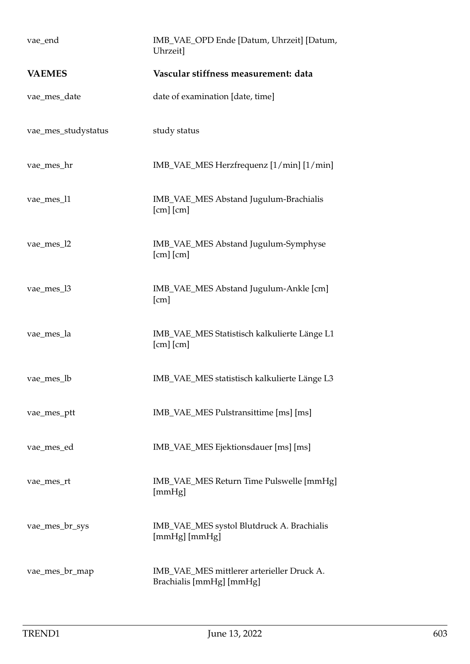| vae_end             | IMB_VAE_OPD Ende [Datum, Uhrzeit] [Datum,<br>Uhrzeit]                  |
|---------------------|------------------------------------------------------------------------|
| <b>VAEMES</b>       | Vascular stiffness measurement: data                                   |
| vae_mes_date        | date of examination [date, time]                                       |
| vae_mes_studystatus | study status                                                           |
| vae_mes_hr          | IMB_VAE_MES Herzfrequenz [1/min] [1/min]                               |
| vae_mes_l1          | IMB_VAE_MES Abstand Jugulum-Brachialis<br>$[cm]$ $[cm]$                |
| vae_mes_l2          | IMB_VAE_MES Abstand Jugulum-Symphyse<br>$[cm]$ $[cm]$                  |
| vae_mes_l3          | IMB_VAE_MES Abstand Jugulum-Ankle [cm]<br>[cm]                         |
| vae_mes_la          | IMB_VAE_MES Statistisch kalkulierte Länge L1<br>$[cm]$ $[cm]$          |
| vae_mes_lb          | IMB_VAE_MES statistisch kalkulierte Länge L3                           |
| vae_mes_ptt         | IMB_VAE_MES Pulstransittime [ms] [ms]                                  |
| vae_mes_ed          | IMB_VAE_MES Ejektionsdauer [ms] [ms]                                   |
| vae_mes_rt          | IMB_VAE_MES Return Time Pulswelle [mmHg]<br>[mmHg]                     |
| vae_mes_br_sys      | IMB_VAE_MES systol Blutdruck A. Brachialis<br>[mmHg] [mmHg]            |
| vae_mes_br_map      | IMB_VAE_MES mittlerer arterieller Druck A.<br>Brachialis [mmHg] [mmHg] |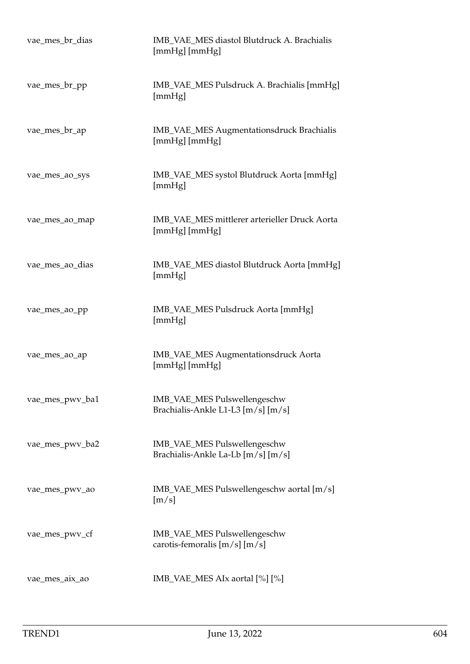| vae_mes_br_dias | IMB_VAE_MES diastol Blutdruck A. Brachialis<br>[mmHg] [mmHg]       |
|-----------------|--------------------------------------------------------------------|
| vae_mes_br_pp   | IMB_VAE_MES Pulsdruck A. Brachialis [mmHg]<br>[mmHg]               |
| vae_mes_br_ap   | IMB_VAE_MES Augmentationsdruck Brachialis<br>[mmHg] [mmHg]         |
| vae_mes_ao_sys  | IMB_VAE_MES systol Blutdruck Aorta [mmHg]<br>[mmHg]                |
| vae_mes_ao_map  | IMB_VAE_MES mittlerer arterieller Druck Aorta<br>[mmHg] [mmHg]     |
| vae_mes_ao_dias | IMB_VAE_MES diastol Blutdruck Aorta [mmHg]<br>[mmHg]               |
| vae_mes_ao_pp   | IMB_VAE_MES Pulsdruck Aorta [mmHg]<br>[mmHg]                       |
| vae_mes_ao_ap   | IMB_VAE_MES Augmentationsdruck Aorta<br>[mmHg] [mmHg]              |
| vae_mes_pwv_ba1 | IMB_VAE_MES Pulswellengeschw<br>Brachialis-Ankle L1-L3 [m/s] [m/s] |
| vae_mes_pwv_ba2 | IMB_VAE_MES Pulswellengeschw<br>Brachialis-Ankle La-Lb [m/s] [m/s] |
| vae_mes_pwv_ao  | IMB_VAE_MES Pulswellengeschw aortal [m/s]<br>[m/s]                 |
| vae_mes_pwv_cf  | IMB_VAE_MES Pulswellengeschw<br>carotis-femoralis $[m/s]$ $[m/s]$  |
| vae_mes_aix_ao  | $IMB_VAE_MES$ AIx aortal $[%]$ $[%]$                               |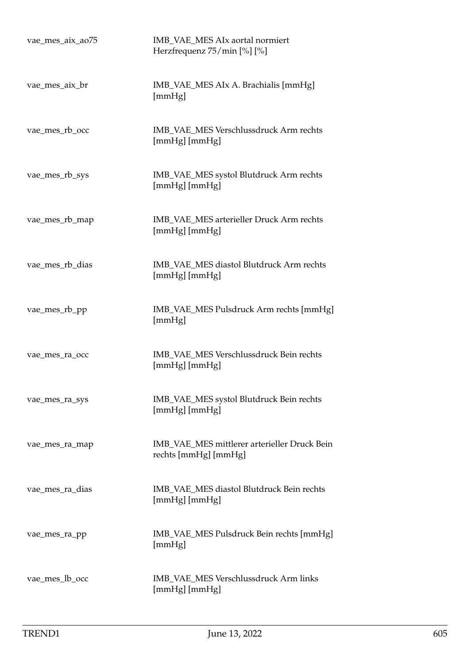| vae_mes_aix_ao75 | IMB_VAE_MES AIx aortal normiert<br>Herzfrequenz 75/min [%] [%]       |
|------------------|----------------------------------------------------------------------|
| vae_mes_aix_br   | IMB_VAE_MES AIx A. Brachialis [mmHg]<br>[mmHg]                       |
| vae_mes_rb_occ   | IMB_VAE_MES Verschlussdruck Arm rechts<br>[mmHg] [mmHg]              |
| vae_mes_rb_sys   | IMB_VAE_MES systol Blutdruck Arm rechts<br>[mmHg] [mmHg]             |
| vae_mes_rb_map   | IMB_VAE_MES arterieller Druck Arm rechts<br>[mmHg] [mmHg]            |
| vae_mes_rb_dias  | IMB_VAE_MES diastol Blutdruck Arm rechts<br>[mmHg] [mmHg]            |
| vae_mes_rb_pp    | IMB_VAE_MES Pulsdruck Arm rechts [mmHg]<br>[mmHg]                    |
| vae_mes_ra_occ   | IMB_VAE_MES Verschlussdruck Bein rechts<br>[mmHg] [mmHg]             |
| vae_mes_ra_sys   | IMB_VAE_MES systol Blutdruck Bein rechts<br>[mmHg] [mmHg]            |
| vae_mes_ra_map   | IMB_VAE_MES mittlerer arterieller Druck Bein<br>rechts [mmHg] [mmHg] |
| vae_mes_ra_dias  | IMB_VAE_MES diastol Blutdruck Bein rechts<br>[mmHg] [mmHg]           |
| vae_mes_ra_pp    | IMB_VAE_MES Pulsdruck Bein rechts [mmHg]<br>[mmHg]                   |
| vae_mes_lb_occ   | IMB_VAE_MES Verschlussdruck Arm links<br>[mmHg] [mmHg]               |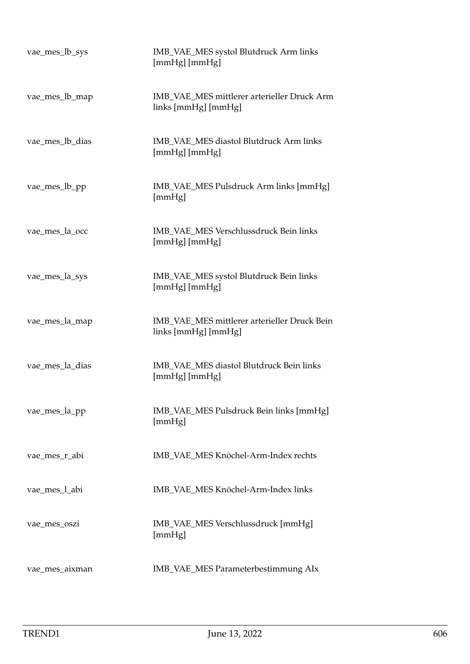| vae_mes_lb_sys  | IMB_VAE_MES systol Blutdruck Arm links<br>[mmHg] [mmHg]             |
|-----------------|---------------------------------------------------------------------|
| vae_mes_lb_map  | IMB_VAE_MES mittlerer arterieller Druck Arm<br>links [mmHg] [mmHg]  |
| vae_mes_lb_dias | IMB VAE MES diastol Blutdruck Arm links<br>[mmHg] [mmHg]            |
| vae_mes_lb_pp   | IMB_VAE_MES Pulsdruck Arm links [mmHg]<br>[mmHg]                    |
| vae_mes_la_occ  | IMB_VAE_MES Verschlussdruck Bein links<br>$[mmHg]$ $[mmHg]$         |
| vae_mes_la_sys  | IMB_VAE_MES systol Blutdruck Bein links<br>[mmHg] [mmHg]            |
| vae_mes_la_map  | IMB_VAE_MES mittlerer arterieller Druck Bein<br>links [mmHg] [mmHg] |
| vae_mes_la_dias | IMB_VAE_MES diastol Blutdruck Bein links<br>[mmHg] [mmHg]           |
| vae_mes_la_pp   | IMB_VAE_MES Pulsdruck Bein links [mmHg]<br>[mmHg]                   |
| vae_mes_r_abi   | IMB_VAE_MES Knöchel-Arm-Index rechts                                |
| vae_mes_l_abi   | IMB_VAE_MES Knöchel-Arm-Index links                                 |
| vae_mes_oszi    | IMB_VAE_MES Verschlussdruck [mmHg]<br>[mmHg]                        |
| vae_mes_aixman  | IMB_VAE_MES Parameterbestimmung AIx                                 |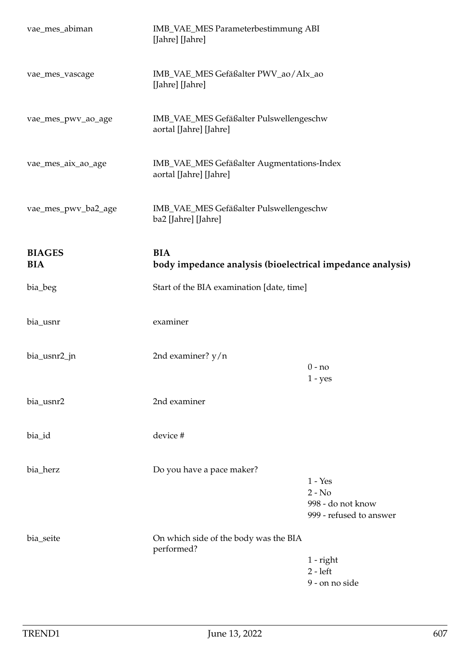| vae_mes_abiman              | IMB_VAE_MES Parameterbestimmung ABI<br>[Jahre] [Jahre]                   |                                                                       |
|-----------------------------|--------------------------------------------------------------------------|-----------------------------------------------------------------------|
| vae_mes_vascage             | IMB_VAE_MES Gefäßalter PWV_ao/AIx_ao<br>[Jahre] [Jahre]                  |                                                                       |
| vae_mes_pwv_ao_age          | IMB_VAE_MES Gefäßalter Pulswellengeschw<br>aortal [Jahre] [Jahre]        |                                                                       |
| vae_mes_aix_ao_age          | IMB_VAE_MES Gefäßalter Augmentations-Index<br>aortal [Jahre] [Jahre]     |                                                                       |
| vae_mes_pwv_ba2_age         | IMB_VAE_MES Gefäßalter Pulswellengeschw<br>ba2 [Jahre] [Jahre]           |                                                                       |
| <b>BIAGES</b><br><b>BIA</b> | <b>BIA</b><br>body impedance analysis (bioelectrical impedance analysis) |                                                                       |
| bia_beg                     | Start of the BIA examination [date, time]                                |                                                                       |
| bia_usnr                    | examiner                                                                 |                                                                       |
| bia_usnr2_jn                | 2nd examiner? $y/n$                                                      | $0 - no$<br>$1 - yes$                                                 |
| bia_usnr2                   | 2nd examiner                                                             |                                                                       |
| bia_id                      | device #                                                                 |                                                                       |
| bia_herz                    | Do you have a pace maker?                                                | $1 - Yes$<br>$2 - No$<br>998 - do not know<br>999 - refused to answer |
| bia_seite                   | On which side of the body was the BIA<br>performed?                      | $1$ - right<br>$2 - left$<br>9 - on no side                           |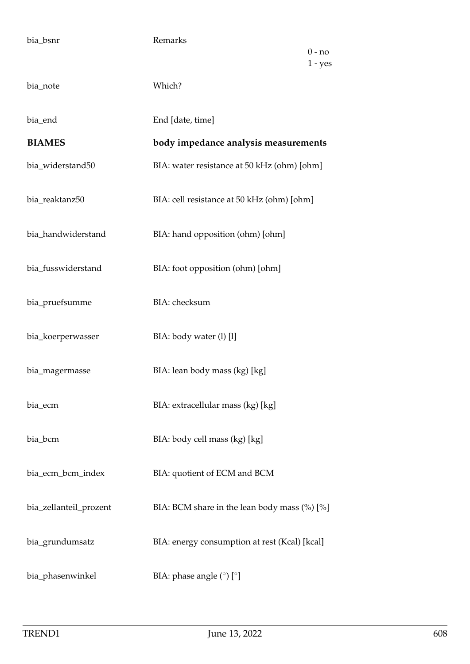| bia_bsnr               | Remarks<br>$0 - no$<br>$1 - yes$              |
|------------------------|-----------------------------------------------|
| bia_note               | Which?                                        |
| bia_end                | End [date, time]                              |
| <b>BIAMES</b>          | body impedance analysis measurements          |
| bia_widerstand50       | BIA: water resistance at 50 kHz (ohm) [ohm]   |
| bia_reaktanz50         | BIA: cell resistance at 50 kHz (ohm) [ohm]    |
| bia_handwiderstand     | BIA: hand opposition (ohm) [ohm]              |
| bia_fusswiderstand     | BIA: foot opposition (ohm) [ohm]              |
| bia_pruefsumme         | BIA: checksum                                 |
| bia_koerperwasser      | BIA: body water (l) [l]                       |
| bia_magermasse         | BIA: lean body mass (kg) [kg]                 |
| bia_ecm                | BIA: extracellular mass (kg) [kg]             |
| bia_bcm                | BIA: body cell mass (kg) [kg]                 |
| bia_ecm_bcm_index      | BIA: quotient of ECM and BCM                  |
| bia_zellanteil_prozent | BIA: BCM share in the lean body mass (%) [%]  |
| bia_grundumsatz        | BIA: energy consumption at rest (Kcal) [kcal] |
| bia_phasenwinkel       | BIA: phase angle $(^\circ)$ $[^\circ]$        |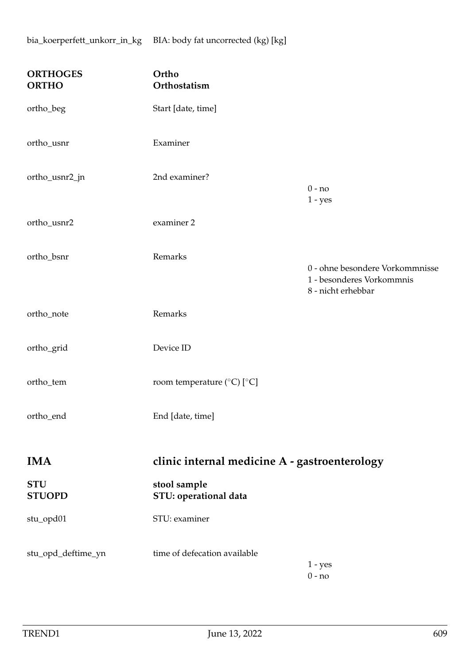| <b>ORTHOGES</b><br><b>ORTHO</b> | Ortho<br>Orthostatism                            |                                                                                    |
|---------------------------------|--------------------------------------------------|------------------------------------------------------------------------------------|
| ortho_beg                       | Start [date, time]                               |                                                                                    |
| ortho_usnr                      | Examiner                                         |                                                                                    |
| ortho_usnr2_jn                  | 2nd examiner?                                    | $0 - no$<br>$1 - yes$                                                              |
| ortho_usnr2                     | examiner 2                                       |                                                                                    |
| ortho_bsnr                      | Remarks                                          | 0 - ohne besondere Vorkommnisse<br>1 - besonderes Vorkommnis<br>8 - nicht erhebbar |
| ortho_note                      | Remarks                                          |                                                                                    |
| ortho_grid                      | Device ID                                        |                                                                                    |
| ortho_tem                       | room temperature ( $^{\circ}$ C) [ $^{\circ}$ C] |                                                                                    |
| ortho_end                       | End [date, time]                                 |                                                                                    |
| <b>IMA</b>                      | clinic internal medicine A - gastroenterology    |                                                                                    |
| <b>STU</b><br><b>STUOPD</b>     | stool sample<br>STU: operational data            |                                                                                    |
| stu_opd01                       | STU: examiner                                    |                                                                                    |
| stu_opd_deftime_yn              | time of defecation available                     | $1 - yes$<br>$0 - no$                                                              |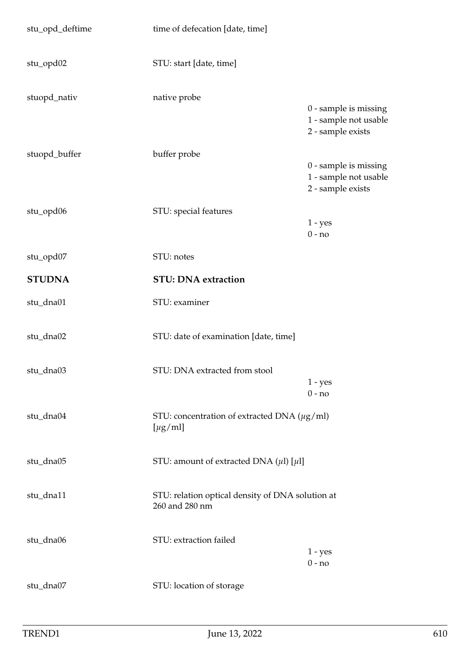| stu_opd_deftime | time of defecation [date, time]                                    |                                                                     |
|-----------------|--------------------------------------------------------------------|---------------------------------------------------------------------|
| stu_opd02       | STU: start [date, time]                                            |                                                                     |
| stuopd_nativ    | native probe                                                       | 0 - sample is missing<br>1 - sample not usable<br>2 - sample exists |
| stuopd_buffer   | buffer probe                                                       | 0 - sample is missing<br>1 - sample not usable<br>2 - sample exists |
| stu_opd06       | STU: special features                                              | $1 - yes$<br>$0 - no$                                               |
| stu_opd07       | STU: notes                                                         |                                                                     |
| <b>STUDNA</b>   | <b>STU: DNA extraction</b>                                         |                                                                     |
| stu_dna01       | STU: examiner                                                      |                                                                     |
| stu_dna02       | STU: date of examination [date, time]                              |                                                                     |
| stu_dna03       | STU: DNA extracted from stool                                      | $1 - yes$<br>$0 - no$                                               |
| stu_dna04       | STU: concentration of extracted DNA $(\mu g/ml)$<br>$[\mu g/ml]$   |                                                                     |
| stu_dna05       | STU: amount of extracted DNA $(\mu\text{l})$ [ $\mu\text{l}$ ]     |                                                                     |
| stu_dna11       | STU: relation optical density of DNA solution at<br>260 and 280 nm |                                                                     |
| stu_dna06       | STU: extraction failed                                             | $1 - yes$<br>$0 - no$                                               |
| stu_dna07       | STU: location of storage                                           |                                                                     |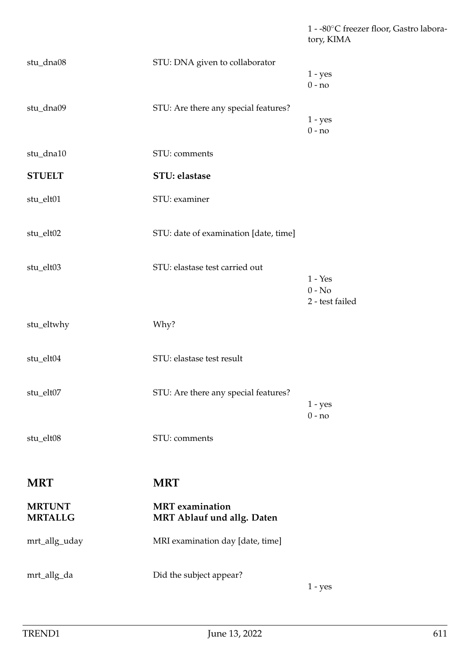1 - -80◦C freezer floor, Gastro laboratory, KIMA

| stu_dna08                       | STU: DNA given to collaborator                       | $1 - yes$<br>$0 - no$                    |
|---------------------------------|------------------------------------------------------|------------------------------------------|
| stu_dna09                       | STU: Are there any special features?                 | $1 - yes$<br>$0 - no$                    |
| stu_dna10                       | STU: comments                                        |                                          |
| <b>STUELT</b>                   | STU: elastase                                        |                                          |
| stu_elt01                       | STU: examiner                                        |                                          |
| stu_elt02                       | STU: date of examination [date, time]                |                                          |
| stu_elt03                       | STU: elastase test carried out                       | $1 - Yes$<br>$0 - No$<br>2 - test failed |
| stu_eltwhy                      | Why?                                                 |                                          |
| stu_elt04                       | STU: elastase test result                            |                                          |
| stu_elt07                       | STU: Are there any special features?                 | $1 - yes$<br>$0 - no$                    |
| stu_elt08                       | STU: comments                                        |                                          |
| <b>MRT</b>                      | <b>MRT</b>                                           |                                          |
| <b>MRTUNT</b><br><b>MRTALLG</b> | <b>MRT</b> examination<br>MRT Ablauf und allg. Daten |                                          |
| mrt_allg_uday                   | MRI examination day [date, time]                     |                                          |
| mrt_allg_da                     | Did the subject appear?                              | $1 - yes$                                |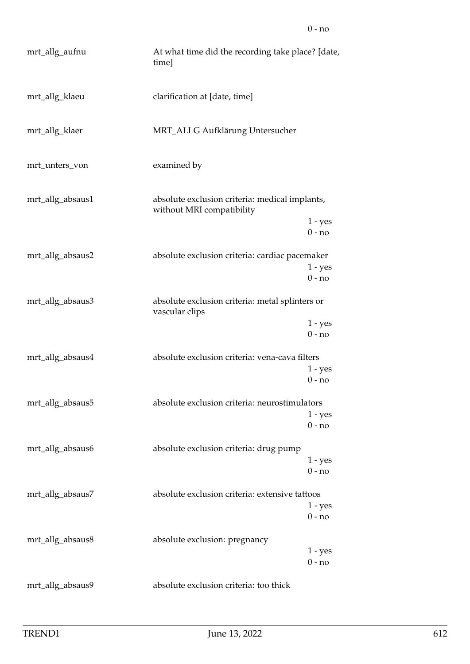| mrt_allg_aufnu   | At what time did the recording take place? [date,<br>time]                  |                                   |
|------------------|-----------------------------------------------------------------------------|-----------------------------------|
| mrt_allg_klaeu   | clarification at [date, time]                                               |                                   |
| mrt_allg_klaer   | MRT_ALLG Aufklärung Untersucher                                             |                                   |
| mrt_unters_von   | examined by                                                                 |                                   |
| mrt_allg_absaus1 | absolute exclusion criteria: medical implants,<br>without MRI compatibility | $1 - yes$                         |
| mrt_allg_absaus2 | absolute exclusion criteria: cardiac pacemaker                              | $0 - no$<br>$1 - yes$<br>$0 - no$ |
| mrt_allg_absaus3 | absolute exclusion criteria: metal splinters or<br>vascular clips           | $1 - yes$                         |
| mrt_allg_absaus4 | absolute exclusion criteria: vena-cava filters                              | $0 - no$<br>$1 - yes$<br>$0 - no$ |
| mrt_allg_absaus5 | absolute exclusion criteria: neurostimulators                               | $1 - yes$<br>$0 - no$             |
| mrt_allg_absaus6 | absolute exclusion criteria: drug pump                                      | $1 - yes$<br>$0 - no$             |
| mrt_allg_absaus7 | absolute exclusion criteria: extensive tattoos                              | $1 - yes$<br>$0 - no$             |
| mrt_allg_absaus8 | absolute exclusion: pregnancy                                               | $1 - yes$<br>$0 - no$             |
| mrt_allg_absaus9 | absolute exclusion criteria: too thick                                      |                                   |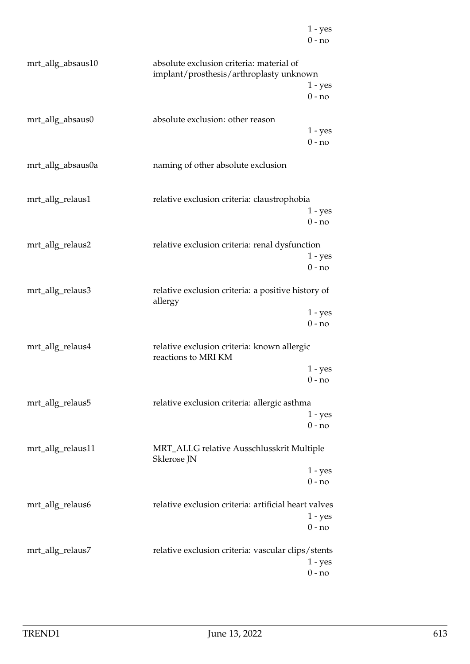|                   |                                                                                     | $1 - yes$<br>$0 - no$ |
|-------------------|-------------------------------------------------------------------------------------|-----------------------|
| mrt_allg_absaus10 | absolute exclusion criteria: material of<br>implant/prosthesis/arthroplasty unknown | $1 - yes$<br>$0 - no$ |
| mrt_allg_absaus0  | absolute exclusion: other reason                                                    | $1 - yes$<br>$0 - no$ |
| mrt_allg_absaus0a | naming of other absolute exclusion                                                  |                       |
| mrt_allg_relaus1  | relative exclusion criteria: claustrophobia                                         | $1 - yes$<br>$0 - no$ |
| mrt_allg_relaus2  | relative exclusion criteria: renal dysfunction                                      | $1 - yes$<br>$0 - no$ |
| mrt_allg_relaus3  | relative exclusion criteria: a positive history of<br>allergy                       | $1 - yes$<br>$0 - no$ |
| mrt_allg_relaus4  | relative exclusion criteria: known allergic<br>reactions to MRI KM                  | $1 - yes$<br>$0 - no$ |
| mrt_allg_relaus5  | relative exclusion criteria: allergic asthma                                        | $1 - yes$<br>$0 - no$ |
| mrt_allg_relaus11 | MRT_ALLG relative Ausschlusskrit Multiple<br>Sklerose JN                            |                       |
|                   |                                                                                     | $1 - yes$<br>$0 - no$ |
| mrt_allg_relaus6  | relative exclusion criteria: artificial heart valves                                | $1 - yes$<br>$0 - no$ |
| mrt_allg_relaus7  | relative exclusion criteria: vascular clips/stents                                  | $1 - yes$<br>$0 - no$ |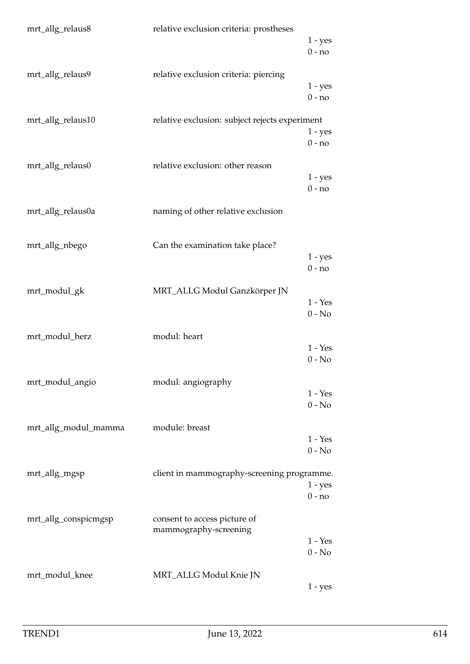| mrt_allg_relaus8     | relative exclusion criteria: prostheses               | $1 - yes$<br>$0 - no$ |
|----------------------|-------------------------------------------------------|-----------------------|
| mrt_allg_relaus9     | relative exclusion criteria: piercing                 | $1 - yes$<br>$0 - no$ |
| mrt_allg_relaus10    | relative exclusion: subject rejects experiment        | $1 - yes$<br>$0 - no$ |
| mrt_allg_relaus0     | relative exclusion: other reason                      | $1 - yes$<br>$0 - no$ |
| mrt_allg_relaus0a    | naming of other relative exclusion                    |                       |
| mrt_allg_nbego       | Can the examination take place?                       | $1 - yes$<br>$0 - no$ |
| mrt_modul_gk         | MRT_ALLG Modul Ganzkörper JN                          | $1 - Yes$<br>$0 - No$ |
| mrt_modul_herz       | modul: heart                                          | $1 - Yes$<br>$0 - No$ |
| mrt_modul_angio      | modul: angiography                                    | $1 - Yes$<br>$0 - No$ |
| mrt_allg_modul_mamma | module: breast                                        | $1 - Yes$<br>$0 - No$ |
| mrt_allg_mgsp        | client in mammography-screening programme.            | $1 - yes$<br>$0 - no$ |
| mrt_allg_conspicmgsp | consent to access picture of<br>mammography-screening | $1 - Yes$<br>$0 - No$ |
| mrt_modul_knee       | MRT_ALLG Modul Knie JN                                | $1 - yes$             |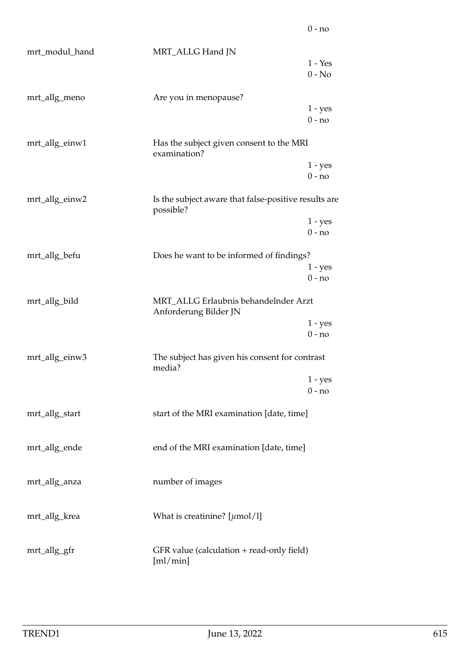| mrt_modul_hand | MRT_ALLG Hand JN                                                  | $1 - Yes$<br>$0 - No$ |
|----------------|-------------------------------------------------------------------|-----------------------|
| mrt_allg_meno  | Are you in menopause?                                             | $1 - yes$<br>$0 - no$ |
| mrt_allg_einw1 | Has the subject given consent to the MRI<br>examination?          |                       |
|                |                                                                   | $1 - yes$<br>$0 - no$ |
| mrt_allg_einw2 | Is the subject aware that false-positive results are<br>possible? |                       |
|                |                                                                   | $1 - yes$<br>$0 - no$ |
| mrt_allg_befu  | Does he want to be informed of findings?                          | $1 - yes$<br>$0 - no$ |
| mrt_allg_bild  | MRT_ALLG Erlaubnis behandelnder Arzt<br>Anforderung Bilder JN     |                       |
|                |                                                                   | $1 - yes$<br>$0 - no$ |
| mrt_allg_einw3 | The subject has given his consent for contrast<br>media?          |                       |
|                |                                                                   | $1 - yes$<br>$0 - no$ |
| mrt_allg_start | start of the MRI examination [date, time]                         |                       |
| mrt_allg_ende  | end of the MRI examination [date, time]                           |                       |
| mrt_allg_anza  | number of images                                                  |                       |
| mrt_allg_krea  | What is creatinine? $[\mu \text{mol}/1]$                          |                       |
| mrt_allg_gfr   | GFR value (calculation + read-only field)<br>[m]/min]             |                       |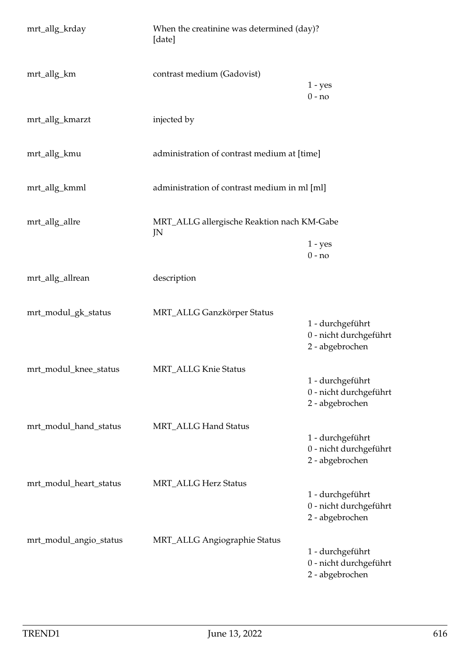| mrt_allg_krday         | When the creatinine was determined (day)?<br>[date] |                                                               |
|------------------------|-----------------------------------------------------|---------------------------------------------------------------|
| mrt_allg_km            | contrast medium (Gadovist)                          | $1 - yes$<br>$0 - no$                                         |
| mrt_allg_kmarzt        | injected by                                         |                                                               |
| mrt_allg_kmu           | administration of contrast medium at [time]         |                                                               |
| mrt_allg_kmml          | administration of contrast medium in ml [ml]        |                                                               |
| mrt_allg_allre         | MRT_ALLG allergische Reaktion nach KM-Gabe<br>JN    |                                                               |
|                        |                                                     | $1 - yes$<br>$0 - no$                                         |
| mrt_allg_allrean       | description                                         |                                                               |
| mrt_modul_gk_status    | MRT_ALLG Ganzkörper Status                          | 1 - durchgeführt<br>0 - nicht durchgeführt<br>2 - abgebrochen |
| mrt_modul_knee_status  | <b>MRT_ALLG Knie Status</b>                         | 1 - durchgeführt<br>0 - nicht durchgeführt<br>2 - abgebrochen |
| mrt_modul_hand_status  | MRT_ALLG Hand Status                                | 1 - durchgeführt<br>0 - nicht durchgeführt<br>2 - abgebrochen |
| mrt_modul_heart_status | <b>MRT_ALLG Herz Status</b>                         | 1 - durchgeführt<br>0 - nicht durchgeführt<br>2 - abgebrochen |
| mrt_modul_angio_status | <b>MRT_ALLG Angiographie Status</b>                 | 1 - durchgeführt<br>0 - nicht durchgeführt<br>2 - abgebrochen |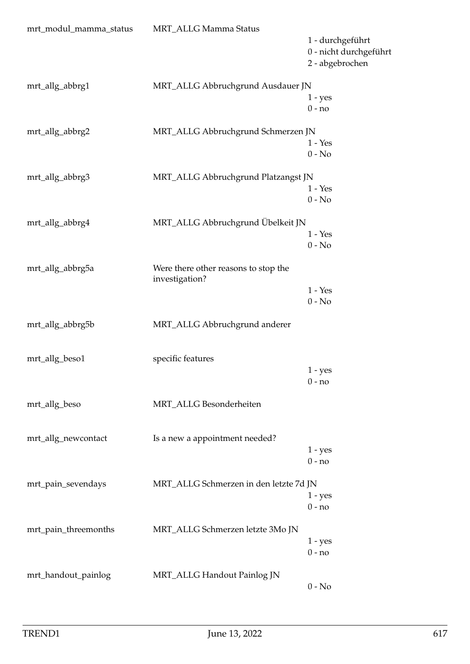| mrt_modul_mamma_status | MRT_ALLG Mamma Status                  |                        |
|------------------------|----------------------------------------|------------------------|
|                        |                                        | 1 - durchgeführt       |
|                        |                                        | 0 - nicht durchgeführt |
|                        |                                        | 2 - abgebrochen        |
|                        |                                        |                        |
| mrt_allg_abbrg1        | MRT_ALLG Abbruchgrund Ausdauer JN      |                        |
|                        |                                        | $1 - yes$              |
|                        |                                        | $0 - no$               |
| mrt_allg_abbrg2        | MRT_ALLG Abbruchgrund Schmerzen JN     |                        |
|                        |                                        | $1 - Yes$              |
|                        |                                        | $0 - No$               |
|                        |                                        |                        |
| mrt_allg_abbrg3        | MRT_ALLG Abbruchgrund Platzangst JN    |                        |
|                        |                                        | $1 - Yes$              |
|                        |                                        | $0 - No$               |
|                        |                                        |                        |
| mrt_allg_abbrg4        | MRT_ALLG Abbruchgrund Übelkeit JN      | $1 - Yes$              |
|                        |                                        | $0 - No$               |
|                        |                                        |                        |
| mrt_allg_abbrg5a       | Were there other reasons to stop the   |                        |
|                        | investigation?                         |                        |
|                        |                                        | $1 - Yes$              |
|                        |                                        | $0 - No$               |
|                        |                                        |                        |
| mrt_allg_abbrg5b       | MRT_ALLG Abbruchgrund anderer          |                        |
|                        |                                        |                        |
| mrt_allg_beso1         | specific features                      |                        |
|                        |                                        | $1 - yes$              |
|                        |                                        | $0 - no$               |
|                        |                                        |                        |
| mrt_allg_beso          | MRT_ALLG Besonderheiten                |                        |
|                        |                                        |                        |
|                        |                                        |                        |
| mrt_allg_newcontact    | Is a new a appointment needed?         |                        |
|                        |                                        | $1 - yes$              |
|                        |                                        | $0 - no$               |
| mrt_pain_sevendays     | MRT_ALLG Schmerzen in den letzte 7d JN |                        |
|                        |                                        | $1 - yes$              |
|                        |                                        | $0 - no$               |
|                        |                                        |                        |
| mrt_pain_threemonths   | MRT_ALLG Schmerzen letzte 3Mo JN       |                        |
|                        |                                        | $1 - yes$              |
|                        |                                        | $0 - no$               |
|                        |                                        |                        |
| mrt_handout_painlog    | MRT_ALLG Handout Painlog JN            |                        |
|                        |                                        | $0 - No$               |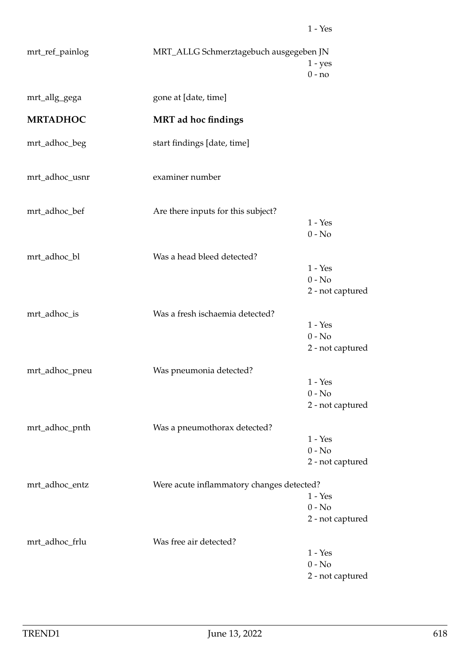| mrt_ref_painlog | MRT_ALLG Schmerztagebuch ausgegeben JN    | $1 - yes$<br>$0 - no$                     |
|-----------------|-------------------------------------------|-------------------------------------------|
| mrt_allg_gega   | gone at [date, time]                      |                                           |
| <b>MRTADHOC</b> | <b>MRT</b> ad hoc findings                |                                           |
| mrt_adhoc_beg   | start findings [date, time]               |                                           |
| mrt_adhoc_usnr  | examiner number                           |                                           |
| mrt_adhoc_bef   | Are there inputs for this subject?        | $1 - Yes$<br>$0 - No$                     |
| mrt_adhoc_bl    | Was a head bleed detected?                | $1 - Yes$<br>$0 - No$<br>2 - not captured |
| mrt_adhoc_is    | Was a fresh ischaemia detected?           | $1 - Yes$<br>$0 - No$<br>2 - not captured |
| mrt_adhoc_pneu  | Was pneumonia detected?                   | $1 - Yes$<br>$0 - No$<br>2 - not captured |
| mrt_adhoc_pnth  | Was a pneumothorax detected?              | $1 - Yes$<br>$0 - No$<br>2 - not captured |
| mrt_adhoc_entz  | Were acute inflammatory changes detected? | $1 - Yes$<br>$0 - No$<br>2 - not captured |
| mrt_adhoc_frlu  | Was free air detected?                    | $1 - Yes$<br>$0 - No$<br>2 - not captured |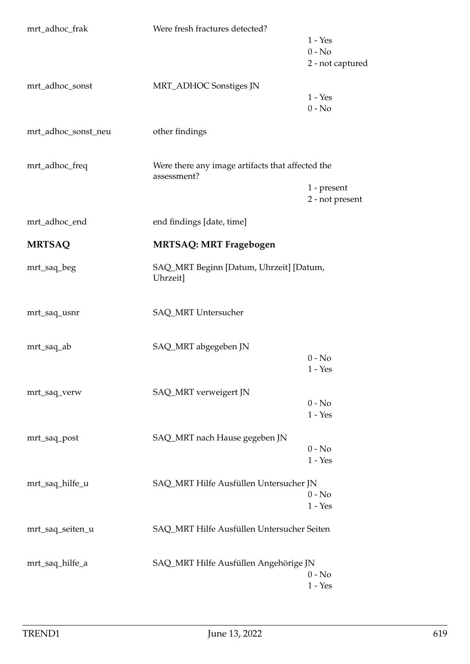| mrt_adhoc_frak      | Were fresh fractures detected?                                  | $1 - Yes$<br>$0 - No$<br>2 - not captured |
|---------------------|-----------------------------------------------------------------|-------------------------------------------|
| mrt_adhoc_sonst     | MRT_ADHOC Sonstiges JN                                          | $1 - Yes$<br>$0 - No$                     |
| mrt_adhoc_sonst_neu | other findings                                                  |                                           |
| mrt_adhoc_freq      | Were there any image artifacts that affected the<br>assessment? | 1 - present<br>2 - not present            |
| mrt_adhoc_end       | end findings [date, time]                                       |                                           |
| <b>MRTSAQ</b>       | <b>MRTSAQ: MRT Fragebogen</b>                                   |                                           |
| mrt_saq_beg         | SAQ_MRT Beginn [Datum, Uhrzeit] [Datum,<br>Uhrzeit]             |                                           |
| mrt_saq_usnr        | SAQ_MRT Untersucher                                             |                                           |
| mrt_saq_ab          | SAQ_MRT abgegeben JN                                            | $0 - No$<br>$1 - Yes$                     |
| mrt_saq_verw        | SAQ_MRT verweigert JN                                           | $0 - No$<br>$1 - Yes$                     |
| mrt_saq_post        | SAQ_MRT nach Hause gegeben JN                                   | $0 - No$<br>$1 - Yes$                     |
| mrt_saq_hilfe_u     | SAQ_MRT Hilfe Ausfüllen Untersucher JN                          | $0 - No$<br>$1 - Yes$                     |
| mrt_saq_seiten_u    | SAQ_MRT Hilfe Ausfüllen Untersucher Seiten                      |                                           |
| mrt_saq_hilfe_a     | SAQ_MRT Hilfe Ausfüllen Angehörige JN                           | $0 - No$<br>$1 - Yes$                     |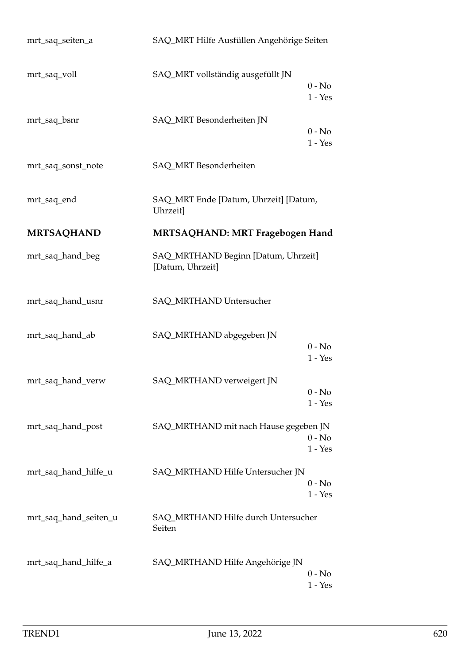| mrt_saq_seiten_a      | SAQ_MRT Hilfe Ausfüllen Angehörige Seiten               |                       |
|-----------------------|---------------------------------------------------------|-----------------------|
| mrt_saq_voll          | SAQ_MRT vollständig ausgefüllt JN                       | $0 - No$<br>$1 - Yes$ |
| mrt_saq_bsnr          | SAQ_MRT Besonderheiten JN                               | $0 - No$<br>$1 - Yes$ |
| mrt_saq_sonst_note    | SAQ_MRT Besonderheiten                                  |                       |
| mrt_saq_end           | SAQ_MRT Ende [Datum, Uhrzeit] [Datum,<br>Uhrzeit]       |                       |
| <b>MRTSAQHAND</b>     | <b>MRTSAQHAND: MRT Fragebogen Hand</b>                  |                       |
| mrt_saq_hand_beg      | SAQ_MRTHAND Beginn [Datum, Uhrzeit]<br>[Datum, Uhrzeit] |                       |
| mrt_saq_hand_usnr     | SAQ_MRTHAND Untersucher                                 |                       |
| mrt_saq_hand_ab       | SAQ_MRTHAND abgegeben JN                                | $0 - No$<br>$1 - Yes$ |
| mrt_saq_hand_verw     | SAQ_MRTHAND verweigert JN                               | $0 - No$<br>$1 - Yes$ |
| mrt_saq_hand_post     | SAQ_MRTHAND mit nach Hause gegeben JN                   | $0 - No$<br>$1 - Yes$ |
| mrt_saq_hand_hilfe_u  | SAQ_MRTHAND Hilfe Untersucher JN                        | $0 - No$<br>$1 - Yes$ |
| mrt_saq_hand_seiten_u | SAQ_MRTHAND Hilfe durch Untersucher<br>Seiten           |                       |
| mrt_saq_hand_hilfe_a  | SAQ_MRTHAND Hilfe Angehörige JN                         | $0 - No$<br>$1 - Yes$ |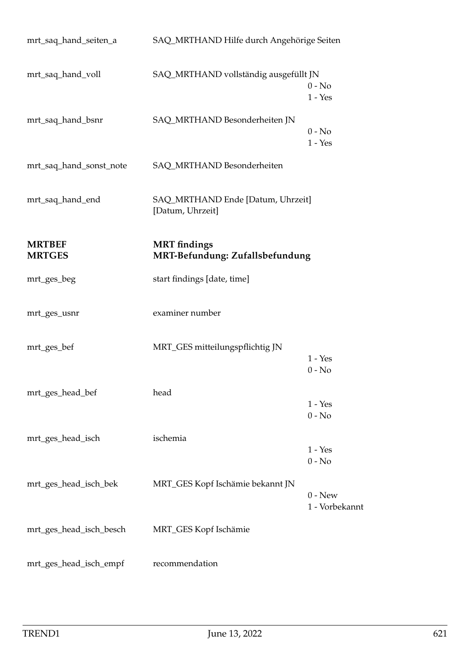| mrt_saq_hand_seiten_a          | SAQ_MRTHAND Hilfe durch Angehörige Seiten              |                             |
|--------------------------------|--------------------------------------------------------|-----------------------------|
| mrt_saq_hand_voll              | SAQ_MRTHAND vollständig ausgefüllt JN                  | $0 - No$<br>$1 - Yes$       |
| mrt_saq_hand_bsnr              | SAQ_MRTHAND Besonderheiten JN                          | $0 - No$<br>$1 - Yes$       |
| mrt_saq_hand_sonst_note        | SAQ_MRTHAND Besonderheiten                             |                             |
| mrt_saq_hand_end               | SAQ_MRTHAND Ende [Datum, Uhrzeit]<br>[Datum, Uhrzeit]  |                             |
| <b>MRTBEF</b><br><b>MRTGES</b> | <b>MRT</b> findings<br>MRT-Befundung: Zufallsbefundung |                             |
| mrt_ges_beg                    | start findings [date, time]                            |                             |
| mrt_ges_usnr                   | examiner number                                        |                             |
| mrt_ges_bef                    | MRT_GES mitteilungspflichtig JN                        | $1 - Yes$<br>$0 - No$       |
| mrt_ges_head_bef               | head                                                   | $1 - Yes$<br>$0 - No$       |
| mrt_ges_head_isch              | ischemia                                               | $1 - Yes$<br>$0 - No$       |
| mrt_ges_head_isch_bek          | MRT_GES Kopf Ischämie bekannt JN                       | $0 - New$<br>1 - Vorbekannt |
| mrt_ges_head_isch_besch        | MRT_GES Kopf Ischämie                                  |                             |
| mrt_ges_head_isch_empf         | recommendation                                         |                             |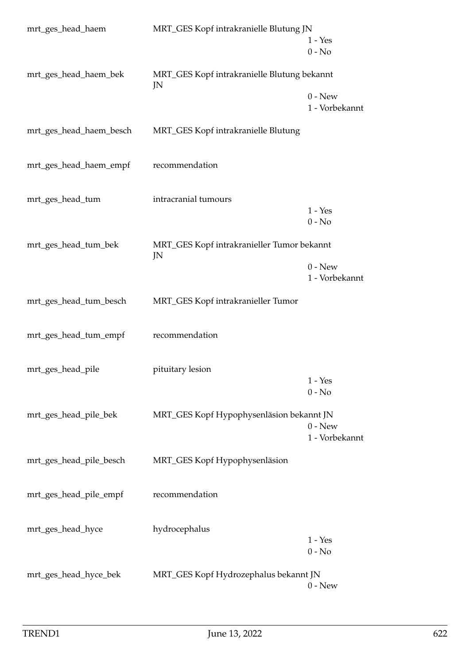| mrt_ges_head_haem       | MRT_GES Kopf intrakranielle Blutung JN            | $1 - Yes$<br>$0 - No$       |
|-------------------------|---------------------------------------------------|-----------------------------|
| mrt_ges_head_haem_bek   | MRT_GES Kopf intrakranielle Blutung bekannt<br>JN | $0 - New$                   |
| mrt_ges_head_haem_besch | MRT_GES Kopf intrakranielle Blutung               | 1 - Vorbekannt              |
| mrt_ges_head_haem_empf  | recommendation                                    |                             |
| mrt_ges_head_tum        | intracranial tumours                              | $1 - Yes$<br>$0 - No$       |
| mrt_ges_head_tum_bek    | MRT_GES Kopf intrakranieller Tumor bekannt<br>JN  | $0$ - New                   |
| mrt_ges_head_tum_besch  | MRT_GES Kopf intrakranieller Tumor                | 1 - Vorbekannt              |
| mrt_ges_head_tum_empf   | recommendation                                    |                             |
| mrt_ges_head_pile       | pituitary lesion                                  | $1 - Yes$<br>$0 - No$       |
| mrt_ges_head_pile_bek   | MRT_GES Kopf Hypophysenläsion bekannt JN          | $0 - New$<br>1 - Vorbekannt |
| mrt_ges_head_pile_besch | MRT_GES Kopf Hypophysenläsion                     |                             |
| mrt_ges_head_pile_empf  | recommendation                                    |                             |
| mrt_ges_head_hyce       | hydrocephalus                                     | $1 - Yes$<br>$0 - No$       |
| mrt_ges_head_hyce_bek   | MRT_GES Kopf Hydrozephalus bekannt JN             | $0$ - New                   |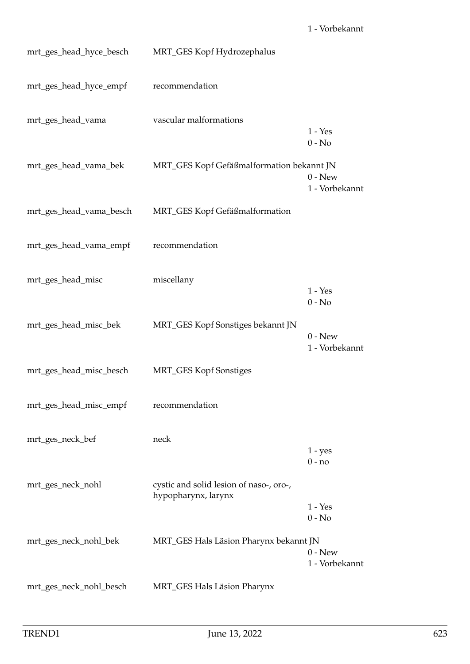| mrt_ges_head_hyce_besch | MRT_GES Kopf Hydrozephalus                                     |                                         |
|-------------------------|----------------------------------------------------------------|-----------------------------------------|
| mrt_ges_head_hyce_empf  | recommendation                                                 |                                         |
| mrt_ges_head_vama       | vascular malformations                                         | $1 - Yes$<br>$0 - No$                   |
| mrt_ges_head_vama_bek   | MRT_GES Kopf Gefäßmalformation bekannt JN                      | $0 - New$<br>1 - Vorbekannt             |
| mrt_ges_head_vama_besch | MRT_GES Kopf Gefäßmalformation                                 |                                         |
| mrt_ges_head_vama_empf  | recommendation                                                 |                                         |
| mrt_ges_head_misc       | miscellany                                                     | $1 - Yes$<br>$0 - No$                   |
| mrt_ges_head_misc_bek   | MRT_GES Kopf Sonstiges bekannt JN                              | $0 - New$<br>1 - Vorbekannt             |
| mrt_ges_head_misc_besch | MRT_GES Kopf Sonstiges                                         |                                         |
| mrt_ges_head_misc_empf  | recommendation                                                 |                                         |
| mrt_ges_neck_bef        | neck                                                           | $1 - yes$<br>$0 - no$                   |
| mrt_ges_neck_nohl       | cystic and solid lesion of naso-, oro-,<br>hypopharynx, larynx | $1 - Yes$                               |
| mrt_ges_neck_nohl_bek   | MRT_GES Hals Läsion Pharynx bekannt JN                         | $0 - No$<br>$0 - New$<br>1 - Vorbekannt |
| mrt_ges_neck_nohl_besch | MRT_GES Hals Läsion Pharynx                                    |                                         |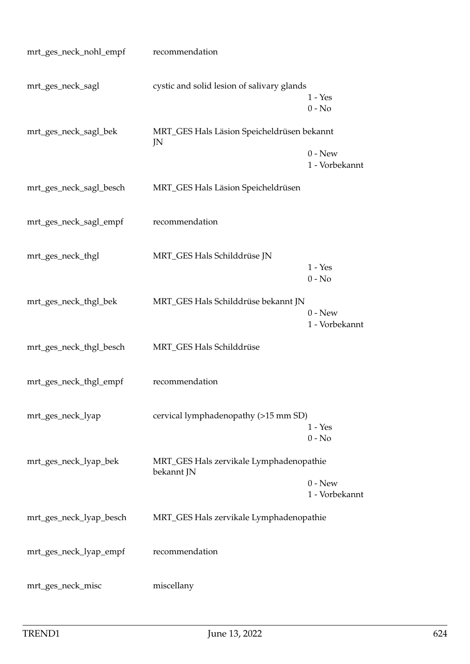| mrt_ges_neck_nohl_empf  | recommendation                                   |                             |
|-------------------------|--------------------------------------------------|-----------------------------|
| mrt_ges_neck_sagl       | cystic and solid lesion of salivary glands       | $1 - Yes$<br>$0 - No$       |
| mrt_ges_neck_sagl_bek   | MRT_GES Hals Läsion Speicheldrüsen bekannt<br>JN |                             |
|                         |                                                  | $0 - New$<br>1 - Vorbekannt |
| mrt_ges_neck_sagl_besch | MRT_GES Hals Läsion Speicheldrüsen               |                             |
| mrt_ges_neck_sagl_empf  | recommendation                                   |                             |
| mrt_ges_neck_thgl       | MRT_GES Hals Schilddrüse JN                      | $1 - Yes$                   |
|                         |                                                  | $0 - No$                    |
| mrt_ges_neck_thgl_bek   | MRT_GES Hals Schilddrüse bekannt JN              | $0$ - New<br>1 - Vorbekannt |
| mrt_ges_neck_thgl_besch | MRT_GES Hals Schilddrüse                         |                             |
| mrt_ges_neck_thgl_empf  | recommendation                                   |                             |
| mrt_ges_neck_lyap       | cervical lymphadenopathy (>15 mm SD)             | $1 - Yes$<br>$0 - No$       |
| mrt_ges_neck_lyap_bek   | MRT_GES Hals zervikale Lymphadenopathie          |                             |
|                         | bekannt JN                                       | $0 - New$<br>1 - Vorbekannt |
| mrt_ges_neck_lyap_besch | MRT_GES Hals zervikale Lymphadenopathie          |                             |
| mrt_ges_neck_lyap_empf  | recommendation                                   |                             |
| mrt_ges_neck_misc       | miscellany                                       |                             |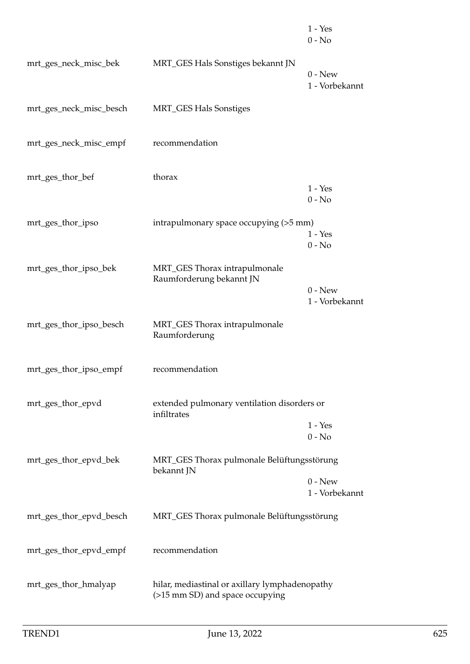|                         |                                                                                   | $1 - Yes$<br>$0 - No$       |
|-------------------------|-----------------------------------------------------------------------------------|-----------------------------|
| mrt_ges_neck_misc_bek   | MRT_GES Hals Sonstiges bekannt JN                                                 | $0 - New$<br>1 - Vorbekannt |
| mrt_ges_neck_misc_besch | <b>MRT_GES Hals Sonstiges</b>                                                     |                             |
| mrt_ges_neck_misc_empf  | recommendation                                                                    |                             |
| mrt_ges_thor_bef        | thorax                                                                            | $1 - Yes$<br>$0 - No$       |
| mrt_ges_thor_ipso       | intrapulmonary space occupying (>5 mm)                                            | $1 - Yes$<br>$0 - No$       |
| mrt_ges_thor_ipso_bek   | MRT_GES Thorax intrapulmonale<br>Raumforderung bekannt JN                         | $0 - New$<br>1 - Vorbekannt |
| mrt_ges_thor_ipso_besch | MRT_GES Thorax intrapulmonale<br>Raumforderung                                    |                             |
| mrt_ges_thor_ipso_empf  | recommendation                                                                    |                             |
| mrt_ges_thor_epvd       | extended pulmonary ventilation disorders or<br>infiltrates                        | $1 - Yes$<br>$0 - No$       |
| mrt_ges_thor_epvd_bek   | MRT_GES Thorax pulmonale Belüftungsstörung<br>bekannt JN                          | $0 - New$                   |
| mrt_ges_thor_epvd_besch | MRT_GES Thorax pulmonale Belüftungsstörung                                        | 1 - Vorbekannt              |
| mrt_ges_thor_epvd_empf  | recommendation                                                                    |                             |
| mrt_ges_thor_hmalyap    | hilar, mediastinal or axillary lymphadenopathy<br>(>15 mm SD) and space occupying |                             |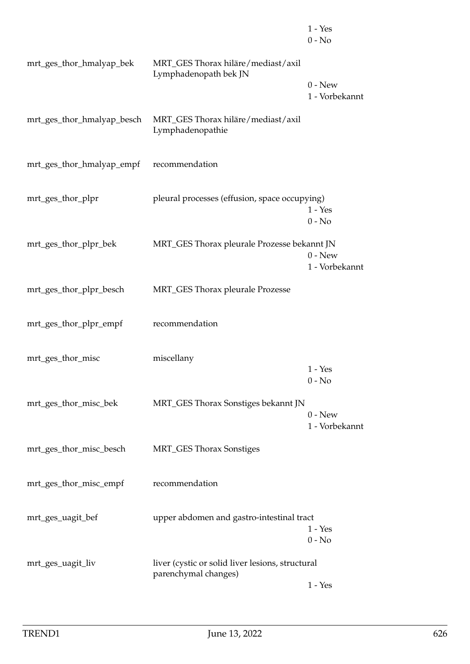|                            |                                                             | $1 - Yes$<br>$0 - No$       |
|----------------------------|-------------------------------------------------------------|-----------------------------|
| mrt_ges_thor_hmalyap_bek   | MRT_GES Thorax hiläre/mediast/axil<br>Lymphadenopath bek JN | $0$ - New                   |
| mrt_ges_thor_hmalyap_besch | MRT_GES Thorax hiläre/mediast/axil                          | 1 - Vorbekannt              |
|                            | Lymphadenopathie                                            |                             |
| mrt_ges_thor_hmalyap_empf  | recommendation                                              |                             |
| mrt_ges_thor_plpr          | pleural processes (effusion, space occupying)               | $1 - Yes$<br>$0 - No$       |
| mrt_ges_thor_plpr_bek      | MRT_GES Thorax pleurale Prozesse bekannt JN                 | $0 - New$                   |
|                            |                                                             | 1 - Vorbekannt              |
| mrt_ges_thor_plpr_besch    | MRT_GES Thorax pleurale Prozesse                            |                             |
| mrt_ges_thor_plpr_empf     | recommendation                                              |                             |
| mrt_ges_thor_misc          | miscellany                                                  | $1 - Yes$                   |
| mrt_ges_thor_misc_bek      | MRT_GES Thorax Sonstiges bekannt JN                         | $0 - No$                    |
|                            |                                                             | $0 - New$<br>1 - Vorbekannt |
| mrt_ges_thor_misc_besch    | <b>MRT_GES Thorax Sonstiges</b>                             |                             |
| mrt_ges_thor_misc_empf     | recommendation                                              |                             |
| mrt_ges_uagit_bef          | upper abdomen and gastro-intestinal tract                   | $1 - Yes$                   |
| mrt_ges_uagit_liv          | liver (cystic or solid liver lesions, structural            | $0 - No$                    |
|                            | parenchymal changes)                                        | $1 - Yes$                   |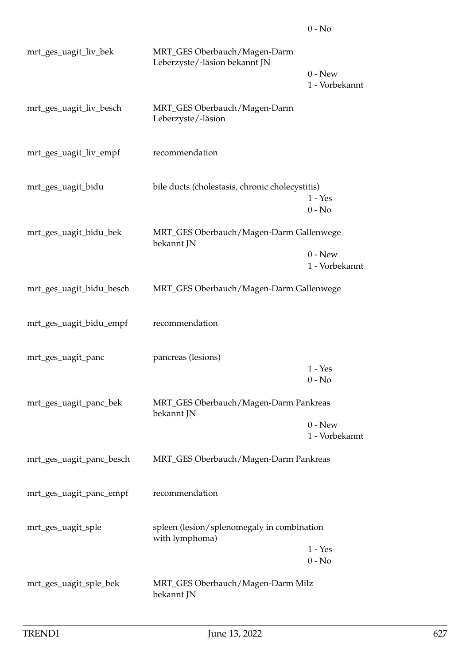| mrt_ges_uagit_liv_bek    | MRT_GES Oberbauch/Magen-Darm<br>Leberzyste/-läsion bekannt JN |                             |
|--------------------------|---------------------------------------------------------------|-----------------------------|
|                          |                                                               | $0 - New$<br>1 - Vorbekannt |
| mrt_ges_uagit_liv_besch  | MRT_GES Oberbauch/Magen-Darm<br>Leberzyste/-läsion            |                             |
| mrt_ges_uagit_liv_empf   | recommendation                                                |                             |
| mrt_ges_uagit_bidu       | bile ducts (cholestasis, chronic cholecystitis)               | $1 - Yes$<br>$0 - No$       |
| mrt_ges_uagit_bidu_bek   | MRT_GES Oberbauch/Magen-Darm Gallenwege                       |                             |
|                          | bekannt JN                                                    | $0 - New$<br>1 - Vorbekannt |
| mrt_ges_uagit_bidu_besch | MRT_GES Oberbauch/Magen-Darm Gallenwege                       |                             |
| mrt_ges_uagit_bidu_empf  | recommendation                                                |                             |
| mrt_ges_uagit_panc       | pancreas (lesions)                                            | $1 - Yes$                   |
|                          |                                                               | $0 - No$                    |
| mrt_ges_uagit_panc_bek   | MRT_GES Oberbauch/Magen-Darm Pankreas<br>bekannt JN           |                             |
|                          |                                                               | $0 - New$<br>1 - Vorbekannt |
| mrt_ges_uagit_panc_besch | MRT_GES Oberbauch/Magen-Darm Pankreas                         |                             |
| mrt_ges_uagit_panc_empf  | recommendation                                                |                             |
| mrt_ges_uagit_sple       | spleen (lesion/splenomegaly in combination<br>with lymphoma)  |                             |
|                          |                                                               | $1 - Yes$<br>$0 - No$       |
| mrt_ges_uagit_sple_bek   | MRT_GES Oberbauch/Magen-Darm Milz<br>bekannt JN               |                             |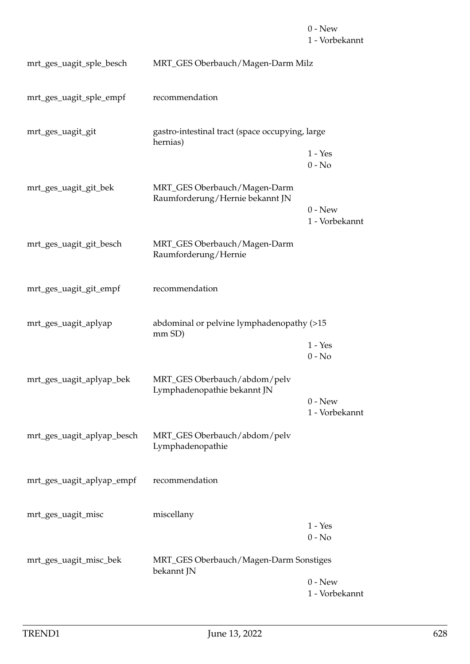## $0$  -  ${\hbox{New}}$ 1 - Vorbekannt

| mrt_ges_uagit_sple_besch   | MRT_GES Oberbauch/Magen-Darm Milz                               |                             |
|----------------------------|-----------------------------------------------------------------|-----------------------------|
| mrt_ges_uagit_sple_empf    | recommendation                                                  |                             |
| mrt_ges_uagit_git          | gastro-intestinal tract (space occupying, large<br>hernias)     |                             |
|                            |                                                                 | $1 - Yes$<br>$0 - No$       |
| mrt_ges_uagit_git_bek      | MRT_GES Oberbauch/Magen-Darm<br>Raumforderung/Hernie bekannt JN | $0 - New$                   |
|                            |                                                                 | 1 - Vorbekannt              |
| mrt_ges_uagit_git_besch    | MRT_GES Oberbauch/Magen-Darm<br>Raumforderung/Hernie            |                             |
| mrt_ges_uagit_git_empf     | recommendation                                                  |                             |
| mrt_ges_uagit_aplyap       | abdominal or pelvine lymphadenopathy (>15<br>mm SD)             |                             |
|                            |                                                                 | $1 - Yes$<br>$0 - No$       |
| mrt_ges_uagit_aplyap_bek   | MRT_GES Oberbauch/abdom/pelv<br>Lymphadenopathie bekannt JN     |                             |
|                            |                                                                 | $0 - New$<br>1 - Vorbekannt |
| mrt_ges_uagit_aplyap_besch | MRT_GES Oberbauch/abdom/pelv<br>Lymphadenopathie                |                             |
| mrt_ges_uagit_aplyap_empf  | recommendation                                                  |                             |
| mrt_ges_uagit_misc         | miscellany                                                      | $1 - Yes$<br>$0 - No$       |
| mrt_ges_uagit_misc_bek     | MRT_GES Oberbauch/Magen-Darm Sonstiges<br>bekannt JN            |                             |
|                            |                                                                 | $0$ - New<br>1 - Vorbekannt |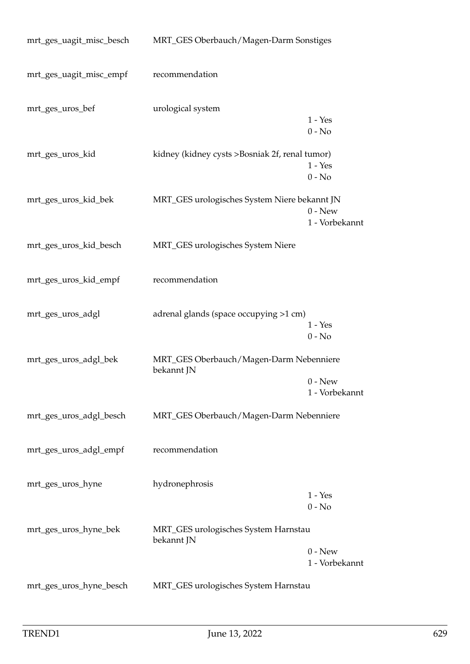| mrt_ges_uagit_misc_besch | MRT_GES Oberbauch/Magen-Darm Sonstiges                |                             |
|--------------------------|-------------------------------------------------------|-----------------------------|
| mrt_ges_uagit_misc_empf  | recommendation                                        |                             |
| mrt_ges_uros_bef         | urological system                                     | $1 - Yes$<br>$0 - No$       |
| mrt_ges_uros_kid         | kidney (kidney cysts >Bosniak 2f, renal tumor)        | $1 - Yes$<br>$0 - No$       |
| mrt_ges_uros_kid_bek     | MRT_GES urologisches System Niere bekannt JN          | $0 - New$<br>1 - Vorbekannt |
| mrt_ges_uros_kid_besch   | MRT_GES urologisches System Niere                     |                             |
| mrt_ges_uros_kid_empf    | recommendation                                        |                             |
| mrt_ges_uros_adgl        | adrenal glands (space occupying >1 cm)                | $1 - Yes$<br>$0 - No$       |
| mrt_ges_uros_adgl_bek    | MRT_GES Oberbauch/Magen-Darm Nebenniere<br>bekannt JN | $0 - New$<br>1 - Vorbekannt |
| mrt_ges_uros_adgl_besch  | MRT_GES Oberbauch/Magen-Darm Nebenniere               |                             |
| mrt_ges_uros_adgl_empf   | recommendation                                        |                             |
| mrt_ges_uros_hyne        | hydronephrosis                                        | $1 - Yes$<br>$0 - No$       |
| mrt_ges_uros_hyne_bek    | MRT_GES urologisches System Harnstau<br>bekannt JN    | $0$ - New<br>1 - Vorbekannt |
| mrt_ges_uros_hyne_besch  | MRT_GES urologisches System Harnstau                  |                             |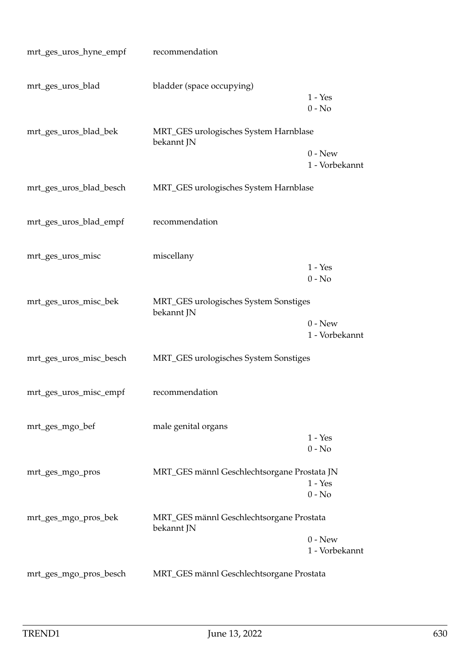| mrt_ges_uros_hyne_empf  | recommendation                                         |                             |
|-------------------------|--------------------------------------------------------|-----------------------------|
| mrt_ges_uros_blad       | bladder (space occupying)                              | $1 - Yes$<br>$0 - No$       |
| mrt_ges_uros_blad_bek   | MRT_GES urologisches System Harnblase<br>bekannt JN    | $0 - New$<br>1 - Vorbekannt |
| mrt_ges_uros_blad_besch | MRT_GES urologisches System Harnblase                  |                             |
| mrt_ges_uros_blad_empf  | recommendation                                         |                             |
| mrt_ges_uros_misc       | miscellany                                             | $1 - Yes$<br>$0 - No$       |
| mrt_ges_uros_misc_bek   | MRT_GES urologisches System Sonstiges<br>bekannt JN    | $0$ - New<br>1 - Vorbekannt |
| mrt_ges_uros_misc_besch | MRT_GES urologisches System Sonstiges                  |                             |
| mrt_ges_uros_misc_empf  | recommendation                                         |                             |
| mrt_ges_mgo_bef         | male genital organs                                    | $1 - Yes$<br>$0 - No$       |
| mrt_ges_mgo_pros        | MRT_GES männl Geschlechtsorgane Prostata JN            | $1 - Yes$<br>$0 - No$       |
| mrt_ges_mgo_pros_bek    | MRT_GES männl Geschlechtsorgane Prostata<br>bekannt JN | $0 - New$<br>1 - Vorbekannt |
| mrt_ges_mgo_pros_besch  | MRT_GES männl Geschlechtsorgane Prostata               |                             |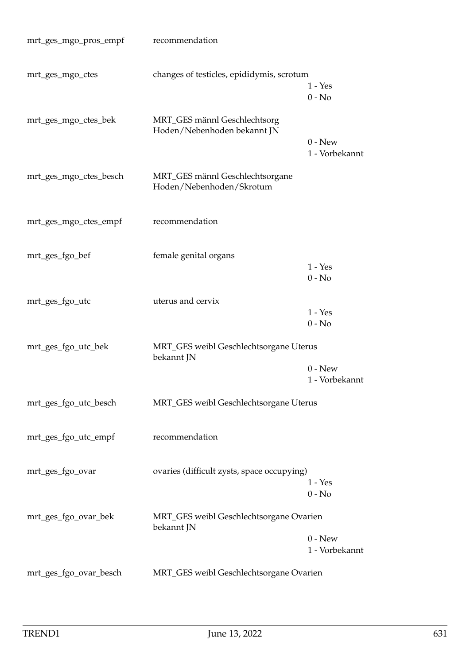| mrt_ges_mgo_pros_empf  | recommendation                                              |                             |
|------------------------|-------------------------------------------------------------|-----------------------------|
| mrt_ges_mgo_ctes       | changes of testicles, epididymis, scrotum                   | $1 - Yes$<br>$0 - No$       |
| mrt_ges_mgo_ctes_bek   | MRT_GES männl Geschlechtsorg<br>Hoden/Nebenhoden bekannt JN | $0 - New$                   |
| mrt_ges_mgo_ctes_besch | MRT_GES männl Geschlechtsorgane<br>Hoden/Nebenhoden/Skrotum | 1 - Vorbekannt              |
| mrt_ges_mgo_ctes_empf  | recommendation                                              |                             |
| mrt_ges_fgo_bef        | female genital organs                                       | $1 - Yes$<br>$0 - No$       |
| mrt_ges_fgo_utc        | uterus and cervix                                           | $1 - Yes$<br>$0 - No$       |
| mrt_ges_fgo_utc_bek    | MRT_GES weibl Geschlechtsorgane Uterus<br>bekannt JN        |                             |
|                        |                                                             | $0 - New$<br>1 - Vorbekannt |
| mrt_ges_fgo_utc_besch  | MRT_GES weibl Geschlechtsorgane Uterus                      |                             |
| mrt_ges_fgo_utc_empf   | recommendation                                              |                             |
| mrt_ges_fgo_ovar       | ovaries (difficult zysts, space occupying)                  | $1 - Yes$<br>$0 - No$       |
| mrt_ges_fgo_ovar_bek   | MRT_GES weibl Geschlechtsorgane Ovarien<br>bekannt JN       |                             |
|                        |                                                             | $0 - New$<br>1 - Vorbekannt |
| mrt_ges_fgo_ovar_besch | MRT_GES weibl Geschlechtsorgane Ovarien                     |                             |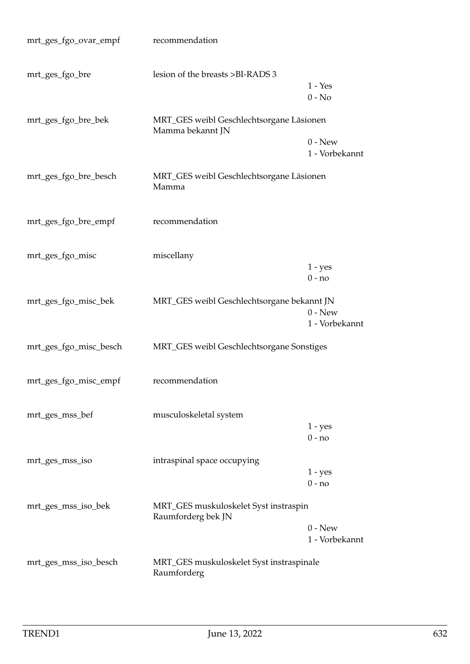| mrt_ges_fgo_ovar_empf  | recommendation                                               |                             |
|------------------------|--------------------------------------------------------------|-----------------------------|
| mrt_ges_fgo_bre        | lesion of the breasts >BI-RADS 3                             | $1 - Yes$<br>$0 - No$       |
| mrt_ges_fgo_bre_bek    | MRT_GES weibl Geschlechtsorgane Läsionen<br>Mamma bekannt JN |                             |
|                        |                                                              | $0 - New$<br>1 - Vorbekannt |
| mrt_ges_fgo_bre_besch  | MRT_GES weibl Geschlechtsorgane Läsionen<br>Mamma            |                             |
| mrt_ges_fgo_bre_empf   | recommendation                                               |                             |
| mrt_ges_fgo_misc       | miscellany                                                   | $1 - yes$                   |
|                        |                                                              | $0 - no$                    |
| mrt_ges_fgo_misc_bek   | MRT_GES weibl Geschlechtsorgane bekannt JN                   | $0 - New$<br>1 - Vorbekannt |
| mrt_ges_fgo_misc_besch | MRT_GES weibl Geschlechtsorgane Sonstiges                    |                             |
| mrt_ges_fgo_misc_empf  | recommendation                                               |                             |
| mrt_ges_mss_bef        | musculoskeletal system                                       |                             |
|                        |                                                              | $1 - yes$<br>$0 - no$       |
| mrt_ges_mss_iso        | intraspinal space occupying                                  | $1 - yes$<br>$0 - no$       |
| mrt_ges_mss_iso_bek    | MRT_GES muskuloskelet Syst instraspin<br>Raumforderg bek JN  |                             |
|                        |                                                              | $0 - New$<br>1 - Vorbekannt |
| mrt_ges_mss_iso_besch  | MRT_GES muskuloskelet Syst instraspinale<br>Raumforderg      |                             |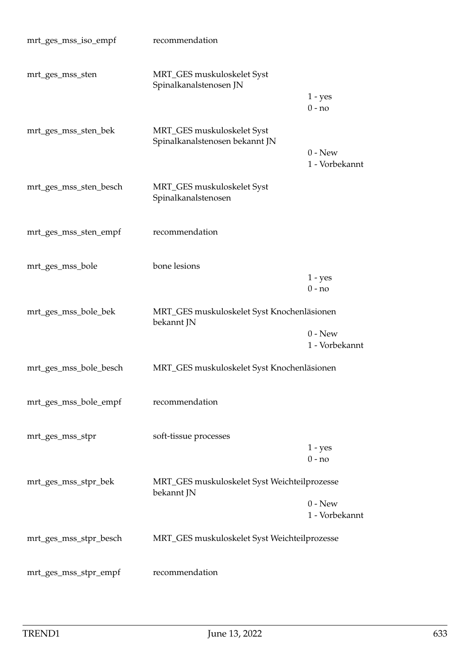| mrt_ges_mss_iso_empf   | recommendation                                               |                             |
|------------------------|--------------------------------------------------------------|-----------------------------|
| mrt_ges_mss_sten       | MRT_GES muskuloskelet Syst<br>Spinalkanalstenosen JN         |                             |
|                        |                                                              | $1 - yes$<br>$0 - no$       |
| mrt_ges_mss_sten_bek   | MRT_GES muskuloskelet Syst<br>Spinalkanalstenosen bekannt JN |                             |
|                        |                                                              | $0 - New$<br>1 - Vorbekannt |
| mrt_ges_mss_sten_besch | MRT_GES muskuloskelet Syst<br>Spinalkanalstenosen            |                             |
| mrt_ges_mss_sten_empf  | recommendation                                               |                             |
| mrt_ges_mss_bole       | bone lesions                                                 | $1 - yes$                   |
|                        |                                                              | $0 - no$                    |
| mrt_ges_mss_bole_bek   | MRT_GES muskuloskelet Syst Knochenläsionen<br>bekannt JN     |                             |
|                        |                                                              | $0 - New$<br>1 - Vorbekannt |
| mrt_ges_mss_bole_besch | MRT_GES muskuloskelet Syst Knochenläsionen                   |                             |
| mrt_ges_mss_bole_empf  | recommendation                                               |                             |
| mrt_ges_mss_stpr       | soft-tissue processes                                        |                             |
|                        |                                                              | $1 - yes$<br>$0 - no$       |
| mrt_ges_mss_stpr_bek   | MRT_GES muskuloskelet Syst Weichteilprozesse<br>bekannt JN   |                             |
|                        |                                                              | $0 - New$<br>1 - Vorbekannt |
|                        |                                                              |                             |
| mrt_ges_mss_stpr_besch | MRT_GES muskuloskelet Syst Weichteilprozesse                 |                             |
| mrt_ges_mss_stpr_empf  | recommendation                                               |                             |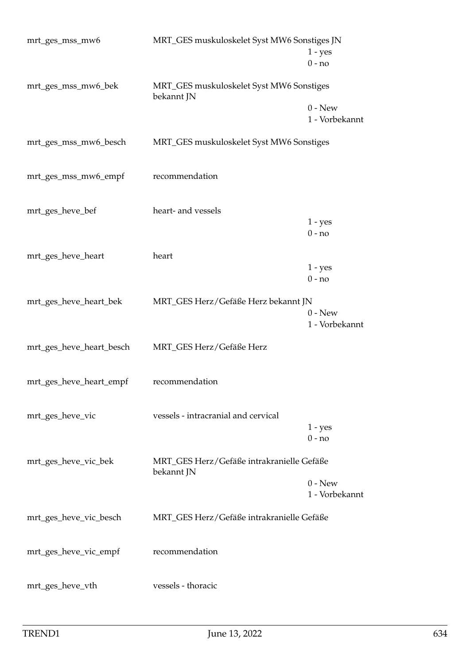| mrt_ges_mss_mw6          | MRT_GES muskuloskelet Syst MW6 Sonstiges JN             |                             |
|--------------------------|---------------------------------------------------------|-----------------------------|
|                          |                                                         | $1 - yes$                   |
|                          |                                                         | $0 - no$                    |
| mrt_ges_mss_mw6_bek      | MRT_GES muskuloskelet Syst MW6 Sonstiges<br>bekannt JN  | $0 - New$                   |
|                          |                                                         | 1 - Vorbekannt              |
| mrt_ges_mss_mw6_besch    | MRT_GES muskuloskelet Syst MW6 Sonstiges                |                             |
| mrt_ges_mss_mw6_empf     | recommendation                                          |                             |
|                          |                                                         |                             |
| mrt_ges_heve_bef         | heart- and vessels                                      | $1 - yes$<br>$0 - no$       |
|                          |                                                         |                             |
| mrt_ges_heve_heart       | heart                                                   |                             |
|                          |                                                         | $1 - yes$<br>$0 - no$       |
|                          |                                                         |                             |
| mrt_ges_heve_heart_bek   | MRT_GES Herz/Gefäße Herz bekannt JN                     |                             |
|                          |                                                         | $0 - New$<br>1 - Vorbekannt |
|                          | MRT_GES Herz/Gefäße Herz                                |                             |
| mrt_ges_heve_heart_besch |                                                         |                             |
|                          |                                                         |                             |
| mrt_ges_heve_heart_empf  | recommendation                                          |                             |
|                          |                                                         |                             |
| mrt_ges_heve_vic         | vessels - intracranial and cervical                     |                             |
|                          |                                                         | $1 - yes$                   |
|                          |                                                         | $0 - no$                    |
|                          |                                                         |                             |
| mrt_ges_heve_vic_bek     | MRT_GES Herz/Gefäße intrakranielle Gefäße<br>bekannt JN |                             |
|                          |                                                         | $0 - New$                   |
|                          |                                                         | 1 - Vorbekannt              |
|                          |                                                         |                             |
| mrt_ges_heve_vic_besch   | MRT_GES Herz/Gefäße intrakranielle Gefäße               |                             |
|                          |                                                         |                             |
| mrt_ges_heve_vic_empf    | recommendation                                          |                             |
|                          |                                                         |                             |
|                          |                                                         |                             |
| mrt_ges_heve_vth         | vessels - thoracic                                      |                             |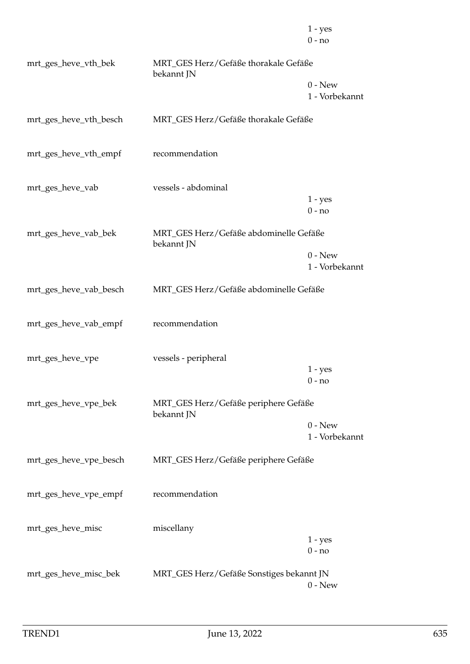|                        |                                                      | $1 - yes$<br>$0 - no$       |
|------------------------|------------------------------------------------------|-----------------------------|
| mrt_ges_heve_vth_bek   | MRT_GES Herz/Gefäße thorakale Gefäße<br>bekannt JN   |                             |
|                        |                                                      | $0 - New$<br>1 - Vorbekannt |
| mrt_ges_heve_vth_besch | MRT_GES Herz/Gefäße thorakale Gefäße                 |                             |
| mrt_ges_heve_vth_empf  | recommendation                                       |                             |
| mrt_ges_heve_vab       | vessels - abdominal                                  | $1 - yes$                   |
|                        |                                                      | $0 - no$                    |
| mrt_ges_heve_vab_bek   | MRT_GES Herz/Gefäße abdominelle Gefäße<br>bekannt JN |                             |
|                        |                                                      | $0 - New$<br>1 - Vorbekannt |
| mrt_ges_heve_vab_besch | MRT_GES Herz/Gefäße abdominelle Gefäße               |                             |
| mrt_ges_heve_vab_empf  | recommendation                                       |                             |
| mrt_ges_heve_vpe       | vessels - peripheral                                 |                             |
|                        |                                                      | $1 - yes$<br>$0 - no$       |
| mrt_ges_heve_vpe_bek   | MRT_GES Herz/Gefäße periphere Gefäße<br>bekannt JN   |                             |
|                        |                                                      | $0 - New$<br>1 - Vorbekannt |
| mrt_ges_heve_vpe_besch | MRT_GES Herz/Gefäße periphere Gefäße                 |                             |
| mrt_ges_heve_vpe_empf  | recommendation                                       |                             |
| mrt_ges_heve_misc      | miscellany                                           |                             |
|                        |                                                      | $1 - yes$<br>$0 - no$       |
| mrt_ges_heve_misc_bek  | MRT_GES Herz/Gefäße Sonstiges bekannt JN             | $0 - New$                   |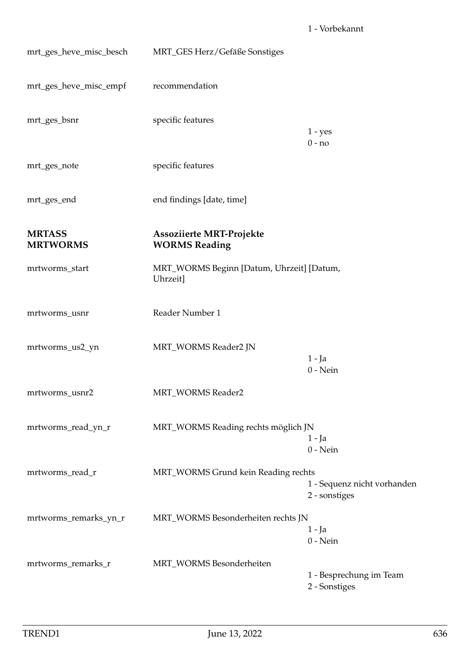| mrt_ges_heve_misc_besch          | MRT_GES Herz/Gefäße Sonstiges                         |                                              |
|----------------------------------|-------------------------------------------------------|----------------------------------------------|
| mrt_ges_heve_misc_empf           | recommendation                                        |                                              |
| mrt_ges_bsnr                     | specific features                                     | $1 - yes$<br>$0 - no$                        |
| mrt_ges_note                     | specific features                                     |                                              |
| mrt_ges_end                      | end findings [date, time]                             |                                              |
| <b>MRTASS</b><br><b>MRTWORMS</b> | Assoziierte MRT-Projekte<br><b>WORMS Reading</b>      |                                              |
| mrtworms_start                   | MRT_WORMS Beginn [Datum, Uhrzeit] [Datum,<br>Uhrzeit] |                                              |
| mrtworms_usnr                    | Reader Number 1                                       |                                              |
| mrtworms_us2_yn                  | MRT_WORMS Reader2 JN                                  | $1 - Ja$<br>$0$ - Nein                       |
| mrtworms_usnr2                   | MRT_WORMS Reader2                                     |                                              |
| mrtworms_read_yn_r               | MRT_WORMS Reading rechts möglich JN                   | 1 - Ja<br>$0$ - Nein                         |
| mrtworms_read_r                  | MRT_WORMS Grund kein Reading rechts                   | 1 - Sequenz nicht vorhanden<br>2 - sonstiges |
| mrtworms_remarks_yn_r            | MRT_WORMS Besonderheiten rechts JN                    | $1 - Ja$<br>$0$ - Nein                       |
| mrtworms_remarks_r               | MRT_WORMS Besonderheiten                              | 1 - Besprechung im Team<br>2 - Sonstiges     |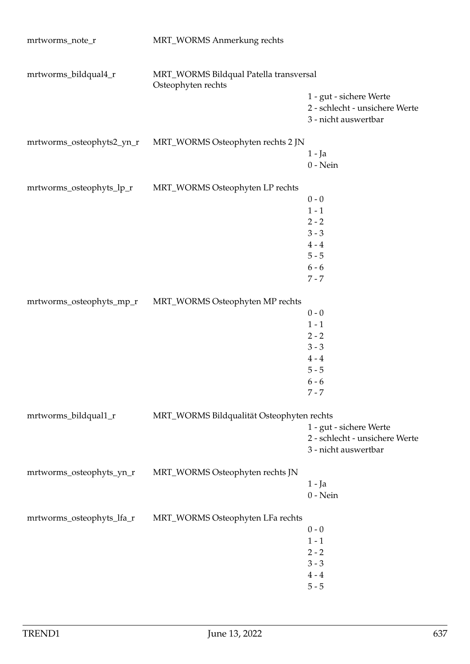| mrtworms_note_r           | MRT_WORMS Anmerkung rechts                                   |                                                                                   |
|---------------------------|--------------------------------------------------------------|-----------------------------------------------------------------------------------|
| mrtworms_bildqual4_r      | MRT_WORMS Bildqual Patella transversal<br>Osteophyten rechts |                                                                                   |
|                           |                                                              | 1 - gut - sichere Werte<br>2 - schlecht - unsichere Werte<br>3 - nicht auswertbar |
| mrtworms_osteophyts2_yn_r | MRT_WORMS Osteophyten rechts 2 JN                            |                                                                                   |
|                           |                                                              | $1 - Ja$<br>$0$ - Nein                                                            |
| mrtworms_osteophyts_lp_r  | MRT_WORMS Osteophyten LP rechts                              |                                                                                   |
|                           |                                                              | $0 - 0$                                                                           |
|                           |                                                              | $1 - 1$                                                                           |
|                           |                                                              | $2 - 2$                                                                           |
|                           |                                                              | $3 - 3$                                                                           |
|                           |                                                              | $4 - 4$                                                                           |
|                           |                                                              | $5 - 5$                                                                           |
|                           |                                                              | $6 - 6$                                                                           |
|                           |                                                              | $7 - 7$                                                                           |
| mrtworms_osteophyts_mp_r  | MRT_WORMS Osteophyten MP rechts                              |                                                                                   |
|                           |                                                              | $0 - 0$                                                                           |
|                           |                                                              | $1 - 1$                                                                           |
|                           |                                                              | $2 - 2$                                                                           |
|                           |                                                              | $3 - 3$                                                                           |
|                           |                                                              | $4 - 4$                                                                           |
|                           |                                                              | $5 - 5$                                                                           |
|                           |                                                              | $6 - 6$                                                                           |
|                           |                                                              | $7 - 7$                                                                           |
| mrtworms_bildqual1_r      | MRT_WORMS Bildqualität Osteophyten rechts                    |                                                                                   |
|                           |                                                              | 1 - gut - sichere Werte                                                           |
|                           |                                                              | 2 - schlecht - unsichere Werte                                                    |
|                           |                                                              | 3 - nicht auswertbar                                                              |
| mrtworms_osteophyts_yn_r  |                                                              |                                                                                   |
|                           | MRT_WORMS Osteophyten rechts JN                              | $1 - Ja$                                                                          |
|                           |                                                              | $0$ - Nein                                                                        |
|                           |                                                              |                                                                                   |
| mrtworms_osteophyts_lfa_r | MRT_WORMS Osteophyten LFa rechts                             |                                                                                   |
|                           |                                                              | $0 - 0$                                                                           |
|                           |                                                              | $1 - 1$                                                                           |
|                           |                                                              | $2 - 2$                                                                           |
|                           |                                                              | $3 - 3$                                                                           |
|                           |                                                              | $4 - 4$                                                                           |
|                           |                                                              | $5 - 5$                                                                           |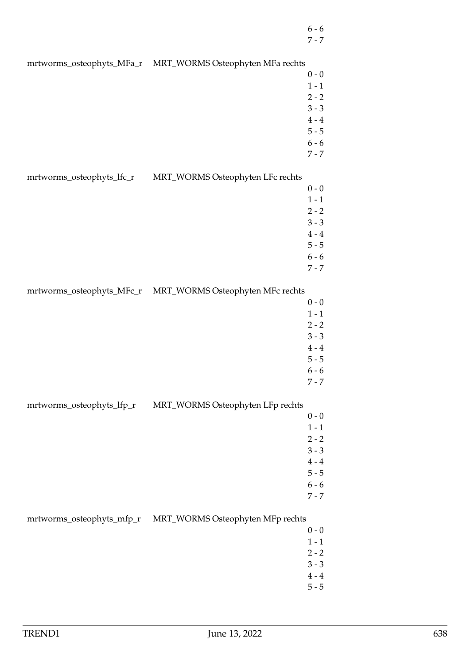- 6 6
- 7 7

mrtworms\_osteophyts\_MFa\_r MRT\_WORMS Osteophyten MFa rechts

- $0 0$  $1 - 1$  $2 - 2$ 3 - 3
	- $4 4$
	- 5 5 6 - 6
	- 7 7

mrtworms\_osteophyts\_lfc\_r MRT\_WORMS Osteophyten LFc rechts

- $0 0$ 1 - 1
- $2 2$
- 3 3
- $4 4$
- 5 5
- 6 6 7 - 7

mrtworms\_osteophyts\_MFc\_r MRT\_WORMS Osteophyten MFc rechts

- $0 0$
- $1 1$
- $2 2$ 3 - 3
- $4 4$
- 5 5
- 6 6
- 7 7

mrtworms\_osteophyts\_lfp\_r MRT\_WORMS Osteophyten LFp rechts

- $0 0$
- $1 1$
- $2 2$
- 3 3  $4 - 4$
- $5 5$
- 6 6
- 7 7

## mrtworms\_osteophyts\_mfp\_r MRT\_WORMS Osteophyten MFp rechts

- $0 0$  $1 - 1$
- $2 2$
- 3 3
- $4 4$
- 5 5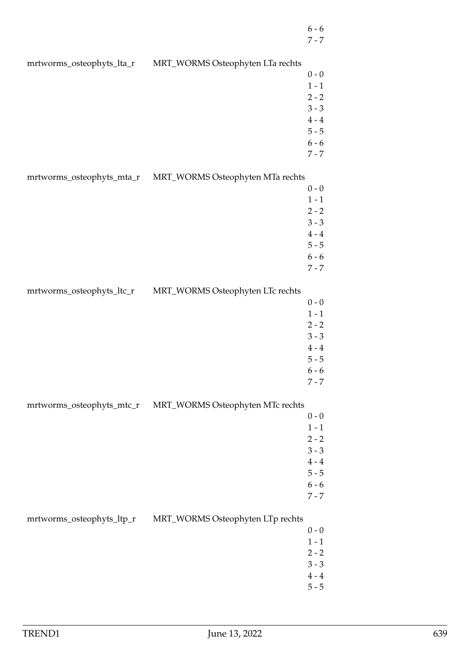- 6 6
- 7 7

mrtworms\_osteophyts\_lta\_r MRT\_WORMS Osteophyten LTa rechts  $0 - 0$  $1 - 1$  $2 - 2$ 3 - 3  $4 - 4$ 5 - 5 6 - 6 7 - 7 mrtworms\_osteophyts\_mta\_r MRT\_WORMS Osteophyten MTa rechts  $0 - 0$ 1 - 1  $2 - 2$ 3 - 3  $4 - 4$ 5 - 5 6 - 6 7 - 7 mrtworms\_osteophyts\_ltc\_r MRT\_WORMS Osteophyten LTc rechts  $0 - 0$  $1 - 1$  $2 - 2$ 3 - 3  $4 - 4$ 5 - 5 6 - 6 7 - 7 mrtworms\_osteophyts\_mtc\_r MRT\_WORMS Osteophyten MTc rechts  $0 - 0$  $1 - 1$  $2 - 2$ 3 - 3  $4 - 4$ 5 - 5 6 - 6 7 - 7 mrtworms\_osteophyts\_ltp\_r MRT\_WORMS Osteophyten LTp rechts  $0 - 0$  $1 - 1$  $2 - 2$ 3 - 3  $4 - 4$ 5 - 5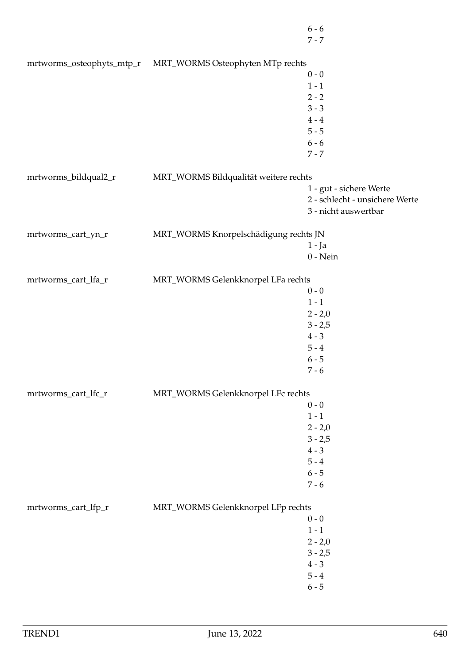|                      | mrtworms_osteophyts_mtp_r MRT_WORMS Osteophyten MTp rechts |                                |
|----------------------|------------------------------------------------------------|--------------------------------|
|                      |                                                            | $0 - 0$                        |
|                      |                                                            | $1 - 1$                        |
|                      |                                                            | $2 - 2$                        |
|                      |                                                            | $3 - 3$                        |
|                      |                                                            | $4\,$ - $4\,$                  |
|                      |                                                            | $5 - 5$                        |
|                      |                                                            | $6 - 6$                        |
|                      |                                                            | $7 - 7$                        |
| mrtworms_bildqual2_r | MRT_WORMS Bildqualität weitere rechts                      |                                |
|                      |                                                            | 1 - gut - sichere Werte        |
|                      |                                                            | 2 - schlecht - unsichere Werte |
|                      |                                                            | 3 - nicht auswertbar           |
| mrtworms_cart_yn_r   | MRT_WORMS Knorpelschädigung rechts JN                      |                                |
|                      |                                                            | $1 - Ja$                       |
|                      |                                                            | $0$ - Nein                     |
|                      |                                                            |                                |
| mrtworms_cart_lfa_r  | MRT_WORMS Gelenkknorpel LFa rechts                         |                                |
|                      |                                                            | $0 - 0$                        |
|                      |                                                            | $1 - 1$                        |
|                      |                                                            | $2 - 2,0$                      |
|                      |                                                            | $3 - 2,5$                      |
|                      |                                                            | $4 - 3$                        |
|                      |                                                            | $5 - 4$                        |
|                      |                                                            | $6 - 5$                        |
|                      |                                                            | $7 - 6$                        |
| mrtworms_cart_lfc_r  | MRT_WORMS Gelenkknorpel LFc rechts                         |                                |
|                      |                                                            | $0 - 0$                        |
|                      |                                                            | $1 - 1$                        |
|                      |                                                            | $2 - 2,0$                      |
|                      |                                                            | $3 - 2,5$                      |
|                      |                                                            | $4 - 3$                        |
|                      |                                                            | $5 - 4$                        |
|                      |                                                            | $6 - 5$                        |
|                      |                                                            | $7 - 6$                        |
| mrtworms_cart_lfp_r  | MRT_WORMS Gelenkknorpel LFp rechts                         |                                |
|                      |                                                            | $0 - 0$                        |
|                      |                                                            | $1 - 1$                        |
|                      |                                                            | $2 - 2,0$                      |
|                      |                                                            | $3 - 2,5$                      |
|                      |                                                            | $4 - 3$                        |
|                      |                                                            | $5 - 4$                        |
|                      |                                                            | $6 - 5$                        |
|                      |                                                            |                                |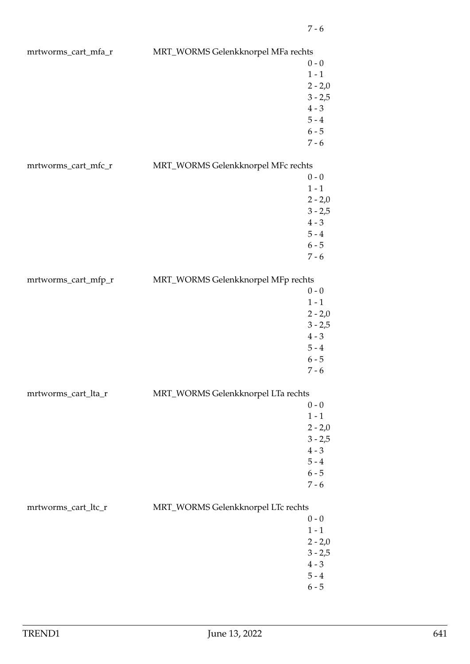| mrtworms_cart_mfa_r | MRT_WORMS Gelenkknorpel MFa rechts |           |
|---------------------|------------------------------------|-----------|
|                     |                                    | $0 - 0$   |
|                     |                                    | $1 - 1$   |
|                     |                                    | $2 - 2,0$ |
|                     |                                    |           |
|                     |                                    | $3 - 2,5$ |
|                     |                                    | $4 - 3$   |
|                     |                                    | $5 - 4$   |
|                     |                                    | $6 - 5$   |
|                     |                                    | $7 - 6$   |
| mrtworms_cart_mfc_r | MRT_WORMS Gelenkknorpel MFc rechts |           |
|                     |                                    | $0 - 0$   |
|                     |                                    | $1 - 1$   |
|                     |                                    | $2 - 2,0$ |
|                     |                                    | $3 - 2,5$ |
|                     |                                    |           |
|                     |                                    | $4 - 3$   |
|                     |                                    | $5 - 4$   |
|                     |                                    | $6 - 5$   |
|                     |                                    | $7 - 6$   |
| mrtworms_cart_mfp_r | MRT_WORMS Gelenkknorpel MFp rechts |           |
|                     |                                    | $0 - 0$   |
|                     |                                    | $1 - 1$   |
|                     |                                    |           |
|                     |                                    | $2 - 2,0$ |
|                     |                                    | $3 - 2,5$ |
|                     |                                    | $4 - 3$   |
|                     |                                    | $5 - 4$   |
|                     |                                    | $6 - 5$   |
|                     |                                    | $7 - 6$   |
| mrtworms_cart_lta_r | MRT_WORMS Gelenkknorpel LTa rechts |           |
|                     |                                    | $0 - 0$   |
|                     |                                    | $1 - 1$   |
|                     |                                    | $2 - 2,0$ |
|                     |                                    | $3 - 2,5$ |
|                     |                                    | $4 - 3$   |
|                     |                                    |           |
|                     |                                    | $5 - 4$   |
|                     |                                    | $6 - 5$   |
|                     |                                    | $7 - 6$   |
| mrtworms_cart_ltc_r | MRT_WORMS Gelenkknorpel LTc rechts |           |
|                     |                                    | $0 - 0$   |
|                     |                                    | $1 - 1$   |
|                     |                                    | $2 - 2,0$ |
|                     |                                    | $3 - 2,5$ |
|                     |                                    |           |
|                     |                                    | $4 - 3$   |
|                     |                                    | $5 - 4$   |
|                     |                                    | $6 - 5$   |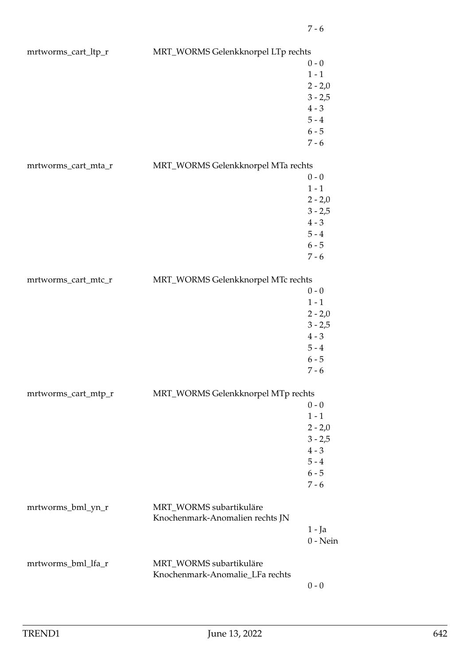| mrtworms_cart_ltp_r | MRT_WORMS Gelenkknorpel LTp rechts |            |
|---------------------|------------------------------------|------------|
|                     |                                    | $0 - 0$    |
|                     |                                    | $1 - 1$    |
|                     |                                    | $2 - 2,0$  |
|                     |                                    | $3 - 2,5$  |
|                     |                                    | $4 - 3$    |
|                     |                                    | $5 - 4$    |
|                     |                                    | $6 - 5$    |
|                     |                                    | $7 - 6$    |
|                     |                                    |            |
| mrtworms_cart_mta_r | MRT_WORMS Gelenkknorpel MTa rechts |            |
|                     |                                    | $0 - 0$    |
|                     |                                    | $1 - 1$    |
|                     |                                    | $2 - 2,0$  |
|                     |                                    | $3 - 2,5$  |
|                     |                                    | $4 - 3$    |
|                     |                                    | $5 - 4$    |
|                     |                                    | $6 - 5$    |
|                     |                                    | $7 - 6$    |
| mrtworms_cart_mtc_r | MRT_WORMS Gelenkknorpel MTc rechts |            |
|                     |                                    | $0 - 0$    |
|                     |                                    | $1 - 1$    |
|                     |                                    | $2 - 2,0$  |
|                     |                                    | $3 - 2,5$  |
|                     |                                    | $4 - 3$    |
|                     |                                    | $5 - 4$    |
|                     |                                    | $6 - 5$    |
|                     |                                    |            |
|                     |                                    | $7 - 6$    |
| mrtworms_cart_mtp_r | MRT_WORMS Gelenkknorpel MTp rechts |            |
|                     |                                    | $0 - 0$    |
|                     |                                    | $1 - 1$    |
|                     |                                    | $2 - 2,0$  |
|                     |                                    | $3 - 2,5$  |
|                     |                                    | $4 - 3$    |
|                     |                                    | $5 - 4$    |
|                     |                                    | $6 - 5$    |
|                     |                                    | $7 - 6$    |
| mrtworms_bml_yn_r   | MRT_WORMS subartikuläre            |            |
|                     | Knochenmark-Anomalien rechts JN    |            |
|                     |                                    | $1 - Ja$   |
|                     |                                    | $0$ - Nein |
|                     |                                    |            |
| mrtworms_bml_lfa_r  | MRT_WORMS subartikuläre            |            |
|                     | Knochenmark-Anomalie_LFa rechts    |            |
|                     |                                    | $0 - 0$    |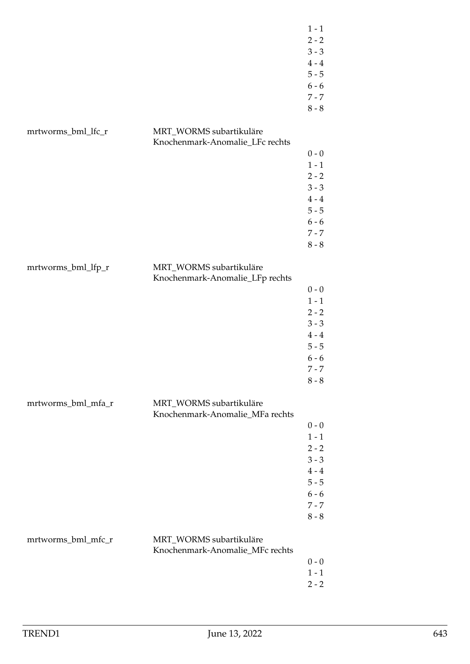|                    |                                                            | $1 - 1$            |
|--------------------|------------------------------------------------------------|--------------------|
|                    |                                                            | $2 - 2$<br>$3 - 3$ |
|                    |                                                            | $4 - 4$            |
|                    |                                                            | $5 - 5$            |
|                    |                                                            | $6 - 6$            |
|                    |                                                            |                    |
|                    |                                                            | $7 - 7$<br>$8 - 8$ |
|                    |                                                            |                    |
| mrtworms_bml_lfc_r | MRT_WORMS subartikuläre                                    |                    |
|                    | Knochenmark-Anomalie_LFc rechts                            |                    |
|                    |                                                            | $0 - 0$            |
|                    |                                                            | $1 - 1$            |
|                    |                                                            | $2 - 2$            |
|                    |                                                            | $3 - 3$            |
|                    |                                                            | $4 - 4$            |
|                    |                                                            | $5 - 5$            |
|                    |                                                            | $6 - 6$            |
|                    |                                                            | $7 - 7$            |
|                    |                                                            | $8 - 8$            |
|                    |                                                            |                    |
| mrtworms_bml_lfp_r | MRT_WORMS subartikuläre                                    |                    |
|                    | Knochenmark-Anomalie_LFp rechts                            |                    |
|                    |                                                            | $0$ - $0$          |
|                    |                                                            | $1 - 1$            |
|                    |                                                            | $2 - 2$            |
|                    |                                                            | $3 - 3$            |
|                    |                                                            | $4 - 4$            |
|                    |                                                            | $5 - 5$            |
|                    |                                                            | $6 - 6$            |
|                    |                                                            | $7 - 7$            |
|                    |                                                            | $8 - 8$            |
|                    |                                                            |                    |
| mrtworms_bml_mfa_r | MRT_WORMS subartikuläre<br>Knochenmark-Anomalie_MFa rechts |                    |
|                    |                                                            | $0 - 0$            |
|                    |                                                            | $1 - 1$            |
|                    |                                                            | $2 - 2$            |
|                    |                                                            | $3 - 3$            |
|                    |                                                            | $4 - 4$            |
|                    |                                                            | $5 - 5$            |
|                    |                                                            | $6 - 6$            |
|                    |                                                            | $7 - 7$            |
|                    |                                                            | $8 - 8$            |
|                    |                                                            |                    |
| mrtworms_bml_mfc_r | MRT_WORMS subartikuläre                                    |                    |
|                    | Knochenmark-Anomalie_MFc rechts                            |                    |
|                    |                                                            | $0 - 0$            |
|                    |                                                            | $1 - 1$            |
|                    |                                                            | $2 - 2$            |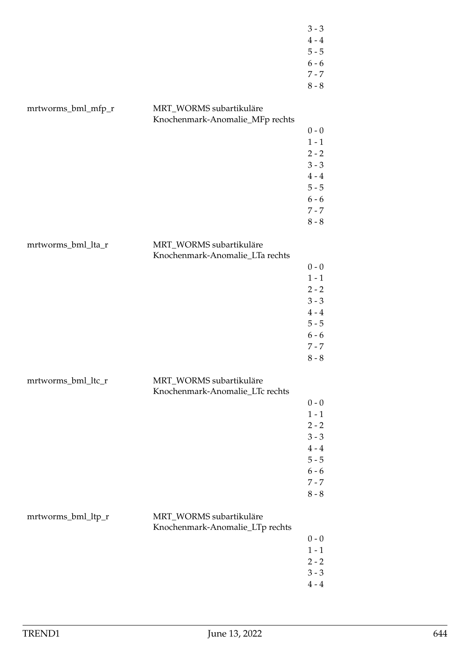|                    |                                                            | $3 - 3$<br>$4\,\text{-}\,4$<br>$5 - 5$<br>$6 - 6$<br>$7 - 7$<br>$8 - 8$                                  |
|--------------------|------------------------------------------------------------|----------------------------------------------------------------------------------------------------------|
| mrtworms_bml_mfp_r | MRT_WORMS subartikuläre<br>Knochenmark-Anomalie_MFp rechts | $0 - 0$<br>$1 - 1$<br>$2 - 2$<br>$3 - 3$<br>$4 - 4$<br>$5 - 5$<br>$6 - 6$<br>$7 - 7$<br>$8 - 8$          |
| mrtworms_bml_lta_r | MRT_WORMS subartikuläre<br>Knochenmark-Anomalie_LTa rechts | $0 - 0$<br>$1 - 1$<br>$2 - 2$<br>$3 - 3$<br>$4\,\text{-}\,4$<br>$5 - 5$<br>$6 - 6$<br>$7 - 7$<br>$8 - 8$ |
| mrtworms_bml_ltc_r | MRT_WORMS subartikuläre<br>Knochenmark-Anomalie_LTc rechts | $0 - 0$<br>$1 - 1$<br>$2 - 2$<br>$3 - 3$<br>$4 - 4$<br>$5 - 5$<br>$6 - 6$<br>$7 - 7$<br>$8 - 8$          |
| mrtworms_bml_ltp_r | MRT_WORMS subartikuläre<br>Knochenmark-Anomalie_LTp rechts | $0 - 0$<br>$1 - 1$<br>$2 - 2$<br>$3 - 3$<br>$4 - 4$                                                      |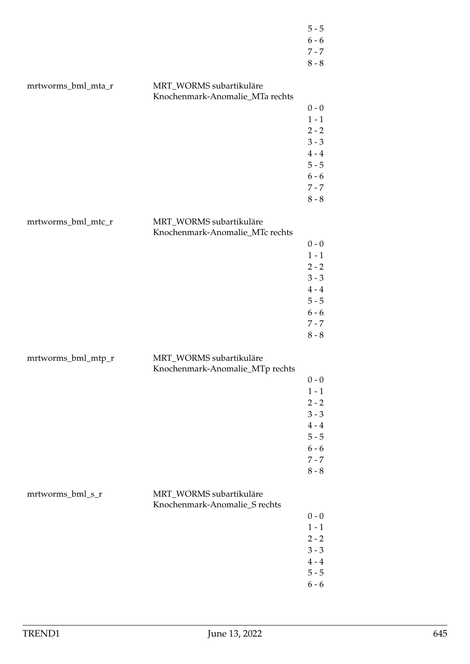|                    |                                                            | $5 - 5$<br>$6 - 6$<br>$7 - 7$<br>$8 - 8$                                                        |
|--------------------|------------------------------------------------------------|-------------------------------------------------------------------------------------------------|
| mrtworms_bml_mta_r | MRT_WORMS subartikuläre<br>Knochenmark-Anomalie_MTa rechts | $0 - 0$<br>$1 - 1$<br>$2 - 2$<br>$3 - 3$<br>$4 - 4$<br>$5 - 5$<br>$6 - 6$<br>$7 - 7$<br>$8 - 8$ |
| mrtworms_bml_mtc_r | MRT_WORMS subartikuläre<br>Knochenmark-Anomalie_MTc rechts | $0 - 0$<br>$1 - 1$<br>$2 - 2$<br>$3 - 3$<br>$4 - 4$<br>$5 - 5$<br>$6 - 6$<br>$7 - 7$<br>$8 - 8$ |
| mrtworms_bml_mtp_r | MRT_WORMS subartikuläre<br>Knochenmark-Anomalie_MTp rechts | $0 - 0$<br>$1 - 1$<br>$2 - 2$<br>$3 - 3$<br>$4 - 4$<br>$5 - 5$<br>$6 - 6$<br>$7 - 7$<br>$8 - 8$ |
| mrtworms_bml_s_r   | MRT_WORMS subartikuläre<br>Knochenmark-Anomalie_S rechts   | $0 - 0$<br>$1 - 1$<br>$2 - 2$<br>$3 - 3$<br>$4 - 4$<br>$5 - 5$<br>$6 - 6$                       |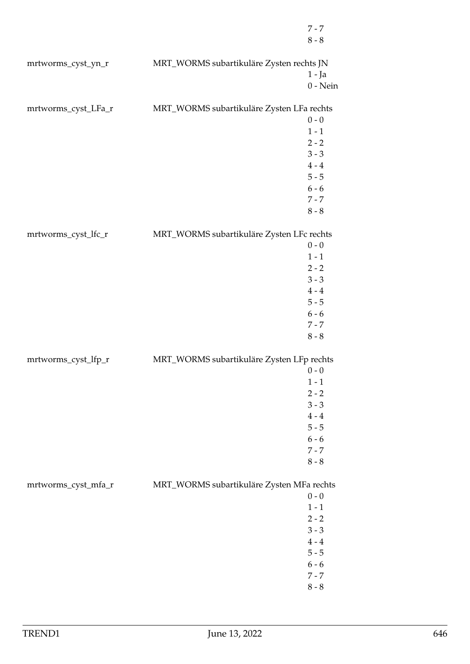|                     |                                           | $7 - 7$            |
|---------------------|-------------------------------------------|--------------------|
|                     |                                           | $8 - 8$            |
|                     |                                           |                    |
| mrtworms_cyst_yn_r  | MRT_WORMS subartikuläre Zysten rechts JN  |                    |
|                     |                                           | $1 - Ja$           |
|                     |                                           | $0$ - Nein         |
| mrtworms_cyst_LFa_r | MRT_WORMS subartikuläre Zysten LFa rechts |                    |
|                     |                                           | $0 - 0$            |
|                     |                                           | $1 - 1$            |
|                     |                                           | $2 - 2$            |
|                     |                                           | $3 - 3$            |
|                     |                                           | $4 - 4$            |
|                     |                                           | $5 - 5$            |
|                     |                                           | $6 - 6$            |
|                     |                                           | $7 - 7$            |
|                     |                                           | $8$ - $8\,$        |
|                     |                                           |                    |
| mrtworms_cyst_lfc_r | MRT_WORMS subartikuläre Zysten LFc rechts | $0 - 0$            |
|                     |                                           | $1 - 1$            |
|                     |                                           | $2 - 2$            |
|                     |                                           | $3 - 3$            |
|                     |                                           | $4 - 4$            |
|                     |                                           | $5 - 5$            |
|                     |                                           | $6 - 6$            |
|                     |                                           | $7 - 7$            |
|                     |                                           | $8 - 8$            |
|                     |                                           |                    |
| mrtworms_cyst_lfp_r | MRT_WORMS subartikuläre Zysten LFp rechts | $0 - 0$            |
|                     |                                           | $1 - 1$            |
|                     |                                           | $2 - 2$            |
|                     |                                           | $3 - 3$            |
|                     |                                           | $4 - 4$            |
|                     |                                           | $5 - 5$            |
|                     |                                           | $6 - 6$            |
|                     |                                           | $7 - 7$            |
|                     |                                           | $8 - 8$            |
|                     |                                           |                    |
| mrtworms_cyst_mfa_r | MRT_WORMS subartikuläre Zysten MFa rechts |                    |
|                     |                                           | $0 - 0$            |
|                     |                                           | $1 - 1$            |
|                     |                                           | $2 - 2$<br>$3 - 3$ |
|                     |                                           | $4 - 4$            |
|                     |                                           | $5 - 5$            |
|                     |                                           | $6 - 6$            |
|                     |                                           | $7 - 7$            |
|                     |                                           | $8 - 8$            |
|                     |                                           |                    |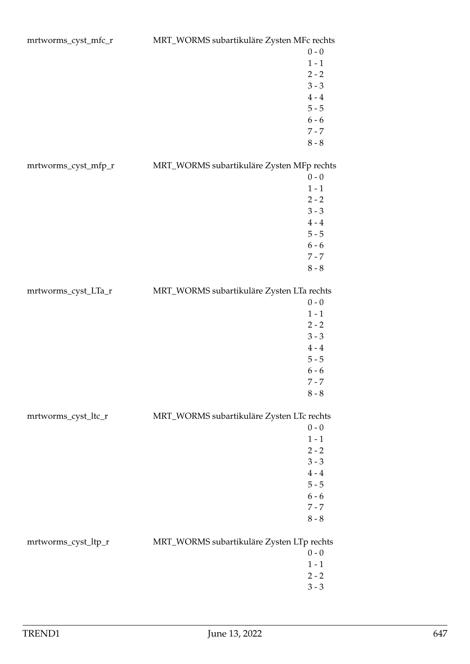| mrtworms_cyst_mfc_r | MRT_WORMS subartikuläre Zysten MFc rechts |  |
|---------------------|-------------------------------------------|--|
|                     | $0 - 0$                                   |  |
|                     | $1 - 1$                                   |  |
|                     | $2 - 2$                                   |  |
|                     | $3 - 3$                                   |  |
|                     | $4 - 4$                                   |  |
|                     | $5 - 5$                                   |  |
|                     | $6 - 6$                                   |  |
|                     | $7 - 7$                                   |  |
|                     | $8 - 8$                                   |  |
| mrtworms_cyst_mfp_r | MRT_WORMS subartikuläre Zysten MFp rechts |  |
|                     | $0 - 0$                                   |  |
|                     | $1 - 1$                                   |  |
|                     | $2 - 2$                                   |  |
|                     | $3 - 3$                                   |  |
|                     | $4 - 4$                                   |  |
|                     | $5 - 5$                                   |  |
|                     | $6 - 6$                                   |  |
|                     | $7 - 7$                                   |  |
|                     | $8 - 8$                                   |  |
|                     |                                           |  |
| mrtworms_cyst_LTa_r | MRT_WORMS subartikuläre Zysten LTa rechts |  |
|                     | $0 - 0$                                   |  |
|                     | $1 - 1$                                   |  |
|                     | $2 - 2$                                   |  |
|                     | $3 - 3$                                   |  |
|                     | $4 - 4$                                   |  |
|                     | $5 - 5$                                   |  |
|                     | $6 - 6$                                   |  |
|                     | $7 - 7$                                   |  |
|                     | $8 - 8$                                   |  |
| mrtworms_cyst_ltc_r | MRT_WORMS subartikuläre Zysten LTc rechts |  |
|                     | $0 - 0$                                   |  |
|                     | $1 - 1$                                   |  |
|                     | $2 - 2$                                   |  |
|                     | $3 - 3$                                   |  |
|                     | $4 - 4$                                   |  |
|                     | $5 - 5$                                   |  |
|                     | $6 - 6$                                   |  |
|                     | $7 - 7$                                   |  |
|                     | $8 - 8$                                   |  |
| mrtworms_cyst_ltp_r | MRT_WORMS subartikuläre Zysten LTp rechts |  |
|                     | $0 - 0$                                   |  |
|                     | $1 - 1$                                   |  |
|                     | $2 - 2$                                   |  |
|                     | $3 - 3$                                   |  |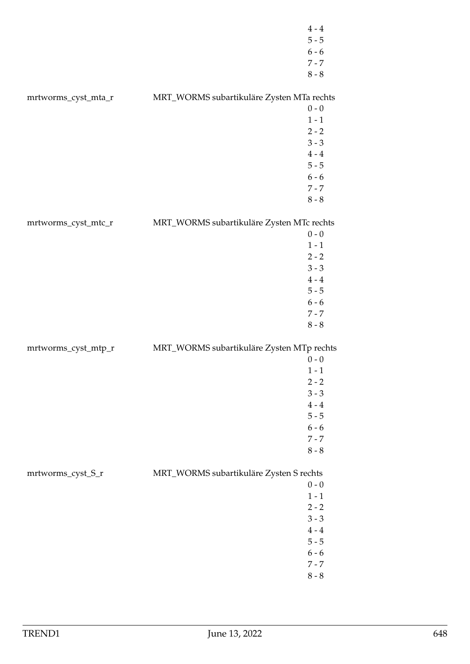|                     | $4\,\text{-}\,4$<br>$5 - 5$<br>$6 - 6$<br>$7 - 7$<br>$8 - 8$                                                                                 |  |
|---------------------|----------------------------------------------------------------------------------------------------------------------------------------------|--|
| mrtworms_cyst_mta_r | MRT_WORMS subartikuläre Zysten MTa rechts<br>$0 - 0$<br>$1 - 1$<br>$2 - 2$<br>$3 - 3$<br>$4 - 4$<br>$5 - 5$<br>$6 - 6$<br>$7 - 7$<br>$8 - 8$ |  |
| mrtworms_cyst_mtc_r | MRT_WORMS subartikuläre Zysten MTc rechts<br>$0 - 0$<br>$1 - 1$<br>$2 - 2$<br>$3 - 3$<br>$4 - 4$<br>$5 - 5$<br>$6 - 6$<br>$7 - 7$<br>$8 - 8$ |  |
| mrtworms_cyst_mtp_r | MRT_WORMS subartikuläre Zysten MTp rechts<br>$0 - 0$<br>$1 - 1$<br>$2 - 2$<br>$3 - 3$<br>$4 - 4$<br>$5 - 5$<br>$6 - 6$<br>$7 - 7$<br>$8 - 8$ |  |
| mrtworms_cyst_S_r   | MRT_WORMS subartikuläre Zysten S rechts<br>$0 - 0$<br>$1 - 1$<br>$2 - 2$<br>$3 - 3$<br>$4 - 4$<br>$5 - 5$<br>$6 - 6$<br>$7 - 7$<br>$8 - 8$   |  |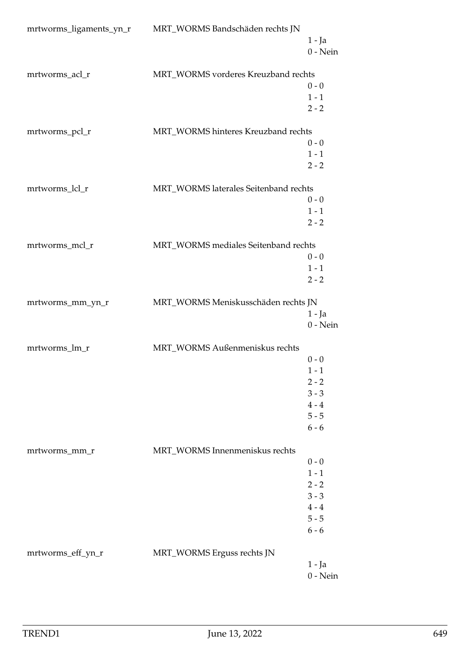| mrtworms_ligaments_yn_r | MRT_WORMS Bandschäden rechts JN       |                    |
|-------------------------|---------------------------------------|--------------------|
|                         |                                       | 1 - Ja             |
|                         |                                       | $0$ - Nein         |
|                         |                                       |                    |
| mrtworms_acl_r          | MRT_WORMS vorderes Kreuzband rechts   |                    |
|                         |                                       | $0 - 0$<br>$1 - 1$ |
|                         |                                       | $2 - 2$            |
|                         |                                       |                    |
| mrtworms_pcl_r          | MRT_WORMS hinteres Kreuzband rechts   |                    |
|                         |                                       | $0 - 0$            |
|                         |                                       | $1 - 1$            |
|                         |                                       | $2 - 2$            |
|                         |                                       |                    |
| mrtworms_lcl_r          | MRT_WORMS laterales Seitenband rechts | $0 - 0$            |
|                         |                                       | $1 - 1$            |
|                         |                                       | $2 - 2$            |
|                         |                                       |                    |
| mrtworms_mcl_r          | MRT_WORMS mediales Seitenband rechts  |                    |
|                         |                                       | $0 - 0$            |
|                         |                                       | $1 - 1$            |
|                         |                                       | $2 - 2$            |
|                         |                                       |                    |
| mrtworms_mm_yn_r        | MRT_WORMS Meniskusschäden rechts JN   |                    |
|                         |                                       | $1 - Ja$           |
|                         |                                       | $0$ - Nein         |
| mrtworms_lm_r           | MRT_WORMS Außenmeniskus rechts        |                    |
|                         |                                       | $0 - 0$            |
|                         |                                       | $1 - 1$            |
|                         |                                       | $2 - 2$            |
|                         |                                       | $3 - 3$            |
|                         |                                       | $4 - 4$            |
|                         |                                       | $5 - 5$            |
|                         |                                       | $6 - 6$            |
|                         | MRT_WORMS Innenmeniskus rechts        |                    |
| mrtworms_mm_r           |                                       | $0 - 0$            |
|                         |                                       | $1 - 1$            |
|                         |                                       | $2 - 2$            |
|                         |                                       | $3 - 3$            |
|                         |                                       | $4 - 4$            |
|                         |                                       | $5 - 5$            |
|                         |                                       | $6 - 6$            |
|                         |                                       |                    |
| mrtworms_eff_yn_r       | MRT_WORMS Erguss rechts JN            |                    |
|                         |                                       | 1 - Ja             |
|                         |                                       | $0$ - Nein         |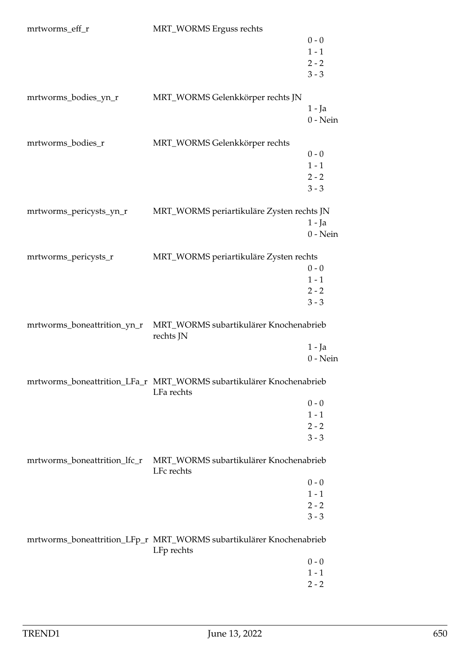| mrtworms_eff_r               | MRT_WORMS Erguss rechts                                                           |                    |
|------------------------------|-----------------------------------------------------------------------------------|--------------------|
|                              |                                                                                   | $0 - 0$            |
|                              |                                                                                   | $1 - 1$            |
|                              |                                                                                   | $2 - 2$            |
|                              |                                                                                   | $3 - 3$            |
|                              |                                                                                   |                    |
| mrtworms_bodies_yn_r         | MRT_WORMS Gelenkkörper rechts JN                                                  |                    |
|                              |                                                                                   | 1 - Ja             |
|                              |                                                                                   | $0$ - Nein         |
|                              |                                                                                   |                    |
| mrtworms_bodies_r            | MRT_WORMS Gelenkkörper rechts                                                     |                    |
|                              |                                                                                   | $0 - 0$            |
|                              |                                                                                   | $1 - 1$            |
|                              |                                                                                   | $2 - 2$            |
|                              |                                                                                   | $3 - 3$            |
|                              |                                                                                   |                    |
| mrtworms_pericysts_yn_r      | MRT_WORMS periartikuläre Zysten rechts JN                                         |                    |
|                              |                                                                                   | $1 - Ja$           |
|                              |                                                                                   | $0 - Nein$         |
| mrtworms_pericysts_r         | MRT_WORMS periartikuläre Zysten rechts                                            |                    |
|                              |                                                                                   | $0 - 0$            |
|                              |                                                                                   | $1 - 1$            |
|                              |                                                                                   | $2 - 2$            |
|                              |                                                                                   | $3 - 3$            |
|                              |                                                                                   |                    |
| mrtworms_boneattrition_yn_r  | MRT_WORMS subartikulärer Knochenabrieb<br>rechts JN                               |                    |
|                              |                                                                                   | $1 - Ja$           |
|                              |                                                                                   | $0$ - Nein         |
|                              | mrtworms_boneattrition_LFa_r MRT_WORMS subartikulärer Knochenabrieb<br>LFa rechts |                    |
|                              |                                                                                   |                    |
|                              |                                                                                   | $0 - 0$            |
|                              |                                                                                   | $1 - 1$            |
|                              |                                                                                   | $2 - 2$<br>$3 - 3$ |
|                              |                                                                                   |                    |
| mrtworms_boneattrition_lfc_r | MRT_WORMS subartikulärer Knochenabrieb<br>LFc rechts                              |                    |
|                              |                                                                                   | $0 - 0$            |
|                              |                                                                                   | $1 - 1$            |
|                              |                                                                                   | $2 - 2$            |
|                              |                                                                                   | $3 - 3$            |
|                              | mrtworms_boneattrition_LFp_r MRT_WORMS subartikulärer Knochenabrieb               |                    |
|                              | LFp rechts                                                                        |                    |
|                              |                                                                                   | $0 - 0$            |
|                              |                                                                                   | $1 - 1$            |
|                              |                                                                                   | $2 - 2$            |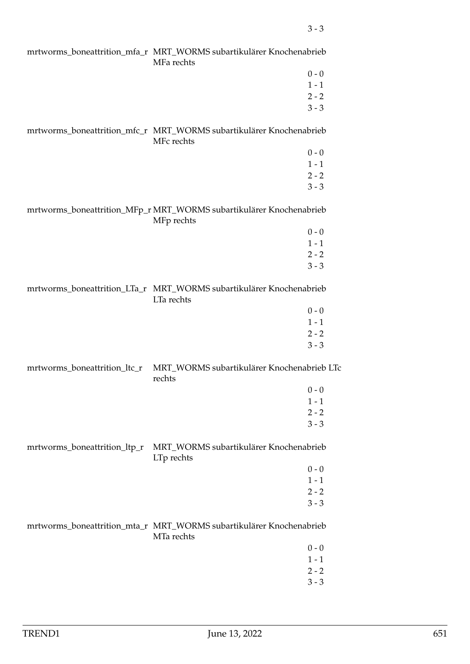|                              | MFa rechts                                                                        |         |
|------------------------------|-----------------------------------------------------------------------------------|---------|
|                              |                                                                                   | $0 - 0$ |
|                              |                                                                                   | $1 - 1$ |
|                              |                                                                                   | $2 - 2$ |
|                              |                                                                                   | $3 - 3$ |
|                              | MFc rechts                                                                        |         |
|                              |                                                                                   | $0 - 0$ |
|                              |                                                                                   | $1 - 1$ |
|                              |                                                                                   | $2 - 2$ |
|                              |                                                                                   | $3 - 3$ |
|                              | mrtworms_boneattrition_MFp_r MRT_WORMS subartikulärer Knochenabrieb<br>MFp rechts |         |
|                              |                                                                                   | $0 - 0$ |
|                              |                                                                                   | $1 - 1$ |
|                              |                                                                                   | $2 - 2$ |
|                              |                                                                                   | $3 - 3$ |
|                              | LTa rechts                                                                        |         |
|                              |                                                                                   | $0 - 0$ |
|                              |                                                                                   | $1 - 1$ |
|                              |                                                                                   | $2 - 2$ |
|                              |                                                                                   | $3 - 3$ |
| mrtworms_boneattrition_ltc_r | MRT_WORMS subartikulärer Knochenabrieb LTc<br>rechts                              |         |
|                              |                                                                                   | $0 - 0$ |
|                              |                                                                                   | $1 - 1$ |
|                              |                                                                                   | $2 - 2$ |
|                              |                                                                                   | $3 - 3$ |
| mrtworms_boneattrition_ltp_r | MRT_WORMS subartikulärer Knochenabrieb<br>LTp rechts                              |         |
|                              |                                                                                   | $0 - 0$ |
|                              |                                                                                   | $1 - 1$ |
|                              |                                                                                   | $2 - 2$ |
|                              |                                                                                   | $3 - 3$ |
|                              | mrtworms_boneattrition_mta_r MRT_WORMS subartikulärer Knochenabrieb<br>MTa rechts |         |
|                              |                                                                                   | $0 - 0$ |
|                              |                                                                                   | $1 - 1$ |
|                              |                                                                                   | $2 - 2$ |
|                              |                                                                                   | $3 - 3$ |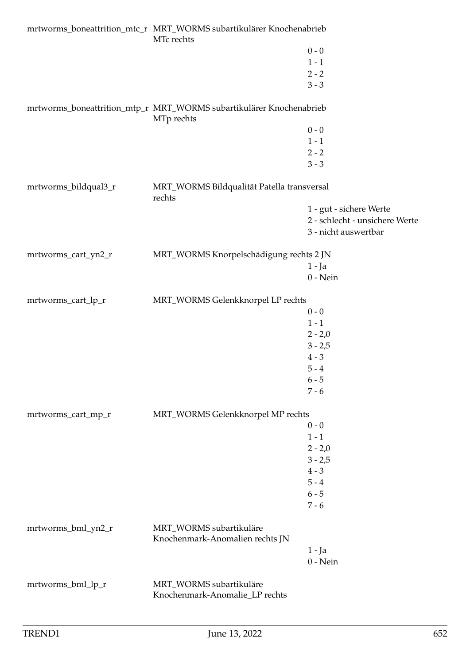|                      | MTc rechts                                                                        |                                |
|----------------------|-----------------------------------------------------------------------------------|--------------------------------|
|                      |                                                                                   | $0 - 0$                        |
|                      |                                                                                   | $1 - 1$                        |
|                      |                                                                                   | $2 - 2$                        |
|                      |                                                                                   | $3 - 3$                        |
|                      | mrtworms_boneattrition_mtp_r MRT_WORMS subartikulärer Knochenabrieb<br>MTp rechts |                                |
|                      |                                                                                   | $0 - 0$                        |
|                      |                                                                                   | $1 - 1$                        |
|                      |                                                                                   | $2 - 2$                        |
|                      |                                                                                   | $3 - 3$                        |
| mrtworms_bildqual3_r | MRT_WORMS Bildqualität Patella transversal<br>rechts                              |                                |
|                      |                                                                                   | 1 - gut - sichere Werte        |
|                      |                                                                                   | 2 - schlecht - unsichere Werte |
|                      |                                                                                   | 3 - nicht auswertbar           |
| mrtworms_cart_yn2_r  | MRT_WORMS Knorpelschädigung rechts 2 JN                                           |                                |
|                      |                                                                                   | $1 - Ja$                       |
|                      |                                                                                   | $0$ - Nein                     |
| mrtworms_cart_lp_r   | MRT_WORMS Gelenkknorpel LP rechts                                                 |                                |
|                      |                                                                                   | $0 - 0$                        |
|                      |                                                                                   | $1 - 1$                        |
|                      |                                                                                   | $2 - 2,0$                      |
|                      |                                                                                   | $3 - 2,5$                      |
|                      |                                                                                   | $4 - 3$                        |
|                      |                                                                                   | $5 - 4$                        |
|                      |                                                                                   | $6 - 5$                        |
|                      |                                                                                   | $7 - 6$                        |
| mrtworms_cart_mp_r   | MRT_WORMS Gelenkknorpel MP rechts                                                 |                                |
|                      |                                                                                   | $0 - 0$                        |
|                      |                                                                                   | $1 - 1$                        |
|                      |                                                                                   | $2 - 2,0$                      |
|                      |                                                                                   | $3 - 2,5$                      |
|                      |                                                                                   | $4 - 3$                        |
|                      |                                                                                   | $5 - 4$                        |
|                      |                                                                                   | $6 - 5$                        |
|                      |                                                                                   | $7 - 6$                        |
| mrtworms_bml_yn2_r   | MRT_WORMS subartikuläre<br>Knochenmark-Anomalien rechts JN                        |                                |
|                      |                                                                                   | $1 - Ja$                       |
|                      |                                                                                   | $0$ - Nein                     |
| mrtworms_bml_lp_r    | MRT_WORMS subartikuläre<br>Knochenmark-Anomalie_LP rechts                         |                                |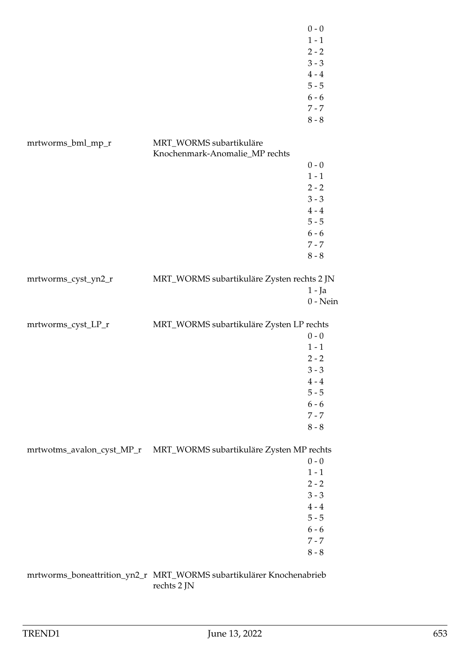|                           |                                                                     | $0 - 0$<br>$1 - 1$<br>$2 - 2$<br>$3 - 3$<br>$4 - 4$<br>$5 - 5$<br>$6 - 6$<br>$7 - 7$<br>$8 - 8$ |
|---------------------------|---------------------------------------------------------------------|-------------------------------------------------------------------------------------------------|
| mrtworms_bml_mp_r         | MRT_WORMS subartikuläre                                             |                                                                                                 |
|                           | Knochenmark-Anomalie_MP rechts                                      |                                                                                                 |
|                           |                                                                     | $0 - 0$                                                                                         |
|                           |                                                                     | $1 - 1$                                                                                         |
|                           |                                                                     | $2 - 2$                                                                                         |
|                           |                                                                     | $3 - 3$                                                                                         |
|                           |                                                                     | $4 - 4$                                                                                         |
|                           |                                                                     | $5 - 5$                                                                                         |
|                           |                                                                     | $6 - 6$                                                                                         |
|                           |                                                                     | $7 - 7$                                                                                         |
|                           |                                                                     | $8 - 8$                                                                                         |
| mrtworms_cyst_yn2_r       | MRT_WORMS subartikuläre Zysten rechts 2 JN                          |                                                                                                 |
|                           |                                                                     | $1 - Ja$                                                                                        |
|                           |                                                                     | $0$ - Nein                                                                                      |
|                           |                                                                     |                                                                                                 |
| mrtworms_cyst_LP_r        | MRT_WORMS subartikuläre Zysten LP rechts                            |                                                                                                 |
|                           |                                                                     | $0 - 0$                                                                                         |
|                           |                                                                     | $1 - 1$                                                                                         |
|                           |                                                                     | $2 - 2$                                                                                         |
|                           |                                                                     | $3 - 3$                                                                                         |
|                           |                                                                     | $4 - 4$<br>$5 - 5$                                                                              |
|                           |                                                                     |                                                                                                 |
|                           |                                                                     | $6 - 6$<br>$7 - 7$                                                                              |
|                           |                                                                     | $8 - 8$                                                                                         |
|                           |                                                                     |                                                                                                 |
| mrtwotms_avalon_cyst_MP_r | MRT_WORMS subartikuläre Zysten MP rechts                            |                                                                                                 |
|                           |                                                                     | $0 - 0$                                                                                         |
|                           |                                                                     | $1 - 1$                                                                                         |
|                           |                                                                     | $2 - 2$                                                                                         |
|                           |                                                                     | $3 - 3$                                                                                         |
|                           |                                                                     | $4 - 4$                                                                                         |
|                           |                                                                     | $5 - 5$                                                                                         |
|                           |                                                                     | $6 - 6$                                                                                         |
|                           |                                                                     | $7 - 7$                                                                                         |
|                           |                                                                     | $8 - 8$                                                                                         |
|                           | mrtworms_boneattrition_yn2_r MRT_WORMS subartikulärer Knochenabrieb |                                                                                                 |

rechts 2 JN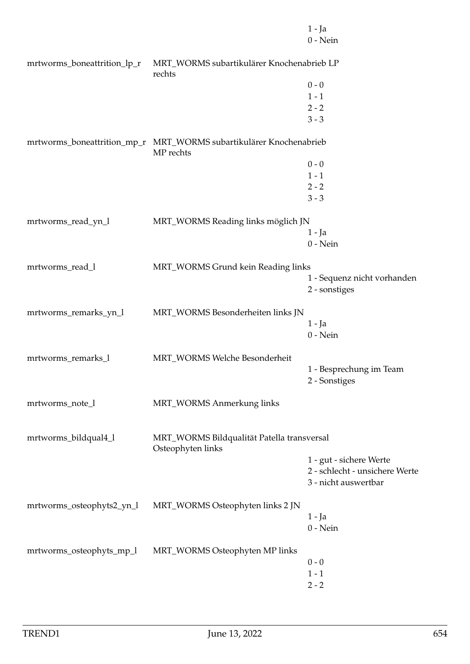|                             |                                                                                                     | $1 - Ja$<br>$0$ - Nein                   |
|-----------------------------|-----------------------------------------------------------------------------------------------------|------------------------------------------|
| mrtworms_boneattrition_lp_r | MRT_WORMS subartikulärer Knochenabrieb LP<br>rechts                                                 |                                          |
|                             |                                                                                                     | $0 - 0$                                  |
|                             |                                                                                                     | $1 - 1$                                  |
|                             |                                                                                                     | $2 - 2$                                  |
|                             |                                                                                                     | $3 - 3$                                  |
|                             | mrtworms_boneattrition_mp_r                     MRT_WORMS subartikulärer Knochenabrieb<br>MP rechts |                                          |
|                             |                                                                                                     | $0 - 0$                                  |
|                             |                                                                                                     | $1 - 1$                                  |
|                             |                                                                                                     | $2 - 2$                                  |
|                             |                                                                                                     | $3 - 3$                                  |
| mrtworms_read_yn_l          | MRT_WORMS Reading links möglich JN                                                                  |                                          |
|                             |                                                                                                     | $1 - Ja$                                 |
|                             |                                                                                                     | $0$ - Nein                               |
| mrtworms_read_l             | MRT_WORMS Grund kein Reading links                                                                  |                                          |
|                             |                                                                                                     | 1 - Sequenz nicht vorhanden              |
|                             |                                                                                                     | 2 - sonstiges                            |
| mrtworms_remarks_yn_l       | MRT_WORMS Besonderheiten links JN                                                                   |                                          |
|                             |                                                                                                     | $1 - Ja$                                 |
|                             |                                                                                                     | $0$ - Nein                               |
| mrtworms_remarks_l          | MRT_WORMS Welche Besonderheit                                                                       |                                          |
|                             |                                                                                                     | 1 - Besprechung im Team<br>2 - Sonstiges |
|                             |                                                                                                     |                                          |
| mrtworms_note_l             | MRT_WORMS Anmerkung links                                                                           |                                          |
| mrtworms_bildqual4_l        | MRT_WORMS Bildqualität Patella transversal<br>Osteophyten links                                     |                                          |
|                             |                                                                                                     | 1 - gut - sichere Werte                  |
|                             |                                                                                                     | 2 - schlecht - unsichere Werte           |
|                             |                                                                                                     | 3 - nicht auswertbar                     |
| mrtworms_osteophyts2_yn_l   | MRT_WORMS Osteophyten links 2 JN                                                                    |                                          |
|                             |                                                                                                     | 1 - Ja<br>$0$ - Nein                     |
|                             |                                                                                                     |                                          |
| mrtworms_osteophyts_mp_l    | MRT_WORMS Osteophyten MP links                                                                      |                                          |
|                             |                                                                                                     | $0 - 0$                                  |
|                             |                                                                                                     | $1 - 1$                                  |
|                             |                                                                                                     | $2 - 2$                                  |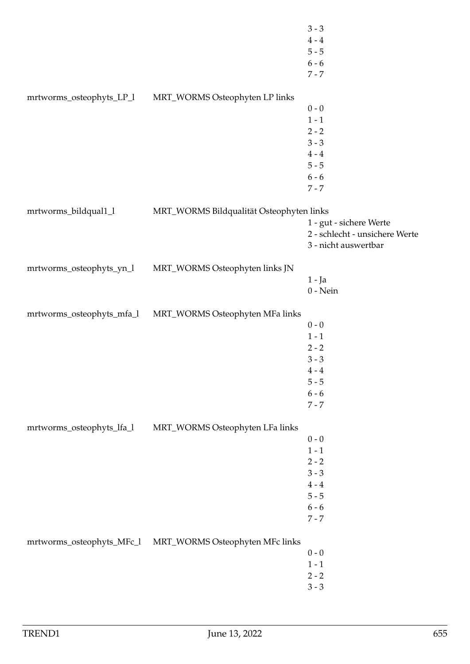|                           |                                                           | $3 - 3$                        |
|---------------------------|-----------------------------------------------------------|--------------------------------|
|                           |                                                           | $4 - 4$                        |
|                           |                                                           | $5 - 5$                        |
|                           |                                                           | $6 - 6$                        |
|                           |                                                           | $7 - 7$                        |
|                           |                                                           |                                |
| mrtworms_osteophyts_LP_1  | MRT_WORMS Osteophyten LP links                            |                                |
|                           |                                                           | $0 - 0$                        |
|                           |                                                           | $1 - 1$                        |
|                           |                                                           | $2 - 2$                        |
|                           |                                                           | $3 - 3$                        |
|                           |                                                           | $4 - 4$                        |
|                           |                                                           | $5 - 5$                        |
|                           |                                                           | $6 - 6$                        |
|                           |                                                           | $7 - 7$                        |
|                           |                                                           |                                |
| mrtworms_bildqual1_l      | MRT_WORMS Bildqualität Osteophyten links                  |                                |
|                           |                                                           | 1 - gut - sichere Werte        |
|                           |                                                           | 2 - schlecht - unsichere Werte |
|                           |                                                           | 3 - nicht auswertbar           |
| mrtworms_osteophyts_yn_l  | MRT_WORMS Osteophyten links JN                            |                                |
|                           |                                                           | $1 - Ja$                       |
|                           |                                                           | $0$ - Nein                     |
|                           |                                                           |                                |
| mrtworms_osteophyts_mfa_l | MRT_WORMS Osteophyten MFa links                           |                                |
|                           |                                                           | $0 - 0$                        |
|                           |                                                           | $1 - 1$                        |
|                           |                                                           | $2 - 2$                        |
|                           |                                                           | $3 - 3$                        |
|                           |                                                           | $4\,$ - $4\,$                  |
|                           |                                                           | $5 - 5$                        |
|                           |                                                           | $6 - 6$                        |
|                           |                                                           | $7 - 7$                        |
|                           |                                                           |                                |
| mrtworms_osteophyts_lfa_l | MRT_WORMS Osteophyten LFa links                           |                                |
|                           |                                                           | $0 - 0$                        |
|                           |                                                           | $1 - 1$                        |
|                           |                                                           | $2 - 2$                        |
|                           |                                                           | $3 - 3$                        |
|                           |                                                           | $4 - 4$                        |
|                           |                                                           | $5 - 5$                        |
|                           |                                                           | $6 - 6$                        |
|                           |                                                           | $7 - 7$                        |
|                           | mrtworms_osteophyts_MFc_l MRT_WORMS Osteophyten MFc links |                                |
|                           |                                                           | $0 - 0$                        |
|                           |                                                           | $1 - 1$                        |
|                           |                                                           | $2 - 2$                        |
|                           |                                                           | $3 - 3$                        |
|                           |                                                           |                                |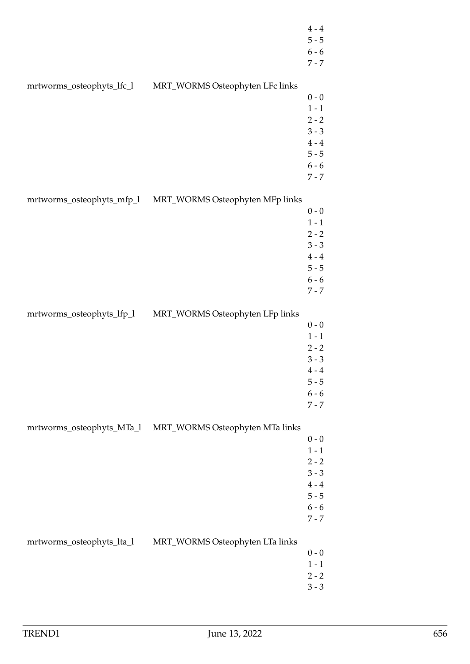|                           |                                                           | $4 - 4$<br>$5 - 5$<br>$6 - 6$<br>$7 - 7$                                               |
|---------------------------|-----------------------------------------------------------|----------------------------------------------------------------------------------------|
| mrtworms_osteophyts_lfc_l | MRT_WORMS Osteophyten LFc links                           | $0 - 0$<br>$1 - 1$<br>$2 - 2$<br>$3 - 3$<br>$4 - 4$<br>$5 - 5$<br>$6 - 6$<br>$7 - 7$   |
|                           | mrtworms_osteophyts_mfp_l MRT_WORMS Osteophyten MFp links | $0$ - $0$<br>$1 - 1$<br>$2 - 2$<br>$3 - 3$<br>$4 - 4$<br>$5 - 5$<br>$6 - 6$<br>$7 - 7$ |
| mrtworms_osteophyts_lfp_l | MRT_WORMS Osteophyten LFp links                           | $0$ - $0$<br>$1 - 1$<br>$2 - 2$<br>$3 - 3$<br>$4 - 4$<br>$5 - 5$<br>$6 - 6$<br>$7 - 7$ |
| mrtworms_osteophyts_MTa_l | MRT_WORMS Osteophyten MTa links                           | $0 - 0$<br>$1 - 1$<br>$2 - 2$<br>$3 - 3$<br>$4 - 4$<br>$5 - 5$<br>$6 - 6$<br>$7 - 7$   |
| mrtworms_osteophyts_lta_l | MRT_WORMS Osteophyten LTa links                           | $0 - 0$<br>$1 - 1$<br>$2 - 2$<br>$3 - 3$                                               |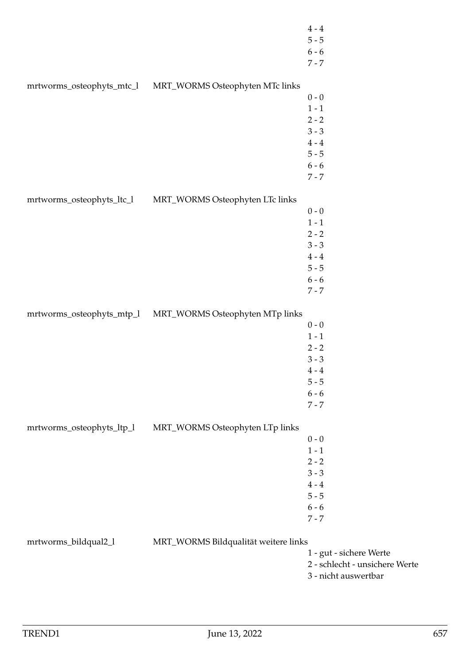|                           |                                      | $4 - 4$<br>$5 - 5$<br>$6 - 6$<br>$7 - 7$ |
|---------------------------|--------------------------------------|------------------------------------------|
| mrtworms_osteophyts_mtc_l | MRT_WORMS Osteophyten MTc links      |                                          |
|                           |                                      | $0 - 0$                                  |
|                           |                                      | $1 - 1$                                  |
|                           |                                      | $2 - 2$                                  |
|                           |                                      | $3 - 3$                                  |
|                           |                                      | $4 - 4$                                  |
|                           |                                      | $5 - 5$                                  |
|                           |                                      | $6 - 6$                                  |
|                           |                                      | $7 - 7$                                  |
| mrtworms_osteophyts_ltc_l | MRT_WORMS Osteophyten LTc links      |                                          |
|                           |                                      | $0 - 0$                                  |
|                           |                                      | $1 - 1$                                  |
|                           |                                      | $2 - 2$                                  |
|                           |                                      | $3 - 3$                                  |
|                           |                                      | $4 - 4$                                  |
|                           |                                      | $5 - 5$                                  |
|                           |                                      | $6 - 6$                                  |
|                           |                                      | $7 - 7$                                  |
|                           |                                      |                                          |
| mrtworms_osteophyts_mtp_l | MRT_WORMS Osteophyten MTp links      | $0 - 0$                                  |
|                           |                                      | $1 - 1$                                  |
|                           |                                      | $2 - 2$                                  |
|                           |                                      | $3 - 3$                                  |
|                           |                                      | $4 - 4$                                  |
|                           |                                      | $5 - 5$                                  |
|                           |                                      | $6 - 6$                                  |
|                           |                                      | $7 - 7$                                  |
|                           |                                      |                                          |
| mrtworms_osteophyts_ltp_l | MRT_WORMS Osteophyten LTp links      |                                          |
|                           |                                      | $0 - 0$                                  |
|                           |                                      | $1 - 1$                                  |
|                           |                                      | $2 - 2$                                  |
|                           |                                      | $3 - 3$                                  |
|                           |                                      | $4 - 4$                                  |
|                           |                                      | $5 - 5$                                  |
|                           |                                      | $6 - 6$                                  |
|                           |                                      | $7 - 7$                                  |
| mrtworms_bildqual2_l      | MRT_WORMS Bildqualität weitere links |                                          |
|                           |                                      | 1 - gut - sichere Werte                  |
|                           |                                      | 2 - schlecht - unsichere Werte           |
|                           |                                      | 3 - nicht auswertbar                     |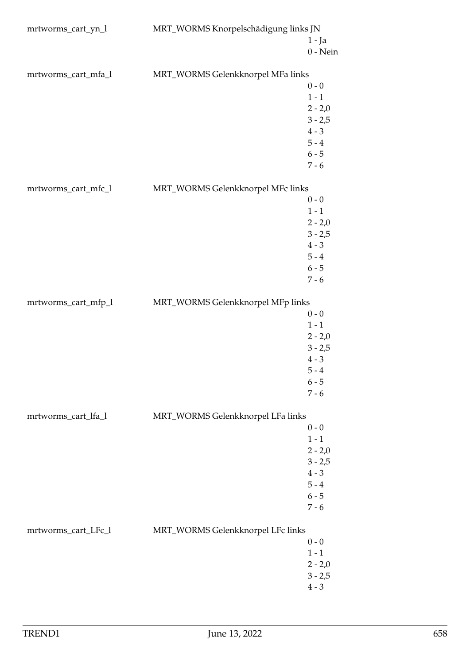| mrtworms_cart_yn_l  | MRT_WORMS Knorpelschädigung links JN |                        |
|---------------------|--------------------------------------|------------------------|
|                     |                                      | $1 - Ja$<br>$0$ - Nein |
| mrtworms_cart_mfa_l | MRT_WORMS Gelenkknorpel MFa links    |                        |
|                     |                                      | $0 - 0$                |
|                     |                                      | $1 - 1$                |
|                     |                                      | $2 - 2,0$              |
|                     |                                      | $3 - 2,5$              |
|                     |                                      | $4 - 3$                |
|                     |                                      | $5 - 4$                |
|                     |                                      | $6 - 5$                |
|                     |                                      | $7 - 6$                |
| mrtworms_cart_mfc_l | MRT_WORMS Gelenkknorpel MFc links    |                        |
|                     |                                      | $0 - 0$                |
|                     |                                      | $1 - 1$                |
|                     |                                      | $2 - 2,0$              |
|                     |                                      | $3 - 2,5$              |
|                     |                                      | $4 - 3$                |
|                     |                                      | $5 - 4$                |
|                     |                                      | $6 - 5$                |
|                     |                                      | $7 - 6$                |
| mrtworms_cart_mfp_l | MRT_WORMS Gelenkknorpel MFp links    |                        |
|                     |                                      | $0 - 0$                |
|                     |                                      | $1 - 1$                |
|                     |                                      | $2 - 2,0$              |
|                     |                                      | $3 - 2,5$              |
|                     |                                      | $4 - 3$                |
|                     |                                      | $5 - 4$                |
|                     |                                      | $6 - 5$                |
|                     |                                      | $7 - 6$                |
| mrtworms_cart_lfa_l | MRT_WORMS Gelenkknorpel LFa links    |                        |
|                     |                                      | $0 - 0$                |
|                     |                                      | $1 - 1$                |
|                     |                                      | $2 - 2,0$              |
|                     |                                      | $3 - 2,5$              |
|                     |                                      | $4 - 3$                |
|                     |                                      | $5 - 4$                |
|                     |                                      | $6 - 5$                |
|                     |                                      | $7 - 6$                |
| mrtworms_cart_LFc_l | MRT_WORMS Gelenkknorpel LFc links    |                        |
|                     |                                      | $0 - 0$                |
|                     |                                      | $1 - 1$                |
|                     |                                      | $2 - 2,0$              |
|                     |                                      | $3 - 2,5$              |
|                     |                                      | $4 - 3$                |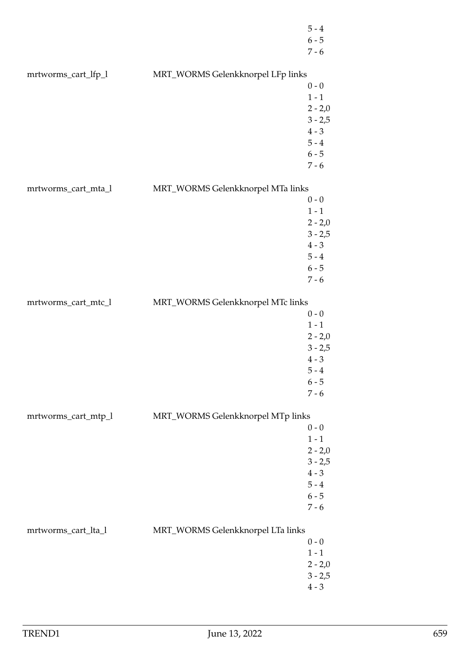|                     |                                   | $5 - 4$<br>$6 - 5$<br>$7 - 6$                                                            |
|---------------------|-----------------------------------|------------------------------------------------------------------------------------------|
| mrtworms_cart_lfp_l | MRT_WORMS Gelenkknorpel LFp links | $0 - 0$<br>$1 - 1$<br>$2 - 2,0$<br>$3 - 2,5$<br>$4 - 3$<br>$5 - 4$<br>$6 - 5$            |
| mrtworms_cart_mta_l | MRT_WORMS Gelenkknorpel MTa links | $7 - 6$<br>$0 - 0$<br>$1 - 1$<br>$2 - 2,0$<br>$3 - 2,5$<br>$4 - 3$<br>$5 - 4$<br>$6 - 5$ |
| mrtworms_cart_mtc_l | MRT_WORMS Gelenkknorpel MTc links | $7 - 6$<br>$0 - 0$<br>$1 - 1$<br>$2 - 2,0$<br>$3 - 2,5$<br>$4 - 3$<br>$5 - 4$            |
| mrtworms_cart_mtp_l | MRT_WORMS Gelenkknorpel MTp links | $6 - 5$<br>$7 - 6$<br>$0 - 0$<br>$1 - 1$<br>$2 - 2,0$<br>$3 - 2,5$<br>$4 - 3$<br>$5 - 4$ |
| mrtworms_cart_lta_l | MRT_WORMS Gelenkknorpel LTa links | $6 - 5$<br>$7 - 6$<br>$0 - 0$<br>$1 - 1$<br>$2 - 2,0$<br>$3 - 2,5$<br>$4 - 3$            |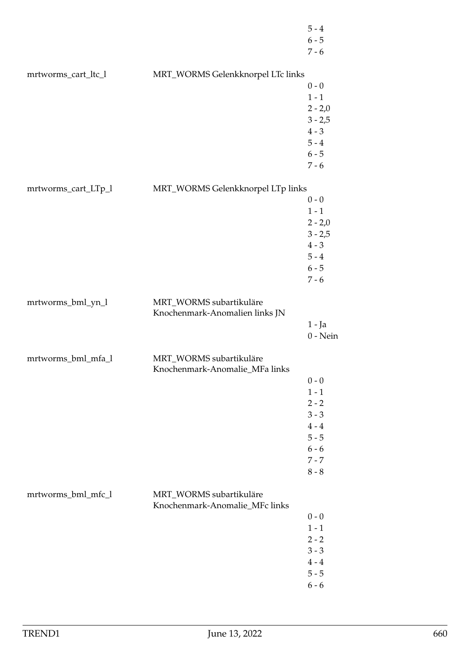|                     |                                                           | $5 - 4$<br>$6 - 5$<br>$7 - 6$                                                                   |
|---------------------|-----------------------------------------------------------|-------------------------------------------------------------------------------------------------|
| mrtworms_cart_ltc_l | MRT_WORMS Gelenkknorpel LTc links                         | $0 - 0$<br>$1 - 1$<br>$2 - 2,0$<br>$3 - 2,5$<br>$4 - 3$<br>$5 - 4$<br>$6 - 5$<br>$7 - 6$        |
| mrtworms_cart_LTp_l | MRT_WORMS Gelenkknorpel LTp links                         | $0 - 0$<br>$1 - 1$<br>$2 - 2,0$<br>$3 - 2,5$<br>$4 - 3$<br>$5 - 4$<br>$6 - 5$<br>$7 - 6$        |
| mrtworms_bml_yn_l   | MRT_WORMS subartikuläre<br>Knochenmark-Anomalien links JN | $1 - Ja$<br>$0$ - Nein                                                                          |
| mrtworms_bml_mfa_l  | MRT_WORMS subartikuläre<br>Knochenmark-Anomalie_MFa links | $0 - 0$<br>$1 - 1$<br>$2 - 2$<br>$3 - 3$<br>$4 - 4$<br>$5 - 5$<br>$6 - 6$<br>$7 - 7$<br>$8 - 8$ |
| mrtworms_bml_mfc_l  | MRT_WORMS subartikuläre<br>Knochenmark-Anomalie_MFc links | $0 - 0$<br>$1 - 1$<br>$2 - 2$<br>$3 - 3$<br>$4 - 4$<br>$5 - 5$<br>$6 - 6$                       |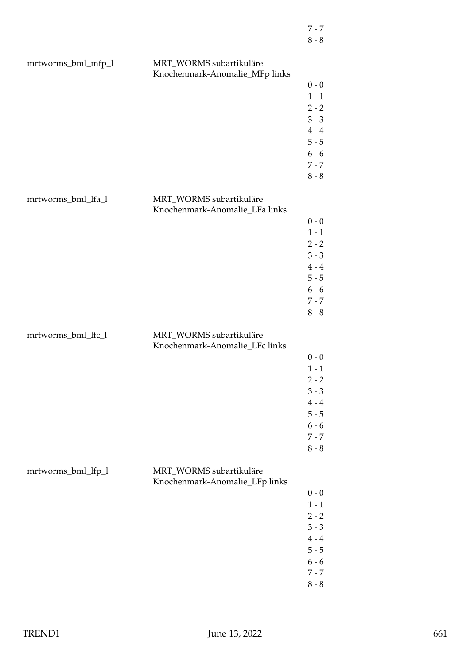| mrtworms_bml_mfp_l | MRT_WORMS subartikuläre<br>Knochenmark-Anomalie_MFp links |         |
|--------------------|-----------------------------------------------------------|---------|
|                    |                                                           | $0 - 0$ |
|                    |                                                           | $1 - 1$ |
|                    |                                                           | $2 - 2$ |
|                    |                                                           | $3 - 3$ |
|                    |                                                           | $4 - 4$ |
|                    |                                                           | $5 - 5$ |
|                    |                                                           | $6 - 6$ |
|                    |                                                           | $7 - 7$ |
|                    |                                                           | $8 - 8$ |
|                    |                                                           |         |
| mrtworms_bml_lfa_l | MRT_WORMS subartikuläre<br>Knochenmark-Anomalie_LFa links |         |
|                    |                                                           | $0 - 0$ |
|                    |                                                           | $1 - 1$ |
|                    |                                                           | $2 - 2$ |
|                    |                                                           | $3 - 3$ |
|                    |                                                           | $4 - 4$ |
|                    |                                                           | $5 - 5$ |
|                    |                                                           | $6 - 6$ |
|                    |                                                           | $7 - 7$ |
|                    |                                                           | $8 - 8$ |
|                    |                                                           |         |
| mrtworms_bml_lfc_l | MRT_WORMS subartikuläre<br>Knochenmark-Anomalie_LFc links |         |
|                    |                                                           | $0 - 0$ |
|                    |                                                           | $1 - 1$ |
|                    |                                                           | $2 - 2$ |
|                    |                                                           | $3 - 3$ |
|                    |                                                           | $4 - 4$ |
|                    |                                                           | $5 - 5$ |
|                    |                                                           | $6 - 6$ |
|                    |                                                           | $7 - 7$ |
|                    |                                                           | $8 - 8$ |
|                    |                                                           |         |
| mrtworms_bml_lfp_l | MRT_WORMS subartikuläre                                   |         |
|                    | Knochenmark-Anomalie_LFp links                            |         |
|                    |                                                           | $0 - 0$ |
|                    |                                                           | $1 - 1$ |
|                    |                                                           | $2 - 2$ |
|                    |                                                           | $3 - 3$ |
|                    |                                                           | $4 - 4$ |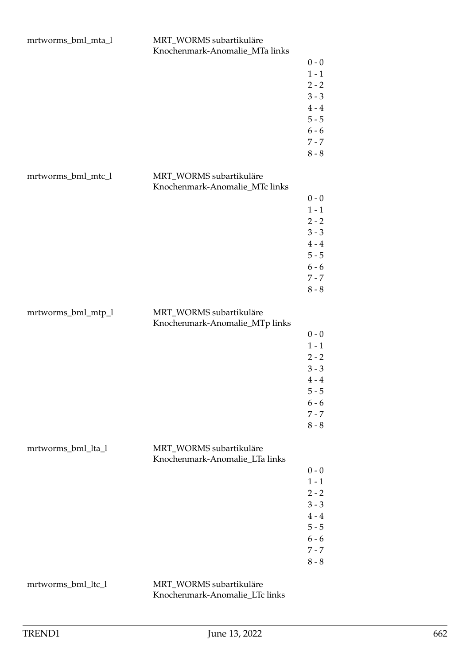|                    | Knochenmark-Anomalie_MTa links |         |
|--------------------|--------------------------------|---------|
|                    |                                | $0 - 0$ |
|                    |                                | $1 - 1$ |
|                    |                                | $2 - 2$ |
|                    |                                | $3 - 3$ |
|                    |                                | $4 - 4$ |
|                    |                                | $5 - 5$ |
|                    |                                |         |
|                    |                                | $6 - 6$ |
|                    |                                | $7 - 7$ |
|                    |                                | $8 - 8$ |
| mrtworms_bml_mtc_l | MRT_WORMS subartikuläre        |         |
|                    | Knochenmark-Anomalie_MTc links |         |
|                    |                                | $0 - 0$ |
|                    |                                | $1 - 1$ |
|                    |                                | $2 - 2$ |
|                    |                                | $3 - 3$ |
|                    |                                | $4 - 4$ |
|                    |                                | $5 - 5$ |
|                    |                                |         |
|                    |                                | $6 - 6$ |
|                    |                                | $7 - 7$ |
|                    |                                | $8 - 8$ |
| mrtworms_bml_mtp_l | MRT_WORMS subartikuläre        |         |
|                    | Knochenmark-Anomalie_MTp links |         |
|                    |                                | $0 - 0$ |
|                    |                                | $1 - 1$ |
|                    |                                | $2 - 2$ |
|                    |                                | $3 - 3$ |
|                    |                                | $4 - 4$ |
|                    |                                | $5 - 5$ |
|                    |                                | $6 - 6$ |
|                    |                                | $7 - 7$ |
|                    |                                | $8 - 8$ |
|                    |                                |         |
| mrtworms_bml_lta_l | MRT_WORMS subartikuläre        |         |
|                    | Knochenmark-Anomalie_LTa links |         |
|                    |                                | $0 - 0$ |
|                    |                                | $1 - 1$ |
|                    |                                | $2 - 2$ |
|                    |                                | $3 - 3$ |
|                    |                                | $4 - 4$ |
|                    |                                | $5 - 5$ |
|                    |                                | $6 - 6$ |
|                    |                                | $7 - 7$ |
|                    |                                | $8 - 8$ |
|                    |                                |         |
|                    |                                |         |

mrtworms\_bml\_mta\_l MRT\_WORMS subartikuläre

mrtworms\_bml\_ltc\_l MRT\_WORMS subartikuläre

Knochenmark-Anomalie\_LTc links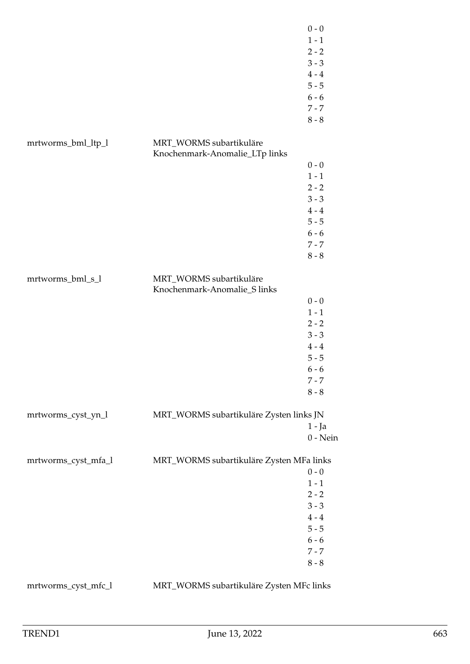|                     |                                                         | $0 - 0$<br>$1 - 1$<br>$2 - 2$<br>$3 - 3$<br>$4 - 4$<br>$5 - 5$<br>$6 - 6$<br>$7 - 7$<br>$8 - 8$ |
|---------------------|---------------------------------------------------------|-------------------------------------------------------------------------------------------------|
| mrtworms_bml_ltp_l  | MRT_WORMS subartikuläre                                 |                                                                                                 |
|                     | Knochenmark-Anomalie_LTp links                          |                                                                                                 |
|                     |                                                         | $0 - 0$                                                                                         |
|                     |                                                         | $1 - 1$                                                                                         |
|                     |                                                         | $2 - 2$                                                                                         |
|                     |                                                         | $3 - 3$                                                                                         |
|                     |                                                         | $4 - 4$                                                                                         |
|                     |                                                         | $5 - 5$                                                                                         |
|                     |                                                         | $6 - 6$                                                                                         |
|                     |                                                         | $7 - 7$                                                                                         |
|                     |                                                         | $8 - 8$                                                                                         |
| mrtworms_bml_s_l    | MRT_WORMS subartikuläre<br>Knochenmark-Anomalie_S links |                                                                                                 |
|                     |                                                         | $0 - 0$                                                                                         |
|                     |                                                         | $1 - 1$                                                                                         |
|                     |                                                         | $2 - 2$                                                                                         |
|                     |                                                         | $3 - 3$                                                                                         |
|                     |                                                         | $4 - 4$                                                                                         |
|                     |                                                         | $5 - 5$                                                                                         |
|                     |                                                         | $6 - 6$                                                                                         |
|                     |                                                         | $7 - 7$                                                                                         |
|                     |                                                         | $8 - 8$                                                                                         |
| mrtworms_cyst_yn_l  | MRT_WORMS subartikuläre Zysten links JN                 |                                                                                                 |
|                     |                                                         | 1 - Ja                                                                                          |
|                     |                                                         | $0 - Nein$                                                                                      |
| mrtworms_cyst_mfa_l | MRT_WORMS subartikuläre Zysten MFa links                |                                                                                                 |
|                     |                                                         | $0 - 0$                                                                                         |
|                     |                                                         | $1 - 1$                                                                                         |
|                     |                                                         | $2 - 2$                                                                                         |
|                     |                                                         | $3 - 3$<br>$4 - 4$                                                                              |
|                     |                                                         | $5 - 5$                                                                                         |
|                     |                                                         | $6 - 6$                                                                                         |
|                     |                                                         | $7 - 7$                                                                                         |
|                     |                                                         | $8 - 8$                                                                                         |
|                     |                                                         |                                                                                                 |
| mrtworms_cyst_mfc_l | MRT_WORMS subartikuläre Zysten MFc links                |                                                                                                 |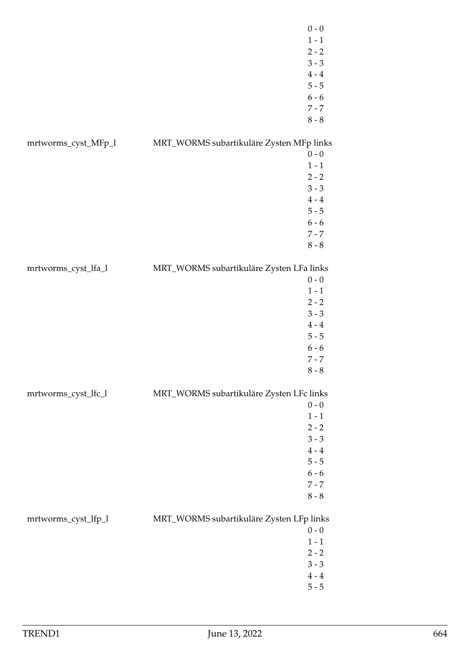|                     | $0 - 0$                                             |
|---------------------|-----------------------------------------------------|
|                     | $1 - 1$                                             |
|                     | $2 - 2$                                             |
|                     | $3 - 3$                                             |
|                     | $4 - 4$                                             |
|                     | $5 - 5$                                             |
|                     | $6 - 6$                                             |
|                     | $7 - 7$                                             |
|                     | $8 - 8$                                             |
|                     |                                                     |
| mrtworms_cyst_MFp_l | MRT_WORMS subartikuläre Zysten MFp links            |
|                     | $0 - 0$                                             |
|                     | $1 - 1$                                             |
|                     | $2 - 2$                                             |
|                     | $3 - 3$                                             |
|                     | $4 - 4$                                             |
|                     | $5 - 5$                                             |
|                     | $6 - 6$                                             |
|                     | $7 - 7$                                             |
|                     | $8 - 8$                                             |
|                     |                                                     |
| mrtworms_cyst_lfa_l | MRT_WORMS subartikuläre Zysten LFa links            |
|                     | $0 - 0$                                             |
|                     | $1 - 1$                                             |
|                     | $2 - 2$                                             |
|                     | $3 - 3$                                             |
|                     | $4 - 4$                                             |
|                     | $5 - 5$                                             |
|                     | $6 - 6$                                             |
|                     | $7 - 7$                                             |
|                     | $8 - 8$                                             |
|                     |                                                     |
| mrtworms_cyst_lfc_l | MRT_WORMS subartikuläre Zysten LFc links            |
|                     | $0 - 0$                                             |
|                     | $1 - 1$                                             |
|                     | $2 - 2$                                             |
|                     | $3 - 3$                                             |
|                     | $4 - 4$                                             |
|                     | $5 - 5$                                             |
|                     | $6 - 6$                                             |
|                     | $7 - 7$                                             |
|                     | $8 - 8$                                             |
|                     |                                                     |
| mrtworms_cyst_lfp_l | MRT_WORMS subartikuläre Zysten LFp links<br>$0 - 0$ |
|                     | $1 - 1$                                             |
|                     | $2 - 2$                                             |
|                     | $3 - 3$                                             |
|                     |                                                     |
|                     | $4 - 4$<br>$5 - 5$                                  |
|                     |                                                     |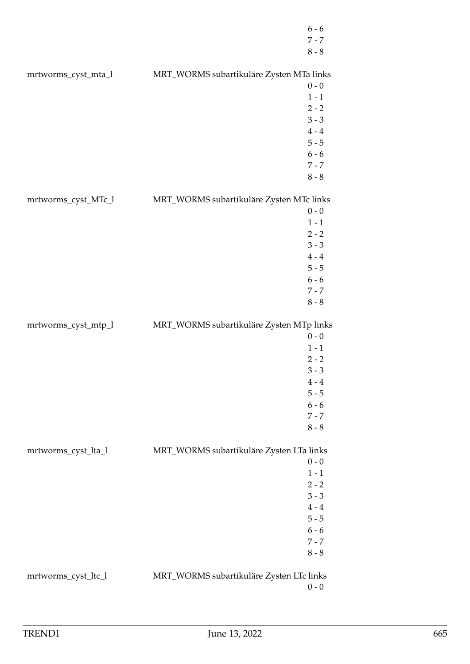|                     |                                          | $6 - 6$<br>$7 - 7$<br>$8 - 8$ |
|---------------------|------------------------------------------|-------------------------------|
| mrtworms_cyst_mta_l | MRT_WORMS subartikuläre Zysten MTa links |                               |
|                     |                                          | $0 - 0$                       |
|                     |                                          | $1 - 1$                       |
|                     |                                          | $2 - 2$                       |
|                     |                                          | $3 - 3$                       |
|                     |                                          | $4 - 4$                       |
|                     |                                          | $5 - 5$                       |
|                     |                                          | $6 - 6$                       |
|                     |                                          | $7 - 7$                       |
|                     |                                          | $8 - 8$                       |
| mrtworms_cyst_MTc_l | MRT_WORMS subartikuläre Zysten MTc links |                               |
|                     |                                          | $0 - 0$                       |
|                     |                                          | $1 - 1$                       |
|                     |                                          | $2 - 2$<br>$3 - 3$            |
|                     |                                          | $4 - 4$                       |
|                     |                                          | $5 - 5$                       |
|                     |                                          | $6 - 6$                       |
|                     |                                          | $7 - 7$                       |
|                     |                                          | $8 - 8$                       |
|                     |                                          |                               |
| mrtworms_cyst_mtp_l | MRT_WORMS subartikuläre Zysten MTp links |                               |
|                     |                                          | $0 - 0$                       |
|                     |                                          | $1 - 1$                       |
|                     |                                          | $2 - 2$                       |
|                     |                                          | $3 - 3$                       |
|                     |                                          | $4 - 4$                       |
|                     |                                          | $5 - 5$                       |
|                     |                                          | $6 - 6$                       |
|                     |                                          | $7 - 7$<br>$8 - 8$            |
|                     |                                          |                               |
| mrtworms_cyst_lta_l | MRT_WORMS subartikuläre Zysten LTa links |                               |
|                     |                                          | $0 - 0$                       |
|                     |                                          | $1 - 1$                       |
|                     |                                          | $2 - 2$<br>$3 - 3$            |
|                     |                                          | $4 - 4$                       |
|                     |                                          | $5 - 5$                       |
|                     |                                          | $6 - 6$                       |
|                     |                                          | $7 - 7$                       |
|                     |                                          | $8 - 8$                       |
| mrtworms_cyst_ltc_l | MRT_WORMS subartikuläre Zysten LTc links | $0 - 0$                       |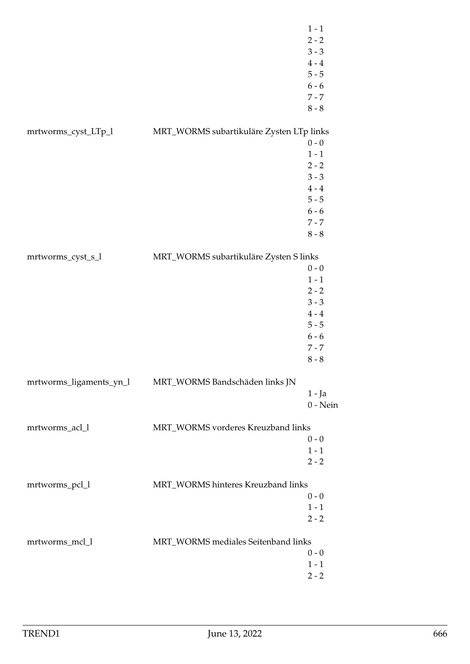|                         |                                          | $1 - 1$<br>$2 - 2$<br>$3 - 3$<br>$4 - 4$<br>$5 - 5$<br>$6 - 6$<br>$7 - 7$<br>$8 - 8$            |
|-------------------------|------------------------------------------|-------------------------------------------------------------------------------------------------|
| mrtworms_cyst_LTp_l     | MRT_WORMS subartikuläre Zysten LTp links | $0 - 0$<br>$1 - 1$<br>$2 - 2$<br>$3 - 3$                                                        |
|                         |                                          | $4 - 4$<br>$5 - 5$<br>$6 - 6$<br>$7 - 7$<br>$8 - 8$                                             |
| mrtworms_cyst_s_l       | MRT_WORMS subartikuläre Zysten S links   | $0 - 0$<br>$1 - 1$<br>$2 - 2$<br>$3 - 3$<br>$4 - 4$<br>$5 - 5$<br>$6 - 6$<br>$7 - 7$<br>$8 - 8$ |
| mrtworms_ligaments_yn_l | MRT_WORMS Bandschäden links JN           | $1 - Ja$<br>$0$ - Nein                                                                          |
| mrtworms_acl_l          | MRT_WORMS vorderes Kreuzband links       | $0 - 0$<br>$1 - 1$<br>$2 - 2$                                                                   |
| mrtworms_pcl_l          | MRT_WORMS hinteres Kreuzband links       | $0 - 0$<br>$1 - 1$<br>$2 - 2$                                                                   |
| mrtworms_mcl_l          | MRT_WORMS mediales Seitenband links      | $0 - 0$<br>$1 - 1$<br>$2 - 2$                                                                   |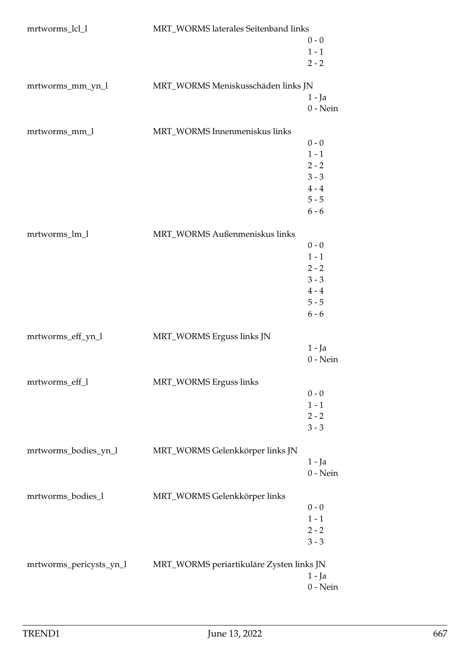| mrtworms_lcl_l          | MRT_WORMS laterales Seitenband links     |            |
|-------------------------|------------------------------------------|------------|
|                         |                                          | $0 - 0$    |
|                         |                                          | $1 - 1$    |
|                         |                                          | $2 - 2$    |
|                         |                                          |            |
| mrtworms_mm_yn_l        | MRT_WORMS Meniskusschäden links JN       |            |
|                         |                                          | 1 - Ja     |
|                         |                                          | $0$ - Nein |
| mrtworms_mm_l           | MRT_WORMS Innenmeniskus links            |            |
|                         |                                          | $0 - 0$    |
|                         |                                          | $1 - 1$    |
|                         |                                          | $2 - 2$    |
|                         |                                          | $3 - 3$    |
|                         |                                          | $4 - 4$    |
|                         |                                          | $5 - 5$    |
|                         |                                          | $6 - 6$    |
|                         |                                          |            |
| mrtworms_lm_l           | MRT_WORMS Außenmeniskus links            |            |
|                         |                                          | $0 - 0$    |
|                         |                                          | $1 - 1$    |
|                         |                                          | $2 - 2$    |
|                         |                                          | $3 - 3$    |
|                         |                                          | $4 - 4$    |
|                         |                                          | $5 - 5$    |
|                         |                                          | $6 - 6$    |
| mrtworms_eff_yn_l       | MRT_WORMS Erguss links JN                |            |
|                         |                                          | 1 - Ja     |
|                         |                                          | $0$ - Nein |
|                         |                                          |            |
| mrtworms_eff_l          | MRT_WORMS Erguss links                   |            |
|                         |                                          | $0 - 0$    |
|                         |                                          | $1 - 1$    |
|                         |                                          | $2 - 2$    |
|                         |                                          | $3 - 3$    |
| mrtworms_bodies_yn_l    | MRT_WORMS Gelenkkörper links JN          |            |
|                         |                                          | 1 - Ja     |
|                         |                                          | $0$ - Nein |
|                         |                                          |            |
| mrtworms_bodies_l       | MRT_WORMS Gelenkkörper links             |            |
|                         |                                          | $0 - 0$    |
|                         |                                          | $1 - 1$    |
|                         |                                          | $2 - 2$    |
|                         |                                          | $3 - 3$    |
|                         |                                          |            |
| mrtworms_pericysts_yn_l | MRT_WORMS periartikuläre Zysten links JN |            |
|                         |                                          | $1 - Ja$   |
|                         |                                          | $0$ - Nein |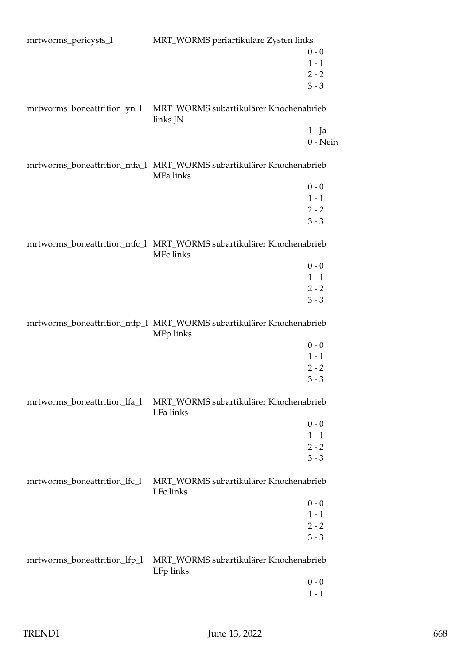| mrtworms_pericysts_l         | MRT_WORMS periartikuläre Zysten links                                            |            |
|------------------------------|----------------------------------------------------------------------------------|------------|
|                              |                                                                                  | $0 - 0$    |
|                              |                                                                                  | $1 - 1$    |
|                              |                                                                                  | $2 - 2$    |
|                              |                                                                                  | $3 - 3$    |
|                              |                                                                                  |            |
| mrtworms_boneattrition_yn_l  | MRT_WORMS subartikulärer Knochenabrieb<br>links JN                               |            |
|                              |                                                                                  | 1 - Ja     |
|                              |                                                                                  | $0 - Nein$ |
|                              | mrtworms_boneattrition_mfa_l MRT_WORMS subartikulärer Knochenabrieb<br>MFa links |            |
|                              |                                                                                  | $0 - 0$    |
|                              |                                                                                  | $1 - 1$    |
|                              |                                                                                  | $2 - 2$    |
|                              |                                                                                  | $3 - 3$    |
|                              |                                                                                  |            |
|                              | mrtworms_boneattrition_mfc_l MRT_WORMS subartikulärer Knochenabrieb<br>MFc links |            |
|                              |                                                                                  | $0 - 0$    |
|                              |                                                                                  | $1 - 1$    |
|                              |                                                                                  | $2 - 2$    |
|                              |                                                                                  | $3 - 3$    |
|                              | mrtworms_boneattrition_mfp_1 MRT_WORMS subartikulärer Knochenabrieb<br>MFp links |            |
|                              |                                                                                  | $0 - 0$    |
|                              |                                                                                  | $1 - 1$    |
|                              |                                                                                  | $2 - 2$    |
|                              |                                                                                  | $3 - 3$    |
| mrtworms_boneattrition_lfa_l | MRT_WORMS subartikulärer Knochenabrieb<br>LFa links                              |            |
|                              |                                                                                  | $0 - 0$    |
|                              |                                                                                  | $1 - 1$    |
|                              |                                                                                  | $2 - 2$    |
|                              |                                                                                  | $3 - 3$    |
|                              |                                                                                  |            |
| mrtworms_boneattrition_lfc_l | MRT_WORMS subartikulärer Knochenabrieb<br>LFc links                              |            |
|                              |                                                                                  | $0 - 0$    |
|                              |                                                                                  | $1 - 1$    |
|                              |                                                                                  | $2 - 2$    |
|                              |                                                                                  | $3 - 3$    |
| mrtworms_boneattrition_lfp_l | MRT_WORMS subartikulärer Knochenabrieb                                           |            |
|                              | LFp links                                                                        |            |
|                              |                                                                                  | $0 - 0$    |
|                              |                                                                                  | $1 - 1$    |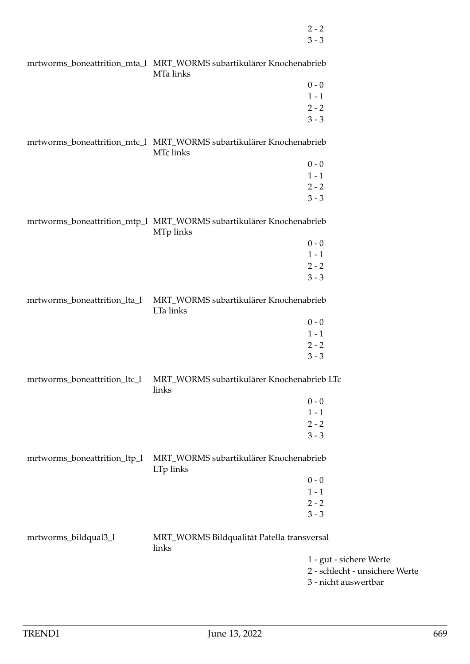2 - 2 3 - 3

|                              | mrtworms_boneattrition_mta_l MRT_WORMS subartikulärer Knochenabrieb<br>MTa links |                                |
|------------------------------|----------------------------------------------------------------------------------|--------------------------------|
|                              |                                                                                  | $0 - 0$                        |
|                              |                                                                                  | $1 - 1$                        |
|                              |                                                                                  | $2 - 2$                        |
|                              |                                                                                  | $3 - 3$                        |
|                              | mrtworms_boneattrition_mtc_l MRT_WORMS subartikulärer Knochenabrieb<br>MTc links |                                |
|                              |                                                                                  | $0 - 0$                        |
|                              |                                                                                  | $1 - 1$                        |
|                              |                                                                                  | $2 - 2$                        |
|                              |                                                                                  | $3 - 3$                        |
|                              | mrtworms_boneattrition_mtp_1 MRT_WORMS subartikulärer Knochenabrieb<br>MTp links |                                |
|                              |                                                                                  | $0 - 0$                        |
|                              |                                                                                  | $1 - 1$                        |
|                              |                                                                                  | $2 - 2$                        |
|                              |                                                                                  | $3 - 3$                        |
|                              |                                                                                  |                                |
| mrtworms_boneattrition_lta_l | MRT_WORMS subartikulärer Knochenabrieb<br>LTa links                              |                                |
|                              |                                                                                  | $0 - 0$                        |
|                              |                                                                                  | $1 - 1$                        |
|                              |                                                                                  | $2 - 2$                        |
|                              |                                                                                  | $3 - 3$                        |
|                              |                                                                                  |                                |
| mrtworms_boneattrition_ltc_l | MRT_WORMS subartikulärer Knochenabrieb LTc<br>links                              |                                |
|                              |                                                                                  | $0 - 0$                        |
|                              |                                                                                  | $1 - 1$                        |
|                              |                                                                                  | $2 - 2$                        |
|                              |                                                                                  | $3 - 3$                        |
|                              |                                                                                  |                                |
| mrtworms_boneattrition_ltp_l | MRT_WORMS subartikulärer Knochenabrieb<br>LTp links                              |                                |
|                              |                                                                                  | $0 - 0$                        |
|                              |                                                                                  | $1 - 1$                        |
|                              |                                                                                  | $2 - 2$                        |
|                              |                                                                                  | $3 - 3$                        |
|                              |                                                                                  |                                |
| mrtworms_bildqual3_l         | MRT_WORMS Bildqualität Patella transversal<br>links                              |                                |
|                              |                                                                                  | 1 - gut - sichere Werte        |
|                              |                                                                                  | 2 - schlecht - unsichere Werte |
|                              |                                                                                  | 3 - nicht auswertbar           |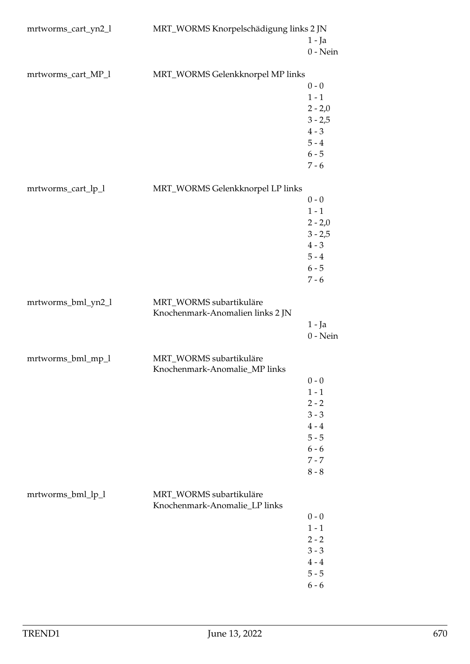| mrtworms_cart_yn2_l | MRT_WORMS Knorpelschädigung links 2 JN                      |            |
|---------------------|-------------------------------------------------------------|------------|
|                     |                                                             | $1 - Ja$   |
|                     |                                                             | $0$ - Nein |
|                     |                                                             |            |
| mrtworms_cart_MP_l  | MRT_WORMS Gelenkknorpel MP links                            |            |
|                     |                                                             | $0 - 0$    |
|                     |                                                             | $1 - 1$    |
|                     |                                                             | $2 - 2,0$  |
|                     |                                                             | $3 - 2,5$  |
|                     |                                                             | $4 - 3$    |
|                     |                                                             | $5 - 4$    |
|                     |                                                             | $6 - 5$    |
|                     |                                                             | $7 - 6$    |
| mrtworms_cart_lp_l  | MRT_WORMS Gelenkknorpel LP links                            |            |
|                     |                                                             | $0 - 0$    |
|                     |                                                             | $1 - 1$    |
|                     |                                                             | $2 - 2,0$  |
|                     |                                                             | $3 - 2,5$  |
|                     |                                                             | $4 - 3$    |
|                     |                                                             | $5 - 4$    |
|                     |                                                             | $6 - 5$    |
|                     |                                                             | $7 - 6$    |
| mrtworms_bml_yn2_l  | MRT_WORMS subartikuläre<br>Knochenmark-Anomalien links 2 JN |            |
|                     |                                                             | $1 - Ja$   |
|                     |                                                             | $0$ - Nein |
| mrtworms_bml_mp_l   | MRT_WORMS subartikuläre<br>Knochenmark-Anomalie_MP links    |            |
|                     |                                                             | $0 - 0$    |
|                     |                                                             | $1 - 1$    |
|                     |                                                             | $2 - 2$    |
|                     |                                                             | $3 - 3$    |
|                     |                                                             | $4 - 4$    |
|                     |                                                             | $5 - 5$    |
|                     |                                                             | $6 - 6$    |
|                     |                                                             | $7 - 7$    |
|                     |                                                             | $8 - 8$    |
| mrtworms_bml_lp_l   | MRT_WORMS subartikuläre<br>Knochenmark-Anomalie_LP links    |            |
|                     |                                                             | $0 - 0$    |
|                     |                                                             | $1 - 1$    |
|                     |                                                             | $2 - 2$    |
|                     |                                                             | $3 - 3$    |
|                     |                                                             | $4 - 4$    |
|                     |                                                             | $5 - 5$    |
|                     |                                                             | $6 - 6$    |
|                     |                                                             |            |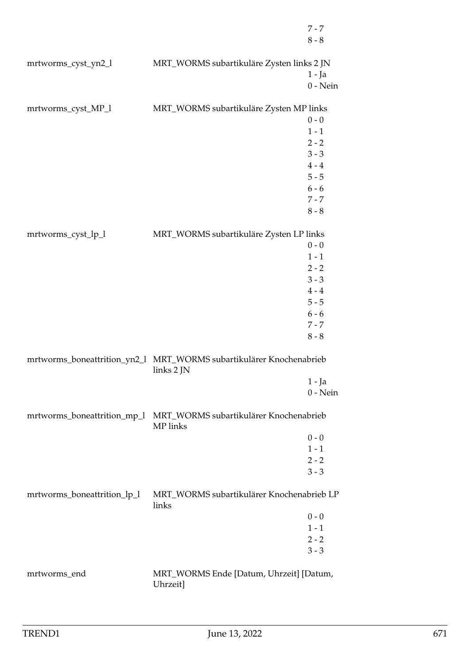|                             |                                                                                   | $7 - 7$<br>$8 - 8$     |
|-----------------------------|-----------------------------------------------------------------------------------|------------------------|
| mrtworms_cyst_yn2_l         | MRT_WORMS subartikuläre Zysten links 2 JN                                         | $1 - Ja$<br>$0$ - Nein |
| mrtworms_cyst_MP_l          | MRT_WORMS subartikuläre Zysten MP links                                           |                        |
|                             |                                                                                   | $0 - 0$<br>$1 - 1$     |
|                             |                                                                                   | $2 - 2$                |
|                             |                                                                                   | $3 - 3$                |
|                             |                                                                                   | $4 - 4$                |
|                             |                                                                                   | $5 - 5$                |
|                             |                                                                                   | $6 - 6$                |
|                             |                                                                                   | $7 - 7$                |
|                             |                                                                                   | $8 - 8$                |
| mrtworms_cyst_lp_l          | MRT_WORMS subartikuläre Zysten LP links                                           |                        |
|                             |                                                                                   | $0 - 0$                |
|                             |                                                                                   | $1 - 1$                |
|                             |                                                                                   | $2 - 2$                |
|                             |                                                                                   | $3 - 3$                |
|                             |                                                                                   | $4 - 4$<br>$5 - 5$     |
|                             |                                                                                   | $6 - 6$                |
|                             |                                                                                   | $7 - 7$                |
|                             |                                                                                   | $8 - 8$                |
|                             | mrtworms_boneattrition_yn2_l MRT_WORMS subartikulärer Knochenabrieb<br>links 2 JN |                        |
|                             |                                                                                   | $1 - Ja$               |
|                             |                                                                                   | $0$ - Nein             |
| mrtworms_boneattrition_mp_l | MRT_WORMS subartikulärer Knochenabrieb<br>MP links                                |                        |
|                             |                                                                                   | $0 - 0$                |
|                             |                                                                                   | $1 - 1$                |
|                             |                                                                                   | $2 - 2$                |
|                             |                                                                                   | $3 - 3$                |
| mrtworms_boneattrition_lp_l | MRT_WORMS subartikulärer Knochenabrieb LP<br>links                                |                        |
|                             |                                                                                   | $0 - 0$                |
|                             |                                                                                   | $1 - 1$                |
|                             |                                                                                   | $2 - 2$                |
|                             |                                                                                   | $3 - 3$                |
| mrtworms_end                | MRT_WORMS Ende [Datum, Uhrzeit] [Datum,<br>Uhrzeit]                               |                        |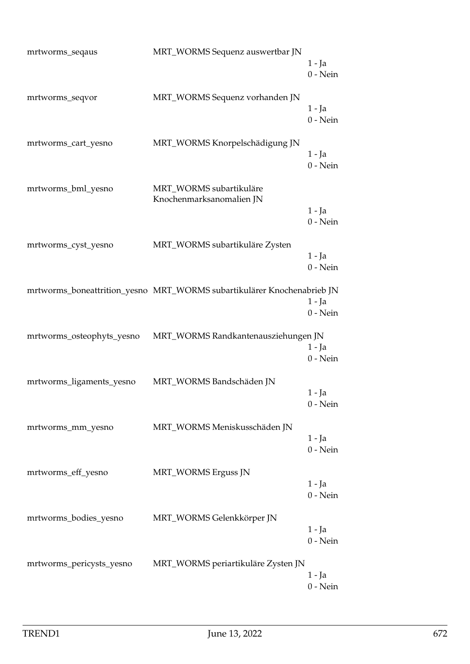| mrtworms_seqaus           | MRT_WORMS Sequenz auswertbar JN                                        | $1 - Ja$<br>$0$ - Nein |
|---------------------------|------------------------------------------------------------------------|------------------------|
| mrtworms_seqvor           | MRT_WORMS Sequenz vorhanden JN                                         | $1 - Ja$<br>$0$ - Nein |
| mrtworms_cart_yesno       | MRT_WORMS Knorpelschädigung JN                                         | 1 - Ja<br>$0$ - Nein   |
| mrtworms_bml_yesno        | MRT_WORMS subartikuläre<br>Knochenmarksanomalien JN                    | $1 - Ja$<br>$0$ - Nein |
| mrtworms_cyst_yesno       | MRT_WORMS subartikuläre Zysten                                         | $1 - Ja$<br>$0$ - Nein |
|                           | mrtworms_boneattrition_yesno MRT_WORMS subartikulärer Knochenabrieb JN | $1 - Ja$<br>$0$ - Nein |
| mrtworms_osteophyts_yesno | MRT_WORMS Randkantenausziehungen JN                                    | $1 - Ja$<br>$0$ - Nein |
| mrtworms_ligaments_yesno  | MRT_WORMS Bandschäden JN                                               | 1 - Ja<br>$0$ - Nein   |
| mrtworms_mm_yesno         | MRT_WORMS Meniskusschäden JN                                           | 1 - Ja<br>$0$ - Nein   |
| mrtworms_eff_yesno        | MRT_WORMS Erguss JN                                                    | 1 - Ja<br>$0$ - Nein   |
| mrtworms_bodies_yesno     | MRT_WORMS Gelenkkörper JN                                              | 1 - Ja<br>$0$ - Nein   |
| mrtworms_pericysts_yesno  | MRT_WORMS periartikuläre Zysten JN                                     | 1 - Ja<br>$0$ - Nein   |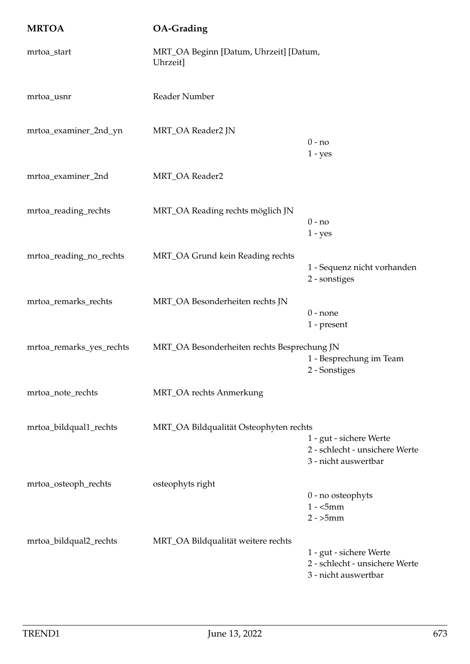| <b>MRTOA</b>             | <b>OA-Grading</b>                                  |                                                                                   |
|--------------------------|----------------------------------------------------|-----------------------------------------------------------------------------------|
| mrtoa_start              | MRT_OA Beginn [Datum, Uhrzeit] [Datum,<br>Uhrzeit] |                                                                                   |
| mrtoa_usnr               | Reader Number                                      |                                                                                   |
| mrtoa_examiner_2nd_yn    | MRT_OA Reader2 JN                                  | $0 - no$<br>$1 - yes$                                                             |
| mrtoa_examiner_2nd       | MRT_OA Reader2                                     |                                                                                   |
| mrtoa_reading_rechts     | MRT_OA Reading rechts möglich JN                   | $0 - no$<br>$1 - yes$                                                             |
| mrtoa_reading_no_rechts  | MRT_OA Grund kein Reading rechts                   | 1 - Sequenz nicht vorhanden<br>2 - sonstiges                                      |
| mrtoa_remarks_rechts     | MRT_OA Besonderheiten rechts JN                    | $0$ - none<br>1 - present                                                         |
| mrtoa_remarks_yes_rechts | MRT_OA Besonderheiten rechts Besprechung JN        | 1 - Besprechung im Team<br>2 - Sonstiges                                          |
| mrtoa_note_rechts        | MRT_OA rechts Anmerkung                            |                                                                                   |
| mrtoa_bildqual1_rechts   | MRT_OA Bildqualität Osteophyten rechts             | 1 - gut - sichere Werte<br>2 - schlecht - unsichere Werte<br>3 - nicht auswertbar |
| mrtoa_osteoph_rechts     | osteophyts right                                   | 0 - no osteophyts<br>$1 -$ <5mm<br>$2 - 5mm$                                      |
| mrtoa_bildqual2_rechts   | MRT_OA Bildqualität weitere rechts                 | 1 - gut - sichere Werte<br>2 - schlecht - unsichere Werte<br>3 - nicht auswertbar |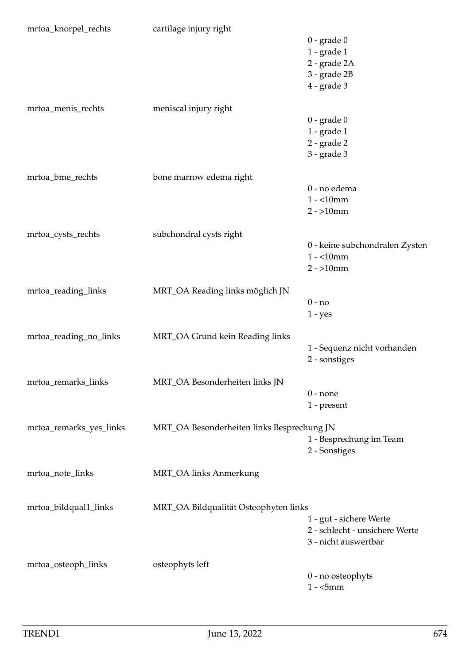| mrtoa_knorpel_rechts    | cartilage injury right                     |                                |
|-------------------------|--------------------------------------------|--------------------------------|
|                         |                                            | $0$ - grade $0$                |
|                         |                                            | $1$ - grade $1$                |
|                         |                                            | 2 - grade 2A                   |
|                         |                                            | 3 - grade 2B                   |
|                         |                                            | $4$ - grade $3$                |
|                         |                                            |                                |
| mrtoa_menis_rechts      | meniscal injury right                      |                                |
|                         |                                            | $0$ - grade $0$                |
|                         |                                            | $1$ - grade $1$                |
|                         |                                            | 2 - grade 2                    |
|                         |                                            | $3$ - grade $3$                |
|                         |                                            |                                |
| mrtoa_bme_rechts        | bone marrow edema right                    |                                |
|                         |                                            | 0 - no edema                   |
|                         |                                            | $1 - 10$ mm                    |
|                         |                                            | $2 - 10$ mm                    |
|                         |                                            |                                |
| mrtoa_cysts_rechts      | subchondral cysts right                    |                                |
|                         |                                            | 0 - keine subchondralen Zysten |
|                         |                                            | $1 - 10$ mm                    |
|                         |                                            | $2 - 10$ mm                    |
|                         |                                            |                                |
| mrtoa_reading_links     | MRT_OA Reading links möglich JN            |                                |
|                         |                                            | $0 - no$                       |
|                         |                                            | $1 - yes$                      |
|                         |                                            |                                |
| mrtoa_reading_no_links  | MRT_OA Grund kein Reading links            |                                |
|                         |                                            | 1 - Sequenz nicht vorhanden    |
|                         |                                            | 2 - sonstiges                  |
|                         |                                            |                                |
| mrtoa_remarks_links     | MRT_OA Besonderheiten links JN             |                                |
|                         |                                            | $0$ - none                     |
|                         |                                            | 1 - present                    |
|                         |                                            |                                |
| mrtoa_remarks_yes_links | MRT_OA Besonderheiten links Besprechung JN |                                |
|                         |                                            | 1 - Besprechung im Team        |
|                         |                                            | 2 - Sonstiges                  |
|                         |                                            |                                |
| mrtoa_note_links        | MRT_OA links Anmerkung                     |                                |
|                         |                                            |                                |
|                         |                                            |                                |
| mrtoa_bildqual1_links   | MRT_OA Bildqualität Osteophyten links      |                                |
|                         |                                            | 1 - gut - sichere Werte        |
|                         |                                            | 2 - schlecht - unsichere Werte |
|                         |                                            | 3 - nicht auswertbar           |
|                         |                                            |                                |
| mrtoa_osteoph_links     | osteophyts left                            |                                |
|                         |                                            | $0$ - no osteophyts            |
|                         |                                            | $1 -$ <5mm                     |
|                         |                                            |                                |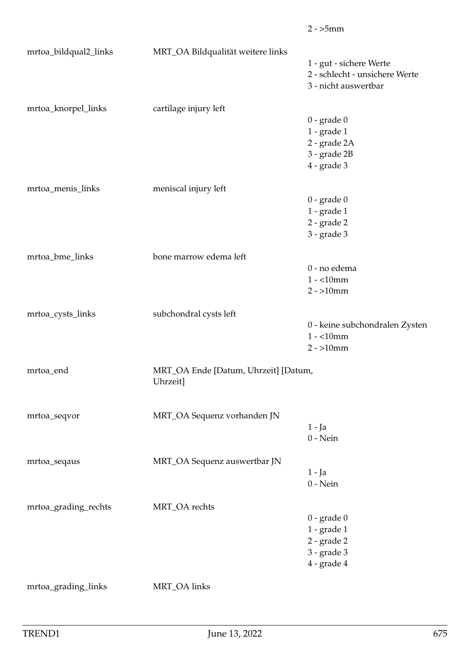|                       |                                      | $2 - 5mm$                      |
|-----------------------|--------------------------------------|--------------------------------|
| mrtoa_bildqual2_links | MRT_OA Bildqualität weitere links    |                                |
|                       |                                      | 1 - gut - sichere Werte        |
|                       |                                      | 2 - schlecht - unsichere Werte |
|                       |                                      | 3 - nicht auswertbar           |
| mrtoa_knorpel_links   | cartilage injury left                |                                |
|                       |                                      | $0$ - grade $0$                |
|                       |                                      | $1$ - $grade 1$                |
|                       |                                      | 2 - grade 2A                   |
|                       |                                      | 3 - grade 2B                   |
|                       |                                      | $4$ - grade $3$                |
|                       |                                      |                                |
| mrtoa_menis_links     | meniscal injury left                 |                                |
|                       |                                      | $0$ - grade $0$                |
|                       |                                      | $1$ - grade $1$                |
|                       |                                      | $2$ - grade $2$                |
|                       |                                      | $3 - grade 3$                  |
| mrtoa_bme_links       | bone marrow edema left               |                                |
|                       |                                      | 0 - no edema                   |
|                       |                                      | $1 - 10$ mm                    |
|                       |                                      | $2 - 10$ mm                    |
| mrtoa_cysts_links     | subchondral cysts left               |                                |
|                       |                                      | 0 - keine subchondralen Zysten |
|                       |                                      | $1 - 10$ mm                    |
|                       |                                      | $2 - 10$ mm                    |
| mrtoa_end             | MRT_OA Ende [Datum, Uhrzeit] [Datum, |                                |
|                       | Uhrzeit]                             |                                |
|                       |                                      |                                |
| mrtoa_seqvor          | MRT_OA Sequenz vorhanden JN          |                                |
|                       |                                      | $1 - Ja$                       |
|                       |                                      | $0$ - Nein                     |
|                       | MRT_OA Sequenz auswertbar JN         |                                |
| mrtoa_seqaus          |                                      | $1 - Ja$                       |
|                       |                                      | $0$ - Nein                     |
|                       |                                      |                                |
| mrtoa_grading_rechts  | MRT_OA rechts                        |                                |
|                       |                                      | $0$ - grade $0$                |
|                       |                                      | $1$ - grade $1$                |
|                       |                                      | $2$ - grade $2$                |
|                       |                                      | $3$ - grade $3$                |
|                       |                                      | 4 - grade 4                    |
| mrtoa_grading_links   | MRT_OA links                         |                                |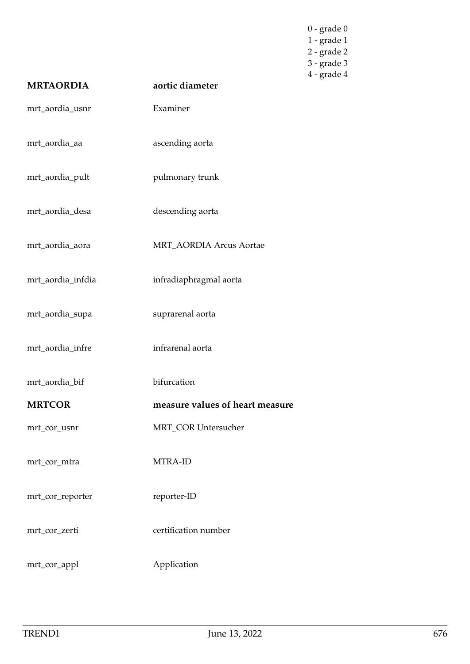| <b>MRTAORDIA</b>  | aortic diameter                 | $0$ - grade $0$<br>$1$ - grade $1$<br>2 - grade 2<br>3 - grade 3<br>$4$ - grade $4$ |
|-------------------|---------------------------------|-------------------------------------------------------------------------------------|
|                   |                                 |                                                                                     |
| mrt_aordia_usnr   | Examiner                        |                                                                                     |
| mrt_aordia_aa     | ascending aorta                 |                                                                                     |
| mrt_aordia_pult   | pulmonary trunk                 |                                                                                     |
| mrt_aordia_desa   | descending aorta                |                                                                                     |
| mrt_aordia_aora   | MRT_AORDIA Arcus Aortae         |                                                                                     |
| mrt_aordia_infdia | infradiaphragmal aorta          |                                                                                     |
| mrt_aordia_supa   | suprarenal aorta                |                                                                                     |
| mrt_aordia_infre  | infrarenal aorta                |                                                                                     |
| mrt_aordia_bif    | bifurcation                     |                                                                                     |
| <b>MRTCOR</b>     | measure values of heart measure |                                                                                     |
| mrt_cor_usnr      | MRT_COR Untersucher             |                                                                                     |
| mrt_cor_mtra      | MTRA-ID                         |                                                                                     |
| mrt_cor_reporter  | reporter-ID                     |                                                                                     |
| mrt_cor_zerti     | certification number            |                                                                                     |
| mrt_cor_appl      | Application                     |                                                                                     |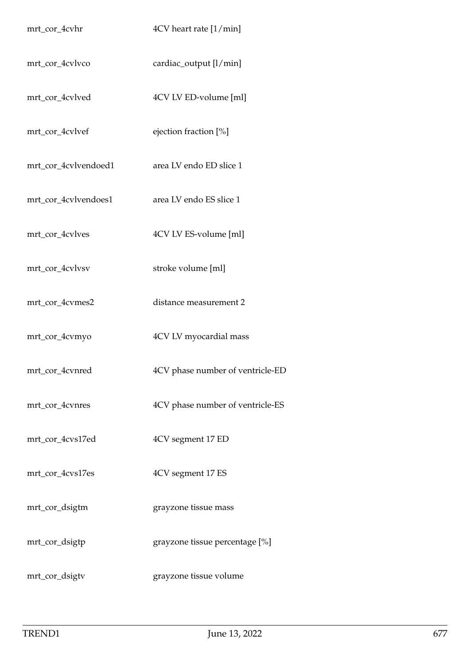| mrt_cor_4cvhr        | 4CV heart rate [1/min]           |
|----------------------|----------------------------------|
| mrt_cor_4cvlvco      | cardiac_output [l/min]           |
| mrt_cor_4cvlved      | 4CV LV ED-volume [ml]            |
| mrt_cor_4cvlvef      | ejection fraction [%]            |
| mrt_cor_4cvlvendoed1 | area LV endo ED slice 1          |
| mrt_cor_4cvlvendoes1 | area LV endo ES slice 1          |
| mrt_cor_4cvlves      | 4CV LV ES-volume [ml]            |
| mrt_cor_4cvlvsv      | stroke volume [ml]               |
| mrt_cor_4cvmes2      | distance measurement 2           |
| mrt_cor_4cvmyo       | 4CV LV myocardial mass           |
| mrt_cor_4cvnred      | 4CV phase number of ventricle-ED |
| mrt_cor_4cvnres      | 4CV phase number of ventricle-ES |
| mrt_cor_4cvs17ed     | 4CV segment 17 ED                |
| mrt_cor_4cvs17es     | 4CV segment 17 ES                |
| mrt_cor_dsigtm       | grayzone tissue mass             |
| mrt_cor_dsigtp       | grayzone tissue percentage [%]   |
| mrt_cor_dsigtv       | grayzone tissue volume           |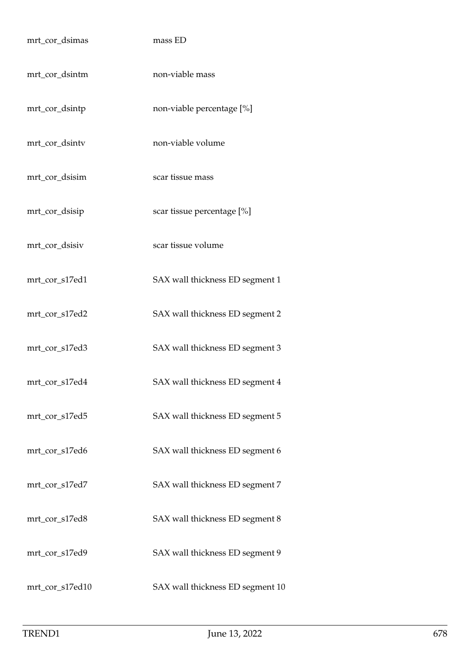| mrt_cor_dsimas  | mass ED                          |
|-----------------|----------------------------------|
| mrt_cor_dsintm  | non-viable mass                  |
| mrt_cor_dsintp  | non-viable percentage [%]        |
| mrt_cor_dsintv  | non-viable volume                |
| mrt_cor_dsisim  | scar tissue mass                 |
| mrt_cor_dsisip  | scar tissue percentage [%]       |
| mrt_cor_dsisiv  | scar tissue volume               |
| mrt_cor_s17ed1  | SAX wall thickness ED segment 1  |
| mrt_cor_s17ed2  | SAX wall thickness ED segment 2  |
| mrt_cor_s17ed3  | SAX wall thickness ED segment 3  |
| mrt_cor_s17ed4  | SAX wall thickness ED segment 4  |
| mrt_cor_s17ed5  | SAX wall thickness ED segment 5  |
| mrt_cor_s17ed6  | SAX wall thickness ED segment 6  |
| mrt_cor_s17ed7  | SAX wall thickness ED segment 7  |
| mrt_cor_s17ed8  | SAX wall thickness ED segment 8  |
| mrt_cor_s17ed9  | SAX wall thickness ED segment 9  |
| mrt_cor_s17ed10 | SAX wall thickness ED segment 10 |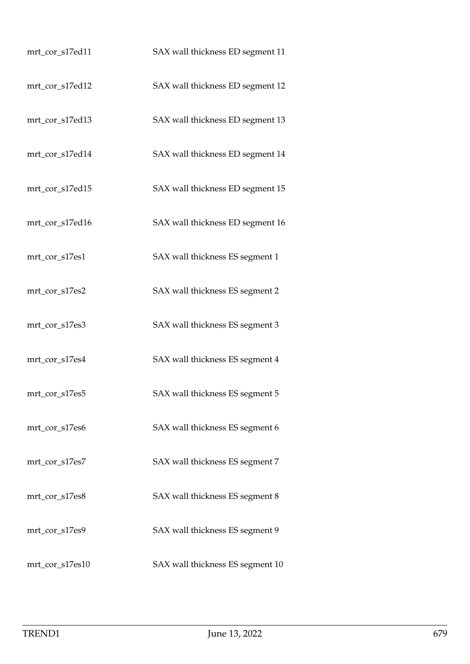| mrt_cor_s17ed11 | SAX wall thickness ED segment 11 |
|-----------------|----------------------------------|
| mrt_cor_s17ed12 | SAX wall thickness ED segment 12 |
| mrt_cor_s17ed13 | SAX wall thickness ED segment 13 |
| mrt_cor_s17ed14 | SAX wall thickness ED segment 14 |
| mrt_cor_s17ed15 | SAX wall thickness ED segment 15 |
| mrt_cor_s17ed16 | SAX wall thickness ED segment 16 |
| mrt_cor_s17es1  | SAX wall thickness ES segment 1  |
| mrt_cor_s17es2  | SAX wall thickness ES segment 2  |
| mrt_cor_s17es3  | SAX wall thickness ES segment 3  |
| mrt_cor_s17es4  | SAX wall thickness ES segment 4  |
| mrt_cor_s17es5  | SAX wall thickness ES segment 5  |
| mrt_cor_s17es6  | SAX wall thickness ES segment 6  |
| mrt_cor_s17es7  | SAX wall thickness ES segment 7  |
| mrt_cor_s17es8  | SAX wall thickness ES segment 8  |
| mrt_cor_s17es9  | SAX wall thickness ES segment 9  |
| mrt_cor_s17es10 | SAX wall thickness ES segment 10 |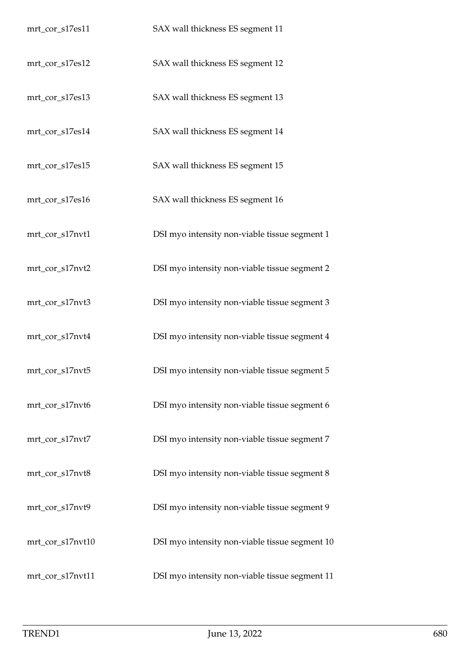| mrt_cor_s17es11  | SAX wall thickness ES segment 11               |
|------------------|------------------------------------------------|
| mrt_cor_s17es12  | SAX wall thickness ES segment 12               |
| mrt_cor_s17es13  | SAX wall thickness ES segment 13               |
| mrt_cor_s17es14  | SAX wall thickness ES segment 14               |
| mrt_cor_s17es15  | SAX wall thickness ES segment 15               |
| mrt_cor_s17es16  | SAX wall thickness ES segment 16               |
| mrt_cor_s17nvt1  | DSI myo intensity non-viable tissue segment 1  |
| mrt_cor_s17nvt2  | DSI myo intensity non-viable tissue segment 2  |
| mrt_cor_s17nvt3  | DSI myo intensity non-viable tissue segment 3  |
| mrt_cor_s17nvt4  | DSI myo intensity non-viable tissue segment 4  |
| mrt_cor_s17nvt5  | DSI myo intensity non-viable tissue segment 5  |
| mrt_cor_s17nvt6  | DSI myo intensity non-viable tissue segment 6  |
| mrt_cor_s17nvt7  | DSI myo intensity non-viable tissue segment 7  |
| mrt_cor_s17nvt8  | DSI myo intensity non-viable tissue segment 8  |
| mrt_cor_s17nvt9  | DSI myo intensity non-viable tissue segment 9  |
| mrt_cor_s17nvt10 | DSI myo intensity non-viable tissue segment 10 |
| mrt_cor_s17nvt11 | DSI myo intensity non-viable tissue segment 11 |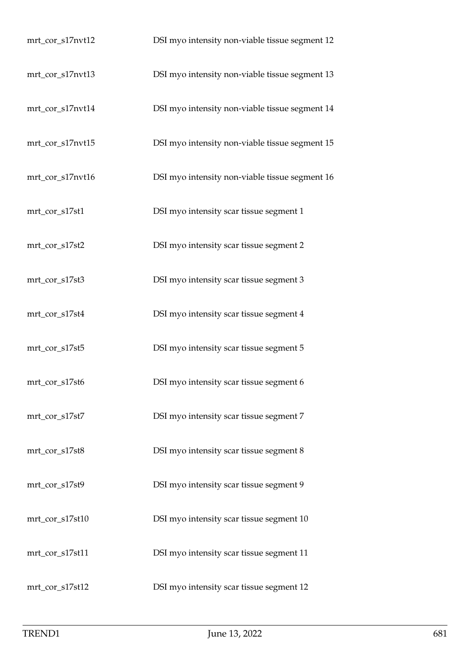| mrt_cor_s17nvt12 | DSI myo intensity non-viable tissue segment 12 |
|------------------|------------------------------------------------|
| mrt_cor_s17nvt13 | DSI myo intensity non-viable tissue segment 13 |
| mrt_cor_s17nvt14 | DSI myo intensity non-viable tissue segment 14 |
| mrt_cor_s17nvt15 | DSI myo intensity non-viable tissue segment 15 |
| mrt_cor_s17nvt16 | DSI myo intensity non-viable tissue segment 16 |
| mrt_cor_s17st1   | DSI myo intensity scar tissue segment 1        |
| mrt_cor_s17st2   | DSI myo intensity scar tissue segment 2        |
| mrt_cor_s17st3   | DSI myo intensity scar tissue segment 3        |
| mrt_cor_s17st4   | DSI myo intensity scar tissue segment 4        |
| mrt_cor_s17st5   | DSI myo intensity scar tissue segment 5        |
| mrt_cor_s17st6   | DSI myo intensity scar tissue segment 6        |
| mrt_cor_s17st7   | DSI myo intensity scar tissue segment 7        |
| mrt_cor_s17st8   | DSI myo intensity scar tissue segment 8        |
| mrt_cor_s17st9   | DSI myo intensity scar tissue segment 9        |
| mrt_cor_s17st10  | DSI myo intensity scar tissue segment 10       |
| mrt_cor_s17st11  | DSI myo intensity scar tissue segment 11       |
| mrt_cor_s17st12  | DSI myo intensity scar tissue segment 12       |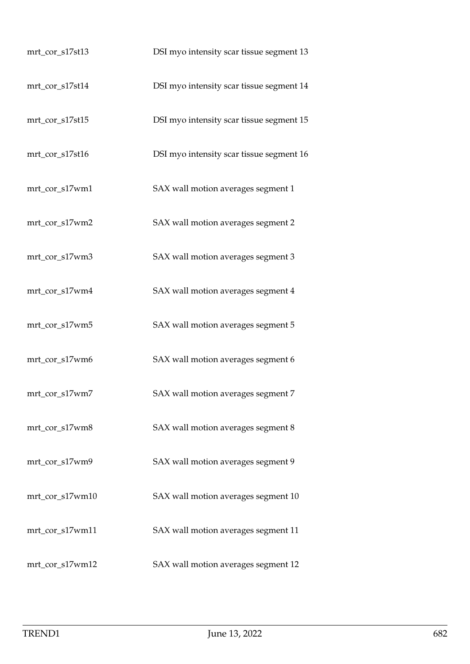| mrt_cor_s17st13 | DSI myo intensity scar tissue segment 13 |
|-----------------|------------------------------------------|
| mrt_cor_s17st14 | DSI myo intensity scar tissue segment 14 |
| mrt_cor_s17st15 | DSI myo intensity scar tissue segment 15 |
| mrt_cor_s17st16 | DSI myo intensity scar tissue segment 16 |
| mrt_cor_s17wm1  | SAX wall motion averages segment 1       |
| mrt_cor_s17wm2  | SAX wall motion averages segment 2       |
| mrt_cor_s17wm3  | SAX wall motion averages segment 3       |
| mrt_cor_s17wm4  | SAX wall motion averages segment 4       |
| mrt_cor_s17wm5  | SAX wall motion averages segment 5       |
| mrt_cor_s17wm6  | SAX wall motion averages segment 6       |
| mrt_cor_s17wm7  | SAX wall motion averages segment 7       |
| mrt_cor_s17wm8  | SAX wall motion averages segment 8       |
| mrt_cor_s17wm9  | SAX wall motion averages segment 9       |
| mrt_cor_s17wm10 | SAX wall motion averages segment 10      |
| mrt_cor_s17wm11 | SAX wall motion averages segment 11      |
| mrt_cor_s17wm12 | SAX wall motion averages segment 12      |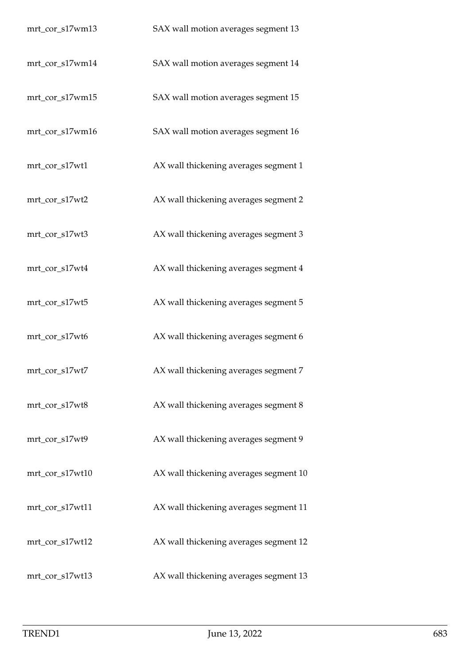| mrt_cor_s17wm13 | SAX wall motion averages segment 13    |
|-----------------|----------------------------------------|
| mrt_cor_s17wm14 | SAX wall motion averages segment 14    |
| mrt_cor_s17wm15 | SAX wall motion averages segment 15    |
| mrt_cor_s17wm16 | SAX wall motion averages segment 16    |
| mrt_cor_s17wt1  | AX wall thickening averages segment 1  |
| mrt_cor_s17wt2  | AX wall thickening averages segment 2  |
| mrt_cor_s17wt3  | AX wall thickening averages segment 3  |
| mrt_cor_s17wt4  | AX wall thickening averages segment 4  |
| mrt_cor_s17wt5  | AX wall thickening averages segment 5  |
| mrt_cor_s17wt6  | AX wall thickening averages segment 6  |
| mrt_cor_s17wt7  | AX wall thickening averages segment 7  |
| mrt_cor_s17wt8  | AX wall thickening averages segment 8  |
| mrt_cor_s17wt9  | AX wall thickening averages segment 9  |
| mrt_cor_s17wt10 | AX wall thickening averages segment 10 |
| mrt_cor_s17wt11 | AX wall thickening averages segment 11 |
| mrt_cor_s17wt12 | AX wall thickening averages segment 12 |
| mrt_cor_s17wt13 | AX wall thickening averages segment 13 |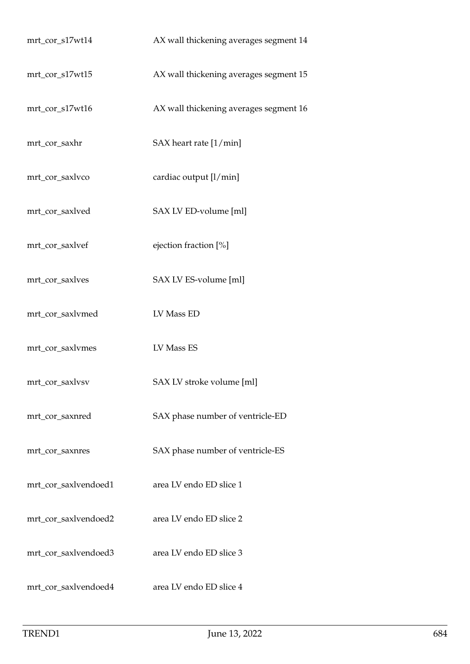| mrt_cor_s17wt14      | AX wall thickening averages segment 14 |
|----------------------|----------------------------------------|
| mrt_cor_s17wt15      | AX wall thickening averages segment 15 |
| mrt_cor_s17wt16      | AX wall thickening averages segment 16 |
| mrt_cor_saxhr        | SAX heart rate [1/min]                 |
| mrt_cor_saxlvco      | cardiac output [l/min]                 |
| mrt_cor_saxlved      | SAX LV ED-volume [ml]                  |
| mrt_cor_saxlvef      | ejection fraction [%]                  |
| mrt_cor_saxlves      | SAX LV ES-volume [ml]                  |
| mrt_cor_saxlvmed     | LV Mass ED                             |
| mrt_cor_saxlvmes     | LV Mass ES                             |
| mrt_cor_saxlvsv      | SAX LV stroke volume [ml]              |
| mrt_cor_saxnred      | SAX phase number of ventricle-ED       |
| mrt_cor_saxnres      | SAX phase number of ventricle-ES       |
| mrt_cor_saxlvendoed1 | area LV endo ED slice 1                |
| mrt_cor_saxlvendoed2 | area LV endo ED slice 2                |
| mrt_cor_saxlvendoed3 | area LV endo ED slice 3                |
| mrt_cor_saxlvendoed4 | area LV endo ED slice 4                |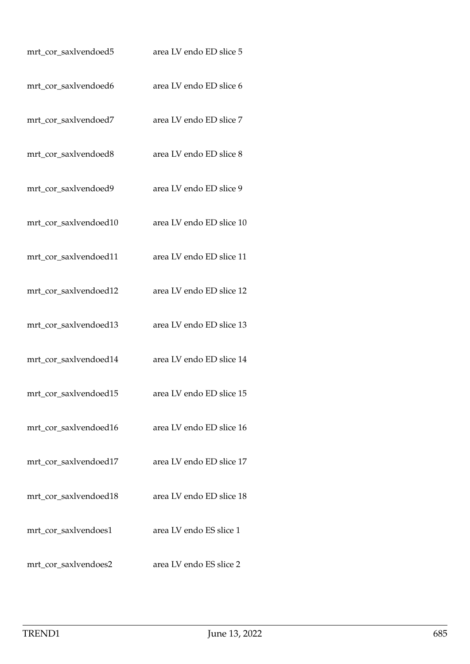| mrt_cor_saxlvendoed5  | area LV endo ED slice 5  |
|-----------------------|--------------------------|
| mrt_cor_saxlvendoed6  | area LV endo ED slice 6  |
| mrt_cor_saxlvendoed7  | area LV endo ED slice 7  |
| mrt_cor_saxlvendoed8  | area LV endo ED slice 8  |
| mrt_cor_saxlvendoed9  | area LV endo ED slice 9  |
| mrt_cor_saxlvendoed10 | area LV endo ED slice 10 |
| mrt_cor_saxlvendoed11 | area LV endo ED slice 11 |
| mrt_cor_saxlvendoed12 | area LV endo ED slice 12 |
| mrt_cor_saxlvendoed13 | area LV endo ED slice 13 |
| mrt_cor_saxlvendoed14 | area LV endo ED slice 14 |
| mrt_cor_saxlvendoed15 | area LV endo ED slice 15 |
| mrt_cor_saxlvendoed16 | area LV endo ED slice 16 |
| mrt_cor_saxlvendoed17 | area LV endo ED slice 17 |
| mrt_cor_saxlvendoed18 | area LV endo ED slice 18 |
| mrt_cor_saxlvendoes1  | area LV endo ES slice 1  |
| mrt_cor_saxlvendoes2  | area LV endo ES slice 2  |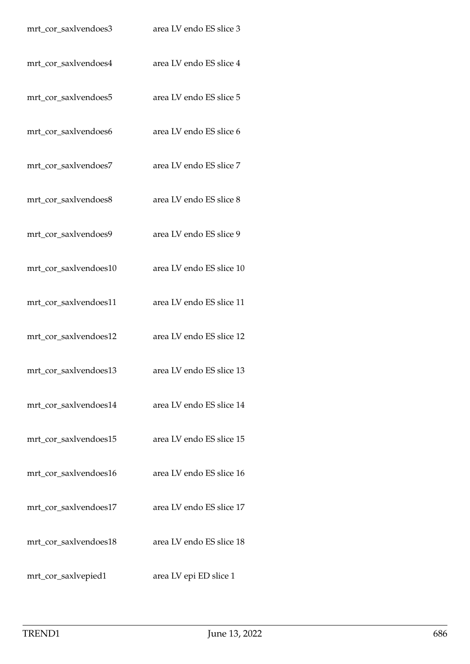| mrt_cor_saxlvendoes3  | area LV endo ES slice 3  |
|-----------------------|--------------------------|
| mrt_cor_saxlvendoes4  | area LV endo ES slice 4  |
| mrt_cor_saxlvendoes5  | area LV endo ES slice 5  |
| mrt_cor_saxlvendoes6  | area LV endo ES slice 6  |
| mrt_cor_saxlvendoes7  | area LV endo ES slice 7  |
| mrt_cor_saxlvendoes8  | area LV endo ES slice 8  |
| mrt_cor_saxlvendoes9  | area LV endo ES slice 9  |
| mrt_cor_saxlvendoes10 | area LV endo ES slice 10 |
| mrt_cor_saxlvendoes11 | area LV endo ES slice 11 |
| mrt_cor_saxlvendoes12 | area LV endo ES slice 12 |
| mrt_cor_saxlvendoes13 | area LV endo ES slice 13 |
| mrt_cor_saxlvendoes14 | area LV endo ES slice 14 |
| mrt_cor_saxlvendoes15 | area LV endo ES slice 15 |
| mrt_cor_saxlvendoes16 | area LV endo ES slice 16 |
| mrt_cor_saxlvendoes17 | area LV endo ES slice 17 |
| mrt_cor_saxlvendoes18 | area LV endo ES slice 18 |
| mrt_cor_saxlvepied1   | area LV epi ED slice 1   |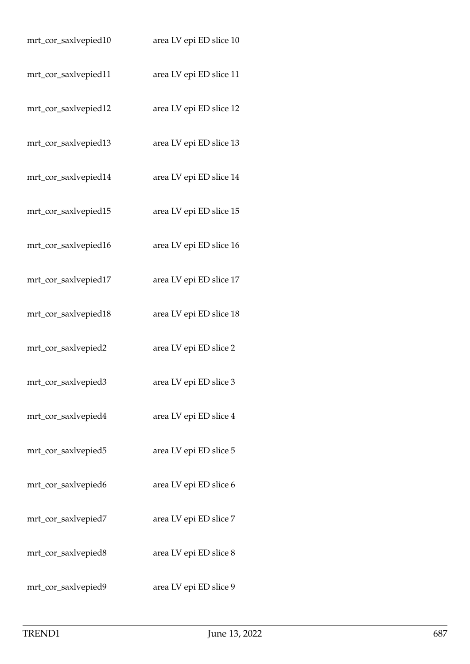| mrt_cor_saxlvepied10 | area LV epi ED slice 10 |
|----------------------|-------------------------|
| mrt_cor_saxlvepied11 | area LV epi ED slice 11 |
| mrt_cor_saxlvepied12 | area LV epi ED slice 12 |
| mrt_cor_saxlvepied13 | area LV epi ED slice 13 |
| mrt_cor_saxlvepied14 | area LV epi ED slice 14 |
| mrt_cor_saxlvepied15 | area LV epi ED slice 15 |
| mrt_cor_saxlvepied16 | area LV epi ED slice 16 |
| mrt_cor_saxlvepied17 | area LV epi ED slice 17 |
| mrt_cor_saxlvepied18 | area LV epi ED slice 18 |
| mrt_cor_saxlvepied2  | area LV epi ED slice 2  |
| mrt_cor_saxlvepied3  | area LV epi ED slice 3  |
| mrt_cor_saxlvepied4  | area LV epi ED slice 4  |
| mrt_cor_saxlvepied5  | area LV epi ED slice 5  |
| mrt_cor_saxlvepied6  | area LV epi ED slice 6  |
| mrt_cor_saxlvepied7  | area LV epi ED slice 7  |
| mrt_cor_saxlvepied8  | area LV epi ED slice 8  |
| mrt_cor_saxlvepied9  | area LV epi ED slice 9  |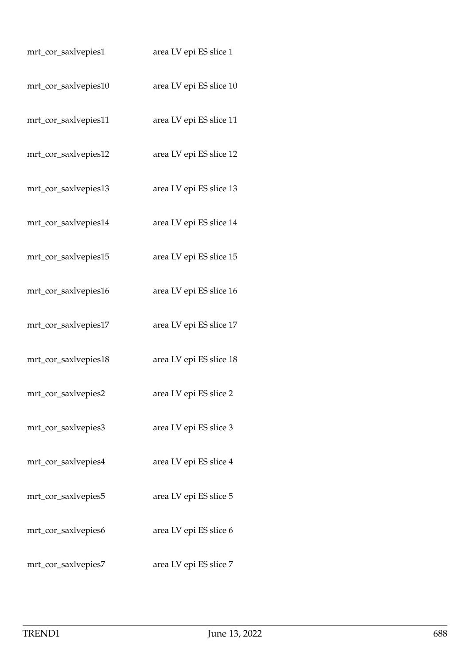| mrt_cor_saxlvepies1  | area LV epi ES slice 1  |
|----------------------|-------------------------|
| mrt_cor_saxlvepies10 | area LV epi ES slice 10 |
| mrt_cor_saxlvepies11 | area LV epi ES slice 11 |
| mrt_cor_saxlvepies12 | area LV epi ES slice 12 |
| mrt_cor_saxlvepies13 | area LV epi ES slice 13 |
| mrt_cor_saxlvepies14 | area LV epi ES slice 14 |
| mrt_cor_saxlvepies15 | area LV epi ES slice 15 |
| mrt_cor_saxlvepies16 | area LV epi ES slice 16 |
| mrt_cor_saxlvepies17 | area LV epi ES slice 17 |
| mrt_cor_saxlvepies18 | area LV epi ES slice 18 |
| mrt_cor_saxlvepies2  | area LV epi ES slice 2  |
| mrt_cor_saxlvepies3  | area LV epi ES slice 3  |
| mrt_cor_saxlvepies4  | area LV epi ES slice 4  |
| mrt_cor_saxlvepies5  | area LV epi ES slice 5  |
| mrt_cor_saxlvepies6  | area LV epi ES slice 6  |
| mrt_cor_saxlvepies7  | area LV epi ES slice 7  |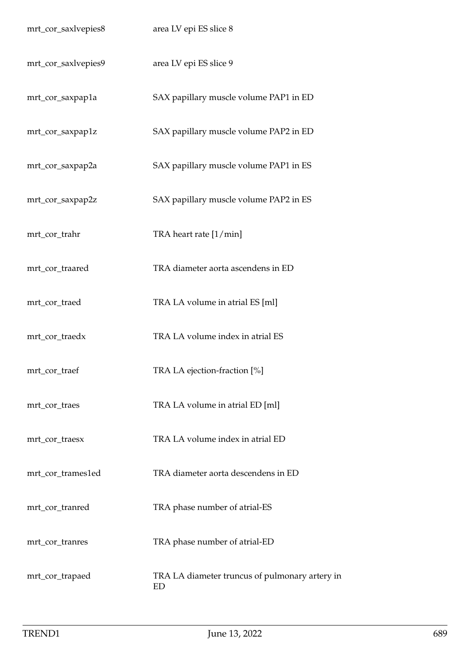| mrt_cor_saxlvepies8 | area LV epi ES slice 8                               |
|---------------------|------------------------------------------------------|
| mrt_cor_saxlvepies9 | area LV epi ES slice 9                               |
| mrt_cor_saxpap1a    | SAX papillary muscle volume PAP1 in ED               |
| mrt_cor_saxpap1z    | SAX papillary muscle volume PAP2 in ED               |
| mrt_cor_saxpap2a    | SAX papillary muscle volume PAP1 in ES               |
| mrt_cor_saxpap2z    | SAX papillary muscle volume PAP2 in ES               |
| mrt_cor_trahr       | TRA heart rate [1/min]                               |
| mrt_cor_traared     | TRA diameter aorta ascendens in ED                   |
| mrt_cor_traed       | TRA LA volume in atrial ES [ml]                      |
| mrt_cor_traedx      | TRA LA volume index in atrial ES                     |
| mrt_cor_traef       | TRA LA ejection-fraction [%]                         |
| mrt_cor_traes       | TRA LA volume in atrial ED [ml]                      |
| mrt_cor_traesx      | TRA LA volume index in atrial ED                     |
| mrt_cor_trames1ed   | TRA diameter aorta descendens in ED                  |
| mrt_cor_tranred     | TRA phase number of atrial-ES                        |
| mrt_cor_tranres     | TRA phase number of atrial-ED                        |
| mrt_cor_trapaed     | TRA LA diameter truncus of pulmonary artery in<br>ED |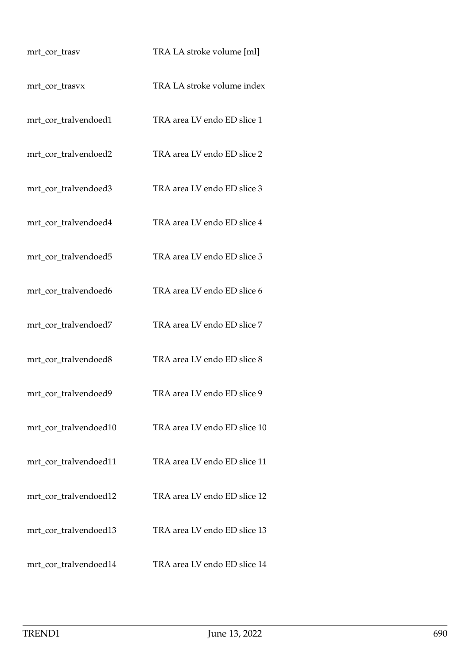| mrt_cor_trasv         | TRA LA stroke volume [ml]    |
|-----------------------|------------------------------|
| mrt_cor_trasvx        | TRA LA stroke volume index   |
| mrt_cor_tralvendoed1  | TRA area LV endo ED slice 1  |
| mrt_cor_tralvendoed2  | TRA area LV endo ED slice 2  |
| mrt_cor_tralvendoed3  | TRA area LV endo ED slice 3  |
| mrt_cor_tralvendoed4  | TRA area LV endo ED slice 4  |
| mrt_cor_tralvendoed5  | TRA area LV endo ED slice 5  |
| mrt_cor_tralvendoed6  | TRA area LV endo ED slice 6  |
| mrt_cor_tralvendoed7  | TRA area LV endo ED slice 7  |
| mrt_cor_tralvendoed8  | TRA area LV endo ED slice 8  |
| mrt_cor_tralvendoed9  | TRA area LV endo ED slice 9  |
| mrt_cor_tralvendoed10 | TRA area LV endo ED slice 10 |
| mrt_cor_tralvendoed11 | TRA area LV endo ED slice 11 |
| mrt_cor_tralvendoed12 | TRA area LV endo ED slice 12 |
| mrt_cor_tralvendoed13 | TRA area LV endo ED slice 13 |
| mrt_cor_tralvendoed14 | TRA area LV endo ED slice 14 |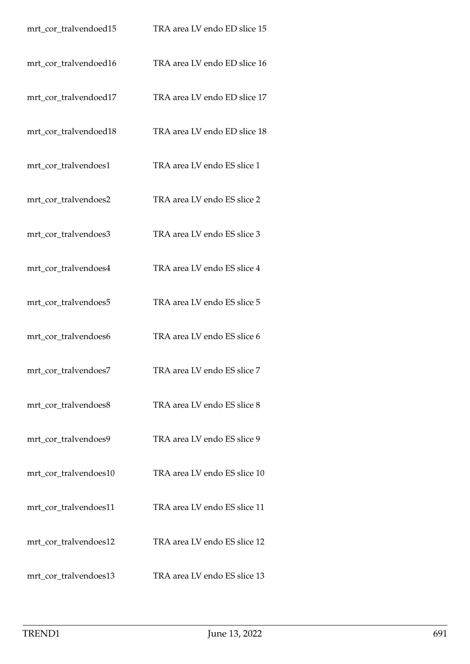| mrt_cor_tralvendoed15 | TRA area LV endo ED slice 15 |
|-----------------------|------------------------------|
| mrt_cor_tralvendoed16 | TRA area LV endo ED slice 16 |
| mrt_cor_tralvendoed17 | TRA area LV endo ED slice 17 |
| mrt_cor_tralvendoed18 | TRA area LV endo ED slice 18 |
| mrt_cor_tralvendoes1  | TRA area LV endo ES slice 1  |
| mrt_cor_tralvendoes2  | TRA area LV endo ES slice 2  |
| mrt_cor_tralvendoes3  | TRA area LV endo ES slice 3  |
| mrt_cor_tralvendoes4  | TRA area LV endo ES slice 4  |
| mrt_cor_tralvendoes5  | TRA area LV endo ES slice 5  |
| mrt_cor_tralvendoes6  | TRA area LV endo ES slice 6  |
| mrt_cor_tralvendoes7  | TRA area LV endo ES slice 7  |
| mrt_cor_tralvendoes8  | TRA area LV endo ES slice 8  |
| mrt_cor_tralvendoes9  | TRA area LV endo ES slice 9  |
| mrt_cor_tralvendoes10 | TRA area LV endo ES slice 10 |
| mrt_cor_tralvendoes11 | TRA area LV endo ES slice 11 |
| mrt_cor_tralvendoes12 | TRA area LV endo ES slice 12 |
| mrt_cor_tralvendoes13 | TRA area LV endo ES slice 13 |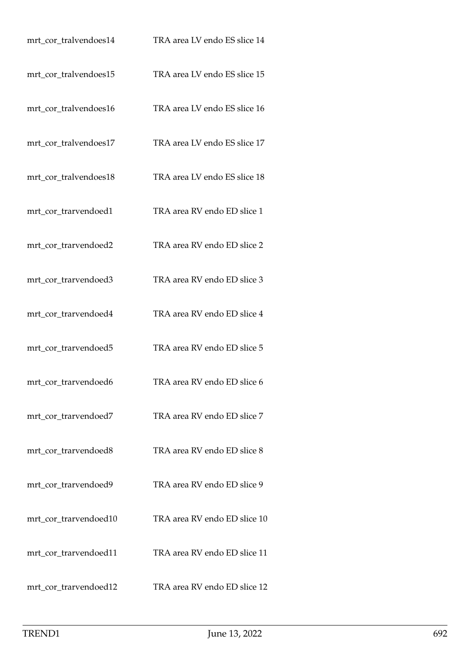| mrt_cor_tralvendoes14 | TRA area LV endo ES slice 14 |
|-----------------------|------------------------------|
| mrt_cor_tralvendoes15 | TRA area LV endo ES slice 15 |
| mrt_cor_tralvendoes16 | TRA area LV endo ES slice 16 |
| mrt_cor_tralvendoes17 | TRA area LV endo ES slice 17 |
| mrt_cor_tralvendoes18 | TRA area LV endo ES slice 18 |
| mrt_cor_trarvendoed1  | TRA area RV endo ED slice 1  |
| mrt_cor_trarvendoed2  | TRA area RV endo ED slice 2  |
| mrt_cor_trarvendoed3  | TRA area RV endo ED slice 3  |
| mrt_cor_trarvendoed4  | TRA area RV endo ED slice 4  |
| mrt_cor_trarvendoed5  | TRA area RV endo ED slice 5  |
| mrt_cor_trarvendoed6  | TRA area RV endo ED slice 6  |
| mrt_cor_trarvendoed7  | TRA area RV endo ED slice 7  |
| mrt_cor_trarvendoed8  | TRA area RV endo ED slice 8  |
| mrt_cor_trarvendoed9  | TRA area RV endo ED slice 9  |
| mrt_cor_trarvendoed10 | TRA area RV endo ED slice 10 |
| mrt_cor_trarvendoed11 | TRA area RV endo ED slice 11 |
| mrt_cor_trarvendoed12 | TRA area RV endo ED slice 12 |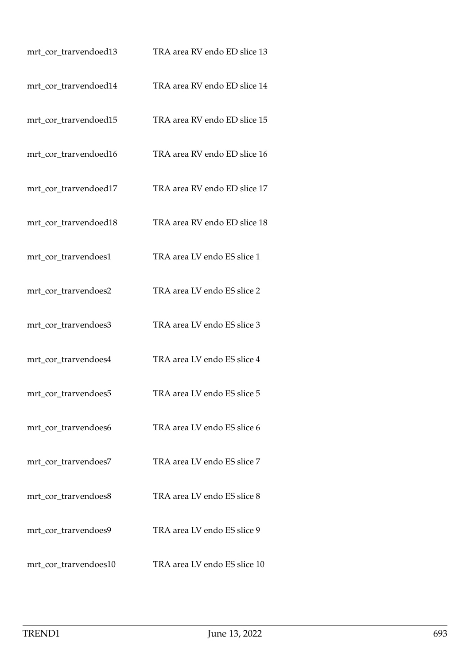| mrt_cor_trarvendoed13 | TRA area RV endo ED slice 13 |
|-----------------------|------------------------------|
| mrt_cor_trarvendoed14 | TRA area RV endo ED slice 14 |
| mrt_cor_trarvendoed15 | TRA area RV endo ED slice 15 |
| mrt_cor_trarvendoed16 | TRA area RV endo ED slice 16 |
| mrt_cor_trarvendoed17 | TRA area RV endo ED slice 17 |
| mrt_cor_trarvendoed18 | TRA area RV endo ED slice 18 |
| mrt_cor_trarvendoes1  | TRA area LV endo ES slice 1  |
| mrt_cor_trarvendoes2  | TRA area LV endo ES slice 2  |
| mrt_cor_trarvendoes3  | TRA area LV endo ES slice 3  |
| mrt_cor_trarvendoes4  | TRA area LV endo ES slice 4  |
| mrt_cor_trarvendoes5  | TRA area LV endo ES slice 5  |
| mrt_cor_trarvendoes6  | TRA area LV endo ES slice 6  |
| mrt_cor_trarvendoes7  | TRA area LV endo ES slice 7  |
| mrt_cor_trarvendoes8  | TRA area LV endo ES slice 8  |
| mrt_cor_trarvendoes9  | TRA area LV endo ES slice 9  |
| mrt_cor_trarvendoes10 | TRA area LV endo ES slice 10 |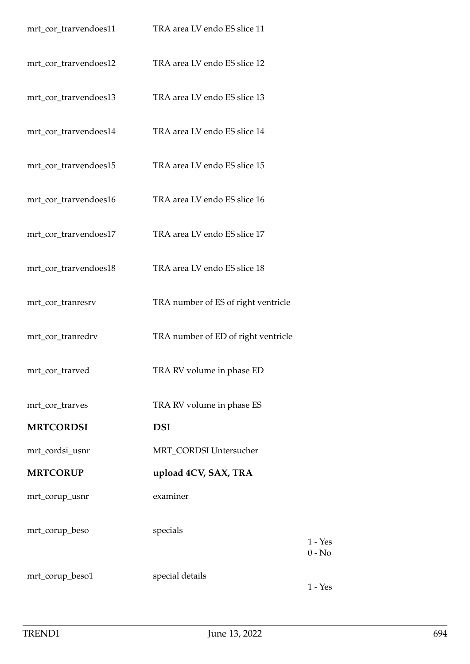| mrt_cor_trarvendoes11 | TRA area LV endo ES slice 11        |                       |
|-----------------------|-------------------------------------|-----------------------|
| mrt_cor_trarvendoes12 | TRA area LV endo ES slice 12        |                       |
| mrt_cor_trarvendoes13 | TRA area LV endo ES slice 13        |                       |
| mrt_cor_trarvendoes14 | TRA area LV endo ES slice 14        |                       |
| mrt_cor_trarvendoes15 | TRA area LV endo ES slice 15        |                       |
| mrt_cor_trarvendoes16 | TRA area LV endo ES slice 16        |                       |
| mrt_cor_trarvendoes17 | TRA area LV endo ES slice 17        |                       |
| mrt_cor_trarvendoes18 | TRA area LV endo ES slice 18        |                       |
| mrt_cor_tranresrv     | TRA number of ES of right ventricle |                       |
| mrt_cor_tranredrv     | TRA number of ED of right ventricle |                       |
| mrt_cor_trarved       | TRA RV volume in phase ED           |                       |
| mrt_cor_trarves       | TRA RV volume in phase ES           |                       |
| <b>MRTCORDSI</b>      | <b>DSI</b>                          |                       |
| mrt_cordsi_usnr       | MRT_CORDSI Untersucher              |                       |
| <b>MRTCORUP</b>       | upload 4CV, SAX, TRA                |                       |
| mrt_corup_usnr        | examiner                            |                       |
| mrt_corup_beso        | specials                            | $1 - Yes$<br>$0 - No$ |
| mrt_corup_beso1       | special details                     | $1 - Yes$             |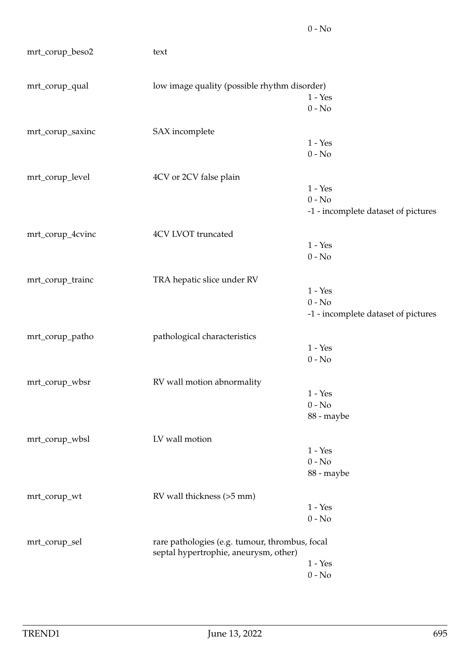| mrt_corup_beso2  | text                                         |                                                                                         |  |  |
|------------------|----------------------------------------------|-----------------------------------------------------------------------------------------|--|--|
| mrt_corup_qual   | low image quality (possible rhythm disorder) |                                                                                         |  |  |
|                  |                                              | $1 - Yes$                                                                               |  |  |
|                  |                                              | $0 - No$                                                                                |  |  |
| mrt_corup_saxinc | SAX incomplete                               |                                                                                         |  |  |
|                  |                                              | $1 - Yes$                                                                               |  |  |
|                  |                                              | $0 - No$                                                                                |  |  |
| mrt_corup_level  | 4CV or 2CV false plain                       |                                                                                         |  |  |
|                  |                                              | $1 - Yes$                                                                               |  |  |
|                  |                                              | $0 - No$                                                                                |  |  |
|                  |                                              | -1 - incomplete dataset of pictures                                                     |  |  |
| mrt_corup_4cvinc | 4CV LVOT truncated                           |                                                                                         |  |  |
|                  |                                              | $1 - Yes$                                                                               |  |  |
|                  |                                              | $0 - No$                                                                                |  |  |
| mrt_corup_trainc | TRA hepatic slice under RV                   |                                                                                         |  |  |
|                  |                                              | $1 - Yes$                                                                               |  |  |
|                  |                                              | $0 - No$                                                                                |  |  |
|                  |                                              | -1 - incomplete dataset of pictures                                                     |  |  |
| mrt_corup_patho  | pathological characteristics                 |                                                                                         |  |  |
|                  |                                              | $1 - Yes$                                                                               |  |  |
|                  |                                              | $0 - No$                                                                                |  |  |
| mrt_corup_wbsr   | RV wall motion abnormality                   |                                                                                         |  |  |
|                  |                                              | $1 - Yes$                                                                               |  |  |
|                  |                                              | $0 - No$                                                                                |  |  |
|                  |                                              | 88 - maybe                                                                              |  |  |
| mrt_corup_wbsl   | LV wall motion                               |                                                                                         |  |  |
|                  |                                              | $1 - Yes$                                                                               |  |  |
|                  |                                              | $0 - No$                                                                                |  |  |
|                  |                                              | 88 - maybe                                                                              |  |  |
| mrt_corup_wt     | RV wall thickness (>5 mm)                    |                                                                                         |  |  |
|                  |                                              | $1 - Yes$                                                                               |  |  |
|                  |                                              | $0 - No$                                                                                |  |  |
| mrt_corup_sel    |                                              | rare pathologies (e.g. tumour, thrombus, focal<br>septal hypertrophie, aneurysm, other) |  |  |
|                  |                                              | $1 - Yes$                                                                               |  |  |
|                  |                                              | $0 - No$                                                                                |  |  |

0 - No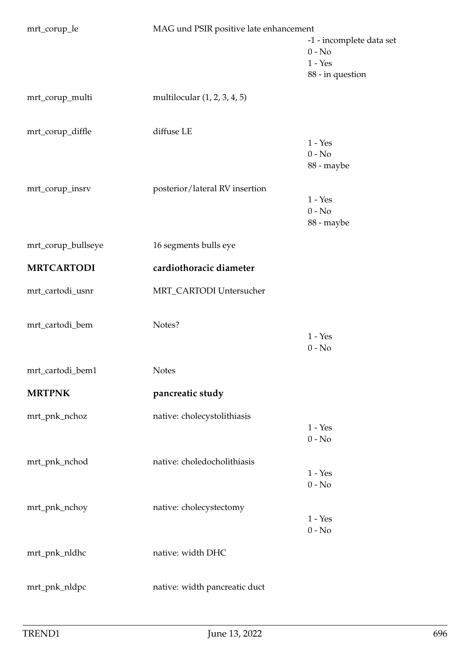| mrt_corup_le       | MAG und PSIR positive late enhancement |                          |
|--------------------|----------------------------------------|--------------------------|
|                    |                                        | -1 - incomplete data set |
|                    |                                        | $0 - No$                 |
|                    |                                        | $1 - Yes$                |
|                    |                                        | 88 - in question         |
| mrt_corup_multi    | multilocular (1, 2, 3, 4, 5)           |                          |
| mrt_corup_diffle   | diffuse LE                             |                          |
|                    |                                        | $1 - Yes$                |
|                    |                                        | $0 - No$                 |
|                    |                                        | 88 - maybe               |
| mrt_corup_insrv    | posterior/lateral RV insertion         |                          |
|                    |                                        | $1 - Yes$                |
|                    |                                        | $0 - No$                 |
|                    |                                        | 88 - maybe               |
| mrt_corup_bullseye | 16 segments bulls eye                  |                          |
| <b>MRTCARTODI</b>  | cardiothoracic diameter                |                          |
| mrt_cartodi_usnr   | MRT_CARTODI Untersucher                |                          |
| mrt_cartodi_bem    | Notes?                                 |                          |
|                    |                                        | $1 - Yes$                |
|                    |                                        | $0 - No$                 |
|                    |                                        |                          |
| mrt_cartodi_bem1   | <b>Notes</b>                           |                          |
| <b>MRTPNK</b>      | pancreatic study                       |                          |
| mrt_pnk_nchoz      | native: cholecystolithiasis            |                          |
|                    |                                        | $1 - Yes$                |
|                    |                                        | $0 - No$                 |
| mrt_pnk_nchod      | native: choledocholithiasis            |                          |
|                    |                                        | $1 - Yes$                |
|                    |                                        | $0 - No$                 |
| mrt_pnk_nchoy      | native: cholecystectomy                |                          |
|                    |                                        | $1 - Yes$                |
|                    |                                        | $0 - No$                 |
| mrt_pnk_nldhc      | native: width DHC                      |                          |
|                    |                                        |                          |
| mrt_pnk_nldpc      | native: width pancreatic duct          |                          |
|                    |                                        |                          |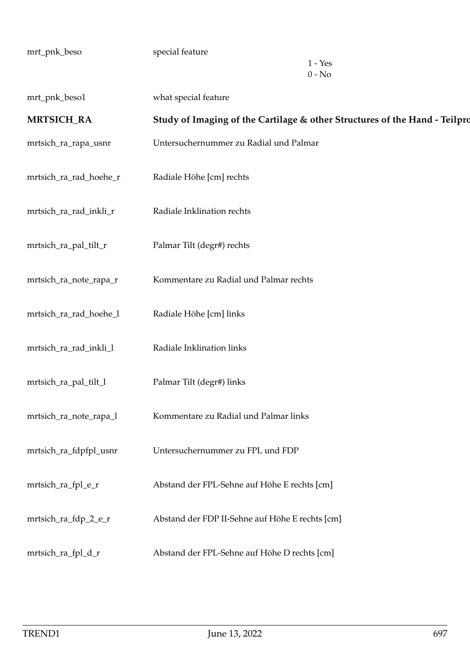| mrt_pnk_beso           | special feature<br>$1 - Yes$<br>$0 - No$                                   |
|------------------------|----------------------------------------------------------------------------|
| mrt_pnk_beso1          | what special feature                                                       |
| <b>MRTSICH_RA</b>      | Study of Imaging of the Cartilage & other Structures of the Hand - Teilpro |
| mrtsich_ra_rapa_usnr   | Untersuchernummer zu Radial und Palmar                                     |
| mrtsich_ra_rad_hoehe_r | Radiale Höhe [cm] rechts                                                   |
| mrtsich_ra_rad_inkli_r | Radiale Inklination rechts                                                 |
| mrtsich_ra_pal_tilt_r  | Palmar Tilt (degr#) rechts                                                 |
| mrtsich_ra_note_rapa_r | Kommentare zu Radial und Palmar rechts                                     |
| mrtsich_ra_rad_hoehe_l | Radiale Höhe [cm] links                                                    |
| mrtsich_ra_rad_inkli_l | Radiale Inklination links                                                  |
| mrtsich_ra_pal_tilt_l  | Palmar Tilt (degr#) links                                                  |
| mrtsich_ra_note_rapa_l | Kommentare zu Radial und Palmar links                                      |
| mrtsich_ra_fdpfpl_usnr | Untersuchernummer zu FPL und FDP                                           |
| mrtsich_ra_fpl_e_r     | Abstand der FPL-Sehne auf Höhe E rechts [cm]                               |
| mrtsich_ra_fdp_2_e_r   | Abstand der FDP II-Sehne auf Höhe E rechts [cm]                            |
| mrtsich_ra_fpl_d_r     | Abstand der FPL-Sehne auf Höhe D rechts [cm]                               |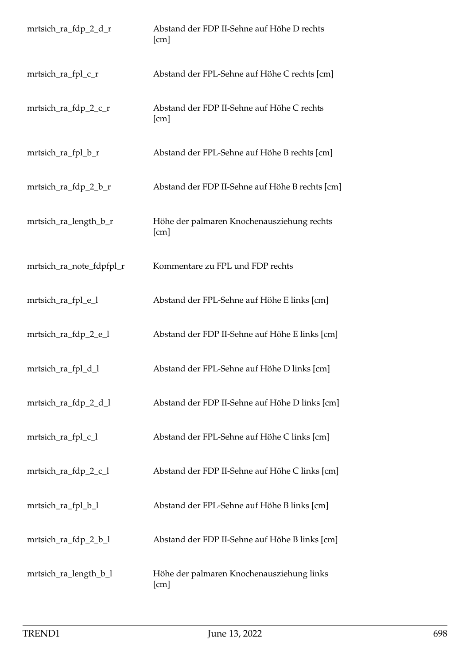| mrtsich_ra_fdp_2_d_r     | Abstand der FDP II-Sehne auf Höhe D rechts<br>[cm] |
|--------------------------|----------------------------------------------------|
| mrtsich_ra_fpl_c_r       | Abstand der FPL-Sehne auf Höhe C rechts [cm]       |
| mrtsich_ra_fdp_2_c_r     | Abstand der FDP II-Sehne auf Höhe C rechts<br>[cm] |
| mrtsich_ra_fpl_b_r       | Abstand der FPL-Sehne auf Höhe B rechts [cm]       |
| mrtsich_ra_fdp_2_b_r     | Abstand der FDP II-Sehne auf Höhe B rechts [cm]    |
| mrtsich_ra_length_b_r    | Höhe der palmaren Knochenausziehung rechts<br>[cm] |
| mrtsich_ra_note_fdpfpl_r | Kommentare zu FPL und FDP rechts                   |
| mrtsich_ra_fpl_e_l       | Abstand der FPL-Sehne auf Höhe E links [cm]        |
| mrtsich_ra_fdp_2_e_l     | Abstand der FDP II-Sehne auf Höhe E links [cm]     |
| mrtsich_ra_fpl_d_l       | Abstand der FPL-Sehne auf Höhe D links [cm]        |
| mrtsich_ra_fdp_2_d_l     | Abstand der FDP II-Sehne auf Höhe D links [cm]     |
| mrtsich_ra_fpl_c_l       | Abstand der FPL-Sehne auf Höhe C links [cm]        |
| mrtsich_ra_fdp_2_c_l     | Abstand der FDP II-Sehne auf Höhe C links [cm]     |
| mrtsich_ra_fpl_b_l       | Abstand der FPL-Sehne auf Höhe B links [cm]        |
| mrtsich_ra_fdp_2_b_l     | Abstand der FDP II-Sehne auf Höhe B links [cm]     |
| mrtsich_ra_length_b_l    | Höhe der palmaren Knochenausziehung links<br>[cm]  |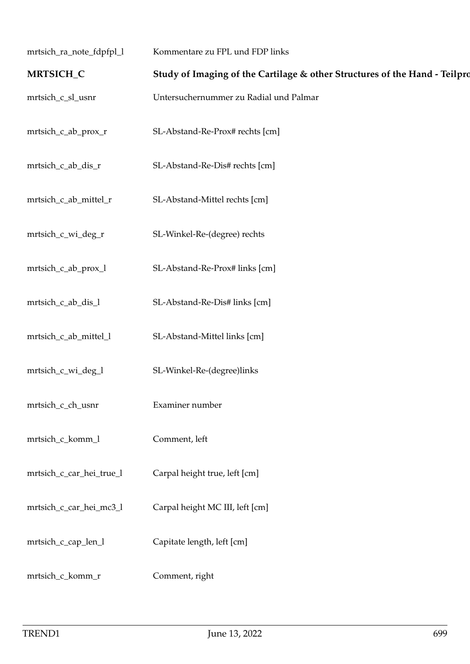| mrtsich_ra_note_fdpfpl_l | Kommentare zu FPL und FDP links                                            |
|--------------------------|----------------------------------------------------------------------------|
| MRTSICH_C                | Study of Imaging of the Cartilage & other Structures of the Hand - Teilpro |
| mrtsich_c_sl_usnr        | Untersuchernummer zu Radial und Palmar                                     |
| mrtsich_c_ab_prox_r      | SL-Abstand-Re-Prox# rechts [cm]                                            |
| mrtsich_c_ab_dis_r       | SL-Abstand-Re-Dis# rechts [cm]                                             |
| mrtsich_c_ab_mittel_r    | SL-Abstand-Mittel rechts [cm]                                              |
| mrtsich_c_wi_deg_r       | SL-Winkel-Re-(degree) rechts                                               |
| mrtsich_c_ab_prox_l      | SL-Abstand-Re-Prox# links [cm]                                             |
| mrtsich_c_ab_dis_l       | SL-Abstand-Re-Dis# links [cm]                                              |
| mrtsich_c_ab_mittel_l    | SL-Abstand-Mittel links [cm]                                               |
| mrtsich_c_wi_deg_l       | SL-Winkel-Re-(degree)links                                                 |
| mrtsich_c_ch_usnr        | Examiner number                                                            |
| mrtsich_c_komm_l         | Comment, left                                                              |
| mrtsich_c_car_hei_true_l | Carpal height true, left [cm]                                              |
| mrtsich_c_car_hei_mc3_l  | Carpal height MC III, left [cm]                                            |
| mrtsich_c_cap_len_l      | Capitate length, left [cm]                                                 |
| mrtsich_c_komm_r         | Comment, right                                                             |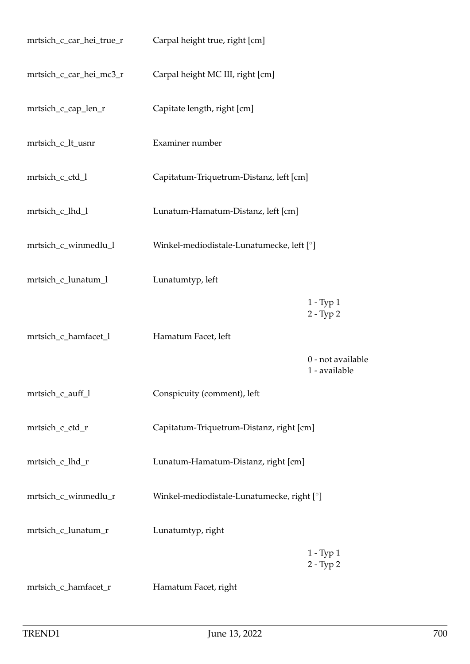| mrtsich_c_car_hei_true_r | Carpal height true, right [cm]             |                                    |
|--------------------------|--------------------------------------------|------------------------------------|
| mrtsich_c_car_hei_mc3_r  | Carpal height MC III, right [cm]           |                                    |
| mrtsich_c_cap_len_r      | Capitate length, right [cm]                |                                    |
| mrtsich_c_lt_usnr        | Examiner number                            |                                    |
| mrtsich_c_ctd_l          | Capitatum-Triquetrum-Distanz, left [cm]    |                                    |
| mrtsich_c_lhd_l          | Lunatum-Hamatum-Distanz, left [cm]         |                                    |
| mrtsich_c_winmedlu_l     | Winkel-mediodistale-Lunatumecke, left [°]  |                                    |
| mrtsich_c_lunatum_l      | Lunatumtyp, left                           |                                    |
|                          |                                            | $1 - Type 1$<br>$2 - Type 2$       |
| mrtsich_c_hamfacet_l     | Hamatum Facet, left                        |                                    |
|                          |                                            | 0 - not available<br>1 - available |
| mrtsich_c_auff_l         | Conspicuity (comment), left                |                                    |
| mrtsich_c_ctd_r          | Capitatum-Triquetrum-Distanz, right [cm]   |                                    |
| mrtsich_c_lhd_r          | Lunatum-Hamatum-Distanz, right [cm]        |                                    |
| mrtsich_c_winmedlu_r     | Winkel-mediodistale-Lunatumecke, right [°] |                                    |
| mrtsich_c_lunatum_r      | Lunatumtyp, right                          |                                    |
|                          |                                            | $1 - Type 1$<br>$2 - Type 2$       |
| mrtsich_c_hamfacet_r     | Hamatum Facet, right                       |                                    |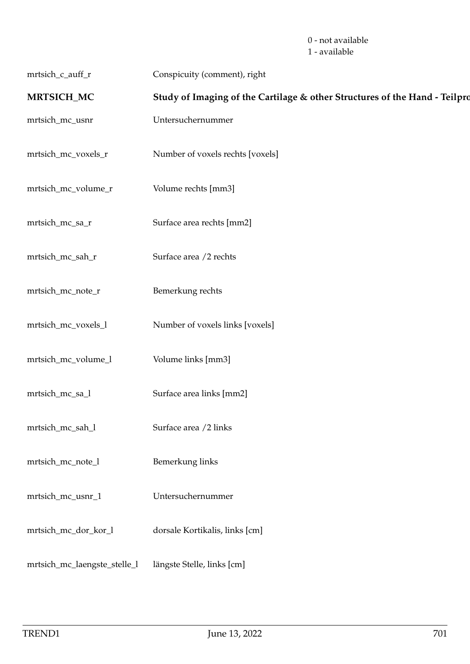0 - not available 1 - available

| mrtsich_c_auff_r | Conspicuity (comment), right |
|------------------|------------------------------|
|------------------|------------------------------|

## **MRTSICH\_MC** Study of Imaging of the Cartilage & other Structures of the Hand - Teilpro

- mrtsich\_mc\_usnr Untersuchernummer
- mrtsich\_mc\_voxels\_r Number of voxels rechts [voxels]
- mrtsich\_mc\_volume\_r Volume rechts [mm3]
- mrtsich\_mc\_sa\_r Surface area rechts [mm2]
- mrtsich\_mc\_sah\_r Surface area /2 rechts
- mrtsich\_mc\_note\_r Bemerkung rechts
- mrtsich\_mc\_voxels\_l Number of voxels links [voxels]
- mrtsich\_mc\_volume\_l Volume links [mm3]
- mrtsich\_mc\_sa\_l Surface area links [mm2]
- mrtsich\_mc\_sah\_l Surface area /2 links
- mrtsich\_mc\_note\_l Bemerkung links
- mrtsich\_mc\_usnr\_1 Untersuchernummer
- mrtsich\_mc\_dor\_kor\_l dorsale Kortikalis, links [cm]
- mrtsich\_mc\_laengste\_stelle\_l längste Stelle, links [cm]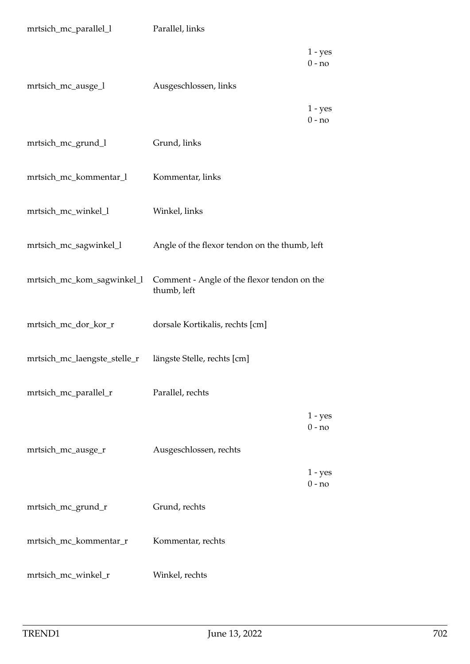| mrtsich_mc_parallel_l        | Parallel, links                                            |
|------------------------------|------------------------------------------------------------|
|                              | $1 - yes$<br>$0 - no$                                      |
| mrtsich_mc_ausge_l           | Ausgeschlossen, links                                      |
|                              | $1 - yes$<br>$0 - no$                                      |
| mrtsich_mc_grund_l           | Grund, links                                               |
| mrtsich_mc_kommentar_l       | Kommentar, links                                           |
| mrtsich_mc_winkel_l          | Winkel, links                                              |
| mrtsich_mc_sagwinkel_l       | Angle of the flexor tendon on the thumb, left              |
| mrtsich_mc_kom_sagwinkel_l   | Comment - Angle of the flexor tendon on the<br>thumb, left |
| mrtsich_mc_dor_kor_r         | dorsale Kortikalis, rechts [cm]                            |
| mrtsich_mc_laengste_stelle_r | längste Stelle, rechts [cm]                                |
| mrtsich_mc_parallel_r        | Parallel, rechts                                           |
|                              | $1 - yes$<br>$0 - no$                                      |
| mrtsich_mc_ausge_r           | Ausgeschlossen, rechts                                     |
|                              | $1 - yes$<br>$0 - no$                                      |
| mrtsich_mc_grund_r           | Grund, rechts                                              |
| mrtsich_mc_kommentar_r       | Kommentar, rechts                                          |
| mrtsich_mc_winkel_r          | Winkel, rechts                                             |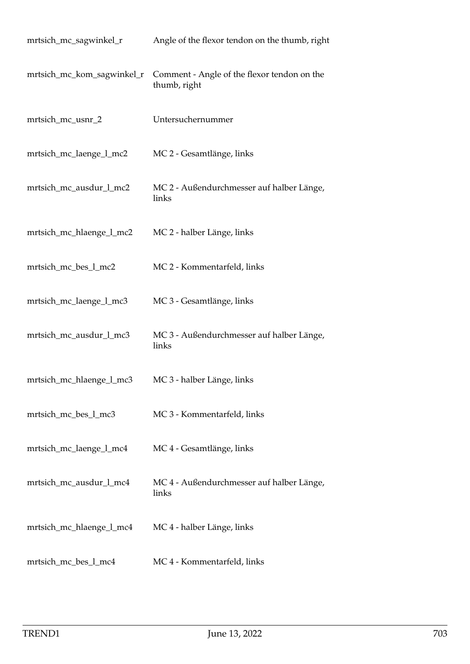| mrtsich_mc_sagwinkel_r     | Angle of the flexor tendon on the thumb, right              |
|----------------------------|-------------------------------------------------------------|
| mrtsich_mc_kom_sagwinkel_r | Comment - Angle of the flexor tendon on the<br>thumb, right |
| mrtsich_mc_usnr_2          | Untersuchernummer                                           |
| mrtsich_mc_laenge_l_mc2    | MC 2 - Gesamtlänge, links                                   |
| mrtsich_mc_ausdur_l_mc2    | MC 2 - Außendurchmesser auf halber Länge,<br>links          |
| mrtsich_mc_hlaenge_l_mc2   | MC 2 - halber Länge, links                                  |
| mrtsich_mc_bes_l_mc2       | MC 2 - Kommentarfeld, links                                 |
| mrtsich_mc_laenge_l_mc3    | MC 3 - Gesamtlänge, links                                   |
| mrtsich_mc_ausdur_l_mc3    | MC 3 - Außendurchmesser auf halber Länge,<br>links          |
| mrtsich_mc_hlaenge_l_mc3   | MC 3 - halber Länge, links                                  |
| mrtsich_mc_bes_l_mc3       | MC 3 - Kommentarfeld, links                                 |
| mrtsich_mc_laenge_l_mc4    | MC 4 - Gesamtlänge, links                                   |
| mrtsich_mc_ausdur_l_mc4    | MC 4 - Außendurchmesser auf halber Länge,<br>links          |
| mrtsich_mc_hlaenge_l_mc4   | MC 4 - halber Länge, links                                  |
| mrtsich_mc_bes_l_mc4       | MC 4 - Kommentarfeld, links                                 |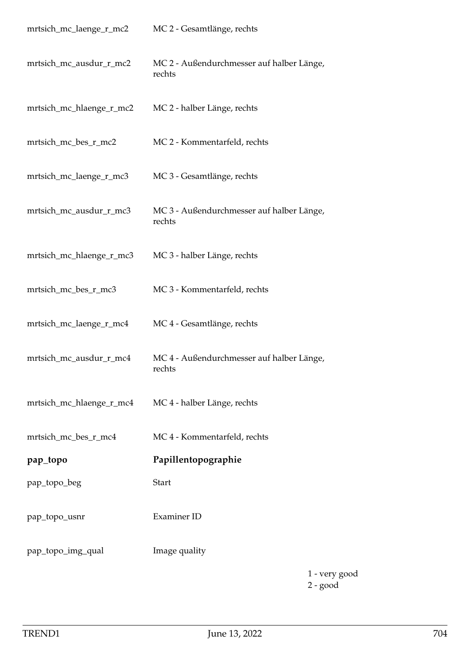| mrtsich_mc_laenge_r_mc2  | MC 2 - Gesamtlänge, rechts                          |
|--------------------------|-----------------------------------------------------|
| mrtsich_mc_ausdur_r_mc2  | MC 2 - Außendurchmesser auf halber Länge,<br>rechts |
| mrtsich_mc_hlaenge_r_mc2 | MC 2 - halber Länge, rechts                         |
| mrtsich_mc_bes_r_mc2     | MC 2 - Kommentarfeld, rechts                        |
| mrtsich_mc_laenge_r_mc3  | MC 3 - Gesamtlänge, rechts                          |
| mrtsich_mc_ausdur_r_mc3  | MC 3 - Außendurchmesser auf halber Länge,<br>rechts |
| mrtsich_mc_hlaenge_r_mc3 | MC 3 - halber Länge, rechts                         |
| mrtsich_mc_bes_r_mc3     | MC 3 - Kommentarfeld, rechts                        |
| mrtsich_mc_laenge_r_mc4  | MC 4 - Gesamtlänge, rechts                          |
| mrtsich_mc_ausdur_r_mc4  | MC 4 - Außendurchmesser auf halber Länge,<br>rechts |
| mrtsich_mc_hlaenge_r_mc4 | MC 4 - halber Länge, rechts                         |
| mrtsich_mc_bes_r_mc4     | MC 4 - Kommentarfeld, rechts                        |
| pap_topo                 | Papillentopographie                                 |
| pap_topo_beg             | <b>Start</b>                                        |
| pap_topo_usnr            | Examiner ID                                         |
| pap_topo_img_qual        | Image quality                                       |
|                          | 1 - ve                                              |

1 - very good 2 - good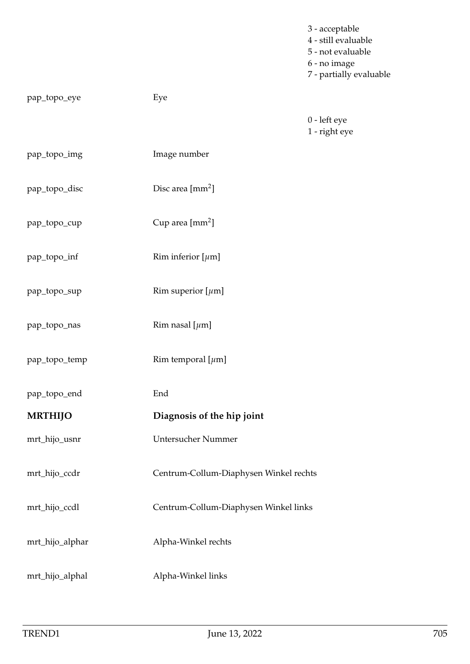|                 |                                        | 3 - acceptable<br>4 - still evaluable<br>5 - not evaluable<br>6 - no image<br>7 - partially evaluable |
|-----------------|----------------------------------------|-------------------------------------------------------------------------------------------------------|
| pap_topo_eye    | Eye                                    |                                                                                                       |
|                 |                                        | 0 - left eye<br>1 - right eye                                                                         |
| pap_topo_img    | Image number                           |                                                                                                       |
| pap_topo_disc   | Disc area [mm <sup>2</sup> ]           |                                                                                                       |
| pap_topo_cup    | Cup area [mm <sup>2</sup> ]            |                                                                                                       |
| pap_topo_inf    | Rim inferior $[\mu m]$                 |                                                                                                       |
| pap_topo_sup    | Rim superior $[\mu m]$                 |                                                                                                       |
| pap_topo_nas    | Rim nasal [ $\mu$ m]                   |                                                                                                       |
| pap_topo_temp   | Rim temporal [ $\mu$ m]                |                                                                                                       |
| pap_topo_end    | End                                    |                                                                                                       |
| <b>MRTHIJO</b>  | Diagnosis of the hip joint             |                                                                                                       |
| mrt_hijo_usnr   | Untersucher Nummer                     |                                                                                                       |
| mrt_hijo_ccdr   | Centrum-Collum-Diaphysen Winkel rechts |                                                                                                       |
| mrt_hijo_ccdl   | Centrum-Collum-Diaphysen Winkel links  |                                                                                                       |
| mrt_hijo_alphar | Alpha-Winkel rechts                    |                                                                                                       |
| mrt_hijo_alphal | Alpha-Winkel links                     |                                                                                                       |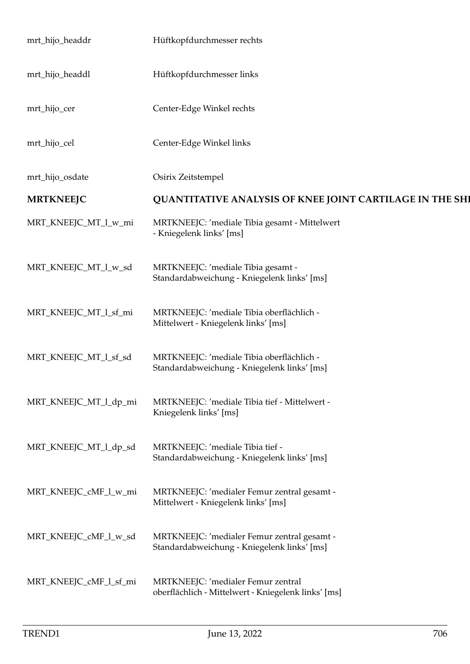| mrt_hijo_headdr        | Hüftkopfdurchmesser rechts                                                                 |  |
|------------------------|--------------------------------------------------------------------------------------------|--|
| mrt_hijo_headdl        | Hüftkopfdurchmesser links                                                                  |  |
| mrt_hijo_cer           | Center-Edge Winkel rechts                                                                  |  |
| mrt_hijo_cel           | Center-Edge Winkel links                                                                   |  |
| mrt_hijo_osdate        | Osirix Zeitstempel                                                                         |  |
| <b>MRTKNEEJC</b>       | QUANTITATIVE ANALYSIS OF KNEE JOINT CARTILAGE IN THE SHI                                   |  |
| MRT_KNEEJC_MT_l_w_mi   | MRTKNEEJC: 'mediale Tibia gesamt - Mittelwert<br>- Kniegelenk links' [ms]                  |  |
| MRT_KNEEJC_MT_l_w_sd   | MRTKNEEJC: 'mediale Tibia gesamt -<br>Standardabweichung - Kniegelenk links' [ms]          |  |
| MRT_KNEEJC_MT_l_sf_mi  | MRTKNEEJC: 'mediale Tibia oberflächlich -<br>Mittelwert - Kniegelenk links' [ms]           |  |
| MRT_KNEEJC_MT_l_sf_sd  | MRTKNEEJC: 'mediale Tibia oberflächlich -<br>Standardabweichung - Kniegelenk links' [ms]   |  |
| MRT_KNEEJC_MT_l_dp_mi  | MRTKNEEJC: 'mediale Tibia tief - Mittelwert -<br>Kniegelenk links' [ms]                    |  |
| MRT_KNEEJC_MT_l_dp_sd  | MRTKNEEJC: 'mediale Tibia tief -<br>Standardabweichung - Kniegelenk links' [ms]            |  |
| MRT_KNEEJC_cMF_l_w_mi  | MRTKNEEJC: 'medialer Femur zentral gesamt -<br>Mittelwert - Kniegelenk links' [ms]         |  |
| MRT_KNEEJC_cMF_l_w_sd  | MRTKNEEJC: 'medialer Femur zentral gesamt -<br>Standardabweichung - Kniegelenk links' [ms] |  |
| MRT_KNEEJC_cMF_l_sf_mi | MRTKNEEJC: 'medialer Femur zentral<br>oberflächlich - Mittelwert - Kniegelenk links' [ms]  |  |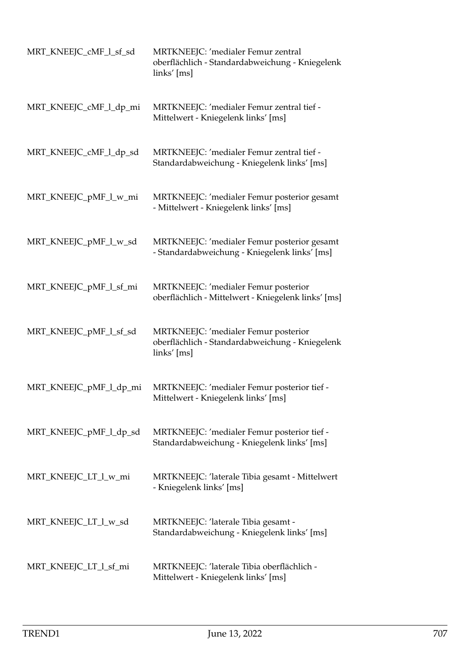| MRT_KNEEJC_cMF_l_sf_sd | MRTKNEEJC: 'medialer Femur zentral<br>oberflächlich - Standardabweichung - Kniegelenk<br>links' [ms]   |
|------------------------|--------------------------------------------------------------------------------------------------------|
| MRT_KNEEJC_cMF_l_dp_mi | MRTKNEEJC: 'medialer Femur zentral tief -<br>Mittelwert - Kniegelenk links' [ms]                       |
| MRT_KNEEJC_cMF_l_dp_sd | MRTKNEEJC: 'medialer Femur zentral tief -<br>Standardabweichung - Kniegelenk links' [ms]               |
| MRT_KNEEJC_pMF_l_w_mi  | MRTKNEEJC: 'medialer Femur posterior gesamt<br>- Mittelwert - Kniegelenk links' [ms]                   |
| MRT_KNEEJC_pMF_l_w_sd  | MRTKNEEJC: 'medialer Femur posterior gesamt<br>- Standardabweichung - Kniegelenk links' [ms]           |
| MRT_KNEEJC_pMF_l_sf_mi | MRTKNEEJC: 'medialer Femur posterior<br>oberflächlich - Mittelwert - Kniegelenk links' [ms]            |
| MRT_KNEEJC_pMF_l_sf_sd | MRTKNEEJC: 'medialer Femur posterior<br>oberflächlich - Standardabweichung - Kniegelenk<br>links' [ms] |
| MRT_KNEEJC_pMF_l_dp_mi | MRTKNEEJC: 'medialer Femur posterior tief -<br>Mittelwert - Kniegelenk links' [ms]                     |
| MRT_KNEEJC_pMF_l_dp_sd | MRTKNEEJC: 'medialer Femur posterior tief -<br>Standardabweichung - Kniegelenk links' [ms]             |
| MRT_KNEEJC_LT_l_w_mi   | MRTKNEEJC: 'laterale Tibia gesamt - Mittelwert<br>- Kniegelenk links' [ms]                             |
| MRT_KNEEJC_LT_l_w_sd   | MRTKNEEJC: 'laterale Tibia gesamt -<br>Standardabweichung - Kniegelenk links' [ms]                     |
| MRT_KNEEJC_LT_l_sf_mi  | MRTKNEEJC: 'laterale Tibia oberflächlich -<br>Mittelwert - Kniegelenk links' [ms]                      |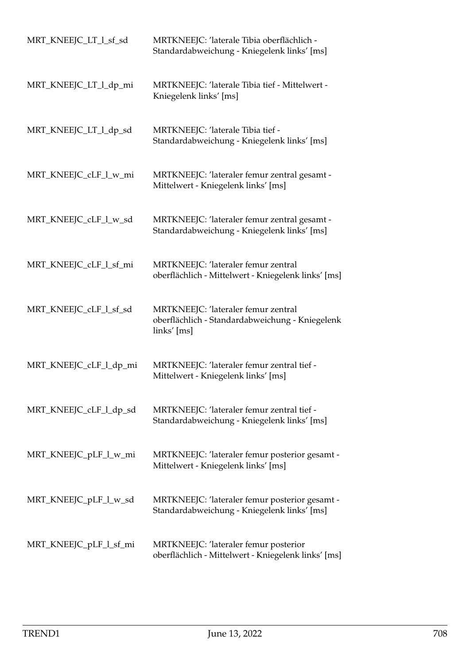| MRT_KNEEJC_LT_l_sf_sd  | MRTKNEEJC: 'laterale Tibia oberflächlich -<br>Standardabweichung - Kniegelenk links' [ms]               |
|------------------------|---------------------------------------------------------------------------------------------------------|
| MRT_KNEEJC_LT_l_dp_mi  | MRTKNEEJC: 'laterale Tibia tief - Mittelwert -<br>Kniegelenk links' [ms]                                |
| MRT_KNEEJC_LT_1_dp_sd  | MRTKNEEJC: 'laterale Tibia tief -<br>Standardabweichung - Kniegelenk links' [ms]                        |
| MRT_KNEEJC_cLF_l_w_mi  | MRTKNEEJC: 'lateraler femur zentral gesamt -<br>Mittelwert - Kniegelenk links' [ms]                     |
| MRT_KNEEJC_cLF_1_w_sd  | MRTKNEEJC: 'lateraler femur zentral gesamt -<br>Standardabweichung - Kniegelenk links' [ms]             |
| MRT_KNEEJC_cLF_l_sf_mi | MRTKNEEJC: 'lateraler femur zentral<br>oberflächlich - Mittelwert - Kniegelenk links' [ms]              |
| MRT_KNEEJC_cLF_l_sf_sd | MRTKNEEJC: 'lateraler femur zentral<br>oberflächlich - Standardabweichung - Kniegelenk<br>$links'$ [ms] |
| MRT_KNEEJC_cLF_l_dp_mi | MRTKNEEJC: 'lateraler femur zentral tief -<br>Mittelwert - Kniegelenk links' [ms]                       |
| MRT_KNEEJC_cLF_l_dp_sd | MRTKNEEJC: 'lateraler femur zentral tief -<br>Standardabweichung - Kniegelenk links' [ms]               |
| MRT_KNEEJC_pLF_l_w_mi  | MRTKNEEJC: 'lateraler femur posterior gesamt -<br>Mittelwert - Kniegelenk links' [ms]                   |
| MRT_KNEEJC_pLF_l_w_sd  | MRTKNEEJC: 'lateraler femur posterior gesamt -<br>Standardabweichung - Kniegelenk links' [ms]           |
| MRT_KNEEJC_pLF_l_sf_mi | MRTKNEEJC: 'lateraler femur posterior<br>oberflächlich - Mittelwert - Kniegelenk links' [ms]            |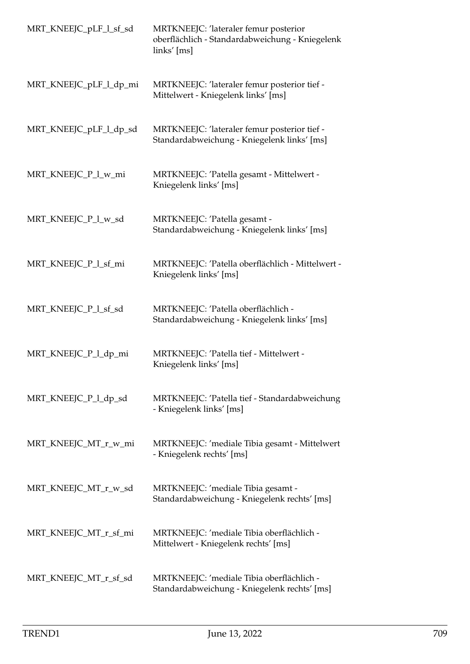| MRT_KNEEJC_pLF_l_sf_sd | MRTKNEEJC: 'lateraler femur posterior<br>oberflächlich - Standardabweichung - Kniegelenk<br>links' [ms] |
|------------------------|---------------------------------------------------------------------------------------------------------|
| MRT_KNEEJC_pLF_l_dp_mi | MRTKNEEJC: 'lateraler femur posterior tief -<br>Mittelwert - Kniegelenk links' [ms]                     |
| MRT_KNEEJC_pLF_l_dp_sd | MRTKNEEJC: 'lateraler femur posterior tief -<br>Standardabweichung - Kniegelenk links' [ms]             |
| MRT_KNEEJC_P_l_w_mi    | MRTKNEEJC: 'Patella gesamt - Mittelwert -<br>Kniegelenk links' [ms]                                     |
| MRT_KNEEJC_P_1_w_sd    | MRTKNEEJC: 'Patella gesamt -<br>Standardabweichung - Kniegelenk links' [ms]                             |
| MRT_KNEEJC_P_l_sf_mi   | MRTKNEEJC: 'Patella oberflächlich - Mittelwert -<br>Kniegelenk links' [ms]                              |
| MRT_KNEEJC_P_1_sf_sd   | MRTKNEEJC: 'Patella oberflächlich -<br>Standardabweichung - Kniegelenk links' [ms]                      |
| MRT_KNEEJC_P_l_dp_mi   | MRTKNEEJC: 'Patella tief - Mittelwert -<br>Kniegelenk links' [ms]                                       |
| MRT_KNEEJC_P_1_dp_sd   | MRTKNEEJC: 'Patella tief - Standardabweichung<br>- Kniegelenk links' [ms]                               |
| MRT_KNEEJC_MT_r_w_mi   | MRTKNEEJC: 'mediale Tibia gesamt - Mittelwert<br>- Kniegelenk rechts' [ms]                              |
| MRT_KNEEJC_MT_r_w_sd   | MRTKNEEJC: 'mediale Tibia gesamt -<br>Standardabweichung - Kniegelenk rechts' [ms]                      |
| MRT_KNEEJC_MT_r_sf_mi  | MRTKNEEJC: 'mediale Tibia oberflächlich -<br>Mittelwert - Kniegelenk rechts' [ms]                       |
| MRT_KNEEJC_MT_r_sf_sd  | MRTKNEEJC: 'mediale Tibia oberflächlich -<br>Standardabweichung - Kniegelenk rechts' [ms]               |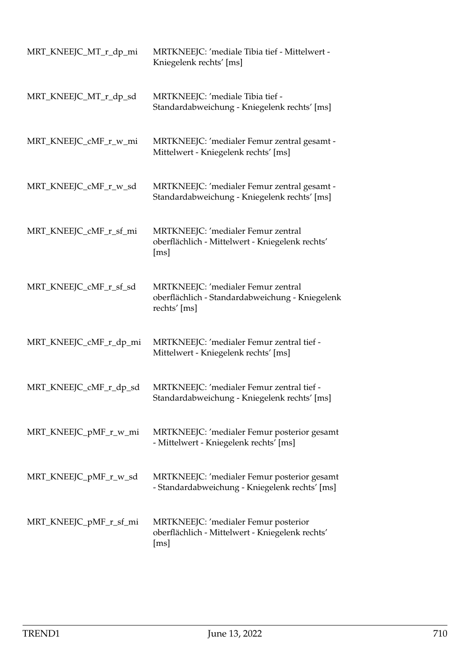| MRT_KNEEJC_MT_r_dp_mi  | MRTKNEEJC: 'mediale Tibia tief - Mittelwert -<br>Kniegelenk rechts' [ms]                              |
|------------------------|-------------------------------------------------------------------------------------------------------|
| MRT_KNEEJC_MT_r_dp_sd  | MRTKNEEJC: 'mediale Tibia tief -<br>Standardabweichung - Kniegelenk rechts' [ms]                      |
| MRT_KNEEJC_cMF_r_w_mi  | MRTKNEEJC: 'medialer Femur zentral gesamt -<br>Mittelwert - Kniegelenk rechts' [ms]                   |
| MRT_KNEEJC_cMF_r_w_sd  | MRTKNEEJC: 'medialer Femur zentral gesamt -<br>Standardabweichung - Kniegelenk rechts' [ms]           |
| MRT_KNEEJC_cMF_r_sf_mi | MRTKNEEJC: 'medialer Femur zentral<br>oberflächlich - Mittelwert - Kniegelenk rechts'<br>[ms]         |
| MRT_KNEEJC_cMF_r_sf_sd | MRTKNEEJC: 'medialer Femur zentral<br>oberflächlich - Standardabweichung - Kniegelenk<br>rechts' [ms] |
| MRT_KNEEJC_cMF_r_dp_mi | MRTKNEEJC: 'medialer Femur zentral tief -<br>Mittelwert - Kniegelenk rechts' [ms]                     |
| MRT_KNEEJC_cMF_r_dp_sd | MRTKNEEJC: 'medialer Femur zentral tief -<br>Standardabweichung - Kniegelenk rechts' [ms]             |
| MRT_KNEEJC_pMF_r_w_mi  | MRTKNEEJC: 'medialer Femur posterior gesamt<br>- Mittelwert - Kniegelenk rechts' [ms]                 |
| MRT_KNEEJC_pMF_r_w_sd  | MRTKNEEJC: 'medialer Femur posterior gesamt<br>- Standardabweichung - Kniegelenk rechts' [ms]         |
| MRT_KNEEJC_pMF_r_sf_mi | MRTKNEEJC: 'medialer Femur posterior<br>oberflächlich - Mittelwert - Kniegelenk rechts'<br>[ms]       |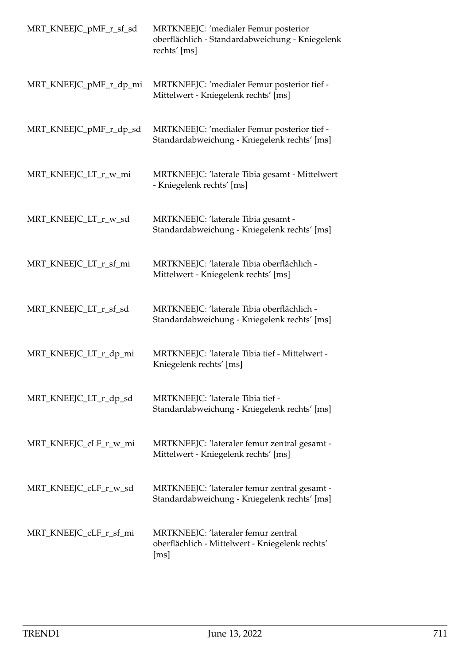| MRT_KNEEJC_pMF_r_sf_sd | MRTKNEEJC: 'medialer Femur posterior<br>oberflächlich - Standardabweichung - Kniegelenk<br>rechts' [ms] |
|------------------------|---------------------------------------------------------------------------------------------------------|
| MRT_KNEEJC_pMF_r_dp_mi | MRTKNEEJC: 'medialer Femur posterior tief -<br>Mittelwert - Kniegelenk rechts' [ms]                     |
| MRT_KNEEJC_pMF_r_dp_sd | MRTKNEEJC: 'medialer Femur posterior tief -<br>Standardabweichung - Kniegelenk rechts' [ms]             |
| MRT_KNEEJC_LT_r_w_mi   | MRTKNEEJC: 'laterale Tibia gesamt - Mittelwert<br>- Kniegelenk rechts' [ms]                             |
| MRT_KNEEJC_LT_r_w_sd   | MRTKNEEJC: 'laterale Tibia gesamt -<br>Standardabweichung - Kniegelenk rechts' [ms]                     |
| MRT_KNEEJC_LT_r_sf_mi  | MRTKNEEJC: 'laterale Tibia oberflächlich -<br>Mittelwert - Kniegelenk rechts' [ms]                      |
| MRT_KNEEJC_LT_r_sf_sd  | MRTKNEEJC: 'laterale Tibia oberflächlich -<br>Standardabweichung - Kniegelenk rechts' [ms]              |
| MRT_KNEEJC_LT_r_dp_mi  | MRTKNEEJC: 'laterale Tibia tief - Mittelwert -<br>Kniegelenk rechts' [ms]                               |
| MRT_KNEEJC_LT_r_dp_sd  | MRTKNEEJC: 'laterale Tibia tief -<br>Standardabweichung - Kniegelenk rechts' [ms]                       |
| MRT_KNEEJC_cLF_r_w_mi  | MRTKNEEJC: 'lateraler femur zentral gesamt -<br>Mittelwert - Kniegelenk rechts' [ms]                    |
| MRT_KNEEJC_cLF_r_w_sd  | MRTKNEEJC: 'lateraler femur zentral gesamt -<br>Standardabweichung - Kniegelenk rechts' [ms]            |
| MRT_KNEEJC_cLF_r_sf_mi | MRTKNEEJC: 'lateraler femur zentral<br>oberflächlich - Mittelwert - Kniegelenk rechts'<br>[ms]          |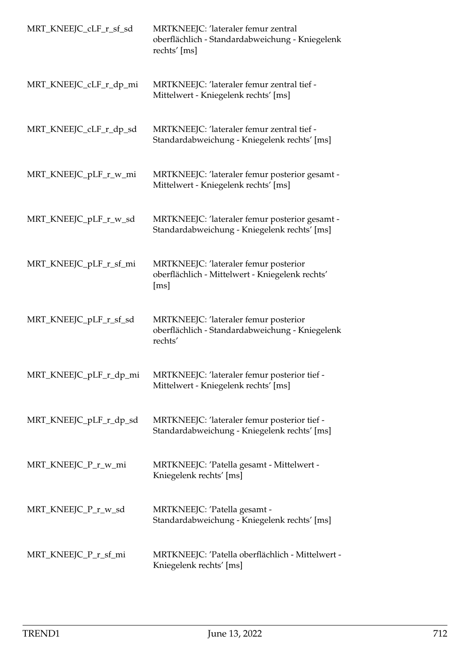| MRT_KNEEJC_cLF_r_sf_sd | MRTKNEEJC: 'lateraler femur zentral<br>oberflächlich - Standardabweichung - Kniegelenk<br>rechts' [ms]    |
|------------------------|-----------------------------------------------------------------------------------------------------------|
| MRT_KNEEJC_cLF_r_dp_mi | MRTKNEEJC: 'lateraler femur zentral tief -<br>Mittelwert - Kniegelenk rechts' [ms]                        |
| MRT_KNEEJC_cLF_r_dp_sd | MRTKNEEJC: 'lateraler femur zentral tief -<br>Standardabweichung - Kniegelenk rechts' [ms]                |
| MRT_KNEEJC_pLF_r_w_mi  | MRTKNEEJC: 'lateraler femur posterior gesamt -<br>Mittelwert - Kniegelenk rechts' [ms]                    |
| MRT_KNEEJC_pLF_r_w_sd  | MRTKNEEJC: 'lateraler femur posterior gesamt -<br>Standardabweichung - Kniegelenk rechts' [ms]            |
| MRT_KNEEJC_pLF_r_sf_mi | MRTKNEEJC: 'lateraler femur posterior<br>oberflächlich - Mittelwert - Kniegelenk rechts'<br>[ms]          |
| MRT_KNEEJC_pLF_r_sf_sd | MRTKNEEJC: 'lateraler femur posterior<br>oberflächlich - Standardabweichung - Kniegelenk<br>rechts'       |
|                        | MRT_KNEEJC_pLF_r_dp_mi MRTKNEEJC: 'lateraler femur posterior tief<br>Mittelwert - Kniegelenk rechts' [ms] |
| MRT_KNEEJC_pLF_r_dp_sd | MRTKNEEJC: 'lateraler femur posterior tief -<br>Standardabweichung - Kniegelenk rechts' [ms]              |
| MRT_KNEEJC_P_r_w_mi    | MRTKNEEJC: 'Patella gesamt - Mittelwert -<br>Kniegelenk rechts' [ms]                                      |
| MRT_KNEEJC_P_r_w_sd    | MRTKNEEJC: 'Patella gesamt -<br>Standardabweichung - Kniegelenk rechts' [ms]                              |
| MRT_KNEEJC_P_r_sf_mi   | MRTKNEEJC: 'Patella oberflächlich - Mittelwert -<br>Kniegelenk rechts' [ms]                               |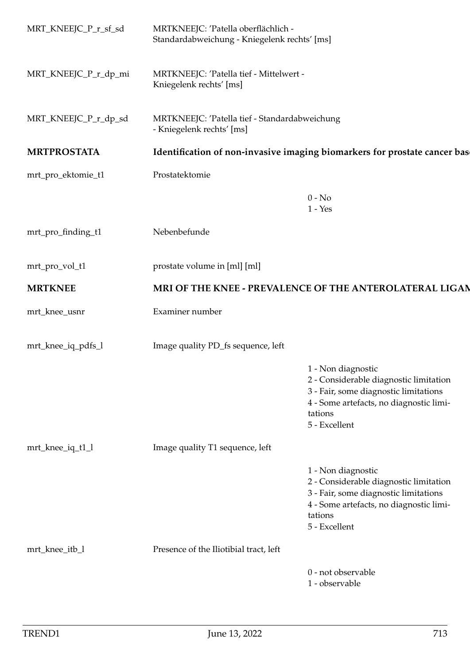| MRT_KNEEJC_P_r_sf_sd | MRTKNEEJC: 'Patella oberflächlich -<br>Standardabweichung - Kniegelenk rechts' [ms] |                                                                                                                                                                              |  |
|----------------------|-------------------------------------------------------------------------------------|------------------------------------------------------------------------------------------------------------------------------------------------------------------------------|--|
| MRT_KNEEJC_P_r_dp_mi | MRTKNEEJC: 'Patella tief - Mittelwert -<br>Kniegelenk rechts' [ms]                  |                                                                                                                                                                              |  |
| MRT_KNEEJC_P_r_dp_sd | MRTKNEEJC: 'Patella tief - Standardabweichung<br>- Kniegelenk rechts' [ms]          |                                                                                                                                                                              |  |
| <b>MRTPROSTATA</b>   |                                                                                     | Identification of non-invasive imaging biomarkers for prostate cancer bas                                                                                                    |  |
| mrt_pro_ektomie_t1   | Prostatektomie                                                                      |                                                                                                                                                                              |  |
|                      |                                                                                     | $0 - No$<br>$1 - Yes$                                                                                                                                                        |  |
| mrt_pro_finding_t1   | Nebenbefunde                                                                        |                                                                                                                                                                              |  |
| mrt_pro_vol_t1       | prostate volume in [ml] [ml]                                                        |                                                                                                                                                                              |  |
| <b>MRTKNEE</b>       |                                                                                     | MRI OF THE KNEE - PREVALENCE OF THE ANTEROLATERAL LIGAN                                                                                                                      |  |
| mrt_knee_usnr        | Examiner number                                                                     |                                                                                                                                                                              |  |
| mrt_knee_iq_pdfs_l   | Image quality PD_fs sequence, left                                                  |                                                                                                                                                                              |  |
|                      |                                                                                     | 1 - Non diagnostic<br>2 - Considerable diagnostic limitation<br>3 - Fair, some diagnostic limitations<br>4 - Some artefacts, no diagnostic limi-<br>tations<br>5 - Excellent |  |
| mrt_knee_iq_t1_l     | Image quality T1 sequence, left                                                     |                                                                                                                                                                              |  |
|                      |                                                                                     | 1 - Non diagnostic<br>2 - Considerable diagnostic limitation<br>3 - Fair, some diagnostic limitations<br>4 - Some artefacts, no diagnostic limi-<br>tations<br>5 - Excellent |  |
| mrt_knee_itb_l       | Presence of the Iliotibial tract, left                                              |                                                                                                                                                                              |  |
|                      |                                                                                     | 0 - not observable<br>1 - observable                                                                                                                                         |  |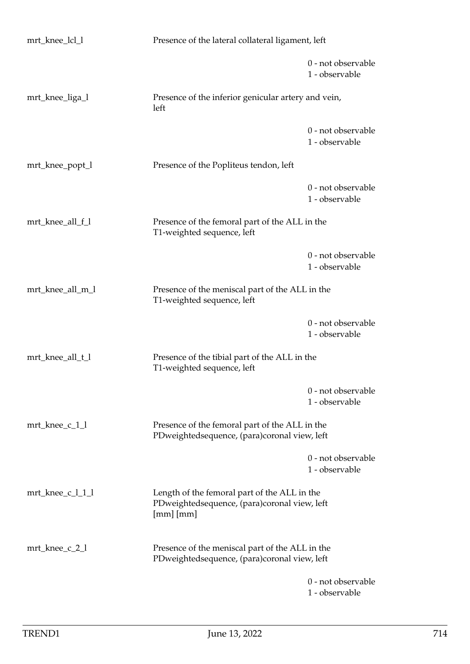| mrt_knee_lcl_l   | Presence of the lateral collateral ligament, left                                                             |                                      |
|------------------|---------------------------------------------------------------------------------------------------------------|--------------------------------------|
|                  |                                                                                                               | 0 - not observable<br>1 - observable |
| mrt_knee_liga_l  | Presence of the inferior genicular artery and vein,<br>left                                                   |                                      |
|                  |                                                                                                               | 0 - not observable<br>1 - observable |
| mrt_knee_popt_l  | Presence of the Popliteus tendon, left                                                                        |                                      |
|                  |                                                                                                               | 0 - not observable<br>1 - observable |
| mrt_knee_all_f_l | Presence of the femoral part of the ALL in the<br>T1-weighted sequence, left                                  |                                      |
|                  |                                                                                                               | 0 - not observable<br>1 - observable |
| mrt_knee_all_m_l | Presence of the meniscal part of the ALL in the<br>T1-weighted sequence, left                                 |                                      |
|                  |                                                                                                               | 0 - not observable<br>1 - observable |
| mrt_knee_all_t_l | Presence of the tibial part of the ALL in the<br>T1-weighted sequence, left                                   |                                      |
|                  |                                                                                                               | 0 - not observable<br>1 - observable |
| mrt_knee_c_1_1   | Presence of the femoral part of the ALL in the<br>PDweightedsequence, (para)coronal view, left                |                                      |
|                  |                                                                                                               | 0 - not observable<br>1 - observable |
| mrt_knee_c_l_1_l | Length of the femoral part of the ALL in the<br>PDweightedsequence, (para)coronal view, left<br>$[mm]$ $[mm]$ |                                      |
| mrt_knee_c_2_1   | Presence of the meniscal part of the ALL in the<br>PDweightedsequence, (para)coronal view, left               |                                      |
|                  |                                                                                                               | 0 - not observable<br>1 - observable |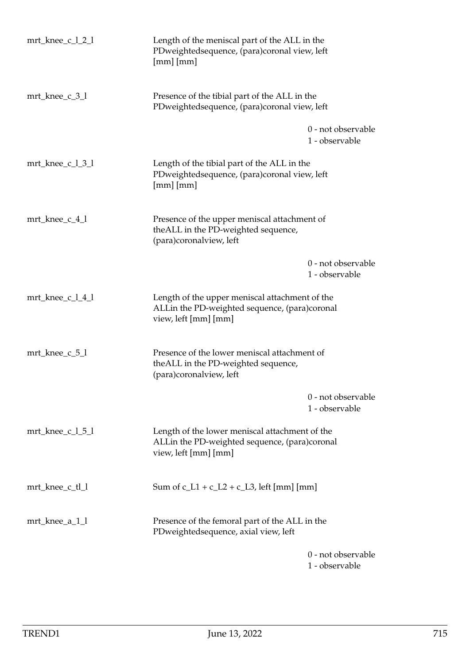| mrt_knee_c_l_2_l                         | Length of the meniscal part of the ALL in the<br>PDweightedsequence, (para)coronal view, left<br>[mm] [mm]              |                                      |
|------------------------------------------|-------------------------------------------------------------------------------------------------------------------------|--------------------------------------|
| mrt_knee_c_3_l                           | Presence of the tibial part of the ALL in the<br>PDweightedsequence, (para)coronal view, left                           |                                      |
|                                          |                                                                                                                         | 0 - not observable<br>1 - observable |
| $mrt_{\text{knee}\_{\text{c}}\_1\_3\_1}$ | Length of the tibial part of the ALL in the<br>PDweightedsequence, (para)coronal view, left<br>$[mm]$ $[mm]$            |                                      |
| mrt_knee_c_4_l                           | Presence of the upper meniscal attachment of<br>the ALL in the PD-weighted sequence,<br>(para)coronalview, left         |                                      |
|                                          |                                                                                                                         | 0 - not observable<br>1 - observable |
| mrt_knee_c_l_4_l                         | Length of the upper meniscal attachment of the<br>ALLin the PD-weighted sequence, (para)coronal<br>view, left [mm] [mm] |                                      |
| $mrt_knee_c_5_l$                         | Presence of the lower meniscal attachment of<br>the ALL in the PD-weighted sequence,<br>(para)coronalview, left         |                                      |
|                                          |                                                                                                                         | 0 - not observable<br>1 - observable |
| $mrt_{\text{E}}$ knee_c_l_5_l            | Length of the lower meniscal attachment of the<br>ALLin the PD-weighted sequence, (para)coronal<br>view, left [mm] [mm] |                                      |
| mrt_knee_c_tl_l                          | Sum of $c_L1 + c_L2 + c_L3$ , left [mm] [mm]                                                                            |                                      |
| mrt_knee_a_1_l                           | Presence of the femoral part of the ALL in the<br>PDweightedsequence, axial view, left                                  |                                      |
|                                          |                                                                                                                         | 0 - not observable<br>1 - observable |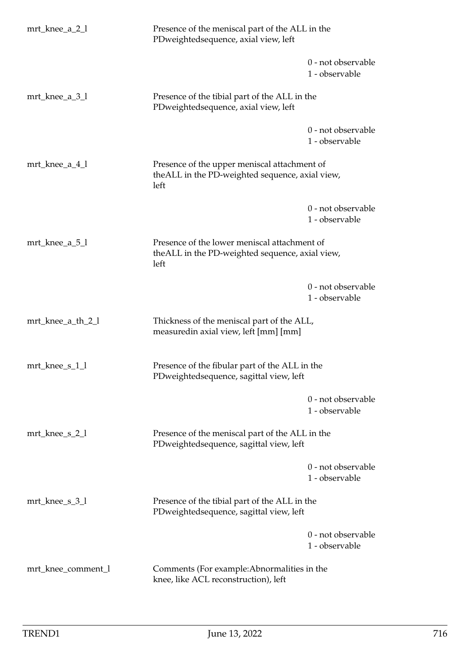| mrt_knee_a_2_l     | Presence of the meniscal part of the ALL in the<br>PDweightedsequence, axial view, left                 |                                      |
|--------------------|---------------------------------------------------------------------------------------------------------|--------------------------------------|
|                    |                                                                                                         | 0 - not observable<br>1 - observable |
| mrt_knee_a_3_l     | Presence of the tibial part of the ALL in the<br>PDweightedsequence, axial view, left                   |                                      |
|                    |                                                                                                         | 0 - not observable<br>1 - observable |
| mrt_knee_a_4_l     | Presence of the upper meniscal attachment of<br>theALL in the PD-weighted sequence, axial view,<br>left |                                      |
|                    |                                                                                                         | 0 - not observable<br>1 - observable |
| mrt_knee_a_5_l     | Presence of the lower meniscal attachment of<br>theALL in the PD-weighted sequence, axial view,<br>left |                                      |
|                    |                                                                                                         | 0 - not observable<br>1 - observable |
| mrt_knee_a_th_2_l  | Thickness of the meniscal part of the ALL,<br>measuredin axial view, left [mm] [mm]                     |                                      |
| mrt_knee_s_1_l     | Presence of the fibular part of the ALL in the<br>PDweightedsequence, sagittal view, left               |                                      |
|                    |                                                                                                         | 0 - not observable<br>1 - observable |
| mrt_knee_s_2_l     | Presence of the meniscal part of the ALL in the<br>PDweightedsequence, sagittal view, left              |                                      |
|                    |                                                                                                         | 0 - not observable<br>1 - observable |
| $mrt_knee_s_3_1$   | Presence of the tibial part of the ALL in the<br>PDweightedsequence, sagittal view, left                |                                      |
|                    |                                                                                                         | 0 - not observable<br>1 - observable |
| mrt_knee_comment_l | Comments (For example: Abnormalities in the<br>knee, like ACL reconstruction), left                     |                                      |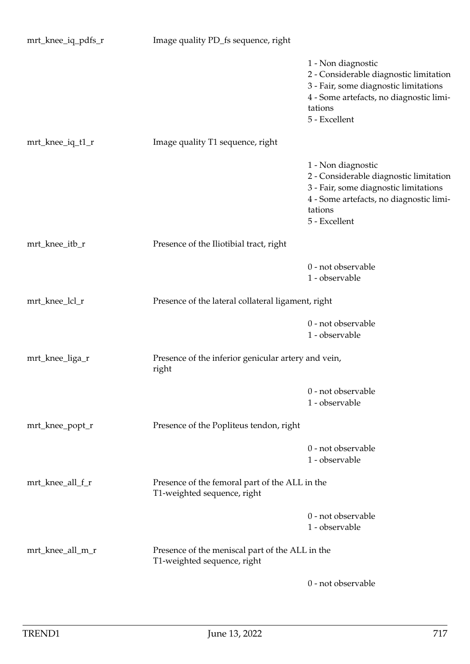| mrt_knee_iq_pdfs_r | Image quality PD_fs sequence, right                                            |                                                                                                                                                                              |
|--------------------|--------------------------------------------------------------------------------|------------------------------------------------------------------------------------------------------------------------------------------------------------------------------|
|                    |                                                                                | 1 - Non diagnostic<br>2 - Considerable diagnostic limitation<br>3 - Fair, some diagnostic limitations<br>4 - Some artefacts, no diagnostic limi-<br>tations<br>5 - Excellent |
| mrt_knee_iq_t1_r   | Image quality T1 sequence, right                                               |                                                                                                                                                                              |
|                    |                                                                                | 1 - Non diagnostic<br>2 - Considerable diagnostic limitation<br>3 - Fair, some diagnostic limitations<br>4 - Some artefacts, no diagnostic limi-<br>tations<br>5 - Excellent |
| mrt_knee_itb_r     | Presence of the Iliotibial tract, right                                        |                                                                                                                                                                              |
|                    |                                                                                | 0 - not observable<br>1 - observable                                                                                                                                         |
| mrt_knee_lcl_r     | Presence of the lateral collateral ligament, right                             |                                                                                                                                                                              |
|                    |                                                                                | 0 - not observable<br>1 - observable                                                                                                                                         |
| mrt_knee_liga_r    | Presence of the inferior genicular artery and vein,<br>right                   |                                                                                                                                                                              |
|                    |                                                                                | 0 - not observable<br>1 - observable                                                                                                                                         |
| mrt_knee_popt_r    | Presence of the Popliteus tendon, right                                        |                                                                                                                                                                              |
|                    |                                                                                | 0 - not observable<br>1 - observable                                                                                                                                         |
| mrt_knee_all_f_r   | Presence of the femoral part of the ALL in the<br>T1-weighted sequence, right  |                                                                                                                                                                              |
|                    |                                                                                | 0 - not observable<br>1 - observable                                                                                                                                         |
| mrt_knee_all_m_r   | Presence of the meniscal part of the ALL in the<br>T1-weighted sequence, right |                                                                                                                                                                              |
|                    |                                                                                | 0 - not observable                                                                                                                                                           |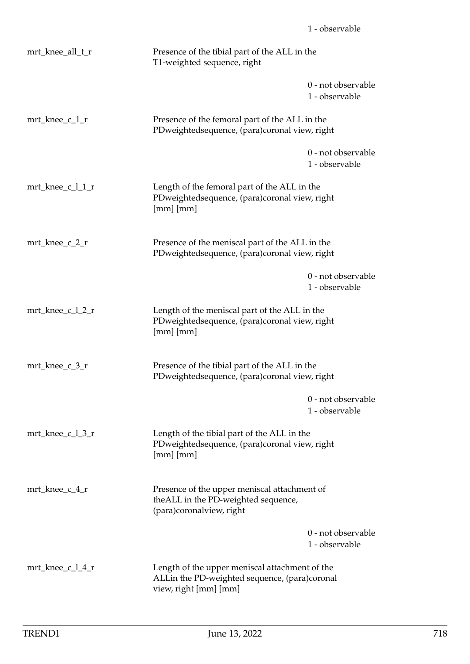| mrt_knee_all_t_r                            | Presence of the tibial part of the ALL in the<br>T1-weighted sequence, right                                             |                                      |
|---------------------------------------------|--------------------------------------------------------------------------------------------------------------------------|--------------------------------------|
|                                             |                                                                                                                          | 0 - not observable<br>1 - observable |
| mrt_knee_c_1_r                              | Presence of the femoral part of the ALL in the<br>PDweightedsequence, (para)coronal view, right                          |                                      |
|                                             |                                                                                                                          | 0 - not observable<br>1 - observable |
| mrt_knee_c_l_1_r                            | Length of the femoral part of the ALL in the<br>PDweightedsequence, (para)coronal view, right<br>$[mm]$ $[mm]$           |                                      |
| mrt_knee_c_2_r                              | Presence of the meniscal part of the ALL in the<br>PDweightedsequence, (para)coronal view, right                         |                                      |
|                                             |                                                                                                                          | 0 - not observable<br>1 - observable |
| mrt_knee_c_l_2_r                            | Length of the meniscal part of the ALL in the<br>PDweightedsequence, (para)coronal view, right<br>$[mm]$ $[mm]$          |                                      |
| mrt_knee_c_3_r                              | Presence of the tibial part of the ALL in the<br>PDweightedsequence, (para)coronal view, right                           |                                      |
|                                             |                                                                                                                          | 0 - not observable<br>1 - observable |
| $mrt_{\text{knee}\_{\text{c}}\_\text{max}}$ | Length of the tibial part of the ALL in the<br>PDweightedsequence, (para)coronal view, right<br>$[mm]$ $[mm]$            |                                      |
| mrt_knee_c_4_r                              | Presence of the upper meniscal attachment of<br>theALL in the PD-weighted sequence,<br>(para)coronalview, right          |                                      |
|                                             |                                                                                                                          | 0 - not observable<br>1 - observable |
| mrt_knee_c_l_4_r                            | Length of the upper meniscal attachment of the<br>ALLin the PD-weighted sequence, (para)coronal<br>view, right [mm] [mm] |                                      |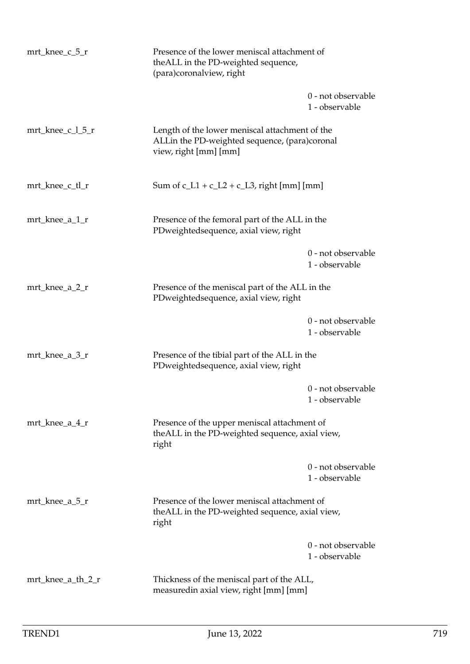| $mrt_{\text{E}}$ knee_c_5_r | Presence of the lower meniscal attachment of<br>the ALL in the PD-weighted sequence,<br>(para)coronalview, right         |                                      |
|-----------------------------|--------------------------------------------------------------------------------------------------------------------------|--------------------------------------|
|                             |                                                                                                                          | 0 - not observable<br>1 - observable |
| mrt_knee_c_l_5_r            | Length of the lower meniscal attachment of the<br>ALLin the PD-weighted sequence, (para)coronal<br>view, right [mm] [mm] |                                      |
| mrt_knee_c_tl_r             | Sum of $c_L1 + c_L2 + c_L3$ , right [mm] [mm]                                                                            |                                      |
| mrt_knee_a_1_r              | Presence of the femoral part of the ALL in the<br>PDweightedsequence, axial view, right                                  |                                      |
|                             |                                                                                                                          | 0 - not observable<br>1 - observable |
| mrt_knee_a_2_r              | Presence of the meniscal part of the ALL in the<br>PDweightedsequence, axial view, right                                 |                                      |
|                             |                                                                                                                          | 0 - not observable<br>1 - observable |
| mrt_knee_a_3_r              | Presence of the tibial part of the ALL in the<br>PDweightedsequence, axial view, right                                   |                                      |
|                             |                                                                                                                          | 0 - not observable<br>1 - observable |
| mrt_knee_a_4_r              | Presence of the upper meniscal attachment of<br>theALL in the PD-weighted sequence, axial view,<br>right                 |                                      |
|                             |                                                                                                                          | 0 - not observable<br>1 - observable |
| $mrt_{\text{E}}$ knee_a_5_r | Presence of the lower meniscal attachment of<br>theALL in the PD-weighted sequence, axial view,<br>right                 |                                      |
|                             |                                                                                                                          | 0 - not observable<br>1 - observable |
| mrt_knee_a_th_2_r           | Thickness of the meniscal part of the ALL,<br>measuredin axial view, right [mm] [mm]                                     |                                      |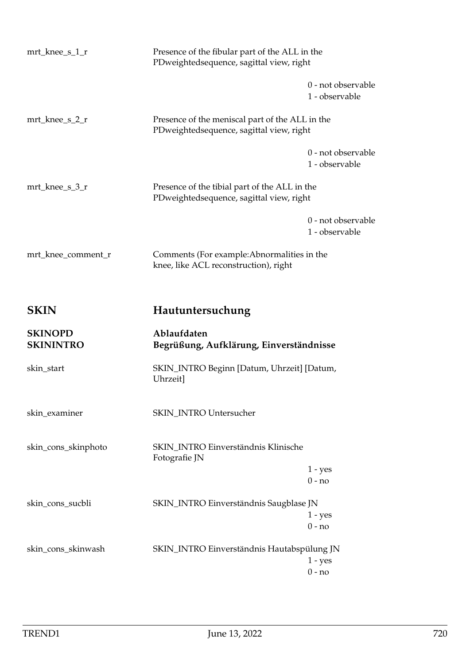| mrt_knee_s_1_r                     | Presence of the fibular part of the ALL in the<br>PDweightedsequence, sagittal view, right  |                                      |
|------------------------------------|---------------------------------------------------------------------------------------------|--------------------------------------|
|                                    |                                                                                             | 0 - not observable<br>1 - observable |
| mrt_knee_s_2_r                     | Presence of the meniscal part of the ALL in the<br>PDweightedsequence, sagittal view, right |                                      |
|                                    |                                                                                             | 0 - not observable<br>1 - observable |
| mrt_knee_s_3_r                     | Presence of the tibial part of the ALL in the<br>PDweightedsequence, sagittal view, right   |                                      |
|                                    |                                                                                             | 0 - not observable<br>1 - observable |
| mrt_knee_comment_r                 | Comments (For example: Abnormalities in the<br>knee, like ACL reconstruction), right        |                                      |
| <b>SKIN</b>                        | Hautuntersuchung                                                                            |                                      |
|                                    |                                                                                             |                                      |
| <b>SKINOPD</b><br><b>SKININTRO</b> | Ablaufdaten<br>Begrüßung, Aufklärung, Einverständnisse                                      |                                      |
| skin_start                         | SKIN_INTRO Beginn [Datum, Uhrzeit] [Datum,<br>Uhrzeit]                                      |                                      |
| skin_examiner                      | <b>SKIN_INTRO Untersucher</b>                                                               |                                      |
| skin_cons_skinphoto                | SKIN_INTRO Einverständnis Klinische<br>Fotografie JN                                        |                                      |
|                                    |                                                                                             | $1 - yes$<br>$0 - no$                |
|                                    |                                                                                             |                                      |
| skin_cons_sucbli                   | SKIN_INTRO Einverständnis Saugblase JN                                                      | $1 - yes$                            |
|                                    |                                                                                             | $0 - no$                             |
| skin_cons_skinwash                 | SKIN_INTRO Einverständnis Hautabspülung JN                                                  |                                      |
|                                    |                                                                                             | $1 - yes$<br>$0 - no$                |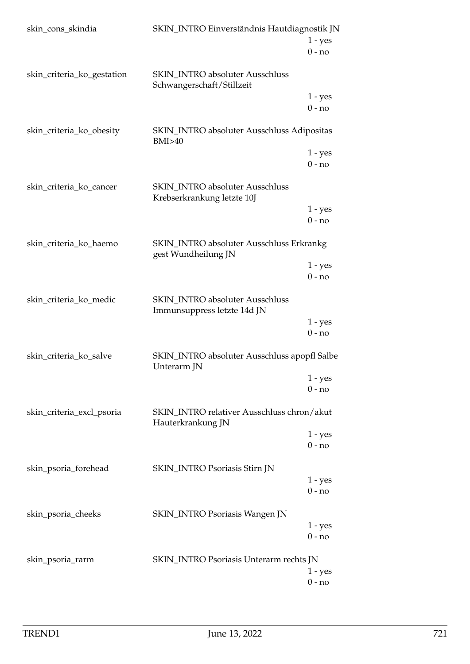| skin_cons_skindia          | SKIN_INTRO Einverständnis Hautdiagnostik JN                           | $1 - yes$<br>$0 - no$ |
|----------------------------|-----------------------------------------------------------------------|-----------------------|
| skin_criteria_ko_gestation | <b>SKIN_INTRO</b> absoluter Ausschluss<br>Schwangerschaft/Stillzeit   |                       |
|                            |                                                                       | $1 - yes$<br>$0 - no$ |
| skin_criteria_ko_obesity   | SKIN_INTRO absoluter Ausschluss Adipositas<br>BMI>40                  |                       |
|                            |                                                                       | $1 - yes$<br>$0 - no$ |
| skin_criteria_ko_cancer    | <b>SKIN_INTRO</b> absoluter Ausschluss<br>Krebserkrankung letzte 10J  |                       |
|                            |                                                                       | $1 - yes$<br>$0 - no$ |
| skin_criteria_ko_haemo     | SKIN_INTRO absoluter Ausschluss Erkrankg<br>gest Wundheilung JN       |                       |
|                            |                                                                       | $1 - yes$<br>$0 - no$ |
| skin_criteria_ko_medic     | <b>SKIN_INTRO</b> absoluter Ausschluss<br>Immunsuppress letzte 14d JN |                       |
|                            |                                                                       | $1 - yes$<br>$0 - no$ |
| skin_criteria_ko_salve     | SKIN_INTRO absoluter Ausschluss apopfl Salbe<br>Unterarm JN           |                       |
|                            |                                                                       | $1 - yes$<br>$0 - no$ |
| skin_criteria_excl_psoria  | SKIN_INTRO relativer Ausschluss chron/akut<br>Hauterkrankung JN       |                       |
|                            |                                                                       | $1 - yes$<br>$0 - no$ |
| skin_psoria_forehead       | SKIN_INTRO Psoriasis Stirn JN                                         | $1 - yes$             |
|                            |                                                                       | $0 - no$              |
| skin_psoria_cheeks         | SKIN_INTRO Psoriasis Wangen JN                                        | $1 - yes$<br>$0 - no$ |
| skin_psoria_rarm           | SKIN_INTRO Psoriasis Unterarm rechts JN                               | $1 - yes$<br>$0 - no$ |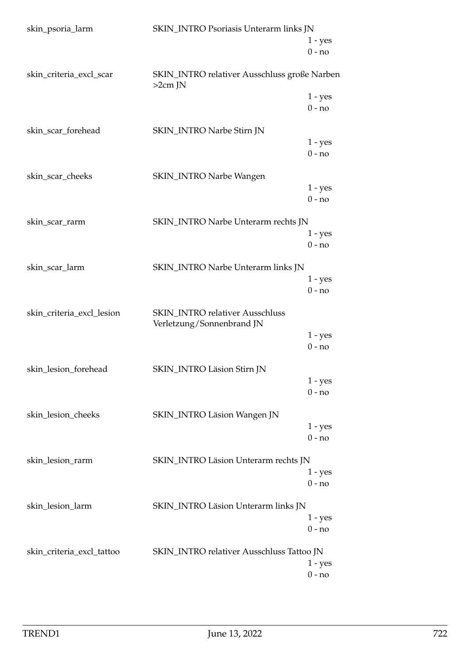| skin_psoria_larm          | SKIN_INTRO Psoriasis Unterarm links JN                       |                       |
|---------------------------|--------------------------------------------------------------|-----------------------|
|                           |                                                              | $1 - yes$<br>$0 - no$ |
| skin_criteria_excl_scar   | SKIN_INTRO relativer Ausschluss große Narben<br>$>2cm$ JN    |                       |
|                           |                                                              | $1 - yes$<br>$0 - no$ |
| skin_scar_forehead        | SKIN_INTRO Narbe Stirn JN                                    | $1 - yes$<br>$0 - no$ |
| skin_scar_cheeks          | <b>SKIN_INTRO Narbe Wangen</b>                               |                       |
|                           |                                                              | $1 - yes$<br>$0 - no$ |
| skin_scar_rarm            | SKIN_INTRO Narbe Unterarm rechts JN                          | $1 - yes$<br>$0 - no$ |
| skin_scar_larm            | SKIN_INTRO Narbe Unterarm links JN                           | $1 - yes$<br>$0 - no$ |
| skin_criteria_excl_lesion | SKIN_INTRO relativer Ausschluss<br>Verletzung/Sonnenbrand JN | $1 - yes$             |
|                           |                                                              | $0 - no$              |
| skin_lesion_forehead      | SKIN_INTRO Läsion Stirn JN                                   | $1 - yes$<br>$0 - no$ |
| skin_lesion_cheeks        | SKIN_INTRO Läsion Wangen JN                                  | $1 - yes$             |
| skin_lesion_rarm          | SKIN_INTRO Läsion Unterarm rechts JN                         | $0 - no$              |
|                           |                                                              | $1 - yes$<br>$0 - no$ |
| skin_lesion_larm          | SKIN_INTRO Läsion Unterarm links JN                          | $1 - yes$<br>$0 - no$ |
| skin_criteria_excl_tattoo | SKIN_INTRO relativer Ausschluss Tattoo JN                    | $1 - yes$<br>$0 - no$ |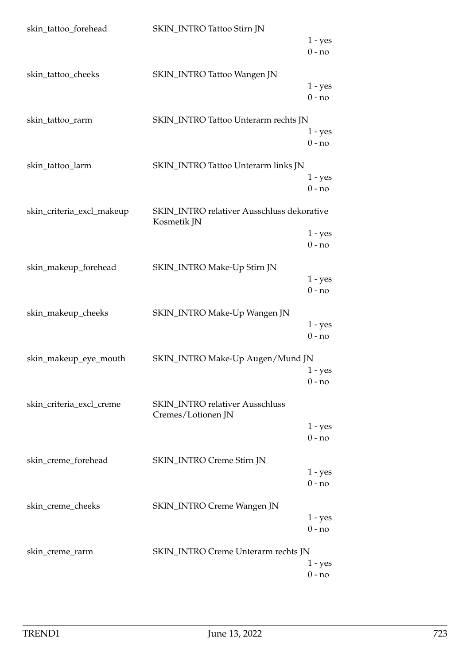| skin_tattoo_forehead      | SKIN_INTRO Tattoo Stirn JN                 |                       |
|---------------------------|--------------------------------------------|-----------------------|
|                           |                                            | $1 - yes$             |
|                           |                                            | $0 - no$              |
|                           |                                            |                       |
| skin_tattoo_cheeks        | SKIN_INTRO Tattoo Wangen JN                |                       |
|                           |                                            | $1 - yes$             |
|                           |                                            | $0 - no$              |
|                           |                                            |                       |
| skin_tattoo_rarm          | SKIN_INTRO Tattoo Unterarm rechts JN       |                       |
|                           |                                            | $1 - yes$             |
|                           |                                            | $0 - no$              |
| skin_tattoo_larm          | SKIN_INTRO Tattoo Unterarm links JN        |                       |
|                           |                                            | $1 - yes$             |
|                           |                                            | $0 - no$              |
|                           |                                            |                       |
| skin_criteria_excl_makeup | SKIN_INTRO relativer Ausschluss dekorative |                       |
|                           | Kosmetik JN                                |                       |
|                           |                                            | $1 - yes$             |
|                           |                                            | $0 - no$              |
|                           |                                            |                       |
| skin_makeup_forehead      | SKIN_INTRO Make-Up Stirn JN                |                       |
|                           |                                            | $1 - yes$             |
|                           |                                            | $0 - no$              |
| skin_makeup_cheeks        | SKIN_INTRO Make-Up Wangen JN               |                       |
|                           |                                            | $1 - yes$             |
|                           |                                            | $0 - no$              |
|                           |                                            |                       |
| skin_makeup_eye_mouth     | SKIN_INTRO Make-Up Augen/Mund JN           |                       |
|                           |                                            | $1 - yes$             |
|                           |                                            | $0 - no$              |
|                           |                                            |                       |
| skin_criteria_excl_creme  | <b>SKIN_INTRO</b> relativer Ausschluss     |                       |
|                           | Cremes/Lotionen JN                         |                       |
|                           |                                            | $1 - yes$<br>$0 - no$ |
|                           |                                            |                       |
| skin_creme_forehead       | SKIN_INTRO Creme Stirn JN                  |                       |
|                           |                                            | $1 - yes$             |
|                           |                                            | $0 - no$              |
|                           |                                            |                       |
| skin_creme_cheeks         | <b>SKIN_INTRO Creme Wangen JN</b>          |                       |
|                           |                                            | $1 - yes$             |
|                           |                                            | $0 - no$              |
|                           |                                            |                       |
| skin_creme_rarm           | SKIN_INTRO Creme Unterarm rechts JN        |                       |
|                           |                                            | 1 - yes               |
|                           |                                            | $0 - no$              |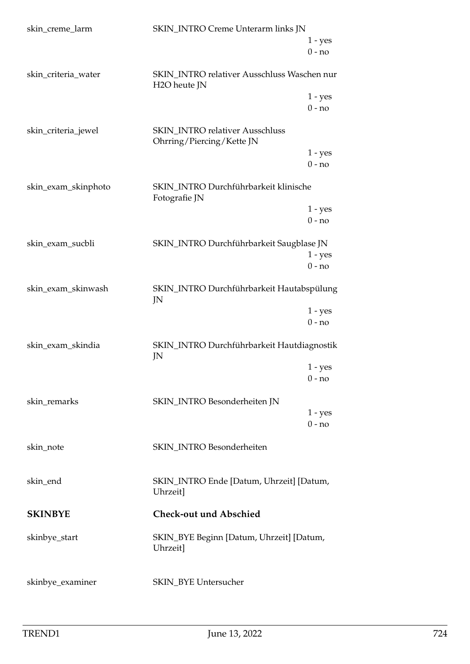| skin_creme_larm     | SKIN_INTRO Creme Unterarm links JN                                       |           |
|---------------------|--------------------------------------------------------------------------|-----------|
|                     |                                                                          | $1 - yes$ |
|                     |                                                                          | $0 - no$  |
| skin_criteria_water | SKIN_INTRO relativer Ausschluss Waschen nur<br>H <sub>2</sub> O heute JN |           |
|                     |                                                                          | $1 - yes$ |
|                     |                                                                          | $0 - no$  |
| skin_criteria_jewel | <b>SKIN_INTRO</b> relativer Ausschluss<br>Ohrring/Piercing/Kette JN      |           |
|                     |                                                                          | $1 - yes$ |
|                     |                                                                          | $0 - no$  |
| skin_exam_skinphoto | SKIN_INTRO Durchführbarkeit klinische<br>Fotografie JN                   |           |
|                     |                                                                          | $1 - yes$ |
|                     |                                                                          | $0 - no$  |
| skin_exam_sucbli    | SKIN_INTRO Durchführbarkeit Saugblase JN                                 |           |
|                     |                                                                          | $1 - yes$ |
|                     |                                                                          | $0 - no$  |
| skin_exam_skinwash  | SKIN_INTRO Durchführbarkeit Hautabspülung<br>JN                          |           |
|                     |                                                                          | $1 - yes$ |
|                     |                                                                          | $0 - no$  |
| skin_exam_skindia   | SKIN_INTRO Durchführbarkeit Hautdiagnostik<br>JN                         |           |
|                     |                                                                          | $1 - yes$ |
|                     |                                                                          | $0 - no$  |
|                     |                                                                          |           |
| skin_remarks        | SKIN_INTRO Besonderheiten JN                                             | $1 - yes$ |
|                     |                                                                          | $0 - no$  |
|                     |                                                                          |           |
| skin_note           | SKIN_INTRO Besonderheiten                                                |           |
|                     |                                                                          |           |
| skin_end            | SKIN_INTRO Ende [Datum, Uhrzeit] [Datum,<br>Uhrzeit]                     |           |
| <b>SKINBYE</b>      | <b>Check-out und Abschied</b>                                            |           |
| skinbye_start       | SKIN_BYE Beginn [Datum, Uhrzeit] [Datum,<br>Uhrzeit]                     |           |
|                     |                                                                          |           |
| skinbye_examiner    | SKIN_BYE Untersucher                                                     |           |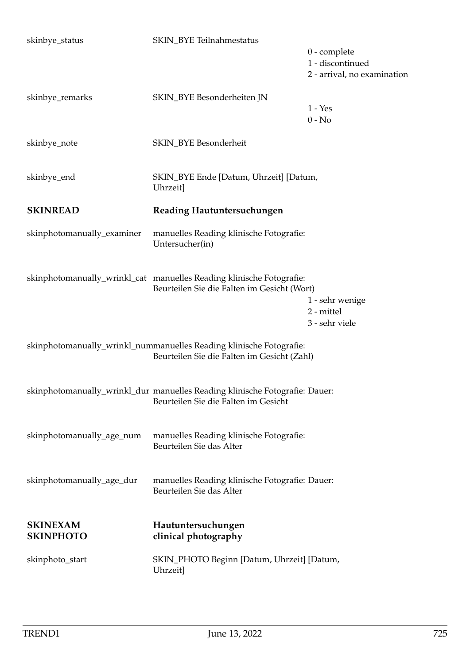| skinbye_status                      | SKIN_BYE Teilnahmestatus                                                                                            | $0$ - complete<br>1 - discontinued<br>2 - arrival, no examination |
|-------------------------------------|---------------------------------------------------------------------------------------------------------------------|-------------------------------------------------------------------|
| skinbye_remarks                     | SKIN_BYE Besonderheiten JN                                                                                          | $1 - Yes$<br>$0 - No$                                             |
| skinbye_note                        | SKIN_BYE Besonderheit                                                                                               |                                                                   |
| skinbye_end                         | SKIN_BYE Ende [Datum, Uhrzeit] [Datum,<br>Uhrzeit]                                                                  |                                                                   |
| <b>SKINREAD</b>                     | Reading Hautuntersuchungen                                                                                          |                                                                   |
| skinphotomanually_examiner          | manuelles Reading klinische Fotografie:<br>Untersucher(in)                                                          |                                                                   |
|                                     | skinphotomanually_wrinkl_cat manuelles Reading klinische Fotografie:<br>Beurteilen Sie die Falten im Gesicht (Wort) | 1 - sehr wenige<br>2 - mittel<br>3 - sehr viele                   |
|                                     | skinphotomanually_wrinkl_nummanuelles Reading klinische Fotografie:<br>Beurteilen Sie die Falten im Gesicht (Zahl)  |                                                                   |
|                                     | skinphotomanually_wrinkl_dur manuelles Reading klinische Fotografie: Dauer:<br>Beurteilen Sie die Falten im Gesicht |                                                                   |
| skinphotomanually_age_num           | manuelles Reading klinische Fotografie:<br>Beurteilen Sie das Alter                                                 |                                                                   |
| skinphotomanually_age_dur           | manuelles Reading klinische Fotografie: Dauer:<br>Beurteilen Sie das Alter                                          |                                                                   |
| <b>SKINEXAM</b><br><b>SKINPHOTO</b> | Hautuntersuchungen<br>clinical photography                                                                          |                                                                   |
| skinphoto_start                     | SKIN_PHOTO Beginn [Datum, Uhrzeit] [Datum,<br>Uhrzeit]                                                              |                                                                   |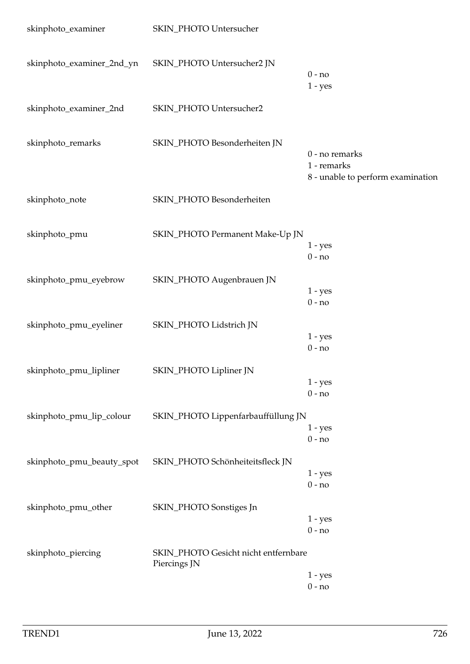| skinphoto_examiner        | SKIN_PHOTO Untersucher                               |                                                                    |
|---------------------------|------------------------------------------------------|--------------------------------------------------------------------|
| skinphoto_examiner_2nd_yn | SKIN_PHOTO Untersucher2 JN                           | $0 - no$<br>$1 - yes$                                              |
| skinphoto_examiner_2nd    | SKIN_PHOTO Untersucher2                              |                                                                    |
| skinphoto_remarks         | SKIN_PHOTO Besonderheiten JN                         | 0 - no remarks<br>1 - remarks<br>8 - unable to perform examination |
| skinphoto_note            | SKIN_PHOTO Besonderheiten                            |                                                                    |
| skinphoto_pmu             | SKIN_PHOTO Permanent Make-Up JN                      | $1 - yes$<br>$0 - no$                                              |
| skinphoto_pmu_eyebrow     | SKIN_PHOTO Augenbrauen JN                            | $1 - yes$<br>$0 - no$                                              |
| skinphoto_pmu_eyeliner    | SKIN_PHOTO Lidstrich JN                              | $1 - yes$<br>$0 - no$                                              |
| skinphoto_pmu_lipliner    | SKIN_PHOTO Lipliner JN                               | $1 - yes$<br>$0 - no$                                              |
| skinphoto_pmu_lip_colour  | SKIN_PHOTO Lippenfarbauffüllung JN                   | $1 - yes$<br>$0 - no$                                              |
| skinphoto_pmu_beauty_spot | SKIN_PHOTO Schönheiteitsfleck JN                     | $1 - yes$<br>$0 - no$                                              |
| skinphoto_pmu_other       | SKIN_PHOTO Sonstiges Jn                              | $1 - yes$<br>$0 - no$                                              |
| skinphoto_piercing        | SKIN_PHOTO Gesicht nicht entfernbare<br>Piercings JN | $1 - yes$<br>$0 - no$                                              |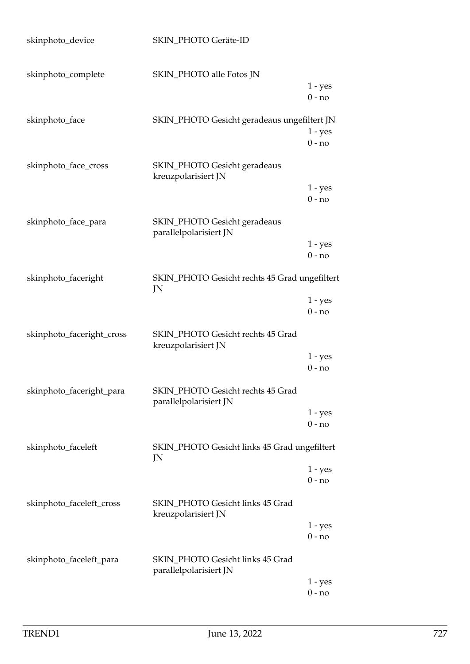| skinphoto_device          | SKIN_PHOTO Geräte-ID                                        |                       |
|---------------------------|-------------------------------------------------------------|-----------------------|
| skinphoto_complete        | SKIN_PHOTO alle Fotos JN                                    | $1 - yes$<br>$0 - no$ |
| skinphoto_face            | SKIN_PHOTO Gesicht geradeaus ungefiltert JN                 | $1 - yes$<br>$0 - no$ |
| skinphoto_face_cross      | <b>SKIN_PHOTO Gesicht geradeaus</b><br>kreuzpolarisiert JN  | $1 - yes$             |
| skinphoto_face_para       | SKIN_PHOTO Gesicht geradeaus<br>parallelpolarisiert JN      | $0 - no$<br>$1 - yes$ |
| skinphoto_faceright       | SKIN_PHOTO Gesicht rechts 45 Grad ungefiltert               | $0 - no$              |
|                           | JN                                                          | $1 - yes$<br>$0 - no$ |
| skinphoto_faceright_cross | SKIN_PHOTO Gesicht rechts 45 Grad<br>kreuzpolarisiert JN    | $1 - yes$             |
|                           |                                                             | $0 - no$              |
| skinphoto_faceright_para  | SKIN_PHOTO Gesicht rechts 45 Grad<br>parallelpolarisiert JN | $1 - yes$<br>$0 - no$ |
| skinphoto_faceleft        | SKIN_PHOTO Gesicht links 45 Grad ungefiltert<br>JN          |                       |
|                           |                                                             | $1 - yes$<br>$0 - no$ |
| skinphoto_faceleft_cross  | SKIN_PHOTO Gesicht links 45 Grad<br>kreuzpolarisiert JN     | $1 - yes$             |
|                           |                                                             | $0 - no$              |
| skinphoto_faceleft_para   | SKIN_PHOTO Gesicht links 45 Grad<br>parallelpolarisiert JN  |                       |
|                           |                                                             | $1 - yes$<br>$0 - no$ |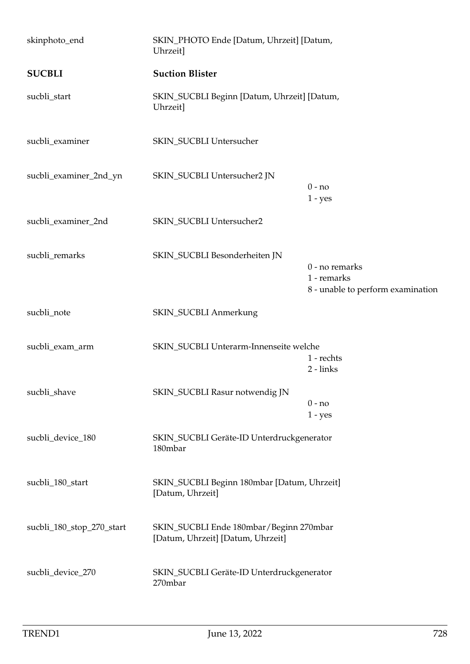| skinphoto_end             | SKIN_PHOTO Ende [Datum, Uhrzeit] [Datum,<br>Uhrzeit]                         |                                                                    |
|---------------------------|------------------------------------------------------------------------------|--------------------------------------------------------------------|
| <b>SUCBLI</b>             | <b>Suction Blister</b>                                                       |                                                                    |
| sucbli_start              | SKIN_SUCBLI Beginn [Datum, Uhrzeit] [Datum,<br>Uhrzeit]                      |                                                                    |
| sucbli_examiner           | SKIN_SUCBLI Untersucher                                                      |                                                                    |
| sucbli_examiner_2nd_yn    | SKIN_SUCBLI Untersucher2 JN                                                  | $0 - no$<br>$1 - yes$                                              |
| sucbli_examiner_2nd       | SKIN_SUCBLI Untersucher2                                                     |                                                                    |
| sucbli_remarks            | SKIN_SUCBLI Besonderheiten JN                                                | 0 - no remarks<br>1 - remarks<br>8 - unable to perform examination |
| sucbli_note               | <b>SKIN_SUCBLI Anmerkung</b>                                                 |                                                                    |
| sucbli_exam_arm           | SKIN_SUCBLI Unterarm-Innenseite welche                                       | 1 - rechts<br>$2 - links$                                          |
| sucbli_shave              | SKIN_SUCBLI Rasur notwendig JN                                               | $0 - no$<br>$1 - yes$                                              |
| sucbli_device_180         | SKIN_SUCBLI Geräte-ID Unterdruckgenerator<br>180mbar                         |                                                                    |
| sucbli_180_start          | SKIN_SUCBLI Beginn 180mbar [Datum, Uhrzeit]<br>[Datum, Uhrzeit]              |                                                                    |
| sucbli_180_stop_270_start | SKIN_SUCBLI Ende 180mbar/Beginn 270mbar<br>[Datum, Uhrzeit] [Datum, Uhrzeit] |                                                                    |
| sucbli_device_270         | SKIN_SUCBLI Geräte-ID Unterdruckgenerator<br>270mbar                         |                                                                    |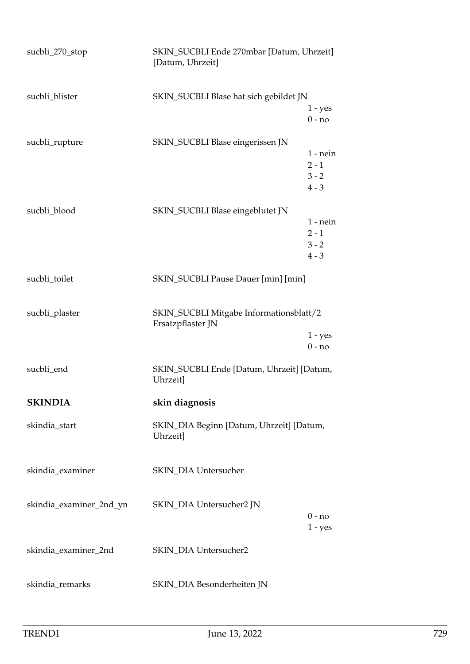| sucbli_270_stop         | SKIN_SUCBLI Ende 270mbar [Datum, Uhrzeit]<br>[Datum, Uhrzeit] |                                             |
|-------------------------|---------------------------------------------------------------|---------------------------------------------|
| sucbli_blister          | SKIN_SUCBLI Blase hat sich gebildet JN                        | $1 - yes$<br>$0 - no$                       |
| sucbli_rupture          | SKIN_SUCBLI Blase eingerissen JN                              | $1$ - nein<br>$2 - 1$<br>$3 - 2$<br>$4 - 3$ |
| sucbli_blood            | SKIN_SUCBLI Blase eingeblutet JN                              | $1$ - nein<br>$2 - 1$<br>$3 - 2$<br>$4 - 3$ |
| sucbli_toilet           | SKIN_SUCBLI Pause Dauer [min] [min]                           |                                             |
| sucbli_plaster          | SKIN_SUCBLI Mitgabe Informationsblatt/2<br>Ersatzpflaster JN  | $1 - yes$<br>$0 - no$                       |
| sucbli_end              | SKIN_SUCBLI Ende [Datum, Uhrzeit] [Datum,<br>Uhrzeit]         |                                             |
| <b>SKINDIA</b>          | skin diagnosis                                                |                                             |
| skindia_start           | SKIN_DIA Beginn [Datum, Uhrzeit] [Datum,<br>Uhrzeit]          |                                             |
| skindia_examiner        | SKIN_DIA Untersucher                                          |                                             |
| skindia_examiner_2nd_yn | SKIN_DIA Untersucher2 JN                                      | $0 - no$<br>$1 - yes$                       |
| skindia_examiner_2nd    | SKIN_DIA Untersucher2                                         |                                             |
| skindia_remarks         | SKIN_DIA Besonderheiten JN                                    |                                             |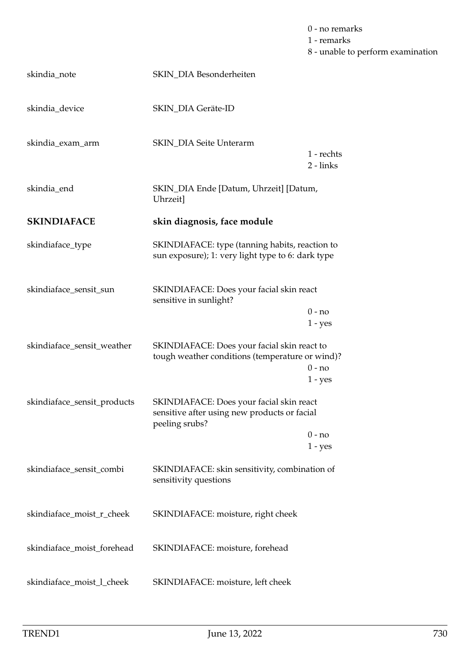|                             |                                                                                                            | 0 - no remarks<br>1 - remarks<br>8 - unable to perform examination |
|-----------------------------|------------------------------------------------------------------------------------------------------------|--------------------------------------------------------------------|
| skindia_note                | SKIN_DIA Besonderheiten                                                                                    |                                                                    |
| skindia_device              | SKIN_DIA Geräte-ID                                                                                         |                                                                    |
| skindia_exam_arm            | <b>SKIN_DIA Seite Unterarm</b>                                                                             | 1 - rechts<br>2 - links                                            |
| skindia_end                 | SKIN_DIA Ende [Datum, Uhrzeit] [Datum,<br>Uhrzeit]                                                         |                                                                    |
| <b>SKINDIAFACE</b>          | skin diagnosis, face module                                                                                |                                                                    |
| skindiaface_type            | SKINDIAFACE: type (tanning habits, reaction to<br>sun exposure); 1: very light type to 6: dark type        |                                                                    |
| skindiaface_sensit_sun      | SKINDIAFACE: Does your facial skin react<br>sensitive in sunlight?                                         |                                                                    |
|                             |                                                                                                            | $0 - no$<br>$1 - yes$                                              |
| skindiaface_sensit_weather  | SKINDIAFACE: Does your facial skin react to<br>tough weather conditions (temperature or wind)?             | $0 - no$<br>$1$ - ${\hbox{yes}}$                                   |
| skindiaface_sensit_products | SKINDIAFACE: Does your facial skin react<br>sensitive after using new products or facial<br>peeling srubs? |                                                                    |
|                             |                                                                                                            | $0 - no$<br>$1 - yes$                                              |
| skindiaface_sensit_combi    | SKINDIAFACE: skin sensitivity, combination of<br>sensitivity questions                                     |                                                                    |
| skindiaface_moist_r_cheek   | SKINDIAFACE: moisture, right cheek                                                                         |                                                                    |
| skindiaface_moist_forehead  | SKINDIAFACE: moisture, forehead                                                                            |                                                                    |
| skindiaface_moist_l_cheek   | SKINDIAFACE: moisture, left cheek                                                                          |                                                                    |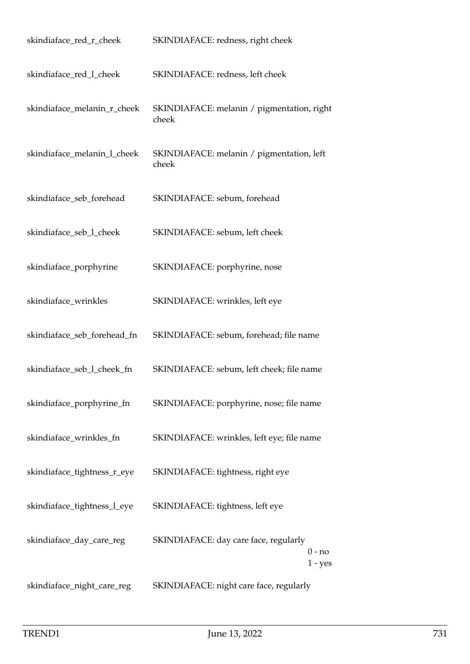| skindiaface_red_r_cheek     | SKINDIAFACE: redness, right cheek                            |
|-----------------------------|--------------------------------------------------------------|
| skindiaface_red_l_cheek     | SKINDIAFACE: redness, left cheek                             |
| skindiaface_melanin_r_cheek | SKINDIAFACE: melanin / pigmentation, right<br>cheek          |
| skindiaface_melanin_l_cheek | SKINDIAFACE: melanin / pigmentation, left<br>cheek           |
| skindiaface_seb_forehead    | SKINDIAFACE: sebum, forehead                                 |
| skindiaface_seb_l_cheek     | SKINDIAFACE: sebum, left cheek                               |
| skindiaface_porphyrine      | SKINDIAFACE: porphyrine, nose                                |
| skindiaface_wrinkles        | SKINDIAFACE: wrinkles, left eye                              |
| skindiaface_seb_forehead_fn | SKINDIAFACE: sebum, forehead; file name                      |
| skindiaface_seb_l_cheek_fn  | SKINDIAFACE: sebum, left cheek; file name                    |
| skindiaface_porphyrine_fn   | SKINDIAFACE: porphyrine, nose; file name                     |
| skindiaface_wrinkles_fn     | SKINDIAFACE: wrinkles, left eye; file name                   |
| skindiaface_tightness_r_eye | SKINDIAFACE: tightness, right eye                            |
| skindiaface_tightness_l_eye | SKINDIAFACE: tightness, left eye                             |
| skindiaface_day_care_reg    | SKINDIAFACE: day care face, regularly<br>0 - no<br>$1 - yes$ |
| skindiaface_night_care_reg  | SKINDIAFACE: night care face, regularly                      |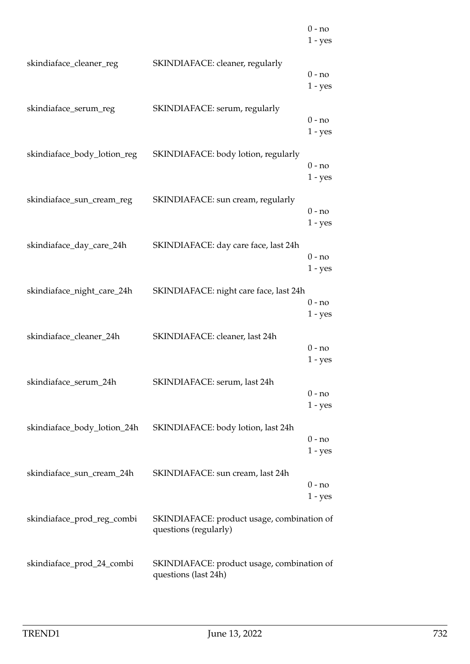|                             |                                                                     | $0 - no$<br>$1 - yes$ |
|-----------------------------|---------------------------------------------------------------------|-----------------------|
| skindiaface_cleaner_reg     | SKINDIAFACE: cleaner, regularly                                     | $0 - no$<br>$1 - yes$ |
| skindiaface_serum_reg       | SKINDIAFACE: serum, regularly                                       | $0 - no$<br>$1 - yes$ |
| skindiaface_body_lotion_reg | SKINDIAFACE: body lotion, regularly                                 | $0 - no$<br>$1 - yes$ |
| skindiaface_sun_cream_reg   | SKINDIAFACE: sun cream, regularly                                   | $0 - no$<br>$1 - yes$ |
| skindiaface_day_care_24h    | SKINDIAFACE: day care face, last 24h                                | $0 - no$<br>$1 - yes$ |
| skindiaface_night_care_24h  | SKINDIAFACE: night care face, last 24h                              | $0 - no$<br>$1 - yes$ |
| skindiaface_cleaner_24h     | SKINDIAFACE: cleaner, last 24h                                      | $0 - no$<br>$1 - yes$ |
| skindiaface_serum_24h       | SKINDIAFACE: serum, last 24h                                        | $0 - no$<br>$1 - yes$ |
| skindiaface_body_lotion_24h | SKINDIAFACE: body lotion, last 24h                                  | 0 - no<br>$1 - yes$   |
| skindiaface_sun_cream_24h   | SKINDIAFACE: sun cream, last 24h                                    | $0 - no$<br>$1 - yes$ |
| skindiaface_prod_reg_combi  | SKINDIAFACE: product usage, combination of<br>questions (regularly) |                       |
| skindiaface_prod_24_combi   | SKINDIAFACE: product usage, combination of<br>questions (last 24h)  |                       |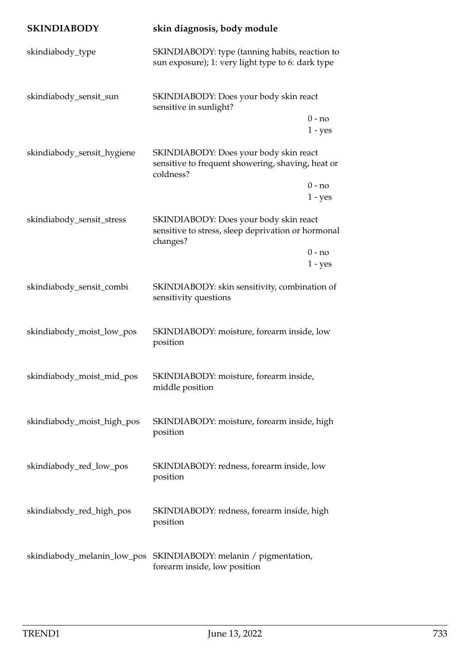| <b>SKINDIABODY</b>          | skin diagnosis, body module                                                                              |
|-----------------------------|----------------------------------------------------------------------------------------------------------|
| skindiabody_type            | SKINDIABODY: type (tanning habits, reaction to<br>sun exposure); 1: very light type to 6: dark type      |
| skindiabody_sensit_sun      | SKINDIABODY: Does your body skin react<br>sensitive in sunlight?                                         |
|                             | $0 - no$<br>$1 - yes$                                                                                    |
| skindiabody_sensit_hygiene  | SKINDIABODY: Does your body skin react<br>sensitive to frequent showering, shaving, heat or<br>coldness? |
|                             | $0 - no$<br>$1 - yes$                                                                                    |
| skindiabody_sensit_stress   | SKINDIABODY: Does your body skin react<br>sensitive to stress, sleep deprivation or hormonal<br>changes? |
|                             | $0 - no$<br>$1 - yes$                                                                                    |
| skindiabody_sensit_combi    | SKINDIABODY: skin sensitivity, combination of<br>sensitivity questions                                   |
| skindiabody_moist_low_pos   | SKINDIABODY: moisture, forearm inside, low<br>position                                                   |
| skindiabody_moist_mid_pos   | SKINDIABODY: moisture, forearm inside,<br>middle position                                                |
| skindiabody_moist_high_pos  | SKINDIABODY: moisture, forearm inside, high<br>position                                                  |
| skindiabody_red_low_pos     | SKINDIABODY: redness, forearm inside, low<br>position                                                    |
| skindiabody_red_high_pos    | SKINDIABODY: redness, forearm inside, high<br>position                                                   |
| skindiabody_melanin_low_pos | SKINDIABODY: melanin / pigmentation,<br>forearm inside, low position                                     |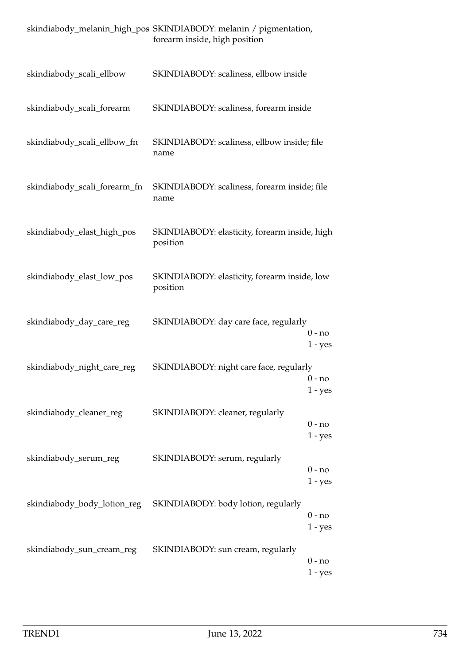|                              | skindiabody_melanin_high_pos SKINDIABODY: melanin / pigmentation,<br>forearm inside, high position |  |
|------------------------------|----------------------------------------------------------------------------------------------------|--|
| skindiabody_scali_ellbow     | SKINDIABODY: scaliness, ellbow inside                                                              |  |
| skindiabody_scali_forearm    | SKINDIABODY: scaliness, forearm inside                                                             |  |
| skindiabody_scali_ellbow_fn  | SKINDIABODY: scaliness, ellbow inside; file<br>name                                                |  |
| skindiabody_scali_forearm_fn | SKINDIABODY: scaliness, forearm inside; file<br>name                                               |  |
| skindiabody_elast_high_pos   | SKINDIABODY: elasticity, forearm inside, high<br>position                                          |  |
| skindiabody_elast_low_pos    | SKINDIABODY: elasticity, forearm inside, low<br>position                                           |  |
| skindiabody_day_care_reg     | SKINDIABODY: day care face, regularly<br>$0 - no$<br>$1 - yes$                                     |  |
| skindiabody_night_care_reg   | SKINDIABODY: night care face, regularly<br>$0 - no$<br>$1 - yes$                                   |  |
| skindiabody_cleaner_reg      | SKINDIABODY: cleaner, regularly<br>$0 - no$<br>$1 - yes$                                           |  |
| skindiabody_serum_reg        | SKINDIABODY: serum, regularly<br>$0 - no$<br>$1 - yes$                                             |  |
| skindiabody_body_lotion_reg  | SKINDIABODY: body lotion, regularly<br>$0 - no$<br>$1 - yes$                                       |  |
| skindiabody_sun_cream_reg    | SKINDIABODY: sun cream, regularly<br>$0 - no$<br>$1 - yes$                                         |  |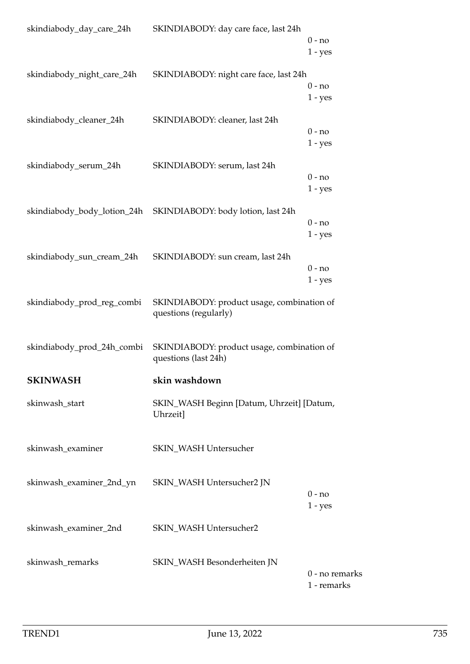| skindiabody_day_care_24h   | SKINDIABODY: day care face, last 24h                                | $0 - no$              |
|----------------------------|---------------------------------------------------------------------|-----------------------|
|                            |                                                                     | $1 - yes$             |
| skindiabody_night_care_24h | SKINDIABODY: night care face, last 24h                              |                       |
|                            |                                                                     | $0 - no$              |
|                            |                                                                     | $1 - yes$             |
| skindiabody_cleaner_24h    | SKINDIABODY: cleaner, last 24h                                      |                       |
|                            |                                                                     | $0 - no$<br>$1 - yes$ |
|                            |                                                                     |                       |
| skindiabody_serum_24h      | SKINDIABODY: serum, last 24h                                        |                       |
|                            |                                                                     | $0 - no$<br>$1 - yes$ |
|                            |                                                                     |                       |
|                            |                                                                     | $0 - no$              |
|                            |                                                                     | $1 - yes$             |
|                            |                                                                     |                       |
| skindiabody_sun_cream_24h  | SKINDIABODY: sun cream, last 24h                                    | $0 - no$              |
|                            |                                                                     | $1 - yes$             |
|                            |                                                                     |                       |
| skindiabody_prod_reg_combi | SKINDIABODY: product usage, combination of<br>questions (regularly) |                       |
|                            |                                                                     |                       |
| skindiabody_prod_24h_combi | SKINDIABODY: product usage, combination of                          |                       |
|                            | questions (last 24h)                                                |                       |
| <b>SKINWASH</b>            | skin washdown                                                       |                       |
| skinwash_start             | SKIN_WASH Beginn [Datum, Uhrzeit] [Datum,                           |                       |
|                            | Uhrzeit]                                                            |                       |
|                            |                                                                     |                       |
| skinwash_examiner          | SKIN_WASH Untersucher                                               |                       |
|                            |                                                                     |                       |
| skinwash_examiner_2nd_yn   | SKIN_WASH Untersucher2 JN                                           |                       |
|                            |                                                                     | $0 - no$              |
|                            |                                                                     | $1 - yes$             |
| skinwash_examiner_2nd      | SKIN_WASH Untersucher2                                              |                       |
|                            |                                                                     |                       |
| skinwash_remarks           | SKIN_WASH Besonderheiten JN                                         |                       |
|                            |                                                                     | 0 - no remarks        |
|                            |                                                                     | 1 - remarks           |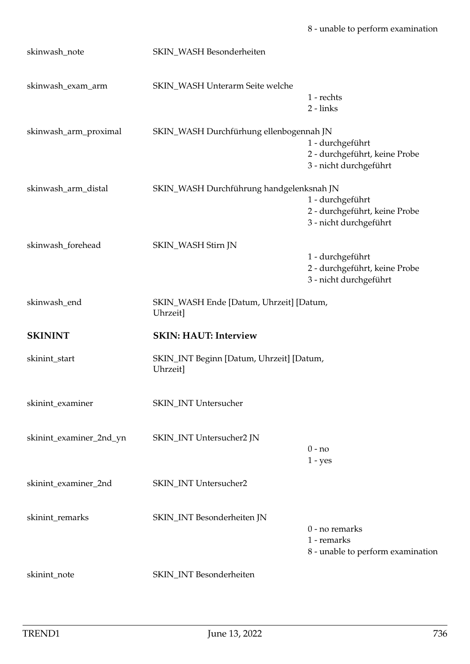| skinwash_note           | SKIN_WASH Besonderheiten                             |                                                                             |
|-------------------------|------------------------------------------------------|-----------------------------------------------------------------------------|
| skinwash_exam_arm       | SKIN_WASH Unterarm Seite welche                      | 1 - rechts<br>2 - links                                                     |
| skinwash_arm_proximal   | SKIN_WASH Durchfürhung ellenbogennah JN              | 1 - durchgeführt<br>2 - durchgeführt, keine Probe<br>3 - nicht durchgeführt |
| skinwash_arm_distal     | SKIN_WASH Durchführung handgelenksnah JN             | 1 - durchgeführt<br>2 - durchgeführt, keine Probe<br>3 - nicht durchgeführt |
| skinwash_forehead       | SKIN_WASH Stirn JN                                   |                                                                             |
|                         |                                                      | 1 - durchgeführt<br>2 - durchgeführt, keine Probe<br>3 - nicht durchgeführt |
| skinwash_end            | SKIN_WASH Ende [Datum, Uhrzeit] [Datum,<br>Uhrzeit]  |                                                                             |
| <b>SKININT</b>          | <b>SKIN: HAUT: Interview</b>                         |                                                                             |
| skinint_start           | SKIN_INT Beginn [Datum, Uhrzeit] [Datum,<br>Uhrzeit] |                                                                             |
| skinint_examiner        | SKIN_INT Untersucher                                 |                                                                             |
| skinint_examiner_2nd_yn | SKIN_INT Untersucher2 JN                             | $0 - no$<br>$1 - yes$                                                       |
| skinint_examiner_2nd    | SKIN_INT Untersucher2                                |                                                                             |
| skinint_remarks         | SKIN_INT Besonderheiten JN                           | 0 - no remarks<br>1 - remarks<br>8 - unable to perform examination          |
| skinint_note            | SKIN_INT Besonderheiten                              |                                                                             |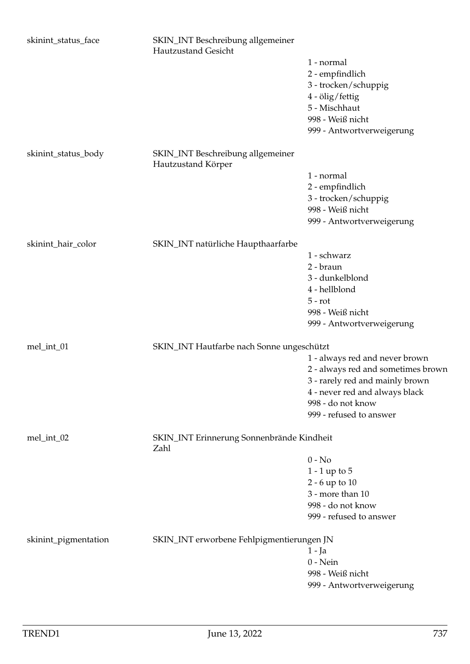| skinint_status_face  | SKIN_INT Beschreibung allgemeiner<br><b>Hautzustand Gesicht</b> |                                    |
|----------------------|-----------------------------------------------------------------|------------------------------------|
|                      |                                                                 | 1 - normal                         |
|                      |                                                                 | 2 - empfindlich                    |
|                      |                                                                 | 3 - trocken/schuppig               |
|                      |                                                                 | 4 - ölig/fettig                    |
|                      |                                                                 | 5 - Mischhaut                      |
|                      |                                                                 | 998 - Weiß nicht                   |
|                      |                                                                 | 999 - Antwortverweigerung          |
| skinint_status_body  | SKIN_INT Beschreibung allgemeiner<br>Hautzustand Körper         |                                    |
|                      |                                                                 | 1 - normal                         |
|                      |                                                                 | 2 - empfindlich                    |
|                      |                                                                 | 3 - trocken/schuppig               |
|                      |                                                                 | 998 - Weiß nicht                   |
|                      |                                                                 | 999 - Antwortverweigerung          |
| skinint_hair_color   | SKIN_INT natürliche Haupthaarfarbe                              |                                    |
|                      |                                                                 | 1 - schwarz                        |
|                      |                                                                 | 2 - braun                          |
|                      |                                                                 | 3 - dunkelblond                    |
|                      |                                                                 | 4 - hellblond                      |
|                      |                                                                 | $5 - rot$                          |
|                      |                                                                 | 998 - Weiß nicht                   |
|                      |                                                                 | 999 - Antwortverweigerung          |
| mel_int_01           | SKIN_INT Hautfarbe nach Sonne ungeschützt                       |                                    |
|                      |                                                                 | 1 - always red and never brown     |
|                      |                                                                 | 2 - always red and sometimes brown |
|                      |                                                                 | 3 - rarely red and mainly brown    |
|                      |                                                                 | 4 - never red and always black     |
|                      |                                                                 | 998 - do not know                  |
|                      |                                                                 | 999 - refused to answer            |
| mel_int_02           | SKIN_INT Erinnerung Sonnenbrände Kindheit<br>Zahl               |                                    |
|                      |                                                                 | $0 - No$                           |
|                      |                                                                 | $1 - 1$ up to $5$                  |
|                      |                                                                 | 2 - 6 up to 10                     |
|                      |                                                                 | 3 - more than 10                   |
|                      |                                                                 | 998 - do not know                  |
|                      |                                                                 | 999 - refused to answer            |
| skinint_pigmentation | SKIN_INT erworbene Fehlpigmentierungen JN                       |                                    |
|                      |                                                                 | $1 - Ja$                           |
|                      |                                                                 | $0$ - Nein                         |
|                      |                                                                 | 998 - Weiß nicht                   |
|                      |                                                                 | 999 - Antwortverweigerung          |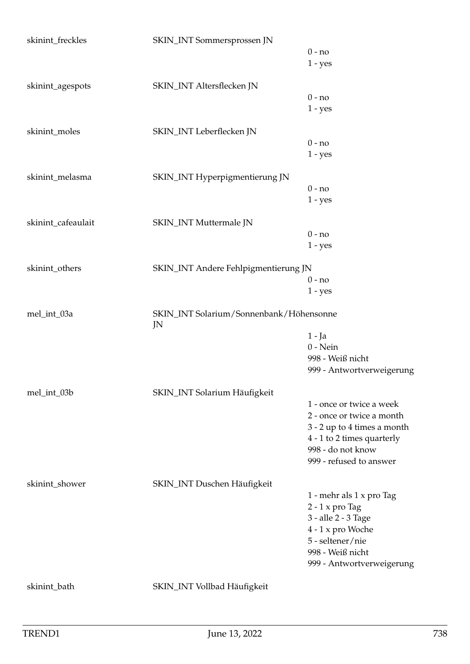| skinint_freckles   | SKIN_INT Sommersprossen JN                    |                             |
|--------------------|-----------------------------------------------|-----------------------------|
|                    |                                               | $0 - no$                    |
|                    |                                               | $1 - yes$                   |
| skinint_agespots   | SKIN_INT Altersflecken JN                     |                             |
|                    |                                               | $0 - no$                    |
|                    |                                               | $1 - yes$                   |
| skinint_moles      | SKIN_INT Leberflecken JN                      |                             |
|                    |                                               | $0 - no$                    |
|                    |                                               | $1 - yes$                   |
| skinint_melasma    | SKIN_INT Hyperpigmentierung JN                |                             |
|                    |                                               | $0 - no$                    |
|                    |                                               |                             |
|                    |                                               | $1 - yes$                   |
| skinint_cafeaulait | SKIN_INT Muttermale JN                        |                             |
|                    |                                               | $0 - no$                    |
|                    |                                               | $1 - yes$                   |
| skinint_others     | SKIN_INT Andere Fehlpigmentierung JN          |                             |
|                    |                                               | $0 - no$                    |
|                    |                                               | $1 - yes$                   |
| mel_int_03a        | SKIN_INT Solarium/Sonnenbank/Höhensonne<br>JN |                             |
|                    |                                               | $1 - Ja$                    |
|                    |                                               | $0$ - Nein                  |
|                    |                                               | 998 - Weiß nicht            |
|                    |                                               | 999 - Antwortverweigerung   |
|                    |                                               |                             |
| mel_int_03b        | SKIN_INT Solarium Häufigkeit                  |                             |
|                    |                                               | 1 - once or twice a week    |
|                    |                                               | 2 - once or twice a month   |
|                    |                                               | 3 - 2 up to 4 times a month |
|                    |                                               | 4 - 1 to 2 times quarterly  |
|                    |                                               | 998 - do not know           |
|                    |                                               | 999 - refused to answer     |
| skinint_shower     | SKIN_INT Duschen Häufigkeit                   |                             |
|                    |                                               | 1 - mehr als 1 x pro Tag    |
|                    |                                               | $2 - 1$ x pro Tag           |
|                    |                                               | 3 - alle 2 - 3 Tage         |
|                    |                                               | 4 - 1 x pro Woche           |
|                    |                                               | 5 - seltener/nie            |
|                    |                                               | 998 - Weiß nicht            |
|                    |                                               | 999 - Antwortverweigerung   |
| skinint_bath       | SKIN_INT Vollbad Häufigkeit                   |                             |
|                    |                                               |                             |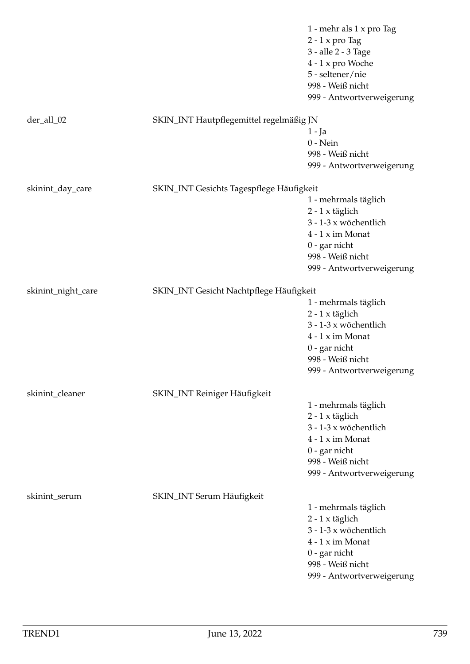|                    |                                          | 1 - mehr als 1 x pro Tag  |
|--------------------|------------------------------------------|---------------------------|
|                    |                                          | $2 - 1$ x pro Tag         |
|                    |                                          | 3 - alle 2 - 3 Tage       |
|                    |                                          | 4 - 1 x pro Woche         |
|                    |                                          | 5 - seltener/nie          |
|                    |                                          | 998 - Weiß nicht          |
|                    |                                          | 999 - Antwortverweigerung |
|                    |                                          |                           |
| der_all_02         | SKIN_INT Hautpflegemittel regelmäßig JN  |                           |
|                    |                                          | 1 - Ja                    |
|                    |                                          | $0$ - Nein                |
|                    |                                          | 998 - Weiß nicht          |
|                    |                                          | 999 - Antwortverweigerung |
|                    |                                          |                           |
| skinint_day_care   | SKIN_INT Gesichts Tagespflege Häufigkeit |                           |
|                    |                                          | 1 - mehrmals täglich      |
|                    |                                          | $2 - 1$ x täglich         |
|                    |                                          | 3 - 1-3 x wöchentlich     |
|                    |                                          | $4 - 1 x$ im Monat        |
|                    |                                          | $0$ - gar nicht           |
|                    |                                          | 998 - Weiß nicht          |
|                    |                                          | 999 - Antwortverweigerung |
|                    |                                          |                           |
| skinint_night_care | SKIN_INT Gesicht Nachtpflege Häufigkeit  |                           |
|                    |                                          | 1 - mehrmals täglich      |
|                    |                                          | $2 - 1$ x täglich         |
|                    |                                          | 3 - 1-3 x wöchentlich     |
|                    |                                          | $4 - 1 x$ im Monat        |
|                    |                                          | $0$ - gar nicht           |
|                    |                                          | 998 - Weiß nicht          |
|                    |                                          | 999 - Antwortverweigerung |
|                    |                                          |                           |
| skinint_cleaner    | SKIN_INT Reiniger Häufigkeit             |                           |
|                    |                                          | 1 - mehrmals täglich      |
|                    |                                          | $2 - 1$ x täglich         |
|                    |                                          | 3 - 1-3 x wöchentlich     |
|                    |                                          | $4 - 1 x$ im Monat        |
|                    |                                          | $0$ - gar nicht           |
|                    |                                          | 998 - Weiß nicht          |
|                    |                                          | 999 - Antwortverweigerung |
|                    |                                          |                           |
| skinint_serum      | SKIN_INT Serum Häufigkeit                |                           |
|                    |                                          | 1 - mehrmals täglich      |
|                    |                                          | $2 - 1$ x täglich         |
|                    |                                          | 3 - 1-3 x wöchentlich     |
|                    |                                          | $4 - 1 x$ im Monat        |
|                    |                                          | $0$ - gar nicht           |
|                    |                                          | 998 - Weiß nicht          |
|                    |                                          | 999 - Antwortverweigerung |
|                    |                                          |                           |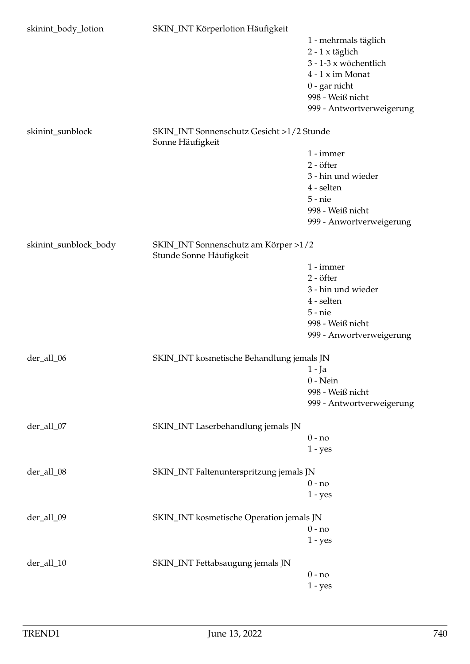| skinint_body_lotion   | SKIN_INT Körperlotion Häufigkeit                                |                           |
|-----------------------|-----------------------------------------------------------------|---------------------------|
|                       |                                                                 | 1 - mehrmals täglich      |
|                       |                                                                 | $2 - 1$ x täglich         |
|                       |                                                                 | 3 - 1-3 x wöchentlich     |
|                       |                                                                 | $4 - 1 x$ im Monat        |
|                       |                                                                 | 0 - gar nicht             |
|                       |                                                                 | 998 - Weiß nicht          |
|                       |                                                                 | 999 - Antwortverweigerung |
|                       |                                                                 |                           |
| skinint_sunblock      | SKIN_INT Sonnenschutz Gesicht >1/2 Stunde<br>Sonne Häufigkeit   |                           |
|                       |                                                                 | 1 - immer                 |
|                       |                                                                 | 2 - öfter                 |
|                       |                                                                 | 3 - hin und wieder        |
|                       |                                                                 | 4 - selten                |
|                       |                                                                 | $5$ - $nie$               |
|                       |                                                                 | 998 - Weiß nicht          |
|                       |                                                                 | 999 - Anwortverweigerung  |
|                       |                                                                 |                           |
| skinint_sunblock_body | SKIN_INT Sonnenschutz am Körper >1/2<br>Stunde Sonne Häufigkeit |                           |
|                       |                                                                 | 1 - immer                 |
|                       |                                                                 | 2 - öfter                 |
|                       |                                                                 | 3 - hin und wieder        |
|                       |                                                                 | 4 - selten                |
|                       |                                                                 | $5 - nie$                 |
|                       |                                                                 | 998 - Weiß nicht          |
|                       |                                                                 | 999 - Anwortverweigerung  |
| der_all_06            | SKIN_INT kosmetische Behandlung jemals JN                       |                           |
|                       |                                                                 | $1 - Ja$                  |
|                       |                                                                 | $0$ - Nein                |
|                       |                                                                 | 998 - Weiß nicht          |
|                       |                                                                 | 999 - Antwortverweigerung |
|                       |                                                                 |                           |
| der_all_07            | SKIN_INT Laserbehandlung jemals JN                              |                           |
|                       |                                                                 | $0 - no$                  |
|                       |                                                                 | $1 - yes$                 |
| der_all_08            | SKIN_INT Faltenunterspritzung jemals JN                         |                           |
|                       |                                                                 | $0 - no$                  |
|                       |                                                                 | $1 - yes$                 |
|                       |                                                                 |                           |
| der_all_09            | SKIN_INT kosmetische Operation jemals JN                        |                           |
|                       |                                                                 | $0 - no$                  |
|                       |                                                                 | $1 - yes$                 |
|                       |                                                                 |                           |
| der_all_10            | SKIN_INT Fettabsaugung jemals JN                                |                           |
|                       |                                                                 | $0 - no$                  |
|                       |                                                                 | $1 - yes$                 |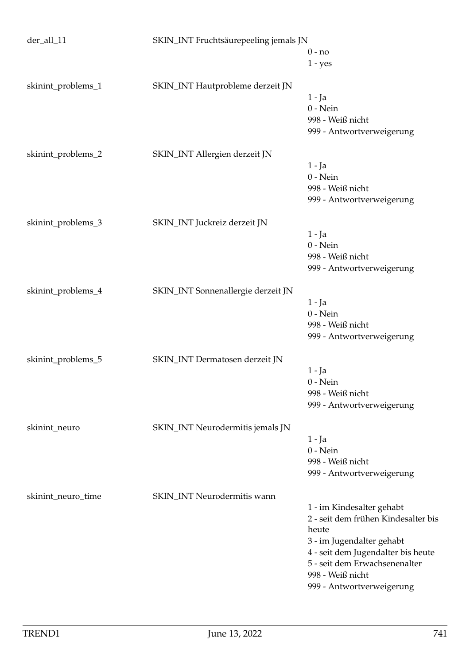| der_all_11         | SKIN_INT Fruchtsäurepeeling jemals JN |                                     |
|--------------------|---------------------------------------|-------------------------------------|
|                    |                                       | $0 - no$                            |
|                    |                                       | $1 - yes$                           |
| skinint_problems_1 | SKIN_INT Hautprobleme derzeit JN      |                                     |
|                    |                                       | $1 - Ja$                            |
|                    |                                       | $0$ - Nein                          |
|                    |                                       | 998 - Weiß nicht                    |
|                    |                                       | 999 - Antwortverweigerung           |
| skinint_problems_2 | SKIN_INT Allergien derzeit JN         |                                     |
|                    |                                       | $1 - Ja$                            |
|                    |                                       | $0$ - Nein                          |
|                    |                                       | 998 - Weiß nicht                    |
|                    |                                       |                                     |
|                    |                                       | 999 - Antwortverweigerung           |
| skinint_problems_3 | SKIN_INT Juckreiz derzeit JN          |                                     |
|                    |                                       | $1 - Ja$                            |
|                    |                                       | $0$ - Nein                          |
|                    |                                       | 998 - Weiß nicht                    |
|                    |                                       | 999 - Antwortverweigerung           |
| skinint_problems_4 | SKIN_INT Sonnenallergie derzeit JN    |                                     |
|                    |                                       | $1 - Ja$                            |
|                    |                                       | $0$ - Nein                          |
|                    |                                       | 998 - Weiß nicht                    |
|                    |                                       | 999 - Antwortverweigerung           |
|                    |                                       |                                     |
| skinint_problems_5 | SKIN_INT Dermatosen derzeit JN        |                                     |
|                    |                                       | $1 - Ja$                            |
|                    |                                       | $0 - Nein$                          |
|                    |                                       | 998 - Weiß nicht                    |
|                    |                                       | 999 - Antwortverweigerung           |
| skinint_neuro      | SKIN_INT Neurodermitis jemals JN      |                                     |
|                    |                                       | $1 - Ja$                            |
|                    |                                       | $0$ - Nein                          |
|                    |                                       | 998 - Weiß nicht                    |
|                    |                                       | 999 - Antwortverweigerung           |
|                    |                                       |                                     |
| skinint_neuro_time | SKIN_INT Neurodermitis wann           |                                     |
|                    |                                       | 1 - im Kindesalter gehabt           |
|                    |                                       | 2 - seit dem frühen Kindesalter bis |
|                    |                                       | heute                               |
|                    |                                       | 3 - im Jugendalter gehabt           |
|                    |                                       | 4 - seit dem Jugendalter bis heute  |
|                    |                                       | 5 - seit dem Erwachsenenalter       |
|                    |                                       | 998 - Weiß nicht                    |
|                    |                                       | 999 - Antwortverweigerung           |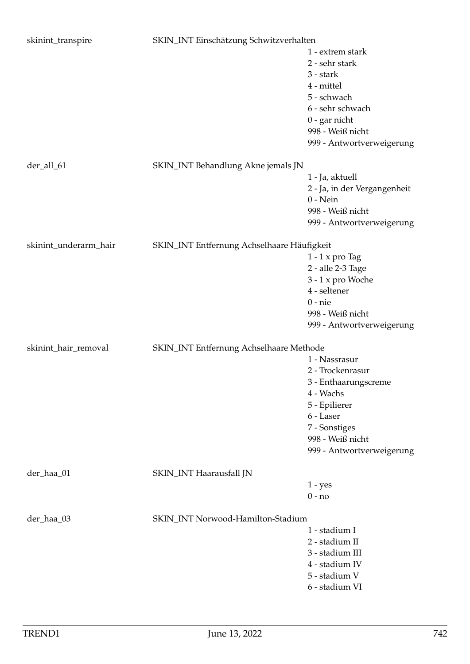| skinint_transpire     | SKIN_INT Einschätzung Schwitzverhalten     |                              |
|-----------------------|--------------------------------------------|------------------------------|
|                       |                                            | 1 - extrem stark             |
|                       |                                            | 2 - sehr stark               |
|                       |                                            | 3 - stark                    |
|                       |                                            | 4 - mittel                   |
|                       |                                            | 5 - schwach                  |
|                       |                                            | 6 - sehr schwach             |
|                       |                                            | $0$ - gar nicht              |
|                       |                                            | 998 - Weiß nicht             |
|                       |                                            |                              |
|                       |                                            | 999 - Antwortverweigerung    |
| der_all_61            | SKIN_INT Behandlung Akne jemals JN         |                              |
|                       |                                            | 1 - Ja, aktuell              |
|                       |                                            | 2 - Ja, in der Vergangenheit |
|                       |                                            | $0$ - Nein                   |
|                       |                                            | 998 - Weiß nicht             |
|                       |                                            | 999 - Antwortverweigerung    |
|                       |                                            |                              |
| skinint_underarm_hair | SKIN_INT Entfernung Achselhaare Häufigkeit |                              |
|                       |                                            | $1 - 1$ x pro Tag            |
|                       |                                            | 2 - alle 2-3 Tage            |
|                       |                                            | 3 - 1 x pro Woche            |
|                       |                                            | 4 - seltener                 |
|                       |                                            | $0$ - $nie$                  |
|                       |                                            | 998 - Weiß nicht             |
|                       |                                            | 999 - Antwortverweigerung    |
| skinint_hair_removal  | SKIN_INT Entfernung Achselhaare Methode    |                              |
|                       |                                            | 1 - Nassrasur                |
|                       |                                            | 2 - Trockenrasur             |
|                       |                                            | 3 - Enthaarungscreme         |
|                       |                                            | 4 - Wachs                    |
|                       |                                            | 5 - Epilierer                |
|                       |                                            | 6 - Laser                    |
|                       |                                            |                              |
|                       |                                            | 7 - Sonstiges                |
|                       |                                            | 998 - Weiß nicht             |
|                       |                                            | 999 - Antwortverweigerung    |
| der_haa_01            | SKIN_INT Haarausfall JN                    |                              |
|                       |                                            | $1 - yes$                    |
|                       |                                            | $0 - no$                     |
| der_haa_03            | SKIN_INT Norwood-Hamilton-Stadium          |                              |
|                       |                                            | 1 - stadium I                |
|                       |                                            | 2 - stadium II               |
|                       |                                            | 3 - stadium III              |
|                       |                                            | 4 - stadium IV               |
|                       |                                            |                              |
|                       |                                            | 5 - stadium V                |
|                       |                                            | 6 - stadium VI               |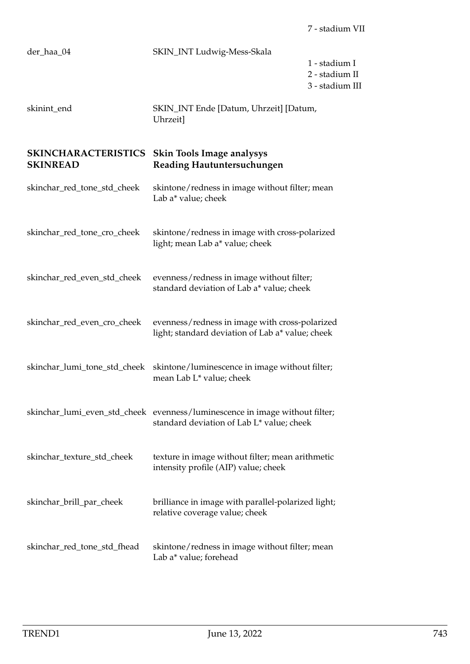| der_haa_04                                    | SKIN_INT Ludwig-Mess-Skala                                                                                               | 1 - stadium I<br>2 - stadium II<br>3 - stadium III |
|-----------------------------------------------|--------------------------------------------------------------------------------------------------------------------------|----------------------------------------------------|
| skinint_end                                   | SKIN_INT Ende [Datum, Uhrzeit] [Datum,<br>Uhrzeit]                                                                       |                                                    |
| <b>SKINCHARACTERISTICS</b><br><b>SKINREAD</b> | <b>Skin Tools Image analysys</b><br>Reading Hautuntersuchungen                                                           |                                                    |
| skinchar_red_tone_std_cheek                   | skintone/redness in image without filter; mean<br>Lab a* value; cheek                                                    |                                                    |
| skinchar_red_tone_cro_cheek                   | skintone/redness in image with cross-polarized<br>light; mean Lab a* value; cheek                                        |                                                    |
| skinchar_red_even_std_cheek                   | evenness/redness in image without filter;<br>standard deviation of Lab a* value; cheek                                   |                                                    |
| skinchar_red_even_cro_cheek                   | evenness/redness in image with cross-polarized<br>light; standard deviation of Lab a* value; cheek                       |                                                    |
| skinchar_lumi_tone_std_cheek                  | skintone/luminescence in image without filter;<br>mean Lab L* value; cheek                                               |                                                    |
|                                               | skinchar_lumi_even_std_cheek evenness/luminescence in image without filter;<br>standard deviation of Lab L* value; cheek |                                                    |
| skinchar_texture_std_cheek                    | texture in image without filter; mean arithmetic<br>intensity profile (AIP) value; cheek                                 |                                                    |
| skinchar_brill_par_cheek                      | brilliance in image with parallel-polarized light;<br>relative coverage value; cheek                                     |                                                    |
| skinchar_red_tone_std_fhead                   | skintone/redness in image without filter; mean<br>Lab a* value; forehead                                                 |                                                    |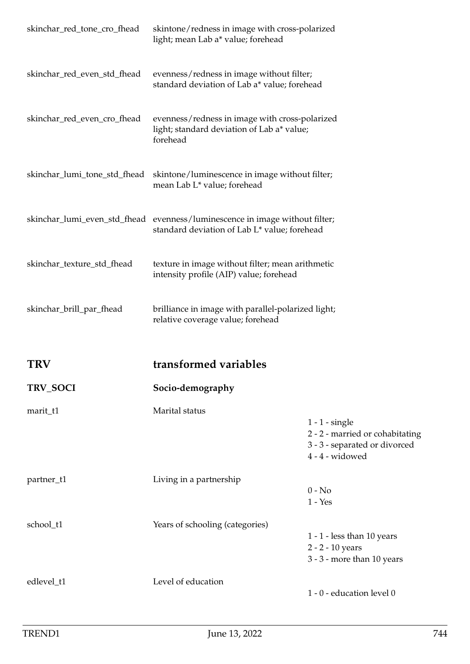| skinchar_red_tone_cro_fhead  | skintone/redness in image with cross-polarized<br>light; mean Lab a* value; forehead                                        |                                                                                                         |
|------------------------------|-----------------------------------------------------------------------------------------------------------------------------|---------------------------------------------------------------------------------------------------------|
| skinchar_red_even_std_fhead  | evenness/redness in image without filter;<br>standard deviation of Lab a* value; forehead                                   |                                                                                                         |
| skinchar_red_even_cro_fhead  | evenness/redness in image with cross-polarized<br>light; standard deviation of Lab a* value;<br>forehead                    |                                                                                                         |
| skinchar_lumi_tone_std_fhead | skintone/luminescence in image without filter;<br>mean Lab L* value; forehead                                               |                                                                                                         |
|                              | skinchar_lumi_even_std_fhead evenness/luminescence in image without filter;<br>standard deviation of Lab L* value; forehead |                                                                                                         |
| skinchar_texture_std_fhead   | texture in image without filter; mean arithmetic<br>intensity profile (AIP) value; forehead                                 |                                                                                                         |
| skinchar_brill_par_fhead     | brilliance in image with parallel-polarized light;<br>relative coverage value; forehead                                     |                                                                                                         |
| <b>TRV</b>                   | transformed variables                                                                                                       |                                                                                                         |
| TRV_SOCI                     | Socio-demography                                                                                                            |                                                                                                         |
| marit_t1                     | Marital status                                                                                                              | $1 - 1$ - single<br>2 - 2 - married or cohabitating<br>3 - 3 - separated or divorced<br>4 - 4 - widowed |
| partner_t1                   | Living in a partnership                                                                                                     | $0 - No$<br>$1 - Yes$                                                                                   |
| school_t1                    | Years of schooling (categories)                                                                                             | $1 - 1$ - less than 10 years<br>2 - 2 - 10 years<br>3 - 3 - more than 10 years                          |
| edlevel_t1                   | Level of education                                                                                                          | 1 - 0 - education level 0                                                                               |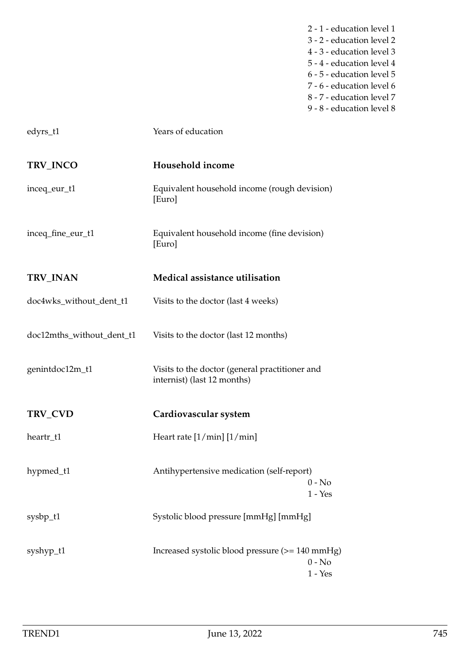- 2 1 education level 1 3 - 2 - education level 2 4 - 3 - education level 3 5 - 4 - education level 4 6 - 5 - education level 5 7 - 6 - education level 6 8 - 7 - education level 7
- 9 8 education level 8

| edyrs_t1                  | Years of education                                                            |  |
|---------------------------|-------------------------------------------------------------------------------|--|
| TRV_INCO                  | Household income                                                              |  |
| inceq_eur_t1              | Equivalent household income (rough devision)<br>[Euro]                        |  |
| inceq_fine_eur_t1         | Equivalent household income (fine devision)<br>[Euro]                         |  |
| TRV_INAN                  | Medical assistance utilisation                                                |  |
| doc4wks_without_dent_t1   | Visits to the doctor (last 4 weeks)                                           |  |
| doc12mths_without_dent_t1 | Visits to the doctor (last 12 months)                                         |  |
| genintdoc12m_t1           | Visits to the doctor (general practitioner and<br>internist) (last 12 months) |  |
| TRV_CVD                   | Cardiovascular system                                                         |  |
| heartr_t1                 | Heart rate $[1/\text{min}]$ $[1/\text{min}]$                                  |  |
| hypmed_t1                 | Antihypertensive medication (self-report)<br>$0 - No$<br>$1 - Yes$            |  |
| sysbp_t1                  | Systolic blood pressure [mmHg] [mmHg]                                         |  |
| syshyp_t1                 | Increased systolic blood pressure (>= 140 mmHg)<br>$0 - No$<br>$1 - Yes$      |  |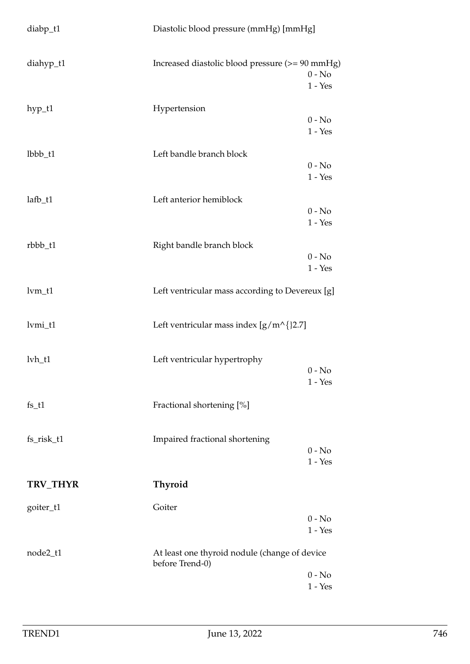| $diabp_t1$    | Diastolic blood pressure (mmHg) [mmHg]                           |                       |
|---------------|------------------------------------------------------------------|-----------------------|
| diahyp_t1     | Increased diastolic blood pressure (>= 90 mmHg)                  | $0 - No$<br>$1 - Yes$ |
| hyp_t1        | Hypertension                                                     | $0 - No$<br>$1 - Yes$ |
| lbbb_t1       | Left bandle branch block                                         | $0 - No$<br>$1 - Yes$ |
| $l$ afb_t $1$ | Left anterior hemiblock                                          | $0 - No$<br>$1 - Yes$ |
| rbbb_t1       | Right bandle branch block                                        | $0 - No$<br>$1 - Yes$ |
| $lvm_t1$      | Left ventricular mass according to Devereux [g]                  |                       |
| lvmi_t1       | Left ventricular mass index $[g/m^{\wedge}$ {}2.7]               |                       |
| $lvh_t1$      | Left ventricular hypertrophy                                     | $0 - No$<br>$1 - Yes$ |
| $fs_t1$       | Fractional shortening [%]                                        |                       |
| fs_risk_t1    | Impaired fractional shortening                                   | $0 - No$<br>$1 - Yes$ |
| TRV_THYR      | <b>Thyroid</b>                                                   |                       |
| goiter_t1     | Goiter                                                           | $0 - No$<br>$1 - Yes$ |
| node2_t1      | At least one thyroid nodule (change of device<br>before Trend-0) |                       |
|               |                                                                  | $0 - No$<br>$1 - Yes$ |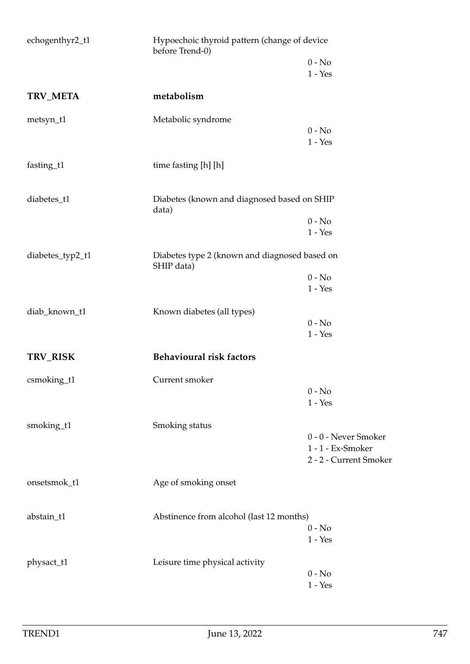| echogenthyr2_t1       | Hypoechoic thyroid pattern (change of device<br>before Trend-0) |                        |
|-----------------------|-----------------------------------------------------------------|------------------------|
|                       |                                                                 | $0 - No$               |
|                       |                                                                 | $1 - Yes$              |
| TRV_META              | metabolism                                                      |                        |
| metsyn_t1             | Metabolic syndrome                                              |                        |
|                       |                                                                 | $0 - No$               |
|                       |                                                                 | $1 - Yes$              |
| fasting_t1            | time fasting [h] [h]                                            |                        |
| diabetes_t1           | Diabetes (known and diagnosed based on SHIP                     |                        |
|                       | data)                                                           | $0 - No$               |
|                       |                                                                 | $1 - Yes$              |
| diabetes_typ2_t1      | Diabetes type 2 (known and diagnosed based on<br>SHIP data)     |                        |
|                       |                                                                 | $0 - No$               |
|                       |                                                                 | $1 - Yes$              |
| diab_known_t1         | Known diabetes (all types)                                      |                        |
|                       |                                                                 | $0 - No$               |
|                       |                                                                 | $1 - Yes$              |
| TRV_RISK              | <b>Behavioural risk factors</b>                                 |                        |
| $\text{csmoking\_t1}$ | Current smoker                                                  |                        |
|                       |                                                                 | $0 - No$               |
|                       |                                                                 | $1 - Yes$              |
| smoking_t1            | Smoking status                                                  |                        |
|                       |                                                                 | 0 - 0 - Never Smoker   |
|                       |                                                                 | 1 - 1 - Ex-Smoker      |
|                       |                                                                 | 2 - 2 - Current Smoker |
| onsetsmok_t1          | Age of smoking onset                                            |                        |
| abstain_t1            | Abstinence from alcohol (last 12 months)                        |                        |
|                       |                                                                 | $0 - No$               |
|                       |                                                                 | $1 - Yes$              |
| physact_t1            | Leisure time physical activity                                  |                        |
|                       |                                                                 | $0 - No$               |
|                       |                                                                 | $1 - Yes$              |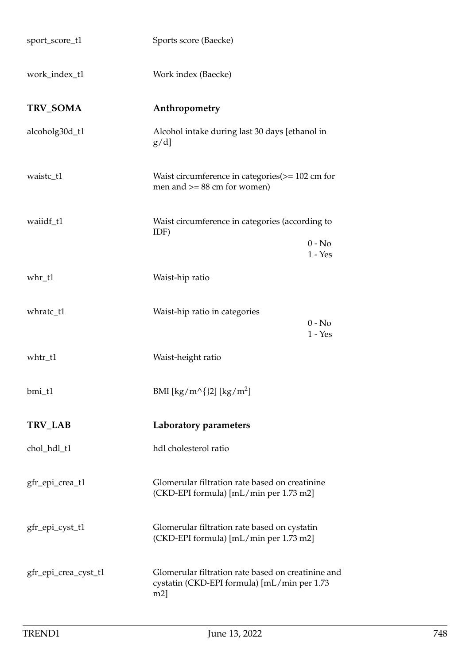| sport_score_t1       | Sports score (Baecke)                                                                                       |  |
|----------------------|-------------------------------------------------------------------------------------------------------------|--|
| work_index_t1        | Work index (Baecke)                                                                                         |  |
| TRV_SOMA             | Anthropometry                                                                                               |  |
| alcoholg30d_t1       | Alcohol intake during last 30 days [ethanol in<br>$g/d$ ]                                                   |  |
| waistc_t1            | Waist circumference in categories $(>= 102 \text{ cm for})$<br>men and $>= 88$ cm for women)                |  |
| waiidf_t1            | Waist circumference in categories (according to<br>IDF)                                                     |  |
|                      | $0 - No$<br>$1 - Yes$                                                                                       |  |
| whr_t1               | Waist-hip ratio                                                                                             |  |
| whratc_t1            | Waist-hip ratio in categories<br>$0 - No$<br>$1 - Yes$                                                      |  |
| whtr_t1              | Waist-height ratio                                                                                          |  |
| bmi_t1               | BMI [kg/m^{}2] [kg/m <sup>2</sup> ]                                                                         |  |
| TRV_LAB              | Laboratory parameters                                                                                       |  |
| chol_hdl_t1          | hdl cholesterol ratio                                                                                       |  |
| gfr_epi_crea_t1      | Glomerular filtration rate based on creatinine<br>(CKD-EPI formula) [mL/min per 1.73 m2]                    |  |
| gfr_epi_cyst_t1      | Glomerular filtration rate based on cystatin<br>(CKD-EPI formula) [mL/min per 1.73 m2]                      |  |
| gfr_epi_crea_cyst_t1 | Glomerular filtration rate based on creatinine and<br>cystatin (CKD-EPI formula) [mL/min per 1.73<br>$m2$ ] |  |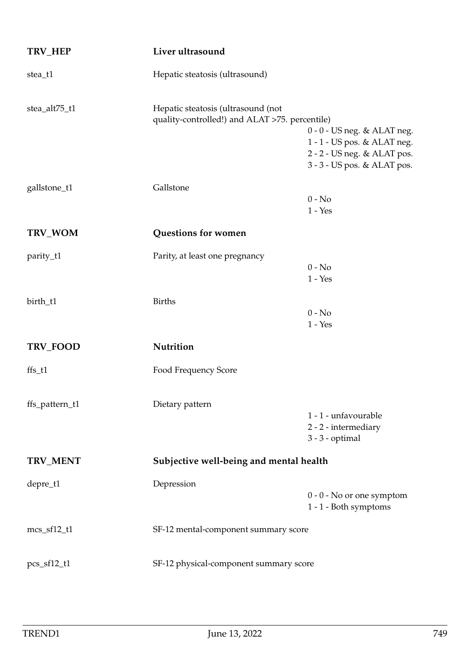| TRV_HEP        | Liver ultrasound                                                                     |                                                                                                                            |
|----------------|--------------------------------------------------------------------------------------|----------------------------------------------------------------------------------------------------------------------------|
| stea_t1        | Hepatic steatosis (ultrasound)                                                       |                                                                                                                            |
| stea_alt75_t1  | Hepatic steatosis (ultrasound (not<br>quality-controlled!) and ALAT >75. percentile) | $0 - 0 - US$ neg. & ALAT neg.<br>1 - 1 - US pos. & ALAT neg.<br>2 - 2 - US neg. & ALAT pos.<br>3 - 3 - US pos. & ALAT pos. |
| gallstone_t1   | Gallstone                                                                            | $0 - No$<br>$1 - Yes$                                                                                                      |
| TRV_WOM        | Questions for women                                                                  |                                                                                                                            |
| parity_t1      | Parity, at least one pregnancy                                                       | $0 - No$<br>$1 - Yes$                                                                                                      |
| birth_t1       | <b>Births</b>                                                                        | $0 - No$<br>$1 - Yes$                                                                                                      |
| TRV_FOOD       | Nutrition                                                                            |                                                                                                                            |
| $\{fs_t1\}$    | Food Frequency Score                                                                 |                                                                                                                            |
| ffs_pattern_t1 | Dietary pattern                                                                      | 1 - 1 - unfavourable<br>2 - 2 - intermediary<br>$3 - 3$ - optimal                                                          |
| TRV_MENT       | Subjective well-being and mental health                                              |                                                                                                                            |
| depre_t1       | Depression                                                                           | $0 - 0 - No$ or one symptom<br>1 - 1 - Both symptoms                                                                       |
| $mcs_f12_t1$   | SF-12 mental-component summary score                                                 |                                                                                                                            |
| $pcs_f12_t1$   | SF-12 physical-component summary score                                               |                                                                                                                            |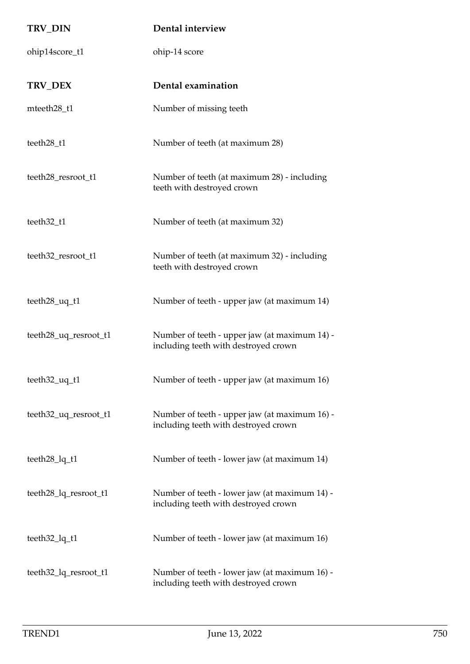| TRV_DIN               | Dental interview                                                                      |
|-----------------------|---------------------------------------------------------------------------------------|
| ohip14score_t1        | ohip-14 score                                                                         |
| TRV_DEX               | Dental examination                                                                    |
| mteeth28_t1           | Number of missing teeth                                                               |
| teeth28_t1            | Number of teeth (at maximum 28)                                                       |
| teeth28_resroot_t1    | Number of teeth (at maximum 28) - including<br>teeth with destroyed crown             |
| teeth32_t1            | Number of teeth (at maximum 32)                                                       |
| teeth32_resroot_t1    | Number of teeth (at maximum 32) - including<br>teeth with destroyed crown             |
| teeth28_uq_t1         | Number of teeth - upper jaw (at maximum 14)                                           |
| teeth28_uq_resroot_t1 | Number of teeth - upper jaw (at maximum 14) -<br>including teeth with destroyed crown |
| teeth32_uq_t1         | Number of teeth - upper jaw (at maximum 16)                                           |
| teeth32_uq_resroot_t1 | Number of teeth - upper jaw (at maximum 16) -<br>including teeth with destroyed crown |
| teeth28_lq_t1         | Number of teeth - lower jaw (at maximum 14)                                           |
| teeth28_lq_resroot_t1 | Number of teeth - lower jaw (at maximum 14) -<br>including teeth with destroyed crown |
| teeth32_lq_t1         | Number of teeth - lower jaw (at maximum 16)                                           |
| teeth32_lq_resroot_t1 | Number of teeth - lower jaw (at maximum 16) -<br>including teeth with destroyed crown |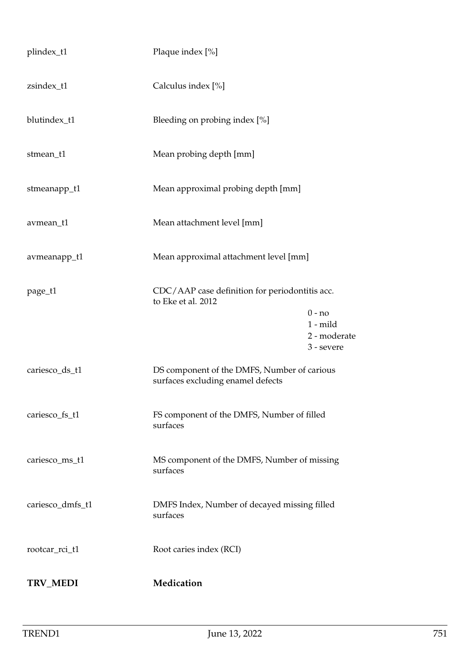| plindex_t1       | Plaque index [%]                                                                 |                            |
|------------------|----------------------------------------------------------------------------------|----------------------------|
| zsindex_t1       | Calculus index [%]                                                               |                            |
| blutindex_t1     | Bleeding on probing index [%]                                                    |                            |
| stmean_t1        | Mean probing depth [mm]                                                          |                            |
| stmeanapp_t1     | Mean approximal probing depth [mm]                                               |                            |
| avmean_t1        | Mean attachment level [mm]                                                       |                            |
| avmeanapp_t1     | Mean approximal attachment level [mm]                                            |                            |
| page_t1          | CDC/AAP case definition for periodontitis acc.<br>to Eke et al. 2012             |                            |
|                  |                                                                                  | $0 - no$<br>$1 - mild$     |
|                  |                                                                                  | 2 - moderate<br>3 - severe |
| cariesco_ds_t1   | DS component of the DMFS, Number of carious<br>surfaces excluding enamel defects |                            |
| cariesco_fs_t1   | FS component of the DMFS, Number of filled<br>surfaces                           |                            |
| cariesco_ms_t1   | MS component of the DMFS, Number of missing<br>surfaces                          |                            |
| cariesco_dmfs_t1 | DMFS Index, Number of decayed missing filled<br>surfaces                         |                            |
| rootcar_rci_t1   | Root caries index (RCI)                                                          |                            |
| TRV_MEDI         | Medication                                                                       |                            |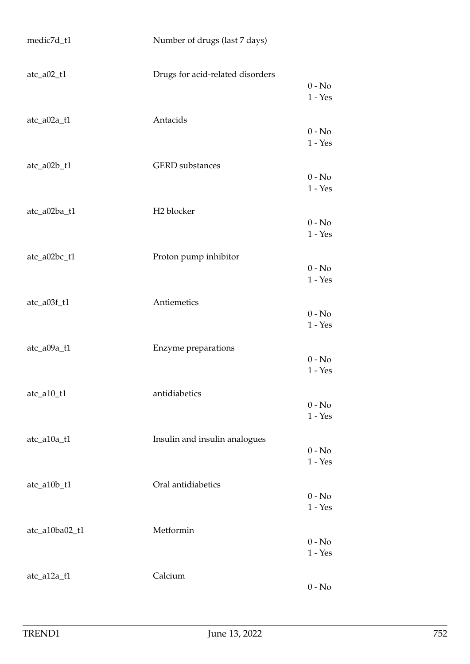| medic7d_t1             | Number of drugs (last 7 days)    |                       |
|------------------------|----------------------------------|-----------------------|
| $\text{atc}\_a02\_t1$  | Drugs for acid-related disorders | $0 - No$<br>$1 - Yes$ |
| atc_a02a_t1            | Antacids                         | $0 - No$<br>$1 - Yes$ |
| atc_a02b_t1            | <b>GERD</b> substances           | $0 - No$<br>$1 - Yes$ |
| atc_a02ba_t1           | H <sub>2</sub> blocker           | $0 - No$<br>$1 - Yes$ |
| atc_a02bc_t1           | Proton pump inhibitor            | $0 - No$<br>$1 - Yes$ |
| $\text{atc}\_a03f\_t1$ | Antiemetics                      | $0 - No$<br>$1 - Yes$ |
| atc_a09a_t1            | Enzyme preparations              | $0 - No$<br>$1 - Yes$ |
| $\text{atc\_a10\_t1}$  | antidiabetics                    | $0 - No$<br>$1 - Yes$ |
| atc_a10a_t1            | Insulin and insulin analogues    | $0 - No$<br>$1 - Yes$ |
| atc_a10b_t1            | Oral antidiabetics               | $0 - No$<br>$1 - Yes$ |
| atc_a10ba02_t1         | Metformin                        | $0 - No$<br>$1 - Yes$ |
| atc_a12a_t1            | Calcium                          | $0 - No$              |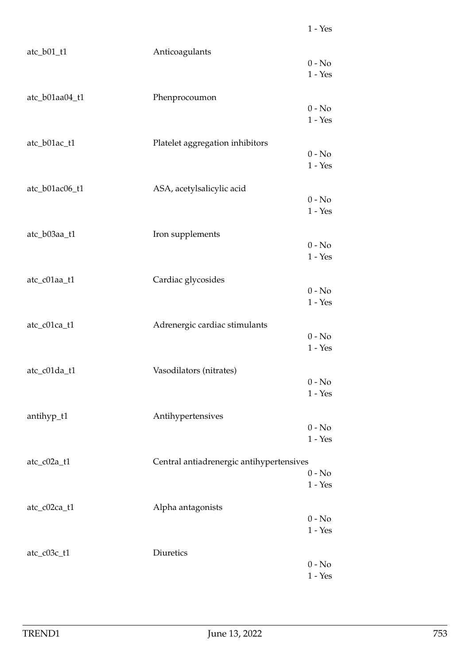| $\text{atc}\_b01\_t1$ | Anticoagulants                           | $0 - No$                                        |
|-----------------------|------------------------------------------|-------------------------------------------------|
|                       |                                          | $1 - Yes$                                       |
| atc_b01aa04_t1        | Phenprocoumon                            |                                                 |
|                       |                                          | $0 - No$<br>$1 - Yes$                           |
| atc_b01ac_t1          | Platelet aggregation inhibitors          |                                                 |
|                       |                                          | $0 - No$<br>$1 - Yes$                           |
| atc_b01ac06_t1        | ASA, acetylsalicylic acid                | $0 - No$                                        |
|                       |                                          | $1 - Yes$                                       |
| atc_b03aa_t1          | Iron supplements                         |                                                 |
|                       |                                          | $0 - No$<br>$1 - Yes$                           |
| atc_c01aa_t1          | Cardiac glycosides                       |                                                 |
|                       |                                          | $0 - No$<br>$1 - Yes$                           |
| atc_c01ca_t1          | Adrenergic cardiac stimulants            |                                                 |
|                       |                                          | $0 - No$<br>$1 - Yes$                           |
| atc_c01da_t1          | Vasodilators (nitrates)                  |                                                 |
|                       |                                          | $0 - No$<br>$1 - Yes$                           |
| antihyp_t1            | Antihypertensives                        |                                                 |
|                       |                                          | $0 - No$<br>$1 - Yes$                           |
| atc_c02a_t1           | Central antiadrenergic antihypertensives |                                                 |
|                       |                                          | $0 - No$<br>$1 - Yes$                           |
| atc_c02ca_t1          | Alpha antagonists                        |                                                 |
|                       |                                          | $0 - No$<br>$1 - Yes$                           |
| atc_c03c_t1           | Diuretics                                |                                                 |
|                       |                                          | $0$ - $\hbox{No}$<br>$1$ - $\operatorname{Yes}$ |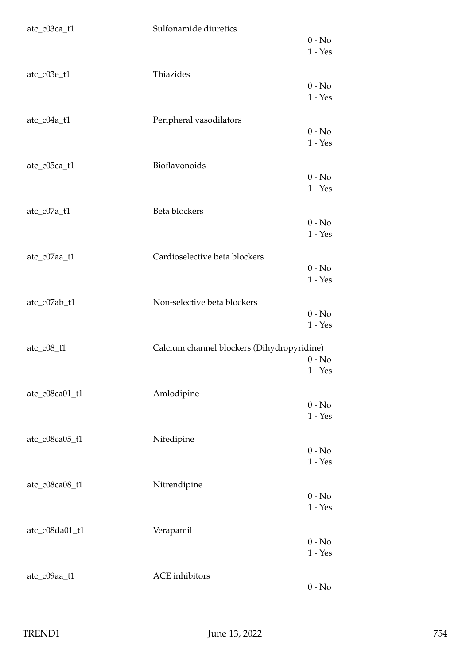| atc_c03ca_t1                            | Sulfonamide diuretics                      | $0 - No$<br>$1 - Yes$ |
|-----------------------------------------|--------------------------------------------|-----------------------|
| atc_c03e_t1                             | Thiazides                                  | $0 - No$<br>$1 - Yes$ |
| atc_c04a_t1                             | Peripheral vasodilators                    | $0 - No$<br>$1 - Yes$ |
| atc_c05ca_t1                            | Bioflavonoids                              | $0 - No$<br>$1 - Yes$ |
| atc_c07a_t1                             | Beta blockers                              | $0 - No$<br>$1 - Yes$ |
| atc_c07aa_t1                            | Cardioselective beta blockers              | $0 - No$<br>$1 - Yes$ |
| atc_c07ab_t1                            | Non-selective beta blockers                | $0 - No$<br>$1 - Yes$ |
| $\text{atc}\_{\text{c}}08\_{\text{t}}1$ | Calcium channel blockers (Dihydropyridine) | $0 - No$<br>$1 - Yes$ |
| atc_c08ca01_t1                          | Amlodipine                                 | $0 - No$<br>$1 - Yes$ |
| atc_c08ca05_t1                          | Nifedipine                                 | $0 - No$<br>$1 - Yes$ |
| atc_c08ca08_t1                          | Nitrendipine                               | $0 - No$<br>$1 - Yes$ |
| atc_c08da01_t1                          | Verapamil                                  | $0 - No$<br>$1 - Yes$ |
| atc_c09aa_t1                            | <b>ACE</b> inhibitors                      | $0 - No$              |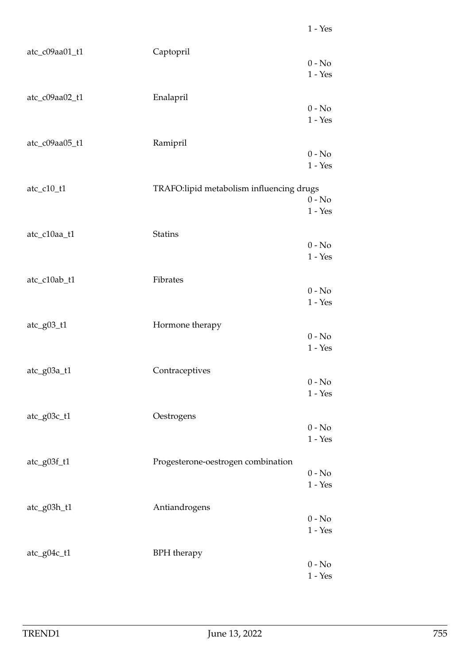| atc_c09aa01_t1               | Captopril                                | $0 - No$<br>$1 - Yes$ |
|------------------------------|------------------------------------------|-----------------------|
| atc_c09aa02_t1               | Enalapril                                | $0 - No$<br>$1 - Yes$ |
| atc_c09aa05_t1               | Ramipril                                 | $0 - No$<br>$1 - Yes$ |
| atc_c10_t1                   | TRAFO:lipid metabolism influencing drugs | $0 - No$<br>$1 - Yes$ |
| atc_c10aa_t1                 | <b>Statins</b>                           | $0 - No$<br>$1 - Yes$ |
| atc_c10ab_t1                 | Fibrates                                 | $0 - No$<br>$1 - Yes$ |
| $\text{atc\_g}03\text{\_}t1$ | Hormone therapy                          | $0 - No$<br>$1 - Yes$ |
| atc_g03a_t1                  | Contraceptives                           | $0 - No$<br>$1 - Yes$ |
| atc_g03c_t1                  | Oestrogens                               | $0 - No$<br>$1 - Yes$ |
| atc_g03f_t1                  | Progesterone-oestrogen combination       | $0 - No$<br>$1 - Yes$ |
| atc_g03h_t1                  | Antiandrogens                            | $0 - No$<br>$1 - Yes$ |
| atc_g04c_t1                  | <b>BPH</b> therapy                       | $0 - No$<br>$1 - Yes$ |

1 - Yes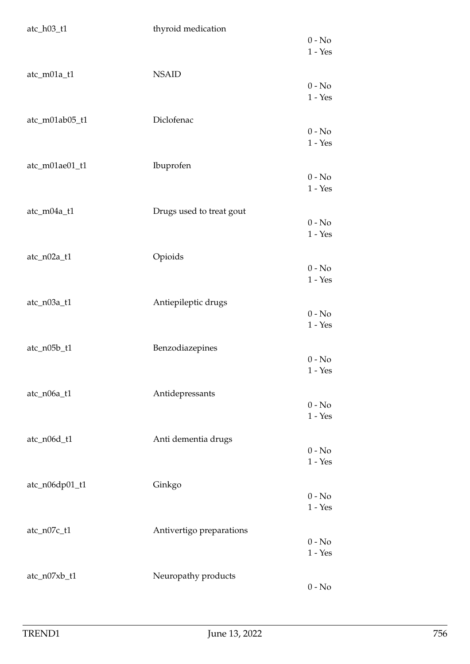| $\text{atc\_h03\_t1}$ | thyroid medication       |                       |
|-----------------------|--------------------------|-----------------------|
|                       |                          | $0 - No$              |
|                       |                          | $1 - Yes$             |
| atc_m01a_t1           | <b>NSAID</b>             |                       |
|                       |                          | $0 - No$              |
|                       |                          | $1 - Yes$             |
|                       |                          |                       |
| atc_m01ab05_t1        | Diclofenac               |                       |
|                       |                          | $0 - No$<br>$1 - Yes$ |
|                       |                          |                       |
| atc_m01ae01_t1        | Ibuprofen                |                       |
|                       |                          | $0 - No$              |
|                       |                          | $1 - Yes$             |
|                       |                          |                       |
| atc_m04a_t1           | Drugs used to treat gout | $0 - No$              |
|                       |                          | $1 - Yes$             |
|                       |                          |                       |
| atc_n02a_t1           | Opioids                  |                       |
|                       |                          | $0 - No$              |
|                       |                          | $1 - Yes$             |
| atc_n03a_t1           | Antiepileptic drugs      |                       |
|                       |                          | $0 - No$              |
|                       |                          | $1 - Yes$             |
|                       |                          |                       |
| atc_n05b_t1           | Benzodiazepines          |                       |
|                       |                          | $0 - No$              |
|                       |                          | $1 - Yes$             |
| atc_n06a_t1           | Antidepressants          |                       |
|                       |                          | $0 - No$              |
|                       |                          | $1 - Yes$             |
|                       |                          |                       |
| atc_n06d_t1           | Anti dementia drugs      | $0 - No$              |
|                       |                          | $1 - Yes$             |
|                       |                          |                       |
| atc_n06dp01_t1        | Ginkgo                   |                       |
|                       |                          | $0 - No$              |
|                       |                          | $1 - Yes$             |
| atc_n07c_t1           | Antivertigo preparations |                       |
|                       |                          | $0 - No$              |
|                       |                          | $1 - Yes$             |
|                       |                          |                       |
| atc_n07xb_t1          | Neuropathy products      |                       |
|                       |                          | $0 - No$              |